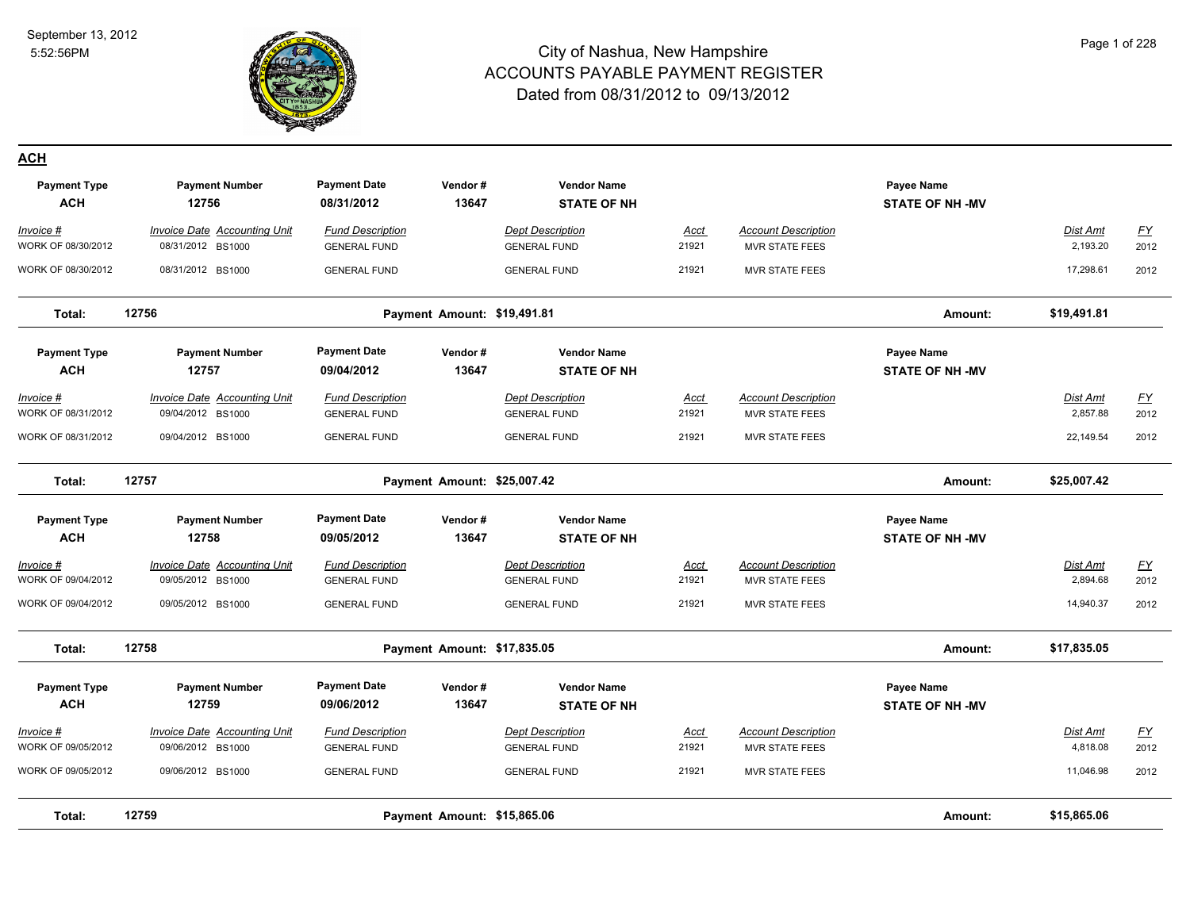

#### **ACH**

| <b>Payment Type</b><br><b>ACH</b> | <b>Payment Number</b><br>12756                           | <b>Payment Date</b><br>08/31/2012              | Vendor#<br>13647            | <b>Vendor Name</b><br><b>STATE OF NH</b>       |                      |                                                     | Payee Name<br><b>STATE OF NH -MV</b> |                             |                          |
|-----------------------------------|----------------------------------------------------------|------------------------------------------------|-----------------------------|------------------------------------------------|----------------------|-----------------------------------------------------|--------------------------------------|-----------------------------|--------------------------|
| Invoice #<br>WORK OF 08/30/2012   | <b>Invoice Date Accounting Unit</b><br>08/31/2012 BS1000 | <b>Fund Description</b><br><b>GENERAL FUND</b> |                             | <b>Dept Description</b><br><b>GENERAL FUND</b> | <b>Acct</b><br>21921 | <b>Account Description</b><br><b>MVR STATE FEES</b> |                                      | Dist Amt<br>2,193.20        | $\underline{FY}$<br>2012 |
| WORK OF 08/30/2012                | 08/31/2012 BS1000                                        | <b>GENERAL FUND</b>                            |                             | <b>GENERAL FUND</b>                            | 21921                | <b>MVR STATE FEES</b>                               |                                      | 17,298.61                   | 2012                     |
| Total:                            | 12756                                                    |                                                | Payment Amount: \$19,491.81 |                                                |                      |                                                     | Amount:                              | \$19,491.81                 |                          |
| <b>Payment Type</b><br><b>ACH</b> | <b>Payment Number</b><br>12757                           | <b>Payment Date</b><br>09/04/2012              | Vendor#<br>13647            | <b>Vendor Name</b><br><b>STATE OF NH</b>       |                      |                                                     | Payee Name<br><b>STATE OF NH -MV</b> |                             |                          |
| Invoice #<br>WORK OF 08/31/2012   | <b>Invoice Date Accounting Unit</b><br>09/04/2012 BS1000 | <b>Fund Description</b><br><b>GENERAL FUND</b> |                             | <b>Dept Description</b><br><b>GENERAL FUND</b> | Acct<br>21921        | <b>Account Description</b><br><b>MVR STATE FEES</b> |                                      | Dist Amt<br>2,857.88        | EY<br>2012               |
| WORK OF 08/31/2012                | 09/04/2012 BS1000                                        | <b>GENERAL FUND</b>                            |                             | <b>GENERAL FUND</b>                            | 21921                | MVR STATE FEES                                      |                                      | 22,149.54                   | 2012                     |
| Total:                            | 12757                                                    |                                                | Payment Amount: \$25,007.42 |                                                |                      |                                                     | Amount:                              | \$25,007.42                 |                          |
| <b>Payment Type</b><br><b>ACH</b> | <b>Payment Number</b><br>12758                           | <b>Payment Date</b><br>09/05/2012              | Vendor#<br>13647            | <b>Vendor Name</b><br><b>STATE OF NH</b>       |                      |                                                     | Payee Name<br><b>STATE OF NH -MV</b> |                             |                          |
| $Invoice$ #<br>WORK OF 09/04/2012 | <b>Invoice Date Accounting Unit</b><br>09/05/2012 BS1000 | <b>Fund Description</b><br><b>GENERAL FUND</b> |                             | <b>Dept Description</b><br><b>GENERAL FUND</b> | <u>Acct</u><br>21921 | <b>Account Description</b><br>MVR STATE FEES        |                                      | <b>Dist Amt</b><br>2,894.68 | EY<br>2012               |
| WORK OF 09/04/2012                | 09/05/2012 BS1000                                        | <b>GENERAL FUND</b>                            |                             | <b>GENERAL FUND</b>                            | 21921                | <b>MVR STATE FEES</b>                               |                                      | 14,940.37                   | 2012                     |
| Total:                            | 12758                                                    |                                                | Payment Amount: \$17,835.05 |                                                |                      |                                                     | Amount:                              | \$17,835.05                 |                          |
| <b>Payment Type</b><br><b>ACH</b> | <b>Payment Number</b><br>12759                           | <b>Payment Date</b><br>09/06/2012              | Vendor#<br>13647            | <b>Vendor Name</b><br><b>STATE OF NH</b>       |                      |                                                     | Payee Name<br><b>STATE OF NH -MV</b> |                             |                          |
| Invoice #<br>WORK OF 09/05/2012   | Invoice Date Accounting Unit<br>09/06/2012 BS1000        | <b>Fund Description</b><br><b>GENERAL FUND</b> |                             | <b>Dept Description</b><br><b>GENERAL FUND</b> | Acct<br>21921        | <b>Account Description</b><br><b>MVR STATE FEES</b> |                                      | Dist Amt<br>4,818.08        | <u>FY</u><br>2012        |
| WORK OF 09/05/2012                | 09/06/2012 BS1000                                        | <b>GENERAL FUND</b>                            |                             | <b>GENERAL FUND</b>                            | 21921                | <b>MVR STATE FEES</b>                               |                                      | 11,046.98                   | 2012                     |
| Total:                            | 12759                                                    |                                                | Payment Amount: \$15,865.06 |                                                |                      |                                                     | Amount:                              | \$15,865.06                 |                          |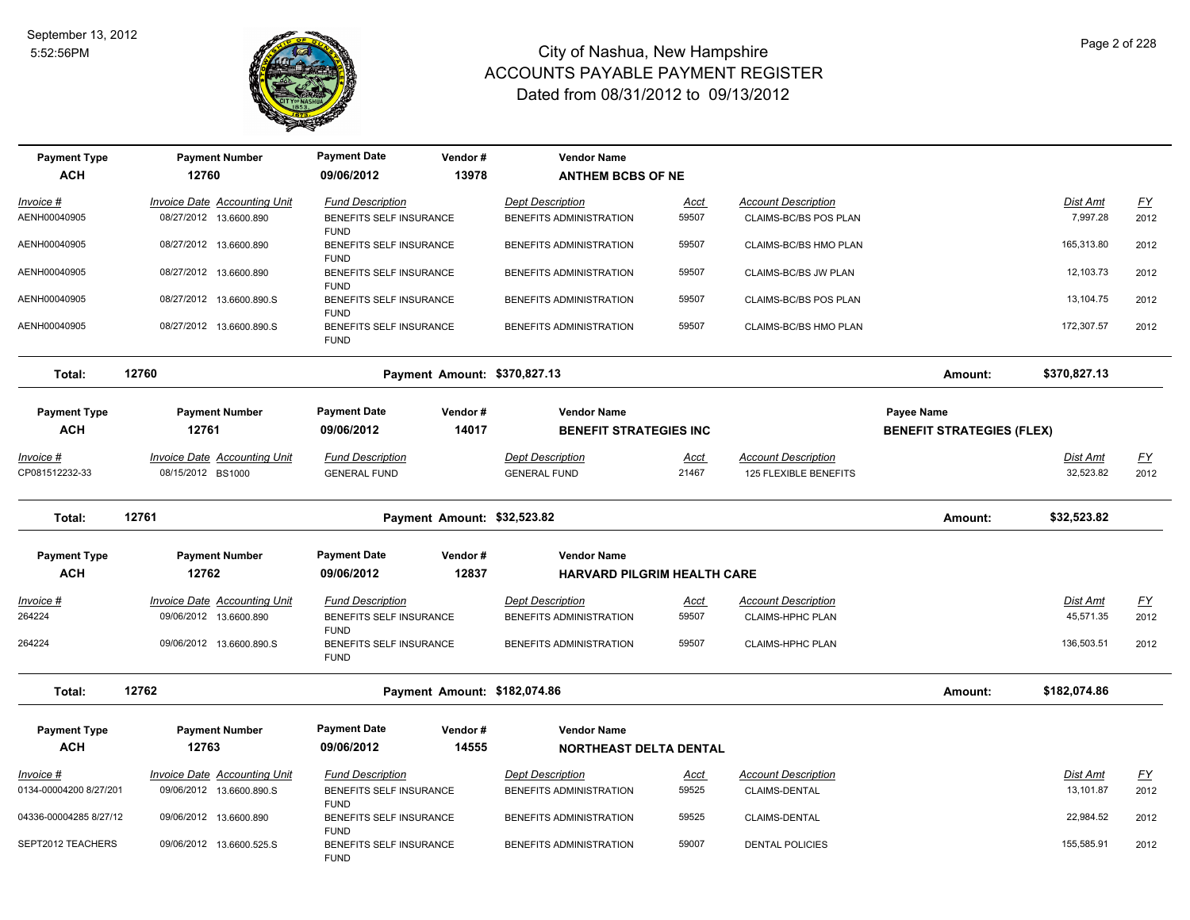

| <b>Payment Type</b>                 | <b>Payment Number</b>                                         | <b>Payment Date</b>                                               | Vendor#                      | <b>Vendor Name</b>                                 |                      |                                                     |                                  |                              |                          |
|-------------------------------------|---------------------------------------------------------------|-------------------------------------------------------------------|------------------------------|----------------------------------------------------|----------------------|-----------------------------------------------------|----------------------------------|------------------------------|--------------------------|
| <b>ACH</b>                          | 12760                                                         | 09/06/2012                                                        | 13978                        | <b>ANTHEM BCBS OF NE</b>                           |                      |                                                     |                                  |                              |                          |
| Invoice #                           | Invoice Date Accounting Unit                                  | <b>Fund Description</b>                                           |                              | Dept Description                                   | <b>Acct</b>          | <b>Account Description</b>                          |                                  | Dist Amt                     | EY                       |
| AENH00040905                        | 08/27/2012 13.6600.890                                        | BENEFITS SELF INSURANCE<br><b>FUND</b>                            |                              | BENEFITS ADMINISTRATION                            | 59507                | CLAIMS-BC/BS POS PLAN                               |                                  | 7,997.28                     | 2012                     |
| AENH00040905                        | 08/27/2012 13.6600.890                                        | BENEFITS SELF INSURANCE<br><b>FUND</b>                            |                              | BENEFITS ADMINISTRATION                            | 59507                | CLAIMS-BC/BS HMO PLAN                               |                                  | 165,313.80                   | 2012                     |
| AENH00040905                        | 08/27/2012 13.6600.890                                        | BENEFITS SELF INSURANCE<br><b>FUND</b>                            |                              | BENEFITS ADMINISTRATION                            | 59507                | CLAIMS-BC/BS JW PLAN                                |                                  | 12.103.73                    | 2012                     |
| AENH00040905                        | 08/27/2012 13.6600.890.S                                      | BENEFITS SELF INSURANCE<br><b>FUND</b>                            |                              | BENEFITS ADMINISTRATION                            | 59507                | CLAIMS-BC/BS POS PLAN                               |                                  | 13,104.75                    | 2012                     |
| AENH00040905                        | 08/27/2012 13.6600.890.S                                      | BENEFITS SELF INSURANCE<br><b>FUND</b>                            |                              | BENEFITS ADMINISTRATION                            | 59507                | CLAIMS-BC/BS HMO PLAN                               |                                  | 172,307.57                   | 2012                     |
| Total:                              | 12760                                                         |                                                                   | Payment Amount: \$370,827.13 |                                                    |                      |                                                     | Amount:                          | \$370,827.13                 |                          |
| <b>Payment Type</b>                 | <b>Payment Number</b>                                         | <b>Payment Date</b>                                               | Vendor#                      | <b>Vendor Name</b>                                 |                      |                                                     | Payee Name                       |                              |                          |
| <b>ACH</b>                          | 12761                                                         | 09/06/2012                                                        | 14017                        | <b>BENEFIT STRATEGIES INC</b>                      |                      |                                                     | <b>BENEFIT STRATEGIES (FLEX)</b> |                              |                          |
| Invoice #<br>CP081512232-33         | <b>Invoice Date Accounting Unit</b><br>08/15/2012 BS1000      | <b>Fund Description</b><br><b>GENERAL FUND</b>                    |                              | <b>Dept Description</b><br><b>GENERAL FUND</b>     | <b>Acct</b><br>21467 | <b>Account Description</b><br>125 FLEXIBLE BENEFITS |                                  | <b>Dist Amt</b><br>32,523.82 | <u>FY</u><br>2012        |
| Total:                              | 12761                                                         |                                                                   | Payment Amount: \$32,523.82  |                                                    |                      |                                                     | Amount:                          | \$32,523.82                  |                          |
| <b>Payment Type</b>                 | <b>Payment Number</b>                                         | <b>Payment Date</b>                                               | Vendor#                      | <b>Vendor Name</b>                                 |                      |                                                     |                                  |                              |                          |
| <b>ACH</b>                          | 12762                                                         | 09/06/2012                                                        | 12837                        | <b>HARVARD PILGRIM HEALTH CARE</b>                 |                      |                                                     |                                  |                              |                          |
| <u> Invoice #</u><br>264224         | <b>Invoice Date Accounting Unit</b><br>09/06/2012 13.6600.890 | <b>Fund Description</b><br>BENEFITS SELF INSURANCE<br><b>FUND</b> |                              | <b>Dept Description</b><br>BENEFITS ADMINISTRATION | <b>Acct</b><br>59507 | <b>Account Description</b><br>CLAIMS-HPHC PLAN      |                                  | <b>Dist Amt</b><br>45,571.35 | EY<br>2012               |
| 264224                              | 09/06/2012 13.6600.890.S                                      | BENEFITS SELF INSURANCE<br><b>FUND</b>                            |                              | BENEFITS ADMINISTRATION                            | 59507                | <b>CLAIMS-HPHC PLAN</b>                             |                                  | 136,503.51                   | 2012                     |
| Total:                              | 12762                                                         |                                                                   | Payment Amount: \$182,074.86 |                                                    |                      |                                                     | Amount:                          | \$182,074.86                 |                          |
| <b>Payment Type</b>                 | <b>Payment Number</b>                                         | <b>Payment Date</b>                                               | Vendor#                      | <b>Vendor Name</b>                                 |                      |                                                     |                                  |                              |                          |
| <b>ACH</b>                          | 12763                                                         | 09/06/2012                                                        | 14555                        | <b>NORTHEAST DELTA DENTAL</b>                      |                      |                                                     |                                  |                              |                          |
| Invoice #<br>0134-00004200 8/27/201 | Invoice Date Accounting Unit<br>09/06/2012 13.6600.890.S      | <b>Fund Description</b><br>BENEFITS SELF INSURANCE                |                              | <b>Dept Description</b><br>BENEFITS ADMINISTRATION | <b>Acct</b><br>59525 | <b>Account Description</b><br>CLAIMS-DENTAL         |                                  | Dist Amt<br>13,101.87        | $\underline{FY}$<br>2012 |
|                                     |                                                               | <b>FUND</b>                                                       |                              |                                                    |                      |                                                     |                                  |                              |                          |
| 04336-00004285 8/27/12              | 09/06/2012 13.6600.890                                        | BENEFITS SELF INSURANCE<br><b>FUND</b>                            |                              | BENEFITS ADMINISTRATION                            | 59525                | CLAIMS-DENTAL                                       |                                  | 22,984.52                    | 2012                     |
| SEPT2012 TEACHERS                   | 09/06/2012 13.6600.525.S                                      | BENEFITS SELF INSURANCE<br><b>FUND</b>                            |                              | BENEFITS ADMINISTRATION                            | 59007                | <b>DENTAL POLICIES</b>                              |                                  | 155,585.91                   | 2012                     |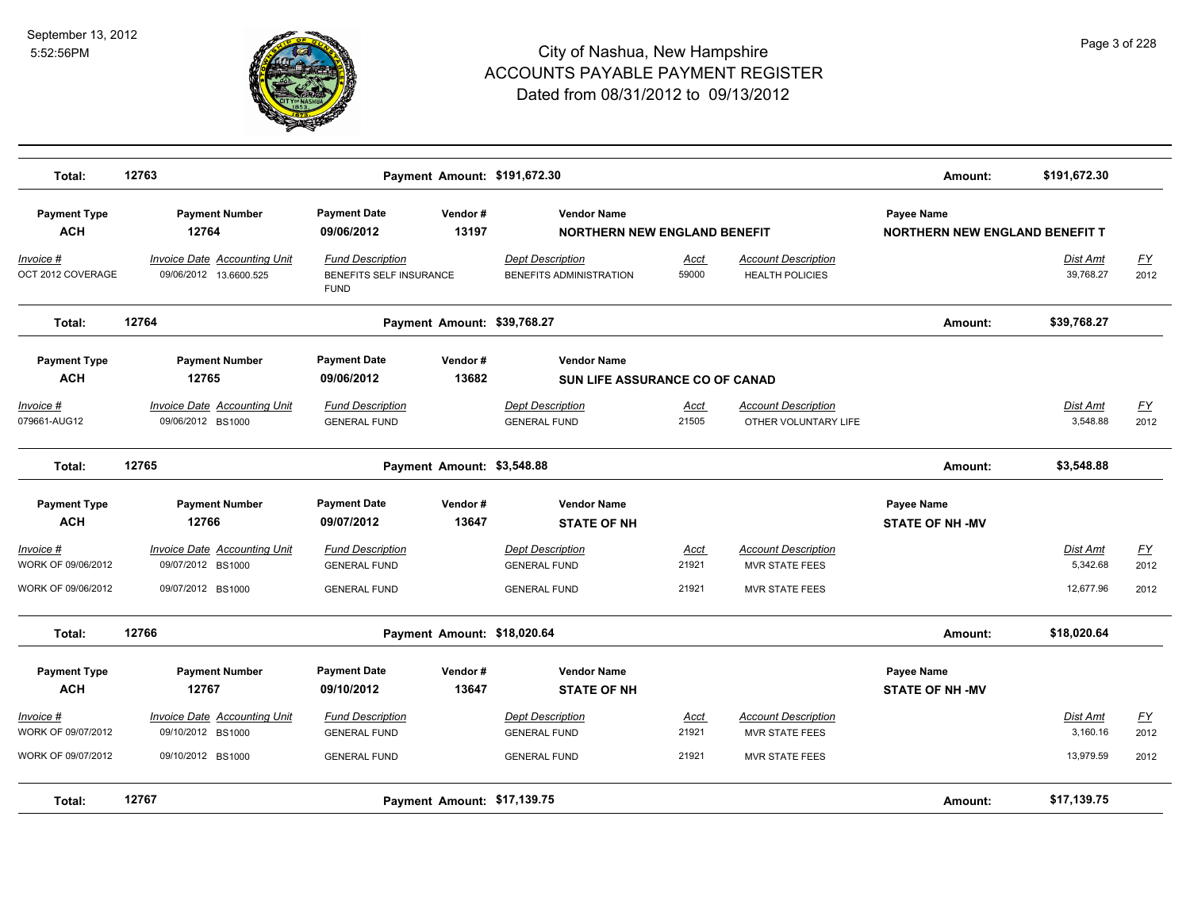

| Total:                            | 12763                                                         |                                                                          | Payment Amount: \$191,672.30 |                                                             |                      |                                                      | Amount:                                             | \$191,672.30          |                          |
|-----------------------------------|---------------------------------------------------------------|--------------------------------------------------------------------------|------------------------------|-------------------------------------------------------------|----------------------|------------------------------------------------------|-----------------------------------------------------|-----------------------|--------------------------|
| <b>Payment Type</b><br><b>ACH</b> | <b>Payment Number</b><br>12764                                | <b>Payment Date</b><br>09/06/2012                                        | Vendor#<br>13197             | <b>Vendor Name</b><br><b>NORTHERN NEW ENGLAND BENEFIT</b>   |                      |                                                      | Payee Name<br><b>NORTHERN NEW ENGLAND BENEFIT T</b> |                       |                          |
| Invoice #<br>OCT 2012 COVERAGE    | <b>Invoice Date Accounting Unit</b><br>09/06/2012 13.6600.525 | <b>Fund Description</b><br><b>BENEFITS SELF INSURANCE</b><br><b>FUND</b> |                              | <b>Dept Description</b><br>BENEFITS ADMINISTRATION          | Acct<br>59000        | <b>Account Description</b><br><b>HEALTH POLICIES</b> |                                                     | Dist Amt<br>39,768.27 | $\underline{FY}$<br>2012 |
| Total:                            | 12764                                                         |                                                                          | Payment Amount: \$39,768.27  |                                                             |                      |                                                      | Amount:                                             | \$39,768.27           |                          |
| <b>Payment Type</b><br><b>ACH</b> | <b>Payment Number</b><br>12765                                | <b>Payment Date</b><br>09/06/2012                                        | Vendor#<br>13682             | <b>Vendor Name</b><br><b>SUN LIFE ASSURANCE CO OF CANAD</b> |                      |                                                      |                                                     |                       |                          |
| Invoice #<br>079661-AUG12         | <b>Invoice Date Accounting Unit</b><br>09/06/2012 BS1000      | <b>Fund Description</b><br><b>GENERAL FUND</b>                           |                              | <b>Dept Description</b><br><b>GENERAL FUND</b>              | <b>Acct</b><br>21505 | <b>Account Description</b><br>OTHER VOLUNTARY LIFE   |                                                     | Dist Amt<br>3,548.88  | <u>FY</u><br>2012        |
| Total:                            | 12765                                                         |                                                                          | Payment Amount: \$3,548.88   |                                                             |                      |                                                      | Amount:                                             | \$3,548.88            |                          |
| <b>Payment Type</b><br><b>ACH</b> | <b>Payment Number</b><br>12766                                | <b>Payment Date</b><br>09/07/2012                                        | Vendor#<br>13647             | <b>Vendor Name</b><br><b>STATE OF NH</b>                    |                      |                                                      | Payee Name<br><b>STATE OF NH -MV</b>                |                       |                          |
| Invoice #<br>WORK OF 09/06/2012   | <b>Invoice Date Accounting Unit</b><br>09/07/2012 BS1000      | <b>Fund Description</b><br><b>GENERAL FUND</b>                           |                              | <b>Dept Description</b><br><b>GENERAL FUND</b>              | <u>Acct</u><br>21921 | <b>Account Description</b><br><b>MVR STATE FEES</b>  |                                                     | Dist Amt<br>5.342.68  | $\underline{FY}$<br>2012 |
| WORK OF 09/06/2012                | 09/07/2012 BS1000                                             | <b>GENERAL FUND</b>                                                      |                              | <b>GENERAL FUND</b>                                         | 21921                | <b>MVR STATE FEES</b>                                |                                                     | 12,677.96             | 2012                     |
| Total:                            | 12766                                                         |                                                                          | Payment Amount: \$18,020.64  |                                                             |                      |                                                      | Amount:                                             | \$18,020.64           |                          |
| <b>Payment Type</b><br><b>ACH</b> | <b>Payment Number</b><br>12767                                | <b>Payment Date</b><br>09/10/2012                                        | Vendor#<br>13647             | <b>Vendor Name</b><br><b>STATE OF NH</b>                    |                      |                                                      | <b>Payee Name</b><br><b>STATE OF NH -MV</b>         |                       |                          |
| Invoice #<br>WORK OF 09/07/2012   | <b>Invoice Date Accounting Unit</b><br>09/10/2012 BS1000      | <b>Fund Description</b><br><b>GENERAL FUND</b>                           |                              | <b>Dept Description</b><br><b>GENERAL FUND</b>              | Acct<br>21921        | <b>Account Description</b><br><b>MVR STATE FEES</b>  |                                                     | Dist Amt<br>3,160.16  | EY<br>2012               |
| WORK OF 09/07/2012                | 09/10/2012 BS1000                                             | <b>GENERAL FUND</b>                                                      |                              | <b>GENERAL FUND</b>                                         | 21921                | <b>MVR STATE FEES</b>                                |                                                     | 13,979.59             | 2012                     |
| Total:                            | 12767                                                         |                                                                          | Payment Amount: \$17,139.75  |                                                             |                      |                                                      | Amount:                                             | \$17,139.75           |                          |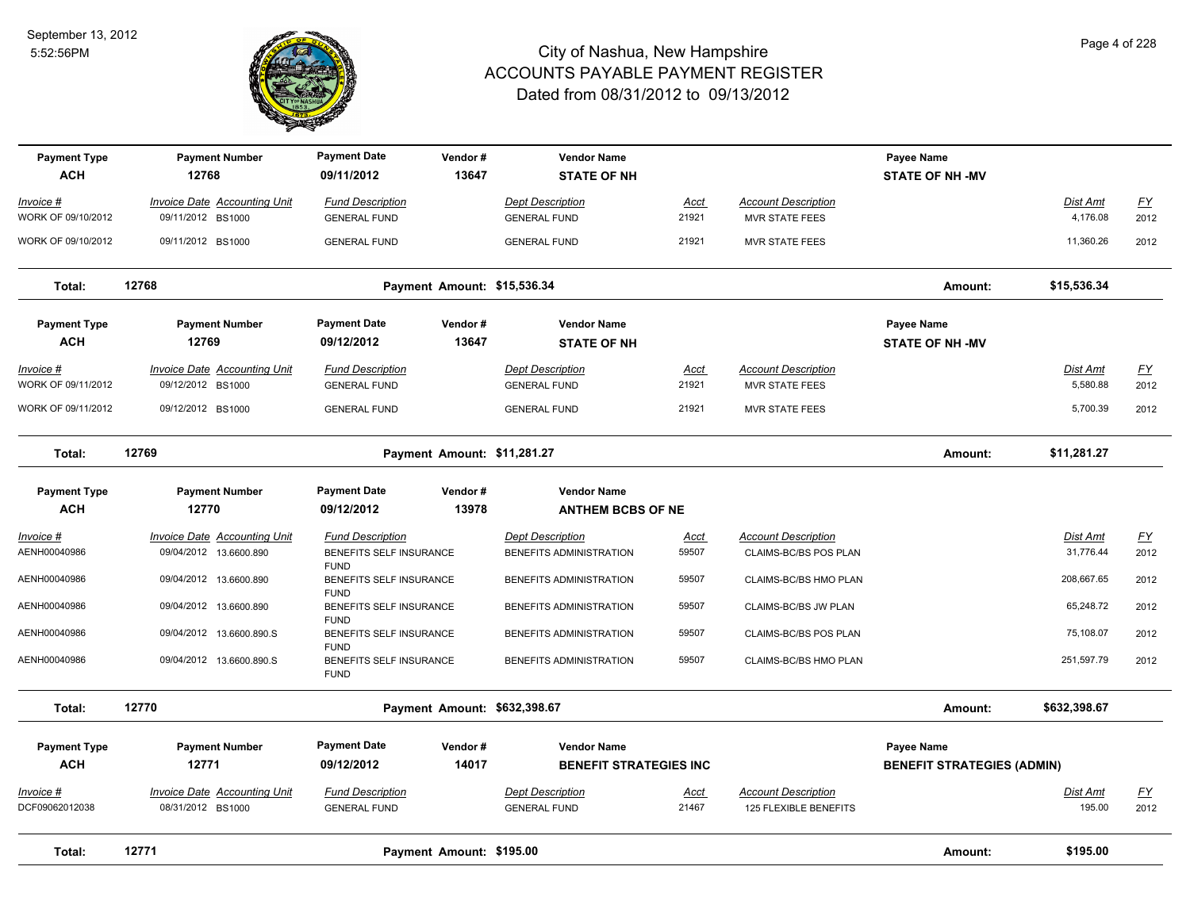

| <b>Payment Type</b><br><b>ACH</b>      | <b>Payment Number</b><br>12768                                | <b>Payment Date</b><br>09/11/2012                     | Vendor#<br>13647            | <b>Vendor Name</b><br><b>STATE OF NH</b>           |                      |                                                     | Payee Name<br><b>STATE OF NH -MV</b> |                              |                   |
|----------------------------------------|---------------------------------------------------------------|-------------------------------------------------------|-----------------------------|----------------------------------------------------|----------------------|-----------------------------------------------------|--------------------------------------|------------------------------|-------------------|
| Invoice #                              | <b>Invoice Date Accounting Unit</b>                           | <b>Fund Description</b>                               |                             | <b>Dept Description</b>                            | Acct                 | <b>Account Description</b>                          |                                      | Dist Amt                     | <u>FY</u>         |
| WORK OF 09/10/2012                     | 09/11/2012 BS1000                                             | <b>GENERAL FUND</b>                                   |                             | <b>GENERAL FUND</b>                                | 21921                | <b>MVR STATE FEES</b>                               |                                      | 4,176.08                     | 2012              |
| WORK OF 09/10/2012                     | 09/11/2012 BS1000                                             | <b>GENERAL FUND</b>                                   |                             | <b>GENERAL FUND</b>                                | 21921                | <b>MVR STATE FEES</b>                               |                                      | 11,360.26                    | 2012              |
| Total:                                 | 12768                                                         |                                                       | Payment Amount: \$15,536.34 |                                                    |                      |                                                     | Amount:                              | \$15,536.34                  |                   |
| <b>Payment Type</b>                    | <b>Payment Number</b>                                         | <b>Payment Date</b>                                   | Vendor#                     | <b>Vendor Name</b>                                 |                      |                                                     | Payee Name                           |                              |                   |
| <b>ACH</b>                             | 12769                                                         | 09/12/2012                                            | 13647                       | <b>STATE OF NH</b>                                 |                      |                                                     | <b>STATE OF NH -MV</b>               |                              |                   |
| <u>Invoice #</u><br>WORK OF 09/11/2012 | <b>Invoice Date Accounting Unit</b><br>09/12/2012 BS1000      | <b>Fund Description</b><br><b>GENERAL FUND</b>        |                             | <b>Dept Description</b><br><b>GENERAL FUND</b>     | <u>Acct</u><br>21921 | <b>Account Description</b><br><b>MVR STATE FEES</b> |                                      | <b>Dist Amt</b><br>5,580.88  | <u>FY</u><br>2012 |
| WORK OF 09/11/2012                     | 09/12/2012 BS1000                                             | <b>GENERAL FUND</b>                                   |                             | <b>GENERAL FUND</b>                                | 21921                | <b>MVR STATE FEES</b>                               |                                      | 5,700.39                     | 2012              |
| Total:                                 | 12769                                                         |                                                       | Payment Amount: \$11,281.27 |                                                    |                      |                                                     | Amount:                              | \$11,281.27                  |                   |
| <b>Payment Type</b>                    | <b>Payment Number</b>                                         | <b>Payment Date</b>                                   | Vendor#                     | <b>Vendor Name</b>                                 |                      |                                                     |                                      |                              |                   |
| <b>ACH</b>                             | 12770                                                         | 09/12/2012                                            | 13978                       | <b>ANTHEM BCBS OF NE</b>                           |                      |                                                     |                                      |                              |                   |
| Invoice #<br>AENH00040986              | <b>Invoice Date Accounting Unit</b><br>09/04/2012 13.6600.890 | <b>Fund Description</b><br>BENEFITS SELF INSURANCE    |                             | <b>Dept Description</b><br>BENEFITS ADMINISTRATION | <u>Acct</u><br>59507 | <b>Account Description</b><br>CLAIMS-BC/BS POS PLAN |                                      | <b>Dist Amt</b><br>31,776.44 | <u>FY</u><br>2012 |
| AENH00040986                           | 09/04/2012 13.6600.890                                        | <b>FUND</b><br>BENEFITS SELF INSURANCE<br><b>FUND</b> |                             | BENEFITS ADMINISTRATION                            | 59507                | CLAIMS-BC/BS HMO PLAN                               |                                      | 208,667.65                   | 2012              |
| AENH00040986                           | 09/04/2012 13.6600.890                                        | BENEFITS SELF INSURANCE<br><b>FUND</b>                |                             | BENEFITS ADMINISTRATION                            | 59507                | CLAIMS-BC/BS JW PLAN                                |                                      | 65,248.72                    | 2012              |
| AENH00040986                           | 09/04/2012 13.6600.890.S                                      | BENEFITS SELF INSURANCE<br><b>FUND</b>                |                             | BENEFITS ADMINISTRATION                            | 59507                | CLAIMS-BC/BS POS PLAN                               |                                      | 75,108.07                    | 2012              |
| AENH00040986                           | 09/04/2012 13.6600.890.S                                      | BENEFITS SELF INSURANCE<br><b>FUND</b>                |                             | BENEFITS ADMINISTRATION                            | 59507                | CLAIMS-BC/BS HMO PLAN                               |                                      | 251,597.79                   | 2012              |
| Total:                                 | 12770                                                         |                                                       |                             | Payment Amount: \$632,398.67                       |                      |                                                     | Amount:                              | \$632,398.67                 |                   |
| <b>Payment Type</b>                    | <b>Payment Number</b>                                         | <b>Payment Date</b>                                   | Vendor#                     | <b>Vendor Name</b>                                 |                      |                                                     | Payee Name                           |                              |                   |
| <b>ACH</b>                             | 12771                                                         | 09/12/2012                                            | 14017                       | <b>BENEFIT STRATEGIES INC</b>                      |                      |                                                     | <b>BENEFIT STRATEGIES (ADMIN)</b>    |                              |                   |
| <u>Invoice #</u><br>DCF09062012038     | <b>Invoice Date Accounting Unit</b><br>08/31/2012 BS1000      | <b>Fund Description</b><br><b>GENERAL FUND</b>        |                             | <b>Dept Description</b><br><b>GENERAL FUND</b>     | <u>Acct</u><br>21467 | <b>Account Description</b><br>125 FLEXIBLE BENEFITS |                                      | <u>Dist Amt</u><br>195.00    | <u>FY</u><br>2012 |
| Total:                                 | 12771                                                         |                                                       | Payment Amount: \$195.00    |                                                    |                      |                                                     | Amount:                              | \$195.00                     |                   |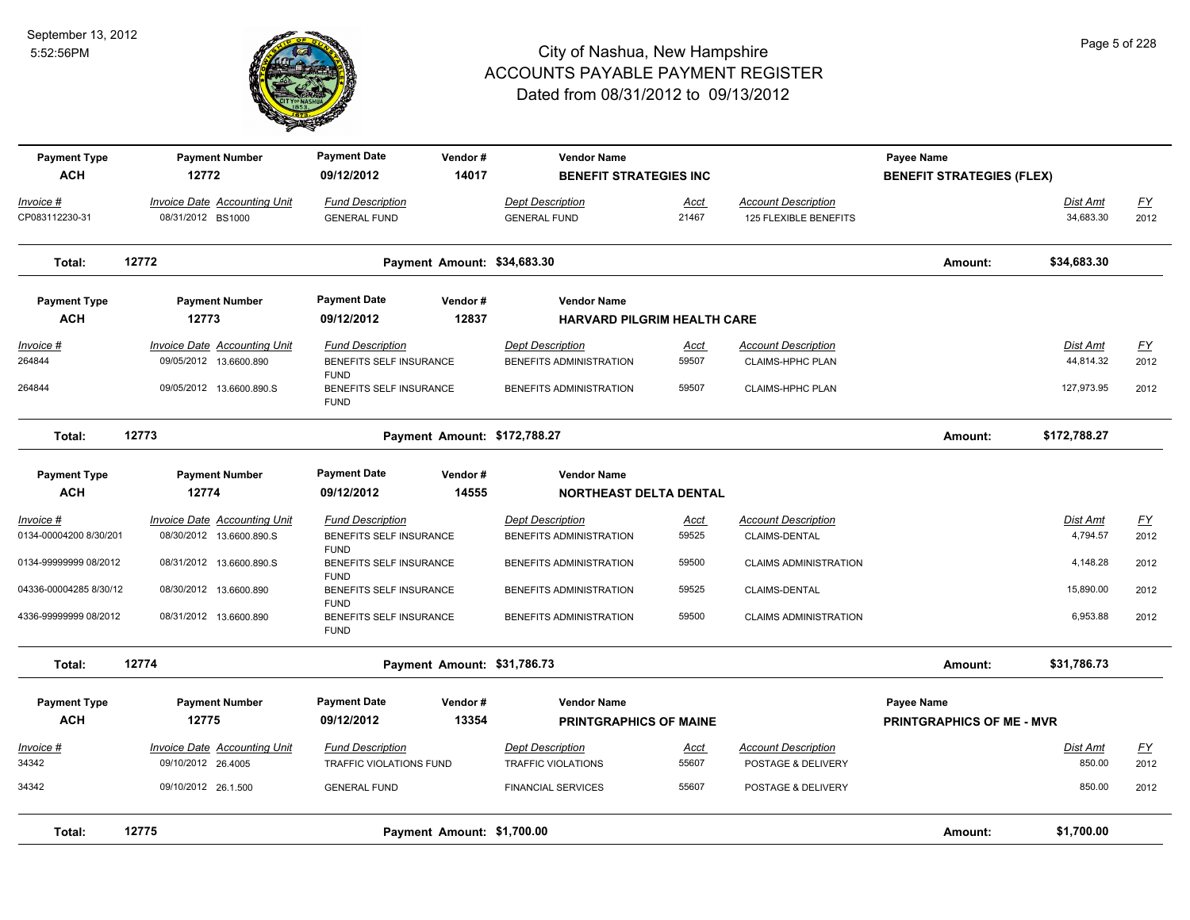

| <b>Payment Type</b><br><b>ACH</b> | <b>Payment Number</b><br>12772                         | <b>Payment Date</b><br>09/12/2012                     | Vendor#                      | <b>Vendor Name</b>                                 |               |                                                       | Payee Name                       |                       |                   |
|-----------------------------------|--------------------------------------------------------|-------------------------------------------------------|------------------------------|----------------------------------------------------|---------------|-------------------------------------------------------|----------------------------------|-----------------------|-------------------|
|                                   |                                                        |                                                       | 14017                        | <b>BENEFIT STRATEGIES INC</b>                      |               |                                                       | <b>BENEFIT STRATEGIES (FLEX)</b> |                       |                   |
| Invoice #<br>CP083112230-31       | Invoice Date Accounting Unit<br>08/31/2012 BS1000      | <b>Fund Description</b><br><b>GENERAL FUND</b>        |                              | <b>Dept Description</b><br><b>GENERAL FUND</b>     | Acct<br>21467 | <b>Account Description</b><br>125 FLEXIBLE BENEFITS   |                                  | Dist Amt<br>34,683.30 | <u>FY</u><br>2012 |
| Total:                            | 12772                                                  |                                                       | Payment Amount: \$34,683.30  |                                                    |               |                                                       | Amount:                          | \$34,683.30           |                   |
| <b>Payment Type</b>               | <b>Payment Number</b>                                  | <b>Payment Date</b>                                   | Vendor#                      | <b>Vendor Name</b>                                 |               |                                                       |                                  |                       |                   |
| <b>ACH</b>                        | 12773                                                  | 09/12/2012                                            | 12837                        | <b>HARVARD PILGRIM HEALTH CARE</b>                 |               |                                                       |                                  |                       |                   |
| Invoice #<br>264844               | Invoice Date Accounting Unit<br>09/05/2012 13.6600.890 | <b>Fund Description</b><br>BENEFITS SELF INSURANCE    |                              | <b>Dept Description</b><br>BENEFITS ADMINISTRATION | Acct<br>59507 | <b>Account Description</b><br><b>CLAIMS-HPHC PLAN</b> |                                  | Dist Amt<br>44,814.32 | <u>FY</u><br>2012 |
| 264844                            | 09/05/2012 13.6600.890.S                               | <b>FUND</b><br>BENEFITS SELF INSURANCE<br><b>FUND</b> |                              | BENEFITS ADMINISTRATION                            | 59507         | <b>CLAIMS-HPHC PLAN</b>                               |                                  | 127,973.95            | 2012              |
| Total:                            | 12773                                                  |                                                       | Payment Amount: \$172,788.27 |                                                    |               |                                                       | Amount:                          | \$172,788.27          |                   |
| <b>Payment Type</b>               | <b>Payment Number</b>                                  | <b>Payment Date</b>                                   | Vendor#                      | <b>Vendor Name</b>                                 |               |                                                       |                                  |                       |                   |
| <b>ACH</b>                        | 12774                                                  | 09/12/2012                                            | 14555                        | <b>NORTHEAST DELTA DENTAL</b>                      |               |                                                       |                                  |                       |                   |
| $Invoice$ #                       | <b>Invoice Date Accounting Unit</b>                    | <b>Fund Description</b>                               |                              | <b>Dept Description</b>                            | <u>Acct</u>   | <b>Account Description</b>                            |                                  | <b>Dist Amt</b>       | <u>FY</u>         |
| 0134-00004200 8/30/201            | 08/30/2012 13.6600.890.S                               | BENEFITS SELF INSURANCE<br><b>FUND</b>                |                              | BENEFITS ADMINISTRATION                            | 59525         | CLAIMS-DENTAL                                         |                                  | 4,794.57              | 2012              |
| 0134-99999999 08/2012             | 08/31/2012 13.6600.890.S                               | BENEFITS SELF INSURANCE<br><b>FUND</b>                |                              | BENEFITS ADMINISTRATION                            | 59500         | <b>CLAIMS ADMINISTRATION</b>                          |                                  | 4,148.28              | 2012              |
| 04336-00004285 8/30/12            | 08/30/2012 13.6600.890                                 | BENEFITS SELF INSURANCE<br><b>FUND</b>                |                              | BENEFITS ADMINISTRATION                            | 59525         | <b>CLAIMS-DENTAL</b>                                  |                                  | 15,890.00             | 2012              |
| 4336-99999999 08/2012             | 08/31/2012 13.6600.890                                 | BENEFITS SELF INSURANCE<br><b>FUND</b>                |                              | BENEFITS ADMINISTRATION                            | 59500         | <b>CLAIMS ADMINISTRATION</b>                          |                                  | 6,953.88              | 2012              |
| Total:                            | 12774                                                  |                                                       | Payment Amount: \$31,786.73  |                                                    |               |                                                       | Amount:                          | \$31,786.73           |                   |
| <b>Payment Type</b>               | <b>Payment Number</b>                                  | <b>Payment Date</b>                                   | Vendor#                      | <b>Vendor Name</b>                                 |               |                                                       | Payee Name                       |                       |                   |
| <b>ACH</b>                        | 12775                                                  | 09/12/2012                                            | 13354                        | <b>PRINTGRAPHICS OF MAINE</b>                      |               |                                                       | <b>PRINTGRAPHICS OF ME - MVR</b> |                       |                   |
| Invoice #                         | Invoice Date Accounting Unit                           | <b>Fund Description</b>                               |                              | <b>Dept Description</b>                            | Acct          | <b>Account Description</b>                            |                                  | Dist Amt              | <u>FY</u>         |
| 34342                             | 09/10/2012 26.4005                                     | TRAFFIC VIOLATIONS FUND                               |                              | <b>TRAFFIC VIOLATIONS</b>                          | 55607         | POSTAGE & DELIVERY                                    |                                  | 850.00                | 2012              |
| 34342                             | 09/10/2012 26.1.500                                    | <b>GENERAL FUND</b>                                   |                              | <b>FINANCIAL SERVICES</b>                          | 55607         | POSTAGE & DELIVERY                                    |                                  | 850.00                | 2012              |
| Total:                            | 12775                                                  |                                                       | Payment Amount: \$1,700.00   |                                                    |               |                                                       | Amount:                          | \$1,700.00            |                   |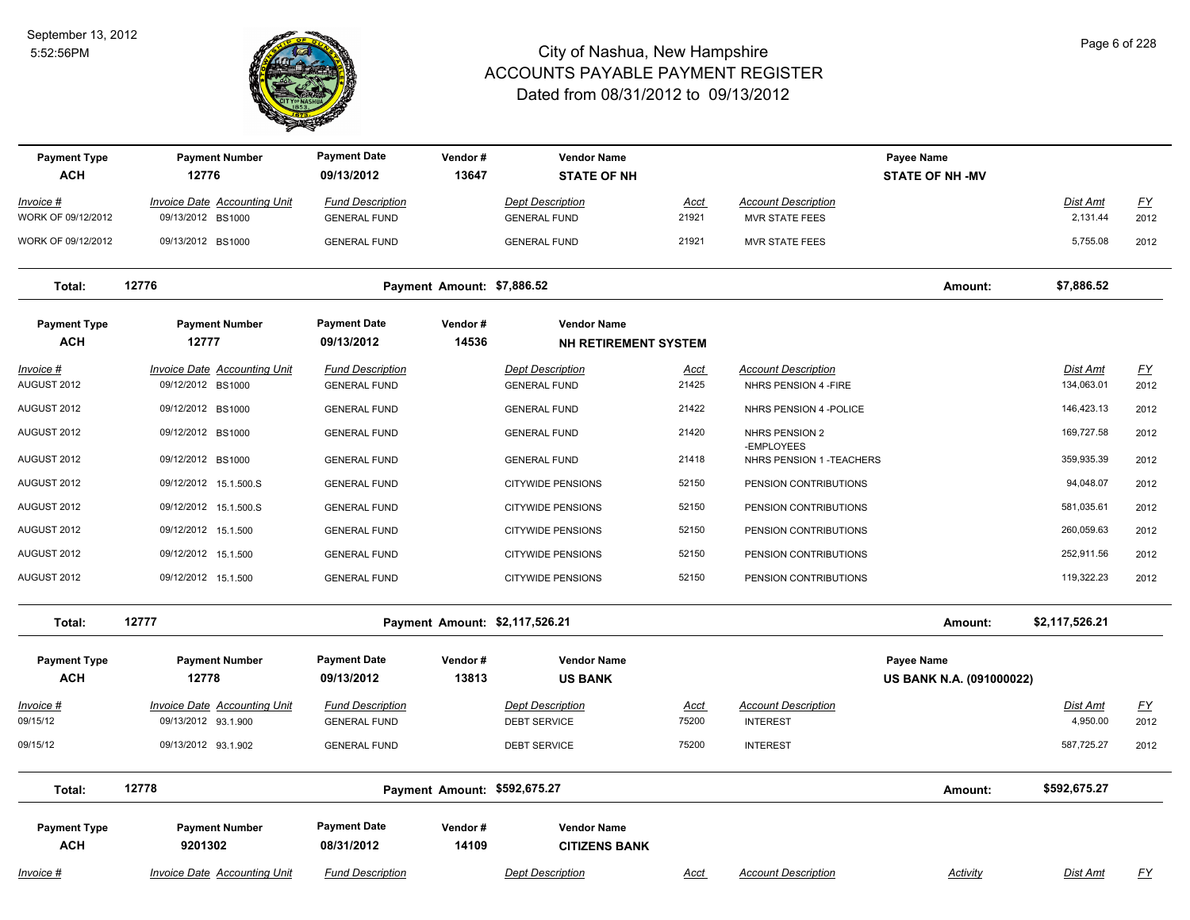

| <b>Payment Type</b><br><b>ACH</b> | <b>Payment Number</b><br>12776                             | <b>Payment Date</b><br>09/13/2012              | Vendor#<br>13647             | <b>Vendor Name</b><br><b>STATE OF NH</b>       |                      |                                                     | Payee Name<br><b>STATE OF NH -MV</b> |                             |                   |
|-----------------------------------|------------------------------------------------------------|------------------------------------------------|------------------------------|------------------------------------------------|----------------------|-----------------------------------------------------|--------------------------------------|-----------------------------|-------------------|
| Invoice #                         | <b>Invoice Date Accounting Unit</b>                        | <b>Fund Description</b>                        |                              | <b>Dept Description</b>                        | Acct                 | <b>Account Description</b>                          |                                      | Dist Amt                    | <u>FY</u>         |
| WORK OF 09/12/2012                | 09/13/2012 BS1000                                          | <b>GENERAL FUND</b>                            |                              | <b>GENERAL FUND</b>                            | 21921                | <b>MVR STATE FEES</b>                               |                                      | 2,131.44                    | 2012              |
| WORK OF 09/12/2012                | 09/13/2012 BS1000                                          | <b>GENERAL FUND</b>                            |                              | <b>GENERAL FUND</b>                            | 21921                | <b>MVR STATE FEES</b>                               |                                      | 5,755.08                    | 2012              |
| Total:                            | 12776                                                      |                                                | Payment Amount: \$7,886.52   |                                                |                      |                                                     | Amount:                              | \$7,886.52                  |                   |
| <b>Payment Type</b>               | <b>Payment Number</b>                                      | <b>Payment Date</b>                            | Vendor#                      | <b>Vendor Name</b>                             |                      |                                                     |                                      |                             |                   |
| <b>ACH</b>                        | 12777                                                      | 09/13/2012                                     | 14536                        | <b>NH RETIREMENT SYSTEM</b>                    |                      |                                                     |                                      |                             |                   |
| Invoice #<br>AUGUST 2012          | <b>Invoice Date Accounting Unit</b><br>09/12/2012 BS1000   | <b>Fund Description</b><br><b>GENERAL FUND</b> |                              | <b>Dept Description</b><br><b>GENERAL FUND</b> | Acct<br>21425        | <b>Account Description</b><br>NHRS PENSION 4 - FIRE |                                      | Dist Amt<br>134,063.01      | <u>FY</u><br>2012 |
|                                   |                                                            |                                                |                              |                                                |                      |                                                     |                                      |                             |                   |
| AUGUST 2012                       | 09/12/2012 BS1000                                          | <b>GENERAL FUND</b>                            |                              | <b>GENERAL FUND</b>                            | 21422                | NHRS PENSION 4 - POLICE                             |                                      | 146,423.13                  | 2012              |
| AUGUST 2012                       | 09/12/2012 BS1000                                          | <b>GENERAL FUND</b>                            |                              | <b>GENERAL FUND</b>                            | 21420                | NHRS PENSION 2<br>-EMPLOYEES                        |                                      | 169,727.58                  | 2012              |
| AUGUST 2012                       | 09/12/2012 BS1000                                          | <b>GENERAL FUND</b>                            |                              | <b>GENERAL FUND</b>                            | 21418                | NHRS PENSION 1 - TEACHERS                           |                                      | 359,935.39                  | 2012              |
| AUGUST 2012                       | 09/12/2012 15.1.500.S                                      | <b>GENERAL FUND</b>                            |                              | <b>CITYWIDE PENSIONS</b>                       | 52150                | PENSION CONTRIBUTIONS                               |                                      | 94,048.07                   | 2012              |
| AUGUST 2012                       | 09/12/2012 15.1.500.S                                      | <b>GENERAL FUND</b>                            |                              | <b>CITYWIDE PENSIONS</b>                       | 52150                | PENSION CONTRIBUTIONS                               |                                      | 581,035.61                  | 2012              |
| AUGUST 2012                       | 09/12/2012 15.1.500                                        | <b>GENERAL FUND</b>                            |                              | <b>CITYWIDE PENSIONS</b>                       | 52150                | PENSION CONTRIBUTIONS                               |                                      | 260,059.63                  | 2012              |
| AUGUST 2012                       | 09/12/2012 15.1.500                                        | <b>GENERAL FUND</b>                            |                              | <b>CITYWIDE PENSIONS</b>                       | 52150                | PENSION CONTRIBUTIONS                               |                                      | 252,911.56                  | 2012              |
| AUGUST 2012                       | 09/12/2012 15.1.500                                        | <b>GENERAL FUND</b>                            |                              | <b>CITYWIDE PENSIONS</b>                       | 52150                | PENSION CONTRIBUTIONS                               |                                      | 119,322.23                  | 2012              |
| Total:                            | 12777                                                      |                                                |                              | Payment Amount: \$2,117,526.21                 |                      |                                                     | Amount:                              | \$2,117,526.21              |                   |
| <b>Payment Type</b>               | <b>Payment Number</b>                                      | <b>Payment Date</b>                            | Vendor#                      | <b>Vendor Name</b>                             |                      |                                                     | Payee Name                           |                             |                   |
| <b>ACH</b>                        | 12778                                                      | 09/13/2012                                     | 13813                        | <b>US BANK</b>                                 |                      |                                                     | US BANK N.A. (091000022)             |                             |                   |
| <u>Invoice #</u><br>09/15/12      | <b>Invoice Date Accounting Unit</b><br>09/13/2012 93.1.900 | <b>Fund Description</b><br><b>GENERAL FUND</b> |                              | <b>Dept Description</b><br><b>DEBT SERVICE</b> | <u>Acct</u><br>75200 | <b>Account Description</b><br><b>INTEREST</b>       |                                      | <b>Dist Amt</b><br>4,950.00 | <u>FY</u><br>2012 |
| 09/15/12                          | 09/13/2012 93.1.902                                        | <b>GENERAL FUND</b>                            |                              | DEBT SERVICE                                   | 75200                | <b>INTEREST</b>                                     |                                      | 587,725.27                  | 2012              |
| Total:                            | 12778                                                      |                                                | Payment Amount: \$592,675.27 |                                                |                      |                                                     | Amount:                              | \$592,675.27                |                   |
| <b>Payment Type</b><br><b>ACH</b> | <b>Payment Number</b><br>9201302                           | <b>Payment Date</b><br>08/31/2012              | Vendor#<br>14109             | <b>Vendor Name</b><br><b>CITIZENS BANK</b>     |                      |                                                     |                                      |                             |                   |
| Invoice #                         | <b>Invoice Date Accounting Unit</b>                        | <b>Fund Description</b>                        |                              | <b>Dept Description</b>                        | Acct                 | <b>Account Description</b>                          | <b>Activity</b>                      | Dist Amt                    | <u>FY</u>         |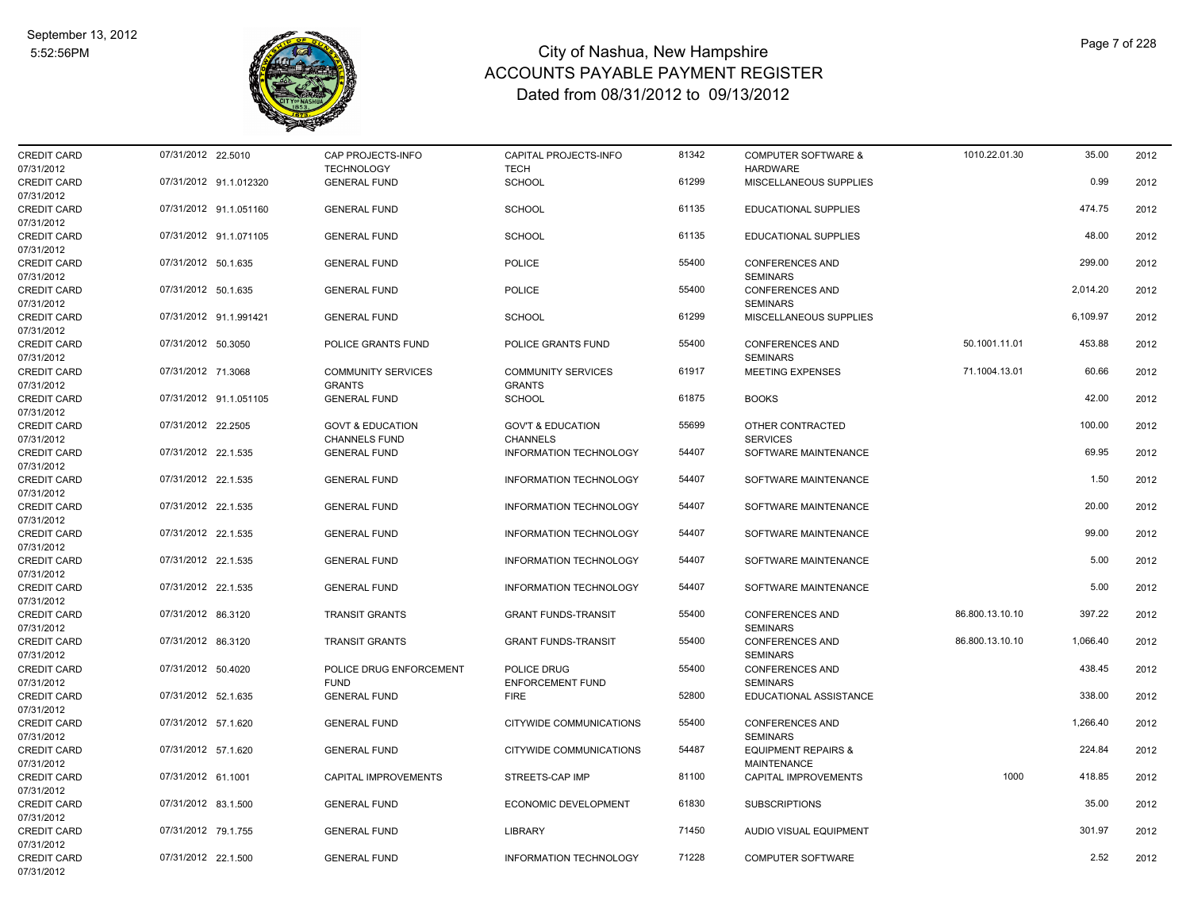

| <b>CREDIT CARD</b> | 07/31/2012 22.5010     | CAP PROJECTS-INFO           | CAPITAL PROJECTS-INFO         | 81342 | <b>COMPUTER SOFTWARE &amp;</b> | 1010.22.01.30   | 35.00    | 2012 |
|--------------------|------------------------|-----------------------------|-------------------------------|-------|--------------------------------|-----------------|----------|------|
| 07/31/2012         |                        | <b>TECHNOLOGY</b>           | <b>TECH</b>                   |       | <b>HARDWARE</b>                |                 |          |      |
| <b>CREDIT CARD</b> | 07/31/2012 91.1.012320 | <b>GENERAL FUND</b>         | <b>SCHOOL</b>                 | 61299 | MISCELLANEOUS SUPPLIES         |                 | 0.99     | 2012 |
| 07/31/2012         |                        |                             |                               |       |                                |                 |          |      |
| <b>CREDIT CARD</b> | 07/31/2012 91.1.051160 | <b>GENERAL FUND</b>         | <b>SCHOOL</b>                 | 61135 | EDUCATIONAL SUPPLIES           |                 | 474.75   | 2012 |
| 07/31/2012         |                        |                             |                               |       |                                |                 |          |      |
| <b>CREDIT CARD</b> | 07/31/2012 91.1.071105 | <b>GENERAL FUND</b>         | SCHOOL                        | 61135 | <b>EDUCATIONAL SUPPLIES</b>    |                 | 48.00    | 2012 |
| 07/31/2012         |                        |                             |                               |       |                                |                 |          |      |
| <b>CREDIT CARD</b> | 07/31/2012 50.1.635    | <b>GENERAL FUND</b>         | <b>POLICE</b>                 | 55400 | <b>CONFERENCES AND</b>         |                 | 299.00   | 2012 |
| 07/31/2012         |                        |                             |                               |       | <b>SEMINARS</b>                |                 |          |      |
| <b>CREDIT CARD</b> | 07/31/2012 50.1.635    | <b>GENERAL FUND</b>         | <b>POLICE</b>                 | 55400 | <b>CONFERENCES AND</b>         |                 | 2,014.20 | 2012 |
| 07/31/2012         |                        |                             |                               |       | <b>SEMINARS</b>                |                 |          |      |
| <b>CREDIT CARD</b> | 07/31/2012 91.1.991421 | <b>GENERAL FUND</b>         | <b>SCHOOL</b>                 | 61299 | MISCELLANEOUS SUPPLIES         |                 | 6,109.97 | 2012 |
| 07/31/2012         |                        |                             |                               |       |                                |                 |          |      |
| <b>CREDIT CARD</b> | 07/31/2012 50.3050     | POLICE GRANTS FUND          | POLICE GRANTS FUND            | 55400 | <b>CONFERENCES AND</b>         | 50.1001.11.01   | 453.88   | 2012 |
| 07/31/2012         |                        |                             |                               |       | <b>SEMINARS</b>                |                 |          |      |
| <b>CREDIT CARD</b> | 07/31/2012 71.3068     | <b>COMMUNITY SERVICES</b>   | <b>COMMUNITY SERVICES</b>     | 61917 | <b>MEETING EXPENSES</b>        | 71.1004.13.01   | 60.66    | 2012 |
| 07/31/2012         |                        | <b>GRANTS</b>               | <b>GRANTS</b>                 |       |                                |                 |          |      |
| <b>CREDIT CARD</b> | 07/31/2012 91.1.051105 | <b>GENERAL FUND</b>         | <b>SCHOOL</b>                 | 61875 | <b>BOOKS</b>                   |                 | 42.00    | 2012 |
| 07/31/2012         |                        |                             |                               |       |                                |                 |          |      |
| <b>CREDIT CARD</b> | 07/31/2012 22.2505     | <b>GOVT &amp; EDUCATION</b> | <b>GOV'T &amp; EDUCATION</b>  | 55699 | OTHER CONTRACTED               |                 | 100.00   | 2012 |
| 07/31/2012         |                        | <b>CHANNELS FUND</b>        | <b>CHANNELS</b>               |       | <b>SERVICES</b>                |                 |          |      |
| <b>CREDIT CARD</b> | 07/31/2012 22.1.535    | <b>GENERAL FUND</b>         | INFORMATION TECHNOLOGY        | 54407 | SOFTWARE MAINTENANCE           |                 | 69.95    | 2012 |
| 07/31/2012         |                        |                             |                               |       |                                |                 |          |      |
| <b>CREDIT CARD</b> | 07/31/2012 22.1.535    | <b>GENERAL FUND</b>         | INFORMATION TECHNOLOGY        | 54407 | SOFTWARE MAINTENANCE           |                 | 1.50     | 2012 |
| 07/31/2012         |                        |                             |                               |       |                                |                 |          |      |
| <b>CREDIT CARD</b> | 07/31/2012 22.1.535    | <b>GENERAL FUND</b>         | <b>INFORMATION TECHNOLOGY</b> | 54407 | SOFTWARE MAINTENANCE           |                 | 20.00    | 2012 |
| 07/31/2012         |                        |                             |                               |       |                                |                 |          |      |
| <b>CREDIT CARD</b> | 07/31/2012 22.1.535    | <b>GENERAL FUND</b>         | INFORMATION TECHNOLOGY        | 54407 | SOFTWARE MAINTENANCE           |                 | 99.00    | 2012 |
| 07/31/2012         |                        |                             |                               |       |                                |                 |          |      |
| <b>CREDIT CARD</b> | 07/31/2012 22.1.535    | <b>GENERAL FUND</b>         | INFORMATION TECHNOLOGY        | 54407 | SOFTWARE MAINTENANCE           |                 | 5.00     | 2012 |
| 07/31/2012         |                        |                             |                               |       |                                |                 |          |      |
| <b>CREDIT CARD</b> | 07/31/2012 22.1.535    | <b>GENERAL FUND</b>         | INFORMATION TECHNOLOGY        | 54407 | SOFTWARE MAINTENANCE           |                 | 5.00     | 2012 |
| 07/31/2012         |                        |                             |                               |       |                                |                 |          |      |
| <b>CREDIT CARD</b> | 07/31/2012 86.3120     | <b>TRANSIT GRANTS</b>       | <b>GRANT FUNDS-TRANSIT</b>    | 55400 | <b>CONFERENCES AND</b>         | 86.800.13.10.10 | 397.22   | 2012 |
| 07/31/2012         |                        |                             |                               |       | <b>SEMINARS</b>                |                 |          |      |
| <b>CREDIT CARD</b> | 07/31/2012 86.3120     | <b>TRANSIT GRANTS</b>       | <b>GRANT FUNDS-TRANSIT</b>    | 55400 | <b>CONFERENCES AND</b>         | 86.800.13.10.10 | 1,066.40 | 2012 |
| 07/31/2012         |                        |                             |                               |       | <b>SEMINARS</b>                |                 |          |      |
| <b>CREDIT CARD</b> | 07/31/2012 50.4020     | POLICE DRUG ENFORCEMENT     | POLICE DRUG                   | 55400 | <b>CONFERENCES AND</b>         |                 | 438.45   | 2012 |
| 07/31/2012         |                        | <b>FUND</b>                 | <b>ENFORCEMENT FUND</b>       |       | <b>SEMINARS</b>                |                 |          |      |
| <b>CREDIT CARD</b> | 07/31/2012 52.1.635    | <b>GENERAL FUND</b>         | <b>FIRE</b>                   | 52800 | EDUCATIONAL ASSISTANCE         |                 | 338.00   | 2012 |
| 07/31/2012         |                        |                             |                               |       |                                |                 |          |      |
| <b>CREDIT CARD</b> | 07/31/2012 57.1.620    | <b>GENERAL FUND</b>         | CITYWIDE COMMUNICATIONS       | 55400 | <b>CONFERENCES AND</b>         |                 | 1,266.40 | 2012 |
| 07/31/2012         |                        |                             |                               |       | <b>SEMINARS</b>                |                 |          |      |
| <b>CREDIT CARD</b> | 07/31/2012 57.1.620    | <b>GENERAL FUND</b>         | CITYWIDE COMMUNICATIONS       | 54487 | <b>EQUIPMENT REPAIRS &amp;</b> |                 | 224.84   | 2012 |
| 07/31/2012         |                        |                             |                               |       | <b>MAINTENANCE</b>             |                 |          |      |
| <b>CREDIT CARD</b> | 07/31/2012 61.1001     | <b>CAPITAL IMPROVEMENTS</b> | STREETS-CAP IMP               | 81100 | <b>CAPITAL IMPROVEMENTS</b>    | 1000            | 418.85   | 2012 |
| 07/31/2012         |                        |                             |                               |       |                                |                 |          |      |
| <b>CREDIT CARD</b> | 07/31/2012 83.1.500    | <b>GENERAL FUND</b>         | <b>ECONOMIC DEVELOPMENT</b>   | 61830 | <b>SUBSCRIPTIONS</b>           |                 | 35.00    | 2012 |
| 07/31/2012         |                        |                             |                               |       |                                |                 |          |      |
| <b>CREDIT CARD</b> | 07/31/2012 79.1.755    | <b>GENERAL FUND</b>         | <b>LIBRARY</b>                | 71450 | AUDIO VISUAL EQUIPMENT         |                 | 301.97   | 2012 |
| 07/31/2012         |                        |                             |                               |       |                                |                 |          |      |
| <b>CREDIT CARD</b> | 07/31/2012 22.1.500    | <b>GENERAL FUND</b>         | <b>INFORMATION TECHNOLOGY</b> | 71228 | <b>COMPUTER SOFTWARE</b>       |                 | 2.52     | 2012 |
| 07/31/2012         |                        |                             |                               |       |                                |                 |          |      |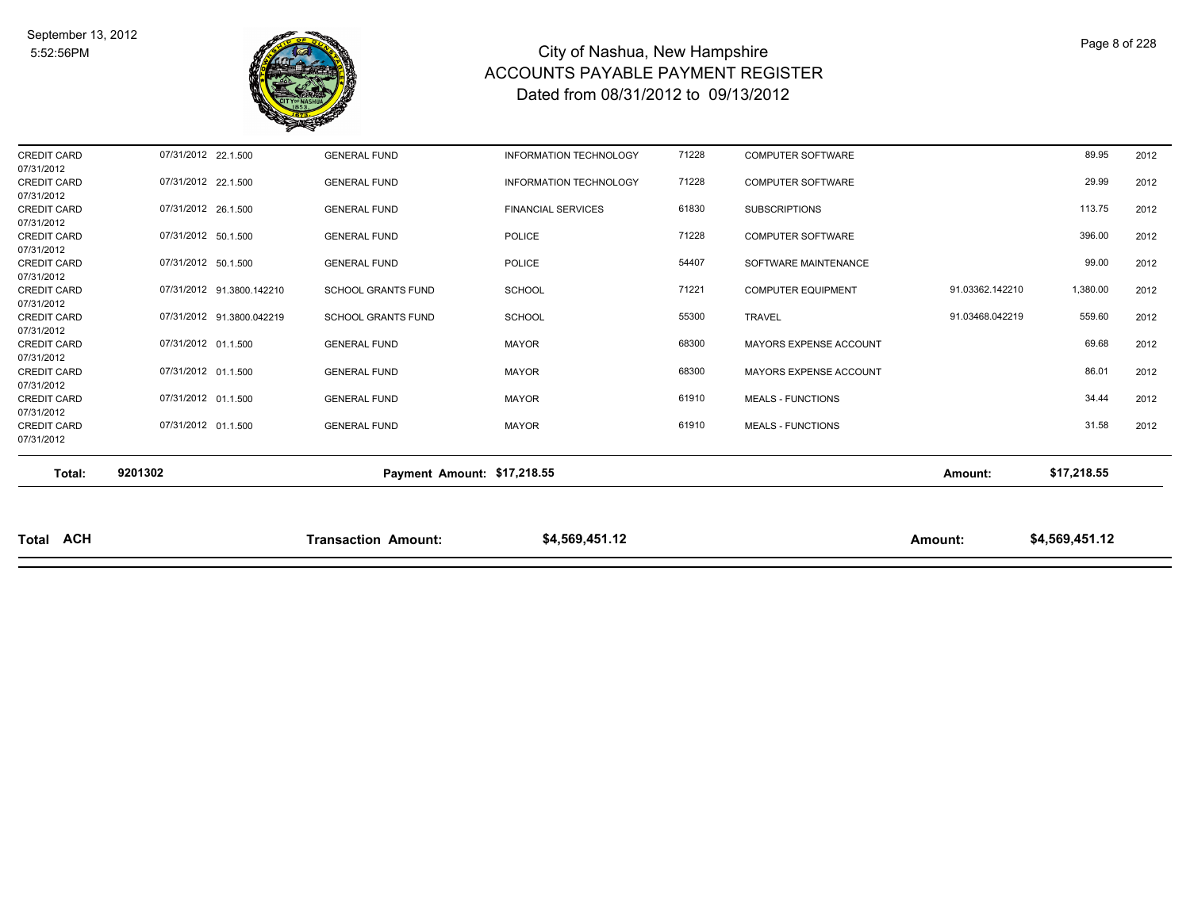

| <b>Total ACH</b>                               |                     |                           | <b>Transaction Amount:</b>  | \$4,569,451.12                |       |                           | Amount:         | \$4,569,451.12 |      |
|------------------------------------------------|---------------------|---------------------------|-----------------------------|-------------------------------|-------|---------------------------|-----------------|----------------|------|
| Total:                                         | 9201302             |                           | Payment Amount: \$17,218.55 |                               |       |                           | Amount:         | \$17,218.55    |      |
| 07/31/2012                                     |                     |                           |                             |                               |       |                           |                 |                |      |
| 07/31/2012<br><b>CREDIT CARD</b>               | 07/31/2012 01.1.500 |                           | <b>GENERAL FUND</b>         | <b>MAYOR</b>                  | 61910 | <b>MEALS - FUNCTIONS</b>  |                 | 31.58          | 2012 |
| <b>CREDIT CARD</b>                             | 07/31/2012 01.1.500 |                           | <b>GENERAL FUND</b>         | <b>MAYOR</b>                  | 61910 | <b>MEALS - FUNCTIONS</b>  |                 | 34.44          | 2012 |
| CREDIT CARD<br>07/31/2012                      | 07/31/2012 01.1.500 |                           | <b>GENERAL FUND</b>         | <b>MAYOR</b>                  | 68300 | MAYORS EXPENSE ACCOUNT    |                 | 86.01          | 2012 |
| CREDIT CARD<br>07/31/2012                      | 07/31/2012 01.1.500 |                           | <b>GENERAL FUND</b>         | <b>MAYOR</b>                  | 68300 | MAYORS EXPENSE ACCOUNT    |                 | 69.68          | 2012 |
| <b>CREDIT CARD</b><br>07/31/2012               |                     | 07/31/2012 91.3800.042219 | <b>SCHOOL GRANTS FUND</b>   | <b>SCHOOL</b>                 | 55300 | <b>TRAVEL</b>             | 91.03468.042219 | 559.60         | 2012 |
| <b>CREDIT CARD</b><br>07/31/2012               |                     | 07/31/2012 91.3800.142210 | <b>SCHOOL GRANTS FUND</b>   | <b>SCHOOL</b>                 | 71221 | <b>COMPUTER EQUIPMENT</b> | 91.03362.142210 | 1,380.00       | 2012 |
| <b>CREDIT CARD</b><br>07/31/2012               | 07/31/2012 50.1.500 |                           | <b>GENERAL FUND</b>         | <b>POLICE</b>                 | 54407 | SOFTWARE MAINTENANCE      |                 | 99.00          | 2012 |
| 07/31/2012<br><b>CREDIT CARD</b><br>07/31/2012 | 07/31/2012 50.1.500 |                           | <b>GENERAL FUND</b>         | <b>POLICE</b>                 | 71228 | <b>COMPUTER SOFTWARE</b>  |                 | 396.00         | 2012 |
| 07/31/2012<br><b>CREDIT CARD</b>               | 07/31/2012 26.1.500 |                           | <b>GENERAL FUND</b>         | <b>FINANCIAL SERVICES</b>     | 61830 | <b>SUBSCRIPTIONS</b>      |                 | 113.75         | 2012 |
| 07/31/2012<br><b>CREDIT CARD</b>               | 07/31/2012 22.1.500 |                           | <b>GENERAL FUND</b>         | <b>INFORMATION TECHNOLOGY</b> | 71228 | COMPUTER SOFTWARE         |                 | 29.99          | 2012 |
| <b>CREDIT CARD</b>                             | 07/31/2012 22.1.500 |                           | <b>GENERAL FUND</b>         | <b>INFORMATION TECHNOLOGY</b> | 71228 | <b>COMPUTER SOFTWARE</b>  |                 | 89.95          | 2012 |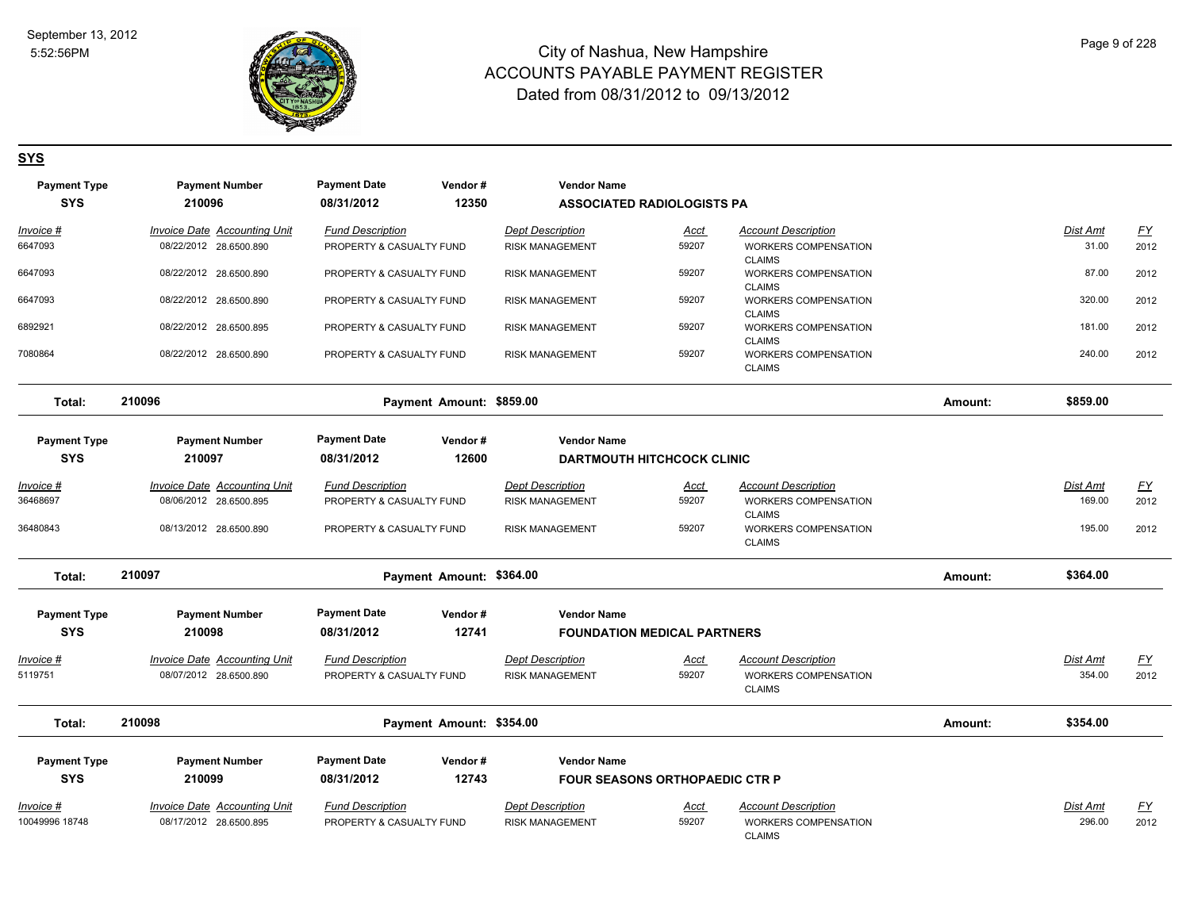

#### **SYS**

| <b>Payment Type</b> | <b>Payment Number</b>               | <b>Payment Date</b>      | Vendor#                  | <b>Vendor Name</b>                    |             |                                                               |         |                 |           |
|---------------------|-------------------------------------|--------------------------|--------------------------|---------------------------------------|-------------|---------------------------------------------------------------|---------|-----------------|-----------|
| <b>SYS</b>          | 210096                              | 08/31/2012               | 12350                    | <b>ASSOCIATED RADIOLOGISTS PA</b>     |             |                                                               |         |                 |           |
| Invoice #           | Invoice Date Accounting Unit        | <b>Fund Description</b>  |                          | <b>Dept Description</b>               | Acct        | <b>Account Description</b>                                    |         | Dist Amt        | <u>FY</u> |
| 6647093             | 08/22/2012 28.6500.890              | PROPERTY & CASUALTY FUND |                          | <b>RISK MANAGEMENT</b>                | 59207       | <b>WORKERS COMPENSATION</b><br><b>CLAIMS</b>                  |         | 31.00           | 2012      |
| 6647093             | 08/22/2012 28.6500.890              | PROPERTY & CASUALTY FUND |                          | <b>RISK MANAGEMENT</b>                | 59207       | WORKERS COMPENSATION<br><b>CLAIMS</b>                         |         | 87.00           | 2012      |
| 6647093             | 08/22/2012 28.6500.890              | PROPERTY & CASUALTY FUND |                          | <b>RISK MANAGEMENT</b>                | 59207       | WORKERS COMPENSATION<br><b>CLAIMS</b>                         |         | 320.00          | 2012      |
| 6892921             | 08/22/2012 28.6500.895              | PROPERTY & CASUALTY FUND |                          | <b>RISK MANAGEMENT</b>                | 59207       | WORKERS COMPENSATION<br><b>CLAIMS</b>                         |         | 181.00          | 2012      |
| 7080864             | 08/22/2012 28.6500.890              | PROPERTY & CASUALTY FUND |                          | <b>RISK MANAGEMENT</b>                | 59207       | WORKERS COMPENSATION<br><b>CLAIMS</b>                         |         | 240.00          | 2012      |
| Total:              | 210096                              |                          | Payment Amount: \$859.00 |                                       |             |                                                               | Amount: | \$859.00        |           |
| <b>Payment Type</b> | <b>Payment Number</b>               | <b>Payment Date</b>      | Vendor#                  | <b>Vendor Name</b>                    |             |                                                               |         |                 |           |
| <b>SYS</b>          | 210097                              | 08/31/2012               | 12600                    | <b>DARTMOUTH HITCHCOCK CLINIC</b>     |             |                                                               |         |                 |           |
|                     |                                     |                          |                          |                                       |             |                                                               |         |                 |           |
| Invoice #           | <b>Invoice Date Accounting Unit</b> | <b>Fund Description</b>  |                          | <b>Dept Description</b>               | Acct        | <b>Account Description</b>                                    |         | Dist Amt        | <u>FY</u> |
| 36468697            | 08/06/2012 28.6500.895              | PROPERTY & CASUALTY FUND |                          | <b>RISK MANAGEMENT</b>                | 59207       | WORKERS COMPENSATION                                          |         | 169.00          | 2012      |
| 36480843            | 08/13/2012 28.6500.890              | PROPERTY & CASUALTY FUND |                          | <b>RISK MANAGEMENT</b>                | 59207       | <b>CLAIMS</b><br><b>WORKERS COMPENSATION</b><br><b>CLAIMS</b> |         | 195.00          | 2012      |
| Total:              | 210097                              |                          | Payment Amount: \$364.00 |                                       |             |                                                               | Amount: | \$364.00        |           |
| <b>Payment Type</b> | <b>Payment Number</b>               | <b>Payment Date</b>      | Vendor#                  | <b>Vendor Name</b>                    |             |                                                               |         |                 |           |
| <b>SYS</b>          | 210098                              | 08/31/2012               | 12741                    | <b>FOUNDATION MEDICAL PARTNERS</b>    |             |                                                               |         |                 |           |
| $Invoice$ #         | <b>Invoice Date Accounting Unit</b> | <b>Fund Description</b>  |                          | <b>Dept Description</b>               | <u>Acct</u> | <b>Account Description</b>                                    |         | <b>Dist Amt</b> | <u>FY</u> |
| 5119751             | 08/07/2012 28.6500.890              | PROPERTY & CASUALTY FUND |                          | <b>RISK MANAGEMENT</b>                | 59207       | <b>WORKERS COMPENSATION</b><br><b>CLAIMS</b>                  |         | 354.00          | 2012      |
| Total:              | 210098                              |                          | Payment Amount: \$354.00 |                                       |             |                                                               | Amount: | \$354.00        |           |
| <b>Payment Type</b> | <b>Payment Number</b>               | <b>Payment Date</b>      | Vendor#                  | <b>Vendor Name</b>                    |             |                                                               |         |                 |           |
|                     |                                     |                          |                          |                                       |             |                                                               |         |                 |           |
| <b>SYS</b>          | 210099                              | 08/31/2012               | 12743                    | <b>FOUR SEASONS ORTHOPAEDIC CTR P</b> |             |                                                               |         |                 |           |
| <i>Invoice</i> #    | <b>Invoice Date Accounting Unit</b> | <b>Fund Description</b>  |                          | <b>Dept Description</b>               | <u>Acct</u> | <b>Account Description</b>                                    |         | Dist Amt        | <u>FY</u> |
| 10049996 18748      | 08/17/2012 28.6500.895              | PROPERTY & CASUALTY FUND |                          | <b>RISK MANAGEMENT</b>                | 59207       | <b>WORKERS COMPENSATION</b><br><b>CLAIMS</b>                  |         | 296.00          | 2012      |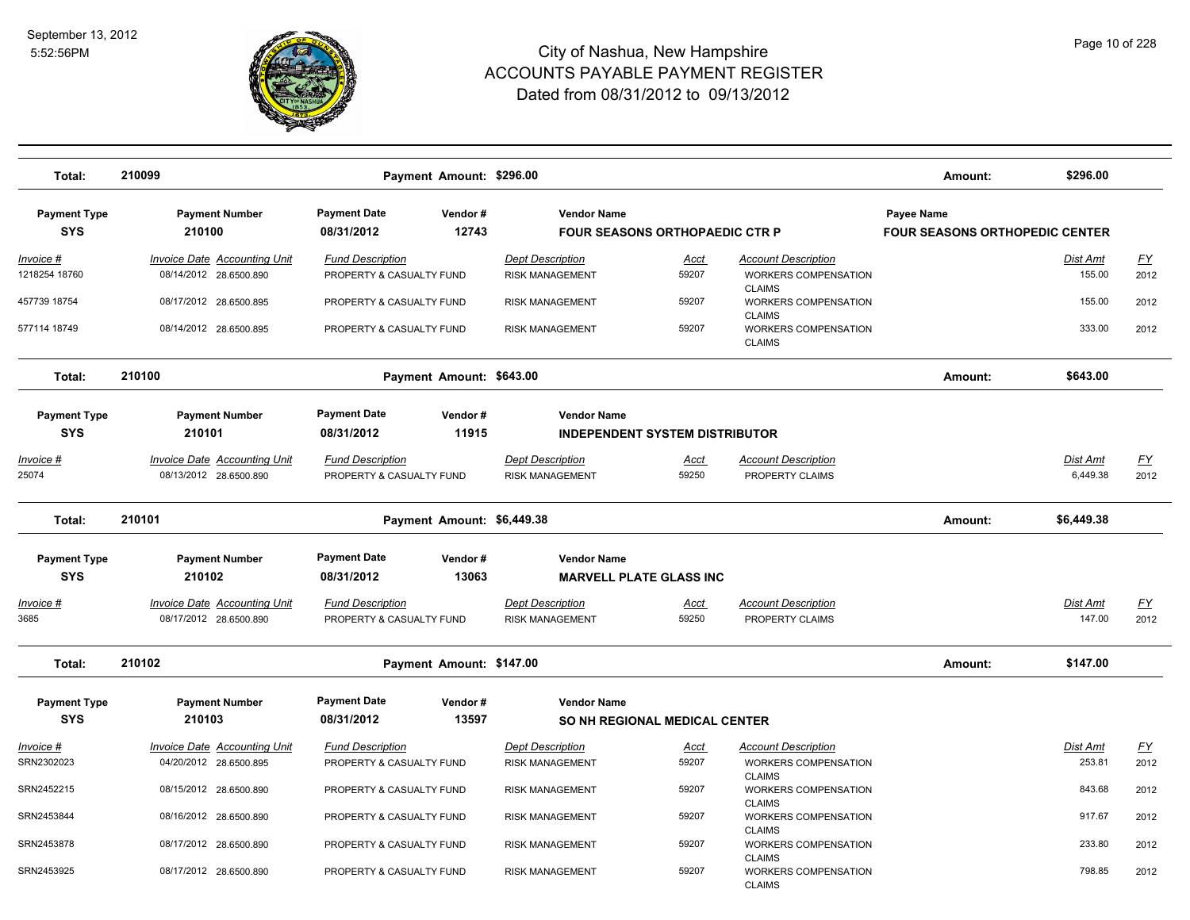

| Total:              | 210099                              |                          | Payment Amount: \$296.00   |                         |                                       |                                              | Amount:                               | \$296.00        |           |
|---------------------|-------------------------------------|--------------------------|----------------------------|-------------------------|---------------------------------------|----------------------------------------------|---------------------------------------|-----------------|-----------|
| <b>Payment Type</b> | <b>Payment Number</b>               | <b>Payment Date</b>      | Vendor#                    | <b>Vendor Name</b>      |                                       |                                              | Payee Name                            |                 |           |
| <b>SYS</b>          | 210100                              | 08/31/2012               | 12743                      |                         | <b>FOUR SEASONS ORTHOPAEDIC CTR P</b> |                                              | <b>FOUR SEASONS ORTHOPEDIC CENTER</b> |                 |           |
| Invoice #           | <b>Invoice Date Accounting Unit</b> | <b>Fund Description</b>  |                            | <b>Dept Description</b> | <u>Acct</u>                           | <b>Account Description</b>                   |                                       | Dist Amt        | <u>FY</u> |
| 1218254 18760       | 08/14/2012 28.6500.890              | PROPERTY & CASUALTY FUND |                            | <b>RISK MANAGEMENT</b>  | 59207                                 | <b>WORKERS COMPENSATION</b>                  |                                       | 155.00          | 2012      |
| 457739 18754        | 08/17/2012 28.6500.895              |                          |                            | <b>RISK MANAGEMENT</b>  | 59207                                 | <b>CLAIMS</b><br>WORKERS COMPENSATION        |                                       | 155.00          | 2012      |
|                     |                                     | PROPERTY & CASUALTY FUND |                            |                         |                                       | <b>CLAIMS</b>                                |                                       |                 |           |
| 577114 18749        | 08/14/2012 28.6500.895              | PROPERTY & CASUALTY FUND |                            | <b>RISK MANAGEMENT</b>  | 59207                                 | WORKERS COMPENSATION<br><b>CLAIMS</b>        |                                       | 333.00          | 2012      |
| Total:              | 210100                              |                          | Payment Amount: \$643.00   |                         |                                       |                                              | Amount:                               | \$643.00        |           |
| <b>Payment Type</b> | <b>Payment Number</b>               | <b>Payment Date</b>      | Vendor#                    | <b>Vendor Name</b>      |                                       |                                              |                                       |                 |           |
| <b>SYS</b>          | 210101                              | 08/31/2012               | 11915                      |                         | <b>INDEPENDENT SYSTEM DISTRIBUTOR</b> |                                              |                                       |                 |           |
|                     |                                     |                          |                            |                         |                                       |                                              |                                       |                 |           |
| <u>Invoice #</u>    | <b>Invoice Date Accounting Unit</b> | <b>Fund Description</b>  |                            | <b>Dept Description</b> | <b>Acct</b>                           | <b>Account Description</b>                   |                                       | Dist Amt        | <u>FY</u> |
| 25074               | 08/13/2012 28.6500.890              | PROPERTY & CASUALTY FUND |                            | <b>RISK MANAGEMENT</b>  | 59250                                 | PROPERTY CLAIMS                              |                                       | 6,449.38        | 2012      |
| Total:              | 210101                              |                          | Payment Amount: \$6,449.38 |                         |                                       |                                              | Amount:                               | \$6,449.38      |           |
| <b>Payment Type</b> | <b>Payment Number</b>               | <b>Payment Date</b>      | Vendor#                    | <b>Vendor Name</b>      |                                       |                                              |                                       |                 |           |
| <b>SYS</b>          | 210102                              | 08/31/2012               | 13063                      |                         | <b>MARVELL PLATE GLASS INC</b>        |                                              |                                       |                 |           |
|                     |                                     |                          |                            |                         |                                       |                                              |                                       |                 |           |
| <u>Invoice #</u>    | <b>Invoice Date Accounting Unit</b> | <b>Fund Description</b>  |                            | <b>Dept Description</b> | <u>Acct</u>                           | <b>Account Description</b>                   |                                       | Dist Amt        | <u>FY</u> |
| 3685                | 08/17/2012 28.6500.890              | PROPERTY & CASUALTY FUND |                            | <b>RISK MANAGEMENT</b>  | 59250                                 | PROPERTY CLAIMS                              |                                       | 147.00          | 2012      |
| Total:              | 210102                              |                          | Payment Amount: \$147.00   |                         |                                       |                                              | Amount:                               | \$147.00        |           |
| <b>Payment Type</b> | <b>Payment Number</b>               | <b>Payment Date</b>      | Vendor#                    | <b>Vendor Name</b>      |                                       |                                              |                                       |                 |           |
| <b>SYS</b>          | 210103                              | 08/31/2012               | 13597                      |                         | SO NH REGIONAL MEDICAL CENTER         |                                              |                                       |                 |           |
|                     |                                     |                          |                            |                         |                                       |                                              |                                       |                 |           |
| <u>Invoice #</u>    | <b>Invoice Date Accounting Unit</b> | <b>Fund Description</b>  |                            | <b>Dept Description</b> | <u>Acct</u>                           | <b>Account Description</b>                   |                                       | <u>Dist Amt</u> | <u>FY</u> |
| SRN2302023          | 04/20/2012 28.6500.895              | PROPERTY & CASUALTY FUND |                            | <b>RISK MANAGEMENT</b>  | 59207                                 | WORKERS COMPENSATION<br><b>CLAIMS</b>        |                                       | 253.81          | 2012      |
| SRN2452215          | 08/15/2012 28.6500.890              | PROPERTY & CASUALTY FUND |                            | <b>RISK MANAGEMENT</b>  | 59207                                 | <b>WORKERS COMPENSATION</b><br><b>CLAIMS</b> |                                       | 843.68          | 2012      |
| SRN2453844          | 08/16/2012 28.6500.890              | PROPERTY & CASUALTY FUND |                            | <b>RISK MANAGEMENT</b>  | 59207                                 | <b>WORKERS COMPENSATION</b>                  |                                       | 917.67          | 2012      |
| SRN2453878          | 08/17/2012 28.6500.890              | PROPERTY & CASUALTY FUND |                            | <b>RISK MANAGEMENT</b>  | 59207                                 | <b>CLAIMS</b><br><b>WORKERS COMPENSATION</b> |                                       | 233.80          | 2012      |
|                     |                                     |                          |                            |                         |                                       | <b>CLAIMS</b>                                |                                       |                 |           |
| SRN2453925          | 08/17/2012 28.6500.890              | PROPERTY & CASUALTY FUND |                            | <b>RISK MANAGEMENT</b>  | 59207                                 | <b>WORKERS COMPENSATION</b><br><b>CLAIMS</b> |                                       | 798.85          | 2012      |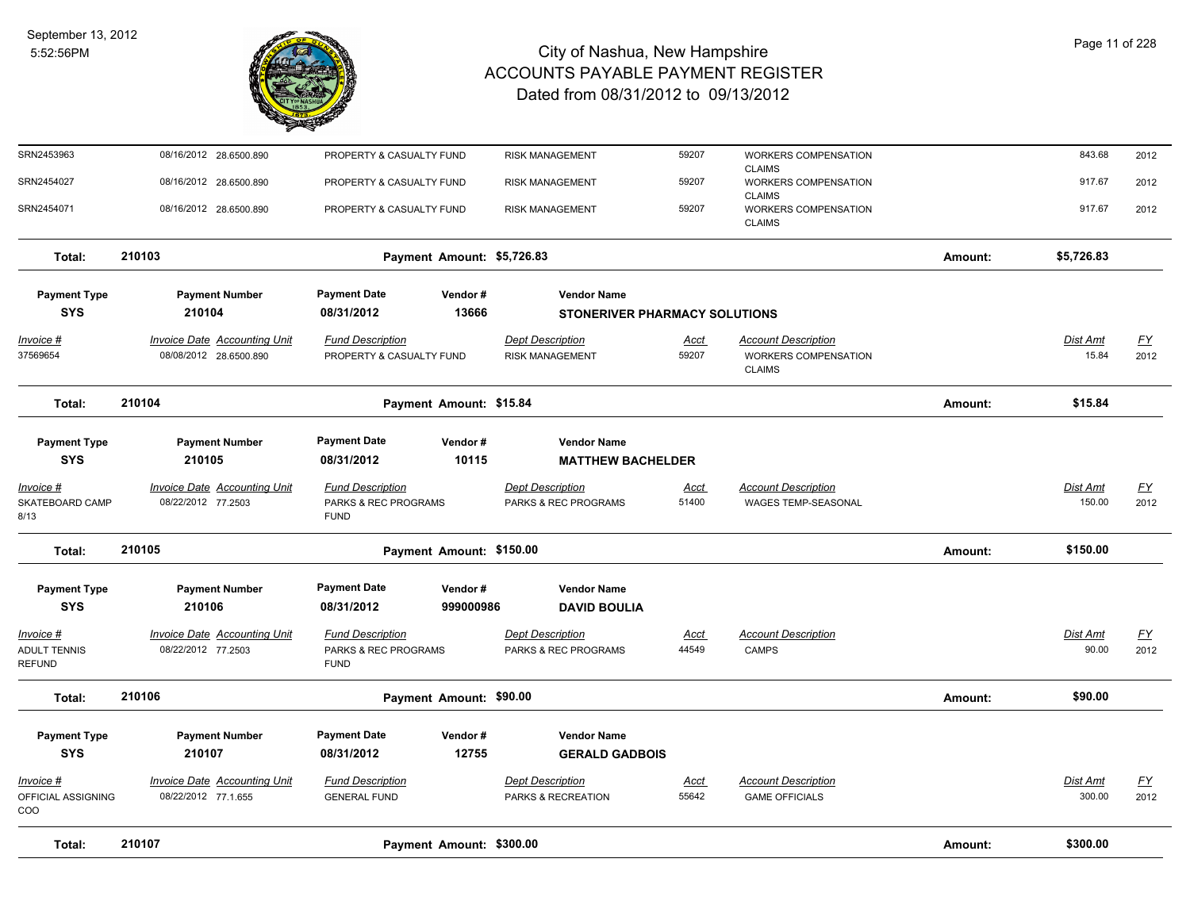

| Total:                                            | 210107                                                        | Payment Amount: \$300.00                                       |                      |                                                   |                      |                                                                            | Amount: | \$300.00                  |                   |
|---------------------------------------------------|---------------------------------------------------------------|----------------------------------------------------------------|----------------------|---------------------------------------------------|----------------------|----------------------------------------------------------------------------|---------|---------------------------|-------------------|
| Invoice #<br>OFFICIAL ASSIGNING<br>COO            | Invoice Date Accounting Unit<br>08/22/2012 77.1.655           | <b>Fund Description</b><br><b>GENERAL FUND</b>                 |                      | <b>Dept Description</b><br>PARKS & RECREATION     | Acct<br>55642        | <b>Account Description</b><br><b>GAME OFFICIALS</b>                        |         | Dist Amt<br>300.00        | <u>FY</u><br>2012 |
| <b>SYS</b>                                        | 210107                                                        | 08/31/2012                                                     | 12755                | <b>GERALD GADBOIS</b>                             |                      |                                                                            |         |                           |                   |
| <b>Payment Type</b>                               | <b>Payment Number</b>                                         | <b>Payment Date</b>                                            | Vendor#              | <b>Vendor Name</b>                                |                      |                                                                            |         |                           |                   |
| Total:                                            | 210106                                                        | Payment Amount: \$90.00                                        |                      |                                                   |                      |                                                                            | Amount: | \$90.00                   |                   |
| Invoice #<br><b>ADULT TENNIS</b><br><b>REFUND</b> | <b>Invoice Date Accounting Unit</b><br>08/22/2012 77.2503     | <b>Fund Description</b><br>PARKS & REC PROGRAMS<br><b>FUND</b> |                      | <b>Dept Description</b><br>PARKS & REC PROGRAMS   | Acct<br>44549        | <b>Account Description</b><br><b>CAMPS</b>                                 |         | Dist Amt<br>90.00         | <u>FY</u><br>2012 |
| <b>Payment Type</b><br><b>SYS</b>                 | <b>Payment Number</b><br>210106                               | <b>Payment Date</b><br>08/31/2012                              | Vendor#<br>999000986 | <b>Vendor Name</b><br><b>DAVID BOULIA</b>         |                      |                                                                            |         |                           |                   |
| Total:                                            | 210105                                                        | Payment Amount: \$150.00                                       |                      |                                                   |                      |                                                                            | Amount: | \$150.00                  |                   |
| Invoice #<br>SKATEBOARD CAMP<br>8/13              | <b>Invoice Date Accounting Unit</b><br>08/22/2012 77.2503     | <b>Fund Description</b><br>PARKS & REC PROGRAMS<br><b>FUND</b> |                      | <b>Dept Description</b><br>PARKS & REC PROGRAMS   | <u>Acct</u><br>51400 | <b>Account Description</b><br><b>WAGES TEMP-SEASONAL</b>                   |         | <b>Dist Amt</b><br>150.00 | <u>FY</u><br>2012 |
| <b>Payment Type</b><br><b>SYS</b>                 | <b>Payment Number</b><br>210105                               | <b>Payment Date</b><br>08/31/2012                              | Vendor#<br>10115     | <b>Vendor Name</b><br><b>MATTHEW BACHELDER</b>    |                      |                                                                            |         |                           |                   |
| Total:                                            | 210104                                                        | Payment Amount: \$15.84                                        |                      |                                                   |                      |                                                                            | Amount: | \$15.84                   |                   |
| Invoice #<br>37569654                             | <b>Invoice Date Accounting Unit</b><br>08/08/2012 28.6500.890 | <b>Fund Description</b><br>PROPERTY & CASUALTY FUND            |                      | <b>Dept Description</b><br><b>RISK MANAGEMENT</b> | <b>Acct</b><br>59207 | <b>Account Description</b><br><b>WORKERS COMPENSATION</b><br><b>CLAIMS</b> |         | Dist Amt<br>15.84         | EY<br>2012        |
| <b>SYS</b>                                        | 210104                                                        | 08/31/2012                                                     | 13666                | STONERIVER PHARMACY SOLUTIONS                     |                      |                                                                            |         |                           |                   |
| <b>Payment Type</b>                               | <b>Payment Number</b>                                         | <b>Payment Date</b>                                            | Vendor#              | <b>Vendor Name</b>                                |                      |                                                                            |         |                           |                   |
| Total:                                            | 210103                                                        | Payment Amount: \$5,726.83                                     |                      |                                                   |                      |                                                                            | Amount: | \$5,726.83                |                   |
| SRN2454071                                        | 08/16/2012 28.6500.890                                        | PROPERTY & CASUALTY FUND                                       |                      | <b>RISK MANAGEMENT</b>                            | 59207                | WORKERS COMPENSATION<br><b>CLAIMS</b>                                      |         | 917.67                    | 2012              |
| SRN2454027                                        | 08/16/2012 28.6500.890                                        | PROPERTY & CASUALTY FUND                                       |                      | <b>RISK MANAGEMENT</b>                            | 59207                | <b>CLAIMS</b><br>WORKERS COMPENSATION<br><b>CLAIMS</b>                     |         | 917.67                    | 2012              |
| SRN2453963                                        | 08/16/2012 28.6500.890                                        | PROPERTY & CASUALTY FUND                                       |                      | <b>RISK MANAGEMENT</b>                            | 59207                | WORKERS COMPENSATION                                                       |         | 843.68                    | 2012              |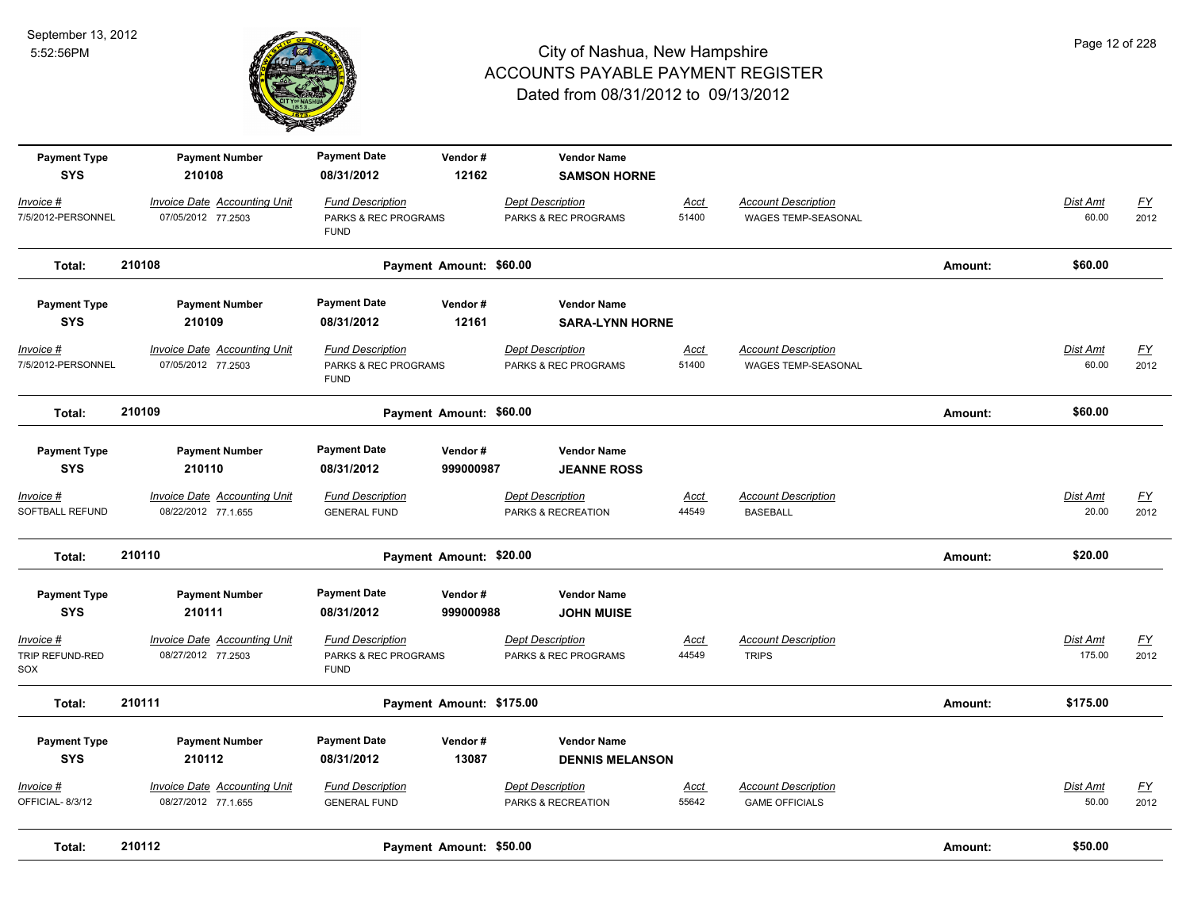

| Total:                              | 210112                                                     |                                                                | Payment Amount: \$50.00  |                                                 |                      |                                                     | Amount: | \$50.00                  |                                   |
|-------------------------------------|------------------------------------------------------------|----------------------------------------------------------------|--------------------------|-------------------------------------------------|----------------------|-----------------------------------------------------|---------|--------------------------|-----------------------------------|
| Invoice #<br>OFFICIAL-8/3/12        | Invoice Date Accounting Unit<br>08/27/2012 77.1.655        | <b>Fund Description</b><br><b>GENERAL FUND</b>                 |                          | <b>Dept Description</b><br>PARKS & RECREATION   | Acct<br>55642        | <b>Account Description</b><br><b>GAME OFFICIALS</b> |         | Dist Amt<br>50.00        | <u>FY</u><br>2012                 |
| <b>SYS</b>                          | 210112                                                     | 08/31/2012                                                     | 13087                    | <b>DENNIS MELANSON</b>                          |                      |                                                     |         |                          |                                   |
| <b>Payment Type</b>                 | <b>Payment Number</b>                                      | <b>Payment Date</b>                                            | Vendor#                  | <b>Vendor Name</b>                              |                      |                                                     |         |                          |                                   |
| Total:                              | 210111                                                     |                                                                | Payment Amount: \$175.00 |                                                 |                      |                                                     | Amount: | \$175.00                 |                                   |
| Invoice #<br>TRIP REFUND-RED<br>SOX | <b>Invoice Date Accounting Unit</b><br>08/27/2012 77.2503  | <b>Fund Description</b><br>PARKS & REC PROGRAMS<br><b>FUND</b> |                          | <b>Dept Description</b><br>PARKS & REC PROGRAMS | <b>Acct</b><br>44549 | <b>Account Description</b><br><b>TRIPS</b>          |         | Dist Amt<br>175.00       | $\underline{\mathsf{FY}}$<br>2012 |
| <b>Payment Type</b><br><b>SYS</b>   | <b>Payment Number</b><br>210111                            | <b>Payment Date</b><br>08/31/2012                              | Vendor#<br>999000988     | <b>Vendor Name</b><br><b>JOHN MUISE</b>         |                      |                                                     |         |                          |                                   |
| Total:                              | 210110                                                     |                                                                | Payment Amount: \$20.00  |                                                 |                      |                                                     | Amount: | \$20.00                  |                                   |
| $Invoice$ #<br>SOFTBALL REFUND      | <b>Invoice Date Accounting Unit</b><br>08/22/2012 77.1.655 | <b>Fund Description</b><br><b>GENERAL FUND</b>                 |                          | <b>Dept Description</b><br>PARKS & RECREATION   | <b>Acct</b><br>44549 | <b>Account Description</b><br><b>BASEBALL</b>       |         | <b>Dist Amt</b><br>20.00 | EY<br>2012                        |
| <b>Payment Type</b><br><b>SYS</b>   | <b>Payment Number</b><br>210110                            | <b>Payment Date</b><br>08/31/2012                              | Vendor#<br>999000987     | <b>Vendor Name</b><br><b>JEANNE ROSS</b>        |                      |                                                     |         |                          |                                   |
| Total:                              | 210109                                                     |                                                                | Payment Amount: \$60.00  |                                                 |                      |                                                     | Amount: | \$60.00                  |                                   |
| Invoice #<br>7/5/2012-PERSONNEL     | <b>Invoice Date Accounting Unit</b><br>07/05/2012 77.2503  | <b>Fund Description</b><br>PARKS & REC PROGRAMS<br><b>FUND</b> |                          | <b>Dept Description</b><br>PARKS & REC PROGRAMS | <u>Acct</u><br>51400 | <b>Account Description</b><br>WAGES TEMP-SEASONAL   |         | <b>Dist Amt</b><br>60.00 | $\underline{FY}$<br>2012          |
| <b>Payment Type</b><br><b>SYS</b>   | <b>Payment Number</b><br>210109                            | <b>Payment Date</b><br>08/31/2012                              | Vendor#<br>12161         | <b>Vendor Name</b><br><b>SARA-LYNN HORNE</b>    |                      |                                                     |         |                          |                                   |
| Total:                              | 210108                                                     |                                                                | Payment Amount: \$60.00  |                                                 |                      |                                                     | Amount: | \$60.00                  |                                   |
| Invoice #<br>7/5/2012-PERSONNEL     | <b>Invoice Date Accounting Unit</b><br>07/05/2012 77.2503  | <b>Fund Description</b><br>PARKS & REC PROGRAMS<br><b>FUND</b> |                          | <b>Dept Description</b><br>PARKS & REC PROGRAMS | <u>Acct</u><br>51400 | <b>Account Description</b><br>WAGES TEMP-SEASONAL   |         | <b>Dist Amt</b><br>60.00 | <u>FY</u><br>2012                 |
| <b>Payment Type</b><br><b>SYS</b>   | <b>Payment Number</b><br>210108                            | <b>Payment Date</b><br>08/31/2012                              | Vendor#<br>12162         | <b>Vendor Name</b><br><b>SAMSON HORNE</b>       |                      |                                                     |         |                          |                                   |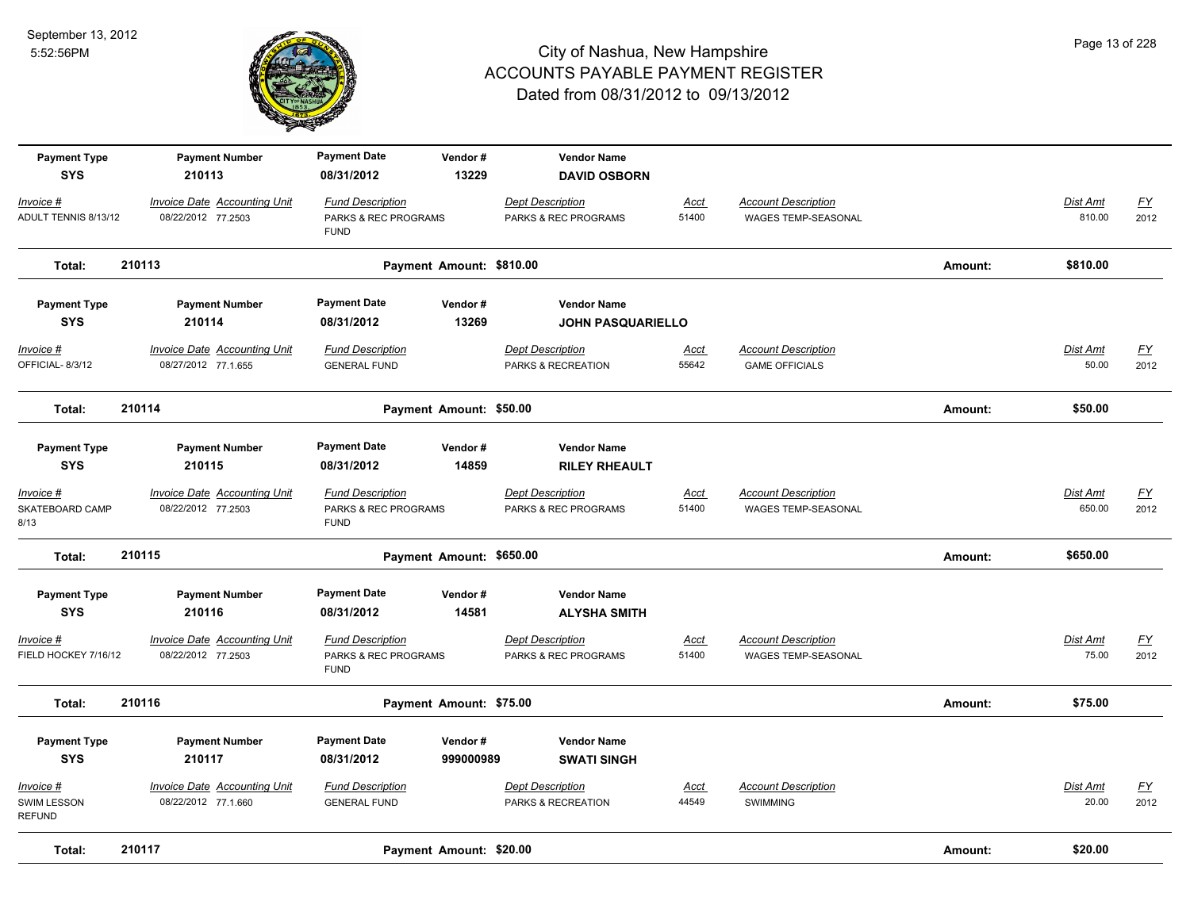

| <b>Payment Type</b><br><b>SYS</b>         | <b>Payment Number</b><br>210113                            | <b>Payment Date</b><br>08/31/2012                              | Vendor#<br>13229         | <b>Vendor Name</b><br><b>DAVID OSBORN</b>       |                      |                                                          |         |                           |                          |
|-------------------------------------------|------------------------------------------------------------|----------------------------------------------------------------|--------------------------|-------------------------------------------------|----------------------|----------------------------------------------------------|---------|---------------------------|--------------------------|
| Invoice #<br>ADULT TENNIS 8/13/12         | <b>Invoice Date Accounting Unit</b><br>08/22/2012 77.2503  | <b>Fund Description</b><br>PARKS & REC PROGRAMS<br><b>FUND</b> |                          | <b>Dept Description</b><br>PARKS & REC PROGRAMS | Acct<br>51400        | <b>Account Description</b><br><b>WAGES TEMP-SEASONAL</b> |         | Dist Amt<br>810.00        | $\underline{FY}$<br>2012 |
| Total:                                    | 210113                                                     |                                                                | Payment Amount: \$810.00 |                                                 |                      |                                                          | Amount: | \$810.00                  |                          |
| <b>Payment Type</b><br><b>SYS</b>         | <b>Payment Number</b><br>210114                            | <b>Payment Date</b><br>08/31/2012                              | Vendor#<br>13269         | <b>Vendor Name</b><br><b>JOHN PASQUARIELLO</b>  |                      |                                                          |         |                           |                          |
| Invoice #<br>OFFICIAL-8/3/12              | Invoice Date Accounting Unit<br>08/27/2012 77.1.655        | <b>Fund Description</b><br><b>GENERAL FUND</b>                 |                          | <b>Dept Description</b><br>PARKS & RECREATION   | Acct<br>55642        | <b>Account Description</b><br><b>GAME OFFICIALS</b>      |         | Dist Amt<br>50.00         | $\underline{FY}$<br>2012 |
| Total:                                    | 210114                                                     |                                                                | Payment Amount: \$50.00  |                                                 |                      |                                                          | Amount: | \$50.00                   |                          |
| <b>Payment Type</b><br><b>SYS</b>         | <b>Payment Number</b><br>210115                            | <b>Payment Date</b><br>08/31/2012                              | Vendor#<br>14859         | <b>Vendor Name</b><br><b>RILEY RHEAULT</b>      |                      |                                                          |         |                           |                          |
| Invoice #<br>SKATEBOARD CAMP<br>8/13      | <b>Invoice Date Accounting Unit</b><br>08/22/2012 77.2503  | <b>Fund Description</b><br>PARKS & REC PROGRAMS<br><b>FUND</b> |                          | <b>Dept Description</b><br>PARKS & REC PROGRAMS | <u>Acct</u><br>51400 | <b>Account Description</b><br>WAGES TEMP-SEASONAL        |         | <b>Dist Amt</b><br>650.00 | <u>FY</u><br>2012        |
| Total:                                    | 210115                                                     |                                                                | Payment Amount: \$650.00 |                                                 |                      |                                                          | Amount: | \$650.00                  |                          |
| <b>Payment Type</b><br><b>SYS</b>         | <b>Payment Number</b><br>210116                            | <b>Payment Date</b><br>08/31/2012                              | Vendor#<br>14581         | <b>Vendor Name</b><br><b>ALYSHA SMITH</b>       |                      |                                                          |         |                           |                          |
| Invoice #<br>FIELD HOCKEY 7/16/12         | <b>Invoice Date Accounting Unit</b><br>08/22/2012 77.2503  | <b>Fund Description</b><br>PARKS & REC PROGRAMS<br><b>FUND</b> |                          | <b>Dept Description</b><br>PARKS & REC PROGRAMS | <u>Acct</u><br>51400 | <b>Account Description</b><br>WAGES TEMP-SEASONAL        |         | Dist Amt<br>75.00         | <u>FY</u><br>2012        |
| Total:                                    | 210116                                                     |                                                                | Payment Amount: \$75.00  |                                                 |                      |                                                          | Amount: | \$75.00                   |                          |
| <b>Payment Type</b><br><b>SYS</b>         | <b>Payment Number</b><br>210117                            | <b>Payment Date</b><br>08/31/2012                              | Vendor#<br>999000989     | <b>Vendor Name</b><br><b>SWATI SINGH</b>        |                      |                                                          |         |                           |                          |
| Invoice #<br>SWIM LESSON<br><b>REFUND</b> | <b>Invoice Date Accounting Unit</b><br>08/22/2012 77.1.660 | <b>Fund Description</b><br><b>GENERAL FUND</b>                 |                          | <b>Dept Description</b><br>PARKS & RECREATION   | Acct<br>44549        | <b>Account Description</b><br>SWIMMING                   |         | Dist Amt<br>20.00         | <u>FY</u><br>2012        |
| Total:                                    | 210117                                                     |                                                                | Payment Amount: \$20.00  |                                                 |                      |                                                          | Amount: | \$20.00                   |                          |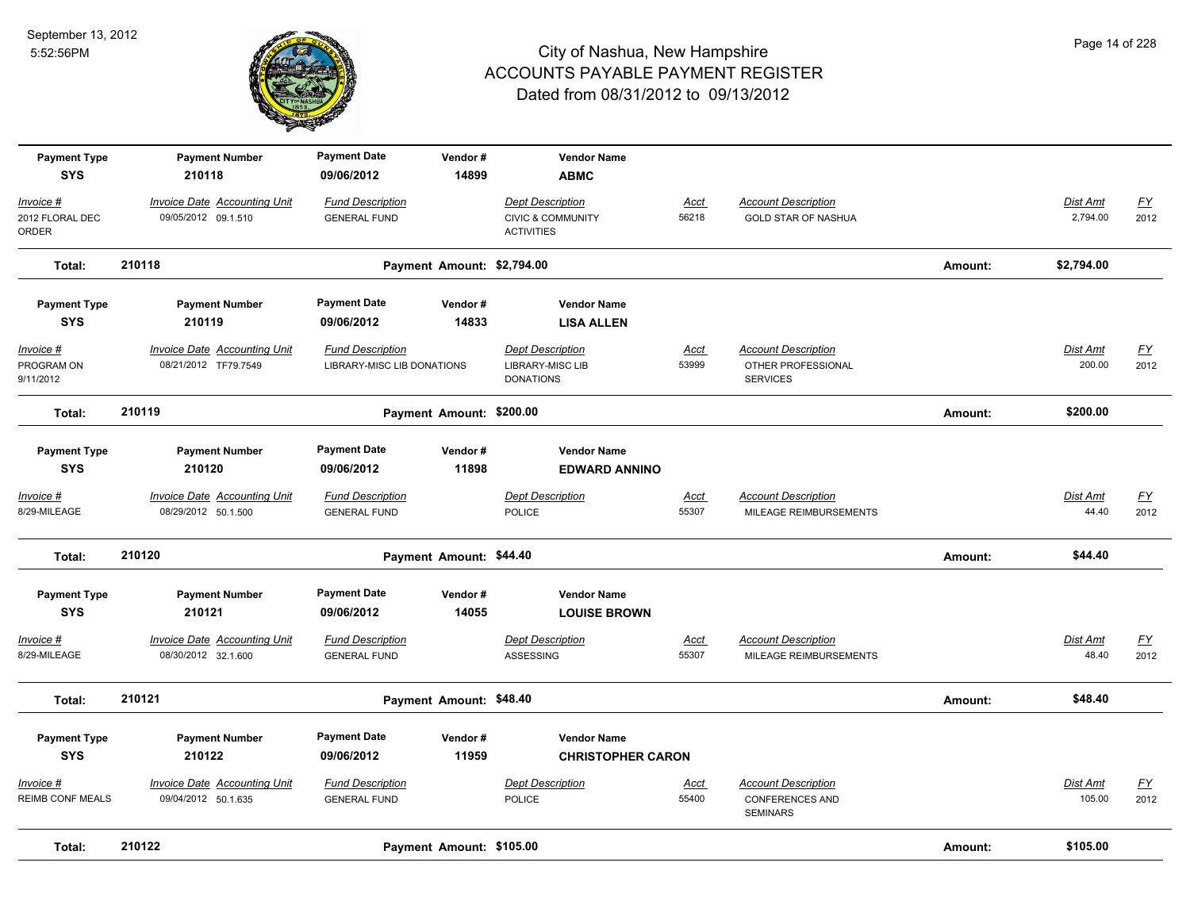

| <b>Payment Type</b><br><b>SYS</b>     | <b>Payment Number</b><br>210118                             | <b>Payment Date</b><br>09/06/2012                     | Vendor#<br>14899           | <b>Vendor Name</b><br><b>ABMC</b>                                            |                      |                                                                         |         |                             |                                   |
|---------------------------------------|-------------------------------------------------------------|-------------------------------------------------------|----------------------------|------------------------------------------------------------------------------|----------------------|-------------------------------------------------------------------------|---------|-----------------------------|-----------------------------------|
| Invoice #<br>2012 FLORAL DEC<br>ORDER | <b>Invoice Date Accounting Unit</b><br>09/05/2012 09.1.510  | <b>Fund Description</b><br><b>GENERAL FUND</b>        |                            | <b>Dept Description</b><br><b>CIVIC &amp; COMMUNITY</b><br><b>ACTIVITIES</b> | <u>Acct</u><br>56218 | <b>Account Description</b><br><b>GOLD STAR OF NASHUA</b>                |         | <b>Dist Amt</b><br>2,794.00 | $\underline{FY}$<br>2012          |
| Total:                                | 210118                                                      |                                                       | Payment Amount: \$2,794.00 |                                                                              |                      |                                                                         | Amount: | \$2,794.00                  |                                   |
| <b>Payment Type</b><br><b>SYS</b>     | <b>Payment Number</b><br>210119                             | <b>Payment Date</b><br>09/06/2012                     | Vendor#<br>14833           | <b>Vendor Name</b><br><b>LISA ALLEN</b>                                      |                      |                                                                         |         |                             |                                   |
| Invoice #<br>PROGRAM ON<br>9/11/2012  | <b>Invoice Date Accounting Unit</b><br>08/21/2012 TF79.7549 | <b>Fund Description</b><br>LIBRARY-MISC LIB DONATIONS |                            | <b>Dept Description</b><br>LIBRARY-MISC LIB<br><b>DONATIONS</b>              | <u>Acct</u><br>53999 | <b>Account Description</b><br>OTHER PROFESSIONAL<br><b>SERVICES</b>     |         | Dist Amt<br>200.00          | <u>FY</u><br>2012                 |
| Total:                                | 210119                                                      |                                                       | Payment Amount: \$200.00   |                                                                              |                      |                                                                         | Amount: | \$200.00                    |                                   |
| <b>Payment Type</b><br><b>SYS</b>     | <b>Payment Number</b><br>210120                             | <b>Payment Date</b><br>09/06/2012                     | Vendor#<br>11898           | <b>Vendor Name</b><br><b>EDWARD ANNINO</b>                                   |                      |                                                                         |         |                             |                                   |
| $Invoice$ #<br>8/29-MILEAGE           | <b>Invoice Date Accounting Unit</b><br>08/29/2012 50.1.500  | <b>Fund Description</b><br><b>GENERAL FUND</b>        |                            | <b>Dept Description</b><br>POLICE                                            | <u>Acct</u><br>55307 | <b>Account Description</b><br>MILEAGE REIMBURSEMENTS                    |         | Dist Amt<br>44.40           | <u>FY</u><br>2012                 |
| Total:                                | 210120                                                      |                                                       | Payment Amount: \$44.40    |                                                                              |                      |                                                                         | Amount: | \$44.40                     |                                   |
| <b>Payment Type</b><br><b>SYS</b>     | <b>Payment Number</b><br>210121                             | <b>Payment Date</b><br>09/06/2012                     | Vendor#<br>14055           | <b>Vendor Name</b><br><b>LOUISE BROWN</b>                                    |                      |                                                                         |         |                             |                                   |
| Invoice #<br>8/29-MILEAGE             | <b>Invoice Date Accounting Unit</b><br>08/30/2012 32.1.600  | <b>Fund Description</b><br><b>GENERAL FUND</b>        |                            | <b>Dept Description</b><br><b>ASSESSING</b>                                  | <u>Acct</u><br>55307 | <b>Account Description</b><br>MILEAGE REIMBURSEMENTS                    |         | Dist Amt<br>48.40           | $\underline{FY}$<br>2012          |
| Total:                                | 210121                                                      |                                                       | Payment Amount: \$48.40    |                                                                              |                      |                                                                         | Amount: | \$48.40                     |                                   |
| <b>Payment Type</b><br><b>SYS</b>     | <b>Payment Number</b><br>210122                             | <b>Payment Date</b><br>09/06/2012                     | Vendor#<br>11959           | <b>Vendor Name</b><br><b>CHRISTOPHER CARON</b>                               |                      |                                                                         |         |                             |                                   |
| Invoice #<br>REIMB CONF MEALS         | <b>Invoice Date Accounting Unit</b><br>09/04/2012 50.1.635  | <b>Fund Description</b><br><b>GENERAL FUND</b>        |                            | <b>Dept Description</b><br><b>POLICE</b>                                     | <u>Acct</u><br>55400 | <b>Account Description</b><br><b>CONFERENCES AND</b><br><b>SEMINARS</b> |         | Dist Amt<br>105.00          | $\underline{\mathsf{FY}}$<br>2012 |
| Total:                                | 210122                                                      |                                                       | Payment Amount: \$105.00   |                                                                              |                      |                                                                         | Amount: | \$105.00                    |                                   |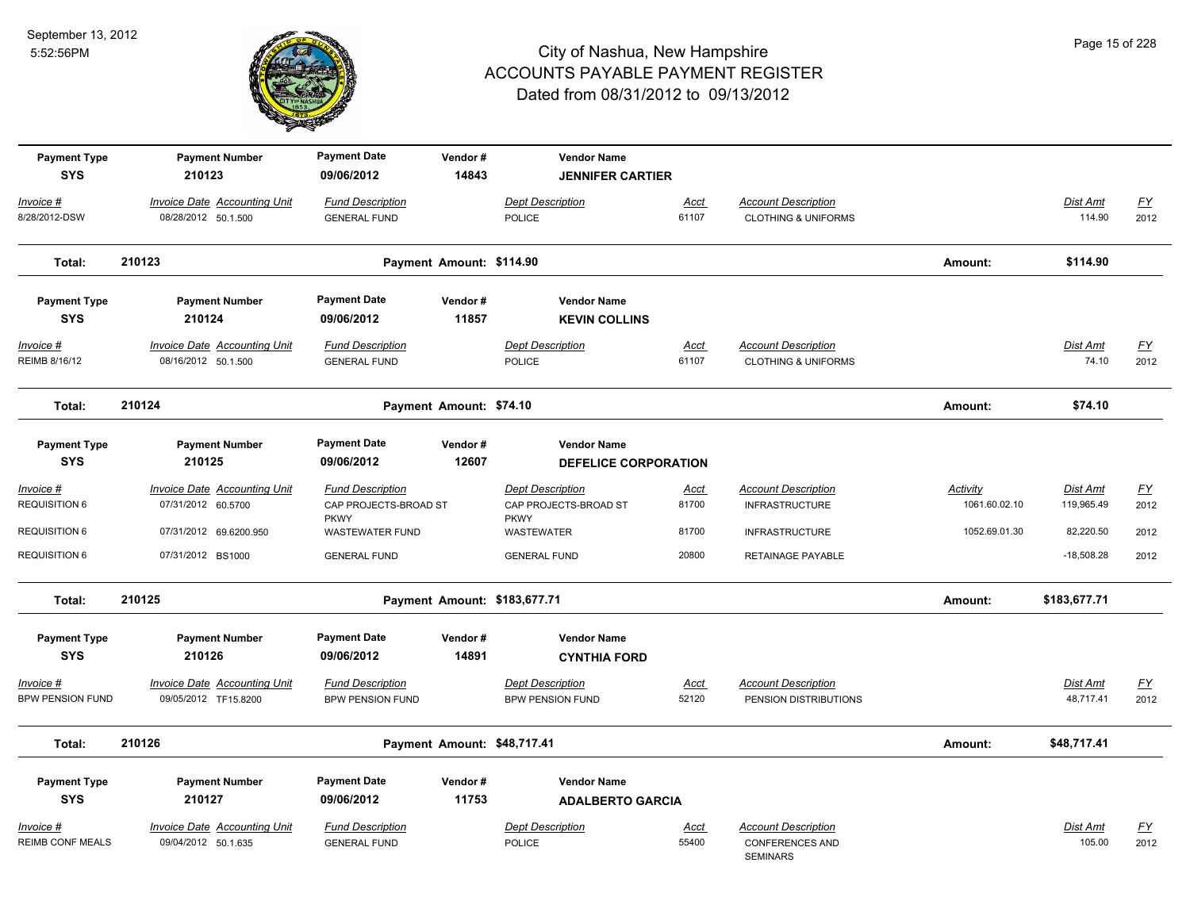

| <b>Payment Type</b>                      | <b>Payment Number</b>                                                | <b>Payment Date</b>                                          | Vendor#                     | <b>Vendor Name</b>                                                  |                      |                                                                         |                           |                               |                                   |
|------------------------------------------|----------------------------------------------------------------------|--------------------------------------------------------------|-----------------------------|---------------------------------------------------------------------|----------------------|-------------------------------------------------------------------------|---------------------------|-------------------------------|-----------------------------------|
| <b>SYS</b><br>Invoice #<br>8/28/2012-DSW | 210123<br><b>Invoice Date Accounting Unit</b><br>08/28/2012 50.1.500 | 09/06/2012<br><b>Fund Description</b><br><b>GENERAL FUND</b> | 14843                       | <b>JENNIFER CARTIER</b><br><b>Dept Description</b><br><b>POLICE</b> | Acct<br>61107        | <b>Account Description</b><br><b>CLOTHING &amp; UNIFORMS</b>            |                           | Dist Amt<br>114.90            | <u>FY</u><br>2012                 |
| Total:                                   | 210123                                                               |                                                              | Payment Amount: \$114.90    |                                                                     |                      |                                                                         | Amount:                   | \$114.90                      |                                   |
| <b>Payment Type</b><br><b>SYS</b>        | <b>Payment Number</b><br>210124                                      | <b>Payment Date</b><br>09/06/2012                            | Vendor#<br>11857            | <b>Vendor Name</b>                                                  |                      |                                                                         |                           |                               |                                   |
|                                          |                                                                      |                                                              |                             | <b>KEVIN COLLINS</b>                                                |                      |                                                                         |                           |                               |                                   |
| Invoice #<br>REIMB 8/16/12               | Invoice Date Accounting Unit<br>08/16/2012 50.1.500                  | <b>Fund Description</b><br><b>GENERAL FUND</b>               |                             | <b>Dept Description</b><br><b>POLICE</b>                            | Acct<br>61107        | <b>Account Description</b><br><b>CLOTHING &amp; UNIFORMS</b>            |                           | Dist Amt<br>74.10             | <u>FY</u><br>2012                 |
| Total:                                   | 210124                                                               |                                                              | Payment Amount: \$74.10     |                                                                     |                      |                                                                         | Amount:                   | \$74.10                       |                                   |
| <b>Payment Type</b><br><b>SYS</b>        | <b>Payment Number</b><br>210125                                      | <b>Payment Date</b><br>09/06/2012                            | Vendor#<br>12607            | <b>Vendor Name</b><br><b>DEFELICE CORPORATION</b>                   |                      |                                                                         |                           |                               |                                   |
| $Invoice$ #<br><b>REQUISITION 6</b>      | <b>Invoice Date Accounting Unit</b><br>07/31/2012 60.5700            | <b>Fund Description</b><br>CAP PROJECTS-BROAD ST             |                             | <b>Dept Description</b><br>CAP PROJECTS-BROAD ST                    | <b>Acct</b><br>81700 | <b>Account Description</b><br><b>INFRASTRUCTURE</b>                     | Activity<br>1061.60.02.10 | <b>Dist Amt</b><br>119,965.49 | <u>FY</u><br>2012                 |
| <b>REQUISITION 6</b>                     | 07/31/2012 69.6200.950                                               | <b>PKWY</b><br><b>WASTEWATER FUND</b>                        |                             | <b>PKWY</b><br>WASTEWATER                                           | 81700                | <b>INFRASTRUCTURE</b>                                                   | 1052.69.01.30             | 82,220.50                     | 2012                              |
| <b>REQUISITION 6</b>                     | 07/31/2012 BS1000                                                    | <b>GENERAL FUND</b>                                          |                             | <b>GENERAL FUND</b>                                                 | 20800                | RETAINAGE PAYABLE                                                       |                           | $-18,508.28$                  | 2012                              |
| Total:                                   | 210125                                                               |                                                              |                             | Payment Amount: \$183,677.71                                        |                      |                                                                         | Amount:                   | \$183,677.71                  |                                   |
| <b>Payment Type</b><br><b>SYS</b>        | <b>Payment Number</b><br>210126                                      | <b>Payment Date</b><br>09/06/2012                            | Vendor#<br>14891            | <b>Vendor Name</b><br><b>CYNTHIA FORD</b>                           |                      |                                                                         |                           |                               |                                   |
| Invoice #<br><b>BPW PENSION FUND</b>     | <b>Invoice Date Accounting Unit</b><br>09/05/2012 TF15.8200          | <b>Fund Description</b><br><b>BPW PENSION FUND</b>           |                             | <b>Dept Description</b><br><b>BPW PENSION FUND</b>                  | <b>Acct</b><br>52120 | <b>Account Description</b><br>PENSION DISTRIBUTIONS                     |                           | Dist Amt<br>48,717.41         | $\underline{\mathsf{FY}}$<br>2012 |
| Total:                                   | 210126                                                               |                                                              | Payment Amount: \$48,717.41 |                                                                     |                      |                                                                         | Amount:                   | \$48,717.41                   |                                   |
| <b>Payment Type</b><br><b>SYS</b>        | <b>Payment Number</b><br>210127                                      | <b>Payment Date</b><br>09/06/2012                            | Vendor#<br>11753            | <b>Vendor Name</b><br><b>ADALBERTO GARCIA</b>                       |                      |                                                                         |                           |                               |                                   |
| Invoice #<br><b>REIMB CONF MEALS</b>     | <b>Invoice Date Accounting Unit</b><br>09/04/2012 50.1.635           | <b>Fund Description</b><br><b>GENERAL FUND</b>               |                             | Dept Description<br><b>POLICE</b>                                   | <u>Acct</u><br>55400 | <b>Account Description</b><br><b>CONFERENCES AND</b><br><b>SEMINARS</b> |                           | Dist Amt<br>105.00            | <u>FY</u><br>2012                 |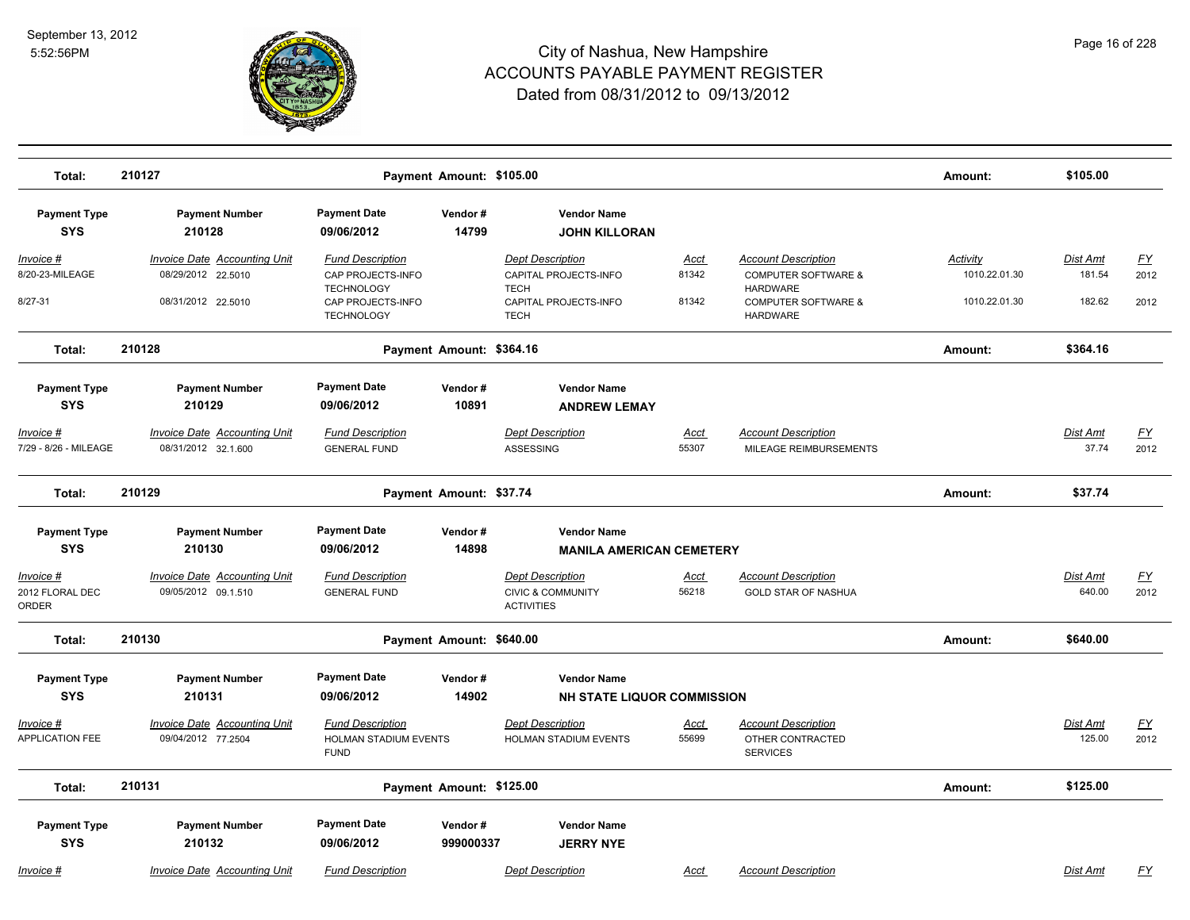

| Total:                                    | 210127                                                     |                                                                        | Payment Amount: \$105.00 |                                                                              |                      |                                                                      | Amount:                   | \$105.00                 |                   |
|-------------------------------------------|------------------------------------------------------------|------------------------------------------------------------------------|--------------------------|------------------------------------------------------------------------------|----------------------|----------------------------------------------------------------------|---------------------------|--------------------------|-------------------|
| <b>Payment Type</b><br><b>SYS</b>         | <b>Payment Number</b><br>210128                            | <b>Payment Date</b><br>09/06/2012                                      | Vendor#<br>14799         | <b>Vendor Name</b><br><b>JOHN KILLORAN</b>                                   |                      |                                                                      |                           |                          |                   |
| Invoice #<br>8/20-23-MILEAGE              | Invoice Date Accounting Unit<br>08/29/2012 22.5010         | <b>Fund Description</b><br>CAP PROJECTS-INFO                           |                          | <b>Dept Description</b><br>CAPITAL PROJECTS-INFO                             | Acct<br>81342        | <b>Account Description</b><br><b>COMPUTER SOFTWARE &amp;</b>         | Activity<br>1010.22.01.30 | Dist Amt<br>181.54       | <u>FY</u><br>2012 |
| $8/27 - 31$                               | 08/31/2012 22.5010                                         | <b>TECHNOLOGY</b><br>CAP PROJECTS-INFO<br><b>TECHNOLOGY</b>            |                          | <b>TECH</b><br>CAPITAL PROJECTS-INFO<br><b>TECH</b>                          | 81342                | <b>HARDWARE</b><br><b>COMPUTER SOFTWARE &amp;</b><br><b>HARDWARE</b> | 1010.22.01.30             | 182.62                   | 2012              |
| Total:                                    | 210128                                                     |                                                                        | Payment Amount: \$364.16 |                                                                              |                      |                                                                      | Amount:                   | \$364.16                 |                   |
| <b>Payment Type</b><br><b>SYS</b>         | <b>Payment Number</b><br>210129                            | <b>Payment Date</b><br>09/06/2012                                      | Vendor#<br>10891         | <b>Vendor Name</b><br><b>ANDREW LEMAY</b>                                    |                      |                                                                      |                           |                          |                   |
| <u>Invoice #</u><br>7/29 - 8/26 - MILEAGE | <b>Invoice Date Accounting Unit</b><br>08/31/2012 32.1.600 | <b>Fund Description</b><br><b>GENERAL FUND</b>                         |                          | <b>Dept Description</b><br><b>ASSESSING</b>                                  | <u>Acct</u><br>55307 | <b>Account Description</b><br>MILEAGE REIMBURSEMENTS                 |                           | <b>Dist Amt</b><br>37.74 | <u>FY</u><br>2012 |
| Total:                                    | 210129                                                     |                                                                        | Payment Amount: \$37.74  |                                                                              |                      |                                                                      | Amount:                   | \$37.74                  |                   |
| <b>Payment Type</b><br><b>SYS</b>         | <b>Payment Number</b><br>210130                            | <b>Payment Date</b><br>09/06/2012                                      | Vendor#<br>14898         | <b>Vendor Name</b><br><b>MANILA AMERICAN CEMETERY</b>                        |                      |                                                                      |                           |                          |                   |
| Invoice #<br>2012 FLORAL DEC<br>ORDER     | <b>Invoice Date Accounting Unit</b><br>09/05/2012 09.1.510 | <b>Fund Description</b><br><b>GENERAL FUND</b>                         |                          | <b>Dept Description</b><br><b>CIVIC &amp; COMMUNITY</b><br><b>ACTIVITIES</b> | Acct<br>56218        | <b>Account Description</b><br><b>GOLD STAR OF NASHUA</b>             |                           | Dist Amt<br>640.00       | <u>FY</u><br>2012 |
| Total:                                    | 210130                                                     |                                                                        | Payment Amount: \$640.00 |                                                                              |                      |                                                                      | Amount:                   | \$640.00                 |                   |
| <b>Payment Type</b><br><b>SYS</b>         | <b>Payment Number</b><br>210131                            | <b>Payment Date</b><br>09/06/2012                                      | Vendor#<br>14902         | <b>Vendor Name</b><br><b>NH STATE LIQUOR COMMISSION</b>                      |                      |                                                                      |                           |                          |                   |
| Invoice #<br><b>APPLICATION FEE</b>       | Invoice Date Accounting Unit<br>09/04/2012 77.2504         | <b>Fund Description</b><br><b>HOLMAN STADIUM EVENTS</b><br><b>FUND</b> |                          | Dept Description<br><b>HOLMAN STADIUM EVENTS</b>                             | Acct<br>55699        | <b>Account Description</b><br>OTHER CONTRACTED<br><b>SERVICES</b>    |                           | Dist Amt<br>125.00       | <u>FY</u><br>2012 |
| Total:                                    | 210131                                                     |                                                                        | Payment Amount: \$125.00 |                                                                              |                      |                                                                      | Amount:                   | \$125.00                 |                   |
| <b>Payment Type</b><br><b>SYS</b>         | <b>Payment Number</b><br>210132                            | <b>Payment Date</b><br>09/06/2012                                      | Vendor#<br>999000337     | <b>Vendor Name</b><br><b>JERRY NYE</b>                                       |                      |                                                                      |                           |                          |                   |
| Invoice #                                 | <b>Invoice Date Accounting Unit</b>                        | <b>Fund Description</b>                                                |                          | <b>Dept Description</b>                                                      | Acct                 | <b>Account Description</b>                                           |                           | <b>Dist Amt</b>          | FY                |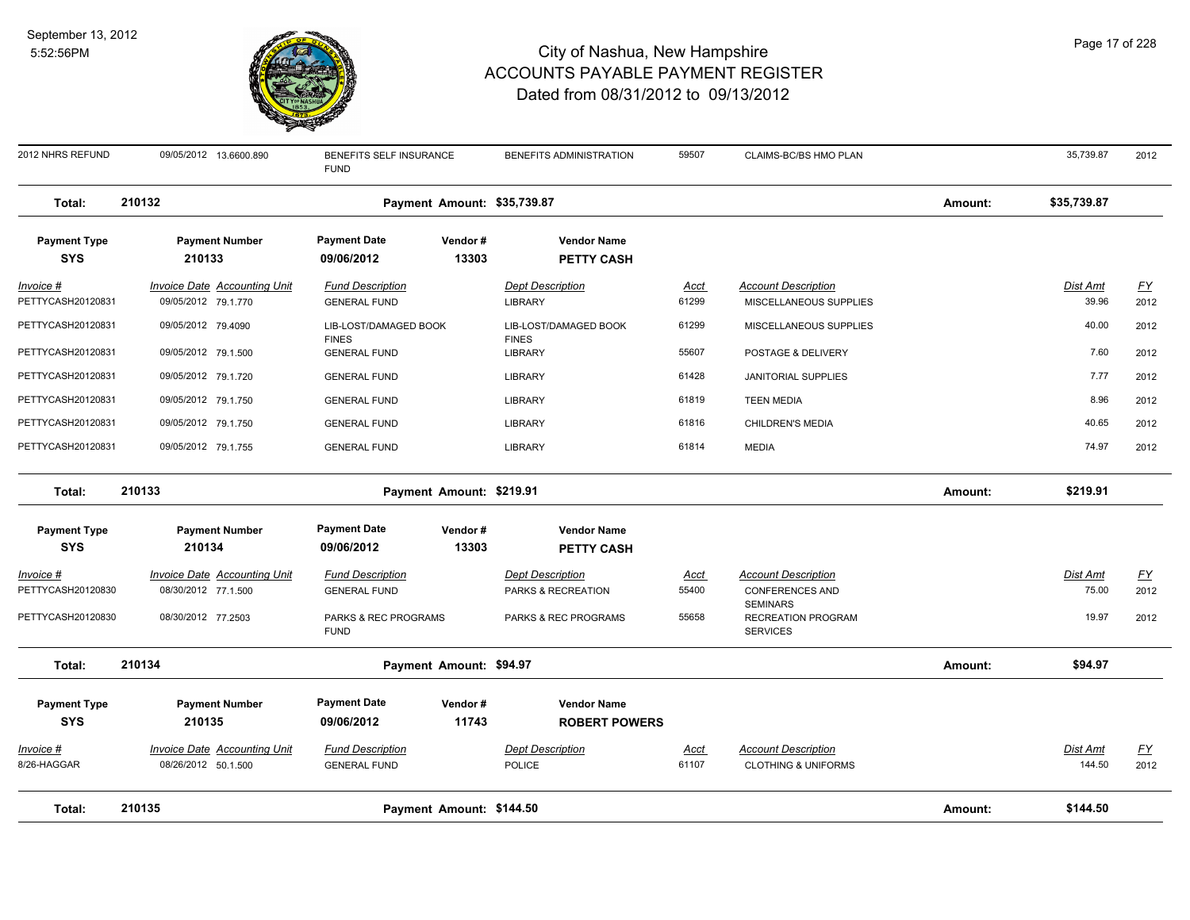

| 2012 NHRS REFUND                      | 09/05/2012 13.6600.890                                     | BENEFITS SELF INSURANCE<br><b>FUND</b>         | BENEFITS ADMINISTRATION                       | 59507                | CLAIMS-BC/BS HMO PLAN                                        |         | 35,739.87                | 2012                     |
|---------------------------------------|------------------------------------------------------------|------------------------------------------------|-----------------------------------------------|----------------------|--------------------------------------------------------------|---------|--------------------------|--------------------------|
| Total:                                | 210132                                                     | Payment Amount: \$35,739.87                    |                                               |                      |                                                              | Amount: | \$35,739.87              |                          |
| <b>Payment Type</b>                   | <b>Payment Number</b>                                      | <b>Payment Date</b><br>Vendor#                 | <b>Vendor Name</b>                            |                      |                                                              |         |                          |                          |
| <b>SYS</b>                            | 210133                                                     | 13303<br>09/06/2012                            | <b>PETTY CASH</b>                             |                      |                                                              |         |                          |                          |
| Invoice #<br>PETTYCASH20120831        | <b>Invoice Date Accounting Unit</b><br>09/05/2012 79.1.770 | <b>Fund Description</b><br><b>GENERAL FUND</b> | <b>Dept Description</b><br><b>LIBRARY</b>     | Acct<br>61299        | <b>Account Description</b><br>MISCELLANEOUS SUPPLIES         |         | Dist Amt<br>39.96        | $\underline{FY}$<br>2012 |
| PETTYCASH20120831                     | 09/05/2012 79.4090                                         | LIB-LOST/DAMAGED BOOK                          | LIB-LOST/DAMAGED BOOK                         | 61299                | MISCELLANEOUS SUPPLIES                                       |         | 40.00                    | 2012                     |
| PETTYCASH20120831                     | 09/05/2012 79.1.500                                        | <b>FINES</b><br><b>GENERAL FUND</b>            | <b>FINES</b><br><b>LIBRARY</b>                | 55607                | POSTAGE & DELIVERY                                           |         | 7.60                     | 2012                     |
| PETTYCASH20120831                     | 09/05/2012 79.1.720                                        | <b>GENERAL FUND</b>                            | <b>LIBRARY</b>                                | 61428                | <b>JANITORIAL SUPPLIES</b>                                   |         | 7.77                     | 2012                     |
| PETTYCASH20120831                     | 09/05/2012 79.1.750                                        | <b>GENERAL FUND</b>                            | <b>LIBRARY</b>                                | 61819                | <b>TEEN MEDIA</b>                                            |         | 8.96                     | 2012                     |
| PETTYCASH20120831                     | 09/05/2012 79.1.750                                        | <b>GENERAL FUND</b>                            | LIBRARY                                       | 61816                | CHILDREN'S MEDIA                                             |         | 40.65                    | 2012                     |
| PETTYCASH20120831                     | 09/05/2012 79.1.755                                        | <b>GENERAL FUND</b>                            | <b>LIBRARY</b>                                | 61814                | <b>MEDIA</b>                                                 |         | 74.97                    | 2012                     |
| Total:                                | 210133                                                     | Payment Amount: \$219.91                       |                                               |                      |                                                              | Amount: | \$219.91                 |                          |
| <b>Payment Type</b>                   | <b>Payment Number</b>                                      | <b>Payment Date</b><br>Vendor#                 | <b>Vendor Name</b>                            |                      |                                                              |         |                          |                          |
| <b>SYS</b>                            | 210134                                                     | 13303<br>09/06/2012                            | <b>PETTY CASH</b>                             |                      |                                                              |         |                          |                          |
| <u>Invoice #</u><br>PETTYCASH20120830 | <b>Invoice Date Accounting Unit</b><br>08/30/2012 77.1.500 | <b>Fund Description</b><br><b>GENERAL FUND</b> | <b>Dept Description</b><br>PARKS & RECREATION | <u>Acct</u><br>55400 | <b>Account Description</b><br><b>CONFERENCES AND</b>         |         | <b>Dist Amt</b><br>75.00 | <u>FY</u><br>2012        |
| PETTYCASH20120830                     | 08/30/2012 77.2503                                         | PARKS & REC PROGRAMS<br><b>FUND</b>            | PARKS & REC PROGRAMS                          | 55658                | <b>SEMINARS</b><br>RECREATION PROGRAM<br><b>SERVICES</b>     |         | 19.97                    | 2012                     |
| Total:                                | 210134                                                     | Payment Amount: \$94.97                        |                                               |                      |                                                              | Amount: | \$94.97                  |                          |
| <b>Payment Type</b>                   | <b>Payment Number</b>                                      | <b>Payment Date</b><br>Vendor#                 | <b>Vendor Name</b>                            |                      |                                                              |         |                          |                          |
| <b>SYS</b>                            | 210135                                                     | 09/06/2012<br>11743                            | <b>ROBERT POWERS</b>                          |                      |                                                              |         |                          |                          |
| <u>Invoice #</u><br>8/26-HAGGAR       | <b>Invoice Date Accounting Unit</b><br>08/26/2012 50.1.500 | <b>Fund Description</b><br><b>GENERAL FUND</b> | <b>Dept Description</b><br><b>POLICE</b>      | <u>Acct</u><br>61107 | <b>Account Description</b><br><b>CLOTHING &amp; UNIFORMS</b> |         | Dist Amt<br>144.50       | $\underline{FY}$<br>2012 |
| Total:                                | 210135                                                     | Payment Amount: \$144.50                       |                                               |                      |                                                              | Amount: | \$144.50                 |                          |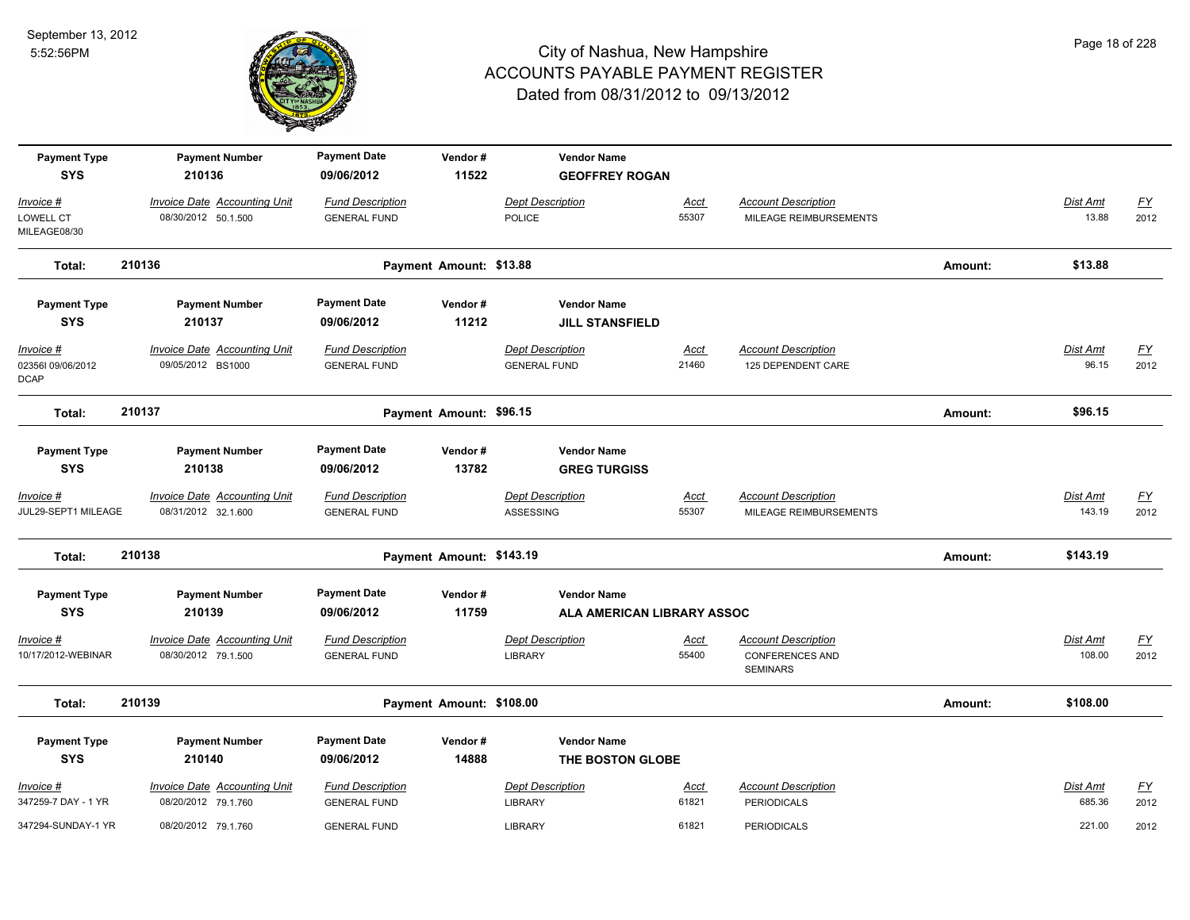

| <b>Payment Type</b><br><b>SYS</b>             | <b>Payment Number</b><br>210136                            | <b>Payment Date</b><br>09/06/2012              | Vendor#<br>11522         | <b>Vendor Name</b><br><b>GEOFFREY ROGAN</b>    |                      |                                                                         |         |                           |                   |
|-----------------------------------------------|------------------------------------------------------------|------------------------------------------------|--------------------------|------------------------------------------------|----------------------|-------------------------------------------------------------------------|---------|---------------------------|-------------------|
| Invoice #                                     | <b>Invoice Date Accounting Unit</b>                        | <b>Fund Description</b>                        |                          | <b>Dept Description</b>                        | Acct                 | <b>Account Description</b>                                              |         | Dist Amt                  | $\underline{FY}$  |
| LOWELL CT<br>MILEAGE08/30                     | 08/30/2012 50.1.500                                        | <b>GENERAL FUND</b>                            |                          | <b>POLICE</b>                                  | 55307                | MILEAGE REIMBURSEMENTS                                                  |         | 13.88                     | 2012              |
| Total:                                        | 210136                                                     |                                                | Payment Amount: \$13.88  |                                                |                      |                                                                         | Amount: | \$13.88                   |                   |
| <b>Payment Type</b><br><b>SYS</b>             | <b>Payment Number</b><br>210137                            | <b>Payment Date</b><br>09/06/2012              | Vendor#<br>11212         | <b>Vendor Name</b><br><b>JILL STANSFIELD</b>   |                      |                                                                         |         |                           |                   |
| Invoice #<br>023561 09/06/2012<br><b>DCAP</b> | <b>Invoice Date Accounting Unit</b><br>09/05/2012 BS1000   | <b>Fund Description</b><br><b>GENERAL FUND</b> |                          | <b>Dept Description</b><br><b>GENERAL FUND</b> | Acct<br>21460        | <b>Account Description</b><br>125 DEPENDENT CARE                        |         | Dist Amt<br>96.15         | EY<br>2012        |
| Total:                                        | 210137                                                     |                                                | Payment Amount: \$96.15  |                                                |                      |                                                                         | Amount: | \$96.15                   |                   |
| <b>Payment Type</b><br><b>SYS</b>             | <b>Payment Number</b><br>210138                            | <b>Payment Date</b><br>09/06/2012              | Vendor#<br>13782         | <b>Vendor Name</b><br><b>GREG TURGISS</b>      |                      |                                                                         |         |                           |                   |
| <u>Invoice #</u><br>JUL29-SEPT1 MILEAGE       | <b>Invoice Date Accounting Unit</b><br>08/31/2012 32.1.600 | <b>Fund Description</b><br><b>GENERAL FUND</b> |                          | <b>Dept Description</b><br>ASSESSING           | <u>Acct</u><br>55307 | <b>Account Description</b><br>MILEAGE REIMBURSEMENTS                    |         | <b>Dist Amt</b><br>143.19 | <u>FY</u><br>2012 |
| Total:                                        | 210138                                                     |                                                | Payment Amount: \$143.19 |                                                |                      |                                                                         | Amount: | \$143.19                  |                   |
| <b>Payment Type</b>                           | <b>Payment Number</b>                                      | <b>Payment Date</b>                            | Vendor#                  | <b>Vendor Name</b>                             |                      |                                                                         |         |                           |                   |
| <b>SYS</b>                                    | 210139                                                     | 09/06/2012                                     | 11759                    | ALA AMERICAN LIBRARY ASSOC                     |                      |                                                                         |         |                           |                   |
| Invoice #<br>10/17/2012-WEBINAR               | <b>Invoice Date Accounting Unit</b><br>08/30/2012 79.1.500 | <b>Fund Description</b><br><b>GENERAL FUND</b> |                          | <b>Dept Description</b><br><b>LIBRARY</b>      | Acct<br>55400        | <b>Account Description</b><br><b>CONFERENCES AND</b><br><b>SEMINARS</b> |         | Dist Amt<br>108.00        | <u>FY</u><br>2012 |
| Total:                                        | 210139                                                     |                                                | Payment Amount: \$108.00 |                                                |                      |                                                                         | Amount: | \$108.00                  |                   |
| <b>Payment Type</b><br><b>SYS</b>             | <b>Payment Number</b><br>210140                            | <b>Payment Date</b><br>09/06/2012              | Vendor#<br>14888         | <b>Vendor Name</b><br>THE BOSTON GLOBE         |                      |                                                                         |         |                           |                   |
| Invoice #<br>347259-7 DAY - 1 YR              | <b>Invoice Date Accounting Unit</b><br>08/20/2012 79.1.760 | <b>Fund Description</b><br><b>GENERAL FUND</b> |                          | <b>Dept Description</b><br><b>LIBRARY</b>      | Acct<br>61821        | <b>Account Description</b><br><b>PERIODICALS</b>                        |         | Dist Amt<br>685.36        | <u>FY</u><br>2012 |
| 347294-SUNDAY-1 YR                            | 08/20/2012 79.1.760                                        | <b>GENERAL FUND</b>                            |                          | <b>LIBRARY</b>                                 | 61821                | <b>PERIODICALS</b>                                                      |         | 221.00                    | 2012              |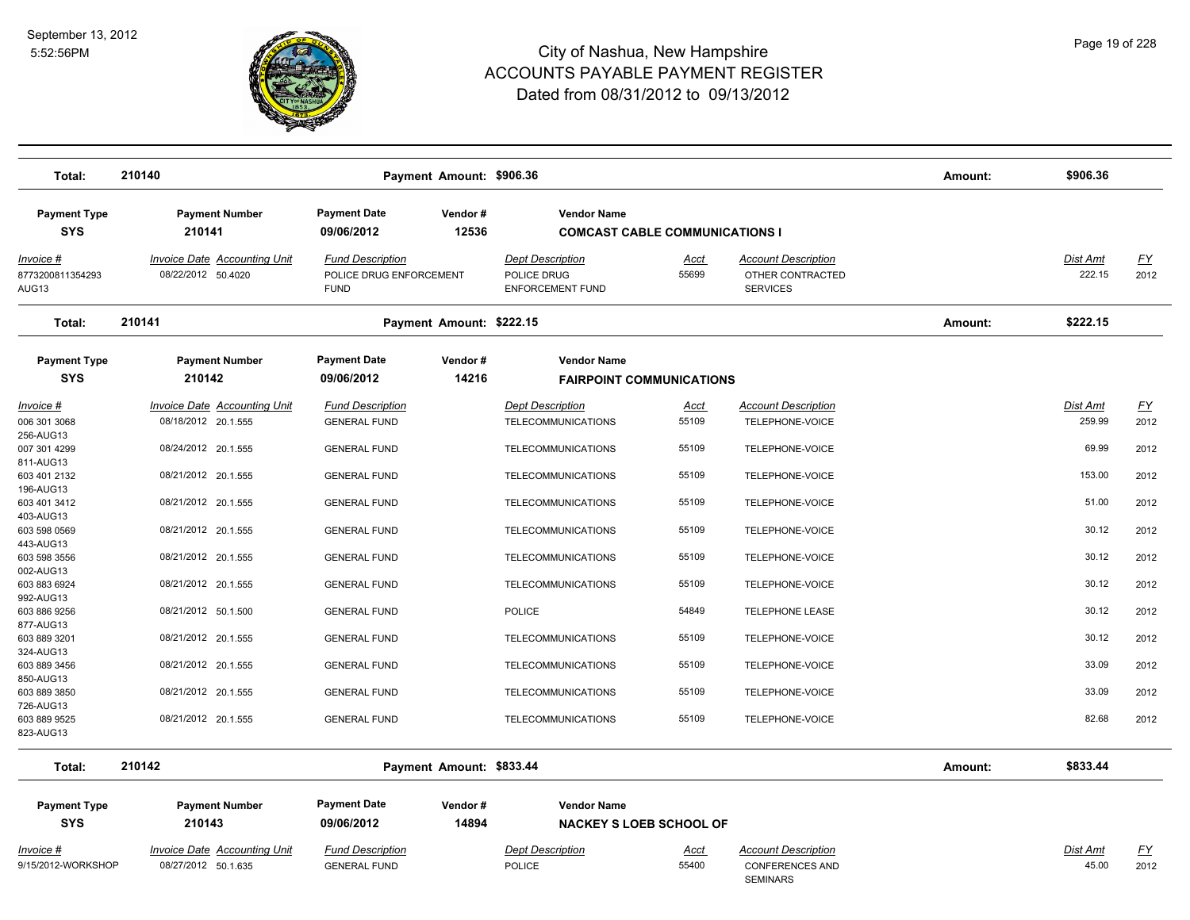

| Total:                                        | 210140                                                     |                                                                   | Payment Amount: \$906.36 |                                                                   |                      |                                                                         | Amount: | \$906.36                  |                   |
|-----------------------------------------------|------------------------------------------------------------|-------------------------------------------------------------------|--------------------------|-------------------------------------------------------------------|----------------------|-------------------------------------------------------------------------|---------|---------------------------|-------------------|
| <b>Payment Type</b>                           | <b>Payment Number</b>                                      | <b>Payment Date</b>                                               | Vendor#                  | <b>Vendor Name</b>                                                |                      |                                                                         |         |                           |                   |
| <b>SYS</b>                                    | 210141                                                     | 09/06/2012                                                        | 12536                    | <b>COMCAST CABLE COMMUNICATIONS I</b>                             |                      |                                                                         |         |                           |                   |
| Invoice #<br>8773200811354293<br>AUG13        | <b>Invoice Date Accounting Unit</b><br>08/22/2012 50.4020  | <b>Fund Description</b><br>POLICE DRUG ENFORCEMENT<br><b>FUND</b> |                          | <b>Dept Description</b><br>POLICE DRUG<br><b>ENFORCEMENT FUND</b> | Acct<br>55699        | <b>Account Description</b><br>OTHER CONTRACTED<br><b>SERVICES</b>       |         | Dist Amt<br>222.15        | <u>FY</u><br>2012 |
| Total:                                        | 210141                                                     |                                                                   | Payment Amount: \$222.15 |                                                                   |                      |                                                                         | Amount: | \$222.15                  |                   |
| <b>Payment Type</b>                           | <b>Payment Number</b>                                      | <b>Payment Date</b>                                               | Vendor#                  | <b>Vendor Name</b>                                                |                      |                                                                         |         |                           |                   |
| <b>SYS</b>                                    | 210142                                                     | 09/06/2012                                                        | 14216                    | <b>FAIRPOINT COMMUNICATIONS</b>                                   |                      |                                                                         |         |                           |                   |
| <u>Invoice #</u><br>006 301 3068<br>256-AUG13 | <b>Invoice Date Accounting Unit</b><br>08/18/2012 20.1.555 | <b>Fund Description</b><br><b>GENERAL FUND</b>                    |                          | <b>Dept Description</b><br><b>TELECOMMUNICATIONS</b>              | <u>Acct</u><br>55109 | <b>Account Description</b><br>TELEPHONE-VOICE                           |         | <b>Dist Amt</b><br>259.99 | <u>FY</u><br>2012 |
| 007 301 4299<br>811-AUG13                     | 08/24/2012 20.1.555                                        | <b>GENERAL FUND</b>                                               |                          | TELECOMMUNICATIONS                                                | 55109                | TELEPHONE-VOICE                                                         |         | 69.99                     | 2012              |
| 603 401 2132<br>196-AUG13                     | 08/21/2012 20.1.555                                        | <b>GENERAL FUND</b>                                               |                          | TELECOMMUNICATIONS                                                | 55109                | TELEPHONE-VOICE                                                         |         | 153.00                    | 2012              |
| 603 401 3412<br>403-AUG13                     | 08/21/2012 20.1.555                                        | <b>GENERAL FUND</b>                                               |                          | TELECOMMUNICATIONS                                                | 55109                | TELEPHONE-VOICE                                                         |         | 51.00                     | 2012              |
| 603 598 0569<br>443-AUG13                     | 08/21/2012 20.1.555                                        | <b>GENERAL FUND</b>                                               |                          | TELECOMMUNICATIONS                                                | 55109                | TELEPHONE-VOICE                                                         |         | 30.12                     | 2012              |
| 603 598 3556<br>002-AUG13                     | 08/21/2012 20.1.555<br>08/21/2012 20.1.555                 | <b>GENERAL FUND</b>                                               |                          | <b>TELECOMMUNICATIONS</b>                                         | 55109<br>55109       | TELEPHONE-VOICE                                                         |         | 30.12<br>30.12            | 2012<br>2012      |
| 603 883 6924<br>992-AUG13<br>603 886 9256     | 08/21/2012 50.1.500                                        | <b>GENERAL FUND</b><br><b>GENERAL FUND</b>                        |                          | TELECOMMUNICATIONS<br><b>POLICE</b>                               | 54849                | TELEPHONE-VOICE<br><b>TELEPHONE LEASE</b>                               |         | 30.12                     | 2012              |
| 877-AUG13<br>603 889 3201                     | 08/21/2012 20.1.555                                        | <b>GENERAL FUND</b>                                               |                          | <b>TELECOMMUNICATIONS</b>                                         | 55109                | TELEPHONE-VOICE                                                         |         | 30.12                     | 2012              |
| 324-AUG13<br>603 889 3456                     | 08/21/2012 20.1.555                                        | <b>GENERAL FUND</b>                                               |                          | TELECOMMUNICATIONS                                                | 55109                | TELEPHONE-VOICE                                                         |         | 33.09                     | 2012              |
| 850-AUG13<br>603 889 3850                     | 08/21/2012 20.1.555                                        | <b>GENERAL FUND</b>                                               |                          | <b>TELECOMMUNICATIONS</b>                                         | 55109                | TELEPHONE-VOICE                                                         |         | 33.09                     | 2012              |
| 726-AUG13<br>603 889 9525<br>823-AUG13        | 08/21/2012 20.1.555                                        | <b>GENERAL FUND</b>                                               |                          | TELECOMMUNICATIONS                                                | 55109                | TELEPHONE-VOICE                                                         |         | 82.68                     | 2012              |
| Total:                                        | 210142                                                     |                                                                   | Payment Amount: \$833.44 |                                                                   |                      |                                                                         | Amount: | \$833.44                  |                   |
| <b>Payment Type</b>                           | <b>Payment Number</b>                                      | <b>Payment Date</b>                                               | Vendor#                  | <b>Vendor Name</b>                                                |                      |                                                                         |         |                           |                   |
| <b>SYS</b>                                    | 210143                                                     | 09/06/2012                                                        | 14894                    | <b>NACKEY S LOEB SCHOOL OF</b>                                    |                      |                                                                         |         |                           |                   |
| Invoice #<br>9/15/2012-WORKSHOP               | Invoice Date Accounting Unit<br>08/27/2012 50.1.635        | <b>Fund Description</b><br><b>GENERAL FUND</b>                    |                          | <b>Dept Description</b><br><b>POLICE</b>                          | <u>Acct</u><br>55400 | <b>Account Description</b><br><b>CONFERENCES AND</b><br><b>SEMINARS</b> |         | Dist Amt<br>45.00         | EY<br>2012        |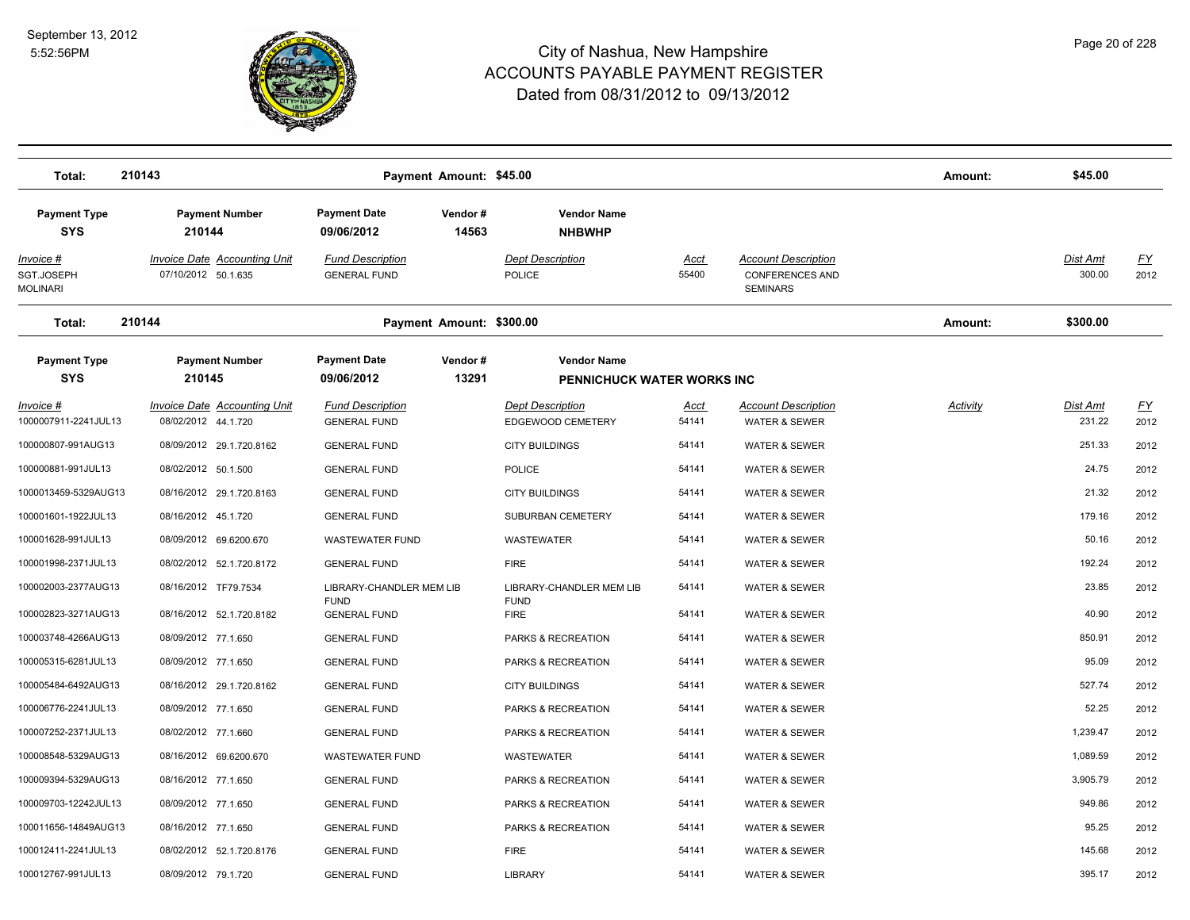

| Total:                                    | 210143                                                     | Payment Amount: \$45.00                               |                                                  |               |                                                                         | Amount:         | \$45.00                   |                   |
|-------------------------------------------|------------------------------------------------------------|-------------------------------------------------------|--------------------------------------------------|---------------|-------------------------------------------------------------------------|-----------------|---------------------------|-------------------|
| <b>Payment Type</b><br><b>SYS</b>         | <b>Payment Number</b><br>210144                            | <b>Payment Date</b><br>Vendor#<br>09/06/2012<br>14563 | <b>Vendor Name</b><br><b>NHBWHP</b>              |               |                                                                         |                 |                           |                   |
| Invoice #<br>SGT.JOSEPH<br>Molinari       | Invoice Date Accounting Unit<br>07/10/2012 50.1.635        | <b>Fund Description</b><br><b>GENERAL FUND</b>        | <b>Dept Description</b><br>POLICE                | Acct<br>55400 | <b>Account Description</b><br><b>CONFERENCES AND</b><br><b>SEMINARS</b> |                 | Dist Amt<br>300.00        | <u>FY</u><br>2012 |
| Total:                                    | 210144                                                     | Payment Amount: \$300.00                              |                                                  |               |                                                                         | Amount:         | \$300.00                  |                   |
| <b>Payment Type</b><br><b>SYS</b>         | <b>Payment Number</b><br>210145                            | <b>Payment Date</b><br>Vendor#<br>13291<br>09/06/2012 | <b>Vendor Name</b><br>PENNICHUCK WATER WORKS INC |               |                                                                         |                 |                           |                   |
| <u> Invoice #</u><br>1000007911-2241JUL13 | <b>Invoice Date Accounting Unit</b><br>08/02/2012 44.1.720 | <b>Fund Description</b><br><b>GENERAL FUND</b>        | <b>Dept Description</b><br>EDGEWOOD CEMETERY     | Acct<br>54141 | <b>Account Description</b><br><b>WATER &amp; SEWER</b>                  | <b>Activity</b> | <b>Dist Amt</b><br>231.22 | <u>FY</u><br>2012 |
| 100000807-991AUG13                        | 08/09/2012 29.1.720.8162                                   | <b>GENERAL FUND</b>                                   | <b>CITY BUILDINGS</b>                            | 54141         | WATER & SEWER                                                           |                 | 251.33                    | 2012              |
| 100000881-991JUL13                        | 08/02/2012 50.1.500                                        | <b>GENERAL FUND</b>                                   | <b>POLICE</b>                                    | 54141         | <b>WATER &amp; SEWER</b>                                                |                 | 24.75                     | 2012              |
| 1000013459-5329AUG13                      | 08/16/2012 29.1.720.8163                                   | <b>GENERAL FUND</b>                                   | <b>CITY BUILDINGS</b>                            | 54141         | <b>WATER &amp; SEWER</b>                                                |                 | 21.32                     | 2012              |
| 100001601-1922JUL13                       | 08/16/2012 45.1.720                                        | <b>GENERAL FUND</b>                                   | SUBURBAN CEMETERY                                | 54141         | <b>WATER &amp; SEWER</b>                                                |                 | 179.16                    | 2012              |
| 100001628-991JUL13                        | 08/09/2012 69.6200.670                                     | WASTEWATER FUND                                       | WASTEWATER                                       | 54141         | <b>WATER &amp; SEWER</b>                                                |                 | 50.16                     | 2012              |
| 100001998-2371JUL13                       | 08/02/2012 52.1.720.8172                                   | <b>GENERAL FUND</b>                                   | <b>FIRE</b>                                      | 54141         | <b>WATER &amp; SEWER</b>                                                |                 | 192.24                    | 2012              |
| 100002003-2377AUG13                       | 08/16/2012 TF79.7534                                       | LIBRARY-CHANDLER MEM LIB                              | LIBRARY-CHANDLER MEM LIB                         | 54141         | <b>WATER &amp; SEWER</b>                                                |                 | 23.85                     | 2012              |
| 100002823-3271AUG13                       | 08/16/2012 52.1.720.8182                                   | <b>FUND</b><br><b>GENERAL FUND</b>                    | <b>FUND</b><br><b>FIRE</b>                       | 54141         | <b>WATER &amp; SEWER</b>                                                |                 | 40.90                     | 2012              |
| 100003748-4266AUG13                       | 08/09/2012 77.1.650                                        | <b>GENERAL FUND</b>                                   | PARKS & RECREATION                               | 54141         | <b>WATER &amp; SEWER</b>                                                |                 | 850.91                    | 2012              |
| 100005315-6281JUL13                       | 08/09/2012 77.1.650                                        | <b>GENERAL FUND</b>                                   | PARKS & RECREATION                               | 54141         | <b>WATER &amp; SEWER</b>                                                |                 | 95.09                     | 2012              |
| 100005484-6492AUG13                       | 08/16/2012 29.1.720.8162                                   | <b>GENERAL FUND</b>                                   | <b>CITY BUILDINGS</b>                            | 54141         | <b>WATER &amp; SEWER</b>                                                |                 | 527.74                    | 2012              |
| 100006776-2241JUL13                       | 08/09/2012 77.1.650                                        | <b>GENERAL FUND</b>                                   | PARKS & RECREATION                               | 54141         | <b>WATER &amp; SEWER</b>                                                |                 | 52.25                     | 2012              |
| 100007252-2371JUL13                       | 08/02/2012 77.1.660                                        | <b>GENERAL FUND</b>                                   | PARKS & RECREATION                               | 54141         | WATER & SEWER                                                           |                 | 1,239.47                  | 2012              |
| 100008548-5329AUG13                       | 08/16/2012 69.6200.670                                     | WASTEWATER FUND                                       | WASTEWATER                                       | 54141         | <b>WATER &amp; SEWER</b>                                                |                 | 1,089.59                  | 2012              |
| 100009394-5329AUG13                       | 08/16/2012 77.1.650                                        | <b>GENERAL FUND</b>                                   | PARKS & RECREATION                               | 54141         | <b>WATER &amp; SEWER</b>                                                |                 | 3,905.79                  | 2012              |
| 100009703-12242JUL13                      | 08/09/2012 77.1.650                                        | <b>GENERAL FUND</b>                                   | PARKS & RECREATION                               | 54141         | <b>WATER &amp; SEWER</b>                                                |                 | 949.86                    | 2012              |
| 100011656-14849AUG13                      | 08/16/2012 77.1.650                                        | <b>GENERAL FUND</b>                                   | PARKS & RECREATION                               | 54141         | <b>WATER &amp; SEWER</b>                                                |                 | 95.25                     | 2012              |
| 100012411-2241JUL13                       | 08/02/2012 52.1.720.8176                                   | <b>GENERAL FUND</b>                                   | <b>FIRE</b>                                      | 54141         | <b>WATER &amp; SEWER</b>                                                |                 | 145.68                    | 2012              |
| 100012767-991JUL13                        | 08/09/2012 79.1.720                                        | <b>GENERAL FUND</b>                                   | <b>LIBRARY</b>                                   | 54141         | <b>WATER &amp; SEWER</b>                                                |                 | 395.17                    | 2012              |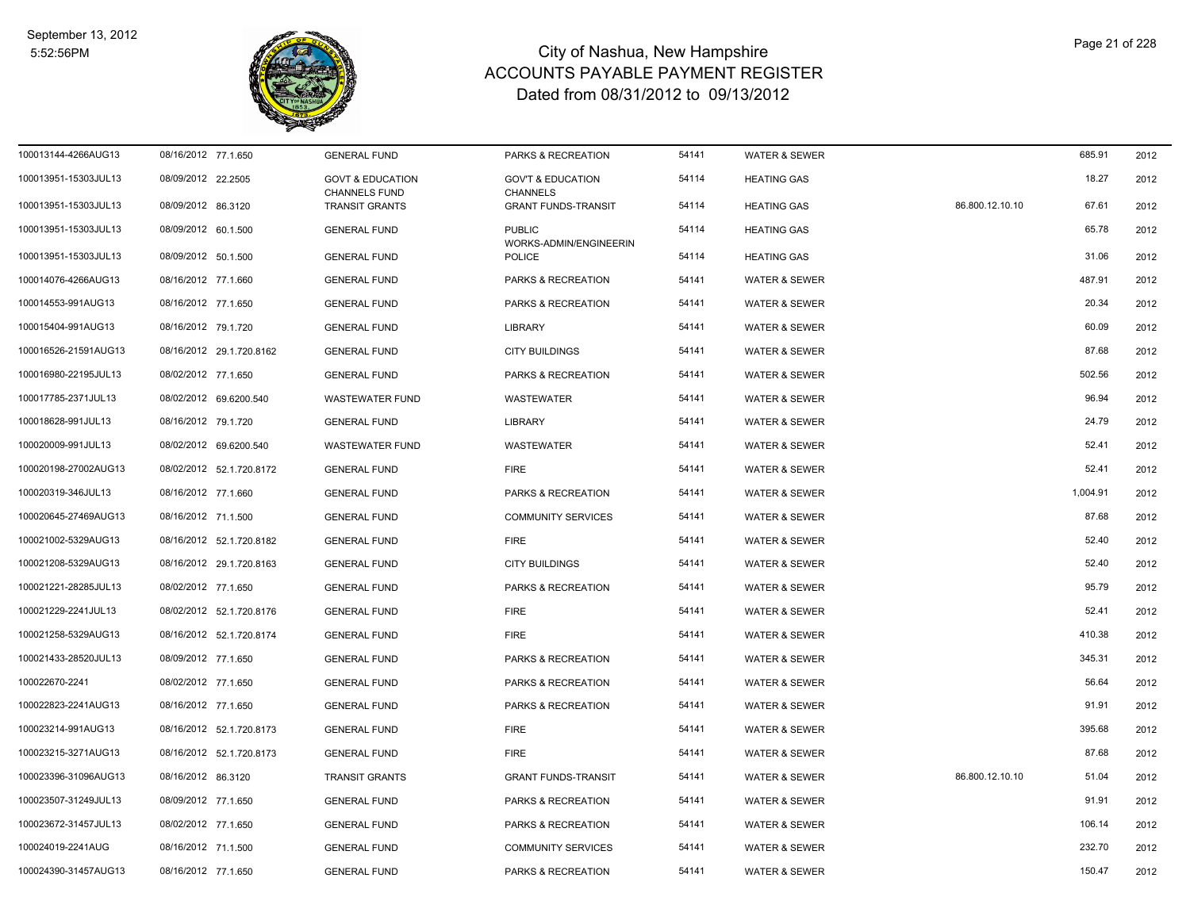

| 100013144-4266AUG13  | 08/16/2012 77.1.650      | <b>GENERAL FUND</b>                                 | PARKS & RECREATION                              | 54141 | <b>WATER &amp; SEWER</b> |                 | 685.91   | 2012 |
|----------------------|--------------------------|-----------------------------------------------------|-------------------------------------------------|-------|--------------------------|-----------------|----------|------|
| 100013951-15303JUL13 | 08/09/2012 22.2505       | <b>GOVT &amp; EDUCATION</b><br><b>CHANNELS FUND</b> | <b>GOV'T &amp; EDUCATION</b><br><b>CHANNELS</b> | 54114 | <b>HEATING GAS</b>       |                 | 18.27    | 2012 |
| 100013951-15303JUL13 | 08/09/2012 86.3120       | TRANSIT GRANTS                                      | <b>GRANT FUNDS-TRANSIT</b>                      | 54114 | <b>HEATING GAS</b>       | 86.800.12.10.10 | 67.61    | 2012 |
| 100013951-15303JUL13 | 08/09/2012 60.1.500      | <b>GENERAL FUND</b>                                 | <b>PUBLIC</b><br>WORKS-ADMIN/ENGINEERIN         | 54114 | <b>HEATING GAS</b>       |                 | 65.78    | 2012 |
| 100013951-15303JUL13 | 08/09/2012 50.1.500      | <b>GENERAL FUND</b>                                 | POLICE                                          | 54114 | <b>HEATING GAS</b>       |                 | 31.06    | 2012 |
| 100014076-4266AUG13  | 08/16/2012 77.1.660      | <b>GENERAL FUND</b>                                 | PARKS & RECREATION                              | 54141 | <b>WATER &amp; SEWER</b> |                 | 487.91   | 2012 |
| 100014553-991AUG13   | 08/16/2012 77.1.650      | <b>GENERAL FUND</b>                                 | PARKS & RECREATION                              | 54141 | <b>WATER &amp; SEWER</b> |                 | 20.34    | 2012 |
| 100015404-991AUG13   | 08/16/2012 79.1.720      | <b>GENERAL FUND</b>                                 | <b>LIBRARY</b>                                  | 54141 | <b>WATER &amp; SEWER</b> |                 | 60.09    | 2012 |
| 100016526-21591AUG13 | 08/16/2012 29.1.720.8162 | <b>GENERAL FUND</b>                                 | <b>CITY BUILDINGS</b>                           | 54141 | <b>WATER &amp; SEWER</b> |                 | 87.68    | 2012 |
| 100016980-22195JUL13 | 08/02/2012 77.1.650      | <b>GENERAL FUND</b>                                 | PARKS & RECREATION                              | 54141 | <b>WATER &amp; SEWER</b> |                 | 502.56   | 2012 |
| 100017785-2371JUL13  | 08/02/2012 69.6200.540   | WASTEWATER FUND                                     | WASTEWATER                                      | 54141 | <b>WATER &amp; SEWER</b> |                 | 96.94    | 2012 |
| 100018628-991JUL13   | 08/16/2012 79.1.720      | <b>GENERAL FUND</b>                                 | <b>LIBRARY</b>                                  | 54141 | <b>WATER &amp; SEWER</b> |                 | 24.79    | 2012 |
| 100020009-991JUL13   | 08/02/2012 69.6200.540   | <b>WASTEWATER FUND</b>                              | <b>WASTEWATER</b>                               | 54141 | <b>WATER &amp; SEWER</b> |                 | 52.41    | 2012 |
| 100020198-27002AUG13 | 08/02/2012 52.1.720.8172 | <b>GENERAL FUND</b>                                 | <b>FIRE</b>                                     | 54141 | <b>WATER &amp; SEWER</b> |                 | 52.41    | 2012 |
| 100020319-346JUL13   | 08/16/2012 77.1.660      | <b>GENERAL FUND</b>                                 | PARKS & RECREATION                              | 54141 | <b>WATER &amp; SEWER</b> |                 | 1,004.91 | 2012 |
| 100020645-27469AUG13 | 08/16/2012 71.1.500      | <b>GENERAL FUND</b>                                 | <b>COMMUNITY SERVICES</b>                       | 54141 | <b>WATER &amp; SEWER</b> |                 | 87.68    | 2012 |
| 100021002-5329AUG13  | 08/16/2012 52.1.720.8182 | <b>GENERAL FUND</b>                                 | <b>FIRE</b>                                     | 54141 | <b>WATER &amp; SEWER</b> |                 | 52.40    | 2012 |
| 100021208-5329AUG13  | 08/16/2012 29.1.720.8163 | <b>GENERAL FUND</b>                                 | <b>CITY BUILDINGS</b>                           | 54141 | <b>WATER &amp; SEWER</b> |                 | 52.40    | 2012 |
| 100021221-28285JUL13 | 08/02/2012 77.1.650      | <b>GENERAL FUND</b>                                 | PARKS & RECREATION                              | 54141 | <b>WATER &amp; SEWER</b> |                 | 95.79    | 2012 |
| 100021229-2241JUL13  | 08/02/2012 52.1.720.8176 | <b>GENERAL FUND</b>                                 | <b>FIRE</b>                                     | 54141 | <b>WATER &amp; SEWER</b> |                 | 52.41    | 2012 |
| 100021258-5329AUG13  | 08/16/2012 52.1.720.8174 | <b>GENERAL FUND</b>                                 | <b>FIRE</b>                                     | 54141 | <b>WATER &amp; SEWER</b> |                 | 410.38   | 2012 |
| 100021433-28520JUL13 | 08/09/2012 77.1.650      | <b>GENERAL FUND</b>                                 | PARKS & RECREATION                              | 54141 | <b>WATER &amp; SEWER</b> |                 | 345.31   | 2012 |
| 100022670-2241       | 08/02/2012 77.1.650      | <b>GENERAL FUND</b>                                 | PARKS & RECREATION                              | 54141 | <b>WATER &amp; SEWER</b> |                 | 56.64    | 2012 |
| 100022823-2241AUG13  | 08/16/2012 77.1.650      | <b>GENERAL FUND</b>                                 | PARKS & RECREATION                              | 54141 | <b>WATER &amp; SEWER</b> |                 | 91.91    | 2012 |
| 100023214-991AUG13   | 08/16/2012 52.1.720.8173 | <b>GENERAL FUND</b>                                 | <b>FIRE</b>                                     | 54141 | <b>WATER &amp; SEWER</b> |                 | 395.68   | 2012 |
| 100023215-3271AUG13  | 08/16/2012 52.1.720.8173 | <b>GENERAL FUND</b>                                 | <b>FIRE</b>                                     | 54141 | <b>WATER &amp; SEWER</b> |                 | 87.68    | 2012 |
| 100023396-31096AUG13 | 08/16/2012 86.3120       | <b>TRANSIT GRANTS</b>                               | <b>GRANT FUNDS-TRANSIT</b>                      | 54141 | <b>WATER &amp; SEWER</b> | 86.800.12.10.10 | 51.04    | 2012 |
| 100023507-31249JUL13 | 08/09/2012 77.1.650      | <b>GENERAL FUND</b>                                 | PARKS & RECREATION                              | 54141 | <b>WATER &amp; SEWER</b> |                 | 91.91    | 2012 |
| 100023672-31457JUL13 | 08/02/2012 77.1.650      | <b>GENERAL FUND</b>                                 | PARKS & RECREATION                              | 54141 | <b>WATER &amp; SEWER</b> |                 | 106.14   | 2012 |
| 100024019-2241AUG    | 08/16/2012 71.1.500      | <b>GENERAL FUND</b>                                 | <b>COMMUNITY SERVICES</b>                       | 54141 | <b>WATER &amp; SEWER</b> |                 | 232.70   | 2012 |
| 100024390-31457AUG13 | 08/16/2012 77.1.650      | <b>GENERAL FUND</b>                                 | PARKS & RECREATION                              | 54141 | <b>WATER &amp; SEWER</b> |                 | 150.47   | 2012 |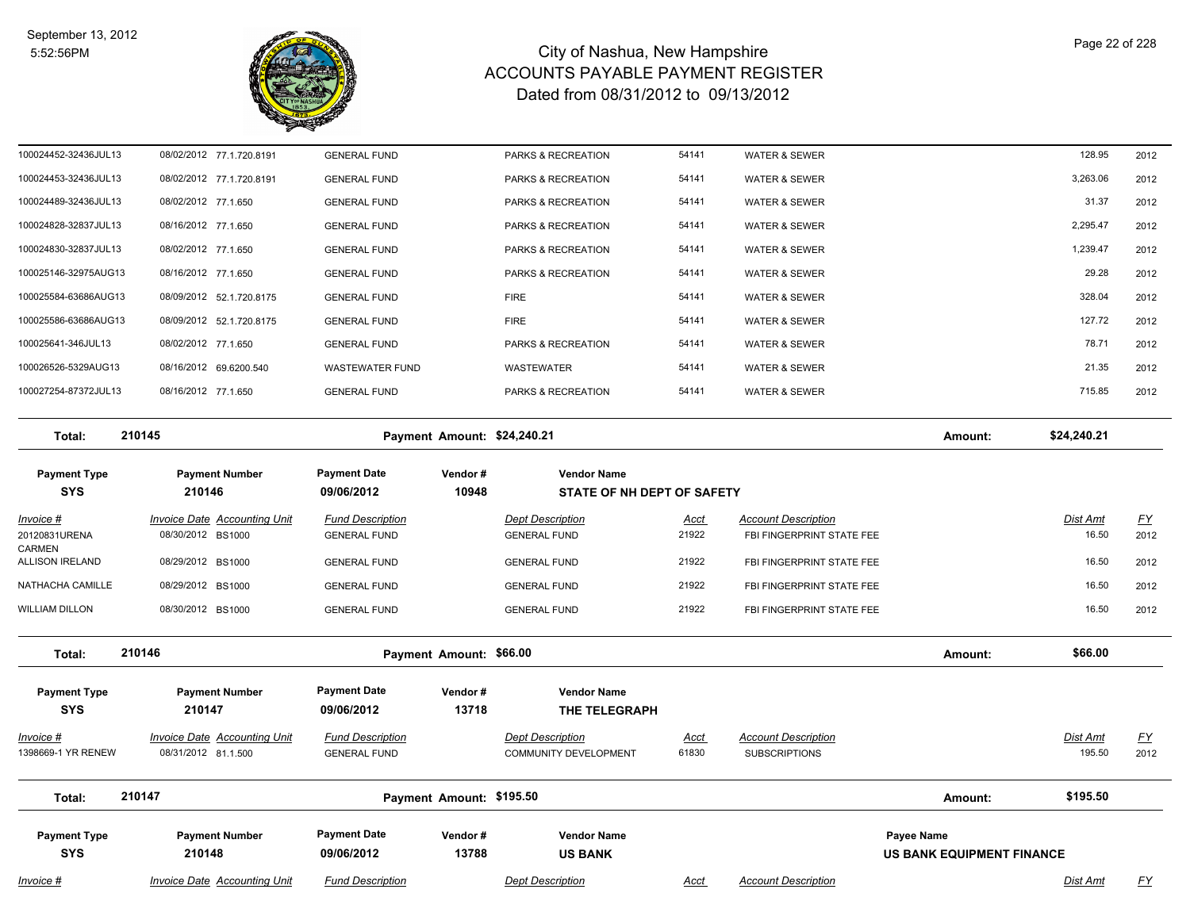

| 100024452-32436JUL13 |                        | 08/02/2012 77.1.720.8191 | <b>GENERAL FUND</b>    | <b>PARKS &amp; RECREATION</b> | 54141 | <b>WATER &amp; SEWER</b> | 128.95   | 2012 |
|----------------------|------------------------|--------------------------|------------------------|-------------------------------|-------|--------------------------|----------|------|
| 100024453-32436JUL13 |                        | 08/02/2012 77.1.720.8191 | <b>GENERAL FUND</b>    | <b>PARKS &amp; RECREATION</b> | 54141 | <b>WATER &amp; SEWER</b> | 3,263.06 | 2012 |
| 100024489-32436JUL13 | 08/02/2012 77.1.650    |                          | <b>GENERAL FUND</b>    | <b>PARKS &amp; RECREATION</b> | 54141 | <b>WATER &amp; SEWER</b> | 31.37    | 2012 |
| 100024828-32837JUL13 | 08/16/2012 77.1.650    |                          | <b>GENERAL FUND</b>    | <b>PARKS &amp; RECREATION</b> | 54141 | <b>WATER &amp; SEWER</b> | 2,295.47 | 2012 |
| 100024830-32837JUL13 | 08/02/2012 77.1.650    |                          | <b>GENERAL FUND</b>    | <b>PARKS &amp; RECREATION</b> | 54141 | <b>WATER &amp; SEWER</b> | 1,239.47 | 2012 |
| 100025146-32975AUG13 | 08/16/2012 77.1.650    |                          | <b>GENERAL FUND</b>    | <b>PARKS &amp; RECREATION</b> | 54141 | <b>WATER &amp; SEWER</b> | 29.28    | 2012 |
| 100025584-63686AUG13 |                        | 08/09/2012 52.1.720.8175 | <b>GENERAL FUND</b>    | <b>FIRE</b>                   | 54141 | <b>WATER &amp; SEWER</b> | 328.04   | 2012 |
| 100025586-63686AUG13 |                        | 08/09/2012 52.1.720.8175 | <b>GENERAL FUND</b>    | <b>FIRE</b>                   | 54141 | <b>WATER &amp; SEWER</b> | 127.72   | 2012 |
| 100025641-346JUL13   | 08/02/2012 77.1.650    |                          | <b>GENERAL FUND</b>    | <b>PARKS &amp; RECREATION</b> | 54141 | <b>WATER &amp; SEWER</b> | 78.71    | 2012 |
| 100026526-5329AUG13  | 08/16/2012 69.6200.540 |                          | <b>WASTEWATER FUND</b> | <b>WASTEWATER</b>             | 54141 | <b>WATER &amp; SEWER</b> | 21.35    | 2012 |
| 100027254-87372JUL13 | 08/16/2012 77.1.650    |                          | <b>GENERAL FUND</b>    | <b>PARKS &amp; RECREATION</b> | 54141 | <b>WATER &amp; SEWER</b> | 715.85   | 2012 |
|                      |                        |                          |                        |                               |       |                          |          |      |

**Total: 210145 Payment Amount: \$24,240.21 Amount: \$24,240.21 Payment Type Payment Number Payment Date Vendor # Vendor Name SYS 09/06/2012** *Invoice # Invoice Date Accounting Unit Fund Description Dept Description Acct Account Description Dist Amt FY*  **210146 10948 STATE OF NH DEPT OF SAFETY** 20120831URENA 08/30/2012 BS1000 GENERAL FUND GENERAL FUND 21922 FBI FINGERPRINT STATE FEE 2012 CARMEN 16.50 ALLISON IRELAND 08/29/2012 BS1000 GENERAL FUND GENERAL FUND 21922 FBI FINGERPRINT STATE FEE 16.50 12012 NATHACHA CAMILLE 08/29/2012 BS1000 GENERAL FUND GENERAL FUND 21922 FBI FINGERPRINT STATE FEE 16.50 16.50 2012 WILLIAM DILLON 08/30/2012 BS1000 GENERAL FUND GENERAL FUND 21922 FBI FINGERPRINT STATE FEE 16.50 12012 **Total: 210146 Payment Amount: \$66.00 Amount: \$66.00 Payment Type Payment Number Payment Date Vendor # Vendor Name SYS 09/06/2012** *Invoice # Invoice Date Accounting Unit Fund Description Dept Description Acct Account Description Dist Amt FY*  **210147 13718 THE TELEGRAPH** 1398669-1 YR RENEW 08/31/2012 81.1.500 GENERAL FUND COMMUNITY DEVELOPMENT 61830 SUBSCRIPTIONS 195.50 2012 **Total: 210147 Payment Amount: \$195.50 Amount: \$195.50**

| <b>Payment Type</b> | <b>Payment Number</b>               | <b>Payment Date</b>     | Vendor# | <b>Vendor Name</b>      |      |                            | <b>Pavee Name</b>         |     |
|---------------------|-------------------------------------|-------------------------|---------|-------------------------|------|----------------------------|---------------------------|-----|
| <b>SYS</b>          | 210148                              | 09/06/2012              | 13788   | <b>US BANK</b>          |      |                            | US BANK EQUIPMENT FINANCE |     |
| <u>Invoice #</u>    | <b>Invoice Date Accounting Unit</b> | <b>Fund Description</b> |         | <b>Dept Description</b> | Acct | <b>Account Description</b> | Dist Amt                  | FY. |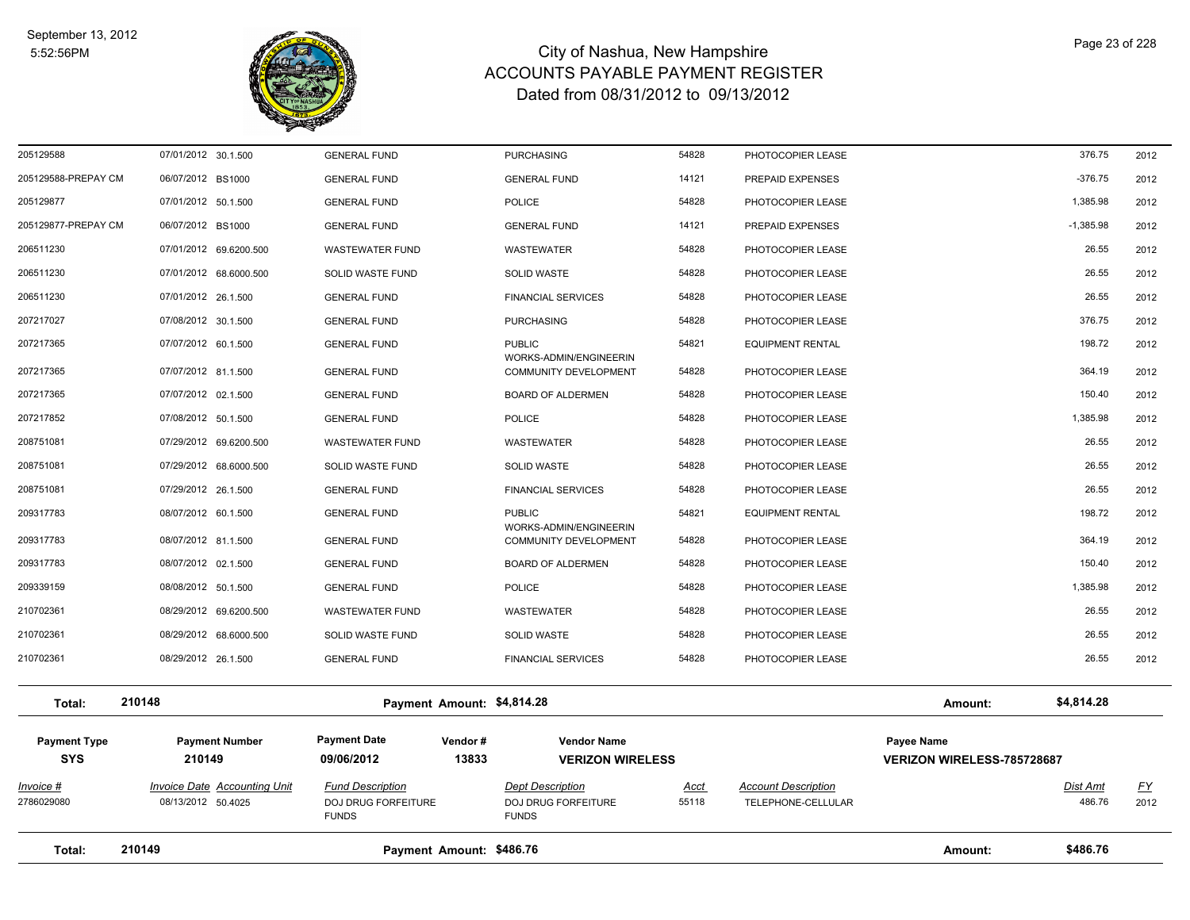

| Total:                            | 210149                                                    | Payment Amount: \$486.76                                       |                  |                                                                       |               |                                                  | Amount:                                  | \$486.76           |                   |
|-----------------------------------|-----------------------------------------------------------|----------------------------------------------------------------|------------------|-----------------------------------------------------------------------|---------------|--------------------------------------------------|------------------------------------------|--------------------|-------------------|
| Invoice #<br>2786029080           | <b>Invoice Date Accounting Unit</b><br>08/13/2012 50.4025 | <b>Fund Description</b><br>DOJ DRUG FORFEITURE<br><b>FUNDS</b> |                  | <b>Dept Description</b><br><b>DOJ DRUG FORFEITURE</b><br><b>FUNDS</b> | Acct<br>55118 | <b>Account Description</b><br>TELEPHONE-CELLULAR |                                          | Dist Amt<br>486.76 | <u>FY</u><br>2012 |
| <b>Payment Type</b><br><b>SYS</b> | <b>Payment Number</b><br>210149                           | <b>Payment Date</b><br>09/06/2012                              | Vendor#<br>13833 | <b>Vendor Name</b><br><b>VERIZON WIRELESS</b>                         |               |                                                  | Payee Name<br>VERIZON WIRELESS-785728687 |                    |                   |
| Total:                            | 210148                                                    | Payment Amount: \$4,814.28                                     |                  |                                                                       |               |                                                  | Amount:                                  | \$4,814.28         |                   |
| 210702361                         | 08/29/2012 26.1.500                                       | <b>GENERAL FUND</b>                                            |                  | <b>FINANCIAL SERVICES</b>                                             | 54828         | PHOTOCOPIER LEASE                                |                                          | 26.55              | 2012              |
| 210702361                         | 08/29/2012 68.6000.500                                    | SOLID WASTE FUND                                               |                  | <b>SOLID WASTE</b>                                                    | 54828         | PHOTOCOPIER LEASE                                |                                          | 26.55              | 2012              |
| 210702361                         | 08/29/2012 69.6200.500                                    | <b>WASTEWATER FUND</b>                                         |                  | <b>WASTEWATER</b>                                                     | 54828         | PHOTOCOPIER LEASE                                |                                          | 26.55              | 2012              |
| 209339159                         | 08/08/2012 50.1.500                                       | <b>GENERAL FUND</b>                                            |                  | POLICE                                                                | 54828         | PHOTOCOPIER LEASE                                |                                          | 1,385.98           | 2012              |
| 209317783                         | 08/07/2012 02.1.500                                       | <b>GENERAL FUND</b>                                            |                  | <b>BOARD OF ALDERMEN</b>                                              | 54828         | PHOTOCOPIER LEASE                                |                                          | 150.40             | 2012              |
| 209317783                         | 08/07/2012 81.1.500                                       | <b>GENERAL FUND</b>                                            |                  | WORKS-ADMIN/ENGINEERIN<br><b>COMMUNITY DEVELOPMENT</b>                | 54828         | PHOTOCOPIER LEASE                                |                                          | 364.19             | 2012              |
| 209317783                         | 08/07/2012 60.1.500                                       | <b>GENERAL FUND</b>                                            |                  | <b>PUBLIC</b>                                                         | 54821         | <b>EQUIPMENT RENTAL</b>                          |                                          | 198.72             | 2012              |
| 208751081                         | 07/29/2012 26.1.500                                       | <b>GENERAL FUND</b>                                            |                  | <b>FINANCIAL SERVICES</b>                                             | 54828         | PHOTOCOPIER LEASE                                |                                          | 26.55              | 2012              |
| 208751081                         | 07/29/2012 68.6000.500                                    | SOLID WASTE FUND                                               |                  | <b>SOLID WASTE</b>                                                    | 54828         | PHOTOCOPIER LEASE                                |                                          | 26.55              | 2012              |
| 208751081                         | 07/29/2012 69.6200.500                                    | <b>WASTEWATER FUND</b>                                         |                  | <b>WASTEWATER</b>                                                     | 54828         | PHOTOCOPIER LEASE                                |                                          | 26.55              | 2012              |
| 207217852                         | 07/08/2012 50.1.500                                       | <b>GENERAL FUND</b>                                            |                  | POLICE                                                                | 54828         | PHOTOCOPIER LEASE                                |                                          | 1,385.98           | 2012              |
| 207217365                         | 07/07/2012 02.1.500                                       | <b>GENERAL FUND</b>                                            |                  | <b>BOARD OF ALDERMEN</b>                                              | 54828         | PHOTOCOPIER LEASE                                |                                          | 150.40             | 2012              |
| 207217365                         | 07/07/2012 81.1.500                                       | <b>GENERAL FUND</b>                                            |                  | WORKS-ADMIN/ENGINEERIN<br>COMMUNITY DEVELOPMENT                       | 54828         | PHOTOCOPIER LEASE                                |                                          | 364.19             | 2012              |
| 207217365                         | 07/07/2012 60.1.500                                       | <b>GENERAL FUND</b>                                            |                  | <b>PUBLIC</b>                                                         | 54821         | <b>EQUIPMENT RENTAL</b>                          |                                          | 198.72             | 2012              |
| 207217027                         | 07/08/2012 30.1.500                                       | <b>GENERAL FUND</b>                                            |                  | <b>PURCHASING</b>                                                     | 54828         | PHOTOCOPIER LEASE                                |                                          | 376.75             | 2012              |
| 206511230                         | 07/01/2012 26.1.500                                       | <b>GENERAL FUND</b>                                            |                  | <b>FINANCIAL SERVICES</b>                                             | 54828         | PHOTOCOPIER LEASE                                |                                          | 26.55              | 2012              |
| 206511230                         | 07/01/2012 68.6000.500                                    | SOLID WASTE FUND                                               |                  | <b>SOLID WASTE</b>                                                    | 54828         | PHOTOCOPIER LEASE                                |                                          | 26.55              | 2012              |
| 206511230                         | 07/01/2012 69.6200.500                                    | <b>WASTEWATER FUND</b>                                         |                  | <b>WASTEWATER</b>                                                     | 54828         | PHOTOCOPIER LEASE                                |                                          | 26.55              | 2012              |
| 205129877-PREPAY CM               | 06/07/2012 BS1000                                         | <b>GENERAL FUND</b>                                            |                  | <b>GENERAL FUND</b>                                                   | 14121         | PREPAID EXPENSES                                 |                                          | $-1,385.98$        | 2012              |
| 205129877                         | 07/01/2012 50.1.500                                       | <b>GENERAL FUND</b>                                            |                  | POLICE                                                                | 54828         | PHOTOCOPIER LEASE                                |                                          | 1,385.98           | 2012              |
| 205129588-PREPAY CM               | 06/07/2012 BS1000                                         | <b>GENERAL FUND</b>                                            |                  | <b>GENERAL FUND</b>                                                   | 14121         | PREPAID EXPENSES                                 |                                          | $-376.75$          | 2012              |
| 205129588                         | 07/01/2012 30.1.500                                       | <b>GENERAL FUND</b>                                            |                  | <b>PURCHASING</b>                                                     | 54828         | PHOTOCOPIER LEASE                                |                                          | 376.75             | 2012              |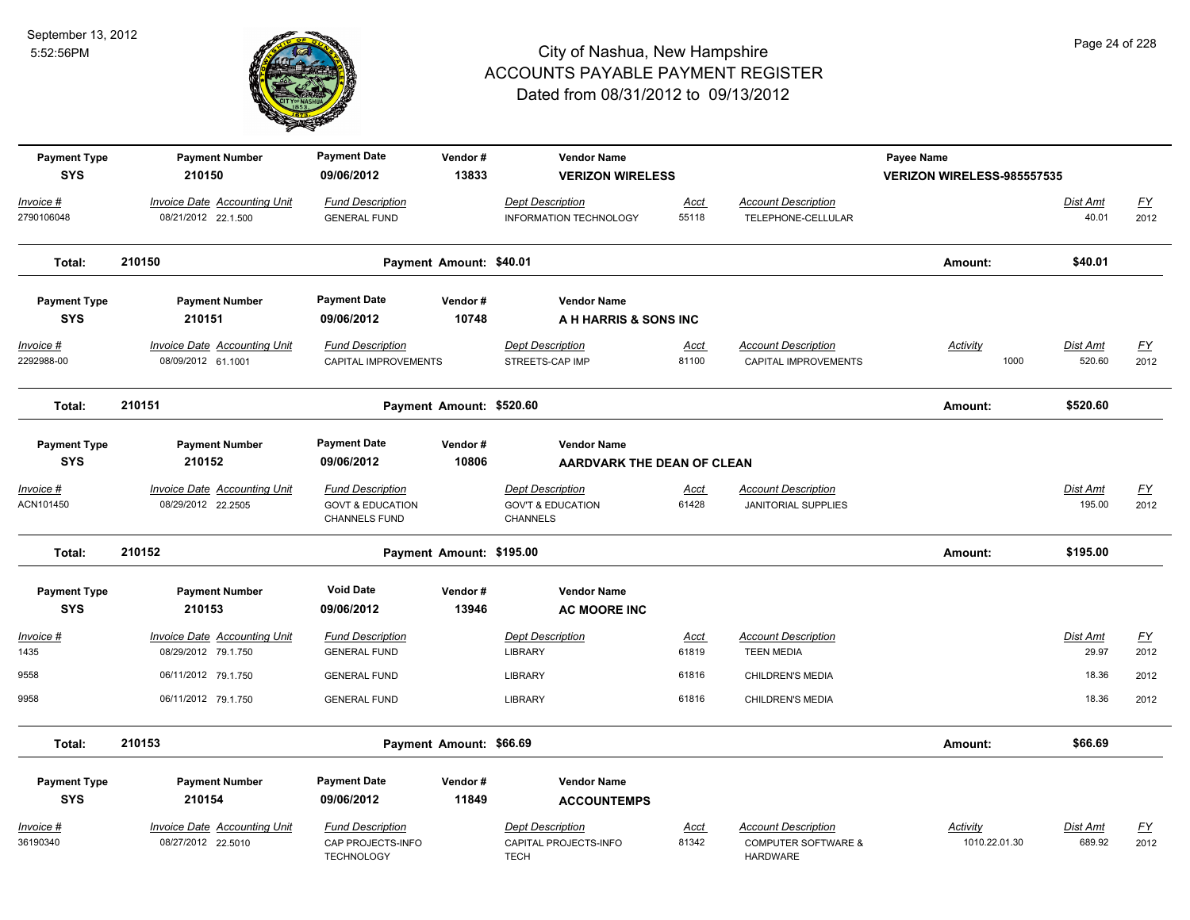

| <b>Payment Type</b> | <b>Payment Number</b>               | <b>Payment Date</b>                                 | Vendor#                  | <b>Vendor Name</b>                              |             |                                                   | Payee Name                 |                 |           |
|---------------------|-------------------------------------|-----------------------------------------------------|--------------------------|-------------------------------------------------|-------------|---------------------------------------------------|----------------------------|-----------------|-----------|
| <b>SYS</b>          | 210150                              | 09/06/2012                                          | 13833                    | <b>VERIZON WIRELESS</b>                         |             |                                                   | VERIZON WIRELESS-985557535 |                 |           |
| Invoice #           | <b>Invoice Date Accounting Unit</b> | <b>Fund Description</b>                             |                          | <b>Dept Description</b>                         | Acct        | <b>Account Description</b>                        |                            | Dist Amt        | <u>FY</u> |
| 2790106048          | 08/21/2012 22.1.500                 | <b>GENERAL FUND</b>                                 |                          | <b>INFORMATION TECHNOLOGY</b>                   | 55118       | TELEPHONE-CELLULAR                                |                            | 40.01           | 2012      |
| Total:              | 210150                              |                                                     | Payment Amount: \$40.01  |                                                 |             |                                                   | Amount:                    | \$40.01         |           |
| <b>Payment Type</b> | <b>Payment Number</b>               | <b>Payment Date</b>                                 | Vendor#                  | <b>Vendor Name</b>                              |             |                                                   |                            |                 |           |
| <b>SYS</b>          | 210151                              | 09/06/2012                                          | 10748                    | A H HARRIS & SONS INC                           |             |                                                   |                            |                 |           |
| Invoice #           | <b>Invoice Date Accounting Unit</b> | <b>Fund Description</b>                             |                          | <b>Dept Description</b>                         | <u>Acct</u> | <b>Account Description</b>                        | <b>Activity</b>            | <b>Dist Amt</b> | <u>FY</u> |
| 2292988-00          | 08/09/2012 61.1001                  | CAPITAL IMPROVEMENTS                                |                          | STREETS-CAP IMP                                 | 81100       | CAPITAL IMPROVEMENTS                              | 1000                       | 520.60          | 2012      |
| Total:              | 210151                              |                                                     | Payment Amount: \$520.60 |                                                 |             |                                                   | Amount:                    | \$520.60        |           |
| <b>Payment Type</b> | <b>Payment Number</b>               | <b>Payment Date</b>                                 | Vendor#                  | <b>Vendor Name</b>                              |             |                                                   |                            |                 |           |
| <b>SYS</b>          | 210152                              | 09/06/2012                                          | 10806                    | AARDVARK THE DEAN OF CLEAN                      |             |                                                   |                            |                 |           |
| $Invoice$ #         | <b>Invoice Date Accounting Unit</b> | <b>Fund Description</b>                             |                          | <b>Dept Description</b>                         | <u>Acct</u> | <b>Account Description</b>                        |                            | <b>Dist Amt</b> | <u>FY</u> |
| ACN101450           | 08/29/2012 22.2505                  | <b>GOVT &amp; EDUCATION</b><br><b>CHANNELS FUND</b> |                          | <b>GOV'T &amp; EDUCATION</b><br><b>CHANNELS</b> | 61428       | <b>JANITORIAL SUPPLIES</b>                        |                            | 195.00          | 2012      |
| Total:              | 210152                              |                                                     | Payment Amount: \$195.00 |                                                 |             |                                                   | Amount:                    | \$195.00        |           |
| <b>Payment Type</b> | <b>Payment Number</b>               | <b>Void Date</b>                                    | Vendor#                  | <b>Vendor Name</b>                              |             |                                                   |                            |                 |           |
| <b>SYS</b>          | 210153                              | 09/06/2012                                          | 13946                    | <b>AC MOORE INC</b>                             |             |                                                   |                            |                 |           |
| Invoice #           | <b>Invoice Date Accounting Unit</b> | <b>Fund Description</b>                             |                          | <b>Dept Description</b>                         | Acct        | <b>Account Description</b>                        |                            | Dist Amt        | <u>FY</u> |
| 1435                | 08/29/2012 79.1.750                 | <b>GENERAL FUND</b>                                 |                          | LIBRARY                                         | 61819       | <b>TEEN MEDIA</b>                                 |                            | 29.97           | 2012      |
| 9558                | 06/11/2012 79.1.750                 | <b>GENERAL FUND</b>                                 |                          | <b>LIBRARY</b>                                  | 61816       | <b>CHILDREN'S MEDIA</b>                           |                            | 18.36           | 2012      |
| 9958                | 06/11/2012 79.1.750                 | <b>GENERAL FUND</b>                                 |                          | <b>LIBRARY</b>                                  | 61816       | <b>CHILDREN'S MEDIA</b>                           |                            | 18.36           | 2012      |
| Total:              | 210153                              |                                                     | Payment Amount: \$66.69  |                                                 |             |                                                   | Amount:                    | \$66.69         |           |
| <b>Payment Type</b> | <b>Payment Number</b>               | <b>Payment Date</b>                                 | Vendor#                  | <b>Vendor Name</b>                              |             |                                                   |                            |                 |           |
| <b>SYS</b>          | 210154                              | 09/06/2012                                          | 11849                    | <b>ACCOUNTEMPS</b>                              |             |                                                   |                            |                 |           |
| Invoice #           | Invoice Date Accounting Unit        | <b>Fund Description</b>                             |                          | <b>Dept Description</b>                         | Acct        | <b>Account Description</b>                        | Activity                   | Dist Amt        | <u>FY</u> |
| 36190340            | 08/27/2012 22.5010                  | CAP PROJECTS-INFO<br><b>TECHNOLOGY</b>              |                          | CAPITAL PROJECTS-INFO<br><b>TECH</b>            | 81342       | <b>COMPUTER SOFTWARE &amp;</b><br><b>HARDWARE</b> | 1010.22.01.30              | 689.92          | 2012      |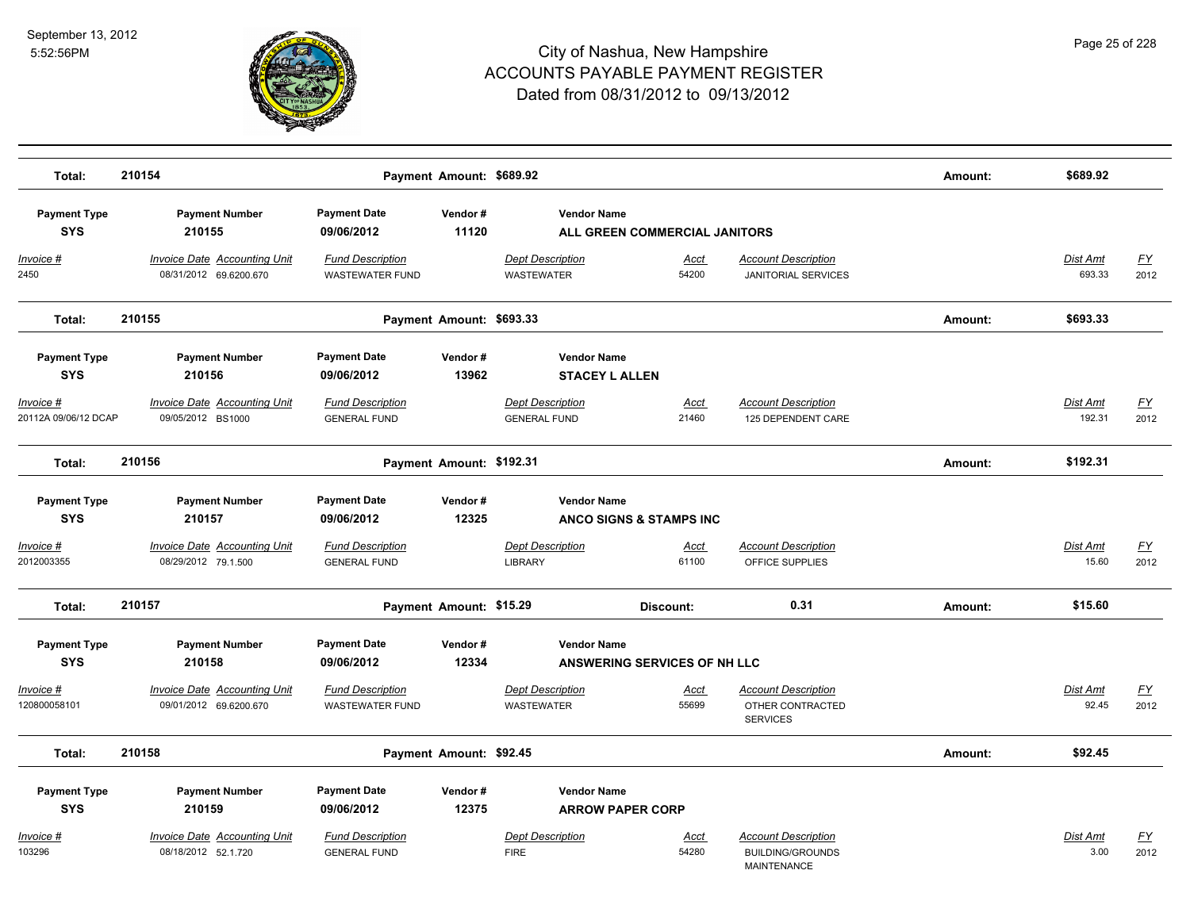

| Total:                                   | 210154                                                     |                                                   | Payment Amount: \$689.92 |                                                |                                     |                                                                             | Amount: | \$689.92                  |                   |
|------------------------------------------|------------------------------------------------------------|---------------------------------------------------|--------------------------|------------------------------------------------|-------------------------------------|-----------------------------------------------------------------------------|---------|---------------------------|-------------------|
| <b>Payment Type</b><br><b>SYS</b>        | <b>Payment Number</b><br>210155                            | <b>Payment Date</b><br>09/06/2012                 | Vendor#<br>11120         | <b>Vendor Name</b>                             | ALL GREEN COMMERCIAL JANITORS       |                                                                             |         |                           |                   |
| Invoice #<br>2450                        | Invoice Date Accounting Unit<br>08/31/2012 69.6200.670     | <b>Fund Description</b><br><b>WASTEWATER FUND</b> |                          | <b>Dept Description</b><br><b>WASTEWATER</b>   | Acct<br>54200                       | <b>Account Description</b><br><b>JANITORIAL SERVICES</b>                    |         | Dist Amt<br>693.33        | <u>FY</u><br>2012 |
| Total:                                   | 210155                                                     |                                                   | Payment Amount: \$693.33 |                                                |                                     |                                                                             | Amount: | \$693.33                  |                   |
| <b>Payment Type</b><br><b>SYS</b>        | <b>Payment Number</b><br>210156                            | <b>Payment Date</b><br>09/06/2012                 | Vendor#<br>13962         | <b>Vendor Name</b><br><b>STACEY L ALLEN</b>    |                                     |                                                                             |         |                           |                   |
| <u>Invoice #</u><br>20112A 09/06/12 DCAP | <b>Invoice Date Accounting Unit</b><br>09/05/2012 BS1000   | <b>Fund Description</b><br><b>GENERAL FUND</b>    |                          | <b>Dept Description</b><br><b>GENERAL FUND</b> | <u>Acct</u><br>21460                | <b>Account Description</b><br>125 DEPENDENT CARE                            |         | <b>Dist Amt</b><br>192.31 | <u>FY</u><br>2012 |
| Total:                                   | 210156                                                     |                                                   | Payment Amount: \$192.31 |                                                |                                     |                                                                             | Amount: | \$192.31                  |                   |
| <b>Payment Type</b><br><b>SYS</b>        | <b>Payment Number</b><br>210157                            | <b>Payment Date</b><br>09/06/2012                 | Vendor#<br>12325         | <b>Vendor Name</b>                             | <b>ANCO SIGNS &amp; STAMPS INC</b>  |                                                                             |         |                           |                   |
| Invoice #<br>2012003355                  | Invoice Date Accounting Unit<br>08/29/2012 79.1.500        | <b>Fund Description</b><br><b>GENERAL FUND</b>    |                          | <b>Dept Description</b><br><b>LIBRARY</b>      | Acct<br>61100                       | <b>Account Description</b><br>OFFICE SUPPLIES                               |         | Dist Amt<br>15.60         | <u>FY</u><br>2012 |
| Total:                                   | 210157                                                     |                                                   | Payment Amount: \$15.29  |                                                | Discount:                           | 0.31                                                                        | Amount: | \$15.60                   |                   |
| <b>Payment Type</b><br><b>SYS</b>        | <b>Payment Number</b><br>210158                            | <b>Payment Date</b><br>09/06/2012                 | Vendor#<br>12334         | <b>Vendor Name</b>                             | <b>ANSWERING SERVICES OF NH LLC</b> |                                                                             |         |                           |                   |
| Invoice #<br>120800058101                | Invoice Date Accounting Unit<br>09/01/2012 69.6200.670     | <b>Fund Description</b><br><b>WASTEWATER FUND</b> |                          | <b>Dept Description</b><br><b>WASTEWATER</b>   | Acct<br>55699                       | <b>Account Description</b><br>OTHER CONTRACTED<br><b>SERVICES</b>           |         | Dist Amt<br>92.45         | <u>FY</u><br>2012 |
| Total:                                   | 210158                                                     |                                                   | Payment Amount: \$92.45  |                                                |                                     |                                                                             | Amount: | \$92.45                   |                   |
| <b>Payment Type</b><br><b>SYS</b>        | <b>Payment Number</b><br>210159                            | <b>Payment Date</b><br>09/06/2012                 | Vendor#<br>12375         | <b>Vendor Name</b><br><b>ARROW PAPER CORP</b>  |                                     |                                                                             |         |                           |                   |
| <u>Invoice #</u><br>103296               | <b>Invoice Date Accounting Unit</b><br>08/18/2012 52.1.720 | <b>Fund Description</b><br><b>GENERAL FUND</b>    |                          | <b>Dept Description</b><br><b>FIRE</b>         | Acct<br>54280                       | <b>Account Description</b><br><b>BUILDING/GROUNDS</b><br><b>MAINTENANCE</b> |         | Dist Amt<br>3.00          | <u>FY</u><br>2012 |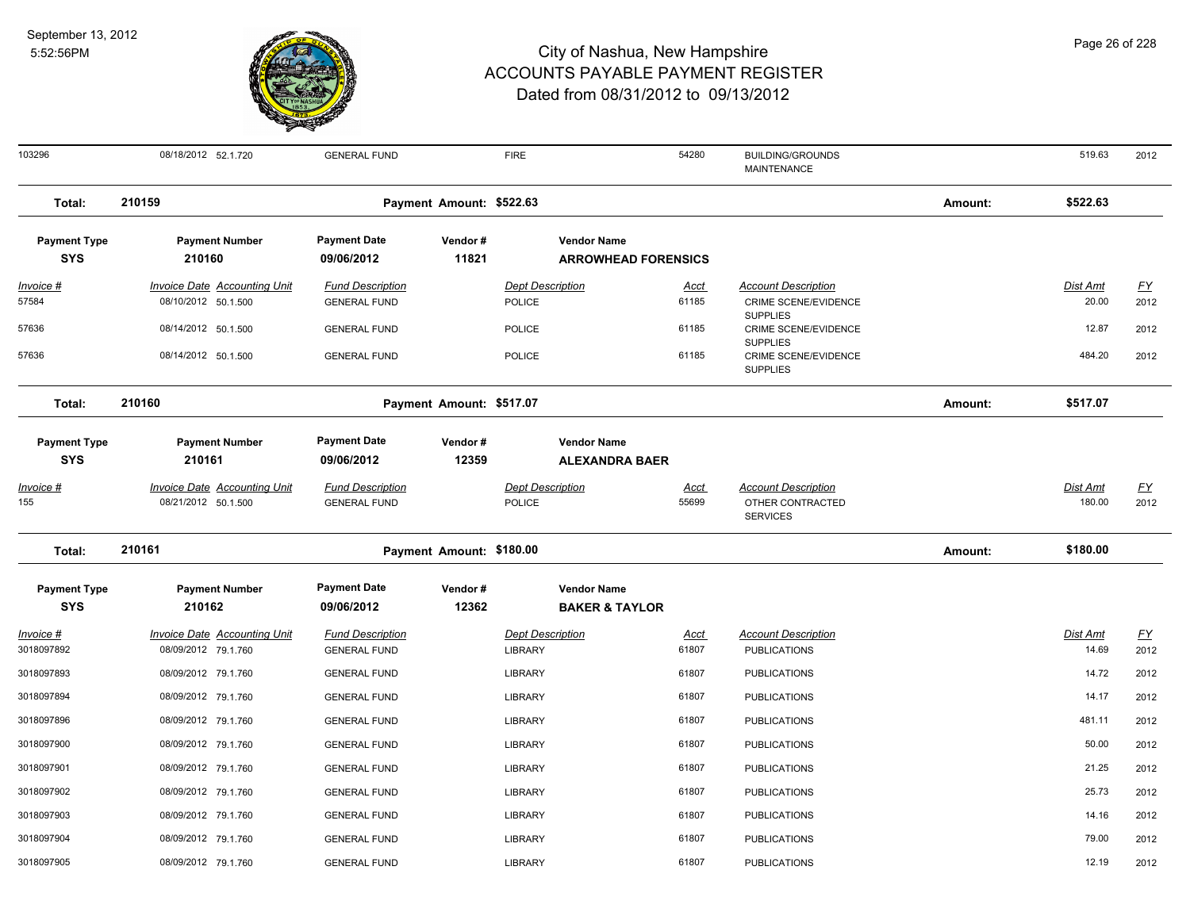

| 103296                          | 08/18/2012 52.1.720                                        | <b>GENERAL FUND</b>                            |                          | <b>FIRE</b>                              | 54280                      | <b>BUILDING/GROUNDS</b><br><b>MAINTENANCE</b>                     |         | 519.63                    | 2012              |
|---------------------------------|------------------------------------------------------------|------------------------------------------------|--------------------------|------------------------------------------|----------------------------|-------------------------------------------------------------------|---------|---------------------------|-------------------|
| Total:                          | 210159                                                     |                                                | Payment Amount: \$522.63 |                                          |                            |                                                                   | Amount: | \$522.63                  |                   |
| <b>Payment Type</b>             | <b>Payment Number</b>                                      | <b>Payment Date</b>                            | Vendor#                  | <b>Vendor Name</b>                       |                            |                                                                   |         |                           |                   |
| <b>SYS</b>                      | 210160                                                     | 09/06/2012                                     | 11821                    |                                          | <b>ARROWHEAD FORENSICS</b> |                                                                   |         |                           |                   |
| Invoice #                       | <b>Invoice Date Accounting Unit</b>                        | <b>Fund Description</b>                        |                          | <b>Dept Description</b>                  | Acct                       | <b>Account Description</b>                                        |         | Dist Amt                  | $\underline{FY}$  |
| 57584                           | 08/10/2012 50.1.500                                        | <b>GENERAL FUND</b>                            |                          | POLICE                                   | 61185                      | CRIME SCENE/EVIDENCE<br><b>SUPPLIES</b>                           |         | 20.00                     | 2012              |
| 57636                           | 08/14/2012 50.1.500                                        | <b>GENERAL FUND</b>                            |                          | <b>POLICE</b>                            | 61185                      | CRIME SCENE/EVIDENCE                                              |         | 12.87                     | 2012              |
| 57636                           | 08/14/2012 50.1.500                                        | <b>GENERAL FUND</b>                            |                          | <b>POLICE</b>                            | 61185                      | <b>SUPPLIES</b><br>CRIME SCENE/EVIDENCE<br><b>SUPPLIES</b>        |         | 484.20                    | 2012              |
| Total:                          | 210160                                                     |                                                | Payment Amount: \$517.07 |                                          |                            |                                                                   | Amount: | \$517.07                  |                   |
| <b>Payment Type</b>             | <b>Payment Number</b>                                      | <b>Payment Date</b>                            | Vendor#                  | <b>Vendor Name</b>                       |                            |                                                                   |         |                           |                   |
| <b>SYS</b>                      | 210161                                                     | 09/06/2012                                     | 12359                    |                                          | <b>ALEXANDRA BAER</b>      |                                                                   |         |                           |                   |
| <u> Invoice #</u><br>155        | <b>Invoice Date Accounting Unit</b><br>08/21/2012 50.1.500 | <b>Fund Description</b><br><b>GENERAL FUND</b> |                          | <b>Dept Description</b><br><b>POLICE</b> | Acct<br>55699              | <b>Account Description</b><br>OTHER CONTRACTED<br><b>SERVICES</b> |         | <b>Dist Amt</b><br>180.00 | <u>FY</u><br>2012 |
| Total:                          | 210161                                                     |                                                | Payment Amount: \$180.00 |                                          |                            |                                                                   | Amount: | \$180.00                  |                   |
| <b>Payment Type</b>             | <b>Payment Number</b>                                      | <b>Payment Date</b>                            | Vendor#                  | <b>Vendor Name</b>                       |                            |                                                                   |         |                           |                   |
| <b>SYS</b>                      | 210162                                                     | 09/06/2012                                     | 12362                    |                                          | <b>BAKER &amp; TAYLOR</b>  |                                                                   |         |                           |                   |
| <u> Invoice #</u><br>3018097892 | <b>Invoice Date Accounting Unit</b><br>08/09/2012 79.1.760 | <b>Fund Description</b><br><b>GENERAL FUND</b> |                          | <b>Dept Description</b><br>LIBRARY       | <u>Acct</u><br>61807       | <b>Account Description</b><br><b>PUBLICATIONS</b>                 |         | Dist Amt<br>14.69         | EY<br>2012        |
| 3018097893                      | 08/09/2012 79.1.760                                        | <b>GENERAL FUND</b>                            |                          | <b>LIBRARY</b>                           | 61807                      | <b>PUBLICATIONS</b>                                               |         | 14.72                     | 2012              |
| 3018097894                      | 08/09/2012 79.1.760                                        | <b>GENERAL FUND</b>                            |                          | <b>LIBRARY</b>                           | 61807                      | <b>PUBLICATIONS</b>                                               |         | 14.17                     | 2012              |
| 3018097896                      | 08/09/2012 79.1.760                                        | <b>GENERAL FUND</b>                            |                          | LIBRARY                                  | 61807                      | <b>PUBLICATIONS</b>                                               |         | 481.11                    | 2012              |
| 3018097900                      | 08/09/2012 79.1.760                                        | <b>GENERAL FUND</b>                            |                          | <b>LIBRARY</b>                           | 61807                      | <b>PUBLICATIONS</b>                                               |         | 50.00                     | 2012              |
| 3018097901                      | 08/09/2012 79.1.760                                        | <b>GENERAL FUND</b>                            |                          | <b>LIBRARY</b>                           | 61807                      | <b>PUBLICATIONS</b>                                               |         | 21.25                     | 2012              |
| 3018097902                      | 08/09/2012 79.1.760                                        | <b>GENERAL FUND</b>                            |                          | <b>LIBRARY</b>                           | 61807                      | <b>PUBLICATIONS</b>                                               |         | 25.73                     | 2012              |
| 3018097903                      | 08/09/2012 79.1.760                                        | <b>GENERAL FUND</b>                            |                          | <b>LIBRARY</b>                           | 61807                      | <b>PUBLICATIONS</b>                                               |         | 14.16                     | 2012              |
| 3018097904                      | 08/09/2012 79.1.760                                        | <b>GENERAL FUND</b>                            |                          | LIBRARY                                  | 61807                      | <b>PUBLICATIONS</b>                                               |         | 79.00                     | 2012              |
| 3018097905                      | 08/09/2012 79.1.760                                        | <b>GENERAL FUND</b>                            |                          | LIBRARY                                  | 61807                      | <b>PUBLICATIONS</b>                                               |         | 12.19                     | 2012              |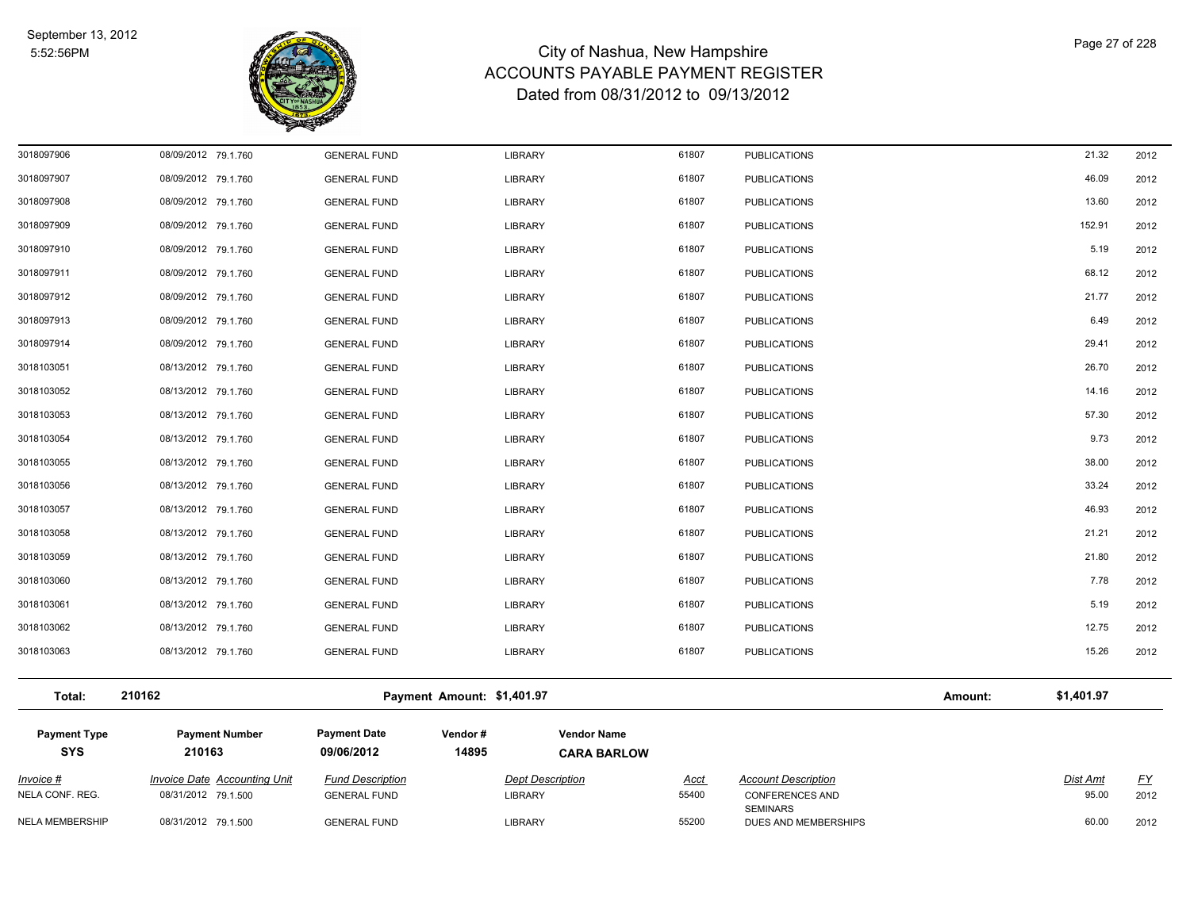

| NELA CONF. REG.<br><b>NELA MEMBERSHIP</b> | 08/31/2012 79.1.500<br>08/31/2012 79.1.500 | <b>GENERAL FUND</b><br><b>GENERAL FUND</b> | <b>LIBRARY</b><br>LIBRARY  |                                          | 55400<br>55200 | <b>CONFERENCES AND</b><br><b>SEMINARS</b><br>DUES AND MEMBERSHIPS |         | 95.00<br>60.00  | 2012<br>2012     |
|-------------------------------------------|--------------------------------------------|--------------------------------------------|----------------------------|------------------------------------------|----------------|-------------------------------------------------------------------|---------|-----------------|------------------|
| Invoice #                                 | <b>Invoice Date Accounting Unit</b>        | <b>Fund Description</b>                    | <b>Dept Description</b>    |                                          | <u>Acct</u>    | <b>Account Description</b>                                        |         | <b>Dist Amt</b> | $\underline{FY}$ |
| <b>Payment Type</b><br><b>SYS</b>         | <b>Payment Number</b><br>210163            | <b>Payment Date</b><br>09/06/2012          | Vendor#<br>14895           | <b>Vendor Name</b><br><b>CARA BARLOW</b> |                |                                                                   |         |                 |                  |
| Total:                                    | 210162                                     |                                            | Payment Amount: \$1,401.97 |                                          |                |                                                                   | Amount: | \$1,401.97      |                  |
| 3018103063                                | 08/13/2012 79.1.760                        | <b>GENERAL FUND</b>                        | LIBRARY                    |                                          | 61807          | <b>PUBLICATIONS</b>                                               |         | 15.26           | 2012             |
| 3018103062                                | 08/13/2012 79.1.760                        | <b>GENERAL FUND</b>                        | <b>LIBRARY</b>             |                                          | 61807          | <b>PUBLICATIONS</b>                                               |         | 12.75           | 2012             |
| 3018103061                                | 08/13/2012 79.1.760                        | <b>GENERAL FUND</b>                        | LIBRARY                    |                                          | 61807          | <b>PUBLICATIONS</b>                                               |         | 5.19            | 2012             |
| 3018103060                                | 08/13/2012 79.1.760                        | <b>GENERAL FUND</b>                        | <b>LIBRARY</b>             |                                          | 61807          | <b>PUBLICATIONS</b>                                               |         | 7.78            | 2012             |
| 3018103059                                | 08/13/2012 79.1.760                        | <b>GENERAL FUND</b>                        | <b>LIBRARY</b>             |                                          | 61807          | <b>PUBLICATIONS</b>                                               |         | 21.80           | 2012             |
| 3018103058                                | 08/13/2012 79.1.760                        | <b>GENERAL FUND</b>                        | LIBRARY                    |                                          | 61807          | <b>PUBLICATIONS</b>                                               |         | 21.21           | 2012             |
| 3018103057                                | 08/13/2012 79.1.760                        | <b>GENERAL FUND</b>                        | <b>LIBRARY</b>             |                                          | 61807          | <b>PUBLICATIONS</b>                                               |         | 46.93           | 2012             |
| 3018103056                                | 08/13/2012 79.1.760                        | <b>GENERAL FUND</b>                        | <b>LIBRARY</b>             |                                          | 61807          | <b>PUBLICATIONS</b>                                               |         | 33.24           | 2012             |
| 3018103055                                | 08/13/2012 79.1.760                        | <b>GENERAL FUND</b>                        | <b>LIBRARY</b>             |                                          | 61807          | <b>PUBLICATIONS</b>                                               |         | 38.00           | 2012             |
| 3018103054                                | 08/13/2012 79.1.760                        | <b>GENERAL FUND</b>                        | LIBRARY                    |                                          | 61807          | <b>PUBLICATIONS</b>                                               |         | 9.73            | 2012             |
| 3018103053                                | 08/13/2012 79.1.760                        | <b>GENERAL FUND</b>                        | LIBRARY                    |                                          | 61807          | <b>PUBLICATIONS</b>                                               |         | 57.30           | 2012             |
| 3018103052                                | 08/13/2012 79.1.760                        | <b>GENERAL FUND</b>                        | LIBRARY                    |                                          | 61807          | <b>PUBLICATIONS</b>                                               |         | 14.16           | 2012             |
| 3018103051                                | 08/13/2012 79.1.760                        | <b>GENERAL FUND</b>                        | LIBRARY                    |                                          | 61807          | <b>PUBLICATIONS</b>                                               |         | 26.70           | 2012             |
| 3018097914                                | 08/09/2012 79.1.760                        | <b>GENERAL FUND</b>                        | LIBRARY                    |                                          | 61807          | <b>PUBLICATIONS</b>                                               |         | 29.41           | 2012             |
| 3018097913                                | 08/09/2012 79.1.760                        | <b>GENERAL FUND</b>                        | LIBRARY                    |                                          | 61807          | <b>PUBLICATIONS</b>                                               |         | 6.49            | 2012             |
| 3018097912                                | 08/09/2012 79.1.760                        | <b>GENERAL FUND</b>                        | LIBRARY                    |                                          | 61807          | <b>PUBLICATIONS</b>                                               |         | 21.77           | 2012             |
| 3018097911                                | 08/09/2012 79.1.760                        | <b>GENERAL FUND</b>                        | LIBRARY                    |                                          | 61807          | <b>PUBLICATIONS</b>                                               |         | 68.12           | 2012             |
| 3018097910                                | 08/09/2012 79.1.760                        | <b>GENERAL FUND</b>                        | LIBRARY                    |                                          | 61807          | <b>PUBLICATIONS</b>                                               |         | 5.19            | 2012             |
| 3018097909                                | 08/09/2012 79.1.760                        | <b>GENERAL FUND</b>                        | LIBRARY                    |                                          | 61807          | <b>PUBLICATIONS</b>                                               |         | 152.91          | 2012             |
| 3018097908                                | 08/09/2012 79.1.760                        | <b>GENERAL FUND</b>                        | LIBRARY                    |                                          | 61807          | <b>PUBLICATIONS</b>                                               |         | 13.60           | 2012             |
| 3018097907                                | 08/09/2012 79.1.760                        | <b>GENERAL FUND</b>                        | LIBRARY                    |                                          | 61807          | <b>PUBLICATIONS</b>                                               |         | 46.09           | 2012             |
| 3018097906                                | 08/09/2012 79.1.760                        | <b>GENERAL FUND</b>                        | <b>LIBRARY</b>             |                                          | 61807          | <b>PUBLICATIONS</b>                                               |         | 21.32           | 2012             |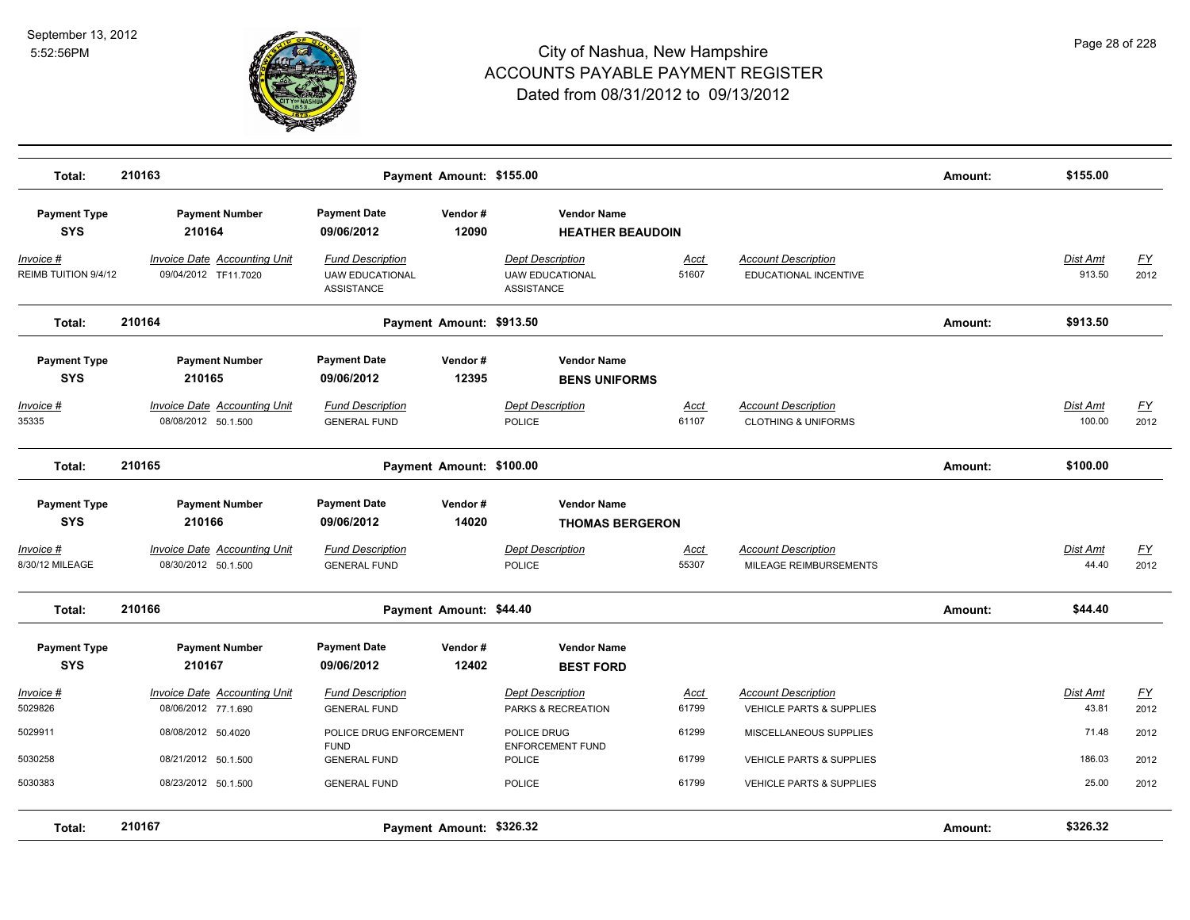

| Total:                            | 210163                                                     |                                                                        | Payment Amount: \$155.00 |                                                                        |                      |                                                                            | Amount: | \$155.00           |                                   |
|-----------------------------------|------------------------------------------------------------|------------------------------------------------------------------------|--------------------------|------------------------------------------------------------------------|----------------------|----------------------------------------------------------------------------|---------|--------------------|-----------------------------------|
| <b>Payment Type</b><br><b>SYS</b> | <b>Payment Number</b><br>210164                            | <b>Payment Date</b><br>09/06/2012                                      | Vendor#<br>12090         | <b>Vendor Name</b><br><b>HEATHER BEAUDOIN</b>                          |                      |                                                                            |         |                    |                                   |
| Invoice #<br>REIMB TUITION 9/4/12 | Invoice Date Accounting Unit<br>09/04/2012 TF11.7020       | <b>Fund Description</b><br><b>UAW EDUCATIONAL</b><br><b>ASSISTANCE</b> |                          | <b>Dept Description</b><br><b>UAW EDUCATIONAL</b><br><b>ASSISTANCE</b> | Acct<br>51607        | <b>Account Description</b><br>EDUCATIONAL INCENTIVE                        |         | Dist Amt<br>913.50 | EY<br>2012                        |
| Total:                            | 210164                                                     |                                                                        | Payment Amount: \$913.50 |                                                                        |                      |                                                                            | Amount: | \$913.50           |                                   |
| <b>Payment Type</b><br><b>SYS</b> | <b>Payment Number</b><br>210165                            | <b>Payment Date</b><br>09/06/2012                                      | Vendor#<br>12395         | <b>Vendor Name</b><br><b>BENS UNIFORMS</b>                             |                      |                                                                            |         |                    |                                   |
| Invoice #<br>35335                | <b>Invoice Date Accounting Unit</b><br>08/08/2012 50.1.500 | <b>Fund Description</b><br><b>GENERAL FUND</b>                         |                          | <b>Dept Description</b><br><b>POLICE</b>                               | <u>Acct</u><br>61107 | <b>Account Description</b><br><b>CLOTHING &amp; UNIFORMS</b>               |         | Dist Amt<br>100.00 | <u>FY</u><br>2012                 |
| Total:                            | 210165                                                     |                                                                        | Payment Amount: \$100.00 |                                                                        |                      |                                                                            | Amount: | \$100.00           |                                   |
| <b>Payment Type</b><br><b>SYS</b> | <b>Payment Number</b><br>210166                            | <b>Payment Date</b><br>09/06/2012                                      | Vendor#<br>14020         | <b>Vendor Name</b><br><b>THOMAS BERGERON</b>                           |                      |                                                                            |         |                    |                                   |
| Invoice #<br>8/30/12 MILEAGE      | Invoice Date Accounting Unit<br>08/30/2012 50.1.500        | <b>Fund Description</b><br><b>GENERAL FUND</b>                         |                          | <b>Dept Description</b><br><b>POLICE</b>                               | <u>Acct</u><br>55307 | <b>Account Description</b><br>MILEAGE REIMBURSEMENTS                       |         | Dist Amt<br>44.40  | <u>FY</u><br>2012                 |
| Total:                            | 210166                                                     |                                                                        | Payment Amount: \$44.40  |                                                                        |                      |                                                                            | Amount: | \$44.40            |                                   |
| <b>Payment Type</b><br><b>SYS</b> | <b>Payment Number</b><br>210167                            | <b>Payment Date</b><br>09/06/2012                                      | Vendor#<br>12402         | <b>Vendor Name</b><br><b>BEST FORD</b>                                 |                      |                                                                            |         |                    |                                   |
| Invoice #<br>5029826              | <b>Invoice Date Accounting Unit</b><br>08/06/2012 77.1.690 | <b>Fund Description</b><br><b>GENERAL FUND</b>                         |                          | <b>Dept Description</b><br>PARKS & RECREATION                          | <b>Acct</b><br>61799 | <b>Account Description</b><br>VEHICLE PARTS & SUPPLIES                     |         | Dist Amt<br>43.81  | $\underline{\mathsf{FY}}$<br>2012 |
| 5029911                           | 08/08/2012 50.4020                                         | POLICE DRUG ENFORCEMENT<br><b>FUND</b>                                 |                          | POLICE DRUG<br><b>ENFORCEMENT FUND</b>                                 | 61299                | MISCELLANEOUS SUPPLIES                                                     |         | 71.48              | 2012                              |
| 5030258<br>5030383                | 08/21/2012 50.1.500<br>08/23/2012 50.1.500                 | <b>GENERAL FUND</b><br><b>GENERAL FUND</b>                             |                          | POLICE<br><b>POLICE</b>                                                | 61799<br>61799       | <b>VEHICLE PARTS &amp; SUPPLIES</b><br><b>VEHICLE PARTS &amp; SUPPLIES</b> |         | 186.03<br>25.00    | 2012<br>2012                      |
| Total:                            | 210167                                                     |                                                                        | Payment Amount: \$326.32 |                                                                        |                      |                                                                            | Amount: | \$326.32           |                                   |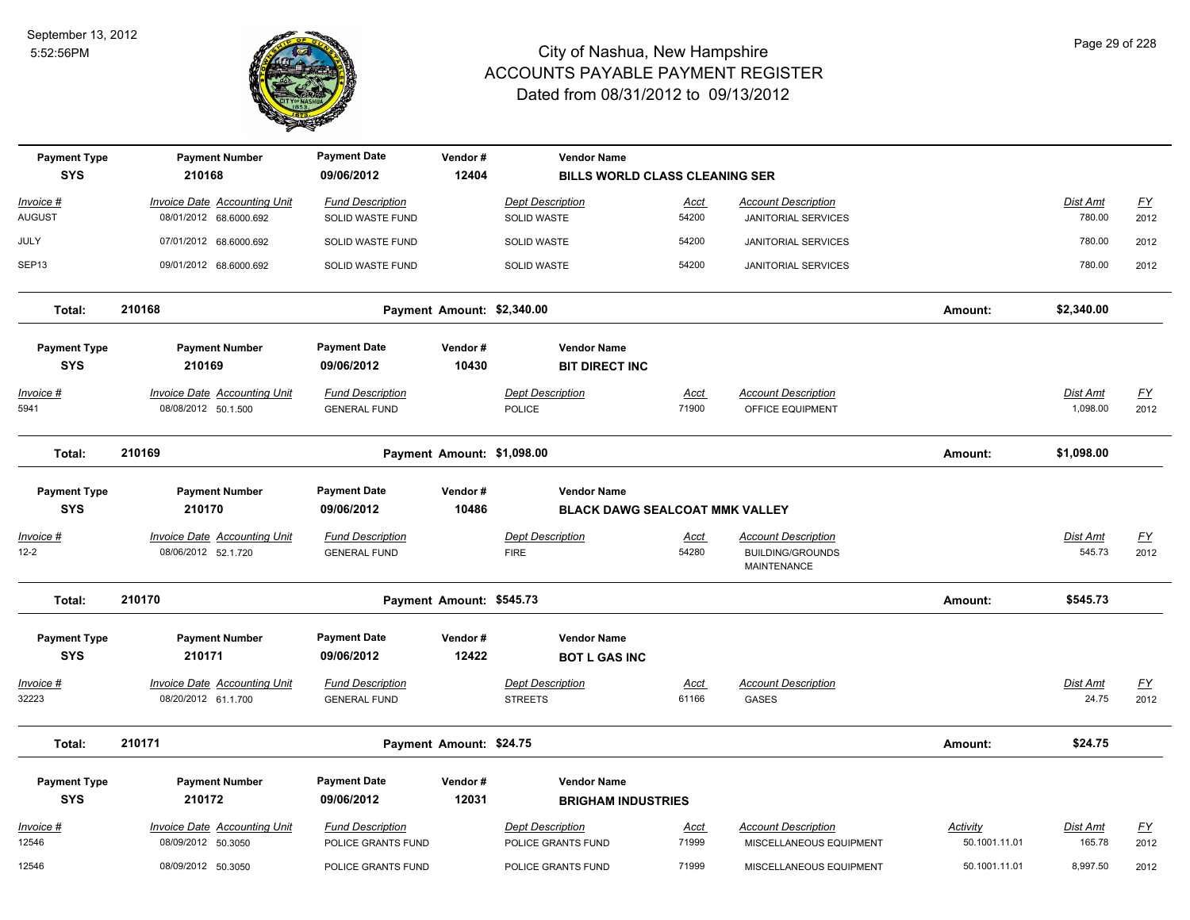

| <b>Payment Type</b><br><b>SYS</b> | <b>Payment Number</b><br>210168                            | <b>Payment Date</b><br>09/06/2012              | Vendor#<br>12404           | <b>Vendor Name</b><br><b>BILLS WORLD CLASS CLEANING SER</b> |                      |                                                                      |                                  |                             |                           |
|-----------------------------------|------------------------------------------------------------|------------------------------------------------|----------------------------|-------------------------------------------------------------|----------------------|----------------------------------------------------------------------|----------------------------------|-----------------------------|---------------------------|
| Invoice #                         | <b>Invoice Date Accounting Unit</b>                        | <b>Fund Description</b>                        |                            | <b>Dept Description</b>                                     | Acct                 | <b>Account Description</b>                                           |                                  | Dist Amt                    | $\underline{\mathsf{FY}}$ |
| AUGUST                            | 08/01/2012 68.6000.692                                     | SOLID WASTE FUND                               |                            | <b>SOLID WASTE</b>                                          | 54200                | <b>JANITORIAL SERVICES</b>                                           |                                  | 780.00                      | 2012                      |
| JULY                              | 07/01/2012 68.6000.692                                     | <b>SOLID WASTE FUND</b>                        |                            | <b>SOLID WASTE</b>                                          | 54200                | <b>JANITORIAL SERVICES</b>                                           |                                  | 780.00                      | 2012                      |
| SEP <sub>13</sub>                 | 09/01/2012 68.6000.692                                     | SOLID WASTE FUND                               |                            | SOLID WASTE                                                 | 54200                | <b>JANITORIAL SERVICES</b>                                           |                                  | 780.00                      | 2012                      |
| Total:                            | 210168                                                     |                                                | Payment Amount: \$2,340.00 |                                                             |                      |                                                                      | Amount:                          | \$2,340.00                  |                           |
| <b>Payment Type</b><br><b>SYS</b> | <b>Payment Number</b><br>210169                            | <b>Payment Date</b><br>09/06/2012              | Vendor#<br>10430           | <b>Vendor Name</b><br><b>BIT DIRECT INC</b>                 |                      |                                                                      |                                  |                             |                           |
| <b>Invoice #</b><br>5941          | <b>Invoice Date Accounting Unit</b><br>08/08/2012 50.1.500 | <b>Fund Description</b><br><b>GENERAL FUND</b> |                            | <b>Dept Description</b><br><b>POLICE</b>                    | <u>Acct</u><br>71900 | <b>Account Description</b><br>OFFICE EQUIPMENT                       |                                  | <b>Dist Amt</b><br>1,098.00 | $\underline{FY}$<br>2012  |
| Total:                            | 210169                                                     |                                                | Payment Amount: \$1,098.00 |                                                             |                      |                                                                      | Amount:                          | \$1,098.00                  |                           |
| <b>Payment Type</b><br><b>SYS</b> | <b>Payment Number</b><br>210170                            | <b>Payment Date</b><br>09/06/2012              | Vendor#<br>10486           | <b>Vendor Name</b><br><b>BLACK DAWG SEALCOAT MMK VALLEY</b> |                      |                                                                      |                                  |                             |                           |
| <u>Invoice #</u><br>$12 - 2$      | <b>Invoice Date Accounting Unit</b><br>08/06/2012 52.1.720 | <b>Fund Description</b><br><b>GENERAL FUND</b> |                            | <b>Dept Description</b><br><b>FIRE</b>                      | <u>Acct</u><br>54280 | <b>Account Description</b><br><b>BUILDING/GROUNDS</b><br>MAINTENANCE |                                  | Dist Amt<br>545.73          | <u>FY</u><br>2012         |
| Total:                            | 210170                                                     |                                                | Payment Amount: \$545.73   |                                                             |                      |                                                                      | Amount:                          | \$545.73                    |                           |
| <b>Payment Type</b><br><b>SYS</b> | <b>Payment Number</b><br>210171                            | <b>Payment Date</b><br>09/06/2012              | Vendor#<br>12422           | <b>Vendor Name</b><br><b>BOT L GAS INC</b>                  |                      |                                                                      |                                  |                             |                           |
| <b>Invoice #</b><br>32223         | <b>Invoice Date Accounting Unit</b><br>08/20/2012 61.1.700 | <b>Fund Description</b><br><b>GENERAL FUND</b> |                            | <b>Dept Description</b><br><b>STREETS</b>                   | <u>Acct</u><br>61166 | <b>Account Description</b><br><b>GASES</b>                           |                                  | Dist Amt<br>24.75           | $\underline{FY}$<br>2012  |
| Total:                            | 210171                                                     |                                                | Payment Amount: \$24.75    |                                                             |                      |                                                                      | Amount:                          | \$24.75                     |                           |
| <b>Payment Type</b><br><b>SYS</b> | <b>Payment Number</b><br>210172                            | <b>Payment Date</b><br>09/06/2012              | Vendor#<br>12031           | <b>Vendor Name</b><br><b>BRIGHAM INDUSTRIES</b>             |                      |                                                                      |                                  |                             |                           |
| Invoice #<br>12546                | <b>Invoice Date Accounting Unit</b><br>08/09/2012 50.3050  | <b>Fund Description</b><br>POLICE GRANTS FUND  |                            | <b>Dept Description</b><br>POLICE GRANTS FUND               | <u>Acct</u><br>71999 | <b>Account Description</b><br>MISCELLANEOUS EQUIPMENT                | <b>Activity</b><br>50.1001.11.01 | Dist Amt<br>165.78          | $\underline{FY}$<br>2012  |
| 12546                             | 08/09/2012 50.3050                                         | POLICE GRANTS FUND                             |                            | POLICE GRANTS FUND                                          | 71999                | MISCELLANEOUS EQUIPMENT                                              | 50.1001.11.01                    | 8,997.50                    | 2012                      |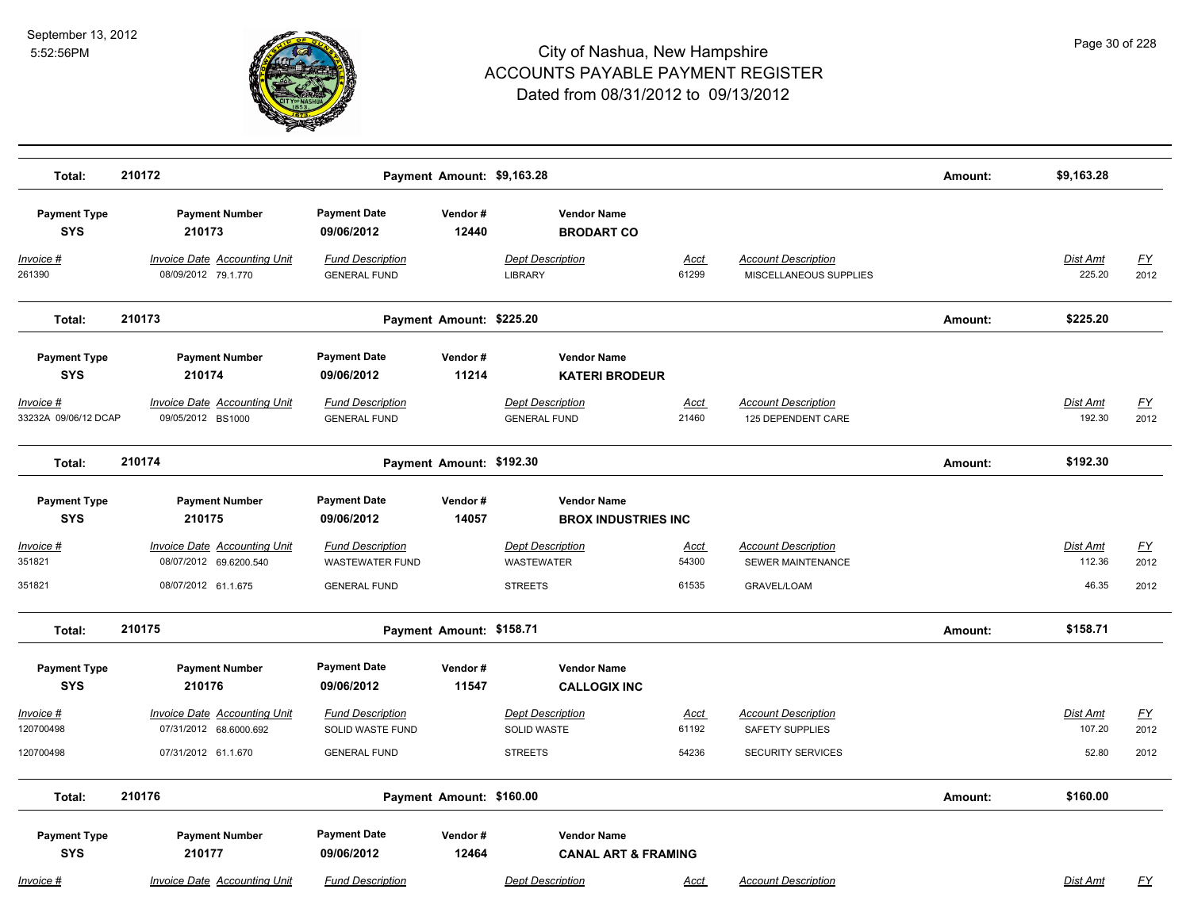

| Total:                            | 210172                                                        |                                                    | Payment Amount: \$9,163.28 |                                                      |                      |                                                        | Amount: | \$9,163.28                |                   |
|-----------------------------------|---------------------------------------------------------------|----------------------------------------------------|----------------------------|------------------------------------------------------|----------------------|--------------------------------------------------------|---------|---------------------------|-------------------|
| <b>Payment Type</b><br><b>SYS</b> | <b>Payment Number</b><br>210173                               | <b>Payment Date</b><br>09/06/2012                  | Vendor#<br>12440           | <b>Vendor Name</b><br><b>BRODART CO</b>              |                      |                                                        |         |                           |                   |
| Invoice #<br>261390               | Invoice Date Accounting Unit<br>08/09/2012 79.1.770           | <b>Fund Description</b><br><b>GENERAL FUND</b>     |                            | <b>Dept Description</b><br><b>LIBRARY</b>            | Acct<br>61299        | <b>Account Description</b><br>MISCELLANEOUS SUPPLIES   |         | Dist Amt<br>225.20        | <u>FY</u><br>2012 |
| Total:                            | 210173                                                        |                                                    | Payment Amount: \$225.20   |                                                      |                      |                                                        | Amount: | \$225.20                  |                   |
| <b>Payment Type</b><br><b>SYS</b> | <b>Payment Number</b><br>210174                               | <b>Payment Date</b><br>09/06/2012                  | Vendor#<br>11214           | <b>Vendor Name</b><br><b>KATERI BRODEUR</b>          |                      |                                                        |         |                           |                   |
| Invoice #<br>33232A 09/06/12 DCAP | <b>Invoice Date Accounting Unit</b><br>09/05/2012 BS1000      | <b>Fund Description</b><br><b>GENERAL FUND</b>     |                            | <b>Dept Description</b><br><b>GENERAL FUND</b>       | <u>Acct</u><br>21460 | <b>Account Description</b><br>125 DEPENDENT CARE       |         | <b>Dist Amt</b><br>192.30 | <u>FY</u><br>2012 |
| Total:                            | 210174                                                        |                                                    | Payment Amount: \$192.30   |                                                      |                      |                                                        | Amount: | \$192.30                  |                   |
| <b>Payment Type</b><br><b>SYS</b> | <b>Payment Number</b><br>210175                               | <b>Payment Date</b><br>09/06/2012                  | Vendor#<br>14057           | <b>Vendor Name</b><br><b>BROX INDUSTRIES INC</b>     |                      |                                                        |         |                           |                   |
| Invoice #<br>351821               | Invoice Date Accounting Unit<br>08/07/2012 69.6200.540        | <b>Fund Description</b><br><b>WASTEWATER FUND</b>  |                            | <b>Dept Description</b><br><b>WASTEWATER</b>         | <u>Acct</u><br>54300 | <b>Account Description</b><br><b>SEWER MAINTENANCE</b> |         | Dist Amt<br>112.36        | <u>FY</u><br>2012 |
| 351821                            | 08/07/2012 61.1.675                                           | <b>GENERAL FUND</b>                                |                            | <b>STREETS</b>                                       | 61535                | <b>GRAVEL/LOAM</b>                                     |         | 46.35                     | 2012              |
| Total:                            | 210175                                                        |                                                    | Payment Amount: \$158.71   |                                                      |                      |                                                        | Amount: | \$158.71                  |                   |
| <b>Payment Type</b><br><b>SYS</b> | <b>Payment Number</b><br>210176                               | <b>Payment Date</b><br>09/06/2012                  | Vendor#<br>11547           | <b>Vendor Name</b><br><b>CALLOGIX INC</b>            |                      |                                                        |         |                           |                   |
| Invoice #<br>120700498            | <b>Invoice Date Accounting Unit</b><br>07/31/2012 68.6000.692 | <b>Fund Description</b><br><b>SOLID WASTE FUND</b> |                            | <b>Dept Description</b><br><b>SOLID WASTE</b>        | <u>Acct</u><br>61192 | <b>Account Description</b><br><b>SAFETY SUPPLIES</b>   |         | Dist Amt<br>107.20        | <u>FY</u><br>2012 |
| 120700498                         | 07/31/2012 61.1.670                                           | <b>GENERAL FUND</b>                                |                            | <b>STREETS</b>                                       | 54236                | <b>SECURITY SERVICES</b>                               |         | 52.80                     | 2012              |
| Total:                            | 210176                                                        |                                                    | Payment Amount: \$160.00   |                                                      |                      |                                                        | Amount: | \$160.00                  |                   |
| <b>Payment Type</b><br><b>SYS</b> | <b>Payment Number</b><br>210177                               | <b>Payment Date</b><br>09/06/2012                  | Vendor#<br>12464           | <b>Vendor Name</b><br><b>CANAL ART &amp; FRAMING</b> |                      |                                                        |         |                           |                   |
| Invoice #                         | <b>Invoice Date Accounting Unit</b>                           | <b>Fund Description</b>                            |                            | <b>Dept Description</b>                              | Acct                 | <b>Account Description</b>                             |         | Dist Amt                  | FΥ                |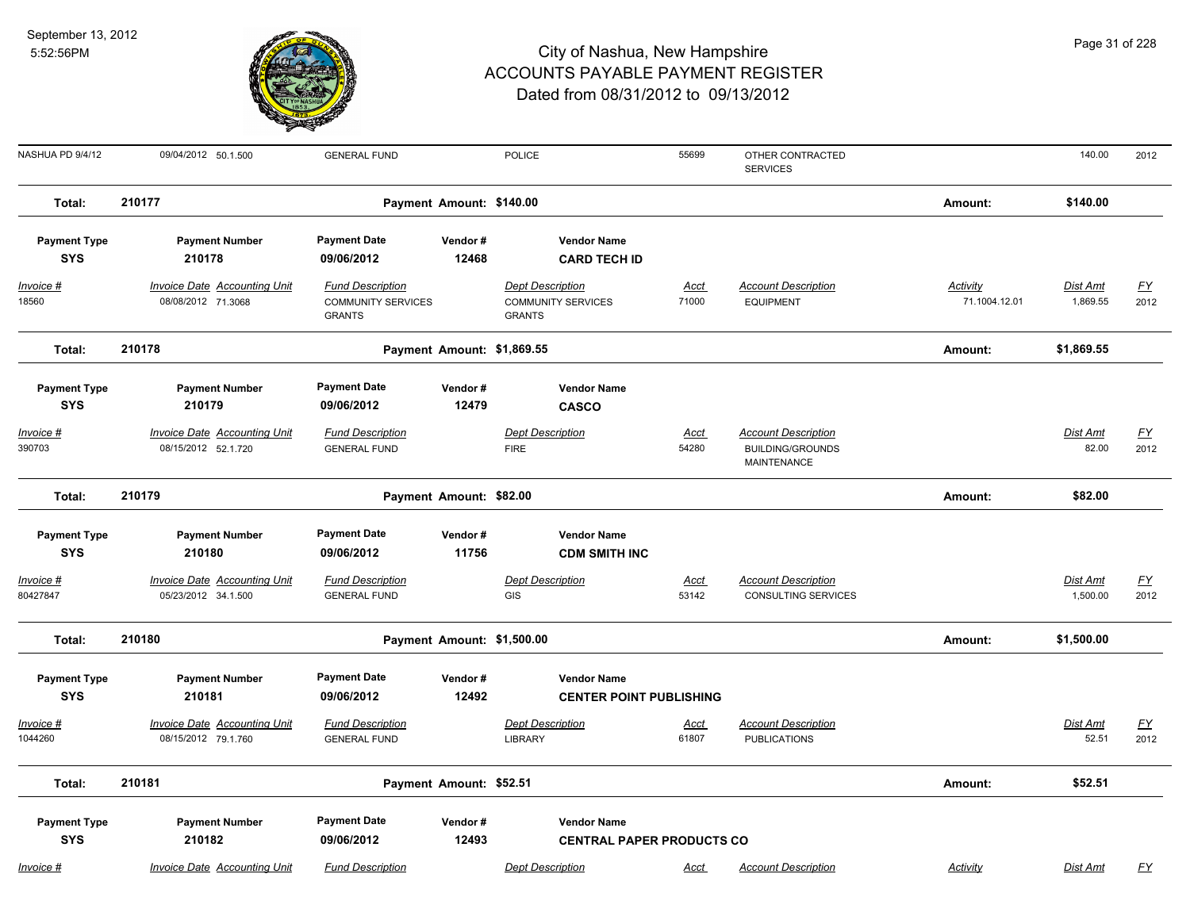

| NASHUA PD 9/4/12                               | 09/04/2012 50.1.500                                                    | <b>GENERAL FUND</b>                                                   |                            | <b>POLICE</b>                                                         | 55699                            | OTHER CONTRACTED<br><b>SERVICES</b>               |                           | 140.00               | 2012              |
|------------------------------------------------|------------------------------------------------------------------------|-----------------------------------------------------------------------|----------------------------|-----------------------------------------------------------------------|----------------------------------|---------------------------------------------------|---------------------------|----------------------|-------------------|
| Total:                                         | 210177                                                                 |                                                                       | Payment Amount: \$140.00   |                                                                       |                                  |                                                   | Amount:                   | \$140.00             |                   |
| <b>Payment Type</b><br><b>SYS</b>              | <b>Payment Number</b><br>210178                                        | <b>Payment Date</b><br>09/06/2012                                     | Vendor#<br>12468           | <b>Vendor Name</b><br><b>CARD TECH ID</b>                             |                                  |                                                   |                           |                      |                   |
| Invoice #<br>18560                             | Invoice Date Accounting Unit<br>08/08/2012 71.3068                     | <b>Fund Description</b><br><b>COMMUNITY SERVICES</b><br><b>GRANTS</b> |                            | <b>Dept Description</b><br><b>COMMUNITY SERVICES</b><br><b>GRANTS</b> | Acct<br>71000                    | <b>Account Description</b><br><b>EQUIPMENT</b>    | Activity<br>71.1004.12.01 | Dist Amt<br>1,869.55 | <u>FY</u><br>2012 |
| Total:                                         | 210178                                                                 |                                                                       | Payment Amount: \$1,869.55 |                                                                       |                                  |                                                   | Amount:                   | \$1,869.55           |                   |
| <b>Payment Type</b><br><b>SYS</b><br>Invoice # | <b>Payment Number</b><br>210179<br><b>Invoice Date Accounting Unit</b> | <b>Payment Date</b><br>09/06/2012<br><b>Fund Description</b>          | Vendor#<br>12479           | <b>Vendor Name</b><br><b>CASCO</b><br><b>Dept Description</b>         | Acct                             | <b>Account Description</b>                        |                           | Dist Amt             | <u>FY</u>         |
| 390703                                         | 08/15/2012 52.1.720                                                    | <b>GENERAL FUND</b>                                                   |                            | <b>FIRE</b>                                                           | 54280                            | <b>BUILDING/GROUNDS</b><br><b>MAINTENANCE</b>     |                           | 82.00                | 2012              |
| Total:                                         | 210179                                                                 |                                                                       | Payment Amount: \$82.00    |                                                                       |                                  |                                                   | Amount:                   | \$82.00              |                   |
| <b>Payment Type</b><br><b>SYS</b><br>Invoice # | <b>Payment Number</b><br>210180<br><b>Invoice Date Accounting Unit</b> | <b>Payment Date</b><br>09/06/2012<br><b>Fund Description</b>          | Vendor#<br>11756           | <b>Vendor Name</b><br><b>CDM SMITH INC</b><br><b>Dept Description</b> | Acct                             | <b>Account Description</b>                        |                           | Dist Amt             |                   |
| 80427847                                       | 05/23/2012 34.1.500                                                    | <b>GENERAL FUND</b>                                                   |                            | GIS                                                                   | 53142                            | <b>CONSULTING SERVICES</b>                        |                           | 1,500.00             | <u>FY</u><br>2012 |
| Total:                                         | 210180                                                                 |                                                                       | Payment Amount: \$1,500.00 |                                                                       |                                  |                                                   | Amount:                   | \$1,500.00           |                   |
| <b>Payment Type</b><br><b>SYS</b>              | <b>Payment Number</b><br>210181                                        | <b>Payment Date</b><br>09/06/2012                                     | Vendor#<br>12492           | <b>Vendor Name</b>                                                    | <b>CENTER POINT PUBLISHING</b>   |                                                   |                           |                      |                   |
| Invoice #<br>1044260                           | Invoice Date Accounting Unit<br>08/15/2012 79.1.760                    | <b>Fund Description</b><br><b>GENERAL FUND</b>                        |                            | <b>Dept Description</b><br><b>LIBRARY</b>                             | Acct<br>61807                    | <b>Account Description</b><br><b>PUBLICATIONS</b> |                           | Dist Amt<br>52.51    | <u>FY</u><br>2012 |
| Total:                                         | 210181                                                                 |                                                                       | Payment Amount: \$52.51    |                                                                       |                                  |                                                   | Amount:                   | \$52.51              |                   |
| <b>Payment Type</b><br><b>SYS</b>              | <b>Payment Number</b><br>210182                                        | <b>Payment Date</b><br>09/06/2012                                     | Vendor#<br>12493           | <b>Vendor Name</b>                                                    | <b>CENTRAL PAPER PRODUCTS CO</b> |                                                   |                           |                      |                   |
| Invoice #                                      | <b>Invoice Date Accounting Unit</b>                                    | <b>Fund Description</b>                                               |                            | <b>Dept Description</b>                                               | <b>Acct</b>                      | <b>Account Description</b>                        | Activity                  | <b>Dist Amt</b>      | <u>FY</u>         |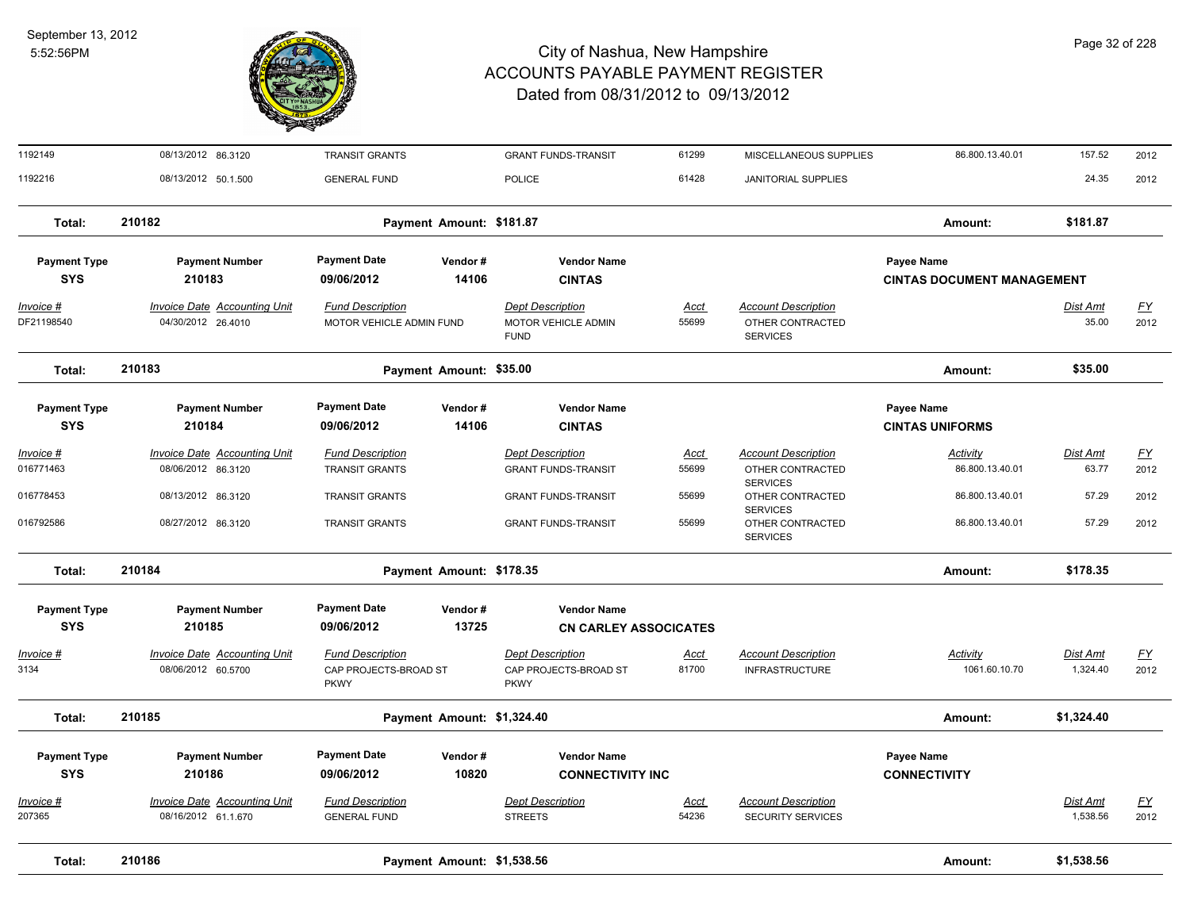

| 1192149                 | 08/13/2012 86.3120                                        | <b>TRANSIT GRANTS</b>                                           |                            | <b>GRANT FUNDS-TRANSIT</b>                                      | 61299                | MISCELLANEOUS SUPPLIES                                            | 86.800.13.40.01                   | 157.52                      | 2012              |
|-------------------------|-----------------------------------------------------------|-----------------------------------------------------------------|----------------------------|-----------------------------------------------------------------|----------------------|-------------------------------------------------------------------|-----------------------------------|-----------------------------|-------------------|
| 1192216                 | 08/13/2012 50.1.500                                       | <b>GENERAL FUND</b>                                             |                            | <b>POLICE</b>                                                   | 61428                | <b>JANITORIAL SUPPLIES</b>                                        |                                   | 24.35                       | 2012              |
| Total:                  | 210182                                                    |                                                                 | Payment Amount: \$181.87   |                                                                 |                      |                                                                   | Amount:                           | \$181.87                    |                   |
| <b>Payment Type</b>     | <b>Payment Number</b>                                     | <b>Payment Date</b>                                             | Vendor#                    | <b>Vendor Name</b>                                              |                      |                                                                   | Payee Name                        |                             |                   |
| <b>SYS</b>              | 210183                                                    | 09/06/2012                                                      | 14106                      | <b>CINTAS</b>                                                   |                      |                                                                   | <b>CINTAS DOCUMENT MANAGEMENT</b> |                             |                   |
| Invoice #<br>DF21198540 | Invoice Date Accounting Unit<br>04/30/2012 26.4010        | <b>Fund Description</b><br>MOTOR VEHICLE ADMIN FUND             |                            | <b>Dept Description</b><br>MOTOR VEHICLE ADMIN<br><b>FUND</b>   | <b>Acct</b><br>55699 | <b>Account Description</b><br>OTHER CONTRACTED<br><b>SERVICES</b> |                                   | <b>Dist Amt</b><br>35.00    | <u>FY</u><br>2012 |
| Total:                  | 210183                                                    |                                                                 | Payment Amount: \$35.00    |                                                                 |                      |                                                                   | Amount:                           | \$35.00                     |                   |
| <b>Payment Type</b>     | <b>Payment Number</b>                                     | Payment Date                                                    | Vendor#                    | <b>Vendor Name</b>                                              |                      |                                                                   | Payee Name                        |                             |                   |
| <b>SYS</b>              | 210184                                                    | 09/06/2012                                                      | 14106                      | <b>CINTAS</b>                                                   |                      |                                                                   | <b>CINTAS UNIFORMS</b>            |                             |                   |
| <u>Invoice #</u>        | <b>Invoice Date Accounting Unit</b>                       | <b>Fund Description</b>                                         |                            | <b>Dept Description</b>                                         | <u>Acct</u>          | <b>Account Description</b>                                        | <b>Activity</b>                   | <b>Dist Amt</b>             | <u>FY</u>         |
| 016771463               | 08/06/2012 86.3120                                        | <b>TRANSIT GRANTS</b>                                           |                            | <b>GRANT FUNDS-TRANSIT</b>                                      | 55699                | OTHER CONTRACTED<br><b>SERVICES</b>                               | 86.800.13.40.01                   | 63.77                       | 2012              |
| 016778453               | 08/13/2012 86.3120                                        | <b>TRANSIT GRANTS</b>                                           |                            | <b>GRANT FUNDS-TRANSIT</b>                                      | 55699                | OTHER CONTRACTED                                                  | 86.800.13.40.01                   | 57.29                       | 2012              |
| 016792586               | 08/27/2012 86.3120                                        | <b>TRANSIT GRANTS</b>                                           |                            | <b>GRANT FUNDS-TRANSIT</b>                                      | 55699                | <b>SERVICES</b><br>OTHER CONTRACTED<br><b>SERVICES</b>            | 86.800.13.40.01                   | 57.29                       | 2012              |
| Total:                  | 210184                                                    |                                                                 | Payment Amount: \$178.35   |                                                                 |                      |                                                                   | Amount:                           | \$178.35                    |                   |
| <b>Payment Type</b>     | <b>Payment Number</b>                                     | <b>Payment Date</b>                                             | Vendor#                    | <b>Vendor Name</b>                                              |                      |                                                                   |                                   |                             |                   |
| <b>SYS</b>              | 210185                                                    | 09/06/2012                                                      | 13725                      | <b>CN CARLEY ASSOCICATES</b>                                    |                      |                                                                   |                                   |                             |                   |
| Invoice #<br>3134       | <b>Invoice Date Accounting Unit</b><br>08/06/2012 60.5700 | <b>Fund Description</b><br>CAP PROJECTS-BROAD ST<br><b>PKWY</b> |                            | <b>Dept Description</b><br>CAP PROJECTS-BROAD ST<br><b>PKWY</b> | <u>Acct</u><br>81700 | <b>Account Description</b><br><b>INFRASTRUCTURE</b>               | Activity<br>1061.60.10.70         | <b>Dist Amt</b><br>1,324.40 | <u>FY</u><br>2012 |
| Total:                  | 210185                                                    |                                                                 | Payment Amount: \$1,324.40 |                                                                 |                      |                                                                   | Amount:                           | \$1,324.40                  |                   |
| <b>Payment Type</b>     | <b>Payment Number</b>                                     | <b>Payment Date</b>                                             | Vendor#                    | <b>Vendor Name</b>                                              |                      |                                                                   | Payee Name                        |                             |                   |
| <b>SYS</b>              | 210186                                                    | 09/06/2012                                                      | 10820                      | <b>CONNECTIVITY INC</b>                                         |                      |                                                                   | <b>CONNECTIVITY</b>               |                             |                   |
| <u>Invoice #</u>        | <b>Invoice Date Accounting Unit</b>                       | <b>Fund Description</b>                                         |                            | <b>Dept Description</b>                                         | <u>Acct</u>          | <b>Account Description</b>                                        |                                   | <b>Dist Amt</b>             | <u>FY</u>         |
| 207365                  | 08/16/2012 61.1.670                                       | <b>GENERAL FUND</b>                                             |                            | <b>STREETS</b>                                                  | 54236                | <b>SECURITY SERVICES</b>                                          |                                   | 1,538.56                    | 2012              |
| Total:                  | 210186                                                    |                                                                 | Payment Amount: \$1,538.56 |                                                                 |                      |                                                                   | Amount:                           | \$1,538.56                  |                   |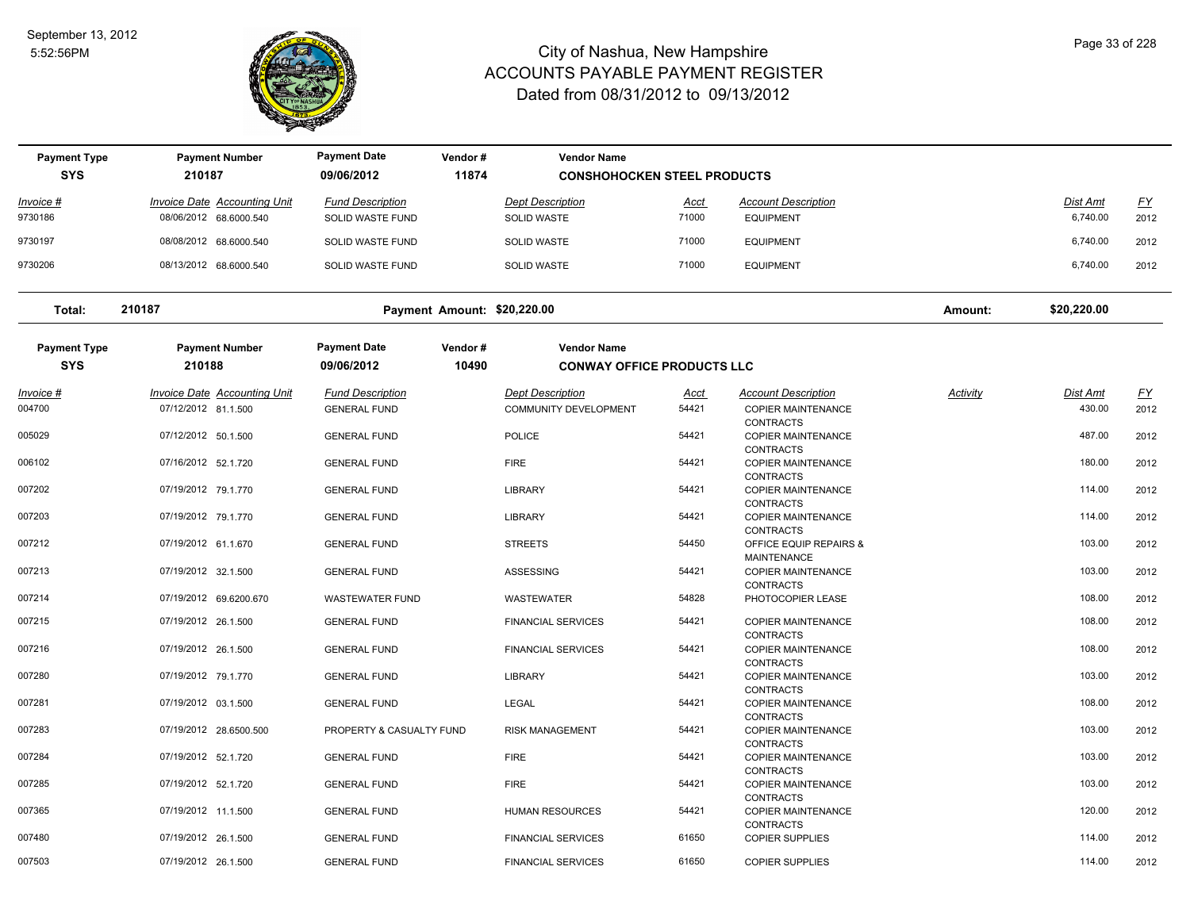

| <b>Payment Type</b>               | <b>Payment Number</b>               | <b>Payment Date</b>               | Vendor#          | <b>Vendor Name</b>                                      |       |                                                                   |          |                 |           |
|-----------------------------------|-------------------------------------|-----------------------------------|------------------|---------------------------------------------------------|-------|-------------------------------------------------------------------|----------|-----------------|-----------|
| <b>SYS</b>                        | 210187                              | 09/06/2012                        | 11874            | <b>CONSHOHOCKEN STEEL PRODUCTS</b>                      |       |                                                                   |          |                 |           |
| Invoice #                         | <b>Invoice Date Accounting Unit</b> | <b>Fund Description</b>           |                  | <b>Dept Description</b>                                 | Acct  | <b>Account Description</b>                                        |          | Dist Amt        | <u>FY</u> |
| 9730186                           | 08/06/2012 68.6000.540              | SOLID WASTE FUND                  |                  | <b>SOLID WASTE</b>                                      | 71000 | <b>EQUIPMENT</b>                                                  |          | 6,740.00        | 2012      |
| 9730197                           | 08/08/2012 68.6000.540              | <b>SOLID WASTE FUND</b>           |                  | <b>SOLID WASTE</b>                                      | 71000 | <b>EQUIPMENT</b>                                                  |          | 6,740.00        | 2012      |
| 9730206                           | 08/13/2012 68.6000.540              | SOLID WASTE FUND                  |                  | <b>SOLID WASTE</b>                                      | 71000 | <b>EQUIPMENT</b>                                                  |          | 6,740.00        | 2012      |
| Total:                            | 210187                              | Payment Amount: \$20,220.00       |                  |                                                         |       |                                                                   | Amount:  | \$20,220.00     |           |
| <b>Payment Type</b><br><b>SYS</b> | <b>Payment Number</b><br>210188     | <b>Payment Date</b><br>09/06/2012 | Vendor#<br>10490 | <b>Vendor Name</b><br><b>CONWAY OFFICE PRODUCTS LLC</b> |       |                                                                   |          |                 |           |
| Invoice #                         | <b>Invoice Date Accounting Unit</b> | <b>Fund Description</b>           |                  | <b>Dept Description</b>                                 | Acct  | <b>Account Description</b>                                        | Activity | <b>Dist Amt</b> | <u>FY</u> |
| 004700                            | 07/12/2012 81.1.500                 | <b>GENERAL FUND</b>               |                  | COMMUNITY DEVELOPMENT                                   | 54421 | <b>COPIER MAINTENANCE</b>                                         |          | 430.00          | 2012      |
| 005029                            | 07/12/2012 50.1.500                 | <b>GENERAL FUND</b>               |                  | <b>POLICE</b>                                           | 54421 | <b>CONTRACTS</b><br><b>COPIER MAINTENANCE</b><br><b>CONTRACTS</b> |          | 487.00          | 2012      |
| 006102                            | 07/16/2012 52.1.720                 | <b>GENERAL FUND</b>               |                  | <b>FIRE</b>                                             | 54421 | <b>COPIER MAINTENANCE</b>                                         |          | 180.00          | 2012      |
| 007202                            | 07/19/2012 79.1.770                 | <b>GENERAL FUND</b>               |                  | <b>LIBRARY</b>                                          | 54421 | <b>CONTRACTS</b><br><b>COPIER MAINTENANCE</b>                     |          | 114.00          | 2012      |
|                                   |                                     |                                   |                  |                                                         |       | <b>CONTRACTS</b>                                                  |          |                 |           |
| 007203                            | 07/19/2012 79.1.770                 | <b>GENERAL FUND</b>               |                  | <b>LIBRARY</b>                                          | 54421 | <b>COPIER MAINTENANCE</b><br><b>CONTRACTS</b>                     |          | 114.00          | 2012      |
| 007212                            | 07/19/2012 61.1.670                 | <b>GENERAL FUND</b>               |                  | <b>STREETS</b>                                          | 54450 | OFFICE EQUIP REPAIRS &                                            |          | 103.00          | 2012      |
| 007213                            | 07/19/2012 32.1.500                 | <b>GENERAL FUND</b>               |                  | ASSESSING                                               | 54421 | MAINTENANCE<br><b>COPIER MAINTENANCE</b>                          |          | 103.00          | 2012      |
|                                   |                                     |                                   |                  |                                                         | 54828 | <b>CONTRACTS</b>                                                  |          | 108.00          |           |
| 007214                            | 07/19/2012 69.6200.670              | <b>WASTEWATER FUND</b>            |                  | <b>WASTEWATER</b>                                       |       | PHOTOCOPIER LEASE                                                 |          |                 | 2012      |
| 007215                            | 07/19/2012 26.1.500                 | <b>GENERAL FUND</b>               |                  | <b>FINANCIAL SERVICES</b>                               | 54421 | <b>COPIER MAINTENANCE</b><br><b>CONTRACTS</b>                     |          | 108.00          | 2012      |
| 007216                            | 07/19/2012 26.1.500                 | <b>GENERAL FUND</b>               |                  | <b>FINANCIAL SERVICES</b>                               | 54421 | <b>COPIER MAINTENANCE</b>                                         |          | 108.00          | 2012      |
| 007280                            | 07/19/2012 79.1.770                 | <b>GENERAL FUND</b>               |                  | <b>LIBRARY</b>                                          | 54421 | CONTRACTS<br>COPIER MAINTENANCE                                   |          | 103.00          | 2012      |
|                                   |                                     |                                   |                  |                                                         |       | <b>CONTRACTS</b>                                                  |          |                 |           |
| 007281                            | 07/19/2012 03.1.500                 | <b>GENERAL FUND</b>               |                  | <b>LEGAL</b>                                            | 54421 | <b>COPIER MAINTENANCE</b><br><b>CONTRACTS</b>                     |          | 108.00          | 2012      |
| 007283                            | 07/19/2012 28.6500.500              | PROPERTY & CASUALTY FUND          |                  | <b>RISK MANAGEMENT</b>                                  | 54421 | <b>COPIER MAINTENANCE</b>                                         |          | 103.00          | 2012      |
| 007284                            | 07/19/2012 52.1.720                 | <b>GENERAL FUND</b>               |                  | <b>FIRE</b>                                             | 54421 | <b>CONTRACTS</b><br><b>COPIER MAINTENANCE</b>                     |          | 103.00          | 2012      |
|                                   |                                     |                                   |                  |                                                         |       | <b>CONTRACTS</b>                                                  |          |                 |           |
| 007285                            | 07/19/2012 52.1.720                 | <b>GENERAL FUND</b>               |                  | <b>FIRE</b>                                             | 54421 | <b>COPIER MAINTENANCE</b>                                         |          | 103.00          | 2012      |
| 007365                            | 07/19/2012 11.1.500                 | <b>GENERAL FUND</b>               |                  | <b>HUMAN RESOURCES</b>                                  | 54421 | <b>CONTRACTS</b><br><b>COPIER MAINTENANCE</b>                     |          | 120.00          | 2012      |
|                                   |                                     |                                   |                  |                                                         | 61650 | <b>CONTRACTS</b>                                                  |          | 114.00          |           |
| 007480                            | 07/19/2012 26.1.500                 | <b>GENERAL FUND</b>               |                  | <b>FINANCIAL SERVICES</b>                               |       | <b>COPIER SUPPLIES</b>                                            |          |                 | 2012      |
| 007503                            | 07/19/2012 26.1.500                 | <b>GENERAL FUND</b>               |                  | <b>FINANCIAL SERVICES</b>                               | 61650 | <b>COPIER SUPPLIES</b>                                            |          | 114.00          | 2012      |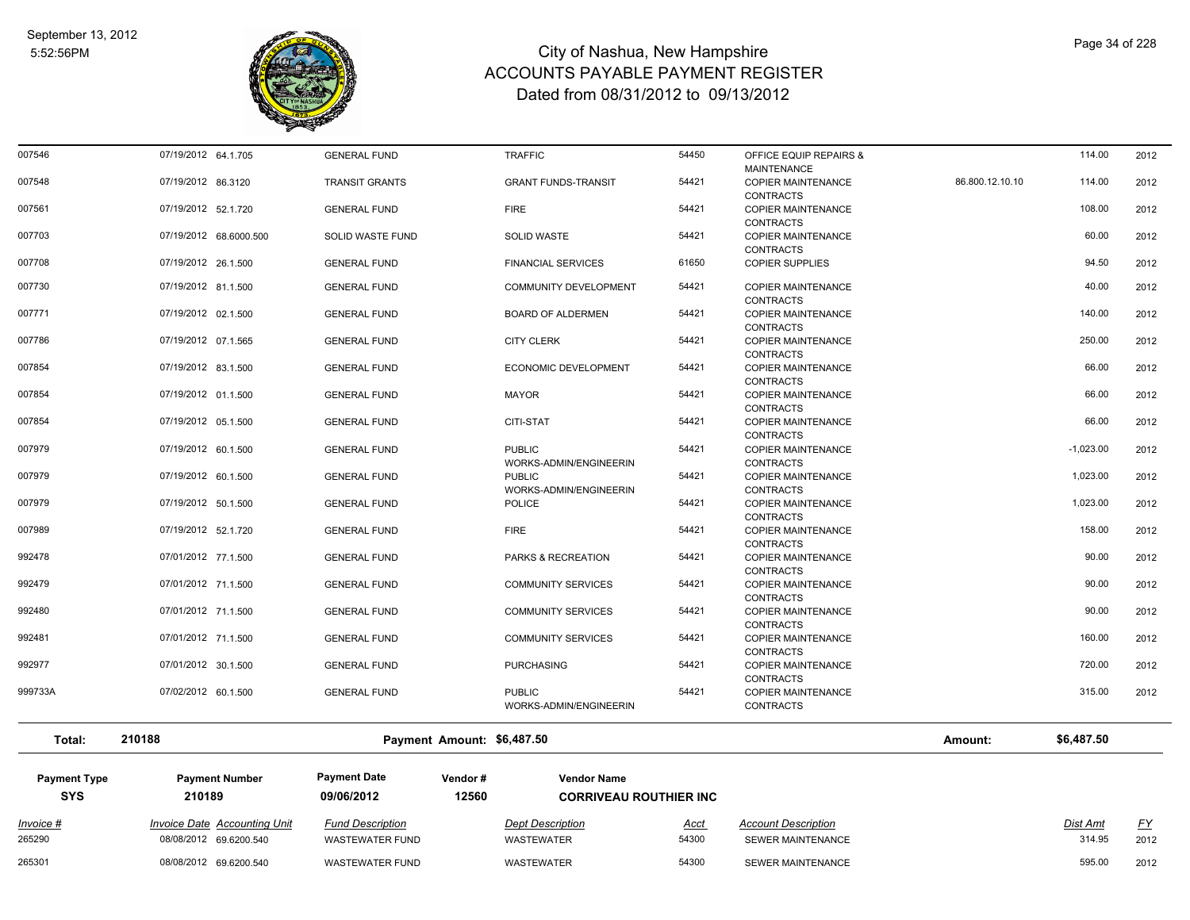

| 007546  | 07/19/2012 64.1.705    | <b>GENERAL FUND</b>   | <b>TRAFFIC</b>               | 54450 | OFFICE EQUIP REPAIRS &    |                 | 114.00      | 2012 |
|---------|------------------------|-----------------------|------------------------------|-------|---------------------------|-----------------|-------------|------|
|         |                        |                       |                              |       | <b>MAINTENANCE</b>        |                 |             |      |
| 007548  | 07/19/2012 86.3120     | <b>TRANSIT GRANTS</b> | <b>GRANT FUNDS-TRANSIT</b>   | 54421 | <b>COPIER MAINTENANCE</b> | 86.800.12.10.10 | 114.00      | 2012 |
|         |                        |                       |                              |       | <b>CONTRACTS</b>          |                 |             |      |
| 007561  | 07/19/2012 52.1.720    | <b>GENERAL FUND</b>   | <b>FIRE</b>                  | 54421 | <b>COPIER MAINTENANCE</b> |                 | 108.00      | 2012 |
|         |                        |                       |                              |       | <b>CONTRACTS</b>          |                 |             |      |
| 007703  | 07/19/2012 68.6000.500 | SOLID WASTE FUND      | <b>SOLID WASTE</b>           | 54421 | <b>COPIER MAINTENANCE</b> |                 | 60.00       | 2012 |
|         |                        |                       |                              |       | <b>CONTRACTS</b>          |                 |             |      |
| 007708  | 07/19/2012 26.1.500    | <b>GENERAL FUND</b>   | <b>FINANCIAL SERVICES</b>    | 61650 | <b>COPIER SUPPLIES</b>    |                 | 94.50       | 2012 |
|         |                        |                       |                              |       |                           |                 |             |      |
| 007730  | 07/19/2012 81.1.500    | <b>GENERAL FUND</b>   | <b>COMMUNITY DEVELOPMENT</b> | 54421 | <b>COPIER MAINTENANCE</b> |                 | 40.00       | 2012 |
|         |                        |                       |                              |       | <b>CONTRACTS</b>          |                 |             |      |
| 007771  | 07/19/2012 02.1.500    | <b>GENERAL FUND</b>   | <b>BOARD OF ALDERMEN</b>     | 54421 | <b>COPIER MAINTENANCE</b> |                 | 140.00      | 2012 |
|         |                        |                       |                              |       | <b>CONTRACTS</b>          |                 |             |      |
| 007786  | 07/19/2012 07.1.565    | <b>GENERAL FUND</b>   | <b>CITY CLERK</b>            | 54421 | <b>COPIER MAINTENANCE</b> |                 | 250.00      | 2012 |
|         |                        |                       |                              |       | <b>CONTRACTS</b>          |                 |             |      |
| 007854  | 07/19/2012 83.1.500    | <b>GENERAL FUND</b>   | <b>ECONOMIC DEVELOPMENT</b>  | 54421 | <b>COPIER MAINTENANCE</b> |                 | 66.00       | 2012 |
|         |                        |                       |                              |       | <b>CONTRACTS</b>          |                 |             |      |
| 007854  | 07/19/2012 01.1.500    | <b>GENERAL FUND</b>   | <b>MAYOR</b>                 | 54421 | <b>COPIER MAINTENANCE</b> |                 | 66.00       | 2012 |
|         |                        |                       |                              |       | <b>CONTRACTS</b>          |                 |             |      |
| 007854  | 07/19/2012 05.1.500    | <b>GENERAL FUND</b>   | <b>CITI-STAT</b>             | 54421 | <b>COPIER MAINTENANCE</b> |                 | 66.00       | 2012 |
|         |                        |                       |                              |       | <b>CONTRACTS</b>          |                 |             |      |
| 007979  | 07/19/2012 60.1.500    | <b>GENERAL FUND</b>   | <b>PUBLIC</b>                | 54421 | COPIER MAINTENANCE        |                 | $-1,023.00$ | 2012 |
|         |                        |                       | WORKS-ADMIN/ENGINEERIN       |       | <b>CONTRACTS</b>          |                 |             |      |
| 007979  | 07/19/2012 60.1.500    | <b>GENERAL FUND</b>   | <b>PUBLIC</b>                | 54421 | <b>COPIER MAINTENANCE</b> |                 | 1,023.00    | 2012 |
|         |                        |                       | WORKS-ADMIN/ENGINEERIN       |       | <b>CONTRACTS</b>          |                 |             |      |
| 007979  | 07/19/2012 50.1.500    | <b>GENERAL FUND</b>   | <b>POLICE</b>                | 54421 | <b>COPIER MAINTENANCE</b> |                 | 1,023.00    | 2012 |
|         |                        |                       |                              |       | <b>CONTRACTS</b>          |                 |             |      |
| 007989  | 07/19/2012 52.1.720    | <b>GENERAL FUND</b>   | <b>FIRE</b>                  | 54421 | <b>COPIER MAINTENANCE</b> |                 | 158.00      | 2012 |
|         |                        |                       |                              |       | <b>CONTRACTS</b>          |                 |             |      |
| 992478  | 07/01/2012 77.1.500    | <b>GENERAL FUND</b>   | PARKS & RECREATION           | 54421 | <b>COPIER MAINTENANCE</b> |                 | 90.00       | 2012 |
|         |                        |                       |                              |       | <b>CONTRACTS</b>          |                 |             |      |
| 992479  | 07/01/2012 71.1.500    | <b>GENERAL FUND</b>   | <b>COMMUNITY SERVICES</b>    | 54421 | <b>COPIER MAINTENANCE</b> |                 | 90.00       | 2012 |
|         |                        |                       |                              |       | <b>CONTRACTS</b>          |                 |             |      |
| 992480  | 07/01/2012 71.1.500    | <b>GENERAL FUND</b>   | <b>COMMUNITY SERVICES</b>    | 54421 | <b>COPIER MAINTENANCE</b> |                 | 90.00       | 2012 |
|         |                        |                       |                              |       | <b>CONTRACTS</b>          |                 |             |      |
| 992481  | 07/01/2012 71.1.500    | <b>GENERAL FUND</b>   | <b>COMMUNITY SERVICES</b>    | 54421 | <b>COPIER MAINTENANCE</b> |                 | 160.00      | 2012 |
|         |                        |                       |                              |       | <b>CONTRACTS</b>          |                 |             |      |
| 992977  | 07/01/2012 30.1.500    | <b>GENERAL FUND</b>   | <b>PURCHASING</b>            | 54421 | <b>COPIER MAINTENANCE</b> |                 | 720.00      | 2012 |
|         |                        |                       |                              |       | <b>CONTRACTS</b>          |                 |             |      |
| 999733A | 07/02/2012 60.1.500    | <b>GENERAL FUND</b>   | <b>PUBLIC</b>                | 54421 | <b>COPIER MAINTENANCE</b> |                 | 315.00      | 2012 |
|         |                        |                       | WORKS-ADMIN/ENGINEERIN       |       | <b>CONTRACTS</b>          |                 |             |      |
|         |                        |                       |                              |       |                           |                 |             |      |
|         |                        |                       |                              |       |                           |                 |             |      |

**Total: 210188 Payment Amount: \$6,487.50 Amount: \$6,487.50**

| <b>Payment Type</b><br><b>SYS</b> | <b>Payment Number</b><br>210189                        | <b>Payment Date</b><br>09/06/2012                 | Vendor#<br>12560 | <b>Vendor Name</b>                    | <b>CORRIVEAU ROUTHIER INC.</b> |                                                        |                    |            |
|-----------------------------------|--------------------------------------------------------|---------------------------------------------------|------------------|---------------------------------------|--------------------------------|--------------------------------------------------------|--------------------|------------|
| Invoice #<br>265290               | Invoice Date Accounting Unit<br>08/08/2012 69.6200.540 | <b>Fund Description</b><br><b>WASTEWATER FUND</b> |                  | <b>Dept Description</b><br>WASTEWATER | Acct<br>54300                  | <b>Account Description</b><br><b>SEWER MAINTENANCE</b> | Dist Amt<br>314.95 | EY<br>2012 |
| 265301                            | 08/08/2012 69.6200.540                                 | WASTEWATER FUND                                   |                  | WASTEWATER                            | 54300                          | SEWER MAINTENANCE                                      | 595.00             | 2012       |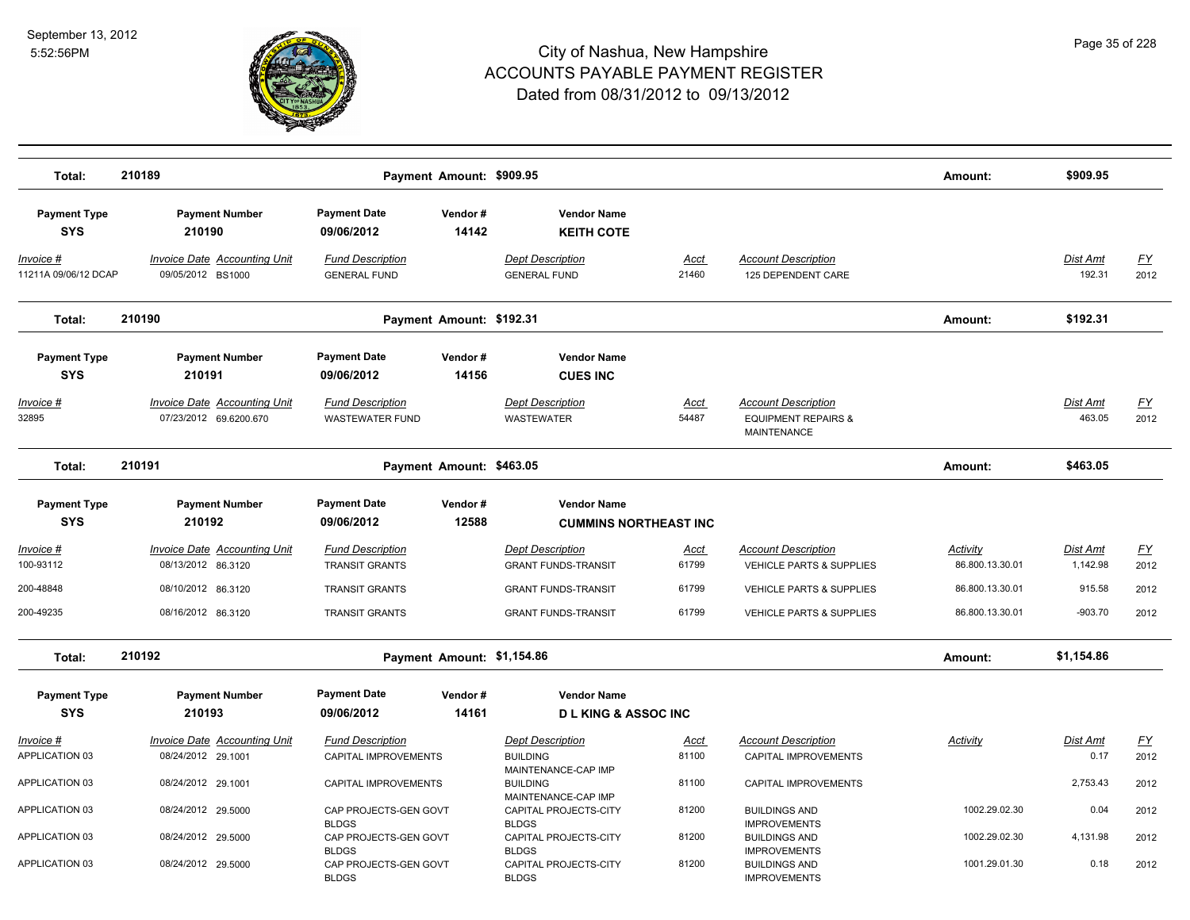

| Total:                              | 210189<br>Payment Amount: \$909.95                            |                                                        |                  |                                                                   |                      |                                                                                    |                             | \$909.95                    |                                   |
|-------------------------------------|---------------------------------------------------------------|--------------------------------------------------------|------------------|-------------------------------------------------------------------|----------------------|------------------------------------------------------------------------------------|-----------------------------|-----------------------------|-----------------------------------|
| <b>Payment Type</b><br><b>SYS</b>   | <b>Payment Number</b><br>210190                               | <b>Payment Date</b><br>09/06/2012                      | Vendor#<br>14142 | <b>Vendor Name</b><br><b>KEITH COTE</b>                           |                      |                                                                                    |                             |                             |                                   |
| Invoice #<br>11211A 09/06/12 DCAP   | <b>Invoice Date Accounting Unit</b><br>09/05/2012 BS1000      | <b>Fund Description</b><br><b>GENERAL FUND</b>         |                  | <b>Dept Description</b><br><b>GENERAL FUND</b>                    | <u>Acct</u><br>21460 | <b>Account Description</b><br>125 DEPENDENT CARE                                   |                             | Dist Amt<br>192.31          | <u>FY</u><br>2012                 |
| Total:                              | 210190                                                        | Payment Amount: \$192.31                               |                  |                                                                   |                      |                                                                                    | Amount:                     | \$192.31                    |                                   |
| <b>Payment Type</b><br><b>SYS</b>   | <b>Payment Number</b><br>210191                               | <b>Payment Date</b><br>09/06/2012                      | Vendor#<br>14156 | <b>Vendor Name</b><br><b>CUES INC</b>                             |                      |                                                                                    |                             |                             |                                   |
| Invoice #<br>32895                  | <b>Invoice Date Accounting Unit</b><br>07/23/2012 69.6200.670 | <b>Fund Description</b><br><b>WASTEWATER FUND</b>      |                  | <b>Dept Description</b><br><b>WASTEWATER</b>                      | Acct<br>54487        | <b>Account Description</b><br><b>EQUIPMENT REPAIRS &amp;</b><br><b>MAINTENANCE</b> |                             | Dist Amt<br>463.05          | <u>FY</u><br>2012                 |
| Total:                              | 210191                                                        | Payment Amount: \$463.05                               |                  |                                                                   |                      |                                                                                    | Amount:                     | \$463.05                    |                                   |
| <b>Payment Type</b><br><b>SYS</b>   | <b>Payment Number</b><br>210192                               | <b>Payment Date</b><br>09/06/2012                      | Vendor#<br>12588 | <b>Vendor Name</b><br><b>CUMMINS NORTHEAST INC</b>                |                      |                                                                                    |                             |                             |                                   |
| Invoice #<br>100-93112              | <b>Invoice Date Accounting Unit</b><br>08/13/2012 86.3120     | <b>Fund Description</b><br><b>TRANSIT GRANTS</b>       |                  | <b>Dept Description</b><br><b>GRANT FUNDS-TRANSIT</b>             | Acct<br>61799        | <b>Account Description</b><br><b>VEHICLE PARTS &amp; SUPPLIES</b>                  | Activity<br>86.800.13.30.01 | <u>Dist Amt</u><br>1,142.98 | $\underline{\mathsf{FY}}$<br>2012 |
| 200-48848                           | 08/10/2012 86.3120                                            | <b>TRANSIT GRANTS</b>                                  |                  | <b>GRANT FUNDS-TRANSIT</b>                                        | 61799                | <b>VEHICLE PARTS &amp; SUPPLIES</b>                                                | 86.800.13.30.01             | 915.58                      | 2012                              |
| 200-49235                           | 08/16/2012 86.3120                                            | <b>TRANSIT GRANTS</b>                                  |                  | <b>GRANT FUNDS-TRANSIT</b>                                        | 61799                | VEHICLE PARTS & SUPPLIES                                                           | 86.800.13.30.01             | $-903.70$                   | 2012                              |
| Total:                              | 210192                                                        | Payment Amount: \$1,154.86                             |                  |                                                                   |                      | Amount:                                                                            | \$1,154.86                  |                             |                                   |
| <b>Payment Type</b><br><b>SYS</b>   | <b>Payment Number</b><br>210193                               | <b>Payment Date</b><br>09/06/2012                      | Vendor#<br>14161 | <b>Vendor Name</b><br><b>DLKING &amp; ASSOCING</b>                |                      |                                                                                    |                             |                             |                                   |
| <u> Invoice #</u><br>APPLICATION 03 | <b>Invoice Date Accounting Unit</b><br>08/24/2012 29.1001     | <b>Fund Description</b><br><b>CAPITAL IMPROVEMENTS</b> |                  | <b>Dept Description</b><br><b>BUILDING</b><br>MAINTENANCE-CAP IMP | Acct<br>81100        | <b>Account Description</b><br><b>CAPITAL IMPROVEMENTS</b>                          | Activity                    | Dist Amt<br>0.17            | <u>FY</u><br>2012                 |
| APPLICATION 03                      | 08/24/2012 29.1001                                            | <b>CAPITAL IMPROVEMENTS</b>                            |                  | <b>BUILDING</b>                                                   | 81100                | <b>CAPITAL IMPROVEMENTS</b>                                                        |                             | 2,753.43                    | 2012                              |
| <b>APPLICATION 03</b>               | 08/24/2012 29.5000                                            | CAP PROJECTS-GEN GOVT                                  |                  | MAINTENANCE-CAP IMP<br>CAPITAL PROJECTS-CITY                      | 81200                | <b>BUILDINGS AND</b>                                                               | 1002.29.02.30               | 0.04                        | 2012                              |
| APPLICATION 03                      | 08/24/2012 29.5000                                            | <b>BLDGS</b><br>CAP PROJECTS-GEN GOVT<br><b>BLDGS</b>  |                  | <b>BLDGS</b><br>CAPITAL PROJECTS-CITY<br><b>BLDGS</b>             | 81200                | <b>IMPROVEMENTS</b><br><b>BUILDINGS AND</b><br><b>IMPROVEMENTS</b>                 | 1002.29.02.30               | 4,131.98                    | 2012                              |
| <b>APPLICATION 03</b>               | 08/24/2012 29.5000                                            | CAP PROJECTS-GEN GOVT<br><b>BLDGS</b>                  |                  | CAPITAL PROJECTS-CITY<br><b>BLDGS</b>                             | 81200                | <b>BUILDINGS AND</b><br><b>IMPROVEMENTS</b>                                        | 1001.29.01.30               | 0.18                        | 2012                              |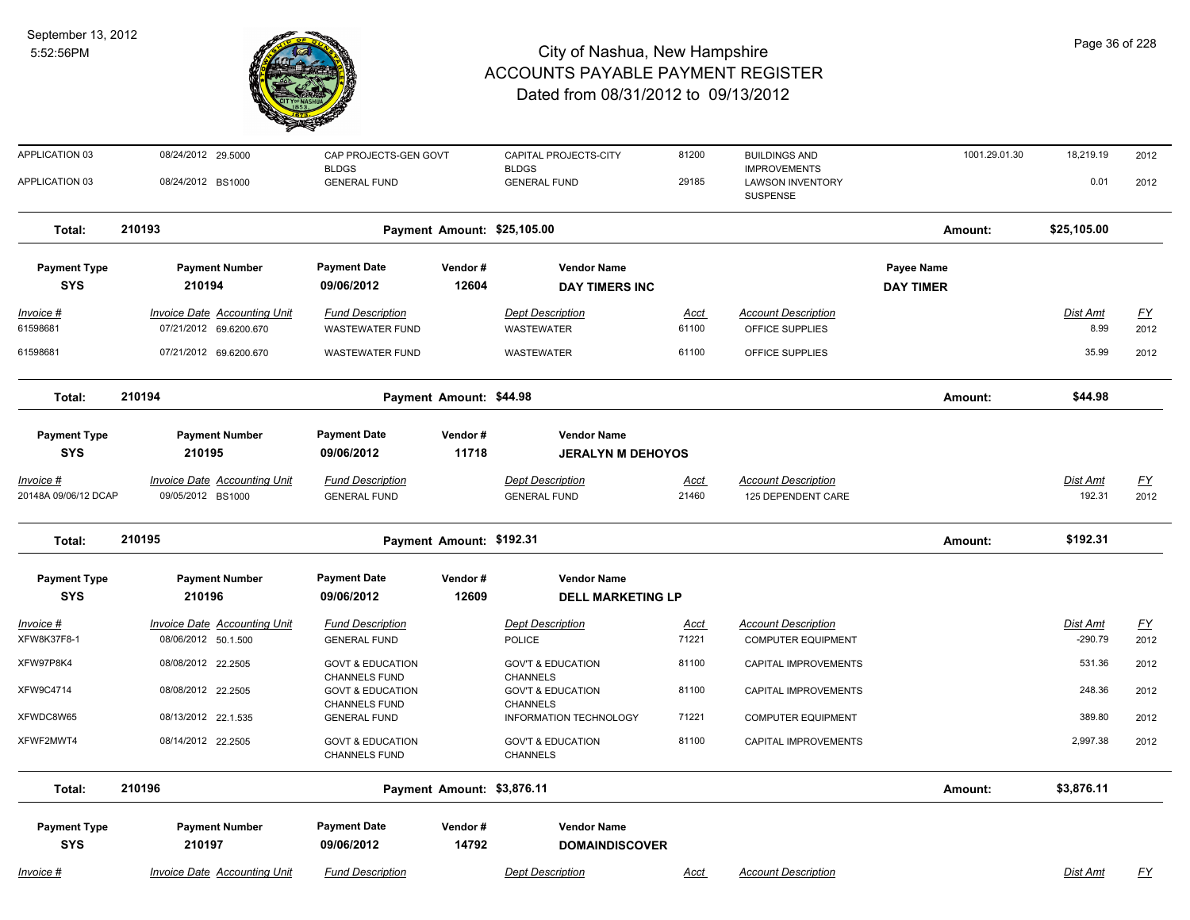

| <b>APPLICATION 03</b>             | 08/24/2012 29.5000                                            | CAP PROJECTS-GEN GOVT<br><b>BLDGS</b>               |                            | CAPITAL PROJECTS-CITY<br><b>BLDGS</b>           | 81200                | <b>BUILDINGS AND</b><br><b>IMPROVEMENTS</b>             | 1001.29.01.30    | 18,219.19             | 2012              |
|-----------------------------------|---------------------------------------------------------------|-----------------------------------------------------|----------------------------|-------------------------------------------------|----------------------|---------------------------------------------------------|------------------|-----------------------|-------------------|
| APPLICATION 03                    | 08/24/2012 BS1000                                             | <b>GENERAL FUND</b>                                 |                            | <b>GENERAL FUND</b>                             | 29185                | <b>LAWSON INVENTORY</b><br>SUSPENSE                     |                  | 0.01                  | 2012              |
| Total:                            | 210193                                                        | Payment Amount: \$25,105.00                         |                            |                                                 |                      |                                                         | Amount:          | \$25,105.00           |                   |
| <b>Payment Type</b>               | <b>Payment Number</b>                                         | <b>Payment Date</b>                                 | Vendor#                    | <b>Vendor Name</b>                              |                      |                                                         | Payee Name       |                       |                   |
| <b>SYS</b>                        | 210194                                                        | 09/06/2012                                          | 12604                      | <b>DAY TIMERS INC</b>                           |                      |                                                         | <b>DAY TIMER</b> |                       |                   |
| Invoice #<br>61598681             | <b>Invoice Date Accounting Unit</b><br>07/21/2012 69.6200.670 | <b>Fund Description</b><br><b>WASTEWATER FUND</b>   |                            | <b>Dept Description</b><br><b>WASTEWATER</b>    | <u>Acct</u><br>61100 | <b>Account Description</b><br>OFFICE SUPPLIES           |                  | Dist Amt<br>8.99      | <u>FY</u><br>2012 |
| 61598681                          | 07/21/2012 69.6200.670                                        | <b>WASTEWATER FUND</b>                              |                            | <b>WASTEWATER</b>                               | 61100                | OFFICE SUPPLIES                                         |                  | 35.99                 | 2012              |
| Total:                            | 210194                                                        | Payment Amount: \$44.98                             |                            |                                                 |                      | Amount:                                                 | \$44.98          |                       |                   |
| <b>Payment Type</b><br><b>SYS</b> | <b>Payment Number</b><br>210195                               | <b>Payment Date</b><br>09/06/2012                   | Vendor#<br>11718           | <b>Vendor Name</b><br><b>JERALYN M DEHOYOS</b>  |                      |                                                         |                  |                       |                   |
| <u>Invoice #</u>                  | <b>Invoice Date Accounting Unit</b>                           | <b>Fund Description</b>                             |                            | <b>Dept Description</b>                         | <u>Acct</u>          | <b>Account Description</b>                              |                  | Dist Amt              | <u>FY</u>         |
| 20148A 09/06/12 DCAP              | 09/05/2012 BS1000                                             | <b>GENERAL FUND</b>                                 |                            | <b>GENERAL FUND</b>                             | 21460                | 125 DEPENDENT CARE                                      |                  | 192.31                | 2012              |
| Total:                            | 210195                                                        | Payment Amount: \$192.31                            |                            |                                                 |                      |                                                         | Amount:          | \$192.31              |                   |
| <b>Payment Type</b>               | <b>Payment Number</b>                                         | <b>Payment Date</b>                                 | Vendor#                    | <b>Vendor Name</b>                              |                      |                                                         |                  |                       |                   |
| <b>SYS</b>                        | 210196                                                        | 09/06/2012                                          | 12609                      | <b>DELL MARKETING LP</b>                        |                      |                                                         |                  |                       |                   |
| <u> Invoice #</u><br>XFW8K37F8-1  | <b>Invoice Date Accounting Unit</b><br>08/06/2012 50.1.500    | <b>Fund Description</b><br><b>GENERAL FUND</b>      |                            | <b>Dept Description</b><br><b>POLICE</b>        | <u>Acct</u><br>71221 | <b>Account Description</b><br><b>COMPUTER EQUIPMENT</b> |                  | Dist Amt<br>$-290.79$ | <u>FY</u><br>2012 |
| XFW97P8K4                         | 08/08/2012 22.2505                                            | <b>GOVT &amp; EDUCATION</b><br><b>CHANNELS FUND</b> |                            | <b>GOV'T &amp; EDUCATION</b><br><b>CHANNELS</b> | 81100                | CAPITAL IMPROVEMENTS                                    |                  | 531.36                | 2012              |
| XFW9C4714                         | 08/08/2012 22.2505                                            | <b>GOVT &amp; EDUCATION</b><br><b>CHANNELS FUND</b> |                            | <b>GOV'T &amp; EDUCATION</b><br><b>CHANNELS</b> | 81100                | CAPITAL IMPROVEMENTS                                    |                  | 248.36                | 2012              |
| XFWDC8W65                         | 08/13/2012 22.1.535                                           | <b>GENERAL FUND</b>                                 |                            | INFORMATION TECHNOLOGY                          | 71221                | <b>COMPUTER EQUIPMENT</b>                               |                  | 389.80                | 2012              |
| XFWF2MWT4                         | 08/14/2012 22.2505                                            | <b>GOVT &amp; EDUCATION</b><br><b>CHANNELS FUND</b> |                            | <b>GOV'T &amp; EDUCATION</b><br><b>CHANNELS</b> | 81100                | CAPITAL IMPROVEMENTS                                    |                  | 2,997.38              | 2012              |
| Total:                            | 210196                                                        |                                                     | Payment Amount: \$3,876.11 |                                                 |                      |                                                         | Amount:          | \$3,876.11            |                   |
| <b>Payment Type</b>               | <b>Payment Number</b>                                         | <b>Payment Date</b>                                 | Vendor#                    | <b>Vendor Name</b>                              |                      |                                                         |                  |                       |                   |
| <b>SYS</b>                        | 210197                                                        | 09/06/2012                                          | 14792                      | <b>DOMAINDISCOVER</b>                           |                      |                                                         |                  |                       |                   |
| Invoice #                         | <b>Invoice Date Accounting Unit</b>                           | <b>Fund Description</b>                             |                            | <b>Dept Description</b>                         | Acct                 | <b>Account Description</b>                              |                  | Dist Amt              | <u>FY</u>         |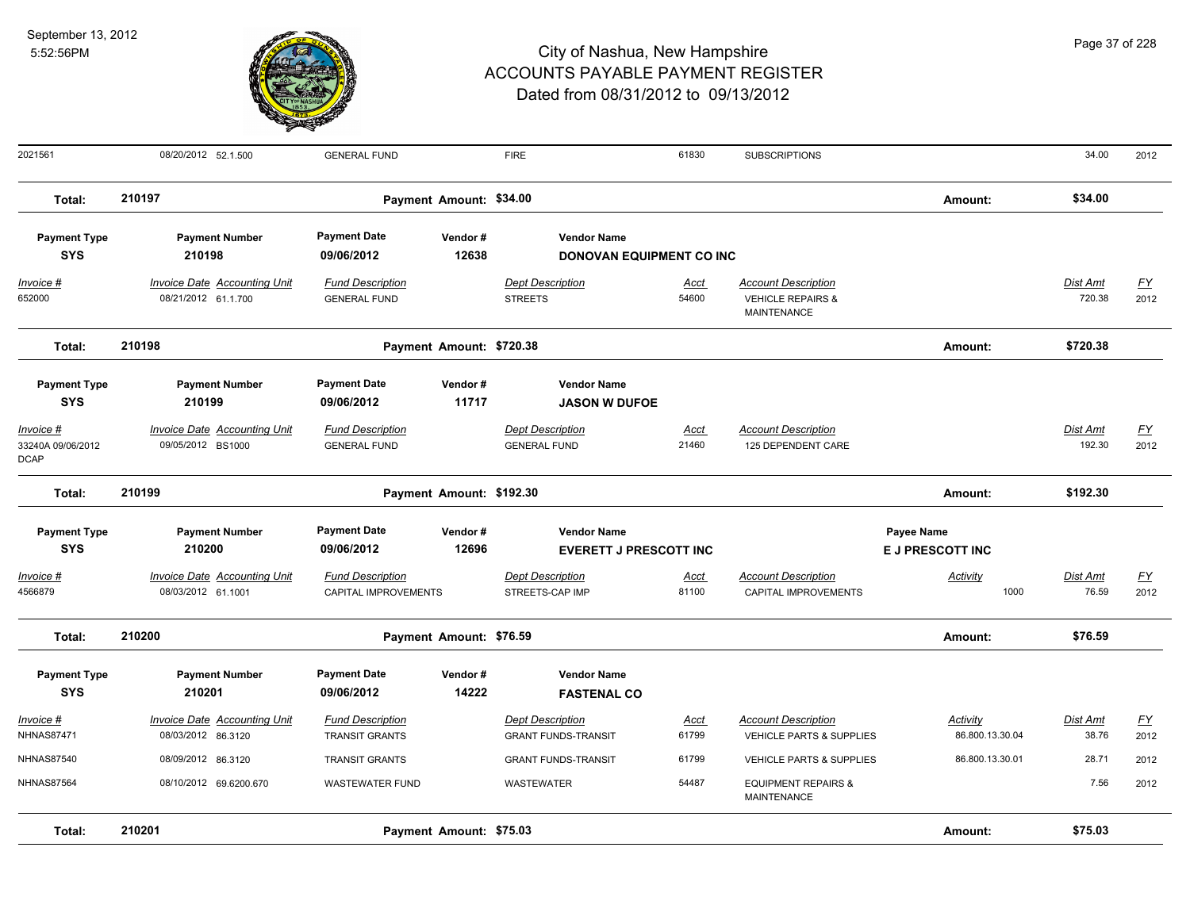

| 2021561                                                                            | 08/20/2012 52.1.500                                                                         | <b>GENERAL FUND</b>                                                                 |                          | <b>FIRE</b>                                                                                  | 61830                | <b>SUBSCRIPTIONS</b>                                                             |                                       | 34.00                     | 2012                              |
|------------------------------------------------------------------------------------|---------------------------------------------------------------------------------------------|-------------------------------------------------------------------------------------|--------------------------|----------------------------------------------------------------------------------------------|----------------------|----------------------------------------------------------------------------------|---------------------------------------|---------------------------|-----------------------------------|
| Total:                                                                             | 210197                                                                                      |                                                                                     | Payment Amount: \$34.00  |                                                                                              |                      |                                                                                  | Amount:                               | \$34.00                   |                                   |
| <b>Payment Type</b><br><b>SYS</b>                                                  | <b>Payment Number</b><br>210198                                                             | <b>Payment Date</b><br>09/06/2012                                                   | Vendor#<br>12638         | <b>Vendor Name</b><br><b>DONOVAN EQUIPMENT CO INC</b>                                        |                      |                                                                                  |                                       |                           |                                   |
| Invoice #<br>652000                                                                | Invoice Date Accounting Unit<br>08/21/2012 61.1.700                                         | <b>Fund Description</b><br><b>GENERAL FUND</b>                                      |                          | <b>Dept Description</b><br><b>STREETS</b>                                                    | Acct<br>54600        | <b>Account Description</b><br><b>VEHICLE REPAIRS &amp;</b><br><b>MAINTENANCE</b> |                                       | Dist Amt<br>720.38        | $\underline{\mathsf{FY}}$<br>2012 |
| Total:                                                                             | 210198                                                                                      |                                                                                     | Payment Amount: \$720.38 |                                                                                              |                      |                                                                                  | Amount:                               | \$720.38                  |                                   |
| <b>Payment Type</b><br><b>SYS</b><br>Invoice #<br>33240A 09/06/2012<br><b>DCAP</b> | <b>Payment Number</b><br>210199<br><b>Invoice Date Accounting Unit</b><br>09/05/2012 BS1000 | <b>Payment Date</b><br>09/06/2012<br><b>Fund Description</b><br><b>GENERAL FUND</b> | Vendor#<br>11717         | <b>Vendor Name</b><br><b>JASON W DUFOE</b><br><b>Dept Description</b><br><b>GENERAL FUND</b> | <u>Acct</u><br>21460 | <b>Account Description</b><br>125 DEPENDENT CARE                                 |                                       | <b>Dist Amt</b><br>192.30 | EY<br>2012                        |
| Total:                                                                             | 210199                                                                                      |                                                                                     | Payment Amount: \$192.30 |                                                                                              |                      |                                                                                  | Amount:                               | \$192.30                  |                                   |
| <b>Payment Type</b><br><b>SYS</b>                                                  | <b>Payment Number</b><br>210200                                                             | <b>Payment Date</b><br>09/06/2012                                                   | Vendor#<br>12696         | <b>Vendor Name</b><br><b>EVERETT J PRESCOTT INC</b>                                          |                      |                                                                                  | Payee Name<br><b>E J PRESCOTT INC</b> |                           |                                   |
| Invoice #<br>4566879                                                               | Invoice Date Accounting Unit<br>08/03/2012 61.1001                                          | <b>Fund Description</b><br>CAPITAL IMPROVEMENTS                                     |                          | <b>Dept Description</b><br>STREETS-CAP IMP                                                   | Acct<br>81100        | <b>Account Description</b><br>CAPITAL IMPROVEMENTS                               | Activity<br>1000                      | Dist Amt<br>76.59         | $\underline{FY}$<br>2012          |
| Total:                                                                             | 210200                                                                                      |                                                                                     | Payment Amount: \$76.59  |                                                                                              |                      |                                                                                  | Amount:                               | \$76.59                   |                                   |
| <b>Payment Type</b><br><b>SYS</b>                                                  | <b>Payment Number</b><br>210201                                                             | <b>Payment Date</b><br>09/06/2012                                                   | Vendor#<br>14222         | <b>Vendor Name</b><br><b>FASTENAL CO</b>                                                     |                      |                                                                                  |                                       |                           |                                   |
| Invoice #<br><b>NHNAS87471</b>                                                     | Invoice Date Accounting Unit<br>08/03/2012 86.3120                                          | <b>Fund Description</b><br><b>TRANSIT GRANTS</b>                                    |                          | <b>Dept Description</b><br><b>GRANT FUNDS-TRANSIT</b>                                        | <u>Acct</u><br>61799 | <b>Account Description</b><br>VEHICLE PARTS & SUPPLIES                           | Activity<br>86.800.13.30.04           | Dist Amt<br>38.76         | <u>FY</u><br>2012                 |
| <b>NHNAS87540</b>                                                                  | 08/09/2012 86.3120                                                                          | <b>TRANSIT GRANTS</b>                                                               |                          | <b>GRANT FUNDS-TRANSIT</b>                                                                   | 61799                | VEHICLE PARTS & SUPPLIES                                                         | 86.800.13.30.01                       | 28.71                     | 2012                              |
| <b>NHNAS87564</b>                                                                  | 08/10/2012 69.6200.670                                                                      | <b>WASTEWATER FUND</b>                                                              |                          | WASTEWATER                                                                                   | 54487                | <b>EQUIPMENT REPAIRS &amp;</b><br><b>MAINTENANCE</b>                             |                                       | 7.56                      | 2012                              |
| Total:                                                                             | 210201                                                                                      |                                                                                     | Payment Amount: \$75.03  |                                                                                              |                      |                                                                                  | Amount:                               | \$75.03                   |                                   |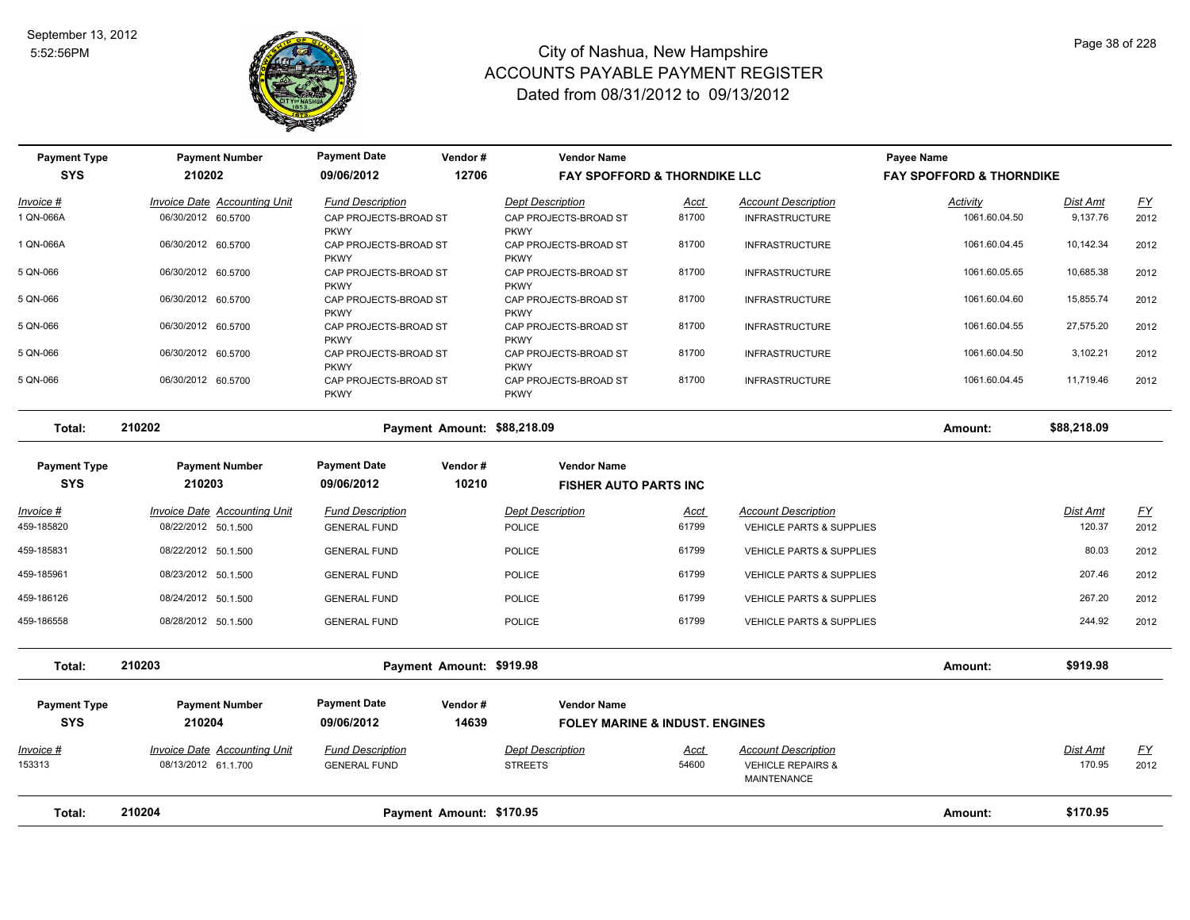

| <b>Payment Type</b>        | <b>Payment Number</b>                                      | <b>Payment Date</b>                            | Vendor#                     | <b>Vendor Name</b>                        |               |                                                                                  | Payee Name                          |                           |                   |
|----------------------------|------------------------------------------------------------|------------------------------------------------|-----------------------------|-------------------------------------------|---------------|----------------------------------------------------------------------------------|-------------------------------------|---------------------------|-------------------|
| <b>SYS</b>                 | 210202                                                     | 09/06/2012                                     | 12706                       | <b>FAY SPOFFORD &amp; THORNDIKE LLC</b>   |               |                                                                                  | <b>FAY SPOFFORD &amp; THORNDIKE</b> |                           |                   |
| Invoice #                  | Invoice Date Accounting Unit                               | <b>Fund Description</b>                        |                             | <b>Dept Description</b>                   | Acct          | <b>Account Description</b>                                                       | Activity                            | <b>Dist Amt</b>           | <u>FY</u>         |
| 1 QN-066A                  | 06/30/2012 60.5700                                         | CAP PROJECTS-BROAD ST<br><b>PKWY</b>           |                             | CAP PROJECTS-BROAD ST<br><b>PKWY</b>      | 81700         | <b>INFRASTRUCTURE</b>                                                            | 1061.60.04.50                       | 9,137.76                  | 2012              |
| 1 QN-066A                  | 06/30/2012 60.5700                                         | CAP PROJECTS-BROAD ST<br><b>PKWY</b>           |                             | CAP PROJECTS-BROAD ST<br><b>PKWY</b>      | 81700         | <b>INFRASTRUCTURE</b>                                                            | 1061.60.04.45                       | 10,142.34                 | 2012              |
| 5 QN-066                   | 06/30/2012 60.5700                                         | CAP PROJECTS-BROAD ST<br><b>PKWY</b>           |                             | CAP PROJECTS-BROAD ST<br><b>PKWY</b>      | 81700         | <b>INFRASTRUCTURE</b>                                                            | 1061.60.05.65                       | 10,685.38                 | 2012              |
| 5 QN-066                   | 06/30/2012 60.5700                                         | CAP PROJECTS-BROAD ST<br><b>PKWY</b>           |                             | CAP PROJECTS-BROAD ST<br><b>PKWY</b>      | 81700         | <b>INFRASTRUCTURE</b>                                                            | 1061.60.04.60                       | 15,855.74                 | 2012              |
| 5 QN-066                   | 06/30/2012 60.5700                                         | CAP PROJECTS-BROAD ST<br><b>PKWY</b>           |                             | CAP PROJECTS-BROAD ST<br><b>PKWY</b>      | 81700         | <b>INFRASTRUCTURE</b>                                                            | 1061.60.04.55                       | 27,575.20                 | 2012              |
| 5 QN-066                   | 06/30/2012 60.5700                                         | CAP PROJECTS-BROAD ST<br><b>PKWY</b>           |                             | CAP PROJECTS-BROAD ST<br><b>PKWY</b>      | 81700         | <b>INFRASTRUCTURE</b>                                                            | 1061.60.04.50                       | 3,102.21                  | 2012              |
| 5 QN-066                   | 06/30/2012 60.5700                                         | CAP PROJECTS-BROAD ST<br><b>PKWY</b>           |                             | CAP PROJECTS-BROAD ST<br><b>PKWY</b>      | 81700         | <b>INFRASTRUCTURE</b>                                                            | 1061.60.04.45                       | 11,719.46                 | 2012              |
| Total:                     | 210202                                                     |                                                | Payment Amount: \$88,218.09 |                                           |               |                                                                                  | Amount:                             | \$88,218.09               |                   |
| <b>Payment Type</b>        | <b>Payment Number</b>                                      | <b>Payment Date</b>                            | Vendor#                     | <b>Vendor Name</b>                        |               |                                                                                  |                                     |                           |                   |
| <b>SYS</b>                 | 210203                                                     | 09/06/2012                                     | 10210                       | <b>FISHER AUTO PARTS INC</b>              |               |                                                                                  |                                     |                           |                   |
| Invoice #                  | Invoice Date Accounting Unit                               | <b>Fund Description</b>                        |                             | <b>Dept Description</b>                   | Acct          | <b>Account Description</b>                                                       |                                     | Dist Amt                  | <u>FY</u>         |
| 459-185820                 | 08/22/2012 50.1.500                                        | <b>GENERAL FUND</b>                            |                             | <b>POLICE</b>                             | 61799         | VEHICLE PARTS & SUPPLIES                                                         |                                     | 120.37                    | 2012              |
| 459-185831                 | 08/22/2012 50.1.500                                        | <b>GENERAL FUND</b>                            |                             | POLICE                                    | 61799         | VEHICLE PARTS & SUPPLIES                                                         |                                     | 80.03                     | 2012              |
| 459-185961                 | 08/23/2012 50.1.500                                        | <b>GENERAL FUND</b>                            |                             | <b>POLICE</b>                             | 61799         | <b>VEHICLE PARTS &amp; SUPPLIES</b>                                              |                                     | 207.46                    | 2012              |
| 459-186126                 | 08/24/2012 50.1.500                                        | <b>GENERAL FUND</b>                            |                             | <b>POLICE</b>                             | 61799         | VEHICLE PARTS & SUPPLIES                                                         |                                     | 267.20                    | 2012              |
| 459-186558                 | 08/28/2012 50.1.500                                        | <b>GENERAL FUND</b>                            |                             | <b>POLICE</b>                             | 61799         | <b>VEHICLE PARTS &amp; SUPPLIES</b>                                              |                                     | 244.92                    | 2012              |
| Total:                     | 210203                                                     |                                                | Payment Amount: \$919.98    |                                           |               |                                                                                  | Amount:                             | \$919.98                  |                   |
| <b>Payment Type</b>        | <b>Payment Number</b>                                      | <b>Payment Date</b>                            | Vendor#                     | <b>Vendor Name</b>                        |               |                                                                                  |                                     |                           |                   |
| <b>SYS</b>                 | 210204                                                     | 09/06/2012                                     | 14639                       | <b>FOLEY MARINE &amp; INDUST, ENGINES</b> |               |                                                                                  |                                     |                           |                   |
| <u>Invoice #</u><br>153313 | <b>Invoice Date Accounting Unit</b><br>08/13/2012 61.1.700 | <b>Fund Description</b><br><b>GENERAL FUND</b> |                             | <b>Dept Description</b><br><b>STREETS</b> | Acct<br>54600 | <b>Account Description</b><br><b>VEHICLE REPAIRS &amp;</b><br><b>MAINTENANCE</b> |                                     | <b>Dist Amt</b><br>170.95 | <u>FY</u><br>2012 |
| Total:                     | 210204                                                     |                                                | Payment Amount: \$170.95    |                                           |               |                                                                                  | Amount:                             | \$170.95                  |                   |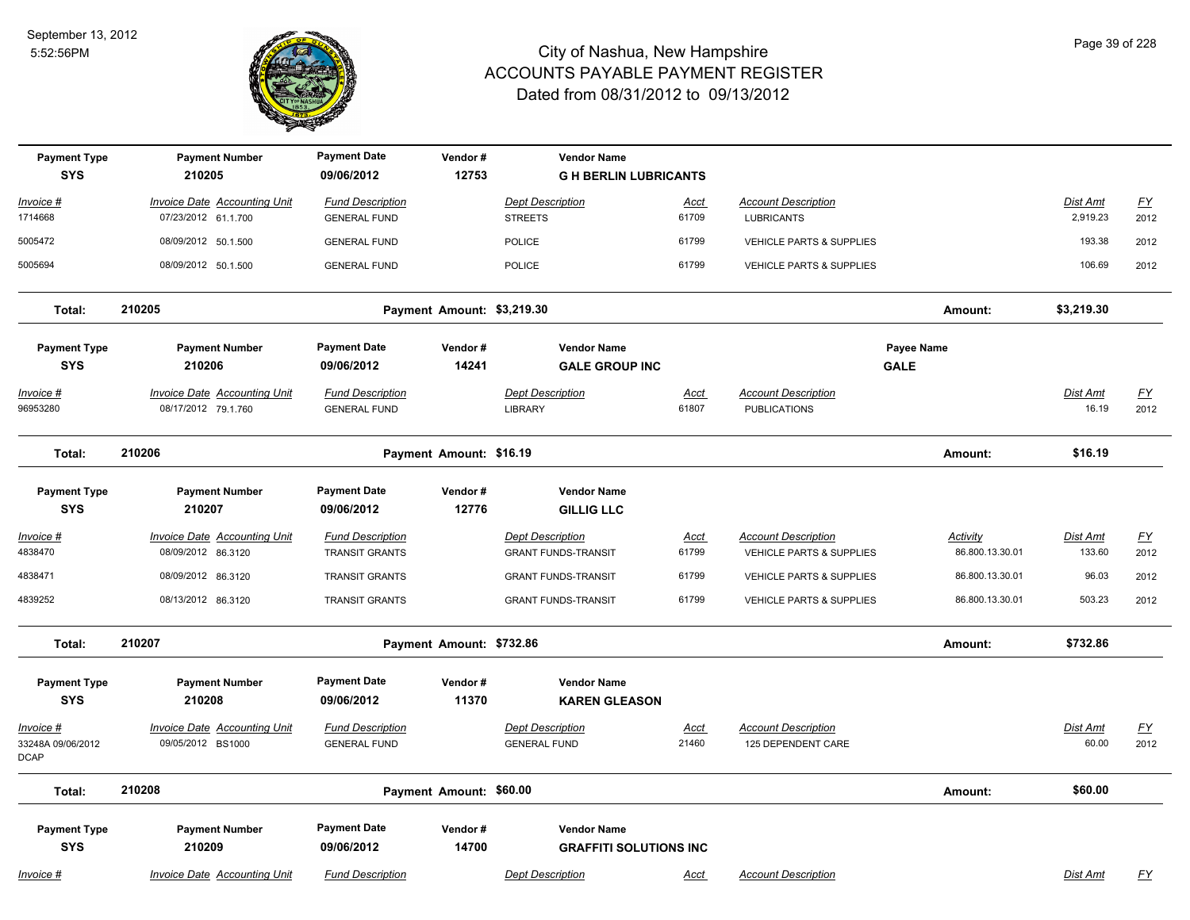

| <b>Payment Type</b><br><b>SYS</b>             | <b>Payment Number</b><br>210205                     | <b>Payment Date</b><br>09/06/2012              | Vendor#<br>12753           | <b>Vendor Name</b><br><b>GH BERLIN LUBRICANTS</b>   |               |                                                   |                           |                   |                          |
|-----------------------------------------------|-----------------------------------------------------|------------------------------------------------|----------------------------|-----------------------------------------------------|---------------|---------------------------------------------------|---------------------------|-------------------|--------------------------|
| Invoice #                                     | Invoice Date Accounting Unit                        | <b>Fund Description</b>                        |                            | <b>Dept Description</b>                             | Acct          | <b>Account Description</b>                        |                           | Dist Amt          | $\underline{FY}$         |
| 1714668                                       | 07/23/2012 61.1.700                                 | <b>GENERAL FUND</b>                            |                            | <b>STREETS</b>                                      | 61709         | <b>LUBRICANTS</b>                                 |                           | 2,919.23          | 2012                     |
| 5005472                                       | 08/09/2012 50.1.500                                 | <b>GENERAL FUND</b>                            |                            | <b>POLICE</b>                                       | 61799         | <b>VEHICLE PARTS &amp; SUPPLIES</b>               |                           | 193.38            | 2012                     |
| 5005694                                       | 08/09/2012 50.1.500                                 | <b>GENERAL FUND</b>                            |                            | <b>POLICE</b>                                       | 61799         | <b>VEHICLE PARTS &amp; SUPPLIES</b>               |                           | 106.69            | 2012                     |
| Total:                                        | 210205                                              |                                                | Payment Amount: \$3,219.30 |                                                     |               |                                                   | Amount:                   | \$3,219.30        |                          |
| <b>Payment Type</b><br><b>SYS</b>             | <b>Payment Number</b><br>210206                     | <b>Payment Date</b><br>09/06/2012              | Vendor#<br>14241           | <b>Vendor Name</b><br><b>GALE GROUP INC</b>         |               |                                                   | Payee Name<br><b>GALE</b> |                   |                          |
| Invoice #<br>96953280                         | Invoice Date Accounting Unit<br>08/17/2012 79.1.760 | <b>Fund Description</b><br><b>GENERAL FUND</b> |                            | Dept Description<br><b>LIBRARY</b>                  | Acct<br>61807 | <b>Account Description</b><br><b>PUBLICATIONS</b> |                           | Dist Amt<br>16.19 | <u>FY</u><br>2012        |
| Total:                                        | 210206                                              |                                                | Payment Amount: \$16.19    |                                                     |               |                                                   | Amount:                   | \$16.19           |                          |
| <b>Payment Type</b><br><b>SYS</b>             | <b>Payment Number</b><br>210207                     | <b>Payment Date</b><br>09/06/2012              | Vendor#<br>12776           | <b>Vendor Name</b><br><b>GILLIG LLC</b>             |               |                                                   |                           |                   |                          |
| <u>Invoice #</u>                              | <b>Invoice Date Accounting Unit</b>                 | <b>Fund Description</b>                        |                            | <b>Dept Description</b>                             | <u>Acct</u>   | <b>Account Description</b>                        | <u>Activity</u>           | Dist Amt          | EY                       |
| 4838470                                       | 08/09/2012 86.3120                                  | <b>TRANSIT GRANTS</b>                          |                            | <b>GRANT FUNDS-TRANSIT</b>                          | 61799         | VEHICLE PARTS & SUPPLIES                          | 86.800.13.30.01           | 133.60            | 2012                     |
| 4838471                                       | 08/09/2012 86.3120                                  | <b>TRANSIT GRANTS</b>                          |                            | <b>GRANT FUNDS-TRANSIT</b>                          | 61799         | VEHICLE PARTS & SUPPLIES                          | 86.800.13.30.01           | 96.03             | 2012                     |
| 4839252                                       | 08/13/2012 86.3120                                  | <b>TRANSIT GRANTS</b>                          |                            | <b>GRANT FUNDS-TRANSIT</b>                          | 61799         | <b>VEHICLE PARTS &amp; SUPPLIES</b>               | 86.800.13.30.01           | 503.23            | 2012                     |
| Total:                                        | 210207                                              |                                                | Payment Amount: \$732.86   |                                                     |               |                                                   | Amount:                   | \$732.86          |                          |
| <b>Payment Type</b><br><b>SYS</b>             | <b>Payment Number</b><br>210208                     | <b>Payment Date</b><br>09/06/2012              | Vendor#<br>11370           | <b>Vendor Name</b><br><b>KAREN GLEASON</b>          |               |                                                   |                           |                   |                          |
| Invoice #<br>33248A 09/06/2012<br><b>DCAP</b> | Invoice Date Accounting Unit<br>09/05/2012 BS1000   | <b>Fund Description</b><br><b>GENERAL FUND</b> |                            | <b>Dept Description</b><br><b>GENERAL FUND</b>      | Acct<br>21460 | <b>Account Description</b><br>125 DEPENDENT CARE  |                           | Dist Amt<br>60.00 | $\underline{FY}$<br>2012 |
| Total:                                        | 210208                                              |                                                | Payment Amount: \$60.00    |                                                     |               |                                                   | Amount:                   | \$60.00           |                          |
| <b>Payment Type</b><br><b>SYS</b>             | <b>Payment Number</b><br>210209                     | <b>Payment Date</b><br>09/06/2012              | Vendor#<br>14700           | <b>Vendor Name</b><br><b>GRAFFITI SOLUTIONS INC</b> |               |                                                   |                           |                   |                          |
| Invoice #                                     | Invoice Date Accounting Unit                        | <b>Fund Description</b>                        |                            | <b>Dept Description</b>                             | Acct          | <b>Account Description</b>                        |                           | Dist Amt          | <u>FY</u>                |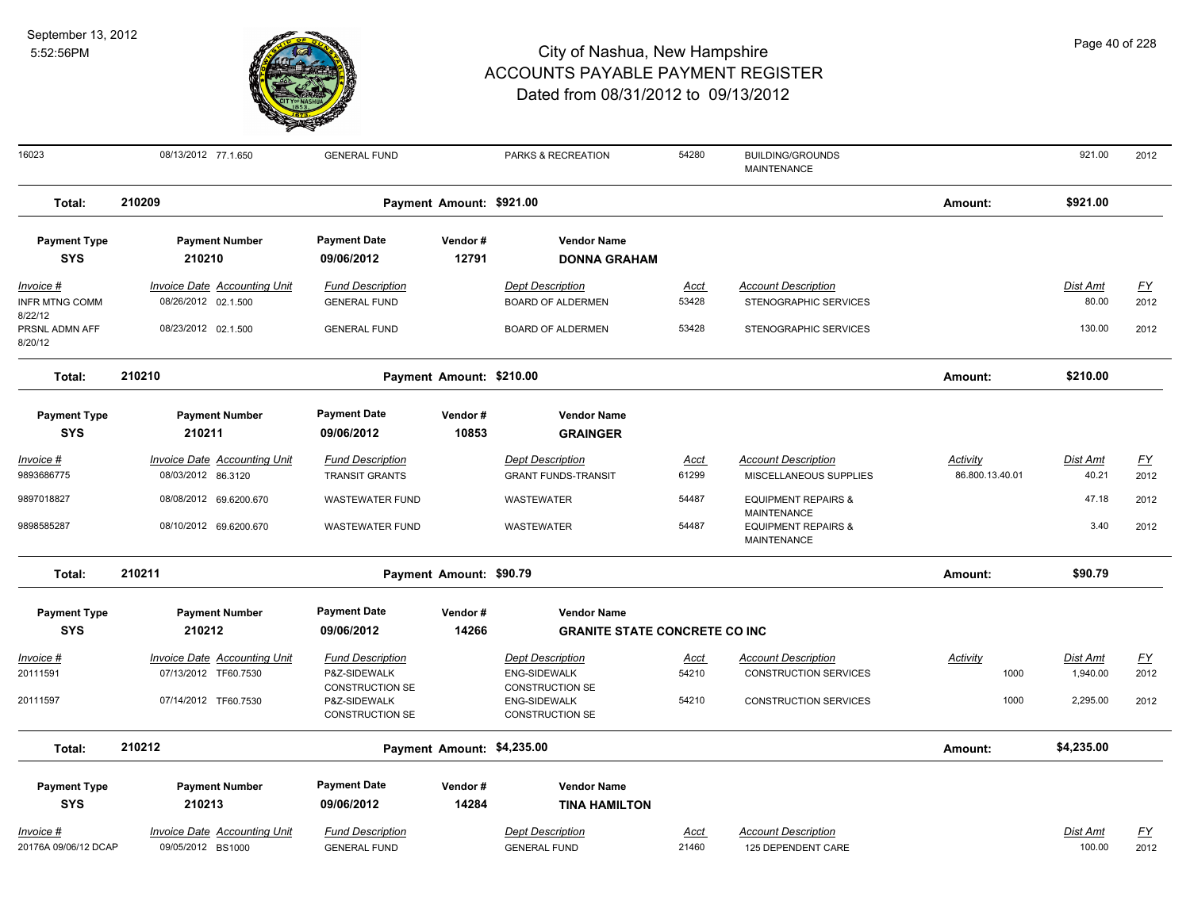8/22/12

8/20/12



| 16023                                | 08/13/2012 77.1.650                                 | <b>GENERAL FUND</b>                                       |                            | PARKS & RECREATION                                        | 54280         | <b>BUILDING/GROUNDS</b><br><b>MAINTENANCE</b>        |                                    | 921.00                   | 2012              |
|--------------------------------------|-----------------------------------------------------|-----------------------------------------------------------|----------------------------|-----------------------------------------------------------|---------------|------------------------------------------------------|------------------------------------|--------------------------|-------------------|
| Total:                               | 210209                                              |                                                           | Payment Amount: \$921.00   |                                                           |               |                                                      | Amount:                            | \$921.00                 |                   |
| <b>Payment Type</b><br><b>SYS</b>    | <b>Payment Number</b><br>210210                     | <b>Payment Date</b><br>09/06/2012                         | Vendor#<br>12791           | <b>Vendor Name</b><br><b>DONNA GRAHAM</b>                 |               |                                                      |                                    |                          |                   |
| Invoice #<br><b>INFR MTNG COMM</b>   | Invoice Date Accounting Unit<br>08/26/2012 02.1.500 | <b>Fund Description</b><br><b>GENERAL FUND</b>            |                            | <b>Dept Description</b><br><b>BOARD OF ALDERMEN</b>       | Acct<br>53428 | <b>Account Description</b><br>STENOGRAPHIC SERVICES  |                                    | Dist Amt<br>80.00        | <u>FY</u><br>2012 |
| 8/22/12<br>PRSNL ADMN AFF<br>8/20/12 | 08/23/2012 02.1.500                                 | <b>GENERAL FUND</b>                                       |                            | <b>BOARD OF ALDERMEN</b>                                  | 53428         | STENOGRAPHIC SERVICES                                |                                    | 130.00                   | 2012              |
| Total:                               | 210210                                              |                                                           | Payment Amount: \$210.00   |                                                           |               |                                                      | Amount:                            | \$210.00                 |                   |
| <b>Payment Type</b><br><b>SYS</b>    | <b>Payment Number</b><br>210211                     | <b>Payment Date</b><br>09/06/2012                         | Vendor#<br>10853           | <b>Vendor Name</b><br><b>GRAINGER</b>                     |               |                                                      |                                    |                          |                   |
| Invoice #<br>9893686775              | Invoice Date Accounting Unit<br>08/03/2012 86.3120  | <b>Fund Description</b><br><b>TRANSIT GRANTS</b>          |                            | <b>Dept Description</b><br><b>GRANT FUNDS-TRANSIT</b>     | Acct<br>61299 | <b>Account Description</b><br>MISCELLANEOUS SUPPLIES | <u>Activity</u><br>86.800.13.40.01 | <u>Dist Amt</u><br>40.21 | <u>FY</u><br>2012 |
| 9897018827                           | 08/08/2012 69.6200.670                              | <b>WASTEWATER FUND</b>                                    |                            | <b>WASTEWATER</b>                                         | 54487         | <b>EQUIPMENT REPAIRS &amp;</b><br><b>MAINTENANCE</b> |                                    | 47.18                    | 2012              |
| 9898585287                           | 08/10/2012 69.6200.670                              | <b>WASTEWATER FUND</b>                                    |                            | <b>WASTEWATER</b>                                         | 54487         | <b>EQUIPMENT REPAIRS &amp;</b><br><b>MAINTENANCE</b> |                                    | 3.40                     | 2012              |
| Total:                               | 210211                                              |                                                           | Payment Amount: \$90.79    |                                                           |               |                                                      | Amount:                            | \$90.79                  |                   |
| <b>Payment Type</b>                  | <b>Payment Number</b>                               | <b>Payment Date</b>                                       | Vendor#                    | <b>Vendor Name</b>                                        |               |                                                      |                                    |                          |                   |
| <b>SYS</b>                           | 210212                                              | 09/06/2012                                                | 14266                      | <b>GRANITE STATE CONCRETE CO INC</b>                      |               |                                                      |                                    |                          |                   |
| Invoice #                            | <b>Invoice Date Accounting Unit</b>                 | <b>Fund Description</b>                                   |                            | <b>Dept Description</b>                                   | Acct          | <b>Account Description</b>                           | Activity                           | Dist Amt                 | <u>FY</u>         |
| 20111591                             | 07/13/2012 TF60.7530                                | P&Z-SIDEWALK                                              |                            | <b>ENG-SIDEWALK</b>                                       | 54210         | <b>CONSTRUCTION SERVICES</b>                         | 1000                               | 1,940.00                 | 2012              |
| 20111597                             | 07/14/2012 TF60.7530                                | CONSTRUCTION SE<br>P&Z-SIDEWALK<br><b>CONSTRUCTION SE</b> |                            | CONSTRUCTION SE<br><b>ENG-SIDEWALK</b><br>CONSTRUCTION SE | 54210         | <b>CONSTRUCTION SERVICES</b>                         | 1000                               | 2,295.00                 | 2012              |
| Total:                               | 210212                                              |                                                           | Payment Amount: \$4,235.00 |                                                           |               |                                                      | Amount:                            | \$4,235.00               |                   |
| <b>Payment Type</b>                  | <b>Payment Number</b>                               | <b>Payment Date</b>                                       | Vendor#                    | <b>Vendor Name</b>                                        |               |                                                      |                                    |                          |                   |
| <b>SYS</b>                           | 210213                                              | 09/06/2012                                                | 14284                      | <b>TINA HAMILTON</b>                                      |               |                                                      |                                    |                          |                   |
| Invoice #                            | <b>Invoice Date Accounting Unit</b>                 | <b>Fund Description</b>                                   |                            | <b>Dept Description</b>                                   | Acct          | <b>Account Description</b>                           |                                    | Dist Amt                 | <u>FY</u>         |
| 20176A 09/06/12 DCAP                 | 09/05/2012 BS1000                                   | <b>GENERAL FUND</b>                                       |                            | <b>GENERAL FUND</b>                                       | 21460         | 125 DEPENDENT CARE                                   |                                    | 100.00                   | 2012              |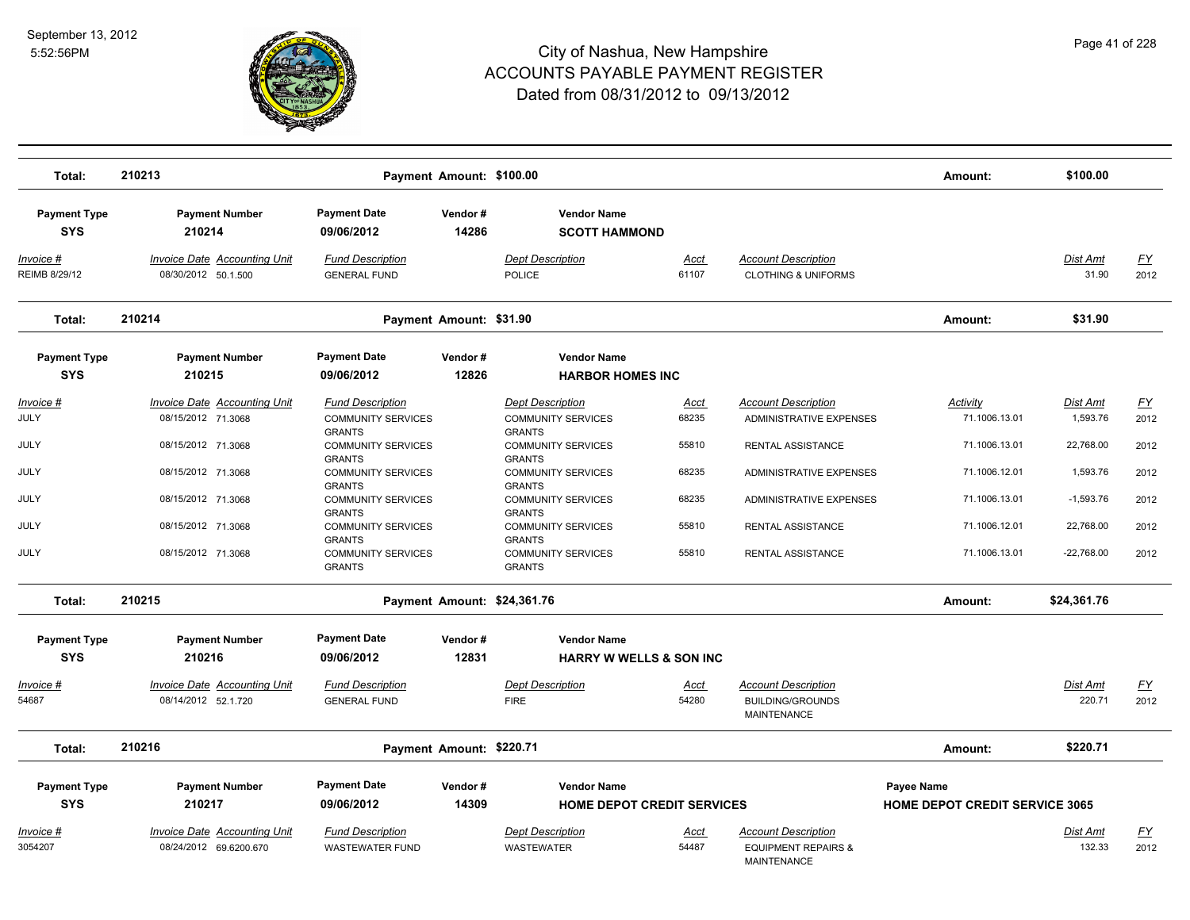

| Total:                            | 210213                                                        |                                                             | Payment Amount: \$100.00 |                                                             |                      |                                                                                    | Amount:                               | \$100.00                    |                   |
|-----------------------------------|---------------------------------------------------------------|-------------------------------------------------------------|--------------------------|-------------------------------------------------------------|----------------------|------------------------------------------------------------------------------------|---------------------------------------|-----------------------------|-------------------|
| <b>Payment Type</b><br><b>SYS</b> | <b>Payment Number</b><br>210214                               | <b>Payment Date</b><br>09/06/2012                           | Vendor#<br>14286         | <b>Vendor Name</b><br><b>SCOTT HAMMOND</b>                  |                      |                                                                                    |                                       |                             |                   |
| Invoice #<br>REIMB 8/29/12        | Invoice Date Accounting Unit<br>08/30/2012 50.1.500           | <b>Fund Description</b><br><b>GENERAL FUND</b>              |                          | <b>Dept Description</b><br>POLICE                           | Acct<br>61107        | <b>Account Description</b><br><b>CLOTHING &amp; UNIFORMS</b>                       |                                       | Dist Amt<br>31.90           | <u>FY</u><br>2012 |
| Total:                            | 210214                                                        |                                                             | Payment Amount: \$31.90  |                                                             |                      |                                                                                    | Amount:                               | \$31.90                     |                   |
| <b>Payment Type</b>               | <b>Payment Number</b>                                         | <b>Payment Date</b>                                         | Vendor#                  | <b>Vendor Name</b>                                          |                      |                                                                                    |                                       |                             |                   |
| <b>SYS</b>                        | 210215                                                        | 09/06/2012                                                  | 12826                    | <b>HARBOR HOMES INC</b>                                     |                      |                                                                                    |                                       |                             |                   |
| Invoice #<br>JULY                 | <b>Invoice Date Accounting Unit</b><br>08/15/2012 71.3068     | <b>Fund Description</b><br><b>COMMUNITY SERVICES</b>        |                          | <b>Dept Description</b><br><b>COMMUNITY SERVICES</b>        | <u>Acct</u><br>68235 | <b>Account Description</b><br>ADMINISTRATIVE EXPENSES                              | <b>Activity</b><br>71.1006.13.01      | <b>Dist Amt</b><br>1,593.76 | <u>FY</u><br>2012 |
| JULY                              | 08/15/2012 71.3068                                            | <b>GRANTS</b><br><b>COMMUNITY SERVICES</b><br><b>GRANTS</b> |                          | <b>GRANTS</b><br><b>COMMUNITY SERVICES</b><br><b>GRANTS</b> | 55810                | RENTAL ASSISTANCE                                                                  | 71.1006.13.01                         | 22,768.00                   | 2012              |
| JULY                              | 08/15/2012 71.3068                                            | <b>COMMUNITY SERVICES</b><br><b>GRANTS</b>                  |                          | <b>COMMUNITY SERVICES</b><br><b>GRANTS</b>                  | 68235                | ADMINISTRATIVE EXPENSES                                                            | 71.1006.12.01                         | 1,593.76                    | 2012              |
| JULY                              | 08/15/2012 71.3068                                            | <b>COMMUNITY SERVICES</b><br><b>GRANTS</b>                  |                          | <b>COMMUNITY SERVICES</b><br><b>GRANTS</b>                  | 68235                | ADMINISTRATIVE EXPENSES                                                            | 71.1006.13.01                         | $-1,593.76$                 | 2012              |
| JULY                              | 08/15/2012 71.3068                                            | <b>COMMUNITY SERVICES</b><br><b>GRANTS</b>                  |                          | <b>COMMUNITY SERVICES</b><br><b>GRANTS</b>                  | 55810                | RENTAL ASSISTANCE                                                                  | 71.1006.12.01                         | 22,768.00                   | 2012              |
| JULY                              | 08/15/2012 71.3068                                            | <b>COMMUNITY SERVICES</b><br><b>GRANTS</b>                  |                          | <b>COMMUNITY SERVICES</b><br><b>GRANTS</b>                  | 55810                | RENTAL ASSISTANCE                                                                  | 71.1006.13.01                         | $-22,768.00$                | 2012              |
| Total:                            | 210215                                                        |                                                             |                          | Payment Amount: \$24,361.76                                 |                      |                                                                                    | Amount:                               | \$24,361.76                 |                   |
| <b>Payment Type</b><br><b>SYS</b> | <b>Payment Number</b><br>210216                               | <b>Payment Date</b><br>09/06/2012                           | Vendor#<br>12831         | <b>Vendor Name</b><br><b>HARRY W WELLS &amp; SON INC</b>    |                      |                                                                                    |                                       |                             |                   |
| <u> Invoice #</u>                 | <b>Invoice Date Accounting Unit</b>                           | <b>Fund Description</b>                                     |                          | <b>Dept Description</b>                                     | <u>Acct</u>          | <b>Account Description</b>                                                         |                                       | Dist Amt                    | <u>FY</u>         |
| 54687                             | 08/14/2012 52.1.720                                           | <b>GENERAL FUND</b>                                         |                          | <b>FIRE</b>                                                 | 54280                | <b>BUILDING/GROUNDS</b><br><b>MAINTENANCE</b>                                      |                                       | 220.71                      | 2012              |
| Total:                            | 210216                                                        |                                                             | Payment Amount: \$220.71 |                                                             |                      |                                                                                    | Amount:                               | \$220.71                    |                   |
| <b>Payment Type</b>               | <b>Payment Number</b>                                         | <b>Payment Date</b>                                         | Vendor#                  | <b>Vendor Name</b>                                          |                      |                                                                                    | Payee Name                            |                             |                   |
| <b>SYS</b>                        | 210217                                                        | 09/06/2012                                                  | 14309                    | <b>HOME DEPOT CREDIT SERVICES</b>                           |                      |                                                                                    | <b>HOME DEPOT CREDIT SERVICE 3065</b> |                             |                   |
| <u>Invoice #</u><br>3054207       | <b>Invoice Date Accounting Unit</b><br>08/24/2012 69.6200.670 | <b>Fund Description</b><br><b>WASTEWATER FUND</b>           |                          | <b>Dept Description</b><br><b>WASTEWATER</b>                | <u>Acct</u><br>54487 | <b>Account Description</b><br><b>EQUIPMENT REPAIRS &amp;</b><br><b>MAINTENANCE</b> |                                       | Dist Amt<br>132.33          | <u>FY</u><br>2012 |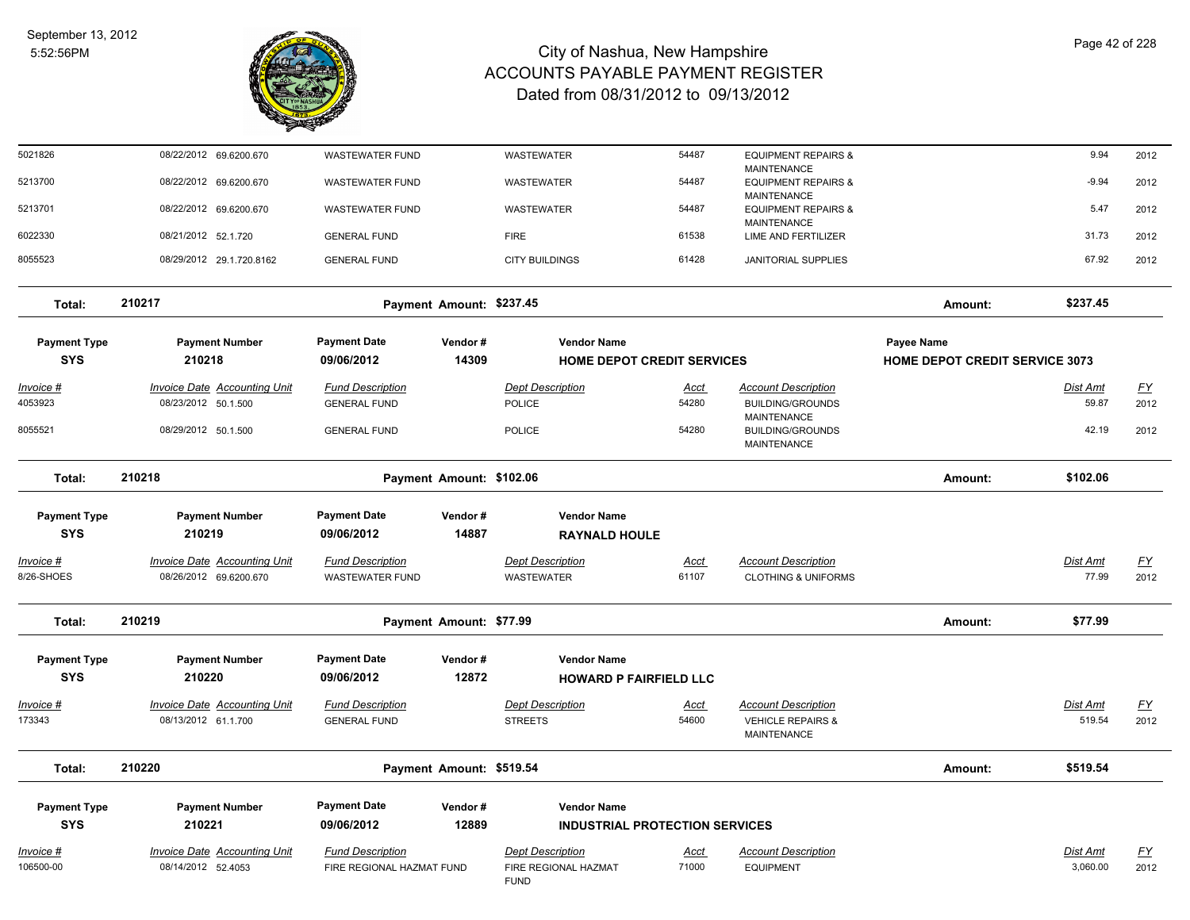

| 5021826                           | 08/22/2012 69.6200.670                                        | <b>WASTEWATER FUND</b>                               |                          | <b>WASTEWATER</b>                                              | 54487                | <b>EQUIPMENT REPAIRS &amp;</b>                                             |                                                     | 9.94                 | 2012              |
|-----------------------------------|---------------------------------------------------------------|------------------------------------------------------|--------------------------|----------------------------------------------------------------|----------------------|----------------------------------------------------------------------------|-----------------------------------------------------|----------------------|-------------------|
| 5213700                           | 08/22/2012 69.6200.670                                        | <b>WASTEWATER FUND</b>                               |                          | WASTEWATER                                                     | 54487                | <b>MAINTENANCE</b><br><b>EQUIPMENT REPAIRS &amp;</b><br><b>MAINTENANCE</b> |                                                     | $-9.94$              | 2012              |
| 5213701                           | 08/22/2012 69.6200.670                                        | <b>WASTEWATER FUND</b>                               |                          | WASTEWATER                                                     | 54487                | <b>EQUIPMENT REPAIRS &amp;</b><br>MAINTENANCE                              |                                                     | 5.47                 | 2012              |
| 6022330                           | 08/21/2012 52.1.720                                           | <b>GENERAL FUND</b>                                  |                          | <b>FIRE</b>                                                    | 61538                | LIME AND FERTILIZER                                                        |                                                     | 31.73                | 2012              |
| 8055523                           | 08/29/2012 29.1.720.8162                                      | <b>GENERAL FUND</b>                                  |                          | <b>CITY BUILDINGS</b>                                          | 61428                | <b>JANITORIAL SUPPLIES</b>                                                 |                                                     | 67.92                | 2012              |
| Total:                            | 210217                                                        |                                                      | Payment Amount: \$237.45 |                                                                |                      |                                                                            | Amount:                                             | \$237.45             |                   |
| <b>Payment Type</b><br><b>SYS</b> | <b>Payment Number</b><br>210218                               | <b>Payment Date</b><br>09/06/2012                    | Vendor#<br>14309         | <b>Vendor Name</b><br><b>HOME DEPOT CREDIT SERVICES</b>        |                      |                                                                            | Payee Name<br><b>HOME DEPOT CREDIT SERVICE 3073</b> |                      |                   |
| Invoice #                         | <b>Invoice Date Accounting Unit</b>                           | <b>Fund Description</b>                              |                          | <b>Dept Description</b>                                        | Acct                 | <b>Account Description</b>                                                 |                                                     | Dist Amt             | <u>FY</u>         |
| 4053923                           | 08/23/2012 50.1.500                                           | <b>GENERAL FUND</b>                                  |                          | <b>POLICE</b>                                                  | 54280                | <b>BUILDING/GROUNDS</b>                                                    |                                                     | 59.87                | 2012              |
| 8055521                           | 08/29/2012 50.1.500                                           | <b>GENERAL FUND</b>                                  |                          | <b>POLICE</b>                                                  | 54280                | <b>MAINTENANCE</b><br><b>BUILDING/GROUNDS</b><br><b>MAINTENANCE</b>        |                                                     | 42.19                | 2012              |
| Total:                            | 210218                                                        |                                                      | Payment Amount: \$102.06 |                                                                |                      |                                                                            | Amount:                                             | \$102.06             |                   |
| <b>Payment Type</b><br><b>SYS</b> | <b>Payment Number</b><br>210219                               | <b>Payment Date</b><br>09/06/2012                    | Vendor#<br>14887         | <b>Vendor Name</b><br><b>RAYNALD HOULE</b>                     |                      |                                                                            |                                                     |                      |                   |
| <u>Invoice #</u><br>8/26-SHOES    | <b>Invoice Date Accounting Unit</b><br>08/26/2012 69.6200.670 | <b>Fund Description</b><br><b>WASTEWATER FUND</b>    |                          | <b>Dept Description</b><br><b>WASTEWATER</b>                   | <u>Acct</u><br>61107 | <b>Account Description</b><br><b>CLOTHING &amp; UNIFORMS</b>               |                                                     | Dist Amt<br>77.99    | <u>FY</u><br>2012 |
| Total:                            | 210219                                                        |                                                      | Payment Amount: \$77.99  |                                                                |                      |                                                                            | Amount:                                             | \$77.99              |                   |
| <b>Payment Type</b><br><b>SYS</b> | <b>Payment Number</b><br>210220                               | <b>Payment Date</b><br>09/06/2012                    | Vendor#<br>12872         | <b>Vendor Name</b><br><b>HOWARD P FAIRFIELD LLC</b>            |                      |                                                                            |                                                     |                      |                   |
| Invoice #<br>173343               | <b>Invoice Date Accounting Unit</b><br>08/13/2012 61.1.700    | <b>Fund Description</b><br><b>GENERAL FUND</b>       |                          | <b>Dept Description</b><br><b>STREETS</b>                      | <u>Acct</u><br>54600 | <b>Account Description</b><br><b>VEHICLE REPAIRS &amp;</b><br>MAINTENANCE  |                                                     | Dist Amt<br>519.54   | <u>FY</u><br>2012 |
| Total:                            | 210220                                                        |                                                      | Payment Amount: \$519.54 |                                                                |                      |                                                                            | Amount:                                             | \$519.54             |                   |
| <b>Payment Type</b><br><b>SYS</b> | <b>Payment Number</b><br>210221                               | <b>Payment Date</b><br>09/06/2012                    | Vendor#<br>12889         | <b>Vendor Name</b><br><b>INDUSTRIAL PROTECTION SERVICES</b>    |                      |                                                                            |                                                     |                      |                   |
| Invoice #<br>106500-00            | <b>Invoice Date Accounting Unit</b><br>08/14/2012 52.4053     | <b>Fund Description</b><br>FIRE REGIONAL HAZMAT FUND |                          | <b>Dept Description</b><br>FIRE REGIONAL HAZMAT<br><b>FUND</b> | Acct<br>71000        | <b>Account Description</b><br><b>EQUIPMENT</b>                             |                                                     | Dist Amt<br>3,060.00 | <u>FY</u><br>2012 |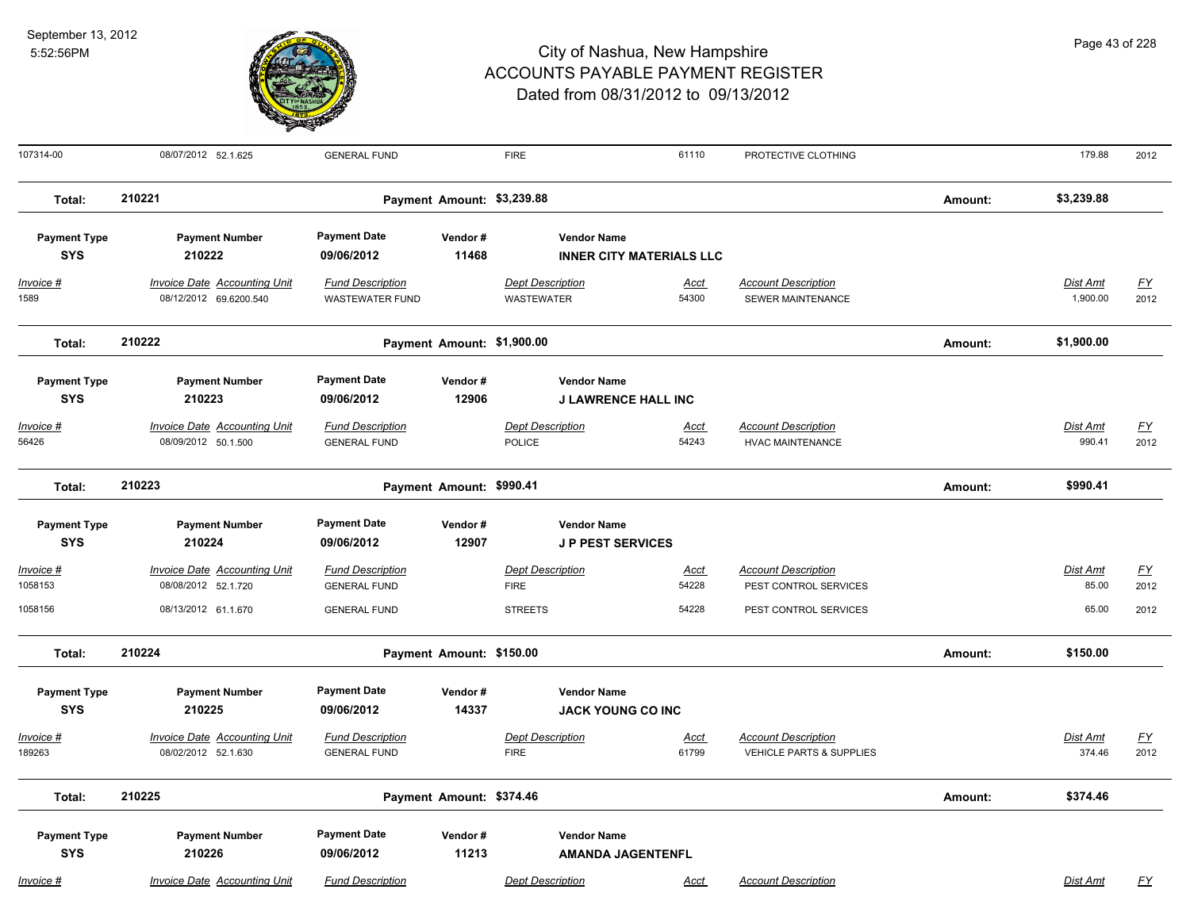

| 107314-00                              | 08/07/2012 52.1.625                                                               | <b>GENERAL FUND</b>                                                   |                            | <b>FIRE</b>                                              | 61110                           | PROTECTIVE CLOTHING                                                          |         | 179.88                     | 2012                             |
|----------------------------------------|-----------------------------------------------------------------------------------|-----------------------------------------------------------------------|----------------------------|----------------------------------------------------------|---------------------------------|------------------------------------------------------------------------------|---------|----------------------------|----------------------------------|
| Total:                                 | 210221                                                                            |                                                                       | Payment Amount: \$3,239.88 |                                                          |                                 |                                                                              | Amount: | \$3,239.88                 |                                  |
| <b>Payment Type</b><br><b>SYS</b>      | <b>Payment Number</b><br>210222                                                   | <b>Payment Date</b><br>09/06/2012                                     | Vendor#<br>11468           | <b>Vendor Name</b>                                       | <b>INNER CITY MATERIALS LLC</b> |                                                                              |         |                            |                                  |
| Invoice #<br>1589                      | Invoice Date Accounting Unit<br>08/12/2012 69.6200.540                            | <b>Fund Description</b><br><b>WASTEWATER FUND</b>                     |                            | <b>Dept Description</b><br><b>WASTEWATER</b>             | Acct<br>54300                   | <b>Account Description</b><br>SEWER MAINTENANCE                              |         | Dist Amt<br>1,900.00       | $\underline{FY}$<br>2012         |
| Total:                                 | 210222                                                                            |                                                                       | Payment Amount: \$1,900.00 |                                                          |                                 |                                                                              | Amount: | \$1,900.00                 |                                  |
| <b>Payment Type</b><br><b>SYS</b>      | <b>Payment Number</b><br>210223                                                   | <b>Payment Date</b><br>09/06/2012                                     | Vendor#<br>12906           | <b>Vendor Name</b><br><b>J LAWRENCE HALL INC</b>         |                                 |                                                                              |         |                            |                                  |
| Invoice #<br>56426                     | <b>Invoice Date Accounting Unit</b><br>08/09/2012 50.1.500                        | <b>Fund Description</b><br><b>GENERAL FUND</b>                        |                            | <b>Dept Description</b><br>POLICE                        | <b>Acct</b><br>54243            | <b>Account Description</b><br><b>HVAC MAINTENANCE</b>                        |         | <b>Dist Amt</b><br>990.41  | <u>FY</u><br>2012                |
| Total:                                 | 210223                                                                            |                                                                       | Payment Amount: \$990.41   |                                                          |                                 |                                                                              | Amount: | \$990.41                   |                                  |
| <b>Payment Type</b><br><b>SYS</b>      | <b>Payment Number</b><br>210224                                                   | <b>Payment Date</b><br>09/06/2012                                     | Vendor#<br>12907           | <b>Vendor Name</b><br><b>JP PEST SERVICES</b>            |                                 |                                                                              |         |                            |                                  |
| <b>Invoice #</b><br>1058153<br>1058156 | <b>Invoice Date Accounting Unit</b><br>08/08/2012 52.1.720<br>08/13/2012 61.1.670 | <b>Fund Description</b><br><b>GENERAL FUND</b><br><b>GENERAL FUND</b> |                            | <b>Dept Description</b><br><b>FIRE</b><br><b>STREETS</b> | <u>Acct</u><br>54228<br>54228   | <b>Account Description</b><br>PEST CONTROL SERVICES<br>PEST CONTROL SERVICES |         | Dist Amt<br>85.00<br>65.00 | $\underline{FY}$<br>2012<br>2012 |
| Total:                                 | 210224                                                                            |                                                                       | Payment Amount: \$150.00   |                                                          |                                 |                                                                              | Amount: | \$150.00                   |                                  |
| <b>Payment Type</b><br><b>SYS</b>      | <b>Payment Number</b><br>210225                                                   | <b>Payment Date</b><br>09/06/2012                                     | Vendor#<br>14337           | <b>Vendor Name</b><br><b>JACK YOUNG CO INC</b>           |                                 |                                                                              |         |                            |                                  |
| Invoice #<br>189263                    | <b>Invoice Date Accounting Unit</b><br>08/02/2012 52.1.630                        | <b>Fund Description</b><br><b>GENERAL FUND</b>                        |                            | <b>Dept Description</b><br><b>FIRE</b>                   | <b>Acct</b><br>61799            | <b>Account Description</b><br><b>VEHICLE PARTS &amp; SUPPLIES</b>            |         | Dist Amt<br>374.46         | EY<br>2012                       |
| Total:                                 | 210225                                                                            |                                                                       | Payment Amount: \$374.46   |                                                          |                                 |                                                                              | Amount: | \$374.46                   |                                  |
| <b>Payment Type</b><br><b>SYS</b>      | <b>Payment Number</b><br>210226                                                   | <b>Payment Date</b><br>09/06/2012                                     | Vendor#<br>11213           | <b>Vendor Name</b><br><b>AMANDA JAGENTENFL</b>           |                                 |                                                                              |         |                            |                                  |
| Invoice #                              | <b>Invoice Date Accounting Unit</b>                                               | <b>Fund Description</b>                                               |                            | <b>Dept Description</b>                                  | <b>Acct</b>                     | <b>Account Description</b>                                                   |         | Dist Amt                   | <u>FY</u>                        |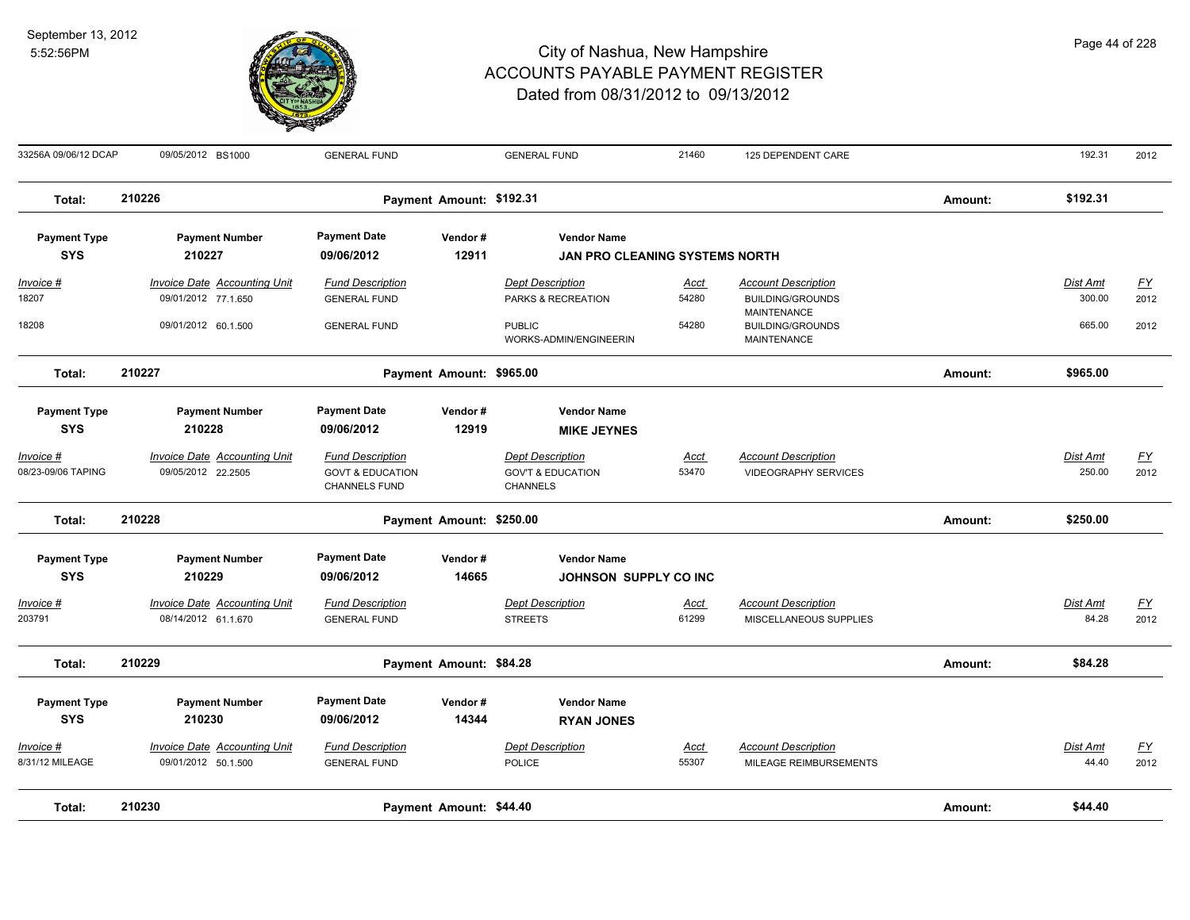

| 33256A 09/06/12 DCAP                 | 09/05/2012 BS1000                                          | <b>GENERAL FUND</b>                                                     |                          | <b>GENERAL FUND</b>                                                        | 21460                | 125 DEPENDENT CARE                                                  |         | 192.31                   | 2012                     |
|--------------------------------------|------------------------------------------------------------|-------------------------------------------------------------------------|--------------------------|----------------------------------------------------------------------------|----------------------|---------------------------------------------------------------------|---------|--------------------------|--------------------------|
| Total:                               | 210226                                                     |                                                                         | Payment Amount: \$192.31 |                                                                            |                      |                                                                     | Amount: | \$192.31                 |                          |
| <b>Payment Type</b>                  | <b>Payment Number</b>                                      | <b>Payment Date</b>                                                     | Vendor#                  | <b>Vendor Name</b>                                                         |                      |                                                                     |         |                          |                          |
| <b>SYS</b>                           | 210227                                                     | 09/06/2012                                                              | 12911                    | <b>JAN PRO CLEANING SYSTEMS NORTH</b>                                      |                      |                                                                     |         |                          |                          |
| Invoice #                            | <b>Invoice Date Accounting Unit</b>                        | <b>Fund Description</b>                                                 |                          | <b>Dept Description</b>                                                    | <b>Acct</b>          | <b>Account Description</b>                                          |         | Dist Amt                 | $\underline{FY}$         |
| 18207                                | 09/01/2012 77.1.650                                        | <b>GENERAL FUND</b>                                                     |                          | PARKS & RECREATION                                                         | 54280                | <b>BUILDING/GROUNDS</b>                                             |         | 300.00                   | 2012                     |
| 18208                                | 09/01/2012 60.1.500                                        | <b>GENERAL FUND</b>                                                     |                          | <b>PUBLIC</b><br>WORKS-ADMIN/ENGINEERIN                                    | 54280                | <b>MAINTENANCE</b><br><b>BUILDING/GROUNDS</b><br><b>MAINTENANCE</b> |         | 665.00                   | 2012                     |
| Total:                               | 210227                                                     |                                                                         | Payment Amount: \$965.00 |                                                                            |                      |                                                                     | Amount: | \$965.00                 |                          |
| <b>Payment Type</b>                  | <b>Payment Number</b>                                      | <b>Payment Date</b>                                                     | Vendor#                  | <b>Vendor Name</b>                                                         |                      |                                                                     |         |                          |                          |
| <b>SYS</b>                           | 210228                                                     | 09/06/2012                                                              | 12919                    | <b>MIKE JEYNES</b>                                                         |                      |                                                                     |         |                          |                          |
| Invoice #<br>08/23-09/06 TAPING      | <b>Invoice Date Accounting Unit</b><br>09/05/2012 22.2505  | <b>Fund Description</b><br><b>GOVT &amp; EDUCATION</b><br>CHANNELS FUND |                          | <b>Dept Description</b><br><b>GOV'T &amp; EDUCATION</b><br><b>CHANNELS</b> | <b>Acct</b><br>53470 | <b>Account Description</b><br><b>VIDEOGRAPHY SERVICES</b>           |         | Dist Amt<br>250.00       | EY<br>2012               |
| Total:                               | 210228                                                     |                                                                         | Payment Amount: \$250.00 |                                                                            |                      |                                                                     | Amount: | \$250.00                 |                          |
| <b>Payment Type</b>                  | <b>Payment Number</b>                                      | <b>Payment Date</b>                                                     | Vendor#                  | <b>Vendor Name</b>                                                         |                      |                                                                     |         |                          |                          |
| <b>SYS</b>                           | 210229                                                     | 09/06/2012                                                              | 14665                    | JOHNSON SUPPLY CO INC                                                      |                      |                                                                     |         |                          |                          |
| <u> Invoice #</u>                    | <b>Invoice Date Accounting Unit</b>                        | <b>Fund Description</b>                                                 |                          | <b>Dept Description</b>                                                    | <u>Acct</u>          | <b>Account Description</b>                                          |         | <b>Dist Amt</b>          | $\underline{FY}$         |
| 203791                               | 08/14/2012 61.1.670                                        | <b>GENERAL FUND</b>                                                     |                          | <b>STREETS</b>                                                             | 61299                | MISCELLANEOUS SUPPLIES                                              |         | 84.28                    | 2012                     |
| Total:                               | 210229                                                     |                                                                         | Payment Amount: \$84.28  |                                                                            |                      |                                                                     | Amount: | \$84.28                  |                          |
| <b>Payment Type</b>                  | <b>Payment Number</b>                                      | <b>Payment Date</b>                                                     | Vendor#                  | <b>Vendor Name</b>                                                         |                      |                                                                     |         |                          |                          |
| <b>SYS</b>                           | 210230                                                     | 09/06/2012                                                              | 14344                    | <b>RYAN JONES</b>                                                          |                      |                                                                     |         |                          |                          |
| <u> Invoice #</u><br>8/31/12 MILEAGE | <b>Invoice Date Accounting Unit</b><br>09/01/2012 50.1.500 | <b>Fund Description</b><br><b>GENERAL FUND</b>                          |                          | <b>Dept Description</b><br><b>POLICE</b>                                   | <u>Acct</u><br>55307 | <b>Account Description</b><br>MILEAGE REIMBURSEMENTS                |         | <b>Dist Amt</b><br>44.40 | $\underline{FY}$<br>2012 |
| Total:                               | 210230                                                     |                                                                         | Payment Amount: \$44.40  |                                                                            |                      |                                                                     | Amount: | \$44.40                  |                          |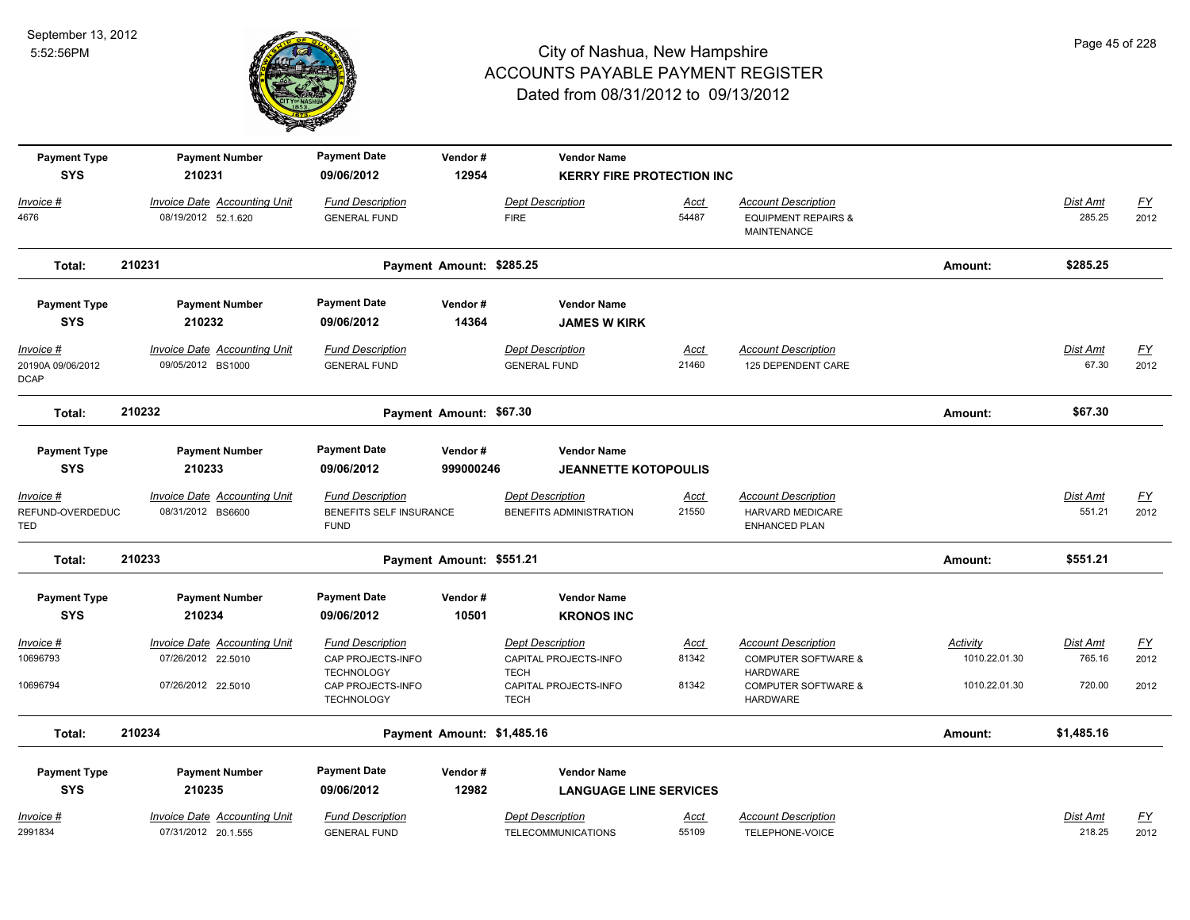

| <b>Payment Type</b><br><b>SYS</b>             | <b>Payment Number</b>                                     | <b>Payment Date</b>                                               | Vendor#                    | <b>Vendor Name</b>                                              |                      |                                                                                 |                           |                           |                   |
|-----------------------------------------------|-----------------------------------------------------------|-------------------------------------------------------------------|----------------------------|-----------------------------------------------------------------|----------------------|---------------------------------------------------------------------------------|---------------------------|---------------------------|-------------------|
|                                               | 210231                                                    | 09/06/2012                                                        | 12954                      | <b>KERRY FIRE PROTECTION INC</b>                                |                      |                                                                                 |                           |                           |                   |
| Invoice #<br>4676                             | Invoice Date Accounting Unit<br>08/19/2012 52.1.620       | <b>Fund Description</b><br><b>GENERAL FUND</b>                    |                            | <b>Dept Description</b><br><b>FIRE</b>                          | <u>Acct</u><br>54487 | <b>Account Description</b><br><b>EQUIPMENT REPAIRS &amp;</b><br>MAINTENANCE     |                           | <b>Dist Amt</b><br>285.25 | EY<br>2012        |
| Total:                                        | 210231                                                    |                                                                   | Payment Amount: \$285.25   |                                                                 |                      |                                                                                 | Amount:                   | \$285.25                  |                   |
| <b>Payment Type</b><br><b>SYS</b>             | <b>Payment Number</b><br>210232                           | <b>Payment Date</b><br>09/06/2012                                 | Vendor#<br>14364           | <b>Vendor Name</b><br><b>JAMES W KIRK</b>                       |                      |                                                                                 |                           |                           |                   |
| Invoice #<br>20190A 09/06/2012<br><b>DCAP</b> | <b>Invoice Date Accounting Unit</b><br>09/05/2012 BS1000  | <b>Fund Description</b><br><b>GENERAL FUND</b>                    |                            | <b>Dept Description</b><br><b>GENERAL FUND</b>                  | Acct<br>21460        | <b>Account Description</b><br>125 DEPENDENT CARE                                |                           | <b>Dist Amt</b><br>67.30  | EY<br>2012        |
| Total:                                        | 210232                                                    |                                                                   | Payment Amount: \$67.30    |                                                                 |                      |                                                                                 | Amount:                   | \$67.30                   |                   |
| <b>Payment Type</b><br><b>SYS</b>             | <b>Payment Number</b><br>210233                           | <b>Payment Date</b><br>09/06/2012                                 | Vendor#<br>999000246       | <b>Vendor Name</b><br><b>JEANNETTE KOTOPOULIS</b>               |                      |                                                                                 |                           |                           |                   |
| Invoice #<br>REFUND-OVERDEDUC<br>TED          | <b>Invoice Date Accounting Unit</b><br>08/31/2012 BS6600  | <b>Fund Description</b><br>BENEFITS SELF INSURANCE<br><b>FUND</b> |                            | <b>Dept Description</b><br>BENEFITS ADMINISTRATION              | <u>Acct</u><br>21550 | <b>Account Description</b><br><b>HARVARD MEDICARE</b><br><b>ENHANCED PLAN</b>   |                           | <b>Dist Amt</b><br>551.21 | <u>FY</u><br>2012 |
| Total:                                        | 210233                                                    |                                                                   | Payment Amount: \$551.21   |                                                                 |                      |                                                                                 | Amount:                   | \$551.21                  |                   |
| <b>Payment Type</b>                           | <b>Payment Number</b>                                     | <b>Payment Date</b>                                               | Vendor#                    | <b>Vendor Name</b>                                              |                      |                                                                                 |                           |                           |                   |
| <b>SYS</b>                                    | 210234                                                    | 09/06/2012                                                        | 10501                      | <b>KRONOS INC</b>                                               |                      |                                                                                 |                           |                           |                   |
| <u> Invoice #</u><br>10696793                 | <b>Invoice Date Accounting Unit</b><br>07/26/2012 22.5010 | <b>Fund Description</b><br>CAP PROJECTS-INFO<br><b>TECHNOLOGY</b> |                            | <b>Dept Description</b><br>CAPITAL PROJECTS-INFO<br><b>TECH</b> | <u>Acct</u><br>81342 | <b>Account Description</b><br><b>COMPUTER SOFTWARE &amp;</b><br><b>HARDWARE</b> | Activity<br>1010.22.01.30 | Dist Amt<br>765.16        | <u>FY</u><br>2012 |
| 10696794                                      | 07/26/2012 22.5010                                        | CAP PROJECTS-INFO<br><b>TECHNOLOGY</b>                            |                            | CAPITAL PROJECTS-INFO<br><b>TECH</b>                            | 81342                | <b>COMPUTER SOFTWARE &amp;</b><br><b>HARDWARE</b>                               | 1010.22.01.30             | 720.00                    | 2012              |
| Total:                                        | 210234                                                    |                                                                   | Payment Amount: \$1,485.16 |                                                                 |                      |                                                                                 | Amount:                   | \$1,485.16                |                   |
| <b>Payment Type</b>                           | <b>Payment Number</b>                                     | <b>Payment Date</b>                                               | Vendor#                    | <b>Vendor Name</b>                                              |                      |                                                                                 |                           |                           |                   |
| <b>SYS</b>                                    | 210235                                                    | 09/06/2012                                                        | 12982                      | <b>LANGUAGE LINE SERVICES</b>                                   |                      |                                                                                 |                           |                           |                   |
| Invoice #                                     | <b>Invoice Date Accounting Unit</b>                       | <b>Fund Description</b>                                           |                            | <b>Dept Description</b>                                         | <u>Acct</u>          | <b>Account Description</b>                                                      |                           | Dist Amt                  | $\underline{FY}$  |
| 2991834                                       | 07/31/2012 20.1.555                                       | <b>GENERAL FUND</b>                                               |                            | <b>TELECOMMUNICATIONS</b>                                       | 55109                | TELEPHONE-VOICE                                                                 |                           | 218.25                    | 2012              |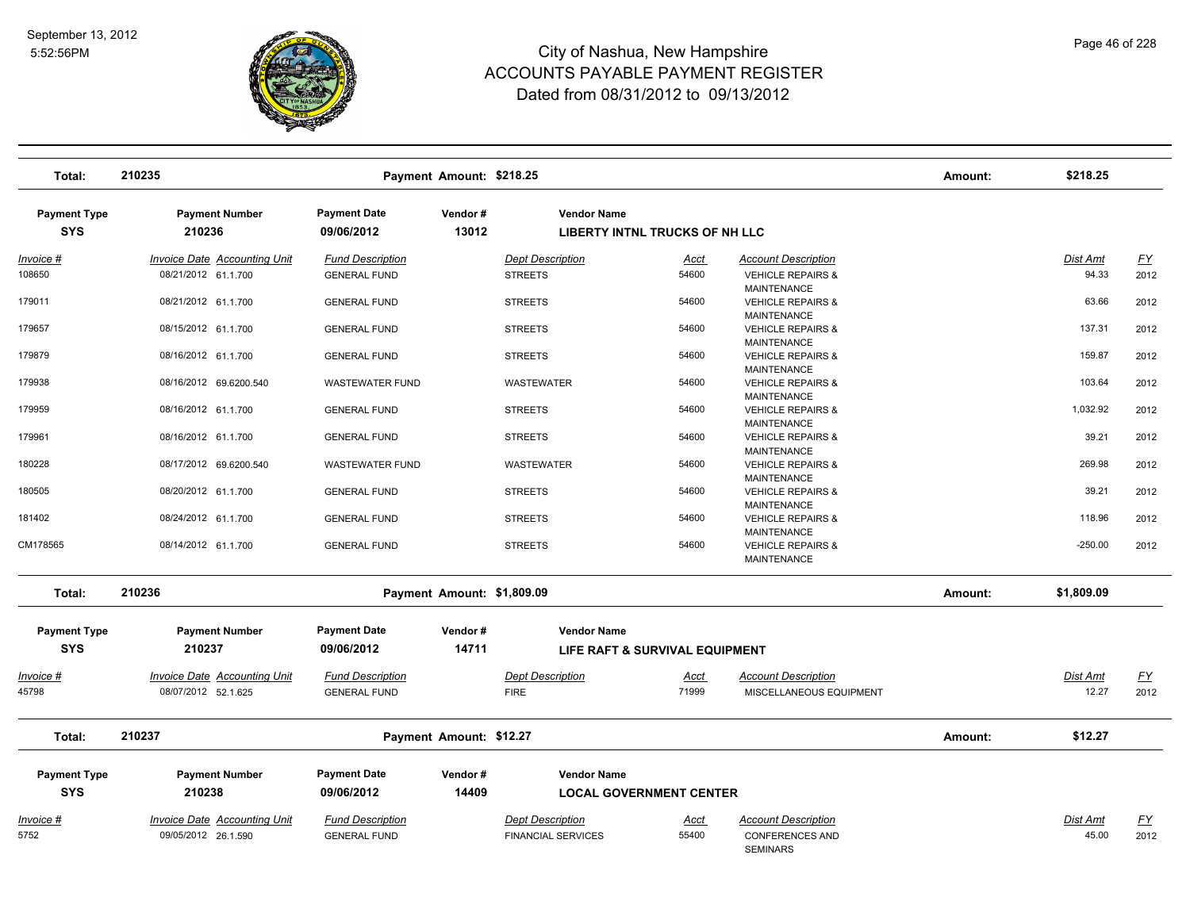

| Total:              | 210235                              |                         | Payment Amount: \$218.25   |                           |                                |                                                    | Amount: | \$218.25   |                  |
|---------------------|-------------------------------------|-------------------------|----------------------------|---------------------------|--------------------------------|----------------------------------------------------|---------|------------|------------------|
| <b>Payment Type</b> | <b>Payment Number</b>               | <b>Payment Date</b>     | Vendor#                    | <b>Vendor Name</b>        |                                |                                                    |         |            |                  |
| <b>SYS</b>          | 210236                              | 09/06/2012              | 13012                      |                           | LIBERTY INTNL TRUCKS OF NH LLC |                                                    |         |            |                  |
| <u> Invoice #</u>   | <b>Invoice Date Accounting Unit</b> | <b>Fund Description</b> |                            | <b>Dept Description</b>   | <u>Acct</u>                    | <b>Account Description</b>                         |         | Dist Amt   | $\underline{FY}$ |
| 108650              | 08/21/2012 61.1.700                 | <b>GENERAL FUND</b>     |                            | <b>STREETS</b>            | 54600                          | <b>VEHICLE REPAIRS &amp;</b>                       |         | 94.33      | 2012             |
|                     |                                     |                         |                            |                           |                                | <b>MAINTENANCE</b>                                 |         |            |                  |
| 179011              | 08/21/2012 61.1.700                 | <b>GENERAL FUND</b>     |                            | <b>STREETS</b>            | 54600                          | <b>VEHICLE REPAIRS &amp;</b>                       |         | 63.66      | 2012             |
|                     |                                     |                         |                            |                           |                                | <b>MAINTENANCE</b>                                 |         |            |                  |
| 179657              | 08/15/2012 61.1.700                 | <b>GENERAL FUND</b>     |                            | <b>STREETS</b>            | 54600                          | <b>VEHICLE REPAIRS &amp;</b>                       |         | 137.31     | 2012             |
|                     |                                     |                         |                            |                           | 54600                          | MAINTENANCE                                        |         | 159.87     |                  |
| 179879              | 08/16/2012 61.1.700                 | <b>GENERAL FUND</b>     |                            | <b>STREETS</b>            |                                | <b>VEHICLE REPAIRS &amp;</b><br><b>MAINTENANCE</b> |         |            | 2012             |
| 179938              | 08/16/2012 69.6200.540              | <b>WASTEWATER FUND</b>  |                            | <b>WASTEWATER</b>         | 54600                          | <b>VEHICLE REPAIRS &amp;</b>                       |         | 103.64     | 2012             |
|                     |                                     |                         |                            |                           |                                | <b>MAINTENANCE</b>                                 |         |            |                  |
| 179959              | 08/16/2012 61.1.700                 | <b>GENERAL FUND</b>     |                            | <b>STREETS</b>            | 54600                          | <b>VEHICLE REPAIRS &amp;</b>                       |         | 1,032.92   | 2012             |
|                     |                                     |                         |                            |                           |                                | MAINTENANCE                                        |         |            |                  |
| 179961              | 08/16/2012 61.1.700                 | <b>GENERAL FUND</b>     |                            | <b>STREETS</b>            | 54600                          | <b>VEHICLE REPAIRS &amp;</b>                       |         | 39.21      | 2012             |
|                     |                                     |                         |                            |                           |                                | <b>MAINTENANCE</b>                                 |         |            |                  |
| 180228              | 08/17/2012 69.6200.540              | <b>WASTEWATER FUND</b>  |                            | <b>WASTEWATER</b>         | 54600                          | <b>VEHICLE REPAIRS &amp;</b>                       |         | 269.98     | 2012             |
|                     |                                     |                         |                            |                           |                                | <b>MAINTENANCE</b>                                 |         |            |                  |
| 180505              | 08/20/2012 61.1.700                 | <b>GENERAL FUND</b>     |                            | <b>STREETS</b>            | 54600                          | <b>VEHICLE REPAIRS &amp;</b>                       |         | 39.21      | 2012             |
|                     |                                     |                         |                            |                           |                                | MAINTENANCE                                        |         |            |                  |
| 181402              | 08/24/2012 61.1.700                 | <b>GENERAL FUND</b>     |                            | <b>STREETS</b>            | 54600                          | <b>VEHICLE REPAIRS &amp;</b>                       |         | 118.96     | 2012             |
| CM178565            |                                     |                         |                            |                           | 54600                          | <b>MAINTENANCE</b>                                 |         | $-250.00$  |                  |
|                     | 08/14/2012 61.1.700                 | <b>GENERAL FUND</b>     |                            | <b>STREETS</b>            |                                | <b>VEHICLE REPAIRS &amp;</b><br><b>MAINTENANCE</b> |         |            | 2012             |
|                     |                                     |                         |                            |                           |                                |                                                    |         |            |                  |
| Total:              | 210236                              |                         | Payment Amount: \$1,809.09 |                           |                                |                                                    | Amount: | \$1,809.09 |                  |
|                     |                                     |                         |                            |                           |                                |                                                    |         |            |                  |
| <b>Payment Type</b> | <b>Payment Number</b>               | <b>Payment Date</b>     | Vendor#                    | <b>Vendor Name</b>        |                                |                                                    |         |            |                  |
| <b>SYS</b>          | 210237                              | 09/06/2012              | 14711                      |                           | LIFE RAFT & SURVIVAL EQUIPMENT |                                                    |         |            |                  |
|                     |                                     |                         |                            |                           |                                |                                                    |         |            |                  |
| <u>Invoice #</u>    | <b>Invoice Date Accounting Unit</b> | <b>Fund Description</b> |                            | <b>Dept Description</b>   | <u>Acct</u>                    | <b>Account Description</b>                         |         | Dist Amt   | <u>FY</u>        |
| 45798               | 08/07/2012 52.1.625                 | <b>GENERAL FUND</b>     |                            | <b>FIRE</b>               | 71999                          | MISCELLANEOUS EQUIPMENT                            |         | 12.27      | 2012             |
|                     |                                     |                         |                            |                           |                                |                                                    |         |            |                  |
| Total:              | 210237                              |                         | Payment Amount: \$12.27    |                           |                                |                                                    | Amount: | \$12.27    |                  |
|                     |                                     |                         |                            |                           |                                |                                                    |         |            |                  |
| <b>Payment Type</b> | <b>Payment Number</b>               | <b>Payment Date</b>     | Vendor#                    | <b>Vendor Name</b>        |                                |                                                    |         |            |                  |
|                     |                                     |                         |                            |                           |                                |                                                    |         |            |                  |
| <b>SYS</b>          | 210238                              | 09/06/2012              | 14409                      |                           | <b>LOCAL GOVERNMENT CENTER</b> |                                                    |         |            |                  |
| <u> Invoice #</u>   | <b>Invoice Date Accounting Unit</b> | <b>Fund Description</b> |                            | <b>Dept Description</b>   | <u>Acct</u>                    | <b>Account Description</b>                         |         | Dist Amt   | <u>FY</u>        |
| 5752                | 09/05/2012 26.1.590                 | <b>GENERAL FUND</b>     |                            | <b>FINANCIAL SERVICES</b> | 55400                          | <b>CONFERENCES AND</b>                             |         | 45.00      | 2012             |
|                     |                                     |                         |                            |                           |                                | <b>SEMINARS</b>                                    |         |            |                  |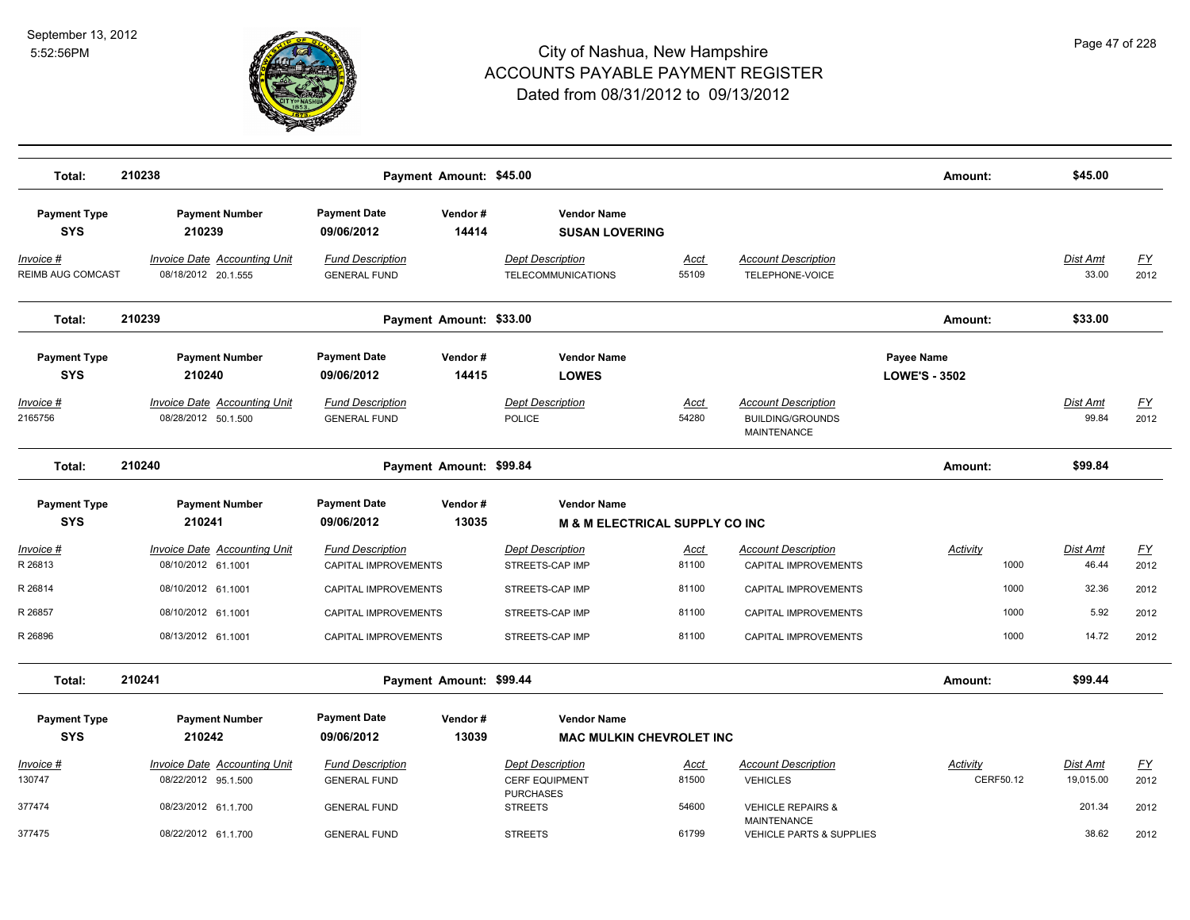

| Total:                            | 210238                                                     |                                                 | Payment Amount: \$45.00 |                                                                      |                      |                                                                             | Amount:                            | \$45.00                      |                                   |
|-----------------------------------|------------------------------------------------------------|-------------------------------------------------|-------------------------|----------------------------------------------------------------------|----------------------|-----------------------------------------------------------------------------|------------------------------------|------------------------------|-----------------------------------|
| <b>Payment Type</b><br><b>SYS</b> | <b>Payment Number</b><br>210239                            | <b>Payment Date</b><br>09/06/2012               | Vendor#<br>14414        | <b>Vendor Name</b><br><b>SUSAN LOVERING</b>                          |                      |                                                                             |                                    |                              |                                   |
| Invoice #<br>REIMB AUG COMCAST    | Invoice Date Accounting Unit<br>08/18/2012 20.1.555        | <b>Fund Description</b><br><b>GENERAL FUND</b>  |                         | <b>Dept Description</b><br>TELECOMMUNICATIONS                        | Acct<br>55109        | <b>Account Description</b><br>TELEPHONE-VOICE                               |                                    | Dist Amt<br>33.00            | $\underline{FY}$<br>2012          |
| Total:                            | 210239                                                     |                                                 | Payment Amount: \$33.00 |                                                                      |                      |                                                                             | Amount:                            | \$33.00                      |                                   |
| <b>Payment Type</b><br><b>SYS</b> | <b>Payment Number</b><br>210240                            | <b>Payment Date</b><br>09/06/2012               | Vendor#<br>14415        | <b>Vendor Name</b><br><b>LOWES</b>                                   |                      |                                                                             | Payee Name<br><b>LOWE'S - 3502</b> |                              |                                   |
| <u>Invoice #</u><br>2165756       | <b>Invoice Date Accounting Unit</b><br>08/28/2012 50.1.500 | <b>Fund Description</b><br><b>GENERAL FUND</b>  |                         | <b>Dept Description</b><br><b>POLICE</b>                             | <u>Acct</u><br>54280 | <b>Account Description</b><br><b>BUILDING/GROUNDS</b><br><b>MAINTENANCE</b> |                                    | <b>Dist Amt</b><br>99.84     | <u>FY</u><br>2012                 |
| Total:                            | 210240                                                     |                                                 | Payment Amount: \$99.84 |                                                                      |                      |                                                                             | Amount:                            | \$99.84                      |                                   |
| <b>Payment Type</b><br><b>SYS</b> | <b>Payment Number</b><br>210241                            | <b>Payment Date</b><br>09/06/2012               | Vendor#<br>13035        | <b>Vendor Name</b><br><b>M &amp; M ELECTRICAL SUPPLY CO INC.</b>     |                      |                                                                             |                                    |                              |                                   |
| Invoice #<br>R 26813              | <b>Invoice Date Accounting Unit</b><br>08/10/2012 61.1001  | <b>Fund Description</b><br>CAPITAL IMPROVEMENTS |                         | <b>Dept Description</b><br>STREETS-CAP IMP                           | Acct<br>81100        | <b>Account Description</b><br>CAPITAL IMPROVEMENTS                          | Activity<br>1000                   | Dist Amt<br>46.44            | $\underline{FY}$<br>2012          |
| R 26814                           | 08/10/2012 61.1001                                         | CAPITAL IMPROVEMENTS                            |                         | STREETS-CAP IMP                                                      | 81100                | <b>CAPITAL IMPROVEMENTS</b>                                                 | 1000                               | 32.36                        | 2012                              |
| R 26857                           | 08/10/2012 61.1001                                         | CAPITAL IMPROVEMENTS                            |                         | STREETS-CAP IMP                                                      | 81100                | CAPITAL IMPROVEMENTS                                                        | 1000                               | 5.92                         | 2012                              |
| R 26896                           | 08/13/2012 61.1001                                         | CAPITAL IMPROVEMENTS                            |                         | STREETS-CAP IMP                                                      | 81100                | CAPITAL IMPROVEMENTS                                                        | 1000                               | 14.72                        | 2012                              |
| Total:                            | 210241                                                     |                                                 | Payment Amount: \$99.44 |                                                                      |                      |                                                                             | Amount:                            | \$99.44                      |                                   |
| <b>Payment Type</b>               | <b>Payment Number</b>                                      | <b>Payment Date</b>                             | Vendor#                 | <b>Vendor Name</b>                                                   |                      |                                                                             |                                    |                              |                                   |
| <b>SYS</b>                        | 210242                                                     | 09/06/2012                                      | 13039                   | <b>MAC MULKIN CHEVROLET INC</b>                                      |                      |                                                                             |                                    |                              |                                   |
| <u> Invoice #</u><br>130747       | <b>Invoice Date Accounting Unit</b><br>08/22/2012 95.1.500 | <b>Fund Description</b><br><b>GENERAL FUND</b>  |                         | <b>Dept Description</b><br><b>CERF EQUIPMENT</b><br><b>PURCHASES</b> | <u>Acct</u><br>81500 | <b>Account Description</b><br><b>VEHICLES</b>                               | <b>Activity</b><br>CERF50.12       | <u>Dist Amt</u><br>19,015.00 | $\underline{\mathsf{FY}}$<br>2012 |
| 377474                            | 08/23/2012 61.1.700                                        | <b>GENERAL FUND</b>                             |                         | <b>STREETS</b>                                                       | 54600                | <b>VEHICLE REPAIRS &amp;</b><br><b>MAINTENANCE</b>                          |                                    | 201.34                       | 2012                              |
| 377475                            | 08/22/2012 61.1.700                                        | <b>GENERAL FUND</b>                             |                         | <b>STREETS</b>                                                       | 61799                | <b>VEHICLE PARTS &amp; SUPPLIES</b>                                         |                                    | 38.62                        | 2012                              |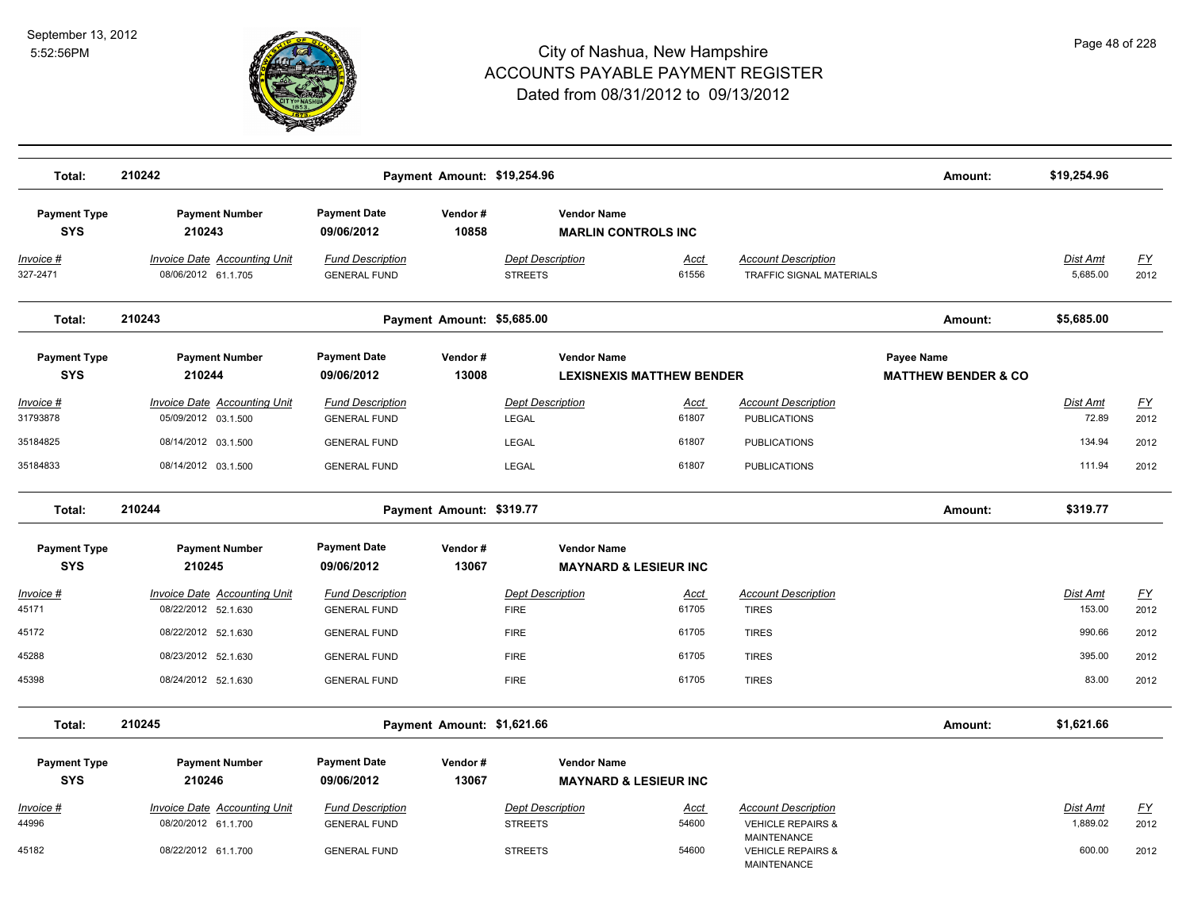

| Total:                            | 210242                                                     |                                                | Payment Amount: \$19,254.96 |                                                  |                                  |                                                               | Amount:                                      | \$19,254.96              |                   |
|-----------------------------------|------------------------------------------------------------|------------------------------------------------|-----------------------------|--------------------------------------------------|----------------------------------|---------------------------------------------------------------|----------------------------------------------|--------------------------|-------------------|
| <b>Payment Type</b><br><b>SYS</b> | <b>Payment Number</b><br>210243                            | <b>Payment Date</b><br>09/06/2012              | Vendor#<br>10858            | <b>Vendor Name</b><br><b>MARLIN CONTROLS INC</b> |                                  |                                                               |                                              |                          |                   |
| Invoice #<br>327-2471             | Invoice Date Accounting Unit<br>08/06/2012 61.1.705        | <b>Fund Description</b><br><b>GENERAL FUND</b> |                             | <b>Dept Description</b><br><b>STREETS</b>        | Acct<br>61556                    | <b>Account Description</b><br><b>TRAFFIC SIGNAL MATERIALS</b> |                                              | Dist Amt<br>5,685.00     | EY<br>2012        |
| Total:                            | 210243                                                     |                                                | Payment Amount: \$5,685.00  |                                                  |                                  |                                                               | Amount:                                      | \$5,685.00               |                   |
| <b>Payment Type</b><br><b>SYS</b> | <b>Payment Number</b><br>210244                            | <b>Payment Date</b><br>09/06/2012              | Vendor#<br>13008            | <b>Vendor Name</b>                               | <b>LEXISNEXIS MATTHEW BENDER</b> |                                                               | Payee Name<br><b>MATTHEW BENDER &amp; CO</b> |                          |                   |
| <u> Invoice #</u><br>31793878     | <b>Invoice Date Accounting Unit</b><br>05/09/2012 03.1.500 | <b>Fund Description</b><br><b>GENERAL FUND</b> |                             | <b>Dept Description</b><br><b>LEGAL</b>          | Acct<br>61807                    | <b>Account Description</b><br><b>PUBLICATIONS</b>             |                                              | <b>Dist Amt</b><br>72.89 | <u>FY</u><br>2012 |
| 35184825                          | 08/14/2012 03.1.500                                        | <b>GENERAL FUND</b>                            |                             | <b>LEGAL</b>                                     | 61807                            | <b>PUBLICATIONS</b>                                           |                                              | 134.94                   | 2012              |
| 35184833                          | 08/14/2012 03.1.500                                        | <b>GENERAL FUND</b>                            |                             | <b>LEGAL</b>                                     | 61807                            | <b>PUBLICATIONS</b>                                           |                                              | 111.94                   | 2012              |
| Total:                            | 210244                                                     |                                                | Payment Amount: \$319.77    |                                                  |                                  |                                                               | Amount:                                      | \$319.77                 |                   |
| <b>Payment Type</b>               | <b>Payment Number</b>                                      | <b>Payment Date</b>                            | Vendor#                     | <b>Vendor Name</b>                               |                                  |                                                               |                                              |                          |                   |
| <b>SYS</b>                        | 210245                                                     | 09/06/2012                                     | 13067                       |                                                  | <b>MAYNARD &amp; LESIEUR INC</b> |                                                               |                                              |                          |                   |
| Invoice #<br>45171                | <b>Invoice Date Accounting Unit</b><br>08/22/2012 52.1.630 | <b>Fund Description</b><br><b>GENERAL FUND</b> |                             | <b>Dept Description</b><br><b>FIRE</b>           | Acct<br>61705                    | <b>Account Description</b><br><b>TIRES</b>                    |                                              | Dist Amt<br>153.00       | EY<br>2012        |
| 45172                             | 08/22/2012 52.1.630                                        | <b>GENERAL FUND</b>                            |                             | <b>FIRE</b>                                      | 61705                            | <b>TIRES</b>                                                  |                                              | 990.66                   | 2012              |
| 45288                             | 08/23/2012 52.1.630                                        | <b>GENERAL FUND</b>                            |                             | <b>FIRE</b>                                      | 61705                            | <b>TIRES</b>                                                  |                                              | 395.00                   | 2012              |
| 45398                             | 08/24/2012 52.1.630                                        | <b>GENERAL FUND</b>                            |                             | <b>FIRE</b>                                      | 61705                            | <b>TIRES</b>                                                  |                                              | 83.00                    | 2012              |
| Total:                            | 210245                                                     |                                                | Payment Amount: \$1,621.66  |                                                  |                                  |                                                               | Amount:                                      | \$1,621.66               |                   |
| <b>Payment Type</b><br><b>SYS</b> | <b>Payment Number</b><br>210246                            | <b>Payment Date</b><br>09/06/2012              | Vendor#<br>13067            | <b>Vendor Name</b>                               | <b>MAYNARD &amp; LESIEUR INC</b> |                                                               |                                              |                          |                   |
| Invoice #                         | Invoice Date Accounting Unit                               | <b>Fund Description</b>                        |                             | <b>Dept Description</b>                          | <u>Acct</u>                      | <b>Account Description</b>                                    |                                              | Dist Amt                 | <u>FY</u>         |
| 44996                             | 08/20/2012 61.1.700                                        | <b>GENERAL FUND</b>                            |                             | <b>STREETS</b>                                   | 54600                            | <b>VEHICLE REPAIRS &amp;</b><br><b>MAINTENANCE</b>            |                                              | 1,889.02                 | 2012              |
| 45182                             | 08/22/2012 61.1.700                                        | <b>GENERAL FUND</b>                            |                             | <b>STREETS</b>                                   | 54600                            | <b>VEHICLE REPAIRS &amp;</b><br><b>MAINTENANCE</b>            |                                              | 600.00                   | 2012              |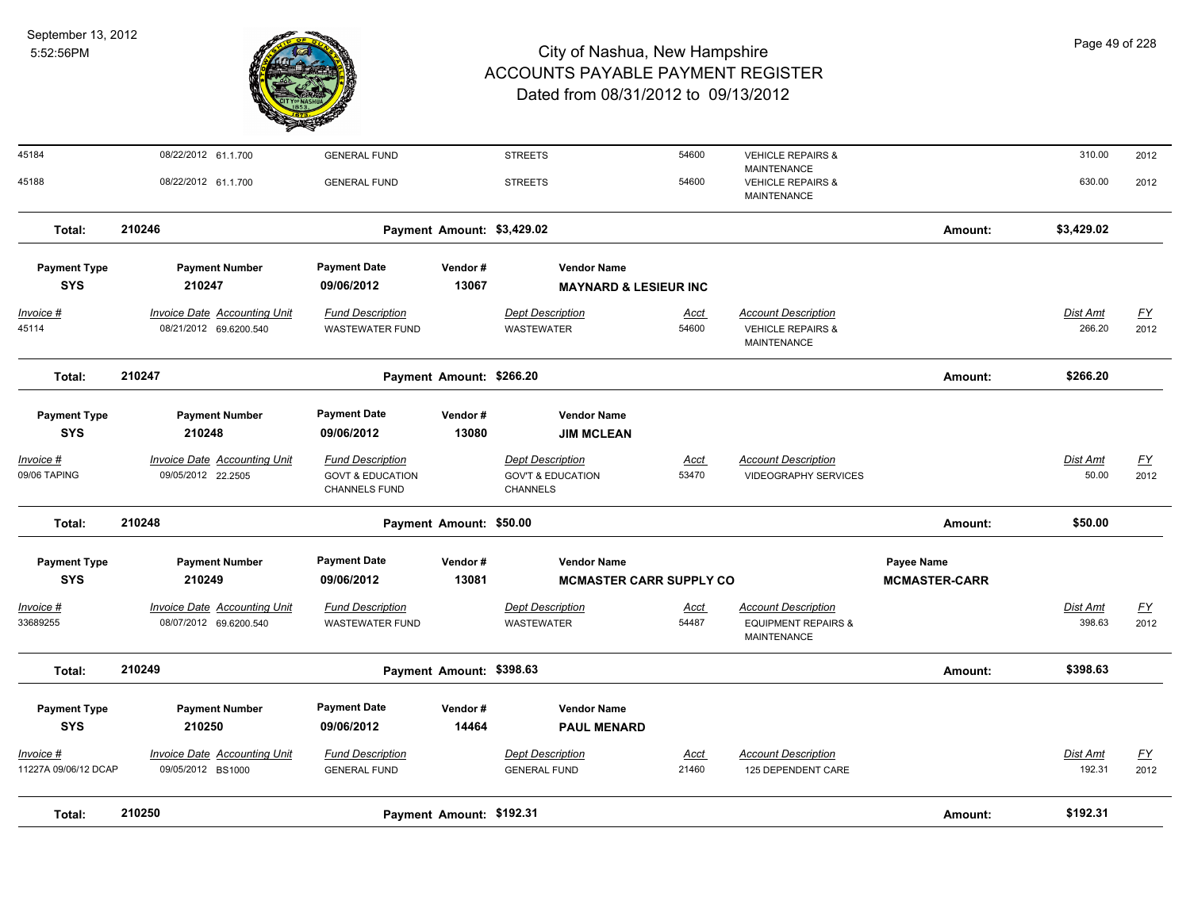

| Total:                            | 210250                                                        |                                                                         | Payment Amount: \$192.31   |                                                                            |                      |                                                                                  | Amount:                                   | \$192.31                 |                                   |
|-----------------------------------|---------------------------------------------------------------|-------------------------------------------------------------------------|----------------------------|----------------------------------------------------------------------------|----------------------|----------------------------------------------------------------------------------|-------------------------------------------|--------------------------|-----------------------------------|
| Invoice #<br>11227A 09/06/12 DCAP | Invoice Date Accounting Unit<br>09/05/2012 BS1000             | <b>Fund Description</b><br><b>GENERAL FUND</b>                          |                            | <b>Dept Description</b><br><b>GENERAL FUND</b>                             | Acct<br>21460        | <b>Account Description</b><br>125 DEPENDENT CARE                                 |                                           | Dist Amt<br>192.31       | <u>FY</u><br>2012                 |
| <b>Payment Type</b><br><b>SYS</b> | <b>Payment Number</b><br>210250                               | <b>Payment Date</b><br>09/06/2012                                       | Vendor#<br>14464           | <b>Vendor Name</b><br><b>PAUL MENARD</b>                                   |                      |                                                                                  |                                           |                          |                                   |
| Total:                            | 210249                                                        |                                                                         | Payment Amount: \$398.63   |                                                                            |                      |                                                                                  | Amount:                                   | \$398.63                 |                                   |
| <u> Invoice #</u><br>33689255     | <b>Invoice Date Accounting Unit</b><br>08/07/2012 69.6200.540 | <b>Fund Description</b><br><b>WASTEWATER FUND</b>                       |                            | <b>Dept Description</b><br>WASTEWATER                                      | <u>Acct</u><br>54487 | <b>Account Description</b><br><b>EQUIPMENT REPAIRS &amp;</b><br>MAINTENANCE      |                                           | Dist Amt<br>398.63       | EY<br>2012                        |
| <b>Payment Type</b><br><b>SYS</b> | <b>Payment Number</b><br>210249                               | <b>Payment Date</b><br>09/06/2012                                       | Vendor#<br>13081           | <b>Vendor Name</b><br><b>MCMASTER CARR SUPPLY CO</b>                       |                      |                                                                                  | <b>Payee Name</b><br><b>MCMASTER-CARR</b> |                          |                                   |
| Total:                            | 210248                                                        |                                                                         | Payment Amount: \$50.00    |                                                                            |                      |                                                                                  | Amount:                                   | \$50.00                  |                                   |
| Invoice #<br>09/06 TAPING         | <b>Invoice Date Accounting Unit</b><br>09/05/2012 22.2505     | <b>Fund Description</b><br><b>GOVT &amp; EDUCATION</b><br>CHANNELS FUND |                            | <b>Dept Description</b><br><b>GOV'T &amp; EDUCATION</b><br><b>CHANNELS</b> | Acct<br>53470        | <b>Account Description</b><br><b>VIDEOGRAPHY SERVICES</b>                        |                                           | <b>Dist Amt</b><br>50.00 | <u>FY</u><br>2012                 |
| <b>Payment Type</b><br><b>SYS</b> | <b>Payment Number</b><br>210248                               | <b>Payment Date</b><br>09/06/2012                                       | Vendor#<br>13080           | <b>Vendor Name</b><br><b>JIM MCLEAN</b>                                    |                      |                                                                                  |                                           |                          |                                   |
| Total:                            | 210247                                                        |                                                                         | Payment Amount: \$266.20   |                                                                            |                      |                                                                                  | Amount:                                   | \$266.20                 |                                   |
| <u> Invoice #</u><br>45114        | <b>Invoice Date Accounting Unit</b><br>08/21/2012 69.6200.540 | <b>Fund Description</b><br><b>WASTEWATER FUND</b>                       |                            | <b>Dept Description</b><br><b>WASTEWATER</b>                               | <u>Acct</u><br>54600 | <b>Account Description</b><br><b>VEHICLE REPAIRS &amp;</b><br><b>MAINTENANCE</b> |                                           | Dist Amt<br>266.20       | $\underline{\mathsf{FY}}$<br>2012 |
| <b>Payment Type</b><br><b>SYS</b> | <b>Payment Number</b><br>210247                               | <b>Payment Date</b><br>09/06/2012                                       | Vendor#<br>13067           | <b>Vendor Name</b><br><b>MAYNARD &amp; LESIEUR INC</b>                     |                      |                                                                                  |                                           |                          |                                   |
| Total:                            | 210246                                                        |                                                                         | Payment Amount: \$3,429.02 |                                                                            |                      |                                                                                  | Amount:                                   | \$3,429.02               |                                   |
| 45188                             | 08/22/2012 61.1.700                                           | <b>GENERAL FUND</b>                                                     |                            | <b>STREETS</b>                                                             | 54600                | MAINTENANCE<br><b>VEHICLE REPAIRS &amp;</b><br>MAINTENANCE                       |                                           | 630.00                   | 2012                              |
| 45184                             | 08/22/2012 61.1.700                                           | <b>GENERAL FUND</b>                                                     |                            | <b>STREETS</b>                                                             | 54600                | <b>VEHICLE REPAIRS &amp;</b>                                                     |                                           | 310.00                   | 2012                              |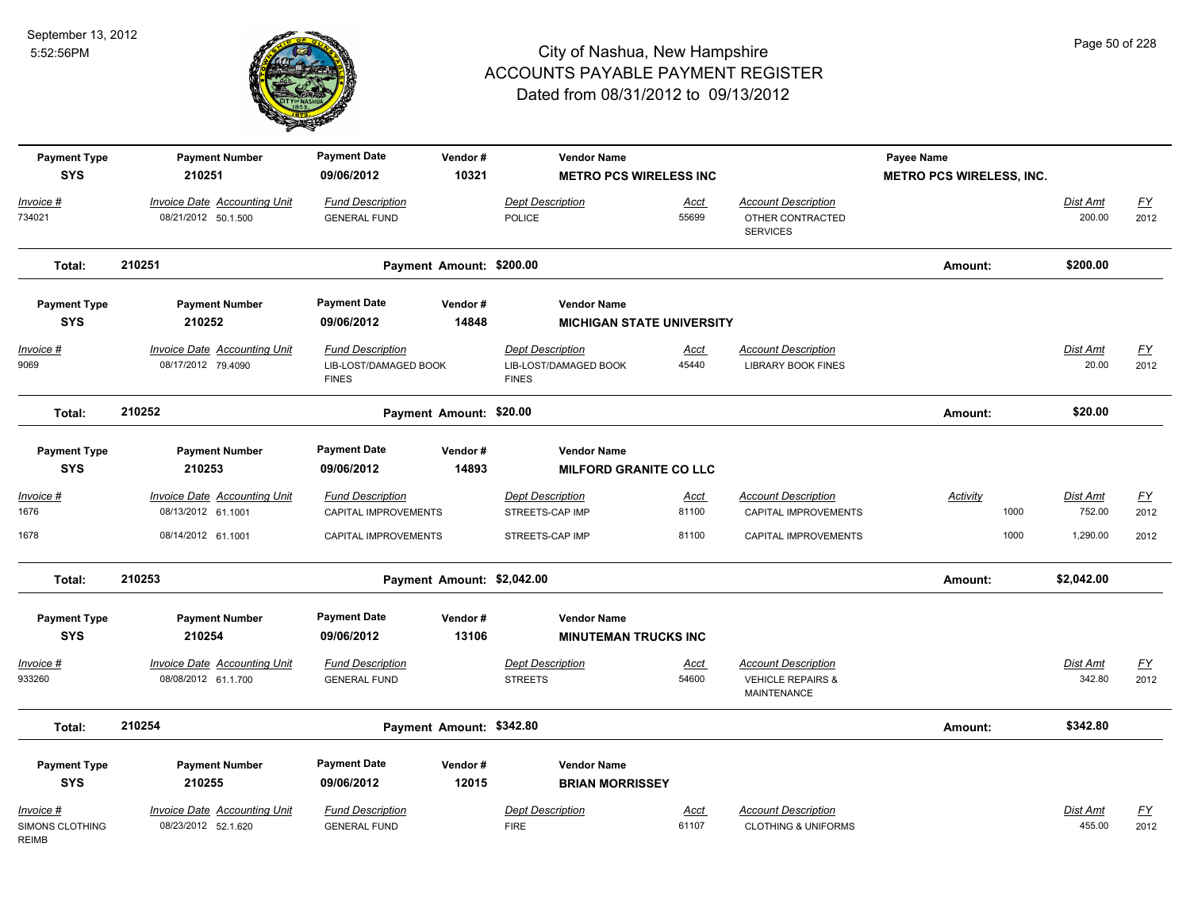

| <b>Payment Type</b><br><b>SYS</b>                   | <b>Payment Number</b><br>210251                            | <b>Payment Date</b><br>09/06/2012                                | Vendor#<br>10321           | <b>Vendor Name</b><br><b>METRO PCS WIRELESS INC</b>              |                      |                                                                                  | Payee Name<br><b>METRO PCS WIRELESS, INC.</b> |                           |                                   |
|-----------------------------------------------------|------------------------------------------------------------|------------------------------------------------------------------|----------------------------|------------------------------------------------------------------|----------------------|----------------------------------------------------------------------------------|-----------------------------------------------|---------------------------|-----------------------------------|
| Invoice #<br>734021                                 | Invoice Date Accounting Unit<br>08/21/2012 50.1.500        | <b>Fund Description</b><br><b>GENERAL FUND</b>                   |                            | Dept Description<br>POLICE                                       | Acct<br>55699        | <b>Account Description</b><br>OTHER CONTRACTED<br><b>SERVICES</b>                |                                               | Dist Amt<br>200.00        | $\underline{\mathsf{FY}}$<br>2012 |
| Total:                                              | 210251                                                     |                                                                  | Payment Amount: \$200.00   |                                                                  |                      |                                                                                  | Amount:                                       | \$200.00                  |                                   |
| <b>Payment Type</b><br><b>SYS</b>                   | <b>Payment Number</b><br>210252                            | <b>Payment Date</b><br>09/06/2012                                | Vendor#<br>14848           | <b>Vendor Name</b><br><b>MICHIGAN STATE UNIVERSITY</b>           |                      |                                                                                  |                                               |                           |                                   |
| Invoice #<br>9069                                   | <b>Invoice Date Accounting Unit</b><br>08/17/2012 79.4090  | <b>Fund Description</b><br>LIB-LOST/DAMAGED BOOK<br><b>FINES</b> |                            | <b>Dept Description</b><br>LIB-LOST/DAMAGED BOOK<br><b>FINES</b> | Acct<br>45440        | <b>Account Description</b><br><b>LIBRARY BOOK FINES</b>                          |                                               | Dist Amt<br>20.00         | <u>FY</u><br>2012                 |
| Total:                                              | 210252                                                     |                                                                  | Payment Amount: \$20.00    |                                                                  |                      |                                                                                  | Amount:                                       | \$20.00                   |                                   |
| <b>Payment Type</b><br><b>SYS</b>                   | <b>Payment Number</b><br>210253                            | <b>Payment Date</b><br>09/06/2012                                | Vendor#<br>14893           | <b>Vendor Name</b><br><b>MILFORD GRANITE CO LLC</b>              |                      |                                                                                  |                                               |                           |                                   |
| $Invoice$ #<br>1676                                 | <b>Invoice Date Accounting Unit</b><br>08/13/2012 61.1001  | <b>Fund Description</b><br>CAPITAL IMPROVEMENTS                  |                            | <b>Dept Description</b><br>STREETS-CAP IMP                       | <u>Acct</u><br>81100 | <b>Account Description</b><br>CAPITAL IMPROVEMENTS                               | <b>Activity</b><br>1000                       | <b>Dist Amt</b><br>752.00 | <u>FY</u><br>2012                 |
| 1678                                                | 08/14/2012 61.1001                                         | CAPITAL IMPROVEMENTS                                             |                            | STREETS-CAP IMP                                                  | 81100                | CAPITAL IMPROVEMENTS                                                             | 1000                                          | 1,290.00                  | 2012                              |
| Total:                                              | 210253                                                     |                                                                  | Payment Amount: \$2,042.00 |                                                                  |                      |                                                                                  | Amount:                                       | \$2,042.00                |                                   |
| <b>Payment Type</b><br><b>SYS</b>                   | <b>Payment Number</b><br>210254                            | <b>Payment Date</b><br>09/06/2012                                | Vendor#<br>13106           | <b>Vendor Name</b><br><b>MINUTEMAN TRUCKS INC</b>                |                      |                                                                                  |                                               |                           |                                   |
| Invoice #<br>933260                                 | Invoice Date Accounting Unit<br>08/08/2012 61.1.700        | <b>Fund Description</b><br><b>GENERAL FUND</b>                   |                            | <b>Dept Description</b><br><b>STREETS</b>                        | Acct<br>54600        | <b>Account Description</b><br><b>VEHICLE REPAIRS &amp;</b><br><b>MAINTENANCE</b> |                                               | Dist Amt<br>342.80        | EY<br>2012                        |
| Total:                                              | 210254                                                     |                                                                  | Payment Amount: \$342.80   |                                                                  |                      |                                                                                  | Amount:                                       | \$342.80                  |                                   |
| <b>Payment Type</b><br><b>SYS</b>                   | <b>Payment Number</b><br>210255                            | <b>Payment Date</b><br>09/06/2012                                | Vendor#<br>12015           | <b>Vendor Name</b><br><b>BRIAN MORRISSEY</b>                     |                      |                                                                                  |                                               |                           |                                   |
| Invoice #<br><b>SIMONS CLOTHING</b><br><b>REIMB</b> | <b>Invoice Date Accounting Unit</b><br>08/23/2012 52.1.620 | <b>Fund Description</b><br><b>GENERAL FUND</b>                   |                            | <b>Dept Description</b><br><b>FIRE</b>                           | <b>Acct</b><br>61107 | <b>Account Description</b><br><b>CLOTHING &amp; UNIFORMS</b>                     |                                               | Dist Amt<br>455.00        | $\underline{FY}$<br>2012          |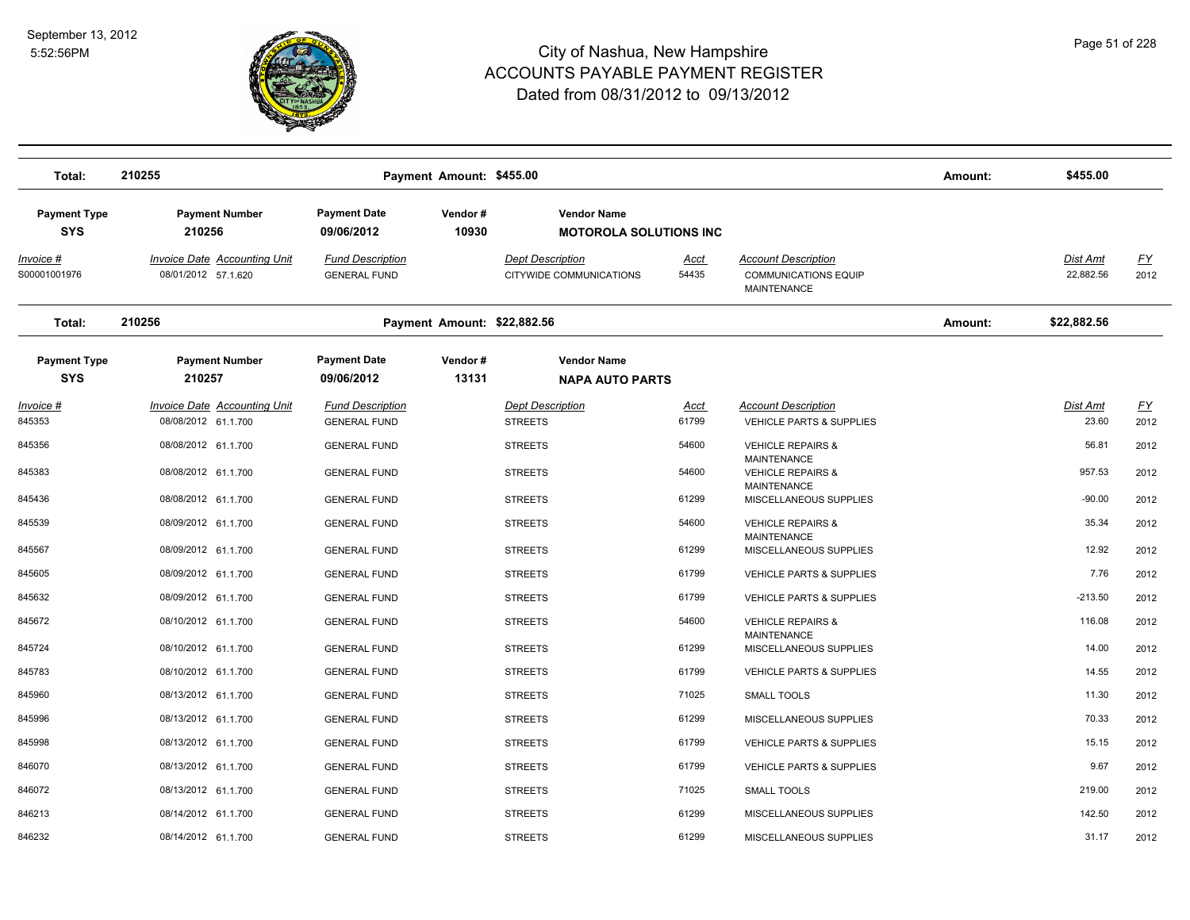

| Total:                            | 210255                                                     |                                                | Payment Amount: \$455.00    |                                                    |                               |                                                                          | Amount: | \$455.00                 |                   |
|-----------------------------------|------------------------------------------------------------|------------------------------------------------|-----------------------------|----------------------------------------------------|-------------------------------|--------------------------------------------------------------------------|---------|--------------------------|-------------------|
| <b>Payment Type</b><br><b>SYS</b> | <b>Payment Number</b><br>210256                            | <b>Payment Date</b><br>09/06/2012              | Vendor#<br>10930            | <b>Vendor Name</b>                                 | <b>MOTOROLA SOLUTIONS INC</b> |                                                                          |         |                          |                   |
| Invoice #<br>S00001001976         | <b>Invoice Date Accounting Unit</b><br>08/01/2012 57.1.620 | <b>Fund Description</b><br><b>GENERAL FUND</b> |                             | <b>Dept Description</b><br>CITYWIDE COMMUNICATIONS | Acct<br>54435                 | <b>Account Description</b><br><b>COMMUNICATIONS EQUIP</b><br>MAINTENANCE |         | Dist Amt<br>22,882.56    | EY<br>2012        |
| Total:                            | 210256                                                     |                                                | Payment Amount: \$22,882.56 |                                                    |                               |                                                                          | Amount: | \$22,882.56              |                   |
| <b>Payment Type</b><br><b>SYS</b> | <b>Payment Number</b><br>210257                            | <b>Payment Date</b><br>09/06/2012              | Vendor#<br>13131            | <b>Vendor Name</b><br><b>NAPA AUTO PARTS</b>       |                               |                                                                          |         |                          |                   |
| <u>Invoice #</u><br>845353        | <b>Invoice Date Accounting Unit</b><br>08/08/2012 61.1.700 | <b>Fund Description</b><br><b>GENERAL FUND</b> |                             | <b>Dept Description</b><br><b>STREETS</b>          | <u>Acct</u><br>61799          | <b>Account Description</b><br><b>VEHICLE PARTS &amp; SUPPLIES</b>        |         | <b>Dist Amt</b><br>23.60 | <u>FY</u><br>2012 |
| 845356                            | 08/08/2012 61.1.700                                        | <b>GENERAL FUND</b>                            |                             | <b>STREETS</b>                                     | 54600                         | <b>VEHICLE REPAIRS &amp;</b>                                             |         | 56.81                    | 2012              |
| 845383                            | 08/08/2012 61.1.700                                        | <b>GENERAL FUND</b>                            |                             | <b>STREETS</b>                                     | 54600                         | <b>MAINTENANCE</b><br><b>VEHICLE REPAIRS &amp;</b>                       |         | 957.53                   | 2012              |
| 845436                            | 08/08/2012 61.1.700                                        | <b>GENERAL FUND</b>                            |                             | <b>STREETS</b>                                     | 61299                         | <b>MAINTENANCE</b><br>MISCELLANEOUS SUPPLIES                             |         | $-90.00$                 | 2012              |
| 845539                            | 08/09/2012 61.1.700                                        | <b>GENERAL FUND</b>                            |                             | <b>STREETS</b>                                     | 54600                         | <b>VEHICLE REPAIRS &amp;</b><br><b>MAINTENANCE</b>                       |         | 35.34                    | 2012              |
| 845567                            | 08/09/2012 61.1.700                                        | <b>GENERAL FUND</b>                            |                             | <b>STREETS</b>                                     | 61299                         | MISCELLANEOUS SUPPLIES                                                   |         | 12.92                    | 2012              |
| 845605                            | 08/09/2012 61.1.700                                        | <b>GENERAL FUND</b>                            |                             | <b>STREETS</b>                                     | 61799                         | <b>VEHICLE PARTS &amp; SUPPLIES</b>                                      |         | 7.76                     | 2012              |
| 845632                            | 08/09/2012 61.1.700                                        | <b>GENERAL FUND</b>                            |                             | <b>STREETS</b>                                     | 61799                         | <b>VEHICLE PARTS &amp; SUPPLIES</b>                                      |         | $-213.50$                | 2012              |
| 845672                            | 08/10/2012 61.1.700                                        | <b>GENERAL FUND</b>                            |                             | <b>STREETS</b>                                     | 54600                         | <b>VEHICLE REPAIRS &amp;</b>                                             |         | 116.08                   | 2012              |
| 845724                            | 08/10/2012 61.1.700                                        | <b>GENERAL FUND</b>                            |                             | <b>STREETS</b>                                     | 61299                         | <b>MAINTENANCE</b><br>MISCELLANEOUS SUPPLIES                             |         | 14.00                    | 2012              |
| 845783                            | 08/10/2012 61.1.700                                        | <b>GENERAL FUND</b>                            |                             | <b>STREETS</b>                                     | 61799                         | <b>VEHICLE PARTS &amp; SUPPLIES</b>                                      |         | 14.55                    | 2012              |
| 845960                            | 08/13/2012 61.1.700                                        | <b>GENERAL FUND</b>                            |                             | <b>STREETS</b>                                     | 71025                         | <b>SMALL TOOLS</b>                                                       |         | 11.30                    | 2012              |
| 845996                            | 08/13/2012 61.1.700                                        | <b>GENERAL FUND</b>                            |                             | <b>STREETS</b>                                     | 61299                         | MISCELLANEOUS SUPPLIES                                                   |         | 70.33                    | 2012              |
| 845998                            | 08/13/2012 61.1.700                                        | <b>GENERAL FUND</b>                            |                             | <b>STREETS</b>                                     | 61799                         | <b>VEHICLE PARTS &amp; SUPPLIES</b>                                      |         | 15.15                    | 2012              |
| 846070                            | 08/13/2012 61.1.700                                        | <b>GENERAL FUND</b>                            |                             | <b>STREETS</b>                                     | 61799                         | <b>VEHICLE PARTS &amp; SUPPLIES</b>                                      |         | 9.67                     | 2012              |
| 846072                            | 08/13/2012 61.1.700                                        | <b>GENERAL FUND</b>                            |                             | <b>STREETS</b>                                     | 71025                         | <b>SMALL TOOLS</b>                                                       |         | 219.00                   | 2012              |
| 846213                            | 08/14/2012 61.1.700                                        | <b>GENERAL FUND</b>                            |                             | <b>STREETS</b>                                     | 61299                         | MISCELLANEOUS SUPPLIES                                                   |         | 142.50                   | 2012              |
| 846232                            | 08/14/2012 61.1.700                                        | <b>GENERAL FUND</b>                            |                             | <b>STREETS</b>                                     | 61299                         | MISCELLANEOUS SUPPLIES                                                   |         | 31.17                    | 2012              |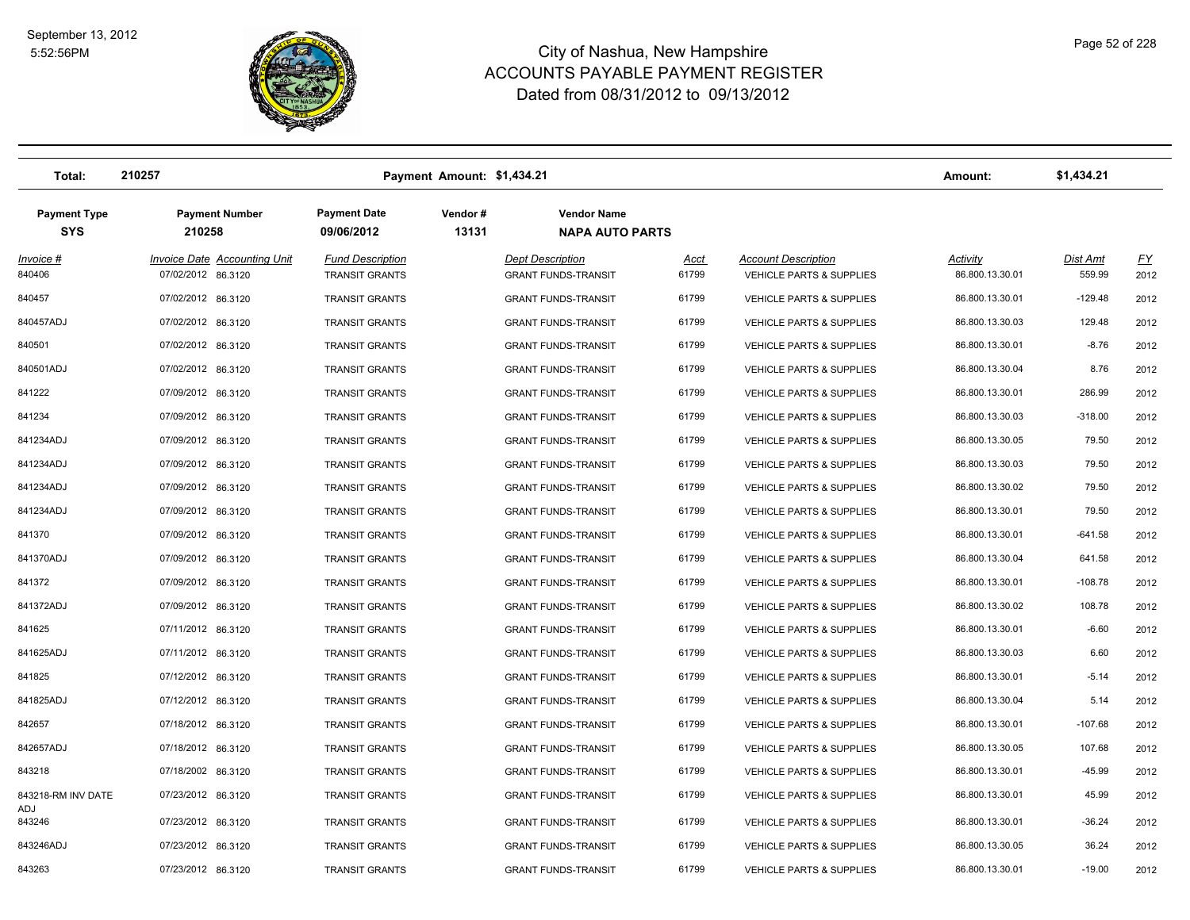

| Total:                            | 210257                                                    | Payment Amount: \$1,434.21                       |                  |                                                       |                      |                                                                   | Amount:                     | \$1,434.21         |                   |
|-----------------------------------|-----------------------------------------------------------|--------------------------------------------------|------------------|-------------------------------------------------------|----------------------|-------------------------------------------------------------------|-----------------------------|--------------------|-------------------|
| <b>Payment Type</b><br><b>SYS</b> | <b>Payment Number</b><br>210258                           | <b>Payment Date</b><br>09/06/2012                | Vendor#<br>13131 | <b>Vendor Name</b><br><b>NAPA AUTO PARTS</b>          |                      |                                                                   |                             |                    |                   |
| Invoice #<br>840406               | <b>Invoice Date Accounting Unit</b><br>07/02/2012 86.3120 | <b>Fund Description</b><br><b>TRANSIT GRANTS</b> |                  | <b>Dept Description</b><br><b>GRANT FUNDS-TRANSIT</b> | <u>Acct</u><br>61799 | <b>Account Description</b><br><b>VEHICLE PARTS &amp; SUPPLIES</b> | Activity<br>86.800.13.30.01 | Dist Amt<br>559.99 | <u>FY</u><br>2012 |
| 840457                            | 07/02/2012 86.3120                                        | <b>TRANSIT GRANTS</b>                            |                  | <b>GRANT FUNDS-TRANSIT</b>                            | 61799                | <b>VEHICLE PARTS &amp; SUPPLIES</b>                               | 86.800.13.30.01             | $-129.48$          | 2012              |
| 840457ADJ                         | 07/02/2012 86.3120                                        | <b>TRANSIT GRANTS</b>                            |                  | <b>GRANT FUNDS-TRANSIT</b>                            | 61799                | <b>VEHICLE PARTS &amp; SUPPLIES</b>                               | 86.800.13.30.03             | 129.48             | 2012              |
| 840501                            | 07/02/2012 86.3120                                        | <b>TRANSIT GRANTS</b>                            |                  | <b>GRANT FUNDS-TRANSIT</b>                            | 61799                | <b>VEHICLE PARTS &amp; SUPPLIES</b>                               | 86.800.13.30.01             | $-8.76$            | 2012              |
| 840501ADJ                         | 07/02/2012 86.3120                                        | <b>TRANSIT GRANTS</b>                            |                  | <b>GRANT FUNDS-TRANSIT</b>                            | 61799                | <b>VEHICLE PARTS &amp; SUPPLIES</b>                               | 86.800.13.30.04             | 8.76               | 2012              |
| 841222                            | 07/09/2012 86.3120                                        | <b>TRANSIT GRANTS</b>                            |                  | <b>GRANT FUNDS-TRANSIT</b>                            | 61799                | <b>VEHICLE PARTS &amp; SUPPLIES</b>                               | 86.800.13.30.01             | 286.99             | 2012              |
| 841234                            | 07/09/2012 86.3120                                        | <b>TRANSIT GRANTS</b>                            |                  | <b>GRANT FUNDS-TRANSIT</b>                            | 61799                | <b>VEHICLE PARTS &amp; SUPPLIES</b>                               | 86.800.13.30.03             | $-318.00$          | 2012              |
| 841234ADJ                         | 07/09/2012 86.3120                                        | <b>TRANSIT GRANTS</b>                            |                  | <b>GRANT FUNDS-TRANSIT</b>                            | 61799                | <b>VEHICLE PARTS &amp; SUPPLIES</b>                               | 86.800.13.30.05             | 79.50              | 2012              |
| 841234ADJ                         | 07/09/2012 86.3120                                        | <b>TRANSIT GRANTS</b>                            |                  | <b>GRANT FUNDS-TRANSIT</b>                            | 61799                | <b>VEHICLE PARTS &amp; SUPPLIES</b>                               | 86.800.13.30.03             | 79.50              | 2012              |
| 841234ADJ                         | 07/09/2012 86.3120                                        | <b>TRANSIT GRANTS</b>                            |                  | <b>GRANT FUNDS-TRANSIT</b>                            | 61799                | VEHICLE PARTS & SUPPLIES                                          | 86.800.13.30.02             | 79.50              | 2012              |
| 841234ADJ                         | 07/09/2012 86.3120                                        | <b>TRANSIT GRANTS</b>                            |                  | <b>GRANT FUNDS-TRANSIT</b>                            | 61799                | <b>VEHICLE PARTS &amp; SUPPLIES</b>                               | 86.800.13.30.01             | 79.50              | 2012              |
| 841370                            | 07/09/2012 86.3120                                        | <b>TRANSIT GRANTS</b>                            |                  | <b>GRANT FUNDS-TRANSIT</b>                            | 61799                | <b>VEHICLE PARTS &amp; SUPPLIES</b>                               | 86.800.13.30.01             | $-641.58$          | 2012              |
| 841370ADJ                         | 07/09/2012 86.3120                                        | <b>TRANSIT GRANTS</b>                            |                  | <b>GRANT FUNDS-TRANSIT</b>                            | 61799                | <b>VEHICLE PARTS &amp; SUPPLIES</b>                               | 86.800.13.30.04             | 641.58             | 2012              |
| 841372                            | 07/09/2012 86.3120                                        | <b>TRANSIT GRANTS</b>                            |                  | <b>GRANT FUNDS-TRANSIT</b>                            | 61799                | <b>VEHICLE PARTS &amp; SUPPLIES</b>                               | 86.800.13.30.01             | $-108.78$          | 2012              |
| 841372ADJ                         | 07/09/2012 86.3120                                        | <b>TRANSIT GRANTS</b>                            |                  | <b>GRANT FUNDS-TRANSIT</b>                            | 61799                | VEHICLE PARTS & SUPPLIES                                          | 86.800.13.30.02             | 108.78             | 2012              |
| 841625                            | 07/11/2012 86.3120                                        | <b>TRANSIT GRANTS</b>                            |                  | <b>GRANT FUNDS-TRANSIT</b>                            | 61799                | <b>VEHICLE PARTS &amp; SUPPLIES</b>                               | 86.800.13.30.01             | $-6.60$            | 2012              |
| 841625ADJ                         | 07/11/2012 86.3120                                        | <b>TRANSIT GRANTS</b>                            |                  | <b>GRANT FUNDS-TRANSIT</b>                            | 61799                | <b>VEHICLE PARTS &amp; SUPPLIES</b>                               | 86.800.13.30.03             | 6.60               | 2012              |
| 841825                            | 07/12/2012 86.3120                                        | <b>TRANSIT GRANTS</b>                            |                  | <b>GRANT FUNDS-TRANSIT</b>                            | 61799                | <b>VEHICLE PARTS &amp; SUPPLIES</b>                               | 86.800.13.30.01             | $-5.14$            | 2012              |
| 841825ADJ                         | 07/12/2012 86.3120                                        | <b>TRANSIT GRANTS</b>                            |                  | <b>GRANT FUNDS-TRANSIT</b>                            | 61799                | <b>VEHICLE PARTS &amp; SUPPLIES</b>                               | 86.800.13.30.04             | 5.14               | 2012              |
| 842657                            | 07/18/2012 86.3120                                        | <b>TRANSIT GRANTS</b>                            |                  | <b>GRANT FUNDS-TRANSIT</b>                            | 61799                | <b>VEHICLE PARTS &amp; SUPPLIES</b>                               | 86.800.13.30.01             | $-107.68$          | 2012              |
| 842657ADJ                         | 07/18/2012 86.3120                                        | <b>TRANSIT GRANTS</b>                            |                  | <b>GRANT FUNDS-TRANSIT</b>                            | 61799                | <b>VEHICLE PARTS &amp; SUPPLIES</b>                               | 86.800.13.30.05             | 107.68             | 2012              |
| 843218                            | 07/18/2002 86.3120                                        | <b>TRANSIT GRANTS</b>                            |                  | <b>GRANT FUNDS-TRANSIT</b>                            | 61799                | <b>VEHICLE PARTS &amp; SUPPLIES</b>                               | 86.800.13.30.01             | $-45.99$           | 2012              |
| 843218-RM INV DATE<br>AD.I        | 07/23/2012 86.3120                                        | <b>TRANSIT GRANTS</b>                            |                  | <b>GRANT FUNDS-TRANSIT</b>                            | 61799                | <b>VEHICLE PARTS &amp; SUPPLIES</b>                               | 86.800.13.30.01             | 45.99              | 2012              |
| 843246                            | 07/23/2012 86.3120                                        | <b>TRANSIT GRANTS</b>                            |                  | <b>GRANT FUNDS-TRANSIT</b>                            | 61799                | <b>VEHICLE PARTS &amp; SUPPLIES</b>                               | 86.800.13.30.01             | $-36.24$           | 2012              |
| 843246ADJ                         | 07/23/2012 86.3120                                        | TRANSIT GRANTS                                   |                  | <b>GRANT FUNDS-TRANSIT</b>                            | 61799                | <b>VEHICLE PARTS &amp; SUPPLIES</b>                               | 86.800.13.30.05             | 36.24              | 2012              |
| 843263                            | 07/23/2012 86.3120                                        | <b>TRANSIT GRANTS</b>                            |                  | <b>GRANT FUNDS-TRANSIT</b>                            | 61799                | <b>VEHICLE PARTS &amp; SUPPLIES</b>                               | 86.800.13.30.01             | $-19.00$           | 2012              |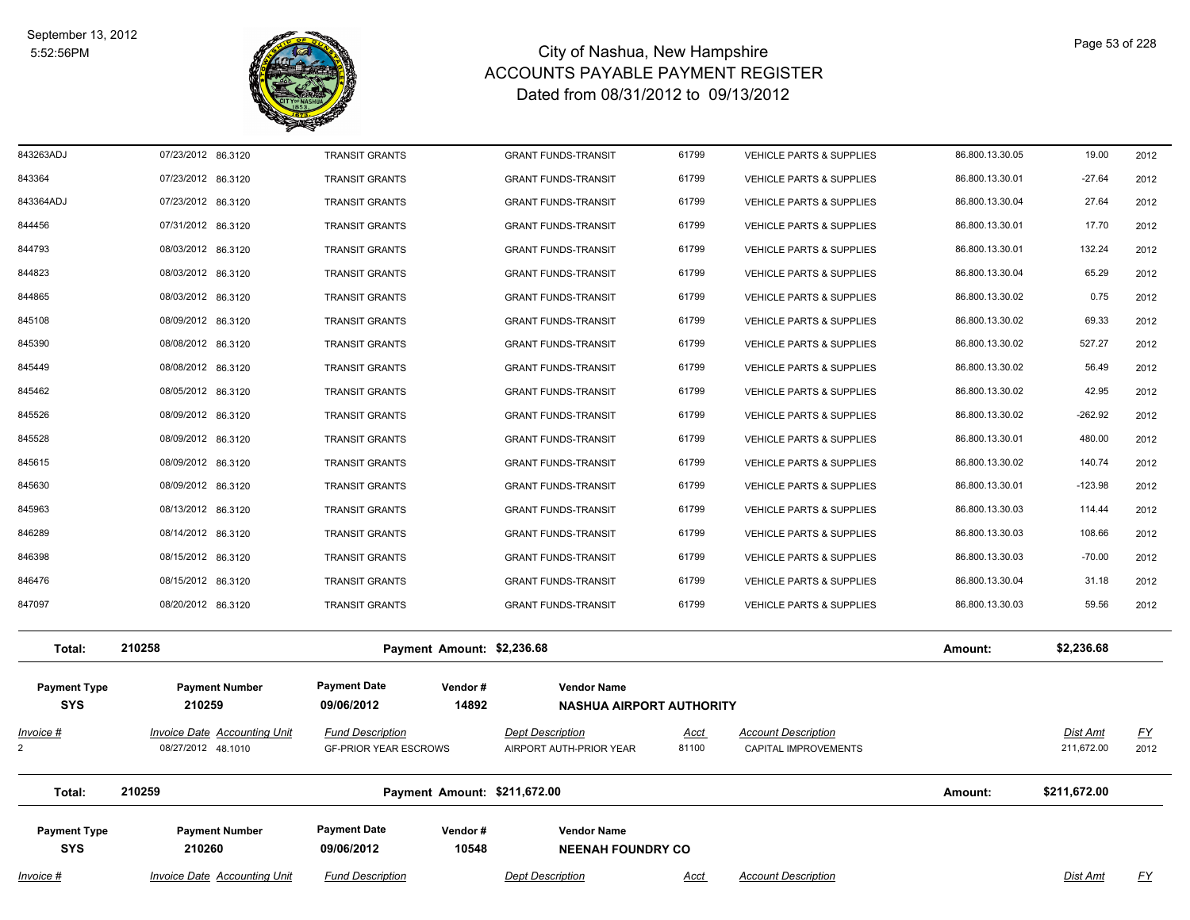

| $Invoice$ #                       | <b>Invoice Date Accounting Unit</b>                       | <b>Fund Description</b>                                 | <b>Dept Description</b>                                  | <u>Acct</u>          | <b>Account Description</b>                           |                                    | <b>Dist Amt</b>        | <u>FY</u>         |
|-----------------------------------|-----------------------------------------------------------|---------------------------------------------------------|----------------------------------------------------------|----------------------|------------------------------------------------------|------------------------------------|------------------------|-------------------|
| <b>Payment Type</b><br><b>SYS</b> | <b>Payment Number</b><br>210260                           | <b>Payment Date</b><br>Vendor#<br>09/06/2012<br>10548   | <b>Vendor Name</b><br><b>NEENAH FOUNDRY CO</b>           |                      |                                                      |                                    |                        |                   |
| Total:                            | 210259                                                    | Payment Amount: \$211,672.00                            |                                                          |                      |                                                      | Amount:                            | \$211,672.00           |                   |
| <u>Invoice #</u>                  | <b>Invoice Date Accounting Unit</b><br>08/27/2012 48.1010 | <b>Fund Description</b><br><b>GF-PRIOR YEAR ESCROWS</b> | <b>Dept Description</b><br>AIRPORT AUTH-PRIOR YEAR       | <u>Acct</u><br>81100 | <b>Account Description</b><br>CAPITAL IMPROVEMENTS   |                                    | Dist Amt<br>211,672.00 | <u>FY</u><br>2012 |
| <b>Payment Type</b><br><b>SYS</b> | <b>Payment Number</b><br>210259                           | <b>Payment Date</b><br>Vendor#<br>09/06/2012<br>14892   | <b>Vendor Name</b><br><b>NASHUA AIRPORT AUTHORITY</b>    |                      |                                                      |                                    |                        |                   |
| Total:                            | 210258                                                    | Payment Amount: \$2,236.68                              |                                                          |                      |                                                      | Amount:                            | \$2,236.68             |                   |
| 847097                            | 08/20/2012 86.3120                                        | <b>TRANSIT GRANTS</b>                                   | <b>GRANT FUNDS-TRANSIT</b>                               | 61799                | <b>VEHICLE PARTS &amp; SUPPLIES</b>                  | 86.800.13.30.03                    | 59.56                  | 2012              |
| 846476                            | 08/15/2012 86.3120                                        | <b>TRANSIT GRANTS</b>                                   | <b>GRANT FUNDS-TRANSIT</b>                               | 61799                | <b>VEHICLE PARTS &amp; SUPPLIES</b>                  | 86.800.13.30.04                    | 31.18                  | 2012              |
| 846398                            | 08/15/2012 86.3120                                        | <b>TRANSIT GRANTS</b>                                   | <b>GRANT FUNDS-TRANSIT</b>                               | 61799                | <b>VEHICLE PARTS &amp; SUPPLIES</b>                  | 86.800.13.30.03                    | $-70.00$               | 2012              |
| 846289                            | 08/14/2012 86.3120                                        | <b>TRANSIT GRANTS</b>                                   | <b>GRANT FUNDS-TRANSIT</b>                               | 61799                | <b>VEHICLE PARTS &amp; SUPPLIES</b>                  | 86.800.13.30.03                    | 108.66                 | 2012              |
| 845963                            | 08/13/2012 86.3120                                        | <b>TRANSIT GRANTS</b>                                   | <b>GRANT FUNDS-TRANSIT</b>                               | 61799                | <b>VEHICLE PARTS &amp; SUPPLIES</b>                  | 86.800.13.30.03                    | 114.44                 | 2012              |
| 845630                            | 08/09/2012 86.3120                                        | <b>TRANSIT GRANTS</b>                                   | <b>GRANT FUNDS-TRANSIT</b>                               | 61799                | <b>VEHICLE PARTS &amp; SUPPLIES</b>                  | 86.800.13.30.01                    | $-123.98$              | 2012              |
| 845615                            | 08/09/2012 86.3120                                        | TRANSIT GRANTS                                          | <b>GRANT FUNDS-TRANSIT</b>                               | 61799                | VEHICLE PARTS & SUPPLIES                             | 86.800.13.30.02                    | 140.74                 | 2012              |
| 845528                            | 08/09/2012 86.3120                                        | <b>TRANSIT GRANTS</b>                                   | <b>GRANT FUNDS-TRANSIT</b>                               | 61799                | VEHICLE PARTS & SUPPLIES                             | 86.800.13.30.01                    | 480.00                 | 2012              |
| 845462<br>845526                  | 08/05/2012 86.3120<br>08/09/2012 86.3120                  | <b>TRANSIT GRANTS</b><br><b>TRANSIT GRANTS</b>          | <b>GRANT FUNDS-TRANSIT</b><br><b>GRANT FUNDS-TRANSIT</b> | 61799                | VEHICLE PARTS & SUPPLIES<br>VEHICLE PARTS & SUPPLIES | 86.800.13.30.02<br>86.800.13.30.02 | $-262.92$              | 2012<br>2012      |
| 845449                            | 08/08/2012 86.3120                                        | TRANSIT GRANTS                                          | <b>GRANT FUNDS-TRANSIT</b>                               | 61799<br>61799       | VEHICLE PARTS & SUPPLIES                             | 86.800.13.30.02                    | 56.49<br>42.95         | 2012              |
| 845390                            | 08/08/2012 86.3120                                        | TRANSIT GRANTS                                          | <b>GRANT FUNDS-TRANSIT</b>                               | 61799                | VEHICLE PARTS & SUPPLIES                             | 86.800.13.30.02                    | 527.27                 | 2012              |
| 845108                            | 08/09/2012 86.3120                                        | <b>TRANSIT GRANTS</b>                                   | <b>GRANT FUNDS-TRANSIT</b>                               | 61799                | <b>VEHICLE PARTS &amp; SUPPLIES</b>                  | 86.800.13.30.02                    | 69.33                  | 2012              |
| 844865                            | 08/03/2012 86.3120                                        | <b>TRANSIT GRANTS</b>                                   | <b>GRANT FUNDS-TRANSIT</b>                               | 61799                | <b>VEHICLE PARTS &amp; SUPPLIES</b>                  | 86.800.13.30.02                    | 0.75                   | 2012              |
| 844823                            | 08/03/2012 86.3120                                        | <b>TRANSIT GRANTS</b>                                   | <b>GRANT FUNDS-TRANSIT</b>                               | 61799                | VEHICLE PARTS & SUPPLIES                             | 86.800.13.30.04                    | 65.29                  | 2012              |
| 844793                            | 08/03/2012 86.3120                                        | <b>TRANSIT GRANTS</b>                                   | <b>GRANT FUNDS-TRANSIT</b>                               | 61799                | <b>VEHICLE PARTS &amp; SUPPLIES</b>                  | 86.800.13.30.01                    | 132.24                 | 2012              |
| 844456                            | 07/31/2012 86.3120                                        | <b>TRANSIT GRANTS</b>                                   | <b>GRANT FUNDS-TRANSIT</b>                               | 61799                | <b>VEHICLE PARTS &amp; SUPPLIES</b>                  | 86.800.13.30.01                    | 17.70                  | 2012              |
| 843364ADJ                         | 07/23/2012 86.3120                                        | <b>TRANSIT GRANTS</b>                                   | <b>GRANT FUNDS-TRANSIT</b>                               | 61799                | <b>VEHICLE PARTS &amp; SUPPLIES</b>                  | 86.800.13.30.04                    | 27.64                  | 2012              |
| 843364                            | 07/23/2012 86.3120                                        | <b>TRANSIT GRANTS</b>                                   | <b>GRANT FUNDS-TRANSIT</b>                               | 61799                | <b>VEHICLE PARTS &amp; SUPPLIES</b>                  | 86.800.13.30.01                    | $-27.64$               | 2012              |
| 843263ADJ                         | 07/23/2012 86.3120                                        | <b>TRANSIT GRANTS</b>                                   | <b>GRANT FUNDS-TRANSIT</b>                               | 61799                | <b>VEHICLE PARTS &amp; SUPPLIES</b>                  | 86.800.13.30.05                    | 19.00                  | 2012              |
|                                   |                                                           |                                                         |                                                          |                      |                                                      |                                    |                        |                   |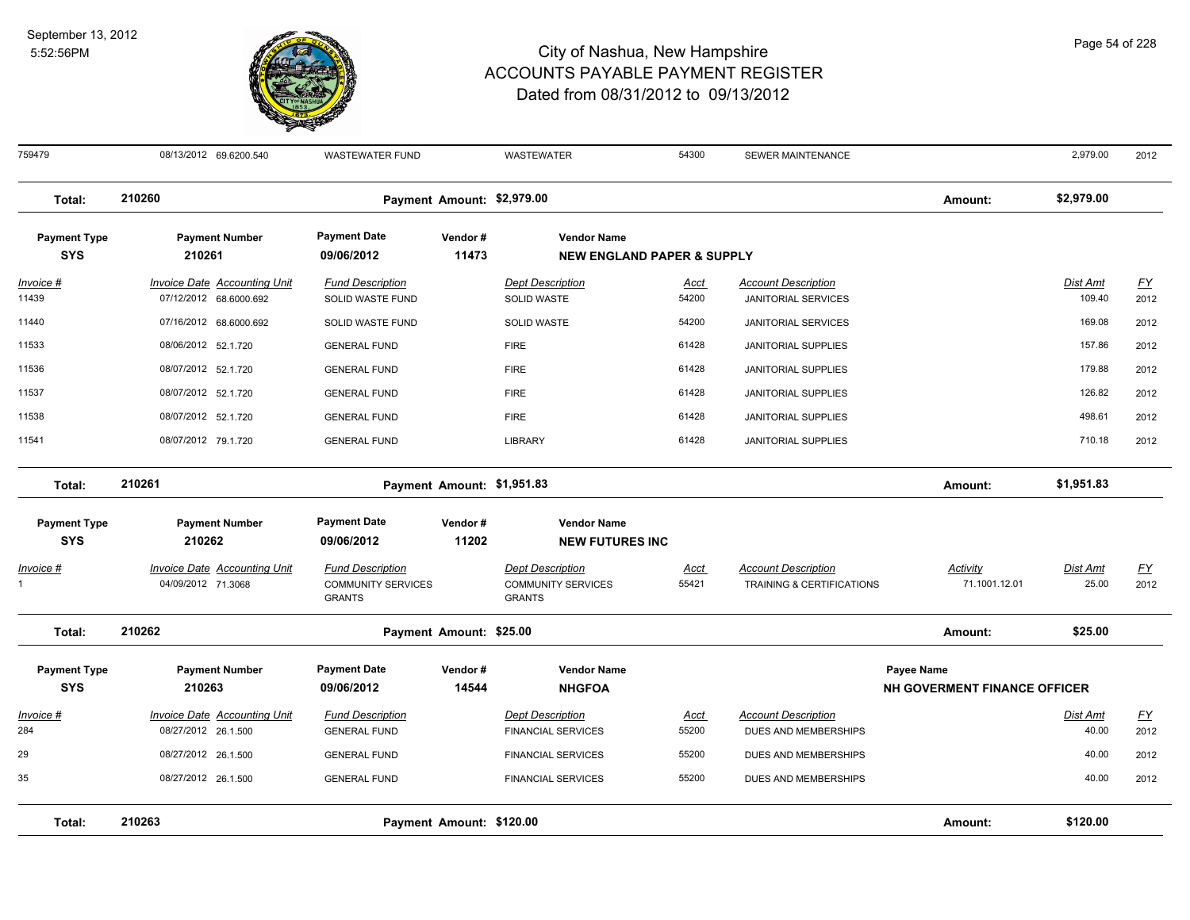

| 759479                            | 08/13/2012 69.6200.540                                        | <b>WASTEWATER FUND</b>                                                |                            | <b>WASTEWATER</b>                                                     | 54300                | SEWER MAINTENANCE                                        |                                                   | 2,979.00                 | 2012                     |
|-----------------------------------|---------------------------------------------------------------|-----------------------------------------------------------------------|----------------------------|-----------------------------------------------------------------------|----------------------|----------------------------------------------------------|---------------------------------------------------|--------------------------|--------------------------|
| Total:                            | 210260                                                        |                                                                       | Payment Amount: \$2,979.00 |                                                                       |                      |                                                          | Amount:                                           | \$2,979.00               |                          |
| <b>Payment Type</b><br><b>SYS</b> | <b>Payment Number</b><br>210261                               | <b>Payment Date</b><br>09/06/2012                                     | Vendor#<br>11473           | <b>Vendor Name</b><br><b>NEW ENGLAND PAPER &amp; SUPPLY</b>           |                      |                                                          |                                                   |                          |                          |
| Invoice #<br>11439                | <b>Invoice Date Accounting Unit</b><br>07/12/2012 68.6000.692 | <b>Fund Description</b><br>SOLID WASTE FUND                           |                            | <b>Dept Description</b><br><b>SOLID WASTE</b>                         | <u>Acct</u><br>54200 | <b>Account Description</b><br><b>JANITORIAL SERVICES</b> |                                                   | Dist Amt<br>109.40       | $\underline{FY}$<br>2012 |
| 11440                             | 07/16/2012 68.6000.692                                        | SOLID WASTE FUND                                                      |                            | <b>SOLID WASTE</b>                                                    | 54200                | <b>JANITORIAL SERVICES</b>                               |                                                   | 169.08                   | 2012                     |
| 11533                             | 08/06/2012 52.1.720                                           | <b>GENERAL FUND</b>                                                   |                            | <b>FIRE</b>                                                           | 61428                | JANITORIAL SUPPLIES                                      |                                                   | 157.86                   | 2012                     |
| 11536                             | 08/07/2012 52.1.720                                           | <b>GENERAL FUND</b>                                                   |                            | <b>FIRE</b>                                                           | 61428                | <b>JANITORIAL SUPPLIES</b>                               |                                                   | 179.88                   | 2012                     |
| 11537                             | 08/07/2012 52.1.720                                           | <b>GENERAL FUND</b>                                                   |                            | <b>FIRE</b>                                                           | 61428                | <b>JANITORIAL SUPPLIES</b>                               |                                                   | 126.82                   | 2012                     |
| 11538                             | 08/07/2012 52.1.720                                           | <b>GENERAL FUND</b>                                                   |                            | <b>FIRE</b>                                                           | 61428                | JANITORIAL SUPPLIES                                      |                                                   | 498.61                   | 2012                     |
| 11541                             | 08/07/2012 79.1.720                                           | <b>GENERAL FUND</b>                                                   |                            | <b>LIBRARY</b>                                                        | 61428                | JANITORIAL SUPPLIES                                      |                                                   | 710.18                   | 2012                     |
| Total:                            | 210261                                                        |                                                                       | Payment Amount: \$1,951.83 |                                                                       |                      |                                                          | Amount:                                           | \$1,951.83               |                          |
| <b>Payment Type</b><br><b>SYS</b> | <b>Payment Number</b><br>210262                               | <b>Payment Date</b><br>09/06/2012                                     | Vendor#<br>11202           | <b>Vendor Name</b><br><b>NEW FUTURES INC</b>                          |                      |                                                          |                                                   |                          |                          |
| <u> Invoice #</u>                 | <b>Invoice Date Accounting Unit</b><br>04/09/2012 71.3068     | <b>Fund Description</b><br><b>COMMUNITY SERVICES</b><br><b>GRANTS</b> |                            | <b>Dept Description</b><br><b>COMMUNITY SERVICES</b><br><b>GRANTS</b> | <u>Acct</u><br>55421 | <b>Account Description</b><br>TRAINING & CERTIFICATIONS  | <b>Activity</b><br>71.1001.12.01                  | <b>Dist Amt</b><br>25.00 | <u>FY</u><br>2012        |
| Total:                            | 210262                                                        |                                                                       | Payment Amount: \$25.00    |                                                                       |                      |                                                          | Amount:                                           | \$25.00                  |                          |
| <b>Payment Type</b><br><b>SYS</b> | <b>Payment Number</b><br>210263                               | <b>Payment Date</b><br>09/06/2012                                     | Vendor#<br>14544           | <b>Vendor Name</b><br><b>NHGFOA</b>                                   |                      |                                                          | <b>Payee Name</b><br>NH GOVERMENT FINANCE OFFICER |                          |                          |
| <u>Invoice #</u>                  | <b>Invoice Date Accounting Unit</b>                           | <b>Fund Description</b>                                               |                            | <b>Dept Description</b>                                               | <u>Acct</u>          | <b>Account Description</b>                               |                                                   | <b>Dist Amt</b>          | <u>FY</u>                |
| 284                               | 08/27/2012 26.1.500                                           | <b>GENERAL FUND</b>                                                   |                            | <b>FINANCIAL SERVICES</b>                                             | 55200                | DUES AND MEMBERSHIPS                                     |                                                   | 40.00                    | 2012                     |
| 29                                | 08/27/2012 26.1.500                                           | <b>GENERAL FUND</b>                                                   |                            | <b>FINANCIAL SERVICES</b>                                             | 55200                | DUES AND MEMBERSHIPS                                     |                                                   | 40.00                    | 2012                     |
| 35                                | 08/27/2012 26.1.500                                           | <b>GENERAL FUND</b>                                                   |                            | <b>FINANCIAL SERVICES</b>                                             | 55200                | DUES AND MEMBERSHIPS                                     |                                                   | 40.00                    | 2012                     |
| Total:                            | 210263                                                        |                                                                       | Payment Amount: \$120.00   |                                                                       |                      |                                                          | Amount:                                           | \$120.00                 |                          |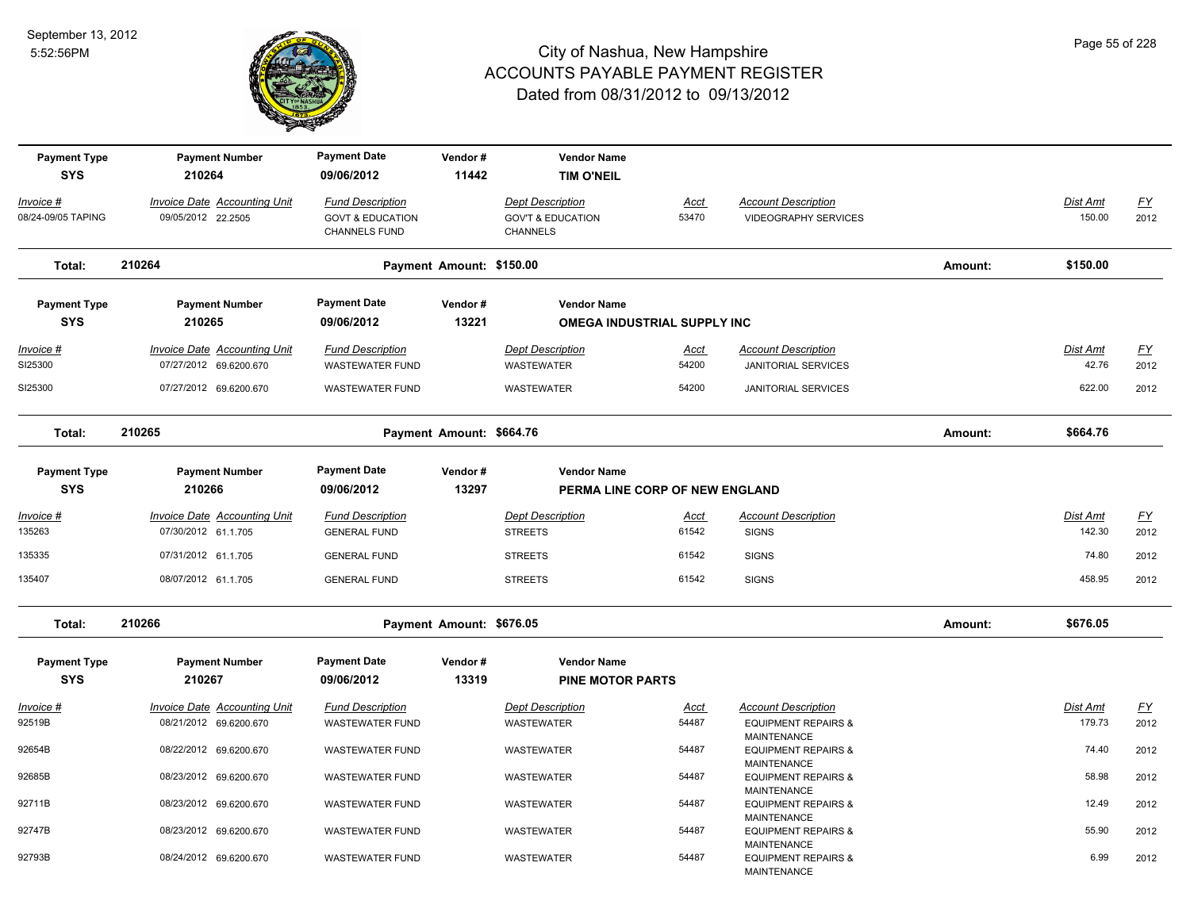

| <b>Payment Type</b><br><b>SYS</b> | <b>Payment Number</b><br>210264                            | <b>Payment Date</b><br>09/06/2012                                              | Vendor#<br>11442         | <b>Vendor Name</b><br><b>TIM O'NEIL</b>                                    |                      |                                                           |         |                    |                   |
|-----------------------------------|------------------------------------------------------------|--------------------------------------------------------------------------------|--------------------------|----------------------------------------------------------------------------|----------------------|-----------------------------------------------------------|---------|--------------------|-------------------|
| Invoice #<br>08/24-09/05 TAPING   | Invoice Date Accounting Unit<br>09/05/2012 22.2505         | <b>Fund Description</b><br><b>GOVT &amp; EDUCATION</b><br><b>CHANNELS FUND</b> |                          | <b>Dept Description</b><br><b>GOV'T &amp; EDUCATION</b><br><b>CHANNELS</b> | Acct<br>53470        | <b>Account Description</b><br><b>VIDEOGRAPHY SERVICES</b> |         | Dist Amt<br>150.00 | <u>FY</u><br>2012 |
| Total:                            | 210264                                                     |                                                                                | Payment Amount: \$150.00 |                                                                            |                      |                                                           | Amount: | \$150.00           |                   |
| <b>Payment Type</b>               | <b>Payment Number</b>                                      | <b>Payment Date</b>                                                            | Vendor#                  | <b>Vendor Name</b>                                                         |                      |                                                           |         |                    |                   |
| <b>SYS</b>                        | 210265                                                     | 09/06/2012                                                                     | 13221                    | OMEGA INDUSTRIAL SUPPLY INC                                                |                      |                                                           |         |                    |                   |
| Invoice #<br>SI25300              | Invoice Date Accounting Unit<br>07/27/2012 69.6200.670     | <b>Fund Description</b><br><b>WASTEWATER FUND</b>                              |                          | <b>Dept Description</b><br>WASTEWATER                                      | Acct<br>54200        | <b>Account Description</b><br><b>JANITORIAL SERVICES</b>  |         | Dist Amt<br>42.76  | <u>FY</u><br>2012 |
| SI25300                           | 07/27/2012 69.6200.670                                     | <b>WASTEWATER FUND</b>                                                         |                          | <b>WASTEWATER</b>                                                          | 54200                | <b>JANITORIAL SERVICES</b>                                |         | 622.00             | 2012              |
| Total:                            | 210265                                                     |                                                                                | Payment Amount: \$664.76 |                                                                            |                      |                                                           | Amount: | \$664.76           |                   |
| <b>Payment Type</b><br><b>SYS</b> | <b>Payment Number</b><br>210266                            | <b>Payment Date</b><br>09/06/2012                                              | Vendor#<br>13297         | <b>Vendor Name</b><br>PERMA LINE CORP OF NEW ENGLAND                       |                      |                                                           |         |                    |                   |
| <u>Invoice #</u><br>135263        | <b>Invoice Date Accounting Unit</b><br>07/30/2012 61.1.705 | <b>Fund Description</b><br><b>GENERAL FUND</b>                                 |                          | <b>Dept Description</b><br><b>STREETS</b>                                  | <u>Acct</u><br>61542 | <b>Account Description</b><br><b>SIGNS</b>                |         | Dist Amt<br>142.30 | <u>FY</u><br>2012 |
| 135335                            | 07/31/2012 61.1.705                                        | <b>GENERAL FUND</b>                                                            |                          | <b>STREETS</b>                                                             | 61542                | <b>SIGNS</b>                                              |         | 74.80              | 2012              |
| 135407                            | 08/07/2012 61.1.705                                        | <b>GENERAL FUND</b>                                                            |                          | <b>STREETS</b>                                                             | 61542                | <b>SIGNS</b>                                              |         | 458.95             | 2012              |
| Total:                            | 210266                                                     |                                                                                | Payment Amount: \$676.05 |                                                                            |                      |                                                           | Amount: | \$676.05           |                   |
| <b>Payment Type</b><br><b>SYS</b> | <b>Payment Number</b><br>210267                            | <b>Payment Date</b><br>09/06/2012                                              | Vendor#<br>13319         | <b>Vendor Name</b><br><b>PINE MOTOR PARTS</b>                              |                      |                                                           |         |                    |                   |
| <u> Invoice #</u>                 | <b>Invoice Date Accounting Unit</b>                        | <b>Fund Description</b>                                                        |                          | <b>Dept Description</b>                                                    | <u>Acct</u>          | <b>Account Description</b>                                |         | Dist Amt           | <u>FY</u>         |
| 92519B                            | 08/21/2012 69.6200.670                                     | <b>WASTEWATER FUND</b>                                                         |                          | <b>WASTEWATER</b>                                                          | 54487                | <b>EQUIPMENT REPAIRS &amp;</b><br><b>MAINTENANCE</b>      |         | 179.73             | 2012              |
| 92654B                            | 08/22/2012 69.6200.670                                     | WASTEWATER FUND                                                                |                          | WASTEWATER                                                                 | 54487                | <b>EQUIPMENT REPAIRS &amp;</b><br><b>MAINTENANCE</b>      |         | 74.40              | 2012              |
| 92685B                            | 08/23/2012 69.6200.670                                     | <b>WASTEWATER FUND</b>                                                         |                          | WASTEWATER                                                                 | 54487                | <b>EQUIPMENT REPAIRS &amp;</b><br><b>MAINTENANCE</b>      |         | 58.98              | 2012              |
| 92711B                            | 08/23/2012 69.6200.670                                     | <b>WASTEWATER FUND</b>                                                         |                          | WASTEWATER                                                                 | 54487                | <b>EQUIPMENT REPAIRS &amp;</b><br><b>MAINTENANCE</b>      |         | 12.49              | 2012              |
| 92747B                            | 08/23/2012 69.6200.670                                     | <b>WASTEWATER FUND</b>                                                         |                          | WASTEWATER                                                                 | 54487                | <b>EQUIPMENT REPAIRS &amp;</b><br><b>MAINTENANCE</b>      |         | 55.90              | 2012              |
| 92793B                            | 08/24/2012 69.6200.670                                     | <b>WASTEWATER FUND</b>                                                         |                          | <b>WASTEWATER</b>                                                          | 54487                | <b>EQUIPMENT REPAIRS &amp;</b><br>MAINTENANCE             |         | 6.99               | 2012              |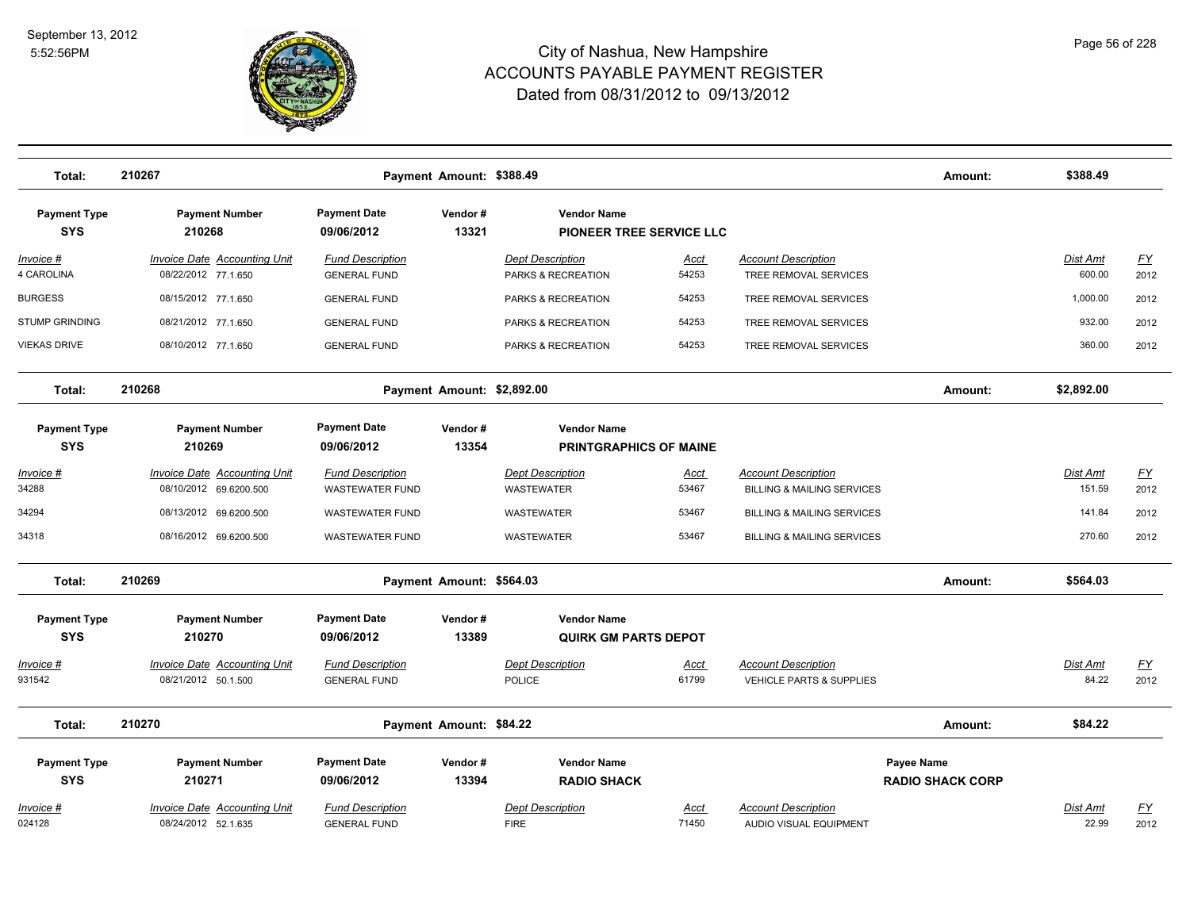

| Total:                            | 210267                                                        |                                                   | Payment Amount: \$388.49   |                                                     |                      |                                                                     | Amount:                               | \$388.49                  |                          |
|-----------------------------------|---------------------------------------------------------------|---------------------------------------------------|----------------------------|-----------------------------------------------------|----------------------|---------------------------------------------------------------------|---------------------------------------|---------------------------|--------------------------|
| <b>Payment Type</b><br><b>SYS</b> | <b>Payment Number</b><br>210268                               | <b>Payment Date</b><br>09/06/2012                 | Vendor#<br>13321           | <b>Vendor Name</b><br>PIONEER TREE SERVICE LLC      |                      |                                                                     |                                       |                           |                          |
| $Invoice$ #<br>4 CAROLINA         | <b>Invoice Date Accounting Unit</b><br>08/22/2012 77.1.650    | <b>Fund Description</b><br><b>GENERAL FUND</b>    |                            | <b>Dept Description</b><br>PARKS & RECREATION       | <u>Acct</u><br>54253 | <b>Account Description</b><br>TREE REMOVAL SERVICES                 |                                       | Dist Amt<br>600.00        | EY<br>2012               |
| <b>BURGESS</b>                    | 08/15/2012 77.1.650                                           | <b>GENERAL FUND</b>                               |                            | PARKS & RECREATION                                  | 54253                | TREE REMOVAL SERVICES                                               |                                       | 1,000.00                  | 2012                     |
| <b>STUMP GRINDING</b>             | 08/21/2012 77.1.650                                           | <b>GENERAL FUND</b>                               |                            | PARKS & RECREATION                                  | 54253                | TREE REMOVAL SERVICES                                               |                                       | 932.00                    | 2012                     |
| <b>VIEKAS DRIVE</b>               | 08/10/2012 77.1.650                                           | <b>GENERAL FUND</b>                               |                            | PARKS & RECREATION                                  | 54253                | TREE REMOVAL SERVICES                                               |                                       | 360.00                    | 2012                     |
| Total:                            | 210268                                                        |                                                   | Payment Amount: \$2,892.00 |                                                     |                      |                                                                     | Amount:                               | \$2,892.00                |                          |
| <b>Payment Type</b><br><b>SYS</b> | <b>Payment Number</b><br>210269                               | <b>Payment Date</b><br>09/06/2012                 | Vendor#<br>13354           | <b>Vendor Name</b><br><b>PRINTGRAPHICS OF MAINE</b> |                      |                                                                     |                                       |                           |                          |
| $Invoice$ #<br>34288              | <b>Invoice Date Accounting Unit</b><br>08/10/2012 69.6200.500 | <b>Fund Description</b><br><b>WASTEWATER FUND</b> |                            | <b>Dept Description</b><br>WASTEWATER               | <u>Acct</u><br>53467 | <b>Account Description</b><br><b>BILLING &amp; MAILING SERVICES</b> |                                       | <u>Dist Amt</u><br>151.59 | <u>FY</u><br>2012        |
| 34294                             | 08/13/2012 69.6200.500                                        | <b>WASTEWATER FUND</b>                            |                            | <b>WASTEWATER</b>                                   | 53467                | <b>BILLING &amp; MAILING SERVICES</b>                               |                                       | 141.84                    | 2012                     |
| 34318                             | 08/16/2012 69.6200.500                                        | <b>WASTEWATER FUND</b>                            |                            | WASTEWATER                                          | 53467                | <b>BILLING &amp; MAILING SERVICES</b>                               |                                       | 270.60                    | 2012                     |
| Total:                            | 210269                                                        |                                                   | Payment Amount: \$564.03   |                                                     |                      |                                                                     | Amount:                               | \$564.03                  |                          |
| <b>Payment Type</b><br><b>SYS</b> | <b>Payment Number</b><br>210270                               | <b>Payment Date</b><br>09/06/2012                 | Vendor#<br>13389           | <b>Vendor Name</b><br><b>QUIRK GM PARTS DEPOT</b>   |                      |                                                                     |                                       |                           |                          |
| Invoice #<br>931542               | Invoice Date Accounting Unit<br>08/21/2012 50.1.500           | <b>Fund Description</b><br><b>GENERAL FUND</b>    |                            | <b>Dept Description</b><br><b>POLICE</b>            | Acct<br>61799        | <b>Account Description</b><br>VEHICLE PARTS & SUPPLIES              |                                       | Dist Amt<br>84.22         | $\underline{FY}$<br>2012 |
| Total:                            | 210270                                                        |                                                   | Payment Amount: \$84.22    |                                                     |                      |                                                                     | Amount:                               | \$84.22                   |                          |
| <b>Payment Type</b><br><b>SYS</b> | <b>Payment Number</b><br>210271                               | <b>Payment Date</b><br>09/06/2012                 | Vendor#<br>13394           | <b>Vendor Name</b><br><b>RADIO SHACK</b>            |                      |                                                                     | Payee Name<br><b>RADIO SHACK CORP</b> |                           |                          |
| Invoice #<br>024128               | Invoice Date Accounting Unit<br>08/24/2012 52.1.635           | <b>Fund Description</b><br><b>GENERAL FUND</b>    |                            | <b>Dept Description</b><br><b>FIRE</b>              | <u>Acct</u><br>71450 | <b>Account Description</b><br>AUDIO VISUAL EQUIPMENT                |                                       | Dist Amt<br>22.99         | EY<br>2012               |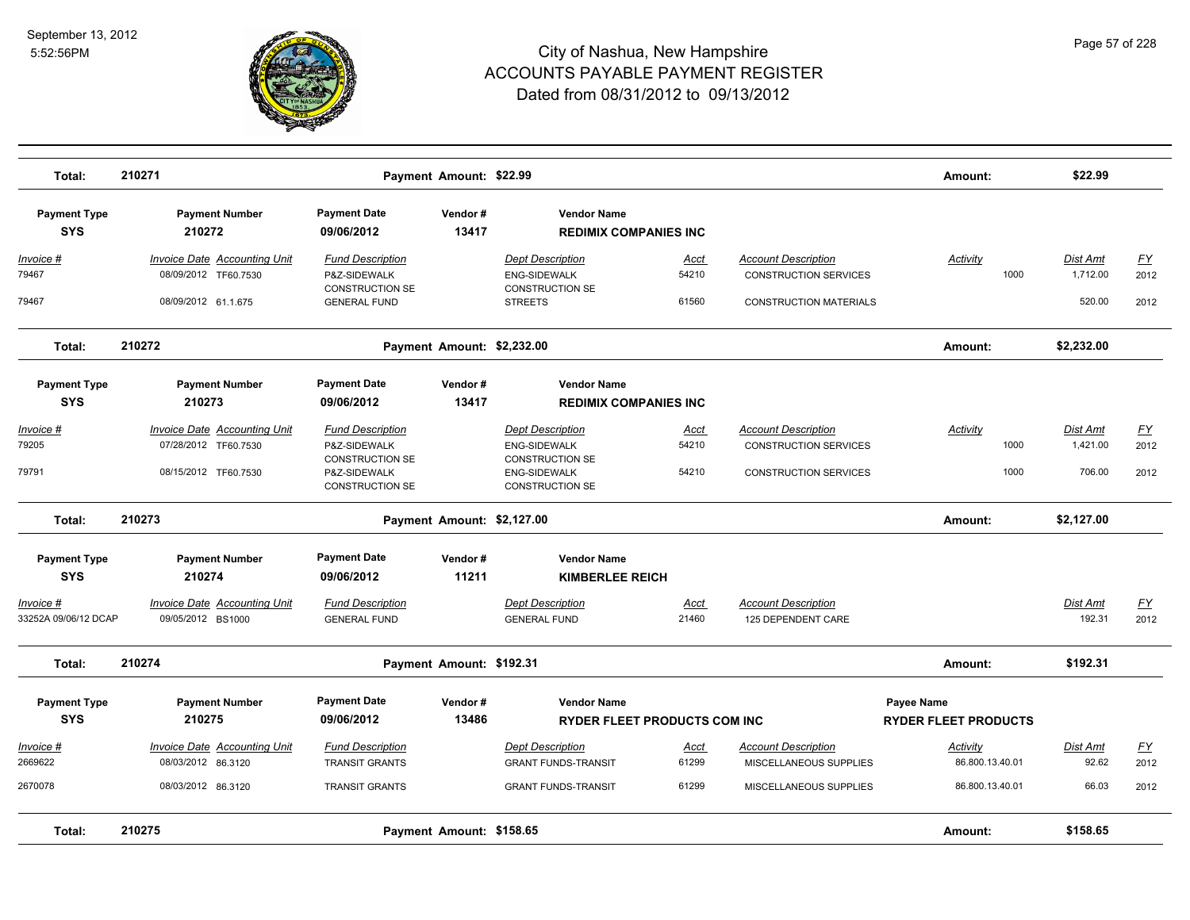

| Total:                            | 210271                                                      | Payment Amount: \$22.99                                           |                  |                                                                          |                      |                                                            | Amount:                                          | \$22.99                     |                                   |
|-----------------------------------|-------------------------------------------------------------|-------------------------------------------------------------------|------------------|--------------------------------------------------------------------------|----------------------|------------------------------------------------------------|--------------------------------------------------|-----------------------------|-----------------------------------|
| <b>Payment Type</b><br><b>SYS</b> | <b>Payment Number</b><br>210272                             | <b>Payment Date</b><br>09/06/2012                                 | Vendor#<br>13417 | <b>Vendor Name</b><br><b>REDIMIX COMPANIES INC</b>                       |                      |                                                            |                                                  |                             |                                   |
| Invoice #<br>79467                | <b>Invoice Date Accounting Unit</b><br>08/09/2012 TF60.7530 | <b>Fund Description</b><br>P&Z-SIDEWALK                           |                  | <b>Dept Description</b><br><b>ENG-SIDEWALK</b>                           | Acct<br>54210        | <b>Account Description</b><br><b>CONSTRUCTION SERVICES</b> | Activity<br>1000                                 | Dist Amt<br>1,712.00        | $\underline{FY}$<br>2012          |
| 79467                             | 08/09/2012 61.1.675                                         | <b>CONSTRUCTION SE</b><br><b>GENERAL FUND</b>                     |                  | <b>CONSTRUCTION SE</b><br><b>STREETS</b>                                 | 61560                | <b>CONSTRUCTION MATERIALS</b>                              |                                                  | 520.00                      | 2012                              |
| Total:                            | 210272                                                      | Payment Amount: \$2,232.00                                        |                  |                                                                          |                      |                                                            | Amount:                                          | \$2,232.00                  |                                   |
| <b>Payment Type</b><br><b>SYS</b> | <b>Payment Number</b><br>210273                             | <b>Payment Date</b><br>09/06/2012                                 | Vendor#<br>13417 | <b>Vendor Name</b><br><b>REDIMIX COMPANIES INC</b>                       |                      |                                                            |                                                  |                             |                                   |
| <u>Invoice #</u><br>79205         | <b>Invoice Date Accounting Unit</b><br>07/28/2012 TF60.7530 | <b>Fund Description</b><br>P&Z-SIDEWALK<br><b>CONSTRUCTION SE</b> |                  | <b>Dept Description</b><br><b>ENG-SIDEWALK</b><br><b>CONSTRUCTION SE</b> | <u>Acct</u><br>54210 | <b>Account Description</b><br><b>CONSTRUCTION SERVICES</b> | <b>Activity</b><br>1000                          | <u>Dist Amt</u><br>1,421.00 | EY<br>2012                        |
| 79791                             | 08/15/2012 TF60.7530                                        | P&Z-SIDEWALK<br><b>CONSTRUCTION SE</b>                            |                  | <b>ENG-SIDEWALK</b><br><b>CONSTRUCTION SE</b>                            | 54210                | <b>CONSTRUCTION SERVICES</b>                               | 1000                                             | 706.00                      | 2012                              |
| Total:                            | 210273                                                      | Payment Amount: \$2,127.00                                        |                  |                                                                          |                      |                                                            | Amount:                                          | \$2,127.00                  |                                   |
| <b>Payment Type</b><br><b>SYS</b> | <b>Payment Number</b><br>210274                             | <b>Payment Date</b><br>09/06/2012                                 | Vendor#<br>11211 | <b>Vendor Name</b><br><b>KIMBERLEE REICH</b>                             |                      |                                                            |                                                  |                             |                                   |
| Invoice #<br>33252A 09/06/12 DCAP | <b>Invoice Date Accounting Unit</b><br>09/05/2012 BS1000    | <b>Fund Description</b><br><b>GENERAL FUND</b>                    |                  | <b>Dept Description</b><br><b>GENERAL FUND</b>                           | <u>Acct</u><br>21460 | <b>Account Description</b><br>125 DEPENDENT CARE           |                                                  | Dist Amt<br>192.31          | $\underline{FY}$<br>2012          |
| Total:                            | 210274                                                      | Payment Amount: \$192.31                                          |                  |                                                                          |                      |                                                            | Amount:                                          | \$192.31                    |                                   |
| <b>Payment Type</b><br><b>SYS</b> | <b>Payment Number</b><br>210275                             | <b>Payment Date</b><br>09/06/2012                                 | Vendor#<br>13486 | <b>Vendor Name</b><br><b>RYDER FLEET PRODUCTS COM INC</b>                |                      |                                                            | <b>Payee Name</b><br><b>RYDER FLEET PRODUCTS</b> |                             |                                   |
| Invoice #<br>2669622              | <b>Invoice Date Accounting Unit</b><br>08/03/2012 86.3120   | <b>Fund Description</b><br><b>TRANSIT GRANTS</b>                  |                  | <b>Dept Description</b><br><b>GRANT FUNDS-TRANSIT</b>                    | <b>Acct</b><br>61299 | <b>Account Description</b><br>MISCELLANEOUS SUPPLIES       | Activity<br>86.800.13.40.01                      | Dist Amt<br>92.62           | $\underline{\mathsf{FY}}$<br>2012 |
| 2670078                           | 08/03/2012 86.3120                                          | <b>TRANSIT GRANTS</b>                                             |                  | <b>GRANT FUNDS-TRANSIT</b>                                               | 61299                | MISCELLANEOUS SUPPLIES                                     | 86.800.13.40.01                                  | 66.03                       | 2012                              |
| Total:                            | 210275                                                      | Payment Amount: \$158.65                                          |                  |                                                                          |                      |                                                            | Amount:                                          | \$158.65                    |                                   |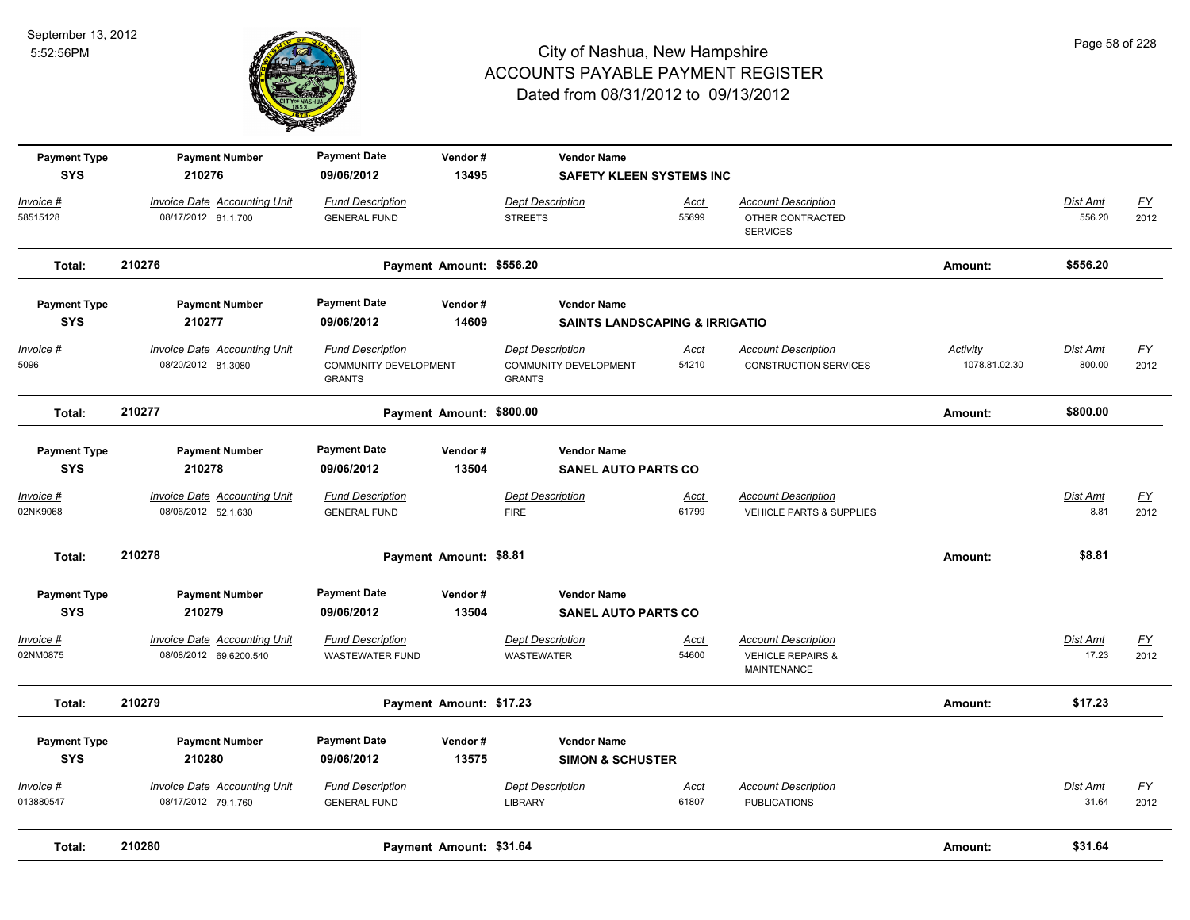

| <b>Payment Type</b><br><b>SYS</b> | <b>Payment Number</b><br>210276                               | <b>Payment Date</b><br>09/06/2012                                 | Vendor#<br>13495         | <b>Vendor Name</b><br><b>SAFETY KLEEN SYSTEMS INC</b>             |                      |                                                                           |                           |                          |                          |
|-----------------------------------|---------------------------------------------------------------|-------------------------------------------------------------------|--------------------------|-------------------------------------------------------------------|----------------------|---------------------------------------------------------------------------|---------------------------|--------------------------|--------------------------|
| Invoice #<br>58515128             | <b>Invoice Date Accounting Unit</b><br>08/17/2012 61.1.700    | <b>Fund Description</b><br><b>GENERAL FUND</b>                    |                          | <b>Dept Description</b><br><b>STREETS</b>                         | Acct<br>55699        | <b>Account Description</b><br>OTHER CONTRACTED<br><b>SERVICES</b>         |                           | Dist Amt<br>556.20       | $\underline{FY}$<br>2012 |
| Total:                            | 210276                                                        |                                                                   | Payment Amount: \$556.20 |                                                                   |                      |                                                                           | Amount:                   | \$556.20                 |                          |
| <b>Payment Type</b><br><b>SYS</b> | <b>Payment Number</b><br>210277                               | <b>Payment Date</b><br>09/06/2012                                 | Vendor#<br>14609         | <b>Vendor Name</b><br><b>SAINTS LANDSCAPING &amp; IRRIGATIO</b>   |                      |                                                                           |                           |                          |                          |
| Invoice #<br>5096                 | <b>Invoice Date Accounting Unit</b><br>08/20/2012 81.3080     | <b>Fund Description</b><br>COMMUNITY DEVELOPMENT<br><b>GRANTS</b> |                          | <b>Dept Description</b><br>COMMUNITY DEVELOPMENT<br><b>GRANTS</b> | Acct<br>54210        | <b>Account Description</b><br><b>CONSTRUCTION SERVICES</b>                | Activity<br>1078.81.02.30 | Dist Amt<br>800.00       | <u>FY</u><br>2012        |
| Total:                            | 210277                                                        |                                                                   | Payment Amount: \$800.00 |                                                                   |                      |                                                                           | Amount:                   | \$800.00                 |                          |
| <b>Payment Type</b><br><b>SYS</b> | <b>Payment Number</b><br>210278                               | <b>Payment Date</b><br>09/06/2012                                 | Vendor#<br>13504         | <b>Vendor Name</b><br><b>SANEL AUTO PARTS CO</b>                  |                      |                                                                           |                           |                          |                          |
| $Invoice$ #<br>02NK9068           | <b>Invoice Date Accounting Unit</b><br>08/06/2012 52.1.630    | <b>Fund Description</b><br><b>GENERAL FUND</b>                    |                          | <b>Dept Description</b><br><b>FIRE</b>                            | Acct<br>61799        | <b>Account Description</b><br>VEHICLE PARTS & SUPPLIES                    |                           | <b>Dist Amt</b><br>8.81  | <u>FY</u><br>2012        |
| Total:                            | 210278                                                        |                                                                   | Payment Amount: \$8.81   |                                                                   |                      |                                                                           | Amount:                   | \$8.81                   |                          |
| <b>Payment Type</b><br><b>SYS</b> | <b>Payment Number</b><br>210279                               | <b>Payment Date</b><br>09/06/2012                                 | Vendor#<br>13504         | <b>Vendor Name</b><br><b>SANEL AUTO PARTS CO</b>                  |                      |                                                                           |                           |                          |                          |
| Invoice #<br>02NM0875             | <b>Invoice Date Accounting Unit</b><br>08/08/2012 69.6200.540 | <b>Fund Description</b><br>WASTEWATER FUND                        |                          | <b>Dept Description</b><br><b>WASTEWATER</b>                      | Acct<br>54600        | <b>Account Description</b><br><b>VEHICLE REPAIRS &amp;</b><br>MAINTENANCE |                           | <b>Dist Amt</b><br>17.23 | <u>FY</u><br>2012        |
| Total:                            | 210279                                                        |                                                                   | Payment Amount: \$17.23  |                                                                   |                      |                                                                           | Amount:                   | \$17.23                  |                          |
| <b>Payment Type</b><br><b>SYS</b> | <b>Payment Number</b><br>210280                               | <b>Payment Date</b><br>09/06/2012                                 | Vendor#<br>13575         | <b>Vendor Name</b><br><b>SIMON &amp; SCHUSTER</b>                 |                      |                                                                           |                           |                          |                          |
| Invoice #<br>013880547            | <b>Invoice Date Accounting Unit</b><br>08/17/2012 79.1.760    | <b>Fund Description</b><br><b>GENERAL FUND</b>                    |                          | <b>Dept Description</b><br>LIBRARY                                | <u>Acct</u><br>61807 | <b>Account Description</b><br><b>PUBLICATIONS</b>                         |                           | Dist Amt<br>31.64        | <u>FY</u><br>2012        |
| Total:                            | 210280                                                        |                                                                   | Payment Amount: \$31.64  |                                                                   |                      |                                                                           | Amount:                   | \$31.64                  |                          |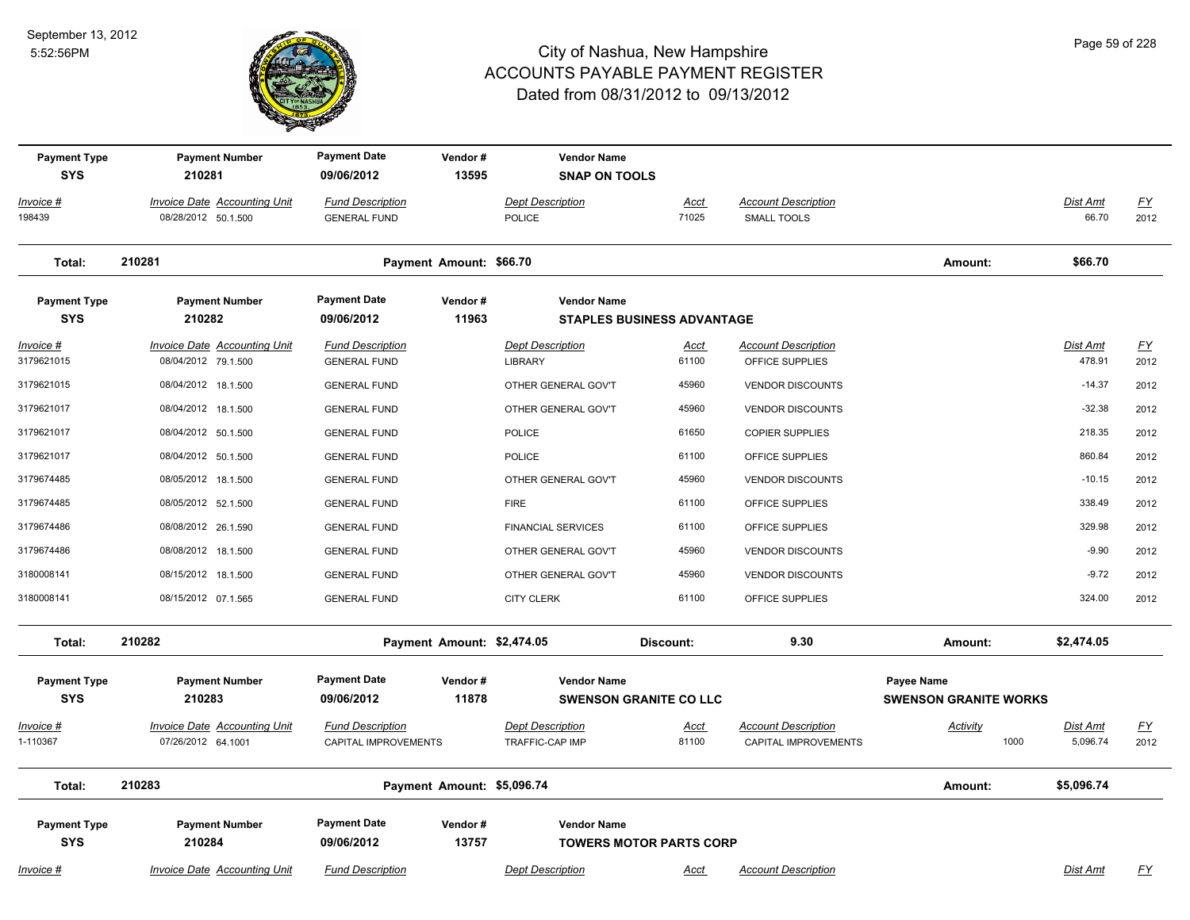

| <b>Payment Type</b><br><b>SYS</b> | <b>Payment Number</b><br>210281                            | <b>Payment Date</b><br>09/06/2012               | Vendor#<br>13595           | <b>Vendor Name</b><br><b>SNAP ON TOOLS</b> |                                |                                                    |                                            |                      |                   |
|-----------------------------------|------------------------------------------------------------|-------------------------------------------------|----------------------------|--------------------------------------------|--------------------------------|----------------------------------------------------|--------------------------------------------|----------------------|-------------------|
| Invoice #                         | <b>Invoice Date Accounting Unit</b>                        | <b>Fund Description</b>                         |                            | <b>Dept Description</b>                    | <b>Acct</b>                    | <b>Account Description</b>                         |                                            | <b>Dist Amt</b>      | <u>FY</u>         |
| 198439                            | 08/28/2012 50.1.500                                        | <b>GENERAL FUND</b>                             |                            | POLICE                                     | 71025                          | <b>SMALL TOOLS</b>                                 |                                            | 66.70                | 2012              |
| Total:                            | 210281                                                     |                                                 | Payment Amount: \$66.70    |                                            |                                |                                                    | Amount:                                    | \$66.70              |                   |
| <b>Payment Type</b>               | <b>Payment Number</b>                                      | <b>Payment Date</b>                             | Vendor#                    | <b>Vendor Name</b>                         |                                |                                                    |                                            |                      |                   |
| <b>SYS</b>                        | 210282                                                     | 09/06/2012                                      | 11963                      |                                            | STAPLES BUSINESS ADVANTAGE     |                                                    |                                            |                      |                   |
| Invoice #<br>3179621015           | <b>Invoice Date Accounting Unit</b><br>08/04/2012 79.1.500 | <b>Fund Description</b><br><b>GENERAL FUND</b>  |                            | <b>Dept Description</b><br>LIBRARY         | Acct<br>61100                  | <b>Account Description</b><br>OFFICE SUPPLIES      |                                            | Dist Amt<br>478.91   | <u>FY</u><br>2012 |
| 3179621015                        | 08/04/2012 18.1.500                                        | <b>GENERAL FUND</b>                             |                            | OTHER GENERAL GOV'T                        | 45960                          | <b>VENDOR DISCOUNTS</b>                            |                                            | $-14.37$             | 2012              |
| 3179621017                        | 08/04/2012 18.1.500                                        | <b>GENERAL FUND</b>                             |                            | OTHER GENERAL GOV'T                        | 45960                          | <b>VENDOR DISCOUNTS</b>                            |                                            | $-32.38$             | 2012              |
| 3179621017                        | 08/04/2012 50.1.500                                        | <b>GENERAL FUND</b>                             |                            | <b>POLICE</b>                              | 61650                          | <b>COPIER SUPPLIES</b>                             |                                            | 218.35               | 2012              |
| 3179621017                        | 08/04/2012 50.1.500                                        | <b>GENERAL FUND</b>                             |                            | <b>POLICE</b>                              | 61100                          | OFFICE SUPPLIES                                    |                                            | 860.84               | 2012              |
| 3179674485                        | 08/05/2012 18.1.500                                        | <b>GENERAL FUND</b>                             |                            | OTHER GENERAL GOV'T                        | 45960                          | <b>VENDOR DISCOUNTS</b>                            |                                            | $-10.15$             | 2012              |
| 3179674485                        | 08/05/2012 52.1.500                                        | <b>GENERAL FUND</b>                             |                            | <b>FIRE</b>                                | 61100                          | OFFICE SUPPLIES                                    |                                            | 338.49               | 2012              |
| 3179674486                        | 08/08/2012 26.1.590                                        | <b>GENERAL FUND</b>                             |                            | <b>FINANCIAL SERVICES</b>                  | 61100                          | OFFICE SUPPLIES                                    |                                            | 329.98               | 2012              |
| 3179674486                        | 08/08/2012 18.1.500                                        | <b>GENERAL FUND</b>                             |                            | OTHER GENERAL GOV'T                        | 45960                          | <b>VENDOR DISCOUNTS</b>                            |                                            | $-9.90$              | 2012              |
| 3180008141                        | 08/15/2012 18.1.500                                        | <b>GENERAL FUND</b>                             |                            | OTHER GENERAL GOV'T                        | 45960                          | <b>VENDOR DISCOUNTS</b>                            |                                            | $-9.72$              | 2012              |
| 3180008141                        | 08/15/2012 07.1.565                                        | <b>GENERAL FUND</b>                             |                            | <b>CITY CLERK</b>                          | 61100                          | OFFICE SUPPLIES                                    |                                            | 324.00               | 2012              |
| Total:                            | 210282                                                     |                                                 | Payment Amount: \$2,474.05 |                                            | Discount:                      | 9.30                                               | Amount:                                    | \$2,474.05           |                   |
| <b>Payment Type</b><br><b>SYS</b> | <b>Payment Number</b><br>210283                            | <b>Payment Date</b><br>09/06/2012               | Vendor#<br>11878           | <b>Vendor Name</b>                         | <b>SWENSON GRANITE CO LLC</b>  |                                                    | Payee Name<br><b>SWENSON GRANITE WORKS</b> |                      |                   |
| Invoice #<br>1-110367             | <b>Invoice Date Accounting Unit</b><br>07/26/2012 64.1001  | <b>Fund Description</b><br>CAPITAL IMPROVEMENTS |                            | <b>Dept Description</b><br>TRAFFIC-CAP IMP | <b>Acct</b><br>81100           | <b>Account Description</b><br>CAPITAL IMPROVEMENTS | <b>Activity</b><br>1000                    | Dist Amt<br>5,096.74 | <u>FY</u><br>2012 |
| Total:                            | 210283                                                     |                                                 | Payment Amount: \$5,096.74 |                                            |                                |                                                    | Amount:                                    | \$5,096.74           |                   |
| <b>Payment Type</b>               | <b>Payment Number</b>                                      | <b>Payment Date</b>                             | Vendor#                    | <b>Vendor Name</b>                         |                                |                                                    |                                            |                      |                   |
| <b>SYS</b>                        | 210284                                                     | 09/06/2012                                      | 13757                      |                                            | <b>TOWERS MOTOR PARTS CORP</b> |                                                    |                                            |                      |                   |
| Invoice #                         | <b>Invoice Date Accounting Unit</b>                        | <b>Fund Description</b>                         |                            | <b>Dept Description</b>                    | <u>Acct</u>                    | <b>Account Description</b>                         |                                            | Dist Amt             | $\underline{FY}$  |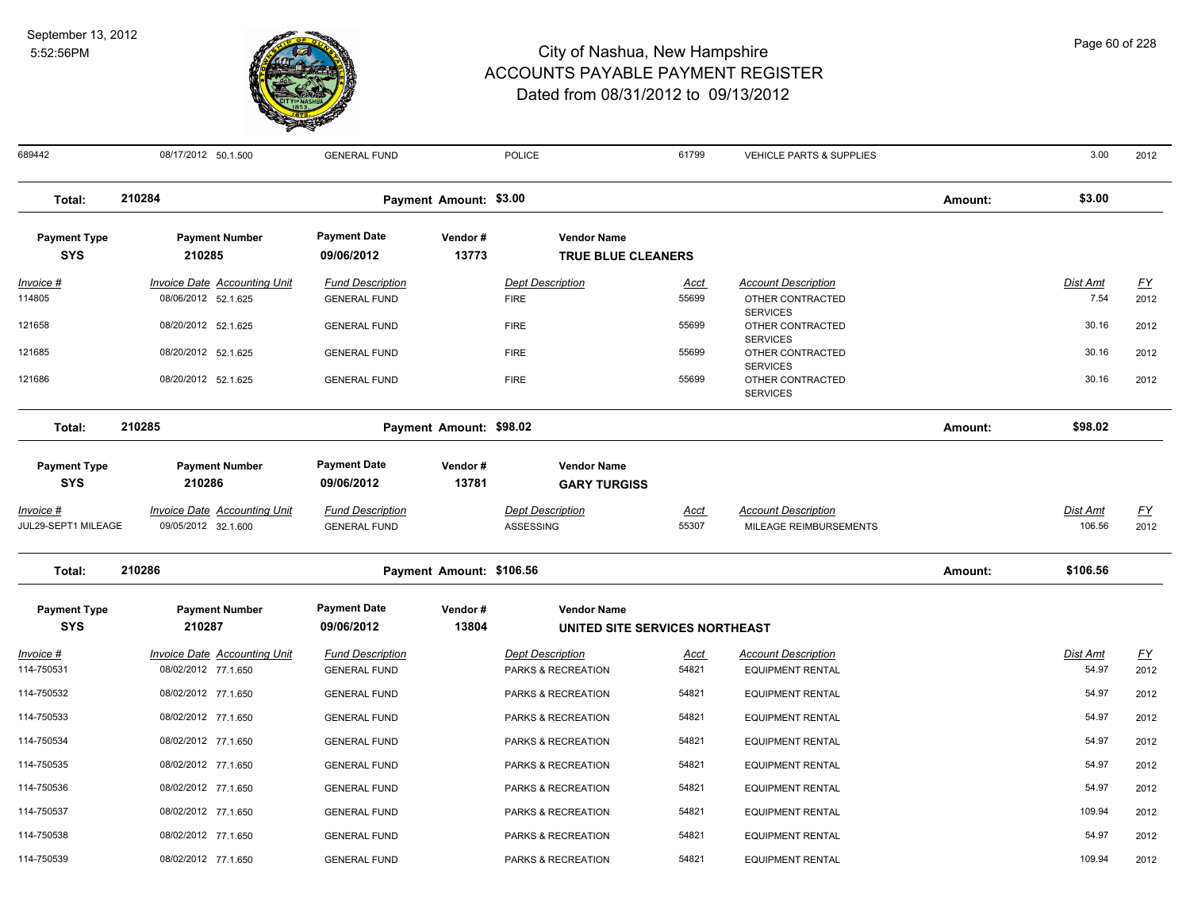

| 689442                  | 08/17/2012 50.1.500                                        | <b>GENERAL FUND</b>                            |                          | POLICE                                        | 61799                | VEHICLE PARTS & SUPPLIES                              |         | 3.00              | 2012              |
|-------------------------|------------------------------------------------------------|------------------------------------------------|--------------------------|-----------------------------------------------|----------------------|-------------------------------------------------------|---------|-------------------|-------------------|
| Total:                  | 210284                                                     |                                                | Payment Amount: \$3.00   |                                               |                      |                                                       | Amount: | \$3.00            |                   |
| <b>Payment Type</b>     | <b>Payment Number</b>                                      | <b>Payment Date</b>                            | Vendor#                  | <b>Vendor Name</b>                            |                      |                                                       |         |                   |                   |
| <b>SYS</b>              | 210285                                                     | 09/06/2012                                     | 13773                    | <b>TRUE BLUE CLEANERS</b>                     |                      |                                                       |         |                   |                   |
| Invoice #               | Invoice Date Accounting Unit                               | <b>Fund Description</b>                        |                          | <b>Dept Description</b>                       | Acct                 | <b>Account Description</b>                            |         | Dist Amt          | <u>FY</u>         |
| 114805                  | 08/06/2012 52.1.625                                        | <b>GENERAL FUND</b>                            |                          | <b>FIRE</b>                                   | 55699                | OTHER CONTRACTED<br><b>SERVICES</b>                   |         | 7.54              | 2012              |
| 121658                  | 08/20/2012 52.1.625                                        | <b>GENERAL FUND</b>                            |                          | <b>FIRE</b>                                   | 55699                | OTHER CONTRACTED                                      |         | 30.16             | 2012              |
| 121685                  | 08/20/2012 52.1.625                                        | <b>GENERAL FUND</b>                            |                          | <b>FIRE</b>                                   | 55699                | <b>SERVICES</b><br>OTHER CONTRACTED                   |         | 30.16             | 2012              |
| 121686                  | 08/20/2012 52.1.625                                        | <b>GENERAL FUND</b>                            |                          | <b>FIRE</b>                                   | 55699                | <b>SERVICES</b><br>OTHER CONTRACTED                   |         | 30.16             | 2012              |
|                         |                                                            |                                                |                          |                                               |                      | <b>SERVICES</b>                                       |         |                   |                   |
| Total:                  | 210285                                                     |                                                | Payment Amount: \$98.02  |                                               |                      |                                                       | Amount: | \$98.02           |                   |
| <b>Payment Type</b>     | <b>Payment Number</b>                                      | <b>Payment Date</b>                            | Vendor#                  | <b>Vendor Name</b>                            |                      |                                                       |         |                   |                   |
| <b>SYS</b>              | 210286                                                     | 09/06/2012                                     | 13781                    | <b>GARY TURGISS</b>                           |                      |                                                       |         |                   |                   |
| <u> Invoice #</u>       | <b>Invoice Date Accounting Unit</b>                        | <b>Fund Description</b>                        |                          | <b>Dept Description</b>                       | <u>Acct</u>          | <b>Account Description</b>                            |         | <b>Dist Amt</b>   | <u>FY</u>         |
| JUL29-SEPT1 MILEAGE     | 09/05/2012 32.1.600                                        | <b>GENERAL FUND</b>                            |                          | ASSESSING                                     | 55307                | MILEAGE REIMBURSEMENTS                                |         | 106.56            | 2012              |
| Total:                  | 210286                                                     |                                                | Payment Amount: \$106.56 |                                               |                      |                                                       | Amount: | \$106.56          |                   |
| <b>Payment Type</b>     | <b>Payment Number</b>                                      | <b>Payment Date</b>                            | Vendor#                  | <b>Vendor Name</b>                            |                      |                                                       |         |                   |                   |
| <b>SYS</b>              | 210287                                                     | 09/06/2012                                     | 13804                    | UNITED SITE SERVICES NORTHEAST                |                      |                                                       |         |                   |                   |
| Invoice #<br>114-750531 | <b>Invoice Date Accounting Unit</b><br>08/02/2012 77.1.650 | <b>Fund Description</b><br><b>GENERAL FUND</b> |                          | <b>Dept Description</b><br>PARKS & RECREATION | <u>Acct</u><br>54821 | <b>Account Description</b><br><b>EQUIPMENT RENTAL</b> |         | Dist Amt<br>54.97 | <u>FY</u><br>2012 |
| 114-750532              | 08/02/2012 77.1.650                                        | <b>GENERAL FUND</b>                            |                          | PARKS & RECREATION                            | 54821                | <b>EQUIPMENT RENTAL</b>                               |         | 54.97             | 2012              |
| 114-750533              | 08/02/2012 77.1.650                                        | <b>GENERAL FUND</b>                            |                          | PARKS & RECREATION                            | 54821                | <b>EQUIPMENT RENTAL</b>                               |         | 54.97             | 2012              |
| 114-750534              | 08/02/2012 77.1.650                                        | <b>GENERAL FUND</b>                            |                          | PARKS & RECREATION                            | 54821                | <b>EQUIPMENT RENTAL</b>                               |         | 54.97             | 2012              |
| 114-750535              | 08/02/2012 77.1.650                                        | <b>GENERAL FUND</b>                            |                          | PARKS & RECREATION                            | 54821                | <b>EQUIPMENT RENTAL</b>                               |         | 54.97             | 2012              |
| 114-750536              | 08/02/2012 77.1.650                                        | <b>GENERAL FUND</b>                            |                          | PARKS & RECREATION                            | 54821                | <b>EQUIPMENT RENTAL</b>                               |         | 54.97             | 2012              |
| 114-750537              | 08/02/2012 77.1.650                                        | <b>GENERAL FUND</b>                            |                          | PARKS & RECREATION                            | 54821                | <b>EQUIPMENT RENTAL</b>                               |         | 109.94            | 2012              |
| 114-750538              | 08/02/2012 77.1.650                                        | <b>GENERAL FUND</b>                            |                          | PARKS & RECREATION                            | 54821                | <b>EQUIPMENT RENTAL</b>                               |         | 54.97             | 2012              |
| 114-750539              | 08/02/2012 77.1.650                                        | <b>GENERAL FUND</b>                            |                          | PARKS & RECREATION                            | 54821                | <b>EQUIPMENT RENTAL</b>                               |         | 109.94            | 2012              |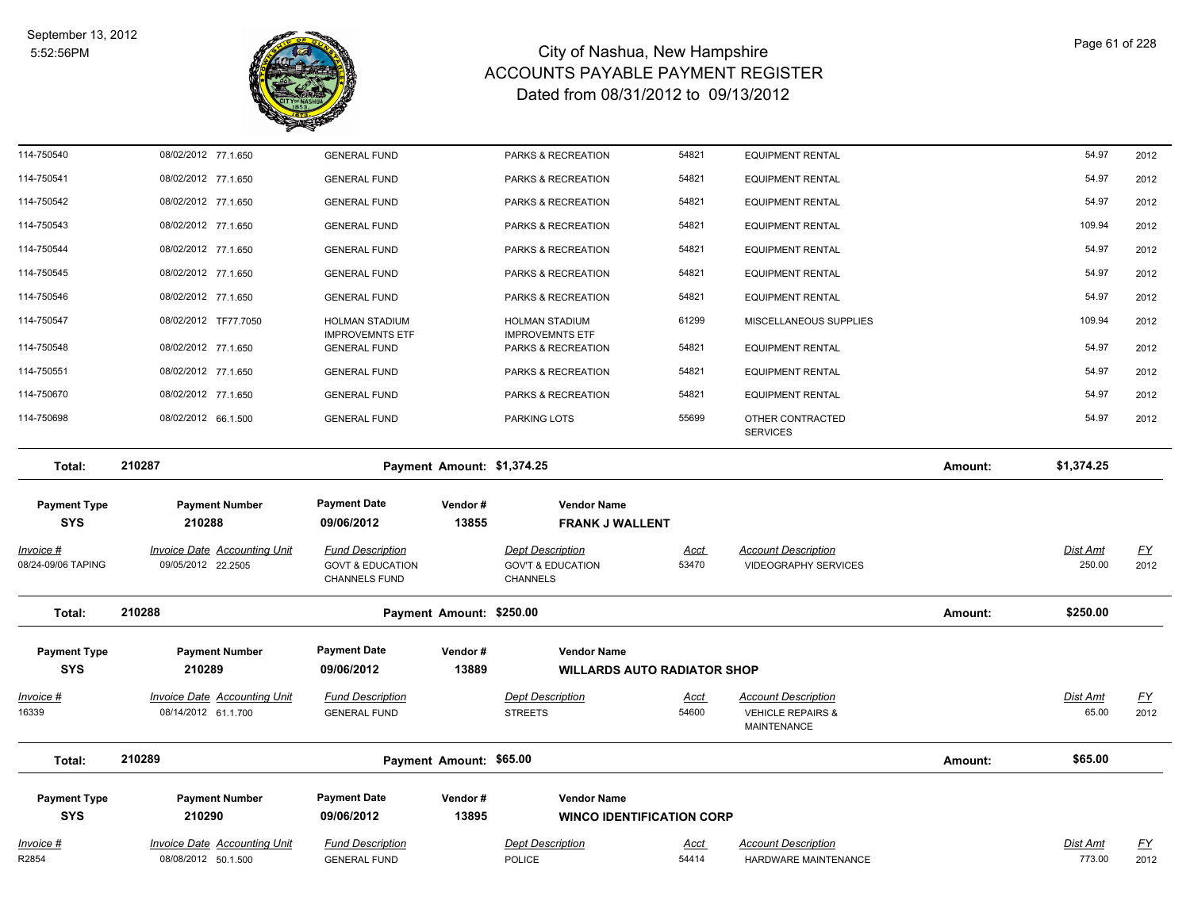

| Invoice #<br>R2854                      | <b>Invoice Date Accounting Unit</b><br>08/08/2012 50.1.500 | <b>Fund Description</b><br><b>GENERAL FUND</b>                                 |                            | <b>Dept Description</b><br><b>POLICE</b>                                   | <u>Acct</u><br>54414 | <b>Account Description</b><br>HARDWARE MAINTENANCE                               |         | Dist Amt<br>773.00       | <u>FY</u><br>2012 |
|-----------------------------------------|------------------------------------------------------------|--------------------------------------------------------------------------------|----------------------------|----------------------------------------------------------------------------|----------------------|----------------------------------------------------------------------------------|---------|--------------------------|-------------------|
| <b>Payment Type</b><br><b>SYS</b>       | <b>Payment Number</b><br>210290                            | <b>Payment Date</b><br>09/06/2012                                              | Vendor#<br>13895           | <b>Vendor Name</b><br><b>WINCO IDENTIFICATION CORP</b>                     |                      |                                                                                  |         |                          |                   |
| Total:                                  | 210289                                                     |                                                                                | Payment Amount: \$65.00    |                                                                            |                      |                                                                                  | Amount: | \$65.00                  |                   |
| <u>Invoice #</u><br>16339               | <b>Invoice Date Accounting Unit</b><br>08/14/2012 61.1.700 | <b>Fund Description</b><br><b>GENERAL FUND</b>                                 |                            | <b>Dept Description</b><br><b>STREETS</b>                                  | <u>Acct</u><br>54600 | <b>Account Description</b><br><b>VEHICLE REPAIRS &amp;</b><br><b>MAINTENANCE</b> |         | <b>Dist Amt</b><br>65.00 | <u>FY</u><br>2012 |
| <b>SYS</b>                              | 210289                                                     | 09/06/2012                                                                     | 13889                      | <b>WILLARDS AUTO RADIATOR SHOP</b>                                         |                      |                                                                                  |         |                          |                   |
| <b>Payment Type</b>                     | <b>Payment Number</b>                                      | <b>Payment Date</b>                                                            | Vendor#                    | <b>Vendor Name</b>                                                         |                      |                                                                                  |         |                          |                   |
| Total:                                  | 210288                                                     |                                                                                | Payment Amount: \$250.00   |                                                                            |                      |                                                                                  | Amount: | \$250.00                 |                   |
| <u> Invoice #</u><br>08/24-09/06 TAPING | <b>Invoice Date Accounting Unit</b><br>09/05/2012 22.2505  | <b>Fund Description</b><br><b>GOVT &amp; EDUCATION</b><br><b>CHANNELS FUND</b> |                            | <b>Dept Description</b><br><b>GOV'T &amp; EDUCATION</b><br><b>CHANNELS</b> | <u>Acct</u><br>53470 | <b>Account Description</b><br><b>VIDEOGRAPHY SERVICES</b>                        |         | Dist Amt<br>250.00       | <u>FY</u><br>2012 |
| <b>Payment Type</b><br><b>SYS</b>       | <b>Payment Number</b><br>210288                            | <b>Payment Date</b><br>09/06/2012                                              | Vendor#<br>13855           | <b>Vendor Name</b><br><b>FRANK J WALLENT</b>                               |                      |                                                                                  |         |                          |                   |
| Total:                                  | 210287                                                     |                                                                                | Payment Amount: \$1,374.25 |                                                                            |                      |                                                                                  | Amount: | \$1,374.25               |                   |
| 114-750698                              | 08/02/2012 66.1.500                                        | <b>GENERAL FUND</b>                                                            |                            | PARKING LOTS                                                               | 55699                | OTHER CONTRACTED<br><b>SERVICES</b>                                              |         | 54.97                    | 2012              |
| 114-750670                              | 08/02/2012 77.1.650                                        | <b>GENERAL FUND</b>                                                            |                            | PARKS & RECREATION                                                         | 54821                | <b>EQUIPMENT RENTAL</b>                                                          |         | 54.97                    | 2012              |
| 114-750551                              | 08/02/2012 77.1.650                                        | <b>GENERAL FUND</b>                                                            |                            | PARKS & RECREATION                                                         | 54821                | <b>EQUIPMENT RENTAL</b>                                                          |         | 54.97                    | 2012              |
| 114-750548                              | 08/02/2012 77.1.650                                        | <b>IMPROVEMNTS ETF</b><br><b>GENERAL FUND</b>                                  |                            | <b>IMPROVEMNTS ETF</b><br>PARKS & RECREATION                               | 54821                | <b>EQUIPMENT RENTAL</b>                                                          |         | 54.97                    | 2012              |
| 114-750547                              | 08/02/2012 TF77.7050                                       | <b>HOLMAN STADIUM</b>                                                          |                            | <b>HOLMAN STADIUM</b>                                                      | 61299                | MISCELLANEOUS SUPPLIES                                                           |         | 109.94                   | 2012              |
| 114-750546                              | 08/02/2012 77.1.650                                        | <b>GENERAL FUND</b>                                                            |                            | PARKS & RECREATION                                                         | 54821                | <b>EQUIPMENT RENTAL</b>                                                          |         | 54.97                    | 2012              |
| 114-750545                              | 08/02/2012 77.1.650                                        | <b>GENERAL FUND</b>                                                            |                            | PARKS & RECREATION                                                         | 54821                | <b>EQUIPMENT RENTAL</b>                                                          |         | 54.97                    | 2012              |
| 114-750544                              | 08/02/2012 77.1.650                                        | <b>GENERAL FUND</b>                                                            |                            | PARKS & RECREATION                                                         | 54821                | <b>EQUIPMENT RENTAL</b>                                                          |         | 54.97                    | 2012              |
| 114-750543                              | 08/02/2012 77.1.650                                        | <b>GENERAL FUND</b>                                                            |                            | PARKS & RECREATION                                                         | 54821                | <b>EQUIPMENT RENTAL</b>                                                          |         | 109.94                   | 2012              |
| 114-750542                              | 08/02/2012 77.1.650                                        | <b>GENERAL FUND</b>                                                            |                            | PARKS & RECREATION                                                         | 54821                | <b>EQUIPMENT RENTAL</b>                                                          |         | 54.97                    | 2012              |
| 114-750541                              | 08/02/2012 77.1.650                                        | <b>GENERAL FUND</b>                                                            |                            | PARKS & RECREATION                                                         | 54821                | <b>EQUIPMENT RENTAL</b>                                                          |         | 54.97                    | 2012              |
| 114-750540                              | 08/02/2012 77.1.650                                        | <b>GENERAL FUND</b>                                                            |                            | PARKS & RECREATION                                                         | 54821                | <b>EQUIPMENT RENTAL</b>                                                          |         | 54.97                    | 2012              |

Page 61 of 228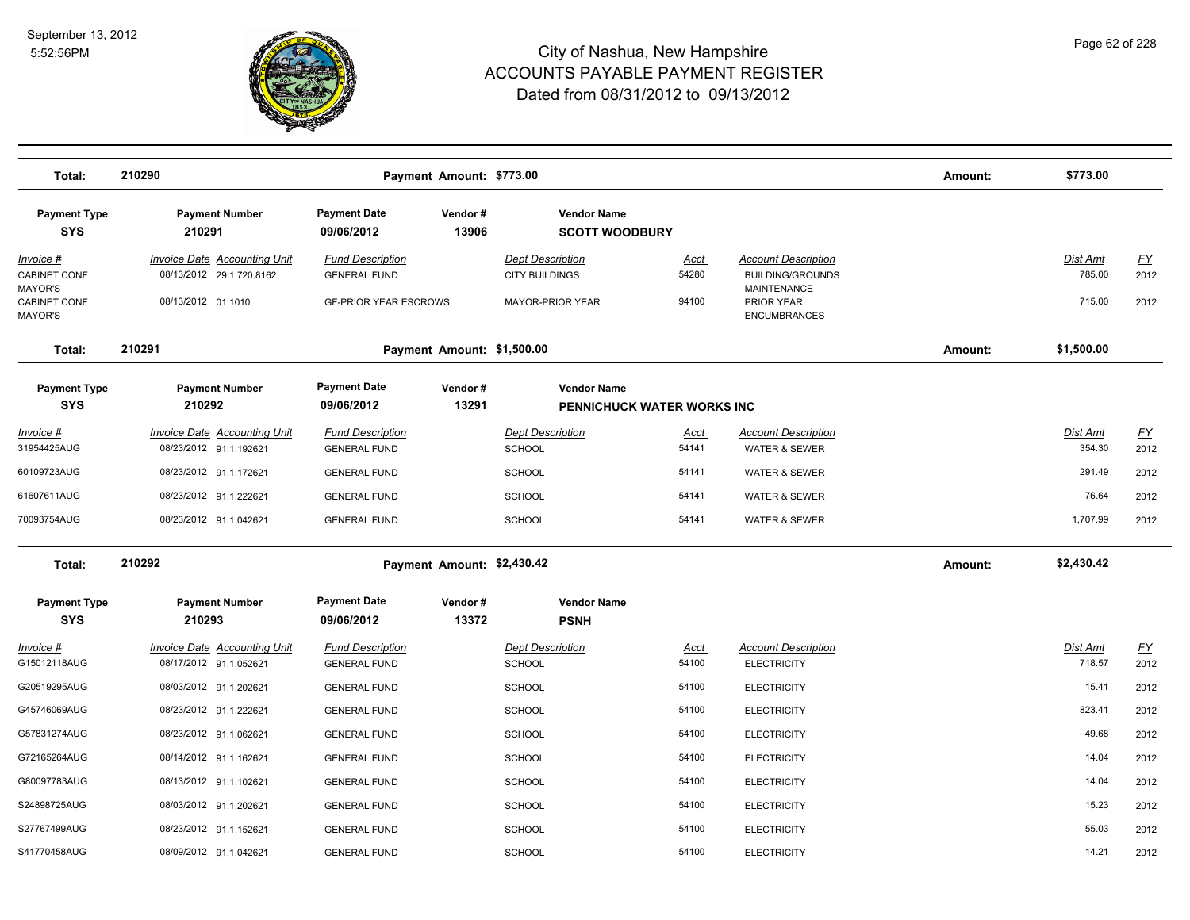

| Total:                                      | 210290                                                          |                                                | Payment Amount: \$773.00   |                                                  |                      |                                                                             | Amount: | \$773.00           |                   |
|---------------------------------------------|-----------------------------------------------------------------|------------------------------------------------|----------------------------|--------------------------------------------------|----------------------|-----------------------------------------------------------------------------|---------|--------------------|-------------------|
| <b>Payment Type</b><br><b>SYS</b>           | <b>Payment Number</b><br>210291                                 | <b>Payment Date</b><br>09/06/2012              | Vendor#<br>13906           | <b>Vendor Name</b><br><b>SCOTT WOODBURY</b>      |                      |                                                                             |         |                    |                   |
| Invoice #<br><b>CABINET CONF</b><br>MAYOR'S | <b>Invoice Date Accounting Unit</b><br>08/13/2012 29.1.720.8162 | <b>Fund Description</b><br><b>GENERAL FUND</b> |                            | <b>Dept Description</b><br><b>CITY BUILDINGS</b> | Acct<br>54280        | <b>Account Description</b><br><b>BUILDING/GROUNDS</b><br><b>MAINTENANCE</b> |         | Dist Amt<br>785.00 | <u>FY</u><br>2012 |
| <b>CABINET CONF</b><br><b>MAYOR'S</b>       | 08/13/2012 01.1010                                              | <b>GF-PRIOR YEAR ESCROWS</b>                   |                            | <b>MAYOR-PRIOR YEAR</b>                          | 94100                | PRIOR YEAR<br><b>ENCUMBRANCES</b>                                           |         | 715.00             | 2012              |
| Total:                                      | 210291                                                          |                                                | Payment Amount: \$1,500.00 |                                                  |                      |                                                                             | Amount: | \$1,500.00         |                   |
| <b>Payment Type</b><br><b>SYS</b>           | <b>Payment Number</b><br>210292                                 | <b>Payment Date</b><br>09/06/2012              | Vendor#<br>13291           | <b>Vendor Name</b><br>PENNICHUCK WATER WORKS INC |                      |                                                                             |         |                    |                   |
| Invoice #<br>31954425AUG                    | <b>Invoice Date Accounting Unit</b><br>08/23/2012 91.1.192621   | <b>Fund Description</b><br><b>GENERAL FUND</b> |                            | <b>Dept Description</b><br><b>SCHOOL</b>         | <u>Acct</u><br>54141 | <b>Account Description</b><br><b>WATER &amp; SEWER</b>                      |         | Dist Amt<br>354.30 | <u>FY</u><br>2012 |
| 60109723AUG                                 | 08/23/2012 91.1.172621                                          | <b>GENERAL FUND</b>                            |                            | SCHOOL                                           | 54141                | <b>WATER &amp; SEWER</b>                                                    |         | 291.49             | 2012              |
| 61607611AUG                                 | 08/23/2012 91.1.222621                                          | <b>GENERAL FUND</b>                            |                            | <b>SCHOOL</b>                                    | 54141                | <b>WATER &amp; SEWER</b>                                                    |         | 76.64              | 2012              |
| 70093754AUG                                 | 08/23/2012 91.1.042621                                          | <b>GENERAL FUND</b>                            |                            | <b>SCHOOL</b>                                    | 54141                | <b>WATER &amp; SEWER</b>                                                    |         | 1,707.99           | 2012              |
| Total:                                      | 210292                                                          |                                                | Payment Amount: \$2,430.42 |                                                  |                      |                                                                             | Amount: | \$2,430.42         |                   |
| <b>Payment Type</b><br><b>SYS</b>           | <b>Payment Number</b><br>210293                                 | <b>Payment Date</b><br>09/06/2012              | Vendor#<br>13372           | <b>Vendor Name</b><br><b>PSNH</b>                |                      |                                                                             |         |                    |                   |
| <u> Invoice #</u><br>G15012118AUG           | <b>Invoice Date Accounting Unit</b><br>08/17/2012 91.1.052621   | <b>Fund Description</b><br><b>GENERAL FUND</b> |                            | <b>Dept Description</b><br>SCHOOL                | <u>Acct</u><br>54100 | <b>Account Description</b><br><b>ELECTRICITY</b>                            |         | Dist Amt<br>718.57 | <u>FY</u><br>2012 |
| G20519295AUG                                | 08/03/2012 91.1.202621                                          | <b>GENERAL FUND</b>                            |                            | <b>SCHOOL</b>                                    | 54100                | <b>ELECTRICITY</b>                                                          |         | 15.41              | 2012              |
| G45746069AUG                                | 08/23/2012 91.1.222621                                          | <b>GENERAL FUND</b>                            |                            | <b>SCHOOL</b>                                    | 54100                | <b>ELECTRICITY</b>                                                          |         | 823.41             | 2012              |
| G57831274AUG                                | 08/23/2012 91.1.062621                                          | <b>GENERAL FUND</b>                            |                            | <b>SCHOOL</b>                                    | 54100                | <b>ELECTRICITY</b>                                                          |         | 49.68              | 2012              |
| G72165264AUG                                | 08/14/2012 91.1.162621                                          | <b>GENERAL FUND</b>                            |                            | <b>SCHOOL</b>                                    | 54100                | <b>ELECTRICITY</b>                                                          |         | 14.04              | 2012              |
| G80097783AUG                                | 08/13/2012 91.1.102621                                          | <b>GENERAL FUND</b>                            |                            | <b>SCHOOL</b>                                    | 54100                | <b>ELECTRICITY</b>                                                          |         | 14.04              | 2012              |
| S24898725AUG                                | 08/03/2012 91.1.202621                                          | <b>GENERAL FUND</b>                            |                            | <b>SCHOOL</b>                                    | 54100                | <b>ELECTRICITY</b>                                                          |         | 15.23              | 2012              |
| S27767499AUG                                | 08/23/2012 91.1.152621                                          | <b>GENERAL FUND</b>                            |                            | SCHOOL                                           | 54100                | <b>ELECTRICITY</b>                                                          |         | 55.03              | 2012              |
| S41770458AUG                                | 08/09/2012 91.1.042621                                          | <b>GENERAL FUND</b>                            |                            | <b>SCHOOL</b>                                    | 54100                | <b>ELECTRICITY</b>                                                          |         | 14.21              | 2012              |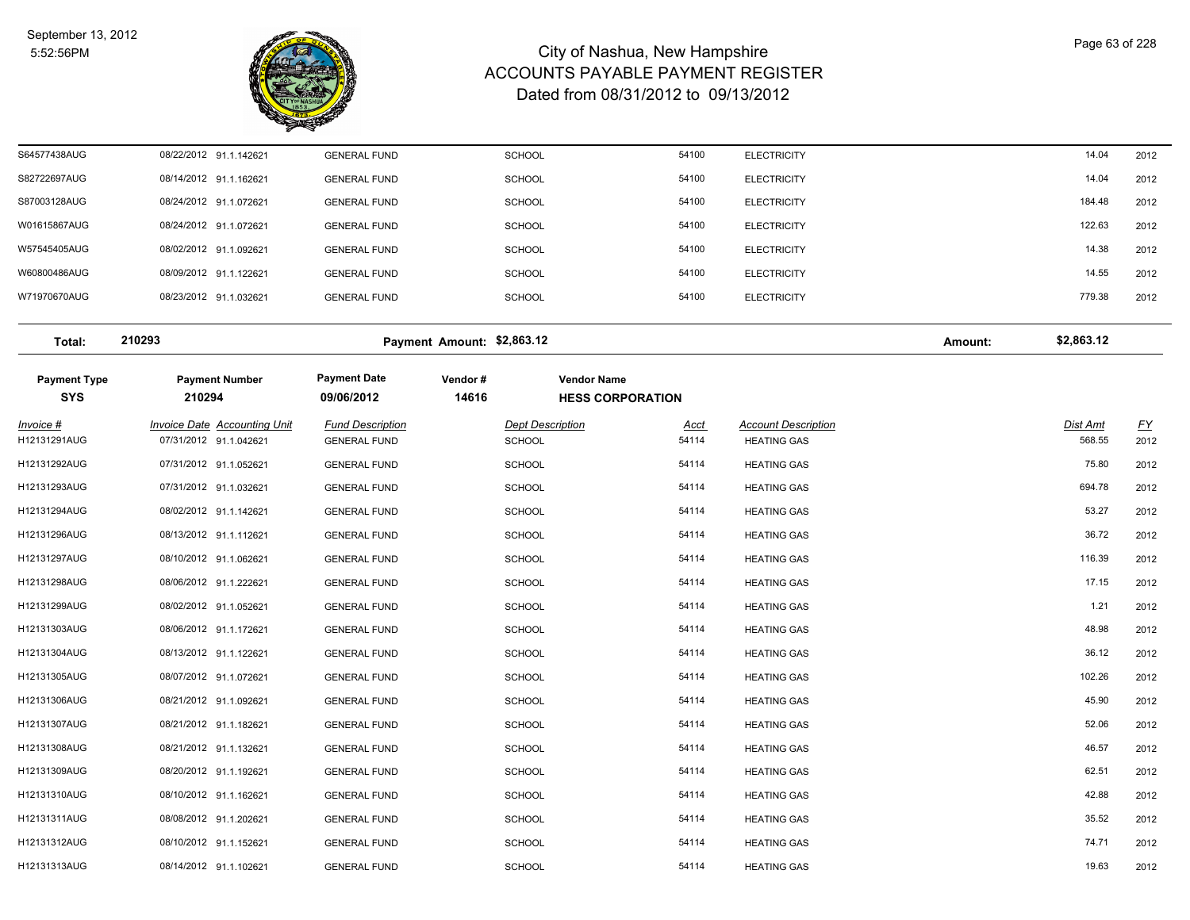

| S64577438AUG | 08/22/2012 91.1.142621 | <b>GENERAL FUND</b> | <b>SCHOOL</b> | 54100 | <b>ELECTRICITY</b> | 14.04  | 2012 |
|--------------|------------------------|---------------------|---------------|-------|--------------------|--------|------|
| S82722697AUG | 08/14/2012 91.1.162621 | <b>GENERAL FUND</b> | <b>SCHOOL</b> | 54100 | <b>ELECTRICITY</b> | 14.04  | 2012 |
| S87003128AUG | 08/24/2012 91.1.072621 | <b>GENERAL FUND</b> | <b>SCHOOL</b> | 54100 | <b>ELECTRICITY</b> | 184.48 | 2012 |
| W01615867AUG | 08/24/2012 91.1.072621 | <b>GENERAL FUND</b> | <b>SCHOOL</b> | 54100 | <b>ELECTRICITY</b> | 122.63 | 2012 |
| W57545405AUG | 08/02/2012 91.1.092621 | <b>GENERAL FUND</b> | <b>SCHOOL</b> | 54100 | <b>ELECTRICITY</b> | 14.38  | 2012 |
| W60800486AUG | 08/09/2012 91.1.122621 | <b>GENERAL FUND</b> | <b>SCHOOL</b> | 54100 | <b>ELECTRICITY</b> | 14.55  | 2012 |
| W71970670AUG | 08/23/2012 91.1.032621 | <b>GENERAL FUND</b> | <b>SCHOOL</b> | 54100 | <b>ELECTRICITY</b> | 779.38 | 2012 |
|              |                        |                     |               |       |                    |        |      |

**Total: 210293 Payment Amount: \$2,863.12 Amount: \$2,863.12**

| <b>Payment Type</b><br><b>SYS</b> | <b>Payment Number</b><br>210294                        | <b>Payment Date</b><br>09/06/2012              | Vendor#<br>14616 | <b>Vendor Name</b><br><b>HESS CORPORATION</b> |                                                  |                    |                          |
|-----------------------------------|--------------------------------------------------------|------------------------------------------------|------------------|-----------------------------------------------|--------------------------------------------------|--------------------|--------------------------|
|                                   |                                                        |                                                |                  |                                               |                                                  |                    |                          |
| Invoice #<br>H12131291AUG         | Invoice Date Accounting Unit<br>07/31/2012 91.1.042621 | <b>Fund Description</b><br><b>GENERAL FUND</b> | <b>SCHOOL</b>    | <b>Dept Description</b><br>Acct<br>54114      | <b>Account Description</b><br><b>HEATING GAS</b> | Dist Amt<br>568.55 | $\underline{FY}$<br>2012 |
| H12131292AUG                      | 07/31/2012 91.1.052621                                 | <b>GENERAL FUND</b>                            | <b>SCHOOL</b>    | 54114                                         | <b>HEATING GAS</b>                               | 75.80              | 2012                     |
| H12131293AUG                      | 07/31/2012 91.1.032621                                 | <b>GENERAL FUND</b>                            | <b>SCHOOL</b>    | 54114                                         | <b>HEATING GAS</b>                               | 694.78             | 2012                     |
| H12131294AUG                      | 08/02/2012 91.1.142621                                 | <b>GENERAL FUND</b>                            | SCHOOL           | 54114                                         | <b>HEATING GAS</b>                               | 53.27              | 2012                     |
| H12131296AUG                      | 08/13/2012 91.1.112621                                 | <b>GENERAL FUND</b>                            | SCHOOL           | 54114                                         | <b>HEATING GAS</b>                               | 36.72              | 2012                     |
| H12131297AUG                      | 08/10/2012 91.1.062621                                 | <b>GENERAL FUND</b>                            | <b>SCHOOL</b>    | 54114                                         | <b>HEATING GAS</b>                               | 116.39             | 2012                     |
| H12131298AUG                      | 08/06/2012 91.1.222621                                 | <b>GENERAL FUND</b>                            | <b>SCHOOL</b>    | 54114                                         | <b>HEATING GAS</b>                               | 17.15              | 2012                     |
| H12131299AUG                      | 08/02/2012 91.1.052621                                 | <b>GENERAL FUND</b>                            | <b>SCHOOL</b>    | 54114                                         | <b>HEATING GAS</b>                               | 1.21               | 2012                     |
| H12131303AUG                      | 08/06/2012 91.1.172621                                 | <b>GENERAL FUND</b>                            | <b>SCHOOL</b>    | 54114                                         | <b>HEATING GAS</b>                               | 48.98              | 2012                     |
| H12131304AUG                      | 08/13/2012 91.1.122621                                 | <b>GENERAL FUND</b>                            | <b>SCHOOL</b>    | 54114                                         | <b>HEATING GAS</b>                               | 36.12              | 2012                     |
| H12131305AUG                      | 08/07/2012 91.1.072621                                 | <b>GENERAL FUND</b>                            | SCHOOL           | 54114                                         | <b>HEATING GAS</b>                               | 102.26             | 2012                     |
| H12131306AUG                      | 08/21/2012 91.1.092621                                 | <b>GENERAL FUND</b>                            | <b>SCHOOL</b>    | 54114                                         | <b>HEATING GAS</b>                               | 45.90              | 2012                     |
| H12131307AUG                      | 08/21/2012 91.1.182621                                 | <b>GENERAL FUND</b>                            | <b>SCHOOL</b>    | 54114                                         | <b>HEATING GAS</b>                               | 52.06              | 2012                     |
| H12131308AUG                      | 08/21/2012 91.1.132621                                 | <b>GENERAL FUND</b>                            | <b>SCHOOL</b>    | 54114                                         | <b>HEATING GAS</b>                               | 46.57              | 2012                     |
| H12131309AUG                      | 08/20/2012 91.1.192621                                 | <b>GENERAL FUND</b>                            | <b>SCHOOL</b>    | 54114                                         | <b>HEATING GAS</b>                               | 62.51              | 2012                     |
| H12131310AUG                      | 08/10/2012 91.1.162621                                 | <b>GENERAL FUND</b>                            | <b>SCHOOL</b>    | 54114                                         | <b>HEATING GAS</b>                               | 42.88              | 2012                     |
| H12131311AUG                      | 08/08/2012 91.1.202621                                 | <b>GENERAL FUND</b>                            | <b>SCHOOL</b>    | 54114                                         | <b>HEATING GAS</b>                               | 35.52              | 2012                     |
| H12131312AUG                      | 08/10/2012 91.1.152621                                 | <b>GENERAL FUND</b>                            | SCHOOL           | 54114                                         | <b>HEATING GAS</b>                               | 74.71              | 2012                     |
| H12131313AUG                      | 08/14/2012 91.1.102621                                 | <b>GENERAL FUND</b>                            | <b>SCHOOL</b>    | 54114                                         | <b>HEATING GAS</b>                               | 19.63              | 2012                     |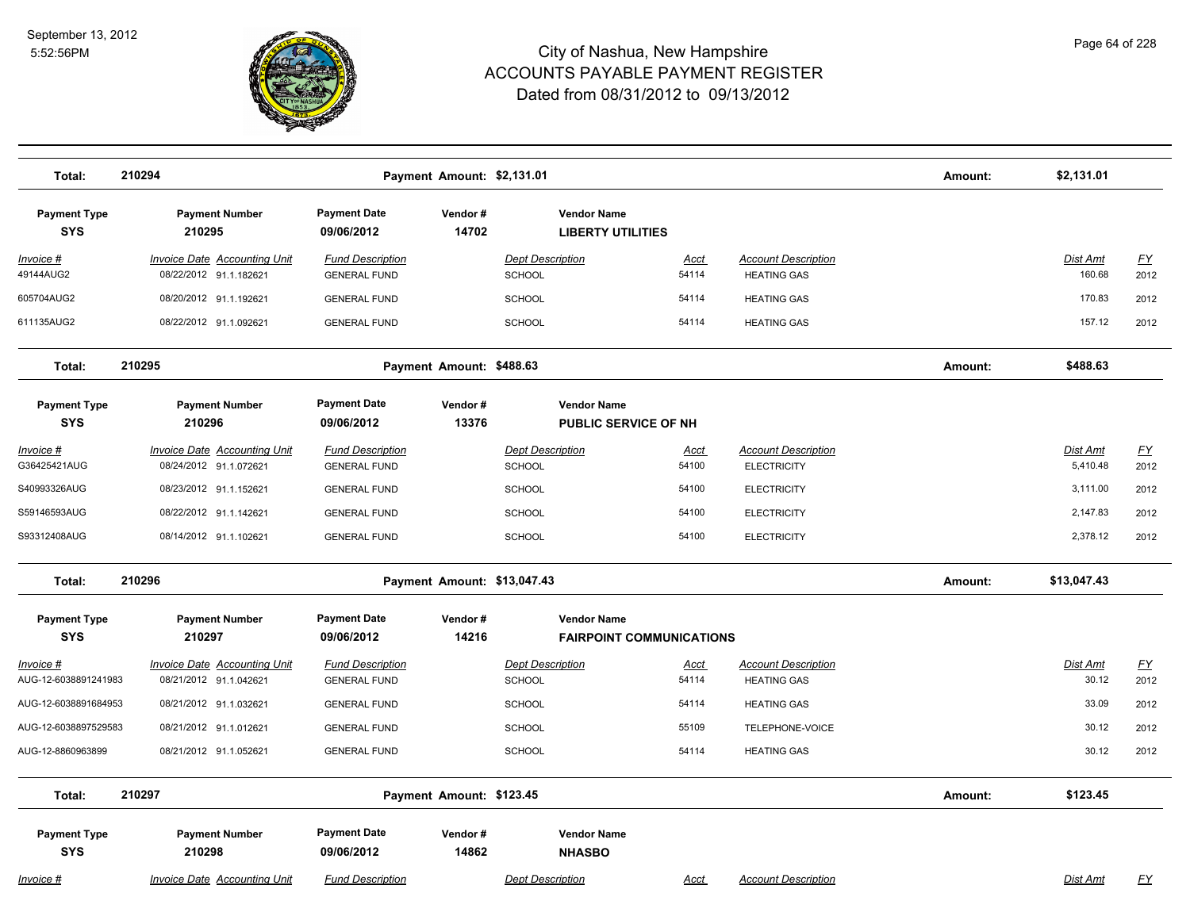

| Total:                            | 210294                                                        |                                                | Payment Amount: \$2,131.01  |                                                   |                                 |                                                  | Amount: | \$2,131.01                  |                          |
|-----------------------------------|---------------------------------------------------------------|------------------------------------------------|-----------------------------|---------------------------------------------------|---------------------------------|--------------------------------------------------|---------|-----------------------------|--------------------------|
| <b>Payment Type</b><br><b>SYS</b> | <b>Payment Number</b><br>210295                               | <b>Payment Date</b><br>09/06/2012              | Vendor#<br>14702            | <b>Vendor Name</b><br><b>LIBERTY UTILITIES</b>    |                                 |                                                  |         |                             |                          |
| Invoice #<br>49144AUG2            | Invoice Date Accounting Unit<br>08/22/2012 91.1.182621        | <b>Fund Description</b><br><b>GENERAL FUND</b> |                             | <b>Dept Description</b><br><b>SCHOOL</b>          | <b>Acct</b><br>54114            | <b>Account Description</b><br><b>HEATING GAS</b> |         | Dist Amt<br>160.68          | $\underline{FY}$<br>2012 |
| 605704AUG2                        | 08/20/2012 91.1.192621                                        | <b>GENERAL FUND</b>                            |                             | <b>SCHOOL</b>                                     | 54114                           | <b>HEATING GAS</b>                               |         | 170.83                      | 2012                     |
| 611135AUG2                        | 08/22/2012 91.1.092621                                        | <b>GENERAL FUND</b>                            |                             | <b>SCHOOL</b>                                     | 54114                           | <b>HEATING GAS</b>                               |         | 157.12                      | 2012                     |
| Total:                            | 210295                                                        |                                                | Payment Amount: \$488.63    |                                                   |                                 |                                                  | Amount: | \$488.63                    |                          |
| <b>Payment Type</b><br><b>SYS</b> | <b>Payment Number</b><br>210296                               | <b>Payment Date</b><br>09/06/2012              | Vendor#<br>13376            | <b>Vendor Name</b><br><b>PUBLIC SERVICE OF NH</b> |                                 |                                                  |         |                             |                          |
| <u> Invoice #</u><br>G36425421AUG | <b>Invoice Date Accounting Unit</b><br>08/24/2012 91.1.072621 | <b>Fund Description</b><br><b>GENERAL FUND</b> |                             | <b>Dept Description</b><br><b>SCHOOL</b>          | <u>Acct</u><br>54100            | <b>Account Description</b><br><b>ELECTRICITY</b> |         | <b>Dist Amt</b><br>5,410.48 | <u>FY</u><br>2012        |
| S40993326AUG                      | 08/23/2012 91.1.152621                                        | <b>GENERAL FUND</b>                            |                             | <b>SCHOOL</b>                                     | 54100                           | <b>ELECTRICITY</b>                               |         | 3,111.00                    | 2012                     |
| S59146593AUG                      | 08/22/2012 91.1.142621                                        | <b>GENERAL FUND</b>                            |                             | <b>SCHOOL</b>                                     | 54100                           | <b>ELECTRICITY</b>                               |         | 2,147.83                    | 2012                     |
| S93312408AUG                      | 08/14/2012 91.1.102621                                        | <b>GENERAL FUND</b>                            |                             | <b>SCHOOL</b>                                     | 54100                           | <b>ELECTRICITY</b>                               |         | 2,378.12                    | 2012                     |
| Total:                            | 210296                                                        |                                                | Payment Amount: \$13,047.43 |                                                   |                                 |                                                  | Amount: | \$13,047.43                 |                          |
| <b>Payment Type</b><br><b>SYS</b> | <b>Payment Number</b><br>210297                               | <b>Payment Date</b><br>09/06/2012              | Vendor#<br>14216            | <b>Vendor Name</b>                                | <b>FAIRPOINT COMMUNICATIONS</b> |                                                  |         |                             |                          |
| Invoice #<br>AUG-12-6038891241983 | <b>Invoice Date Accounting Unit</b><br>08/21/2012 91.1.042621 | <b>Fund Description</b><br><b>GENERAL FUND</b> |                             | <b>Dept Description</b><br><b>SCHOOL</b>          | Acct<br>54114                   | <b>Account Description</b><br><b>HEATING GAS</b> |         | Dist Amt<br>30.12           | $\underline{FY}$<br>2012 |
| AUG-12-6038891684953              | 08/21/2012 91.1.032621                                        | <b>GENERAL FUND</b>                            |                             | <b>SCHOOL</b>                                     | 54114                           | <b>HEATING GAS</b>                               |         | 33.09                       | 2012                     |
| AUG-12-6038897529583              | 08/21/2012 91.1.012621                                        | <b>GENERAL FUND</b>                            |                             | <b>SCHOOL</b>                                     | 55109                           | TELEPHONE-VOICE                                  |         | 30.12                       | 2012                     |
| AUG-12-8860963899                 | 08/21/2012 91.1.052621                                        | <b>GENERAL FUND</b>                            |                             | <b>SCHOOL</b>                                     | 54114                           | <b>HEATING GAS</b>                               |         | 30.12                       | 2012                     |
| Total:                            | 210297                                                        |                                                | Payment Amount: \$123.45    |                                                   |                                 |                                                  | Amount: | \$123.45                    |                          |
| <b>Payment Type</b><br><b>SYS</b> | <b>Payment Number</b><br>210298                               | <b>Payment Date</b><br>09/06/2012              | Vendor#<br>14862            | <b>Vendor Name</b><br><b>NHASBO</b>               |                                 |                                                  |         |                             |                          |
| Invoice #                         | <b>Invoice Date Accounting Unit</b>                           | <b>Fund Description</b>                        |                             | <b>Dept Description</b>                           | Acct                            | <b>Account Description</b>                       |         | Dist Amt                    | <u>FY</u>                |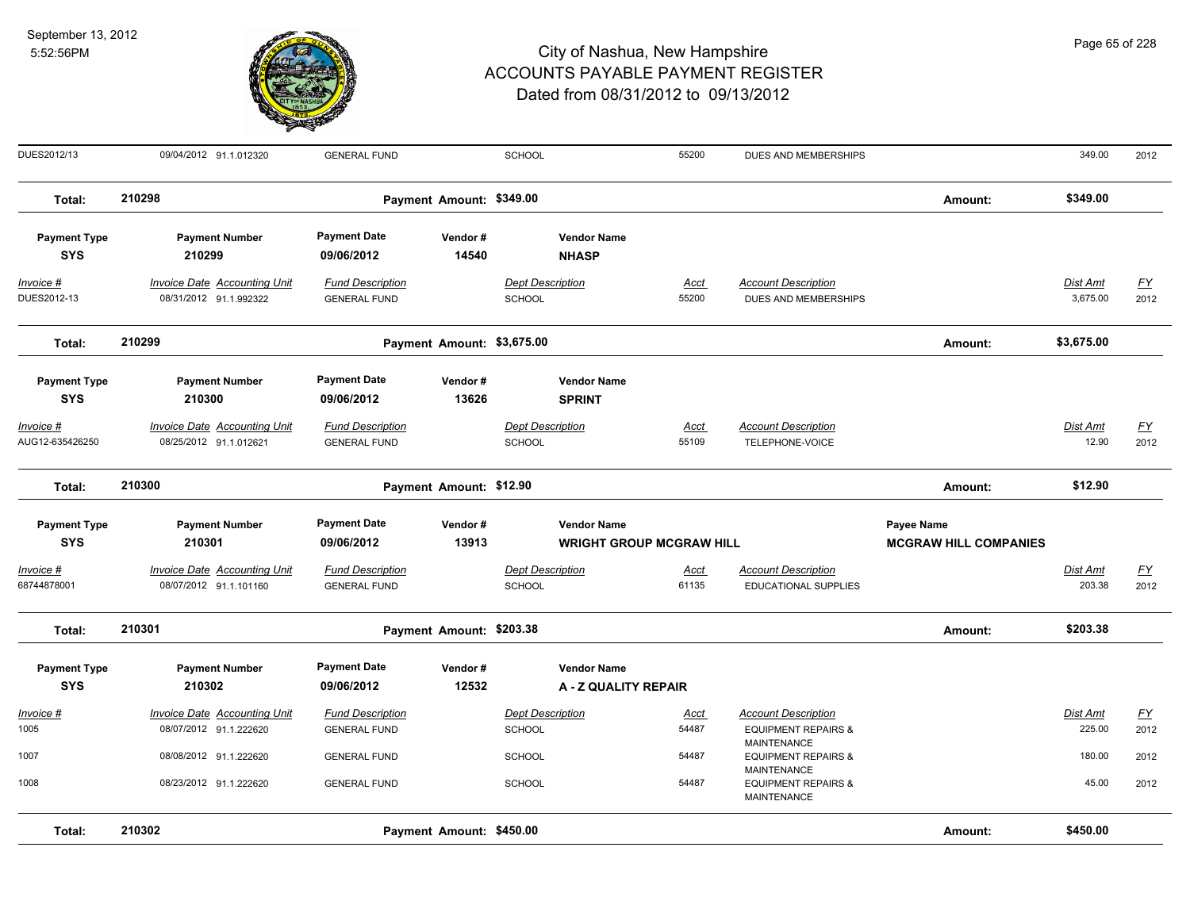

| DUES2012/13                         | 09/04/2012 91.1.012320                                        | <b>GENERAL FUND</b>                            |                            | SCHOOL                                   |                                                       | 55200                | DUES AND MEMBERSHIPS                                                               |                                                   | 349.00                   | 2012                     |
|-------------------------------------|---------------------------------------------------------------|------------------------------------------------|----------------------------|------------------------------------------|-------------------------------------------------------|----------------------|------------------------------------------------------------------------------------|---------------------------------------------------|--------------------------|--------------------------|
| Total:                              | 210298                                                        |                                                | Payment Amount: \$349.00   |                                          |                                                       |                      |                                                                                    | Amount:                                           | \$349.00                 |                          |
| <b>Payment Type</b><br><b>SYS</b>   | <b>Payment Number</b><br>210299                               | <b>Payment Date</b><br>09/06/2012              | Vendor#<br>14540           |                                          | <b>Vendor Name</b><br><b>NHASP</b>                    |                      |                                                                                    |                                                   |                          |                          |
| Invoice #<br>DUES2012-13            | Invoice Date Accounting Unit<br>08/31/2012 91.1.992322        | <b>Fund Description</b><br><b>GENERAL FUND</b> |                            | <b>Dept Description</b><br><b>SCHOOL</b> |                                                       | Acct<br>55200        | <b>Account Description</b><br><b>DUES AND MEMBERSHIPS</b>                          |                                                   | Dist Amt<br>3,675.00     | <u>FY</u><br>2012        |
| Total:                              | 210299                                                        |                                                | Payment Amount: \$3,675.00 |                                          |                                                       |                      |                                                                                    | Amount:                                           | \$3,675.00               |                          |
| <b>Payment Type</b><br><b>SYS</b>   | <b>Payment Number</b><br>210300                               | <b>Payment Date</b><br>09/06/2012              | Vendor#<br>13626           |                                          | <b>Vendor Name</b><br><b>SPRINT</b>                   |                      |                                                                                    |                                                   |                          |                          |
| <u>Invoice #</u><br>AUG12-635426250 | <b>Invoice Date Accounting Unit</b><br>08/25/2012 91.1.012621 | <b>Fund Description</b><br><b>GENERAL FUND</b> |                            | <b>Dept Description</b><br><b>SCHOOL</b> |                                                       | <b>Acct</b><br>55109 | <b>Account Description</b><br>TELEPHONE-VOICE                                      |                                                   | <u>Dist Amt</u><br>12.90 | <u>FY</u><br>2012        |
| Total:                              | 210300                                                        |                                                | Payment Amount: \$12.90    |                                          |                                                       |                      |                                                                                    | Amount:                                           | \$12.90                  |                          |
| <b>Payment Type</b><br><b>SYS</b>   | <b>Payment Number</b><br>210301                               | <b>Payment Date</b><br>09/06/2012              | Vendor#<br>13913           |                                          | <b>Vendor Name</b><br><b>WRIGHT GROUP MCGRAW HILL</b> |                      |                                                                                    | <b>Payee Name</b><br><b>MCGRAW HILL COMPANIES</b> |                          |                          |
| Invoice #<br>68744878001            | Invoice Date Accounting Unit<br>08/07/2012 91.1.101160        | <b>Fund Description</b><br><b>GENERAL FUND</b> |                            | <b>Dept Description</b><br><b>SCHOOL</b> |                                                       | Acct<br>61135        | <b>Account Description</b><br>EDUCATIONAL SUPPLIES                                 |                                                   | Dist Amt<br>203.38       | EY<br>2012               |
| Total:                              | 210301                                                        |                                                | Payment Amount: \$203.38   |                                          |                                                       |                      |                                                                                    | Amount:                                           | \$203.38                 |                          |
| <b>Payment Type</b><br><b>SYS</b>   | <b>Payment Number</b><br>210302                               | <b>Payment Date</b><br>09/06/2012              | Vendor#<br>12532           |                                          | <b>Vendor Name</b><br>A - Z QUALITY REPAIR            |                      |                                                                                    |                                                   |                          |                          |
| Invoice #<br>1005                   | <b>Invoice Date Accounting Unit</b><br>08/07/2012 91.1.222620 | <b>Fund Description</b><br><b>GENERAL FUND</b> |                            | <b>Dept Description</b><br><b>SCHOOL</b> |                                                       | <b>Acct</b><br>54487 | <b>Account Description</b><br><b>EQUIPMENT REPAIRS &amp;</b><br><b>MAINTENANCE</b> |                                                   | Dist Amt<br>225.00       | $\underline{FY}$<br>2012 |
| 1007                                | 08/08/2012 91.1.222620                                        | <b>GENERAL FUND</b>                            |                            | <b>SCHOOL</b>                            |                                                       | 54487                | <b>EQUIPMENT REPAIRS &amp;</b><br><b>MAINTENANCE</b>                               |                                                   | 180.00                   | 2012                     |
| 1008                                | 08/23/2012 91.1.222620                                        | <b>GENERAL FUND</b>                            |                            | <b>SCHOOL</b>                            |                                                       | 54487                | <b>EQUIPMENT REPAIRS &amp;</b><br><b>MAINTENANCE</b>                               |                                                   | 45.00                    | 2012                     |
| Total:                              | 210302                                                        |                                                | Payment Amount: \$450.00   |                                          |                                                       |                      |                                                                                    | Amount:                                           | \$450.00                 |                          |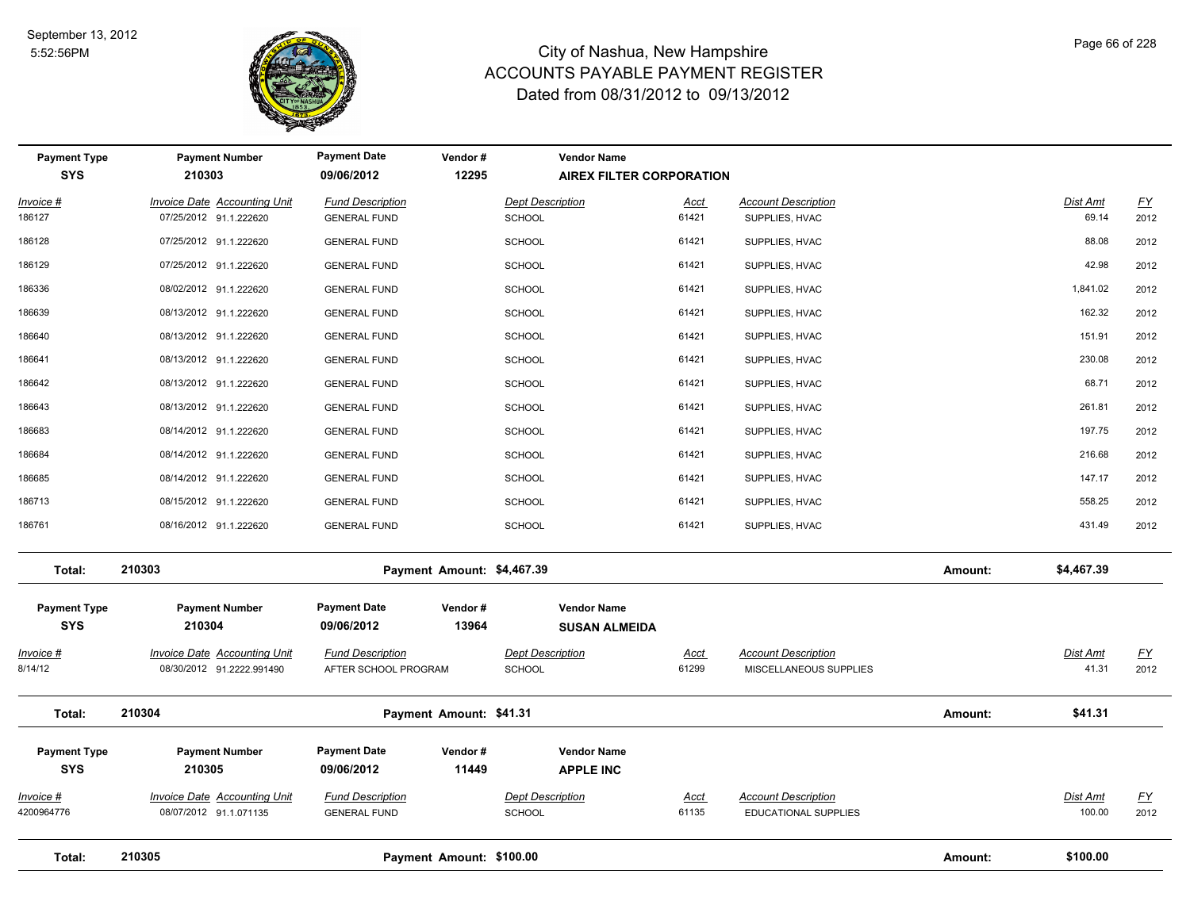

| <b>Payment Type</b><br><b>SYS</b> | <b>Payment Number</b><br>210303                                  | <b>Payment Date</b><br>09/06/2012               | Vendor#<br>12295           | <b>Vendor Name</b><br><b>AIREX FILTER CORPORATION</b> |                      |                                                      |         |                           |                                   |
|-----------------------------------|------------------------------------------------------------------|-------------------------------------------------|----------------------------|-------------------------------------------------------|----------------------|------------------------------------------------------|---------|---------------------------|-----------------------------------|
| Invoice #                         | <b>Invoice Date Accounting Unit</b>                              | <b>Fund Description</b>                         |                            | <b>Dept Description</b>                               | Acct                 | <b>Account Description</b>                           |         | <b>Dist Amt</b>           | $\underline{\mathsf{FY}}$         |
| 186127                            | 07/25/2012 91.1.222620                                           | <b>GENERAL FUND</b>                             |                            | <b>SCHOOL</b>                                         | 61421                | SUPPLIES, HVAC                                       |         | 69.14                     | 2012                              |
| 186128                            | 07/25/2012 91.1.222620                                           | <b>GENERAL FUND</b>                             |                            | <b>SCHOOL</b>                                         | 61421                | SUPPLIES, HVAC                                       |         | 88.08                     | 2012                              |
| 186129                            | 07/25/2012 91.1.222620                                           | <b>GENERAL FUND</b>                             |                            | <b>SCHOOL</b>                                         | 61421                | SUPPLIES, HVAC                                       |         | 42.98                     | 2012                              |
| 186336                            | 08/02/2012 91.1.222620                                           | <b>GENERAL FUND</b>                             |                            | <b>SCHOOL</b>                                         | 61421                | SUPPLIES, HVAC                                       |         | 1,841.02                  | 2012                              |
| 186639                            | 08/13/2012 91.1.222620                                           | <b>GENERAL FUND</b>                             |                            | <b>SCHOOL</b>                                         | 61421                | SUPPLIES, HVAC                                       |         | 162.32                    | 2012                              |
| 186640                            | 08/13/2012 91.1.222620                                           | <b>GENERAL FUND</b>                             |                            | <b>SCHOOL</b>                                         | 61421                | SUPPLIES, HVAC                                       |         | 151.91                    | 2012                              |
| 186641                            | 08/13/2012 91.1.222620                                           | <b>GENERAL FUND</b>                             |                            | <b>SCHOOL</b>                                         | 61421                | SUPPLIES, HVAC                                       |         | 230.08                    | 2012                              |
| 186642                            | 08/13/2012 91.1.222620                                           | <b>GENERAL FUND</b>                             |                            | <b>SCHOOL</b>                                         | 61421                | SUPPLIES, HVAC                                       |         | 68.71                     | 2012                              |
| 186643                            | 08/13/2012 91.1.222620                                           | <b>GENERAL FUND</b>                             |                            | <b>SCHOOL</b>                                         | 61421                | SUPPLIES, HVAC                                       |         | 261.81                    | 2012                              |
| 186683                            | 08/14/2012 91.1.222620                                           | <b>GENERAL FUND</b>                             |                            | <b>SCHOOL</b>                                         | 61421                | SUPPLIES, HVAC                                       |         | 197.75                    | 2012                              |
| 186684                            | 08/14/2012 91.1.222620                                           | <b>GENERAL FUND</b>                             |                            | <b>SCHOOL</b>                                         | 61421                | SUPPLIES, HVAC                                       |         | 216.68                    | 2012                              |
| 186685                            | 08/14/2012 91.1.222620                                           | <b>GENERAL FUND</b>                             |                            | <b>SCHOOL</b>                                         | 61421                | SUPPLIES, HVAC                                       |         | 147.17                    | 2012                              |
| 186713                            | 08/15/2012 91.1.222620                                           | <b>GENERAL FUND</b>                             |                            | SCHOOL                                                | 61421                | SUPPLIES, HVAC                                       |         | 558.25                    | 2012                              |
| 186761                            | 08/16/2012 91.1.222620                                           | <b>GENERAL FUND</b>                             |                            | SCHOOL                                                | 61421                | SUPPLIES, HVAC                                       |         | 431.49                    | 2012                              |
| Total:                            | 210303                                                           |                                                 | Payment Amount: \$4,467.39 |                                                       |                      |                                                      | Amount: | \$4,467.39                |                                   |
| <b>Payment Type</b><br><b>SYS</b> | <b>Payment Number</b><br>210304                                  | <b>Payment Date</b><br>09/06/2012               | Vendor#<br>13964           | <b>Vendor Name</b><br><b>SUSAN ALMEIDA</b>            |                      |                                                      |         |                           |                                   |
| <u>Invoice #</u><br>8/14/12       | <b>Invoice Date Accounting Unit</b><br>08/30/2012 91.2222.991490 | <b>Fund Description</b><br>AFTER SCHOOL PROGRAM |                            | <b>Dept Description</b><br><b>SCHOOL</b>              | <b>Acct</b><br>61299 | <b>Account Description</b><br>MISCELLANEOUS SUPPLIES |         | Dist Amt<br>41.31         | $\underline{\mathsf{FY}}$<br>2012 |
| Total:                            | 210304                                                           |                                                 | Payment Amount: \$41.31    |                                                       |                      |                                                      | Amount: | \$41.31                   |                                   |
| <b>Payment Type</b><br><b>SYS</b> | <b>Payment Number</b><br>210305                                  | <b>Payment Date</b><br>09/06/2012               | Vendor#<br>11449           | <b>Vendor Name</b><br><b>APPLE INC</b>                |                      |                                                      |         |                           |                                   |
| Invoice #<br>4200964776           | <b>Invoice Date Accounting Unit</b><br>08/07/2012 91.1.071135    | <b>Fund Description</b><br><b>GENERAL FUND</b>  |                            | <b>Dept Description</b><br><b>SCHOOL</b>              | <u>Acct</u><br>61135 | <b>Account Description</b><br>EDUCATIONAL SUPPLIES   |         | <b>Dist Amt</b><br>100.00 | <u>FY</u><br>2012                 |
| Total:                            | 210305                                                           |                                                 | Payment Amount: \$100.00   |                                                       |                      |                                                      | Amount: | \$100.00                  |                                   |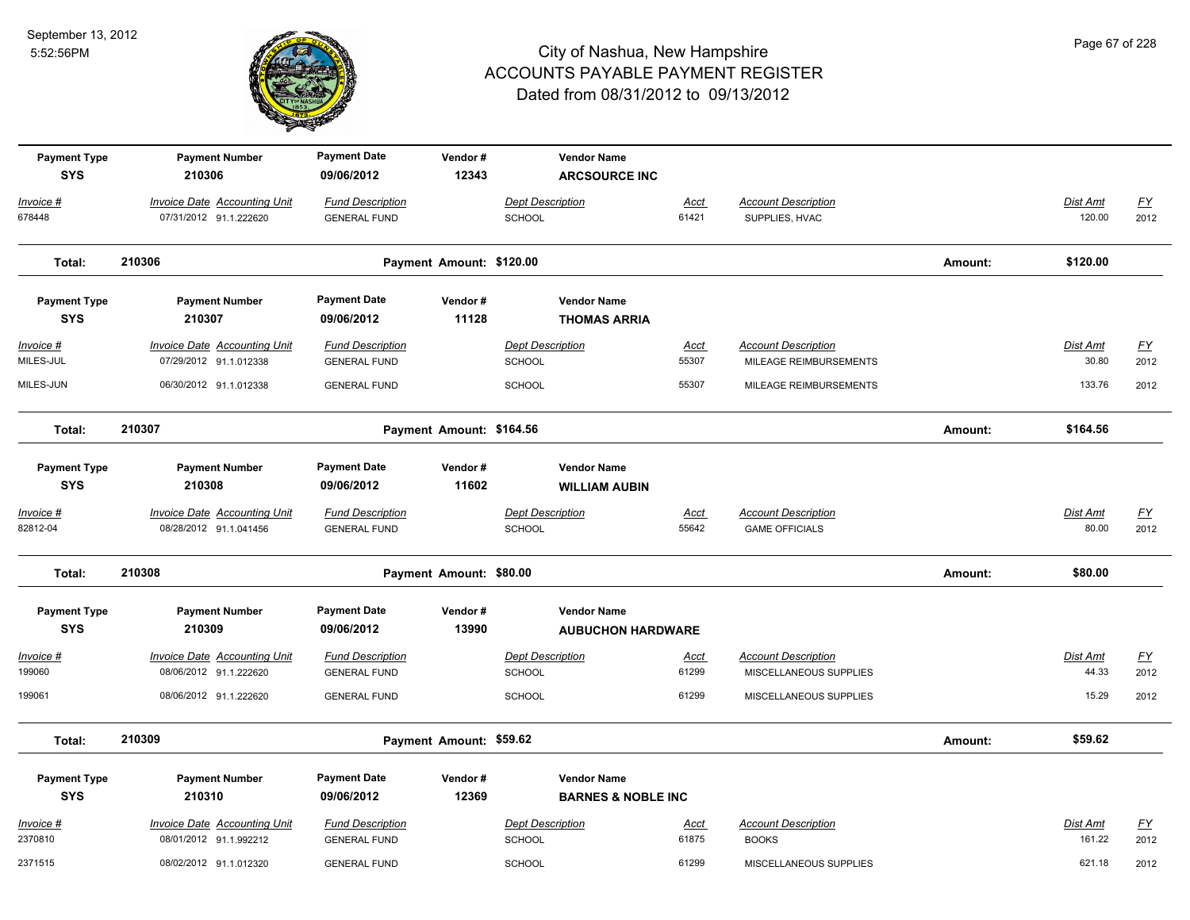

| <b>Payment Type</b> | <b>Payment Number</b>               | <b>Payment Date</b>     | Vendor#                  | <b>Vendor Name</b>            |             |                            |         |                 |                           |
|---------------------|-------------------------------------|-------------------------|--------------------------|-------------------------------|-------------|----------------------------|---------|-----------------|---------------------------|
| <b>SYS</b>          | 210306                              | 09/06/2012              | 12343                    | <b>ARCSOURCE INC</b>          |             |                            |         |                 |                           |
| Invoice #           | <b>Invoice Date Accounting Unit</b> | <b>Fund Description</b> |                          | <b>Dept Description</b>       | <u>Acct</u> | <b>Account Description</b> |         | Dist Amt        | $\underline{\mathsf{FY}}$ |
| 678448              | 07/31/2012 91.1.222620              | <b>GENERAL FUND</b>     |                          | <b>SCHOOL</b>                 | 61421       | SUPPLIES, HVAC             |         | 120.00          | 2012                      |
|                     |                                     |                         |                          |                               |             |                            |         |                 |                           |
| Total:              | 210306                              |                         | Payment Amount: \$120.00 |                               |             |                            | Amount: | \$120.00        |                           |
| <b>Payment Type</b> | <b>Payment Number</b>               | <b>Payment Date</b>     | Vendor#                  | <b>Vendor Name</b>            |             |                            |         |                 |                           |
| <b>SYS</b>          | 210307                              | 09/06/2012              | 11128                    | <b>THOMAS ARRIA</b>           |             |                            |         |                 |                           |
|                     |                                     |                         |                          |                               |             |                            |         |                 |                           |
| Invoice #           | Invoice Date Accounting Unit        | <b>Fund Description</b> |                          | <b>Dept Description</b>       | Acct        | <b>Account Description</b> |         | Dist Amt        | $\underline{\mathsf{FY}}$ |
| MILES-JUL           | 07/29/2012 91.1.012338              | <b>GENERAL FUND</b>     |                          | <b>SCHOOL</b>                 | 55307       | MILEAGE REIMBURSEMENTS     |         | 30.80           | 2012                      |
| MILES-JUN           | 06/30/2012 91.1.012338              | <b>GENERAL FUND</b>     |                          | <b>SCHOOL</b>                 | 55307       | MILEAGE REIMBURSEMENTS     |         | 133.76          | 2012                      |
| Total:              | 210307                              |                         | Payment Amount: \$164.56 |                               |             |                            | Amount: | \$164.56        |                           |
|                     |                                     |                         |                          |                               |             |                            |         |                 |                           |
| <b>Payment Type</b> | <b>Payment Number</b>               | <b>Payment Date</b>     | Vendor#                  | <b>Vendor Name</b>            |             |                            |         |                 |                           |
| <b>SYS</b>          | 210308                              | 09/06/2012              | 11602                    | <b>WILLIAM AUBIN</b>          |             |                            |         |                 |                           |
| Invoice #           | <b>Invoice Date Accounting Unit</b> | <b>Fund Description</b> |                          | <b>Dept Description</b>       | <b>Acct</b> | <b>Account Description</b> |         | <b>Dist Amt</b> | <u>FY</u>                 |
| 82812-04            | 08/28/2012 91.1.041456              | <b>GENERAL FUND</b>     |                          | <b>SCHOOL</b>                 | 55642       | <b>GAME OFFICIALS</b>      |         | 80.00           | 2012                      |
| Total:              | 210308                              |                         | Payment Amount: \$80.00  |                               |             |                            | Amount: | \$80.00         |                           |
|                     |                                     |                         |                          |                               |             |                            |         |                 |                           |
| <b>Payment Type</b> | <b>Payment Number</b>               | <b>Payment Date</b>     | Vendor#                  | <b>Vendor Name</b>            |             |                            |         |                 |                           |
| <b>SYS</b>          | 210309                              | 09/06/2012              | 13990                    | <b>AUBUCHON HARDWARE</b>      |             |                            |         |                 |                           |
| Invoice #           | Invoice Date Accounting Unit        | <b>Fund Description</b> |                          | <b>Dept Description</b>       | <u>Acct</u> | <b>Account Description</b> |         | Dist Amt        | <u>FY</u>                 |
| 199060              | 08/06/2012 91.1.222620              | <b>GENERAL FUND</b>     |                          | <b>SCHOOL</b>                 | 61299       | MISCELLANEOUS SUPPLIES     |         | 44.33           | 2012                      |
| 199061              | 08/06/2012 91.1.222620              | <b>GENERAL FUND</b>     |                          | <b>SCHOOL</b>                 | 61299       | MISCELLANEOUS SUPPLIES     |         | 15.29           | 2012                      |
|                     | 210309                              |                         |                          |                               |             |                            |         |                 |                           |
| Total:              |                                     |                         | Payment Amount: \$59.62  |                               |             |                            | Amount: | \$59.62         |                           |
| <b>Payment Type</b> | <b>Payment Number</b>               | <b>Payment Date</b>     | Vendor#                  | <b>Vendor Name</b>            |             |                            |         |                 |                           |
| <b>SYS</b>          | 210310                              | 09/06/2012              | 12369                    | <b>BARNES &amp; NOBLE INC</b> |             |                            |         |                 |                           |
| $Invoice$ #         | <b>Invoice Date Accounting Unit</b> | <b>Fund Description</b> |                          | <b>Dept Description</b>       | <u>Acct</u> | <b>Account Description</b> |         | Dist Amt        | $\underline{FY}$          |
| 2370810             | 08/01/2012 91.1.992212              | <b>GENERAL FUND</b>     |                          | SCHOOL                        | 61875       | <b>BOOKS</b>               |         | 161.22          | 2012                      |
| 2371515             | 08/02/2012 91.1.012320              | <b>GENERAL FUND</b>     |                          | <b>SCHOOL</b>                 | 61299       | MISCELLANEOUS SUPPLIES     |         | 621.18          | 2012                      |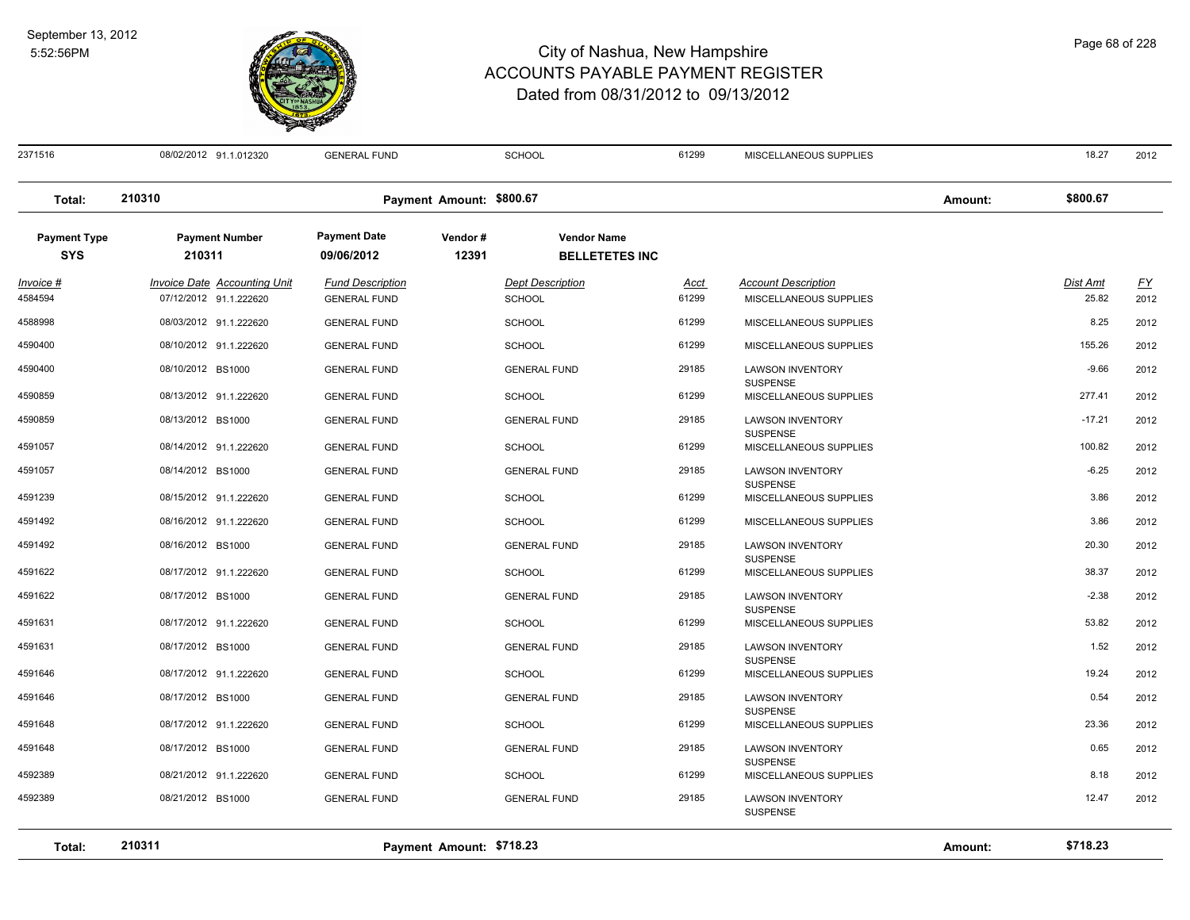

2371516 08/02/2012 91.1.012320 GENERAL FUND SCHOOL 61299 MISCELLANEOUS SUPPLIES 18.27 2012 **Total: 210310 Payment Amount: \$800.67 Amount: \$800.67 Payment Type Payment Number Payment Date Vendor # Vendor Name SYS 09/06/2012** *Invoice # Invoice Date Accounting Unit Fund Description Dept Description Acct Account Description Dist Amt FY*  **210311 12391 BELLETETES INC** 4584594 07/12/2012 91.1.222620 GENERAL FUND SCHOOL 61299 MISCELLANEOUS SUPPLIES 25.82 2012 4588998 08/03/2012 91.1.222620 GENERAL FUND SCHOOL 61299 MISCELLANEOUS SUPPLIES 8.25 2012 4590400 08/10/2012 91.1.222620 GENERAL FUND SCHOOL 61299 MISCELLANEOUS SUPPLIES 155.26 2012 08/10/2012 BS1000 GENERAL FUND GENERAL FUND 29185 LAWSON INVENTORY 2012 SUSPENSE 4590400 -9.66 4590859 08/13/2012 91.1.222620 GENERAL FUND SCHOOL 61299 MISCELLANEOUS SUPPLIES 277.41 2012 08/13/2012 BS1000 GENERAL FUND GENERAL FUND 29185 LAWSON INVENTORY 2012 **SUSPENSE** 4590859 -17.21 4591057 08/14/2012 91.1.222620 GENERAL FUND SCHOOL 61299 MISCELLANEOUS SUPPLIES 100.82 2012 08/14/2012 BS1000 GENERAL FUND GENERAL FUND 29185 LAWSON INVENTORY 2012 SUSPENSE 4591057 -6.25 4591239 08/15/2012 91.1.222620 GENERAL FUND SCHOOL 61299 MISCELLANEOUS SUPPLIES 3.86 2012 4591492 08/16/2012 91.1.222620 GENERAL FUND SCHOOL 61299 MISCELLANEOUS SUPPLIES 3.86 2012 08/16/2012 BS1000 GENERAL FUND GENERAL FUND 29185 LAWSON INVENTORY 2012 **SUSPENSE** 4591492 08/16/2012 BS1000 GENERAL FUND 29185 LAWSON INVENTORY 20.30 4591622 08/17/2012 91.1.222620 GENERAL FUND SCHOOL 61299 MISCELLANEOUS SUPPLIES 38.37 2012 08/17/2012 BS1000 GENERAL FUND GENERAL FUND 29185 LAWSON INVENTORY 2012 **SUSPENSE** 4591622 -2.38 4591631 08/17/2012 91.1.222620 GENERAL FUND SCHOOL 61299 MISCELLANEOUS SUPPLIES 53.82 2012 08/17/2012 BS1000 GENERAL FUND GENERAL FUND 29185 LAWSON INVENTORY 2012 **SUSPENSE** 4591631 08/17/2012 BS1000 GENERAL FUND 29185 LAWSON INVENTORY 1.52 4591646 08/17/2012 91.1.222620 GENERAL FUND SCHOOL 61299 MISCELLANEOUS SUPPLIES 19.24 2012 08/17/2012 BS1000 GENERAL FUND GENERAL FUND 29185 LAWSON INVENTORY 2012 **SUSPENSE** 4591646 08/17/2012 BS1000 GENERAL FUND 29185 LAWSON INVENTORY 0.54 4591648 08/17/2012 91.1.222620 GENERAL FUND SCHOOL 61299 MISCELLANEOUS SUPPLIES 23.36 2012 08/17/2012 BS1000 GENERAL FUND GENERAL FUND 29185 LAWSON INVENTORY 2012 **SUSPENSE** 4591648 08/17/2012 BS1000 GENERAL FUND 29185 LAWSON INVENTORY 0.65 4592389 08/21/2012 91.1.222620 GENERAL FUND SCHOOL 61299 MISCELLANEOUS SUPPLIES 8.18 2012 08/21/2012 BS1000 GENERAL FUND GENERAL FUND 29185 LAWSON INVENTORY 2012 SUSPENSE 4592389 12.47 **Total: 210311 Payment Amount: \$718.23 Amount: \$718.23**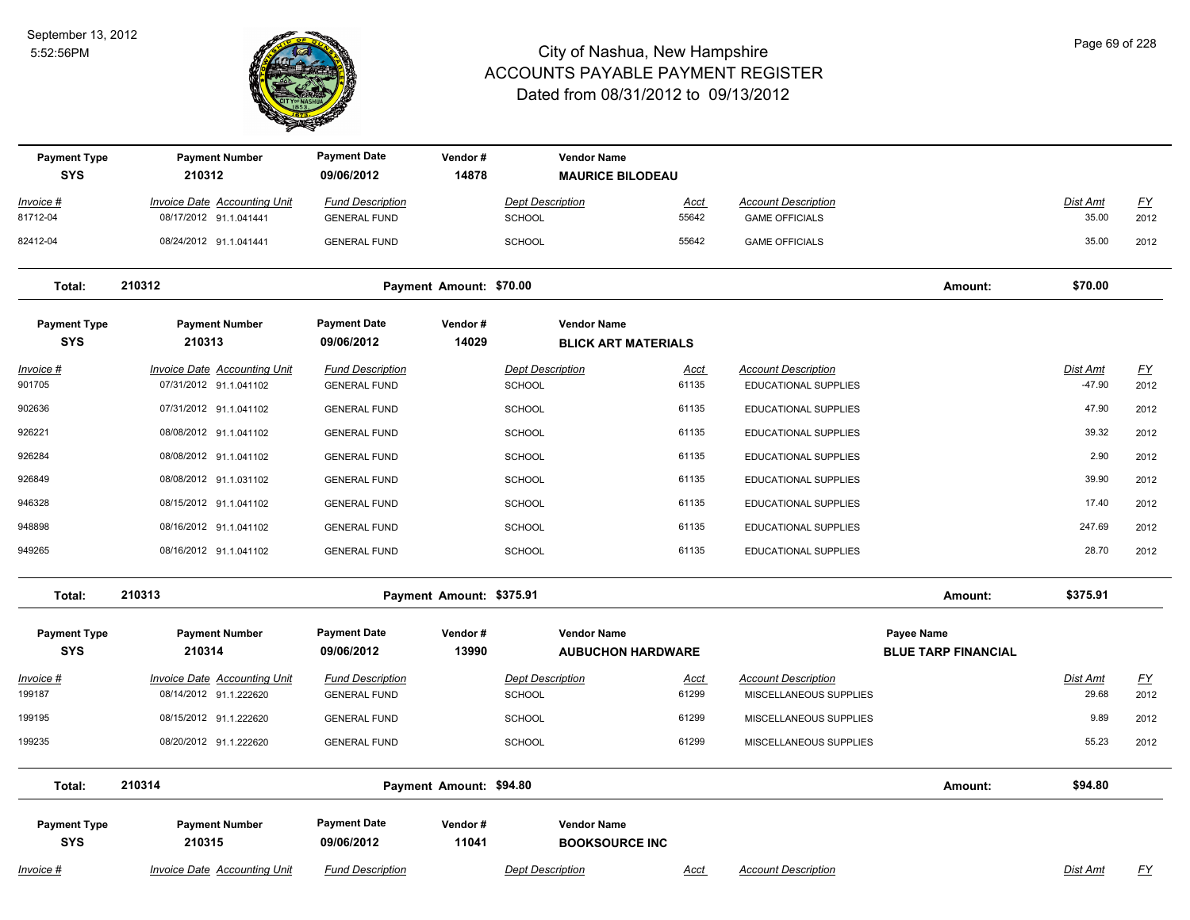

| <b>Payment Type</b><br><b>SYS</b> | <b>Payment Number</b><br>210312                               | <b>Payment Date</b><br>09/06/2012              | Vendor#<br>14878         |                                          | <b>Vendor Name</b><br><b>MAURICE BILODEAU</b>  |                      |                                                    |                                                 |                             |                           |
|-----------------------------------|---------------------------------------------------------------|------------------------------------------------|--------------------------|------------------------------------------|------------------------------------------------|----------------------|----------------------------------------------------|-------------------------------------------------|-----------------------------|---------------------------|
| Invoice #                         | <b>Invoice Date Accounting Unit</b>                           | <b>Fund Description</b>                        |                          | <b>Dept Description</b>                  |                                                | Acct                 | <b>Account Description</b>                         |                                                 | Dist Amt                    | $\underline{FY}$          |
| 81712-04                          | 08/17/2012 91.1.041441                                        | <b>GENERAL FUND</b>                            |                          | <b>SCHOOL</b>                            |                                                | 55642                | <b>GAME OFFICIALS</b>                              |                                                 | 35.00                       | 2012                      |
| 82412-04                          | 08/24/2012 91.1.041441                                        | <b>GENERAL FUND</b>                            |                          | <b>SCHOOL</b>                            |                                                | 55642                | <b>GAME OFFICIALS</b>                              |                                                 | 35.00                       | 2012                      |
| Total:                            | 210312                                                        |                                                | Payment Amount: \$70.00  |                                          |                                                |                      |                                                    | Amount:                                         | \$70.00                     |                           |
| <b>Payment Type</b>               | <b>Payment Number</b>                                         | <b>Payment Date</b>                            | Vendor#                  |                                          | <b>Vendor Name</b>                             |                      |                                                    |                                                 |                             |                           |
| <b>SYS</b>                        | 210313                                                        | 09/06/2012                                     | 14029                    |                                          | <b>BLICK ART MATERIALS</b>                     |                      |                                                    |                                                 |                             |                           |
| Invoice #<br>901705               | <b>Invoice Date Accounting Unit</b><br>07/31/2012 91.1.041102 | <b>Fund Description</b><br><b>GENERAL FUND</b> |                          | <b>Dept Description</b><br><b>SCHOOL</b> |                                                | <u>Acct</u><br>61135 | <b>Account Description</b><br>EDUCATIONAL SUPPLIES |                                                 | <b>Dist Amt</b><br>$-47.90$ | $\underline{FY}$<br>2012  |
| 902636                            | 07/31/2012 91.1.041102                                        | <b>GENERAL FUND</b>                            |                          | SCHOOL                                   |                                                | 61135                | EDUCATIONAL SUPPLIES                               |                                                 | 47.90                       | 2012                      |
| 926221                            | 08/08/2012 91.1.041102                                        | <b>GENERAL FUND</b>                            |                          | <b>SCHOOL</b>                            |                                                | 61135                | EDUCATIONAL SUPPLIES                               |                                                 | 39.32                       | 2012                      |
| 926284                            | 08/08/2012 91.1.041102                                        | <b>GENERAL FUND</b>                            |                          | <b>SCHOOL</b>                            |                                                | 61135                | EDUCATIONAL SUPPLIES                               |                                                 | 2.90                        | 2012                      |
| 926849                            | 08/08/2012 91.1.031102                                        | <b>GENERAL FUND</b>                            |                          | <b>SCHOOL</b>                            |                                                | 61135                | <b>EDUCATIONAL SUPPLIES</b>                        |                                                 | 39.90                       | 2012                      |
| 946328                            | 08/15/2012 91.1.041102                                        | <b>GENERAL FUND</b>                            |                          | <b>SCHOOL</b>                            |                                                | 61135                | <b>EDUCATIONAL SUPPLIES</b>                        |                                                 | 17.40                       | 2012                      |
| 948898                            | 08/16/2012 91.1.041102                                        | <b>GENERAL FUND</b>                            |                          | <b>SCHOOL</b>                            |                                                | 61135                | <b>EDUCATIONAL SUPPLIES</b>                        |                                                 | 247.69                      | 2012                      |
| 949265                            | 08/16/2012 91.1.041102                                        | <b>GENERAL FUND</b>                            |                          | <b>SCHOOL</b>                            |                                                | 61135                | <b>EDUCATIONAL SUPPLIES</b>                        |                                                 | 28.70                       | 2012                      |
| Total:                            | 210313                                                        |                                                | Payment Amount: \$375.91 |                                          |                                                |                      |                                                    | Amount:                                         | \$375.91                    |                           |
| <b>Payment Type</b><br><b>SYS</b> | <b>Payment Number</b><br>210314                               | <b>Payment Date</b><br>09/06/2012              | Vendor#<br>13990         |                                          | <b>Vendor Name</b><br><b>AUBUCHON HARDWARE</b> |                      |                                                    | <b>Payee Name</b><br><b>BLUE TARP FINANCIAL</b> |                             |                           |
| <u> Invoice #</u>                 | <b>Invoice Date Accounting Unit</b>                           | <b>Fund Description</b>                        |                          | <b>Dept Description</b>                  |                                                | <u>Acct</u>          | <b>Account Description</b>                         |                                                 | Dist Amt                    | <u>FY</u>                 |
| 199187                            | 08/14/2012 91.1.222620                                        | <b>GENERAL FUND</b>                            |                          | SCHOOL                                   |                                                | 61299                | MISCELLANEOUS SUPPLIES                             |                                                 | 29.68                       | 2012                      |
| 199195                            | 08/15/2012 91.1.222620                                        | <b>GENERAL FUND</b>                            |                          | <b>SCHOOL</b>                            |                                                | 61299                | MISCELLANEOUS SUPPLIES                             |                                                 | 9.89                        | 2012                      |
| 199235                            | 08/20/2012 91.1.222620                                        | <b>GENERAL FUND</b>                            |                          | SCHOOL                                   |                                                | 61299                | MISCELLANEOUS SUPPLIES                             |                                                 | 55.23                       | 2012                      |
| Total:                            | 210314                                                        |                                                | Payment Amount: \$94.80  |                                          |                                                |                      |                                                    | Amount:                                         | \$94.80                     |                           |
| <b>Payment Type</b>               | <b>Payment Number</b>                                         | <b>Payment Date</b>                            | Vendor#                  |                                          | <b>Vendor Name</b>                             |                      |                                                    |                                                 |                             |                           |
| <b>SYS</b>                        | 210315                                                        | 09/06/2012                                     | 11041                    |                                          | <b>BOOKSOURCE INC</b>                          |                      |                                                    |                                                 |                             |                           |
| <u> Invoice #</u>                 | <b>Invoice Date Accounting Unit</b>                           | <b>Fund Description</b>                        |                          | <b>Dept Description</b>                  |                                                | <u>Acct</u>          | <b>Account Description</b>                         |                                                 | <b>Dist Amt</b>             | $\underline{\mathsf{FY}}$ |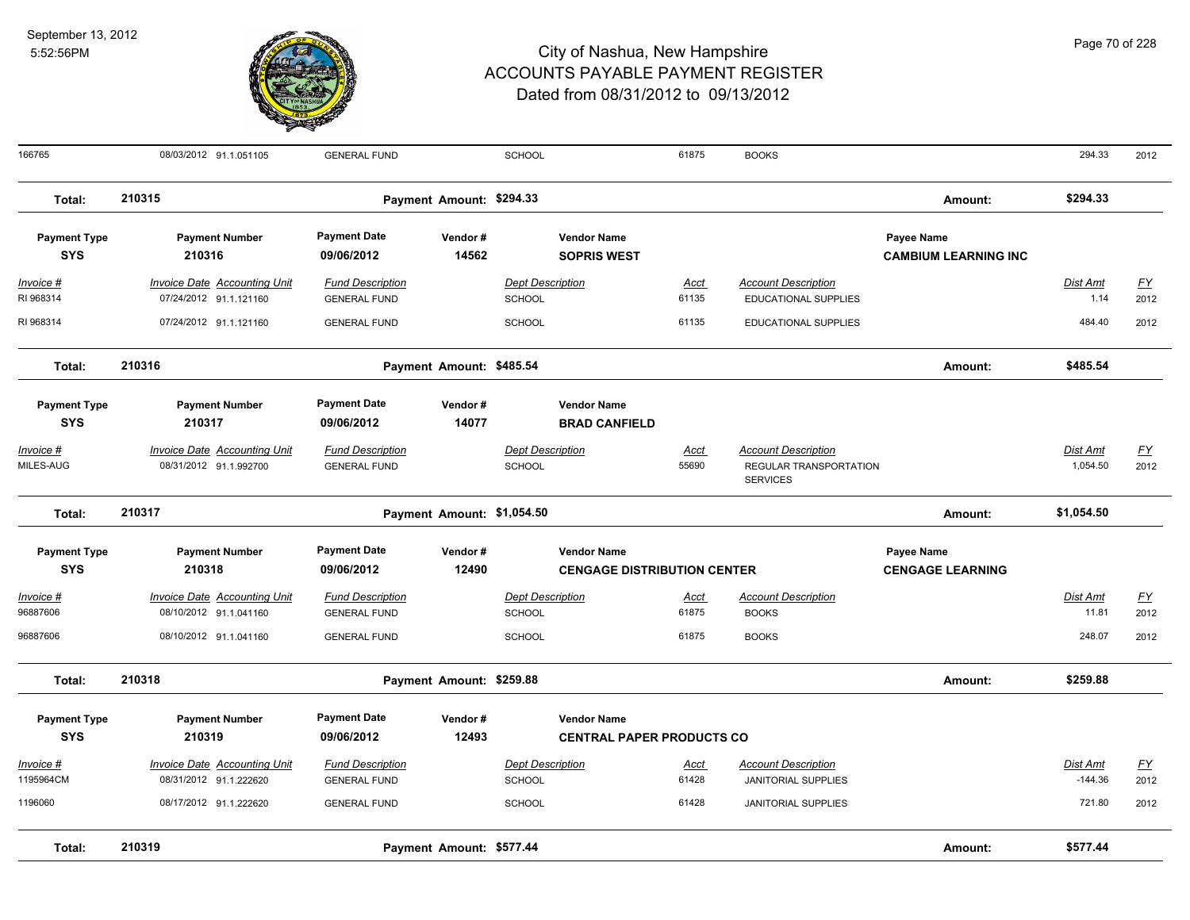

| 166765                            | 08/03/2012 91.1.051105                                 | <b>GENERAL FUND</b>                            |                            | SCHOOL                                   |                                                          | 61875         | <b>BOOKS</b>                               |                                           | 294.33            | 2012       |
|-----------------------------------|--------------------------------------------------------|------------------------------------------------|----------------------------|------------------------------------------|----------------------------------------------------------|---------------|--------------------------------------------|-------------------------------------------|-------------------|------------|
| Total:                            | 210315                                                 |                                                | Payment Amount: \$294.33   |                                          |                                                          |               |                                            | Amount:                                   | \$294.33          |            |
| <b>Payment Type</b><br><b>SYS</b> | <b>Payment Number</b><br>210316                        | <b>Payment Date</b><br>09/06/2012              | Vendor#<br>14562           |                                          | <b>Vendor Name</b><br><b>SOPRIS WEST</b>                 |               |                                            | Payee Name<br><b>CAMBIUM LEARNING INC</b> |                   |            |
| Invoice #                         | <b>Invoice Date Accounting Unit</b>                    | <b>Fund Description</b>                        |                            | <b>Dept Description</b>                  |                                                          | Acct          | <b>Account Description</b>                 |                                           | Dist Amt          | EY         |
| RI 968314                         | 07/24/2012 91.1.121160                                 | <b>GENERAL FUND</b>                            |                            | <b>SCHOOL</b>                            |                                                          | 61135         | EDUCATIONAL SUPPLIES                       |                                           | 1.14              | 2012       |
| RI 968314                         | 07/24/2012 91.1.121160                                 | <b>GENERAL FUND</b>                            |                            | SCHOOL                                   |                                                          | 61135         | EDUCATIONAL SUPPLIES                       |                                           | 484.40            | 2012       |
| Total:                            | 210316                                                 |                                                | Payment Amount: \$485.54   |                                          |                                                          |               |                                            | Amount:                                   | \$485.54          |            |
| <b>Payment Type</b>               | <b>Payment Number</b>                                  | <b>Payment Date</b>                            | Vendor#                    |                                          | <b>Vendor Name</b>                                       |               |                                            |                                           |                   |            |
| <b>SYS</b>                        | 210317                                                 | 09/06/2012                                     | 14077                      |                                          | <b>BRAD CANFIELD</b>                                     |               |                                            |                                           |                   |            |
| <u> Invoice #</u>                 | <b>Invoice Date Accounting Unit</b>                    | <b>Fund Description</b>                        |                            | <b>Dept Description</b>                  |                                                          | <u>Acct</u>   | <b>Account Description</b>                 |                                           | <u>Dist Amt</u>   | <u>FY</u>  |
| MILES-AUG                         | 08/31/2012 91.1.992700                                 | <b>GENERAL FUND</b>                            |                            | <b>SCHOOL</b>                            |                                                          | 55690         | REGULAR TRANSPORTATION<br><b>SERVICES</b>  |                                           | 1,054.50          | 2012       |
| Total:                            | 210317                                                 |                                                | Payment Amount: \$1,054.50 |                                          |                                                          |               |                                            | Amount:                                   | \$1,054.50        |            |
| <b>Payment Type</b><br><b>SYS</b> | <b>Payment Number</b><br>210318                        | <b>Payment Date</b><br>09/06/2012              | Vendor#<br>12490           |                                          | <b>Vendor Name</b><br><b>CENGAGE DISTRIBUTION CENTER</b> |               |                                            | Payee Name<br><b>CENGAGE LEARNING</b>     |                   |            |
| Invoice #<br>96887606             | Invoice Date Accounting Unit<br>08/10/2012 91.1.041160 | <b>Fund Description</b><br><b>GENERAL FUND</b> |                            | <b>Dept Description</b><br><b>SCHOOL</b> |                                                          | Acct<br>61875 | <b>Account Description</b><br><b>BOOKS</b> |                                           | Dist Amt<br>11.81 | EY<br>2012 |
| 96887606                          | 08/10/2012 91.1.041160                                 | <b>GENERAL FUND</b>                            |                            | <b>SCHOOL</b>                            |                                                          | 61875         | <b>BOOKS</b>                               |                                           | 248.07            | 2012       |
| Total:                            | 210318                                                 |                                                | Payment Amount: \$259.88   |                                          |                                                          |               |                                            | Amount:                                   | \$259.88          |            |
| <b>Payment Type</b>               | <b>Payment Number</b>                                  | <b>Payment Date</b>                            | Vendor#                    |                                          | <b>Vendor Name</b>                                       |               |                                            |                                           |                   |            |
| <b>SYS</b>                        | 210319                                                 | 09/06/2012                                     | 12493                      |                                          | <b>CENTRAL PAPER PRODUCTS CO</b>                         |               |                                            |                                           |                   |            |
| Invoice #                         | <b>Invoice Date Accounting Unit</b>                    | <b>Fund Description</b>                        |                            | <b>Dept Description</b>                  |                                                          | <u>Acct</u>   | <b>Account Description</b>                 |                                           | Dist Amt          | <u>FY</u>  |
| 1195964CM                         | 08/31/2012 91.1.222620                                 | <b>GENERAL FUND</b>                            |                            | SCHOOL                                   |                                                          | 61428         | JANITORIAL SUPPLIES                        |                                           | $-144.36$         | 2012       |
| 1196060                           | 08/17/2012 91.1.222620                                 | <b>GENERAL FUND</b>                            |                            | <b>SCHOOL</b>                            |                                                          | 61428         | JANITORIAL SUPPLIES                        |                                           | 721.80            | 2012       |
| Total:                            | 210319                                                 |                                                | Payment Amount: \$577.44   |                                          |                                                          |               |                                            | Amount:                                   | \$577.44          |            |
|                                   |                                                        |                                                |                            |                                          |                                                          |               |                                            |                                           |                   |            |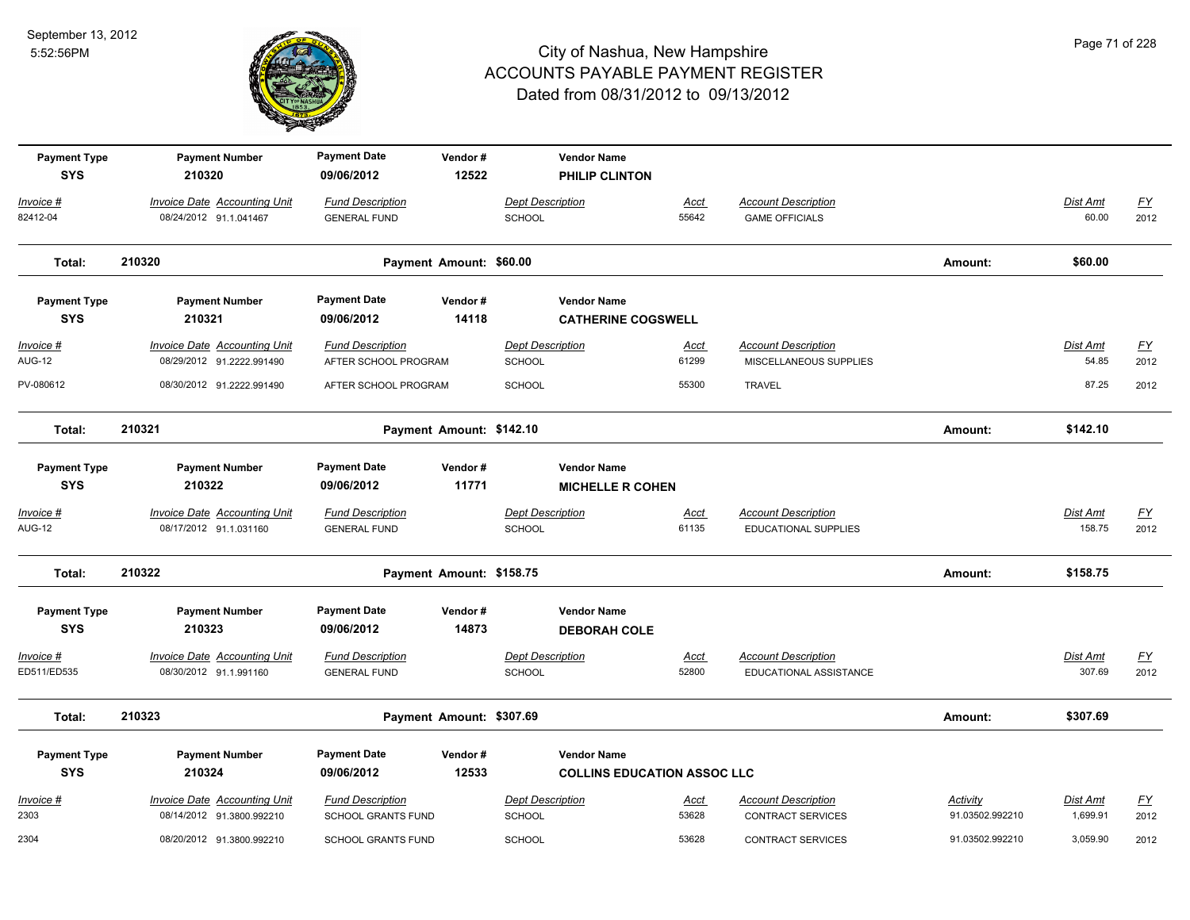

| <b>Payment Type</b><br><b>SYS</b> | <b>Payment Number</b><br>210320                                  | <b>Payment Date</b><br>09/06/2012                    | Vendor#<br>12522         |                                          | <b>Vendor Name</b><br>PHILIP CLINTON                     |                      |                                                        |                             |                           |                          |
|-----------------------------------|------------------------------------------------------------------|------------------------------------------------------|--------------------------|------------------------------------------|----------------------------------------------------------|----------------------|--------------------------------------------------------|-----------------------------|---------------------------|--------------------------|
| Invoice #<br>82412-04             | Invoice Date Accounting Unit<br>08/24/2012 91.1.041467           | <b>Fund Description</b><br><b>GENERAL FUND</b>       |                          | <b>Dept Description</b><br>SCHOOL        |                                                          | Acct<br>55642        | <b>Account Description</b><br><b>GAME OFFICIALS</b>    |                             | Dist Amt<br>60.00         | <u>FY</u><br>2012        |
| Total:                            | 210320                                                           |                                                      | Payment Amount: \$60.00  |                                          |                                                          |                      |                                                        | Amount:                     | \$60.00                   |                          |
| <b>Payment Type</b><br><b>SYS</b> | <b>Payment Number</b><br>210321                                  | <b>Payment Date</b><br>09/06/2012                    | Vendor#<br>14118         |                                          | <b>Vendor Name</b><br><b>CATHERINE COGSWELL</b>          |                      |                                                        |                             |                           |                          |
| Invoice #<br><b>AUG-12</b>        | <b>Invoice Date Accounting Unit</b><br>08/29/2012 91.2222.991490 | <b>Fund Description</b><br>AFTER SCHOOL PROGRAM      |                          | <b>Dept Description</b><br><b>SCHOOL</b> |                                                          | <u>Acct</u><br>61299 | <b>Account Description</b><br>MISCELLANEOUS SUPPLIES   |                             | Dist Amt<br>54.85         | $\underline{FY}$<br>2012 |
| PV-080612                         | 08/30/2012 91.2222.991490                                        | AFTER SCHOOL PROGRAM                                 |                          | SCHOOL                                   |                                                          | 55300                | <b>TRAVEL</b>                                          |                             | 87.25                     | 2012                     |
| Total:                            | 210321                                                           |                                                      | Payment Amount: \$142.10 |                                          |                                                          |                      |                                                        | Amount:                     | \$142.10                  |                          |
| <b>Payment Type</b><br><b>SYS</b> | <b>Payment Number</b><br>210322                                  | <b>Payment Date</b><br>09/06/2012                    | Vendor#<br>11771         |                                          | <b>Vendor Name</b><br><b>MICHELLE R COHEN</b>            |                      |                                                        |                             |                           |                          |
| Invoice #<br><b>AUG-12</b>        | <b>Invoice Date Accounting Unit</b><br>08/17/2012 91.1.031160    | <b>Fund Description</b><br><b>GENERAL FUND</b>       |                          | <b>Dept Description</b><br><b>SCHOOL</b> |                                                          | <u>Acct</u><br>61135 | <b>Account Description</b><br>EDUCATIONAL SUPPLIES     |                             | <b>Dist Amt</b><br>158.75 | <u>FY</u><br>2012        |
| Total:                            | 210322                                                           |                                                      | Payment Amount: \$158.75 |                                          |                                                          |                      |                                                        | Amount:                     | \$158.75                  |                          |
| <b>Payment Type</b><br><b>SYS</b> | <b>Payment Number</b><br>210323                                  | <b>Payment Date</b><br>09/06/2012                    | Vendor#<br>14873         |                                          | <b>Vendor Name</b><br><b>DEBORAH COLE</b>                |                      |                                                        |                             |                           |                          |
| Invoice #<br>ED511/ED535          | <b>Invoice Date Accounting Unit</b><br>08/30/2012 91.1.991160    | <b>Fund Description</b><br><b>GENERAL FUND</b>       |                          | <b>Dept Description</b><br>SCHOOL        |                                                          | <u>Acct</u><br>52800 | <b>Account Description</b><br>EDUCATIONAL ASSISTANCE   |                             | Dist Amt<br>307.69        | <u>FY</u><br>2012        |
| Total:                            | 210323                                                           |                                                      | Payment Amount: \$307.69 |                                          |                                                          |                      |                                                        | Amount:                     | \$307.69                  |                          |
| <b>Payment Type</b><br><b>SYS</b> | <b>Payment Number</b><br>210324                                  | <b>Payment Date</b><br>09/06/2012                    | Vendor#<br>12533         |                                          | <b>Vendor Name</b><br><b>COLLINS EDUCATION ASSOC LLC</b> |                      |                                                        |                             |                           |                          |
| Invoice #<br>2303                 | <b>Invoice Date Accounting Unit</b><br>08/14/2012 91.3800.992210 | <b>Fund Description</b><br><b>SCHOOL GRANTS FUND</b> |                          | <b>Dept Description</b><br><b>SCHOOL</b> |                                                          | <u>Acct</u><br>53628 | <b>Account Description</b><br><b>CONTRACT SERVICES</b> | Activity<br>91.03502.992210 | Dist Amt<br>1,699.91      | <u>FY</u><br>2012        |
| 2304                              | 08/20/2012 91.3800.992210                                        | <b>SCHOOL GRANTS FUND</b>                            |                          | SCHOOL                                   |                                                          | 53628                | <b>CONTRACT SERVICES</b>                               | 91.03502.992210             | 3,059.90                  | 2012                     |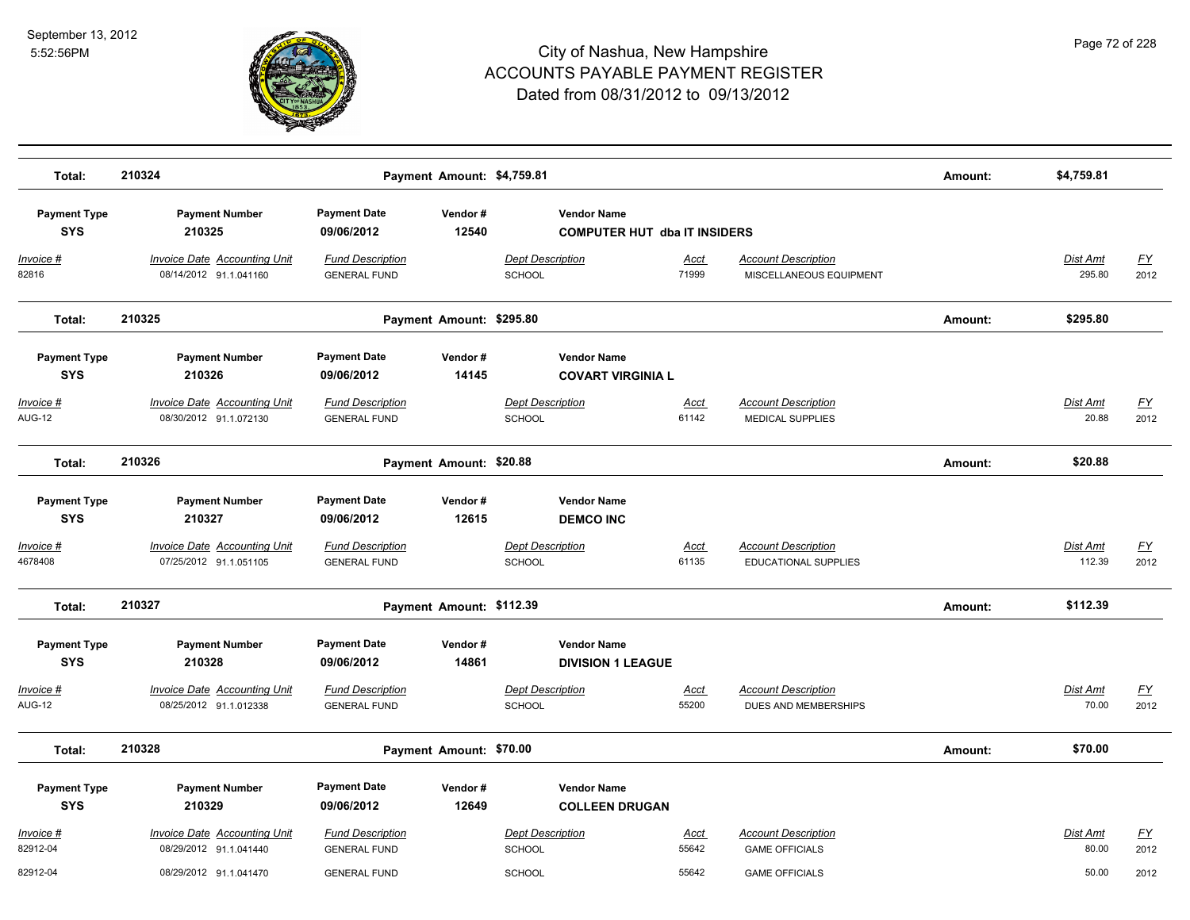

| Total:                            | 210324                                                        |                                                | Payment Amount: \$4,759.81 |                                                |                                     |                                                       | Amount: | \$4,759.81               |                   |
|-----------------------------------|---------------------------------------------------------------|------------------------------------------------|----------------------------|------------------------------------------------|-------------------------------------|-------------------------------------------------------|---------|--------------------------|-------------------|
| <b>Payment Type</b><br><b>SYS</b> | <b>Payment Number</b><br>210325                               | <b>Payment Date</b><br>09/06/2012              | Vendor#<br>12540           | <b>Vendor Name</b>                             | <b>COMPUTER HUT dba IT INSIDERS</b> |                                                       |         |                          |                   |
| Invoice #<br>82816                | Invoice Date Accounting Unit<br>08/14/2012 91.1.041160        | <b>Fund Description</b><br><b>GENERAL FUND</b> |                            | <b>Dept Description</b><br><b>SCHOOL</b>       | Acct<br>71999                       | <b>Account Description</b><br>MISCELLANEOUS EQUIPMENT |         | Dist Amt<br>295.80       | <u>FY</u><br>2012 |
| Total:                            | 210325                                                        |                                                | Payment Amount: \$295.80   |                                                |                                     |                                                       | Amount: | \$295.80                 |                   |
| <b>Payment Type</b><br><b>SYS</b> | <b>Payment Number</b><br>210326                               | <b>Payment Date</b><br>09/06/2012              | Vendor#<br>14145           | <b>Vendor Name</b><br><b>COVART VIRGINIA L</b> |                                     |                                                       |         |                          |                   |
| Invoice #<br><b>AUG-12</b>        | <b>Invoice Date Accounting Unit</b><br>08/30/2012 91.1.072130 | <b>Fund Description</b><br><b>GENERAL FUND</b> |                            | <b>Dept Description</b><br><b>SCHOOL</b>       | Acct<br>61142                       | <b>Account Description</b><br>MEDICAL SUPPLIES        |         | <b>Dist Amt</b><br>20.88 | <u>FY</u><br>2012 |
| Total:                            | 210326                                                        |                                                | Payment Amount: \$20.88    |                                                |                                     |                                                       | Amount: | \$20.88                  |                   |
| <b>Payment Type</b><br><b>SYS</b> | <b>Payment Number</b><br>210327                               | <b>Payment Date</b><br>09/06/2012              | Vendor#<br>12615           | <b>Vendor Name</b><br><b>DEMCO INC</b>         |                                     |                                                       |         |                          |                   |
| Invoice #<br>4678408              | <b>Invoice Date Accounting Unit</b><br>07/25/2012 91.1.051105 | <b>Fund Description</b><br><b>GENERAL FUND</b> |                            | <b>Dept Description</b><br><b>SCHOOL</b>       | Acct<br>61135                       | <b>Account Description</b><br>EDUCATIONAL SUPPLIES    |         | Dist Amt<br>112.39       | <u>FY</u><br>2012 |
| Total:                            | 210327                                                        |                                                | Payment Amount: \$112.39   |                                                |                                     |                                                       | Amount: | \$112.39                 |                   |
| <b>Payment Type</b><br><b>SYS</b> | <b>Payment Number</b><br>210328                               | <b>Payment Date</b><br>09/06/2012              | Vendor#<br>14861           | <b>Vendor Name</b><br><b>DIVISION 1 LEAGUE</b> |                                     |                                                       |         |                          |                   |
| Invoice #<br><b>AUG-12</b>        | <b>Invoice Date Accounting Unit</b><br>08/25/2012 91.1.012338 | <b>Fund Description</b><br><b>GENERAL FUND</b> |                            | <b>Dept Description</b><br><b>SCHOOL</b>       | <u>Acct</u><br>55200                | <b>Account Description</b><br>DUES AND MEMBERSHIPS    |         | <b>Dist Amt</b><br>70.00 | <u>FY</u><br>2012 |
| Total:                            | 210328                                                        |                                                | Payment Amount: \$70.00    |                                                |                                     |                                                       | Amount: | \$70.00                  |                   |
| <b>Payment Type</b><br><b>SYS</b> | <b>Payment Number</b><br>210329                               | <b>Payment Date</b><br>09/06/2012              | Vendor#<br>12649           | <b>Vendor Name</b><br><b>COLLEEN DRUGAN</b>    |                                     |                                                       |         |                          |                   |
| Invoice #<br>82912-04             | <b>Invoice Date Accounting Unit</b><br>08/29/2012 91.1.041440 | <b>Fund Description</b><br><b>GENERAL FUND</b> |                            | <b>Dept Description</b><br><b>SCHOOL</b>       | Acct<br>55642                       | <b>Account Description</b><br><b>GAME OFFICIALS</b>   |         | <b>Dist Amt</b><br>80.00 | <u>FY</u><br>2012 |
| 82912-04                          | 08/29/2012 91.1.041470                                        | <b>GENERAL FUND</b>                            |                            | <b>SCHOOL</b>                                  | 55642                               | <b>GAME OFFICIALS</b>                                 |         | 50.00                    | 2012              |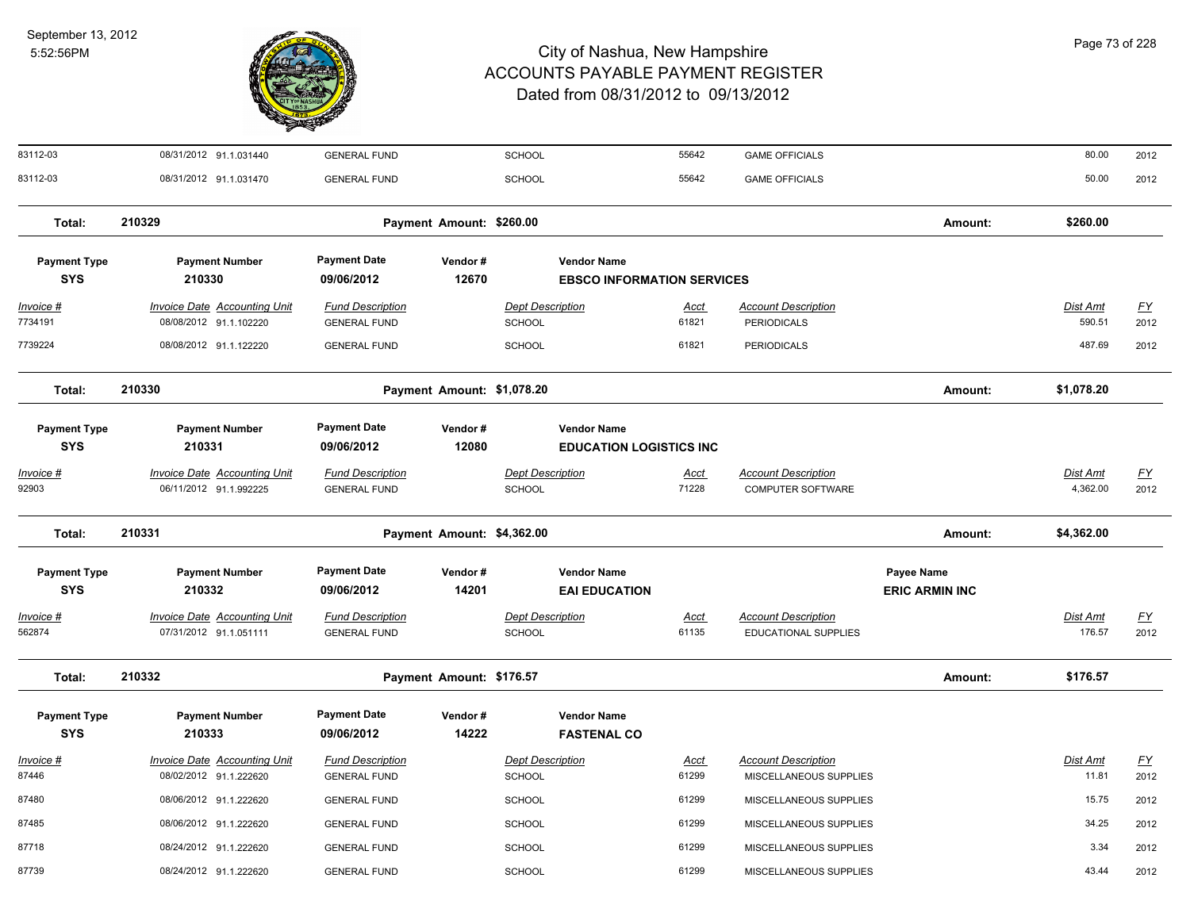

| 83112-03                          | 08/31/2012 91.1.031440                                        | <b>GENERAL FUND</b>                            |                            | SCHOOL                                   |                                                         | 55642                | <b>GAME OFFICIALS</b>                                |                                            | 80.00                       | 2012              |
|-----------------------------------|---------------------------------------------------------------|------------------------------------------------|----------------------------|------------------------------------------|---------------------------------------------------------|----------------------|------------------------------------------------------|--------------------------------------------|-----------------------------|-------------------|
| 83112-03                          | 08/31/2012 91.1.031470                                        | <b>GENERAL FUND</b>                            |                            | <b>SCHOOL</b>                            |                                                         | 55642                | <b>GAME OFFICIALS</b>                                |                                            | 50.00                       | 2012              |
| Total:                            | 210329                                                        |                                                | Payment Amount: \$260.00   |                                          |                                                         |                      |                                                      | Amount:                                    | \$260.00                    |                   |
| <b>Payment Type</b><br><b>SYS</b> | <b>Payment Number</b><br>210330                               | <b>Payment Date</b><br>09/06/2012              | Vendor#<br>12670           |                                          | <b>Vendor Name</b><br><b>EBSCO INFORMATION SERVICES</b> |                      |                                                      |                                            |                             |                   |
| Invoice #<br>7734191              | <b>Invoice Date Accounting Unit</b><br>08/08/2012 91.1.102220 | <b>Fund Description</b><br><b>GENERAL FUND</b> |                            | <b>Dept Description</b><br><b>SCHOOL</b> |                                                         | <u>Acct</u><br>61821 | <b>Account Description</b><br><b>PERIODICALS</b>     |                                            | Dist Amt<br>590.51          | <u>FY</u><br>2012 |
| 7739224                           | 08/08/2012 91.1.122220                                        | <b>GENERAL FUND</b>                            |                            | <b>SCHOOL</b>                            |                                                         | 61821                | <b>PERIODICALS</b>                                   |                                            | 487.69                      | 2012              |
| Total:                            | 210330                                                        |                                                | Payment Amount: \$1,078.20 |                                          |                                                         |                      |                                                      | Amount:                                    | \$1,078.20                  |                   |
| <b>Payment Type</b><br><b>SYS</b> | <b>Payment Number</b><br>210331                               | <b>Payment Date</b><br>09/06/2012              | Vendor#<br>12080           |                                          | <b>Vendor Name</b><br><b>EDUCATION LOGISTICS INC</b>    |                      |                                                      |                                            |                             |                   |
| <u>Invoice #</u><br>92903         | <b>Invoice Date Accounting Unit</b><br>06/11/2012 91.1.992225 | <b>Fund Description</b><br><b>GENERAL FUND</b> |                            | <b>Dept Description</b><br><b>SCHOOL</b> |                                                         | <u>Acct</u><br>71228 | <b>Account Description</b><br>COMPUTER SOFTWARE      |                                            | <u>Dist Amt</u><br>4,362.00 | <u>FY</u><br>2012 |
| Total:                            | 210331                                                        |                                                | Payment Amount: \$4,362.00 |                                          |                                                         |                      |                                                      | Amount:                                    | \$4,362.00                  |                   |
| <b>Payment Type</b><br><b>SYS</b> | <b>Payment Number</b><br>210332                               | <b>Payment Date</b><br>09/06/2012              | Vendor#<br>14201           |                                          | <b>Vendor Name</b><br><b>EAI EDUCATION</b>              |                      |                                                      | <b>Payee Name</b><br><b>ERIC ARMIN INC</b> |                             |                   |
| Invoice #<br>562874               | <b>Invoice Date Accounting Unit</b><br>07/31/2012 91.1.051111 | <b>Fund Description</b><br><b>GENERAL FUND</b> |                            | <b>Dept Description</b><br>SCHOOL        |                                                         | <b>Acct</b><br>61135 | <b>Account Description</b><br>EDUCATIONAL SUPPLIES   |                                            | Dist Amt<br>176.57          | EY<br>2012        |
| Total:                            | 210332                                                        |                                                | Payment Amount: \$176.57   |                                          |                                                         |                      |                                                      | Amount:                                    | \$176.57                    |                   |
| <b>Payment Type</b><br><b>SYS</b> | <b>Payment Number</b><br>210333                               | <b>Payment Date</b><br>09/06/2012              | Vendor#<br>14222           |                                          | <b>Vendor Name</b><br><b>FASTENAL CO</b>                |                      |                                                      |                                            |                             |                   |
| Invoice #<br>87446                | <b>Invoice Date Accounting Unit</b><br>08/02/2012 91.1.222620 | <b>Fund Description</b><br><b>GENERAL FUND</b> |                            | <b>Dept Description</b><br>SCHOOL        |                                                         | <u>Acct</u><br>61299 | <b>Account Description</b><br>MISCELLANEOUS SUPPLIES |                                            | <u>Dist Amt</u><br>11.81    | <u>FY</u><br>2012 |
| 87480                             | 08/06/2012 91.1.222620                                        | <b>GENERAL FUND</b>                            |                            | <b>SCHOOL</b>                            |                                                         | 61299                | MISCELLANEOUS SUPPLIES                               |                                            | 15.75                       | 2012              |
| 87485                             | 08/06/2012 91.1.222620                                        | <b>GENERAL FUND</b>                            |                            | <b>SCHOOL</b>                            |                                                         | 61299                | MISCELLANEOUS SUPPLIES                               |                                            | 34.25                       | 2012              |
| 87718                             | 08/24/2012 91.1.222620                                        | <b>GENERAL FUND</b>                            |                            | <b>SCHOOL</b>                            |                                                         | 61299                | MISCELLANEOUS SUPPLIES                               |                                            | 3.34                        | 2012              |
| 87739                             | 08/24/2012 91.1.222620                                        | <b>GENERAL FUND</b>                            |                            | <b>SCHOOL</b>                            |                                                         | 61299                | MISCELLANEOUS SUPPLIES                               |                                            | 43.44                       | 2012              |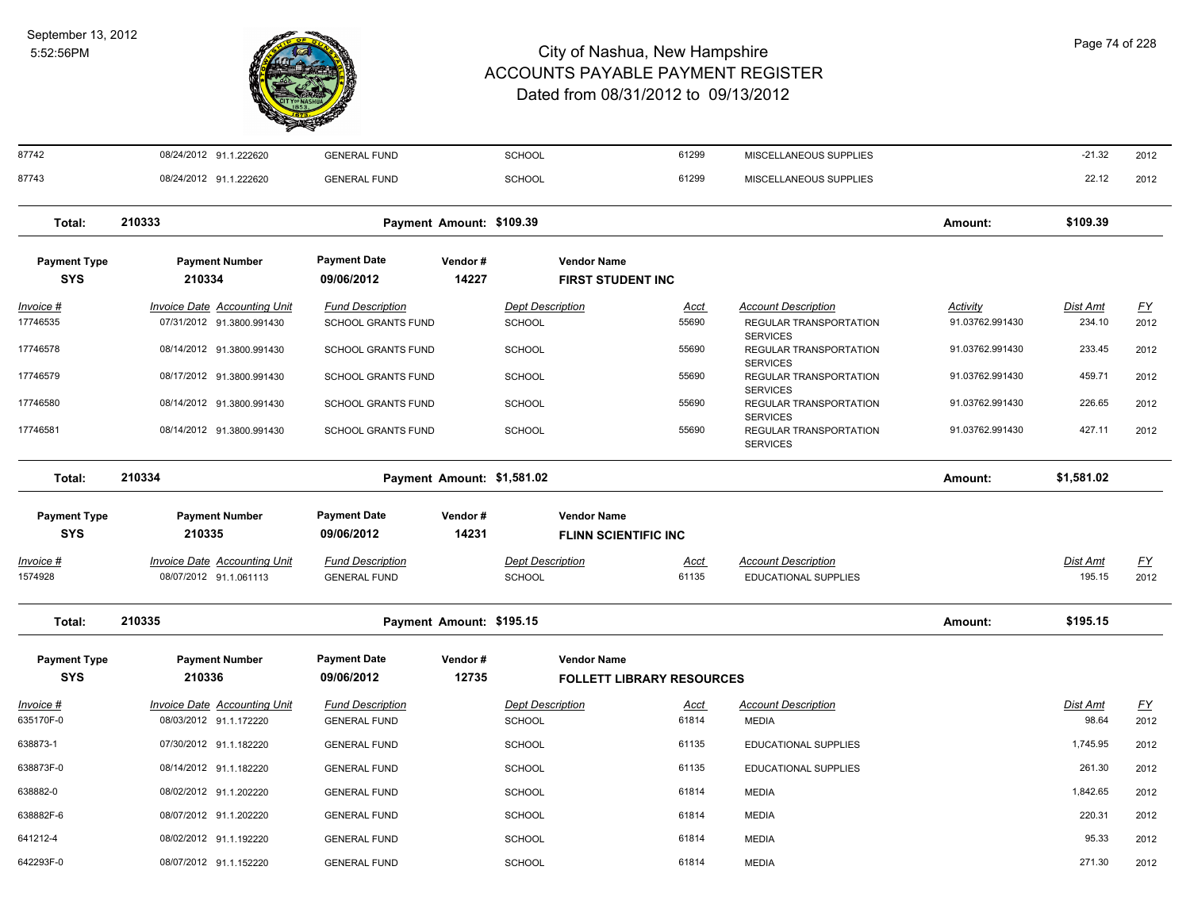

#### City of Nashua, New Hampshire ACCOUNTS PAYABLE PAYMENT REGISTER Dated from 08/31/2012 to 09/13/2012

87742 08/24/2012 91.1.222620 GENERAL FUND SCHOOL 61299 MISCELLANEOUS SUPPLIES -21.32 2012

| 87743                             | 08/24/2012 91.1.222620                                           | <b>GENERAL FUND</b>                                  |                            | <b>SCHOOL</b>                            |                                                        | 61299                | MISCELLANEOUS SUPPLIES                                                  |                             | 22.12                     | 2012              |
|-----------------------------------|------------------------------------------------------------------|------------------------------------------------------|----------------------------|------------------------------------------|--------------------------------------------------------|----------------------|-------------------------------------------------------------------------|-----------------------------|---------------------------|-------------------|
| Total:                            | 210333                                                           |                                                      | Payment Amount: \$109.39   |                                          |                                                        |                      |                                                                         | Amount:                     | \$109.39                  |                   |
| <b>Payment Type</b><br><b>SYS</b> | <b>Payment Number</b><br>210334                                  | <b>Payment Date</b><br>09/06/2012                    | Vendor#<br>14227           |                                          | <b>Vendor Name</b><br><b>FIRST STUDENT INC</b>         |                      |                                                                         |                             |                           |                   |
| Invoice #<br>17746535             | <b>Invoice Date Accounting Unit</b><br>07/31/2012 91.3800.991430 | <b>Fund Description</b><br><b>SCHOOL GRANTS FUND</b> |                            | <b>Dept Description</b><br><b>SCHOOL</b> |                                                        | Acct<br>55690        | <b>Account Description</b><br>REGULAR TRANSPORTATION<br><b>SERVICES</b> | Activity<br>91.03762.991430 | Dist Amt<br>234.10        | <u>FY</u><br>2012 |
| 17746578                          | 08/14/2012 91.3800.991430                                        | <b>SCHOOL GRANTS FUND</b>                            |                            | <b>SCHOOL</b>                            |                                                        | 55690                | REGULAR TRANSPORTATION<br><b>SERVICES</b>                               | 91.03762.991430             | 233.45                    | 2012              |
| 17746579                          | 08/17/2012 91.3800.991430                                        | <b>SCHOOL GRANTS FUND</b>                            |                            | <b>SCHOOL</b>                            |                                                        | 55690                | REGULAR TRANSPORTATION<br><b>SERVICES</b>                               | 91.03762.991430             | 459.71                    | 2012              |
| 17746580                          | 08/14/2012 91.3800.991430                                        | <b>SCHOOL GRANTS FUND</b>                            |                            | <b>SCHOOL</b>                            |                                                        | 55690                | REGULAR TRANSPORTATION<br><b>SERVICES</b>                               | 91.03762.991430             | 226.65                    | 2012              |
| 17746581                          | 08/14/2012 91.3800.991430                                        | <b>SCHOOL GRANTS FUND</b>                            |                            | <b>SCHOOL</b>                            |                                                        | 55690                | REGULAR TRANSPORTATION<br><b>SERVICES</b>                               | 91.03762.991430             | 427.11                    | 2012              |
| Total:                            | 210334                                                           |                                                      | Payment Amount: \$1,581.02 |                                          |                                                        |                      |                                                                         | Amount:                     | \$1,581.02                |                   |
| <b>Payment Type</b>               | <b>Payment Number</b>                                            | <b>Payment Date</b>                                  | Vendor#                    |                                          | <b>Vendor Name</b>                                     |                      |                                                                         |                             |                           |                   |
| <b>SYS</b>                        | 210335                                                           | 09/06/2012                                           | 14231                      |                                          | <b>FLINN SCIENTIFIC INC</b>                            |                      |                                                                         |                             |                           |                   |
| <u> Invoice #</u><br>1574928      | <b>Invoice Date Accounting Unit</b><br>08/07/2012 91.1.061113    | <b>Fund Description</b><br><b>GENERAL FUND</b>       |                            | <b>Dept Description</b><br><b>SCHOOL</b> |                                                        | <u>Acct</u><br>61135 | <b>Account Description</b><br><b>EDUCATIONAL SUPPLIES</b>               |                             | <b>Dist Amt</b><br>195.15 | <u>FY</u><br>2012 |
| Total:                            | 210335                                                           |                                                      | Payment Amount: \$195.15   |                                          |                                                        |                      |                                                                         | Amount:                     | \$195.15                  |                   |
| <b>Payment Type</b><br><b>SYS</b> | <b>Payment Number</b><br>210336                                  | <b>Payment Date</b><br>09/06/2012                    | Vendor#<br>12735           |                                          | <b>Vendor Name</b><br><b>FOLLETT LIBRARY RESOURCES</b> |                      |                                                                         |                             |                           |                   |
| Invoice #<br>635170F-0            | <b>Invoice Date Accounting Unit</b><br>08/03/2012 91.1.172220    | <b>Fund Description</b><br><b>GENERAL FUND</b>       |                            | <b>Dept Description</b><br>SCHOOL        |                                                        | <u>Acct</u><br>61814 | <b>Account Description</b><br><b>MEDIA</b>                              |                             | <b>Dist Amt</b><br>98.64  | <u>FY</u><br>2012 |
| 638873-1                          | 07/30/2012 91.1.182220                                           | <b>GENERAL FUND</b>                                  |                            | <b>SCHOOL</b>                            |                                                        | 61135                | <b>EDUCATIONAL SUPPLIES</b>                                             |                             | 1,745.95                  | 2012              |
| 638873F-0                         | 08/14/2012 91.1.182220                                           | <b>GENERAL FUND</b>                                  |                            | <b>SCHOOL</b>                            |                                                        | 61135                | <b>EDUCATIONAL SUPPLIES</b>                                             |                             | 261.30                    | 2012              |
| 638882-0                          | 08/02/2012 91.1.202220                                           | <b>GENERAL FUND</b>                                  |                            | <b>SCHOOL</b>                            |                                                        | 61814                | <b>MEDIA</b>                                                            |                             | 1,842.65                  | 2012              |
| 638882F-6                         | 08/07/2012 91.1.202220                                           | <b>GENERAL FUND</b>                                  |                            | <b>SCHOOL</b>                            |                                                        | 61814                | <b>MEDIA</b>                                                            |                             | 220.31                    | 2012              |
| 641212-4                          | 08/02/2012 91.1.192220                                           | <b>GENERAL FUND</b>                                  |                            | <b>SCHOOL</b>                            |                                                        | 61814                | <b>MEDIA</b>                                                            |                             | 95.33                     | 2012              |
| 642293F-0                         | 08/07/2012 91.1.152220                                           | <b>GENERAL FUND</b>                                  |                            | <b>SCHOOL</b>                            |                                                        | 61814                | <b>MEDIA</b>                                                            |                             | 271.30                    | 2012              |
|                                   |                                                                  |                                                      |                            |                                          |                                                        |                      |                                                                         |                             |                           |                   |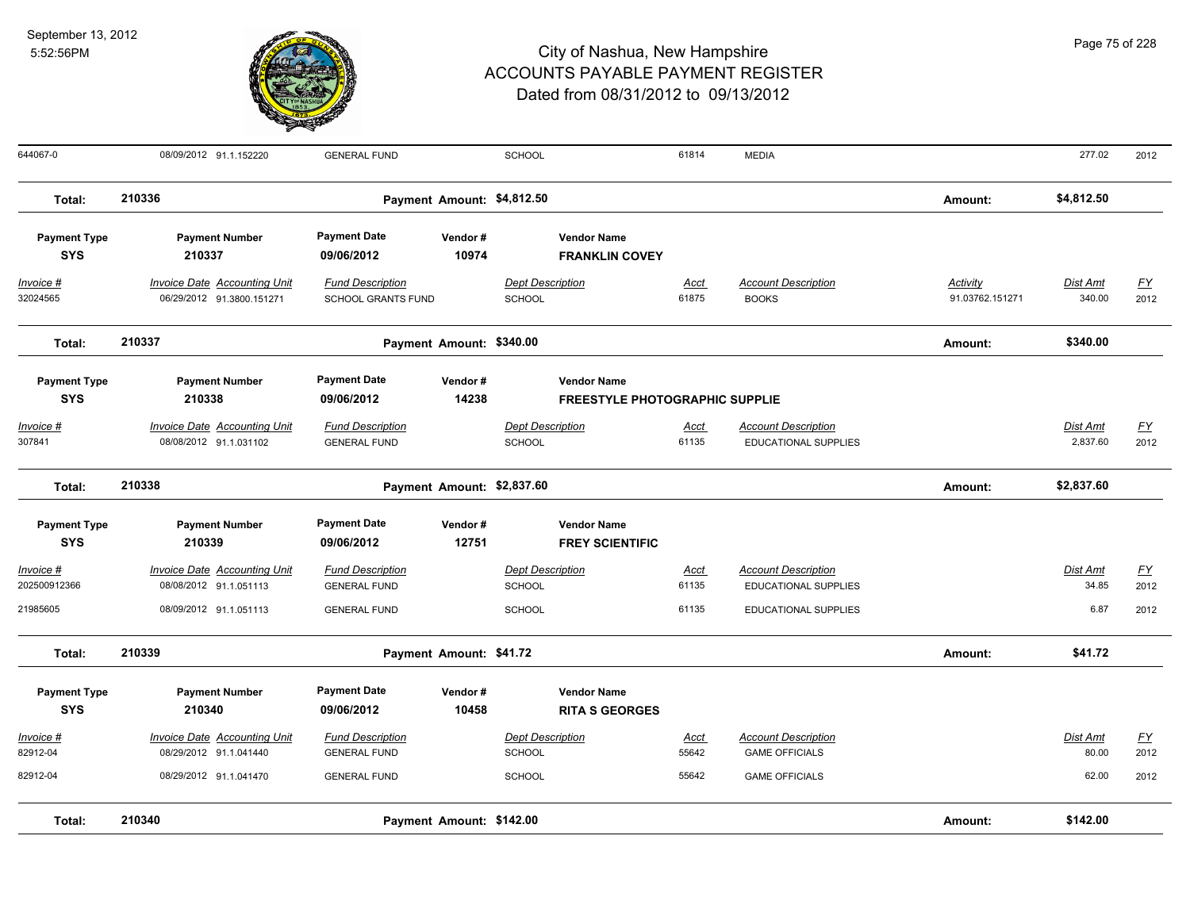

| 644067-0                              | 08/09/2012 91.1.152220                                                           | <b>GENERAL FUND</b>                                                   |                            | <b>SCHOOL</b>                                             |                                                             | 61814                  | <b>MEDIA</b>                                                                 |                                    | 277.02                      | 2012                              |
|---------------------------------------|----------------------------------------------------------------------------------|-----------------------------------------------------------------------|----------------------------|-----------------------------------------------------------|-------------------------------------------------------------|------------------------|------------------------------------------------------------------------------|------------------------------------|-----------------------------|-----------------------------------|
| Total:                                | 210336                                                                           |                                                                       | Payment Amount: \$4,812.50 |                                                           |                                                             |                        |                                                                              | Amount:                            | \$4,812.50                  |                                   |
| <b>Payment Type</b><br><b>SYS</b>     | <b>Payment Number</b><br>210337                                                  | <b>Payment Date</b><br>09/06/2012                                     | Vendor#<br>10974           |                                                           | <b>Vendor Name</b><br><b>FRANKLIN COVEY</b>                 |                        |                                                                              |                                    |                             |                                   |
| Invoice #<br>32024565                 | <b>Invoice Date Accounting Unit</b><br>06/29/2012 91.3800.151271                 | <b>Fund Description</b><br><b>SCHOOL GRANTS FUND</b>                  |                            | <b>Dept Description</b><br>SCHOOL                         |                                                             | Acct<br>61875          | <b>Account Description</b><br><b>BOOKS</b>                                   | <b>Activity</b><br>91.03762.151271 | Dist Amt<br>340.00          | $\underline{FY}$<br>2012          |
| Total:                                | 210337                                                                           |                                                                       | Payment Amount: \$340.00   |                                                           |                                                             |                        |                                                                              | Amount:                            | \$340.00                    |                                   |
| <b>Payment Type</b><br><b>SYS</b>     | <b>Payment Number</b><br>210338                                                  | <b>Payment Date</b><br>09/06/2012                                     | Vendor#<br>14238           |                                                           | <b>Vendor Name</b><br><b>FREESTYLE PHOTOGRAPHIC SUPPLIE</b> |                        |                                                                              |                                    |                             |                                   |
| <u> Invoice #</u><br>307841           | <b>Invoice Date Accounting Unit</b><br>08/08/2012 91.1.031102                    | <b>Fund Description</b><br><b>GENERAL FUND</b>                        |                            | <b>Dept Description</b><br><b>SCHOOL</b>                  |                                                             | <b>Acct</b><br>61135   | <b>Account Description</b><br>EDUCATIONAL SUPPLIES                           |                                    | <b>Dist Amt</b><br>2,837.60 | $\underline{\mathsf{FY}}$<br>2012 |
| Total:                                | 210338                                                                           |                                                                       | Payment Amount: \$2,837.60 |                                                           |                                                             |                        |                                                                              | Amount:                            | \$2,837.60                  |                                   |
| <b>Payment Type</b><br><b>SYS</b>     | <b>Payment Number</b><br>210339                                                  | <b>Payment Date</b><br>09/06/2012                                     | Vendor#<br>12751           |                                                           | <b>Vendor Name</b><br><b>FREY SCIENTIFIC</b>                |                        |                                                                              |                                    |                             |                                   |
| Invoice #<br>202500912366<br>21985605 | <b>Invoice Date Accounting Unit</b><br>08/08/2012 91.1.051113                    | <b>Fund Description</b><br><b>GENERAL FUND</b>                        |                            | <b>Dept Description</b><br><b>SCHOOL</b>                  |                                                             | Acct<br>61135<br>61135 | <b>Account Description</b><br><b>EDUCATIONAL SUPPLIES</b>                    |                                    | Dist Amt<br>34.85<br>6.87   | EY<br>2012                        |
| Total:                                | 08/09/2012 91.1.051113<br>210339                                                 | <b>GENERAL FUND</b>                                                   | Payment Amount: \$41.72    | <b>SCHOOL</b>                                             |                                                             |                        | <b>EDUCATIONAL SUPPLIES</b>                                                  | Amount:                            | \$41.72                     | 2012                              |
| <b>Payment Type</b><br><b>SYS</b>     | <b>Payment Number</b><br>210340                                                  | <b>Payment Date</b><br>09/06/2012                                     | Vendor#<br>10458           |                                                           | <b>Vendor Name</b><br><b>RITA S GEORGES</b>                 |                        |                                                                              |                                    |                             |                                   |
| Invoice #<br>82912-04<br>82912-04     | Invoice Date Accounting Unit<br>08/29/2012 91.1.041440<br>08/29/2012 91.1.041470 | <b>Fund Description</b><br><b>GENERAL FUND</b><br><b>GENERAL FUND</b> |                            | <b>Dept Description</b><br><b>SCHOOL</b><br><b>SCHOOL</b> |                                                             | Acct<br>55642<br>55642 | <b>Account Description</b><br><b>GAME OFFICIALS</b><br><b>GAME OFFICIALS</b> |                                    | Dist Amt<br>80.00<br>62.00  | $\underline{FY}$<br>2012<br>2012  |
| Total:                                | 210340                                                                           |                                                                       | Payment Amount: \$142.00   |                                                           |                                                             |                        |                                                                              | Amount:                            | \$142.00                    |                                   |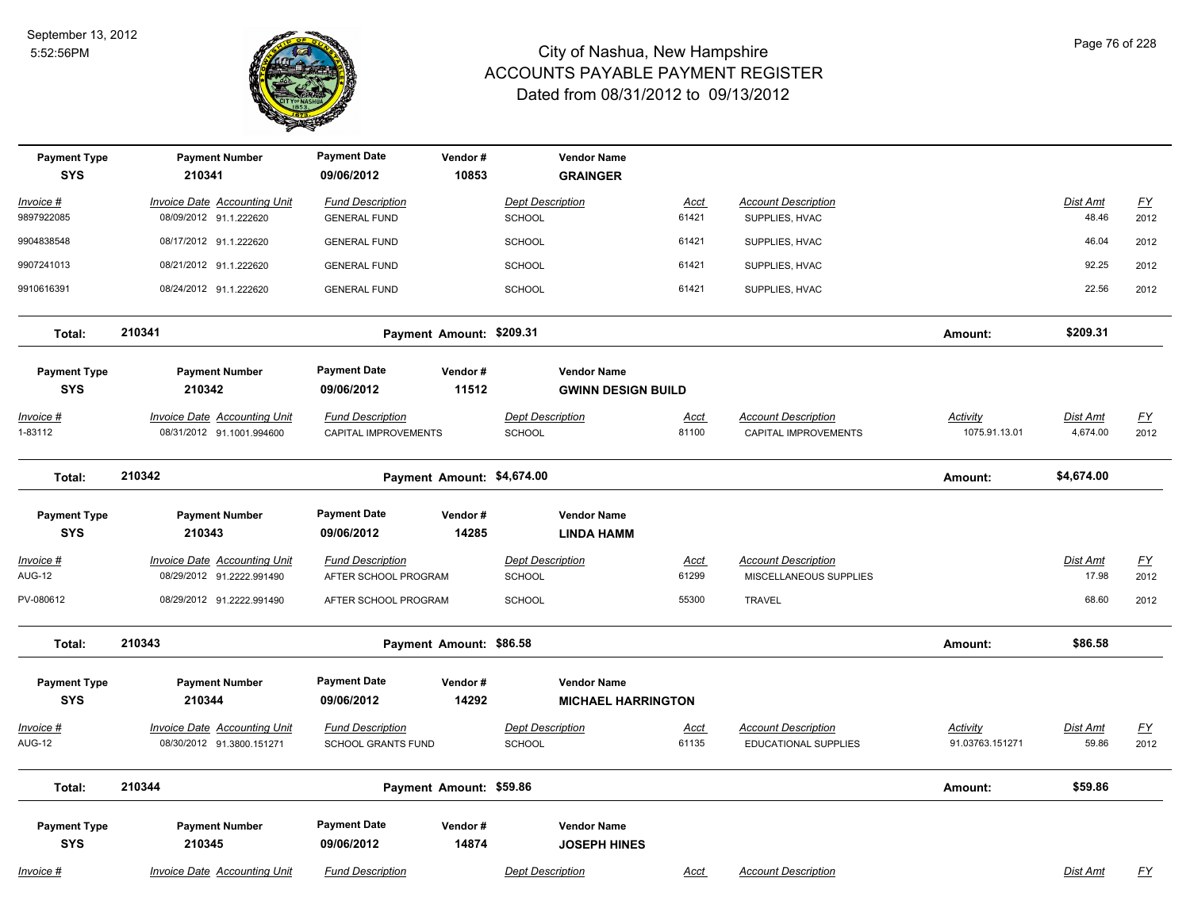

| <b>Payment Type</b><br><b>SYS</b> | <b>Payment Number</b><br>210341     | <b>Payment Date</b><br>09/06/2012 | Vendor#<br>10853           | <b>Vendor Name</b><br><b>GRAINGER</b>           |             |                             |                 |                 |           |
|-----------------------------------|-------------------------------------|-----------------------------------|----------------------------|-------------------------------------------------|-------------|-----------------------------|-----------------|-----------------|-----------|
| Invoice #                         | Invoice Date Accounting Unit        | <b>Fund Description</b>           |                            | <b>Dept Description</b>                         | Acct        | <b>Account Description</b>  |                 | Dist Amt        | <u>FY</u> |
| 9897922085                        | 08/09/2012 91.1.222620              | <b>GENERAL FUND</b>               |                            | SCHOOL                                          | 61421       | SUPPLIES, HVAC              |                 | 48.46           | 2012      |
| 9904838548                        | 08/17/2012 91.1.222620              | <b>GENERAL FUND</b>               |                            | SCHOOL                                          | 61421       | SUPPLIES, HVAC              |                 | 46.04           | 2012      |
| 9907241013                        | 08/21/2012 91.1.222620              | <b>GENERAL FUND</b>               |                            | SCHOOL                                          | 61421       | SUPPLIES, HVAC              |                 | 92.25           | 2012      |
| 9910616391                        | 08/24/2012 91.1.222620              | <b>GENERAL FUND</b>               |                            | SCHOOL                                          | 61421       | SUPPLIES, HVAC              |                 | 22.56           | 2012      |
| Total:                            | 210341                              |                                   | Payment Amount: \$209.31   |                                                 |             |                             | Amount:         | \$209.31        |           |
| <b>Payment Type</b><br><b>SYS</b> | <b>Payment Number</b><br>210342     | <b>Payment Date</b><br>09/06/2012 | Vendor#<br>11512           | <b>Vendor Name</b><br><b>GWINN DESIGN BUILD</b> |             |                             |                 |                 |           |
| <u> Invoice #</u>                 | <b>Invoice Date Accounting Unit</b> | <b>Fund Description</b>           |                            | <b>Dept Description</b>                         | Acct        | <b>Account Description</b>  | Activity        | <b>Dist Amt</b> | <u>FY</u> |
| 1-83112                           | 08/31/2012 91.1001.994600           | CAPITAL IMPROVEMENTS              |                            | SCHOOL                                          | 81100       | CAPITAL IMPROVEMENTS        | 1075.91.13.01   | 4,674.00        | 2012      |
| Total:                            | 210342                              |                                   | Payment Amount: \$4,674.00 |                                                 |             |                             | Amount:         | \$4,674.00      |           |
| <b>Payment Type</b><br><b>SYS</b> | <b>Payment Number</b><br>210343     | <b>Payment Date</b><br>09/06/2012 | Vendor#<br>14285           | <b>Vendor Name</b><br><b>LINDA HAMM</b>         |             |                             |                 |                 |           |
| <u> Invoice #</u>                 | <b>Invoice Date Accounting Unit</b> | <b>Fund Description</b>           |                            | <b>Dept Description</b>                         | <b>Acct</b> | <b>Account Description</b>  |                 | <b>Dist Amt</b> | <u>FY</u> |
| <b>AUG-12</b>                     | 08/29/2012 91.2222.991490           | AFTER SCHOOL PROGRAM              |                            | SCHOOL                                          | 61299       | MISCELLANEOUS SUPPLIES      |                 | 17.98           | 2012      |
| PV-080612                         | 08/29/2012 91.2222.991490           | AFTER SCHOOL PROGRAM              |                            | <b>SCHOOL</b>                                   | 55300       | <b>TRAVEL</b>               |                 | 68.60           | 2012      |
| Total:                            | 210343                              |                                   | Payment Amount: \$86.58    |                                                 |             |                             | Amount:         | \$86.58         |           |
| <b>Payment Type</b><br><b>SYS</b> | <b>Payment Number</b><br>210344     | <b>Payment Date</b><br>09/06/2012 | Vendor#<br>14292           | <b>Vendor Name</b><br><b>MICHAEL HARRINGTON</b> |             |                             |                 |                 |           |
| Invoice #                         | Invoice Date Accounting Unit        | <b>Fund Description</b>           |                            | <b>Dept Description</b>                         | <u>Acct</u> | <b>Account Description</b>  | Activity        | Dist Amt        | <u>FY</u> |
| AUG-12                            | 08/30/2012 91.3800.151271           | <b>SCHOOL GRANTS FUND</b>         |                            | SCHOOL                                          | 61135       | <b>EDUCATIONAL SUPPLIES</b> | 91.03763.151271 | 59.86           | 2012      |
| Total:                            | 210344                              |                                   | Payment Amount: \$59.86    |                                                 |             |                             | Amount:         | \$59.86         |           |
| <b>Payment Type</b><br><b>SYS</b> | <b>Payment Number</b><br>210345     | <b>Payment Date</b><br>09/06/2012 | Vendor#<br>14874           | <b>Vendor Name</b><br><b>JOSEPH HINES</b>       |             |                             |                 |                 |           |
| <u> Invoice #</u>                 | <b>Invoice Date Accounting Unit</b> | <b>Fund Description</b>           |                            | <b>Dept Description</b>                         | <b>Acct</b> | <b>Account Description</b>  |                 | Dist Amt        | <u>FY</u> |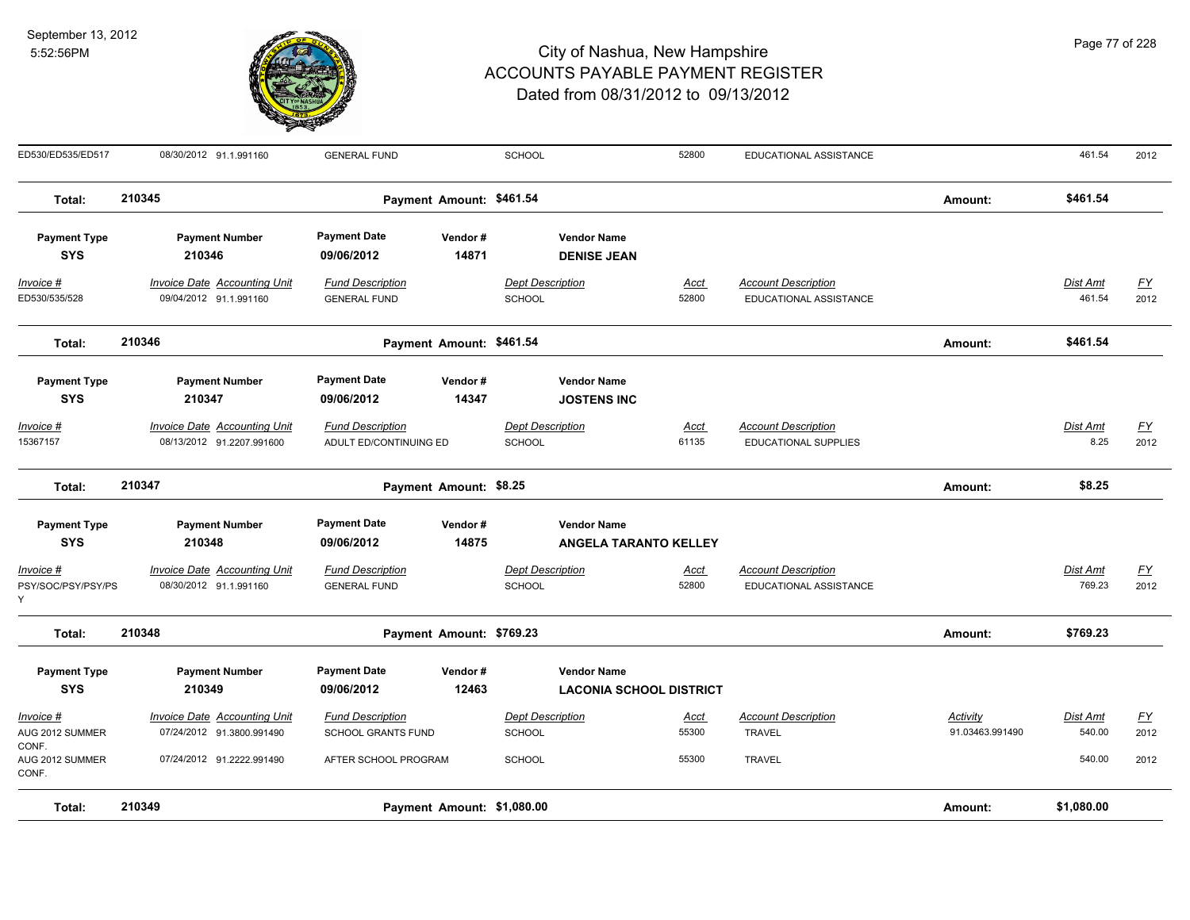

| Total:                            | 210349                                                           |                                                   | Payment Amount: \$1,080.00 |                                          |                                                    |               |                                                    | Amount:         | \$1,080.00              |                   |
|-----------------------------------|------------------------------------------------------------------|---------------------------------------------------|----------------------------|------------------------------------------|----------------------------------------------------|---------------|----------------------------------------------------|-----------------|-------------------------|-------------------|
| AUG 2012 SUMMER<br>CONF.          | 07/24/2012 91.2222.991490                                        | AFTER SCHOOL PROGRAM                              |                            | <b>SCHOOL</b>                            |                                                    | 55300         | <b>TRAVEL</b>                                      |                 | 540.00                  | 2012              |
| AUG 2012 SUMMER<br>CONF.          | 07/24/2012 91.3800.991490                                        | SCHOOL GRANTS FUND                                |                            | <b>SCHOOL</b>                            |                                                    | 55300         | <b>TRAVEL</b>                                      | 91.03463.991490 | 540.00                  | 2012              |
| <u> Invoice #</u>                 | <b>Invoice Date Accounting Unit</b>                              | <b>Fund Description</b>                           |                            | <b>Dept Description</b>                  |                                                    | <u>Acct</u>   | <b>Account Description</b>                         | <u>Activity</u> | Dist Amt                | $\underline{FY}$  |
| <b>SYS</b>                        | 210349                                                           | 09/06/2012                                        | 12463                      |                                          | <b>LACONIA SCHOOL DISTRICT</b>                     |               |                                                    |                 |                         |                   |
| <b>Payment Type</b>               | <b>Payment Number</b>                                            | <b>Payment Date</b>                               | Vendor#                    |                                          | <b>Vendor Name</b>                                 |               |                                                    |                 |                         |                   |
| Total:                            | 210348                                                           |                                                   | Payment Amount: \$769.23   |                                          |                                                    |               |                                                    | Amount:         | \$769.23                |                   |
| PSY/SOC/PSY/PSY/PS<br>Ý           | 08/30/2012 91.1.991160                                           | <b>GENERAL FUND</b>                               |                            | <b>SCHOOL</b>                            |                                                    | 52800         | EDUCATIONAL ASSISTANCE                             |                 | 769.23                  | 2012              |
| Invoice #                         | <b>Invoice Date Accounting Unit</b>                              | <b>Fund Description</b>                           |                            | <b>Dept Description</b>                  |                                                    | Acct          | <b>Account Description</b>                         |                 | Dist Amt                | $\underline{FY}$  |
| <b>Payment Type</b><br><b>SYS</b> | <b>Payment Number</b><br>210348                                  | <b>Payment Date</b><br>09/06/2012                 | Vendor#<br>14875           |                                          | <b>Vendor Name</b><br><b>ANGELA TARANTO KELLEY</b> |               |                                                    |                 |                         |                   |
|                                   |                                                                  |                                                   |                            |                                          |                                                    |               |                                                    |                 |                         |                   |
| Total:                            | 210347                                                           |                                                   | Payment Amount: \$8.25     |                                          |                                                    |               |                                                    | Amount:         | \$8.25                  |                   |
| Invoice #<br>15367157             | <b>Invoice Date Accounting Unit</b><br>08/13/2012 91.2207.991600 | <b>Fund Description</b><br>ADULT ED/CONTINUING ED |                            | <b>Dept Description</b><br><b>SCHOOL</b> |                                                    | Acct<br>61135 | <b>Account Description</b><br>EDUCATIONAL SUPPLIES |                 | <b>Dist Amt</b><br>8.25 | <u>FY</u><br>2012 |
| <b>SYS</b>                        | 210347                                                           | 09/06/2012                                        | 14347                      |                                          | <b>JOSTENS INC</b>                                 |               |                                                    |                 |                         |                   |
| <b>Payment Type</b>               | <b>Payment Number</b>                                            | <b>Payment Date</b>                               | Vendor#                    |                                          | <b>Vendor Name</b>                                 |               |                                                    |                 |                         |                   |
| Total:                            | 210346                                                           |                                                   | Payment Amount: \$461.54   |                                          |                                                    |               |                                                    | Amount:         | \$461.54                |                   |
| ED530/535/528                     | 09/04/2012 91.1.991160                                           | <b>GENERAL FUND</b>                               |                            | <b>SCHOOL</b>                            |                                                    | 52800         | EDUCATIONAL ASSISTANCE                             |                 | 461.54                  | 2012              |
| Invoice #                         | Invoice Date Accounting Unit                                     | <b>Fund Description</b>                           |                            | <b>Dept Description</b>                  |                                                    | Acct          | <b>Account Description</b>                         |                 | Dist Amt                | EY                |
| <b>Payment Type</b><br><b>SYS</b> | <b>Payment Number</b><br>210346                                  | <b>Payment Date</b><br>09/06/2012                 | Vendor#<br>14871           |                                          | <b>Vendor Name</b><br><b>DENISE JEAN</b>           |               |                                                    |                 |                         |                   |
| Total:                            | 210345                                                           |                                                   | Payment Amount: \$461.54   |                                          |                                                    |               |                                                    | Amount:         | \$461.54                |                   |
|                                   |                                                                  |                                                   |                            |                                          |                                                    |               |                                                    |                 |                         |                   |
| ED530/ED535/ED517                 | 08/30/2012 91.1.991160                                           | <b>GENERAL FUND</b>                               |                            | <b>SCHOOL</b>                            |                                                    | 52800         | EDUCATIONAL ASSISTANCE                             |                 | 461.54                  | 2012              |

Page 77 of 228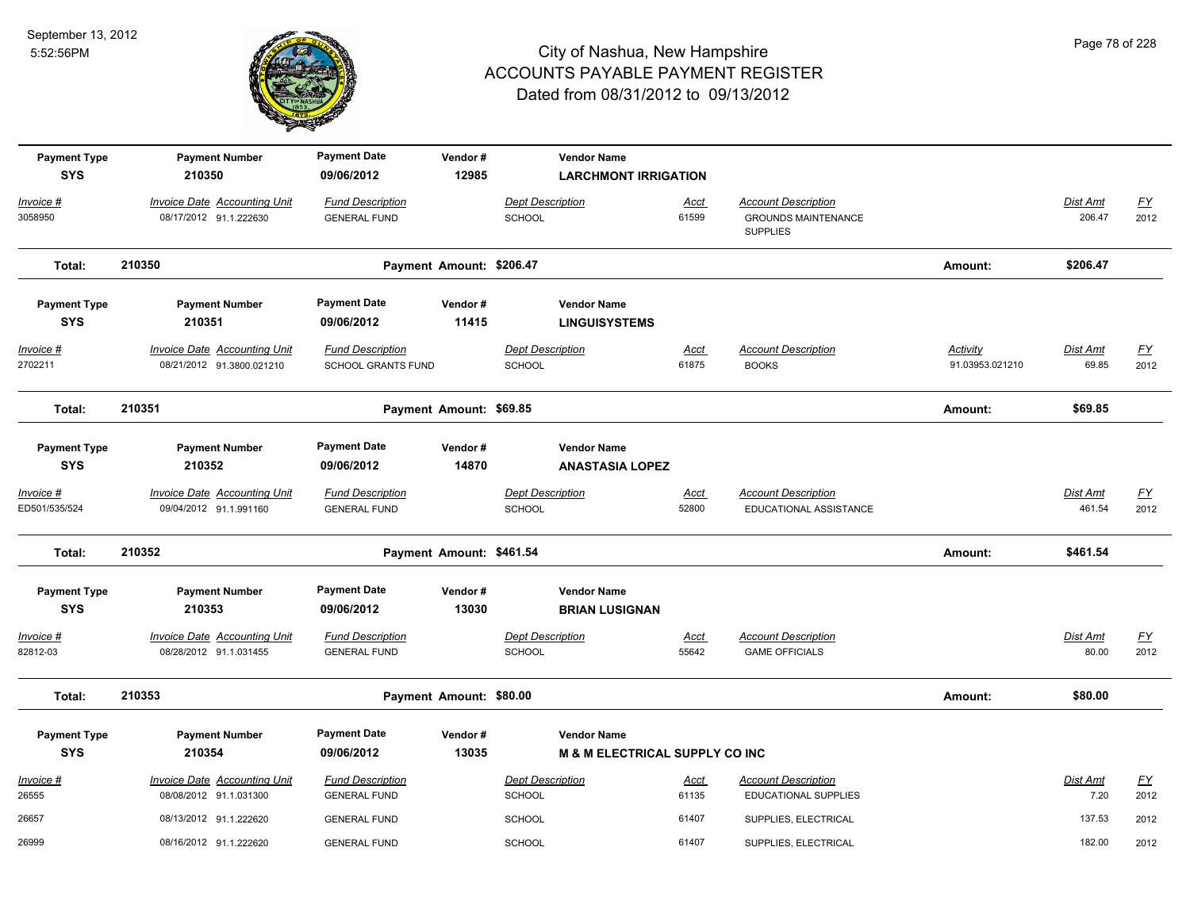

| <b>Payment Type</b><br><b>SYS</b> | <b>Payment Number</b><br>210350                                  | <b>Payment Date</b><br>09/06/2012                    | Vendor#<br>12985         |                                          | <b>Vendor Name</b><br><b>LARCHMONT IRRIGATION</b>               |                      |                                                                             |                             |                           |                          |
|-----------------------------------|------------------------------------------------------------------|------------------------------------------------------|--------------------------|------------------------------------------|-----------------------------------------------------------------|----------------------|-----------------------------------------------------------------------------|-----------------------------|---------------------------|--------------------------|
| Invoice #<br>3058950              | <b>Invoice Date Accounting Unit</b><br>08/17/2012 91.1.222630    | <b>Fund Description</b><br><b>GENERAL FUND</b>       |                          | <b>Dept Description</b><br><b>SCHOOL</b> |                                                                 | <u>Acct</u><br>61599 | <b>Account Description</b><br><b>GROUNDS MAINTENANCE</b><br><b>SUPPLIES</b> |                             | Dist Amt<br>206.47        | $\underline{FY}$<br>2012 |
| Total:                            | 210350                                                           |                                                      | Payment Amount: \$206.47 |                                          |                                                                 |                      |                                                                             | Amount:                     | \$206.47                  |                          |
| <b>Payment Type</b><br><b>SYS</b> | <b>Payment Number</b><br>210351                                  | <b>Payment Date</b><br>09/06/2012                    | Vendor#<br>11415         |                                          | <b>Vendor Name</b><br><b>LINGUISYSTEMS</b>                      |                      |                                                                             |                             |                           |                          |
| Invoice #<br>2702211              | <b>Invoice Date Accounting Unit</b><br>08/21/2012 91.3800.021210 | <b>Fund Description</b><br><b>SCHOOL GRANTS FUND</b> |                          | <b>Dept Description</b><br><b>SCHOOL</b> |                                                                 | <u>Acct</u><br>61875 | <b>Account Description</b><br><b>BOOKS</b>                                  | Activity<br>91.03953.021210 | Dist Amt<br>69.85         | $\underline{FY}$<br>2012 |
| Total:                            | 210351                                                           |                                                      | Payment Amount: \$69.85  |                                          |                                                                 |                      |                                                                             | Amount:                     | \$69.85                   |                          |
| <b>Payment Type</b><br><b>SYS</b> | <b>Payment Number</b><br>210352                                  | <b>Payment Date</b><br>09/06/2012                    | Vendor#<br>14870         |                                          | <b>Vendor Name</b><br><b>ANASTASIA LOPEZ</b>                    |                      |                                                                             |                             |                           |                          |
| Invoice #<br>ED501/535/524        | <b>Invoice Date Accounting Unit</b><br>09/04/2012 91.1.991160    | <b>Fund Description</b><br><b>GENERAL FUND</b>       |                          | <b>Dept Description</b><br>SCHOOL        |                                                                 | <u>Acct</u><br>52800 | <b>Account Description</b><br>EDUCATIONAL ASSISTANCE                        |                             | <b>Dist Amt</b><br>461.54 | <u>FY</u><br>2012        |
| Total:                            | 210352                                                           |                                                      | Payment Amount: \$461.54 |                                          |                                                                 |                      |                                                                             | Amount:                     | \$461.54                  |                          |
| <b>Payment Type</b><br><b>SYS</b> | <b>Payment Number</b><br>210353                                  | <b>Payment Date</b><br>09/06/2012                    | Vendor#<br>13030         |                                          | <b>Vendor Name</b><br><b>BRIAN LUSIGNAN</b>                     |                      |                                                                             |                             |                           |                          |
| Invoice #<br>82812-03             | <b>Invoice Date Accounting Unit</b><br>08/28/2012 91.1.031455    | <b>Fund Description</b><br><b>GENERAL FUND</b>       |                          | <b>Dept Description</b><br><b>SCHOOL</b> |                                                                 | Acct<br>55642        | <b>Account Description</b><br><b>GAME OFFICIALS</b>                         |                             | Dist Amt<br>80.00         | $\underline{FY}$<br>2012 |
| Total:                            | 210353                                                           |                                                      | Payment Amount: \$80.00  |                                          |                                                                 |                      |                                                                             | Amount:                     | \$80.00                   |                          |
| <b>Payment Type</b><br><b>SYS</b> | <b>Payment Number</b><br>210354                                  | <b>Payment Date</b><br>09/06/2012                    | Vendor#<br>13035         |                                          | <b>Vendor Name</b><br><b>M &amp; M ELECTRICAL SUPPLY CO INC</b> |                      |                                                                             |                             |                           |                          |
| Invoice #<br>26555                | Invoice Date Accounting Unit<br>08/08/2012 91.1.031300           | <b>Fund Description</b><br><b>GENERAL FUND</b>       |                          | Dept Description<br><b>SCHOOL</b>        |                                                                 | Acct<br>61135        | <b>Account Description</b><br>EDUCATIONAL SUPPLIES                          |                             | Dist Amt<br>7.20          | $\underline{FY}$<br>2012 |
| 26657                             | 08/13/2012 91.1.222620                                           | <b>GENERAL FUND</b>                                  |                          | SCHOOL                                   |                                                                 | 61407                | SUPPLIES, ELECTRICAL                                                        |                             | 137.53                    | 2012                     |
| 26999                             | 08/16/2012 91.1.222620                                           | <b>GENERAL FUND</b>                                  |                          | <b>SCHOOL</b>                            |                                                                 | 61407                | SUPPLIES, ELECTRICAL                                                        |                             | 182.00                    | 2012                     |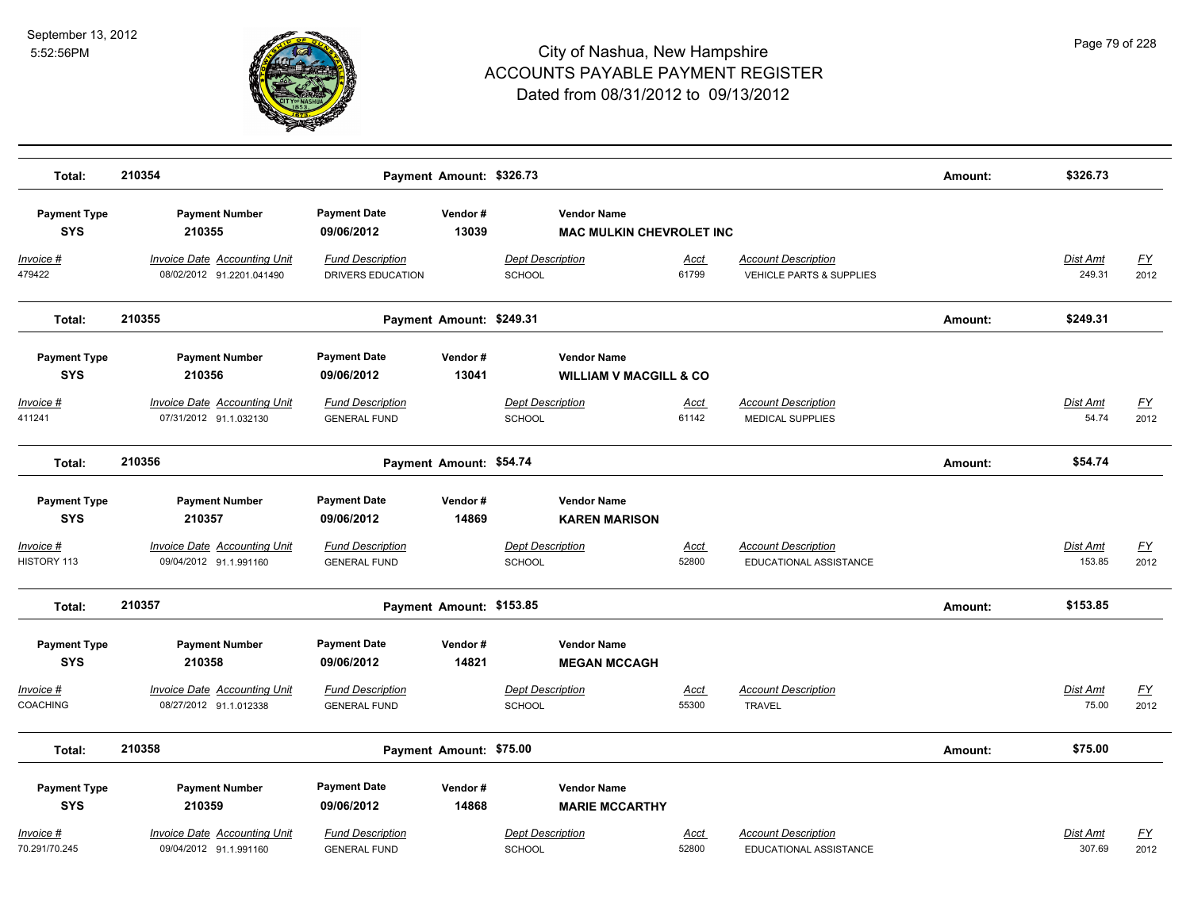

| Total:                               | 210354                                                           |                                                | Payment Amount: \$326.73 |                                                         |                      |                                                                   | Amount: | \$326.73                  |                   |
|--------------------------------------|------------------------------------------------------------------|------------------------------------------------|--------------------------|---------------------------------------------------------|----------------------|-------------------------------------------------------------------|---------|---------------------------|-------------------|
| <b>Payment Type</b><br><b>SYS</b>    | <b>Payment Number</b><br>210355                                  | <b>Payment Date</b><br>09/06/2012              | Vendor#<br>13039         | <b>Vendor Name</b><br><b>MAC MULKIN CHEVROLET INC</b>   |                      |                                                                   |         |                           |                   |
| <u>Invoice #</u><br>479422           | <b>Invoice Date Accounting Unit</b><br>08/02/2012 91.2201.041490 | <b>Fund Description</b><br>DRIVERS EDUCATION   |                          | <b>Dept Description</b><br><b>SCHOOL</b>                | <b>Acct</b><br>61799 | <b>Account Description</b><br><b>VEHICLE PARTS &amp; SUPPLIES</b> |         | <b>Dist Amt</b><br>249.31 | <u>FY</u><br>2012 |
| Total:                               | 210355                                                           |                                                | Payment Amount: \$249.31 |                                                         |                      |                                                                   | Amount: | \$249.31                  |                   |
| <b>Payment Type</b><br><b>SYS</b>    | <b>Payment Number</b><br>210356                                  | <b>Payment Date</b><br>09/06/2012              | Vendor#<br>13041         | <b>Vendor Name</b><br><b>WILLIAM V MACGILL &amp; CO</b> |                      |                                                                   |         |                           |                   |
| <u> Invoice #</u><br>411241          | <b>Invoice Date Accounting Unit</b><br>07/31/2012 91.1.032130    | <b>Fund Description</b><br><b>GENERAL FUND</b> |                          | <b>Dept Description</b><br>SCHOOL                       | <u>Acct</u><br>61142 | <b>Account Description</b><br>MEDICAL SUPPLIES                    |         | Dist Amt<br>54.74         | <u>FY</u><br>2012 |
| Total:                               | 210356                                                           |                                                | Payment Amount: \$54.74  |                                                         |                      |                                                                   | Amount: | \$54.74                   |                   |
| <b>Payment Type</b><br><b>SYS</b>    | <b>Payment Number</b><br>210357                                  | <b>Payment Date</b><br>09/06/2012              | Vendor#<br>14869         | <b>Vendor Name</b><br><b>KAREN MARISON</b>              |                      |                                                                   |         |                           |                   |
| Invoice #<br>HISTORY 113             | <b>Invoice Date Accounting Unit</b><br>09/04/2012 91.1.991160    | <b>Fund Description</b><br><b>GENERAL FUND</b> |                          | <b>Dept Description</b><br><b>SCHOOL</b>                | Acct<br>52800        | <b>Account Description</b><br>EDUCATIONAL ASSISTANCE              |         | Dist Amt<br>153.85        | <u>FY</u><br>2012 |
| Total:                               | 210357                                                           |                                                | Payment Amount: \$153.85 |                                                         |                      |                                                                   | Amount: | \$153.85                  |                   |
| <b>Payment Type</b><br><b>SYS</b>    | <b>Payment Number</b><br>210358                                  | <b>Payment Date</b><br>09/06/2012              | Vendor#<br>14821         | <b>Vendor Name</b><br><b>MEGAN MCCAGH</b>               |                      |                                                                   |         |                           |                   |
| <u> Invoice #</u><br><b>COACHING</b> | <b>Invoice Date Accounting Unit</b><br>08/27/2012 91.1.012338    | <b>Fund Description</b><br><b>GENERAL FUND</b> |                          | <b>Dept Description</b><br>SCHOOL                       | Acct<br>55300        | <b>Account Description</b><br><b>TRAVEL</b>                       |         | Dist Amt<br>75.00         | <u>FY</u><br>2012 |
| Total:                               | 210358                                                           |                                                | Payment Amount: \$75.00  |                                                         |                      |                                                                   | Amount: | \$75.00                   |                   |
| <b>Payment Type</b><br><b>SYS</b>    | <b>Payment Number</b><br>210359                                  | <b>Payment Date</b><br>09/06/2012              | Vendor#<br>14868         | <b>Vendor Name</b><br><b>MARIE MCCARTHY</b>             |                      |                                                                   |         |                           |                   |
| Invoice #<br>70.291/70.245           | <b>Invoice Date Accounting Unit</b><br>09/04/2012 91.1.991160    | <b>Fund Description</b><br><b>GENERAL FUND</b> |                          | <b>Dept Description</b><br>SCHOOL                       | Acct<br>52800        | <b>Account Description</b><br>EDUCATIONAL ASSISTANCE              |         | <b>Dist Amt</b><br>307.69 | <u>FY</u><br>2012 |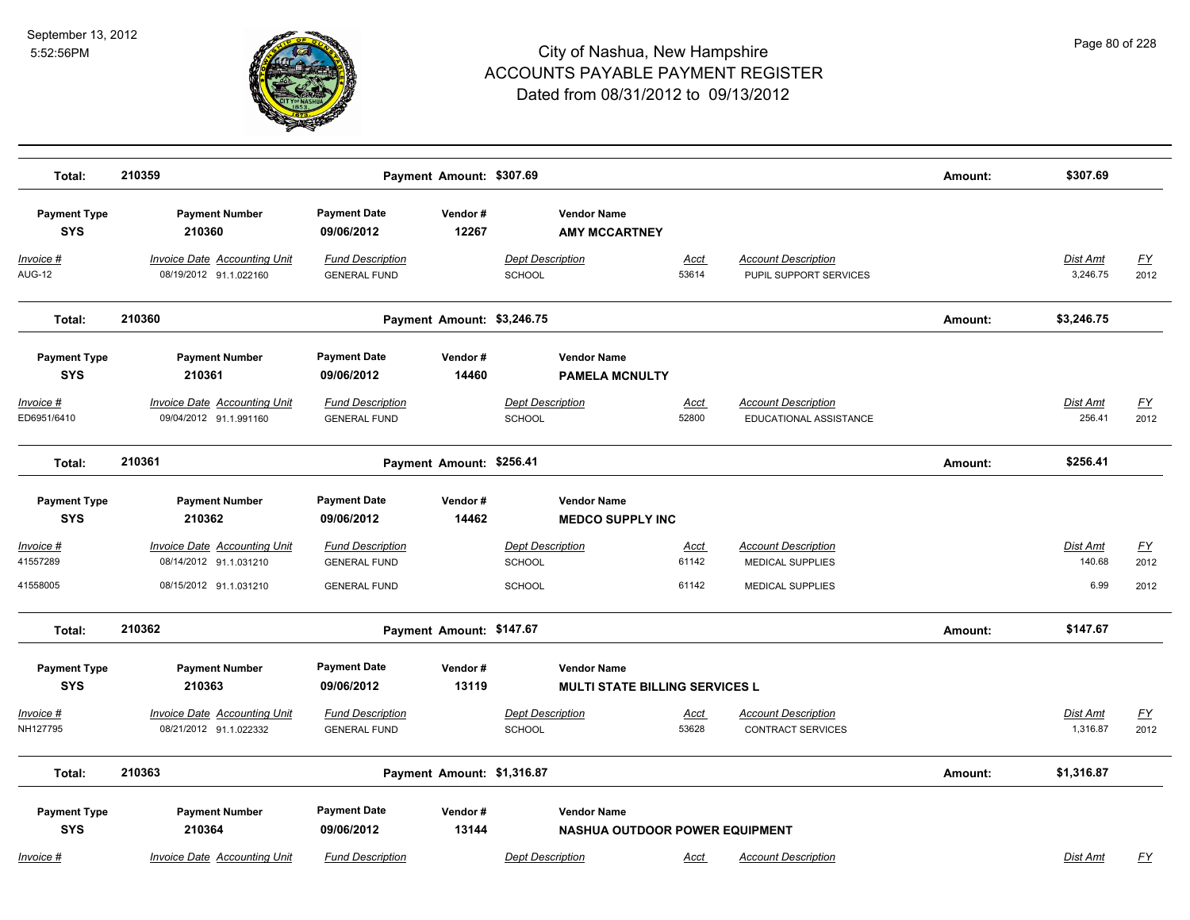

| Total:                            | 210359                                                        |                                                | Payment Amount: \$307.69   |                                                             |                      |                                                        | Amount: | \$307.69                  |                   |
|-----------------------------------|---------------------------------------------------------------|------------------------------------------------|----------------------------|-------------------------------------------------------------|----------------------|--------------------------------------------------------|---------|---------------------------|-------------------|
| <b>Payment Type</b><br><b>SYS</b> | <b>Payment Number</b><br>210360                               | <b>Payment Date</b><br>09/06/2012              | Vendor#<br>12267           | <b>Vendor Name</b><br><b>AMY MCCARTNEY</b>                  |                      |                                                        |         |                           |                   |
| <u>Invoice #</u><br><b>AUG-12</b> | <b>Invoice Date Accounting Unit</b><br>08/19/2012 91.1.022160 | <b>Fund Description</b><br><b>GENERAL FUND</b> |                            | <b>Dept Description</b><br>SCHOOL                           | <u>Acct</u><br>53614 | <b>Account Description</b><br>PUPIL SUPPORT SERVICES   |         | Dist Amt<br>3,246.75      | <u>FY</u><br>2012 |
| Total:                            | 210360                                                        |                                                | Payment Amount: \$3,246.75 |                                                             |                      |                                                        | Amount: | \$3,246.75                |                   |
| <b>Payment Type</b><br><b>SYS</b> | <b>Payment Number</b><br>210361                               | <b>Payment Date</b><br>09/06/2012              | Vendor#<br>14460           | <b>Vendor Name</b><br><b>PAMELA MCNULTY</b>                 |                      |                                                        |         |                           |                   |
| Invoice #<br>ED6951/6410          | <b>Invoice Date Accounting Unit</b><br>09/04/2012 91.1.991160 | <b>Fund Description</b><br><b>GENERAL FUND</b> |                            | <b>Dept Description</b><br>SCHOOL                           | Acct<br>52800        | <b>Account Description</b><br>EDUCATIONAL ASSISTANCE   |         | <b>Dist Amt</b><br>256.41 | <u>FY</u><br>2012 |
| Total:                            | 210361                                                        |                                                | Payment Amount: \$256.41   |                                                             |                      |                                                        | Amount: | \$256.41                  |                   |
| <b>Payment Type</b>               | <b>Payment Number</b>                                         | <b>Payment Date</b>                            | Vendor#                    | <b>Vendor Name</b>                                          |                      |                                                        |         |                           |                   |
| <b>SYS</b>                        | 210362                                                        | 09/06/2012                                     | 14462                      | <b>MEDCO SUPPLY INC</b>                                     |                      |                                                        |         |                           |                   |
| Invoice #<br>41557289             | <b>Invoice Date Accounting Unit</b><br>08/14/2012 91.1.031210 | <b>Fund Description</b><br><b>GENERAL FUND</b> |                            | <b>Dept Description</b><br><b>SCHOOL</b>                    | Acct<br>61142        | <b>Account Description</b><br><b>MEDICAL SUPPLIES</b>  |         | Dist Amt<br>140.68        | <u>FY</u><br>2012 |
| 41558005                          | 08/15/2012 91.1.031210                                        | <b>GENERAL FUND</b>                            |                            | <b>SCHOOL</b>                                               | 61142                | <b>MEDICAL SUPPLIES</b>                                |         | 6.99                      | 2012              |
| Total:                            | 210362                                                        |                                                | Payment Amount: \$147.67   |                                                             |                      |                                                        | Amount: | \$147.67                  |                   |
| <b>Payment Type</b><br><b>SYS</b> | <b>Payment Number</b><br>210363                               | <b>Payment Date</b><br>09/06/2012              | Vendor#<br>13119           | <b>Vendor Name</b><br><b>MULTI STATE BILLING SERVICES L</b> |                      |                                                        |         |                           |                   |
| <u>Invoice #</u><br>NH127795      | <b>Invoice Date Accounting Unit</b><br>08/21/2012 91.1.022332 | <b>Fund Description</b><br><b>GENERAL FUND</b> |                            | <b>Dept Description</b><br>SCHOOL                           | <u>Acct</u><br>53628 | <b>Account Description</b><br><b>CONTRACT SERVICES</b> |         | Dist Amt<br>1,316.87      | <u>FY</u><br>2012 |
| Total:                            | 210363                                                        |                                                | Payment Amount: \$1,316.87 |                                                             |                      |                                                        | Amount: | \$1,316.87                |                   |
| <b>Payment Type</b><br><b>SYS</b> | <b>Payment Number</b><br>210364                               | <b>Payment Date</b><br>09/06/2012              | Vendor#<br>13144           | <b>Vendor Name</b><br><b>NASHUA OUTDOOR POWER EQUIPMENT</b> |                      |                                                        |         |                           |                   |
| Invoice #                         | <b>Invoice Date Accounting Unit</b>                           | <b>Fund Description</b>                        |                            | <b>Dept Description</b>                                     | Acct                 | <b>Account Description</b>                             |         | Dist Amt                  | FY                |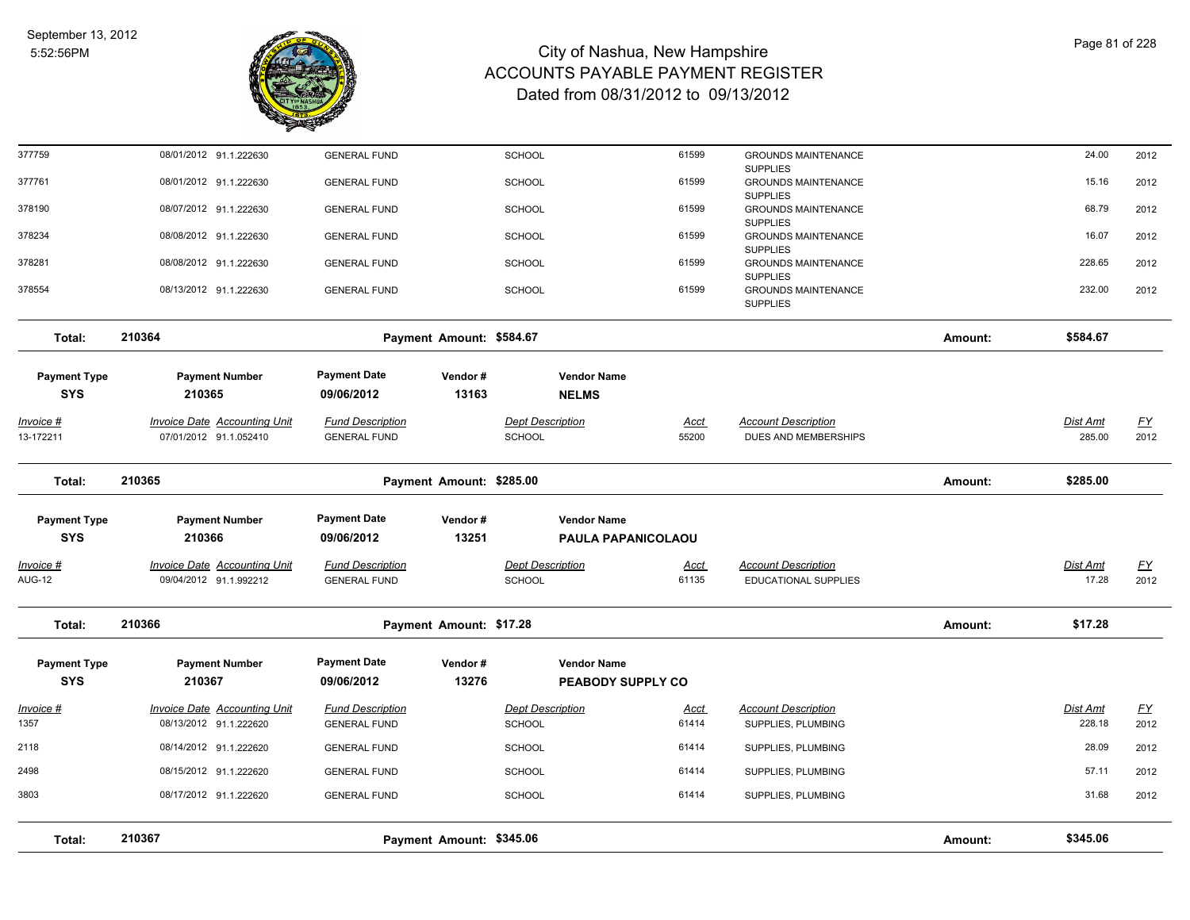

| Total:                             | 210367                                                        |                                                | Payment Amount: \$345.06 |                                   |                           |                                                           | Amount: | \$345.06                 |                   |
|------------------------------------|---------------------------------------------------------------|------------------------------------------------|--------------------------|-----------------------------------|---------------------------|-----------------------------------------------------------|---------|--------------------------|-------------------|
|                                    |                                                               |                                                |                          |                                   |                           |                                                           |         |                          |                   |
| 3803                               | 08/17/2012 91.1.222620                                        | <b>GENERAL FUND</b>                            |                          | <b>SCHOOL</b>                     | 61414                     | SUPPLIES, PLUMBING                                        |         | 31.68                    | 2012              |
| 2498                               | 08/15/2012 91.1.222620                                        | <b>GENERAL FUND</b>                            |                          | <b>SCHOOL</b>                     | 61414                     | SUPPLIES, PLUMBING                                        |         | 57.11                    | 2012              |
| 2118                               | 08/14/2012 91.1.222620                                        | <b>GENERAL FUND</b>                            |                          | <b>SCHOOL</b>                     | 61414                     | SUPPLIES, PLUMBING                                        |         | 28.09                    | 2012              |
| 1357                               | 08/13/2012 91.1.222620                                        | <b>GENERAL FUND</b>                            |                          | SCHOOL                            | 61414                     | SUPPLIES, PLUMBING                                        |         | 228.18                   | 2012              |
| Invoice #                          | <b>Invoice Date Accounting Unit</b>                           | <b>Fund Description</b>                        |                          | <b>Dept Description</b>           | Acct                      | <b>Account Description</b>                                |         | Dist Amt                 | <u>FY</u>         |
| <b>Payment Type</b><br><b>SYS</b>  | <b>Payment Number</b><br>210367                               | <b>Payment Date</b><br>09/06/2012              | Vendor#<br>13276         | <b>Vendor Name</b>                | PEABODY SUPPLY CO         |                                                           |         |                          |                   |
| Total:                             | 210366                                                        |                                                | Payment Amount: \$17.28  |                                   |                           |                                                           | Amount: | \$17.28                  |                   |
| <u> Invoice #</u><br><b>AUG-12</b> | <b>Invoice Date Accounting Unit</b><br>09/04/2012 91.1.992212 | <b>Fund Description</b><br><b>GENERAL FUND</b> |                          | <b>Dept Description</b><br>SCHOOL | <u>Acct</u><br>61135      | <b>Account Description</b><br><b>EDUCATIONAL SUPPLIES</b> |         | <b>Dist Amt</b><br>17.28 | <u>FY</u><br>2012 |
| <b>SYS</b>                         | 210366                                                        | 09/06/2012                                     | 13251                    |                                   | <b>PAULA PAPANICOLAOU</b> |                                                           |         |                          |                   |
| <b>Payment Type</b>                | <b>Payment Number</b>                                         | <b>Payment Date</b>                            | Vendor#                  | <b>Vendor Name</b>                |                           |                                                           |         |                          |                   |
| Total:                             | 210365                                                        |                                                | Payment Amount: \$285.00 |                                   |                           |                                                           | Amount: | \$285.00                 |                   |
| Invoice #<br>13-172211             | Invoice Date Accounting Unit<br>07/01/2012 91.1.052410        | <b>Fund Description</b><br><b>GENERAL FUND</b> |                          | <b>Dept Description</b><br>SCHOOL | Acct<br>55200             | <b>Account Description</b><br>DUES AND MEMBERSHIPS        |         | Dist Amt<br>285.00       | <u>FY</u><br>2012 |
| <b>SYS</b>                         | 210365                                                        | 09/06/2012                                     | 13163                    | <b>NELMS</b>                      |                           |                                                           |         |                          |                   |
| <b>Payment Type</b>                | <b>Payment Number</b>                                         | <b>Payment Date</b>                            | Vendor#                  | <b>Vendor Name</b>                |                           |                                                           |         |                          |                   |
| Total:                             | 210364                                                        |                                                | Payment Amount: \$584.67 |                                   |                           |                                                           | Amount: | \$584.67                 |                   |
|                                    |                                                               |                                                |                          |                                   |                           | <b>SUPPLIES</b>                                           |         |                          |                   |
| 378554                             | 08/13/2012 91.1.222630                                        | <b>GENERAL FUND</b>                            |                          | SCHOOL                            | 61599                     | <b>SUPPLIES</b><br><b>GROUNDS MAINTENANCE</b>             |         | 232.00                   | 2012              |
| 378281                             | 08/08/2012 91.1.222630                                        | <b>GENERAL FUND</b>                            |                          | <b>SCHOOL</b>                     | 61599                     | <b>SUPPLIES</b><br><b>GROUNDS MAINTENANCE</b>             |         | 228.65                   | 2012              |
| 378234                             | 08/08/2012 91.1.222630                                        | <b>GENERAL FUND</b>                            |                          | <b>SCHOOL</b>                     | 61599                     | <b>SUPPLIES</b><br><b>GROUNDS MAINTENANCE</b>             |         | 16.07                    | 2012              |
| 378190                             | 08/07/2012 91.1.222630                                        | <b>GENERAL FUND</b>                            |                          | SCHOOL                            | 61599                     | <b>SUPPLIES</b><br><b>GROUNDS MAINTENANCE</b>             |         | 68.79                    | 2012              |
| 377761                             | 08/01/2012 91.1.222630                                        | <b>GENERAL FUND</b>                            |                          | <b>SCHOOL</b>                     | 61599                     | <b>SUPPLIES</b><br><b>GROUNDS MAINTENANCE</b>             |         | 15.16                    | 2012              |
| 377759                             | 08/01/2012 91.1.222630                                        | <b>GENERAL FUND</b>                            |                          | <b>SCHOOL</b>                     | 61599                     | <b>GROUNDS MAINTENANCE</b>                                |         | 24.00                    | 2012              |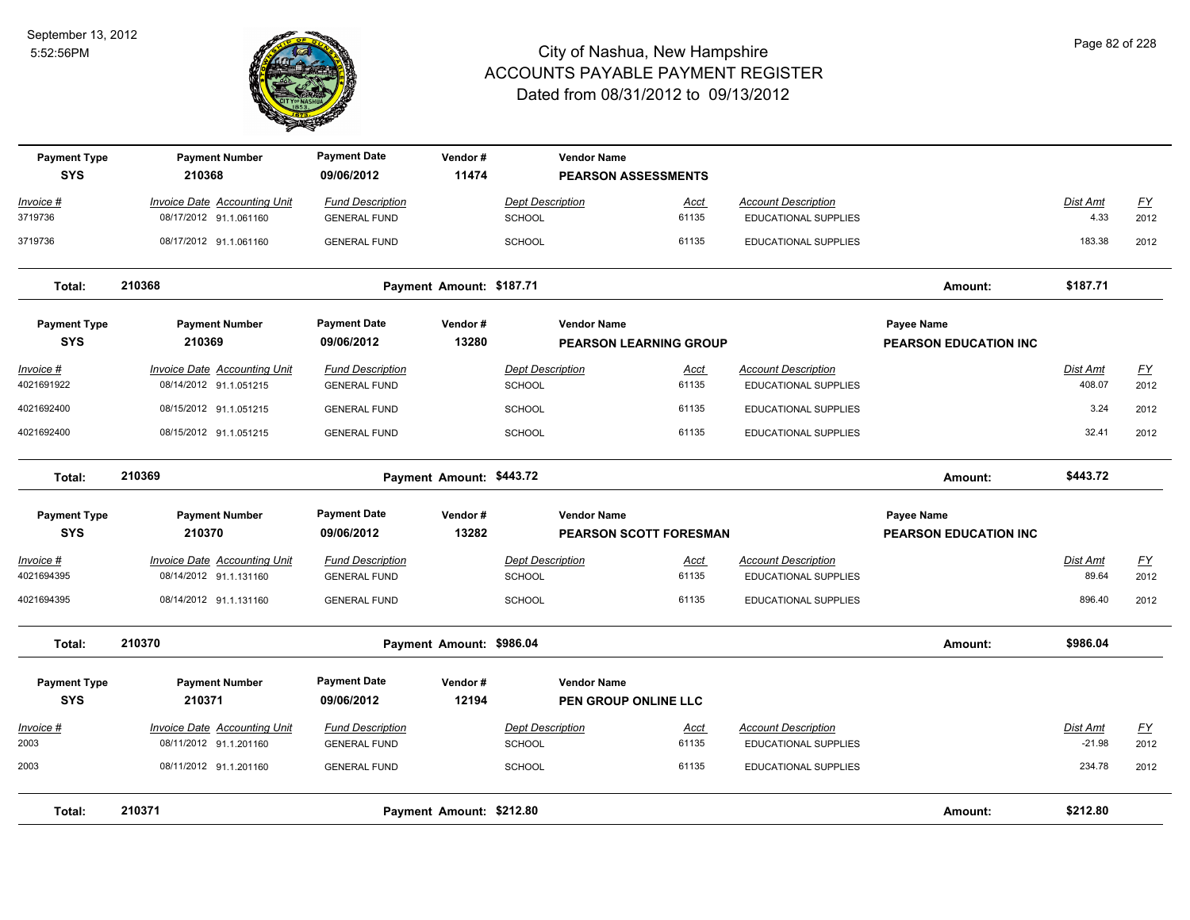

| <b>Payment Type</b><br><b>SYS</b> | <b>Payment Number</b><br>210368                               | <b>Payment Date</b><br>09/06/2012              | Vendor#<br>11474         |                                          | <b>Vendor Name</b><br><b>PEARSON ASSESSMENTS</b> |                                                           |                              |                          |                   |
|-----------------------------------|---------------------------------------------------------------|------------------------------------------------|--------------------------|------------------------------------------|--------------------------------------------------|-----------------------------------------------------------|------------------------------|--------------------------|-------------------|
| Invoice #                         | <b>Invoice Date Accounting Unit</b>                           | <b>Fund Description</b>                        |                          | <b>Dept Description</b>                  | <u>Acct</u>                                      | <b>Account Description</b>                                |                              | Dist Amt                 | $\underline{FY}$  |
| 3719736                           | 08/17/2012 91.1.061160                                        | <b>GENERAL FUND</b>                            |                          | <b>SCHOOL</b>                            | 61135                                            | <b>EDUCATIONAL SUPPLIES</b>                               |                              | 4.33                     | 2012              |
| 3719736                           | 08/17/2012 91.1.061160                                        | <b>GENERAL FUND</b>                            |                          | <b>SCHOOL</b>                            | 61135                                            | <b>EDUCATIONAL SUPPLIES</b>                               |                              | 183.38                   | 2012              |
| Total:                            | 210368                                                        |                                                | Payment Amount: \$187.71 |                                          |                                                  |                                                           | Amount:                      | \$187.71                 |                   |
| <b>Payment Type</b>               | <b>Payment Number</b>                                         | <b>Payment Date</b>                            | Vendor#                  |                                          | <b>Vendor Name</b>                               |                                                           | <b>Payee Name</b>            |                          |                   |
| <b>SYS</b>                        | 210369                                                        | 09/06/2012                                     | 13280                    |                                          | <b>PEARSON LEARNING GROUP</b>                    |                                                           | <b>PEARSON EDUCATION INC</b> |                          |                   |
| <u> Invoice #</u>                 | <b>Invoice Date Accounting Unit</b>                           | <b>Fund Description</b>                        |                          | <b>Dept Description</b>                  | Acct                                             | <b>Account Description</b>                                |                              | Dist Amt                 | <u>FY</u>         |
| 4021691922                        | 08/14/2012 91.1.051215                                        | <b>GENERAL FUND</b>                            |                          | <b>SCHOOL</b>                            | 61135                                            | EDUCATIONAL SUPPLIES                                      |                              | 408.07                   | 2012              |
| 4021692400                        | 08/15/2012 91.1.051215                                        | <b>GENERAL FUND</b>                            |                          | <b>SCHOOL</b>                            | 61135                                            | EDUCATIONAL SUPPLIES                                      |                              | 3.24                     | 2012              |
| 4021692400                        | 08/15/2012 91.1.051215                                        | <b>GENERAL FUND</b>                            |                          | <b>SCHOOL</b>                            | 61135                                            | EDUCATIONAL SUPPLIES                                      |                              | 32.41                    | 2012              |
| Total:                            | 210369                                                        |                                                | Payment Amount: \$443.72 |                                          |                                                  |                                                           | Amount:                      | \$443.72                 |                   |
| <b>Payment Type</b>               | <b>Payment Number</b>                                         | <b>Payment Date</b>                            | Vendor#                  |                                          | <b>Vendor Name</b>                               |                                                           | <b>Payee Name</b>            |                          |                   |
| <b>SYS</b>                        | 210370                                                        | 09/06/2012                                     | 13282                    |                                          | <b>PEARSON SCOTT FORESMAN</b>                    |                                                           | <b>PEARSON EDUCATION INC</b> |                          |                   |
| <u> Invoice #</u><br>4021694395   | <b>Invoice Date Accounting Unit</b><br>08/14/2012 91.1.131160 | <b>Fund Description</b><br><b>GENERAL FUND</b> |                          | <b>Dept Description</b><br><b>SCHOOL</b> | <u>Acct</u><br>61135                             | <b>Account Description</b><br><b>EDUCATIONAL SUPPLIES</b> |                              | <b>Dist Amt</b><br>89.64 | <u>FY</u><br>2012 |
| 4021694395                        | 08/14/2012 91.1.131160                                        | <b>GENERAL FUND</b>                            |                          | <b>SCHOOL</b>                            | 61135                                            | EDUCATIONAL SUPPLIES                                      |                              | 896.40                   | 2012              |
| Total:                            | 210370                                                        |                                                | Payment Amount: \$986.04 |                                          |                                                  |                                                           | Amount:                      | \$986.04                 |                   |
| <b>Payment Type</b>               | <b>Payment Number</b>                                         | <b>Payment Date</b>                            | Vendor#                  |                                          | <b>Vendor Name</b>                               |                                                           |                              |                          |                   |
| <b>SYS</b>                        | 210371                                                        | 09/06/2012                                     | 12194                    |                                          | <b>PEN GROUP ONLINE LLC</b>                      |                                                           |                              |                          |                   |
| <u> Invoice #</u>                 | <b>Invoice Date Accounting Unit</b>                           | <b>Fund Description</b>                        |                          | <b>Dept Description</b>                  | <u>Acct</u>                                      | <b>Account Description</b>                                |                              | Dist Amt                 | <u>FY</u>         |
| 2003                              | 08/11/2012 91.1.201160                                        | <b>GENERAL FUND</b>                            |                          | <b>SCHOOL</b>                            | 61135                                            | EDUCATIONAL SUPPLIES                                      |                              | $-21.98$                 | 2012              |
| 2003                              | 08/11/2012 91.1.201160                                        | <b>GENERAL FUND</b>                            |                          | <b>SCHOOL</b>                            | 61135                                            | EDUCATIONAL SUPPLIES                                      |                              | 234.78                   | 2012              |
| Total:                            | 210371                                                        |                                                | Payment Amount: \$212.80 |                                          |                                                  |                                                           | Amount:                      | \$212.80                 |                   |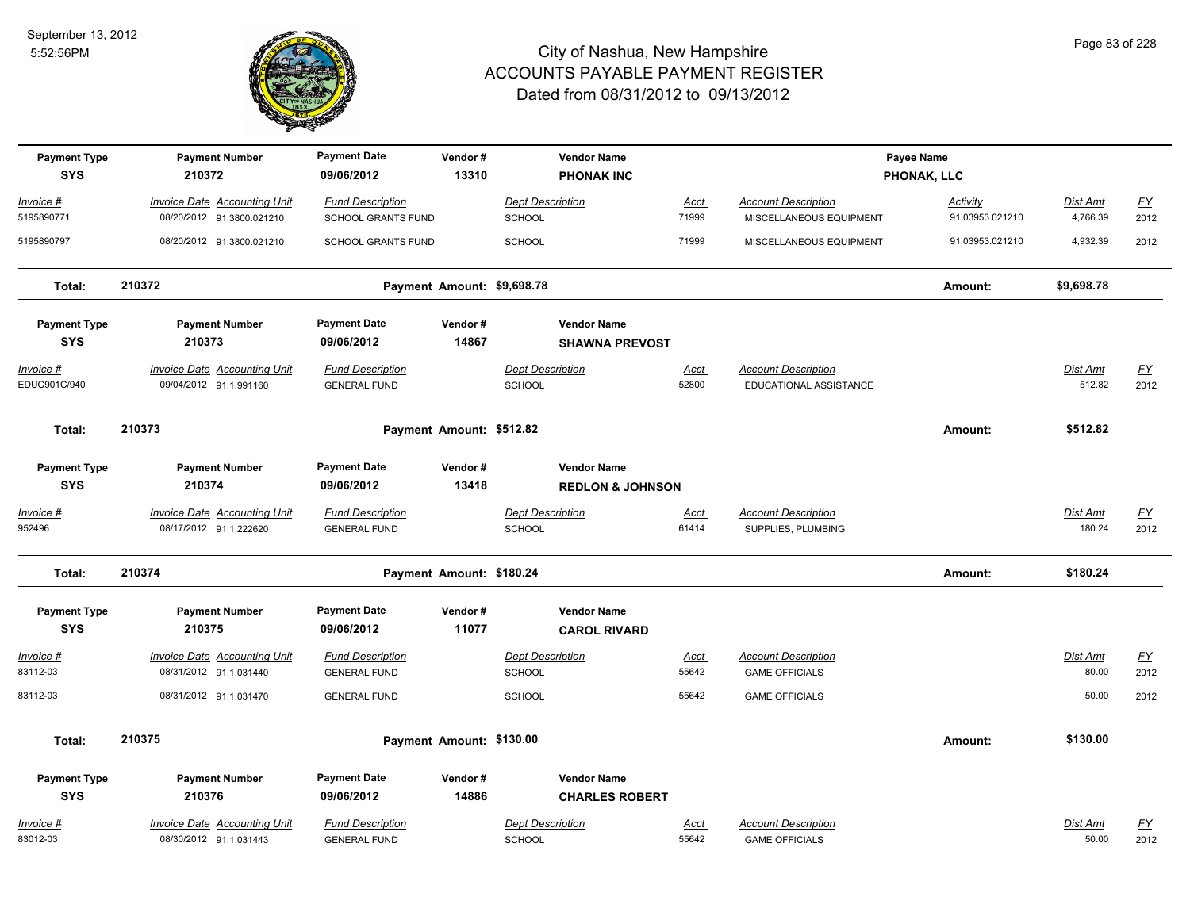

| <b>Payment Type</b><br><b>SYS</b> | <b>Payment Number</b><br>210372                               | <b>Payment Date</b><br>09/06/2012              | Vendor#<br>13310           |                                          | <b>Vendor Name</b><br><b>PHONAK INC</b>           |                      |                                                      | Payee Name<br>PHONAK, LLC |                           |                           |
|-----------------------------------|---------------------------------------------------------------|------------------------------------------------|----------------------------|------------------------------------------|---------------------------------------------------|----------------------|------------------------------------------------------|---------------------------|---------------------------|---------------------------|
| Invoice #                         | <b>Invoice Date Accounting Unit</b>                           | <b>Fund Description</b>                        |                            | <b>Dept Description</b>                  |                                                   | <u>Acct</u>          | <b>Account Description</b>                           | <b>Activity</b>           | <b>Dist Amt</b>           | $\underline{\mathsf{FY}}$ |
| 5195890771                        | 08/20/2012 91.3800.021210                                     | <b>SCHOOL GRANTS FUND</b>                      |                            | <b>SCHOOL</b>                            |                                                   | 71999                | MISCELLANEOUS EQUIPMENT                              | 91.03953.021210           | 4,766.39                  | 2012                      |
| 5195890797                        | 08/20/2012 91.3800.021210                                     | SCHOOL GRANTS FUND                             |                            | <b>SCHOOL</b>                            |                                                   | 71999                | MISCELLANEOUS EQUIPMENT                              | 91.03953.021210           | 4,932.39                  | 2012                      |
| Total:                            | 210372                                                        |                                                | Payment Amount: \$9,698.78 |                                          |                                                   |                      |                                                      | Amount:                   | \$9,698.78                |                           |
| <b>Payment Type</b>               | <b>Payment Number</b>                                         | <b>Payment Date</b>                            | Vendor#                    |                                          | <b>Vendor Name</b>                                |                      |                                                      |                           |                           |                           |
| <b>SYS</b>                        | 210373                                                        | 09/06/2012                                     | 14867                      |                                          | <b>SHAWNA PREVOST</b>                             |                      |                                                      |                           |                           |                           |
| Invoice #<br>EDUC901C/940         | <b>Invoice Date Accounting Unit</b><br>09/04/2012 91.1.991160 | <b>Fund Description</b><br><b>GENERAL FUND</b> |                            | <b>Dept Description</b><br>SCHOOL        |                                                   | Acct<br>52800        | <b>Account Description</b><br>EDUCATIONAL ASSISTANCE |                           | Dist Amt<br>512.82        | <u>FY</u><br>2012         |
| Total:                            | 210373                                                        |                                                | Payment Amount: \$512.82   |                                          |                                                   |                      |                                                      | Amount:                   | \$512.82                  |                           |
| <b>Payment Type</b><br><b>SYS</b> | <b>Payment Number</b><br>210374                               | <b>Payment Date</b><br>09/06/2012              | Vendor#<br>13418           |                                          | <b>Vendor Name</b><br><b>REDLON &amp; JOHNSON</b> |                      |                                                      |                           |                           |                           |
| <u>Invoice #</u><br>952496        | <b>Invoice Date Accounting Unit</b><br>08/17/2012 91.1.222620 | <b>Fund Description</b><br><b>GENERAL FUND</b> |                            | <b>Dept Description</b><br><b>SCHOOL</b> |                                                   | <u>Acct</u><br>61414 | <b>Account Description</b><br>SUPPLIES, PLUMBING     |                           | <b>Dist Amt</b><br>180.24 | <u>FY</u><br>2012         |
| Total:                            | 210374                                                        |                                                | Payment Amount: \$180.24   |                                          |                                                   |                      |                                                      | Amount:                   | \$180.24                  |                           |
| <b>Payment Type</b><br><b>SYS</b> | <b>Payment Number</b><br>210375                               | <b>Payment Date</b><br>09/06/2012              | Vendor#<br>11077           |                                          | <b>Vendor Name</b><br><b>CAROL RIVARD</b>         |                      |                                                      |                           |                           |                           |
| Invoice #                         | <b>Invoice Date Accounting Unit</b>                           | <b>Fund Description</b>                        |                            | <b>Dept Description</b>                  |                                                   | Acct                 | <b>Account Description</b>                           |                           | Dist Amt                  | $\underline{\mathsf{FY}}$ |
| 83112-03                          | 08/31/2012 91.1.031440                                        | <b>GENERAL FUND</b>                            |                            | SCHOOL                                   |                                                   | 55642                | <b>GAME OFFICIALS</b>                                |                           | 80.00                     | 2012                      |
| 83112-03                          | 08/31/2012 91.1.031470                                        | <b>GENERAL FUND</b>                            |                            | <b>SCHOOL</b>                            |                                                   | 55642                | <b>GAME OFFICIALS</b>                                |                           | 50.00                     | 2012                      |
| Total:                            | 210375                                                        |                                                | Payment Amount: \$130.00   |                                          |                                                   |                      |                                                      | Amount:                   | \$130.00                  |                           |
| <b>Payment Type</b>               | <b>Payment Number</b>                                         | <b>Payment Date</b>                            | Vendor#                    |                                          | <b>Vendor Name</b>                                |                      |                                                      |                           |                           |                           |
| <b>SYS</b>                        | 210376                                                        | 09/06/2012                                     | 14886                      |                                          | <b>CHARLES ROBERT</b>                             |                      |                                                      |                           |                           |                           |
| Invoice #                         | <b>Invoice Date Accounting Unit</b>                           | <b>Fund Description</b>                        |                            | <b>Dept Description</b>                  |                                                   | <u>Acct</u>          | <b>Account Description</b>                           |                           | Dist Amt                  | <u>FY</u>                 |
| 83012-03                          | 08/30/2012 91.1.031443                                        | <b>GENERAL FUND</b>                            |                            | <b>SCHOOL</b>                            |                                                   | 55642                | <b>GAME OFFICIALS</b>                                |                           | 50.00                     | 2012                      |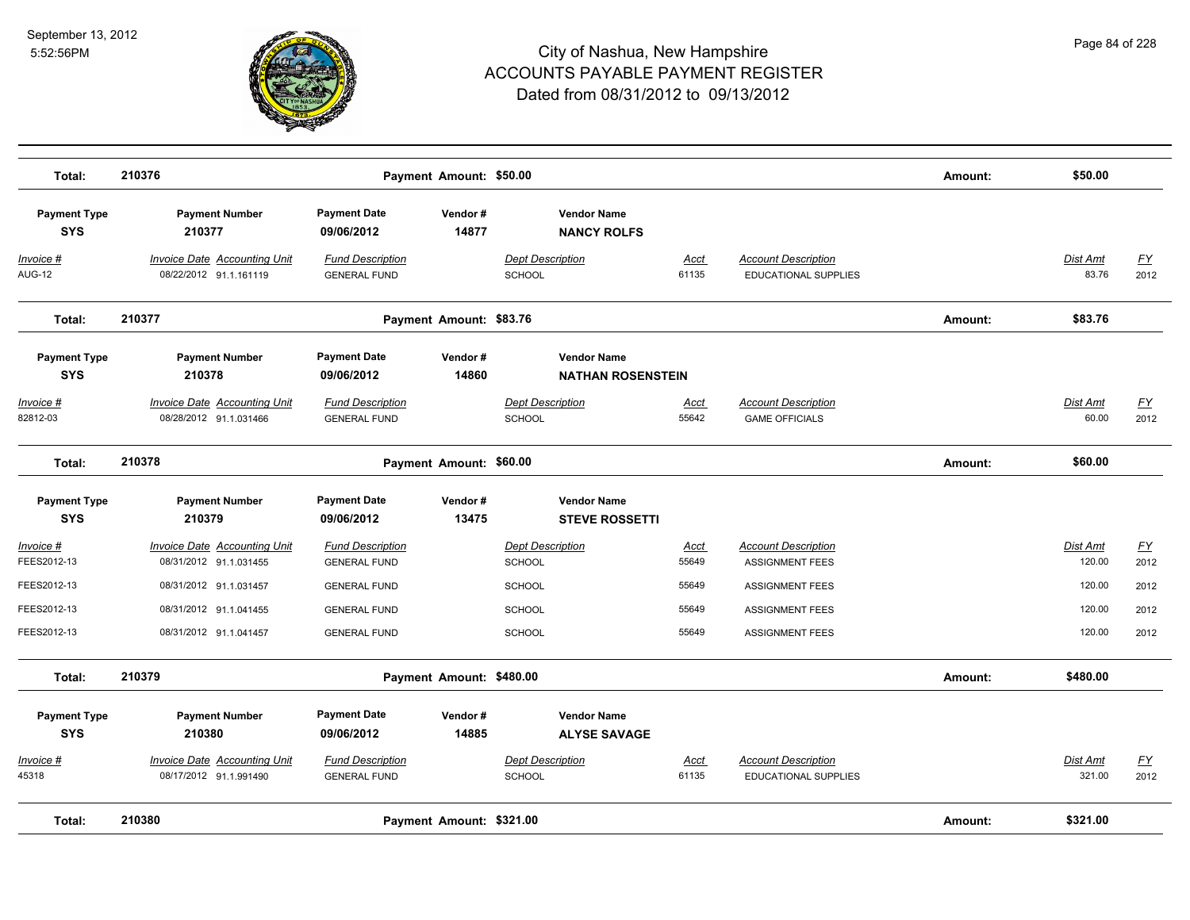

| Total:                            | 210376                                                        |                                                | Payment Amount: \$50.00  |                                                |                      |                                                           | Amount: | \$50.00            |                          |
|-----------------------------------|---------------------------------------------------------------|------------------------------------------------|--------------------------|------------------------------------------------|----------------------|-----------------------------------------------------------|---------|--------------------|--------------------------|
| <b>Payment Type</b><br><b>SYS</b> | <b>Payment Number</b><br>210377                               | <b>Payment Date</b><br>09/06/2012              | Vendor#<br>14877         | <b>Vendor Name</b><br><b>NANCY ROLFS</b>       |                      |                                                           |         |                    |                          |
| Invoice #<br><b>AUG-12</b>        | Invoice Date Accounting Unit<br>08/22/2012 91.1.161119        | <b>Fund Description</b><br><b>GENERAL FUND</b> |                          | <b>Dept Description</b><br><b>SCHOOL</b>       | Acct<br>61135        | <b>Account Description</b><br>EDUCATIONAL SUPPLIES        |         | Dist Amt<br>83.76  | $\underline{FY}$<br>2012 |
| Total:                            | 210377                                                        |                                                | Payment Amount: \$83.76  |                                                |                      |                                                           | Amount: | \$83.76            |                          |
| <b>Payment Type</b><br><b>SYS</b> | <b>Payment Number</b><br>210378                               | <b>Payment Date</b><br>09/06/2012              | Vendor#<br>14860         | <b>Vendor Name</b><br><b>NATHAN ROSENSTEIN</b> |                      |                                                           |         |                    |                          |
| Invoice #<br>82812-03             | <b>Invoice Date Accounting Unit</b><br>08/28/2012 91.1.031466 | <b>Fund Description</b><br><b>GENERAL FUND</b> |                          | <b>Dept Description</b><br><b>SCHOOL</b>       | <u>Acct</u><br>55642 | <b>Account Description</b><br><b>GAME OFFICIALS</b>       |         | Dist Amt<br>60.00  | <u>FY</u><br>2012        |
| Total:                            | 210378                                                        |                                                | Payment Amount: \$60.00  |                                                |                      |                                                           | Amount: | \$60.00            |                          |
| <b>Payment Type</b><br><b>SYS</b> | <b>Payment Number</b><br>210379                               | <b>Payment Date</b><br>09/06/2012              | Vendor#<br>13475         | <b>Vendor Name</b><br><b>STEVE ROSSETTI</b>    |                      |                                                           |         |                    |                          |
| Invoice #<br>FEES2012-13          | <b>Invoice Date Accounting Unit</b><br>08/31/2012 91.1.031455 | <b>Fund Description</b><br><b>GENERAL FUND</b> |                          | <b>Dept Description</b><br>SCHOOL              | <u>Acct</u><br>55649 | <b>Account Description</b><br><b>ASSIGNMENT FEES</b>      |         | Dist Amt<br>120.00 | $\underline{FY}$<br>2012 |
| FEES2012-13                       | 08/31/2012 91.1.031457                                        | <b>GENERAL FUND</b>                            |                          | <b>SCHOOL</b>                                  | 55649                | <b>ASSIGNMENT FEES</b>                                    |         | 120.00             | 2012                     |
| FEES2012-13                       | 08/31/2012 91.1.041455                                        | <b>GENERAL FUND</b>                            |                          | <b>SCHOOL</b>                                  | 55649                | <b>ASSIGNMENT FEES</b>                                    |         | 120.00             | 2012                     |
| FEES2012-13                       | 08/31/2012 91.1.041457                                        | <b>GENERAL FUND</b>                            |                          | <b>SCHOOL</b>                                  | 55649                | <b>ASSIGNMENT FEES</b>                                    |         | 120.00             | 2012                     |
| Total:                            | 210379                                                        |                                                | Payment Amount: \$480.00 |                                                |                      |                                                           | Amount: | \$480.00           |                          |
| <b>Payment Type</b><br><b>SYS</b> | <b>Payment Number</b><br>210380                               | <b>Payment Date</b><br>09/06/2012              | Vendor#<br>14885         | <b>Vendor Name</b><br><b>ALYSE SAVAGE</b>      |                      |                                                           |         |                    |                          |
| Invoice #<br>45318                | <b>Invoice Date Accounting Unit</b><br>08/17/2012 91.1.991490 | <b>Fund Description</b><br><b>GENERAL FUND</b> |                          | <b>Dept Description</b><br><b>SCHOOL</b>       | Acct<br>61135        | <b>Account Description</b><br><b>EDUCATIONAL SUPPLIES</b> |         | Dist Amt<br>321.00 | EY<br>2012               |
| Total:                            | 210380                                                        |                                                | Payment Amount: \$321.00 |                                                |                      |                                                           | Amount: | \$321.00           |                          |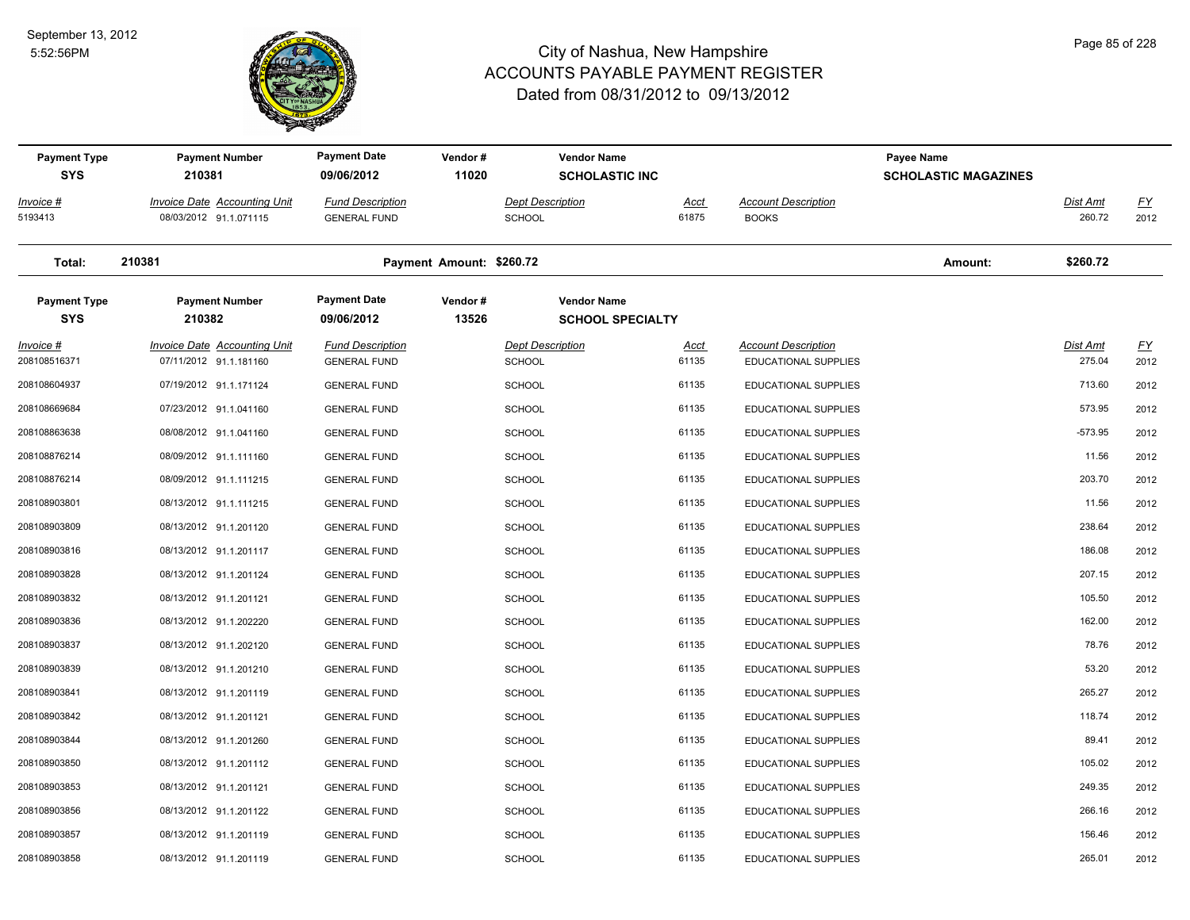

| <b>Payment Type</b><br><b>SYS</b> | <b>Payment Number</b><br>210381                        | <b>Payment Date</b><br>09/06/2012              | Vendor#<br>11020         |                                          | <b>Vendor Name</b><br><b>SCHOLASTIC INC</b>   |               |                                                           | Payee Name<br><b>SCHOLASTIC MAGAZINES</b> |                    |                          |
|-----------------------------------|--------------------------------------------------------|------------------------------------------------|--------------------------|------------------------------------------|-----------------------------------------------|---------------|-----------------------------------------------------------|-------------------------------------------|--------------------|--------------------------|
| Invoice #<br>5193413              | Invoice Date Accounting Unit<br>08/03/2012 91.1.071115 | <b>Fund Description</b><br><b>GENERAL FUND</b> |                          | <b>Dept Description</b><br><b>SCHOOL</b> |                                               | Acct<br>61875 | <b>Account Description</b><br><b>BOOKS</b>                |                                           | Dist Amt<br>260.72 | $\underline{FY}$<br>2012 |
| Total:                            | 210381                                                 |                                                | Payment Amount: \$260.72 |                                          |                                               |               |                                                           | Amount:                                   | \$260.72           |                          |
| <b>Payment Type</b><br><b>SYS</b> | <b>Payment Number</b><br>210382                        | <b>Payment Date</b><br>09/06/2012              | Vendor#<br>13526         |                                          | <b>Vendor Name</b><br><b>SCHOOL SPECIALTY</b> |               |                                                           |                                           |                    |                          |
| Invoice #<br>208108516371         | Invoice Date Accounting Unit<br>07/11/2012 91.1.181160 | <b>Fund Description</b><br><b>GENERAL FUND</b> |                          | <b>Dept Description</b><br><b>SCHOOL</b> |                                               | Acct<br>61135 | <b>Account Description</b><br><b>EDUCATIONAL SUPPLIES</b> |                                           | Dist Amt<br>275.04 | $\underline{FY}$<br>2012 |
| 208108604937                      | 07/19/2012 91.1.171124                                 | <b>GENERAL FUND</b>                            |                          | <b>SCHOOL</b>                            |                                               | 61135         | EDUCATIONAL SUPPLIES                                      |                                           | 713.60             | 2012                     |
| 208108669684                      | 07/23/2012 91.1.041160                                 | <b>GENERAL FUND</b>                            |                          | <b>SCHOOL</b>                            |                                               | 61135         | EDUCATIONAL SUPPLIES                                      |                                           | 573.95             | 2012                     |
| 208108863638                      | 08/08/2012 91.1.041160                                 | <b>GENERAL FUND</b>                            |                          | <b>SCHOOL</b>                            |                                               | 61135         | EDUCATIONAL SUPPLIES                                      |                                           | $-573.95$          | 2012                     |
| 208108876214                      | 08/09/2012 91.1.111160                                 | <b>GENERAL FUND</b>                            |                          | <b>SCHOOL</b>                            |                                               | 61135         | EDUCATIONAL SUPPLIES                                      |                                           | 11.56              | 2012                     |
| 208108876214                      | 08/09/2012 91.1.111215                                 | <b>GENERAL FUND</b>                            |                          | <b>SCHOOL</b>                            |                                               | 61135         | EDUCATIONAL SUPPLIES                                      |                                           | 203.70             | 2012                     |
| 208108903801                      | 08/13/2012 91.1.111215                                 | <b>GENERAL FUND</b>                            |                          | <b>SCHOOL</b>                            |                                               | 61135         | EDUCATIONAL SUPPLIES                                      |                                           | 11.56              | 2012                     |
| 208108903809                      | 08/13/2012 91.1.201120                                 | <b>GENERAL FUND</b>                            |                          | <b>SCHOOL</b>                            |                                               | 61135         | <b>EDUCATIONAL SUPPLIES</b>                               |                                           | 238.64             | 2012                     |
| 208108903816                      | 08/13/2012 91.1.201117                                 | <b>GENERAL FUND</b>                            |                          | <b>SCHOOL</b>                            |                                               | 61135         | EDUCATIONAL SUPPLIES                                      |                                           | 186.08             | 2012                     |
| 208108903828                      | 08/13/2012 91.1.201124                                 | <b>GENERAL FUND</b>                            |                          | <b>SCHOOL</b>                            |                                               | 61135         | EDUCATIONAL SUPPLIES                                      |                                           | 207.15             | 2012                     |
| 208108903832                      | 08/13/2012 91.1.201121                                 | <b>GENERAL FUND</b>                            |                          | <b>SCHOOL</b>                            |                                               | 61135         | EDUCATIONAL SUPPLIES                                      |                                           | 105.50             | 2012                     |
| 208108903836                      | 08/13/2012 91.1.202220                                 | <b>GENERAL FUND</b>                            |                          | <b>SCHOOL</b>                            |                                               | 61135         | EDUCATIONAL SUPPLIES                                      |                                           | 162.00             | 2012                     |
| 208108903837                      | 08/13/2012 91.1.202120                                 | <b>GENERAL FUND</b>                            |                          | <b>SCHOOL</b>                            |                                               | 61135         | EDUCATIONAL SUPPLIES                                      |                                           | 78.76              | 2012                     |
| 208108903839                      | 08/13/2012 91.1.201210                                 | <b>GENERAL FUND</b>                            |                          | <b>SCHOOL</b>                            |                                               | 61135         | EDUCATIONAL SUPPLIES                                      |                                           | 53.20              | 2012                     |
| 208108903841                      | 08/13/2012 91.1.201119                                 | <b>GENERAL FUND</b>                            |                          | <b>SCHOOL</b>                            |                                               | 61135         | EDUCATIONAL SUPPLIES                                      |                                           | 265.27             | 2012                     |
| 208108903842                      | 08/13/2012 91.1.201121                                 | <b>GENERAL FUND</b>                            |                          | <b>SCHOOL</b>                            |                                               | 61135         | EDUCATIONAL SUPPLIES                                      |                                           | 118.74             | 2012                     |
| 208108903844                      | 08/13/2012 91.1.201260                                 | <b>GENERAL FUND</b>                            |                          | <b>SCHOOL</b>                            |                                               | 61135         | EDUCATIONAL SUPPLIES                                      |                                           | 89.41              | 2012                     |
| 208108903850                      | 08/13/2012 91.1.201112                                 | <b>GENERAL FUND</b>                            |                          | <b>SCHOOL</b>                            |                                               | 61135         | EDUCATIONAL SUPPLIES                                      |                                           | 105.02             | 2012                     |
| 208108903853                      | 08/13/2012 91.1.201121                                 | <b>GENERAL FUND</b>                            |                          | <b>SCHOOL</b>                            |                                               | 61135         | EDUCATIONAL SUPPLIES                                      |                                           | 249.35             | 2012                     |
| 208108903856                      | 08/13/2012 91.1.201122                                 | <b>GENERAL FUND</b>                            |                          | <b>SCHOOL</b>                            |                                               | 61135         | EDUCATIONAL SUPPLIES                                      |                                           | 266.16             | 2012                     |
| 208108903857                      | 08/13/2012 91.1.201119                                 | <b>GENERAL FUND</b>                            |                          | <b>SCHOOL</b>                            |                                               | 61135         | EDUCATIONAL SUPPLIES                                      |                                           | 156.46             | 2012                     |
| 208108903858                      | 08/13/2012 91.1.201119                                 | <b>GENERAL FUND</b>                            |                          | SCHOOL                                   |                                               | 61135         | EDUCATIONAL SUPPLIES                                      |                                           | 265.01             | 2012                     |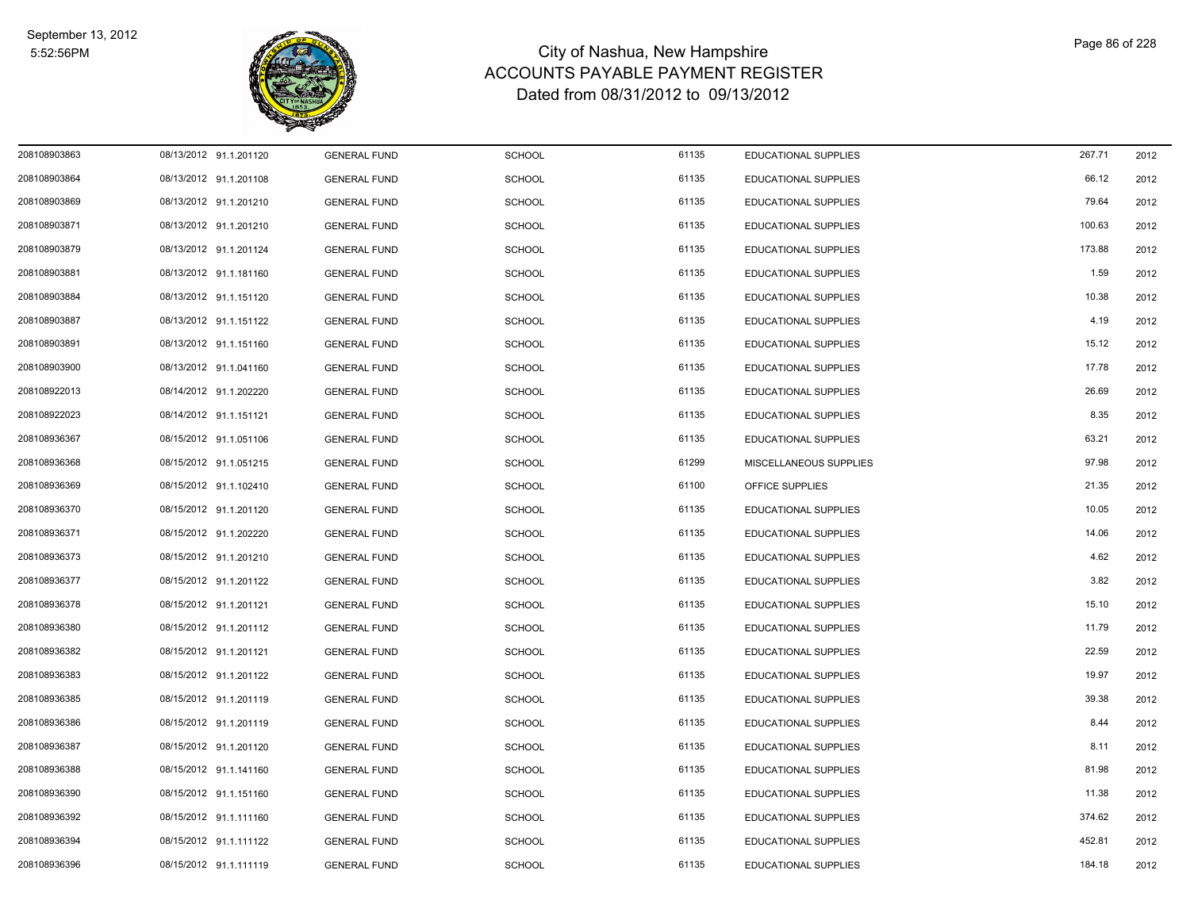

| 208108903863 | 08/13/2012 91.1.201120 | <b>GENERAL FUND</b> | <b>SCHOOL</b> | 61135 | <b>EDUCATIONAL SUPPLIES</b> | 267.71 | 2012 |
|--------------|------------------------|---------------------|---------------|-------|-----------------------------|--------|------|
| 208108903864 | 08/13/2012 91.1.201108 | <b>GENERAL FUND</b> | <b>SCHOOL</b> | 61135 | EDUCATIONAL SUPPLIES        | 66.12  | 2012 |
| 208108903869 | 08/13/2012 91.1.201210 | <b>GENERAL FUND</b> | <b>SCHOOL</b> | 61135 | EDUCATIONAL SUPPLIES        | 79.64  | 2012 |
| 208108903871 | 08/13/2012 91.1.201210 | <b>GENERAL FUND</b> | <b>SCHOOL</b> | 61135 | EDUCATIONAL SUPPLIES        | 100.63 | 2012 |
| 208108903879 | 08/13/2012 91.1.201124 | <b>GENERAL FUND</b> | <b>SCHOOL</b> | 61135 | <b>EDUCATIONAL SUPPLIES</b> | 173.88 | 2012 |
| 208108903881 | 08/13/2012 91.1.181160 | <b>GENERAL FUND</b> | <b>SCHOOL</b> | 61135 | EDUCATIONAL SUPPLIES        | 1.59   | 2012 |
| 208108903884 | 08/13/2012 91.1.151120 | <b>GENERAL FUND</b> | <b>SCHOOL</b> | 61135 | EDUCATIONAL SUPPLIES        | 10.38  | 2012 |
| 208108903887 | 08/13/2012 91.1.151122 | <b>GENERAL FUND</b> | <b>SCHOOL</b> | 61135 | EDUCATIONAL SUPPLIES        | 4.19   | 2012 |
| 208108903891 | 08/13/2012 91.1.151160 | <b>GENERAL FUND</b> | <b>SCHOOL</b> | 61135 | <b>EDUCATIONAL SUPPLIES</b> | 15.12  | 2012 |
| 208108903900 | 08/13/2012 91.1.041160 | <b>GENERAL FUND</b> | <b>SCHOOL</b> | 61135 | EDUCATIONAL SUPPLIES        | 17.78  | 2012 |
| 208108922013 | 08/14/2012 91.1.202220 | <b>GENERAL FUND</b> | <b>SCHOOL</b> | 61135 | EDUCATIONAL SUPPLIES        | 26.69  | 2012 |
| 208108922023 | 08/14/2012 91.1.151121 | <b>GENERAL FUND</b> | <b>SCHOOL</b> | 61135 | <b>EDUCATIONAL SUPPLIES</b> | 8.35   | 2012 |
| 208108936367 | 08/15/2012 91.1.051106 | <b>GENERAL FUND</b> | <b>SCHOOL</b> | 61135 | EDUCATIONAL SUPPLIES        | 63.21  | 2012 |
| 208108936368 | 08/15/2012 91.1.051215 | <b>GENERAL FUND</b> | <b>SCHOOL</b> | 61299 | MISCELLANEOUS SUPPLIES      | 97.98  | 2012 |
| 208108936369 | 08/15/2012 91.1.102410 | <b>GENERAL FUND</b> | <b>SCHOOL</b> | 61100 | OFFICE SUPPLIES             | 21.35  | 2012 |
| 208108936370 | 08/15/2012 91.1.201120 | <b>GENERAL FUND</b> | <b>SCHOOL</b> | 61135 | EDUCATIONAL SUPPLIES        | 10.05  | 2012 |
| 208108936371 | 08/15/2012 91.1.202220 | <b>GENERAL FUND</b> | <b>SCHOOL</b> | 61135 | EDUCATIONAL SUPPLIES        | 14.06  | 2012 |
| 208108936373 | 08/15/2012 91.1.201210 | <b>GENERAL FUND</b> | <b>SCHOOL</b> | 61135 | EDUCATIONAL SUPPLIES        | 4.62   | 2012 |
| 208108936377 | 08/15/2012 91.1.201122 | <b>GENERAL FUND</b> | <b>SCHOOL</b> | 61135 | EDUCATIONAL SUPPLIES        | 3.82   | 2012 |
| 208108936378 | 08/15/2012 91.1.201121 | <b>GENERAL FUND</b> | <b>SCHOOL</b> | 61135 | EDUCATIONAL SUPPLIES        | 15.10  | 2012 |
| 208108936380 | 08/15/2012 91.1.201112 | <b>GENERAL FUND</b> | <b>SCHOOL</b> | 61135 | <b>EDUCATIONAL SUPPLIES</b> | 11.79  | 2012 |
| 208108936382 | 08/15/2012 91.1.201121 | <b>GENERAL FUND</b> | <b>SCHOOL</b> | 61135 | <b>EDUCATIONAL SUPPLIES</b> | 22.59  | 2012 |
| 208108936383 | 08/15/2012 91.1.201122 | <b>GENERAL FUND</b> | <b>SCHOOL</b> | 61135 | EDUCATIONAL SUPPLIES        | 19.97  | 2012 |
| 208108936385 | 08/15/2012 91.1.201119 | <b>GENERAL FUND</b> | <b>SCHOOL</b> | 61135 | EDUCATIONAL SUPPLIES        | 39.38  | 2012 |
| 208108936386 | 08/15/2012 91.1.201119 | <b>GENERAL FUND</b> | <b>SCHOOL</b> | 61135 | EDUCATIONAL SUPPLIES        | 8.44   | 2012 |
| 208108936387 | 08/15/2012 91.1.201120 | <b>GENERAL FUND</b> | <b>SCHOOL</b> | 61135 | EDUCATIONAL SUPPLIES        | 8.11   | 2012 |
| 208108936388 | 08/15/2012 91.1.141160 | <b>GENERAL FUND</b> | <b>SCHOOL</b> | 61135 | EDUCATIONAL SUPPLIES        | 81.98  | 2012 |
| 208108936390 | 08/15/2012 91.1.151160 | <b>GENERAL FUND</b> | <b>SCHOOL</b> | 61135 | EDUCATIONAL SUPPLIES        | 11.38  | 2012 |
| 208108936392 | 08/15/2012 91.1.111160 | <b>GENERAL FUND</b> | <b>SCHOOL</b> | 61135 | EDUCATIONAL SUPPLIES        | 374.62 | 2012 |
| 208108936394 | 08/15/2012 91.1.111122 | <b>GENERAL FUND</b> | <b>SCHOOL</b> | 61135 | EDUCATIONAL SUPPLIES        | 452.81 | 2012 |
| 208108936396 | 08/15/2012 91.1.111119 | <b>GENERAL FUND</b> | <b>SCHOOL</b> | 61135 | <b>EDUCATIONAL SUPPLIES</b> | 184.18 | 2012 |
|              |                        |                     |               |       |                             |        |      |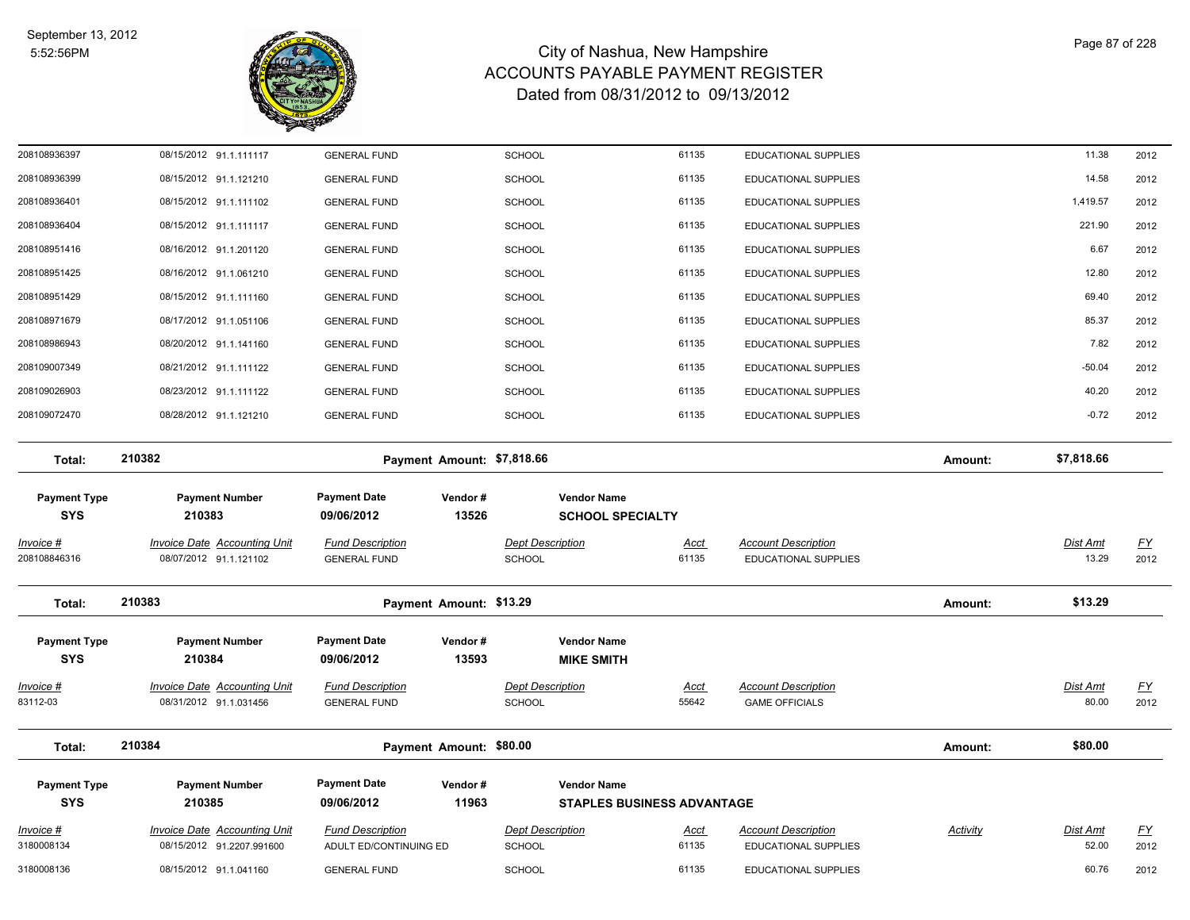

| 208108936397                      | 08/15/2012 91.1.111117                                        | <b>GENERAL FUND</b>                            |                            | SCHOOL                                   | 61135                             | EDUCATIONAL SUPPLIES                                      |          | 11.38             | 2012                              |
|-----------------------------------|---------------------------------------------------------------|------------------------------------------------|----------------------------|------------------------------------------|-----------------------------------|-----------------------------------------------------------|----------|-------------------|-----------------------------------|
| 208108936399                      | 08/15/2012 91.1.121210                                        | <b>GENERAL FUND</b>                            |                            | <b>SCHOOL</b>                            | 61135                             | EDUCATIONAL SUPPLIES                                      |          | 14.58             | 2012                              |
| 208108936401                      | 08/15/2012 91.1.111102                                        | <b>GENERAL FUND</b>                            |                            | <b>SCHOOL</b>                            | 61135                             | EDUCATIONAL SUPPLIES                                      |          | 1,419.57          | 2012                              |
| 208108936404                      | 08/15/2012 91.1.111117                                        | <b>GENERAL FUND</b>                            |                            | <b>SCHOOL</b>                            | 61135                             | <b>EDUCATIONAL SUPPLIES</b>                               |          | 221.90            | 2012                              |
| 208108951416                      | 08/16/2012 91.1.201120                                        | <b>GENERAL FUND</b>                            |                            | <b>SCHOOL</b>                            | 61135                             | EDUCATIONAL SUPPLIES                                      |          | 6.67              | 2012                              |
| 208108951425                      | 08/16/2012 91.1.061210                                        | <b>GENERAL FUND</b>                            |                            | SCHOOL                                   | 61135                             | EDUCATIONAL SUPPLIES                                      |          | 12.80             | 2012                              |
| 208108951429                      | 08/15/2012 91.1.111160                                        | <b>GENERAL FUND</b>                            |                            | <b>SCHOOL</b>                            | 61135                             | EDUCATIONAL SUPPLIES                                      |          | 69.40             | 2012                              |
| 208108971679                      | 08/17/2012 91.1.051106                                        | <b>GENERAL FUND</b>                            |                            | <b>SCHOOL</b>                            | 61135                             | <b>EDUCATIONAL SUPPLIES</b>                               |          | 85.37             | 2012                              |
| 208108986943                      | 08/20/2012 91.1.141160                                        | <b>GENERAL FUND</b>                            |                            | <b>SCHOOL</b>                            | 61135                             | EDUCATIONAL SUPPLIES                                      |          | 7.82              | 2012                              |
| 208109007349                      | 08/21/2012 91.1.111122                                        | <b>GENERAL FUND</b>                            |                            | <b>SCHOOL</b>                            | 61135                             | EDUCATIONAL SUPPLIES                                      |          | $-50.04$          | 2012                              |
| 208109026903                      | 08/23/2012 91.1.111122                                        | <b>GENERAL FUND</b>                            |                            | <b>SCHOOL</b>                            | 61135                             | <b>EDUCATIONAL SUPPLIES</b>                               |          | 40.20             | 2012                              |
| 208109072470                      | 08/28/2012 91.1.121210                                        | <b>GENERAL FUND</b>                            |                            | <b>SCHOOL</b>                            | 61135                             | EDUCATIONAL SUPPLIES                                      |          | $-0.72$           | 2012                              |
| Total:                            | 210382                                                        |                                                | Payment Amount: \$7,818.66 |                                          |                                   |                                                           | Amount:  | \$7,818.66        |                                   |
| <b>Payment Type</b>               | <b>Payment Number</b>                                         | <b>Payment Date</b>                            | Vendor#                    | <b>Vendor Name</b>                       |                                   |                                                           |          |                   |                                   |
| <b>SYS</b>                        | 210383                                                        | 09/06/2012                                     | 13526                      |                                          | <b>SCHOOL SPECIALTY</b>           |                                                           |          |                   |                                   |
| Invoice #<br>208108846316         | <b>Invoice Date Accounting Unit</b><br>08/07/2012 91.1.121102 | <b>Fund Description</b><br><b>GENERAL FUND</b> |                            | <b>Dept Description</b><br><b>SCHOOL</b> | <u>Acct</u><br>61135              | <b>Account Description</b><br><b>EDUCATIONAL SUPPLIES</b> |          | Dist Amt<br>13.29 | $\underline{\mathsf{FY}}$<br>2012 |
| Total:                            | 210383                                                        |                                                | Payment Amount: \$13.29    |                                          |                                   |                                                           | Amount:  | \$13.29           |                                   |
| <b>Payment Type</b><br><b>SYS</b> | <b>Payment Number</b><br>210384                               | <b>Payment Date</b><br>09/06/2012              | Vendor#<br>13593           | <b>Vendor Name</b><br><b>MIKE SMITH</b>  |                                   |                                                           |          |                   |                                   |
| <u> Invoice #</u>                 | <b>Invoice Date Accounting Unit</b>                           | <b>Fund Description</b>                        |                            | <b>Dept Description</b>                  | <u>Acct</u>                       | <b>Account Description</b>                                |          | <b>Dist Amt</b>   | <u>FY</u>                         |
| 83112-03                          | 08/31/2012 91.1.031456                                        | <b>GENERAL FUND</b>                            |                            | <b>SCHOOL</b>                            | 55642                             | <b>GAME OFFICIALS</b>                                     |          | 80.00             | 2012                              |
| Total:                            | 210384                                                        |                                                | Payment Amount: \$80.00    |                                          |                                   |                                                           | Amount:  | \$80.00           |                                   |
| <b>Payment Type</b>               | <b>Payment Number</b>                                         | <b>Payment Date</b>                            | Vendor#                    | <b>Vendor Name</b>                       |                                   |                                                           |          |                   |                                   |
| <b>SYS</b>                        | 210385                                                        | 09/06/2012                                     | 11963                      |                                          | <b>STAPLES BUSINESS ADVANTAGE</b> |                                                           |          |                   |                                   |
| Invoice #                         | <b>Invoice Date Accounting Unit</b>                           | <b>Fund Description</b>                        |                            | <b>Dept Description</b>                  | <u>Acct</u>                       | <b>Account Description</b>                                | Activity | Dist Amt          | <u>FY</u>                         |
| 3180008134                        | 08/15/2012 91.2207.991600                                     | ADULT ED/CONTINUING ED                         |                            | <b>SCHOOL</b>                            | 61135                             | <b>EDUCATIONAL SUPPLIES</b>                               |          | 52.00             | 2012                              |
| 3180008136                        | 08/15/2012 91.1.041160                                        | <b>GENERAL FUND</b>                            |                            | <b>SCHOOL</b>                            | 61135                             | EDUCATIONAL SUPPLIES                                      |          | 60.76             | 2012                              |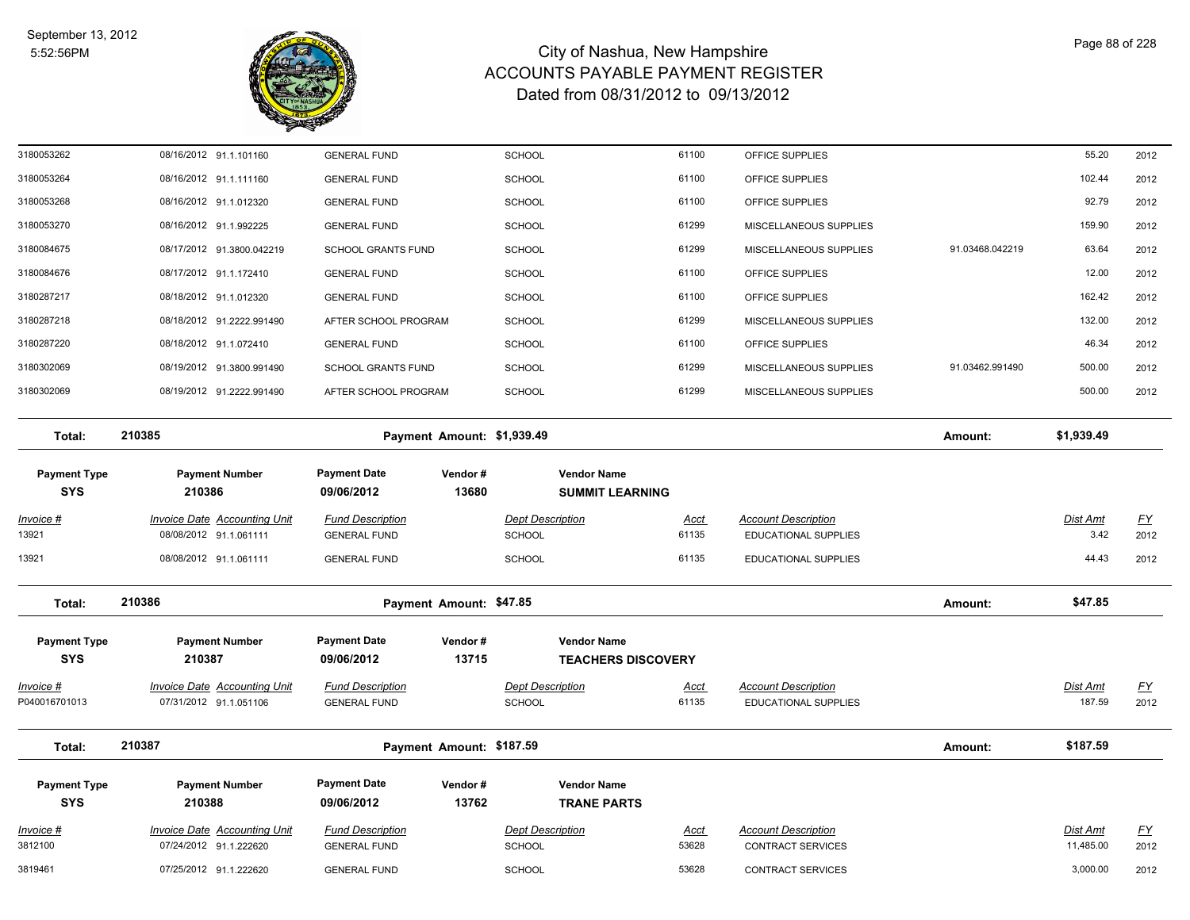

| <b>SYS</b>                        |                                                               |                                                  |                            |                                              |                           |                                                           |                 |                           |                   |
|-----------------------------------|---------------------------------------------------------------|--------------------------------------------------|----------------------------|----------------------------------------------|---------------------------|-----------------------------------------------------------|-----------------|---------------------------|-------------------|
| <b>Payment Type</b>               | <b>Payment Number</b><br>210388                               | <b>Payment Date</b><br>09/06/2012                | Vendor#<br>13762           | <b>Vendor Name</b><br><b>TRANE PARTS</b>     |                           |                                                           |                 |                           |                   |
| Total:                            | 210387                                                        |                                                  | Payment Amount: \$187.59   |                                              |                           |                                                           | Amount:         | \$187.59                  |                   |
| Invoice #<br>P040016701013        | <b>Invoice Date Accounting Unit</b><br>07/31/2012 91.1.051106 | <b>Fund Description</b><br><b>GENERAL FUND</b>   |                            | <b>Dept Description</b><br>SCHOOL            | <b>Acct</b><br>61135      | <b>Account Description</b><br><b>EDUCATIONAL SUPPLIES</b> |                 | <b>Dist Amt</b><br>187.59 | <u>FY</u><br>2012 |
| <b>Payment Type</b><br><b>SYS</b> | <b>Payment Number</b><br>210387                               | <b>Payment Date</b><br>09/06/2012                | Vendor#<br>13715           | <b>Vendor Name</b>                           | <b>TEACHERS DISCOVERY</b> |                                                           |                 |                           |                   |
| Total:                            | 210386                                                        |                                                  | Payment Amount: \$47.85    |                                              |                           |                                                           | Amount:         | \$47.85                   |                   |
| 13921                             | 08/08/2012 91.1.061111                                        | <b>GENERAL FUND</b>                              |                            | <b>SCHOOL</b>                                | 61135                     | <b>EDUCATIONAL SUPPLIES</b>                               |                 | 44.43                     | 2012              |
| Invoice #<br>13921                | <b>Invoice Date Accounting Unit</b><br>08/08/2012 91.1.061111 | <b>Fund Description</b><br><b>GENERAL FUND</b>   |                            | <b>Dept Description</b><br><b>SCHOOL</b>     | <u>Acct</u><br>61135      | <b>Account Description</b><br><b>EDUCATIONAL SUPPLIES</b> |                 | Dist Amt<br>3.42          | <u>FY</u><br>2012 |
| <b>Payment Type</b><br><b>SYS</b> | <b>Payment Number</b><br>210386                               | <b>Payment Date</b><br>09/06/2012                | Vendor#<br>13680           | <b>Vendor Name</b><br><b>SUMMIT LEARNING</b> |                           |                                                           |                 |                           |                   |
| Total:                            | 210385                                                        |                                                  | Payment Amount: \$1,939.49 |                                              |                           |                                                           | Amount:         | \$1,939.49                |                   |
| 3180302069                        | 08/19/2012 91.2222.991490                                     | AFTER SCHOOL PROGRAM                             |                            | SCHOOL                                       | 61299                     | MISCELLANEOUS SUPPLIES                                    |                 | 500.00                    | 2012              |
| 3180302069                        | 08/19/2012 91.3800.991490                                     | <b>SCHOOL GRANTS FUND</b>                        |                            | <b>SCHOOL</b>                                | 61299                     | MISCELLANEOUS SUPPLIES                                    | 91.03462.991490 | 500.00                    | 2012              |
| 3180287220                        | 08/18/2012 91.1.072410                                        | <b>GENERAL FUND</b>                              |                            | <b>SCHOOL</b>                                | 61100                     | OFFICE SUPPLIES                                           |                 | 46.34                     | 2012              |
| 3180287218                        | 08/18/2012 91.2222.991490                                     | AFTER SCHOOL PROGRAM                             |                            | <b>SCHOOL</b>                                | 61299                     | MISCELLANEOUS SUPPLIES                                    |                 | 132.00                    | 2012              |
| 3180287217                        | 08/18/2012 91.1.012320                                        | <b>GENERAL FUND</b>                              |                            | <b>SCHOOL</b>                                | 61100                     | OFFICE SUPPLIES                                           |                 | 162.42                    | 2012              |
| 3180084676                        | 08/17/2012 91.1.172410                                        | <b>GENERAL FUND</b>                              |                            | <b>SCHOOL</b>                                | 61100                     | OFFICE SUPPLIES                                           |                 | 12.00                     | 2012              |
| 3180084675                        | 08/17/2012 91.3800.042219                                     | <b>GENERAL FUND</b><br><b>SCHOOL GRANTS FUND</b> |                            | <b>SCHOOL</b><br><b>SCHOOL</b>               | 61299                     | MISCELLANEOUS SUPPLIES<br>MISCELLANEOUS SUPPLIES          | 91.03468.042219 | 63.64                     | 2012              |
| 3180053268<br>3180053270          | 08/16/2012 91.1.012320<br>08/16/2012 91.1.992225              | <b>GENERAL FUND</b>                              |                            | <b>SCHOOL</b>                                | 61100<br>61299            | OFFICE SUPPLIES                                           |                 | 92.79<br>159.90           | 2012<br>2012      |
| 3180053264                        | 08/16/2012 91.1.111160                                        | <b>GENERAL FUND</b>                              |                            | <b>SCHOOL</b>                                | 61100                     | OFFICE SUPPLIES                                           |                 | 102.44                    | 2012              |
| 3180053262                        | 08/16/2012 91.1.101160                                        | <b>GENERAL FUND</b>                              |                            | <b>SCHOOL</b>                                | 61100                     | OFFICE SUPPLIES                                           |                 | 55.20                     | 2012              |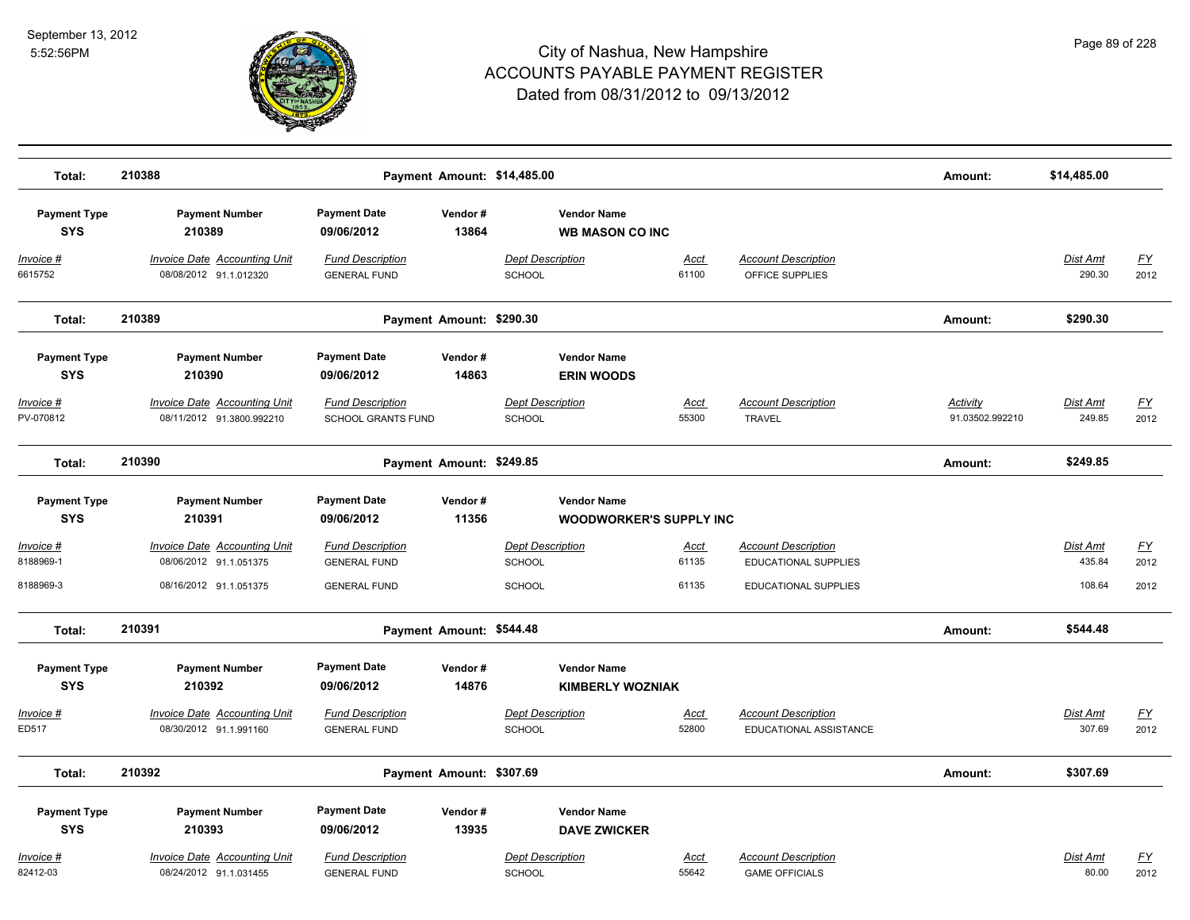

| Total:                              | 210388                                                                           |                                                                       |                          | Payment Amount: \$14,485.00                               |                        |                                                                            | Amount:                            | \$14,485.00                  |                           |
|-------------------------------------|----------------------------------------------------------------------------------|-----------------------------------------------------------------------|--------------------------|-----------------------------------------------------------|------------------------|----------------------------------------------------------------------------|------------------------------------|------------------------------|---------------------------|
| <b>Payment Type</b><br><b>SYS</b>   | <b>Payment Number</b><br>210389                                                  | <b>Payment Date</b><br>09/06/2012                                     | Vendor#<br>13864         | <b>Vendor Name</b><br><b>WB MASON CO INC</b>              |                        |                                                                            |                                    |                              |                           |
| Invoice #<br>6615752                | <b>Invoice Date Accounting Unit</b><br>08/08/2012 91.1.012320                    | <b>Fund Description</b><br><b>GENERAL FUND</b>                        |                          | <b>Dept Description</b><br>SCHOOL                         | Acct<br>61100          | <b>Account Description</b><br>OFFICE SUPPLIES                              |                                    | Dist Amt<br>290.30           | EY<br>2012                |
| Total:                              | 210389                                                                           |                                                                       | Payment Amount: \$290.30 |                                                           |                        |                                                                            | Amount:                            | \$290.30                     |                           |
| <b>Payment Type</b><br><b>SYS</b>   | <b>Payment Number</b><br>210390                                                  | <b>Payment Date</b><br>09/06/2012                                     | Vendor#<br>14863         | <b>Vendor Name</b><br><b>ERIN WOODS</b>                   |                        |                                                                            |                                    |                              |                           |
| Invoice #<br>PV-070812              | <b>Invoice Date Accounting Unit</b><br>08/11/2012 91.3800.992210                 | <b>Fund Description</b><br>SCHOOL GRANTS FUND                         |                          | <b>Dept Description</b><br><b>SCHOOL</b>                  | <u>Acct</u><br>55300   | <b>Account Description</b><br><b>TRAVEL</b>                                | <b>Activity</b><br>91.03502.992210 | <b>Dist Amt</b><br>249.85    | <u>FY</u><br>2012         |
| Total:                              | 210390                                                                           |                                                                       | Payment Amount: \$249.85 |                                                           |                        |                                                                            | Amount:                            | \$249.85                     |                           |
| <b>Payment Type</b><br><b>SYS</b>   | <b>Payment Number</b><br>210391                                                  | <b>Payment Date</b><br>09/06/2012                                     | Vendor#<br>11356         | <b>Vendor Name</b><br><b>WOODWORKER'S SUPPLY INC</b>      |                        |                                                                            |                                    |                              |                           |
| Invoice #<br>8188969-1<br>8188969-3 | Invoice Date Accounting Unit<br>08/06/2012 91.1.051375<br>08/16/2012 91.1.051375 | <b>Fund Description</b><br><b>GENERAL FUND</b><br><b>GENERAL FUND</b> |                          | <b>Dept Description</b><br><b>SCHOOL</b><br><b>SCHOOL</b> | Acct<br>61135<br>61135 | <b>Account Description</b><br>EDUCATIONAL SUPPLIES<br>EDUCATIONAL SUPPLIES |                                    | Dist Amt<br>435.84<br>108.64 | <u>FY</u><br>2012<br>2012 |
| Total:                              | 210391                                                                           |                                                                       | Payment Amount: \$544.48 |                                                           |                        |                                                                            | Amount:                            | \$544.48                     |                           |
| <b>Payment Type</b><br><b>SYS</b>   | <b>Payment Number</b><br>210392                                                  | <b>Payment Date</b><br>09/06/2012                                     | Vendor#<br>14876         | <b>Vendor Name</b><br><b>KIMBERLY WOZNIAK</b>             |                        |                                                                            |                                    |                              |                           |
| Invoice #<br>ED517                  | <b>Invoice Date Accounting Unit</b><br>08/30/2012 91.1.991160                    | <b>Fund Description</b><br><b>GENERAL FUND</b>                        |                          | <b>Dept Description</b><br><b>SCHOOL</b>                  | Acct<br>52800          | <b>Account Description</b><br>EDUCATIONAL ASSISTANCE                       |                                    | Dist Amt<br>307.69           | <u>FY</u><br>2012         |
| Total:                              | 210392                                                                           |                                                                       | Payment Amount: \$307.69 |                                                           |                        |                                                                            | Amount:                            | \$307.69                     |                           |
| <b>Payment Type</b><br><b>SYS</b>   | <b>Payment Number</b><br>210393                                                  | <b>Payment Date</b><br>09/06/2012                                     | Vendor#<br>13935         | <b>Vendor Name</b><br><b>DAVE ZWICKER</b>                 |                        |                                                                            |                                    |                              |                           |
| Invoice #<br>82412-03               | Invoice Date Accounting Unit<br>08/24/2012 91.1.031455                           | <b>Fund Description</b><br><b>GENERAL FUND</b>                        |                          | <b>Dept Description</b><br><b>SCHOOL</b>                  | Acct<br>55642          | <b>Account Description</b><br><b>GAME OFFICIALS</b>                        |                                    | Dist Amt<br>80.00            | FY<br>2012                |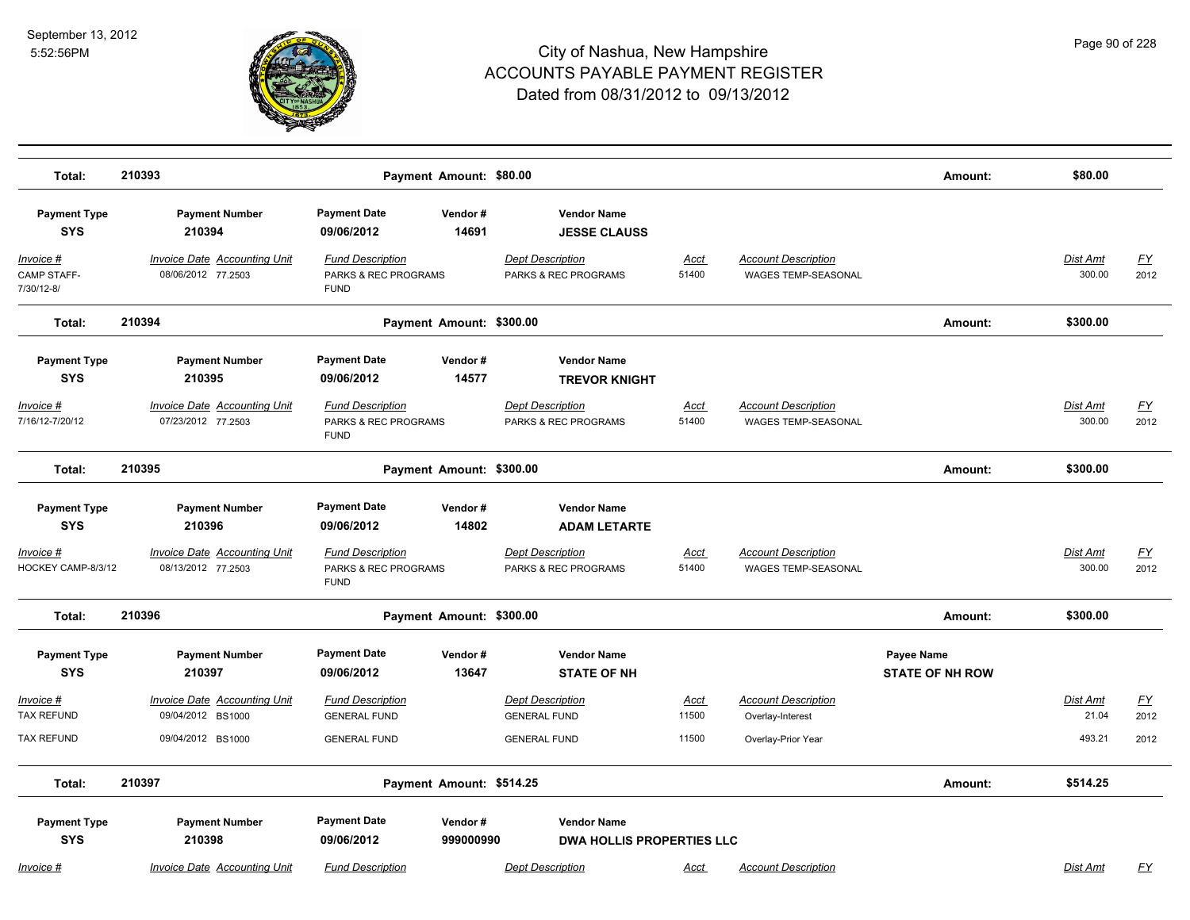

| Total:                                 | 210393                                                    | Payment Amount: \$80.00                                        |                                                        |                      |                                                   | Amount:                              | \$80.00                   |                   |
|----------------------------------------|-----------------------------------------------------------|----------------------------------------------------------------|--------------------------------------------------------|----------------------|---------------------------------------------------|--------------------------------------|---------------------------|-------------------|
| <b>Payment Type</b><br><b>SYS</b>      | <b>Payment Number</b><br>210394                           | <b>Payment Date</b><br>Vendor#<br>14691<br>09/06/2012          | <b>Vendor Name</b><br><b>JESSE CLAUSS</b>              |                      |                                                   |                                      |                           |                   |
| Invoice #<br>CAMP STAFF-<br>7/30/12-8/ | <b>Invoice Date Accounting Unit</b><br>08/06/2012 77.2503 | <b>Fund Description</b><br>PARKS & REC PROGRAMS<br><b>FUND</b> | <b>Dept Description</b><br>PARKS & REC PROGRAMS        | <u>Acct</u><br>51400 | <b>Account Description</b><br>WAGES TEMP-SEASONAL |                                      | Dist Amt<br>300.00        | <u>FY</u><br>2012 |
| Total:                                 | 210394                                                    | Payment Amount: \$300.00                                       |                                                        |                      |                                                   | Amount:                              | \$300.00                  |                   |
| <b>Payment Type</b><br><b>SYS</b>      | <b>Payment Number</b><br>210395                           | <b>Payment Date</b><br>Vendor#<br>14577<br>09/06/2012          | <b>Vendor Name</b><br><b>TREVOR KNIGHT</b>             |                      |                                                   |                                      |                           |                   |
| <u> Invoice #</u><br>7/16/12-7/20/12   | <b>Invoice Date Accounting Unit</b><br>07/23/2012 77.2503 | <b>Fund Description</b><br>PARKS & REC PROGRAMS<br><b>FUND</b> | <b>Dept Description</b><br>PARKS & REC PROGRAMS        | <u>Acct</u><br>51400 | <b>Account Description</b><br>WAGES TEMP-SEASONAL |                                      | <b>Dist Amt</b><br>300.00 | <u>FY</u><br>2012 |
| Total:                                 | 210395                                                    | Payment Amount: \$300.00                                       |                                                        |                      |                                                   | Amount:                              | \$300.00                  |                   |
| <b>Payment Type</b><br><b>SYS</b>      | <b>Payment Number</b><br>210396                           | <b>Payment Date</b><br>Vendor#<br>14802<br>09/06/2012          | <b>Vendor Name</b><br><b>ADAM LETARTE</b>              |                      |                                                   |                                      |                           |                   |
| Invoice #<br>HOCKEY CAMP-8/3/12        | <b>Invoice Date Accounting Unit</b><br>08/13/2012 77.2503 | <b>Fund Description</b><br>PARKS & REC PROGRAMS<br><b>FUND</b> | <b>Dept Description</b><br>PARKS & REC PROGRAMS        | Acct<br>51400        | <b>Account Description</b><br>WAGES TEMP-SEASONAL |                                      | Dist Amt<br>300.00        | <u>FY</u><br>2012 |
| Total:                                 | 210396                                                    | Payment Amount: \$300.00                                       |                                                        |                      |                                                   | Amount:                              | \$300.00                  |                   |
| <b>Payment Type</b><br><b>SYS</b>      | <b>Payment Number</b><br>210397                           | <b>Payment Date</b><br>Vendor#<br>09/06/2012<br>13647          | <b>Vendor Name</b><br><b>STATE OF NH</b>               |                      |                                                   | Payee Name<br><b>STATE OF NH ROW</b> |                           |                   |
| Invoice #<br><b>TAX REFUND</b>         | <b>Invoice Date Accounting Unit</b><br>09/04/2012 BS1000  | <b>Fund Description</b><br><b>GENERAL FUND</b>                 | <b>Dept Description</b><br><b>GENERAL FUND</b>         | Acct<br>11500        | <b>Account Description</b><br>Overlay-Interest    |                                      | Dist Amt<br>21.04         | <u>FY</u><br>2012 |
| <b>TAX REFUND</b>                      | 09/04/2012 BS1000                                         | <b>GENERAL FUND</b>                                            | <b>GENERAL FUND</b>                                    | 11500                | Overlay-Prior Year                                |                                      | 493.21                    | 2012              |
| Total:                                 | 210397                                                    | Payment Amount: \$514.25                                       |                                                        |                      |                                                   | Amount:                              | \$514.25                  |                   |
| <b>Payment Type</b><br><b>SYS</b>      | <b>Payment Number</b><br>210398                           | <b>Payment Date</b><br>Vendor#<br>09/06/2012<br>999000990      | <b>Vendor Name</b><br><b>DWA HOLLIS PROPERTIES LLC</b> |                      |                                                   |                                      |                           |                   |
| Invoice #                              | Invoice Date Accounting Unit                              | <b>Fund Description</b>                                        | <b>Dept Description</b>                                | Acct                 | <b>Account Description</b>                        |                                      | Dist Amt                  | FY                |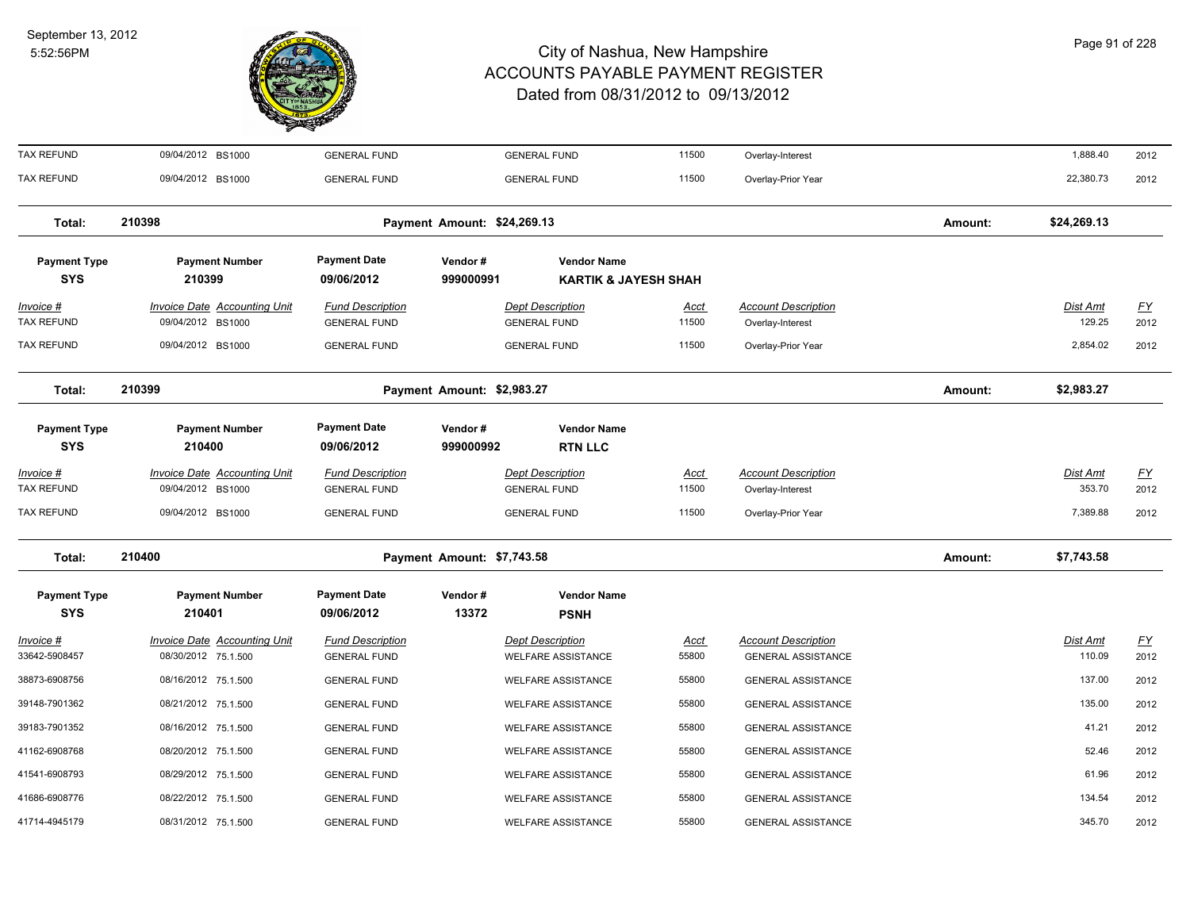

| <b>TAX REFUND</b>                     | 09/04/2012 BS1000                                          | <b>GENERAL FUND</b>                            |                             | <b>GENERAL FUND</b>                                   | 11500                | Overlay-Interest                                        |         | 1,888.40                  | 2012              |
|---------------------------------------|------------------------------------------------------------|------------------------------------------------|-----------------------------|-------------------------------------------------------|----------------------|---------------------------------------------------------|---------|---------------------------|-------------------|
| <b>TAX REFUND</b>                     | 09/04/2012 BS1000                                          | <b>GENERAL FUND</b>                            |                             | <b>GENERAL FUND</b>                                   | 11500                | Overlay-Prior Year                                      |         | 22,380.73                 | 2012              |
| Total:                                | 210398                                                     |                                                | Payment Amount: \$24,269.13 |                                                       |                      |                                                         | Amount: | \$24,269.13               |                   |
| <b>Payment Type</b><br><b>SYS</b>     | <b>Payment Number</b><br>210399                            | <b>Payment Date</b><br>09/06/2012              | Vendor#<br>999000991        | <b>Vendor Name</b><br><b>KARTIK &amp; JAYESH SHAH</b> |                      |                                                         |         |                           |                   |
| Invoice #<br><b>TAX REFUND</b>        | Invoice Date Accounting Unit<br>09/04/2012 BS1000          | <b>Fund Description</b><br><b>GENERAL FUND</b> |                             | <b>Dept Description</b><br><b>GENERAL FUND</b>        | <u>Acct</u><br>11500 | <b>Account Description</b><br>Overlay-Interest          |         | Dist Amt<br>129.25        | EY<br>2012        |
| <b>TAX REFUND</b>                     | 09/04/2012 BS1000                                          | <b>GENERAL FUND</b>                            |                             | <b>GENERAL FUND</b>                                   | 11500                | Overlay-Prior Year                                      |         | 2,854.02                  | 2012              |
| Total:                                | 210399                                                     |                                                | Payment Amount: \$2,983.27  |                                                       |                      |                                                         | Amount: | \$2,983.27                |                   |
| <b>Payment Type</b><br><b>SYS</b>     | <b>Payment Number</b><br>210400                            | <b>Payment Date</b><br>09/06/2012              | Vendor#<br>999000992        | <b>Vendor Name</b><br><b>RTN LLC</b>                  |                      |                                                         |         |                           |                   |
| <u>Invoice #</u><br><b>TAX REFUND</b> | <b>Invoice Date Accounting Unit</b><br>09/04/2012 BS1000   | <b>Fund Description</b><br><b>GENERAL FUND</b> |                             | <b>Dept Description</b><br><b>GENERAL FUND</b>        | <b>Acct</b><br>11500 | <b>Account Description</b><br>Overlay-Interest          |         | Dist Amt<br>353.70        | <u>FY</u><br>2012 |
| <b>TAX REFUND</b>                     | 09/04/2012 BS1000                                          | <b>GENERAL FUND</b>                            |                             | <b>GENERAL FUND</b>                                   | 11500                | Overlay-Prior Year                                      |         | 7,389.88                  | 2012              |
| Total:                                | 210400                                                     |                                                | Payment Amount: \$7,743.58  |                                                       |                      |                                                         | Amount: | \$7,743.58                |                   |
| <b>Payment Type</b><br><b>SYS</b>     | <b>Payment Number</b><br>210401                            | <b>Payment Date</b><br>09/06/2012              | Vendor#<br>13372            | <b>Vendor Name</b><br><b>PSNH</b>                     |                      |                                                         |         |                           |                   |
| <u>Invoice #</u><br>33642-5908457     | <b>Invoice Date Accounting Unit</b><br>08/30/2012 75.1.500 | <b>Fund Description</b><br><b>GENERAL FUND</b> |                             | <b>Dept Description</b><br><b>WELFARE ASSISTANCE</b>  | <u>Acct</u><br>55800 | <b>Account Description</b><br><b>GENERAL ASSISTANCE</b> |         | <b>Dist Amt</b><br>110.09 | <u>FY</u><br>2012 |
| 38873-6908756                         | 08/16/2012 75.1.500                                        | <b>GENERAL FUND</b>                            |                             | <b>WELFARE ASSISTANCE</b>                             | 55800                | <b>GENERAL ASSISTANCE</b>                               |         | 137.00                    | 2012              |
| 39148-7901362                         | 08/21/2012 75.1.500                                        | <b>GENERAL FUND</b>                            |                             | WELFARE ASSISTANCE                                    | 55800                | <b>GENERAL ASSISTANCE</b>                               |         | 135.00                    | 2012              |
| 39183-7901352                         | 08/16/2012 75.1.500                                        | <b>GENERAL FUND</b>                            |                             | <b>WELFARE ASSISTANCE</b>                             | 55800                | <b>GENERAL ASSISTANCE</b>                               |         | 41.21                     | 2012              |
| 41162-6908768                         | 08/20/2012 75.1.500                                        | <b>GENERAL FUND</b>                            |                             | <b>WELFARE ASSISTANCE</b>                             | 55800                | <b>GENERAL ASSISTANCE</b>                               |         | 52.46                     | 2012              |
| 41541-6908793                         | 08/29/2012 75.1.500                                        | <b>GENERAL FUND</b>                            |                             | <b>WELFARE ASSISTANCE</b>                             | 55800                | <b>GENERAL ASSISTANCE</b>                               |         | 61.96                     | 2012              |
| 41686-6908776                         | 08/22/2012 75.1.500                                        | <b>GENERAL FUND</b>                            |                             | <b>WELFARE ASSISTANCE</b>                             | 55800                | <b>GENERAL ASSISTANCE</b>                               |         | 134.54                    | 2012              |
| 41714-4945179                         | 08/31/2012 75.1.500                                        | <b>GENERAL FUND</b>                            |                             | <b>WELFARE ASSISTANCE</b>                             | 55800                | <b>GENERAL ASSISTANCE</b>                               |         | 345.70                    | 2012              |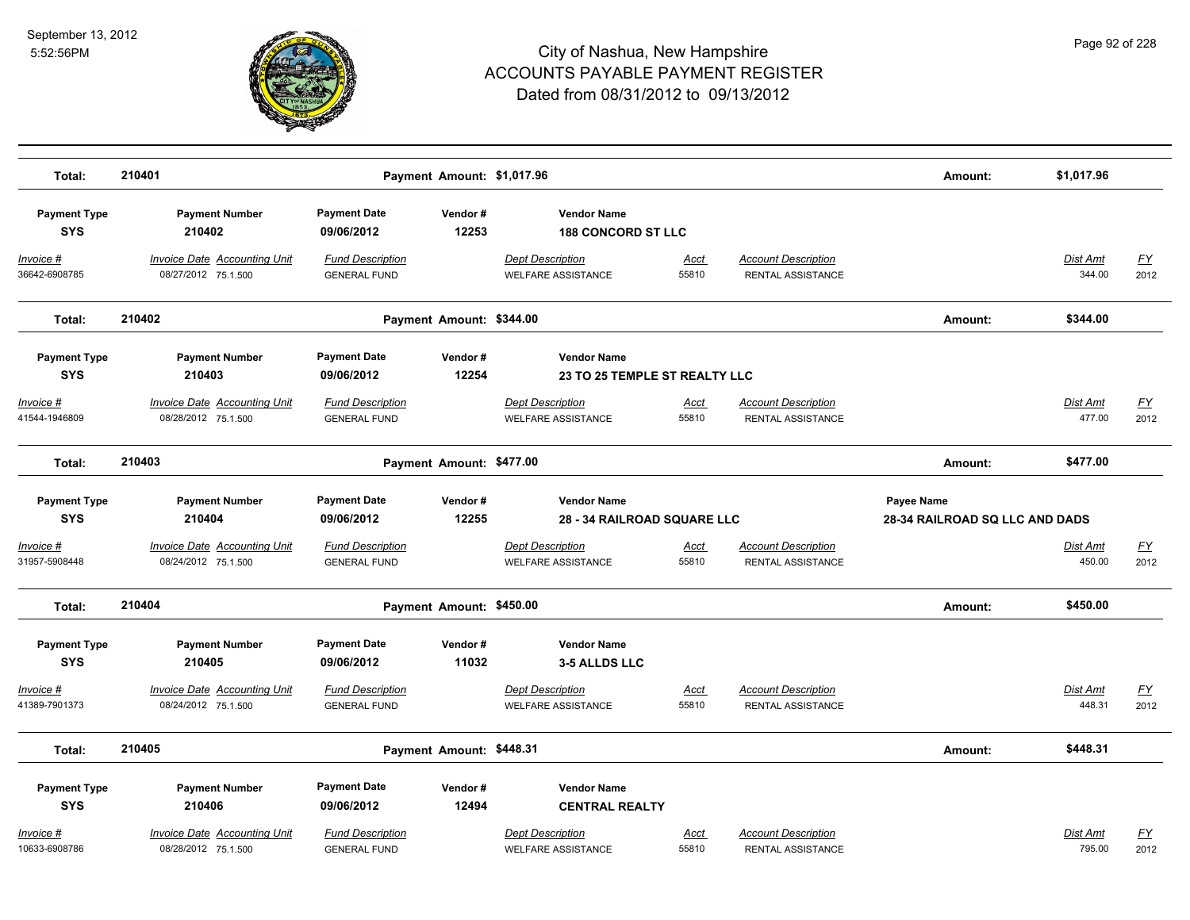

|                                    | 210401                                                     |                                                |                            |                                                      |                      |                                                 |                                       | \$1,017.96                |                   |
|------------------------------------|------------------------------------------------------------|------------------------------------------------|----------------------------|------------------------------------------------------|----------------------|-------------------------------------------------|---------------------------------------|---------------------------|-------------------|
| Total:                             |                                                            |                                                | Payment Amount: \$1,017.96 |                                                      |                      |                                                 | Amount:                               |                           |                   |
| <b>Payment Type</b><br><b>SYS</b>  | <b>Payment Number</b><br>210402                            | <b>Payment Date</b><br>09/06/2012              | Vendor#<br>12253           | <b>Vendor Name</b><br><b>188 CONCORD ST LLC</b>      |                      |                                                 |                                       |                           |                   |
| Invoice #<br>36642-6908785         | <b>Invoice Date Accounting Unit</b><br>08/27/2012 75.1.500 | <b>Fund Description</b><br><b>GENERAL FUND</b> |                            | <b>Dept Description</b><br><b>WELFARE ASSISTANCE</b> | <b>Acct</b><br>55810 | <b>Account Description</b><br>RENTAL ASSISTANCE |                                       | <b>Dist Amt</b><br>344.00 | <u>FY</u><br>2012 |
| Total:                             | 210402                                                     |                                                | Payment Amount: \$344.00   |                                                      |                      |                                                 | Amount:                               | \$344.00                  |                   |
| <b>Payment Type</b>                | <b>Payment Number</b>                                      | <b>Payment Date</b>                            | Vendor#                    | <b>Vendor Name</b>                                   |                      |                                                 |                                       |                           |                   |
| <b>SYS</b>                         | 210403                                                     | 09/06/2012                                     | 12254                      | <b>23 TO 25 TEMPLE ST REALTY LLC</b>                 |                      |                                                 |                                       |                           |                   |
| <u> Invoice #</u><br>41544-1946809 | <b>Invoice Date Accounting Unit</b><br>08/28/2012 75.1.500 | <b>Fund Description</b><br><b>GENERAL FUND</b> |                            | <b>Dept Description</b><br><b>WELFARE ASSISTANCE</b> | <u>Acct</u><br>55810 | <b>Account Description</b><br>RENTAL ASSISTANCE |                                       | Dist Amt<br>477.00        | <u>FY</u><br>2012 |
| Total:                             | 210403                                                     |                                                | Payment Amount: \$477.00   |                                                      |                      |                                                 | Amount:                               | \$477.00                  |                   |
| <b>Payment Type</b>                | <b>Payment Number</b>                                      | <b>Payment Date</b>                            | Vendor#                    | <b>Vendor Name</b>                                   |                      |                                                 | Payee Name                            |                           |                   |
| <b>SYS</b>                         | 210404                                                     | 09/06/2012                                     | 12255                      | <b>28 - 34 RAILROAD SQUARE LLC</b>                   |                      |                                                 | <b>28-34 RAILROAD SQ LLC AND DADS</b> |                           |                   |
| Invoice #<br>31957-5908448         | <b>Invoice Date Accounting Unit</b><br>08/24/2012 75.1.500 | <b>Fund Description</b><br><b>GENERAL FUND</b> |                            | <b>Dept Description</b><br><b>WELFARE ASSISTANCE</b> | <u>Acct</u><br>55810 | <b>Account Description</b><br>RENTAL ASSISTANCE |                                       | Dist Amt<br>450.00        | <u>FY</u><br>2012 |
| Total:                             | 210404                                                     |                                                | Payment Amount: \$450.00   |                                                      |                      |                                                 | Amount:                               | \$450.00                  |                   |
| <b>Payment Type</b><br><b>SYS</b>  | <b>Payment Number</b><br>210405                            | <b>Payment Date</b><br>09/06/2012              | Vendor#<br>11032           | <b>Vendor Name</b><br><b>3-5 ALLDS LLC</b>           |                      |                                                 |                                       |                           |                   |
| <u> Invoice #</u><br>41389-7901373 | <b>Invoice Date Accounting Unit</b><br>08/24/2012 75.1.500 | <b>Fund Description</b><br><b>GENERAL FUND</b> |                            | <b>Dept Description</b><br><b>WELFARE ASSISTANCE</b> | <u>Acct</u><br>55810 | <b>Account Description</b><br>RENTAL ASSISTANCE |                                       | Dist Amt<br>448.31        | <u>FY</u><br>2012 |
| Total:                             | 210405                                                     |                                                | Payment Amount: \$448.31   |                                                      |                      |                                                 | Amount:                               | \$448.31                  |                   |
| <b>Payment Type</b>                | <b>Payment Number</b>                                      | <b>Payment Date</b>                            | Vendor#                    | <b>Vendor Name</b>                                   |                      |                                                 |                                       |                           |                   |
| <b>SYS</b>                         | 210406                                                     | 09/06/2012                                     | 12494                      | <b>CENTRAL REALTY</b>                                |                      |                                                 |                                       |                           |                   |
| Invoice #<br>10633-6908786         | <b>Invoice Date Accounting Unit</b><br>08/28/2012 75.1.500 | <b>Fund Description</b><br><b>GENERAL FUND</b> |                            | <b>Dept Description</b><br><b>WELFARE ASSISTANCE</b> | Acct<br>55810        | <b>Account Description</b><br>RENTAL ASSISTANCE |                                       | Dist Amt<br>795.00        | <u>FY</u><br>2012 |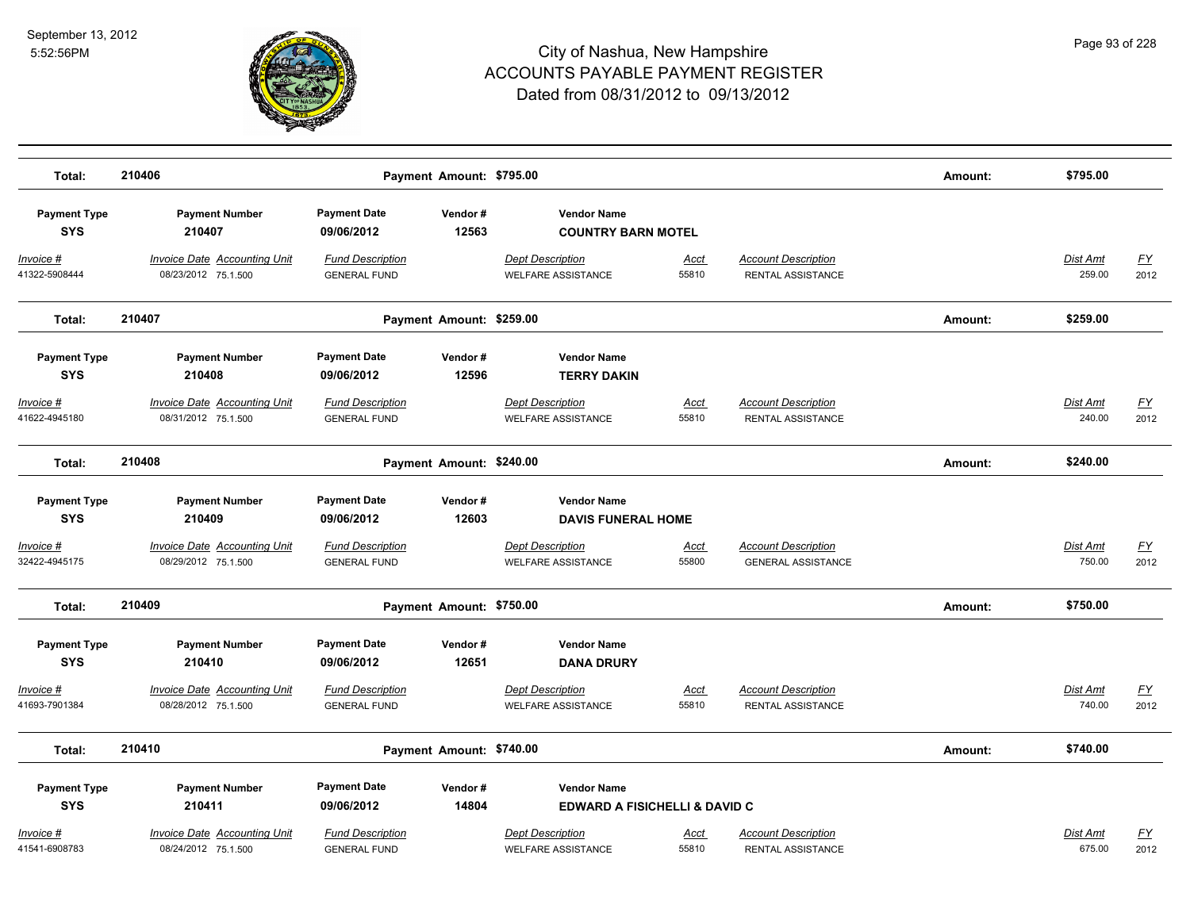

| Total:                            | 210406                                                     |                                                | Payment Amount: \$795.00 |                                                      |                      |                                                         | Amount: | \$795.00                  |                   |
|-----------------------------------|------------------------------------------------------------|------------------------------------------------|--------------------------|------------------------------------------------------|----------------------|---------------------------------------------------------|---------|---------------------------|-------------------|
| <b>Payment Type</b><br><b>SYS</b> | <b>Payment Number</b><br>210407                            | <b>Payment Date</b><br>09/06/2012              | Vendor#<br>12563         | <b>Vendor Name</b><br><b>COUNTRY BARN MOTEL</b>      |                      |                                                         |         |                           |                   |
| Invoice #<br>41322-5908444        | Invoice Date Accounting Unit<br>08/23/2012 75.1.500        | <b>Fund Description</b><br><b>GENERAL FUND</b> |                          | <b>Dept Description</b><br><b>WELFARE ASSISTANCE</b> | Acct<br>55810        | <b>Account Description</b><br><b>RENTAL ASSISTANCE</b>  |         | Dist Amt<br>259.00        | <u>FY</u><br>2012 |
| Total:                            | 210407                                                     |                                                | Payment Amount: \$259.00 |                                                      |                      |                                                         | Amount: | \$259.00                  |                   |
| <b>Payment Type</b><br><b>SYS</b> | <b>Payment Number</b><br>210408                            | <b>Payment Date</b><br>09/06/2012              | Vendor#<br>12596         | <b>Vendor Name</b><br><b>TERRY DAKIN</b>             |                      |                                                         |         |                           |                   |
| $Invoice$ #<br>41622-4945180      | <b>Invoice Date Accounting Unit</b><br>08/31/2012 75.1.500 | <b>Fund Description</b><br><b>GENERAL FUND</b> |                          | <b>Dept Description</b><br><b>WELFARE ASSISTANCE</b> | <b>Acct</b><br>55810 | <b>Account Description</b><br>RENTAL ASSISTANCE         |         | <b>Dist Amt</b><br>240.00 | <u>FY</u><br>2012 |
| Total:                            | 210408                                                     |                                                | Payment Amount: \$240.00 |                                                      |                      |                                                         | Amount: | \$240.00                  |                   |
| <b>Payment Type</b><br><b>SYS</b> | <b>Payment Number</b><br>210409                            | <b>Payment Date</b><br>09/06/2012              | Vendor#<br>12603         | <b>Vendor Name</b><br><b>DAVIS FUNERAL HOME</b>      |                      |                                                         |         |                           |                   |
| Invoice #<br>32422-4945175        | <b>Invoice Date Accounting Unit</b><br>08/29/2012 75.1.500 | <b>Fund Description</b><br><b>GENERAL FUND</b> |                          | <b>Dept Description</b><br><b>WELFARE ASSISTANCE</b> | <u>Acct</u><br>55800 | <b>Account Description</b><br><b>GENERAL ASSISTANCE</b> |         | Dist Amt<br>750.00        | <u>FY</u><br>2012 |
| Total:                            | 210409                                                     |                                                | Payment Amount: \$750.00 |                                                      |                      |                                                         | Amount: | \$750.00                  |                   |
| <b>Payment Type</b><br><b>SYS</b> | <b>Payment Number</b><br>210410                            | <b>Payment Date</b><br>09/06/2012              | Vendor#<br>12651         | <b>Vendor Name</b><br><b>DANA DRURY</b>              |                      |                                                         |         |                           |                   |
| Invoice #<br>41693-7901384        | <b>Invoice Date Accounting Unit</b><br>08/28/2012 75.1.500 | <b>Fund Description</b><br><b>GENERAL FUND</b> |                          | <b>Dept Description</b><br><b>WELFARE ASSISTANCE</b> | <u>Acct</u><br>55810 | <b>Account Description</b><br>RENTAL ASSISTANCE         |         | <b>Dist Amt</b><br>740.00 | <u>FY</u><br>2012 |
| Total:                            | 210410                                                     |                                                | Payment Amount: \$740.00 |                                                      |                      |                                                         | Amount: | \$740.00                  |                   |
| <b>Payment Type</b>               | <b>Payment Number</b>                                      | <b>Payment Date</b>                            | Vendor#                  | <b>Vendor Name</b>                                   |                      |                                                         |         |                           |                   |
| <b>SYS</b>                        | 210411                                                     | 09/06/2012                                     | 14804                    | <b>EDWARD A FISICHELLI &amp; DAVID C</b>             |                      |                                                         |         |                           |                   |
| Invoice #<br>41541-6908783        | <b>Invoice Date Accounting Unit</b><br>08/24/2012 75.1.500 | <b>Fund Description</b><br><b>GENERAL FUND</b> |                          | <b>Dept Description</b><br><b>WELFARE ASSISTANCE</b> | Acct<br>55810        | <b>Account Description</b><br>RENTAL ASSISTANCE         |         | Dist Amt<br>675.00        | <u>FY</u><br>2012 |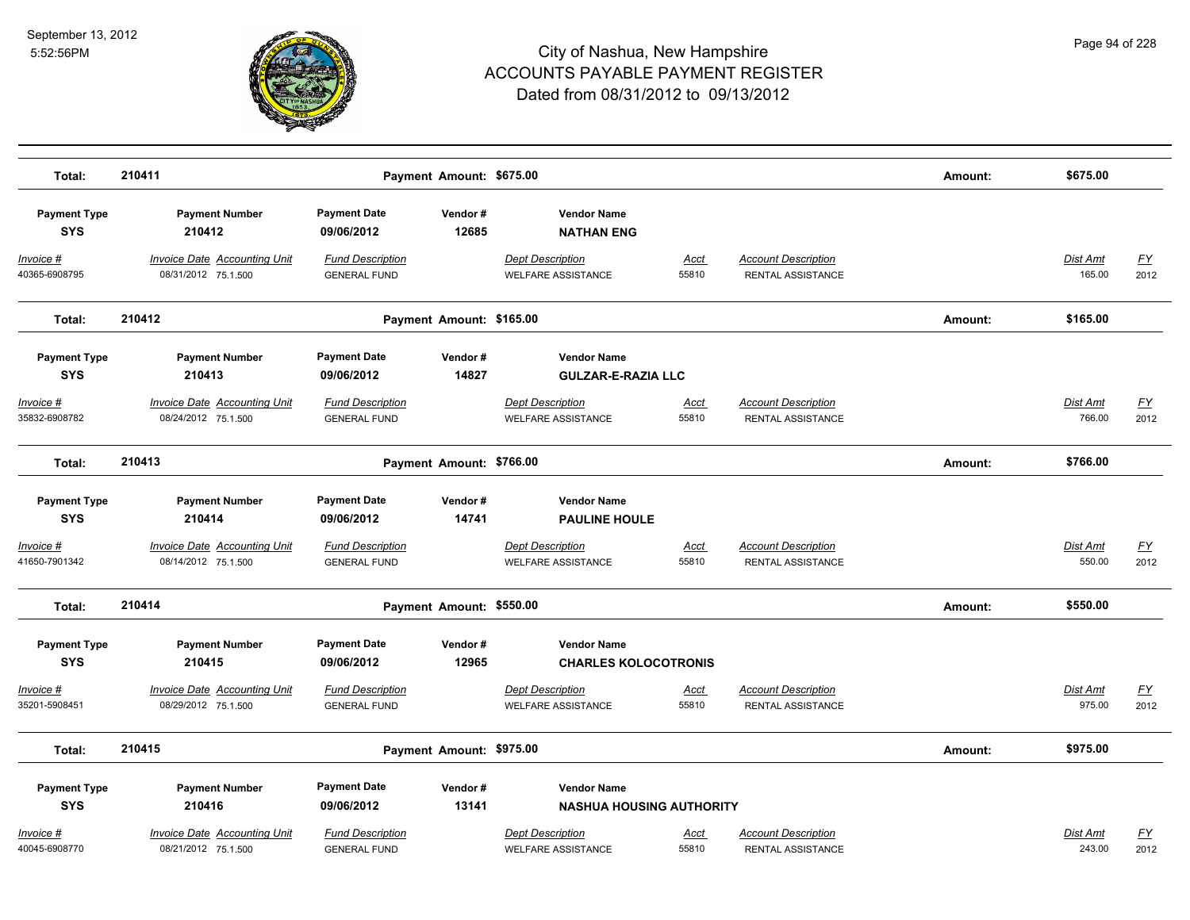

| Total:                            | 210411                                                     |                                                | Payment Amount: \$675.00 |                                                       |                      |                                                 | Amount: | \$675.00                  |                   |
|-----------------------------------|------------------------------------------------------------|------------------------------------------------|--------------------------|-------------------------------------------------------|----------------------|-------------------------------------------------|---------|---------------------------|-------------------|
| <b>Payment Type</b><br><b>SYS</b> | <b>Payment Number</b><br>210412                            | <b>Payment Date</b><br>09/06/2012              | Vendor#<br>12685         | <b>Vendor Name</b><br><b>NATHAN ENG</b>               |                      |                                                 |         |                           |                   |
| Invoice #<br>40365-6908795        | <b>Invoice Date Accounting Unit</b><br>08/31/2012 75.1.500 | <b>Fund Description</b><br><b>GENERAL FUND</b> |                          | <b>Dept Description</b><br><b>WELFARE ASSISTANCE</b>  | Acct<br>55810        | <b>Account Description</b><br>RENTAL ASSISTANCE |         | Dist Amt<br>165.00        | <u>FY</u><br>2012 |
| Total:                            | 210412                                                     |                                                | Payment Amount: \$165.00 |                                                       |                      |                                                 | Amount: | \$165.00                  |                   |
| <b>Payment Type</b><br><b>SYS</b> | <b>Payment Number</b><br>210413                            | <b>Payment Date</b><br>09/06/2012              | Vendor#<br>14827         | <b>Vendor Name</b><br><b>GULZAR-E-RAZIA LLC</b>       |                      |                                                 |         |                           |                   |
| <u>Invoice #</u><br>35832-6908782 | <b>Invoice Date Accounting Unit</b><br>08/24/2012 75.1.500 | <b>Fund Description</b><br><b>GENERAL FUND</b> |                          | <b>Dept Description</b><br><b>WELFARE ASSISTANCE</b>  | <u>Acct</u><br>55810 | <b>Account Description</b><br>RENTAL ASSISTANCE |         | <b>Dist Amt</b><br>766.00 | <u>FY</u><br>2012 |
| Total:                            | 210413                                                     |                                                | Payment Amount: \$766.00 |                                                       |                      |                                                 | Amount: | \$766.00                  |                   |
| <b>Payment Type</b><br><b>SYS</b> | <b>Payment Number</b><br>210414                            | <b>Payment Date</b><br>09/06/2012              | Vendor#<br>14741         | <b>Vendor Name</b><br><b>PAULINE HOULE</b>            |                      |                                                 |         |                           |                   |
| Invoice #<br>41650-7901342        | <b>Invoice Date Accounting Unit</b><br>08/14/2012 75.1.500 | <b>Fund Description</b><br><b>GENERAL FUND</b> |                          | <b>Dept Description</b><br><b>WELFARE ASSISTANCE</b>  | Acct<br>55810        | <b>Account Description</b><br>RENTAL ASSISTANCE |         | Dist Amt<br>550.00        | <u>FY</u><br>2012 |
| Total:                            | 210414                                                     |                                                | Payment Amount: \$550.00 |                                                       |                      |                                                 | Amount: | \$550.00                  |                   |
| <b>Payment Type</b><br><b>SYS</b> | <b>Payment Number</b><br>210415                            | <b>Payment Date</b><br>09/06/2012              | Vendor#<br>12965         | <b>Vendor Name</b><br><b>CHARLES KOLOCOTRONIS</b>     |                      |                                                 |         |                           |                   |
| Invoice #<br>35201-5908451        | <b>Invoice Date Accounting Unit</b><br>08/29/2012 75.1.500 | <b>Fund Description</b><br><b>GENERAL FUND</b> |                          | <b>Dept Description</b><br><b>WELFARE ASSISTANCE</b>  | <u>Acct</u><br>55810 | <b>Account Description</b><br>RENTAL ASSISTANCE |         | <b>Dist Amt</b><br>975.00 | <u>FY</u><br>2012 |
| Total:                            | 210415                                                     |                                                | Payment Amount: \$975.00 |                                                       |                      |                                                 | Amount: | \$975.00                  |                   |
| <b>Payment Type</b><br><b>SYS</b> | <b>Payment Number</b><br>210416                            | <b>Payment Date</b><br>09/06/2012              | Vendor#<br>13141         | <b>Vendor Name</b><br><b>NASHUA HOUSING AUTHORITY</b> |                      |                                                 |         |                           |                   |
| Invoice #<br>40045-6908770        | <b>Invoice Date Accounting Unit</b><br>08/21/2012 75.1.500 | <b>Fund Description</b><br><b>GENERAL FUND</b> |                          | <b>Dept Description</b><br><b>WELFARE ASSISTANCE</b>  | Acct<br>55810        | <b>Account Description</b><br>RENTAL ASSISTANCE |         | Dist Amt<br>243.00        | <u>FY</u><br>2012 |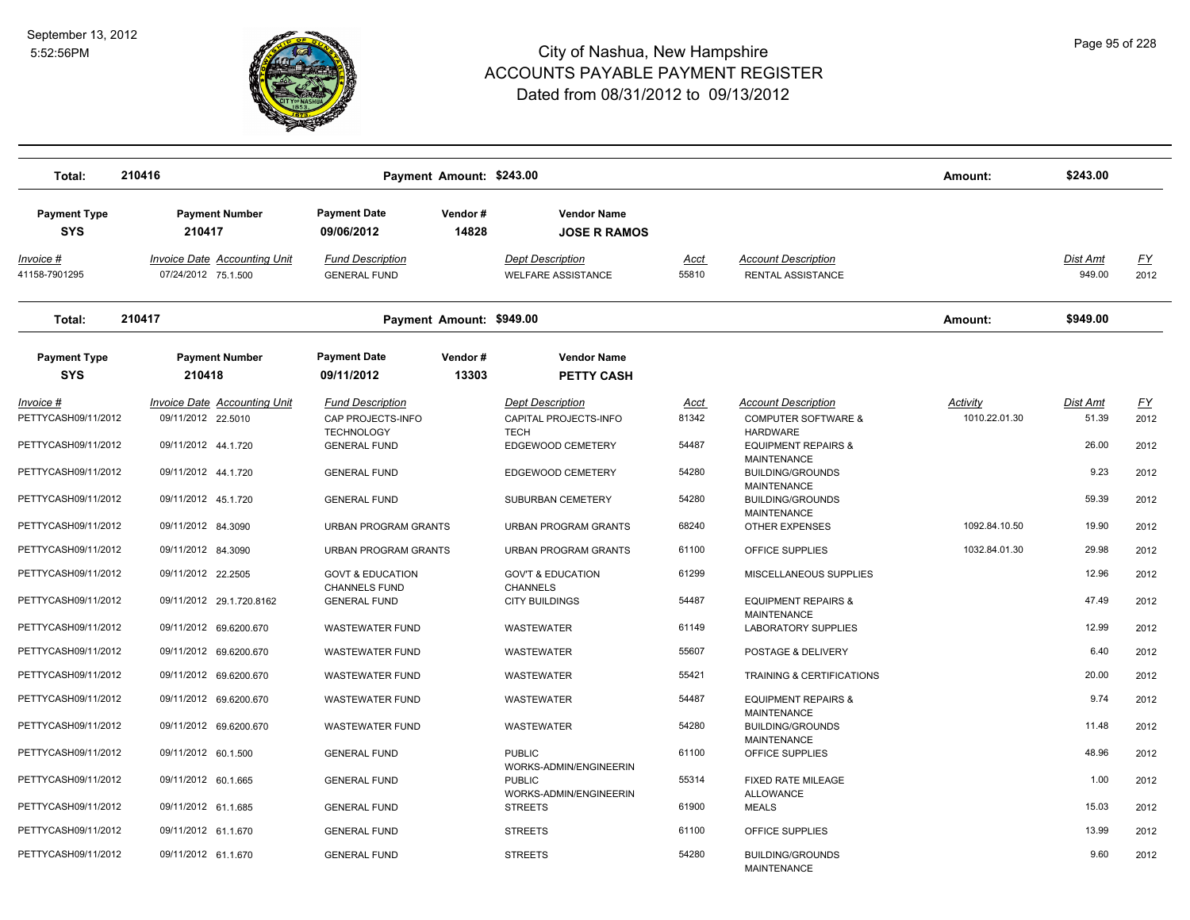

| Total:                                  | 210416                                                     | Payment Amount: \$243.00                                          |                  |                                                                 |                      |                                                                                 | Amount:                          | \$243.00                 |                   |
|-----------------------------------------|------------------------------------------------------------|-------------------------------------------------------------------|------------------|-----------------------------------------------------------------|----------------------|---------------------------------------------------------------------------------|----------------------------------|--------------------------|-------------------|
| <b>Payment Type</b><br><b>SYS</b>       | <b>Payment Number</b><br>210417                            | <b>Payment Date</b><br>09/06/2012                                 | Vendor#<br>14828 | <b>Vendor Name</b><br><b>JOSE R RAMOS</b>                       |                      |                                                                                 |                                  |                          |                   |
| Invoice #<br>41158-7901295              | <b>Invoice Date Accounting Unit</b><br>07/24/2012 75.1.500 | <b>Fund Description</b><br><b>GENERAL FUND</b>                    |                  | <b>Dept Description</b><br><b>WELFARE ASSISTANCE</b>            | Acct<br>55810        | <b>Account Description</b><br>RENTAL ASSISTANCE                                 |                                  | Dist Amt<br>949.00       | <u>FY</u><br>2012 |
| Total:                                  | 210417                                                     | Payment Amount: \$949.00                                          |                  |                                                                 |                      |                                                                                 | Amount:                          | \$949.00                 |                   |
| <b>Payment Type</b><br><b>SYS</b>       | <b>Payment Number</b><br>210418                            | <b>Payment Date</b><br>09/11/2012                                 | Vendor#<br>13303 | <b>Vendor Name</b><br><b>PETTY CASH</b>                         |                      |                                                                                 |                                  |                          |                   |
| <u>Invoice #</u><br>PETTYCASH09/11/2012 | <b>Invoice Date Accounting Unit</b><br>09/11/2012 22.5010  | <b>Fund Description</b><br>CAP PROJECTS-INFO<br><b>TECHNOLOGY</b> |                  | <b>Dept Description</b><br>CAPITAL PROJECTS-INFO<br><b>TECH</b> | <u>Acct</u><br>81342 | <b>Account Description</b><br><b>COMPUTER SOFTWARE &amp;</b><br><b>HARDWARE</b> | <b>Activity</b><br>1010.22.01.30 | <b>Dist Amt</b><br>51.39 | <u>FY</u><br>2012 |
| PETTYCASH09/11/2012                     | 09/11/2012 44.1.720                                        | <b>GENERAL FUND</b>                                               |                  | EDGEWOOD CEMETERY                                               | 54487                | <b>EQUIPMENT REPAIRS &amp;</b><br><b>MAINTENANCE</b>                            |                                  | 26.00                    | 2012              |
| PETTYCASH09/11/2012                     | 09/11/2012 44.1.720                                        | <b>GENERAL FUND</b>                                               |                  | EDGEWOOD CEMETERY                                               | 54280                | <b>BUILDING/GROUNDS</b><br><b>MAINTENANCE</b>                                   |                                  | 9.23                     | 2012              |
| PETTYCASH09/11/2012                     | 09/11/2012 45.1.720                                        | <b>GENERAL FUND</b>                                               |                  | SUBURBAN CEMETERY                                               | 54280                | <b>BUILDING/GROUNDS</b><br><b>MAINTENANCE</b>                                   |                                  | 59.39                    | 2012              |
| PETTYCASH09/11/2012                     | 09/11/2012 84.3090                                         | URBAN PROGRAM GRANTS                                              |                  | URBAN PROGRAM GRANTS                                            | 68240                | OTHER EXPENSES                                                                  | 1092.84.10.50                    | 19.90                    | 2012              |
| PETTYCASH09/11/2012                     | 09/11/2012 84.3090                                         | <b>URBAN PROGRAM GRANTS</b>                                       |                  | <b>URBAN PROGRAM GRANTS</b>                                     | 61100                | OFFICE SUPPLIES                                                                 | 1032.84.01.30                    | 29.98                    | 2012              |
| PETTYCASH09/11/2012                     | 09/11/2012 22.2505                                         | <b>GOVT &amp; EDUCATION</b><br><b>CHANNELS FUND</b>               |                  | <b>GOV'T &amp; EDUCATION</b><br><b>CHANNELS</b>                 | 61299                | MISCELLANEOUS SUPPLIES                                                          |                                  | 12.96                    | 2012              |
| PETTYCASH09/11/2012                     | 09/11/2012 29.1.720.8162                                   | <b>GENERAL FUND</b>                                               |                  | <b>CITY BUILDINGS</b>                                           | 54487                | <b>EQUIPMENT REPAIRS &amp;</b><br><b>MAINTENANCE</b>                            |                                  | 47.49                    | 2012              |
| PETTYCASH09/11/2012                     | 09/11/2012 69.6200.670                                     | <b>WASTEWATER FUND</b>                                            |                  | WASTEWATER                                                      | 61149                | LABORATORY SUPPLIES                                                             |                                  | 12.99                    | 2012              |
| PETTYCASH09/11/2012                     | 09/11/2012 69.6200.670                                     | <b>WASTEWATER FUND</b>                                            |                  | WASTEWATER                                                      | 55607                | POSTAGE & DELIVERY                                                              |                                  | 6.40                     | 2012              |
| PETTYCASH09/11/2012                     | 09/11/2012 69.6200.670                                     | <b>WASTEWATER FUND</b>                                            |                  | <b>WASTEWATER</b>                                               | 55421                | TRAINING & CERTIFICATIONS                                                       |                                  | 20.00                    | 2012              |
| PETTYCASH09/11/2012                     | 09/11/2012 69.6200.670                                     | <b>WASTEWATER FUND</b>                                            |                  | WASTEWATER                                                      | 54487                | <b>EQUIPMENT REPAIRS &amp;</b><br><b>MAINTENANCE</b>                            |                                  | 9.74                     | 2012              |
| PETTYCASH09/11/2012                     | 09/11/2012 69.6200.670                                     | <b>WASTEWATER FUND</b>                                            |                  | <b>WASTEWATER</b>                                               | 54280                | <b>BUILDING/GROUNDS</b>                                                         |                                  | 11.48                    | 2012              |
| PETTYCASH09/11/2012                     | 09/11/2012 60.1.500                                        | <b>GENERAL FUND</b>                                               |                  | <b>PUBLIC</b>                                                   | 61100                | <b>MAINTENANCE</b><br>OFFICE SUPPLIES                                           |                                  | 48.96                    | 2012              |
| PETTYCASH09/11/2012                     | 09/11/2012 60.1.665                                        | <b>GENERAL FUND</b>                                               |                  | WORKS-ADMIN/ENGINEERIN<br><b>PUBLIC</b>                         | 55314                | FIXED RATE MILEAGE                                                              |                                  | 1.00                     | 2012              |
| PETTYCASH09/11/2012                     | 09/11/2012 61.1.685                                        | <b>GENERAL FUND</b>                                               |                  | WORKS-ADMIN/ENGINEERIN<br><b>STREETS</b>                        | 61900                | <b>ALLOWANCE</b><br><b>MEALS</b>                                                |                                  | 15.03                    | 2012              |
| PETTYCASH09/11/2012                     | 09/11/2012 61.1.670                                        | <b>GENERAL FUND</b>                                               |                  | <b>STREETS</b>                                                  | 61100                | OFFICE SUPPLIES                                                                 |                                  | 13.99                    | 2012              |
| PETTYCASH09/11/2012                     | 09/11/2012 61.1.670                                        | <b>GENERAL FUND</b>                                               |                  | <b>STREETS</b>                                                  | 54280                | <b>BUILDING/GROUNDS</b><br><b>MAINTENANCE</b>                                   |                                  | 9.60                     | 2012              |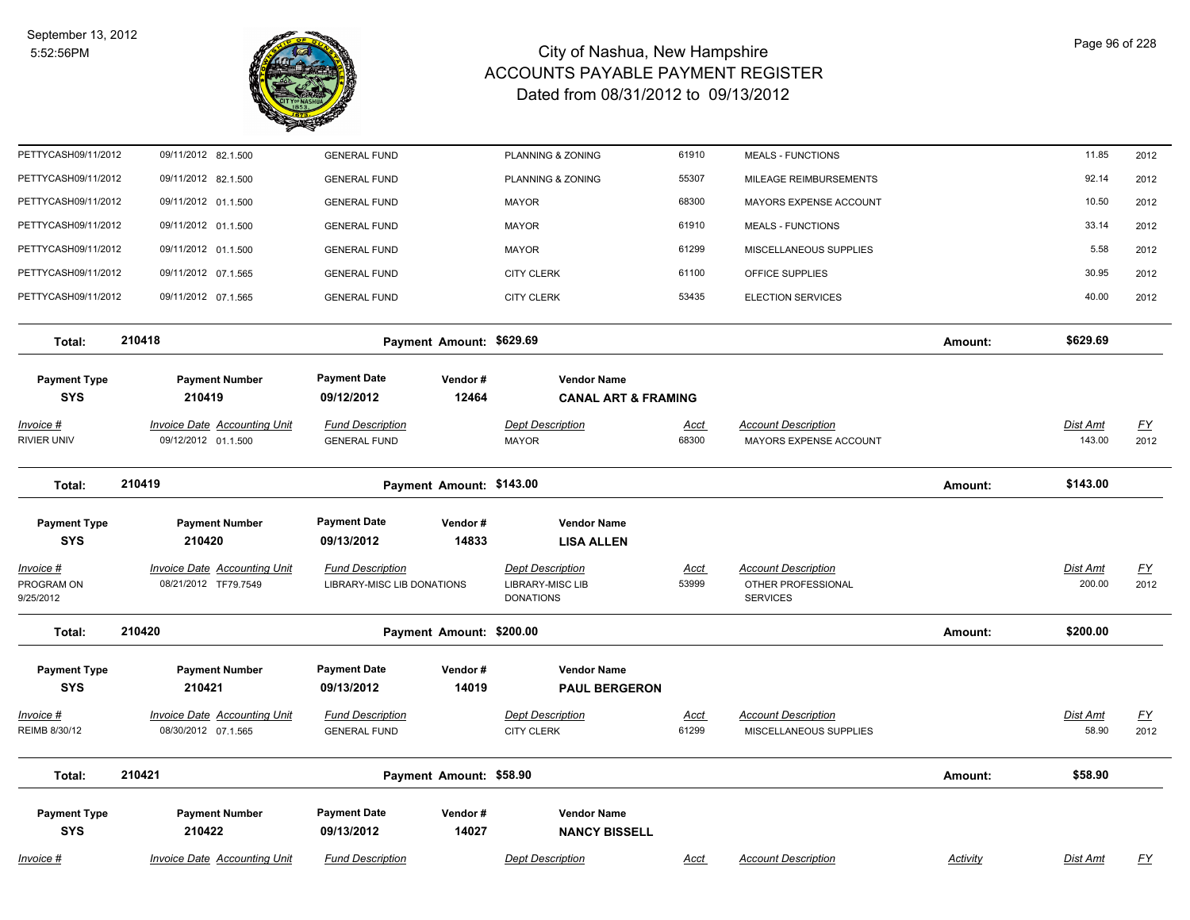

| PETTYCASH09/11/2012                          | 09/11/2012 82.1.500                                         | <b>GENERAL FUND</b>                                   |                  | PLANNING & ZONING                                               | 61910                | <b>MEALS - FUNCTIONS</b>                                            |                 | 11.85                     | 2012              |
|----------------------------------------------|-------------------------------------------------------------|-------------------------------------------------------|------------------|-----------------------------------------------------------------|----------------------|---------------------------------------------------------------------|-----------------|---------------------------|-------------------|
| PETTYCASH09/11/2012                          | 09/11/2012 82.1.500                                         | <b>GENERAL FUND</b>                                   |                  | PLANNING & ZONING                                               | 55307                | MILEAGE REIMBURSEMENTS                                              |                 | 92.14                     | 2012              |
| PETTYCASH09/11/2012                          | 09/11/2012 01.1.500                                         | <b>GENERAL FUND</b>                                   |                  | <b>MAYOR</b>                                                    | 68300                | MAYORS EXPENSE ACCOUNT                                              |                 | 10.50                     | 2012              |
| PETTYCASH09/11/2012                          | 09/11/2012 01.1.500                                         | <b>GENERAL FUND</b>                                   |                  | <b>MAYOR</b>                                                    | 61910                | <b>MEALS - FUNCTIONS</b>                                            |                 | 33.14                     | 2012              |
| PETTYCASH09/11/2012                          | 09/11/2012 01.1.500                                         | <b>GENERAL FUND</b>                                   |                  | <b>MAYOR</b>                                                    | 61299                | MISCELLANEOUS SUPPLIES                                              |                 | 5.58                      | 2012              |
| PETTYCASH09/11/2012                          | 09/11/2012 07.1.565                                         | <b>GENERAL FUND</b>                                   |                  | <b>CITY CLERK</b>                                               | 61100                | OFFICE SUPPLIES                                                     |                 | 30.95                     | 2012              |
| PETTYCASH09/11/2012                          | 09/11/2012 07.1.565                                         | <b>GENERAL FUND</b>                                   |                  | <b>CITY CLERK</b>                                               | 53435                | <b>ELECTION SERVICES</b>                                            |                 | 40.00                     | 2012              |
| Total:                                       | 210418                                                      | Payment Amount: \$629.69                              |                  |                                                                 |                      |                                                                     | Amount:         | \$629.69                  |                   |
| <b>Payment Type</b>                          | <b>Payment Number</b>                                       | <b>Payment Date</b>                                   | Vendor#          | <b>Vendor Name</b>                                              |                      |                                                                     |                 |                           |                   |
| <b>SYS</b>                                   | 210419                                                      | 09/12/2012                                            | 12464            | <b>CANAL ART &amp; FRAMING</b>                                  |                      |                                                                     |                 |                           |                   |
| Invoice #                                    | <b>Invoice Date Accounting Unit</b>                         | <b>Fund Description</b>                               |                  | <b>Dept Description</b>                                         | Acct                 | <b>Account Description</b>                                          |                 | <b>Dist Amt</b>           | $\underline{FY}$  |
| RIVIER UNIV                                  | 09/12/2012 01.1.500                                         | <b>GENERAL FUND</b>                                   |                  | <b>MAYOR</b>                                                    | 68300                | MAYORS EXPENSE ACCOUNT                                              |                 | 143.00                    | 2012              |
| Total:                                       | 210419                                                      | Payment Amount: \$143.00                              |                  |                                                                 |                      |                                                                     | Amount:         | \$143.00                  |                   |
| <b>Payment Type</b>                          | <b>Payment Number</b>                                       | <b>Payment Date</b>                                   | Vendor#          | <b>Vendor Name</b>                                              |                      |                                                                     |                 |                           |                   |
| <b>SYS</b>                                   | 210420                                                      | 09/13/2012                                            | 14833            | <b>LISA ALLEN</b>                                               |                      |                                                                     |                 |                           |                   |
| <u> Invoice #</u><br>PROGRAM ON<br>9/25/2012 | <b>Invoice Date Accounting Unit</b><br>08/21/2012 TF79.7549 | <b>Fund Description</b><br>LIBRARY-MISC LIB DONATIONS |                  | <b>Dept Description</b><br>LIBRARY-MISC LIB<br><b>DONATIONS</b> | <u>Acct</u><br>53999 | <b>Account Description</b><br>OTHER PROFESSIONAL<br><b>SERVICES</b> |                 | <b>Dist Amt</b><br>200.00 | <u>FY</u><br>2012 |
| Total:                                       | 210420                                                      | Payment Amount: \$200.00                              |                  |                                                                 |                      |                                                                     | Amount:         | \$200.00                  |                   |
| <b>Payment Type</b><br><b>SYS</b>            | <b>Payment Number</b><br>210421                             | <b>Payment Date</b><br>09/13/2012                     | Vendor#<br>14019 | <b>Vendor Name</b><br><b>PAUL BERGERON</b>                      |                      |                                                                     |                 |                           |                   |
| Invoice #                                    | <b>Invoice Date Accounting Unit</b>                         | <b>Fund Description</b>                               |                  | <b>Dept Description</b>                                         | <u>Acct</u>          | <b>Account Description</b>                                          |                 | Dist Amt                  | <u>FY</u>         |
| REIMB 8/30/12                                | 08/30/2012 07.1.565                                         | <b>GENERAL FUND</b>                                   |                  | <b>CITY CLERK</b>                                               | 61299                | MISCELLANEOUS SUPPLIES                                              |                 | 58.90                     | 2012              |
| Total:                                       | 210421                                                      | Payment Amount: \$58.90                               |                  |                                                                 |                      |                                                                     | Amount:         | \$58.90                   |                   |
| <b>Payment Type</b><br><b>SYS</b>            | <b>Payment Number</b><br>210422                             | <b>Payment Date</b><br>09/13/2012                     | Vendor#<br>14027 | <b>Vendor Name</b><br><b>NANCY BISSELL</b>                      |                      |                                                                     |                 |                           |                   |
| Invoice #                                    | <b>Invoice Date Accounting Unit</b>                         | <b>Fund Description</b>                               |                  | <b>Dept Description</b>                                         | <u>Acct</u>          | <b>Account Description</b>                                          | <b>Activity</b> | Dist Amt                  | <u>FY</u>         |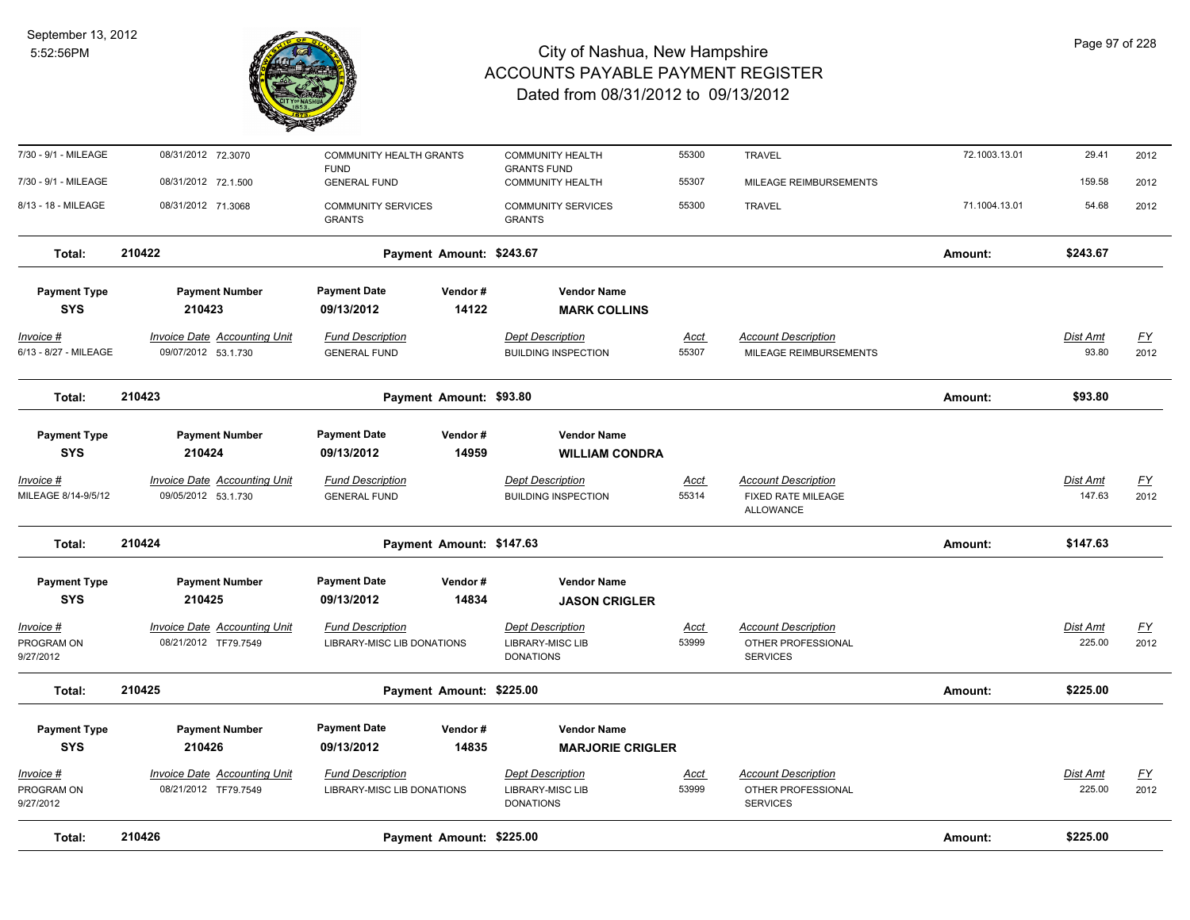

| 7/30 - 9/1 - MILEAGE                    | 08/31/2012 72.3070                                         | <b>COMMUNITY HEALTH GRANTS</b><br><b>FUND</b>  |         | <b>COMMUNITY HEALTH</b><br><b>GRANTS FUND</b>         | 55300                | <b>TRAVEL</b>                                                 | 72.1003.13.01 | 29.41                     | 2012              |
|-----------------------------------------|------------------------------------------------------------|------------------------------------------------|---------|-------------------------------------------------------|----------------------|---------------------------------------------------------------|---------------|---------------------------|-------------------|
| 7/30 - 9/1 - MILEAGE                    | 08/31/2012 72.1.500                                        | <b>GENERAL FUND</b>                            |         | <b>COMMUNITY HEALTH</b>                               | 55307                | MILEAGE REIMBURSEMENTS                                        |               | 159.58                    | 2012              |
| 8/13 - 18 - MILEAGE                     | 08/31/2012 71.3068                                         | <b>COMMUNITY SERVICES</b><br><b>GRANTS</b>     |         | <b>COMMUNITY SERVICES</b><br><b>GRANTS</b>            | 55300                | <b>TRAVEL</b>                                                 | 71.1004.13.01 | 54.68                     | 2012              |
| Total:                                  | 210422                                                     | Payment Amount: \$243.67                       |         |                                                       |                      |                                                               | Amount:       | \$243.67                  |                   |
| <b>Payment Type</b>                     | <b>Payment Number</b>                                      | <b>Payment Date</b>                            | Vendor# | <b>Vendor Name</b>                                    |                      |                                                               |               |                           |                   |
| <b>SYS</b>                              | 210423                                                     | 09/13/2012                                     | 14122   | <b>MARK COLLINS</b>                                   |                      |                                                               |               |                           |                   |
| Invoice #<br>6/13 - 8/27 - MILEAGE      | Invoice Date Accounting Unit<br>09/07/2012 53.1.730        | <b>Fund Description</b><br><b>GENERAL FUND</b> |         | <b>Dept Description</b><br><b>BUILDING INSPECTION</b> | Acct<br>55307        | <b>Account Description</b><br>MILEAGE REIMBURSEMENTS          |               | Dist Amt<br>93.80         | <u>FY</u><br>2012 |
| Total:                                  | 210423                                                     | Payment Amount: \$93.80                        |         |                                                       |                      |                                                               | Amount:       | \$93.80                   |                   |
| <b>Payment Type</b>                     | <b>Payment Number</b>                                      | <b>Payment Date</b>                            | Vendor# | <b>Vendor Name</b>                                    |                      |                                                               |               |                           |                   |
| <b>SYS</b>                              | 210424                                                     | 09/13/2012                                     | 14959   | <b>WILLIAM CONDRA</b>                                 |                      |                                                               |               |                           |                   |
| <u>Invoice #</u><br>MILEAGE 8/14-9/5/12 | <b>Invoice Date Accounting Unit</b><br>09/05/2012 53.1.730 | <b>Fund Description</b><br><b>GENERAL FUND</b> |         | <b>Dept Description</b><br><b>BUILDING INSPECTION</b> | <u>Acct</u><br>55314 | <b>Account Description</b><br>FIXED RATE MILEAGE<br>ALLOWANCE |               | <b>Dist Amt</b><br>147.63 | <u>FY</u><br>2012 |
| Total:                                  | 210424                                                     | Payment Amount: \$147.63                       |         |                                                       |                      |                                                               | Amount:       | \$147.63                  |                   |
| <b>Payment Type</b>                     | <b>Payment Number</b>                                      | <b>Payment Date</b>                            | Vendor# | <b>Vendor Name</b>                                    |                      |                                                               |               |                           |                   |
| <b>SYS</b>                              | 210425                                                     | 09/13/2012                                     | 14834   | <b>JASON CRIGLER</b>                                  |                      |                                                               |               |                           |                   |
| Invoice #                               | <b>Invoice Date Accounting Unit</b>                        | <b>Fund Description</b>                        |         | <b>Dept Description</b>                               | <u>Acct</u>          | <b>Account Description</b>                                    |               | Dist Amt                  | <u>FY</u>         |
| PROGRAM ON<br>9/27/2012                 | 08/21/2012 TF79.7549                                       | LIBRARY-MISC LIB DONATIONS                     |         | <b>LIBRARY-MISC LIB</b><br><b>DONATIONS</b>           | 53999                | OTHER PROFESSIONAL<br><b>SERVICES</b>                         |               | 225.00                    | 2012              |
| Total:                                  | 210425                                                     | Payment Amount: \$225.00                       |         |                                                       |                      |                                                               | Amount:       | \$225.00                  |                   |
| <b>Payment Type</b>                     | <b>Payment Number</b>                                      | <b>Payment Date</b>                            | Vendor# | <b>Vendor Name</b>                                    |                      |                                                               |               |                           |                   |
| <b>SYS</b>                              | 210426                                                     | 09/13/2012                                     | 14835   | <b>MARJORIE CRIGLER</b>                               |                      |                                                               |               |                           |                   |
| Invoice #                               | <b>Invoice Date Accounting Unit</b>                        | <b>Fund Description</b>                        |         | <b>Dept Description</b>                               | Acct                 | <b>Account Description</b>                                    |               | <b>Dist Amt</b>           | <u>FY</u>         |
| PROGRAM ON<br>9/27/2012                 | 08/21/2012 TF79.7549                                       | LIBRARY-MISC LIB DONATIONS                     |         | <b>LIBRARY-MISC LIB</b><br><b>DONATIONS</b>           | 53999                | OTHER PROFESSIONAL<br><b>SERVICES</b>                         |               | 225.00                    | 2012              |
| Total:                                  | 210426                                                     | Payment Amount: \$225.00                       |         |                                                       |                      |                                                               | Amount:       | \$225.00                  |                   |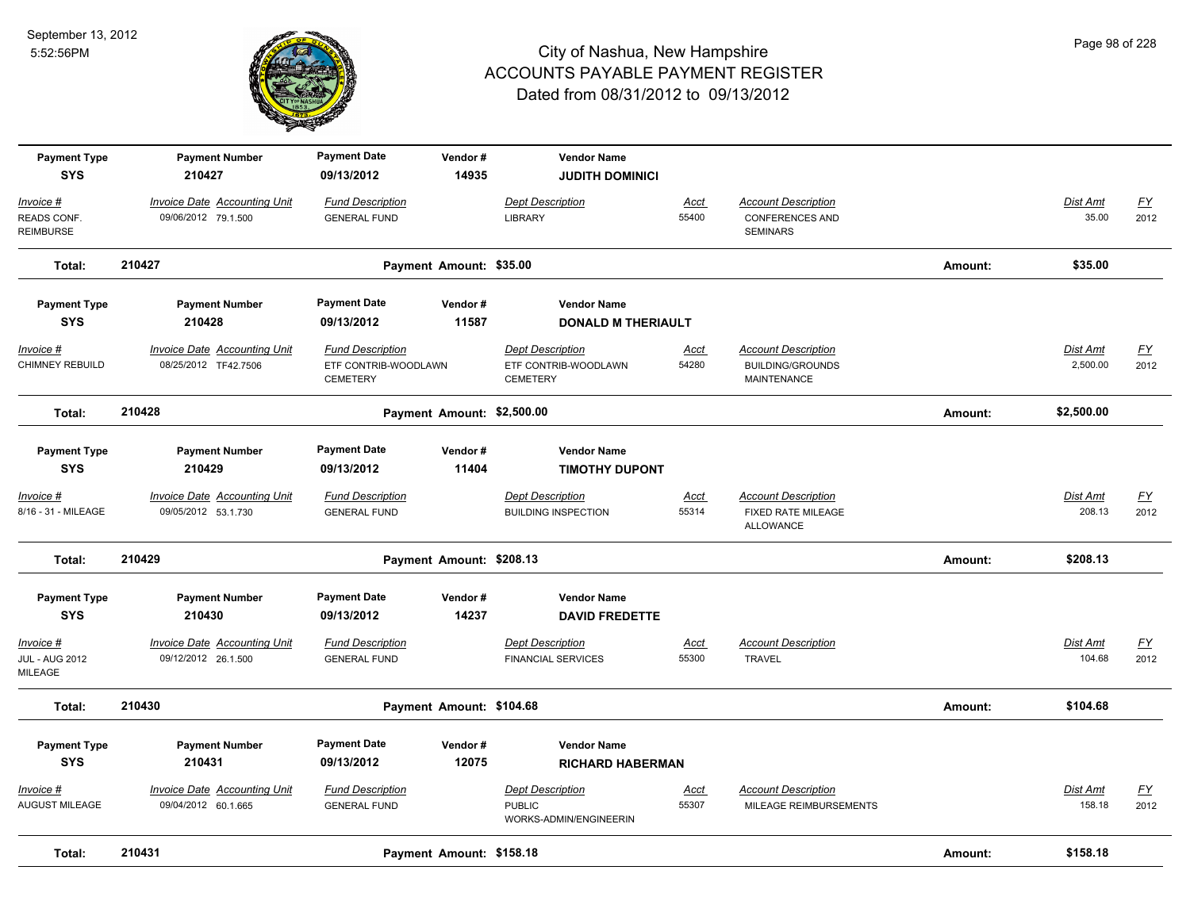

| <b>Payment Type</b><br><b>SYS</b>             | <b>Payment Number</b><br>210427                            | <b>Payment Date</b><br>09/13/2012                                  | Vendor#<br>14935           | <b>Vendor Name</b><br><b>JUDITH DOMINICI</b>                       |                      |                                                                             |         |                           |                                   |
|-----------------------------------------------|------------------------------------------------------------|--------------------------------------------------------------------|----------------------------|--------------------------------------------------------------------|----------------------|-----------------------------------------------------------------------------|---------|---------------------------|-----------------------------------|
| Invoice #<br>READS CONF.<br><b>REIMBURSE</b>  | <b>Invoice Date Accounting Unit</b><br>09/06/2012 79.1.500 | <b>Fund Description</b><br><b>GENERAL FUND</b>                     |                            | <b>Dept Description</b><br><b>LIBRARY</b>                          | Acct<br>55400        | <b>Account Description</b><br><b>CONFERENCES AND</b><br><b>SEMINARS</b>     |         | Dist Amt<br>35.00         | $\underline{FY}$<br>2012          |
| Total:                                        | 210427                                                     |                                                                    | Payment Amount: \$35.00    |                                                                    |                      |                                                                             | Amount: | \$35.00                   |                                   |
| <b>Payment Type</b>                           | <b>Payment Number</b>                                      | <b>Payment Date</b>                                                | Vendor#                    | <b>Vendor Name</b>                                                 |                      |                                                                             |         |                           |                                   |
| <b>SYS</b>                                    | 210428                                                     | 09/13/2012                                                         | 11587                      | <b>DONALD M THERIAULT</b>                                          |                      |                                                                             |         |                           |                                   |
| Invoice #<br>CHIMNEY REBUILD                  | Invoice Date Accounting Unit<br>08/25/2012 TF42.7506       | <b>Fund Description</b><br>ETF CONTRIB-WOODLAWN<br><b>CEMETERY</b> |                            | <b>Dept Description</b><br>ETF CONTRIB-WOODLAWN<br><b>CEMETERY</b> | Acct<br>54280        | <b>Account Description</b><br><b>BUILDING/GROUNDS</b><br><b>MAINTENANCE</b> |         | Dist Amt<br>2,500.00      | <u>FY</u><br>2012                 |
| Total:                                        | 210428                                                     |                                                                    | Payment Amount: \$2,500.00 |                                                                    |                      |                                                                             | Amount: | \$2,500.00                |                                   |
| <b>Payment Type</b><br><b>SYS</b>             | <b>Payment Number</b><br>210429                            | <b>Payment Date</b><br>09/13/2012                                  | Vendor#<br>11404           | <b>Vendor Name</b><br><b>TIMOTHY DUPONT</b>                        |                      |                                                                             |         |                           |                                   |
| Invoice #<br>8/16 - 31 - MILEAGE              | <b>Invoice Date Accounting Unit</b><br>09/05/2012 53.1.730 | <b>Fund Description</b><br><b>GENERAL FUND</b>                     |                            | <b>Dept Description</b><br><b>BUILDING INSPECTION</b>              | <b>Acct</b><br>55314 | <b>Account Description</b><br><b>FIXED RATE MILEAGE</b><br>ALLOWANCE        |         | <b>Dist Amt</b><br>208.13 | $\underline{\mathsf{FY}}$<br>2012 |
| Total:                                        | 210429                                                     |                                                                    | Payment Amount: \$208.13   |                                                                    |                      |                                                                             | Amount: | \$208.13                  |                                   |
| <b>Payment Type</b><br><b>SYS</b>             | <b>Payment Number</b><br>210430                            | <b>Payment Date</b><br>09/13/2012                                  | Vendor#<br>14237           | <b>Vendor Name</b><br><b>DAVID FREDETTE</b>                        |                      |                                                                             |         |                           |                                   |
| Invoice #<br><b>JUL - AUG 2012</b><br>MILEAGE | Invoice Date Accounting Unit<br>09/12/2012 26.1.500        | <b>Fund Description</b><br><b>GENERAL FUND</b>                     |                            | <b>Dept Description</b><br><b>FINANCIAL SERVICES</b>               | Acct<br>55300        | <b>Account Description</b><br><b>TRAVEL</b>                                 |         | Dist Amt<br>104.68        | $\underline{FY}$<br>2012          |
| Total:                                        | 210430                                                     |                                                                    | Payment Amount: \$104.68   |                                                                    |                      |                                                                             | Amount: | \$104.68                  |                                   |
| <b>Payment Type</b><br><b>SYS</b>             | <b>Payment Number</b><br>210431                            | <b>Payment Date</b><br>09/13/2012                                  | Vendor#<br>12075           | <b>Vendor Name</b><br><b>RICHARD HABERMAN</b>                      |                      |                                                                             |         |                           |                                   |
| Invoice #<br>AUGUST MILEAGE                   | <b>Invoice Date Accounting Unit</b><br>09/04/2012 60.1.665 | <b>Fund Description</b><br><b>GENERAL FUND</b>                     |                            | <b>Dept Description</b><br><b>PUBLIC</b><br>WORKS-ADMIN/ENGINEERIN | <u>Acct</u><br>55307 | <b>Account Description</b><br>MILEAGE REIMBURSEMENTS                        |         | <b>Dist Amt</b><br>158.18 | $\underline{\mathsf{FY}}$<br>2012 |
| Total:                                        | 210431                                                     |                                                                    | Payment Amount: \$158.18   |                                                                    |                      |                                                                             | Amount: | \$158.18                  |                                   |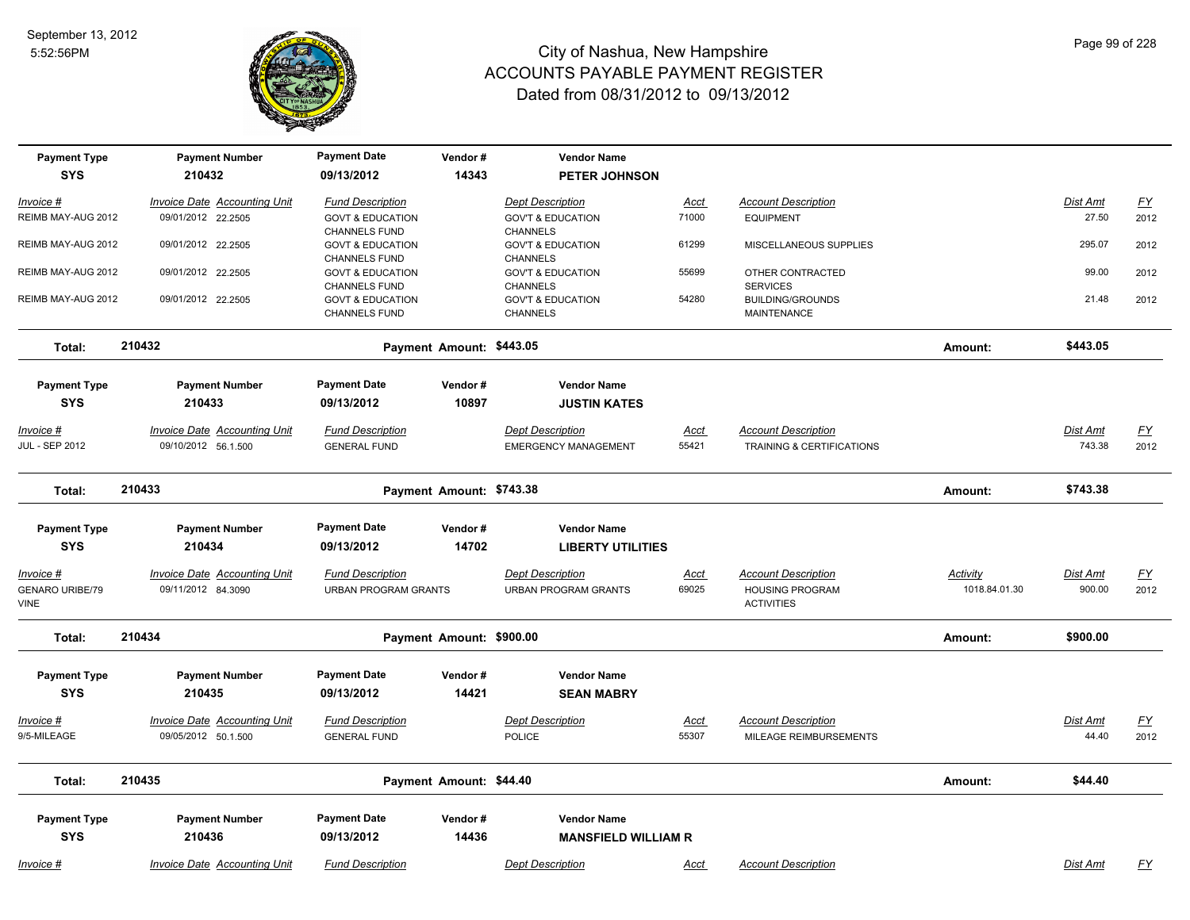

| <b>Payment Type</b>               | <b>Payment Number</b>                                      | <b>Payment Date</b>                                 | Vendor#                  | <b>Vendor Name</b>                               |                      |                                                      |                 |                   |                   |
|-----------------------------------|------------------------------------------------------------|-----------------------------------------------------|--------------------------|--------------------------------------------------|----------------------|------------------------------------------------------|-----------------|-------------------|-------------------|
| <b>SYS</b>                        | 210432                                                     | 09/13/2012                                          | 14343                    | PETER JOHNSON                                    |                      |                                                      |                 |                   |                   |
| Invoice #                         | Invoice Date Accounting Unit                               | <b>Fund Description</b>                             |                          | <b>Dept Description</b>                          | Acct                 | <b>Account Description</b>                           |                 | Dist Amt          | <u>FY</u>         |
| REIMB MAY-AUG 2012                | 09/01/2012 22.2505                                         | <b>GOVT &amp; EDUCATION</b>                         |                          | <b>GOV'T &amp; EDUCATION</b>                     | 71000                | <b>EQUIPMENT</b>                                     |                 | 27.50             | 2012              |
| REIMB MAY-AUG 2012                | 09/01/2012 22.2505                                         | <b>CHANNELS FUND</b><br><b>GOVT &amp; EDUCATION</b> |                          | <b>CHANNELS</b><br><b>GOV'T &amp; EDUCATION</b>  | 61299                | MISCELLANEOUS SUPPLIES                               |                 | 295.07            | 2012              |
|                                   |                                                            | <b>CHANNELS FUND</b>                                |                          | <b>CHANNELS</b>                                  |                      |                                                      |                 |                   |                   |
| REIMB MAY-AUG 2012                | 09/01/2012 22.2505                                         | <b>GOVT &amp; EDUCATION</b><br><b>CHANNELS FUND</b> |                          | <b>GOV'T &amp; EDUCATION</b><br><b>CHANNELS</b>  | 55699                | OTHER CONTRACTED<br><b>SERVICES</b>                  |                 | 99.00             | 2012              |
| REIMB MAY-AUG 2012                | 09/01/2012 22.2505                                         | <b>GOVT &amp; EDUCATION</b>                         |                          | <b>GOV'T &amp; EDUCATION</b>                     | 54280                | <b>BUILDING/GROUNDS</b>                              |                 | 21.48             | 2012              |
|                                   |                                                            | <b>CHANNELS FUND</b>                                |                          | <b>CHANNELS</b>                                  |                      | MAINTENANCE                                          |                 |                   |                   |
| Total:                            | 210432                                                     |                                                     | Payment Amount: \$443.05 |                                                  |                      |                                                      | Amount:         | \$443.05          |                   |
| <b>Payment Type</b>               | <b>Payment Number</b>                                      | <b>Payment Date</b>                                 | Vendor#                  | <b>Vendor Name</b>                               |                      |                                                      |                 |                   |                   |
| <b>SYS</b>                        | 210433                                                     | 09/13/2012                                          | 10897                    | <b>JUSTIN KATES</b>                              |                      |                                                      |                 |                   |                   |
| Invoice #                         | <b>Invoice Date Accounting Unit</b>                        | <b>Fund Description</b>                             |                          | Dept Description                                 | <u>Acct</u>          | <b>Account Description</b>                           |                 | Dist Amt          | <u>FY</u>         |
| <b>JUL - SEP 2012</b>             | 09/10/2012 56.1.500                                        | <b>GENERAL FUND</b>                                 |                          | <b>EMERGENCY MANAGEMENT</b>                      | 55421                | TRAINING & CERTIFICATIONS                            |                 | 743.38            | 2012              |
|                                   |                                                            |                                                     |                          |                                                  |                      |                                                      |                 |                   |                   |
| Total:                            | 210433                                                     | Payment Amount: \$743.38                            |                          |                                                  |                      | Amount:                                              | \$743.38        |                   |                   |
| <b>Payment Type</b>               | <b>Payment Number</b>                                      | <b>Payment Date</b>                                 | Vendor#                  | <b>Vendor Name</b>                               |                      |                                                      |                 |                   |                   |
| <b>SYS</b>                        | 210434                                                     | 09/13/2012                                          | 14702                    | <b>LIBERTY UTILITIES</b>                         |                      |                                                      |                 |                   |                   |
| <u>Invoice #</u>                  | <b>Invoice Date Accounting Unit</b>                        | <b>Fund Description</b>                             |                          | <b>Dept Description</b>                          | <u>Acct</u>          | <b>Account Description</b>                           | <b>Activity</b> | Dist Amt          | <u>FY</u>         |
| <b>GENARO URIBE/79</b>            | 09/11/2012 84.3090                                         | <b>URBAN PROGRAM GRANTS</b>                         |                          | <b>URBAN PROGRAM GRANTS</b>                      | 69025                | <b>HOUSING PROGRAM</b>                               | 1018.84.01.30   | 900.00            | 2012              |
| <b>VINE</b>                       |                                                            |                                                     |                          |                                                  |                      | <b>ACTIVITIES</b>                                    |                 |                   |                   |
| Total:                            | 210434                                                     |                                                     | Payment Amount: \$900.00 |                                                  |                      |                                                      | Amount:         | \$900.00          |                   |
| <b>Payment Type</b>               | <b>Payment Number</b>                                      | <b>Payment Date</b>                                 | Vendor#                  | <b>Vendor Name</b>                               |                      |                                                      |                 |                   |                   |
| <b>SYS</b>                        | 210435                                                     | 09/13/2012                                          | 14421                    | <b>SEAN MABRY</b>                                |                      |                                                      |                 |                   |                   |
|                                   |                                                            |                                                     |                          |                                                  |                      |                                                      |                 |                   |                   |
| Invoice #<br>9/5-MILEAGE          | <b>Invoice Date Accounting Unit</b><br>09/05/2012 50.1.500 | <b>Fund Description</b><br><b>GENERAL FUND</b>      |                          | <b>Dept Description</b><br><b>POLICE</b>         | <u>Acct</u><br>55307 | <b>Account Description</b><br>MILEAGE REIMBURSEMENTS |                 | Dist Amt<br>44.40 | <u>FY</u><br>2012 |
|                                   |                                                            |                                                     |                          |                                                  |                      |                                                      |                 |                   |                   |
| Total:                            | 210435                                                     |                                                     | Payment Amount: \$44.40  |                                                  |                      |                                                      | Amount:         | \$44.40           |                   |
|                                   |                                                            | <b>Payment Date</b>                                 |                          |                                                  |                      |                                                      |                 |                   |                   |
| <b>Payment Type</b><br><b>SYS</b> | <b>Payment Number</b><br>210436                            | 09/13/2012                                          | Vendor#<br>14436         | <b>Vendor Name</b><br><b>MANSFIELD WILLIAM R</b> |                      |                                                      |                 |                   |                   |
|                                   |                                                            |                                                     |                          |                                                  |                      |                                                      |                 |                   |                   |
| Invoice #                         | <b>Invoice Date Accounting Unit</b>                        | <b>Fund Description</b>                             |                          | <b>Dept Description</b>                          | Acct                 | <b>Account Description</b>                           |                 | Dist Amt          | <u>FY</u>         |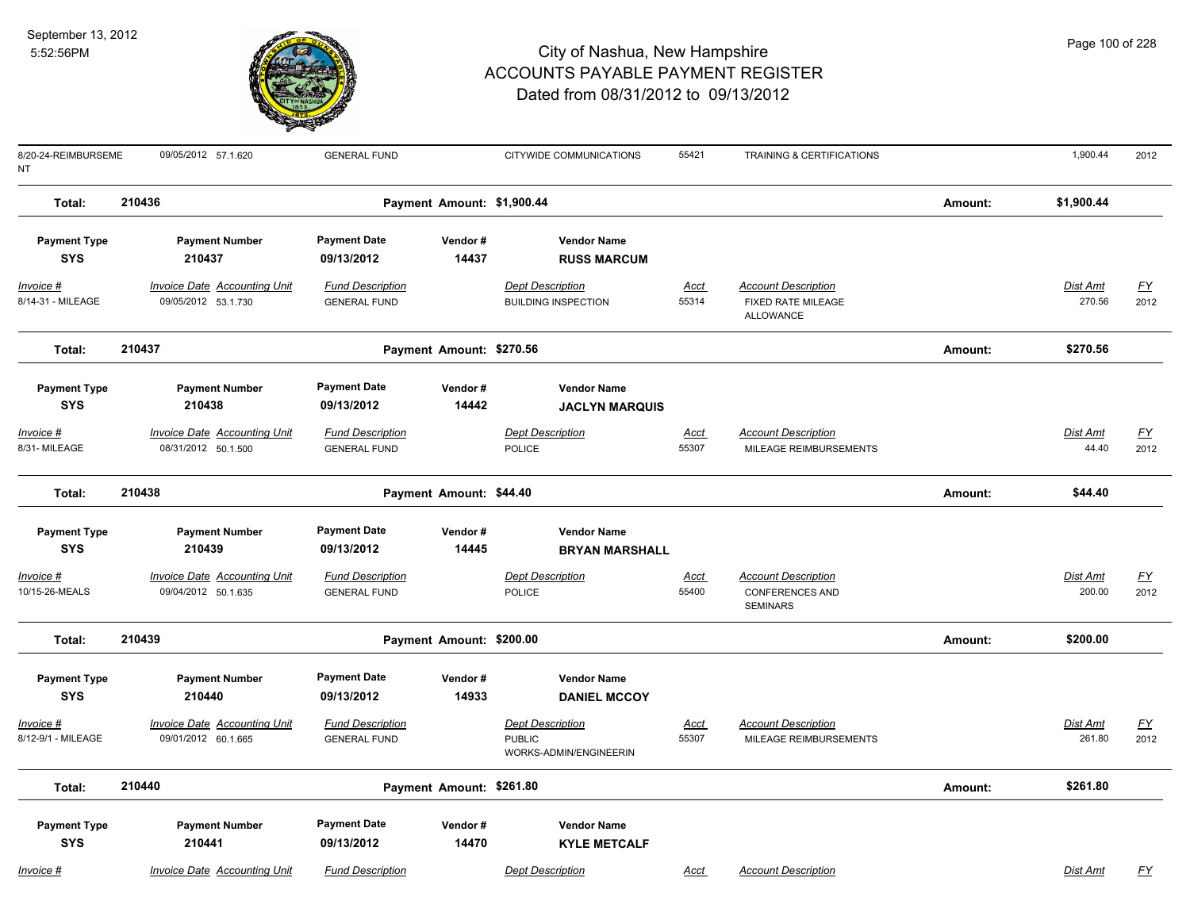

| 8/20-24-REIMBURSEME<br>NΤ                                        | 09/05/2012 57.1.620                                                                           | <b>GENERAL FUND</b>                                                                 |                            | CITYWIDE COMMUNICATIONS                                                                 | 55421         | TRAINING & CERTIFICATIONS                                               |         | 1,900.44                 | 2012              |
|------------------------------------------------------------------|-----------------------------------------------------------------------------------------------|-------------------------------------------------------------------------------------|----------------------------|-----------------------------------------------------------------------------------------|---------------|-------------------------------------------------------------------------|---------|--------------------------|-------------------|
| Total:                                                           | 210436                                                                                        |                                                                                     | Payment Amount: \$1,900.44 |                                                                                         |               |                                                                         | Amount: | \$1,900.44               |                   |
| <b>Payment Type</b><br><b>SYS</b>                                | <b>Payment Number</b><br>210437                                                               | <b>Payment Date</b><br>09/13/2012                                                   | Vendor#<br>14437           | <b>Vendor Name</b><br><b>RUSS MARCUM</b>                                                |               |                                                                         |         |                          |                   |
| Invoice #<br>8/14-31 - MILEAGE                                   | Invoice Date Accounting Unit<br>09/05/2012 53.1.730                                           | <b>Fund Description</b><br><b>GENERAL FUND</b>                                      |                            | <b>Dept Description</b><br><b>BUILDING INSPECTION</b>                                   | Acct<br>55314 | <b>Account Description</b><br><b>FIXED RATE MILEAGE</b><br>ALLOWANCE    |         | Dist Amt<br>270.56       | <u>FY</u><br>2012 |
| Total:                                                           | 210437                                                                                        |                                                                                     | Payment Amount: \$270.56   |                                                                                         |               |                                                                         | Amount: | \$270.56                 |                   |
| <b>Payment Type</b><br><b>SYS</b><br>Invoice #<br>8/31- MILEAGE  | <b>Payment Number</b><br>210438<br><b>Invoice Date Accounting Unit</b><br>08/31/2012 50.1.500 | <b>Payment Date</b><br>09/13/2012<br><b>Fund Description</b><br><b>GENERAL FUND</b> | Vendor#<br>14442           | <b>Vendor Name</b><br><b>JACLYN MARQUIS</b><br><b>Dept Description</b><br><b>POLICE</b> | Acct<br>55307 | <b>Account Description</b><br>MILEAGE REIMBURSEMENTS                    |         | <b>Dist Amt</b><br>44.40 | <u>FY</u><br>2012 |
| Total:                                                           | 210438                                                                                        |                                                                                     | Payment Amount: \$44.40    |                                                                                         |               |                                                                         | Amount: | \$44.40                  |                   |
| <b>Payment Type</b><br><b>SYS</b><br>Invoice #<br>10/15-26-MEALS | <b>Payment Number</b><br>210439<br><b>Invoice Date Accounting Unit</b><br>09/04/2012 50.1.635 | <b>Payment Date</b><br>09/13/2012<br><b>Fund Description</b><br><b>GENERAL FUND</b> | Vendor#<br>14445           | <b>Vendor Name</b><br><b>BRYAN MARSHALL</b><br><b>Dept Description</b><br><b>POLICE</b> | Acct<br>55400 | <b>Account Description</b><br><b>CONFERENCES AND</b><br><b>SEMINARS</b> |         | Dist Amt<br>200.00       | <u>FY</u><br>2012 |
| Total:                                                           | 210439                                                                                        |                                                                                     | Payment Amount: \$200.00   |                                                                                         |               |                                                                         | Amount: | \$200.00                 |                   |
| <b>Payment Type</b><br><b>SYS</b><br>Invoice #                   | <b>Payment Number</b><br>210440<br><b>Invoice Date Accounting Unit</b>                        | <b>Payment Date</b><br>09/13/2012<br><b>Fund Description</b>                        | Vendor#<br>14933           | <b>Vendor Name</b><br><b>DANIEL MCCOY</b><br><b>Dept Description</b>                    | Acct          | <b>Account Description</b>                                              |         | <b>Dist Amt</b>          | <u>FY</u>         |
| 8/12-9/1 - MILEAGE                                               | 09/01/2012 60.1.665                                                                           | <b>GENERAL FUND</b>                                                                 |                            | <b>PUBLIC</b><br>WORKS-ADMIN/ENGINEERIN                                                 | 55307         | MILEAGE REIMBURSEMENTS                                                  |         | 261.80                   | 2012              |
| Total:                                                           | 210440                                                                                        |                                                                                     | Payment Amount: \$261.80   |                                                                                         |               |                                                                         | Amount: | \$261.80                 |                   |
| <b>Payment Type</b><br><b>SYS</b>                                | <b>Payment Number</b><br>210441                                                               | <b>Payment Date</b><br>09/13/2012                                                   | Vendor#<br>14470           | <b>Vendor Name</b><br><b>KYLE METCALF</b>                                               |               |                                                                         |         |                          |                   |
| <u> Invoice #</u>                                                | <b>Invoice Date Accounting Unit</b>                                                           | <b>Fund Description</b>                                                             |                            | <b>Dept Description</b>                                                                 | <u>Acct</u>   | <b>Account Description</b>                                              |         | <b>Dist Amt</b>          | $\underline{FY}$  |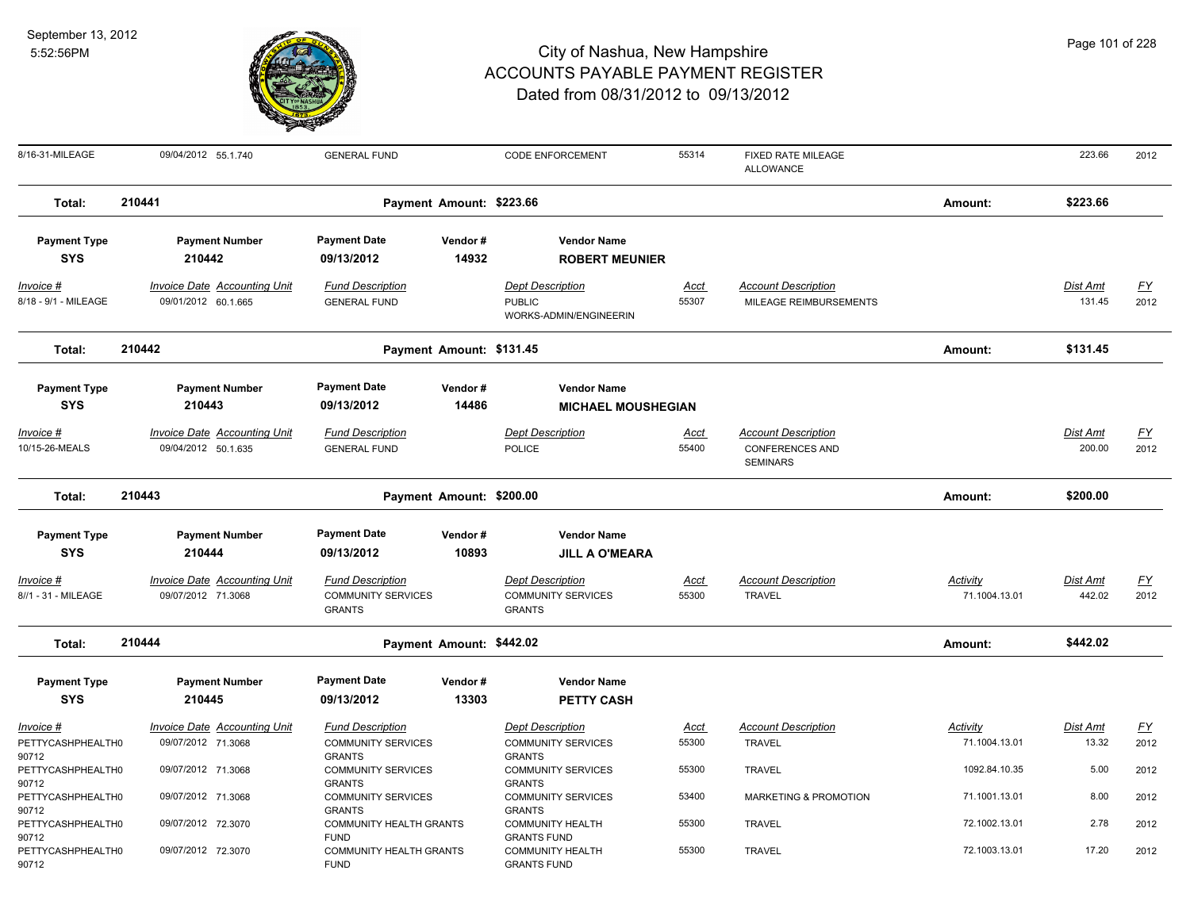

|  |  | Page 101 of 228 |
|--|--|-----------------|
|--|--|-----------------|

| 8/16-31-MILEAGE                                 | 09/04/2012 55.1.740                                                    | <b>GENERAL FUND</b>                                                   |                  | <b>CODE ENFORCEMENT</b>                                                    | 55314          | FIXED RATE MILEAGE<br><b>ALLOWANCE</b>               |                                | 223.66             | 2012                     |
|-------------------------------------------------|------------------------------------------------------------------------|-----------------------------------------------------------------------|------------------|----------------------------------------------------------------------------|----------------|------------------------------------------------------|--------------------------------|--------------------|--------------------------|
| Total:                                          | 210441                                                                 | Payment Amount: \$223.66                                              |                  |                                                                            |                |                                                      | Amount:                        | \$223.66           |                          |
| <b>Payment Type</b><br><b>SYS</b>               | <b>Payment Number</b><br>210442                                        | <b>Payment Date</b><br>09/13/2012                                     | Vendor#<br>14932 | <b>Vendor Name</b><br><b>ROBERT MEUNIER</b>                                |                |                                                      |                                |                    |                          |
| Invoice #<br>8/18 - 9/1 - MILEAGE               | <b>Invoice Date Accounting Unit</b><br>09/01/2012 60.1.665             | <b>Fund Description</b><br><b>GENERAL FUND</b>                        |                  | <b>Dept Description</b><br><b>PUBLIC</b><br>WORKS-ADMIN/ENGINEERIN         | Acct<br>55307  | <b>Account Description</b><br>MILEAGE REIMBURSEMENTS |                                | Dist Amt<br>131.45 | <u>FY</u><br>2012        |
| Total:                                          | 210442                                                                 | Payment Amount: \$131.45                                              |                  |                                                                            |                |                                                      | Amount:                        | \$131.45           |                          |
| <b>Payment Type</b><br><b>SYS</b><br>Invoice #  | <b>Payment Number</b><br>210443<br><b>Invoice Date Accounting Unit</b> | <b>Payment Date</b><br>09/13/2012<br><b>Fund Description</b>          | Vendor#<br>14486 | <b>Vendor Name</b><br><b>MICHAEL MOUSHEGIAN</b><br><b>Dept Description</b> | <u>Acct</u>    | <b>Account Description</b>                           |                                | Dist Amt           | <u>FY</u>                |
| 10/15-26-MEALS                                  | 09/04/2012 50.1.635                                                    | <b>GENERAL FUND</b>                                                   |                  | <b>POLICE</b>                                                              | 55400          | <b>CONFERENCES AND</b><br><b>SEMINARS</b>            |                                | 200.00             | 2012                     |
| Total:                                          | 210443                                                                 | Payment Amount: \$200.00                                              |                  |                                                                            |                |                                                      | Amount:                        | \$200.00           |                          |
| <b>Payment Type</b><br><b>SYS</b>               | <b>Payment Number</b><br>210444                                        | <b>Payment Date</b><br>09/13/2012                                     | Vendor#<br>10893 | <b>Vendor Name</b><br><b>JILL A O'MEARA</b>                                |                |                                                      |                                |                    |                          |
| Invoice #<br>8//1 - 31 - MILEAGE                | Invoice Date Accounting Unit<br>09/07/2012 71.3068                     | <b>Fund Description</b><br><b>COMMUNITY SERVICES</b><br><b>GRANTS</b> |                  | <b>Dept Description</b><br><b>COMMUNITY SERVICES</b><br><b>GRANTS</b>      | Acct<br>55300  | <b>Account Description</b><br><b>TRAVEL</b>          | Activity<br>71.1004.13.01      | Dist Amt<br>442.02 | $\underline{FY}$<br>2012 |
| Total:                                          | 210444                                                                 | Payment Amount: \$442.02                                              |                  |                                                                            |                |                                                      | Amount:                        | \$442.02           |                          |
| <b>Payment Type</b><br><b>SYS</b>               | <b>Payment Number</b><br>210445                                        | <b>Payment Date</b><br>09/13/2012                                     | Vendor#<br>13303 | <b>Vendor Name</b><br><b>PETTY CASH</b>                                    |                |                                                      |                                |                    |                          |
| Invoice #<br>PETTYCASHPHEALTH0<br>90712         | <b>Invoice Date Accounting Unit</b><br>09/07/2012 71.3068              | <b>Fund Description</b><br><b>COMMUNITY SERVICES</b><br><b>GRANTS</b> |                  | <b>Dept Description</b><br><b>COMMUNITY SERVICES</b><br><b>GRANTS</b>      | Acct<br>55300  | <b>Account Description</b><br><b>TRAVEL</b>          | Activity<br>71.1004.13.01      | Dist Amt<br>13.32  | <u>FY</u><br>2012        |
| PETTYCASHPHEALTH0<br>90712                      | 09/07/2012 71.3068                                                     | <b>COMMUNITY SERVICES</b><br><b>GRANTS</b>                            |                  | <b>COMMUNITY SERVICES</b><br><b>GRANTS</b>                                 | 55300          | <b>TRAVEL</b>                                        | 1092.84.10.35                  | 5.00               | 2012                     |
| PETTYCASHPHEALTH0<br>90712<br>PETTYCASHPHEALTH0 | 09/07/2012 71.3068<br>09/07/2012 72.3070                               | <b>COMMUNITY SERVICES</b><br><b>GRANTS</b><br>COMMUNITY HEALTH GRANTS |                  | <b>COMMUNITY SERVICES</b><br><b>GRANTS</b><br><b>COMMUNITY HEALTH</b>      | 53400<br>55300 | MARKETING & PROMOTION<br><b>TRAVEL</b>               | 71.1001.13.01<br>72.1002.13.01 | 8.00<br>2.78       | 2012<br>2012             |
| 90712<br>PETTYCASHPHEALTH0<br>90712             | 09/07/2012 72.3070                                                     | <b>FUND</b><br>COMMUNITY HEALTH GRANTS<br><b>FUND</b>                 |                  | <b>GRANTS FUND</b><br><b>COMMUNITY HEALTH</b><br><b>GRANTS FUND</b>        | 55300          | <b>TRAVEL</b>                                        | 72.1003.13.01                  | 17.20              | 2012                     |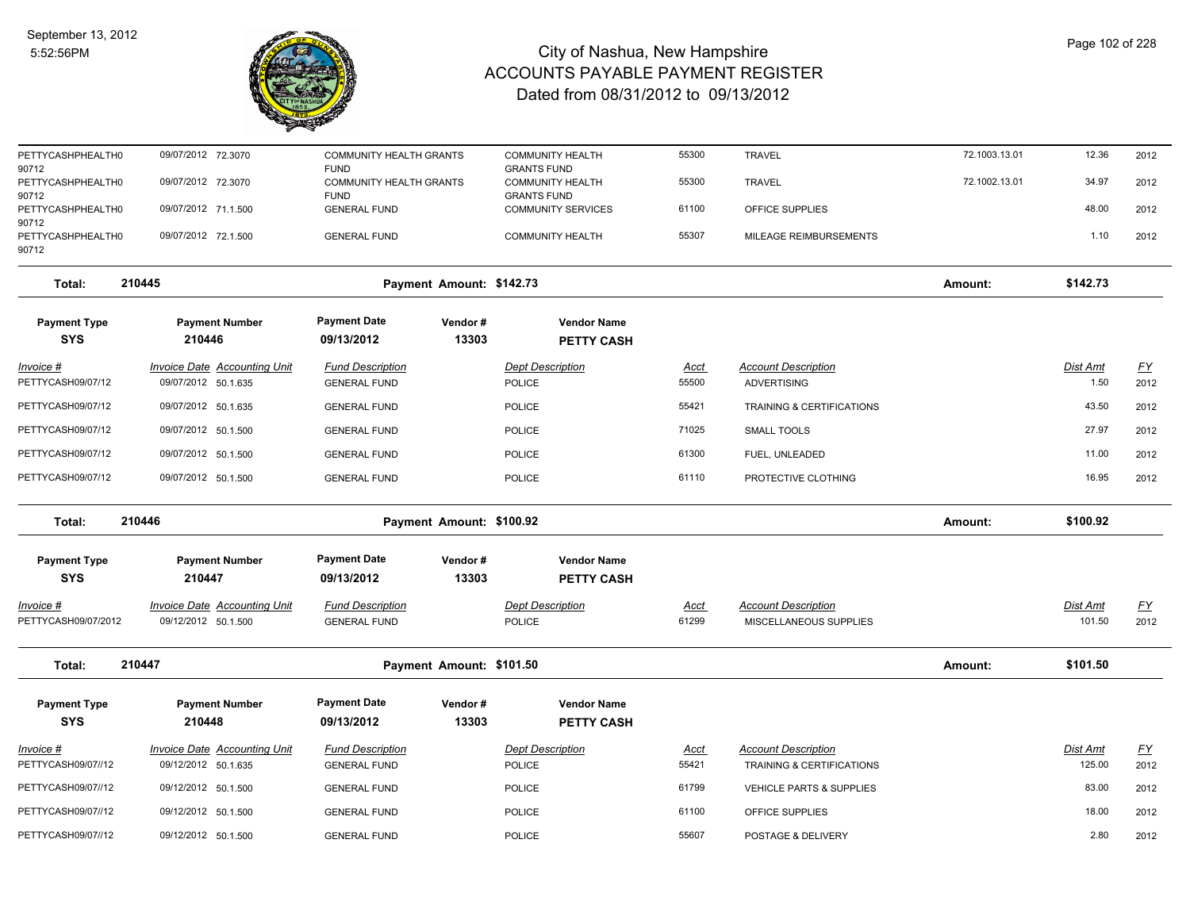

| PETTYCASHPHEALTH0<br>90712          | 09/07/2012 72.3070                  | <b>COMMUNITY HEALTH GRANTS</b><br><b>FUND</b> |                          | <b>COMMUNITY HEALTH</b><br><b>GRANTS FUND</b> | 55300       | <b>TRAVEL</b>              | 72.1003.13.01 | 12.36    | 2012      |
|-------------------------------------|-------------------------------------|-----------------------------------------------|--------------------------|-----------------------------------------------|-------------|----------------------------|---------------|----------|-----------|
| PETTYCASHPHEALTH0                   | 09/07/2012 72.3070                  | COMMUNITY HEALTH GRANTS<br><b>FUND</b>        |                          | <b>COMMUNITY HEALTH</b><br><b>GRANTS FUND</b> | 55300       | <b>TRAVEL</b>              | 72.1002.13.01 | 34.97    | 2012      |
| 90712<br>PETTYCASHPHEALTH0<br>90712 | 09/07/2012 71.1.500                 | <b>GENERAL FUND</b>                           |                          | <b>COMMUNITY SERVICES</b>                     | 61100       | OFFICE SUPPLIES            |               | 48.00    | 2012      |
| PETTYCASHPHEALTH0<br>90712          | 09/07/2012 72.1.500                 | <b>GENERAL FUND</b>                           |                          | <b>COMMUNITY HEALTH</b>                       | 55307       | MILEAGE REIMBURSEMENTS     |               | 1.10     | 2012      |
| Total:                              | 210445                              |                                               | Payment Amount: \$142.73 |                                               |             |                            | Amount:       | \$142.73 |           |
| <b>Payment Type</b><br><b>SYS</b>   | <b>Payment Number</b><br>210446     | <b>Payment Date</b><br>09/13/2012             | Vendor#<br>13303         | <b>Vendor Name</b><br><b>PETTY CASH</b>       |             |                            |               |          |           |
| Invoice #                           | <b>Invoice Date Accounting Unit</b> | <b>Fund Description</b>                       |                          | <b>Dept Description</b>                       | Acct        | <b>Account Description</b> |               | Dist Amt | <u>FY</u> |
| PETTYCASH09/07/12                   | 09/07/2012 50.1.635                 | <b>GENERAL FUND</b>                           |                          | POLICE                                        | 55500       | <b>ADVERTISING</b>         |               | 1.50     | 2012      |
| PETTYCASH09/07/12                   | 09/07/2012 50.1.635                 | <b>GENERAL FUND</b>                           |                          | <b>POLICE</b>                                 | 55421       | TRAINING & CERTIFICATIONS  |               | 43.50    | 2012      |
| PETTYCASH09/07/12                   | 09/07/2012 50.1.500                 | <b>GENERAL FUND</b>                           |                          | <b>POLICE</b>                                 | 71025       | <b>SMALL TOOLS</b>         |               | 27.97    | 2012      |
| PETTYCASH09/07/12                   | 09/07/2012 50.1.500                 | <b>GENERAL FUND</b>                           |                          | <b>POLICE</b>                                 | 61300       | FUEL, UNLEADED             |               | 11.00    | 2012      |
| PETTYCASH09/07/12                   | 09/07/2012 50.1.500                 | <b>GENERAL FUND</b>                           |                          | <b>POLICE</b>                                 | 61110       | PROTECTIVE CLOTHING        |               | 16.95    | 2012      |
| Total:                              | 210446                              |                                               | Payment Amount: \$100.92 |                                               |             |                            | Amount:       | \$100.92 |           |
| <b>Payment Type</b><br><b>SYS</b>   | <b>Payment Number</b><br>210447     | <b>Payment Date</b><br>09/13/2012             | Vendor#<br>13303         | <b>Vendor Name</b><br><b>PETTY CASH</b>       |             |                            |               |          |           |
| <u> Invoice #</u>                   | <b>Invoice Date Accounting Unit</b> | <b>Fund Description</b>                       |                          | <b>Dept Description</b>                       | <u>Acct</u> | <b>Account Description</b> |               | Dist Amt | <u>FY</u> |
| PETTYCASH09/07/2012                 | 09/12/2012 50.1.500                 | <b>GENERAL FUND</b>                           |                          | POLICE                                        | 61299       | MISCELLANEOUS SUPPLIES     |               | 101.50   | 2012      |
| Total:                              | 210447                              |                                               | Payment Amount: \$101.50 |                                               |             |                            | Amount:       | \$101.50 |           |
| <b>Payment Type</b>                 | <b>Payment Number</b>               | <b>Payment Date</b>                           | Vendor#                  | <b>Vendor Name</b>                            |             |                            |               |          |           |
| <b>SYS</b>                          | 210448                              | 09/13/2012                                    | 13303                    | <b>PETTY CASH</b>                             |             |                            |               |          |           |
| Invoice #                           | Invoice Date Accounting Unit        | <b>Fund Description</b>                       |                          | <b>Dept Description</b>                       | Acct        | <b>Account Description</b> |               | Dist Amt | <u>FY</u> |
| PETTYCASH09/07//12                  | 09/12/2012 50.1.635                 | <b>GENERAL FUND</b>                           |                          | <b>POLICE</b>                                 | 55421       | TRAINING & CERTIFICATIONS  |               | 125.00   | 2012      |
| PETTYCASH09/07//12                  | 09/12/2012 50.1.500                 | <b>GENERAL FUND</b>                           |                          | <b>POLICE</b>                                 | 61799       | VEHICLE PARTS & SUPPLIES   |               | 83.00    | 2012      |
| PETTYCASH09/07//12                  | 09/12/2012 50.1.500                 | <b>GENERAL FUND</b>                           |                          | <b>POLICE</b>                                 | 61100       | OFFICE SUPPLIES            |               | 18.00    | 2012      |
| PETTYCASH09/07//12                  | 09/12/2012 50.1.500                 | <b>GENERAL FUND</b>                           |                          | <b>POLICE</b>                                 | 55607       | POSTAGE & DELIVERY         |               | 2.80     | 2012      |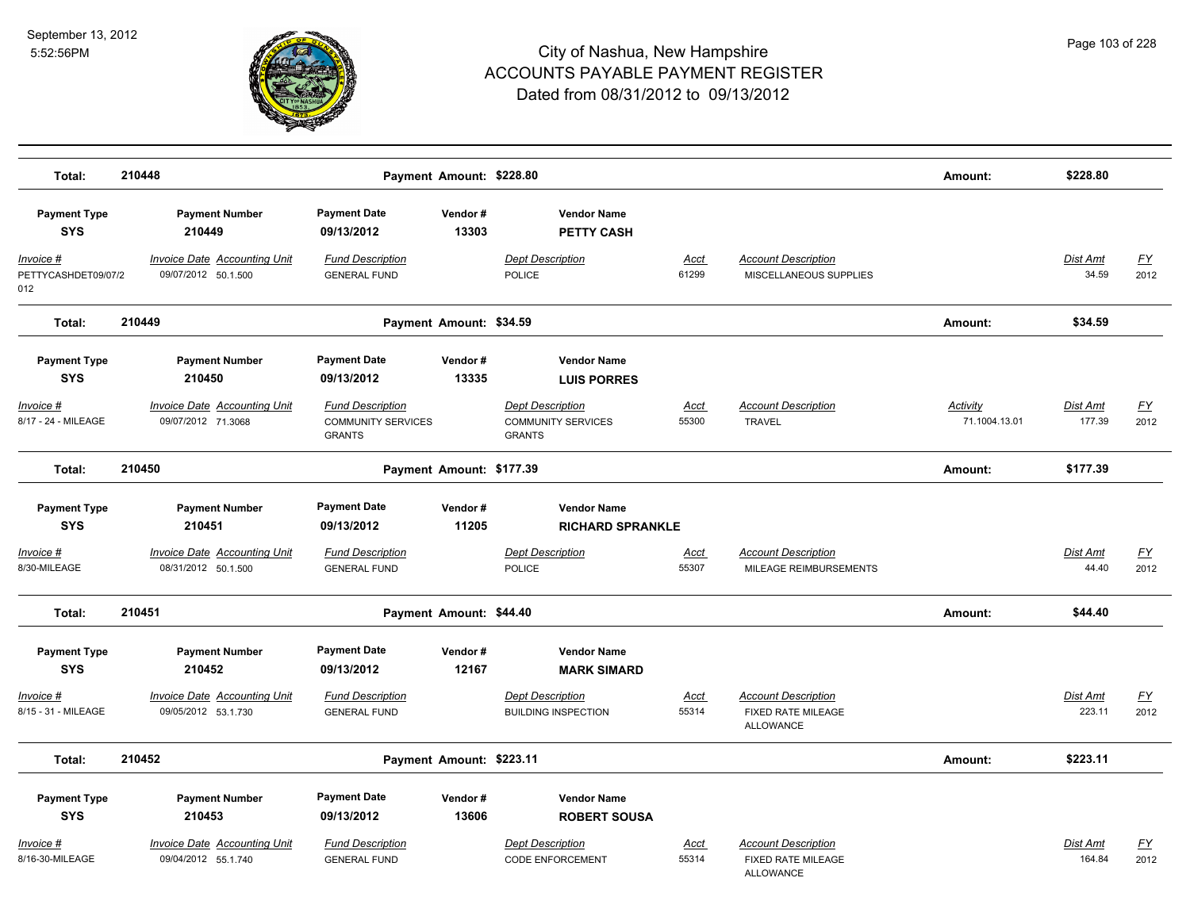

| Total:                                   | 210448                                                     |                                                                       | Payment Amount: \$228.80 |                                                                       |                      |                                                                      | Amount:                          | \$228.80                  |                                   |
|------------------------------------------|------------------------------------------------------------|-----------------------------------------------------------------------|--------------------------|-----------------------------------------------------------------------|----------------------|----------------------------------------------------------------------|----------------------------------|---------------------------|-----------------------------------|
| <b>Payment Type</b><br><b>SYS</b>        | <b>Payment Number</b><br>210449                            | <b>Payment Date</b><br>09/13/2012                                     | Vendor#<br>13303         | <b>Vendor Name</b><br><b>PETTY CASH</b>                               |                      |                                                                      |                                  |                           |                                   |
| Invoice #<br>PETTYCASHDET09/07/2<br>012  | <b>Invoice Date Accounting Unit</b><br>09/07/2012 50.1.500 | <b>Fund Description</b><br><b>GENERAL FUND</b>                        |                          | <b>Dept Description</b><br>POLICE                                     | Acct<br>61299        | <b>Account Description</b><br>MISCELLANEOUS SUPPLIES                 |                                  | Dist Amt<br>34.59         | <u>FY</u><br>2012                 |
| Total:                                   | 210449                                                     |                                                                       | Payment Amount: \$34.59  |                                                                       |                      |                                                                      | Amount:                          | \$34.59                   |                                   |
| <b>Payment Type</b><br><b>SYS</b>        | <b>Payment Number</b><br>210450                            | <b>Payment Date</b><br>09/13/2012                                     | Vendor#<br>13335         | <b>Vendor Name</b><br><b>LUIS PORRES</b>                              |                      |                                                                      |                                  |                           |                                   |
| <u> Invoice #</u><br>8/17 - 24 - MILEAGE | <b>Invoice Date Accounting Unit</b><br>09/07/2012 71.3068  | <b>Fund Description</b><br><b>COMMUNITY SERVICES</b><br><b>GRANTS</b> |                          | <b>Dept Description</b><br><b>COMMUNITY SERVICES</b><br><b>GRANTS</b> | <u>Acct</u><br>55300 | <b>Account Description</b><br><b>TRAVEL</b>                          | <b>Activity</b><br>71.1004.13.01 | <b>Dist Amt</b><br>177.39 | <u>FY</u><br>2012                 |
| Total:                                   | 210450                                                     |                                                                       | Payment Amount: \$177.39 |                                                                       |                      |                                                                      | Amount:                          | \$177.39                  |                                   |
| <b>Payment Type</b><br><b>SYS</b>        | <b>Payment Number</b><br>210451                            | <b>Payment Date</b><br>09/13/2012                                     | Vendor#<br>11205         | <b>Vendor Name</b><br><b>RICHARD SPRANKLE</b>                         |                      |                                                                      |                                  |                           |                                   |
| <u> Invoice #</u><br>8/30-MILEAGE        | <b>Invoice Date Accounting Unit</b><br>08/31/2012 50.1.500 | <b>Fund Description</b><br><b>GENERAL FUND</b>                        |                          | <b>Dept Description</b><br><b>POLICE</b>                              | <b>Acct</b><br>55307 | <b>Account Description</b><br>MILEAGE REIMBURSEMENTS                 |                                  | <b>Dist Amt</b><br>44.40  | <u>FY</u><br>2012                 |
| Total:                                   | 210451                                                     |                                                                       | Payment Amount: \$44.40  |                                                                       |                      |                                                                      | Amount:                          | \$44.40                   |                                   |
| <b>Payment Type</b><br><b>SYS</b>        | <b>Payment Number</b><br>210452                            | <b>Payment Date</b><br>09/13/2012                                     | Vendor#<br>12167         | <b>Vendor Name</b><br><b>MARK SIMARD</b>                              |                      |                                                                      |                                  |                           |                                   |
| <u> Invoice #</u><br>8/15 - 31 - MILEAGE | <b>Invoice Date Accounting Unit</b><br>09/05/2012 53.1.730 | <b>Fund Description</b><br><b>GENERAL FUND</b>                        |                          | <b>Dept Description</b><br><b>BUILDING INSPECTION</b>                 | <u>Acct</u><br>55314 | <b>Account Description</b><br>FIXED RATE MILEAGE<br><b>ALLOWANCE</b> |                                  | Dist Amt<br>223.11        | $\underline{\mathsf{FY}}$<br>2012 |
| Total:                                   | 210452                                                     |                                                                       | Payment Amount: \$223.11 |                                                                       |                      |                                                                      | Amount:                          | \$223.11                  |                                   |
| <b>Payment Type</b><br><b>SYS</b>        | <b>Payment Number</b><br>210453                            | <b>Payment Date</b><br>09/13/2012                                     | Vendor#<br>13606         | <b>Vendor Name</b><br><b>ROBERT SOUSA</b>                             |                      |                                                                      |                                  |                           |                                   |
| Invoice #<br>8/16-30-MILEAGE             | <b>Invoice Date Accounting Unit</b><br>09/04/2012 55.1.740 | <b>Fund Description</b><br><b>GENERAL FUND</b>                        |                          | <b>Dept Description</b><br><b>CODE ENFORCEMENT</b>                    | <u>Acct</u><br>55314 | <b>Account Description</b><br>FIXED RATE MILEAGE<br><b>ALLOWANCE</b> |                                  | Dist Amt<br>164.84        | <u>FY</u><br>2012                 |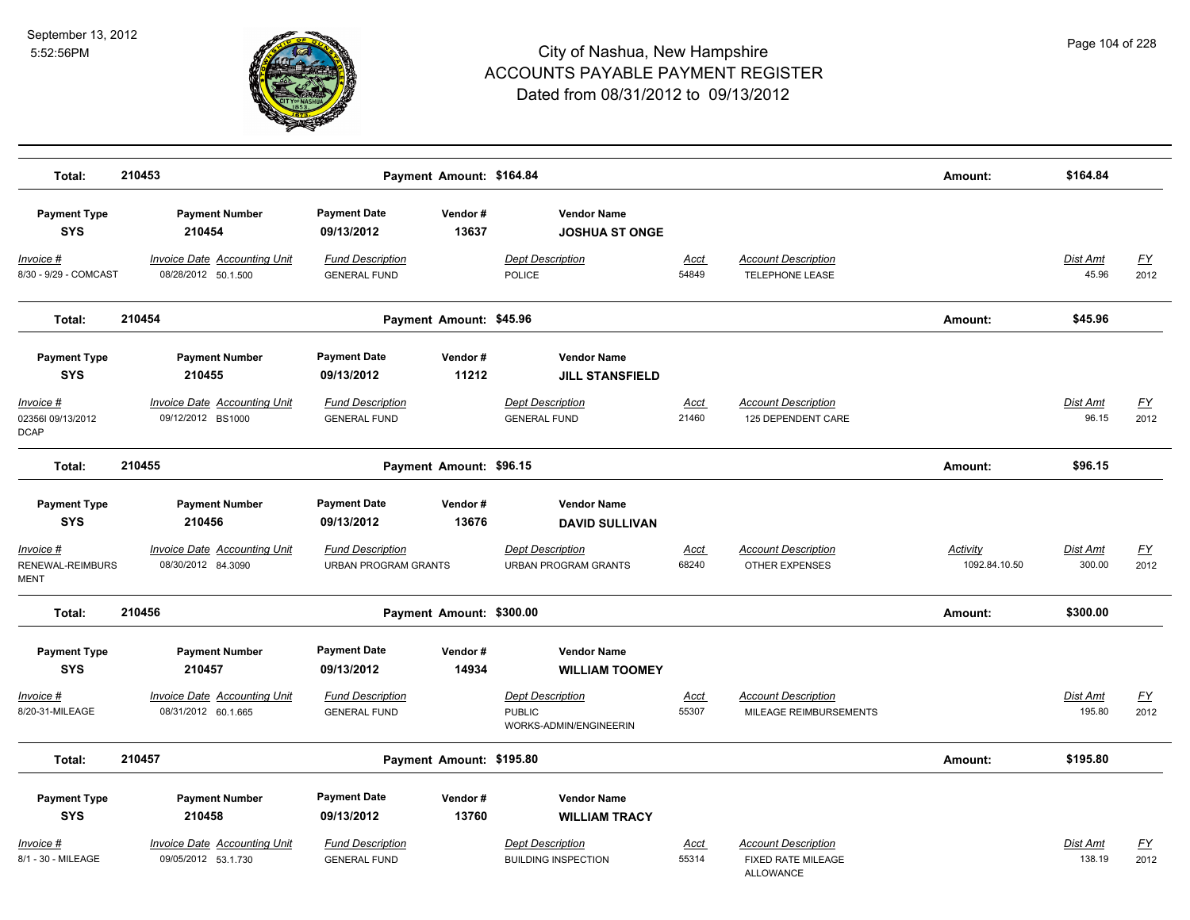

| Total:                                                                             | 210453                                                                                      |                                                                                             | Payment Amount: \$164.84 |                                                                                                                   |                      |                                                                      | Amount:                   | \$164.84           |                   |
|------------------------------------------------------------------------------------|---------------------------------------------------------------------------------------------|---------------------------------------------------------------------------------------------|--------------------------|-------------------------------------------------------------------------------------------------------------------|----------------------|----------------------------------------------------------------------|---------------------------|--------------------|-------------------|
| <b>Payment Type</b><br><b>SYS</b>                                                  | <b>Payment Number</b><br>210454                                                             | <b>Payment Date</b><br>09/13/2012                                                           | Vendor#<br>13637         | <b>Vendor Name</b><br><b>JOSHUA ST ONGE</b>                                                                       |                      |                                                                      |                           |                    |                   |
| Invoice #<br>8/30 - 9/29 - COMCAST                                                 | Invoice Date Accounting Unit<br>08/28/2012 50.1.500                                         | <b>Fund Description</b><br><b>GENERAL FUND</b>                                              |                          | <b>Dept Description</b><br><b>POLICE</b>                                                                          | Acct<br>54849        | <b>Account Description</b><br><b>TELEPHONE LEASE</b>                 |                           | Dist Amt<br>45.96  | <u>FY</u><br>2012 |
| Total:                                                                             | 210454                                                                                      |                                                                                             | Payment Amount: \$45.96  |                                                                                                                   |                      |                                                                      | Amount:                   | \$45.96            |                   |
| <b>Payment Type</b><br><b>SYS</b><br>Invoice #<br>023561 09/13/2012<br><b>DCAP</b> | <b>Payment Number</b><br>210455<br><b>Invoice Date Accounting Unit</b><br>09/12/2012 BS1000 | <b>Payment Date</b><br>09/13/2012<br><b>Fund Description</b><br><b>GENERAL FUND</b>         | Vendor#<br>11212         | <b>Vendor Name</b><br><b>JILL STANSFIELD</b><br><b>Dept Description</b><br><b>GENERAL FUND</b>                    | Acct<br>21460        | <b>Account Description</b><br>125 DEPENDENT CARE                     |                           | Dist Amt<br>96.15  | <u>FY</u><br>2012 |
| Total:                                                                             | 210455                                                                                      |                                                                                             | Payment Amount: \$96.15  |                                                                                                                   |                      |                                                                      | Amount:                   | \$96.15            |                   |
| <b>Payment Type</b><br><b>SYS</b><br>Invoice #<br>RENEWAL-REIMBURS<br>MENT         | <b>Payment Number</b><br>210456<br>Invoice Date Accounting Unit<br>08/30/2012 84.3090       | <b>Payment Date</b><br>09/13/2012<br><b>Fund Description</b><br><b>URBAN PROGRAM GRANTS</b> | Vendor#<br>13676         | <b>Vendor Name</b><br><b>DAVID SULLIVAN</b><br><b>Dept Description</b><br><b>URBAN PROGRAM GRANTS</b>             | Acct<br>68240        | <b>Account Description</b><br><b>OTHER EXPENSES</b>                  | Activity<br>1092.84.10.50 | Dist Amt<br>300.00 | <u>FY</u><br>2012 |
| Total:                                                                             | 210456                                                                                      |                                                                                             | Payment Amount: \$300.00 |                                                                                                                   |                      |                                                                      | Amount:                   | \$300.00           |                   |
| <b>Payment Type</b><br><b>SYS</b><br>Invoice #<br>8/20-31-MILEAGE                  | <b>Payment Number</b><br>210457<br>Invoice Date Accounting Unit<br>08/31/2012 60.1.665      | <b>Payment Date</b><br>09/13/2012<br><b>Fund Description</b><br><b>GENERAL FUND</b>         | Vendor#<br>14934         | <b>Vendor Name</b><br><b>WILLIAM TOOMEY</b><br><b>Dept Description</b><br><b>PUBLIC</b><br>WORKS-ADMIN/ENGINEERIN | <b>Acct</b><br>55307 | <b>Account Description</b><br>MILEAGE REIMBURSEMENTS                 |                           | Dist Amt<br>195.80 | <u>FY</u><br>2012 |
| Total:                                                                             | 210457                                                                                      |                                                                                             | Payment Amount: \$195.80 |                                                                                                                   |                      |                                                                      | Amount:                   | \$195.80           |                   |
| <b>Payment Type</b><br><b>SYS</b>                                                  | <b>Payment Number</b><br>210458                                                             | <b>Payment Date</b><br>09/13/2012                                                           | Vendor#<br>13760         | <b>Vendor Name</b><br><b>WILLIAM TRACY</b>                                                                        |                      |                                                                      |                           |                    |                   |
| Invoice #<br>8/1 - 30 - MILEAGE                                                    | <b>Invoice Date Accounting Unit</b><br>09/05/2012 53.1.730                                  | <b>Fund Description</b><br><b>GENERAL FUND</b>                                              |                          | <b>Dept Description</b><br><b>BUILDING INSPECTION</b>                                                             | <u>Acct</u><br>55314 | <b>Account Description</b><br>FIXED RATE MILEAGE<br><b>ALLOWANCE</b> |                           | Dist Amt<br>138.19 | <u>FY</u><br>2012 |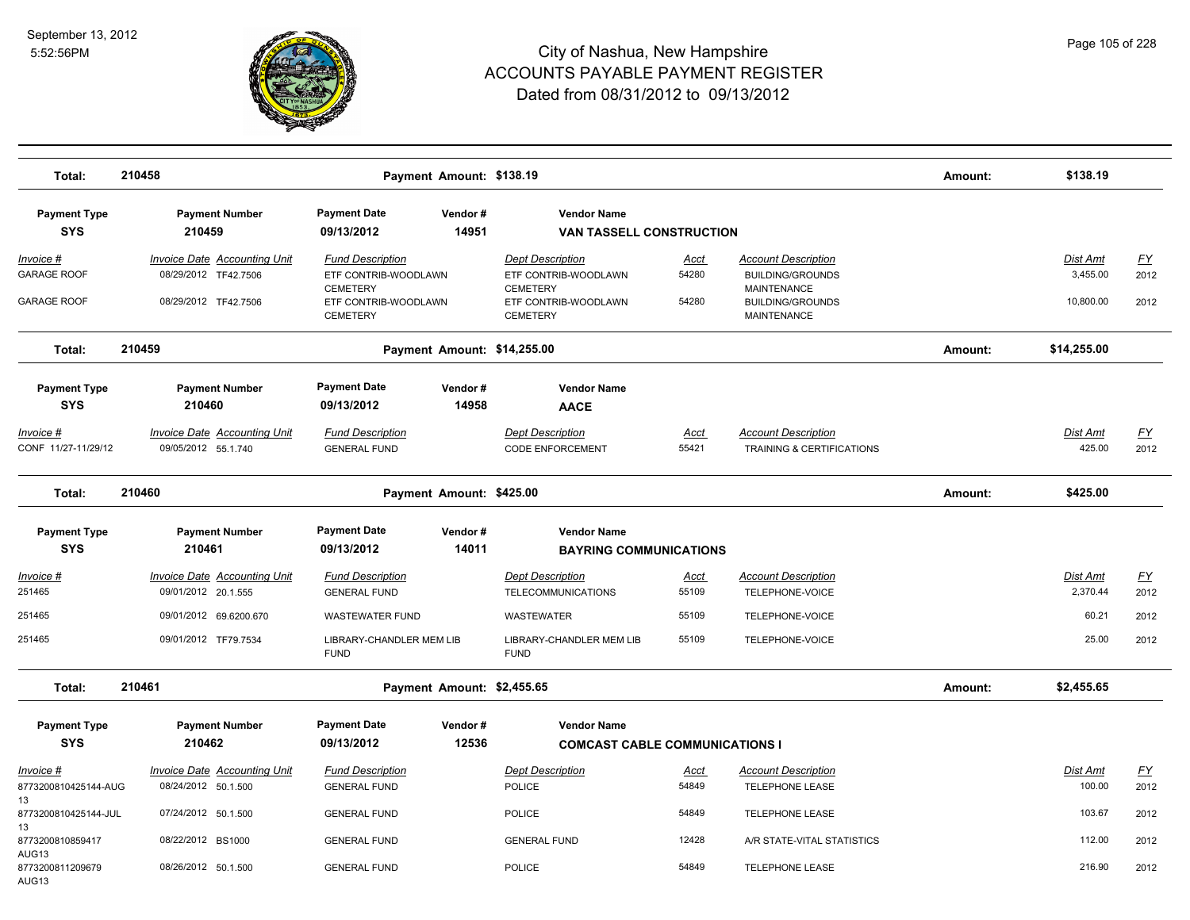

| Total:                     | 210458                              |                                         | Payment Amount: \$138.19    |                                         |       |                                               | Amount: | \$138.19        |                           |
|----------------------------|-------------------------------------|-----------------------------------------|-----------------------------|-----------------------------------------|-------|-----------------------------------------------|---------|-----------------|---------------------------|
| <b>Payment Type</b>        | <b>Payment Number</b>               | <b>Payment Date</b>                     | Vendor#                     | <b>Vendor Name</b>                      |       |                                               |         |                 |                           |
| <b>SYS</b>                 | 210459                              | 09/13/2012                              | 14951                       | <b>VAN TASSELL CONSTRUCTION</b>         |       |                                               |         |                 |                           |
| Invoice #                  | <b>Invoice Date Accounting Unit</b> | <b>Fund Description</b>                 |                             | <b>Dept Description</b>                 | Acct  | <b>Account Description</b>                    |         | Dist Amt        | <u>FY</u>                 |
| <b>GARAGE ROOF</b>         | 08/29/2012 TF42.7506                | ETF CONTRIB-WOODLAWN                    |                             | ETF CONTRIB-WOODLAWN                    | 54280 | <b>BUILDING/GROUNDS</b>                       |         | 3,455.00        | 2012                      |
| <b>GARAGE ROOF</b>         | 08/29/2012 TF42.7506                | <b>CEMETERY</b><br>ETF CONTRIB-WOODLAWN |                             | <b>CEMETERY</b><br>ETF CONTRIB-WOODLAWN | 54280 | <b>MAINTENANCE</b><br><b>BUILDING/GROUNDS</b> |         | 10,800.00       | 2012                      |
|                            |                                     | <b>CEMETERY</b>                         |                             | <b>CEMETERY</b>                         |       | <b>MAINTENANCE</b>                            |         |                 |                           |
| Total:                     | 210459                              |                                         | Payment Amount: \$14,255.00 |                                         |       |                                               | Amount: | \$14,255.00     |                           |
| <b>Payment Type</b>        | <b>Payment Number</b>               | <b>Payment Date</b>                     | Vendor#                     | <b>Vendor Name</b>                      |       |                                               |         |                 |                           |
| <b>SYS</b>                 | 210460                              | 09/13/2012                              | 14958                       | <b>AACE</b>                             |       |                                               |         |                 |                           |
| $Invoice$ #                | <b>Invoice Date Accounting Unit</b> | <b>Fund Description</b>                 |                             | <b>Dept Description</b>                 | Acct  | <b>Account Description</b>                    |         | <b>Dist Amt</b> | $\underline{\mathsf{FY}}$ |
| CONF 11/27-11/29/12        | 09/05/2012 55.1.740                 | <b>GENERAL FUND</b>                     |                             | <b>CODE ENFORCEMENT</b>                 | 55421 | TRAINING & CERTIFICATIONS                     |         | 425.00          | 2012                      |
| Total:                     | 210460                              |                                         | Payment Amount: \$425.00    |                                         |       |                                               | Amount: | \$425.00        |                           |
| <b>Payment Type</b>        | <b>Payment Number</b>               | <b>Payment Date</b>                     | Vendor#                     | <b>Vendor Name</b>                      |       |                                               |         |                 |                           |
| <b>SYS</b>                 | 210461                              | 09/13/2012                              | 14011                       | <b>BAYRING COMMUNICATIONS</b>           |       |                                               |         |                 |                           |
| Invoice #                  | <b>Invoice Date Accounting Unit</b> | <b>Fund Description</b>                 |                             | <b>Dept Description</b>                 | Acct  | <b>Account Description</b>                    |         | <b>Dist Amt</b> | <u>FY</u>                 |
| 251465                     | 09/01/2012 20.1.555                 | <b>GENERAL FUND</b>                     |                             | <b>TELECOMMUNICATIONS</b>               | 55109 | TELEPHONE-VOICE                               |         | 2,370.44        | 2012                      |
| 251465                     | 09/01/2012 69.6200.670              | <b>WASTEWATER FUND</b>                  |                             | WASTEWATER                              | 55109 | TELEPHONE-VOICE                               |         | 60.21           | 2012                      |
| 251465                     | 09/01/2012 TF79.7534                | LIBRARY-CHANDLER MEM LIB<br><b>FUND</b> |                             | LIBRARY-CHANDLER MEM LIB<br><b>FUND</b> | 55109 | TELEPHONE-VOICE                               |         | 25.00           | 2012                      |
| Total:                     | 210461                              |                                         | Payment Amount: \$2,455.65  |                                         |       |                                               | Amount: | \$2,455.65      |                           |
| <b>Payment Type</b>        | <b>Payment Number</b>               | <b>Payment Date</b>                     | Vendor#                     | <b>Vendor Name</b>                      |       |                                               |         |                 |                           |
| <b>SYS</b>                 | 210462                              | 09/13/2012                              | 12536                       | <b>COMCAST CABLE COMMUNICATIONS I</b>   |       |                                               |         |                 |                           |
| Invoice #                  | <b>Invoice Date Accounting Unit</b> | <b>Fund Description</b>                 |                             | <b>Dept Description</b>                 | Acct  | <b>Account Description</b>                    |         | Dist Amt        | <u>FY</u>                 |
| 8773200810425144-AUG       | 08/24/2012 50.1.500                 | <b>GENERAL FUND</b>                     |                             | <b>POLICE</b>                           | 54849 | <b>TELEPHONE LEASE</b>                        |         | 100.00          | 2012                      |
| 13<br>8773200810425144-JUL | 07/24/2012 50.1.500                 | <b>GENERAL FUND</b>                     |                             | <b>POLICE</b>                           | 54849 | <b>TELEPHONE LEASE</b>                        |         | 103.67          | 2012                      |
| 13                         |                                     |                                         |                             |                                         |       |                                               |         |                 |                           |
| 8773200810859417<br>AUG13  | 08/22/2012 BS1000                   | <b>GENERAL FUND</b>                     |                             | <b>GENERAL FUND</b>                     | 12428 | A/R STATE-VITAL STATISTICS                    |         | 112.00          | 2012                      |
| 8773200811209679<br>AUG13  | 08/26/2012 50.1.500                 | <b>GENERAL FUND</b>                     |                             | <b>POLICE</b>                           | 54849 | <b>TELEPHONE LEASE</b>                        |         | 216.90          | 2012                      |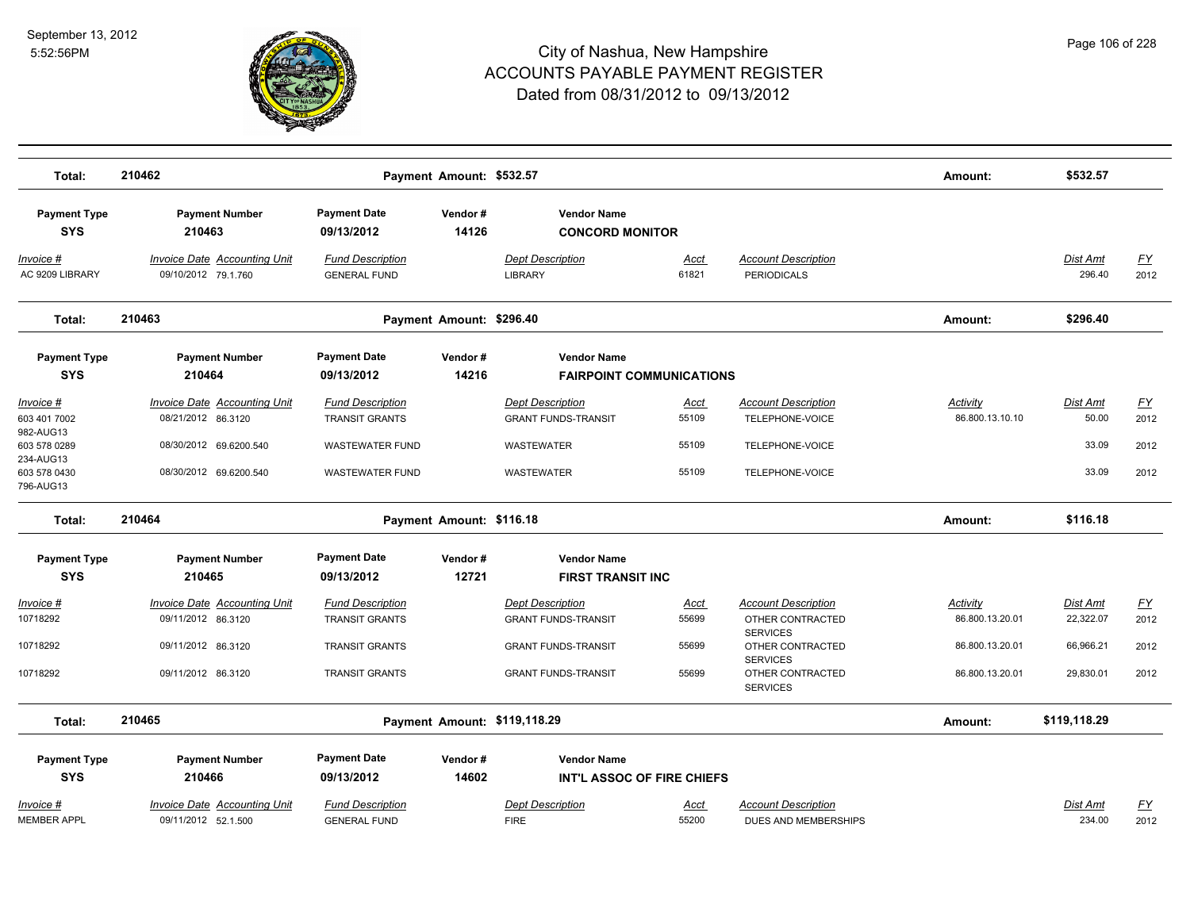

| Total:                                                 | 210462                                                                              |                                                                     | Payment Amount: \$532.57 |                                                                     |                               |                                                                            | Amount:                            | \$532.57                          |                           |
|--------------------------------------------------------|-------------------------------------------------------------------------------------|---------------------------------------------------------------------|--------------------------|---------------------------------------------------------------------|-------------------------------|----------------------------------------------------------------------------|------------------------------------|-----------------------------------|---------------------------|
| <b>Payment Type</b><br><b>SYS</b>                      | <b>Payment Number</b><br>210463                                                     | <b>Payment Date</b><br>09/13/2012                                   | Vendor#<br>14126         | <b>Vendor Name</b><br><b>CONCORD MONITOR</b>                        |                               |                                                                            |                                    |                                   |                           |
| Invoice #<br>AC 9209 LIBRARY                           | <b>Invoice Date Accounting Unit</b><br>09/10/2012 79.1.760                          | <b>Fund Description</b><br><b>GENERAL FUND</b>                      |                          | <b>Dept Description</b><br><b>LIBRARY</b>                           | Acct<br>61821                 | <b>Account Description</b><br><b>PERIODICALS</b>                           |                                    | Dist Amt<br>296.40                | <u>FY</u><br>2012         |
| Total:                                                 | 210463                                                                              |                                                                     | Payment Amount: \$296.40 |                                                                     |                               |                                                                            | Amount:                            | \$296.40                          |                           |
| <b>Payment Type</b><br><b>SYS</b>                      | <b>Payment Number</b><br>210464                                                     | <b>Payment Date</b><br>09/13/2012                                   | Vendor#<br>14216         | <b>Vendor Name</b><br><b>FAIRPOINT COMMUNICATIONS</b>               |                               |                                                                            |                                    |                                   |                           |
| Invoice #<br>603 401 7002<br>982-AUG13<br>603 578 0289 | <b>Invoice Date Accounting Unit</b><br>08/21/2012 86.3120<br>08/30/2012 69.6200.540 | <b>Fund Description</b><br><b>TRANSIT GRANTS</b><br>WASTEWATER FUND |                          | <b>Dept Description</b><br><b>GRANT FUNDS-TRANSIT</b><br>WASTEWATER | <u>Acct</u><br>55109<br>55109 | <b>Account Description</b><br>TELEPHONE-VOICE<br>TELEPHONE-VOICE           | <b>Activity</b><br>86.800.13.10.10 | <b>Dist Amt</b><br>50.00<br>33.09 | <u>FY</u><br>2012<br>2012 |
| 234-AUG13<br>603 578 0430<br>796-AUG13                 | 08/30/2012 69.6200.540                                                              | <b>WASTEWATER FUND</b>                                              |                          | WASTEWATER                                                          | 55109                         | TELEPHONE-VOICE                                                            |                                    | 33.09                             | 2012                      |
| Total:                                                 | 210464                                                                              | Payment Amount: \$116.18                                            |                          |                                                                     |                               |                                                                            | Amount:                            | \$116.18                          |                           |
| <b>Payment Type</b><br><b>SYS</b>                      | <b>Payment Number</b><br>210465                                                     | <b>Payment Date</b><br>09/13/2012                                   | Vendor#<br>12721         | <b>Vendor Name</b><br><b>FIRST TRANSIT INC</b>                      |                               |                                                                            |                                    |                                   |                           |
| Invoice #<br>10718292                                  | <b>Invoice Date Accounting Unit</b><br>09/11/2012 86.3120                           | <b>Fund Description</b><br><b>TRANSIT GRANTS</b>                    |                          | <b>Dept Description</b><br><b>GRANT FUNDS-TRANSIT</b>               | <u>Acct</u><br>55699          | <b>Account Description</b><br>OTHER CONTRACTED<br><b>SERVICES</b>          | Activity<br>86.800.13.20.01        | Dist Amt<br>22,322.07             | <u>FY</u><br>2012         |
| 10718292<br>10718292                                   | 09/11/2012 86.3120<br>09/11/2012 86.3120                                            | <b>TRANSIT GRANTS</b><br><b>TRANSIT GRANTS</b>                      |                          | <b>GRANT FUNDS-TRANSIT</b><br><b>GRANT FUNDS-TRANSIT</b>            | 55699<br>55699                | OTHER CONTRACTED<br><b>SERVICES</b><br>OTHER CONTRACTED<br><b>SERVICES</b> | 86.800.13.20.01<br>86.800.13.20.01 | 66,966.21<br>29,830.01            | 2012<br>2012              |
| Total:                                                 | 210465                                                                              |                                                                     |                          | Payment Amount: \$119,118.29                                        |                               |                                                                            | Amount:                            | \$119,118.29                      |                           |
| <b>Payment Type</b><br><b>SYS</b>                      | <b>Payment Number</b><br>210466                                                     | <b>Payment Date</b><br>09/13/2012                                   | Vendor#<br>14602         | <b>Vendor Name</b><br>INT'L ASSOC OF FIRE CHIEFS                    |                               |                                                                            |                                    |                                   |                           |
| Invoice #<br><b>MEMBER APPL</b>                        | <b>Invoice Date Accounting Unit</b><br>09/11/2012 52.1.500                          | <b>Fund Description</b><br><b>GENERAL FUND</b>                      |                          | <b>Dept Description</b><br><b>FIRE</b>                              | <u>Acct</u><br>55200          | <b>Account Description</b><br>DUES AND MEMBERSHIPS                         |                                    | Dist Amt<br>234.00                | $\underline{FY}$<br>2012  |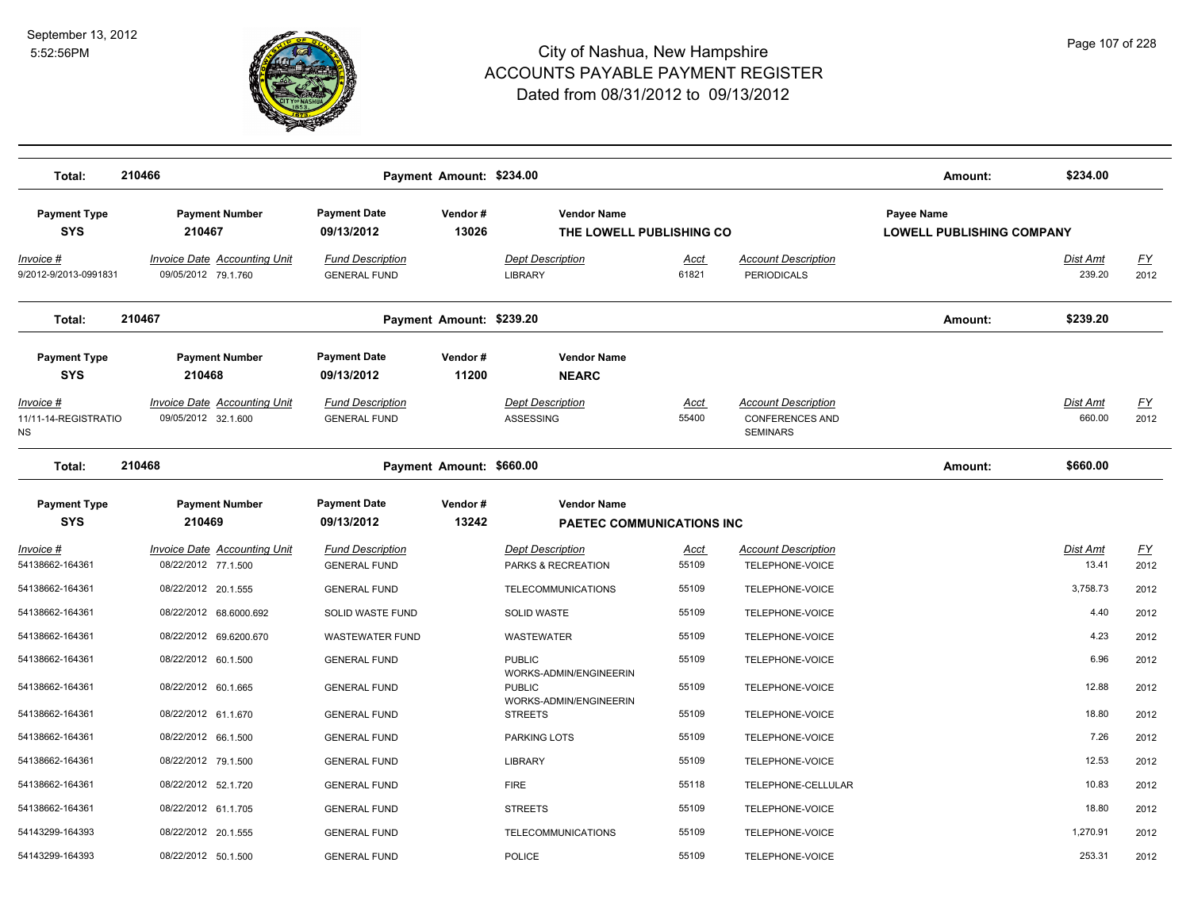

| Total:                                                 | 210466                                                                 |                                                              | Payment Amount: \$234.00 |                                                                   |                      |                                                  | Amount:                                        | \$234.00           |                   |
|--------------------------------------------------------|------------------------------------------------------------------------|--------------------------------------------------------------|--------------------------|-------------------------------------------------------------------|----------------------|--------------------------------------------------|------------------------------------------------|--------------------|-------------------|
| <b>Payment Type</b><br><b>SYS</b>                      | <b>Payment Number</b><br>210467                                        | <b>Payment Date</b><br>09/13/2012                            | Vendor#<br>13026         | <b>Vendor Name</b><br>THE LOWELL PUBLISHING CO                    |                      |                                                  | Payee Name<br><b>LOWELL PUBLISHING COMPANY</b> |                    |                   |
| Invoice #<br>9/2012-9/2013-0991831                     | <b>Invoice Date Accounting Unit</b><br>09/05/2012 79.1.760             | <b>Fund Description</b><br><b>GENERAL FUND</b>               |                          | <b>Dept Description</b><br><b>LIBRARY</b>                         | <b>Acct</b><br>61821 | <b>Account Description</b><br><b>PERIODICALS</b> |                                                | Dist Amt<br>239.20 | <u>FY</u><br>2012 |
| Total:                                                 | 210467                                                                 |                                                              | Payment Amount: \$239.20 |                                                                   |                      |                                                  | Amount:                                        | \$239.20           |                   |
| <b>Payment Type</b><br><b>SYS</b><br><u> Invoice #</u> | <b>Payment Number</b><br>210468<br><b>Invoice Date Accounting Unit</b> | <b>Payment Date</b><br>09/13/2012<br><b>Fund Description</b> | Vendor#<br>11200         | <b>Vendor Name</b><br><b>NEARC</b><br><b>Dept Description</b>     | <u>Acct</u>          | <b>Account Description</b>                       |                                                | Dist Amt           | <u>FY</u>         |
| 11/11-14-REGISTRATIO<br>ΝS                             | 09/05/2012 32.1.600                                                    | <b>GENERAL FUND</b>                                          |                          | ASSESSING                                                         | 55400                | <b>CONFERENCES AND</b><br><b>SEMINARS</b>        |                                                | 660.00             | 2012              |
| Total:                                                 | 210468                                                                 |                                                              | Payment Amount: \$660.00 |                                                                   |                      |                                                  | Amount:                                        | \$660.00           |                   |
| <b>Payment Type</b><br><b>SYS</b>                      | <b>Payment Number</b><br>210469                                        | <b>Payment Date</b><br>09/13/2012                            | Vendor#<br>13242         | <b>Vendor Name</b><br><b>PAETEC COMMUNICATIONS INC</b>            |                      |                                                  |                                                |                    |                   |
| Invoice #<br>54138662-164361                           | <b>Invoice Date Accounting Unit</b><br>08/22/2012 77.1.500             | <b>Fund Description</b><br><b>GENERAL FUND</b>               |                          | <b>Dept Description</b><br>PARKS & RECREATION                     | <u>Acct</u><br>55109 | <b>Account Description</b><br>TELEPHONE-VOICE    |                                                | Dist Amt<br>13.41  | <u>FY</u><br>2012 |
| 54138662-164361                                        | 08/22/2012 20.1.555                                                    | <b>GENERAL FUND</b>                                          |                          | TELECOMMUNICATIONS                                                | 55109                | TELEPHONE-VOICE                                  |                                                | 3,758.73           | 2012              |
| 54138662-164361                                        | 08/22/2012 68.6000.692                                                 | SOLID WASTE FUND                                             |                          | <b>SOLID WASTE</b>                                                | 55109                | TELEPHONE-VOICE                                  |                                                | 4.40               | 2012              |
| 54138662-164361                                        | 08/22/2012 69.6200.670                                                 | <b>WASTEWATER FUND</b>                                       |                          | WASTEWATER                                                        | 55109                | TELEPHONE-VOICE                                  |                                                | 4.23               | 2012              |
| 54138662-164361                                        | 08/22/2012 60.1.500                                                    | <b>GENERAL FUND</b>                                          |                          | <b>PUBLIC</b>                                                     | 55109                | TELEPHONE-VOICE                                  |                                                | 6.96               | 2012              |
| 54138662-164361                                        | 08/22/2012 60.1.665                                                    | <b>GENERAL FUND</b>                                          |                          | WORKS-ADMIN/ENGINEERIN<br><b>PUBLIC</b><br>WORKS-ADMIN/ENGINEERIN | 55109                | TELEPHONE-VOICE                                  |                                                | 12.88              | 2012              |
| 54138662-164361                                        | 08/22/2012 61.1.670                                                    | <b>GENERAL FUND</b>                                          |                          | <b>STREETS</b>                                                    | 55109                | TELEPHONE-VOICE                                  |                                                | 18.80              | 2012              |
| 54138662-164361                                        | 08/22/2012 66.1.500                                                    | <b>GENERAL FUND</b>                                          |                          | <b>PARKING LOTS</b>                                               | 55109                | TELEPHONE-VOICE                                  |                                                | 7.26               | 2012              |
| 54138662-164361                                        | 08/22/2012 79.1.500                                                    | <b>GENERAL FUND</b>                                          |                          | <b>LIBRARY</b>                                                    | 55109                | TELEPHONE-VOICE                                  |                                                | 12.53              | 2012              |
| 54138662-164361                                        | 08/22/2012 52.1.720                                                    | <b>GENERAL FUND</b>                                          |                          | <b>FIRE</b>                                                       | 55118                | TELEPHONE-CELLULAR                               |                                                | 10.83              | 2012              |
| 54138662-164361                                        | 08/22/2012 61.1.705                                                    | <b>GENERAL FUND</b>                                          |                          | <b>STREETS</b>                                                    | 55109                | TELEPHONE-VOICE                                  |                                                | 18.80              | 2012              |
| 54143299-164393                                        | 08/22/2012 20.1.555                                                    | <b>GENERAL FUND</b>                                          |                          | TELECOMMUNICATIONS                                                | 55109                | TELEPHONE-VOICE                                  |                                                | 1,270.91           | 2012              |
| 54143299-164393                                        | 08/22/2012 50.1.500                                                    | <b>GENERAL FUND</b>                                          |                          | <b>POLICE</b>                                                     | 55109                | TELEPHONE-VOICE                                  |                                                | 253.31             | 2012              |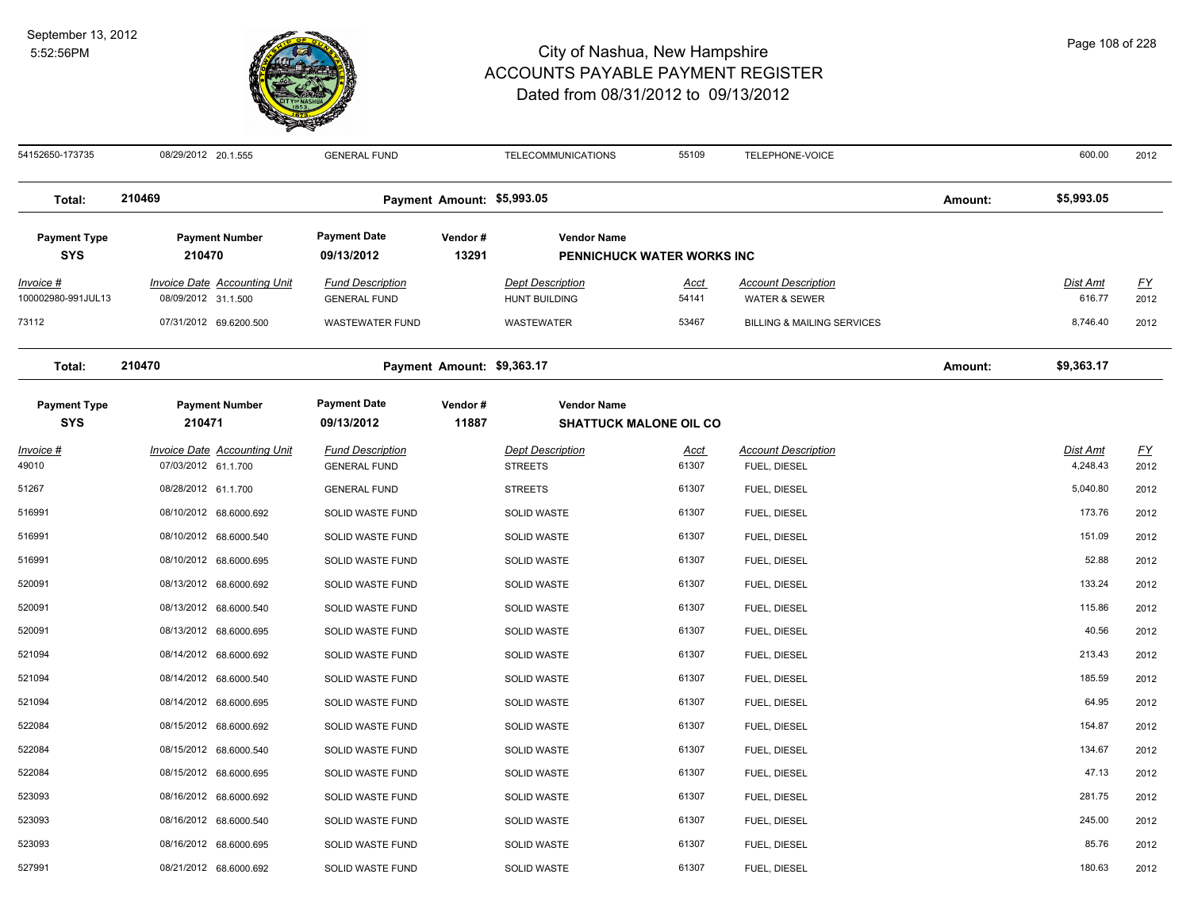

54152650-173735 08/29/2012 20.1.555 GENERAL FUND TELECOMMUNICATIONS 55109 TELEPHONE-VOICE 600.00 2012 **Total: 210469 Payment Amount: \$5,993.05 Amount: \$5,993.05 Payment Type Payment Number Payment Date Vendor # Vendor Name SYS 09/13/2012** *Invoice # Invoice Date Accounting Unit Fund Description Dept Description Acct Account Description Dist Amt FY* **13291 PENNICHUCK WATER WORKS INC** 100002980-991JUL13 08/09/2012 31.1.500 GENERAL FUND HUNT BUILDING 54141 WATER & SEWER 616.77 2012 73112 07/31/2012 69.6200.500 WASTEWATER FUND WASTEWATER 53467 BILLING & MAILING SERVICES 8,746.40 2012 **Total: 210470 Payment Amount: \$9,363.17 Amount: \$9,363.17 Payment Type Payment Number Payment Date Vendor # Vendor Name SYS 09/13/2012** *Invoice # Invoice Date Accounting Unit Fund Description Dept Description Acct Account Description Dist Amt FY*  **210471 11887 SHATTUCK MALONE OIL CO** 49010 07/03/2012 61.1.700 GENERAL FUND STREETS FUEL, DIESEL 4,248.43 2012 51267 08/28/2012 61.1.700 GENERAL FUND STREETS 61307 FUEL, DIESEL 5,040.80 2012 516991 08/10/2012 68.6000.692 SOLID WASTE FUND SOLID WASTE 61307 FUEL, DIESEL 173.76 2012 516991 08/10/2012 68.6000.540 SOLID WASTE FUND SOLID WASTE 61307 FUEL, DIESEL 151.09 2012 516991 08/10/2012 68.6000.695 SOLID WASTE FUND SOLID WASTE 61307 FUEL, DIESEL 52.88 2012 520091 08/13/2012 68.6000.692 SOLID WASTE FUND SOLID WASTE 61307 FUEL, DIESEL 133.24 2012 520091 08/13/2012 68.6000.540 SOLID WASTE FUND SOLID WASTE NOTEL SOLID WASTE NOTEL, DIESEL NOTEL, DIESEL NOTEL, DIESEL NOTEL, DIESEL NOTEL, DIESEL NOTEL, DIESEL NOTEL, DIESEL NOTEL, DIESEL NOTEL, DIESEL NOTEL, 520091 08/13/2012 68.6000.695 SOLID WASTE FUND SOLID WASTE 61307 FUEL, DIESEL 40.56 2012 521094 08/14/2012 68.6000.692 SOLID WASTE FUND SOLID WASTE 61307 FUEL, DIESEL 213.43 2012 521094 08/14/2012 68.6000.540 SOLID WASTE FUND SOLID WASTE 61307 FUEL, DIESEL 185.59 2012 521094 08/14/2012 68.6000.695 SOLID WASTE FUND SOLID WASTE 61307 FUEL, DIESEL 64.95 2012 522084 08/15/2012 68.6000.692 SOLID WASTE FUND SOLID WASTE 61307 FUEL, DIESEL 154.87 2012 522084 08/15/2012 68.6000.540 SOLID WASTE FUND SOLID WASTE 61307 FUEL, DIESEL 134.67 2012 522084 08/15/2012 68.6000.695 SOLID WASTE FUND SOLID WASTE 61307 FUEL, DIESEL 47.13 2012 523093 08/16/2012 68.6000.692 SOLID WASTE FUND SOLID WASTE NORTH SOLID WASTE GOLID WASTE GOLID WASTE GOLID WASTE GOLID WASTE GOLID WASTE GOLID WASTE GOLID WASTE GOLID WASTE GOLID WASTE GOLID WASTE GOLID WASTE G 523093 08/16/2012 68.6000.540 SOLID WASTE FUND SOLID WASTE 61307 FUEL, DIESEL 245.00 2012 523093 08/16/2012 68.6000.695 SOLID WASTE FUND SOLID WASTE 61307 FUEL, DIESEL 85.76 2012 527991 08/21/2012 68.6000.692 SOLID WASTE FUND SOLID WASTE 61307 FUEL, DIESEL 180.63 2012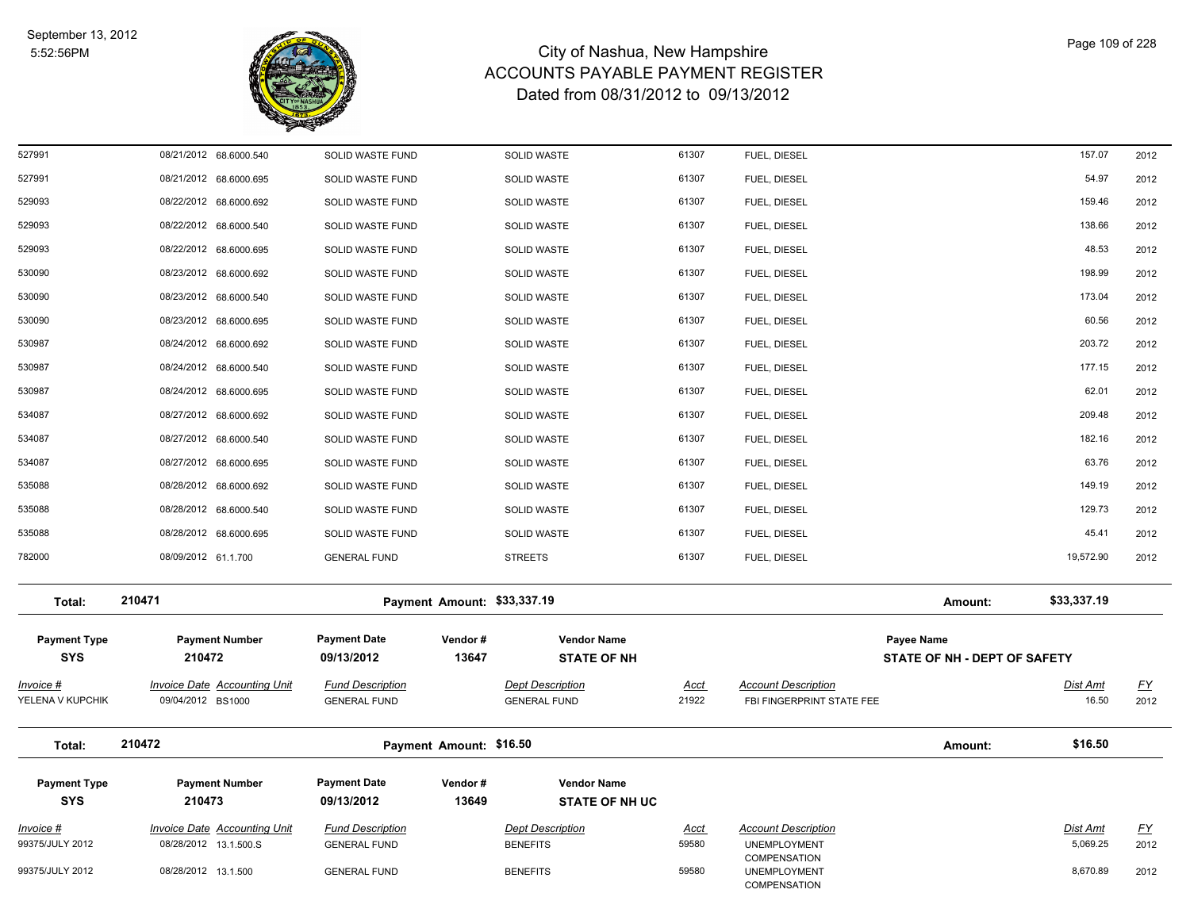

| 527991                                | 08/21/2012 68.6000.540                                   | SOLID WASTE FUND                               |                             | <b>SOLID WASTE</b>                             | 61307         | FUEL, DIESEL                                            |                                            | 157.07            | 2012              |
|---------------------------------------|----------------------------------------------------------|------------------------------------------------|-----------------------------|------------------------------------------------|---------------|---------------------------------------------------------|--------------------------------------------|-------------------|-------------------|
| 527991                                | 08/21/2012 68.6000.695                                   | SOLID WASTE FUND                               |                             | SOLID WASTE                                    | 61307         | FUEL, DIESEL                                            |                                            | 54.97             | 2012              |
| 529093                                | 08/22/2012 68.6000.692                                   | SOLID WASTE FUND                               |                             | <b>SOLID WASTE</b>                             | 61307         | FUEL, DIESEL                                            |                                            | 159.46            | 2012              |
| 529093                                | 08/22/2012 68.6000.540                                   | SOLID WASTE FUND                               |                             | SOLID WASTE                                    | 61307         | FUEL, DIESEL                                            |                                            | 138.66            | 2012              |
| 529093                                | 08/22/2012 68.6000.695                                   | SOLID WASTE FUND                               |                             | <b>SOLID WASTE</b>                             | 61307         | FUEL, DIESEL                                            |                                            | 48.53             | 2012              |
| 530090                                | 08/23/2012 68.6000.692                                   | SOLID WASTE FUND                               |                             | SOLID WASTE                                    | 61307         | FUEL, DIESEL                                            |                                            | 198.99            | 2012              |
| 530090                                | 08/23/2012 68.6000.540                                   | SOLID WASTE FUND                               |                             | SOLID WASTE                                    | 61307         | FUEL, DIESEL                                            |                                            | 173.04            | 2012              |
| 530090                                | 08/23/2012 68.6000.695                                   | SOLID WASTE FUND                               |                             | SOLID WASTE                                    | 61307         | FUEL, DIESEL                                            |                                            | 60.56             | 2012              |
| 530987                                | 08/24/2012 68.6000.692                                   | SOLID WASTE FUND                               |                             | SOLID WASTE                                    | 61307         | FUEL, DIESEL                                            |                                            | 203.72            | 2012              |
| 530987                                | 08/24/2012 68.6000.540                                   | SOLID WASTE FUND                               |                             | SOLID WASTE                                    | 61307         | FUEL, DIESEL                                            |                                            | 177.15            | 2012              |
| 530987                                | 08/24/2012 68.6000.695                                   | SOLID WASTE FUND                               |                             | SOLID WASTE                                    | 61307         | FUEL, DIESEL                                            |                                            | 62.01             | 2012              |
| 534087                                | 08/27/2012 68.6000.692                                   | SOLID WASTE FUND                               |                             | SOLID WASTE                                    | 61307         | FUEL, DIESEL                                            |                                            | 209.48            | 2012              |
| 534087                                | 08/27/2012 68.6000.540                                   | SOLID WASTE FUND                               |                             | <b>SOLID WASTE</b>                             | 61307         | FUEL, DIESEL                                            |                                            | 182.16            | 2012              |
| 534087                                | 08/27/2012 68.6000.695                                   | SOLID WASTE FUND                               |                             | SOLID WASTE                                    | 61307         | FUEL, DIESEL                                            |                                            | 63.76             | 2012              |
| 535088                                | 08/28/2012 68.6000.692                                   | SOLID WASTE FUND                               |                             | SOLID WASTE                                    | 61307         | FUEL, DIESEL                                            |                                            | 149.19            | 2012              |
| 535088                                | 08/28/2012 68.6000.540                                   | SOLID WASTE FUND                               |                             | <b>SOLID WASTE</b>                             | 61307         | FUEL, DIESEL                                            |                                            | 129.73            | 2012              |
| 535088                                | 08/28/2012 68.6000.695                                   | SOLID WASTE FUND                               |                             | SOLID WASTE                                    | 61307         | FUEL, DIESEL                                            |                                            | 45.41             | 2012              |
| 782000                                | 08/09/2012 61.1.700                                      | <b>GENERAL FUND</b>                            |                             | <b>STREETS</b>                                 | 61307         | FUEL, DIESEL                                            |                                            | 19,572.90         | 2012              |
| Total:                                | 210471                                                   |                                                | Payment Amount: \$33,337.19 |                                                |               |                                                         | Amount:                                    | \$33,337.19       |                   |
| <b>Payment Type</b><br><b>SYS</b>     | <b>Payment Number</b><br>210472                          | <b>Payment Date</b><br>09/13/2012              | Vendor#<br>13647            | <b>Vendor Name</b><br><b>STATE OF NH</b>       |               |                                                         | Payee Name<br>STATE OF NH - DEPT OF SAFETY |                   |                   |
| <u> Invoice #</u><br>YELENA V KUPCHIK | <b>Invoice Date Accounting Unit</b><br>09/04/2012 BS1000 | <b>Fund Description</b><br><b>GENERAL FUND</b> |                             | <b>Dept Description</b><br><b>GENERAL FUND</b> | Acct<br>21922 | <b>Account Description</b><br>FBI FINGERPRINT STATE FEE |                                            | Dist Amt<br>16.50 | <u>FY</u><br>2012 |
| Total:                                | 210472                                                   |                                                | Payment Amount: \$16.50     |                                                |               |                                                         | Amount:                                    | \$16.50           |                   |
| <b>Payment Type</b><br><b>SYS</b>     | <b>Payment Number</b><br>210473                          | <b>Payment Date</b><br>09/13/2012              | Vendor#<br>13649            | <b>Vendor Name</b><br><b>STATE OF NH UC</b>    |               |                                                         |                                            |                   |                   |
| <u> Invoice #</u>                     | <b>Invoice Date Accounting Unit</b>                      | <b>Fund Description</b>                        |                             | <b>Dept Description</b>                        | <u>Acct</u>   | <b>Account Description</b>                              |                                            | <b>Dist Amt</b>   | <u>FY</u>         |
| 99375/JULY 2012                       | 08/28/2012 13.1.500.S                                    | <b>GENERAL FUND</b>                            |                             | <b>BENEFITS</b>                                | 59580         | UNEMPLOYMENT<br>COMPENSATION                            |                                            | 5,069.25          | 2012              |
| 99375/JULY 2012                       | 08/28/2012 13.1.500                                      | <b>GENERAL FUND</b>                            |                             | <b>BENEFITS</b>                                | 59580         | <b>UNEMPLOYMENT</b><br>COMPENSATION                     |                                            | 8,670.89          | 2012              |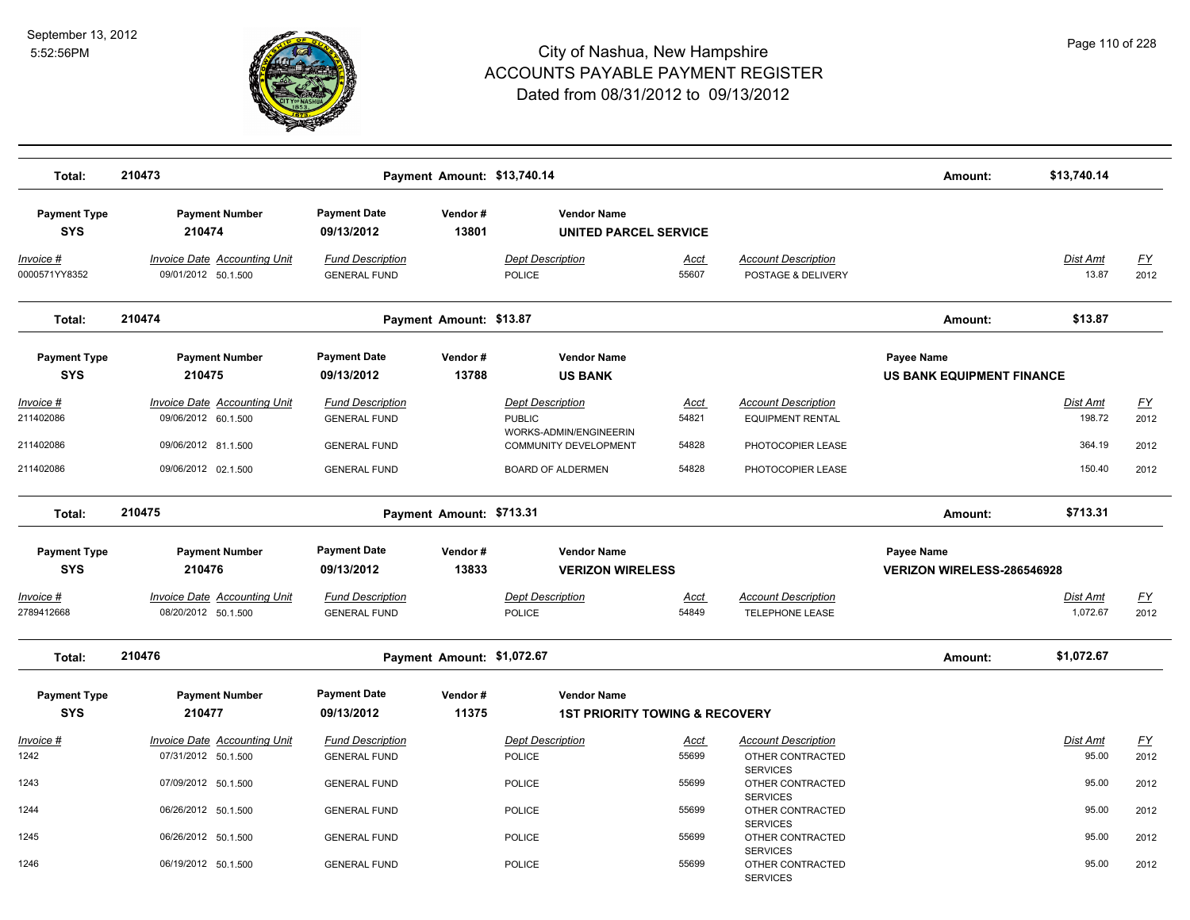

| Total:                                                   | 210473                                                                                                   |                                                                                              | Payment Amount: \$13,740.14 |                                                                                                                         |                                 |                                                                                                 | Amount:                                         | \$13,740.14                                   |                                   |
|----------------------------------------------------------|----------------------------------------------------------------------------------------------------------|----------------------------------------------------------------------------------------------|-----------------------------|-------------------------------------------------------------------------------------------------------------------------|---------------------------------|-------------------------------------------------------------------------------------------------|-------------------------------------------------|-----------------------------------------------|-----------------------------------|
| <b>Payment Type</b><br><b>SYS</b>                        | <b>Payment Number</b><br>210474                                                                          | <b>Payment Date</b><br>09/13/2012                                                            | Vendor#<br>13801            | <b>Vendor Name</b><br><b>UNITED PARCEL SERVICE</b>                                                                      |                                 |                                                                                                 |                                                 |                                               |                                   |
| Invoice #<br>0000571YY8352                               | Invoice Date Accounting Unit<br>09/01/2012 50.1.500                                                      | <b>Fund Description</b><br><b>GENERAL FUND</b>                                               |                             | <b>Dept Description</b><br><b>POLICE</b>                                                                                | Acct<br>55607                   | <b>Account Description</b><br>POSTAGE & DELIVERY                                                |                                                 | <b>Dist Amt</b><br>13.87                      | <u>FY</u><br>2012                 |
| Total:                                                   | 210474                                                                                                   |                                                                                              | Payment Amount: \$13.87     |                                                                                                                         |                                 |                                                                                                 | Amount:                                         | \$13.87                                       |                                   |
| <b>Payment Type</b><br><b>SYS</b>                        | <b>Payment Number</b><br>210475                                                                          | <b>Payment Date</b><br>09/13/2012                                                            | Vendor#<br>13788            | <b>Vendor Name</b><br><b>US BANK</b>                                                                                    |                                 |                                                                                                 | Payee Name<br><b>US BANK EQUIPMENT FINANCE</b>  |                                               |                                   |
| <u> Invoice #</u><br>211402086<br>211402086<br>211402086 | <b>Invoice Date Accounting Unit</b><br>09/06/2012 60.1.500<br>09/06/2012 81.1.500<br>09/06/2012 02.1.500 | <b>Fund Description</b><br><b>GENERAL FUND</b><br><b>GENERAL FUND</b><br><b>GENERAL FUND</b> |                             | <b>Dept Description</b><br><b>PUBLIC</b><br>WORKS-ADMIN/ENGINEERIN<br>COMMUNITY DEVELOPMENT<br><b>BOARD OF ALDERMEN</b> | Acct<br>54821<br>54828<br>54828 | <b>Account Description</b><br><b>EQUIPMENT RENTAL</b><br>PHOTOCOPIER LEASE<br>PHOTOCOPIER LEASE |                                                 | <b>Dist Amt</b><br>198.72<br>364.19<br>150.40 | <u>FY</u><br>2012<br>2012<br>2012 |
| Total:                                                   | 210475                                                                                                   |                                                                                              | Payment Amount: \$713.31    |                                                                                                                         |                                 |                                                                                                 | Amount:                                         | \$713.31                                      |                                   |
| <b>Payment Type</b><br><b>SYS</b>                        | <b>Payment Number</b><br>210476                                                                          | <b>Payment Date</b><br>09/13/2012                                                            | Vendor#<br>13833            | <b>Vendor Name</b><br><b>VERIZON WIRELESS</b>                                                                           |                                 |                                                                                                 | Payee Name<br><b>VERIZON WIRELESS-286546928</b> |                                               |                                   |
| Invoice #<br>2789412668                                  | <b>Invoice Date Accounting Unit</b><br>08/20/2012 50.1.500                                               | <b>Fund Description</b><br><b>GENERAL FUND</b>                                               |                             | <b>Dept Description</b><br><b>POLICE</b>                                                                                | Acct<br>54849                   | <b>Account Description</b><br><b>TELEPHONE LEASE</b>                                            |                                                 | Dist Amt<br>1,072.67                          | <u>FY</u><br>2012                 |
| Total:                                                   | 210476                                                                                                   |                                                                                              | Payment Amount: \$1,072.67  |                                                                                                                         |                                 |                                                                                                 | Amount:                                         | \$1,072.67                                    |                                   |
| <b>Payment Type</b><br><b>SYS</b>                        | <b>Payment Number</b><br>210477                                                                          | <b>Payment Date</b><br>09/13/2012                                                            | Vendor#<br>11375            | <b>Vendor Name</b><br><b>1ST PRIORITY TOWING &amp; RECOVERY</b>                                                         |                                 |                                                                                                 |                                                 |                                               |                                   |
| Invoice #<br>1242                                        | <b>Invoice Date Accounting Unit</b><br>07/31/2012 50.1.500                                               | <b>Fund Description</b><br><b>GENERAL FUND</b>                                               |                             | <b>Dept Description</b><br><b>POLICE</b>                                                                                | <u>Acct</u><br>55699            | <b>Account Description</b><br>OTHER CONTRACTED<br><b>SERVICES</b>                               |                                                 | Dist Amt<br>95.00                             | <u>FY</u><br>2012                 |
| 1243                                                     | 07/09/2012 50.1.500                                                                                      | <b>GENERAL FUND</b>                                                                          |                             | <b>POLICE</b>                                                                                                           | 55699                           | OTHER CONTRACTED<br><b>SERVICES</b>                                                             |                                                 | 95.00                                         | 2012                              |
| 1244<br>1245                                             | 06/26/2012 50.1.500<br>06/26/2012 50.1.500                                                               | <b>GENERAL FUND</b><br><b>GENERAL FUND</b>                                                   |                             | <b>POLICE</b><br><b>POLICE</b>                                                                                          | 55699<br>55699                  | OTHER CONTRACTED<br><b>SERVICES</b><br>OTHER CONTRACTED                                         |                                                 | 95.00<br>95.00                                | 2012<br>2012                      |
| 1246                                                     | 06/19/2012 50.1.500                                                                                      | <b>GENERAL FUND</b>                                                                          |                             | <b>POLICE</b>                                                                                                           | 55699                           | <b>SERVICES</b><br>OTHER CONTRACTED<br><b>SERVICES</b>                                          |                                                 | 95.00                                         | 2012                              |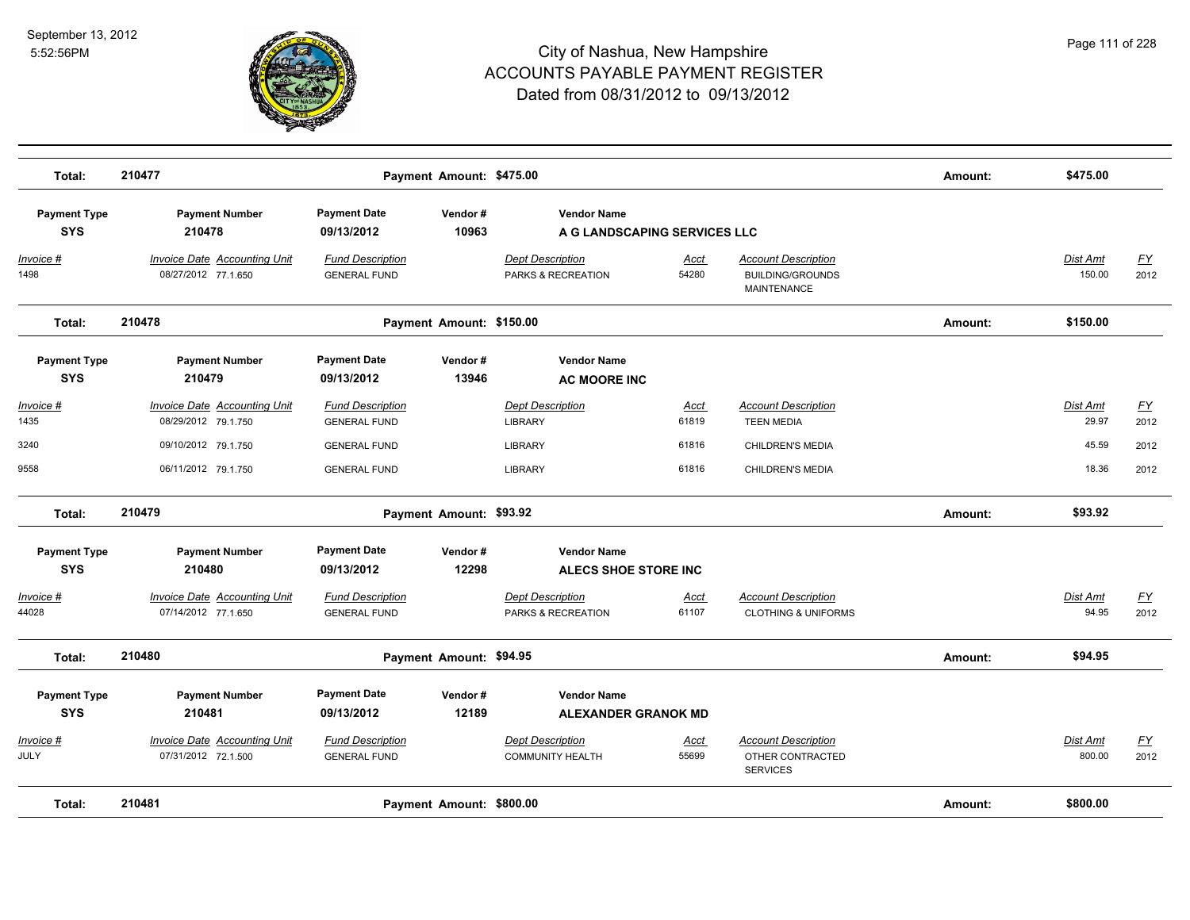

| Total:                            | 210477                                                     |                                                | Payment Amount: \$475.00 |                                                    |                              |                                                                      | Amount: | \$475.00                  |                          |
|-----------------------------------|------------------------------------------------------------|------------------------------------------------|--------------------------|----------------------------------------------------|------------------------------|----------------------------------------------------------------------|---------|---------------------------|--------------------------|
| <b>Payment Type</b><br><b>SYS</b> | <b>Payment Number</b><br>210478                            | <b>Payment Date</b><br>09/13/2012              | Vendor#<br>10963         | <b>Vendor Name</b>                                 | A G LANDSCAPING SERVICES LLC |                                                                      |         |                           |                          |
| Invoice #<br>1498                 | <b>Invoice Date Accounting Unit</b><br>08/27/2012 77.1.650 | <b>Fund Description</b><br><b>GENERAL FUND</b> |                          | <b>Dept Description</b><br>PARKS & RECREATION      | Acct<br>54280                | <b>Account Description</b><br><b>BUILDING/GROUNDS</b><br>MAINTENANCE |         | <b>Dist Amt</b><br>150.00 | $\underline{FY}$<br>2012 |
| Total:                            | 210478                                                     |                                                | Payment Amount: \$150.00 |                                                    |                              |                                                                      | Amount: | \$150.00                  |                          |
| <b>Payment Type</b><br><b>SYS</b> | <b>Payment Number</b><br>210479                            | <b>Payment Date</b><br>09/13/2012              | Vendor#<br>13946         | <b>Vendor Name</b><br><b>AC MOORE INC</b>          |                              |                                                                      |         |                           |                          |
| Invoice #<br>1435                 | <b>Invoice Date Accounting Unit</b><br>08/29/2012 79.1.750 | <b>Fund Description</b><br><b>GENERAL FUND</b> |                          | <b>Dept Description</b><br><b>LIBRARY</b>          | Acct<br>61819                | <b>Account Description</b><br><b>TEEN MEDIA</b>                      |         | Dist Amt<br>29.97         | <u>FY</u><br>2012        |
| 3240                              | 09/10/2012 79.1.750                                        | <b>GENERAL FUND</b>                            |                          | <b>LIBRARY</b>                                     | 61816                        | CHILDREN'S MEDIA                                                     |         | 45.59                     | 2012                     |
| 9558                              | 06/11/2012 79.1.750                                        | <b>GENERAL FUND</b>                            |                          | <b>LIBRARY</b>                                     | 61816                        | CHILDREN'S MEDIA                                                     |         | 18.36                     | 2012                     |
| Total:                            | 210479                                                     |                                                | Payment Amount: \$93.92  |                                                    |                              |                                                                      | Amount: | \$93.92                   |                          |
| <b>Payment Type</b><br><b>SYS</b> | <b>Payment Number</b><br>210480                            | <b>Payment Date</b><br>09/13/2012              | Vendor#<br>12298         | <b>Vendor Name</b><br><b>ALECS SHOE STORE INC</b>  |                              |                                                                      |         |                           |                          |
| Invoice #<br>44028                | <b>Invoice Date Accounting Unit</b><br>07/14/2012 77.1.650 | <b>Fund Description</b><br><b>GENERAL FUND</b> |                          | <b>Dept Description</b><br>PARKS & RECREATION      | Acct<br>61107                | <b>Account Description</b><br><b>CLOTHING &amp; UNIFORMS</b>         |         | Dist Amt<br>94.95         | EY<br>2012               |
| Total:                            | 210480                                                     |                                                | Payment Amount: \$94.95  |                                                    |                              |                                                                      | Amount: | \$94.95                   |                          |
| <b>Payment Type</b>               | <b>Payment Number</b>                                      | <b>Payment Date</b>                            | Vendor#                  | <b>Vendor Name</b>                                 |                              |                                                                      |         |                           |                          |
| <b>SYS</b>                        | 210481                                                     | 09/13/2012                                     | 12189                    | <b>ALEXANDER GRANOK MD</b>                         |                              |                                                                      |         |                           |                          |
| Invoice #<br>JULY                 | <b>Invoice Date Accounting Unit</b><br>07/31/2012 72.1.500 | <b>Fund Description</b><br><b>GENERAL FUND</b> |                          | <b>Dept Description</b><br><b>COMMUNITY HEALTH</b> | Acct<br>55699                | <b>Account Description</b><br>OTHER CONTRACTED<br><b>SERVICES</b>    |         | Dist Amt<br>800.00        | EY<br>2012               |
| Total:                            | 210481                                                     |                                                | Payment Amount: \$800.00 |                                                    |                              |                                                                      | Amount: | \$800.00                  |                          |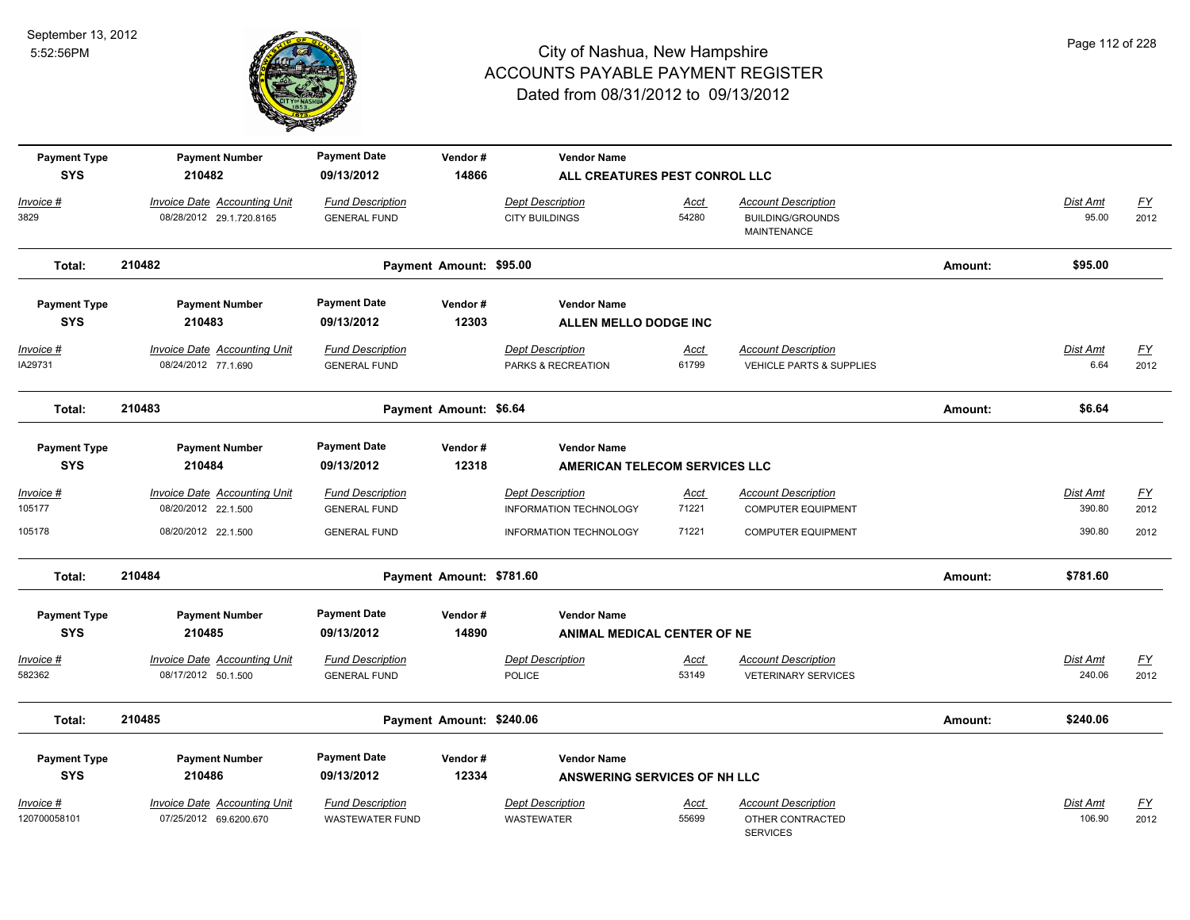

| <b>Payment Type</b>         | <b>Payment Number</b>                                      | <b>Payment Date</b>                            | Vendor#                  | <b>Vendor Name</b>                            |                      |                                                                   |         |                  |                   |
|-----------------------------|------------------------------------------------------------|------------------------------------------------|--------------------------|-----------------------------------------------|----------------------|-------------------------------------------------------------------|---------|------------------|-------------------|
| <b>SYS</b>                  | 210482                                                     | 09/13/2012                                     | 14866                    | ALL CREATURES PEST CONROL LLC                 |                      |                                                                   |         |                  |                   |
| Invoice #                   | <b>Invoice Date Accounting Unit</b>                        | <b>Fund Description</b>                        |                          | <b>Dept Description</b>                       | Acct                 | <b>Account Description</b>                                        |         | Dist Amt         | <u>FY</u>         |
| 3829                        | 08/28/2012 29.1.720.8165                                   | <b>GENERAL FUND</b>                            |                          | <b>CITY BUILDINGS</b>                         | 54280                | <b>BUILDING/GROUNDS</b><br>MAINTENANCE                            |         | 95.00            | 2012              |
| Total:                      | 210482                                                     |                                                | Payment Amount: \$95.00  |                                               |                      |                                                                   | Amount: | \$95.00          |                   |
| <b>Payment Type</b>         | <b>Payment Number</b>                                      | <b>Payment Date</b>                            | Vendor#                  | <b>Vendor Name</b>                            |                      |                                                                   |         |                  |                   |
| <b>SYS</b>                  | 210483                                                     | 09/13/2012                                     | 12303                    | ALLEN MELLO DODGE INC                         |                      |                                                                   |         |                  |                   |
| <u>Invoice #</u><br>IA29731 | <b>Invoice Date Accounting Unit</b><br>08/24/2012 77.1.690 | <b>Fund Description</b><br><b>GENERAL FUND</b> |                          | <b>Dept Description</b><br>PARKS & RECREATION | <u>Acct</u><br>61799 | <b>Account Description</b><br><b>VEHICLE PARTS &amp; SUPPLIES</b> |         | Dist Amt<br>6.64 | <u>FY</u><br>2012 |
|                             |                                                            |                                                |                          |                                               |                      |                                                                   |         |                  |                   |
| Total:                      | 210483                                                     |                                                | Payment Amount: \$6.64   |                                               |                      |                                                                   | Amount: | \$6.64           |                   |
| <b>Payment Type</b>         | <b>Payment Number</b>                                      | <b>Payment Date</b>                            | Vendor#                  | <b>Vendor Name</b>                            |                      |                                                                   |         |                  |                   |
| <b>SYS</b>                  | 210484                                                     | 09/13/2012                                     | 12318                    | <b>AMERICAN TELECOM SERVICES LLC</b>          |                      |                                                                   |         |                  |                   |
| Invoice #                   | <b>Invoice Date Accounting Unit</b>                        | <b>Fund Description</b>                        |                          | <b>Dept Description</b>                       | Acct                 | <b>Account Description</b>                                        |         | <b>Dist Amt</b>  | <u>FY</u>         |
| 105177                      | 08/20/2012 22.1.500                                        | <b>GENERAL FUND</b>                            |                          | INFORMATION TECHNOLOGY                        | 71221                | <b>COMPUTER EQUIPMENT</b>                                         |         | 390.80           | 2012              |
| 105178                      | 08/20/2012 22.1.500                                        | <b>GENERAL FUND</b>                            |                          | <b>INFORMATION TECHNOLOGY</b>                 | 71221                | <b>COMPUTER EQUIPMENT</b>                                         |         | 390.80           | 2012              |
| Total:                      | 210484                                                     |                                                | Payment Amount: \$781.60 |                                               |                      |                                                                   | Amount: | \$781.60         |                   |
| <b>Payment Type</b>         | <b>Payment Number</b>                                      | <b>Payment Date</b>                            | Vendor#                  | <b>Vendor Name</b>                            |                      |                                                                   |         |                  |                   |
| <b>SYS</b>                  | 210485                                                     | 09/13/2012                                     | 14890                    | <b>ANIMAL MEDICAL CENTER OF NE</b>            |                      |                                                                   |         |                  |                   |
| Invoice #                   | Invoice Date Accounting Unit                               | <b>Fund Description</b>                        |                          | <b>Dept Description</b>                       | Acct                 | <b>Account Description</b>                                        |         | Dist Amt         | <u>FY</u>         |
| 582362                      | 08/17/2012 50.1.500                                        | <b>GENERAL FUND</b>                            |                          | POLICE                                        | 53149                | <b>VETERINARY SERVICES</b>                                        |         | 240.06           | 2012              |
| Total:                      | 210485                                                     |                                                | Payment Amount: \$240.06 |                                               |                      |                                                                   | Amount: | \$240.06         |                   |
| <b>Payment Type</b>         | <b>Payment Number</b>                                      | <b>Payment Date</b>                            | Vendor#                  | <b>Vendor Name</b>                            |                      |                                                                   |         |                  |                   |
| <b>SYS</b>                  | 210486                                                     | 09/13/2012                                     | 12334                    | <b>ANSWERING SERVICES OF NH LLC</b>           |                      |                                                                   |         |                  |                   |
| Invoice #                   | <b>Invoice Date Accounting Unit</b>                        | <b>Fund Description</b>                        |                          | <b>Dept Description</b>                       | Acct                 | <b>Account Description</b>                                        |         | Dist Amt         | <u>FY</u>         |
| 120700058101                | 07/25/2012 69.6200.670                                     | <b>WASTEWATER FUND</b>                         |                          | <b>WASTEWATER</b>                             | 55699                | OTHER CONTRACTED<br><b>SERVICES</b>                               |         | 106.90           | 2012              |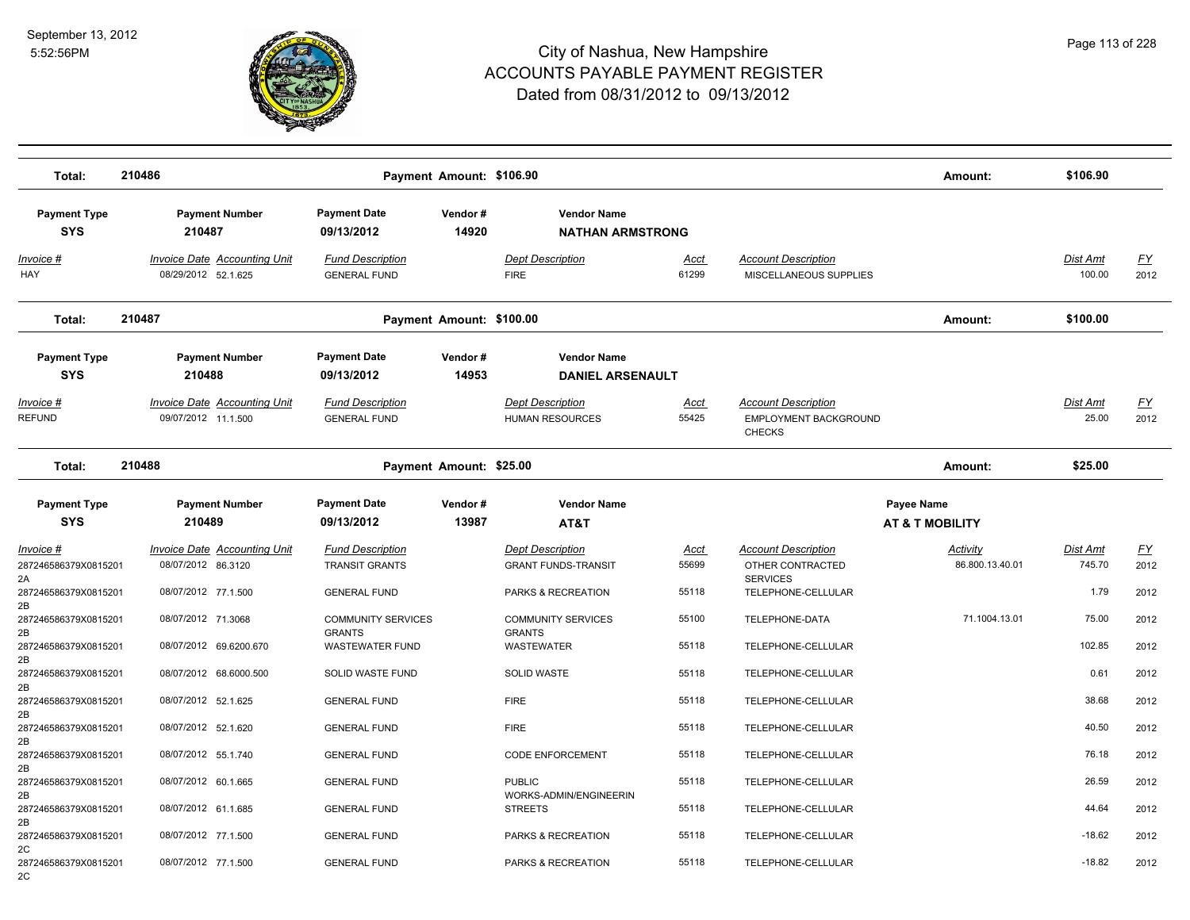

| Total:                                                          | 210486                                                                    |                                                                         | Payment Amount: \$106.90 |                                                                             |                               |                                                                                         | Amount:                                  | \$106.90                   |                                           |
|-----------------------------------------------------------------|---------------------------------------------------------------------------|-------------------------------------------------------------------------|--------------------------|-----------------------------------------------------------------------------|-------------------------------|-----------------------------------------------------------------------------------------|------------------------------------------|----------------------------|-------------------------------------------|
| <b>Payment Type</b><br><b>SYS</b>                               | <b>Payment Number</b><br>210487                                           | <b>Payment Date</b><br>09/13/2012                                       | Vendor#<br>14920         | <b>Vendor Name</b><br><b>NATHAN ARMSTRONG</b>                               |                               |                                                                                         |                                          |                            |                                           |
| Invoice #<br>HAY                                                | <b>Invoice Date Accounting Unit</b><br>08/29/2012 52.1.625                | <b>Fund Description</b><br><b>GENERAL FUND</b>                          |                          | <b>Dept Description</b><br><b>FIRE</b>                                      | Acct<br>61299                 | <b>Account Description</b><br>MISCELLANEOUS SUPPLIES                                    |                                          | Dist Amt<br>100.00         | <u>FY</u><br>2012                         |
| Total:                                                          | 210487                                                                    |                                                                         | Payment Amount: \$100.00 |                                                                             |                               |                                                                                         | Amount:                                  | \$100.00                   |                                           |
| <b>Payment Type</b><br><b>SYS</b>                               | <b>Payment Number</b><br>210488                                           | <b>Payment Date</b><br>09/13/2012                                       | Vendor#<br>14953         | <b>Vendor Name</b><br><b>DANIEL ARSENAULT</b>                               |                               |                                                                                         |                                          |                            |                                           |
| Invoice #<br><b>REFUND</b>                                      | <b>Invoice Date Accounting Unit</b><br>09/07/2012 11.1.500                | <b>Fund Description</b><br><b>GENERAL FUND</b>                          |                          | <b>Dept Description</b><br>HUMAN RESOURCES                                  | <u>Acct</u><br>55425          | <b>Account Description</b><br>EMPLOYMENT BACKGROUND<br><b>CHECKS</b>                    |                                          | Dist Amt<br>25.00          | <u>FY</u><br>2012                         |
| Total:                                                          | 210488                                                                    |                                                                         | Payment Amount: \$25.00  |                                                                             |                               |                                                                                         | Amount:                                  | \$25.00                    |                                           |
| <b>Payment Type</b><br><b>SYS</b>                               | <b>Payment Number</b><br>210489                                           | <b>Payment Date</b><br>09/13/2012                                       | Vendor#<br>13987         | <b>Vendor Name</b><br>AT&T                                                  |                               |                                                                                         | Payee Name<br><b>AT &amp; T MOBILITY</b> |                            |                                           |
| Invoice #<br>287246586379X0815201<br>2A<br>287246586379X0815201 | Invoice Date Accounting Unit<br>08/07/2012 86.3120<br>08/07/2012 77.1.500 | <b>Fund Description</b><br><b>TRANSIT GRANTS</b><br><b>GENERAL FUND</b> |                          | <b>Dept Description</b><br><b>GRANT FUNDS-TRANSIT</b><br>PARKS & RECREATION | <b>Acct</b><br>55699<br>55118 | <b>Account Description</b><br>OTHER CONTRACTED<br><b>SERVICES</b><br>TELEPHONE-CELLULAR | Activity<br>86.800.13.40.01              | Dist Amt<br>745.70<br>1.79 | $\underline{\mathsf{FY}}$<br>2012<br>2012 |
| 2B<br>287246586379X0815201<br>2B                                | 08/07/2012 71.3068                                                        | <b>COMMUNITY SERVICES</b><br><b>GRANTS</b>                              |                          | <b>COMMUNITY SERVICES</b><br><b>GRANTS</b>                                  | 55100                         | TELEPHONE-DATA                                                                          | 71.1004.13.01                            | 75.00                      | 2012                                      |
| 287246586379X0815201<br>2B<br>287246586379X0815201<br>2B        | 08/07/2012 69.6200.670<br>08/07/2012 68.6000.500                          | <b>WASTEWATER FUND</b><br>SOLID WASTE FUND                              |                          | WASTEWATER<br>SOLID WASTE                                                   | 55118<br>55118                | TELEPHONE-CELLULAR<br>TELEPHONE-CELLULAR                                                |                                          | 102.85<br>0.61             | 2012<br>2012                              |
| 287246586379X0815201<br>2B<br>287246586379X0815201              | 08/07/2012 52.1.625<br>08/07/2012 52.1.620                                | <b>GENERAL FUND</b><br><b>GENERAL FUND</b>                              |                          | <b>FIRE</b><br><b>FIRE</b>                                                  | 55118<br>55118                | TELEPHONE-CELLULAR<br>TELEPHONE-CELLULAR                                                |                                          | 38.68<br>40.50             | 2012<br>2012                              |
| 2B<br>287246586379X0815201<br>2B                                | 08/07/2012 55.1.740                                                       | <b>GENERAL FUND</b>                                                     |                          | <b>CODE ENFORCEMENT</b>                                                     | 55118                         | TELEPHONE-CELLULAR                                                                      |                                          | 76.18                      | 2012                                      |
| 287246586379X0815201<br>2B<br>287246586379X0815201              | 08/07/2012 60.1.665<br>08/07/2012 61.1.685                                | <b>GENERAL FUND</b><br><b>GENERAL FUND</b>                              |                          | <b>PUBLIC</b><br>WORKS-ADMIN/ENGINEERIN<br><b>STREETS</b>                   | 55118<br>55118                | TELEPHONE-CELLULAR<br>TELEPHONE-CELLULAR                                                |                                          | 26.59<br>44.64             | 2012<br>2012                              |
| 2B<br>287246586379X0815201<br>2C<br>287246586379X0815201        | 08/07/2012 77.1.500<br>08/07/2012 77.1.500                                | <b>GENERAL FUND</b><br><b>GENERAL FUND</b>                              |                          | PARKS & RECREATION<br>PARKS & RECREATION                                    | 55118<br>55118                | TELEPHONE-CELLULAR<br>TELEPHONE-CELLULAR                                                |                                          | $-18.62$<br>$-18.82$       | 2012<br>2012                              |
| 2C                                                              |                                                                           |                                                                         |                          |                                                                             |                               |                                                                                         |                                          |                            |                                           |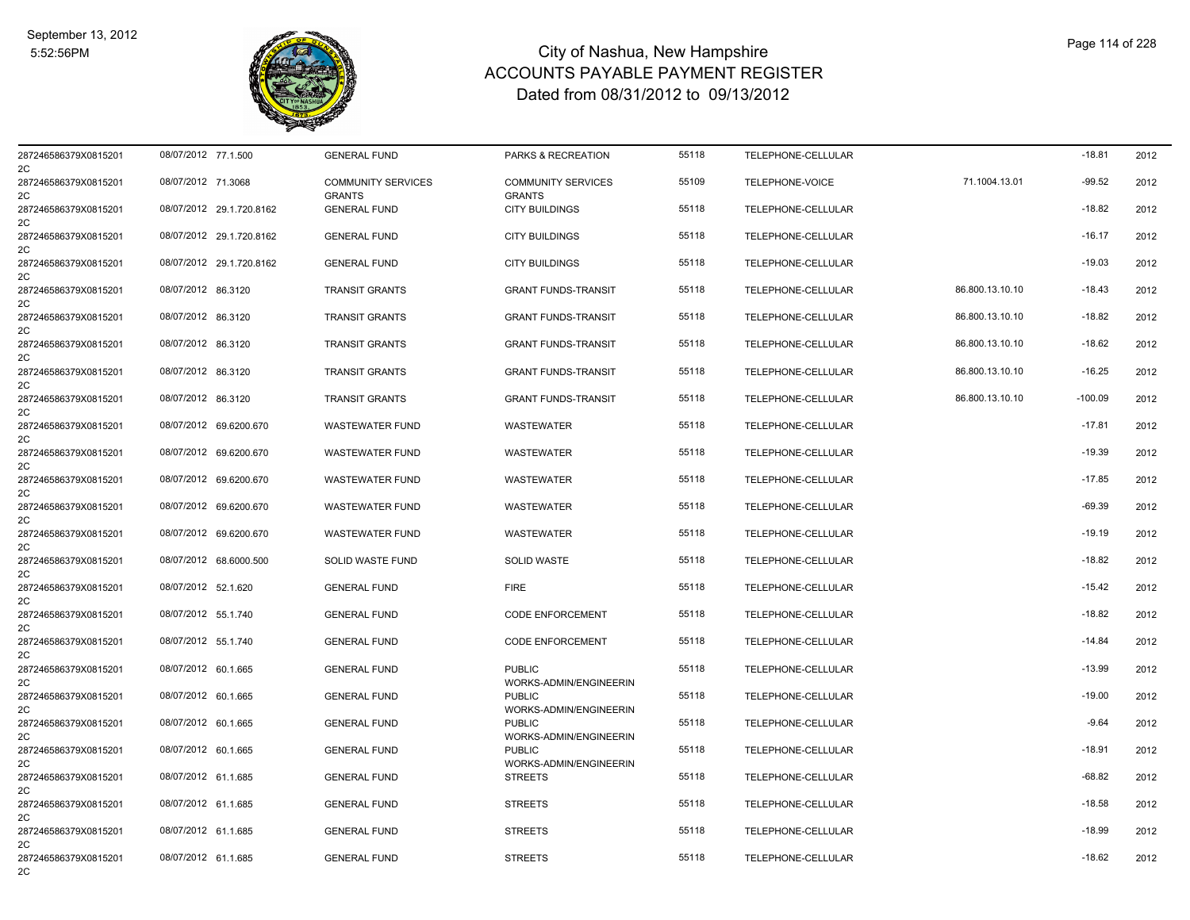

| 287246586379X0815201<br>2C | 08/07/2012 77.1.500 |                          | <b>GENERAL FUND</b>                        | PARKS & RECREATION                         | 55118 | TELEPHONE-CELLULAR |                 | $-18.81$  | 2012 |
|----------------------------|---------------------|--------------------------|--------------------------------------------|--------------------------------------------|-------|--------------------|-----------------|-----------|------|
| 287246586379X0815201<br>2C | 08/07/2012 71.3068  |                          | <b>COMMUNITY SERVICES</b><br><b>GRANTS</b> | <b>COMMUNITY SERVICES</b><br><b>GRANTS</b> | 55109 | TELEPHONE-VOICE    | 71.1004.13.01   | $-99.52$  | 2012 |
| 287246586379X0815201<br>2C |                     | 08/07/2012 29.1.720.8162 | <b>GENERAL FUND</b>                        | <b>CITY BUILDINGS</b>                      | 55118 | TELEPHONE-CELLULAR |                 | $-18.82$  | 2012 |
| 287246586379X0815201<br>2C |                     | 08/07/2012 29.1.720.8162 | <b>GENERAL FUND</b>                        | <b>CITY BUILDINGS</b>                      | 55118 | TELEPHONE-CELLULAR |                 | $-16.17$  | 2012 |
| 287246586379X0815201<br>2C |                     | 08/07/2012 29.1.720.8162 | <b>GENERAL FUND</b>                        | <b>CITY BUILDINGS</b>                      | 55118 | TELEPHONE-CELLULAR |                 | $-19.03$  | 2012 |
| 287246586379X0815201<br>2C | 08/07/2012 86.3120  |                          | <b>TRANSIT GRANTS</b>                      | <b>GRANT FUNDS-TRANSIT</b>                 | 55118 | TELEPHONE-CELLULAR | 86.800.13.10.10 | $-18.43$  | 2012 |
| 287246586379X0815201<br>2C | 08/07/2012 86.3120  |                          | <b>TRANSIT GRANTS</b>                      | <b>GRANT FUNDS-TRANSIT</b>                 | 55118 | TELEPHONE-CELLULAR | 86.800.13.10.10 | $-18.82$  | 2012 |
| 287246586379X0815201<br>2C | 08/07/2012 86.3120  |                          | <b>TRANSIT GRANTS</b>                      | <b>GRANT FUNDS-TRANSIT</b>                 | 55118 | TELEPHONE-CELLULAR | 86.800.13.10.10 | $-18.62$  | 2012 |
| 287246586379X0815201<br>2C | 08/07/2012 86.3120  |                          | <b>TRANSIT GRANTS</b>                      | <b>GRANT FUNDS-TRANSIT</b>                 | 55118 | TELEPHONE-CELLULAR | 86.800.13.10.10 | $-16.25$  | 2012 |
| 287246586379X0815201<br>2C | 08/07/2012 86.3120  |                          | <b>TRANSIT GRANTS</b>                      | <b>GRANT FUNDS-TRANSIT</b>                 | 55118 | TELEPHONE-CELLULAR | 86.800.13.10.10 | $-100.09$ | 2012 |
| 287246586379X0815201<br>2C |                     | 08/07/2012 69.6200.670   | <b>WASTEWATER FUND</b>                     | WASTEWATER                                 | 55118 | TELEPHONE-CELLULAR |                 | $-17.81$  | 2012 |
| 287246586379X0815201<br>2C |                     | 08/07/2012 69.6200.670   | <b>WASTEWATER FUND</b>                     | WASTEWATER                                 | 55118 | TELEPHONE-CELLULAR |                 | $-19.39$  | 2012 |
| 287246586379X0815201<br>2C |                     | 08/07/2012 69.6200.670   | <b>WASTEWATER FUND</b>                     | <b>WASTEWATER</b>                          | 55118 | TELEPHONE-CELLULAR |                 | $-17.85$  | 2012 |
| 287246586379X0815201<br>2C |                     | 08/07/2012 69.6200.670   | <b>WASTEWATER FUND</b>                     | <b>WASTEWATER</b>                          | 55118 | TELEPHONE-CELLULAR |                 | $-69.39$  | 2012 |
| 287246586379X0815201<br>2C |                     | 08/07/2012 69.6200.670   | <b>WASTEWATER FUND</b>                     | WASTEWATER                                 | 55118 | TELEPHONE-CELLULAR |                 | $-19.19$  | 2012 |
| 287246586379X0815201<br>2C |                     | 08/07/2012 68.6000.500   | SOLID WASTE FUND                           | <b>SOLID WASTE</b>                         | 55118 | TELEPHONE-CELLULAR |                 | $-18.82$  | 2012 |
| 287246586379X0815201<br>2C | 08/07/2012 52.1.620 |                          | <b>GENERAL FUND</b>                        | <b>FIRE</b>                                | 55118 | TELEPHONE-CELLULAR |                 | $-15.42$  | 2012 |
| 287246586379X0815201<br>2C | 08/07/2012 55.1.740 |                          | <b>GENERAL FUND</b>                        | <b>CODE ENFORCEMENT</b>                    | 55118 | TELEPHONE-CELLULAR |                 | $-18.82$  | 2012 |
| 287246586379X0815201<br>2C | 08/07/2012 55.1.740 |                          | <b>GENERAL FUND</b>                        | <b>CODE ENFORCEMENT</b>                    | 55118 | TELEPHONE-CELLULAR |                 | $-14.84$  | 2012 |
| 287246586379X0815201<br>2C | 08/07/2012 60.1.665 |                          | <b>GENERAL FUND</b>                        | <b>PUBLIC</b><br>WORKS-ADMIN/ENGINEERIN    | 55118 | TELEPHONE-CELLULAR |                 | $-13.99$  | 2012 |
| 287246586379X0815201<br>2C | 08/07/2012 60.1.665 |                          | <b>GENERAL FUND</b>                        | <b>PUBLIC</b><br>WORKS-ADMIN/ENGINEERIN    | 55118 | TELEPHONE-CELLULAR |                 | $-19.00$  | 2012 |
| 287246586379X0815201<br>2C | 08/07/2012 60.1.665 |                          | <b>GENERAL FUND</b>                        | <b>PUBLIC</b><br>WORKS-ADMIN/ENGINEERIN    | 55118 | TELEPHONE-CELLULAR |                 | $-9.64$   | 2012 |
| 287246586379X0815201<br>2C | 08/07/2012 60.1.665 |                          | <b>GENERAL FUND</b>                        | <b>PUBLIC</b><br>WORKS-ADMIN/ENGINEERIN    | 55118 | TELEPHONE-CELLULAR |                 | $-18.91$  | 2012 |
| 287246586379X0815201<br>2C | 08/07/2012 61.1.685 |                          | <b>GENERAL FUND</b>                        | <b>STREETS</b>                             | 55118 | TELEPHONE-CELLULAR |                 | $-68.82$  | 2012 |
| 287246586379X0815201<br>2C | 08/07/2012 61.1.685 |                          | <b>GENERAL FUND</b>                        | <b>STREETS</b>                             | 55118 | TELEPHONE-CELLULAR |                 | $-18.58$  | 2012 |
| 287246586379X0815201<br>2C | 08/07/2012 61.1.685 |                          | <b>GENERAL FUND</b>                        | <b>STREETS</b>                             | 55118 | TELEPHONE-CELLULAR |                 | $-18.99$  | 2012 |
| 287246586379X0815201<br>2C | 08/07/2012 61.1.685 |                          | <b>GENERAL FUND</b>                        | <b>STREETS</b>                             | 55118 | TELEPHONE-CELLULAR |                 | $-18.62$  | 2012 |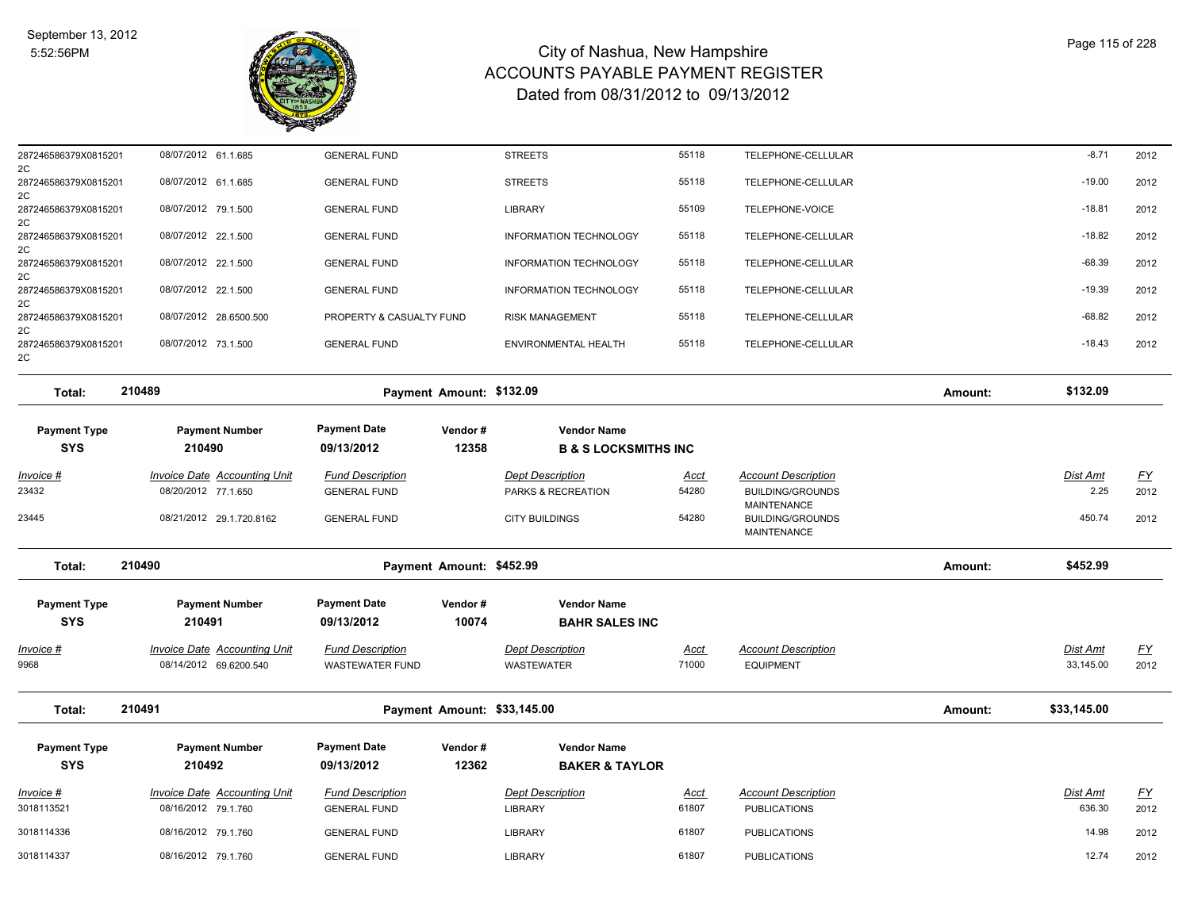

| 287246586379X0815201<br>2C        | 08/07/2012 61.1.685                                           | <b>GENERAL FUND</b>                               |                             | <b>STREETS</b>                                | 55118                | TELEPHONE-CELLULAR                                    |         | $-8.71$                      | 2012                              |
|-----------------------------------|---------------------------------------------------------------|---------------------------------------------------|-----------------------------|-----------------------------------------------|----------------------|-------------------------------------------------------|---------|------------------------------|-----------------------------------|
| 287246586379X0815201<br>2C        | 08/07/2012 61.1.685                                           | <b>GENERAL FUND</b>                               |                             | <b>STREETS</b>                                | 55118                | TELEPHONE-CELLULAR                                    |         | $-19.00$                     | 2012                              |
| 287246586379X0815201<br>2C        | 08/07/2012 79.1.500                                           | <b>GENERAL FUND</b>                               |                             | <b>LIBRARY</b>                                | 55109                | TELEPHONE-VOICE                                       |         | $-18.81$                     | 2012                              |
| 287246586379X0815201<br>2C        | 08/07/2012 22.1.500                                           | <b>GENERAL FUND</b>                               |                             | <b>INFORMATION TECHNOLOGY</b>                 | 55118                | TELEPHONE-CELLULAR                                    |         | $-18.82$                     | 2012                              |
| 287246586379X0815201<br>2C        | 08/07/2012 22.1.500                                           | <b>GENERAL FUND</b>                               |                             | INFORMATION TECHNOLOGY                        | 55118                | TELEPHONE-CELLULAR                                    |         | $-68.39$                     | 2012                              |
| 287246586379X0815201<br>2C        | 08/07/2012 22.1.500                                           | <b>GENERAL FUND</b>                               |                             | <b>INFORMATION TECHNOLOGY</b>                 | 55118                | TELEPHONE-CELLULAR                                    |         | $-19.39$                     | 2012                              |
| 287246586379X0815201<br>2C        | 08/07/2012 28.6500.500                                        | PROPERTY & CASUALTY FUND                          |                             | RISK MANAGEMENT                               | 55118                | TELEPHONE-CELLULAR                                    |         | $-68.82$                     | 2012                              |
| 287246586379X0815201<br>2C        | 08/07/2012 73.1.500                                           | <b>GENERAL FUND</b>                               |                             | ENVIRONMENTAL HEALTH                          | 55118                | TELEPHONE-CELLULAR                                    |         | $-18.43$                     | 2012                              |
| Total:                            | 210489                                                        |                                                   | Payment Amount: \$132.09    |                                               |                      |                                                       | Amount: | \$132.09                     |                                   |
| <b>Payment Type</b>               | <b>Payment Number</b>                                         | <b>Payment Date</b>                               | Vendor#                     | <b>Vendor Name</b>                            |                      |                                                       |         |                              |                                   |
| <b>SYS</b>                        | 210490                                                        | 09/13/2012                                        | 12358                       | <b>B &amp; S LOCKSMITHS INC</b>               |                      |                                                       |         |                              |                                   |
| <u> Invoice #</u><br>23432        | <b>Invoice Date Accounting Unit</b><br>08/20/2012 77.1.650    | <b>Fund Description</b><br><b>GENERAL FUND</b>    |                             | <b>Dept Description</b><br>PARKS & RECREATION | <u>Acct</u><br>54280 | <b>Account Description</b><br><b>BUILDING/GROUNDS</b> |         | <b>Dist Amt</b><br>2.25      | $\underline{\mathsf{FY}}$<br>2012 |
| 23445                             | 08/21/2012 29.1.720.8162                                      | <b>GENERAL FUND</b>                               |                             | <b>CITY BUILDINGS</b>                         | 54280                | MAINTENANCE<br><b>BUILDING/GROUNDS</b><br>MAINTENANCE |         | 450.74                       | 2012                              |
| Total:                            | 210490                                                        |                                                   | Payment Amount: \$452.99    |                                               |                      |                                                       | Amount: | \$452.99                     |                                   |
| <b>Payment Type</b><br><b>SYS</b> | <b>Payment Number</b><br>210491                               | <b>Payment Date</b><br>09/13/2012                 | Vendor#<br>10074            | <b>Vendor Name</b><br><b>BAHR SALES INC</b>   |                      |                                                       |         |                              |                                   |
| <u> Invoice #</u><br>9968         | <b>Invoice Date Accounting Unit</b><br>08/14/2012 69.6200.540 | <b>Fund Description</b><br><b>WASTEWATER FUND</b> |                             | <b>Dept Description</b><br>WASTEWATER         | <u>Acct</u><br>71000 | <b>Account Description</b><br><b>EQUIPMENT</b>        |         | <b>Dist Amt</b><br>33,145.00 | $\underline{\mathsf{FY}}$<br>2012 |
| Total:                            | 210491                                                        |                                                   | Payment Amount: \$33,145.00 |                                               |                      |                                                       | Amount: | \$33,145.00                  |                                   |
| <b>Payment Type</b>               | <b>Payment Number</b>                                         | <b>Payment Date</b>                               | Vendor#                     | <b>Vendor Name</b>                            |                      |                                                       |         |                              |                                   |
| <b>SYS</b>                        | 210492                                                        | 09/13/2012                                        | 12362                       | <b>BAKER &amp; TAYLOR</b>                     |                      |                                                       |         |                              |                                   |
| Invoice #<br>3018113521           | <b>Invoice Date Accounting Unit</b><br>08/16/2012 79.1.760    | <b>Fund Description</b><br><b>GENERAL FUND</b>    |                             | <b>Dept Description</b><br><b>LIBRARY</b>     | <u>Acct</u><br>61807 | <b>Account Description</b><br><b>PUBLICATIONS</b>     |         | <b>Dist Amt</b><br>636.30    | $\underline{FY}$<br>2012          |
| 3018114336                        | 08/16/2012 79.1.760                                           | <b>GENERAL FUND</b>                               |                             | <b>LIBRARY</b>                                | 61807                | <b>PUBLICATIONS</b>                                   |         | 14.98                        | 2012                              |
| 3018114337                        | 08/16/2012 79.1.760                                           | <b>GENERAL FUND</b>                               |                             | <b>LIBRARY</b>                                | 61807                | <b>PUBLICATIONS</b>                                   |         | 12.74                        | 2012                              |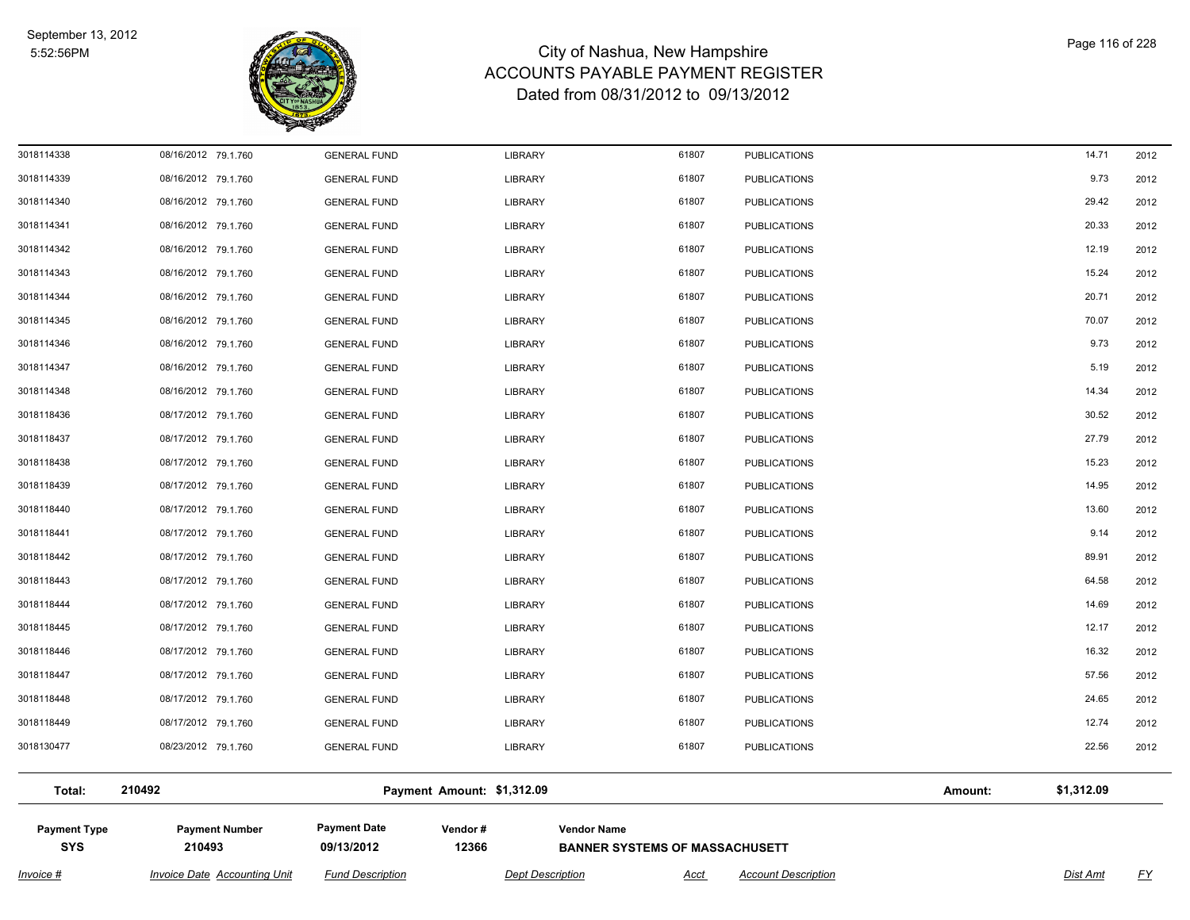

| Invoice #                         | <b>Invoice Date Accounting Unit</b> | <b>Fund Description</b>           | <b>Dept Description</b>    | <b>Acct</b>                                                 | <b>Account Description</b> |         | Dist Amt   | <u>FY</u> |
|-----------------------------------|-------------------------------------|-----------------------------------|----------------------------|-------------------------------------------------------------|----------------------------|---------|------------|-----------|
| <b>Payment Type</b><br><b>SYS</b> | <b>Payment Number</b><br>210493     | <b>Payment Date</b><br>09/13/2012 | Vendor#<br>12366           | <b>Vendor Name</b><br><b>BANNER SYSTEMS OF MASSACHUSETT</b> |                            |         |            |           |
| Total:                            | 210492                              |                                   | Payment Amount: \$1,312.09 |                                                             |                            | Amount: | \$1,312.09 |           |
| 3018130477                        | 08/23/2012 79.1.760                 | <b>GENERAL FUND</b>               | <b>LIBRARY</b>             | 61807                                                       | <b>PUBLICATIONS</b>        |         | 22.56      | 2012      |
| 3018118449                        | 08/17/2012 79.1.760                 | <b>GENERAL FUND</b>               | LIBRARY                    | 61807                                                       | <b>PUBLICATIONS</b>        |         | 12.74      | 2012      |
| 3018118448                        | 08/17/2012 79.1.760                 | <b>GENERAL FUND</b>               | LIBRARY                    | 61807                                                       | <b>PUBLICATIONS</b>        |         | 24.65      | 2012      |
| 3018118447                        | 08/17/2012 79.1.760                 | <b>GENERAL FUND</b>               | <b>LIBRARY</b>             | 61807                                                       | <b>PUBLICATIONS</b>        |         | 57.56      | 2012      |
| 3018118446                        | 08/17/2012 79.1.760                 | <b>GENERAL FUND</b>               | LIBRARY                    | 61807                                                       | <b>PUBLICATIONS</b>        |         | 16.32      | 2012      |
| 3018118445                        | 08/17/2012 79.1.760                 | <b>GENERAL FUND</b>               | LIBRARY                    | 61807                                                       | <b>PUBLICATIONS</b>        |         | 12.17      | 2012      |
| 3018118444                        | 08/17/2012 79.1.760                 | <b>GENERAL FUND</b>               | <b>LIBRARY</b>             | 61807                                                       | <b>PUBLICATIONS</b>        |         | 14.69      | 2012      |
| 3018118443                        | 08/17/2012 79.1.760                 | <b>GENERAL FUND</b>               | LIBRARY                    | 61807                                                       | <b>PUBLICATIONS</b>        |         | 64.58      | 2012      |
| 3018118442                        | 08/17/2012 79.1.760                 | <b>GENERAL FUND</b>               | LIBRARY                    | 61807                                                       | <b>PUBLICATIONS</b>        |         | 89.91      | 2012      |
| 3018118441                        | 08/17/2012 79.1.760                 | <b>GENERAL FUND</b>               | LIBRARY                    | 61807                                                       | <b>PUBLICATIONS</b>        |         | 9.14       | 2012      |
| 3018118440                        | 08/17/2012 79.1.760                 | <b>GENERAL FUND</b>               | <b>LIBRARY</b>             | 61807                                                       | <b>PUBLICATIONS</b>        |         | 13.60      | 2012      |
| 3018118439                        | 08/17/2012 79.1.760                 | <b>GENERAL FUND</b>               | LIBRARY                    | 61807                                                       | <b>PUBLICATIONS</b>        |         | 14.95      | 2012      |
| 3018118438                        | 08/17/2012 79.1.760                 | <b>GENERAL FUND</b>               | <b>LIBRARY</b>             | 61807                                                       | <b>PUBLICATIONS</b>        |         | 15.23      | 2012      |
| 3018118437                        | 08/17/2012 79.1.760                 | <b>GENERAL FUND</b>               | <b>LIBRARY</b>             | 61807                                                       | <b>PUBLICATIONS</b>        |         | 27.79      | 2012      |
| 3018118436                        | 08/17/2012 79.1.760                 | <b>GENERAL FUND</b>               | LIBRARY                    | 61807                                                       | <b>PUBLICATIONS</b>        |         | 30.52      | 2012      |
| 3018114348                        | 08/16/2012 79.1.760                 | <b>GENERAL FUND</b>               | LIBRARY                    | 61807                                                       | <b>PUBLICATIONS</b>        |         | 14.34      | 2012      |
| 3018114347                        | 08/16/2012 79.1.760                 | <b>GENERAL FUND</b>               | LIBRARY                    | 61807                                                       | <b>PUBLICATIONS</b>        |         | 5.19       | 2012      |
| 3018114346                        | 08/16/2012 79.1.760                 | <b>GENERAL FUND</b>               | LIBRARY                    | 61807                                                       | <b>PUBLICATIONS</b>        |         | 9.73       | 2012      |
| 3018114345                        | 08/16/2012 79.1.760                 | <b>GENERAL FUND</b>               | <b>LIBRARY</b>             | 61807                                                       | <b>PUBLICATIONS</b>        |         | 70.07      | 2012      |
| 3018114344                        | 08/16/2012 79.1.760                 | <b>GENERAL FUND</b>               | LIBRARY                    | 61807                                                       | <b>PUBLICATIONS</b>        |         | 20.71      | 2012      |
| 3018114343                        | 08/16/2012 79.1.760                 | <b>GENERAL FUND</b>               | LIBRARY                    | 61807                                                       | <b>PUBLICATIONS</b>        |         | 15.24      | 2012      |
| 3018114342                        | 08/16/2012 79.1.760                 | <b>GENERAL FUND</b>               | <b>LIBRARY</b>             | 61807                                                       | <b>PUBLICATIONS</b>        |         | 12.19      | 2012      |
| 3018114341                        | 08/16/2012 79.1.760                 | <b>GENERAL FUND</b>               | <b>LIBRARY</b>             | 61807                                                       | <b>PUBLICATIONS</b>        |         | 20.33      | 2012      |
| 3018114340                        | 08/16/2012 79.1.760                 | <b>GENERAL FUND</b>               | LIBRARY                    | 61807                                                       | <b>PUBLICATIONS</b>        |         | 29.42      | 2012      |
| 3018114339                        | 08/16/2012 79.1.760                 | <b>GENERAL FUND</b>               | LIBRARY                    | 61807                                                       | <b>PUBLICATIONS</b>        |         | 9.73       | 2012      |
| 3018114338                        | 08/16/2012 79.1.760                 | <b>GENERAL FUND</b>               | <b>LIBRARY</b>             | 61807                                                       | <b>PUBLICATIONS</b>        |         | 14.71      | 2012      |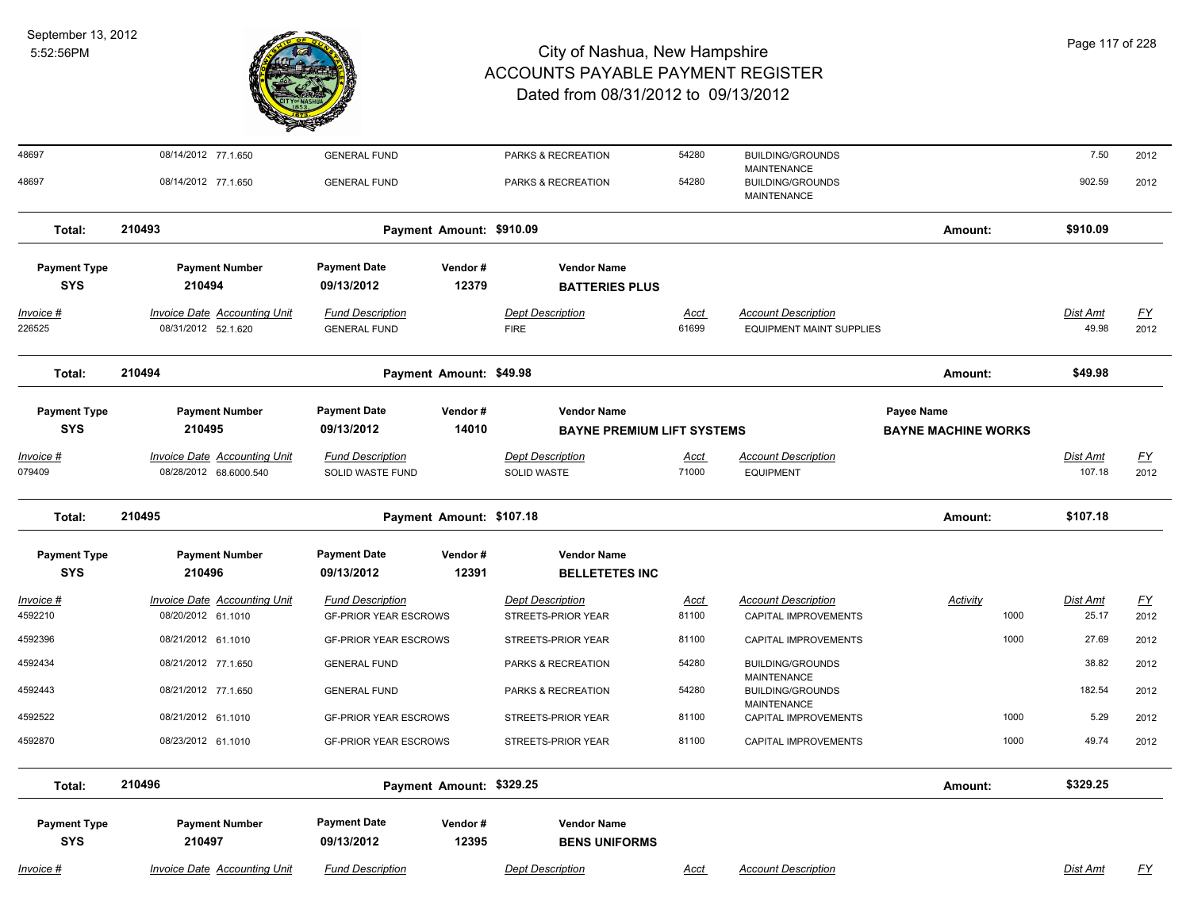

| 48697                             | 08/14/2012 77.1.650                                           | <b>GENERAL FUND</b>                                     |                  | PARKS & RECREATION                                      | 54280                | <b>BUILDING/GROUNDS</b>                                       |                                          | 7.50                      | 2012              |
|-----------------------------------|---------------------------------------------------------------|---------------------------------------------------------|------------------|---------------------------------------------------------|----------------------|---------------------------------------------------------------|------------------------------------------|---------------------------|-------------------|
| 48697                             | 08/14/2012 77.1.650                                           | <b>GENERAL FUND</b>                                     |                  | PARKS & RECREATION                                      | 54280                | MAINTENANCE<br><b>BUILDING/GROUNDS</b><br>MAINTENANCE         |                                          | 902.59                    | 2012              |
| Total:                            | 210493                                                        | Payment Amount: \$910.09                                |                  |                                                         |                      |                                                               | Amount:                                  | \$910.09                  |                   |
| <b>Payment Type</b><br><b>SYS</b> | <b>Payment Number</b><br>210494                               | <b>Payment Date</b><br>09/13/2012                       | Vendor#<br>12379 | <b>Vendor Name</b><br><b>BATTERIES PLUS</b>             |                      |                                                               |                                          |                           |                   |
| Invoice #<br>226525               | <b>Invoice Date Accounting Unit</b><br>08/31/2012 52.1.620    | <b>Fund Description</b><br><b>GENERAL FUND</b>          |                  | <b>Dept Description</b><br><b>FIRE</b>                  | <u>Acct</u><br>61699 | <b>Account Description</b><br><b>EQUIPMENT MAINT SUPPLIES</b> |                                          | Dist Amt<br>49.98         | <u>FY</u><br>2012 |
| Total:                            | 210494                                                        | Payment Amount: \$49.98                                 |                  |                                                         |                      |                                                               | Amount:                                  | \$49.98                   |                   |
| <b>Payment Type</b><br><b>SYS</b> | <b>Payment Number</b><br>210495                               | <b>Payment Date</b><br>09/13/2012                       | Vendor#<br>14010 | <b>Vendor Name</b><br><b>BAYNE PREMIUM LIFT SYSTEMS</b> |                      |                                                               | Payee Name<br><b>BAYNE MACHINE WORKS</b> |                           |                   |
| <u> Invoice #</u><br>079409       | <b>Invoice Date Accounting Unit</b><br>08/28/2012 68.6000.540 | <b>Fund Description</b><br><b>SOLID WASTE FUND</b>      |                  | <b>Dept Description</b><br><b>SOLID WASTE</b>           | <u>Acct</u><br>71000 | <b>Account Description</b><br><b>EQUIPMENT</b>                |                                          | <b>Dist Amt</b><br>107.18 | <u>FY</u><br>2012 |
| Total:                            | 210495                                                        | Payment Amount: \$107.18                                |                  |                                                         |                      |                                                               | Amount:                                  | \$107.18                  |                   |
| <b>Payment Type</b><br><b>SYS</b> | <b>Payment Number</b><br>210496                               | <b>Payment Date</b><br>09/13/2012                       | Vendor#<br>12391 | <b>Vendor Name</b><br><b>BELLETETES INC</b>             |                      |                                                               |                                          |                           |                   |
| Invoice #<br>4592210              | Invoice Date Accounting Unit<br>08/20/2012 61.1010            | <b>Fund Description</b><br><b>GF-PRIOR YEAR ESCROWS</b> |                  | <b>Dept Description</b><br>STREETS-PRIOR YEAR           | <u>Acct</u><br>81100 | <b>Account Description</b><br>CAPITAL IMPROVEMENTS            | Activity<br>1000                         | Dist Amt<br>25.17         | EY<br>2012        |
| 4592396                           | 08/21/2012 61.1010                                            | <b>GF-PRIOR YEAR ESCROWS</b>                            |                  | STREETS-PRIOR YEAR                                      | 81100                | CAPITAL IMPROVEMENTS                                          | 1000                                     | 27.69                     | 2012              |
| 4592434                           | 08/21/2012 77.1.650                                           | <b>GENERAL FUND</b>                                     |                  | PARKS & RECREATION                                      | 54280                | <b>BUILDING/GROUNDS</b><br><b>MAINTENANCE</b>                 |                                          | 38.82                     | 2012              |
| 4592443                           | 08/21/2012 77.1.650                                           | <b>GENERAL FUND</b>                                     |                  | PARKS & RECREATION                                      | 54280                | <b>BUILDING/GROUNDS</b><br>MAINTENANCE                        |                                          | 182.54                    | 2012              |
| 4592522                           | 08/21/2012 61.1010                                            | <b>GF-PRIOR YEAR ESCROWS</b>                            |                  | STREETS-PRIOR YEAR                                      | 81100                | CAPITAL IMPROVEMENTS                                          | 1000                                     | 5.29                      | 2012              |
| 4592870                           | 08/23/2012 61.1010                                            | <b>GF-PRIOR YEAR ESCROWS</b>                            |                  | STREETS-PRIOR YEAR                                      | 81100                | CAPITAL IMPROVEMENTS                                          | 1000                                     | 49.74                     | 2012              |
| Total:                            | 210496                                                        | Payment Amount: \$329.25                                |                  |                                                         |                      |                                                               | Amount:                                  | \$329.25                  |                   |
| <b>Payment Type</b><br><b>SYS</b> | <b>Payment Number</b><br>210497                               | <b>Payment Date</b><br>09/13/2012                       | Vendor#<br>12395 | <b>Vendor Name</b><br><b>BENS UNIFORMS</b>              |                      |                                                               |                                          |                           |                   |
| <u> Invoice #</u>                 | <b>Invoice Date Accounting Unit</b>                           | <b>Fund Description</b>                                 |                  | <b>Dept Description</b>                                 | Acct                 | <b>Account Description</b>                                    |                                          | Dist Amt                  | <u>FY</u>         |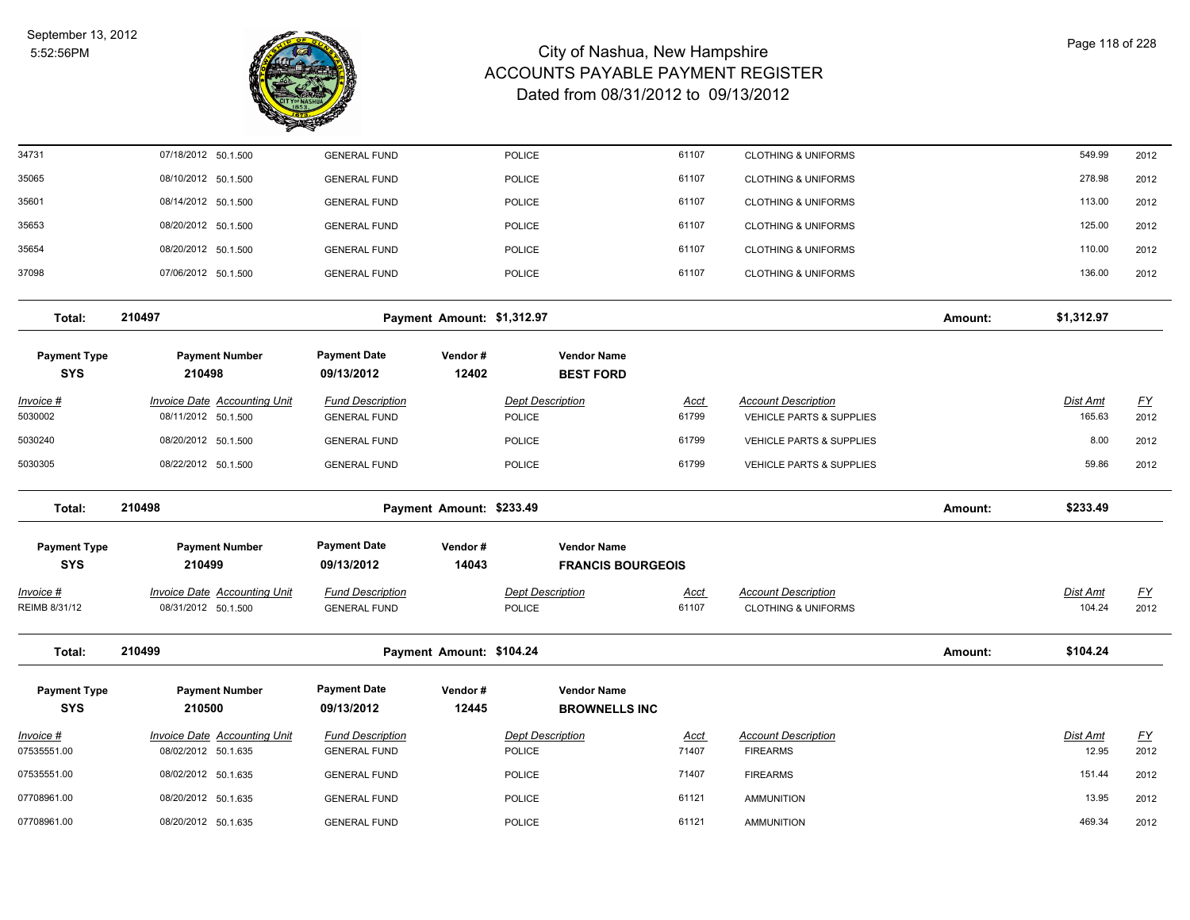

| 34731                             | 07/18/2012 50.1.500                                        | <b>GENERAL FUND</b>                            |                            | <b>POLICE</b>                            |                                                | 61107                | <b>CLOTHING &amp; UNIFORMS</b>                               |         | 549.99                    | 2012                     |
|-----------------------------------|------------------------------------------------------------|------------------------------------------------|----------------------------|------------------------------------------|------------------------------------------------|----------------------|--------------------------------------------------------------|---------|---------------------------|--------------------------|
| 35065                             | 08/10/2012 50.1.500                                        | <b>GENERAL FUND</b>                            |                            | <b>POLICE</b>                            |                                                | 61107                | <b>CLOTHING &amp; UNIFORMS</b>                               |         | 278.98                    | 2012                     |
| 35601                             | 08/14/2012 50.1.500                                        | <b>GENERAL FUND</b>                            |                            | <b>POLICE</b>                            |                                                | 61107                | <b>CLOTHING &amp; UNIFORMS</b>                               |         | 113.00                    | 2012                     |
| 35653                             | 08/20/2012 50.1.500                                        | <b>GENERAL FUND</b>                            |                            | <b>POLICE</b>                            |                                                | 61107                | <b>CLOTHING &amp; UNIFORMS</b>                               |         | 125.00                    | 2012                     |
| 35654                             | 08/20/2012 50.1.500                                        | <b>GENERAL FUND</b>                            |                            | <b>POLICE</b>                            |                                                | 61107                | <b>CLOTHING &amp; UNIFORMS</b>                               |         | 110.00                    | 2012                     |
| 37098                             | 07/06/2012 50.1.500                                        | <b>GENERAL FUND</b>                            |                            | <b>POLICE</b>                            |                                                | 61107                | <b>CLOTHING &amp; UNIFORMS</b>                               |         | 136.00                    | 2012                     |
| Total:                            | 210497                                                     |                                                | Payment Amount: \$1,312.97 |                                          |                                                |                      |                                                              | Amount: | \$1,312.97                |                          |
| <b>Payment Type</b><br><b>SYS</b> | <b>Payment Number</b><br>210498                            | <b>Payment Date</b><br>09/13/2012              | Vendor#<br>12402           |                                          | <b>Vendor Name</b><br><b>BEST FORD</b>         |                      |                                                              |         |                           |                          |
| Invoice #<br>5030002              | <b>Invoice Date Accounting Unit</b><br>08/11/2012 50.1.500 | <b>Fund Description</b><br><b>GENERAL FUND</b> |                            | Dept Description<br><b>POLICE</b>        |                                                | <u>Acct</u><br>61799 | <b>Account Description</b><br>VEHICLE PARTS & SUPPLIES       |         | Dist Amt<br>165.63        | <u>FY</u><br>2012        |
| 5030240                           | 08/20/2012 50.1.500                                        | <b>GENERAL FUND</b>                            |                            | <b>POLICE</b>                            |                                                | 61799                | <b>VEHICLE PARTS &amp; SUPPLIES</b>                          |         | 8.00                      | 2012                     |
| 5030305                           | 08/22/2012 50.1.500                                        | <b>GENERAL FUND</b>                            |                            | <b>POLICE</b>                            |                                                | 61799                | <b>VEHICLE PARTS &amp; SUPPLIES</b>                          |         | 59.86                     | 2012                     |
| Total:                            | 210498                                                     |                                                | Payment Amount: \$233.49   |                                          |                                                |                      |                                                              | Amount: | \$233.49                  |                          |
| <b>Payment Type</b><br><b>SYS</b> | <b>Payment Number</b><br>210499                            | <b>Payment Date</b><br>09/13/2012              | Vendor#<br>14043           |                                          | <b>Vendor Name</b><br><b>FRANCIS BOURGEOIS</b> |                      |                                                              |         |                           |                          |
| <u>Invoice #</u><br>REIMB 8/31/12 | <b>Invoice Date Accounting Unit</b><br>08/31/2012 50.1.500 | <b>Fund Description</b><br><b>GENERAL FUND</b> |                            | <b>Dept Description</b><br><b>POLICE</b> |                                                | <b>Acct</b><br>61107 | <b>Account Description</b><br><b>CLOTHING &amp; UNIFORMS</b> |         | <b>Dist Amt</b><br>104.24 | <u>FY</u><br>2012        |
| Total:                            | 210499                                                     |                                                | Payment Amount: \$104.24   |                                          |                                                |                      |                                                              | Amount: | \$104.24                  |                          |
| <b>Payment Type</b><br><b>SYS</b> | <b>Payment Number</b><br>210500                            | <b>Payment Date</b><br>09/13/2012              | Vendor#<br>12445           |                                          | <b>Vendor Name</b><br><b>BROWNELLS INC</b>     |                      |                                                              |         |                           |                          |
| Invoice #<br>07535551.00          | <b>Invoice Date Accounting Unit</b><br>08/02/2012 50.1.635 | <b>Fund Description</b><br><b>GENERAL FUND</b> |                            | <b>Dept Description</b><br><b>POLICE</b> |                                                | <u>Acct</u><br>71407 | <b>Account Description</b><br><b>FIREARMS</b>                |         | Dist Amt<br>12.95         | $\underline{FY}$<br>2012 |
| 07535551.00                       | 08/02/2012 50.1.635                                        | <b>GENERAL FUND</b>                            |                            | <b>POLICE</b>                            |                                                | 71407                | <b>FIREARMS</b>                                              |         | 151.44                    | 2012                     |
| 07708961.00                       | 08/20/2012 50.1.635                                        | <b>GENERAL FUND</b>                            |                            | <b>POLICE</b>                            |                                                | 61121                | <b>AMMUNITION</b>                                            |         | 13.95                     | 2012                     |
| 07708961.00                       | 08/20/2012 50.1.635                                        | <b>GENERAL FUND</b>                            |                            | <b>POLICE</b>                            |                                                | 61121                | <b>AMMUNITION</b>                                            |         | 469.34                    | 2012                     |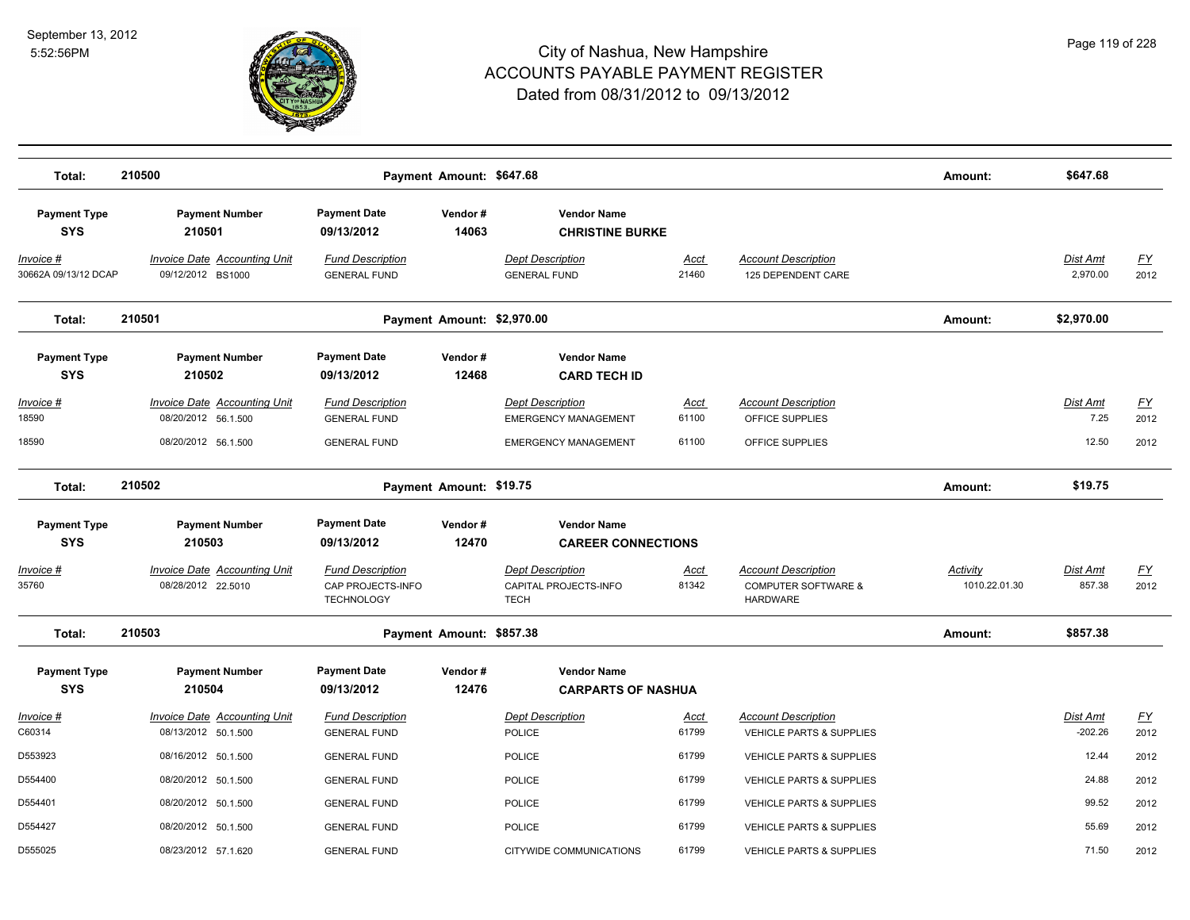

| Total:                            | 210500                                                     |                                                                   | Payment Amount: \$647.68   |                                                                 |                      |                                                                                 | Amount:                          | \$647.68                  |                   |
|-----------------------------------|------------------------------------------------------------|-------------------------------------------------------------------|----------------------------|-----------------------------------------------------------------|----------------------|---------------------------------------------------------------------------------|----------------------------------|---------------------------|-------------------|
| <b>Payment Type</b><br><b>SYS</b> | <b>Payment Number</b><br>210501                            | <b>Payment Date</b><br>09/13/2012                                 | Vendor#<br>14063           | <b>Vendor Name</b><br><b>CHRISTINE BURKE</b>                    |                      |                                                                                 |                                  |                           |                   |
| Invoice #<br>30662A 09/13/12 DCAP | <b>Invoice Date Accounting Unit</b><br>09/12/2012 BS1000   | <b>Fund Description</b><br><b>GENERAL FUND</b>                    |                            | <b>Dept Description</b><br><b>GENERAL FUND</b>                  | <u>Acct</u><br>21460 | <b>Account Description</b><br>125 DEPENDENT CARE                                |                                  | Dist Amt<br>2,970.00      | <u>FY</u><br>2012 |
| Total:                            | 210501                                                     |                                                                   | Payment Amount: \$2,970.00 |                                                                 |                      |                                                                                 | Amount:                          | \$2,970.00                |                   |
| <b>Payment Type</b><br><b>SYS</b> | <b>Payment Number</b><br>210502                            | <b>Payment Date</b><br>09/13/2012                                 | Vendor#<br>12468           | <b>Vendor Name</b><br><b>CARD TECH ID</b>                       |                      |                                                                                 |                                  |                           |                   |
| <u>Invoice #</u><br>18590         | <b>Invoice Date Accounting Unit</b><br>08/20/2012 56.1.500 | <b>Fund Description</b><br><b>GENERAL FUND</b>                    |                            | <b>Dept Description</b><br><b>EMERGENCY MANAGEMENT</b>          | <u>Acct</u><br>61100 | <b>Account Description</b><br>OFFICE SUPPLIES                                   |                                  | Dist Amt<br>7.25          | <u>FY</u><br>2012 |
| 18590                             | 08/20/2012 56.1.500                                        | <b>GENERAL FUND</b>                                               |                            | <b>EMERGENCY MANAGEMENT</b>                                     | 61100                | OFFICE SUPPLIES                                                                 |                                  | 12.50                     | 2012              |
| Total:                            | 210502                                                     |                                                                   | Payment Amount: \$19.75    |                                                                 |                      |                                                                                 | Amount:                          | \$19.75                   |                   |
| <b>Payment Type</b>               | <b>Payment Number</b>                                      | <b>Payment Date</b>                                               | Vendor#                    | <b>Vendor Name</b>                                              |                      |                                                                                 |                                  |                           |                   |
| <b>SYS</b>                        | 210503                                                     | 09/13/2012                                                        | 12470                      | <b>CAREER CONNECTIONS</b>                                       |                      |                                                                                 |                                  |                           |                   |
| Invoice #<br>35760                | <b>Invoice Date Accounting Unit</b><br>08/28/2012 22.5010  | <b>Fund Description</b><br>CAP PROJECTS-INFO<br><b>TECHNOLOGY</b> |                            | <b>Dept Description</b><br>CAPITAL PROJECTS-INFO<br><b>TECH</b> | <u>Acct</u><br>81342 | <b>Account Description</b><br><b>COMPUTER SOFTWARE &amp;</b><br><b>HARDWARE</b> | <b>Activity</b><br>1010.22.01.30 | <b>Dist Amt</b><br>857.38 | <u>FY</u><br>2012 |
| Total:                            | 210503                                                     |                                                                   | Payment Amount: \$857.38   |                                                                 |                      |                                                                                 | Amount:                          | \$857.38                  |                   |
| <b>Payment Type</b><br><b>SYS</b> | <b>Payment Number</b><br>210504                            | <b>Payment Date</b><br>09/13/2012                                 | Vendor#<br>12476           | <b>Vendor Name</b><br><b>CARPARTS OF NASHUA</b>                 |                      |                                                                                 |                                  |                           |                   |
| Invoice #<br>C60314               | Invoice Date Accounting Unit<br>08/13/2012 50.1.500        | <b>Fund Description</b><br><b>GENERAL FUND</b>                    |                            | <b>Dept Description</b><br>POLICE                               | <b>Acct</b><br>61799 | <b>Account Description</b><br>VEHICLE PARTS & SUPPLIES                          |                                  | Dist Amt<br>$-202.26$     | <u>FY</u><br>2012 |
| D553923                           | 08/16/2012 50.1.500                                        | <b>GENERAL FUND</b>                                               |                            | POLICE                                                          | 61799                | VEHICLE PARTS & SUPPLIES                                                        |                                  | 12.44                     | 2012              |
| D554400                           | 08/20/2012 50.1.500                                        | <b>GENERAL FUND</b>                                               |                            | <b>POLICE</b>                                                   | 61799                | <b>VEHICLE PARTS &amp; SUPPLIES</b>                                             |                                  | 24.88                     | 2012              |
| D554401                           | 08/20/2012 50.1.500                                        | <b>GENERAL FUND</b>                                               |                            | POLICE                                                          | 61799                | VEHICLE PARTS & SUPPLIES                                                        |                                  | 99.52                     | 2012              |
| D554427                           | 08/20/2012 50.1.500                                        | <b>GENERAL FUND</b>                                               |                            | <b>POLICE</b>                                                   | 61799                | VEHICLE PARTS & SUPPLIES                                                        |                                  | 55.69                     | 2012              |
| D555025                           | 08/23/2012 57.1.620                                        | <b>GENERAL FUND</b>                                               |                            | CITYWIDE COMMUNICATIONS                                         | 61799                | <b>VEHICLE PARTS &amp; SUPPLIES</b>                                             |                                  | 71.50                     | 2012              |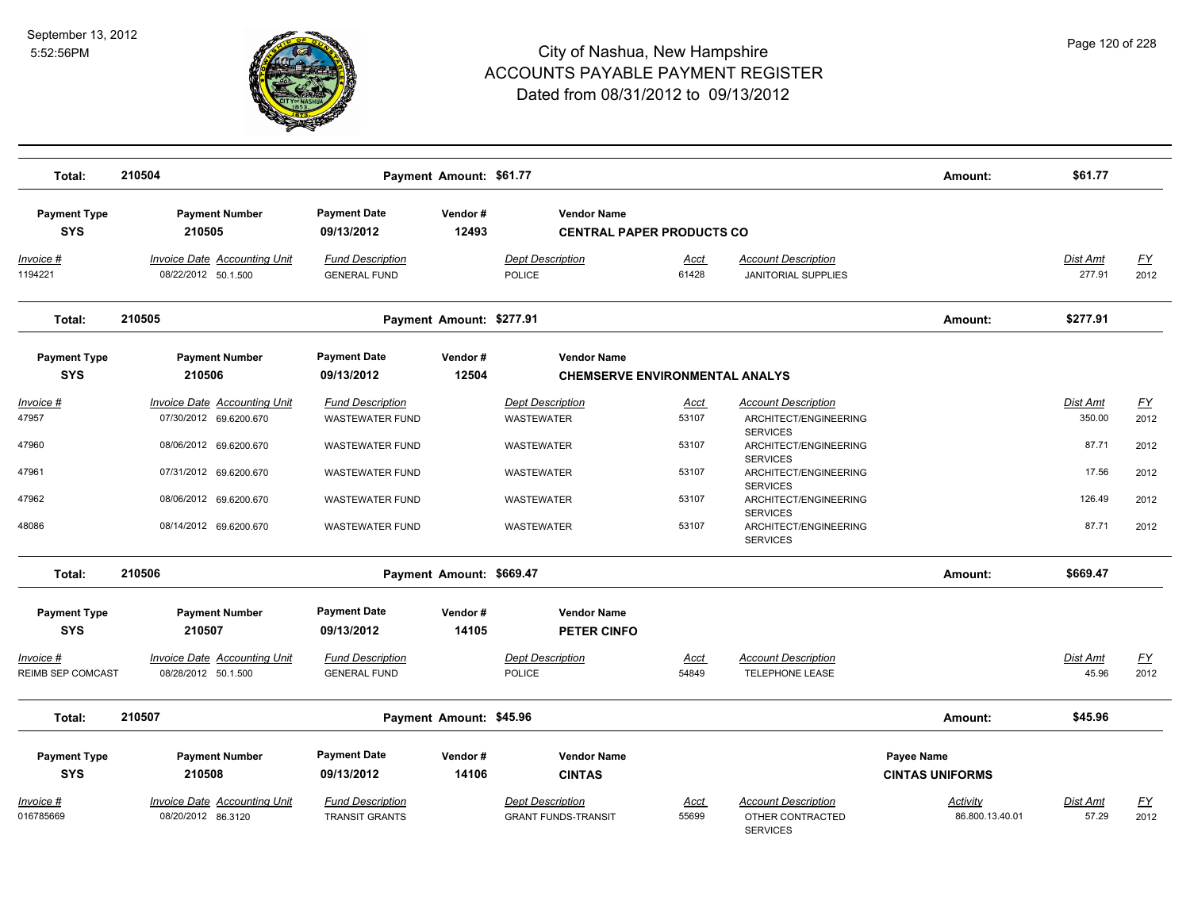

| Total:                            | 210504                                                        |                                                   | Payment Amount: \$61.77  |                                                             |                      |                                                                   | Amount:                              | \$61.77                   |                   |
|-----------------------------------|---------------------------------------------------------------|---------------------------------------------------|--------------------------|-------------------------------------------------------------|----------------------|-------------------------------------------------------------------|--------------------------------------|---------------------------|-------------------|
| <b>Payment Type</b><br><b>SYS</b> | <b>Payment Number</b><br>210505                               | <b>Payment Date</b><br>09/13/2012                 | Vendor#<br>12493         | <b>Vendor Name</b><br><b>CENTRAL PAPER PRODUCTS CO</b>      |                      |                                                                   |                                      |                           |                   |
| Invoice #<br>1194221              | <b>Invoice Date Accounting Unit</b><br>08/22/2012 50.1.500    | <b>Fund Description</b><br><b>GENERAL FUND</b>    |                          | <b>Dept Description</b><br><b>POLICE</b>                    | <u>Acct</u><br>61428 | <b>Account Description</b><br><b>JANITORIAL SUPPLIES</b>          |                                      | Dist Amt<br>277.91        | <u>FY</u><br>2012 |
| Total:                            | 210505                                                        |                                                   | Payment Amount: \$277.91 |                                                             |                      |                                                                   | Amount:                              | \$277.91                  |                   |
| <b>Payment Type</b><br><b>SYS</b> | <b>Payment Number</b><br>210506                               | <b>Payment Date</b><br>09/13/2012                 | Vendor#<br>12504         | <b>Vendor Name</b><br><b>CHEMSERVE ENVIRONMENTAL ANALYS</b> |                      |                                                                   |                                      |                           |                   |
| Invoice #<br>47957                | <b>Invoice Date Accounting Unit</b><br>07/30/2012 69.6200.670 | <b>Fund Description</b><br><b>WASTEWATER FUND</b> |                          | <b>Dept Description</b><br><b>WASTEWATER</b>                | <u>Acct</u><br>53107 | <b>Account Description</b><br>ARCHITECT/ENGINEERING               |                                      | <b>Dist Amt</b><br>350.00 | <u>FY</u><br>2012 |
| 47960                             | 08/06/2012 69.6200.670                                        | <b>WASTEWATER FUND</b>                            |                          | WASTEWATER                                                  | 53107                | <b>SERVICES</b><br>ARCHITECT/ENGINEERING<br><b>SERVICES</b>       |                                      | 87.71                     | 2012              |
| 47961                             | 07/31/2012 69.6200.670                                        | <b>WASTEWATER FUND</b>                            |                          | <b>WASTEWATER</b>                                           | 53107                | ARCHITECT/ENGINEERING<br><b>SERVICES</b>                          |                                      | 17.56                     | 2012              |
| 47962                             | 08/06/2012 69.6200.670                                        | <b>WASTEWATER FUND</b>                            |                          | <b>WASTEWATER</b>                                           | 53107                | ARCHITECT/ENGINEERING<br><b>SERVICES</b>                          |                                      | 126.49                    | 2012              |
| 48086                             | 08/14/2012 69.6200.670                                        | <b>WASTEWATER FUND</b>                            |                          | <b>WASTEWATER</b>                                           | 53107                | ARCHITECT/ENGINEERING<br><b>SERVICES</b>                          |                                      | 87.71                     | 2012              |
| Total:                            | 210506                                                        |                                                   | Payment Amount: \$669.47 |                                                             |                      |                                                                   | Amount:                              | \$669.47                  |                   |
| <b>Payment Type</b><br><b>SYS</b> | <b>Payment Number</b><br>210507                               | <b>Payment Date</b><br>09/13/2012                 | Vendor#<br>14105         | <b>Vendor Name</b><br><b>PETER CINFO</b>                    |                      |                                                                   |                                      |                           |                   |
| Invoice #<br>REIMB SEP COMCAST    | Invoice Date Accounting Unit<br>08/28/2012 50.1.500           | <b>Fund Description</b><br><b>GENERAL FUND</b>    |                          | <b>Dept Description</b><br><b>POLICE</b>                    | Acct<br>54849        | <b>Account Description</b><br>TELEPHONE LEASE                     |                                      | Dist Amt<br>45.96         | <u>FY</u><br>2012 |
| Total:                            | 210507                                                        |                                                   | Payment Amount: \$45.96  |                                                             |                      |                                                                   | Amount:                              | \$45.96                   |                   |
| <b>Payment Type</b><br><b>SYS</b> | <b>Payment Number</b><br>210508                               | <b>Payment Date</b><br>09/13/2012                 | Vendor#<br>14106         | <b>Vendor Name</b><br><b>CINTAS</b>                         |                      |                                                                   | Payee Name<br><b>CINTAS UNIFORMS</b> |                           |                   |
| <u> Invoice #</u><br>016785669    | <b>Invoice Date Accounting Unit</b><br>08/20/2012 86.3120     | <b>Fund Description</b><br><b>TRANSIT GRANTS</b>  |                          | <b>Dept Description</b><br><b>GRANT FUNDS-TRANSIT</b>       | <b>Acct</b><br>55699 | <b>Account Description</b><br>OTHER CONTRACTED<br><b>SERVICES</b> | Activity<br>86.800.13.40.01          | <b>Dist Amt</b><br>57.29  | <u>FY</u><br>2012 |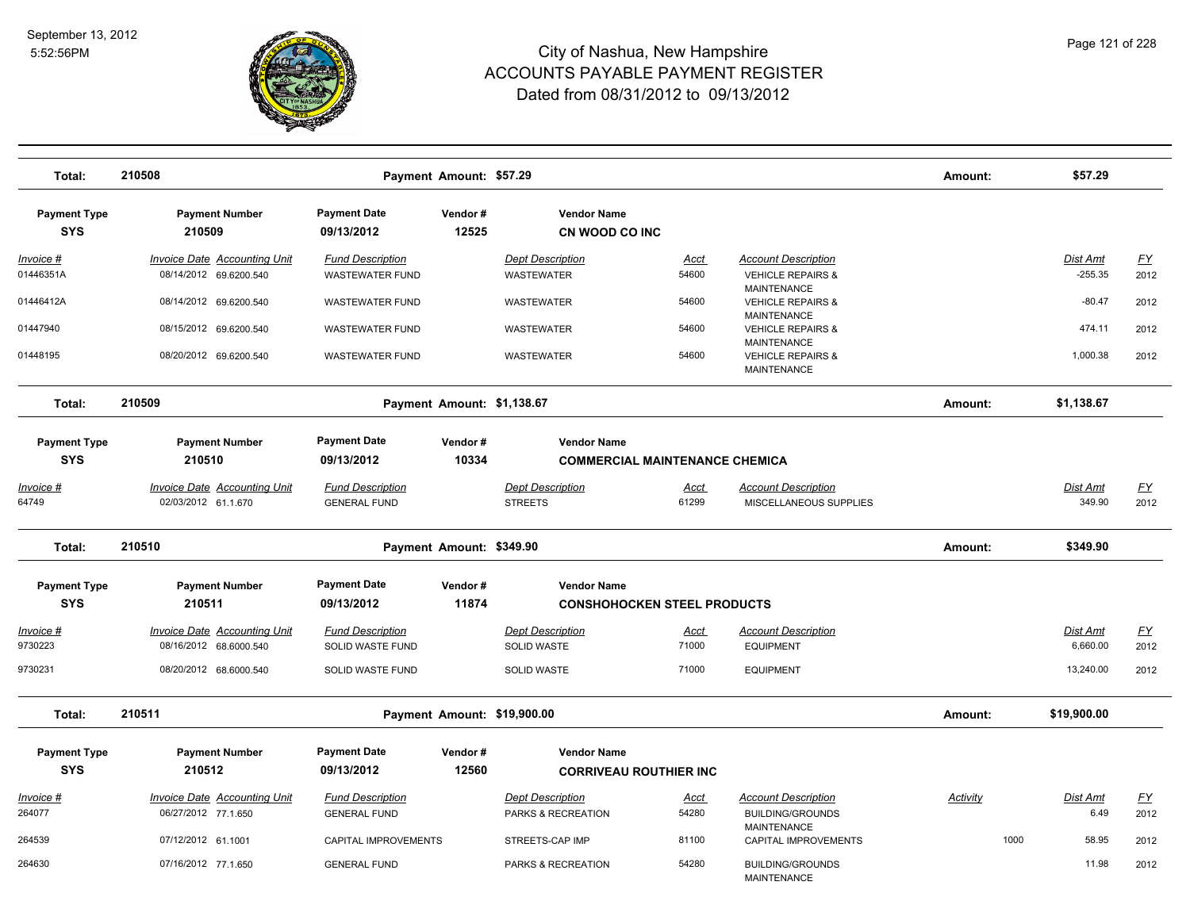

| Total:                     | 210508                                                     |                                                | Payment Amount: \$57.29     |                                               |                      |                                                                          | Amount:         | \$57.29                   |                   |
|----------------------------|------------------------------------------------------------|------------------------------------------------|-----------------------------|-----------------------------------------------|----------------------|--------------------------------------------------------------------------|-----------------|---------------------------|-------------------|
|                            |                                                            |                                                |                             |                                               |                      |                                                                          |                 |                           |                   |
| <b>Payment Type</b>        | <b>Payment Number</b>                                      | <b>Payment Date</b>                            | Vendor#                     | <b>Vendor Name</b>                            |                      |                                                                          |                 |                           |                   |
| <b>SYS</b>                 | 210509                                                     | 09/13/2012                                     | 12525                       | CN WOOD CO INC                                |                      |                                                                          |                 |                           |                   |
| Invoice #                  | <b>Invoice Date Accounting Unit</b>                        | <b>Fund Description</b>                        |                             | <b>Dept Description</b>                       | <b>Acct</b>          | <b>Account Description</b>                                               |                 | <b>Dist Amt</b>           | <u>FY</u>         |
| 01446351A                  | 08/14/2012 69.6200.540                                     | WASTEWATER FUND                                |                             | <b>WASTEWATER</b>                             | 54600                | <b>VEHICLE REPAIRS &amp;</b>                                             |                 | $-255.35$                 | 2012              |
| 01446412A                  | 08/14/2012 69.6200.540                                     | <b>WASTEWATER FUND</b>                         |                             | <b>WASTEWATER</b>                             | 54600                | <b>MAINTENANCE</b><br><b>VEHICLE REPAIRS &amp;</b><br><b>MAINTENANCE</b> |                 | $-80.47$                  | 2012              |
| 01447940                   | 08/15/2012 69.6200.540                                     | <b>WASTEWATER FUND</b>                         |                             | <b>WASTEWATER</b>                             | 54600                | <b>VEHICLE REPAIRS &amp;</b>                                             |                 | 474.11                    | 2012              |
| 01448195                   | 08/20/2012 69.6200.540                                     | <b>WASTEWATER FUND</b>                         |                             | WASTEWATER                                    | 54600                | MAINTENANCE<br><b>VEHICLE REPAIRS &amp;</b><br><b>MAINTENANCE</b>        |                 | 1,000.38                  | 2012              |
| Total:                     | 210509                                                     |                                                | Payment Amount: \$1,138.67  |                                               |                      |                                                                          | Amount:         | \$1,138.67                |                   |
| <b>Payment Type</b>        | <b>Payment Number</b>                                      | <b>Payment Date</b>                            | Vendor#                     | <b>Vendor Name</b>                            |                      |                                                                          |                 |                           |                   |
| <b>SYS</b>                 | 210510                                                     | 09/13/2012                                     | 10334                       | <b>COMMERCIAL MAINTENANCE CHEMICA</b>         |                      |                                                                          |                 |                           |                   |
|                            |                                                            |                                                |                             |                                               |                      |                                                                          |                 |                           |                   |
| <u>Invoice #</u><br>64749  | <b>Invoice Date Accounting Unit</b><br>02/03/2012 61.1.670 | <b>Fund Description</b><br><b>GENERAL FUND</b> |                             | <b>Dept Description</b><br><b>STREETS</b>     | <u>Acct</u><br>61299 | <b>Account Description</b><br>MISCELLANEOUS SUPPLIES                     |                 | <b>Dist Amt</b><br>349.90 | <u>FY</u><br>2012 |
|                            |                                                            |                                                |                             |                                               |                      |                                                                          |                 |                           |                   |
| Total:                     | 210510                                                     |                                                | Payment Amount: \$349.90    |                                               |                      |                                                                          | Amount:         | \$349.90                  |                   |
| <b>Payment Type</b>        | <b>Payment Number</b>                                      | <b>Payment Date</b>                            | Vendor#                     | <b>Vendor Name</b>                            |                      |                                                                          |                 |                           |                   |
| <b>SYS</b>                 | 210511                                                     | 09/13/2012                                     | 11874                       | <b>CONSHOHOCKEN STEEL PRODUCTS</b>            |                      |                                                                          |                 |                           |                   |
| Invoice #                  | <b>Invoice Date Accounting Unit</b>                        | <b>Fund Description</b>                        |                             | <b>Dept Description</b>                       | Acct                 | <b>Account Description</b>                                               |                 | Dist Amt                  | FY                |
| 9730223                    | 08/16/2012 68.6000.540                                     | <b>SOLID WASTE FUND</b>                        |                             | <b>SOLID WASTE</b>                            | 71000                | <b>EQUIPMENT</b>                                                         |                 | 6,660.00                  | 2012              |
| 9730231                    | 08/20/2012 68.6000.540                                     | SOLID WASTE FUND                               |                             | SOLID WASTE                                   | 71000                | <b>EQUIPMENT</b>                                                         |                 | 13,240.00                 | 2012              |
| Total:                     | 210511                                                     |                                                | Payment Amount: \$19,900.00 |                                               |                      |                                                                          | Amount:         | \$19,900.00               |                   |
| <b>Payment Type</b>        | <b>Payment Number</b>                                      | <b>Payment Date</b>                            | Vendor#                     | <b>Vendor Name</b>                            |                      |                                                                          |                 |                           |                   |
| <b>SYS</b>                 | 210512                                                     | 09/13/2012                                     | 12560                       | <b>CORRIVEAU ROUTHIER INC</b>                 |                      |                                                                          |                 |                           |                   |
|                            |                                                            |                                                |                             |                                               |                      |                                                                          |                 |                           |                   |
| <u>Invoice #</u><br>264077 | <b>Invoice Date Accounting Unit</b><br>06/27/2012 77.1.650 | <b>Fund Description</b><br><b>GENERAL FUND</b> |                             | <b>Dept Description</b><br>PARKS & RECREATION | <u>Acct</u><br>54280 | <b>Account Description</b><br><b>BUILDING/GROUNDS</b>                    | <b>Activity</b> | Dist Amt<br>6.49          | <u>FY</u><br>2012 |
|                            |                                                            |                                                |                             |                                               |                      | <b>MAINTENANCE</b>                                                       |                 |                           |                   |
| 264539                     | 07/12/2012 61.1001                                         | CAPITAL IMPROVEMENTS                           |                             | STREETS-CAP IMP                               | 81100                | CAPITAL IMPROVEMENTS                                                     | 1000            | 58.95                     | 2012              |
| 264630                     | 07/16/2012 77.1.650                                        | <b>GENERAL FUND</b>                            |                             | PARKS & RECREATION                            | 54280                | <b>BUILDING/GROUNDS</b><br><b>MAINTENANCE</b>                            |                 | 11.98                     | 2012              |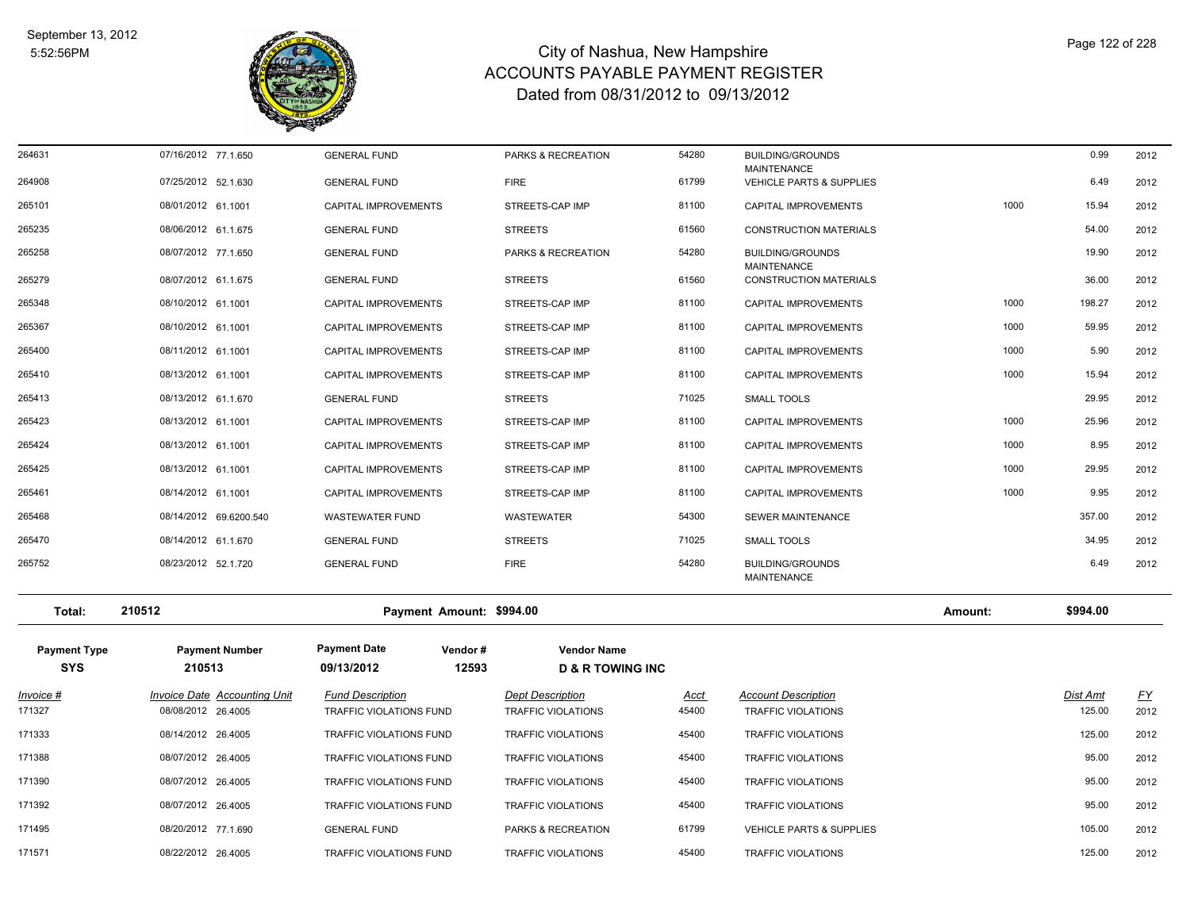

| 264631                            | 07/16/2012 77.1.650                 | <b>GENERAL FUND</b>                                   | PARKS & RECREATION                                | 54280       | <b>BUILDING/GROUNDS</b>                                   |         | 0.99     | 2012      |
|-----------------------------------|-------------------------------------|-------------------------------------------------------|---------------------------------------------------|-------------|-----------------------------------------------------------|---------|----------|-----------|
| 264908                            | 07/25/2012 52.1.630                 | <b>GENERAL FUND</b>                                   | <b>FIRE</b>                                       | 61799       | <b>MAINTENANCE</b><br><b>VEHICLE PARTS &amp; SUPPLIES</b> |         | 6.49     | 2012      |
| 265101                            | 08/01/2012 61.1001                  | CAPITAL IMPROVEMENTS                                  | STREETS-CAP IMP                                   | 81100       | CAPITAL IMPROVEMENTS                                      | 1000    | 15.94    | 2012      |
| 265235                            | 08/06/2012 61.1.675                 | <b>GENERAL FUND</b>                                   | <b>STREETS</b>                                    | 61560       | CONSTRUCTION MATERIALS                                    |         | 54.00    | 2012      |
| 265258                            | 08/07/2012 77.1.650                 | <b>GENERAL FUND</b>                                   | PARKS & RECREATION                                | 54280       | <b>BUILDING/GROUNDS</b>                                   |         | 19.90    | 2012      |
| 265279                            | 08/07/2012 61.1.675                 | <b>GENERAL FUND</b>                                   | <b>STREETS</b>                                    | 61560       | <b>MAINTENANCE</b><br><b>CONSTRUCTION MATERIALS</b>       |         | 36.00    | 2012      |
| 265348                            | 08/10/2012 61.1001                  | CAPITAL IMPROVEMENTS                                  | STREETS-CAP IMP                                   | 81100       | CAPITAL IMPROVEMENTS                                      | 1000    | 198.27   | 2012      |
| 265367                            | 08/10/2012 61.1001                  | CAPITAL IMPROVEMENTS                                  | STREETS-CAP IMP                                   | 81100       | CAPITAL IMPROVEMENTS                                      | 1000    | 59.95    | 2012      |
| 265400                            | 08/11/2012 61.1001                  | CAPITAL IMPROVEMENTS                                  | STREETS-CAP IMP                                   | 81100       | CAPITAL IMPROVEMENTS                                      | 1000    | 5.90     | 2012      |
| 265410                            | 08/13/2012 61.1001                  | CAPITAL IMPROVEMENTS                                  | STREETS-CAP IMP                                   | 81100       | CAPITAL IMPROVEMENTS                                      | 1000    | 15.94    | 2012      |
| 265413                            | 08/13/2012 61.1.670                 | <b>GENERAL FUND</b>                                   | <b>STREETS</b>                                    | 71025       | <b>SMALL TOOLS</b>                                        |         | 29.95    | 2012      |
| 265423                            | 08/13/2012 61.1001                  | CAPITAL IMPROVEMENTS                                  | STREETS-CAP IMP                                   | 81100       | CAPITAL IMPROVEMENTS                                      | 1000    | 25.96    | 2012      |
| 265424                            | 08/13/2012 61.1001                  | CAPITAL IMPROVEMENTS                                  | STREETS-CAP IMP                                   | 81100       | CAPITAL IMPROVEMENTS                                      | 1000    | 8.95     | 2012      |
| 265425                            | 08/13/2012 61.1001                  | CAPITAL IMPROVEMENTS                                  | STREETS-CAP IMP                                   | 81100       | CAPITAL IMPROVEMENTS                                      | 1000    | 29.95    | 2012      |
| 265461                            | 08/14/2012 61.1001                  | CAPITAL IMPROVEMENTS                                  | STREETS-CAP IMP                                   | 81100       | CAPITAL IMPROVEMENTS                                      | 1000    | 9.95     | 2012      |
| 265468                            | 08/14/2012 69.6200.540              | <b>WASTEWATER FUND</b>                                | WASTEWATER                                        | 54300       | SEWER MAINTENANCE                                         |         | 357.00   | 2012      |
| 265470                            | 08/14/2012 61.1.670                 | <b>GENERAL FUND</b>                                   | <b>STREETS</b>                                    | 71025       | <b>SMALL TOOLS</b>                                        |         | 34.95    | 2012      |
| 265752                            | 08/23/2012 52.1.720                 | <b>GENERAL FUND</b>                                   | <b>FIRE</b>                                       | 54280       | <b>BUILDING/GROUNDS</b><br><b>MAINTENANCE</b>             |         | 6.49     | 2012      |
| Total:                            | 210512                              | Payment Amount: \$994.00                              |                                                   |             |                                                           | Amount: | \$994.00 |           |
| <b>Payment Type</b><br><b>SYS</b> | <b>Payment Number</b><br>210513     | <b>Payment Date</b><br>Vendor#<br>09/13/2012<br>12593 | <b>Vendor Name</b><br><b>D &amp; R TOWING INC</b> |             |                                                           |         |          |           |
| <u> Invoice #</u>                 | <b>Invoice Date Accounting Unit</b> | <b>Fund Description</b>                               | <b>Dept Description</b>                           | <u>Acct</u> | <b>Account Description</b>                                |         | Dist Amt | <u>FY</u> |
| 171327                            | 08/08/2012 26.4005                  | TRAFFIC VIOLATIONS FUND                               | <b>TRAFFIC VIOLATIONS</b>                         | 45400       | <b>TRAFFIC VIOLATIONS</b>                                 |         | 125.00   | 2012      |
| 171333                            | 08/14/2012 26.4005                  | TRAFFIC VIOLATIONS FUND                               | <b>TRAFFIC VIOLATIONS</b>                         | 45400       | TRAFFIC VIOLATIONS                                        |         | 125.00   | 2012      |
| 171388                            | 08/07/2012 26.4005                  | TRAFFIC VIOLATIONS FUND                               | <b>TRAFFIC VIOLATIONS</b>                         | 45400       | TRAFFIC VIOLATIONS                                        |         | 95.00    | 2012      |
| 171390                            | 08/07/2012 26.4005                  | TRAFFIC VIOLATIONS FUND                               | <b>TRAFFIC VIOLATIONS</b>                         | 45400       | TRAFFIC VIOLATIONS                                        |         | 95.00    | 2012      |
| 171392                            | 08/07/2012 26.4005                  | TRAFFIC VIOLATIONS FUND                               | <b>TRAFFIC VIOLATIONS</b>                         | 45400       | <b>TRAFFIC VIOLATIONS</b>                                 |         | 95.00    | 2012      |
| 171495                            | 08/20/2012 77.1.690                 | <b>GENERAL FUND</b>                                   | PARKS & RECREATION                                | 61799       | <b>VEHICLE PARTS &amp; SUPPLIES</b>                       |         | 105.00   | 2012      |
| 171571                            | 08/22/2012 26.4005                  | TRAFFIC VIOLATIONS FUND                               | <b>TRAFFIC VIOLATIONS</b>                         | 45400       | TRAFFIC VIOLATIONS                                        |         | 125.00   | 2012      |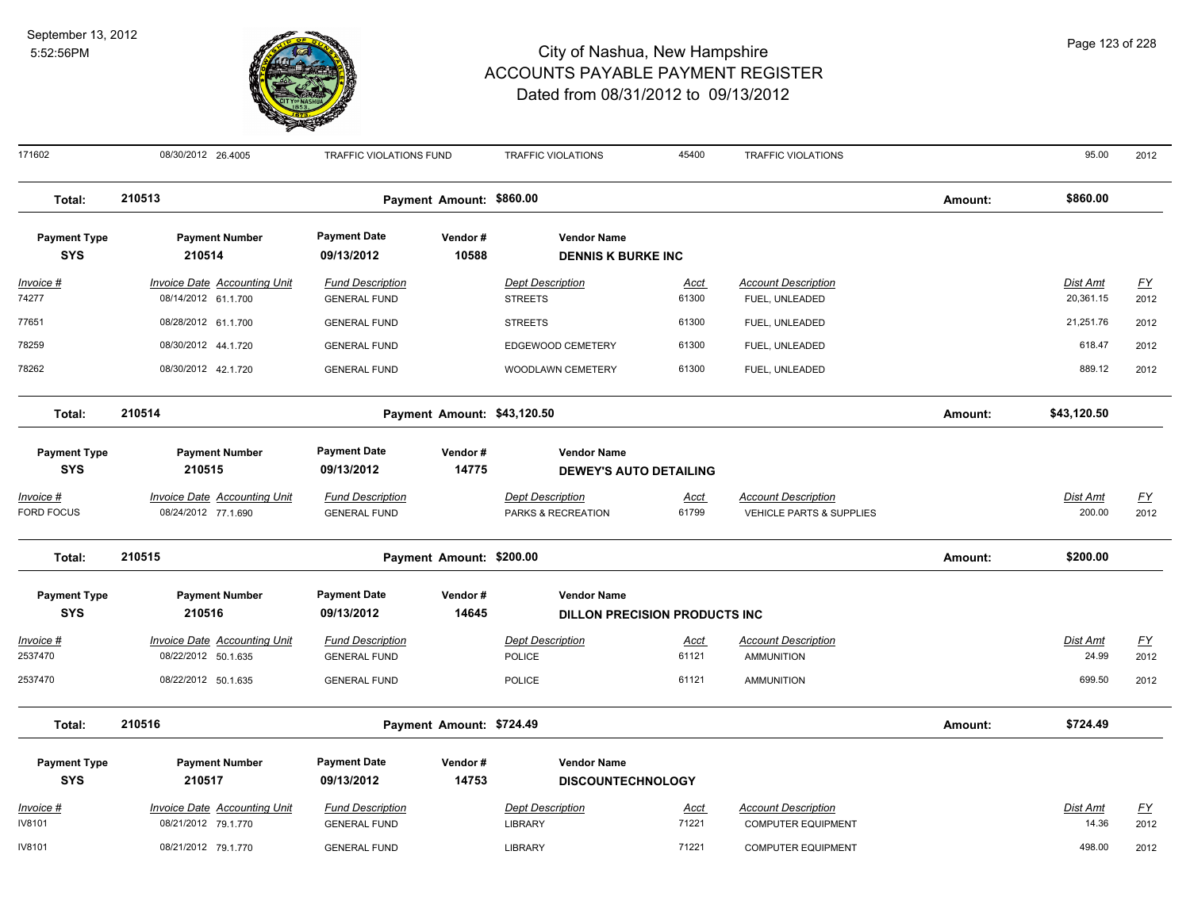

171602 08/30/2012 26.4005 TRAFFIC VIOLATIONS FUND TRAFFIC VIOLATIONS 45400 TRAFFIC VIOLATIONS 95.00 2012 **Total: 210513 Payment Amount: \$860.00 Amount: \$860.00 Payment Type Payment Number Payment Date Vendor # Vendor Name SYS 09/13/2012** *Invoice # Invoice Date Accounting Unit Fund Description Dept Description Acct Account Description Dist Amt FY*  **210514 10588 DENNIS K BURKE INC** 74277 08/14/2012 61.1.700 GENERAL FUND STREETS 61300 FUEL, UNLEADED 20,361.15 2012 77651 08/28/2012 61.1.700 GENERAL FUND STREETS 61300 FUEL, UNLEADED 21,251.76 2012 78259 08/30/2012 44.1.720 GENERAL FUND EDGEWOOD CEMETERY 61300 FUEL, UNLEADED 618.47 2012 78262 08/30/2012 42.1.720 GENERAL FUND WOODLAWN CEMETERY 61300 FUEL, UNLEADED 889.12 2012 **Total: 210514 Payment Amount: \$43,120.50 Amount: \$43,120.50 Payment Type Payment Number Payment Date Vendor # Vendor Name SYS 09/13/2012** *Invoice # Invoice Date Accounting Unit Fund Description Dept Description Acct Account Description Dist Amt FY*  **210515 14775 DEWEY'S AUTO DETAILING** FORD FOCUS 08/24/2012 77.1.690 GENERAL FUND PARKS & RECREATION 61799 VEHICLE PARTS & SUPPLIES 200.00 2012 **Total: 210515 Payment Amount: \$200.00 Amount: \$200.00 Payment Type Payment Number Payment Date Vendor # Vendor Name SYS 09/13/2012** *Invoice # Invoice Date Accounting Unit Fund Description Dept Description Acct Account Description Dist Amt FY*  **210516 14645 DILLON PRECISION PRODUCTS INC** 2537470 08/22/2012 50.1.635 GENERAL FUND POLICE 61121 AMMUNITION 24.99 2012 2537470 08/22/2012 50.1.635 GENERAL FUND POLICE 61121 AMMUNITION 699.50 2012 **Total: 210516 Payment Amount: \$724.49 Amount: \$724.49 Payment Type Payment Number Payment Date Vendor # Vendor Name SYS 09/13/2012** *Invoice # Invoice Date Accounting Unit Fund Description Dept Description Acct Account Description Dist Amt FY*  **210517 14753 DISCOUNTECHNOLOGY** IV8101 08/21/2012 79.1.770 GENERAL FUND LIBRARY 71221 COMPUTER EQUIPMENT 14.36 2012 IV8101 08/21/2012 79.1.770 GENERAL FUND LIBRARY 71221 COMPUTER EQUIPMENT 498.00 2012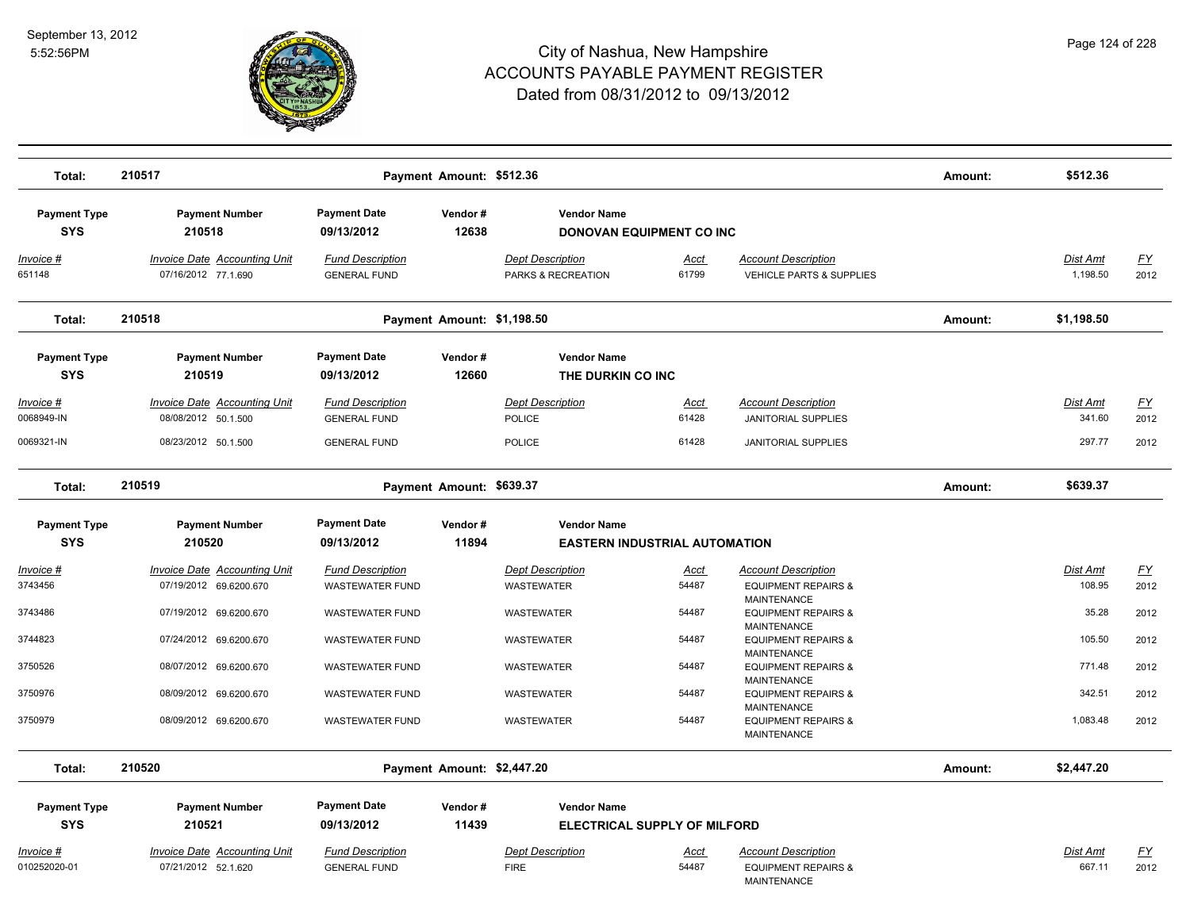

| Total:                          | 210517                                                     |                                                | Payment Amount: \$512.36   |                                               |                      |                                                                            | Amount: | \$512.36                  |                   |
|---------------------------------|------------------------------------------------------------|------------------------------------------------|----------------------------|-----------------------------------------------|----------------------|----------------------------------------------------------------------------|---------|---------------------------|-------------------|
| <b>Payment Type</b>             | <b>Payment Number</b>                                      | <b>Payment Date</b>                            | Vendor#                    | <b>Vendor Name</b>                            |                      |                                                                            |         |                           |                   |
| <b>SYS</b>                      | 210518                                                     | 09/13/2012                                     | 12638                      | DONOVAN EQUIPMENT CO INC                      |                      |                                                                            |         |                           |                   |
| Invoice #<br>651148             | Invoice Date Accounting Unit<br>07/16/2012 77.1.690        | <b>Fund Description</b><br><b>GENERAL FUND</b> |                            | <b>Dept Description</b><br>PARKS & RECREATION | Acct<br>61799        | <b>Account Description</b><br>VEHICLE PARTS & SUPPLIES                     |         | Dist Amt<br>1,198.50      | <u>FY</u><br>2012 |
| Total:                          | 210518                                                     |                                                | Payment Amount: \$1,198.50 |                                               |                      |                                                                            | Amount: | \$1,198.50                |                   |
| <b>Payment Type</b>             | <b>Payment Number</b>                                      | <b>Payment Date</b>                            | Vendor#                    | <b>Vendor Name</b>                            |                      |                                                                            |         |                           |                   |
| <b>SYS</b>                      | 210519                                                     | 09/13/2012                                     | 12660                      | THE DURKIN CO INC                             |                      |                                                                            |         |                           |                   |
| <u> Invoice #</u><br>0068949-IN | <b>Invoice Date Accounting Unit</b><br>08/08/2012 50.1.500 | <b>Fund Description</b><br><b>GENERAL FUND</b> |                            | <b>Dept Description</b><br>POLICE             | <b>Acct</b><br>61428 | <b>Account Description</b><br><b>JANITORIAL SUPPLIES</b>                   |         | <b>Dist Amt</b><br>341.60 | <u>FY</u><br>2012 |
| 0069321-IN                      | 08/23/2012 50.1.500                                        | <b>GENERAL FUND</b>                            |                            | <b>POLICE</b>                                 | 61428                | <b>JANITORIAL SUPPLIES</b>                                                 |         | 297.77                    | 2012              |
| Total:                          | 210519                                                     |                                                | Payment Amount: \$639.37   |                                               |                      |                                                                            | Amount: | \$639.37                  |                   |
| <b>Payment Type</b>             | <b>Payment Number</b>                                      | <b>Payment Date</b>                            | Vendor#                    | <b>Vendor Name</b>                            |                      |                                                                            |         |                           |                   |
| <b>SYS</b>                      | 210520                                                     | 09/13/2012                                     | 11894                      | <b>EASTERN INDUSTRIAL AUTOMATION</b>          |                      |                                                                            |         |                           |                   |
| <u> Invoice #</u>               | <b>Invoice Date Accounting Unit</b>                        | <b>Fund Description</b>                        |                            | <b>Dept Description</b>                       | <u>Acct</u>          | <b>Account Description</b>                                                 |         | Dist Amt                  | <u>FY</u>         |
| 3743456                         | 07/19/2012 69.6200.670                                     | <b>WASTEWATER FUND</b>                         |                            | WASTEWATER                                    | 54487                | <b>EQUIPMENT REPAIRS &amp;</b>                                             |         | 108.95                    | 2012              |
| 3743486                         | 07/19/2012 69.6200.670                                     | <b>WASTEWATER FUND</b>                         |                            | <b>WASTEWATER</b>                             | 54487                | <b>MAINTENANCE</b><br><b>EQUIPMENT REPAIRS &amp;</b><br><b>MAINTENANCE</b> |         | 35.28                     | 2012              |
| 3744823                         | 07/24/2012 69.6200.670                                     | <b>WASTEWATER FUND</b>                         |                            | <b>WASTEWATER</b>                             | 54487                | <b>EQUIPMENT REPAIRS &amp;</b>                                             |         | 105.50                    | 2012              |
| 3750526                         | 08/07/2012 69.6200.670                                     | <b>WASTEWATER FUND</b>                         |                            | <b>WASTEWATER</b>                             | 54487                | <b>MAINTENANCE</b><br><b>EQUIPMENT REPAIRS &amp;</b><br><b>MAINTENANCE</b> |         | 771.48                    | 2012              |
| 3750976                         | 08/09/2012 69.6200.670                                     | <b>WASTEWATER FUND</b>                         |                            | WASTEWATER                                    | 54487                | <b>EQUIPMENT REPAIRS &amp;</b>                                             |         | 342.51                    | 2012              |
| 3750979                         | 08/09/2012 69.6200.670                                     | <b>WASTEWATER FUND</b>                         |                            | WASTEWATER                                    | 54487                | <b>MAINTENANCE</b><br><b>EQUIPMENT REPAIRS &amp;</b><br><b>MAINTENANCE</b> |         | 1,083.48                  | 2012              |
| Total:                          | 210520                                                     |                                                | Payment Amount: \$2,447.20 |                                               |                      |                                                                            | Amount: | \$2,447.20                |                   |
| <b>Payment Type</b>             | <b>Payment Number</b>                                      | <b>Payment Date</b>                            | Vendor#                    | <b>Vendor Name</b>                            |                      |                                                                            |         |                           |                   |
| <b>SYS</b>                      | 210521                                                     | 09/13/2012                                     | 11439                      | <b>ELECTRICAL SUPPLY OF MILFORD</b>           |                      |                                                                            |         |                           |                   |
| Invoice #                       | <b>Invoice Date Accounting Unit</b>                        | <b>Fund Description</b>                        |                            | <b>Dept Description</b>                       | Acct                 | <b>Account Description</b>                                                 |         | Dist Amt                  | <u>FY</u>         |
| 010252020-01                    | 07/21/2012 52.1.620                                        | <b>GENERAL FUND</b>                            |                            | <b>FIRE</b>                                   | 54487                | <b>EQUIPMENT REPAIRS &amp;</b><br><b>MAINTENANCE</b>                       |         | 667.11                    | 2012              |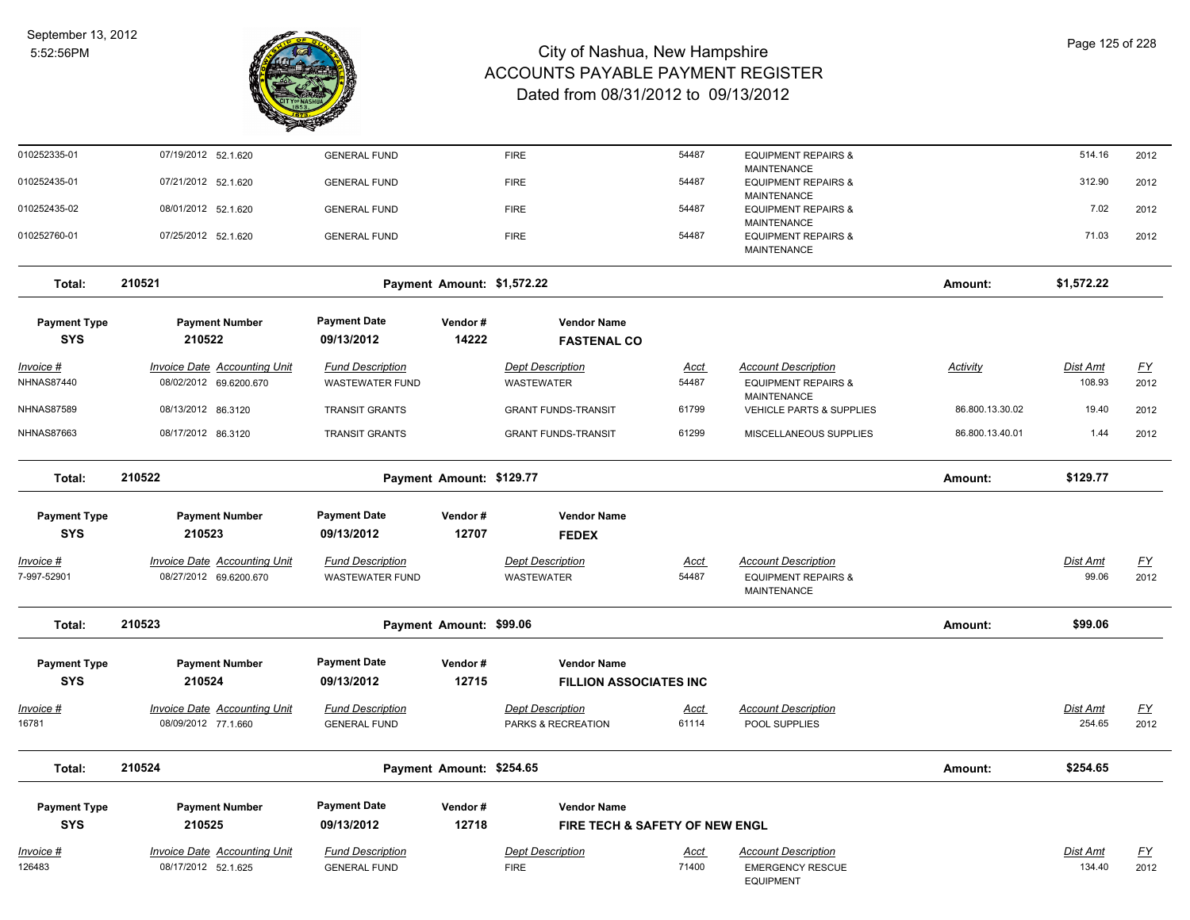

| 010252335-01                      | 07/19/2012 52.1.620                                           | <b>GENERAL FUND</b>                            |                            | <b>FIRE</b>                                         | 54487                | <b>EQUIPMENT REPAIRS &amp;</b>                                                     |                 | 514.16                   | 2012                     |
|-----------------------------------|---------------------------------------------------------------|------------------------------------------------|----------------------------|-----------------------------------------------------|----------------------|------------------------------------------------------------------------------------|-----------------|--------------------------|--------------------------|
| 010252435-01                      | 07/21/2012 52.1.620                                           | <b>GENERAL FUND</b>                            |                            | <b>FIRE</b>                                         | 54487                | MAINTENANCE<br><b>EQUIPMENT REPAIRS &amp;</b>                                      |                 | 312.90                   | 2012                     |
| 010252435-02                      | 08/01/2012 52.1.620                                           | <b>GENERAL FUND</b>                            |                            | <b>FIRE</b>                                         | 54487                | MAINTENANCE<br><b>EQUIPMENT REPAIRS &amp;</b>                                      |                 | 7.02                     | 2012                     |
| 010252760-01                      | 07/25/2012 52.1.620                                           | <b>GENERAL FUND</b>                            |                            | <b>FIRE</b>                                         | 54487                | <b>MAINTENANCE</b><br><b>EQUIPMENT REPAIRS &amp;</b><br><b>MAINTENANCE</b>         |                 | 71.03                    | 2012                     |
| Total:                            | 210521                                                        |                                                | Payment Amount: \$1,572.22 |                                                     |                      |                                                                                    | Amount:         | \$1,572.22               |                          |
| <b>Payment Type</b>               | <b>Payment Number</b>                                         | <b>Payment Date</b>                            | Vendor#                    | <b>Vendor Name</b>                                  |                      |                                                                                    |                 |                          |                          |
| <b>SYS</b>                        | 210522                                                        | 09/13/2012                                     | 14222                      | <b>FASTENAL CO</b>                                  |                      |                                                                                    |                 |                          |                          |
| Invoice #<br><b>NHNAS87440</b>    | <b>Invoice Date Accounting Unit</b><br>08/02/2012 69.6200.670 | <b>Fund Description</b><br>WASTEWATER FUND     |                            | <b>Dept Description</b><br>WASTEWATER               | <u>Acct</u><br>54487 | <b>Account Description</b><br><b>EQUIPMENT REPAIRS &amp;</b><br><b>MAINTENANCE</b> | <b>Activity</b> | Dist Amt<br>108.93       | $\underline{FY}$<br>2012 |
| <b>NHNAS87589</b>                 | 08/13/2012 86.3120                                            | <b>TRANSIT GRANTS</b>                          |                            | <b>GRANT FUNDS-TRANSIT</b>                          | 61799                | VEHICLE PARTS & SUPPLIES                                                           | 86.800.13.30.02 | 19.40                    | 2012                     |
| <b>NHNAS87663</b>                 | 08/17/2012 86.3120                                            | <b>TRANSIT GRANTS</b>                          |                            | <b>GRANT FUNDS-TRANSIT</b>                          | 61299                | MISCELLANEOUS SUPPLIES                                                             | 86.800.13.40.01 | 1.44                     | 2012                     |
| Total:                            | 210522                                                        |                                                | Payment Amount: \$129.77   |                                                     |                      |                                                                                    | Amount:         | \$129.77                 |                          |
| <b>Payment Type</b>               | <b>Payment Number</b>                                         | <b>Payment Date</b>                            | Vendor#                    | <b>Vendor Name</b>                                  |                      |                                                                                    |                 |                          |                          |
| <b>SYS</b>                        | 210523                                                        | 09/13/2012                                     | 12707                      | <b>FEDEX</b>                                        |                      |                                                                                    |                 |                          |                          |
| <u> Invoice #</u><br>7-997-52901  | <b>Invoice Date Accounting Unit</b><br>08/27/2012 69.6200.670 | <b>Fund Description</b><br>WASTEWATER FUND     |                            | <b>Dept Description</b><br>WASTEWATER               | <b>Acct</b><br>54487 | <b>Account Description</b><br><b>EQUIPMENT REPAIRS &amp;</b><br><b>MAINTENANCE</b> |                 | <b>Dist Amt</b><br>99.06 | <u>FY</u><br>2012        |
| Total:                            | 210523                                                        |                                                | Payment Amount: \$99.06    |                                                     |                      |                                                                                    | Amount:         | \$99.06                  |                          |
| <b>Payment Type</b><br><b>SYS</b> | <b>Payment Number</b><br>210524                               | <b>Payment Date</b><br>09/13/2012              | Vendor#<br>12715           | <b>Vendor Name</b><br><b>FILLION ASSOCIATES INC</b> |                      |                                                                                    |                 |                          |                          |
| Invoice #<br>16781                | <b>Invoice Date Accounting Unit</b><br>08/09/2012 77.1.660    | <b>Fund Description</b><br><b>GENERAL FUND</b> |                            | <b>Dept Description</b><br>PARKS & RECREATION       | <u>Acct</u><br>61114 | <b>Account Description</b><br>POOL SUPPLIES                                        |                 | Dist Amt<br>254.65       | $\underline{FY}$<br>2012 |
| Total:                            | 210524                                                        |                                                | Payment Amount: \$254.65   |                                                     |                      |                                                                                    | Amount:         | \$254.65                 |                          |
| <b>Payment Type</b>               | <b>Payment Number</b>                                         | <b>Payment Date</b>                            | Vendor#                    | <b>Vendor Name</b>                                  |                      |                                                                                    |                 |                          |                          |
| <b>SYS</b>                        | 210525                                                        | 09/13/2012                                     | 12718                      | FIRE TECH & SAFETY OF NEW ENGL                      |                      |                                                                                    |                 |                          |                          |
| Invoice #<br>126483               | <b>Invoice Date Accounting Unit</b>                           | <b>Fund Description</b>                        |                            | <b>Dept Description</b>                             | <u>Acct</u><br>71400 | <b>Account Description</b>                                                         |                 | <b>Dist Amt</b>          | <u>FY</u>                |
|                                   | 08/17/2012 52.1.625                                           | <b>GENERAL FUND</b>                            |                            | <b>FIRE</b>                                         |                      | <b>EMERGENCY RESCUE</b><br><b>EQUIPMENT</b>                                        |                 | 134.40                   | 2012                     |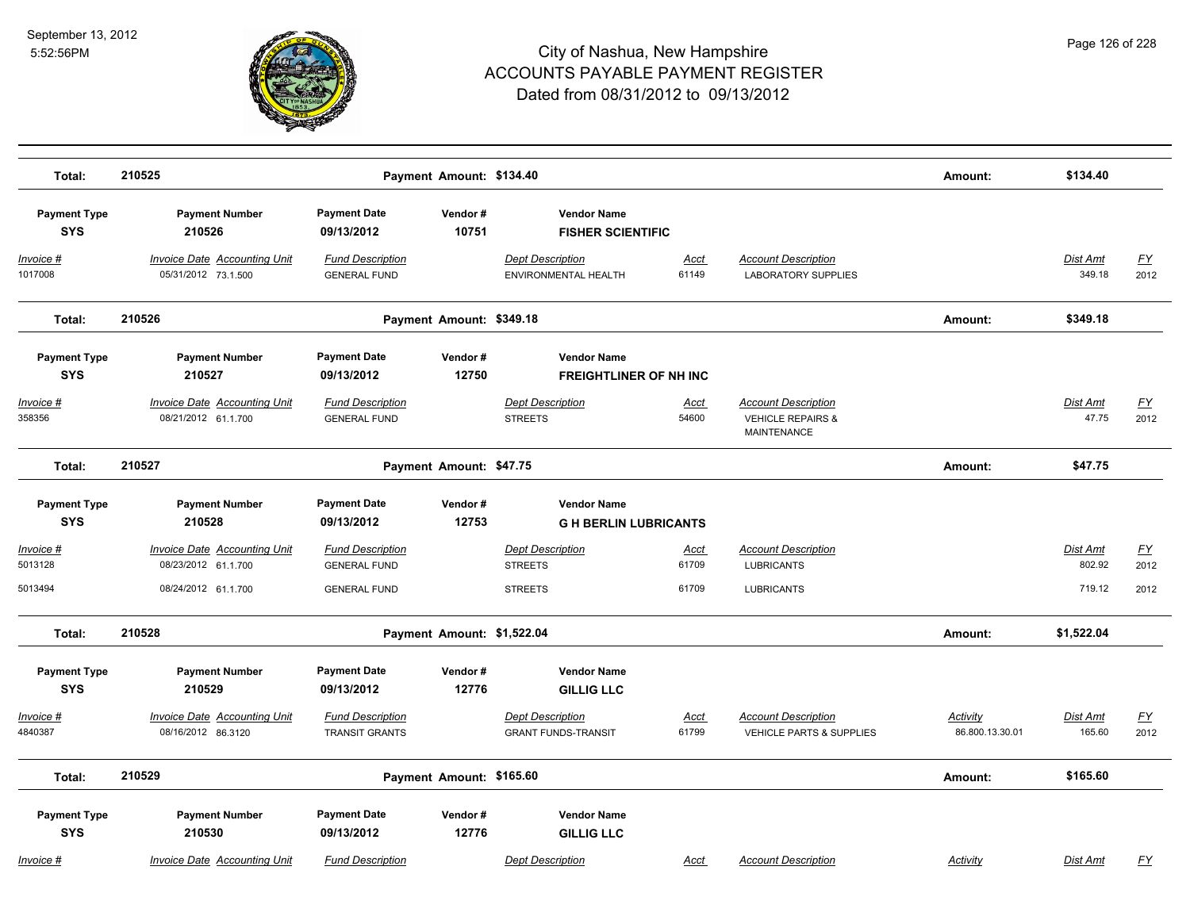

| Total:                            | 210525                                                     | Payment Amount: \$134.40                         |                  |                                                       |                      |                                                                                  | Amount:                     | \$134.40                 |                   |
|-----------------------------------|------------------------------------------------------------|--------------------------------------------------|------------------|-------------------------------------------------------|----------------------|----------------------------------------------------------------------------------|-----------------------------|--------------------------|-------------------|
| <b>Payment Type</b><br><b>SYS</b> | <b>Payment Number</b><br>210526                            | <b>Payment Date</b><br>09/13/2012                | Vendor#<br>10751 | <b>Vendor Name</b><br><b>FISHER SCIENTIFIC</b>        |                      |                                                                                  |                             |                          |                   |
| Invoice #<br>1017008              | <b>Invoice Date Accounting Unit</b><br>05/31/2012 73.1.500 | <b>Fund Description</b><br><b>GENERAL FUND</b>   |                  | <b>Dept Description</b><br>ENVIRONMENTAL HEALTH       | <b>Acct</b><br>61149 | <b>Account Description</b><br><b>LABORATORY SUPPLIES</b>                         |                             | Dist Amt<br>349.18       | <u>FY</u><br>2012 |
| Total:                            | 210526                                                     | Payment Amount: \$349.18                         |                  |                                                       |                      |                                                                                  | Amount:                     | \$349.18                 |                   |
| <b>Payment Type</b><br><b>SYS</b> | <b>Payment Number</b><br>210527                            | <b>Payment Date</b><br>09/13/2012                | Vendor#<br>12750 | <b>Vendor Name</b><br><b>FREIGHTLINER OF NH INC</b>   |                      |                                                                                  |                             |                          |                   |
| Invoice #<br>358356               | <b>Invoice Date Accounting Unit</b><br>08/21/2012 61.1.700 | <b>Fund Description</b><br><b>GENERAL FUND</b>   |                  | <b>Dept Description</b><br><b>STREETS</b>             | <u>Acct</u><br>54600 | <b>Account Description</b><br><b>VEHICLE REPAIRS &amp;</b><br><b>MAINTENANCE</b> |                             | <b>Dist Amt</b><br>47.75 | <u>FY</u><br>2012 |
| Total:                            | 210527                                                     | Payment Amount: \$47.75                          |                  |                                                       |                      |                                                                                  | Amount:                     | \$47.75                  |                   |
| <b>Payment Type</b><br><b>SYS</b> | <b>Payment Number</b><br>210528                            | <b>Payment Date</b><br>09/13/2012                | Vendor#<br>12753 | <b>Vendor Name</b><br><b>GH BERLIN LUBRICANTS</b>     |                      |                                                                                  |                             |                          |                   |
| Invoice #<br>5013128              | <b>Invoice Date Accounting Unit</b><br>08/23/2012 61.1.700 | <b>Fund Description</b><br><b>GENERAL FUND</b>   |                  | <b>Dept Description</b><br><b>STREETS</b>             | Acct<br>61709        | <b>Account Description</b><br><b>LUBRICANTS</b>                                  |                             | Dist Amt<br>802.92       | <u>FY</u><br>2012 |
| 5013494                           | 08/24/2012 61.1.700                                        | <b>GENERAL FUND</b>                              |                  | <b>STREETS</b>                                        | 61709                | <b>LUBRICANTS</b>                                                                |                             | 719.12                   | 2012              |
| Total:                            | 210528                                                     | Payment Amount: \$1,522.04                       |                  |                                                       |                      |                                                                                  | Amount:                     | \$1,522.04               |                   |
| <b>Payment Type</b><br><b>SYS</b> | <b>Payment Number</b><br>210529                            | <b>Payment Date</b><br>09/13/2012                | Vendor#<br>12776 | <b>Vendor Name</b><br><b>GILLIG LLC</b>               |                      |                                                                                  |                             |                          |                   |
| Invoice #<br>4840387              | <b>Invoice Date Accounting Unit</b><br>08/16/2012 86.3120  | <b>Fund Description</b><br><b>TRANSIT GRANTS</b> |                  | <b>Dept Description</b><br><b>GRANT FUNDS-TRANSIT</b> | Acct<br>61799        | <b>Account Description</b><br><b>VEHICLE PARTS &amp; SUPPLIES</b>                | Activity<br>86.800.13.30.01 | Dist Amt<br>165.60       | <u>FY</u><br>2012 |
| Total:                            | 210529                                                     | Payment Amount: \$165.60                         |                  |                                                       |                      |                                                                                  | Amount:                     | \$165.60                 |                   |
| <b>Payment Type</b><br><b>SYS</b> | <b>Payment Number</b><br>210530                            | <b>Payment Date</b><br>09/13/2012                | Vendor#<br>12776 | <b>Vendor Name</b><br><b>GILLIG LLC</b>               |                      |                                                                                  |                             |                          |                   |
| Invoice #                         | Invoice Date Accounting Unit                               | <b>Fund Description</b>                          |                  | <b>Dept Description</b>                               | Acct                 | <b>Account Description</b>                                                       | Activity                    | Dist Amt                 | FY                |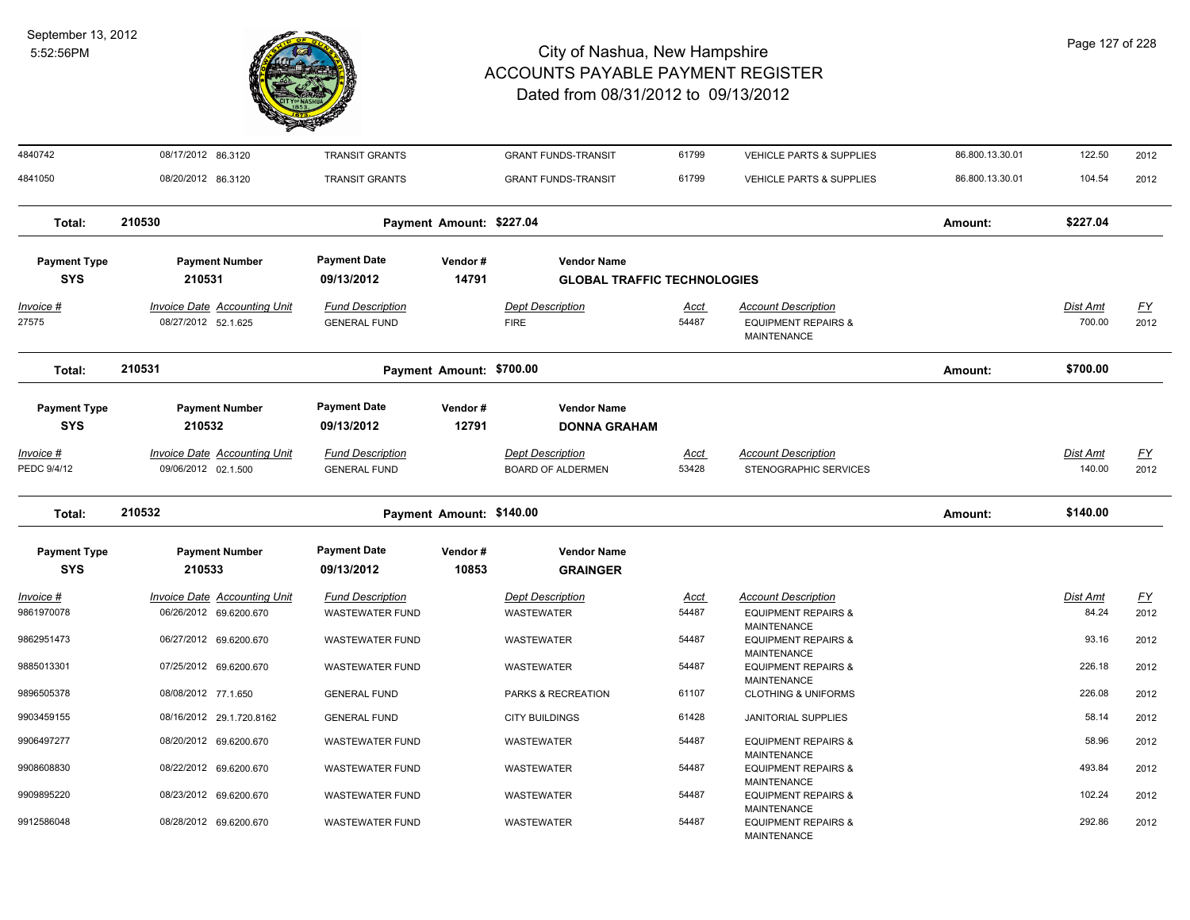

| 4840742                           | 08/17/2012 86.3120                                            | <b>TRANSIT GRANTS</b>                             |                          | <b>GRANT FUNDS-TRANSIT</b>                          | 61799                | VEHICLE PARTS & SUPPLIES                                                           | 86.800.13.30.01 | 122.50                    | 2012              |
|-----------------------------------|---------------------------------------------------------------|---------------------------------------------------|--------------------------|-----------------------------------------------------|----------------------|------------------------------------------------------------------------------------|-----------------|---------------------------|-------------------|
| 4841050                           | 08/20/2012 86.3120                                            | <b>TRANSIT GRANTS</b>                             |                          | <b>GRANT FUNDS-TRANSIT</b>                          | 61799                | <b>VEHICLE PARTS &amp; SUPPLIES</b>                                                | 86.800.13.30.01 | 104.54                    | 2012              |
| Total:                            | 210530                                                        |                                                   | Payment Amount: \$227.04 |                                                     |                      |                                                                                    | Amount:         | \$227.04                  |                   |
| <b>Payment Type</b>               | <b>Payment Number</b>                                         | <b>Payment Date</b>                               | Vendor#                  | <b>Vendor Name</b>                                  |                      |                                                                                    |                 |                           |                   |
| <b>SYS</b>                        | 210531                                                        | 09/13/2012                                        | 14791                    | <b>GLOBAL TRAFFIC TECHNOLOGIES</b>                  |                      |                                                                                    |                 |                           |                   |
| Invoice #<br>27575                | <b>Invoice Date Accounting Unit</b><br>08/27/2012 52.1.625    | <b>Fund Description</b><br><b>GENERAL FUND</b>    |                          | <b>Dept Description</b><br><b>FIRE</b>              | Acct<br>54487        | <b>Account Description</b><br><b>EQUIPMENT REPAIRS &amp;</b><br><b>MAINTENANCE</b> |                 | Dist Amt<br>700.00        | EY<br>2012        |
| Total:                            | 210531                                                        |                                                   | Payment Amount: \$700.00 |                                                     |                      |                                                                                    | Amount:         | \$700.00                  |                   |
| <b>Payment Type</b><br><b>SYS</b> | <b>Payment Number</b><br>210532                               | <b>Payment Date</b><br>09/13/2012                 | Vendor#<br>12791         | <b>Vendor Name</b><br><b>DONNA GRAHAM</b>           |                      |                                                                                    |                 |                           |                   |
| Invoice #<br>PEDC 9/4/12          | Invoice Date Accounting Unit<br>09/06/2012 02.1.500           | <b>Fund Description</b><br><b>GENERAL FUND</b>    |                          | <b>Dept Description</b><br><b>BOARD OF ALDERMEN</b> | <u>Acct</u><br>53428 | <b>Account Description</b><br>STENOGRAPHIC SERVICES                                |                 | <u>Dist Amt</u><br>140.00 | <u>FY</u><br>2012 |
| Total:                            | 210532                                                        |                                                   | Payment Amount: \$140.00 |                                                     |                      |                                                                                    | Amount:         | \$140.00                  |                   |
| <b>Payment Type</b><br><b>SYS</b> | <b>Payment Number</b><br>210533                               | <b>Payment Date</b><br>09/13/2012                 | Vendor#<br>10853         | <b>Vendor Name</b><br><b>GRAINGER</b>               |                      |                                                                                    |                 |                           |                   |
| Invoice #<br>9861970078           | <b>Invoice Date Accounting Unit</b><br>06/26/2012 69.6200.670 | <b>Fund Description</b><br><b>WASTEWATER FUND</b> |                          | <b>Dept Description</b><br>WASTEWATER               | Acct<br>54487        | <b>Account Description</b><br><b>EQUIPMENT REPAIRS &amp;</b><br><b>MAINTENANCE</b> |                 | Dist Amt<br>84.24         | <u>FY</u><br>2012 |
| 9862951473                        | 06/27/2012 69.6200.670                                        | <b>WASTEWATER FUND</b>                            |                          | WASTEWATER                                          | 54487                | <b>EQUIPMENT REPAIRS &amp;</b><br><b>MAINTENANCE</b>                               |                 | 93.16                     | 2012              |
| 9885013301                        | 07/25/2012 69.6200.670                                        | <b>WASTEWATER FUND</b>                            |                          | WASTEWATER                                          | 54487                | <b>EQUIPMENT REPAIRS &amp;</b><br><b>MAINTENANCE</b>                               |                 | 226.18                    | 2012              |
| 9896505378                        | 08/08/2012 77.1.650                                           | <b>GENERAL FUND</b>                               |                          | PARKS & RECREATION                                  | 61107                | <b>CLOTHING &amp; UNIFORMS</b>                                                     |                 | 226.08                    | 2012              |
| 9903459155                        | 08/16/2012 29.1.720.8162                                      | <b>GENERAL FUND</b>                               |                          | <b>CITY BUILDINGS</b>                               | 61428                | <b>JANITORIAL SUPPLIES</b>                                                         |                 | 58.14                     | 2012              |
| 9906497277                        | 08/20/2012 69.6200.670                                        | <b>WASTEWATER FUND</b>                            |                          | WASTEWATER                                          | 54487                | <b>EQUIPMENT REPAIRS &amp;</b><br><b>MAINTENANCE</b>                               |                 | 58.96                     | 2012              |
| 9908608830                        | 08/22/2012 69.6200.670                                        | <b>WASTEWATER FUND</b>                            |                          | <b>WASTEWATER</b>                                   | 54487                | <b>EQUIPMENT REPAIRS &amp;</b><br><b>MAINTENANCE</b>                               |                 | 493.84                    | 2012              |
| 9909895220                        | 08/23/2012 69.6200.670                                        | <b>WASTEWATER FUND</b>                            |                          | WASTEWATER                                          | 54487                | <b>EQUIPMENT REPAIRS &amp;</b><br><b>MAINTENANCE</b>                               |                 | 102.24                    | 2012              |
| 9912586048                        | 08/28/2012 69.6200.670                                        | <b>WASTEWATER FUND</b>                            |                          | <b>WASTEWATER</b>                                   | 54487                | <b>EQUIPMENT REPAIRS &amp;</b><br><b>MAINTENANCE</b>                               |                 | 292.86                    | 2012              |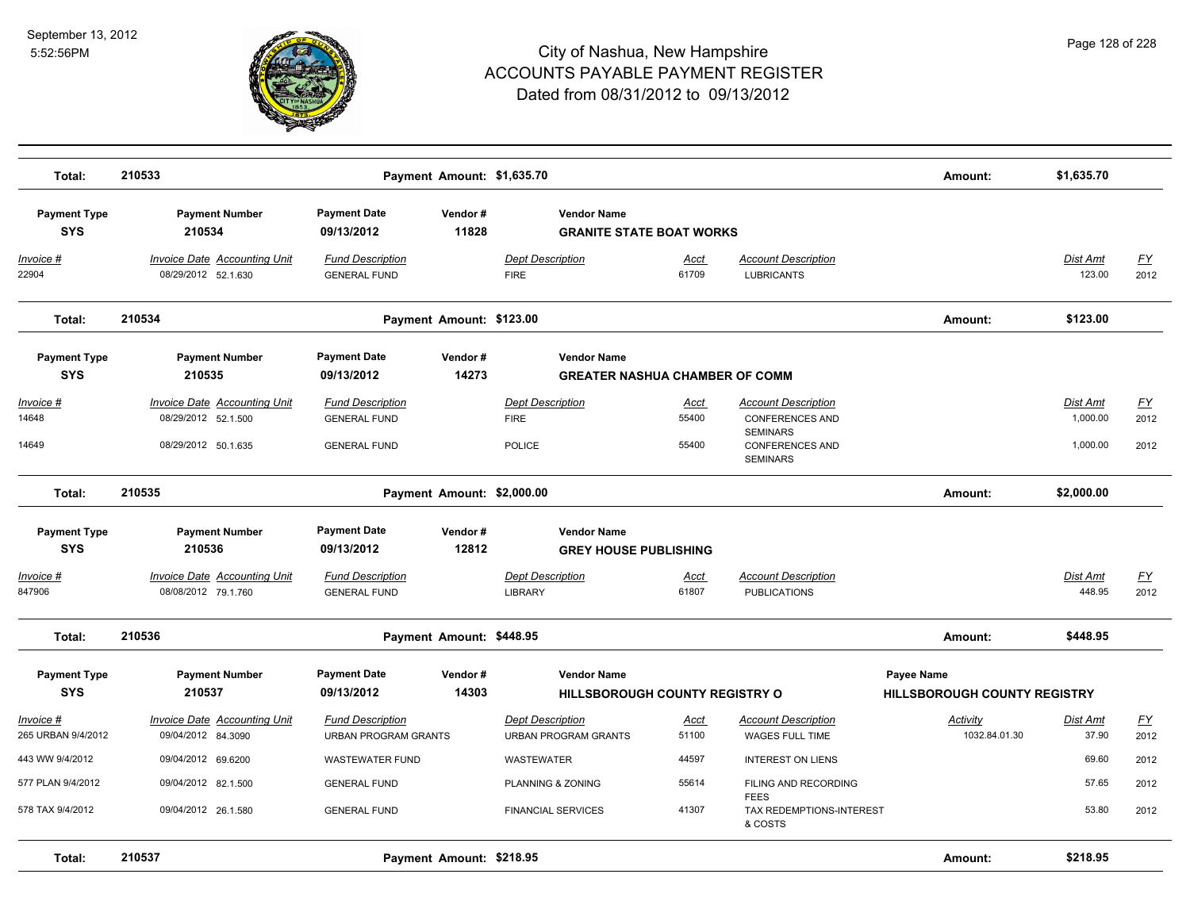

| Total:                                         | 210533                                                                            |                                                                       | Payment Amount: \$1,635.70 |                                                                               |                        |                                                                                                                      | Amount:                                           | \$1,635.70                       |                    |
|------------------------------------------------|-----------------------------------------------------------------------------------|-----------------------------------------------------------------------|----------------------------|-------------------------------------------------------------------------------|------------------------|----------------------------------------------------------------------------------------------------------------------|---------------------------------------------------|----------------------------------|--------------------|
| <b>Payment Type</b><br><b>SYS</b>              | <b>Payment Number</b><br>210534                                                   | <b>Payment Date</b><br>09/13/2012                                     | Vendor#<br>11828           | <b>Vendor Name</b><br><b>GRANITE STATE BOAT WORKS</b>                         |                        |                                                                                                                      |                                                   |                                  |                    |
| Invoice #<br>22904                             | Invoice Date Accounting Unit<br>08/29/2012 52.1.630                               | <b>Fund Description</b><br><b>GENERAL FUND</b>                        |                            | <b>Dept Description</b><br><b>FIRE</b>                                        | <u>Acct</u><br>61709   | <b>Account Description</b><br><b>LUBRICANTS</b>                                                                      |                                                   | <b>Dist Amt</b><br>123.00        | <u>FY</u><br>2012  |
| Total:                                         | 210534                                                                            |                                                                       | Payment Amount: \$123.00   |                                                                               |                        |                                                                                                                      | Amount:                                           | \$123.00                         |                    |
| <b>Payment Type</b><br><b>SYS</b>              | <b>Payment Number</b><br>210535                                                   | <b>Payment Date</b><br>09/13/2012                                     | Vendor#<br>14273           | <b>Vendor Name</b><br><b>GREATER NASHUA CHAMBER OF COMM</b>                   |                        |                                                                                                                      |                                                   |                                  |                    |
| Invoice #<br>14648<br>14649                    | <b>Invoice Date Accounting Unit</b><br>08/29/2012 52.1.500<br>08/29/2012 50.1.635 | <b>Fund Description</b><br><b>GENERAL FUND</b><br><b>GENERAL FUND</b> |                            | <b>Dept Description</b><br><b>FIRE</b><br><b>POLICE</b>                       | Acct<br>55400<br>55400 | <b>Account Description</b><br><b>CONFERENCES AND</b><br><b>SEMINARS</b><br><b>CONFERENCES AND</b><br><b>SEMINARS</b> |                                                   | Dist Amt<br>1,000.00<br>1,000.00 | FY<br>2012<br>2012 |
| Total:                                         | 210535                                                                            | Payment Amount: \$2,000.00                                            |                            |                                                                               |                        |                                                                                                                      | Amount:                                           | \$2,000.00                       |                    |
| <b>Payment Type</b><br><b>SYS</b><br>Invoice # | <b>Payment Number</b><br>210536<br><b>Invoice Date Accounting Unit</b>            | <b>Payment Date</b><br>09/13/2012<br><b>Fund Description</b>          | Vendor#<br>12812           | <b>Vendor Name</b><br><b>GREY HOUSE PUBLISHING</b><br><b>Dept Description</b> | Acct                   | <b>Account Description</b>                                                                                           |                                                   | Dist Amt                         | <u>FY</u>          |
| 847906<br>Total:                               | 08/08/2012 79.1.760<br>210536                                                     | <b>GENERAL FUND</b>                                                   | Payment Amount: \$448.95   | <b>LIBRARY</b>                                                                | 61807                  | <b>PUBLICATIONS</b>                                                                                                  | Amount:                                           | 448.95<br>\$448.95               | 2012               |
| <b>Payment Type</b><br><b>SYS</b>              | <b>Payment Number</b><br>210537                                                   | <b>Payment Date</b><br>09/13/2012                                     | Vendor#<br>14303           | <b>Vendor Name</b><br><b>HILLSBOROUGH COUNTY REGISTRY O</b>                   |                        |                                                                                                                      | Payee Name<br><b>HILLSBOROUGH COUNTY REGISTRY</b> |                                  |                    |
| Invoice #<br>265 URBAN 9/4/2012                | Invoice Date Accounting Unit<br>09/04/2012 84.3090                                | <b>Fund Description</b><br><b>URBAN PROGRAM GRANTS</b>                |                            | Dept Description<br><b>URBAN PROGRAM GRANTS</b>                               | Acct<br>51100          | <b>Account Description</b><br><b>WAGES FULL TIME</b>                                                                 | Activity<br>1032.84.01.30                         | Dist Amt<br>37.90                | <u>FY</u><br>2012  |
| 443 WW 9/4/2012                                | 09/04/2012 69.6200                                                                | <b>WASTEWATER FUND</b>                                                |                            | <b>WASTEWATER</b>                                                             | 44597                  | <b>INTEREST ON LIENS</b>                                                                                             |                                                   | 69.60                            | 2012               |
| 577 PLAN 9/4/2012                              | 09/04/2012 82.1.500                                                               | <b>GENERAL FUND</b>                                                   |                            | PLANNING & ZONING                                                             | 55614                  | FILING AND RECORDING<br><b>FEES</b>                                                                                  |                                                   | 57.65                            | 2012               |
| 578 TAX 9/4/2012                               | 09/04/2012 26.1.580                                                               | <b>GENERAL FUND</b>                                                   |                            | <b>FINANCIAL SERVICES</b>                                                     | 41307                  | TAX REDEMPTIONS-INTEREST<br>& COSTS                                                                                  |                                                   | 53.80                            | 2012               |
| Total:                                         | 210537                                                                            |                                                                       | Payment Amount: \$218.95   |                                                                               |                        |                                                                                                                      | Amount:                                           | \$218.95                         |                    |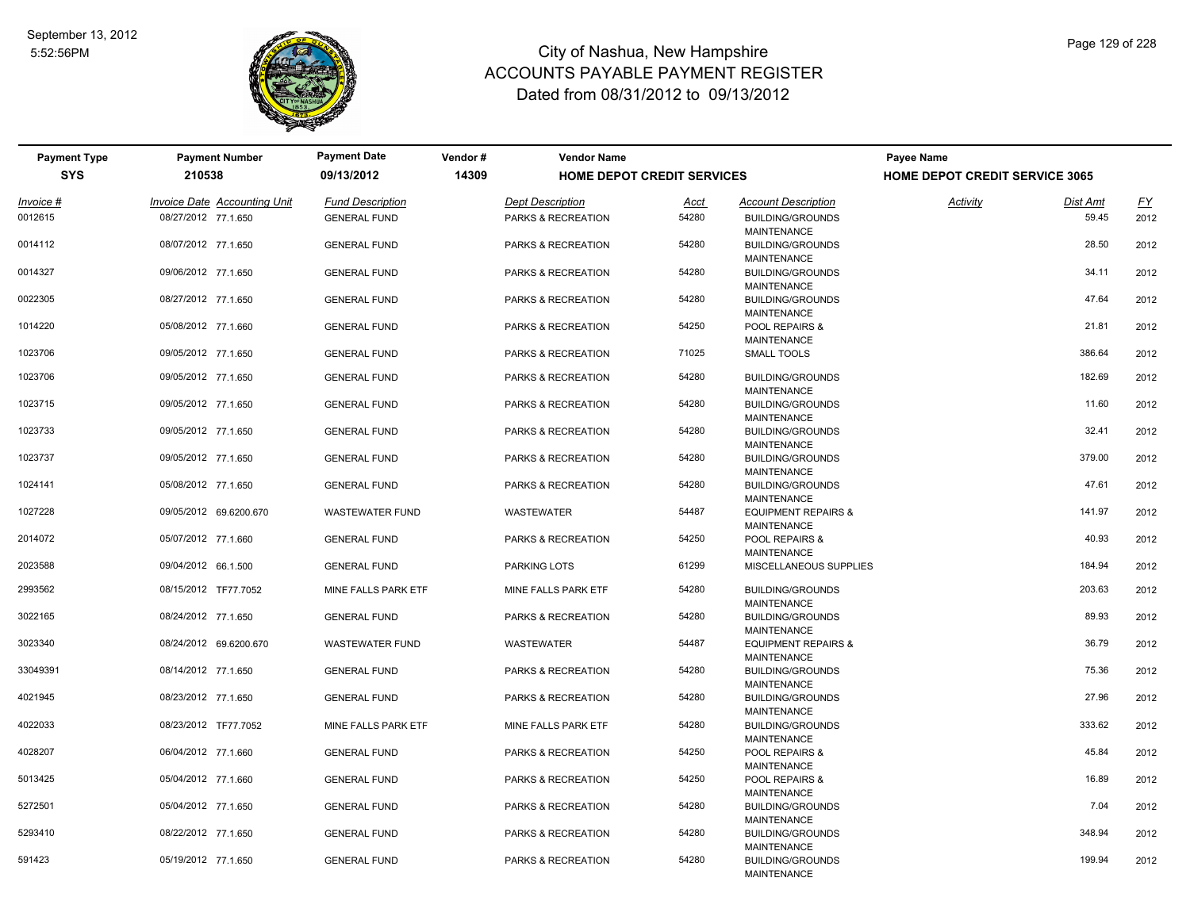

| <b>Payment Type</b> | <b>Payment Number</b>        | <b>Payment Date</b>     | Vendor# | <b>Vendor Name</b>      |                                   |                                               | Payee Name                            |          |           |  |  |
|---------------------|------------------------------|-------------------------|---------|-------------------------|-----------------------------------|-----------------------------------------------|---------------------------------------|----------|-----------|--|--|
| <b>SYS</b>          | 210538                       | 09/13/2012              | 14309   |                         | <b>HOME DEPOT CREDIT SERVICES</b> |                                               | <b>HOME DEPOT CREDIT SERVICE 3065</b> |          |           |  |  |
| Invoice #           | Invoice Date Accounting Unit | <b>Fund Description</b> |         | <b>Dept Description</b> | <u>Acct</u>                       | <b>Account Description</b>                    | Activity                              | Dist Amt | <u>FY</u> |  |  |
| 0012615             | 08/27/2012 77.1.650          | <b>GENERAL FUND</b>     |         | PARKS & RECREATION      | 54280                             | <b>BUILDING/GROUNDS</b>                       |                                       | 59.45    | 2012      |  |  |
|                     |                              |                         |         |                         |                                   | <b>MAINTENANCE</b>                            |                                       |          |           |  |  |
| 0014112             | 08/07/2012 77.1.650          | <b>GENERAL FUND</b>     |         | PARKS & RECREATION      | 54280                             | <b>BUILDING/GROUNDS</b>                       |                                       | 28.50    | 2012      |  |  |
|                     |                              |                         |         |                         |                                   | <b>MAINTENANCE</b>                            |                                       |          |           |  |  |
| 0014327             | 09/06/2012 77.1.650          | <b>GENERAL FUND</b>     |         | PARKS & RECREATION      | 54280                             | <b>BUILDING/GROUNDS</b>                       |                                       | 34.11    | 2012      |  |  |
|                     |                              |                         |         |                         |                                   | <b>MAINTENANCE</b>                            |                                       |          |           |  |  |
| 0022305             | 08/27/2012 77.1.650          | <b>GENERAL FUND</b>     |         | PARKS & RECREATION      | 54280                             | <b>BUILDING/GROUNDS</b>                       |                                       | 47.64    | 2012      |  |  |
| 1014220             | 05/08/2012 77.1.660          | <b>GENERAL FUND</b>     |         | PARKS & RECREATION      | 54250                             | <b>MAINTENANCE</b><br>POOL REPAIRS &          |                                       | 21.81    | 2012      |  |  |
|                     |                              |                         |         |                         |                                   | <b>MAINTENANCE</b>                            |                                       |          |           |  |  |
| 1023706             | 09/05/2012 77.1.650          | <b>GENERAL FUND</b>     |         | PARKS & RECREATION      | 71025                             | SMALL TOOLS                                   |                                       | 386.64   | 2012      |  |  |
|                     |                              |                         |         |                         |                                   |                                               |                                       |          |           |  |  |
| 1023706             | 09/05/2012 77.1.650          | <b>GENERAL FUND</b>     |         | PARKS & RECREATION      | 54280                             | <b>BUILDING/GROUNDS</b>                       |                                       | 182.69   | 2012      |  |  |
|                     |                              |                         |         |                         |                                   | <b>MAINTENANCE</b>                            |                                       |          |           |  |  |
| 1023715             | 09/05/2012 77.1.650          | <b>GENERAL FUND</b>     |         | PARKS & RECREATION      | 54280                             | <b>BUILDING/GROUNDS</b>                       |                                       | 11.60    | 2012      |  |  |
|                     |                              |                         |         |                         |                                   | <b>MAINTENANCE</b>                            |                                       |          |           |  |  |
| 1023733             | 09/05/2012 77.1.650          | <b>GENERAL FUND</b>     |         | PARKS & RECREATION      | 54280                             | <b>BUILDING/GROUNDS</b><br><b>MAINTENANCE</b> |                                       | 32.41    | 2012      |  |  |
| 1023737             | 09/05/2012 77.1.650          | <b>GENERAL FUND</b>     |         | PARKS & RECREATION      | 54280                             | <b>BUILDING/GROUNDS</b>                       |                                       | 379.00   | 2012      |  |  |
|                     |                              |                         |         |                         |                                   | <b>MAINTENANCE</b>                            |                                       |          |           |  |  |
| 1024141             | 05/08/2012 77.1.650          | <b>GENERAL FUND</b>     |         | PARKS & RECREATION      | 54280                             | <b>BUILDING/GROUNDS</b>                       |                                       | 47.61    | 2012      |  |  |
|                     |                              |                         |         |                         |                                   | <b>MAINTENANCE</b>                            |                                       |          |           |  |  |
| 1027228             | 09/05/2012 69.6200.670       | <b>WASTEWATER FUND</b>  |         | <b>WASTEWATER</b>       | 54487                             | <b>EQUIPMENT REPAIRS &amp;</b>                |                                       | 141.97   | 2012      |  |  |
|                     |                              |                         |         |                         |                                   | <b>MAINTENANCE</b>                            |                                       |          |           |  |  |
| 2014072             | 05/07/2012 77.1.660          | <b>GENERAL FUND</b>     |         | PARKS & RECREATION      | 54250                             | POOL REPAIRS &                                |                                       | 40.93    | 2012      |  |  |
|                     |                              |                         |         |                         |                                   | <b>MAINTENANCE</b>                            |                                       |          |           |  |  |
| 2023588             | 09/04/2012 66.1.500          | <b>GENERAL FUND</b>     |         | <b>PARKING LOTS</b>     | 61299                             | MISCELLANEOUS SUPPLIES                        |                                       | 184.94   | 2012      |  |  |
| 2993562             | 08/15/2012 TF77.7052         | MINE FALLS PARK ETF     |         | MINE FALLS PARK ETF     | 54280                             | <b>BUILDING/GROUNDS</b>                       |                                       | 203.63   | 2012      |  |  |
|                     |                              |                         |         |                         |                                   | MAINTENANCE                                   |                                       |          |           |  |  |
| 3022165             | 08/24/2012 77.1.650          | <b>GENERAL FUND</b>     |         | PARKS & RECREATION      | 54280                             | <b>BUILDING/GROUNDS</b>                       |                                       | 89.93    | 2012      |  |  |
|                     |                              |                         |         |                         |                                   | <b>MAINTENANCE</b>                            |                                       |          |           |  |  |
| 3023340             | 08/24/2012 69.6200.670       | <b>WASTEWATER FUND</b>  |         | <b>WASTEWATER</b>       | 54487                             | <b>EQUIPMENT REPAIRS &amp;</b>                |                                       | 36.79    | 2012      |  |  |
|                     |                              |                         |         |                         |                                   | <b>MAINTENANCE</b>                            |                                       |          |           |  |  |
| 33049391            | 08/14/2012 77.1.650          | <b>GENERAL FUND</b>     |         | PARKS & RECREATION      | 54280                             | <b>BUILDING/GROUNDS</b><br><b>MAINTENANCE</b> |                                       | 75.36    | 2012      |  |  |
| 4021945             | 08/23/2012 77.1.650          | <b>GENERAL FUND</b>     |         | PARKS & RECREATION      | 54280                             | <b>BUILDING/GROUNDS</b>                       |                                       | 27.96    | 2012      |  |  |
|                     |                              |                         |         |                         |                                   | <b>MAINTENANCE</b>                            |                                       |          |           |  |  |
| 4022033             | 08/23/2012 TF77.7052         | MINE FALLS PARK ETF     |         | MINE FALLS PARK ETF     | 54280                             | <b>BUILDING/GROUNDS</b>                       |                                       | 333.62   | 2012      |  |  |
|                     |                              |                         |         |                         |                                   | <b>MAINTENANCE</b>                            |                                       |          |           |  |  |
| 4028207             | 06/04/2012 77.1.660          | <b>GENERAL FUND</b>     |         | PARKS & RECREATION      | 54250                             | POOL REPAIRS &                                |                                       | 45.84    | 2012      |  |  |
|                     |                              |                         |         |                         |                                   | <b>MAINTENANCE</b>                            |                                       |          |           |  |  |
| 5013425             | 05/04/2012 77.1.660          | <b>GENERAL FUND</b>     |         | PARKS & RECREATION      | 54250                             | POOL REPAIRS &                                |                                       | 16.89    | 2012      |  |  |
|                     |                              |                         |         |                         |                                   | <b>MAINTENANCE</b>                            |                                       |          |           |  |  |
| 5272501             | 05/04/2012 77.1.650          | <b>GENERAL FUND</b>     |         | PARKS & RECREATION      | 54280                             | <b>BUILDING/GROUNDS</b>                       |                                       | 7.04     | 2012      |  |  |
| 5293410             | 08/22/2012 77.1.650          | <b>GENERAL FUND</b>     |         | PARKS & RECREATION      | 54280                             | <b>MAINTENANCE</b><br><b>BUILDING/GROUNDS</b> |                                       | 348.94   | 2012      |  |  |
|                     |                              |                         |         |                         |                                   | <b>MAINTENANCE</b>                            |                                       |          |           |  |  |
| 591423              | 05/19/2012 77.1.650          | <b>GENERAL FUND</b>     |         | PARKS & RECREATION      | 54280                             | <b>BUILDING/GROUNDS</b>                       |                                       | 199.94   | 2012      |  |  |
|                     |                              |                         |         |                         |                                   | <b>MAINTENANCE</b>                            |                                       |          |           |  |  |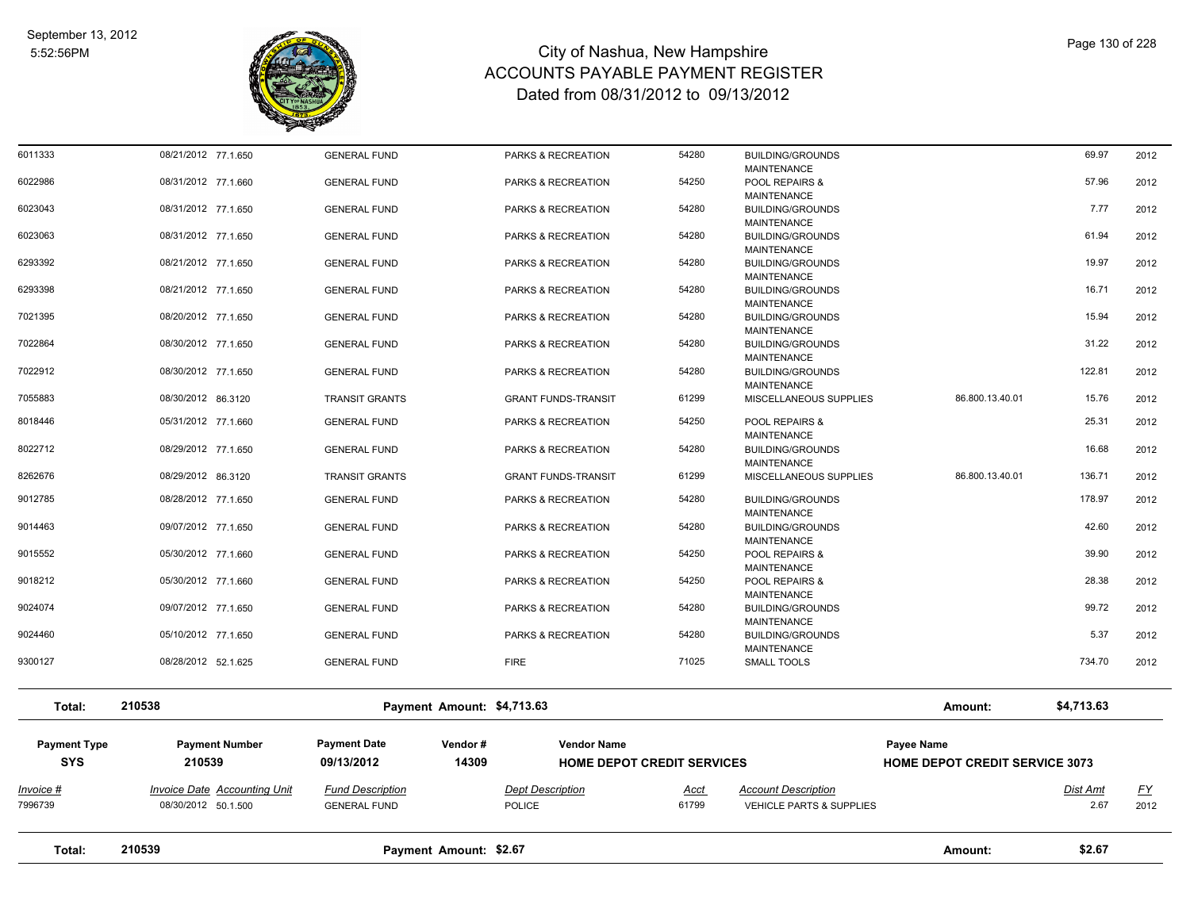

| Total:                            | 210539                                                     |                                                | Payment Amount: \$2.67                           |                                   |                                                                         | Amount:                                             | \$2.67                  |                   |
|-----------------------------------|------------------------------------------------------------|------------------------------------------------|--------------------------------------------------|-----------------------------------|-------------------------------------------------------------------------|-----------------------------------------------------|-------------------------|-------------------|
| Invoice #<br>7996739              | <b>Invoice Date Accounting Unit</b><br>08/30/2012 50.1.500 | <b>Fund Description</b><br><b>GENERAL FUND</b> | <b>Dept Description</b><br><b>POLICE</b>         | Acct<br>61799                     | <b>Account Description</b><br>VEHICLE PARTS & SUPPLIES                  |                                                     | <b>Dist Amt</b><br>2.67 | <u>FY</u><br>2012 |
| <b>Payment Type</b><br><b>SYS</b> | <b>Payment Number</b><br>210539                            | <b>Payment Date</b><br>09/13/2012              | Vendor#<br><b>Vendor Name</b><br>14309           | <b>HOME DEPOT CREDIT SERVICES</b> |                                                                         | Payee Name<br><b>HOME DEPOT CREDIT SERVICE 3073</b> |                         |                   |
| Total:                            | 210538                                                     |                                                | Payment Amount: \$4,713.63                       |                                   |                                                                         | Amount:                                             | \$4,713.63              |                   |
| 9300127                           | 08/28/2012 52.1.625                                        | <b>GENERAL FUND</b>                            | <b>FIRE</b>                                      | 71025                             | <b>SMALL TOOLS</b>                                                      |                                                     | 734.70                  | 2012              |
| 9024460                           | 05/10/2012 77.1.650                                        | <b>GENERAL FUND</b>                            | PARKS & RECREATION                               | 54280                             | <b>BUILDING/GROUNDS</b><br><b>MAINTENANCE</b>                           |                                                     | 5.37                    | 2012              |
| 9024074                           | 09/07/2012 77.1.650                                        | <b>GENERAL FUND</b>                            | PARKS & RECREATION                               | 54280                             | <b>BUILDING/GROUNDS</b><br><b>MAINTENANCE</b>                           |                                                     | 99.72                   | 2012              |
| 9018212                           | 05/30/2012 77.1.660                                        | <b>GENERAL FUND</b>                            | PARKS & RECREATION                               | 54250                             | <b>MAINTENANCE</b><br>POOL REPAIRS &<br>MAINTENANCE                     |                                                     | 28.38                   | 2012              |
| 9015552                           | 05/30/2012 77.1.660                                        | <b>GENERAL FUND</b>                            | PARKS & RECREATION                               | 54250                             | <b>MAINTENANCE</b><br>POOL REPAIRS &                                    |                                                     | 39.90                   | 2012              |
| 9014463                           | 09/07/2012 77.1.650                                        | <b>GENERAL FUND</b>                            | PARKS & RECREATION                               | 54280                             | <b>MAINTENANCE</b><br><b>BUILDING/GROUNDS</b>                           |                                                     | 42.60                   | 2012              |
| 9012785                           | 08/28/2012 77.1.650                                        | <b>GENERAL FUND</b>                            | PARKS & RECREATION                               | 54280                             | <b>BUILDING/GROUNDS</b>                                                 |                                                     | 178.97                  | 2012              |
| 8262676                           | 08/29/2012 77.1.650<br>08/29/2012 86.3120                  | <b>GENERAL FUND</b><br><b>TRANSIT GRANTS</b>   | PARKS & RECREATION<br><b>GRANT FUNDS-TRANSIT</b> | 61299                             | <b>BUILDING/GROUNDS</b><br><b>MAINTENANCE</b><br>MISCELLANEOUS SUPPLIES | 86.800.13.40.01                                     | 136.71                  | 2012<br>2012      |
| 8018446<br>8022712                | 05/31/2012 77.1.660                                        | <b>GENERAL FUND</b>                            | PARKS & RECREATION                               | 54250<br>54280                    | POOL REPAIRS &<br>MAINTENANCE                                           |                                                     | 25.31<br>16.68          | 2012              |
| 7055883                           | 08/30/2012 86.3120                                         | <b>TRANSIT GRANTS</b>                          | <b>GRANT FUNDS-TRANSIT</b>                       | 61299                             | MISCELLANEOUS SUPPLIES                                                  | 86.800.13.40.01                                     | 15.76                   | 2012              |
| 7022912                           | 08/30/2012 77.1.650                                        | <b>GENERAL FUND</b>                            | PARKS & RECREATION                               | 54280                             | BUILDING/GROUNDS<br><b>MAINTENANCE</b>                                  |                                                     | 122.81                  | 2012              |
| 7022864                           | 08/30/2012 77.1.650                                        | <b>GENERAL FUND</b>                            | PARKS & RECREATION                               | 54280                             | <b>BUILDING/GROUNDS</b><br><b>MAINTENANCE</b>                           |                                                     | 31.22                   | 2012              |
| 7021395                           | 08/20/2012 77.1.650                                        | <b>GENERAL FUND</b>                            | PARKS & RECREATION                               | 54280                             | <b>BUILDING/GROUNDS</b><br><b>MAINTENANCE</b>                           |                                                     | 15.94                   | 2012              |
| 6293398                           | 08/21/2012 77.1.650                                        | <b>GENERAL FUND</b>                            | PARKS & RECREATION                               | 54280                             | <b>MAINTENANCE</b><br><b>BUILDING/GROUNDS</b><br><b>MAINTENANCE</b>     |                                                     | 16.71                   | 2012              |
| 6293392                           | 08/21/2012 77.1.650                                        | <b>GENERAL FUND</b>                            | PARKS & RECREATION                               | 54280                             | <b>MAINTENANCE</b><br><b>BUILDING/GROUNDS</b>                           |                                                     | 19.97                   | 2012              |
| 6023063                           | 08/31/2012 77.1.650                                        | <b>GENERAL FUND</b>                            | PARKS & RECREATION                               | 54280                             | MAINTENANCE<br><b>BUILDING/GROUNDS</b>                                  |                                                     | 61.94                   | 2012              |
| 6023043                           | 08/31/2012 77.1.650                                        | <b>GENERAL FUND</b>                            | PARKS & RECREATION                               | 54280                             | <b>MAINTENANCE</b><br><b>BUILDING/GROUNDS</b>                           |                                                     | 7.77                    | 2012              |
| 6022986                           | 08/31/2012 77.1.660                                        | <b>GENERAL FUND</b>                            | PARKS & RECREATION                               | 54250                             | <b>MAINTENANCE</b><br>POOL REPAIRS &                                    |                                                     | 57.96                   | 2012              |
| 6011333                           | 08/21/2012 77.1.650                                        | <b>GENERAL FUND</b>                            | PARKS & RECREATION                               | 54280                             | <b>BUILDING/GROUNDS</b>                                                 |                                                     | 69.97                   | 2012              |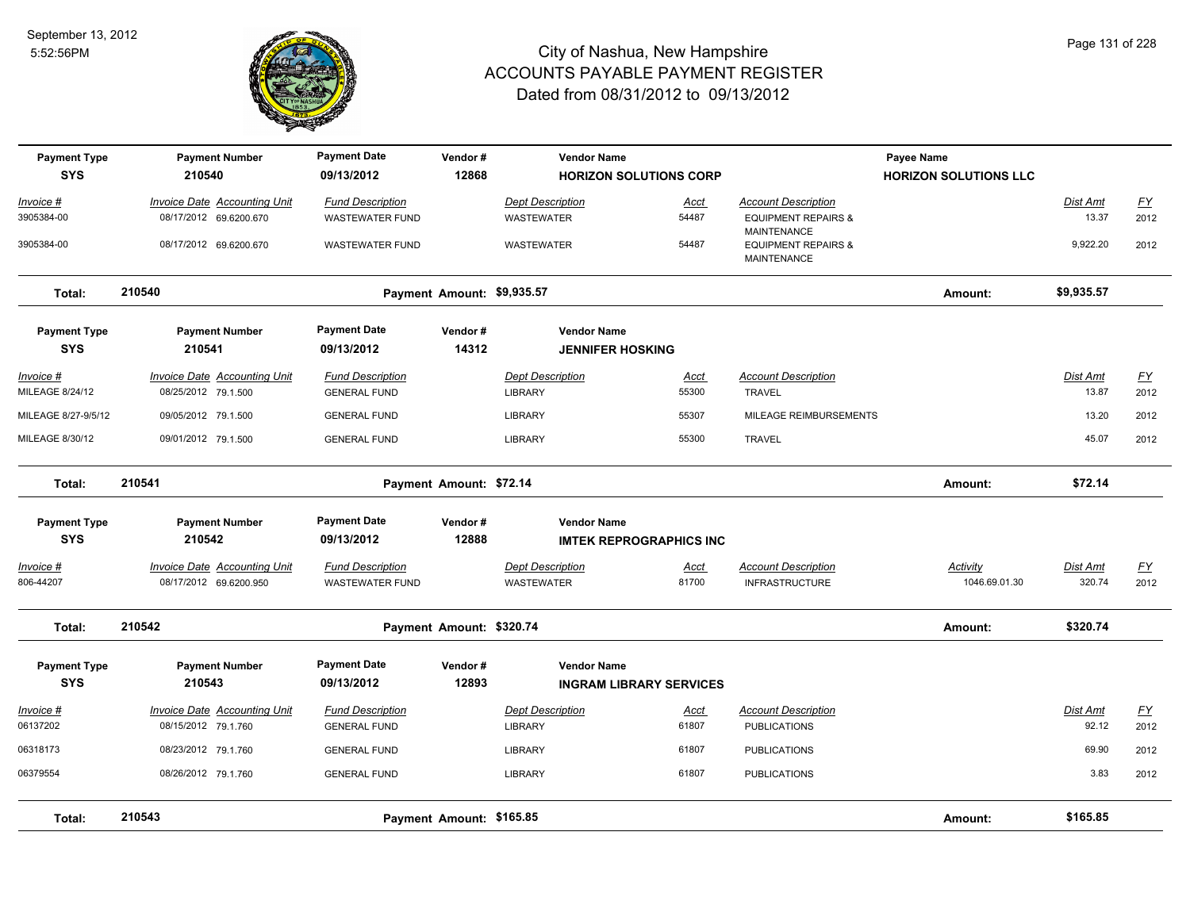

| <b>Payment Type</b><br><b>SYS</b> | <b>Payment Number</b><br>210540     | <b>Payment Date</b><br>09/13/2012 | Vendor#<br>12868           | <b>Vendor Name</b><br><b>HORIZON SOLUTIONS CORP</b> |             |                                               | Payee Name<br><b>HORIZON SOLUTIONS LLC</b> |            |           |
|-----------------------------------|-------------------------------------|-----------------------------------|----------------------------|-----------------------------------------------------|-------------|-----------------------------------------------|--------------------------------------------|------------|-----------|
|                                   |                                     |                                   |                            |                                                     |             |                                               |                                            |            |           |
| Invoice #                         | <b>Invoice Date Accounting Unit</b> | <b>Fund Description</b>           |                            | <b>Dept Description</b>                             | Acct        | <b>Account Description</b>                    |                                            | Dist Amt   | EY        |
| 3905384-00                        | 08/17/2012 69.6200.670              | <b>WASTEWATER FUND</b>            |                            | <b>WASTEWATER</b>                                   | 54487       | <b>EQUIPMENT REPAIRS &amp;</b><br>MAINTENANCE |                                            | 13.37      | 2012      |
| 3905384-00                        | 08/17/2012 69.6200.670              | <b>WASTEWATER FUND</b>            |                            | <b>WASTEWATER</b>                                   | 54487       | <b>EQUIPMENT REPAIRS &amp;</b><br>MAINTENANCE |                                            | 9,922.20   | 2012      |
| Total:                            | 210540                              |                                   | Payment Amount: \$9,935.57 |                                                     |             |                                               | Amount:                                    | \$9,935.57 |           |
| <b>Payment Type</b><br><b>SYS</b> | <b>Payment Number</b><br>210541     | <b>Payment Date</b><br>09/13/2012 | Vendor#<br>14312           | <b>Vendor Name</b><br><b>JENNIFER HOSKING</b>       |             |                                               |                                            |            |           |
| Invoice #                         | Invoice Date Accounting Unit        | <b>Fund Description</b>           |                            | <b>Dept Description</b>                             | Acct        | <b>Account Description</b>                    |                                            | Dist Amt   | EY        |
| MILEAGE 8/24/12                   | 08/25/2012 79.1.500                 | <b>GENERAL FUND</b>               |                            | <b>LIBRARY</b>                                      | 55300       | <b>TRAVEL</b>                                 |                                            | 13.87      | 2012      |
| MILEAGE 8/27-9/5/12               | 09/05/2012 79.1.500                 | <b>GENERAL FUND</b>               |                            | <b>LIBRARY</b>                                      | 55307       | MILEAGE REIMBURSEMENTS                        |                                            | 13.20      | 2012      |
| MILEAGE 8/30/12                   | 09/01/2012 79.1.500                 | <b>GENERAL FUND</b>               |                            | <b>LIBRARY</b>                                      | 55300       | <b>TRAVEL</b>                                 |                                            | 45.07      | 2012      |
| Total:                            | 210541                              |                                   | Payment Amount: \$72.14    |                                                     |             |                                               | Amount:                                    | \$72.14    |           |
| <b>Payment Type</b>               | <b>Payment Number</b>               | <b>Payment Date</b>               | Vendor#                    | <b>Vendor Name</b>                                  |             |                                               |                                            |            |           |
| <b>SYS</b>                        | 210542                              | 09/13/2012                        | 12888                      | <b>IMTEK REPROGRAPHICS INC</b>                      |             |                                               |                                            |            |           |
| Invoice #                         | <b>Invoice Date Accounting Unit</b> | <b>Fund Description</b>           |                            | <b>Dept Description</b>                             | Acct        | <b>Account Description</b>                    | <b>Activity</b>                            | Dist Amt   | <u>FY</u> |
| 806-44207                         | 08/17/2012 69.6200.950              | <b>WASTEWATER FUND</b>            |                            | <b>WASTEWATER</b>                                   | 81700       | <b>INFRASTRUCTURE</b>                         | 1046.69.01.30                              | 320.74     | 2012      |
| Total:                            | 210542                              |                                   | Payment Amount: \$320.74   |                                                     |             |                                               | Amount:                                    | \$320.74   |           |
| <b>Payment Type</b>               | <b>Payment Number</b>               | <b>Payment Date</b>               | Vendor#                    | <b>Vendor Name</b>                                  |             |                                               |                                            |            |           |
| <b>SYS</b>                        | 210543                              | 09/13/2012                        | 12893                      | <b>INGRAM LIBRARY SERVICES</b>                      |             |                                               |                                            |            |           |
| <u> Invoice #</u>                 | <b>Invoice Date Accounting Unit</b> | <b>Fund Description</b>           |                            | <b>Dept Description</b>                             | <u>Acct</u> | <b>Account Description</b>                    |                                            | Dist Amt   | <u>FY</u> |
| 06137202                          | 08/15/2012 79.1.760                 | <b>GENERAL FUND</b>               |                            | <b>LIBRARY</b>                                      | 61807       | <b>PUBLICATIONS</b>                           |                                            | 92.12      | 2012      |
| 06318173                          | 08/23/2012 79.1.760                 | <b>GENERAL FUND</b>               |                            | <b>LIBRARY</b>                                      | 61807       | <b>PUBLICATIONS</b>                           |                                            | 69.90      | 2012      |
| 06379554                          | 08/26/2012 79.1.760                 | <b>GENERAL FUND</b>               |                            | <b>LIBRARY</b>                                      | 61807       | <b>PUBLICATIONS</b>                           |                                            | 3.83       | 2012      |
| Total:                            | 210543                              |                                   | Payment Amount: \$165.85   |                                                     |             |                                               | Amount:                                    | \$165.85   |           |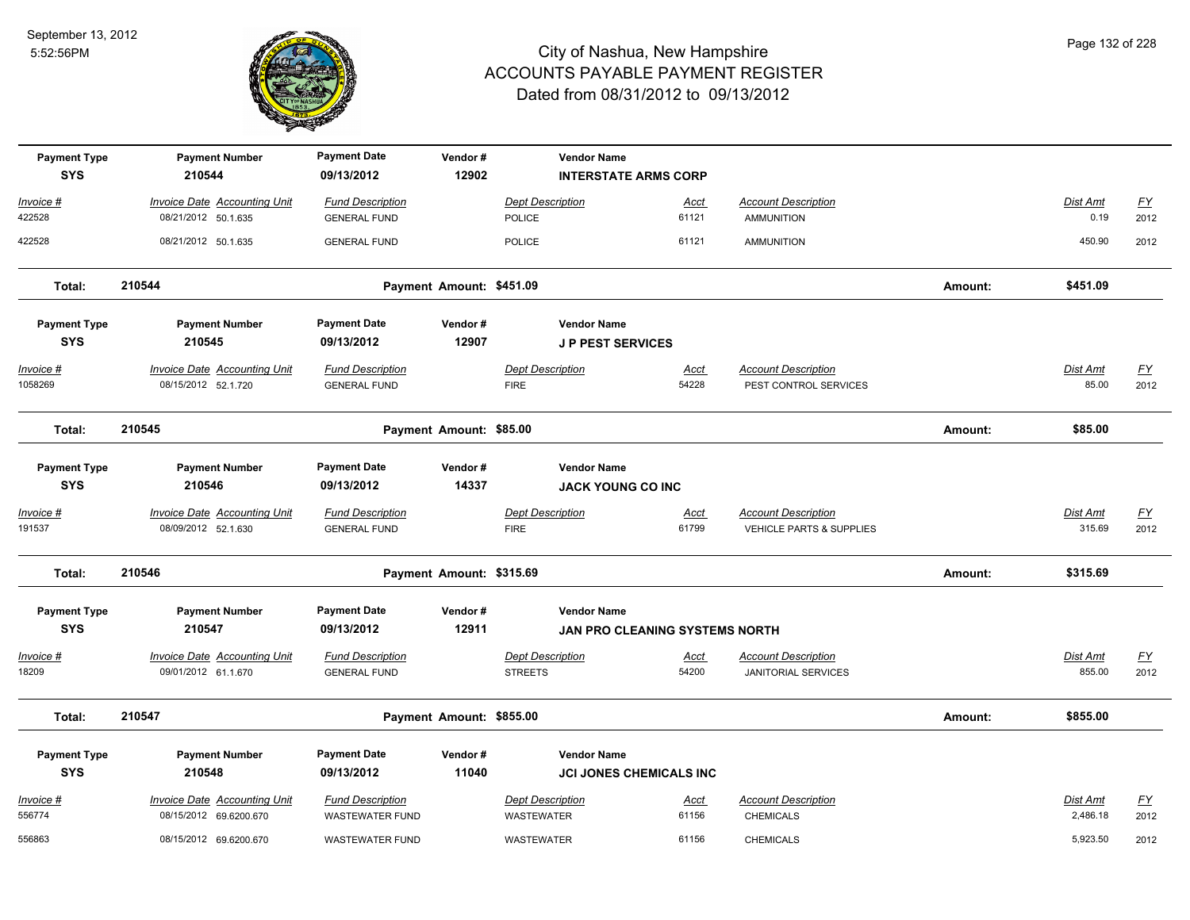

| <b>Payment Type</b><br><b>SYS</b> | <b>Payment Number</b><br>210544                               | <b>Payment Date</b><br>09/13/2012                 | Vendor#<br>12902         | <b>Vendor Name</b><br><b>INTERSTATE ARMS CORP</b> |                                       |                                                                   |         |                           |                          |
|-----------------------------------|---------------------------------------------------------------|---------------------------------------------------|--------------------------|---------------------------------------------------|---------------------------------------|-------------------------------------------------------------------|---------|---------------------------|--------------------------|
| Invoice #                         | <b>Invoice Date Accounting Unit</b>                           | <b>Fund Description</b>                           |                          | <b>Dept Description</b>                           | Acct                                  | <b>Account Description</b>                                        |         | Dist Amt                  | <u>FY</u>                |
| 422528                            | 08/21/2012 50.1.635                                           | <b>GENERAL FUND</b>                               |                          | <b>POLICE</b>                                     | 61121                                 | AMMUNITION                                                        |         | 0.19                      | 2012                     |
| 422528                            | 08/21/2012 50.1.635                                           | <b>GENERAL FUND</b>                               |                          | <b>POLICE</b>                                     | 61121                                 | <b>AMMUNITION</b>                                                 |         | 450.90                    | 2012                     |
| Total:                            | 210544                                                        |                                                   | Payment Amount: \$451.09 |                                                   |                                       |                                                                   | Amount: | \$451.09                  |                          |
| <b>Payment Type</b><br><b>SYS</b> | <b>Payment Number</b><br>210545                               | <b>Payment Date</b><br>09/13/2012                 | Vendor#<br>12907         | <b>Vendor Name</b><br><b>J P PEST SERVICES</b>    |                                       |                                                                   |         |                           |                          |
| Invoice #<br>1058269              | <b>Invoice Date Accounting Unit</b><br>08/15/2012 52.1.720    | <b>Fund Description</b><br><b>GENERAL FUND</b>    |                          | <b>Dept Description</b><br><b>FIRE</b>            | Acct<br>54228                         | <b>Account Description</b><br>PEST CONTROL SERVICES               |         | Dist Amt<br>85.00         | $\underline{FY}$<br>2012 |
| Total:                            | 210545                                                        |                                                   | Payment Amount: \$85.00  |                                                   |                                       |                                                                   | Amount: | \$85.00                   |                          |
| <b>Payment Type</b><br><b>SYS</b> | <b>Payment Number</b><br>210546                               | <b>Payment Date</b><br>09/13/2012                 | Vendor#<br>14337         | <b>Vendor Name</b><br><b>JACK YOUNG CO INC</b>    |                                       |                                                                   |         |                           |                          |
| Invoice #<br>191537               | <b>Invoice Date Accounting Unit</b><br>08/09/2012 52.1.630    | <b>Fund Description</b><br><b>GENERAL FUND</b>    |                          | <b>Dept Description</b><br><b>FIRE</b>            | <u>Acct</u><br>61799                  | <b>Account Description</b><br><b>VEHICLE PARTS &amp; SUPPLIES</b> |         | <b>Dist Amt</b><br>315.69 | <u>FY</u><br>2012        |
| Total:                            | 210546                                                        |                                                   | Payment Amount: \$315.69 |                                                   |                                       |                                                                   | Amount: | \$315.69                  |                          |
| <b>Payment Type</b><br><b>SYS</b> | <b>Payment Number</b><br>210547                               | <b>Payment Date</b><br>09/13/2012                 | Vendor#<br>12911         | <b>Vendor Name</b>                                | <b>JAN PRO CLEANING SYSTEMS NORTH</b> |                                                                   |         |                           |                          |
| <u> Invoice #</u><br>18209        | <b>Invoice Date Accounting Unit</b><br>09/01/2012 61.1.670    | <b>Fund Description</b><br><b>GENERAL FUND</b>    |                          | <b>Dept Description</b><br><b>STREETS</b>         | Acct<br>54200                         | <b>Account Description</b><br><b>JANITORIAL SERVICES</b>          |         | Dist Amt<br>855.00        | EY<br>2012               |
| Total:                            | 210547                                                        |                                                   | Payment Amount: \$855.00 |                                                   |                                       |                                                                   | Amount: | \$855.00                  |                          |
| <b>Payment Type</b><br><b>SYS</b> | <b>Payment Number</b><br>210548                               | <b>Payment Date</b><br>09/13/2012                 | Vendor#<br>11040         | <b>Vendor Name</b>                                | <b>JCI JONES CHEMICALS INC</b>        |                                                                   |         |                           |                          |
| Invoice #<br>556774               | <b>Invoice Date Accounting Unit</b><br>08/15/2012 69.6200.670 | <b>Fund Description</b><br><b>WASTEWATER FUND</b> |                          | <b>Dept Description</b><br>WASTEWATER             | <u>Acct</u><br>61156                  | <b>Account Description</b><br><b>CHEMICALS</b>                    |         | Dist Amt<br>2,486.18      | <u>FY</u><br>2012        |
| 556863                            | 08/15/2012 69.6200.670                                        | <b>WASTEWATER FUND</b>                            |                          | WASTEWATER                                        | 61156                                 | <b>CHEMICALS</b>                                                  |         | 5,923.50                  | 2012                     |

Page 132 of 228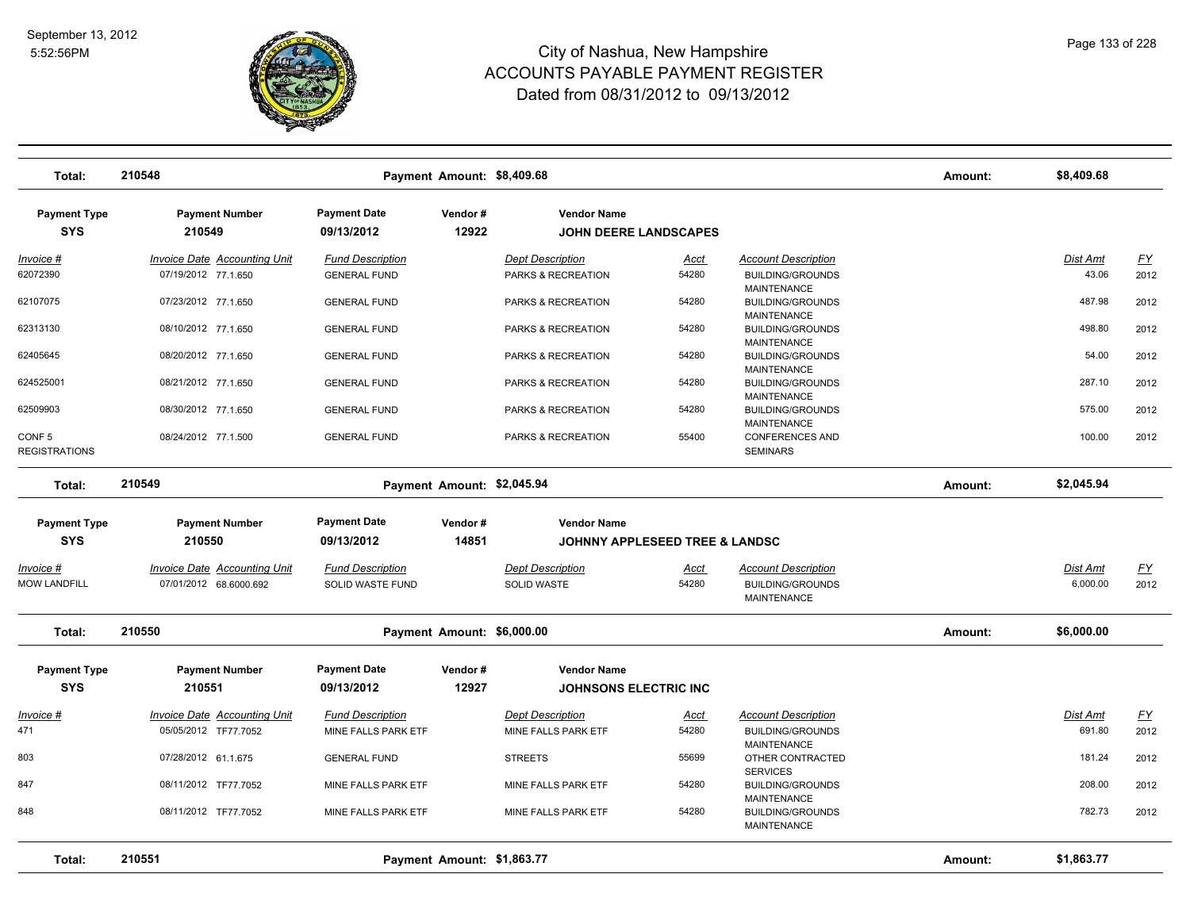

| Total:                                    | 210548                              |                                   | Payment Amount: \$8,409.68 |                                                    |                                           |                                                                  | Amount: | \$8,409.68      |           |
|-------------------------------------------|-------------------------------------|-----------------------------------|----------------------------|----------------------------------------------------|-------------------------------------------|------------------------------------------------------------------|---------|-----------------|-----------|
| <b>Payment Type</b><br><b>SYS</b>         | <b>Payment Number</b><br>210549     | <b>Payment Date</b><br>09/13/2012 | Vendor#<br>12922           | <b>Vendor Name</b><br><b>JOHN DEERE LANDSCAPES</b> |                                           |                                                                  |         |                 |           |
| Invoice #                                 | Invoice Date Accounting Unit        | <b>Fund Description</b>           |                            | <b>Dept Description</b>                            | Acct                                      | <b>Account Description</b>                                       |         | Dist Amt        | <u>FY</u> |
| 62072390                                  | 07/19/2012 77.1.650                 | <b>GENERAL FUND</b>               |                            | PARKS & RECREATION                                 | 54280                                     | <b>BUILDING/GROUNDS</b><br><b>MAINTENANCE</b>                    |         | 43.06           | 2012      |
| 62107075                                  | 07/23/2012 77.1.650                 | <b>GENERAL FUND</b>               |                            | PARKS & RECREATION                                 | 54280                                     | <b>BUILDING/GROUNDS</b><br><b>MAINTENANCE</b>                    |         | 487.98          | 2012      |
| 62313130                                  | 08/10/2012 77.1.650                 | <b>GENERAL FUND</b>               |                            | PARKS & RECREATION                                 | 54280                                     | <b>BUILDING/GROUNDS</b><br><b>MAINTENANCE</b>                    |         | 498.80          | 2012      |
| 62405645                                  | 08/20/2012 77.1.650                 | <b>GENERAL FUND</b>               |                            | PARKS & RECREATION                                 | 54280                                     | <b>BUILDING/GROUNDS</b><br><b>MAINTENANCE</b>                    |         | 54.00           | 2012      |
| 624525001                                 | 08/21/2012 77.1.650                 | <b>GENERAL FUND</b>               |                            | PARKS & RECREATION                                 | 54280                                     | <b>BUILDING/GROUNDS</b><br><b>MAINTENANCE</b>                    |         | 287.10          | 2012      |
| 62509903                                  | 08/30/2012 77.1.650                 | <b>GENERAL FUND</b>               |                            | PARKS & RECREATION                                 | 54280                                     | <b>BUILDING/GROUNDS</b><br><b>MAINTENANCE</b>                    |         | 575.00          | 2012      |
| CONF <sub>5</sub><br><b>REGISTRATIONS</b> | 08/24/2012 77.1.500                 | <b>GENERAL FUND</b>               |                            | PARKS & RECREATION                                 | 55400                                     | <b>CONFERENCES AND</b><br><b>SEMINARS</b>                        |         | 100.00          | 2012      |
| Total:                                    | 210549                              |                                   | Payment Amount: \$2,045.94 |                                                    |                                           |                                                                  | Amount: | \$2,045.94      |           |
| <b>Payment Type</b><br><b>SYS</b>         | <b>Payment Number</b><br>210550     | <b>Payment Date</b><br>09/13/2012 | Vendor#<br>14851           | <b>Vendor Name</b>                                 | <b>JOHNNY APPLESEED TREE &amp; LANDSC</b> |                                                                  |         |                 |           |
| Invoice #                                 | <b>Invoice Date Accounting Unit</b> | <b>Fund Description</b>           |                            | <b>Dept Description</b>                            | <u>Acct</u>                               | <b>Account Description</b>                                       |         | <b>Dist Amt</b> | <u>FY</u> |
| <b>MOW LANDFILL</b>                       | 07/01/2012 68.6000.692              | SOLID WASTE FUND                  |                            | <b>SOLID WASTE</b>                                 | 54280                                     | <b>BUILDING/GROUNDS</b><br><b>MAINTENANCE</b>                    |         | 6,000.00        | 2012      |
| Total:                                    | 210550                              |                                   | Payment Amount: \$6,000.00 |                                                    |                                           |                                                                  | Amount: | \$6,000.00      |           |
| <b>Payment Type</b>                       | <b>Payment Number</b>               | <b>Payment Date</b>               | Vendor#                    | <b>Vendor Name</b>                                 |                                           |                                                                  |         |                 |           |
| <b>SYS</b>                                | 210551                              | 09/13/2012                        | 12927                      | <b>JOHNSONS ELECTRIC INC</b>                       |                                           |                                                                  |         |                 |           |
| Invoice #                                 | <b>Invoice Date Accounting Unit</b> | <b>Fund Description</b>           |                            | <b>Dept Description</b>                            | Acct                                      | <b>Account Description</b>                                       |         | Dist Amt        | <u>FY</u> |
| 471                                       | 05/05/2012 TF77.7052                | MINE FALLS PARK ETF               |                            | MINE FALLS PARK ETF                                | 54280                                     | <b>BUILDING/GROUNDS</b><br>MAINTENANCE                           |         | 691.80          | 2012      |
| 803                                       | 07/28/2012 61.1.675                 | <b>GENERAL FUND</b>               |                            | <b>STREETS</b>                                     | 55699                                     | OTHER CONTRACTED                                                 |         | 181.24          | 2012      |
| 847                                       | 08/11/2012 TF77.7052                | MINE FALLS PARK ETF               |                            | MINE FALLS PARK ETF                                | 54280                                     | <b>SERVICES</b><br><b>BUILDING/GROUNDS</b><br><b>MAINTENANCE</b> |         | 208.00          | 2012      |
| 848                                       | 08/11/2012 TF77.7052                | MINE FALLS PARK ETF               |                            | MINE FALLS PARK ETF                                | 54280                                     | <b>BUILDING/GROUNDS</b><br><b>MAINTENANCE</b>                    |         | 782.73          | 2012      |
| Total:                                    | 210551                              |                                   | Payment Amount: \$1,863.77 |                                                    |                                           |                                                                  | Amount: | \$1,863.77      |           |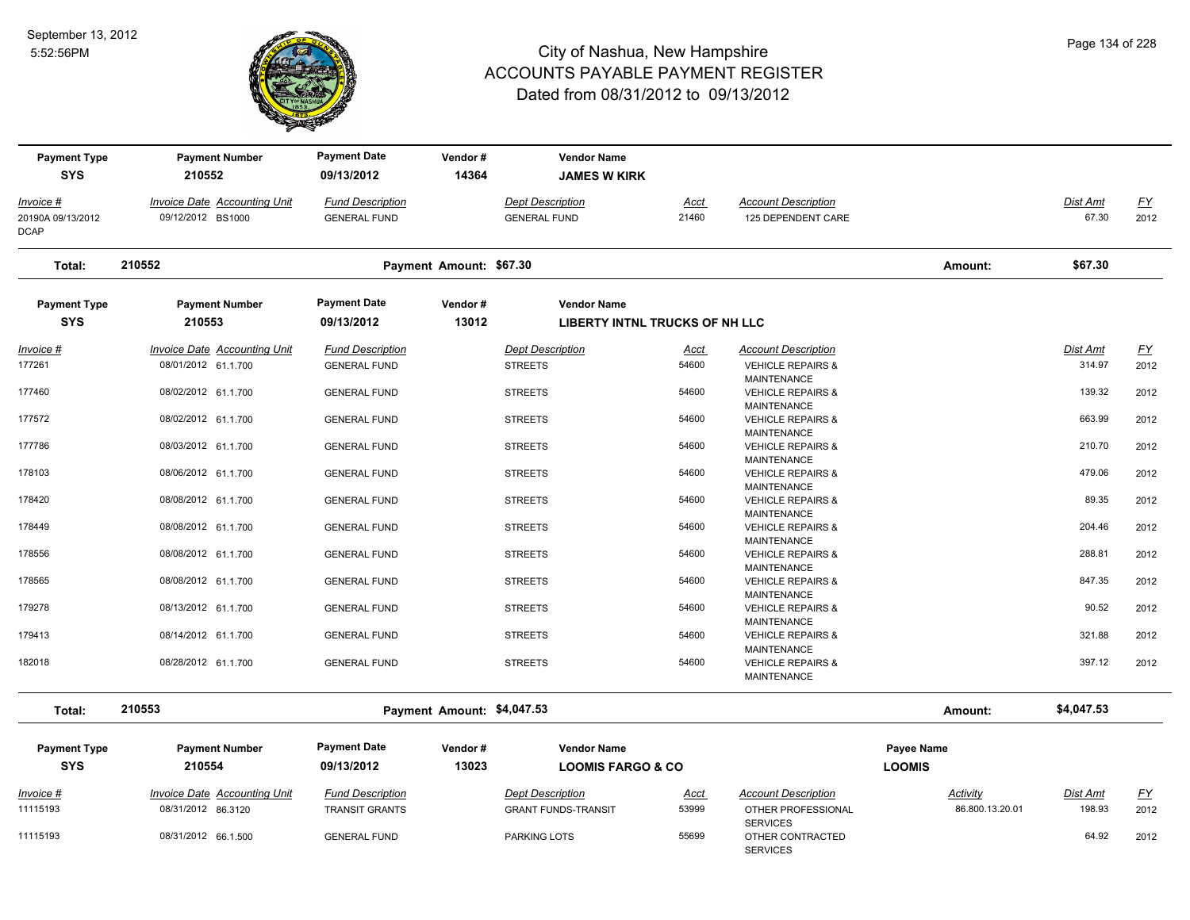

| <b>Payment Type</b><br><b>SYS</b> | <b>Payment Number</b><br>210552     | <b>Payment Date</b><br>09/13/2012 | Vendor#<br>14364           | <b>Vendor Name</b><br><b>JAMES W KIRK</b> |             |                                                    |                 |                 |                  |
|-----------------------------------|-------------------------------------|-----------------------------------|----------------------------|-------------------------------------------|-------------|----------------------------------------------------|-----------------|-----------------|------------------|
| Invoice #                         | <b>Invoice Date Accounting Unit</b> | <b>Fund Description</b>           |                            | <b>Dept Description</b>                   | <u>Acct</u> | <b>Account Description</b>                         |                 | Dist Amt        | $\underline{FY}$ |
| 20190A 09/13/2012<br><b>DCAP</b>  | 09/12/2012 BS1000                   | <b>GENERAL FUND</b>               |                            | <b>GENERAL FUND</b>                       | 21460       | 125 DEPENDENT CARE                                 |                 | 67.30           | 2012             |
| Total:                            | 210552                              |                                   | Payment Amount: \$67.30    |                                           |             |                                                    | Amount:         | \$67.30         |                  |
| <b>Payment Type</b>               | <b>Payment Number</b>               | <b>Payment Date</b>               | Vendor#                    | <b>Vendor Name</b>                        |             |                                                    |                 |                 |                  |
| <b>SYS</b>                        | 210553                              | 09/13/2012                        | 13012                      | LIBERTY INTNL TRUCKS OF NH LLC            |             |                                                    |                 |                 |                  |
| Invoice #                         | Invoice Date Accounting Unit        | <b>Fund Description</b>           |                            | <b>Dept Description</b>                   | Acct        | <b>Account Description</b>                         |                 | Dist Amt        | EY               |
| 177261                            | 08/01/2012 61.1.700                 | <b>GENERAL FUND</b>               |                            | <b>STREETS</b>                            | 54600       | <b>VEHICLE REPAIRS &amp;</b><br><b>MAINTENANCE</b> |                 | 314.97          | 2012             |
| 177460                            | 08/02/2012 61.1.700                 | <b>GENERAL FUND</b>               |                            | <b>STREETS</b>                            | 54600       | <b>VEHICLE REPAIRS &amp;</b><br><b>MAINTENANCE</b> |                 | 139.32          | 2012             |
| 177572                            | 08/02/2012 61.1.700                 | <b>GENERAL FUND</b>               |                            | <b>STREETS</b>                            | 54600       | <b>VEHICLE REPAIRS &amp;</b><br><b>MAINTENANCE</b> |                 | 663.99          | 2012             |
| 177786                            | 08/03/2012 61.1.700                 | <b>GENERAL FUND</b>               |                            | <b>STREETS</b>                            | 54600       | <b>VEHICLE REPAIRS &amp;</b><br><b>MAINTENANCE</b> |                 | 210.70          | 2012             |
| 178103                            | 08/06/2012 61.1.700                 | <b>GENERAL FUND</b>               |                            | <b>STREETS</b>                            | 54600       | <b>VEHICLE REPAIRS &amp;</b><br><b>MAINTENANCE</b> |                 | 479.06          | 2012             |
| 178420                            | 08/08/2012 61.1.700                 | <b>GENERAL FUND</b>               |                            | <b>STREETS</b>                            | 54600       | <b>VEHICLE REPAIRS &amp;</b><br><b>MAINTENANCE</b> |                 | 89.35           | 2012             |
| 178449                            | 08/08/2012 61.1.700                 | <b>GENERAL FUND</b>               |                            | <b>STREETS</b>                            | 54600       | <b>VEHICLE REPAIRS &amp;</b><br><b>MAINTENANCE</b> |                 | 204.46          | 2012             |
| 178556                            | 08/08/2012 61.1.700                 | <b>GENERAL FUND</b>               |                            | <b>STREETS</b>                            | 54600       | <b>VEHICLE REPAIRS &amp;</b><br><b>MAINTENANCE</b> |                 | 288.81          | 2012             |
| 178565                            | 08/08/2012 61.1.700                 | <b>GENERAL FUND</b>               |                            | <b>STREETS</b>                            | 54600       | <b>VEHICLE REPAIRS &amp;</b><br><b>MAINTENANCE</b> |                 | 847.35          | 2012             |
| 179278                            | 08/13/2012 61.1.700                 | <b>GENERAL FUND</b>               |                            | <b>STREETS</b>                            | 54600       | <b>VEHICLE REPAIRS &amp;</b><br><b>MAINTENANCE</b> |                 | 90.52           | 2012             |
| 179413                            | 08/14/2012 61.1.700                 | <b>GENERAL FUND</b>               |                            | <b>STREETS</b>                            | 54600       | <b>VEHICLE REPAIRS &amp;</b><br><b>MAINTENANCE</b> |                 | 321.88          | 2012             |
| 182018                            | 08/28/2012 61.1.700                 | <b>GENERAL FUND</b>               |                            | <b>STREETS</b>                            | 54600       | <b>VEHICLE REPAIRS &amp;</b><br>MAINTENANCE        |                 | 397.12          | 2012             |
| Total:                            | 210553                              |                                   | Payment Amount: \$4,047.53 |                                           |             |                                                    | Amount:         | \$4,047.53      |                  |
| <b>Payment Type</b>               | <b>Payment Number</b>               | <b>Payment Date</b>               | Vendor#                    | <b>Vendor Name</b>                        |             |                                                    | Payee Name      |                 |                  |
| <b>SYS</b>                        | 210554                              | 09/13/2012                        | 13023                      | <b>LOOMIS FARGO &amp; CO</b>              |             |                                                    | <b>LOOMIS</b>   |                 |                  |
| Invoice #                         | <b>Invoice Date Accounting Unit</b> | <b>Fund Description</b>           |                            | <b>Dept Description</b>                   | <u>Acct</u> | <b>Account Description</b>                         | <b>Activity</b> | <b>Dist Amt</b> | <u>FY</u>        |
| 11115193                          | 08/31/2012 86.3120                  | <b>TRANSIT GRANTS</b>             |                            | <b>GRANT FUNDS-TRANSIT</b>                | 53999       | OTHER PROFESSIONAL<br><b>SERVICES</b>              | 86.800.13.20.01 | 198.93          | 2012             |
| 11115193                          | 08/31/2012 66.1.500                 | <b>GENERAL FUND</b>               |                            | <b>PARKING LOTS</b>                       | 55699       | OTHER CONTRACTED<br><b>SERVICES</b>                |                 | 64.92           | 2012             |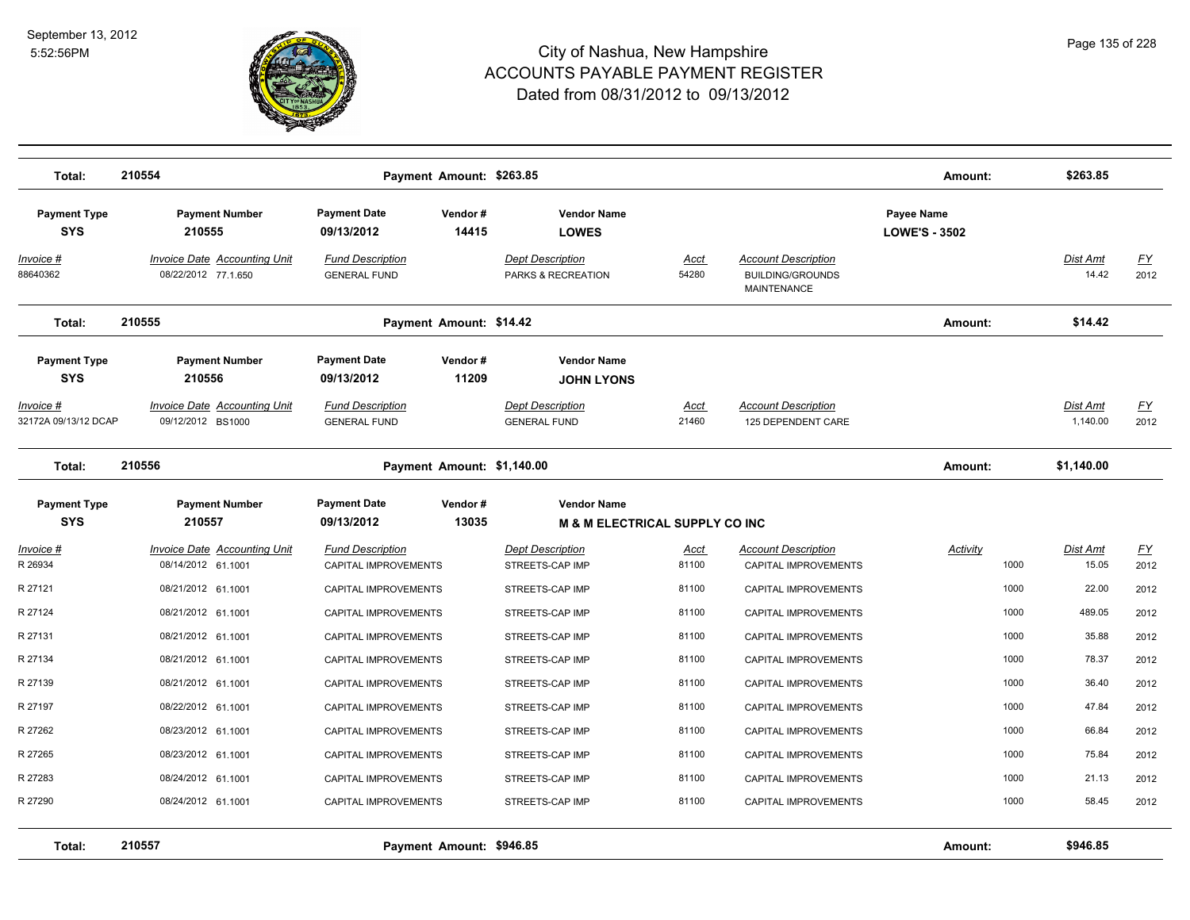

| Total:                                                 | 210554                                                                 |                                                              | Payment Amount: \$263.85   |                                                                    |               |                                                                             | Amount:                                   | \$263.85          |                           |
|--------------------------------------------------------|------------------------------------------------------------------------|--------------------------------------------------------------|----------------------------|--------------------------------------------------------------------|---------------|-----------------------------------------------------------------------------|-------------------------------------------|-------------------|---------------------------|
| <b>Payment Type</b><br><b>SYS</b>                      | <b>Payment Number</b><br>210555                                        | <b>Payment Date</b><br>09/13/2012                            | Vendor#<br>14415           | <b>Vendor Name</b><br><b>LOWES</b>                                 |               |                                                                             | <b>Payee Name</b><br><b>LOWE'S - 3502</b> |                   |                           |
| Invoice #<br>88640362                                  | <b>Invoice Date Accounting Unit</b><br>08/22/2012 77.1.650             | <b>Fund Description</b><br><b>GENERAL FUND</b>               |                            | <b>Dept Description</b><br>PARKS & RECREATION                      | Acct<br>54280 | <b>Account Description</b><br><b>BUILDING/GROUNDS</b><br><b>MAINTENANCE</b> |                                           | Dist Amt<br>14.42 | $\underline{FY}$<br>2012  |
| Total:                                                 | 210555                                                                 |                                                              | Payment Amount: \$14.42    |                                                                    |               |                                                                             | Amount:                                   | \$14.42           |                           |
| <b>Payment Type</b><br><b>SYS</b><br><u> Invoice #</u> | <b>Payment Number</b><br>210556<br><b>Invoice Date Accounting Unit</b> | <b>Payment Date</b><br>09/13/2012<br><b>Fund Description</b> | Vendor#<br>11209           | <b>Vendor Name</b><br><b>JOHN LYONS</b><br><b>Dept Description</b> | Acct          | <b>Account Description</b>                                                  |                                           | <b>Dist Amt</b>   | $\underline{\mathsf{FY}}$ |
| 32172A 09/13/12 DCAP                                   | 09/12/2012 BS1000                                                      | <b>GENERAL FUND</b>                                          |                            | <b>GENERAL FUND</b>                                                | 21460         | 125 DEPENDENT CARE                                                          |                                           | 1,140.00          | 2012                      |
| Total:                                                 | 210556                                                                 |                                                              | Payment Amount: \$1,140.00 |                                                                    |               |                                                                             | Amount:                                   | \$1,140.00        |                           |
| <b>Payment Type</b><br><b>SYS</b>                      | <b>Payment Number</b><br>210557                                        | <b>Payment Date</b><br>09/13/2012                            | Vendor#<br>13035           | <b>Vendor Name</b><br><b>M &amp; M ELECTRICAL SUPPLY CO INC</b>    |               |                                                                             |                                           |                   |                           |
| Invoice #<br>R 26934                                   | Invoice Date Accounting Unit<br>08/14/2012 61.1001                     | <b>Fund Description</b><br>CAPITAL IMPROVEMENTS              |                            | Dept Description<br>STREETS-CAP IMP                                | Acct<br>81100 | <b>Account Description</b><br>CAPITAL IMPROVEMENTS                          | Activity<br>1000                          | Dist Amt<br>15.05 | $\underline{FY}$<br>2012  |
| R 27121                                                | 08/21/2012 61.1001                                                     | CAPITAL IMPROVEMENTS                                         |                            | STREETS-CAP IMP                                                    | 81100         | CAPITAL IMPROVEMENTS                                                        | 1000                                      | 22.00             | 2012                      |
| R 27124                                                | 08/21/2012 61.1001                                                     | CAPITAL IMPROVEMENTS                                         |                            | STREETS-CAP IMP                                                    | 81100         | CAPITAL IMPROVEMENTS                                                        | 1000                                      | 489.05            | 2012                      |
| R 27131                                                | 08/21/2012 61.1001                                                     | <b>CAPITAL IMPROVEMENTS</b>                                  |                            | STREETS-CAP IMP                                                    | 81100         | <b>CAPITAL IMPROVEMENTS</b>                                                 | 1000                                      | 35.88             | 2012                      |
| R 27134                                                | 08/21/2012 61.1001                                                     | CAPITAL IMPROVEMENTS                                         |                            | STREETS-CAP IMP                                                    | 81100         | CAPITAL IMPROVEMENTS                                                        | 1000                                      | 78.37             | 2012                      |
| R 27139                                                | 08/21/2012 61.1001                                                     | CAPITAL IMPROVEMENTS                                         |                            | STREETS-CAP IMP                                                    | 81100         | CAPITAL IMPROVEMENTS                                                        | 1000                                      | 36.40             | 2012                      |
| R 27197                                                | 08/22/2012 61.1001                                                     | CAPITAL IMPROVEMENTS                                         |                            | STREETS-CAP IMP                                                    | 81100         | CAPITAL IMPROVEMENTS                                                        | 1000                                      | 47.84             | 2012                      |
| R 27262                                                | 08/23/2012 61.1001                                                     | CAPITAL IMPROVEMENTS                                         |                            | STREETS-CAP IMP                                                    | 81100         | CAPITAL IMPROVEMENTS                                                        | 1000                                      | 66.84             | 2012                      |
| R 27265                                                | 08/23/2012 61.1001                                                     | CAPITAL IMPROVEMENTS                                         |                            | STREETS-CAP IMP                                                    | 81100         | <b>CAPITAL IMPROVEMENTS</b>                                                 | 1000                                      | 75.84             | 2012                      |
| R 27283                                                | 08/24/2012 61.1001                                                     | CAPITAL IMPROVEMENTS                                         |                            | STREETS-CAP IMP                                                    | 81100         | CAPITAL IMPROVEMENTS                                                        | 1000                                      | 21.13             | 2012                      |
| R 27290                                                | 08/24/2012 61.1001                                                     | CAPITAL IMPROVEMENTS                                         |                            | STREETS-CAP IMP                                                    | 81100         | CAPITAL IMPROVEMENTS                                                        | 1000                                      | 58.45             | 2012                      |
| Total:                                                 | 210557                                                                 |                                                              | Payment Amount: \$946.85   |                                                                    |               |                                                                             | Amount:                                   | \$946.85          |                           |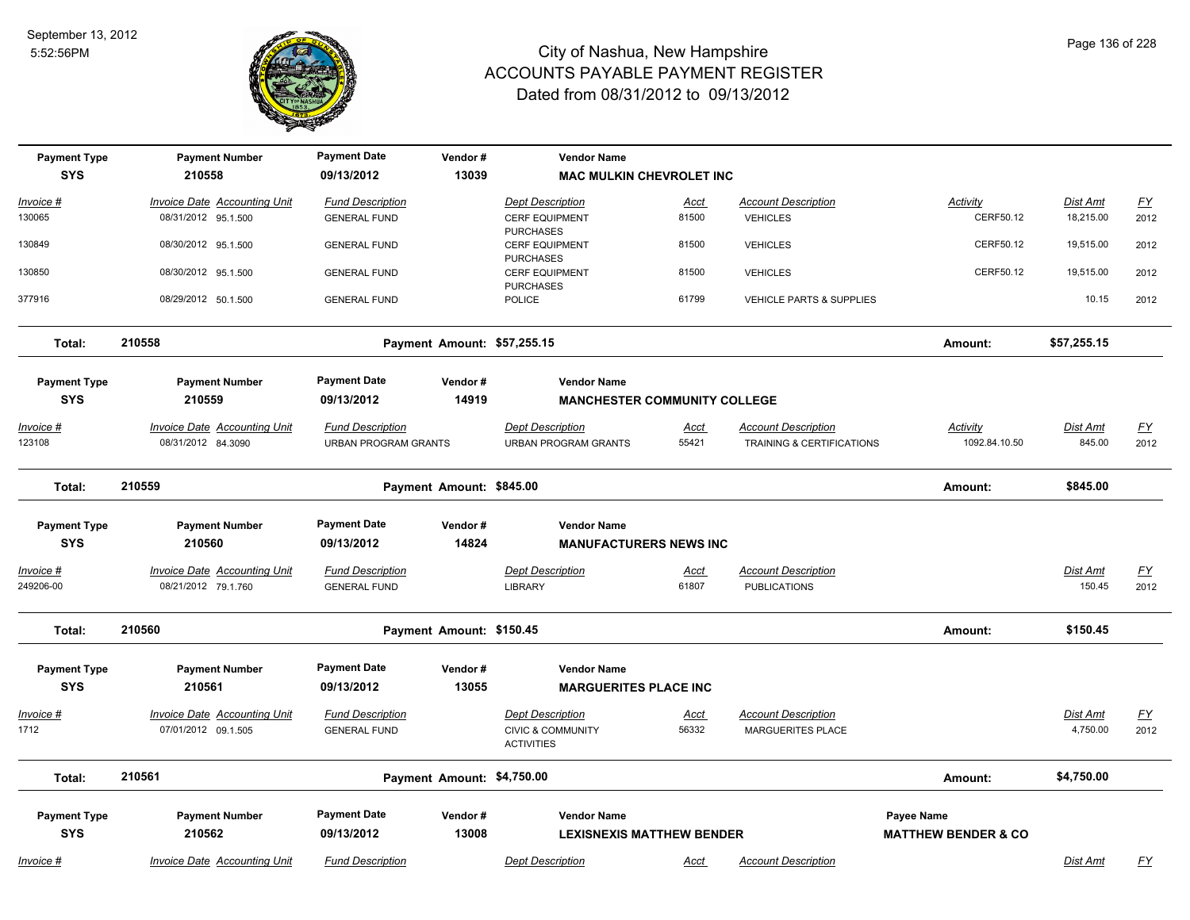

| <b>Payment Type</b>            | <b>Payment Number</b>                                      | <b>Payment Date</b>                                    | Vendor#                     | <b>Vendor Name</b>                                     |                      |                                                                    |                                  |                           |                                   |
|--------------------------------|------------------------------------------------------------|--------------------------------------------------------|-----------------------------|--------------------------------------------------------|----------------------|--------------------------------------------------------------------|----------------------------------|---------------------------|-----------------------------------|
| <b>SYS</b>                     | 210558                                                     | 09/13/2012                                             | 13039                       | <b>MAC MULKIN CHEVROLET INC</b>                        |                      |                                                                    |                                  |                           |                                   |
| Invoice #                      | Invoice Date Accounting Unit                               | <b>Fund Description</b>                                |                             | <b>Dept Description</b>                                | Acct                 | <b>Account Description</b>                                         | Activity                         | Dist Amt                  | $\underline{FY}$                  |
| 130065                         | 08/31/2012 95.1.500                                        | <b>GENERAL FUND</b>                                    |                             | <b>CERF EQUIPMENT</b><br><b>PURCHASES</b>              | 81500                | <b>VEHICLES</b>                                                    | CERF50.12                        | 18,215.00                 | 2012                              |
| 130849                         | 08/30/2012 95.1.500                                        | <b>GENERAL FUND</b>                                    |                             | <b>CERF EQUIPMENT</b><br><b>PURCHASES</b>              | 81500                | <b>VEHICLES</b>                                                    | CERF50.12                        | 19,515.00                 | 2012                              |
| 130850                         | 08/30/2012 95.1.500                                        | <b>GENERAL FUND</b>                                    |                             | <b>CERF EQUIPMENT</b><br><b>PURCHASES</b>              | 81500                | <b>VEHICLES</b>                                                    | CERF50.12                        | 19,515.00                 | 2012                              |
| 377916                         | 08/29/2012 50.1.500                                        | <b>GENERAL FUND</b>                                    |                             | <b>POLICE</b>                                          | 61799                | <b>VEHICLE PARTS &amp; SUPPLIES</b>                                |                                  | 10.15                     | 2012                              |
| Total:                         | 210558                                                     |                                                        | Payment Amount: \$57,255.15 |                                                        |                      |                                                                    | Amount:                          | \$57,255.15               |                                   |
| <b>Payment Type</b>            | <b>Payment Number</b>                                      | <b>Payment Date</b>                                    | Vendor#                     | <b>Vendor Name</b>                                     |                      |                                                                    |                                  |                           |                                   |
| <b>SYS</b>                     | 210559                                                     | 09/13/2012                                             | 14919                       | <b>MANCHESTER COMMUNITY COLLEGE</b>                    |                      |                                                                    |                                  |                           |                                   |
| Invoice #<br>123108            | <b>Invoice Date Accounting Unit</b><br>08/31/2012 84.3090  | <b>Fund Description</b><br><b>URBAN PROGRAM GRANTS</b> |                             | <b>Dept Description</b><br><b>URBAN PROGRAM GRANTS</b> | <u>Acct</u><br>55421 | <b>Account Description</b><br><b>TRAINING &amp; CERTIFICATIONS</b> | <b>Activity</b><br>1092.84.10.50 | <u>Dist Amt</u><br>845.00 | $\underline{FY}$<br>2012          |
| Total:                         | 210559                                                     |                                                        | Payment Amount: \$845.00    |                                                        |                      |                                                                    | Amount:                          | \$845.00                  |                                   |
| <b>Payment Type</b>            | <b>Payment Number</b>                                      | <b>Payment Date</b>                                    | Vendor#                     | <b>Vendor Name</b>                                     |                      |                                                                    |                                  |                           |                                   |
| <b>SYS</b>                     | 210560                                                     | 09/13/2012                                             | 14824                       | <b>MANUFACTURERS NEWS INC</b>                          |                      |                                                                    |                                  |                           |                                   |
| <u> Invoice #</u><br>249206-00 | <b>Invoice Date Accounting Unit</b><br>08/21/2012 79.1.760 | <b>Fund Description</b><br><b>GENERAL FUND</b>         |                             | <b>Dept Description</b><br><b>LIBRARY</b>              | <u>Acct</u><br>61807 | <b>Account Description</b><br><b>PUBLICATIONS</b>                  |                                  | Dist Amt<br>150.45        | $\underline{\mathsf{FY}}$<br>2012 |
| Total:                         | 210560                                                     |                                                        | Payment Amount: \$150.45    |                                                        |                      |                                                                    | Amount:                          | \$150.45                  |                                   |
| <b>Payment Type</b>            | <b>Payment Number</b>                                      | <b>Payment Date</b>                                    | Vendor#                     | <b>Vendor Name</b>                                     |                      |                                                                    |                                  |                           |                                   |
| <b>SYS</b>                     | 210561                                                     | 09/13/2012                                             | 13055                       | <b>MARGUERITES PLACE INC</b>                           |                      |                                                                    |                                  |                           |                                   |
| Invoice #                      | Invoice Date Accounting Unit                               | <b>Fund Description</b>                                |                             | <b>Dept Description</b>                                | <u>Acct</u>          | <b>Account Description</b>                                         |                                  | <u>Dist Amt</u>           | $\underline{FY}$                  |
| 1712                           | 07/01/2012 09.1.505                                        | <b>GENERAL FUND</b>                                    |                             | <b>CIVIC &amp; COMMUNITY</b><br><b>ACTIVITIES</b>      | 56332                | <b>MARGUERITES PLACE</b>                                           |                                  | 4,750.00                  | 2012                              |
| Total:                         | 210561                                                     |                                                        | Payment Amount: \$4,750.00  |                                                        |                      |                                                                    | Amount:                          | \$4,750.00                |                                   |
| <b>Payment Type</b>            | <b>Payment Number</b>                                      | <b>Payment Date</b>                                    | Vendor#                     | <b>Vendor Name</b>                                     |                      |                                                                    | <b>Payee Name</b>                |                           |                                   |
| <b>SYS</b>                     | 210562                                                     | 09/13/2012                                             | 13008                       | <b>LEXISNEXIS MATTHEW BENDER</b>                       |                      |                                                                    | <b>MATTHEW BENDER &amp; CO</b>   |                           |                                   |
| Invoice #                      | <b>Invoice Date Accounting Unit</b>                        | <b>Fund Description</b>                                |                             | <b>Dept Description</b>                                | Acct                 | <b>Account Description</b>                                         |                                  | Dist Amt                  | <u>FY</u>                         |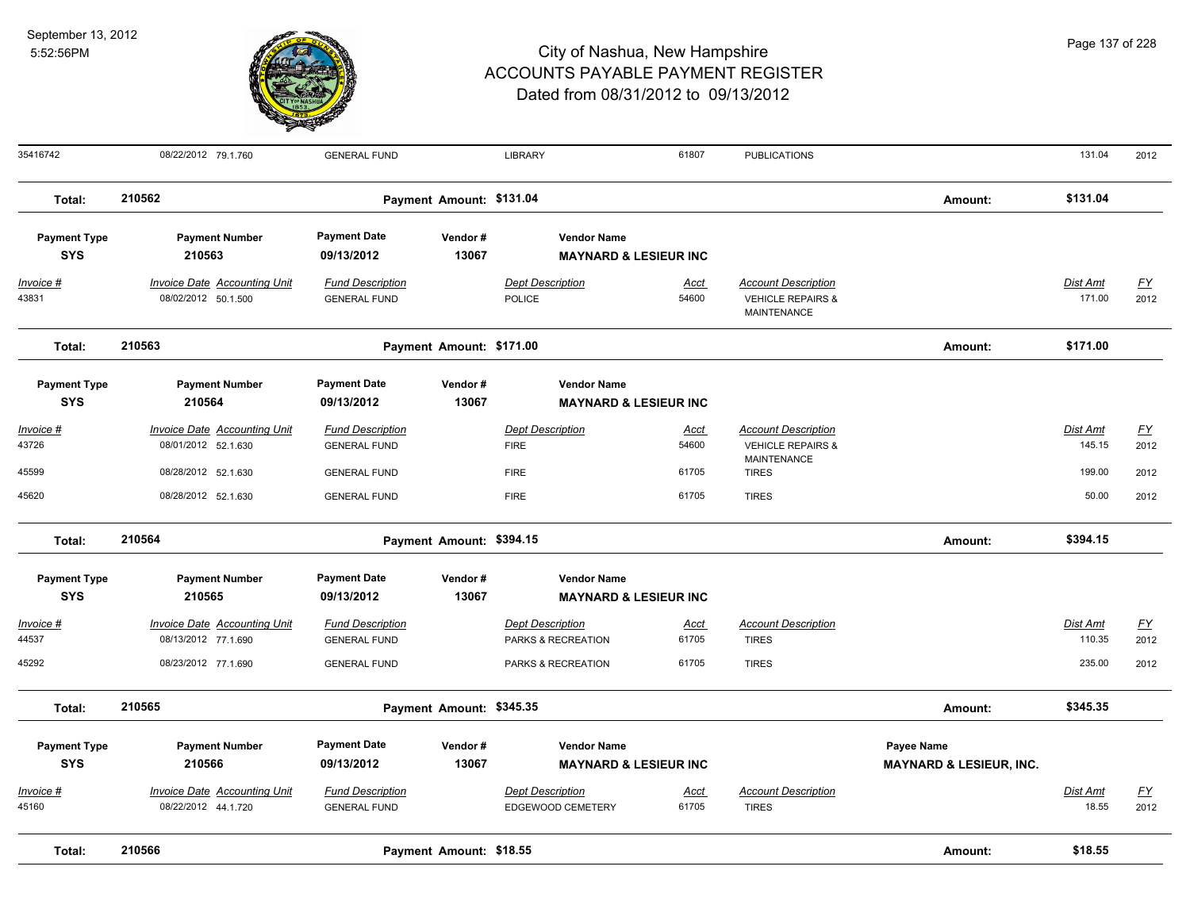

| 35416742            | 08/22/2012 79.1.760                 | <b>GENERAL FUND</b>     |                          | LIBRARY                          | 61807       | <b>PUBLICATIONS</b>                         |                                    | 131.04          | 2012      |
|---------------------|-------------------------------------|-------------------------|--------------------------|----------------------------------|-------------|---------------------------------------------|------------------------------------|-----------------|-----------|
| Total:              | 210562                              |                         | Payment Amount: \$131.04 |                                  |             |                                             | Amount:                            | \$131.04        |           |
| <b>Payment Type</b> | <b>Payment Number</b>               | <b>Payment Date</b>     | Vendor#                  | <b>Vendor Name</b>               |             |                                             |                                    |                 |           |
| <b>SYS</b>          | 210563                              | 09/13/2012              | 13067                    | <b>MAYNARD &amp; LESIEUR INC</b> |             |                                             |                                    |                 |           |
| <u>Invoice #</u>    | <b>Invoice Date Accounting Unit</b> | <b>Fund Description</b> |                          | <b>Dept Description</b>          | Acct        | <b>Account Description</b>                  |                                    | Dist Amt        | EY        |
| 43831               | 08/02/2012 50.1.500                 | <b>GENERAL FUND</b>     |                          | <b>POLICE</b>                    | 54600       | <b>VEHICLE REPAIRS &amp;</b><br>MAINTENANCE |                                    | 171.00          | 2012      |
| Total:              | 210563                              |                         | Payment Amount: \$171.00 |                                  |             |                                             | Amount:                            | \$171.00        |           |
| <b>Payment Type</b> | <b>Payment Number</b>               | <b>Payment Date</b>     | Vendor#                  | <b>Vendor Name</b>               |             |                                             |                                    |                 |           |
| <b>SYS</b>          | 210564                              | 09/13/2012              | 13067                    | <b>MAYNARD &amp; LESIEUR INC</b> |             |                                             |                                    |                 |           |
| <u> Invoice #</u>   | <b>Invoice Date Accounting Unit</b> | <b>Fund Description</b> |                          | <b>Dept Description</b>          | Acct        | <b>Account Description</b>                  |                                    | <b>Dist Amt</b> | <u>FY</u> |
| 43726               | 08/01/2012 52.1.630                 | <b>GENERAL FUND</b>     |                          | <b>FIRE</b>                      | 54600       | <b>VEHICLE REPAIRS &amp;</b><br>MAINTENANCE |                                    | 145.15          | 2012      |
| 45599               | 08/28/2012 52.1.630                 | <b>GENERAL FUND</b>     |                          | <b>FIRE</b>                      | 61705       | <b>TIRES</b>                                |                                    | 199.00          | 2012      |
| 45620               | 08/28/2012 52.1.630                 | <b>GENERAL FUND</b>     |                          | <b>FIRE</b>                      | 61705       | <b>TIRES</b>                                |                                    | 50.00           | 2012      |
| Total:              | 210564                              |                         | Payment Amount: \$394.15 |                                  |             |                                             | Amount:                            | \$394.15        |           |
| <b>Payment Type</b> | <b>Payment Number</b>               | <b>Payment Date</b>     | Vendor#                  | <b>Vendor Name</b>               |             |                                             |                                    |                 |           |
| <b>SYS</b>          | 210565                              | 09/13/2012              | 13067                    | <b>MAYNARD &amp; LESIEUR INC</b> |             |                                             |                                    |                 |           |
| Invoice #           | <b>Invoice Date Accounting Unit</b> | <b>Fund Description</b> |                          | <b>Dept Description</b>          | <u>Acct</u> | <b>Account Description</b>                  |                                    | Dist Amt        | EY        |
| 44537               | 08/13/2012 77.1.690                 | <b>GENERAL FUND</b>     |                          | PARKS & RECREATION               | 61705       | <b>TIRES</b>                                |                                    | 110.35          | 2012      |
| 45292               | 08/23/2012 77.1.690                 | <b>GENERAL FUND</b>     |                          | PARKS & RECREATION               | 61705       | <b>TIRES</b>                                |                                    | 235.00          | 2012      |
| Total:              | 210565                              |                         | Payment Amount: \$345.35 |                                  |             |                                             | Amount:                            | \$345.35        |           |
| <b>Payment Type</b> | <b>Payment Number</b>               | <b>Payment Date</b>     | Vendor#                  | <b>Vendor Name</b>               |             |                                             | Payee Name                         |                 |           |
| <b>SYS</b>          | 210566                              | 09/13/2012              | 13067                    | <b>MAYNARD &amp; LESIEUR INC</b> |             |                                             | <b>MAYNARD &amp; LESIEUR, INC.</b> |                 |           |
| <u> Invoice #</u>   | <b>Invoice Date Accounting Unit</b> | <b>Fund Description</b> |                          | <b>Dept Description</b>          | <u>Acct</u> | <b>Account Description</b>                  |                                    | Dist Amt        | <u>FY</u> |
| 45160               | 08/22/2012 44.1.720                 | <b>GENERAL FUND</b>     |                          | EDGEWOOD CEMETERY                | 61705       | <b>TIRES</b>                                |                                    | 18.55           | 2012      |
| Total:              | 210566                              |                         | Payment Amount: \$18.55  |                                  |             |                                             | Amount:                            | \$18.55         |           |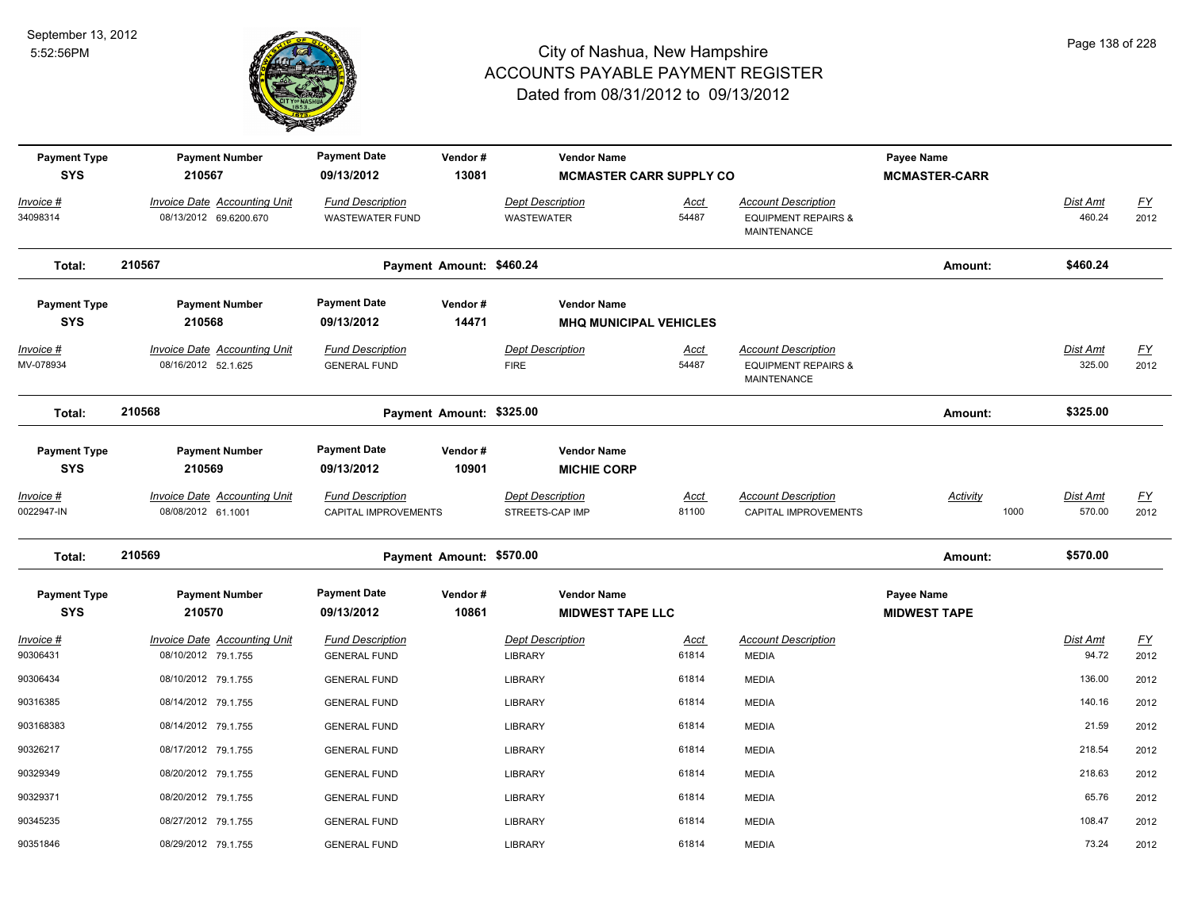

| <b>Payment Type</b><br><b>SYS</b> | <b>Payment Number</b><br>210567                               | <b>Payment Date</b><br>09/13/2012                 | Vendor#<br>13081         | <b>Vendor Name</b><br><b>MCMASTER CARR SUPPLY CO</b> |                      |                                                                                    | Payee Name<br><b>MCMASTER-CARR</b> |                           |                                   |
|-----------------------------------|---------------------------------------------------------------|---------------------------------------------------|--------------------------|------------------------------------------------------|----------------------|------------------------------------------------------------------------------------|------------------------------------|---------------------------|-----------------------------------|
| Invoice #<br>34098314             | <b>Invoice Date Accounting Unit</b><br>08/13/2012 69.6200.670 | <b>Fund Description</b><br><b>WASTEWATER FUND</b> |                          | <b>Dept Description</b><br><b>WASTEWATER</b>         | <b>Acct</b><br>54487 | <b>Account Description</b><br><b>EQUIPMENT REPAIRS &amp;</b><br>MAINTENANCE        |                                    | Dist Amt<br>460.24        | $\underline{\mathsf{FY}}$<br>2012 |
| Total:                            | 210567                                                        |                                                   | Payment Amount: \$460.24 |                                                      |                      |                                                                                    | Amount:                            | \$460.24                  |                                   |
| <b>Payment Type</b><br><b>SYS</b> | <b>Payment Number</b><br>210568                               | <b>Payment Date</b><br>09/13/2012                 | Vendor#<br>14471         | <b>Vendor Name</b><br><b>MHQ MUNICIPAL VEHICLES</b>  |                      |                                                                                    |                                    |                           |                                   |
| Invoice #<br>MV-078934            | <b>Invoice Date Accounting Unit</b><br>08/16/2012 52.1.625    | <b>Fund Description</b><br><b>GENERAL FUND</b>    |                          | <b>Dept Description</b><br><b>FIRE</b>               | Acct<br>54487        | <b>Account Description</b><br><b>EQUIPMENT REPAIRS &amp;</b><br><b>MAINTENANCE</b> |                                    | Dist Amt<br>325.00        | $\underline{FY}$<br>2012          |
| Total:                            | 210568                                                        |                                                   | Payment Amount: \$325.00 |                                                      |                      |                                                                                    | Amount:                            | \$325.00                  |                                   |
| <b>Payment Type</b><br><b>SYS</b> | <b>Payment Number</b><br>210569                               | <b>Payment Date</b><br>09/13/2012                 | Vendor#<br>10901         | <b>Vendor Name</b><br><b>MICHIE CORP</b>             |                      |                                                                                    |                                    |                           |                                   |
| <u>Invoice #</u><br>0022947-IN    | <b>Invoice Date Accounting Unit</b><br>08/08/2012 61.1001     | <b>Fund Description</b><br>CAPITAL IMPROVEMENTS   |                          | <b>Dept Description</b><br>STREETS-CAP IMP           | Acct<br>81100        | <b>Account Description</b><br>CAPITAL IMPROVEMENTS                                 | <b>Activity</b><br>1000            | <b>Dist Amt</b><br>570.00 | EY<br>2012                        |
| Total:                            | 210569                                                        |                                                   | Payment Amount: \$570.00 |                                                      |                      |                                                                                    | Amount:                            | \$570.00                  |                                   |
| <b>Payment Type</b><br><b>SYS</b> | <b>Payment Number</b><br>210570                               | <b>Payment Date</b><br>09/13/2012                 | Vendor#<br>10861         | <b>Vendor Name</b><br><b>MIDWEST TAPE LLC</b>        |                      |                                                                                    | Payee Name<br><b>MIDWEST TAPE</b>  |                           |                                   |
| Invoice #<br>90306431             | <b>Invoice Date Accounting Unit</b><br>08/10/2012 79.1.755    | <b>Fund Description</b><br><b>GENERAL FUND</b>    |                          | <b>Dept Description</b><br>LIBRARY                   | Acct<br>61814        | <b>Account Description</b><br><b>MEDIA</b>                                         |                                    | <b>Dist Amt</b><br>94.72  | $\underline{FY}$<br>2012          |
| 90306434                          | 08/10/2012 79.1.755                                           | <b>GENERAL FUND</b>                               |                          | <b>LIBRARY</b>                                       | 61814                | <b>MEDIA</b>                                                                       |                                    | 136.00                    | 2012                              |
| 90316385                          | 08/14/2012 79.1.755                                           | <b>GENERAL FUND</b>                               |                          | <b>LIBRARY</b>                                       | 61814                | <b>MEDIA</b>                                                                       |                                    | 140.16                    | 2012                              |
| 903168383                         | 08/14/2012 79.1.755                                           | <b>GENERAL FUND</b>                               |                          | <b>LIBRARY</b>                                       | 61814                | <b>MEDIA</b>                                                                       |                                    | 21.59                     | 2012                              |
| 90326217                          | 08/17/2012 79.1.755                                           | <b>GENERAL FUND</b>                               |                          | <b>LIBRARY</b>                                       | 61814                | <b>MEDIA</b>                                                                       |                                    | 218.54                    | 2012                              |
| 90329349                          | 08/20/2012 79.1.755                                           | <b>GENERAL FUND</b>                               |                          | <b>LIBRARY</b>                                       | 61814                | <b>MEDIA</b>                                                                       |                                    | 218.63                    | 2012                              |
| 90329371                          | 08/20/2012 79.1.755                                           | <b>GENERAL FUND</b>                               |                          | <b>LIBRARY</b>                                       | 61814                | <b>MEDIA</b>                                                                       |                                    | 65.76                     | 2012                              |
| 90345235                          | 08/27/2012 79.1.755                                           | <b>GENERAL FUND</b>                               |                          | <b>LIBRARY</b>                                       | 61814                | <b>MEDIA</b>                                                                       |                                    | 108.47                    | 2012                              |
| 90351846                          | 08/29/2012 79.1.755                                           | <b>GENERAL FUND</b>                               |                          | <b>LIBRARY</b>                                       | 61814                | <b>MEDIA</b>                                                                       |                                    | 73.24                     | 2012                              |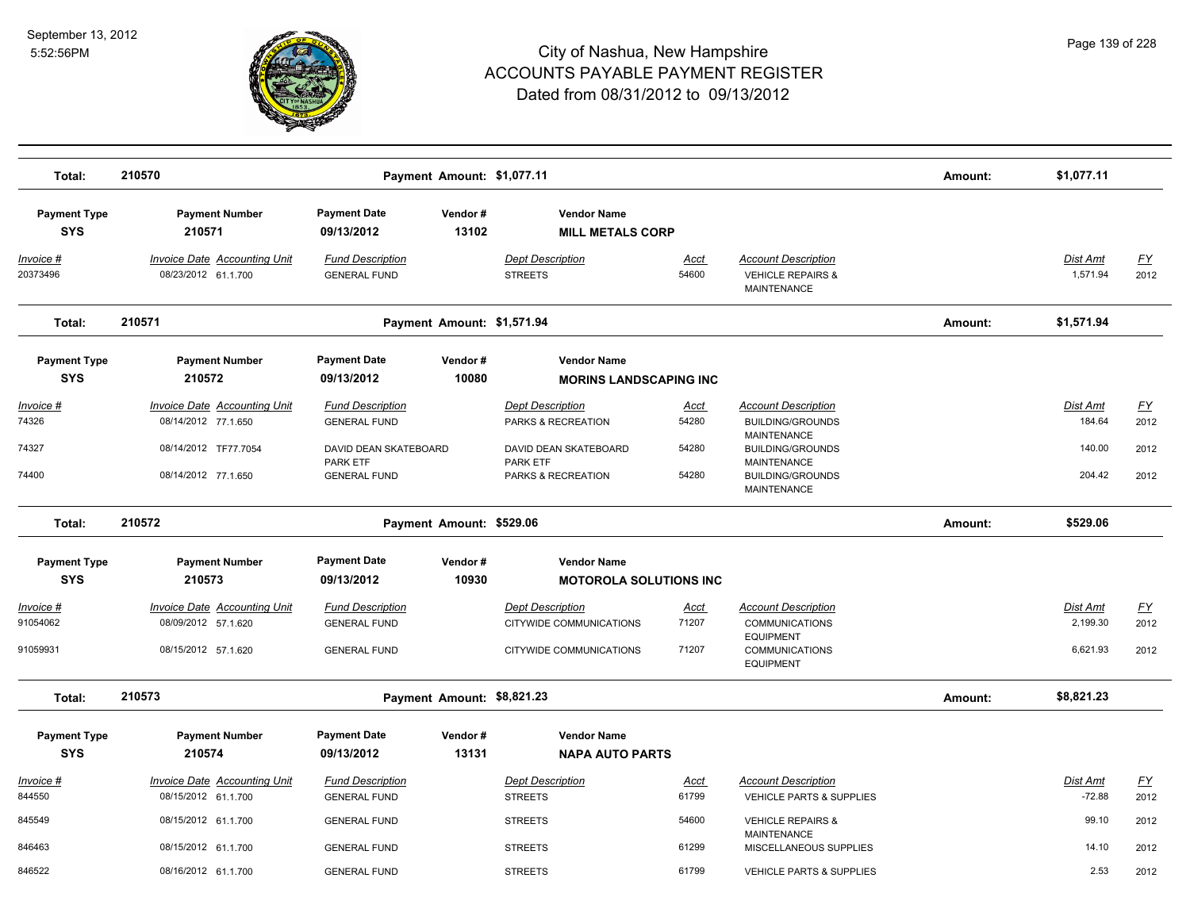

| Total:                                       | 210570                                                                                                    |                                                                                                            | Payment Amount: \$1,077.11 |                                                                                                          |                                 |                                                                                                                                                                 | Amount: | \$1,077.11                             |                                   |
|----------------------------------------------|-----------------------------------------------------------------------------------------------------------|------------------------------------------------------------------------------------------------------------|----------------------------|----------------------------------------------------------------------------------------------------------|---------------------------------|-----------------------------------------------------------------------------------------------------------------------------------------------------------------|---------|----------------------------------------|-----------------------------------|
| <b>Payment Type</b><br><b>SYS</b>            | <b>Payment Number</b><br>210571                                                                           | <b>Payment Date</b><br>09/13/2012                                                                          | Vendor#<br>13102           | <b>Vendor Name</b><br><b>MILL METALS CORP</b>                                                            |                                 |                                                                                                                                                                 |         |                                        |                                   |
| Invoice #<br>20373496                        | Invoice Date Accounting Unit<br>08/23/2012 61.1.700                                                       | <b>Fund Description</b><br><b>GENERAL FUND</b>                                                             |                            | Dept Description<br><b>STREETS</b>                                                                       | <u>Acct</u><br>54600            | <b>Account Description</b><br><b>VEHICLE REPAIRS &amp;</b><br><b>MAINTENANCE</b>                                                                                |         | Dist Amt<br>1,571.94                   | <u>FY</u><br>2012                 |
| Total:                                       | 210571                                                                                                    |                                                                                                            | Payment Amount: \$1,571.94 |                                                                                                          |                                 |                                                                                                                                                                 | Amount: | \$1,571.94                             |                                   |
| <b>Payment Type</b><br><b>SYS</b>            | <b>Payment Number</b><br>210572                                                                           | <b>Payment Date</b><br>09/13/2012                                                                          | Vendor#<br>10080           | <b>Vendor Name</b><br><b>MORINS LANDSCAPING INC</b>                                                      |                                 |                                                                                                                                                                 |         |                                        |                                   |
| <u> Invoice #</u><br>74326<br>74327<br>74400 | <b>Invoice Date Accounting Unit</b><br>08/14/2012 77.1.650<br>08/14/2012 TF77.7054<br>08/14/2012 77.1.650 | <b>Fund Description</b><br><b>GENERAL FUND</b><br>DAVID DEAN SKATEBOARD<br>PARK ETF<br><b>GENERAL FUND</b> |                            | <b>Dept Description</b><br>PARKS & RECREATION<br>DAVID DEAN SKATEBOARD<br>PARK ETF<br>PARKS & RECREATION | Acct<br>54280<br>54280<br>54280 | <b>Account Description</b><br><b>BUILDING/GROUNDS</b><br>MAINTENANCE<br><b>BUILDING/GROUNDS</b><br>MAINTENANCE<br><b>BUILDING/GROUNDS</b><br><b>MAINTENANCE</b> |         | Dist Amt<br>184.64<br>140.00<br>204.42 | <u>FY</u><br>2012<br>2012<br>2012 |
| Total:                                       | 210572                                                                                                    |                                                                                                            | Payment Amount: \$529.06   |                                                                                                          |                                 |                                                                                                                                                                 | Amount: | \$529.06                               |                                   |
| <b>Payment Type</b><br><b>SYS</b>            | <b>Payment Number</b><br>210573                                                                           | <b>Payment Date</b><br>09/13/2012                                                                          | Vendor#<br>10930           | <b>Vendor Name</b><br><b>MOTOROLA SOLUTIONS INC</b>                                                      |                                 |                                                                                                                                                                 |         |                                        |                                   |
| Invoice #<br>91054062<br>91059931            | <b>Invoice Date Accounting Unit</b><br>08/09/2012 57.1.620<br>08/15/2012 57.1.620                         | <b>Fund Description</b><br><b>GENERAL FUND</b><br><b>GENERAL FUND</b>                                      |                            | <b>Dept Description</b><br>CITYWIDE COMMUNICATIONS<br>CITYWIDE COMMUNICATIONS                            | <u>Acct</u><br>71207<br>71207   | <b>Account Description</b><br><b>COMMUNICATIONS</b><br><b>EQUIPMENT</b><br><b>COMMUNICATIONS</b><br><b>EQUIPMENT</b>                                            |         | Dist Amt<br>2,199.30<br>6,621.93       | <u>FY</u><br>2012<br>2012         |
| Total:                                       | 210573                                                                                                    |                                                                                                            | Payment Amount: \$8,821.23 |                                                                                                          |                                 |                                                                                                                                                                 | Amount: | \$8,821.23                             |                                   |
| <b>Payment Type</b><br><b>SYS</b>            | <b>Payment Number</b><br>210574                                                                           | <b>Payment Date</b><br>09/13/2012                                                                          | Vendor#<br>13131           | <b>Vendor Name</b><br><b>NAPA AUTO PARTS</b>                                                             |                                 |                                                                                                                                                                 |         |                                        |                                   |
| <u> Invoice #</u><br>844550                  | <b>Invoice Date Accounting Unit</b><br>08/15/2012 61.1.700                                                | <b>Fund Description</b><br><b>GENERAL FUND</b>                                                             |                            | <b>Dept Description</b><br><b>STREETS</b>                                                                | <u>Acct</u><br>61799            | <b>Account Description</b><br>VEHICLE PARTS & SUPPLIES                                                                                                          |         | Dist Amt<br>$-72.88$                   | <u>FY</u><br>2012                 |
| 845549                                       | 08/15/2012 61.1.700                                                                                       | <b>GENERAL FUND</b>                                                                                        |                            | <b>STREETS</b>                                                                                           | 54600                           | <b>VEHICLE REPAIRS &amp;</b><br><b>MAINTENANCE</b>                                                                                                              |         | 99.10                                  | 2012                              |
| 846463<br>846522                             | 08/15/2012 61.1.700<br>08/16/2012 61.1.700                                                                | <b>GENERAL FUND</b><br><b>GENERAL FUND</b>                                                                 |                            | <b>STREETS</b><br><b>STREETS</b>                                                                         | 61299<br>61799                  | MISCELLANEOUS SUPPLIES<br><b>VEHICLE PARTS &amp; SUPPLIES</b>                                                                                                   |         | 14.10<br>2.53                          | 2012<br>2012                      |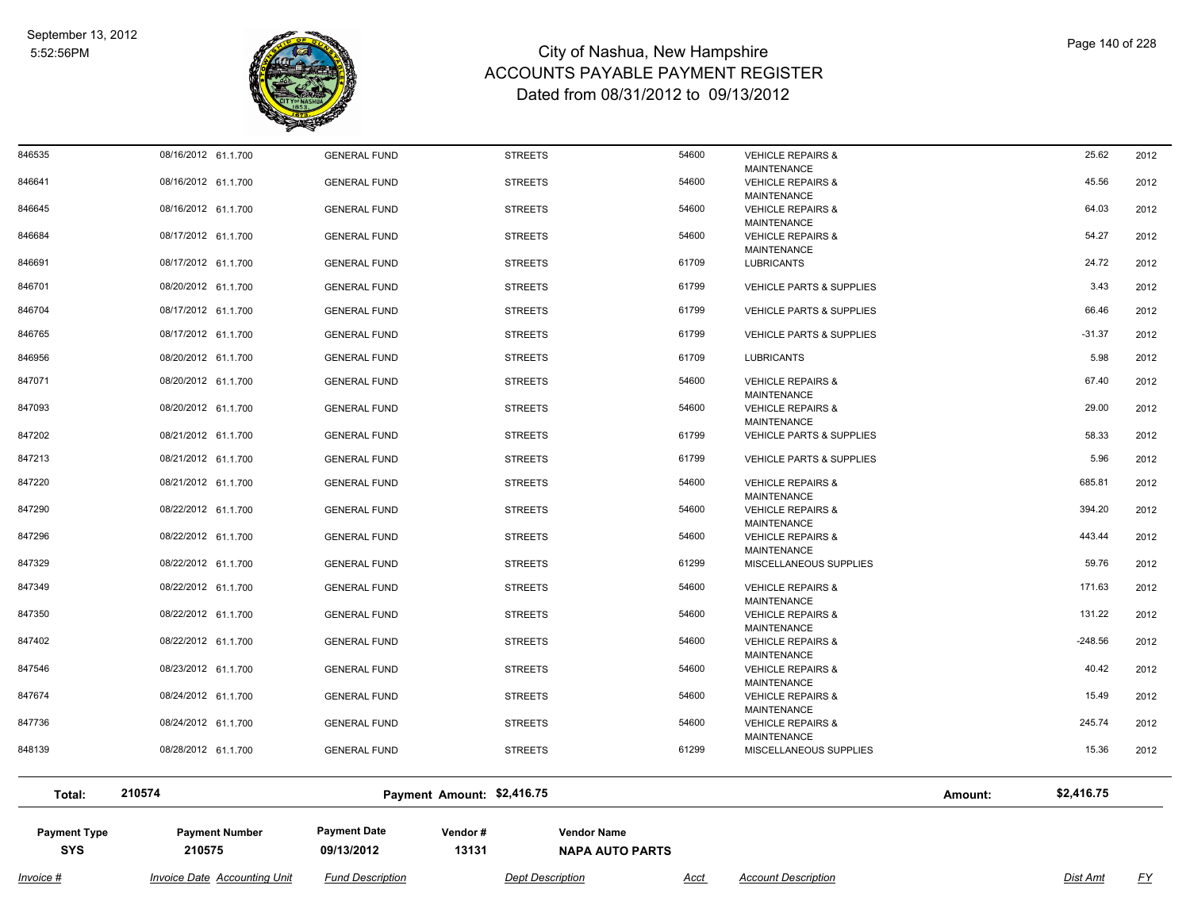

| 846535              | 08/16/2012 61.1.700                 | <b>GENERAL FUND</b>     | <b>STREETS</b>             | 54600                  | <b>VEHICLE REPAIRS &amp;</b>                       |         | 25.62      | 2012      |
|---------------------|-------------------------------------|-------------------------|----------------------------|------------------------|----------------------------------------------------|---------|------------|-----------|
| 846641              | 08/16/2012 61.1.700                 | <b>GENERAL FUND</b>     | <b>STREETS</b>             | 54600                  | MAINTENANCE<br><b>VEHICLE REPAIRS &amp;</b>        |         | 45.56      | 2012      |
| 846645              | 08/16/2012 61.1.700                 | <b>GENERAL FUND</b>     | <b>STREETS</b>             | 54600                  | <b>MAINTENANCE</b><br><b>VEHICLE REPAIRS &amp;</b> |         | 64.03      | 2012      |
|                     |                                     |                         |                            |                        | <b>MAINTENANCE</b>                                 |         |            |           |
| 846684              | 08/17/2012 61.1.700                 | <b>GENERAL FUND</b>     | <b>STREETS</b>             | 54600                  | <b>VEHICLE REPAIRS &amp;</b>                       |         | 54.27      | 2012      |
| 846691              | 08/17/2012 61.1.700                 | <b>GENERAL FUND</b>     | <b>STREETS</b>             | 61709                  | <b>MAINTENANCE</b><br><b>LUBRICANTS</b>            |         | 24.72      | 2012      |
|                     |                                     |                         |                            |                        |                                                    |         |            |           |
| 846701              | 08/20/2012 61.1.700                 | <b>GENERAL FUND</b>     | <b>STREETS</b>             | 61799                  | <b>VEHICLE PARTS &amp; SUPPLIES</b>                |         | 3.43       | 2012      |
| 846704              | 08/17/2012 61.1.700                 | <b>GENERAL FUND</b>     | <b>STREETS</b>             | 61799                  | <b>VEHICLE PARTS &amp; SUPPLIES</b>                |         | 66.46      | 2012      |
| 846765              | 08/17/2012 61.1.700                 | <b>GENERAL FUND</b>     | <b>STREETS</b>             | 61799                  | <b>VEHICLE PARTS &amp; SUPPLIES</b>                |         | $-31.37$   | 2012      |
| 846956              | 08/20/2012 61.1.700                 | <b>GENERAL FUND</b>     | <b>STREETS</b>             | 61709                  | <b>LUBRICANTS</b>                                  |         | 5.98       | 2012      |
| 847071              | 08/20/2012 61.1.700                 | <b>GENERAL FUND</b>     | <b>STREETS</b>             | 54600                  | <b>VEHICLE REPAIRS &amp;</b>                       |         | 67.40      | 2012      |
|                     |                                     |                         |                            |                        | <b>MAINTENANCE</b>                                 |         |            |           |
| 847093              | 08/20/2012 61.1.700                 | <b>GENERAL FUND</b>     | <b>STREETS</b>             | 54600                  | <b>VEHICLE REPAIRS &amp;</b>                       |         | 29.00      | 2012      |
| 847202              | 08/21/2012 61.1.700                 | <b>GENERAL FUND</b>     | <b>STREETS</b>             | 61799                  | <b>MAINTENANCE</b><br>VEHICLE PARTS & SUPPLIES     |         | 58.33      | 2012      |
|                     |                                     |                         |                            |                        |                                                    |         |            |           |
| 847213              | 08/21/2012 61.1.700                 | <b>GENERAL FUND</b>     | <b>STREETS</b>             | 61799                  | <b>VEHICLE PARTS &amp; SUPPLIES</b>                |         | 5.96       | 2012      |
| 847220              | 08/21/2012 61.1.700                 | <b>GENERAL FUND</b>     | <b>STREETS</b>             | 54600                  | <b>VEHICLE REPAIRS &amp;</b>                       |         | 685.81     | 2012      |
| 847290              | 08/22/2012 61.1.700                 | <b>GENERAL FUND</b>     | <b>STREETS</b>             | 54600                  | <b>MAINTENANCE</b><br><b>VEHICLE REPAIRS &amp;</b> |         | 394.20     | 2012      |
|                     |                                     |                         |                            |                        | <b>MAINTENANCE</b>                                 |         |            |           |
| 847296              | 08/22/2012 61.1.700                 | <b>GENERAL FUND</b>     | <b>STREETS</b>             | 54600                  | <b>VEHICLE REPAIRS &amp;</b>                       |         | 443.44     | 2012      |
| 847329              | 08/22/2012 61.1.700                 | <b>GENERAL FUND</b>     | <b>STREETS</b>             | 61299                  | MAINTENANCE<br>MISCELLANEOUS SUPPLIES              |         | 59.76      | 2012      |
|                     |                                     |                         |                            |                        |                                                    |         |            |           |
| 847349              | 08/22/2012 61.1.700                 | <b>GENERAL FUND</b>     | <b>STREETS</b>             | 54600                  | <b>VEHICLE REPAIRS &amp;</b><br><b>MAINTENANCE</b> |         | 171.63     | 2012      |
| 847350              | 08/22/2012 61.1.700                 | <b>GENERAL FUND</b>     | <b>STREETS</b>             | 54600                  | <b>VEHICLE REPAIRS &amp;</b>                       |         | 131.22     | 2012      |
|                     |                                     |                         |                            |                        | MAINTENANCE                                        |         |            |           |
| 847402              | 08/22/2012 61.1.700                 | <b>GENERAL FUND</b>     | <b>STREETS</b>             | 54600                  | <b>VEHICLE REPAIRS &amp;</b><br><b>MAINTENANCE</b> |         | $-248.56$  | 2012      |
| 847546              | 08/23/2012 61.1.700                 | <b>GENERAL FUND</b>     | <b>STREETS</b>             | 54600                  | <b>VEHICLE REPAIRS &amp;</b>                       |         | 40.42      | 2012      |
|                     |                                     |                         |                            |                        | <b>MAINTENANCE</b>                                 |         |            |           |
| 847674              | 08/24/2012 61.1.700                 | <b>GENERAL FUND</b>     | <b>STREETS</b>             | 54600                  | <b>VEHICLE REPAIRS &amp;</b>                       |         | 15.49      | 2012      |
| 847736              | 08/24/2012 61.1.700                 | <b>GENERAL FUND</b>     | <b>STREETS</b>             | 54600                  | <b>MAINTENANCE</b><br><b>VEHICLE REPAIRS &amp;</b> |         | 245.74     | 2012      |
|                     |                                     |                         |                            |                        | <b>MAINTENANCE</b>                                 |         |            |           |
| 848139              | 08/28/2012 61.1.700                 | <b>GENERAL FUND</b>     | <b>STREETS</b>             | 61299                  | MISCELLANEOUS SUPPLIES                             |         | 15.36      | 2012      |
| Total:              | 210574                              |                         | Payment Amount: \$2,416.75 |                        |                                                    | Amount: | \$2,416.75 |           |
|                     |                                     |                         |                            |                        |                                                    |         |            |           |
| <b>Payment Type</b> | <b>Payment Number</b>               | <b>Payment Date</b>     | Vendor#                    | <b>Vendor Name</b>     |                                                    |         |            |           |
| <b>SYS</b>          | 210575                              | 09/13/2012              | 13131                      | <b>NAPA AUTO PARTS</b> |                                                    |         |            |           |
|                     |                                     |                         |                            |                        |                                                    |         |            |           |
| Invoice #           | <b>Invoice Date Accounting Unit</b> | <b>Fund Description</b> | <b>Dept Description</b>    | Acct                   | <b>Account Description</b>                         |         | Dist Amt   | <u>FY</u> |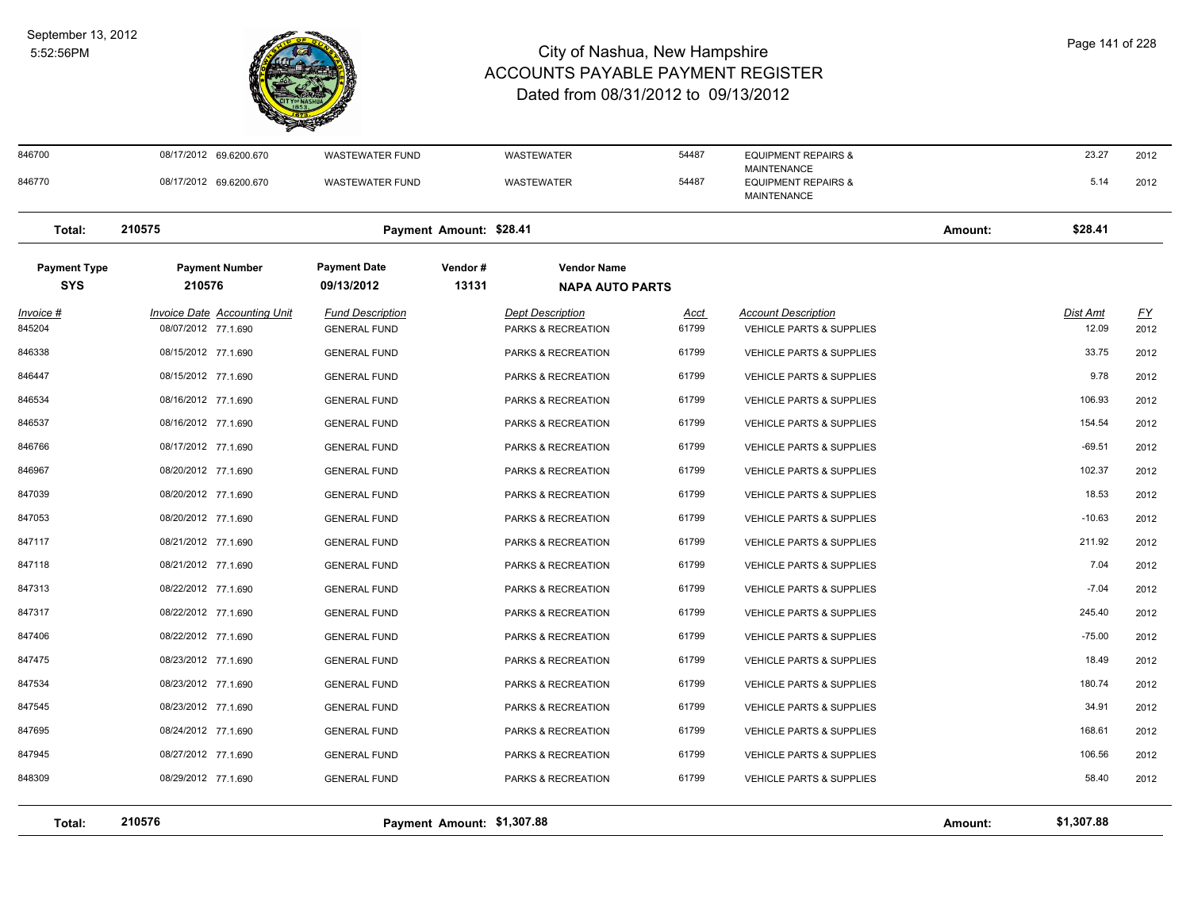

| Total:                            | 210576                                              |                                                | Payment Amount: \$1,307.88 |                                               |                      |                                                        | Amount: | \$1,307.88               |            |
|-----------------------------------|-----------------------------------------------------|------------------------------------------------|----------------------------|-----------------------------------------------|----------------------|--------------------------------------------------------|---------|--------------------------|------------|
|                                   |                                                     |                                                |                            |                                               |                      |                                                        |         |                          |            |
| 848309                            | 08/29/2012 77.1.690                                 | <b>GENERAL FUND</b>                            |                            | PARKS & RECREATION                            | 61799                | <b>VEHICLE PARTS &amp; SUPPLIES</b>                    |         | 58.40                    | 2012       |
| 847945                            | 08/27/2012 77.1.690                                 | <b>GENERAL FUND</b>                            |                            | PARKS & RECREATION                            | 61799                | VEHICLE PARTS & SUPPLIES                               |         | 106.56                   | 2012       |
| 847695                            | 08/24/2012 77.1.690                                 | <b>GENERAL FUND</b>                            |                            | PARKS & RECREATION                            | 61799                | VEHICLE PARTS & SUPPLIES                               |         | 168.61                   | 2012       |
| 847545                            | 08/23/2012 77.1.690                                 | <b>GENERAL FUND</b>                            |                            | PARKS & RECREATION                            | 61799                | <b>VEHICLE PARTS &amp; SUPPLIES</b>                    |         | 34.91                    | 2012       |
| 847534                            | 08/23/2012 77.1.690                                 | <b>GENERAL FUND</b>                            |                            | PARKS & RECREATION                            | 61799                | <b>VEHICLE PARTS &amp; SUPPLIES</b>                    |         | 180.74                   | 2012       |
| 847475                            | 08/23/2012 77.1.690                                 | <b>GENERAL FUND</b>                            |                            | PARKS & RECREATION                            | 61799                | <b>VEHICLE PARTS &amp; SUPPLIES</b>                    |         | 18.49                    | 2012       |
| 847406                            | 08/22/2012 77.1.690                                 | <b>GENERAL FUND</b>                            |                            | PARKS & RECREATION                            | 61799                | <b>VEHICLE PARTS &amp; SUPPLIES</b>                    |         | $-75.00$                 | 2012       |
| 847317                            | 08/22/2012 77.1.690                                 | <b>GENERAL FUND</b>                            |                            | PARKS & RECREATION                            | 61799                | <b>VEHICLE PARTS &amp; SUPPLIES</b>                    |         | 245.40                   | 2012       |
| 847313                            | 08/22/2012 77.1.690                                 | <b>GENERAL FUND</b>                            |                            | PARKS & RECREATION                            | 61799                | <b>VEHICLE PARTS &amp; SUPPLIES</b>                    |         | $-7.04$                  | 2012       |
| 847118                            | 08/21/2012 77.1.690                                 | <b>GENERAL FUND</b>                            |                            | PARKS & RECREATION                            | 61799                | <b>VEHICLE PARTS &amp; SUPPLIES</b>                    |         | 7.04                     | 2012       |
| 847117                            | 08/21/2012 77.1.690                                 | <b>GENERAL FUND</b>                            |                            | PARKS & RECREATION                            | 61799                | VEHICLE PARTS & SUPPLIES                               |         | 211.92                   | 2012       |
| 847053                            | 08/20/2012 77.1.690                                 | <b>GENERAL FUND</b>                            |                            | PARKS & RECREATION                            | 61799                | <b>VEHICLE PARTS &amp; SUPPLIES</b>                    |         | $-10.63$                 | 2012       |
| 847039                            | 08/20/2012 77.1.690                                 | <b>GENERAL FUND</b>                            |                            | PARKS & RECREATION                            | 61799                | <b>VEHICLE PARTS &amp; SUPPLIES</b>                    |         | 18.53                    | 2012       |
| 846967                            | 08/20/2012 77.1.690                                 | <b>GENERAL FUND</b>                            |                            | PARKS & RECREATION                            | 61799                | <b>VEHICLE PARTS &amp; SUPPLIES</b>                    |         | 102.37                   | 2012       |
| 846766                            | 08/17/2012 77.1.690                                 | <b>GENERAL FUND</b>                            |                            | PARKS & RECREATION                            | 61799                | <b>VEHICLE PARTS &amp; SUPPLIES</b>                    |         | $-69.51$                 | 2012       |
| 846537                            | 08/16/2012 77.1.690                                 | <b>GENERAL FUND</b>                            |                            | PARKS & RECREATION                            | 61799                | <b>VEHICLE PARTS &amp; SUPPLIES</b>                    |         | 154.54                   | 2012       |
| 846534                            | 08/16/2012 77.1.690                                 | <b>GENERAL FUND</b>                            |                            | PARKS & RECREATION                            | 61799                | VEHICLE PARTS & SUPPLIES                               |         | 106.93                   | 2012       |
| 846447                            | 08/15/2012 77.1.690                                 | <b>GENERAL FUND</b>                            |                            | PARKS & RECREATION                            | 61799                | VEHICLE PARTS & SUPPLIES                               |         | 9.78                     | 2012       |
| 846338                            | 08/15/2012 77.1.690                                 | <b>GENERAL FUND</b>                            |                            | PARKS & RECREATION                            | 61799                | <b>VEHICLE PARTS &amp; SUPPLIES</b>                    |         | 33.75                    | 2012       |
| <u> Invoice #</u><br>845204       | Invoice Date Accounting Unit<br>08/07/2012 77.1.690 | <b>Fund Description</b><br><b>GENERAL FUND</b> |                            | <b>Dept Description</b><br>PARKS & RECREATION | <u>Acct</u><br>61799 | <b>Account Description</b><br>VEHICLE PARTS & SUPPLIES |         | <b>Dist Amt</b><br>12.09 | EY<br>2012 |
| <b>Payment Type</b><br><b>SYS</b> | <b>Payment Number</b><br>210576                     | <b>Payment Date</b><br>09/13/2012              | Vendor#<br>13131           | <b>Vendor Name</b><br><b>NAPA AUTO PARTS</b>  |                      |                                                        |         |                          |            |
| Total:                            | 210575                                              |                                                | Payment Amount: \$28.41    |                                               |                      |                                                        | Amount: | \$28.41                  |            |
| 846770                            | 08/17/2012 69.6200.670                              | <b>WASTEWATER FUND</b>                         |                            | WASTEWATER                                    | 54487                | <b>EQUIPMENT REPAIRS &amp;</b><br><b>MAINTENANCE</b>   |         | 5.14                     | 2012       |
| 846700                            | 08/17/2012 69.6200.670                              | <b>WASTEWATER FUND</b>                         |                            | <b>WASTEWATER</b>                             | 54487                | <b>EQUIPMENT REPAIRS &amp;</b><br><b>MAINTENANCE</b>   |         | 23.27                    | 2012       |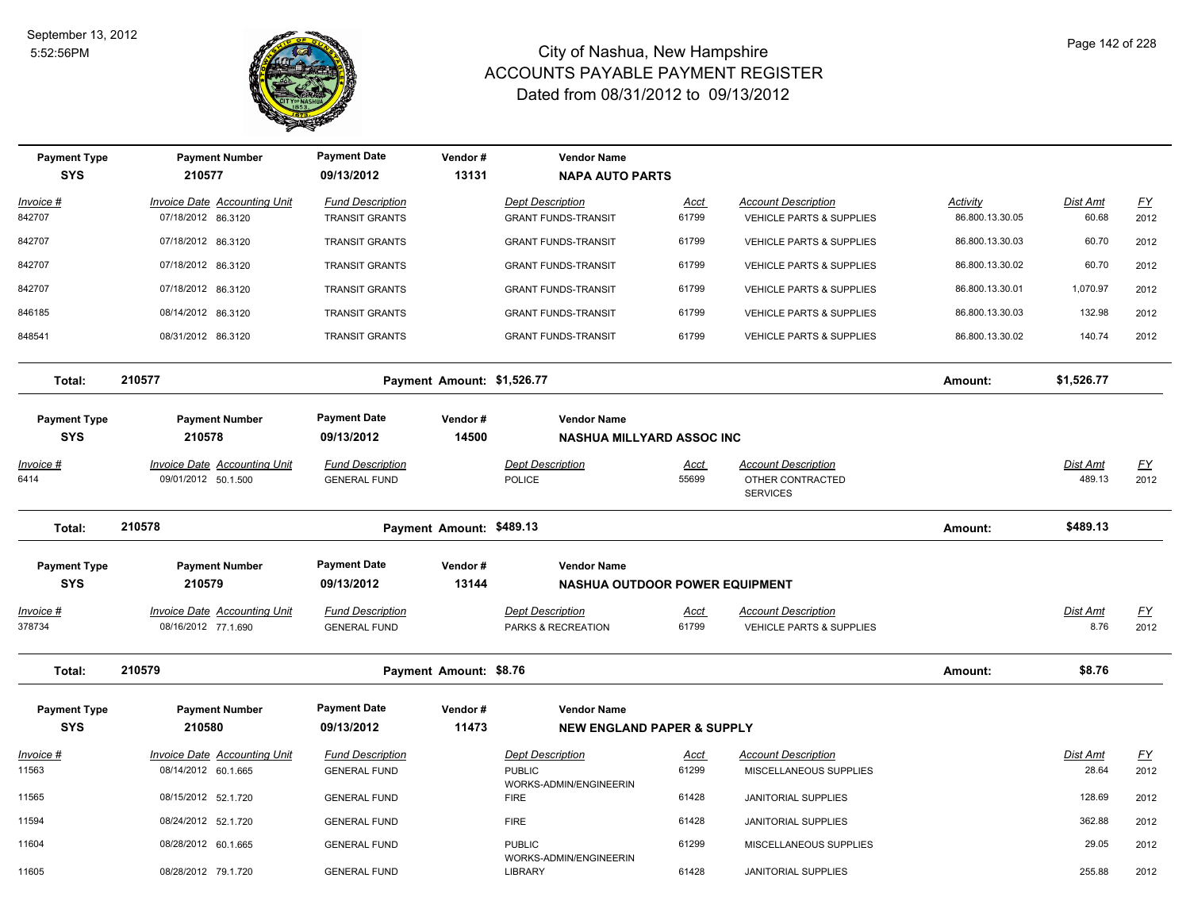

| <b>Payment Type</b><br><b>SYS</b> | <b>Payment Number</b><br>210577                            | <b>Payment Date</b><br>09/13/2012              | Vendor#<br>13131           | <b>Vendor Name</b><br><b>NAPA AUTO PARTS</b>                |                      |                                                                   |                 |                         |                           |
|-----------------------------------|------------------------------------------------------------|------------------------------------------------|----------------------------|-------------------------------------------------------------|----------------------|-------------------------------------------------------------------|-----------------|-------------------------|---------------------------|
| Invoice #                         | <b>Invoice Date Accounting Unit</b>                        | <b>Fund Description</b>                        |                            | <b>Dept Description</b>                                     | <b>Acct</b>          | <b>Account Description</b>                                        | Activity        | Dist Amt                | $\underline{FY}$          |
| 842707                            | 07/18/2012 86.3120                                         | TRANSIT GRANTS                                 |                            | <b>GRANT FUNDS-TRANSIT</b>                                  | 61799                | VEHICLE PARTS & SUPPLIES                                          | 86.800.13.30.05 | 60.68                   | 2012                      |
| 842707                            | 07/18/2012 86.3120                                         | <b>TRANSIT GRANTS</b>                          |                            | <b>GRANT FUNDS-TRANSIT</b>                                  | 61799                | <b>VEHICLE PARTS &amp; SUPPLIES</b>                               | 86.800.13.30.03 | 60.70                   | 2012                      |
| 842707                            | 07/18/2012 86.3120                                         | <b>TRANSIT GRANTS</b>                          |                            | <b>GRANT FUNDS-TRANSIT</b>                                  | 61799                | <b>VEHICLE PARTS &amp; SUPPLIES</b>                               | 86.800.13.30.02 | 60.70                   | 2012                      |
| 842707                            | 07/18/2012 86.3120                                         | <b>TRANSIT GRANTS</b>                          |                            | <b>GRANT FUNDS-TRANSIT</b>                                  | 61799                | VEHICLE PARTS & SUPPLIES                                          | 86.800.13.30.01 | 1,070.97                | 2012                      |
| 846185                            | 08/14/2012 86.3120                                         | <b>TRANSIT GRANTS</b>                          |                            | <b>GRANT FUNDS-TRANSIT</b>                                  | 61799                | VEHICLE PARTS & SUPPLIES                                          | 86.800.13.30.03 | 132.98                  | 2012                      |
| 848541                            | 08/31/2012 86.3120                                         | <b>TRANSIT GRANTS</b>                          |                            | <b>GRANT FUNDS-TRANSIT</b>                                  | 61799                | <b>VEHICLE PARTS &amp; SUPPLIES</b>                               | 86.800.13.30.02 | 140.74                  | 2012                      |
| Total:                            | 210577                                                     |                                                | Payment Amount: \$1,526.77 |                                                             |                      |                                                                   | Amount:         | \$1,526.77              |                           |
| <b>Payment Type</b>               | <b>Payment Number</b>                                      | <b>Payment Date</b>                            | Vendor#                    | <b>Vendor Name</b>                                          |                      |                                                                   |                 |                         |                           |
| <b>SYS</b>                        | 210578                                                     | 09/13/2012                                     | 14500                      | <b>NASHUA MILLYARD ASSOC INC</b>                            |                      |                                                                   |                 |                         |                           |
| Invoice #<br>6414                 | Invoice Date Accounting Unit<br>09/01/2012 50.1.500        | <b>Fund Description</b><br><b>GENERAL FUND</b> |                            | <b>Dept Description</b><br><b>POLICE</b>                    | Acct<br>55699        | <b>Account Description</b><br>OTHER CONTRACTED<br><b>SERVICES</b> |                 | Dist Amt<br>489.13      | $\underline{FY}$<br>2012  |
| Total:                            | 210578                                                     |                                                | Payment Amount: \$489.13   |                                                             |                      |                                                                   | Amount:         | \$489.13                |                           |
| <b>Payment Type</b>               | <b>Payment Number</b>                                      | <b>Payment Date</b>                            | Vendor#                    | <b>Vendor Name</b>                                          |                      |                                                                   |                 |                         |                           |
| <b>SYS</b>                        | 210579                                                     | 09/13/2012                                     | 13144                      | NASHUA OUTDOOR POWER EQUIPMENT                              |                      |                                                                   |                 |                         |                           |
| <u> Invoice #</u><br>378734       | <b>Invoice Date Accounting Unit</b><br>08/16/2012 77.1.690 | <b>Fund Description</b><br><b>GENERAL FUND</b> |                            | <b>Dept Description</b><br>PARKS & RECREATION               | <u>Acct</u><br>61799 | <b>Account Description</b><br>VEHICLE PARTS & SUPPLIES            |                 | <b>Dist Amt</b><br>8.76 | <u>FY</u><br>2012         |
| Total:                            | 210579                                                     |                                                | Payment Amount: \$8.76     |                                                             |                      |                                                                   | Amount:         | \$8.76                  |                           |
| <b>Payment Type</b><br><b>SYS</b> | <b>Payment Number</b><br>210580                            | <b>Payment Date</b><br>09/13/2012              | Vendor#<br>11473           | <b>Vendor Name</b><br><b>NEW ENGLAND PAPER &amp; SUPPLY</b> |                      |                                                                   |                 |                         |                           |
| <u> Invoice #</u>                 | <b>Invoice Date Accounting Unit</b>                        | <b>Fund Description</b>                        |                            | <b>Dept Description</b>                                     | <u>Acct</u>          | <b>Account Description</b>                                        |                 | Dist Amt                | $\underline{\mathsf{FY}}$ |
| 11563                             | 08/14/2012 60.1.665                                        | <b>GENERAL FUND</b>                            |                            | <b>PUBLIC</b><br>WORKS-ADMIN/ENGINEERIN                     | 61299                | MISCELLANEOUS SUPPLIES                                            |                 | 28.64                   | 2012                      |
| 11565                             | 08/15/2012 52.1.720                                        | <b>GENERAL FUND</b>                            |                            | <b>FIRE</b>                                                 | 61428                | <b>JANITORIAL SUPPLIES</b>                                        |                 | 128.69                  | 2012                      |
| 11594                             | 08/24/2012 52.1.720                                        | <b>GENERAL FUND</b>                            |                            | <b>FIRE</b>                                                 | 61428                | JANITORIAL SUPPLIES                                               |                 | 362.88                  | 2012                      |
| 11604                             | 08/28/2012 60.1.665                                        | <b>GENERAL FUND</b>                            |                            | <b>PUBLIC</b><br>WORKS-ADMIN/ENGINEERIN                     | 61299                | MISCELLANEOUS SUPPLIES                                            |                 | 29.05                   | 2012                      |
| 11605                             | 08/28/2012 79.1.720                                        | <b>GENERAL FUND</b>                            |                            | LIBRARY                                                     | 61428                | <b>JANITORIAL SUPPLIES</b>                                        |                 | 255.88                  | 2012                      |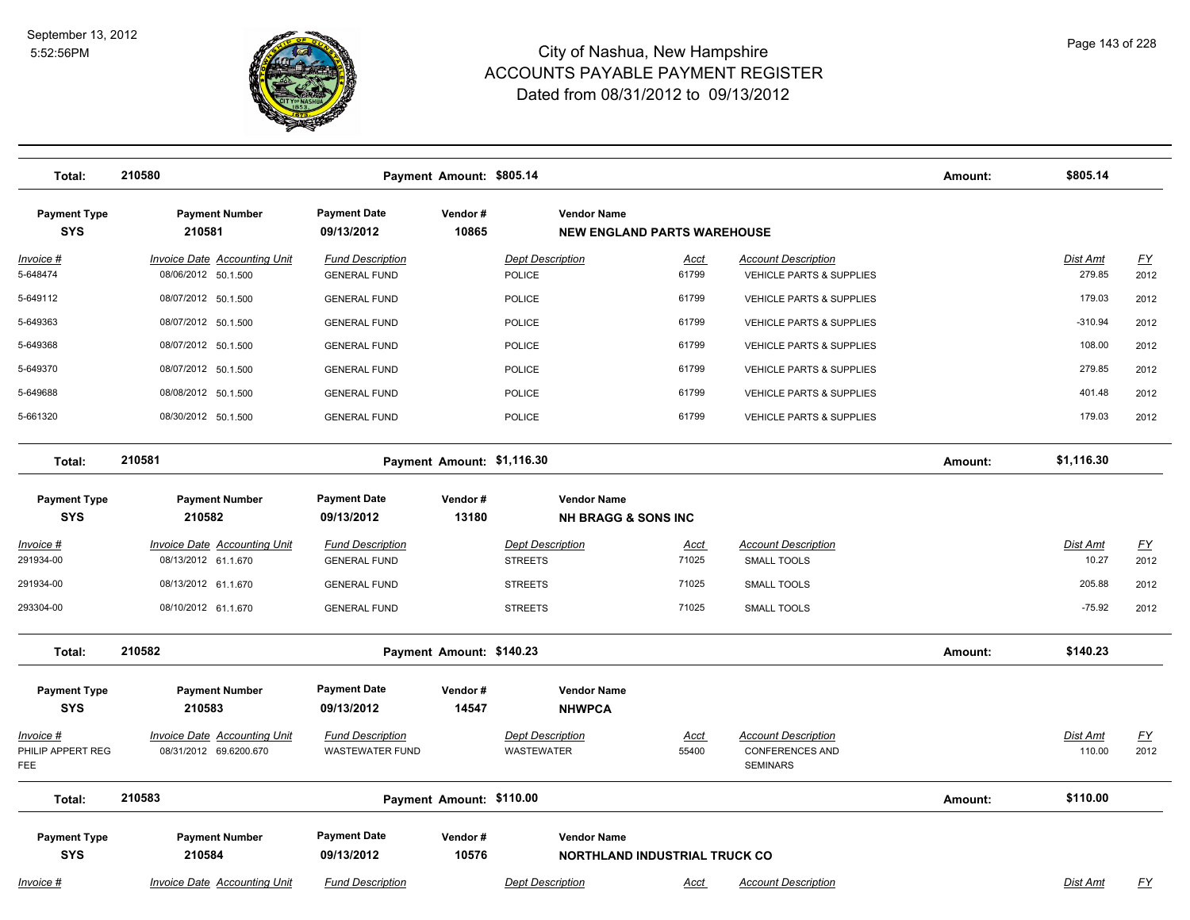

| Total:                                | 210580                                                        |                                                       | Payment Amount: \$805.14   |                                                            |                      |                                                                         | Amount: | \$805.14                  |                                   |
|---------------------------------------|---------------------------------------------------------------|-------------------------------------------------------|----------------------------|------------------------------------------------------------|----------------------|-------------------------------------------------------------------------|---------|---------------------------|-----------------------------------|
| <b>Payment Type</b><br><b>SYS</b>     | <b>Payment Number</b><br>210581                               | <b>Payment Date</b><br>Vendor#<br>09/13/2012<br>10865 |                            | <b>Vendor Name</b><br><b>NEW ENGLAND PARTS WAREHOUSE</b>   |                      |                                                                         |         |                           |                                   |
| Invoice #<br>5-648474                 | <b>Invoice Date Accounting Unit</b><br>08/06/2012 50.1.500    | <b>Fund Description</b><br><b>GENERAL FUND</b>        |                            | <b>Dept Description</b><br>POLICE                          | <u>Acct</u><br>61799 | <b>Account Description</b><br>VEHICLE PARTS & SUPPLIES                  |         | <b>Dist Amt</b><br>279.85 | $\underline{\mathsf{FY}}$<br>2012 |
| 5-649112                              | 08/07/2012 50.1.500                                           | <b>GENERAL FUND</b>                                   |                            | POLICE                                                     | 61799                | VEHICLE PARTS & SUPPLIES                                                |         | 179.03                    | 2012                              |
| 5-649363                              | 08/07/2012 50.1.500                                           | <b>GENERAL FUND</b>                                   |                            | <b>POLICE</b>                                              | 61799                | VEHICLE PARTS & SUPPLIES                                                |         | $-310.94$                 | 2012                              |
| 5-649368                              | 08/07/2012 50.1.500                                           | <b>GENERAL FUND</b>                                   |                            | <b>POLICE</b>                                              | 61799                | VEHICLE PARTS & SUPPLIES                                                |         | 108.00                    | 2012                              |
| 5-649370                              | 08/07/2012 50.1.500                                           | <b>GENERAL FUND</b>                                   |                            | <b>POLICE</b>                                              | 61799                | <b>VEHICLE PARTS &amp; SUPPLIES</b>                                     |         | 279.85                    | 2012                              |
| 5-649688                              | 08/08/2012 50.1.500                                           | <b>GENERAL FUND</b>                                   |                            | POLICE                                                     | 61799                | VEHICLE PARTS & SUPPLIES                                                |         | 401.48                    | 2012                              |
| 5-661320                              | 08/30/2012 50.1.500                                           | <b>GENERAL FUND</b>                                   |                            | <b>POLICE</b>                                              | 61799                | <b>VEHICLE PARTS &amp; SUPPLIES</b>                                     |         | 179.03                    | 2012                              |
| Total:                                | 210581                                                        |                                                       | Payment Amount: \$1,116.30 |                                                            |                      |                                                                         | Amount: | \$1,116.30                |                                   |
| <b>Payment Type</b><br><b>SYS</b>     | <b>Payment Number</b><br>210582                               | <b>Payment Date</b><br>09/13/2012                     | Vendor#<br>13180           | <b>Vendor Name</b><br><b>NH BRAGG &amp; SONS INC</b>       |                      |                                                                         |         |                           |                                   |
| <u>Invoice #</u>                      | <b>Invoice Date Accounting Unit</b>                           | <b>Fund Description</b>                               |                            | <b>Dept Description</b>                                    | <u>Acct</u>          | <b>Account Description</b>                                              |         | <b>Dist Amt</b>           | <u>FY</u>                         |
| 291934-00                             | 08/13/2012 61.1.670                                           | <b>GENERAL FUND</b>                                   |                            | <b>STREETS</b>                                             | 71025                | SMALL TOOLS                                                             |         | 10.27                     | 2012                              |
| 291934-00                             | 08/13/2012 61.1.670                                           | <b>GENERAL FUND</b>                                   |                            | <b>STREETS</b>                                             | 71025                | <b>SMALL TOOLS</b>                                                      |         | 205.88                    | 2012                              |
| 293304-00                             | 08/10/2012 61.1.670                                           | <b>GENERAL FUND</b>                                   |                            | <b>STREETS</b>                                             | 71025                | SMALL TOOLS                                                             |         | $-75.92$                  | 2012                              |
| Total:                                | 210582                                                        |                                                       | Payment Amount: \$140.23   |                                                            |                      |                                                                         | Amount: | \$140.23                  |                                   |
| <b>Payment Type</b><br><b>SYS</b>     | <b>Payment Number</b><br>210583                               | <b>Payment Date</b><br>09/13/2012                     | Vendor#<br>14547           | <b>Vendor Name</b><br><b>NHWPCA</b>                        |                      |                                                                         |         |                           |                                   |
| Invoice #<br>PHILIP APPERT REG<br>FEE | <b>Invoice Date Accounting Unit</b><br>08/31/2012 69.6200.670 | <b>Fund Description</b><br><b>WASTEWATER FUND</b>     |                            | <b>Dept Description</b><br>WASTEWATER                      | <u>Acct</u><br>55400 | <b>Account Description</b><br><b>CONFERENCES AND</b><br><b>SEMINARS</b> |         | Dist Amt<br>110.00        | <u>FY</u><br>2012                 |
| Total:                                | 210583                                                        |                                                       | Payment Amount: \$110.00   |                                                            |                      |                                                                         | Amount: | \$110.00                  |                                   |
| <b>Payment Type</b><br><b>SYS</b>     | <b>Payment Number</b><br>210584                               | <b>Payment Date</b><br>09/13/2012                     | Vendor#<br>10576           | <b>Vendor Name</b><br><b>NORTHLAND INDUSTRIAL TRUCK CO</b> |                      |                                                                         |         |                           |                                   |
| Invoice #                             | <b>Invoice Date Accounting Unit</b>                           | <b>Fund Description</b>                               |                            | <b>Dept Description</b>                                    | Acct                 | <b>Account Description</b>                                              |         | <b>Dist Amt</b>           | FY                                |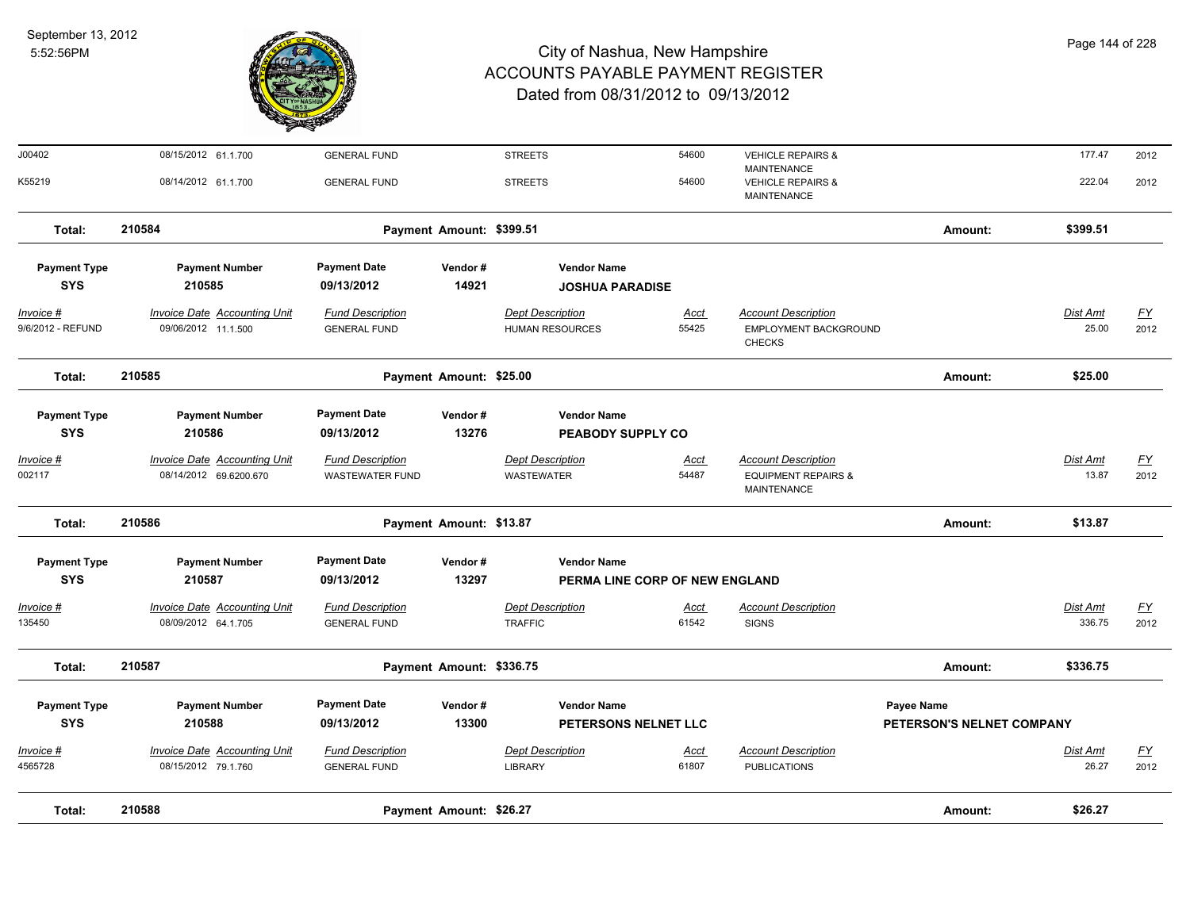

| Total:                            | 210588                                                        |                                                   | Payment Amount: \$26.27  |                                                   |                                |                                                                             | Amount:                                        | \$26.27                  |                   |
|-----------------------------------|---------------------------------------------------------------|---------------------------------------------------|--------------------------|---------------------------------------------------|--------------------------------|-----------------------------------------------------------------------------|------------------------------------------------|--------------------------|-------------------|
| <u> Invoice #</u><br>4565728      | Invoice Date Accounting Unit<br>08/15/2012 79.1.760           | <b>Fund Description</b><br><b>GENERAL FUND</b>    |                          | <b>Dept Description</b><br><b>LIBRARY</b>         | <b>Acct</b><br>61807           | <b>Account Description</b><br><b>PUBLICATIONS</b>                           |                                                | <b>Dist Amt</b><br>26.27 | <u>FY</u><br>2012 |
| <b>Payment Type</b><br><b>SYS</b> | <b>Payment Number</b><br>210588                               | <b>Payment Date</b><br>09/13/2012                 | Vendor#<br>13300         | <b>Vendor Name</b><br>PETERSONS NELNET LLC        |                                |                                                                             | <b>Payee Name</b><br>PETERSON'S NELNET COMPANY |                          |                   |
| Total:                            | 210587                                                        |                                                   | Payment Amount: \$336.75 |                                                   |                                |                                                                             | Amount:                                        | \$336.75                 |                   |
| Invoice #<br>135450               | <b>Invoice Date Accounting Unit</b><br>08/09/2012 64.1.705    | <b>Fund Description</b><br><b>GENERAL FUND</b>    |                          | <b>Dept Description</b><br><b>TRAFFIC</b>         | <u>Acct</u><br>61542           | <b>Account Description</b><br><b>SIGNS</b>                                  |                                                | Dist Amt<br>336.75       | <u>FY</u><br>2012 |
| <b>SYS</b>                        | 210587                                                        | 09/13/2012                                        | 13297                    |                                                   | PERMA LINE CORP OF NEW ENGLAND |                                                                             |                                                |                          |                   |
| <b>Payment Type</b>               | <b>Payment Number</b>                                         | <b>Payment Date</b>                               | Vendor#                  | <b>Vendor Name</b>                                |                                |                                                                             |                                                |                          |                   |
| Total:                            | 210586                                                        |                                                   | Payment Amount: \$13.87  |                                                   |                                |                                                                             | Amount:                                        | \$13.87                  |                   |
| Invoice #<br>002117               | <b>Invoice Date Accounting Unit</b><br>08/14/2012 69.6200.670 | <b>Fund Description</b><br><b>WASTEWATER FUND</b> |                          | <b>Dept Description</b><br><b>WASTEWATER</b>      | <u>Acct</u><br>54487           | <b>Account Description</b><br><b>EQUIPMENT REPAIRS &amp;</b><br>MAINTENANCE |                                                | Dist Amt<br>13.87        | EY<br>2012        |
| <b>Payment Type</b><br><b>SYS</b> | <b>Payment Number</b><br>210586                               | <b>Payment Date</b><br>09/13/2012                 | Vendor#<br>13276         | <b>Vendor Name</b><br>PEABODY SUPPLY CO           |                                |                                                                             |                                                |                          |                   |
| Total:                            | 210585                                                        |                                                   | Payment Amount: \$25.00  |                                                   |                                |                                                                             | Amount:                                        | \$25.00                  |                   |
| Invoice #<br>9/6/2012 - REFUND    | <b>Invoice Date Accounting Unit</b><br>09/06/2012 11.1.500    | <b>Fund Description</b><br><b>GENERAL FUND</b>    |                          | <b>Dept Description</b><br><b>HUMAN RESOURCES</b> | <b>Acct</b><br>55425           | <b>Account Description</b><br>EMPLOYMENT BACKGROUND<br><b>CHECKS</b>        |                                                | Dist Amt<br>25.00        | <u>FY</u><br>2012 |
| <b>Payment Type</b><br><b>SYS</b> | <b>Payment Number</b><br>210585                               | <b>Payment Date</b><br>09/13/2012                 | Vendor#<br>14921         | <b>Vendor Name</b><br><b>JOSHUA PARADISE</b>      |                                |                                                                             |                                                |                          |                   |
| Total:                            | 210584                                                        |                                                   | Payment Amount: \$399.51 |                                                   |                                |                                                                             | Amount:                                        | \$399.51                 |                   |
| K55219                            | 08/14/2012 61.1.700                                           | <b>GENERAL FUND</b>                               |                          | <b>STREETS</b>                                    | 54600                          | <b>VEHICLE REPAIRS &amp;</b><br><b>MAINTENANCE</b>                          |                                                | 222.04                   | 2012              |
| J00402                            | 08/15/2012 61.1.700                                           | <b>GENERAL FUND</b>                               |                          | <b>STREETS</b>                                    | 54600                          | <b>VEHICLE REPAIRS &amp;</b><br><b>MAINTENANCE</b>                          |                                                | 177.47                   | 2012              |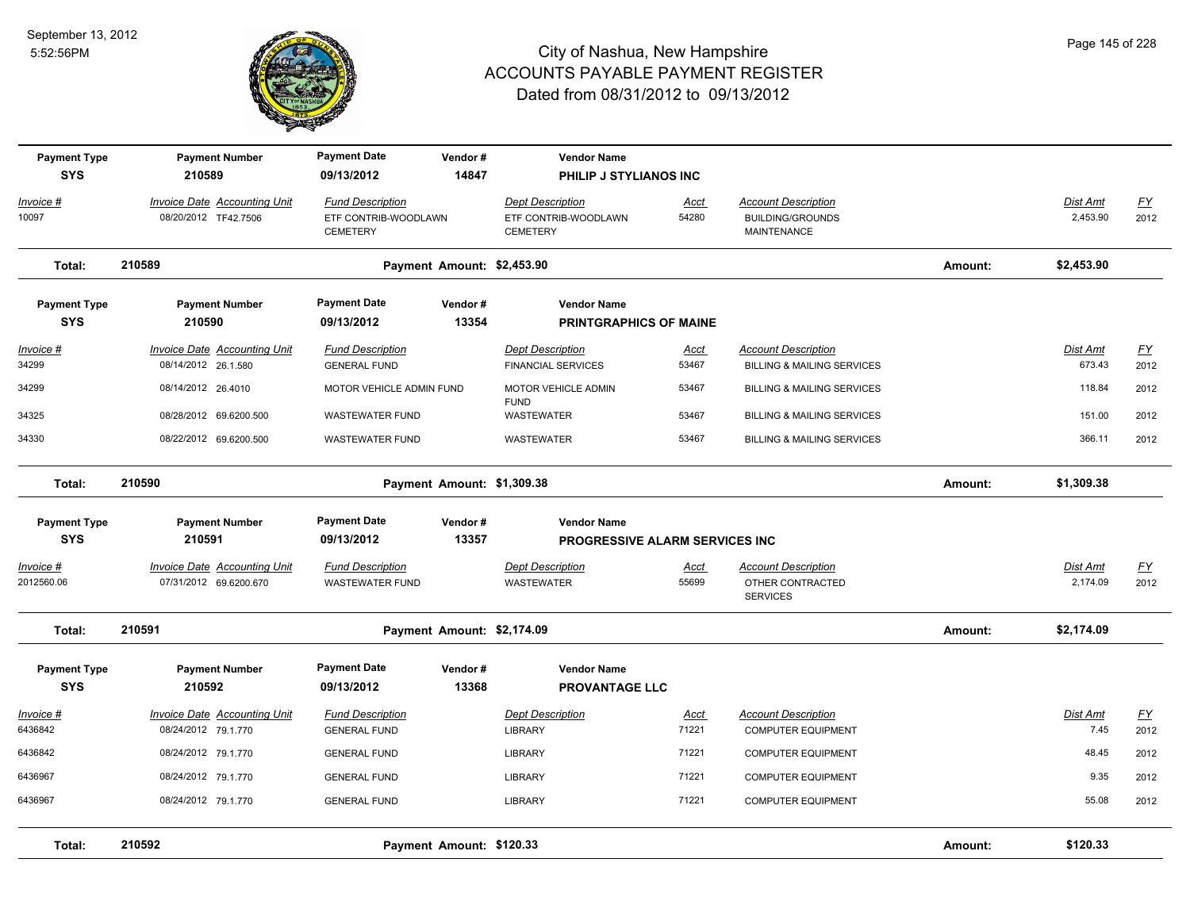

| <b>Payment Type</b><br><b>SYS</b> | <b>Payment Number</b><br>210589                               | <b>Payment Date</b><br>09/13/2012                                  | Vendor#<br>14847           | <b>Vendor Name</b><br>PHILIP J STYLIANOS INC                       |                      |                                                                             |         |                             |                                   |
|-----------------------------------|---------------------------------------------------------------|--------------------------------------------------------------------|----------------------------|--------------------------------------------------------------------|----------------------|-----------------------------------------------------------------------------|---------|-----------------------------|-----------------------------------|
| Invoice #<br>10097                | Invoice Date Accounting Unit<br>08/20/2012 TF42.7506          | <b>Fund Description</b><br>ETF CONTRIB-WOODLAWN<br><b>CEMETERY</b> |                            | <b>Dept Description</b><br>ETF CONTRIB-WOODLAWN<br><b>CEMETERY</b> | Acct<br>54280        | <b>Account Description</b><br><b>BUILDING/GROUNDS</b><br><b>MAINTENANCE</b> |         | Dist Amt<br>2,453.90        | $\underline{\mathsf{FY}}$<br>2012 |
| Total:                            | 210589                                                        |                                                                    | Payment Amount: \$2,453.90 |                                                                    |                      |                                                                             | Amount: | \$2,453.90                  |                                   |
| <b>Payment Type</b><br><b>SYS</b> | <b>Payment Number</b><br>210590                               | <b>Payment Date</b><br>09/13/2012                                  | Vendor#<br>13354           | <b>Vendor Name</b><br><b>PRINTGRAPHICS OF MAINE</b>                |                      |                                                                             |         |                             |                                   |
| Invoice #<br>34299                | Invoice Date Accounting Unit<br>08/14/2012 26.1.580           | <b>Fund Description</b><br><b>GENERAL FUND</b>                     |                            | <b>Dept Description</b><br><b>FINANCIAL SERVICES</b>               | Acct<br>53467        | <b>Account Description</b><br><b>BILLING &amp; MAILING SERVICES</b>         |         | Dist Amt<br>673.43          | EY<br>2012                        |
| 34299                             | 08/14/2012 26.4010                                            | MOTOR VEHICLE ADMIN FUND                                           |                            | MOTOR VEHICLE ADMIN                                                | 53467                | <b>BILLING &amp; MAILING SERVICES</b>                                       |         | 118.84                      | 2012                              |
| 34325                             | 08/28/2012 69.6200.500                                        | <b>WASTEWATER FUND</b>                                             |                            | <b>FUND</b><br>WASTEWATER                                          | 53467                | <b>BILLING &amp; MAILING SERVICES</b>                                       |         | 151.00                      | 2012                              |
| 34330                             | 08/22/2012 69.6200.500                                        | <b>WASTEWATER FUND</b>                                             |                            | <b>WASTEWATER</b>                                                  | 53467                | <b>BILLING &amp; MAILING SERVICES</b>                                       |         | 366.11                      | 2012                              |
| Total:                            | 210590                                                        | Payment Amount: \$1,309.38                                         | Amount:                    | \$1,309.38                                                         |                      |                                                                             |         |                             |                                   |
| <b>Payment Type</b><br><b>SYS</b> | <b>Payment Number</b><br>210591                               | <b>Payment Date</b><br>09/13/2012                                  | Vendor#<br>13357           | <b>Vendor Name</b><br><b>PROGRESSIVE ALARM SERVICES INC.</b>       |                      |                                                                             |         |                             |                                   |
| $Invoice$ #<br>2012560.06         | <b>Invoice Date Accounting Unit</b><br>07/31/2012 69.6200.670 | <b>Fund Description</b><br><b>WASTEWATER FUND</b>                  |                            | <b>Dept Description</b><br>WASTEWATER                              | <u>Acct</u><br>55699 | <b>Account Description</b><br>OTHER CONTRACTED<br><b>SERVICES</b>           |         | <b>Dist Amt</b><br>2,174.09 | EY<br>2012                        |
| Total:                            | 210591                                                        |                                                                    | Payment Amount: \$2,174.09 |                                                                    |                      |                                                                             | Amount: | \$2,174.09                  |                                   |
| <b>Payment Type</b><br><b>SYS</b> | <b>Payment Number</b><br>210592                               | <b>Payment Date</b><br>09/13/2012                                  | Vendor#<br>13368           | <b>Vendor Name</b><br><b>PROVANTAGE LLC</b>                        |                      |                                                                             |         |                             |                                   |
| Invoice #<br>6436842              | Invoice Date Accounting Unit<br>08/24/2012 79.1.770           | <b>Fund Description</b><br><b>GENERAL FUND</b>                     |                            | <b>Dept Description</b><br><b>LIBRARY</b>                          | Acct<br>71221        | <b>Account Description</b><br><b>COMPUTER EQUIPMENT</b>                     |         | Dist Amt<br>7.45            | EY<br>2012                        |
| 6436842                           | 08/24/2012 79.1.770                                           | <b>GENERAL FUND</b>                                                |                            | LIBRARY                                                            | 71221                | <b>COMPUTER EQUIPMENT</b>                                                   |         | 48.45                       | 2012                              |
| 6436967                           | 08/24/2012 79.1.770                                           | <b>GENERAL FUND</b>                                                |                            | <b>LIBRARY</b>                                                     | 71221                | <b>COMPUTER EQUIPMENT</b>                                                   |         | 9.35                        | 2012                              |
| 6436967                           | 08/24/2012 79.1.770                                           | <b>GENERAL FUND</b>                                                |                            | <b>LIBRARY</b>                                                     | 71221                | <b>COMPUTER EQUIPMENT</b>                                                   |         | 55.08                       | 2012                              |
| Total:                            | 210592                                                        |                                                                    | Payment Amount: \$120.33   |                                                                    |                      |                                                                             | Amount: | \$120.33                    |                                   |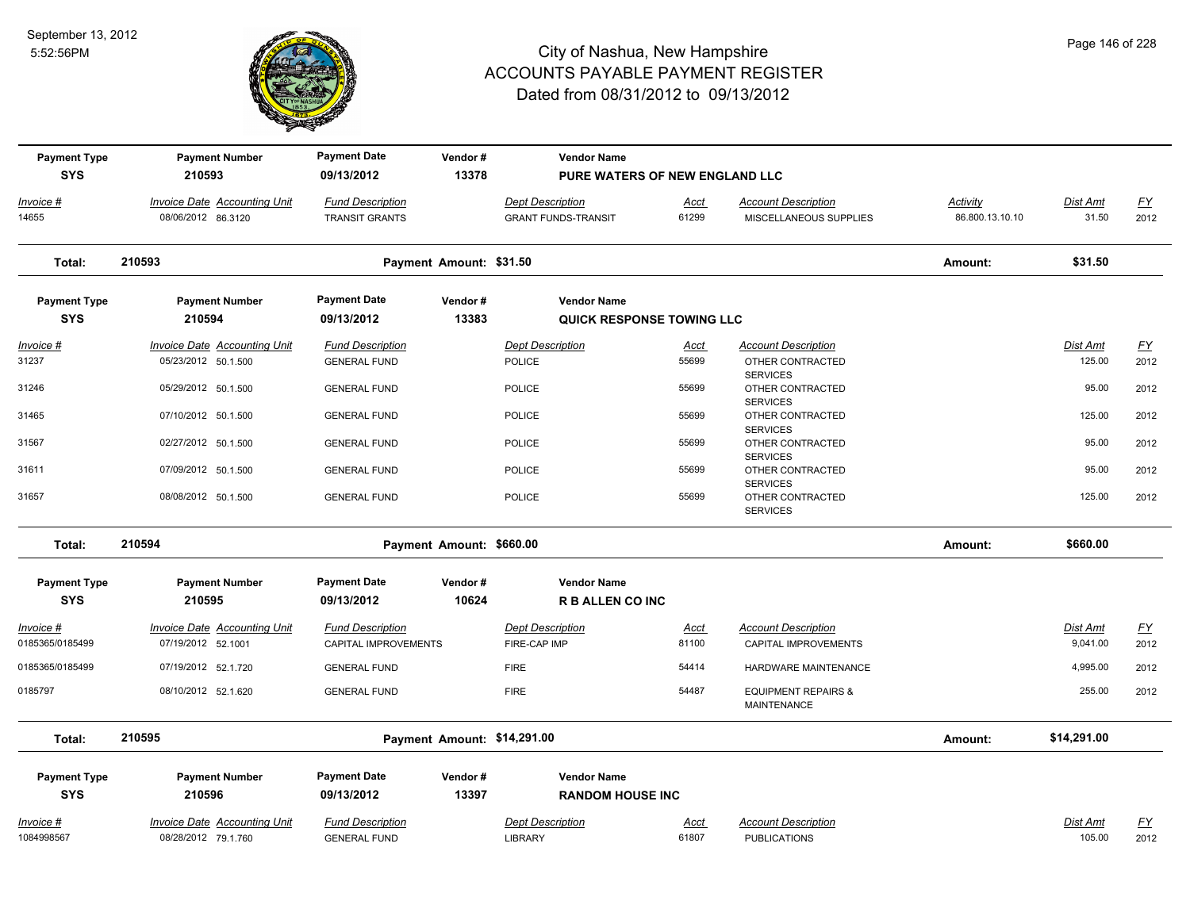

| <b>SYS</b><br>210593<br>09/13/2012<br>13378<br>PURE WATERS OF NEW ENGLAND LLC<br><b>Invoice Date Accounting Unit</b><br><b>Fund Description</b><br><b>Account Description</b><br>Invoice #<br><b>Dept Description</b><br><u>Acct</u><br>14655<br>08/06/2012 86.3120<br><b>GRANT FUNDS-TRANSIT</b><br>61299<br>MISCELLANEOUS SUPPLIES<br><b>TRANSIT GRANTS</b> | Activity<br>86.800.13.10.10<br>Amount: | Dist Amt<br>31.50<br>\$31.50 | <u>FY</u><br>2012 |
|---------------------------------------------------------------------------------------------------------------------------------------------------------------------------------------------------------------------------------------------------------------------------------------------------------------------------------------------------------------|----------------------------------------|------------------------------|-------------------|
|                                                                                                                                                                                                                                                                                                                                                               |                                        |                              |                   |
|                                                                                                                                                                                                                                                                                                                                                               |                                        |                              |                   |
|                                                                                                                                                                                                                                                                                                                                                               |                                        |                              |                   |
| 210593<br>Payment Amount: \$31.50<br>Total:                                                                                                                                                                                                                                                                                                                   |                                        |                              |                   |
| <b>Payment Date</b><br><b>Payment Number</b><br><b>Vendor Name</b><br><b>Payment Type</b><br>Vendor#                                                                                                                                                                                                                                                          |                                        |                              |                   |
| <b>SYS</b><br>210594<br>09/13/2012<br>13383<br>QUICK RESPONSE TOWING LLC                                                                                                                                                                                                                                                                                      |                                        |                              |                   |
| <b>Invoice Date Accounting Unit</b><br><b>Fund Description</b><br><b>Dept Description</b><br><b>Account Description</b><br>Invoice #<br><b>Acct</b>                                                                                                                                                                                                           |                                        | <b>Dist Amt</b>              | <u>FY</u>         |
| 31237<br>55699<br>05/23/2012 50.1.500<br><b>GENERAL FUND</b><br><b>POLICE</b><br>OTHER CONTRACTED<br><b>SERVICES</b>                                                                                                                                                                                                                                          |                                        | 125.00                       | 2012              |
| 31246<br>05/29/2012 50.1.500<br>55699<br><b>GENERAL FUND</b><br><b>POLICE</b><br>OTHER CONTRACTED<br><b>SERVICES</b>                                                                                                                                                                                                                                          |                                        | 95.00                        | 2012              |
| 55699<br>31465<br>07/10/2012 50.1.500<br>POLICE<br>OTHER CONTRACTED<br><b>GENERAL FUND</b><br><b>SERVICES</b>                                                                                                                                                                                                                                                 |                                        | 125.00                       | 2012              |
| 55699<br>31567<br>02/27/2012 50.1.500<br><b>GENERAL FUND</b><br><b>POLICE</b><br>OTHER CONTRACTED<br><b>SERVICES</b>                                                                                                                                                                                                                                          |                                        | 95.00                        | 2012              |
| 31611<br>07/09/2012 50.1.500<br>55699<br><b>GENERAL FUND</b><br><b>POLICE</b><br>OTHER CONTRACTED<br><b>SERVICES</b>                                                                                                                                                                                                                                          |                                        | 95.00                        | 2012              |
| 55699<br>31657<br>08/08/2012 50.1.500<br>POLICE<br><b>GENERAL FUND</b><br>OTHER CONTRACTED<br><b>SERVICES</b>                                                                                                                                                                                                                                                 |                                        | 125.00                       | 2012              |
| 210594<br>Payment Amount: \$660.00<br>Total:                                                                                                                                                                                                                                                                                                                  | Amount:                                | \$660.00                     |                   |
| <b>Payment Date</b><br>Vendor#<br><b>Vendor Name</b><br><b>Payment Type</b><br><b>Payment Number</b>                                                                                                                                                                                                                                                          |                                        |                              |                   |
| <b>SYS</b><br>210595<br>09/13/2012<br>10624<br><b>R B ALLEN CO INC</b>                                                                                                                                                                                                                                                                                        |                                        |                              |                   |
| <b>Invoice Date Accounting Unit</b><br><b>Fund Description</b><br><b>Dept Description</b><br><b>Account Description</b><br>$Invoice$ #<br>Acct<br>0185365/0185499<br>07/19/2012 52.1001<br>81100<br>FIRE-CAP IMP<br>CAPITAL IMPROVEMENTS<br>CAPITAL IMPROVEMENTS                                                                                              |                                        | <b>Dist Amt</b><br>9,041.00  | <u>FY</u><br>2012 |
| 0185365/0185499<br>54414<br>07/19/2012 52.1.720<br><b>GENERAL FUND</b><br><b>FIRE</b><br>HARDWARE MAINTENANCE                                                                                                                                                                                                                                                 |                                        | 4,995.00                     | 2012              |
| 54487<br>0185797<br>08/10/2012 52.1.620<br><b>GENERAL FUND</b><br><b>FIRE</b><br><b>EQUIPMENT REPAIRS &amp;</b><br><b>MAINTENANCE</b>                                                                                                                                                                                                                         |                                        | 255.00                       | 2012              |
| 210595<br>Payment Amount: \$14,291.00<br>Total:                                                                                                                                                                                                                                                                                                               | Amount:                                | \$14,291.00                  |                   |
| <b>Payment Date</b><br><b>Payment Type</b><br><b>Payment Number</b><br>Vendor#<br><b>Vendor Name</b>                                                                                                                                                                                                                                                          |                                        |                              |                   |
| <b>SYS</b><br>210596<br>09/13/2012<br>13397<br><b>RANDOM HOUSE INC</b>                                                                                                                                                                                                                                                                                        |                                        |                              |                   |
| <b>Account Description</b><br>Invoice #<br><b>Invoice Date Accounting Unit</b><br><b>Fund Description</b><br><b>Dept Description</b><br>Acct<br>1084998567<br>08/28/2012 79.1.760<br>61807<br><b>GENERAL FUND</b><br><b>LIBRARY</b><br><b>PUBLICATIONS</b>                                                                                                    |                                        | <b>Dist Amt</b><br>105.00    | <u>FY</u><br>2012 |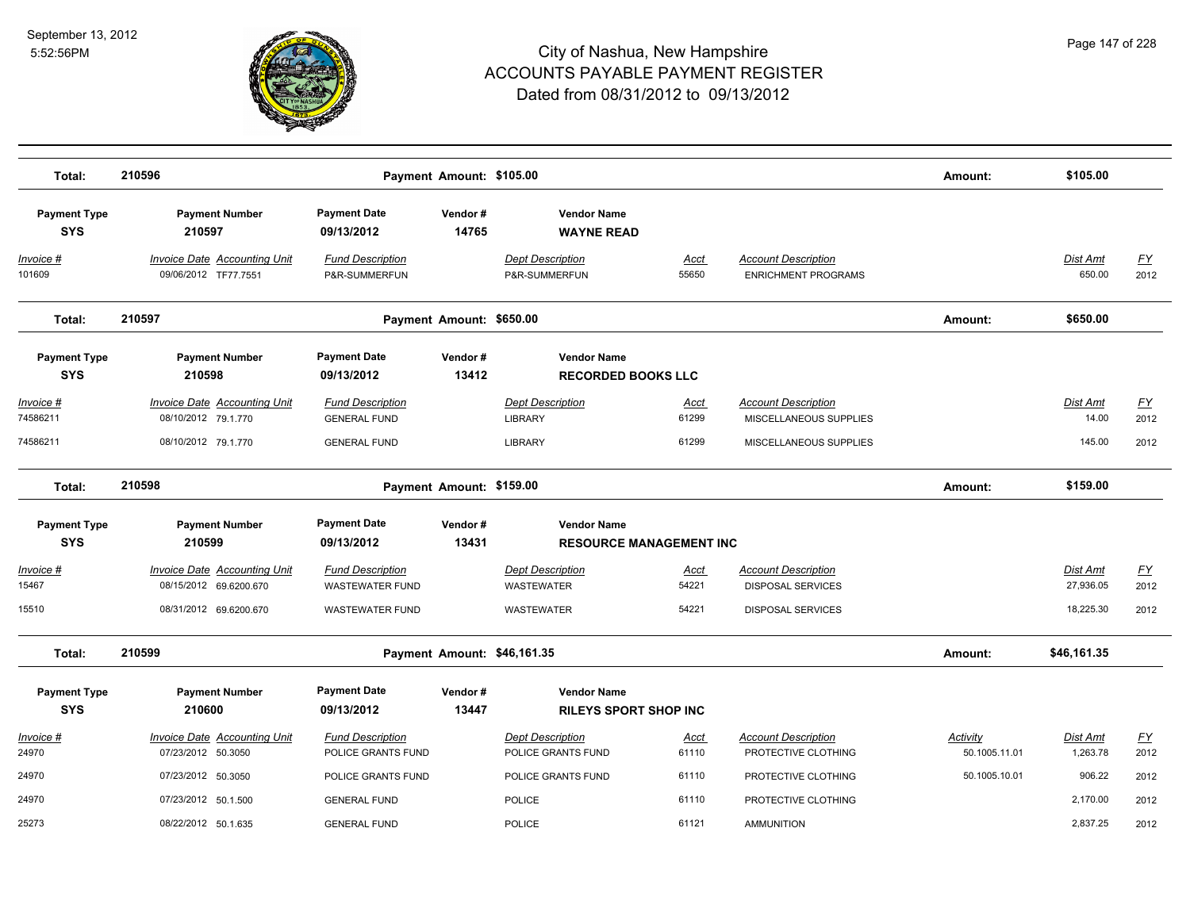

| Total:                            | 210596                                                      |                                                | Payment Amount: \$105.00 |                                                    |                      |                                                          | Amount:                   | \$105.00             |                   |
|-----------------------------------|-------------------------------------------------------------|------------------------------------------------|--------------------------|----------------------------------------------------|----------------------|----------------------------------------------------------|---------------------------|----------------------|-------------------|
| <b>Payment Type</b><br><b>SYS</b> | <b>Payment Number</b><br>210597                             | <b>Payment Date</b><br>09/13/2012              | Vendor#<br>14765         | <b>Vendor Name</b><br><b>WAYNE READ</b>            |                      |                                                          |                           |                      |                   |
| Invoice #<br>101609               | <b>Invoice Date Accounting Unit</b><br>09/06/2012 TF77.7551 | <b>Fund Description</b><br>P&R-SUMMERFUN       |                          | <b>Dept Description</b><br>P&R-SUMMERFUN           | <u>Acct</u><br>55650 | <b>Account Description</b><br><b>ENRICHMENT PROGRAMS</b> |                           | Dist Amt<br>650.00   | <u>FY</u><br>2012 |
| Total:                            | 210597                                                      |                                                | Payment Amount: \$650.00 |                                                    |                      |                                                          | Amount:                   | \$650.00             |                   |
| <b>Payment Type</b><br><b>SYS</b> | <b>Payment Number</b><br>210598                             | <b>Payment Date</b><br>09/13/2012              | Vendor#<br>13412         | <b>Vendor Name</b><br><b>RECORDED BOOKS LLC</b>    |                      |                                                          |                           |                      |                   |
| <u>Invoice #</u><br>74586211      | <b>Invoice Date Accounting Unit</b><br>08/10/2012 79.1.770  | <b>Fund Description</b><br><b>GENERAL FUND</b> |                          | <b>Dept Description</b><br><b>LIBRARY</b>          | <u>Acct</u><br>61299 | <b>Account Description</b><br>MISCELLANEOUS SUPPLIES     |                           | Dist Amt<br>14.00    | <u>FY</u><br>2012 |
| 74586211                          | 08/10/2012 79.1.770                                         | <b>GENERAL FUND</b>                            |                          | <b>LIBRARY</b>                                     | 61299                | MISCELLANEOUS SUPPLIES                                   |                           | 145.00               | 2012              |
| Total:                            | 210598                                                      |                                                | Payment Amount: \$159.00 |                                                    |                      |                                                          | Amount:                   | \$159.00             |                   |
| <b>Payment Type</b>               | <b>Payment Number</b>                                       | <b>Payment Date</b>                            | Vendor#                  | <b>Vendor Name</b>                                 |                      |                                                          |                           |                      |                   |
| <b>SYS</b>                        | 210599                                                      | 09/13/2012                                     | 13431                    | <b>RESOURCE MANAGEMENT INC</b>                     |                      |                                                          |                           |                      |                   |
| Invoice #                         | Invoice Date Accounting Unit                                | <b>Fund Description</b>                        |                          | <b>Dept Description</b>                            | Acct                 | <b>Account Description</b>                               |                           | Dist Amt             | <u>FY</u>         |
| 15467                             | 08/15/2012 69.6200.670                                      | <b>WASTEWATER FUND</b>                         |                          | WASTEWATER                                         | 54221                | <b>DISPOSAL SERVICES</b>                                 |                           | 27,936.05            | 2012              |
| 15510                             | 08/31/2012 69.6200.670                                      | <b>WASTEWATER FUND</b>                         |                          | WASTEWATER                                         | 54221                | <b>DISPOSAL SERVICES</b>                                 |                           | 18,225.30            | 2012              |
| Total:                            | 210599                                                      |                                                |                          | Payment Amount: \$46,161.35                        |                      |                                                          | Amount:                   | \$46,161.35          |                   |
| <b>Payment Type</b><br><b>SYS</b> | <b>Payment Number</b><br>210600                             | <b>Payment Date</b><br>09/13/2012              | Vendor#<br>13447         | <b>Vendor Name</b><br><b>RILEYS SPORT SHOP INC</b> |                      |                                                          |                           |                      |                   |
| Invoice #<br>24970                | Invoice Date Accounting Unit<br>07/23/2012 50.3050          | <b>Fund Description</b><br>POLICE GRANTS FUND  |                          | <b>Dept Description</b><br>POLICE GRANTS FUND      | Acct<br>61110        | <b>Account Description</b><br>PROTECTIVE CLOTHING        | Activity<br>50.1005.11.01 | Dist Amt<br>1,263.78 | <u>FY</u><br>2012 |
| 24970                             | 07/23/2012 50.3050                                          | POLICE GRANTS FUND                             |                          | POLICE GRANTS FUND                                 | 61110                | PROTECTIVE CLOTHING                                      | 50.1005.10.01             | 906.22               | 2012              |
| 24970                             | 07/23/2012 50.1.500                                         | <b>GENERAL FUND</b>                            |                          | <b>POLICE</b>                                      | 61110                | PROTECTIVE CLOTHING                                      |                           | 2,170.00             | 2012              |
| 25273                             | 08/22/2012 50.1.635                                         | <b>GENERAL FUND</b>                            |                          | <b>POLICE</b>                                      | 61121                | <b>AMMUNITION</b>                                        |                           | 2,837.25             | 2012              |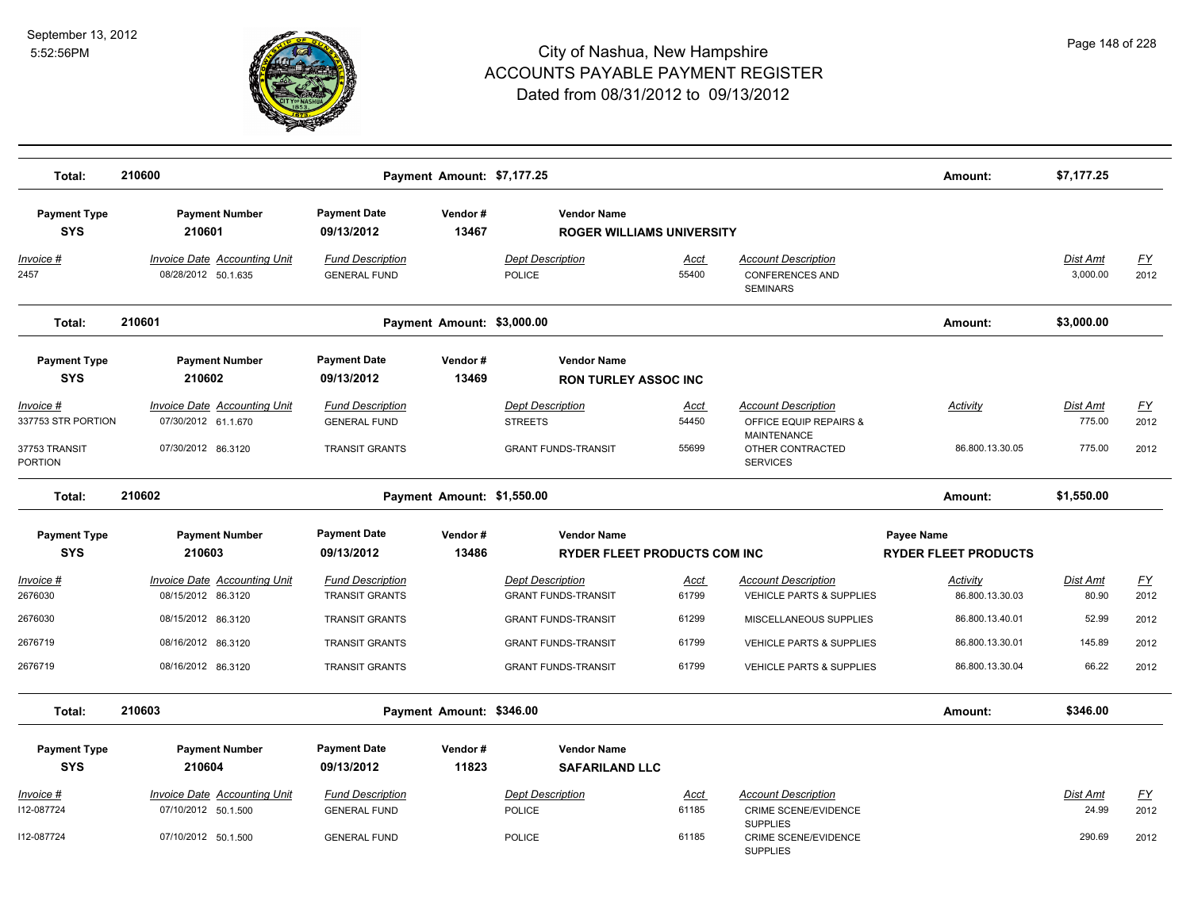

| Total:                                  | 210600                                                     |                                                  | Payment Amount: \$7,177.25 |                                                           |                      |                                                                         | Amount:                                   | \$7,177.25                  |                          |
|-----------------------------------------|------------------------------------------------------------|--------------------------------------------------|----------------------------|-----------------------------------------------------------|----------------------|-------------------------------------------------------------------------|-------------------------------------------|-----------------------------|--------------------------|
| <b>Payment Type</b><br><b>SYS</b>       | <b>Payment Number</b><br>210601                            | <b>Payment Date</b><br>09/13/2012                | Vendor#<br>13467           | <b>Vendor Name</b><br><b>ROGER WILLIAMS UNIVERSITY</b>    |                      |                                                                         |                                           |                             |                          |
| Invoice #<br>2457                       | <b>Invoice Date Accounting Unit</b><br>08/28/2012 50.1.635 | <b>Fund Description</b><br><b>GENERAL FUND</b>   |                            | <b>Dept Description</b><br>POLICE                         | <u>Acct</u><br>55400 | <b>Account Description</b><br><b>CONFERENCES AND</b><br><b>SEMINARS</b> |                                           | <b>Dist Amt</b><br>3.000.00 | $\underline{FY}$<br>2012 |
| Total:                                  | 210601                                                     |                                                  | Payment Amount: \$3,000.00 |                                                           |                      |                                                                         | Amount:                                   | \$3,000.00                  |                          |
| <b>Payment Type</b><br><b>SYS</b>       | <b>Payment Number</b><br>210602                            | <b>Payment Date</b><br>09/13/2012                | Vendor#<br>13469           | <b>Vendor Name</b><br><b>RON TURLEY ASSOC INC</b>         |                      |                                                                         |                                           |                             |                          |
| <u> Invoice #</u><br>337753 STR PORTION | <b>Invoice Date Accounting Unit</b><br>07/30/2012 61.1.670 | <b>Fund Description</b><br><b>GENERAL FUND</b>   |                            | <b>Dept Description</b><br><b>STREETS</b>                 | <u>Acct</u><br>54450 | <b>Account Description</b><br>OFFICE EQUIP REPAIRS &<br>MAINTENANCE     | <b>Activity</b>                           | <b>Dist Amt</b><br>775.00   | EY<br>2012               |
| 37753 TRANSIT<br>PORTION                | 07/30/2012 86.3120                                         | <b>TRANSIT GRANTS</b>                            |                            | <b>GRANT FUNDS-TRANSIT</b>                                | 55699                | OTHER CONTRACTED<br><b>SERVICES</b>                                     | 86.800.13.30.05                           | 775.00                      | 2012                     |
| Total:                                  | 210602                                                     |                                                  | Payment Amount: \$1,550.00 |                                                           |                      |                                                                         | Amount:                                   | \$1,550.00                  |                          |
| <b>Payment Type</b><br><b>SYS</b>       | <b>Payment Number</b><br>210603                            | <b>Payment Date</b><br>09/13/2012                | Vendor#<br>13486           | <b>Vendor Name</b><br><b>RYDER FLEET PRODUCTS COM INC</b> |                      |                                                                         | Payee Name<br><b>RYDER FLEET PRODUCTS</b> |                             |                          |
| <u> Invoice #</u><br>2676030            | <b>Invoice Date Accounting Unit</b><br>08/15/2012 86.3120  | <b>Fund Description</b><br><b>TRANSIT GRANTS</b> |                            | <b>Dept Description</b><br><b>GRANT FUNDS-TRANSIT</b>     | <u>Acct</u><br>61799 | <b>Account Description</b><br><b>VEHICLE PARTS &amp; SUPPLIES</b>       | Activity<br>86.800.13.30.03               | Dist Amt<br>80.90           | <u>FY</u><br>2012        |
| 2676030                                 | 08/15/2012 86.3120                                         | <b>TRANSIT GRANTS</b>                            |                            | <b>GRANT FUNDS-TRANSIT</b>                                | 61299                | MISCELLANEOUS SUPPLIES                                                  | 86.800.13.40.01                           | 52.99                       | 2012                     |
| 2676719                                 | 08/16/2012 86.3120                                         | <b>TRANSIT GRANTS</b>                            |                            | <b>GRANT FUNDS-TRANSIT</b>                                | 61799                | <b>VEHICLE PARTS &amp; SUPPLIES</b>                                     | 86.800.13.30.01                           | 145.89                      | 2012                     |
| 2676719                                 | 08/16/2012 86.3120                                         | <b>TRANSIT GRANTS</b>                            |                            | <b>GRANT FUNDS-TRANSIT</b>                                | 61799                | <b>VEHICLE PARTS &amp; SUPPLIES</b>                                     | 86.800.13.30.04                           | 66.22                       | 2012                     |
| Total:                                  | 210603                                                     |                                                  | Payment Amount: \$346.00   |                                                           |                      |                                                                         | Amount:                                   | \$346.00                    |                          |
| <b>Payment Type</b><br><b>SYS</b>       | <b>Payment Number</b><br>210604                            | <b>Payment Date</b><br>09/13/2012                | Vendor#<br>11823           | <b>Vendor Name</b><br><b>SAFARILAND LLC</b>               |                      |                                                                         |                                           |                             |                          |
| <u> Invoice #</u>                       | <b>Invoice Date Accounting Unit</b>                        | <b>Fund Description</b>                          |                            | <b>Dept Description</b>                                   | <u>Acct</u>          | <b>Account Description</b>                                              |                                           | Dist Amt                    | $\underline{FY}$         |
| 112-087724                              | 07/10/2012 50.1.500                                        | <b>GENERAL FUND</b>                              |                            | <b>POLICE</b>                                             | 61185                | CRIME SCENE/EVIDENCE<br><b>SUPPLIES</b>                                 |                                           | 24.99                       | 2012                     |
| 112-087724                              | 07/10/2012 50.1.500                                        | <b>GENERAL FUND</b>                              |                            | <b>POLICE</b>                                             | 61185                | <b>CRIME SCENE/EVIDENCE</b><br><b>SUPPLIES</b>                          |                                           | 290.69                      | 2012                     |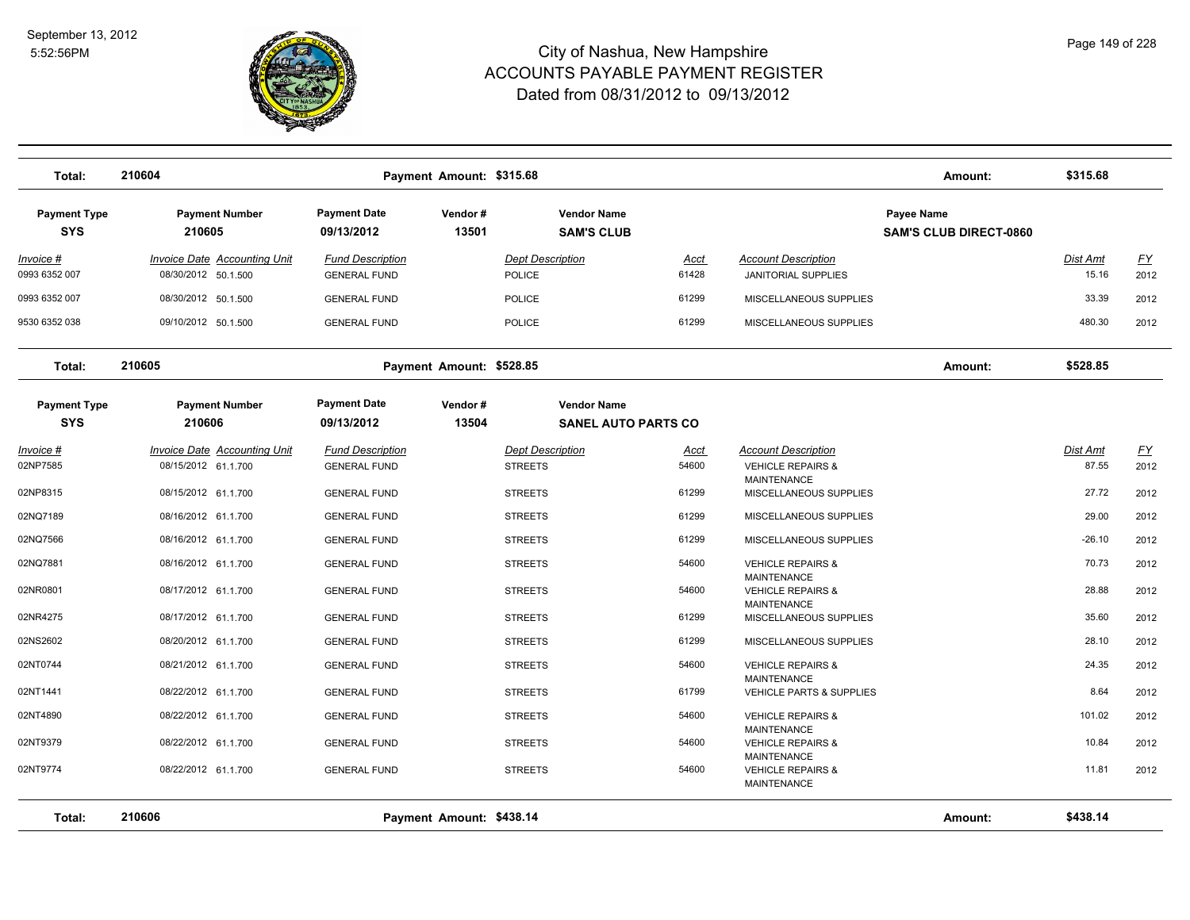

| Total:                            | 210604                                                     |                                                | Payment Amount: \$315.68 |                                                  |                      |                                                                          | Amount:                                     | \$315.68                 |                   |
|-----------------------------------|------------------------------------------------------------|------------------------------------------------|--------------------------|--------------------------------------------------|----------------------|--------------------------------------------------------------------------|---------------------------------------------|--------------------------|-------------------|
| <b>Payment Type</b><br><b>SYS</b> | <b>Payment Number</b><br>210605                            | <b>Payment Date</b><br>09/13/2012              | Vendor#<br>13501         | <b>Vendor Name</b><br><b>SAM'S CLUB</b>          |                      |                                                                          | Payee Name<br><b>SAM'S CLUB DIRECT-0860</b> |                          |                   |
| Invoice #<br>0993 6352 007        | Invoice Date Accounting Unit<br>08/30/2012 50.1.500        | <b>Fund Description</b><br><b>GENERAL FUND</b> |                          | <b>Dept Description</b><br><b>POLICE</b>         | Acct<br>61428        | <b>Account Description</b><br><b>JANITORIAL SUPPLIES</b>                 |                                             | <b>Dist Amt</b><br>15.16 | EY<br>2012        |
| 0993 6352 007                     | 08/30/2012 50.1.500                                        | <b>GENERAL FUND</b>                            |                          | <b>POLICE</b>                                    | 61299                | MISCELLANEOUS SUPPLIES                                                   |                                             | 33.39                    | 2012              |
| 9530 6352 038                     | 09/10/2012 50.1.500                                        | <b>GENERAL FUND</b>                            |                          | <b>POLICE</b>                                    | 61299                | MISCELLANEOUS SUPPLIES                                                   |                                             | 480.30                   | 2012              |
| Total:                            | 210605                                                     | Payment Amount: \$528.85                       | Amount:                  | \$528.85                                         |                      |                                                                          |                                             |                          |                   |
| <b>Payment Type</b><br><b>SYS</b> | <b>Payment Number</b><br>210606                            | <b>Payment Date</b><br>09/13/2012              | Vendor#<br>13504         | <b>Vendor Name</b><br><b>SANEL AUTO PARTS CO</b> |                      |                                                                          |                                             |                          |                   |
| Invoice #<br>02NP7585             | <b>Invoice Date Accounting Unit</b><br>08/15/2012 61.1.700 | <b>Fund Description</b><br><b>GENERAL FUND</b> |                          | <b>Dept Description</b><br><b>STREETS</b>        | <u>Acct</u><br>54600 | <b>Account Description</b><br><b>VEHICLE REPAIRS &amp;</b>               |                                             | Dist Amt<br>87.55        | <u>FY</u><br>2012 |
| 02NP8315                          | 08/15/2012 61.1.700                                        | <b>GENERAL FUND</b>                            |                          | <b>STREETS</b>                                   | 61299                | <b>MAINTENANCE</b><br>MISCELLANEOUS SUPPLIES                             |                                             | 27.72                    | 2012              |
| 02NQ7189                          | 08/16/2012 61.1.700                                        | <b>GENERAL FUND</b>                            |                          | <b>STREETS</b>                                   | 61299                | MISCELLANEOUS SUPPLIES                                                   |                                             | 29.00                    | 2012              |
| 02NQ7566                          | 08/16/2012 61.1.700                                        | <b>GENERAL FUND</b>                            |                          | <b>STREETS</b>                                   | 61299                | MISCELLANEOUS SUPPLIES                                                   |                                             | $-26.10$                 | 2012              |
| 02NQ7881                          | 08/16/2012 61.1.700                                        | <b>GENERAL FUND</b>                            |                          | <b>STREETS</b>                                   | 54600                | <b>VEHICLE REPAIRS &amp;</b><br><b>MAINTENANCE</b>                       |                                             | 70.73                    | 2012              |
| 02NR0801                          | 08/17/2012 61.1.700                                        | <b>GENERAL FUND</b>                            |                          | <b>STREETS</b>                                   | 54600                | <b>VEHICLE REPAIRS &amp;</b><br><b>MAINTENANCE</b>                       |                                             | 28.88                    | 2012              |
| 02NR4275                          | 08/17/2012 61.1.700                                        | <b>GENERAL FUND</b>                            |                          | <b>STREETS</b>                                   | 61299                | MISCELLANEOUS SUPPLIES                                                   |                                             | 35.60                    | 2012              |
| 02NS2602                          | 08/20/2012 61.1.700                                        | <b>GENERAL FUND</b>                            |                          | <b>STREETS</b>                                   | 61299                | MISCELLANEOUS SUPPLIES                                                   |                                             | 28.10                    | 2012              |
| 02NT0744                          | 08/21/2012 61.1.700                                        | <b>GENERAL FUND</b>                            |                          | <b>STREETS</b>                                   | 54600                | <b>VEHICLE REPAIRS &amp;</b>                                             |                                             | 24.35                    | 2012              |
| 02NT1441                          | 08/22/2012 61.1.700                                        | <b>GENERAL FUND</b>                            |                          | <b>STREETS</b>                                   | 61799                | <b>MAINTENANCE</b><br>VEHICLE PARTS & SUPPLIES                           |                                             | 8.64                     | 2012              |
| 02NT4890                          | 08/22/2012 61.1.700                                        | <b>GENERAL FUND</b>                            |                          | <b>STREETS</b>                                   | 54600                | <b>VEHICLE REPAIRS &amp;</b>                                             |                                             | 101.02                   | 2012              |
| 02NT9379                          | 08/22/2012 61.1.700                                        | <b>GENERAL FUND</b>                            |                          | <b>STREETS</b>                                   | 54600                | <b>MAINTENANCE</b><br><b>VEHICLE REPAIRS &amp;</b>                       |                                             | 10.84                    | 2012              |
| 02NT9774                          | 08/22/2012 61.1.700                                        | <b>GENERAL FUND</b>                            |                          | <b>STREETS</b>                                   | 54600                | <b>MAINTENANCE</b><br><b>VEHICLE REPAIRS &amp;</b><br><b>MAINTENANCE</b> |                                             | 11.81                    | 2012              |
| Total:                            | 210606                                                     |                                                | Payment Amount: \$438.14 |                                                  |                      |                                                                          | Amount:                                     | \$438.14                 |                   |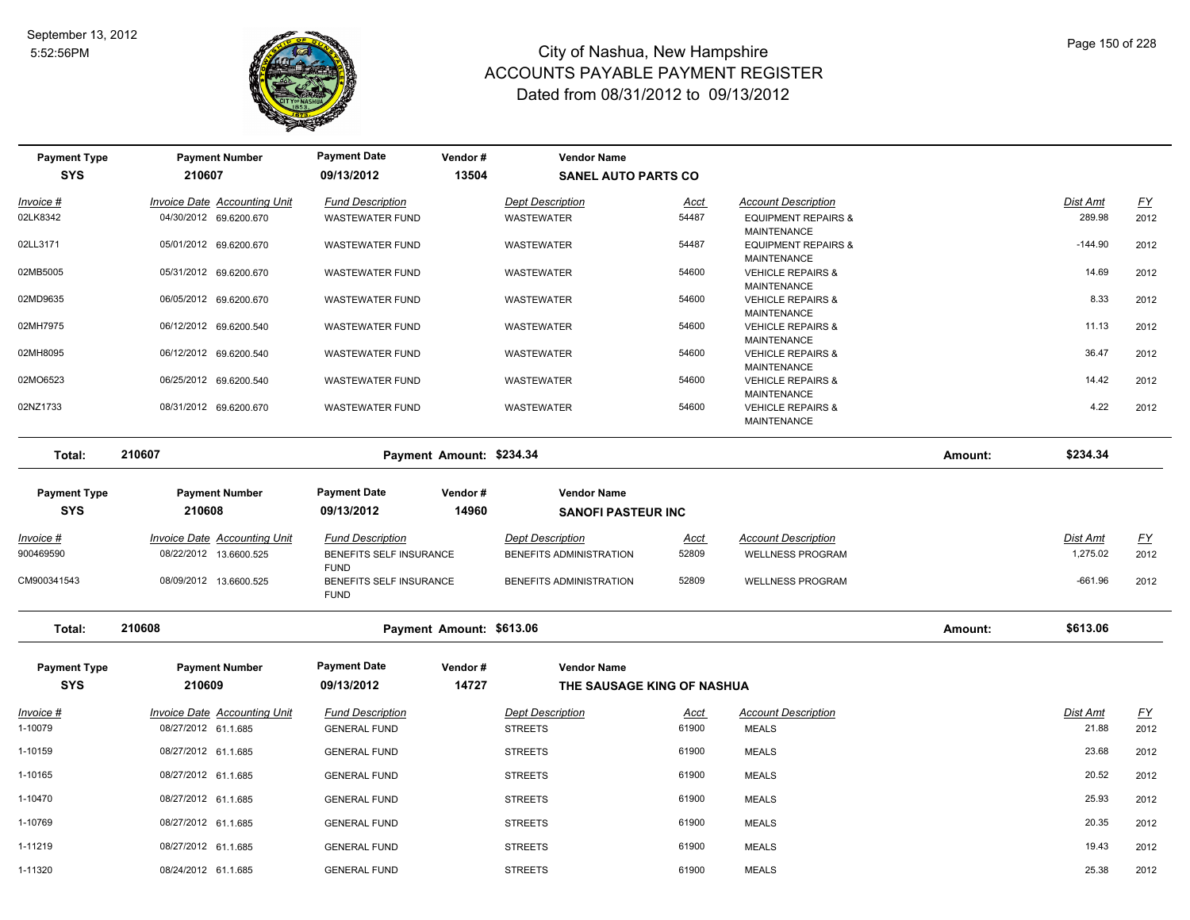

| <b>Payment Type</b>               | <b>Payment Number</b>                                         | <b>Payment Date</b>                                               | Vendor#                  | <b>Vendor Name</b>                                 |                      |                                                       |         |                      |                   |
|-----------------------------------|---------------------------------------------------------------|-------------------------------------------------------------------|--------------------------|----------------------------------------------------|----------------------|-------------------------------------------------------|---------|----------------------|-------------------|
| <b>SYS</b>                        | 210607                                                        | 09/13/2012                                                        | 13504                    | <b>SANEL AUTO PARTS CO</b>                         |                      |                                                       |         |                      |                   |
| Invoice #                         | <b>Invoice Date Accounting Unit</b>                           | <b>Fund Description</b>                                           |                          | <b>Dept Description</b>                            | <u>Acct</u>          | <b>Account Description</b>                            |         | Dist Amt             | $\underline{FY}$  |
| 02LK8342                          | 04/30/2012 69.6200.670                                        | WASTEWATER FUND                                                   |                          | <b>WASTEWATER</b>                                  | 54487                | <b>EQUIPMENT REPAIRS &amp;</b><br><b>MAINTENANCE</b>  |         | 289.98               | 2012              |
| 02LL3171                          | 05/01/2012 69.6200.670                                        | <b>WASTEWATER FUND</b>                                            |                          | <b>WASTEWATER</b>                                  | 54487                | <b>EQUIPMENT REPAIRS &amp;</b><br>MAINTENANCE         |         | $-144.90$            | 2012              |
| 02MB5005                          | 05/31/2012 69.6200.670                                        | <b>WASTEWATER FUND</b>                                            |                          | <b>WASTEWATER</b>                                  | 54600                | <b>VEHICLE REPAIRS &amp;</b><br><b>MAINTENANCE</b>    |         | 14.69                | 2012              |
| 02MD9635                          | 06/05/2012 69.6200.670                                        | <b>WASTEWATER FUND</b>                                            |                          | WASTEWATER                                         | 54600                | <b>VEHICLE REPAIRS &amp;</b><br>MAINTENANCE           |         | 8.33                 | 2012              |
| 02MH7975                          | 06/12/2012 69.6200.540                                        | <b>WASTEWATER FUND</b>                                            |                          | <b>WASTEWATER</b>                                  | 54600                | <b>VEHICLE REPAIRS &amp;</b><br>MAINTENANCE           |         | 11.13                | 2012              |
| 02MH8095                          | 06/12/2012 69.6200.540                                        | <b>WASTEWATER FUND</b>                                            |                          | <b>WASTEWATER</b>                                  | 54600                | <b>VEHICLE REPAIRS &amp;</b><br>MAINTENANCE           |         | 36.47                | 2012              |
| 02MO6523                          | 06/25/2012 69.6200.540                                        | <b>WASTEWATER FUND</b>                                            |                          | <b>WASTEWATER</b>                                  | 54600                | <b>VEHICLE REPAIRS &amp;</b><br><b>MAINTENANCE</b>    |         | 14.42                | 2012              |
| 02NZ1733                          | 08/31/2012 69.6200.670                                        | <b>WASTEWATER FUND</b>                                            |                          | WASTEWATER                                         | 54600                | <b>VEHICLE REPAIRS &amp;</b><br>MAINTENANCE           |         | 4.22                 | 2012              |
| Total:                            | 210607                                                        |                                                                   | Payment Amount: \$234.34 |                                                    |                      |                                                       | Amount: | \$234.34             |                   |
| <b>Payment Type</b><br><b>SYS</b> | <b>Payment Number</b><br>210608                               | <b>Payment Date</b><br>09/13/2012                                 | Vendor#<br>14960         | <b>Vendor Name</b><br><b>SANOFI PASTEUR INC</b>    |                      |                                                       |         |                      |                   |
| <u> Invoice #</u><br>900469590    | <b>Invoice Date Accounting Unit</b><br>08/22/2012 13.6600.525 | <b>Fund Description</b><br>BENEFITS SELF INSURANCE<br><b>FUND</b> |                          | <b>Dept Description</b><br>BENEFITS ADMINISTRATION | <u>Acct</u><br>52809 | <b>Account Description</b><br><b>WELLNESS PROGRAM</b> |         | Dist Amt<br>1,275.02 | <u>FY</u><br>2012 |
| CM900341543                       | 08/09/2012 13.6600.525                                        | BENEFITS SELF INSURANCE<br><b>FUND</b>                            |                          | BENEFITS ADMINISTRATION                            | 52809                | <b>WELLNESS PROGRAM</b>                               |         | $-661.96$            | 2012              |
| Total:                            | 210608                                                        |                                                                   | Payment Amount: \$613.06 |                                                    |                      |                                                       | Amount: | \$613.06             |                   |
| <b>Payment Type</b>               | <b>Payment Number</b>                                         | <b>Payment Date</b>                                               | Vendor#                  | <b>Vendor Name</b>                                 |                      |                                                       |         |                      |                   |
| <b>SYS</b>                        | 210609                                                        | 09/13/2012                                                        | 14727                    | THE SAUSAGE KING OF NASHUA                         |                      |                                                       |         |                      |                   |
| <u>Invoice #</u><br>1-10079       | <b>Invoice Date Accounting Unit</b><br>08/27/2012 61.1.685    | <b>Fund Description</b><br><b>GENERAL FUND</b>                    |                          | <b>Dept Description</b><br><b>STREETS</b>          | <u>Acct</u><br>61900 | <b>Account Description</b><br><b>MEALS</b>            |         | Dist Amt<br>21.88    | <u>FY</u><br>2012 |
| 1-10159                           | 08/27/2012 61.1.685                                           | <b>GENERAL FUND</b>                                               |                          | <b>STREETS</b>                                     | 61900                | <b>MEALS</b>                                          |         | 23.68                | 2012              |
| 1-10165                           | 08/27/2012 61.1.685                                           | <b>GENERAL FUND</b>                                               |                          | <b>STREETS</b>                                     | 61900                | <b>MEALS</b>                                          |         | 20.52                | 2012              |
| 1-10470                           | 08/27/2012 61.1.685                                           | <b>GENERAL FUND</b>                                               |                          | <b>STREETS</b>                                     | 61900                | <b>MEALS</b>                                          |         | 25.93                | 2012              |
| 1-10769                           | 08/27/2012 61.1.685                                           | <b>GENERAL FUND</b>                                               |                          | <b>STREETS</b>                                     | 61900                | <b>MEALS</b>                                          |         | 20.35                | 2012              |
| 1-11219                           | 08/27/2012 61.1.685                                           | <b>GENERAL FUND</b>                                               |                          | <b>STREETS</b>                                     | 61900                | <b>MEALS</b>                                          |         | 19.43                | 2012              |
| 1-11320                           | 08/24/2012 61.1.685                                           | <b>GENERAL FUND</b>                                               |                          | <b>STREETS</b>                                     | 61900                | <b>MEALS</b>                                          |         | 25.38                | 2012              |
|                                   |                                                               |                                                                   |                          |                                                    |                      |                                                       |         |                      |                   |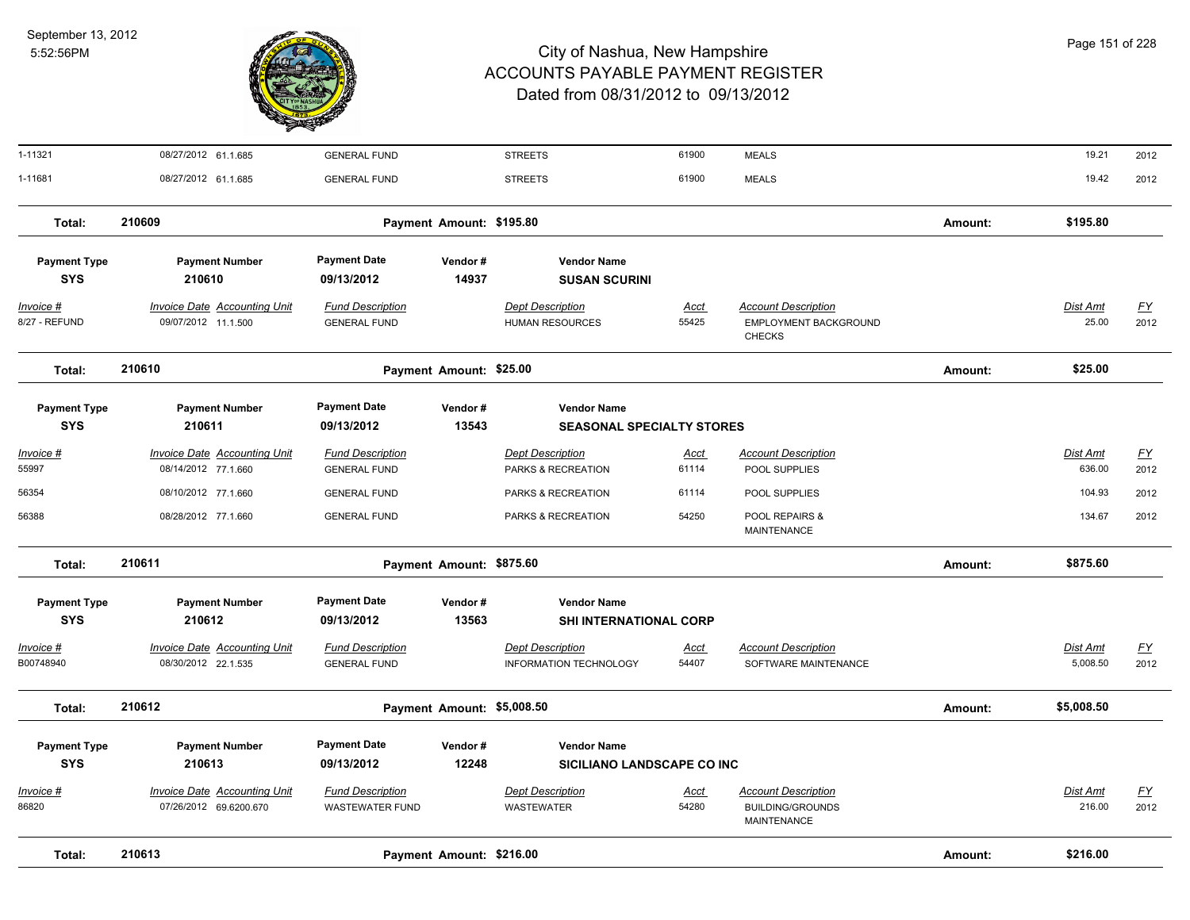

| 1-11321                           | 08/27/2012 61.1.685                                           | <b>GENERAL FUND</b>                               |                            | <b>STREETS</b>                                         | 61900                | <b>MEALS</b>                                                         |         | 19.21                       | 2012              |
|-----------------------------------|---------------------------------------------------------------|---------------------------------------------------|----------------------------|--------------------------------------------------------|----------------------|----------------------------------------------------------------------|---------|-----------------------------|-------------------|
| 1-11681                           | 08/27/2012 61.1.685                                           | <b>GENERAL FUND</b>                               |                            | <b>STREETS</b>                                         | 61900                | <b>MEALS</b>                                                         |         | 19.42                       | 2012              |
| Total:                            | 210609                                                        |                                                   | Payment Amount: \$195.80   |                                                        |                      |                                                                      | Amount: | \$195.80                    |                   |
| <b>Payment Type</b><br><b>SYS</b> | <b>Payment Number</b><br>210610                               | <b>Payment Date</b><br>09/13/2012                 | Vendor#<br>14937           | <b>Vendor Name</b><br><b>SUSAN SCURINI</b>             |                      |                                                                      |         |                             |                   |
| Invoice #<br>8/27 - REFUND        | <b>Invoice Date Accounting Unit</b><br>09/07/2012 11.1.500    | <b>Fund Description</b><br><b>GENERAL FUND</b>    |                            | <b>Dept Description</b><br><b>HUMAN RESOURCES</b>      | Acct<br>55425        | <b>Account Description</b><br>EMPLOYMENT BACKGROUND<br><b>CHECKS</b> |         | Dist Amt<br>25.00           | <u>FY</u><br>2012 |
| Total:                            | 210610                                                        |                                                   | Payment Amount: \$25.00    |                                                        |                      |                                                                      |         | \$25.00                     |                   |
| <b>Payment Type</b><br><b>SYS</b> | <b>Payment Number</b><br>210611                               | <b>Payment Date</b><br>09/13/2012                 | Vendor#<br>13543           | <b>Vendor Name</b><br><b>SEASONAL SPECIALTY STORES</b> |                      |                                                                      |         |                             |                   |
| Invoice #<br>55997                | <b>Invoice Date Accounting Unit</b><br>08/14/2012 77.1.660    | <b>Fund Description</b><br><b>GENERAL FUND</b>    |                            | <b>Dept Description</b><br>PARKS & RECREATION          | Acct<br>61114        | <b>Account Description</b><br>POOL SUPPLIES                          |         | Dist Amt<br>636.00          | <u>FY</u><br>2012 |
| 56354                             | 08/10/2012 77.1.660                                           | <b>GENERAL FUND</b>                               |                            | PARKS & RECREATION                                     | 61114                | POOL SUPPLIES                                                        |         | 104.93                      | 2012              |
| 56388                             | 08/28/2012 77.1.660                                           | <b>GENERAL FUND</b>                               |                            | PARKS & RECREATION                                     | 54250                | POOL REPAIRS &<br>MAINTENANCE                                        |         | 134.67                      | 2012              |
| Total:                            | 210611                                                        |                                                   | Payment Amount: \$875.60   |                                                        |                      |                                                                      | Amount: | \$875.60                    |                   |
| <b>Payment Type</b><br><b>SYS</b> | <b>Payment Number</b><br>210612                               | <b>Payment Date</b><br>09/13/2012                 | Vendor#<br>13563           | <b>Vendor Name</b><br><b>SHI INTERNATIONAL CORP</b>    |                      |                                                                      |         |                             |                   |
| Invoice #<br>B00748940            | <b>Invoice Date Accounting Unit</b><br>08/30/2012 22.1.535    | <b>Fund Description</b><br><b>GENERAL FUND</b>    |                            | <b>Dept Description</b><br>INFORMATION TECHNOLOGY      | Acct<br>54407        | <b>Account Description</b><br>SOFTWARE MAINTENANCE                   |         | <b>Dist Amt</b><br>5,008.50 | <u>FY</u><br>2012 |
| Total:                            | 210612                                                        |                                                   | Payment Amount: \$5,008.50 |                                                        |                      |                                                                      | Amount: | \$5,008.50                  |                   |
| <b>Payment Type</b>               | <b>Payment Number</b>                                         | <b>Payment Date</b>                               | Vendor#                    | <b>Vendor Name</b>                                     |                      |                                                                      |         |                             |                   |
| <b>SYS</b>                        | 210613                                                        | 09/13/2012                                        | 12248                      | SICILIANO LANDSCAPE CO INC                             |                      |                                                                      |         |                             |                   |
| Invoice #<br>86820                | <b>Invoice Date Accounting Unit</b><br>07/26/2012 69.6200.670 | <b>Fund Description</b><br><b>WASTEWATER FUND</b> |                            | <b>Dept Description</b><br><b>WASTEWATER</b>           | <u>Acct</u><br>54280 | <b>Account Description</b><br><b>BUILDING/GROUNDS</b><br>MAINTENANCE |         | Dist Amt<br>216.00          | <u>FY</u><br>2012 |
| Total:                            | 210613                                                        |                                                   | Payment Amount: \$216.00   |                                                        |                      |                                                                      | Amount: | \$216.00                    |                   |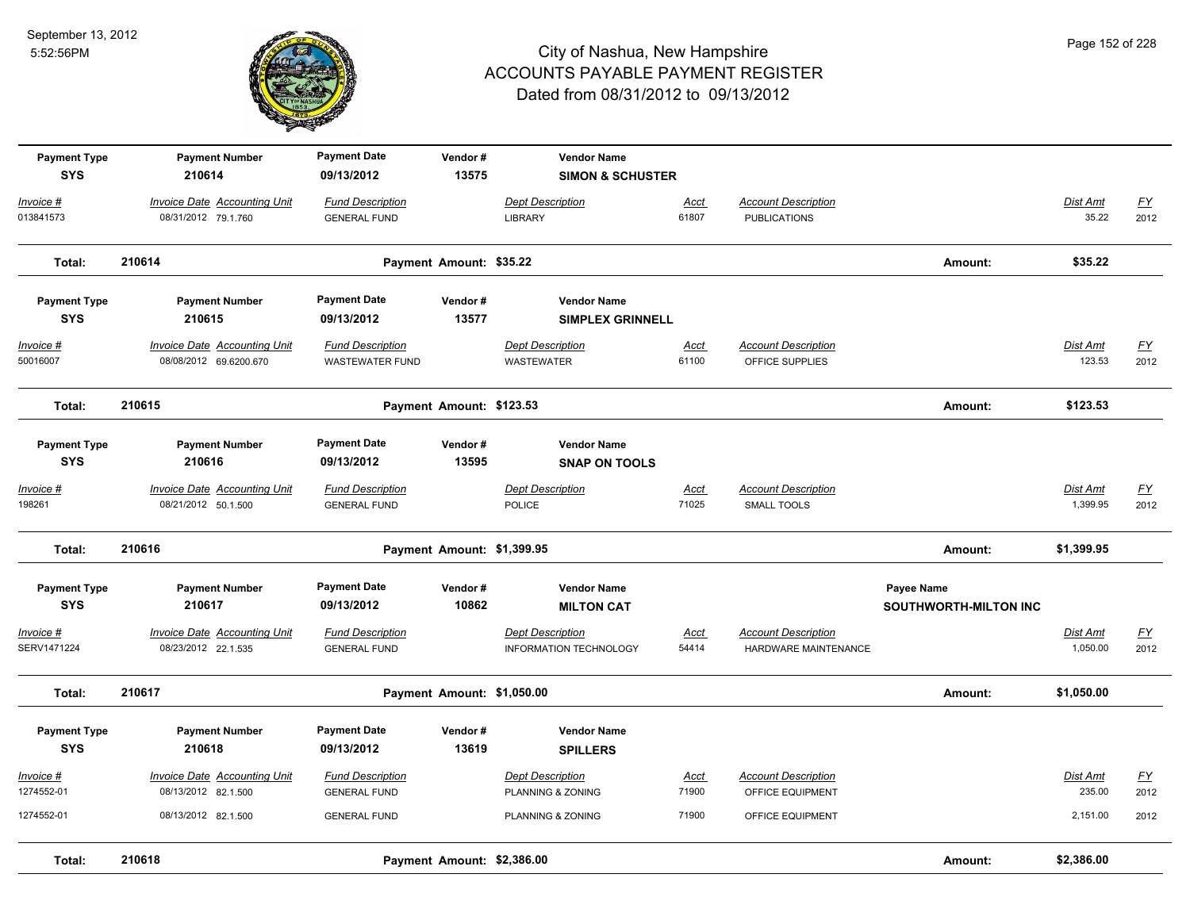

| <b>Payment Type</b>      | <b>Payment Number</b>                                         | <b>Payment Date</b>                               | Vendor#                    | <b>Vendor Name</b>                                       |                      |                                                    |                              |                             |                                   |
|--------------------------|---------------------------------------------------------------|---------------------------------------------------|----------------------------|----------------------------------------------------------|----------------------|----------------------------------------------------|------------------------------|-----------------------------|-----------------------------------|
| <b>SYS</b>               | 210614                                                        | 09/13/2012                                        | 13575                      | <b>SIMON &amp; SCHUSTER</b>                              |                      |                                                    |                              |                             |                                   |
| Invoice #                | <b>Invoice Date Accounting Unit</b>                           | <b>Fund Description</b>                           |                            | <b>Dept Description</b>                                  | <b>Acct</b>          | <b>Account Description</b>                         |                              | Dist Amt                    | $\underline{\mathsf{FY}}$         |
| 013841573                | 08/31/2012 79.1.760                                           | <b>GENERAL FUND</b>                               |                            | <b>LIBRARY</b>                                           | 61807                | <b>PUBLICATIONS</b>                                |                              | 35.22                       | 2012                              |
| Total:                   | 210614                                                        |                                                   | Payment Amount: \$35.22    |                                                          |                      |                                                    | Amount:                      | \$35.22                     |                                   |
| <b>Payment Type</b>      | <b>Payment Number</b>                                         | <b>Payment Date</b>                               | Vendor#                    | <b>Vendor Name</b>                                       |                      |                                                    |                              |                             |                                   |
| <b>SYS</b>               | 210615                                                        | 09/13/2012                                        | 13577                      | <b>SIMPLEX GRINNELL</b>                                  |                      |                                                    |                              |                             |                                   |
| Invoice #<br>50016007    | <b>Invoice Date Accounting Unit</b><br>08/08/2012 69.6200.670 | <b>Fund Description</b><br><b>WASTEWATER FUND</b> |                            | <b>Dept Description</b><br>WASTEWATER                    | <b>Acct</b><br>61100 | <b>Account Description</b><br>OFFICE SUPPLIES      |                              | Dist Amt<br>123.53          | $\underline{FY}$<br>2012          |
| Total:                   | 210615                                                        |                                                   | Payment Amount: \$123.53   |                                                          |                      |                                                    | Amount:                      | \$123.53                    |                                   |
| <b>Payment Type</b>      | <b>Payment Number</b>                                         | <b>Payment Date</b>                               | Vendor#                    | <b>Vendor Name</b>                                       |                      |                                                    |                              |                             |                                   |
| <b>SYS</b>               | 210616                                                        | 09/13/2012                                        | 13595                      | <b>SNAP ON TOOLS</b>                                     |                      |                                                    |                              |                             |                                   |
| $Invoice$ #<br>198261    | <b>Invoice Date Accounting Unit</b><br>08/21/2012 50.1.500    | <b>Fund Description</b><br><b>GENERAL FUND</b>    |                            | <b>Dept Description</b><br><b>POLICE</b>                 | <u>Acct</u><br>71025 | <b>Account Description</b><br>SMALL TOOLS          |                              | <b>Dist Amt</b><br>1,399.95 | <u>FY</u><br>2012                 |
| Total:                   | 210616                                                        |                                                   | Payment Amount: \$1,399.95 |                                                          |                      |                                                    | Amount:                      | \$1,399.95                  |                                   |
| <b>Payment Type</b>      | <b>Payment Number</b>                                         | <b>Payment Date</b>                               | Vendor#                    | <b>Vendor Name</b>                                       |                      |                                                    | Payee Name                   |                             |                                   |
| <b>SYS</b>               | 210617                                                        | 09/13/2012                                        | 10862                      | <b>MILTON CAT</b>                                        |                      |                                                    | <b>SOUTHWORTH-MILTON INC</b> |                             |                                   |
| Invoice #<br>SERV1471224 | Invoice Date Accounting Unit<br>08/23/2012 22.1.535           | <b>Fund Description</b><br><b>GENERAL FUND</b>    |                            | <b>Dept Description</b><br><b>INFORMATION TECHNOLOGY</b> | <b>Acct</b><br>54414 | <b>Account Description</b><br>HARDWARE MAINTENANCE |                              | Dist Amt<br>1,050.00        | $\underline{\mathsf{FY}}$<br>2012 |
| Total:                   | 210617                                                        |                                                   | Payment Amount: \$1,050.00 |                                                          |                      |                                                    | Amount:                      | \$1,050.00                  |                                   |
| <b>Payment Type</b>      | <b>Payment Number</b>                                         | <b>Payment Date</b>                               | Vendor#                    | <b>Vendor Name</b>                                       |                      |                                                    |                              |                             |                                   |
| <b>SYS</b>               | 210618                                                        | 09/13/2012                                        | 13619                      | <b>SPILLERS</b>                                          |                      |                                                    |                              |                             |                                   |
| Invoice #                | <b>Invoice Date Accounting Unit</b>                           | <b>Fund Description</b>                           |                            | <b>Dept Description</b>                                  | <u>Acct</u>          | <b>Account Description</b>                         |                              | Dist Amt                    | $\underline{FY}$                  |
| 1274552-01               | 08/13/2012 82.1.500                                           | <b>GENERAL FUND</b>                               |                            | PLANNING & ZONING                                        | 71900                | OFFICE EQUIPMENT                                   |                              | 235.00                      | 2012                              |
| 1274552-01               | 08/13/2012 82.1.500                                           | <b>GENERAL FUND</b>                               |                            | PLANNING & ZONING                                        | 71900                | OFFICE EQUIPMENT                                   |                              | 2,151.00                    | 2012                              |
| Total:                   | 210618                                                        |                                                   | Payment Amount: \$2,386.00 |                                                          |                      |                                                    | Amount:                      | \$2,386.00                  |                                   |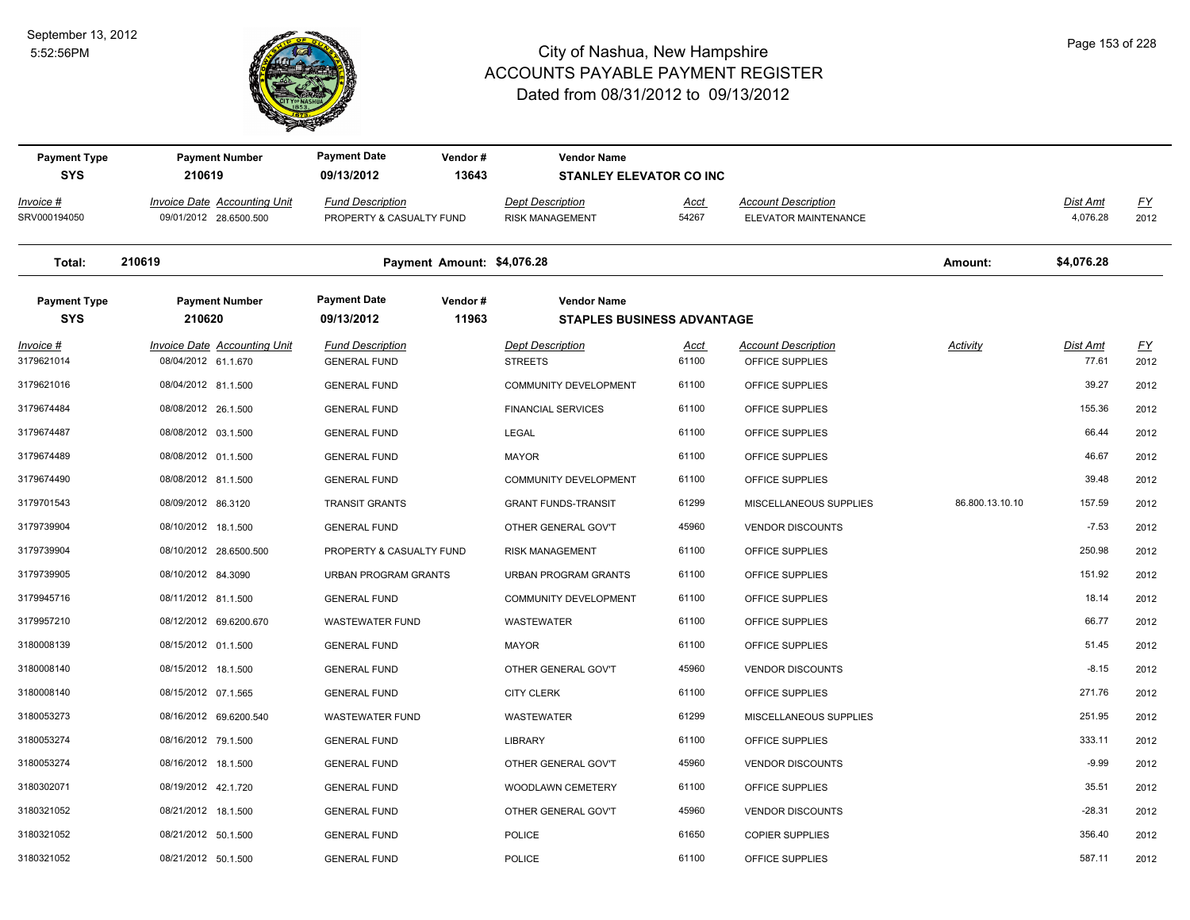

| <b>Payment Type</b>               | <b>Payment Number</b>                                         | <b>Payment Date</b><br>Vendor#                        | <b>Vendor Name</b>                                      |                      |                                                    |                 |                             |                   |
|-----------------------------------|---------------------------------------------------------------|-------------------------------------------------------|---------------------------------------------------------|----------------------|----------------------------------------------------|-----------------|-----------------------------|-------------------|
| <b>SYS</b>                        | 210619                                                        | 09/13/2012<br>13643                                   | <b>STANLEY ELEVATOR CO INC</b>                          |                      |                                                    |                 |                             |                   |
| Invoice #<br>SRV000194050         | <b>Invoice Date Accounting Unit</b><br>09/01/2012 28.6500.500 | <b>Fund Description</b><br>PROPERTY & CASUALTY FUND   | <b>Dept Description</b><br><b>RISK MANAGEMENT</b>       | <u>Acct</u><br>54267 | <b>Account Description</b><br>ELEVATOR MAINTENANCE |                 | <b>Dist Amt</b><br>4,076.28 | <u>FY</u><br>2012 |
| Total:                            | 210619                                                        | Payment Amount: \$4,076.28                            |                                                         |                      |                                                    | Amount:         | \$4,076.28                  |                   |
| <b>Payment Type</b><br><b>SYS</b> | <b>Payment Number</b><br>210620                               | <b>Payment Date</b><br>Vendor#<br>11963<br>09/13/2012 | <b>Vendor Name</b><br><b>STAPLES BUSINESS ADVANTAGE</b> |                      |                                                    |                 |                             |                   |
| Invoice #<br>3179621014           | Invoice Date Accounting Unit<br>08/04/2012 61.1.670           | <b>Fund Description</b><br><b>GENERAL FUND</b>        | <b>Dept Description</b><br><b>STREETS</b>               | Acct<br>61100        | <b>Account Description</b><br>OFFICE SUPPLIES      | Activity        | Dist Amt<br>77.61           | EY<br>2012        |
| 3179621016                        | 08/04/2012 81.1.500                                           | <b>GENERAL FUND</b>                                   | <b>COMMUNITY DEVELOPMENT</b>                            | 61100                | OFFICE SUPPLIES                                    |                 | 39.27                       | 2012              |
| 3179674484                        | 08/08/2012 26.1.500                                           | <b>GENERAL FUND</b>                                   | <b>FINANCIAL SERVICES</b>                               | 61100                | OFFICE SUPPLIES                                    |                 | 155.36                      | 2012              |
| 3179674487                        | 08/08/2012 03.1.500                                           | <b>GENERAL FUND</b>                                   | <b>LEGAL</b>                                            | 61100                | OFFICE SUPPLIES                                    |                 | 66.44                       | 2012              |
| 3179674489                        | 08/08/2012 01.1.500                                           | <b>GENERAL FUND</b>                                   | <b>MAYOR</b>                                            | 61100                | OFFICE SUPPLIES                                    |                 | 46.67                       | 2012              |
| 3179674490                        | 08/08/2012 81.1.500                                           | <b>GENERAL FUND</b>                                   | <b>COMMUNITY DEVELOPMENT</b>                            | 61100                | OFFICE SUPPLIES                                    |                 | 39.48                       | 2012              |
| 3179701543                        | 08/09/2012 86.3120                                            | <b>TRANSIT GRANTS</b>                                 | <b>GRANT FUNDS-TRANSIT</b>                              | 61299                | MISCELLANEOUS SUPPLIES                             | 86.800.13.10.10 | 157.59                      | 2012              |
| 3179739904                        | 08/10/2012 18.1.500                                           | <b>GENERAL FUND</b>                                   | OTHER GENERAL GOV'T                                     | 45960                | <b>VENDOR DISCOUNTS</b>                            |                 | $-7.53$                     | 2012              |
| 3179739904                        | 08/10/2012 28.6500.500                                        | PROPERTY & CASUALTY FUND                              | <b>RISK MANAGEMENT</b>                                  | 61100                | OFFICE SUPPLIES                                    |                 | 250.98                      | 2012              |
| 3179739905                        | 08/10/2012 84.3090                                            | <b>URBAN PROGRAM GRANTS</b>                           | <b>URBAN PROGRAM GRANTS</b>                             | 61100                | OFFICE SUPPLIES                                    |                 | 151.92                      | 2012              |
| 3179945716                        | 08/11/2012 81.1.500                                           | <b>GENERAL FUND</b>                                   | <b>COMMUNITY DEVELOPMENT</b>                            | 61100                | OFFICE SUPPLIES                                    |                 | 18.14                       | 2012              |
| 3179957210                        | 08/12/2012 69.6200.670                                        | <b>WASTEWATER FUND</b>                                | WASTEWATER                                              | 61100                | OFFICE SUPPLIES                                    |                 | 66.77                       | 2012              |
| 3180008139                        | 08/15/2012 01.1.500                                           | <b>GENERAL FUND</b>                                   | <b>MAYOR</b>                                            | 61100                | OFFICE SUPPLIES                                    |                 | 51.45                       | 2012              |
| 3180008140                        | 08/15/2012 18.1.500                                           | <b>GENERAL FUND</b>                                   | OTHER GENERAL GOV'T                                     | 45960                | <b>VENDOR DISCOUNTS</b>                            |                 | $-8.15$                     | 2012              |
| 3180008140                        | 08/15/2012 07.1.565                                           | <b>GENERAL FUND</b>                                   | <b>CITY CLERK</b>                                       | 61100                | OFFICE SUPPLIES                                    |                 | 271.76                      | 2012              |
| 3180053273                        | 08/16/2012 69.6200.540                                        | <b>WASTEWATER FUND</b>                                | WASTEWATER                                              | 61299                | MISCELLANEOUS SUPPLIES                             |                 | 251.95                      | 2012              |
| 3180053274                        | 08/16/2012 79.1.500                                           | <b>GENERAL FUND</b>                                   | LIBRARY                                                 | 61100                | OFFICE SUPPLIES                                    |                 | 333.11                      | 2012              |
| 3180053274                        | 08/16/2012 18.1.500                                           | <b>GENERAL FUND</b>                                   | OTHER GENERAL GOV'T                                     | 45960                | <b>VENDOR DISCOUNTS</b>                            |                 | $-9.99$                     | 2012              |
| 3180302071                        | 08/19/2012 42.1.720                                           | <b>GENERAL FUND</b>                                   | WOODLAWN CEMETERY                                       | 61100                | OFFICE SUPPLIES                                    |                 | 35.51                       | 2012              |
| 3180321052                        | 08/21/2012 18.1.500                                           | <b>GENERAL FUND</b>                                   | OTHER GENERAL GOV'T                                     | 45960                | <b>VENDOR DISCOUNTS</b>                            |                 | $-28.31$                    | 2012              |
| 3180321052                        | 08/21/2012 50.1.500                                           | <b>GENERAL FUND</b>                                   | <b>POLICE</b>                                           | 61650                | <b>COPIER SUPPLIES</b>                             |                 | 356.40                      | 2012              |
| 3180321052                        | 08/21/2012 50.1.500                                           | <b>GENERAL FUND</b>                                   | <b>POLICE</b>                                           | 61100                | OFFICE SUPPLIES                                    |                 | 587.11                      | 2012              |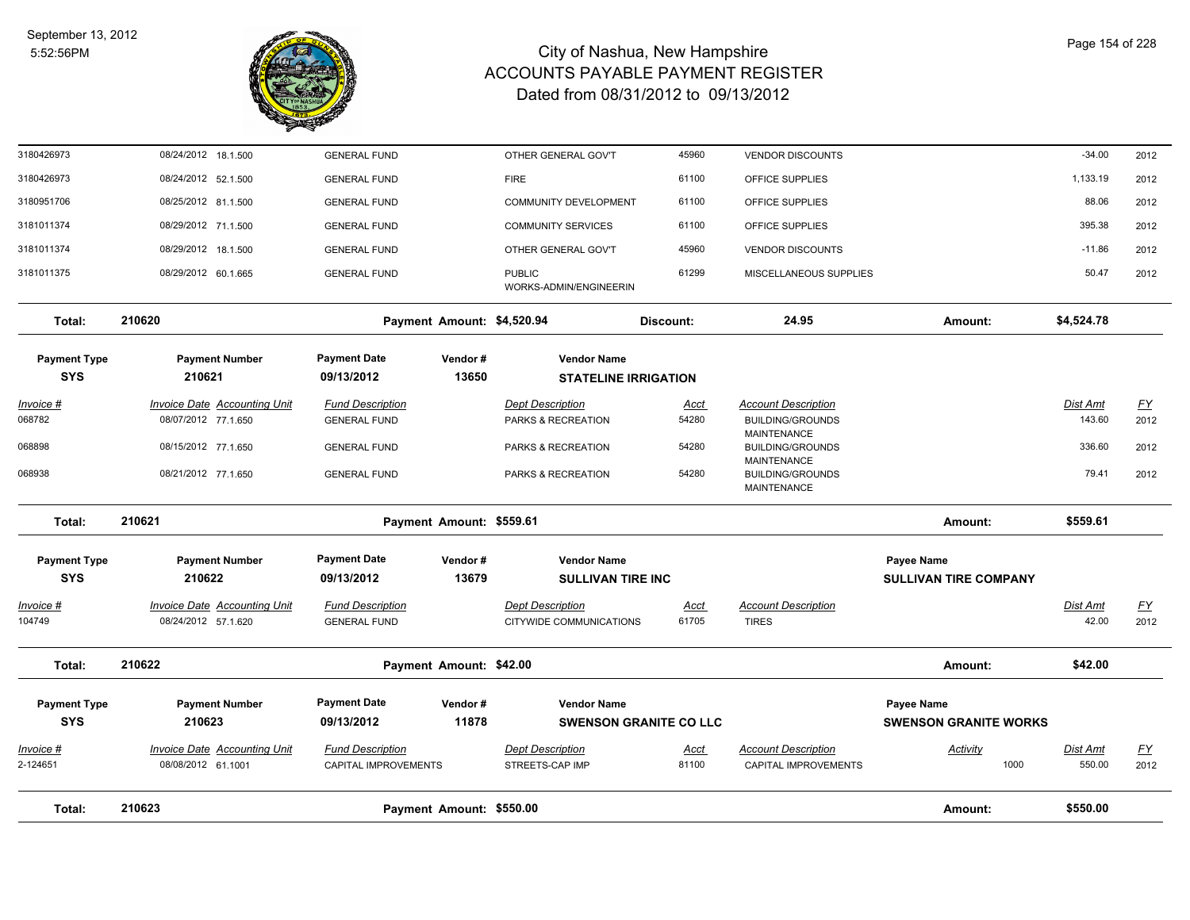

| Total:                            | 210623                                                     | Payment Amount: \$550.00                        |                  |                                                    |                               |                                                    | Amount:                                           | \$550.00           |                   |
|-----------------------------------|------------------------------------------------------------|-------------------------------------------------|------------------|----------------------------------------------------|-------------------------------|----------------------------------------------------|---------------------------------------------------|--------------------|-------------------|
| Invoice #<br>2-124651             | Invoice Date Accounting Unit<br>08/08/2012 61.1001         | <b>Fund Description</b><br>CAPITAL IMPROVEMENTS |                  | <b>Dept Description</b><br>STREETS-CAP IMP         | Acct<br>81100                 | <b>Account Description</b><br>CAPITAL IMPROVEMENTS | Activity<br>1000                                  | Dist Amt<br>550.00 | <u>FY</u><br>2012 |
| <b>Payment Type</b><br><b>SYS</b> | <b>Payment Number</b><br>210623                            | <b>Payment Date</b><br>09/13/2012               | Vendor#<br>11878 | <b>Vendor Name</b>                                 | <b>SWENSON GRANITE CO LLC</b> |                                                    | <b>Payee Name</b><br><b>SWENSON GRANITE WORKS</b> |                    |                   |
| Total:                            | 210622                                                     | Payment Amount: \$42.00                         |                  |                                                    |                               |                                                    | Amount:                                           | \$42.00            |                   |
| <u>Invoice #</u><br>104749        | <b>Invoice Date Accounting Unit</b><br>08/24/2012 57.1.620 | <b>Fund Description</b><br><b>GENERAL FUND</b>  |                  | <b>Dept Description</b><br>CITYWIDE COMMUNICATIONS | <u>Acct</u><br>61705          | <b>Account Description</b><br><b>TIRES</b>         |                                                   | Dist Amt<br>42.00  | <u>FY</u><br>2012 |
| <b>SYS</b>                        | 210622                                                     | 09/13/2012                                      | 13679            | <b>SULLIVAN TIRE INC</b>                           |                               |                                                    | <b>SULLIVAN TIRE COMPANY</b>                      |                    |                   |
| <b>Payment Type</b>               | <b>Payment Number</b>                                      | <b>Payment Date</b>                             | Vendor#          | <b>Vendor Name</b>                                 |                               |                                                    | <b>Payee Name</b>                                 |                    |                   |
| Total:                            | 210621                                                     | Payment Amount: \$559.61                        |                  |                                                    |                               |                                                    | Amount:                                           | \$559.61           |                   |
| 068938                            | 08/21/2012 77.1.650                                        | <b>GENERAL FUND</b>                             |                  | PARKS & RECREATION                                 | 54280                         | <b>BUILDING/GROUNDS</b><br><b>MAINTENANCE</b>      |                                                   | 79.41              | 2012              |
| 068898                            | 08/15/2012 77.1.650                                        | <b>GENERAL FUND</b>                             |                  | PARKS & RECREATION                                 | 54280                         | <b>BUILDING/GROUNDS</b><br><b>MAINTENANCE</b>      |                                                   | 336.60             | 2012              |
| 068782                            | 08/07/2012 77.1.650                                        | <b>GENERAL FUND</b>                             |                  | PARKS & RECREATION                                 | 54280                         | <b>BUILDING/GROUNDS</b><br><b>MAINTENANCE</b>      |                                                   | 143.60             | 2012              |
| Invoice #                         | <b>Invoice Date Accounting Unit</b>                        | <b>Fund Description</b>                         |                  | <b>Dept Description</b>                            | Acct                          | <b>Account Description</b>                         |                                                   | Dist Amt           | <u>FY</u>         |
| <b>Payment Type</b><br><b>SYS</b> | <b>Payment Number</b><br>210621                            | 09/13/2012                                      | Vendor#<br>13650 | <b>STATELINE IRRIGATION</b>                        |                               |                                                    |                                                   |                    |                   |
|                                   |                                                            | <b>Payment Date</b>                             |                  | <b>Vendor Name</b>                                 |                               |                                                    |                                                   |                    |                   |
| Total:                            | 210620                                                     | Payment Amount: \$4,520.94                      |                  |                                                    | Discount:                     | 24.95                                              | Amount:                                           | \$4,524.78         |                   |
| 3181011375                        | 08/29/2012 60.1.665                                        | <b>GENERAL FUND</b>                             |                  | <b>PUBLIC</b><br>WORKS-ADMIN/ENGINEERIN            | 61299                         | MISCELLANEOUS SUPPLIES                             |                                                   | 50.47              | 2012              |
| 3181011374                        | 08/29/2012 18.1.500                                        | <b>GENERAL FUND</b>                             |                  | OTHER GENERAL GOV'T                                | 45960                         | <b>VENDOR DISCOUNTS</b>                            |                                                   | $-11.86$           | 2012              |
| 3181011374                        | 08/29/2012 71.1.500                                        | <b>GENERAL FUND</b>                             |                  | <b>COMMUNITY SERVICES</b>                          | 61100                         | OFFICE SUPPLIES                                    |                                                   | 395.38             | 2012              |
| 3180951706                        | 08/25/2012 81.1.500                                        | <b>GENERAL FUND</b>                             |                  | <b>COMMUNITY DEVELOPMENT</b>                       | 61100                         | OFFICE SUPPLIES                                    |                                                   | 88.06              | 2012              |
| 3180426973                        | 08/24/2012 52.1.500                                        | <b>GENERAL FUND</b>                             |                  | <b>FIRE</b>                                        | 61100                         | OFFICE SUPPLIES                                    |                                                   | 1,133.19           | 2012              |
| 3180426973                        | 08/24/2012 18.1.500                                        | <b>GENERAL FUND</b>                             |                  | OTHER GENERAL GOV'T                                | 45960                         | <b>VENDOR DISCOUNTS</b>                            |                                                   | $-34.00$           | 2012              |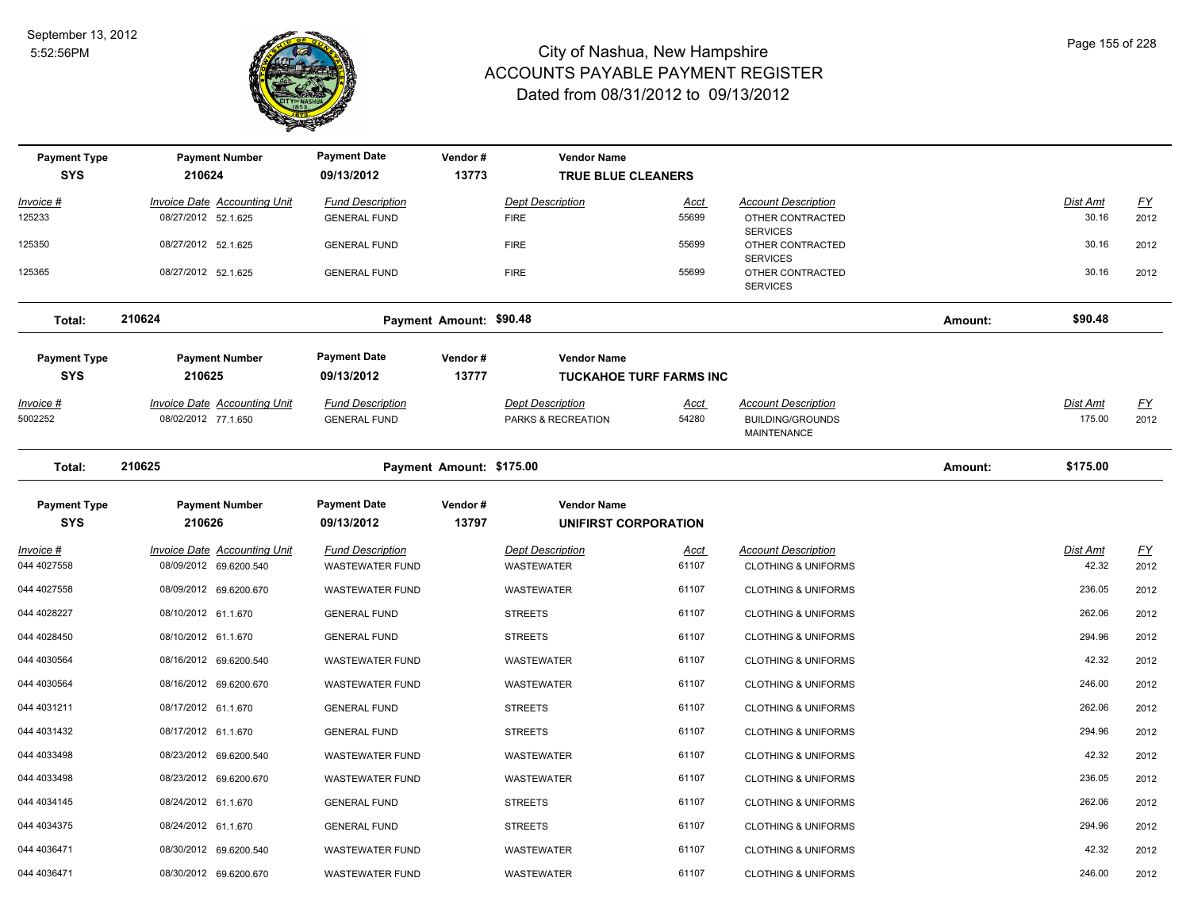

| <b>Payment Type</b>              | <b>Payment Number</b>                                         | <b>Payment Date</b>                               | Vendor#                  | <b>Vendor Name</b>                            |                      |                                                                             |         |                           |                          |
|----------------------------------|---------------------------------------------------------------|---------------------------------------------------|--------------------------|-----------------------------------------------|----------------------|-----------------------------------------------------------------------------|---------|---------------------------|--------------------------|
| <b>SYS</b>                       | 210624                                                        | 09/13/2012                                        | 13773                    | <b>TRUE BLUE CLEANERS</b>                     |                      |                                                                             |         |                           |                          |
| <u> Invoice #</u>                | <b>Invoice Date Accounting Unit</b>                           | <b>Fund Description</b>                           |                          | <b>Dept Description</b>                       | <u>Acct</u>          | <b>Account Description</b>                                                  |         | Dist Amt                  | EY                       |
| 125233                           | 08/27/2012 52.1.625                                           | <b>GENERAL FUND</b>                               |                          | <b>FIRE</b>                                   | 55699                | OTHER CONTRACTED<br><b>SERVICES</b>                                         |         | 30.16                     | 2012                     |
| 125350                           | 08/27/2012 52.1.625                                           | <b>GENERAL FUND</b>                               |                          | <b>FIRE</b>                                   | 55699                | OTHER CONTRACTED                                                            |         | 30.16                     | 2012                     |
| 125365                           | 08/27/2012 52.1.625                                           | <b>GENERAL FUND</b>                               |                          | <b>FIRE</b>                                   | 55699                | <b>SERVICES</b><br>OTHER CONTRACTED<br><b>SERVICES</b>                      |         | 30.16                     | 2012                     |
| Total:                           | 210624                                                        |                                                   | Payment Amount: \$90.48  |                                               |                      |                                                                             | Amount: | \$90.48                   |                          |
| <b>Payment Type</b>              | <b>Payment Number</b>                                         | <b>Payment Date</b>                               | Vendor#                  | <b>Vendor Name</b>                            |                      |                                                                             |         |                           |                          |
| <b>SYS</b>                       | 210625                                                        | 09/13/2012                                        | 13777                    | <b>TUCKAHOE TURF FARMS INC</b>                |                      |                                                                             |         |                           |                          |
| Invoice #<br>5002252             | <b>Invoice Date Accounting Unit</b><br>08/02/2012 77.1.650    | <b>Fund Description</b><br><b>GENERAL FUND</b>    |                          | <b>Dept Description</b><br>PARKS & RECREATION | <u>Acct</u><br>54280 | <b>Account Description</b><br><b>BUILDING/GROUNDS</b><br><b>MAINTENANCE</b> |         | <b>Dist Amt</b><br>175.00 | $\underline{FY}$<br>2012 |
| Total:                           | 210625                                                        |                                                   | Payment Amount: \$175.00 |                                               |                      |                                                                             | Amount: | \$175.00                  |                          |
| <b>Payment Type</b>              | <b>Payment Number</b>                                         | <b>Payment Date</b>                               | Vendor#                  | <b>Vendor Name</b>                            |                      |                                                                             |         |                           |                          |
| <b>SYS</b>                       | 210626                                                        | 09/13/2012                                        | 13797                    | UNIFIRST CORPORATION                          |                      |                                                                             |         |                           |                          |
| <u> Invoice #</u><br>044 4027558 | <b>Invoice Date Accounting Unit</b><br>08/09/2012 69.6200.540 | <b>Fund Description</b><br><b>WASTEWATER FUND</b> |                          | <b>Dept Description</b><br><b>WASTEWATER</b>  | <u>Acct</u><br>61107 | <b>Account Description</b><br><b>CLOTHING &amp; UNIFORMS</b>                |         | <b>Dist Amt</b><br>42.32  | <u>FY</u><br>2012        |
| 044 4027558                      | 08/09/2012 69.6200.670                                        | <b>WASTEWATER FUND</b>                            |                          | <b>WASTEWATER</b>                             | 61107                | <b>CLOTHING &amp; UNIFORMS</b>                                              |         | 236.05                    | 2012                     |
| 044 4028227                      | 08/10/2012 61.1.670                                           | <b>GENERAL FUND</b>                               |                          | <b>STREETS</b>                                | 61107                | <b>CLOTHING &amp; UNIFORMS</b>                                              |         | 262.06                    | 2012                     |
| 044 4028450                      | 08/10/2012 61.1.670                                           | <b>GENERAL FUND</b>                               |                          | <b>STREETS</b>                                | 61107                | <b>CLOTHING &amp; UNIFORMS</b>                                              |         | 294.96                    | 2012                     |
| 044 4030564                      | 08/16/2012 69.6200.540                                        | <b>WASTEWATER FUND</b>                            |                          | <b>WASTEWATER</b>                             | 61107                | <b>CLOTHING &amp; UNIFORMS</b>                                              |         | 42.32                     | 2012                     |
| 044 4030564                      | 08/16/2012 69.6200.670                                        | <b>WASTEWATER FUND</b>                            |                          | <b>WASTEWATER</b>                             | 61107                | <b>CLOTHING &amp; UNIFORMS</b>                                              |         | 246.00                    | 2012                     |
| 044 4031211                      | 08/17/2012 61.1.670                                           | <b>GENERAL FUND</b>                               |                          | <b>STREETS</b>                                | 61107                | <b>CLOTHING &amp; UNIFORMS</b>                                              |         | 262.06                    | 2012                     |
| 044 4031432                      | 08/17/2012 61.1.670                                           | <b>GENERAL FUND</b>                               |                          | <b>STREETS</b>                                | 61107                | <b>CLOTHING &amp; UNIFORMS</b>                                              |         | 294.96                    | 2012                     |
| 044 4033498                      | 08/23/2012 69.6200.540                                        | <b>WASTEWATER FUND</b>                            |                          | WASTEWATER                                    | 61107                | <b>CLOTHING &amp; UNIFORMS</b>                                              |         | 42.32                     | 2012                     |
| 044 4033498                      | 08/23/2012 69.6200.670                                        | <b>WASTEWATER FUND</b>                            |                          | WASTEWATER                                    | 61107                | <b>CLOTHING &amp; UNIFORMS</b>                                              |         | 236.05                    | 2012                     |
| 044 4034145                      | 08/24/2012 61.1.670                                           | <b>GENERAL FUND</b>                               |                          | <b>STREETS</b>                                | 61107                | <b>CLOTHING &amp; UNIFORMS</b>                                              |         | 262.06                    | 2012                     |
| 044 4034375                      | 08/24/2012 61.1.670                                           | <b>GENERAL FUND</b>                               |                          | <b>STREETS</b>                                | 61107                | <b>CLOTHING &amp; UNIFORMS</b>                                              |         | 294.96                    | 2012                     |
| 044 4036471                      | 08/30/2012 69.6200.540                                        | <b>WASTEWATER FUND</b>                            |                          | <b>WASTEWATER</b>                             | 61107                | <b>CLOTHING &amp; UNIFORMS</b>                                              |         | 42.32                     | 2012                     |
| 044 4036471                      | 08/30/2012 69.6200.670                                        | <b>WASTEWATER FUND</b>                            |                          | WASTEWATER                                    | 61107                | <b>CLOTHING &amp; UNIFORMS</b>                                              |         | 246.00                    | 2012                     |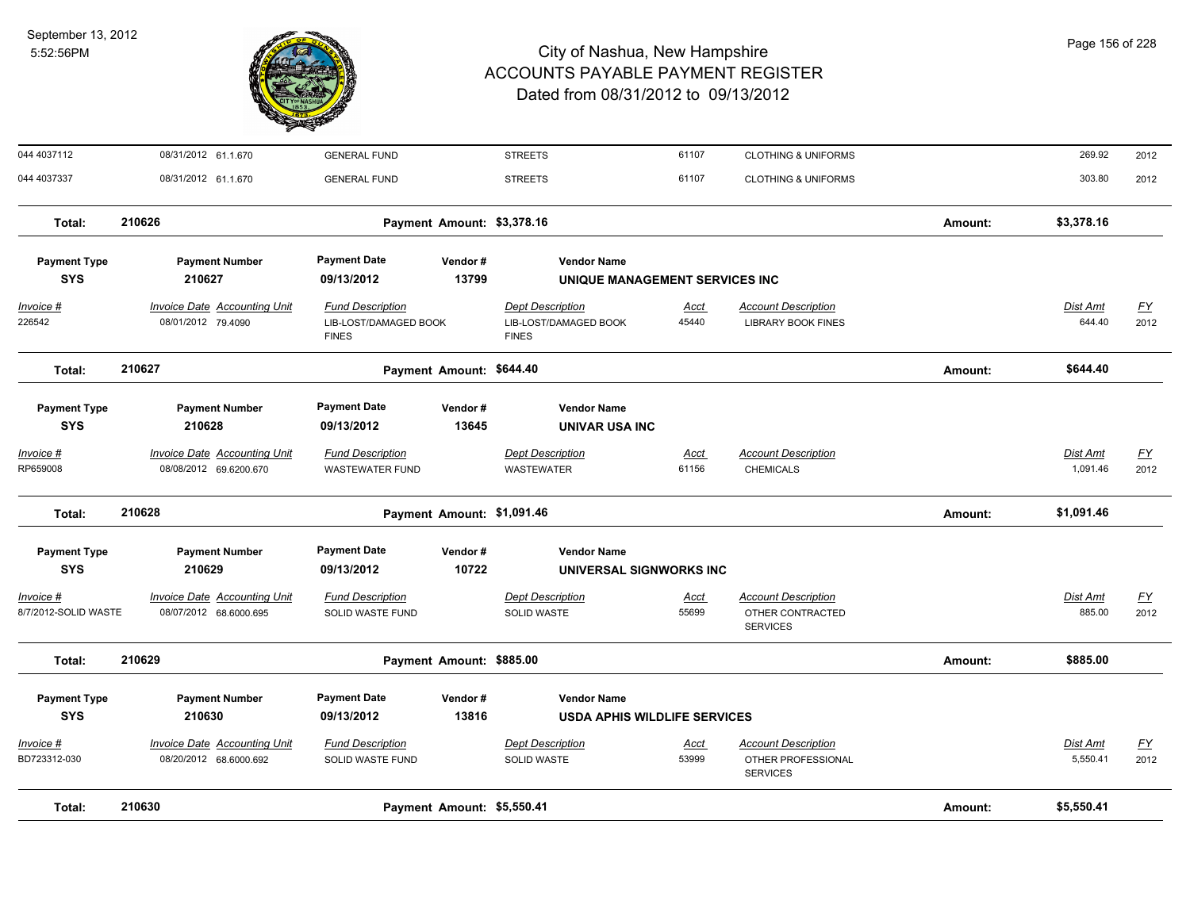

| Total:                            | 210630                                                        |                                                   | Payment Amount: \$5,550.41 |                                               |                      |                                                                     | Amount: | \$5,550.41           |                          |
|-----------------------------------|---------------------------------------------------------------|---------------------------------------------------|----------------------------|-----------------------------------------------|----------------------|---------------------------------------------------------------------|---------|----------------------|--------------------------|
| Invoice #<br>BD723312-030         | Invoice Date Accounting Unit<br>08/20/2012 68.6000.692        | <b>Fund Description</b><br>SOLID WASTE FUND       |                            | <b>Dept Description</b><br><b>SOLID WASTE</b> | Acct<br>53999        | <b>Account Description</b><br>OTHER PROFESSIONAL<br><b>SERVICES</b> |         | Dist Amt<br>5,550.41 | <u>FY</u><br>2012        |
| <b>SYS</b>                        | 210630                                                        | 09/13/2012                                        | 13816                      | <b>USDA APHIS WILDLIFE SERVICES</b>           |                      |                                                                     |         |                      |                          |
| <b>Payment Type</b>               | <b>Payment Number</b>                                         | <b>Payment Date</b>                               | Vendor#                    | <b>Vendor Name</b>                            |                      |                                                                     |         |                      |                          |
| Total:                            | 210629                                                        |                                                   | Payment Amount: \$885.00   |                                               |                      |                                                                     | Amount: | \$885.00             |                          |
| Invoice #<br>8/7/2012-SOLID WASTE | <b>Invoice Date Accounting Unit</b><br>08/07/2012 68.6000.695 | <b>Fund Description</b><br>SOLID WASTE FUND       |                            | <b>Dept Description</b><br><b>SOLID WASTE</b> | <u>Acct</u><br>55699 | <b>Account Description</b><br>OTHER CONTRACTED<br><b>SERVICES</b>   |         | Dist Amt<br>885.00   | $\underline{FY}$<br>2012 |
| <b>Payment Type</b><br><b>SYS</b> | <b>Payment Number</b><br>210629                               | <b>Payment Date</b><br>09/13/2012                 | Vendor#<br>10722           | <b>Vendor Name</b><br>UNIVERSAL SIGNWORKS INC |                      |                                                                     |         |                      |                          |
| Total:                            |                                                               |                                                   |                            |                                               |                      |                                                                     | Amount: |                      |                          |
|                                   | 210628                                                        |                                                   | Payment Amount: \$1,091.46 |                                               |                      |                                                                     |         | \$1,091.46           |                          |
| <u> Invoice #</u><br>RP659008     | <b>Invoice Date Accounting Unit</b><br>08/08/2012 69.6200.670 | <b>Fund Description</b><br><b>WASTEWATER FUND</b> |                            | <b>Dept Description</b><br><b>WASTEWATER</b>  | <b>Acct</b><br>61156 | <b>Account Description</b><br><b>CHEMICALS</b>                      |         | Dist Amt<br>1,091.46 | <u>FY</u><br>2012        |
| <b>SYS</b>                        | 210628                                                        | 09/13/2012                                        | 13645                      | UNIVAR USA INC                                |                      |                                                                     |         |                      |                          |
| <b>Payment Type</b>               | <b>Payment Number</b>                                         | <b>Payment Date</b>                               | Vendor#                    | <b>Vendor Name</b>                            |                      |                                                                     |         |                      |                          |
| Total:                            | 210627                                                        |                                                   | Payment Amount: \$644.40   |                                               |                      |                                                                     | Amount: | \$644.40             |                          |
| 226542                            | 08/01/2012 79.4090                                            | LIB-LOST/DAMAGED BOOK<br><b>FINES</b>             |                            | LIB-LOST/DAMAGED BOOK<br><b>FINES</b>         | 45440                | <b>LIBRARY BOOK FINES</b>                                           |         | 644.40               | 2012                     |
| Invoice #                         | <b>Invoice Date Accounting Unit</b>                           | <b>Fund Description</b>                           |                            | <b>Dept Description</b>                       | <u>Acct</u>          | <b>Account Description</b>                                          |         | Dist Amt             | <u>FY</u>                |
| <b>SYS</b>                        | 210627                                                        | 09/13/2012                                        | 13799                      | UNIQUE MANAGEMENT SERVICES INC                |                      |                                                                     |         |                      |                          |
| <b>Payment Type</b>               | <b>Payment Number</b>                                         | <b>Payment Date</b>                               | Vendor#                    | <b>Vendor Name</b>                            |                      |                                                                     |         |                      |                          |
| Total:                            | 210626                                                        |                                                   | Payment Amount: \$3,378.16 |                                               |                      |                                                                     | Amount: | \$3,378.16           |                          |
| 044 4037337                       | 08/31/2012 61.1.670                                           | <b>GENERAL FUND</b>                               |                            | <b>STREETS</b>                                | 61107                | <b>CLOTHING &amp; UNIFORMS</b>                                      |         | 303.80               | 2012                     |
| 044 4037112                       | 08/31/2012 61.1.670                                           | <b>GENERAL FUND</b>                               |                            | <b>STREETS</b>                                | 61107                | <b>CLOTHING &amp; UNIFORMS</b>                                      |         | 269.92               | 2012                     |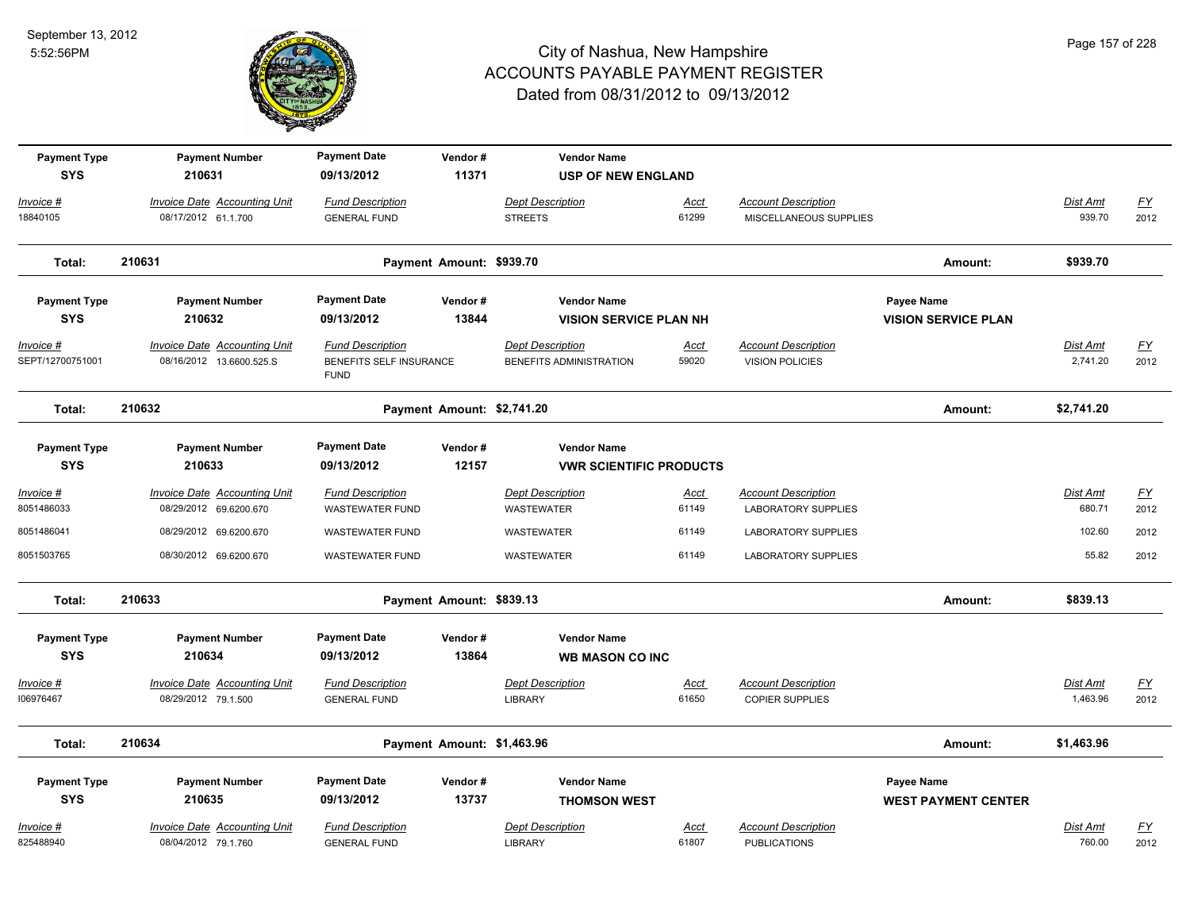

| <b>Payment Type</b><br><b>SYS</b> | <b>Payment Number</b><br>210631                                 | <b>Payment Date</b><br>09/13/2012                                 | Vendor#<br>11371           | <b>Vendor Name</b><br><b>USP OF NEW ENGLAND</b>      |                      |                                                          |                                                 |                           |                          |
|-----------------------------------|-----------------------------------------------------------------|-------------------------------------------------------------------|----------------------------|------------------------------------------------------|----------------------|----------------------------------------------------------|-------------------------------------------------|---------------------------|--------------------------|
| Invoice #<br>18840105             | <b>Invoice Date Accounting Unit</b><br>08/17/2012 61.1.700      | <b>Fund Description</b><br><b>GENERAL FUND</b>                    |                            | <b>Dept Description</b><br><b>STREETS</b>            | Acct<br>61299        | <b>Account Description</b><br>MISCELLANEOUS SUPPLIES     |                                                 | Dist Amt<br>939.70        | $\underline{FY}$<br>2012 |
| Total:                            | 210631                                                          |                                                                   | Payment Amount: \$939.70   |                                                      |                      |                                                          | Amount:                                         | \$939.70                  |                          |
| <b>Payment Type</b><br><b>SYS</b> | <b>Payment Number</b><br>210632                                 | <b>Payment Date</b><br>09/13/2012                                 | Vendor#<br>13844           | <b>Vendor Name</b><br><b>VISION SERVICE PLAN NH</b>  |                      |                                                          | Payee Name<br><b>VISION SERVICE PLAN</b>        |                           |                          |
| Invoice #<br>SEPT/12700751001     | <b>Invoice Date Accounting Unit</b><br>08/16/2012 13.6600.525.S | <b>Fund Description</b><br>BENEFITS SELF INSURANCE<br><b>FUND</b> |                            | <b>Dept Description</b><br>BENEFITS ADMINISTRATION   | <u>Acct</u><br>59020 | <b>Account Description</b><br>VISION POLICIES            |                                                 | Dist Amt<br>2,741.20      | <u>FY</u><br>2012        |
| Total:                            | 210632                                                          |                                                                   | Payment Amount: \$2,741.20 |                                                      |                      |                                                          | Amount:                                         | \$2,741.20                |                          |
| <b>Payment Type</b><br><b>SYS</b> | <b>Payment Number</b><br>210633                                 | <b>Payment Date</b><br>09/13/2012                                 | Vendor#<br>12157           | <b>Vendor Name</b><br><b>VWR SCIENTIFIC PRODUCTS</b> |                      |                                                          |                                                 |                           |                          |
| $Invoice$ #<br>8051486033         | <b>Invoice Date Accounting Unit</b><br>08/29/2012 69.6200.670   | <b>Fund Description</b><br><b>WASTEWATER FUND</b>                 |                            | <b>Dept Description</b><br>WASTEWATER                | Acct<br>61149        | <b>Account Description</b><br><b>LABORATORY SUPPLIES</b> |                                                 | <b>Dist Amt</b><br>680.71 | <u>FY</u><br>2012        |
| 8051486041                        | 08/29/2012 69.6200.670                                          | <b>WASTEWATER FUND</b>                                            |                            | WASTEWATER                                           | 61149                | LABORATORY SUPPLIES                                      |                                                 | 102.60                    | 2012                     |
| 8051503765                        | 08/30/2012 69.6200.670                                          | <b>WASTEWATER FUND</b>                                            |                            | WASTEWATER                                           | 61149                | <b>LABORATORY SUPPLIES</b>                               |                                                 | 55.82                     | 2012                     |
| Total:                            | 210633                                                          |                                                                   | Payment Amount: \$839.13   |                                                      |                      |                                                          | Amount:                                         | \$839.13                  |                          |
| <b>Payment Type</b><br><b>SYS</b> | <b>Payment Number</b><br>210634                                 | <b>Payment Date</b><br>09/13/2012                                 | Vendor#<br>13864           | <b>Vendor Name</b><br><b>WB MASON CO INC</b>         |                      |                                                          |                                                 |                           |                          |
| <b>Invoice #</b><br>106976467     | <b>Invoice Date Accounting Unit</b><br>08/29/2012 79.1.500      | <b>Fund Description</b><br><b>GENERAL FUND</b>                    |                            | <b>Dept Description</b><br><b>LIBRARY</b>            | Acct<br>61650        | <b>Account Description</b><br><b>COPIER SUPPLIES</b>     |                                                 | Dist Amt<br>1,463.96      | $\underline{FY}$<br>2012 |
| Total:                            | 210634                                                          |                                                                   | Payment Amount: \$1,463.96 |                                                      |                      |                                                          | Amount:                                         | \$1,463.96                |                          |
| <b>Payment Type</b><br><b>SYS</b> | <b>Payment Number</b><br>210635                                 | <b>Payment Date</b><br>09/13/2012                                 | Vendor#<br>13737           | <b>Vendor Name</b><br><b>THOMSON WEST</b>            |                      |                                                          | <b>Payee Name</b><br><b>WEST PAYMENT CENTER</b> |                           |                          |
| Invoice #<br>825488940            | Invoice Date Accounting Unit<br>08/04/2012 79.1.760             | <b>Fund Description</b><br><b>GENERAL FUND</b>                    |                            | <b>Dept Description</b><br><b>LIBRARY</b>            | Acct<br>61807        | <b>Account Description</b><br><b>PUBLICATIONS</b>        |                                                 | Dist Amt<br>760.00        | EY<br>2012               |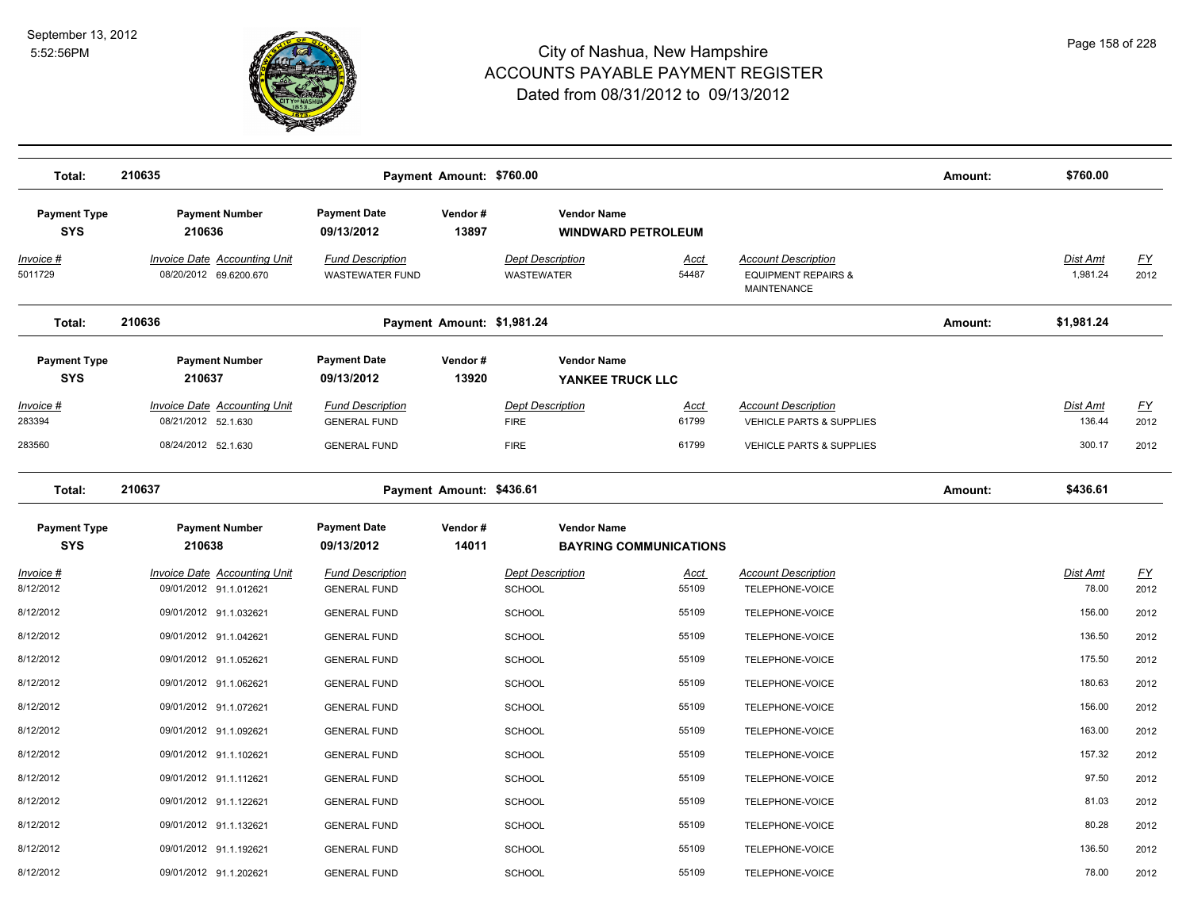

| Total:                            | 210635                                                     |                                                   | Payment Amount: \$760.00   |                                                 |                               |                                                                             | Amount: | \$760.00             |                   |
|-----------------------------------|------------------------------------------------------------|---------------------------------------------------|----------------------------|-------------------------------------------------|-------------------------------|-----------------------------------------------------------------------------|---------|----------------------|-------------------|
| <b>Payment Type</b><br><b>SYS</b> | <b>Payment Number</b><br>210636                            | <b>Payment Date</b><br>09/13/2012                 | Vendor#<br>13897           | <b>Vendor Name</b><br><b>WINDWARD PETROLEUM</b> |                               |                                                                             |         |                      |                   |
| Invoice #<br>5011729              | Invoice Date Accounting Unit<br>08/20/2012 69.6200.670     | <b>Fund Description</b><br><b>WASTEWATER FUND</b> |                            | <b>Dept Description</b><br>WASTEWATER           | Acct<br>54487                 | <b>Account Description</b><br><b>EQUIPMENT REPAIRS &amp;</b><br>MAINTENANCE |         | Dist Amt<br>1,981.24 | <u>FY</u><br>2012 |
| Total:                            | 210636                                                     |                                                   | Payment Amount: \$1,981.24 |                                                 |                               |                                                                             | Amount: | \$1,981.24           |                   |
| <b>Payment Type</b><br><b>SYS</b> | <b>Payment Number</b><br>210637                            | <b>Payment Date</b><br>09/13/2012                 | Vendor#<br>13920           | <b>Vendor Name</b><br>YANKEE TRUCK LLC          |                               |                                                                             |         |                      |                   |
| <u>Invoice #</u><br>283394        | <b>Invoice Date Accounting Unit</b><br>08/21/2012 52.1.630 | <b>Fund Description</b><br><b>GENERAL FUND</b>    |                            | <b>Dept Description</b><br><b>FIRE</b>          | <u>Acct</u><br>61799          | <b>Account Description</b><br><b>VEHICLE PARTS &amp; SUPPLIES</b>           |         | Dist Amt<br>136.44   | <u>FY</u><br>2012 |
| 283560                            | 08/24/2012 52.1.630                                        | <b>GENERAL FUND</b>                               |                            | <b>FIRE</b>                                     | 61799                         | <b>VEHICLE PARTS &amp; SUPPLIES</b>                                         |         | 300.17               | 2012              |
| Total:                            | 210637                                                     |                                                   | Payment Amount: \$436.61   |                                                 |                               |                                                                             | Amount: | \$436.61             |                   |
| <b>Payment Type</b><br><b>SYS</b> | <b>Payment Number</b><br>210638                            | <b>Payment Date</b><br>09/13/2012                 | Vendor#<br>14011           | <b>Vendor Name</b>                              | <b>BAYRING COMMUNICATIONS</b> |                                                                             |         |                      |                   |
| <u>Invoice #</u><br>8/12/2012     | Invoice Date Accounting Unit<br>09/01/2012 91.1.012621     | <b>Fund Description</b><br><b>GENERAL FUND</b>    |                            | <b>Dept Description</b><br><b>SCHOOL</b>        | <u>Acct</u><br>55109          | <b>Account Description</b><br>TELEPHONE-VOICE                               |         | Dist Amt<br>78.00    | <u>FY</u><br>2012 |
| 8/12/2012                         | 09/01/2012 91.1.032621                                     | <b>GENERAL FUND</b>                               |                            | <b>SCHOOL</b>                                   | 55109                         | TELEPHONE-VOICE                                                             |         | 156.00               | 2012              |
| 8/12/2012                         | 09/01/2012 91.1.042621                                     | <b>GENERAL FUND</b>                               |                            | <b>SCHOOL</b>                                   | 55109                         | <b>TELEPHONE-VOICE</b>                                                      |         | 136.50               | 2012              |
| 8/12/2012                         | 09/01/2012 91.1.052621                                     | <b>GENERAL FUND</b>                               |                            | SCHOOL                                          | 55109                         | TELEPHONE-VOICE                                                             |         | 175.50               | 2012              |
| 8/12/2012                         | 09/01/2012 91.1.062621                                     | <b>GENERAL FUND</b>                               |                            | <b>SCHOOL</b>                                   | 55109                         | TELEPHONE-VOICE                                                             |         | 180.63               | 2012              |
| 8/12/2012                         | 09/01/2012 91.1.072621                                     | <b>GENERAL FUND</b>                               |                            | <b>SCHOOL</b>                                   | 55109                         | TELEPHONE-VOICE                                                             |         | 156.00               | 2012              |
| 8/12/2012                         | 09/01/2012 91.1.092621                                     | <b>GENERAL FUND</b>                               |                            | <b>SCHOOL</b>                                   | 55109                         | TELEPHONE-VOICE                                                             |         | 163.00               | 2012              |
| 8/12/2012                         | 09/01/2012 91.1.102621                                     | <b>GENERAL FUND</b>                               |                            | <b>SCHOOL</b>                                   | 55109                         | TELEPHONE-VOICE                                                             |         | 157.32               | 2012              |
| 8/12/2012                         | 09/01/2012 91.1.112621                                     | <b>GENERAL FUND</b>                               |                            | <b>SCHOOL</b>                                   | 55109                         | TELEPHONE-VOICE                                                             |         | 97.50                | 2012              |
| 8/12/2012                         | 09/01/2012 91.1.122621                                     | <b>GENERAL FUND</b>                               |                            | <b>SCHOOL</b>                                   | 55109                         | TELEPHONE-VOICE                                                             |         | 81.03                | 2012              |
| 8/12/2012                         | 09/01/2012 91.1.132621                                     | <b>GENERAL FUND</b>                               |                            | <b>SCHOOL</b>                                   | 55109                         | TELEPHONE-VOICE                                                             |         | 80.28                | 2012              |
| 8/12/2012                         | 09/01/2012 91.1.192621                                     | <b>GENERAL FUND</b>                               |                            | <b>SCHOOL</b>                                   | 55109                         | TELEPHONE-VOICE                                                             |         | 136.50               | 2012              |
| 8/12/2012                         | 09/01/2012 91.1.202621                                     | <b>GENERAL FUND</b>                               |                            | <b>SCHOOL</b>                                   | 55109                         | TELEPHONE-VOICE                                                             |         | 78.00                | 2012              |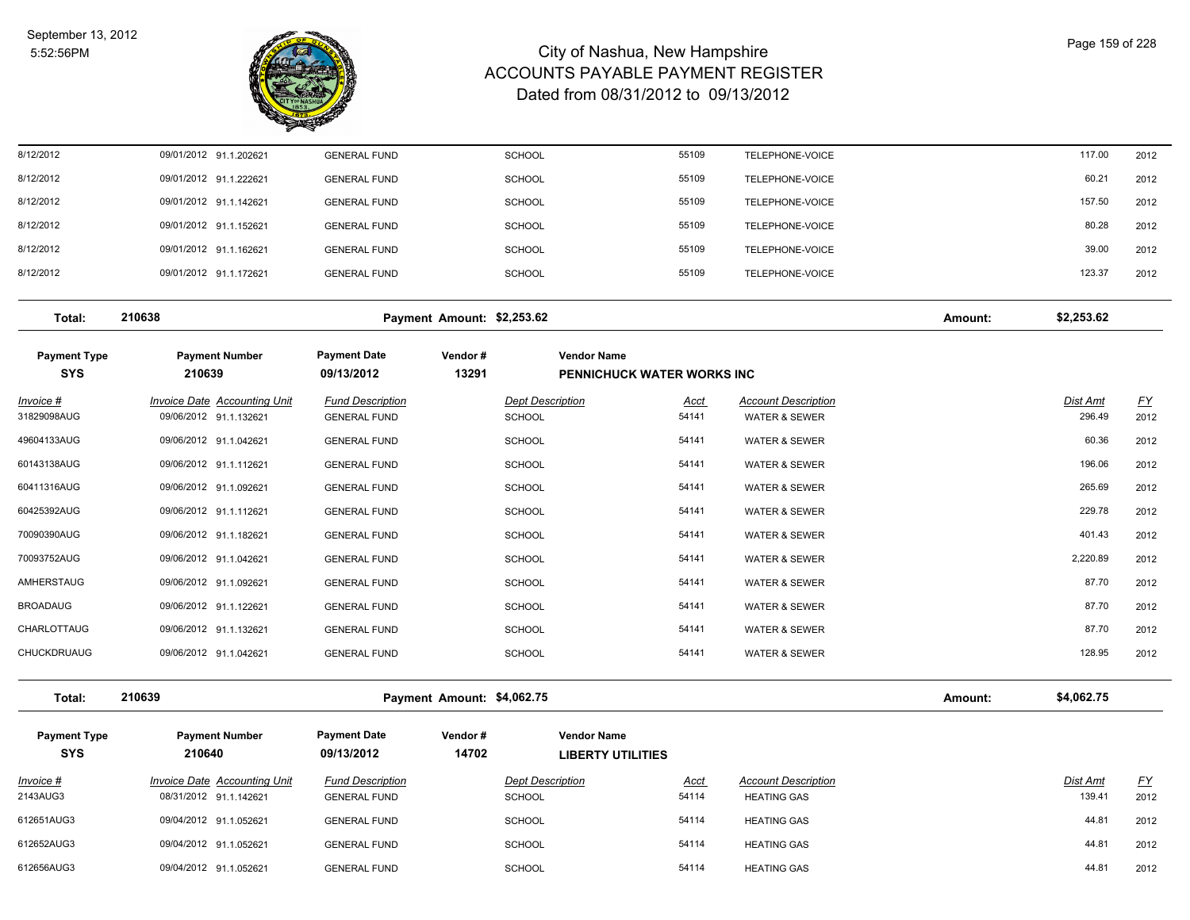

| 8/12/2012 | 09/01/2012 91.1.202621 | <b>GENERAL FUND</b> | <b>SCHOOL</b> | 55109 | TELEPHONE-VOICE | 117.00 | 2012 |
|-----------|------------------------|---------------------|---------------|-------|-----------------|--------|------|
| 8/12/2012 | 09/01/2012 91.1.222621 | <b>GENERAL FUND</b> | <b>SCHOOL</b> | 55109 | TELEPHONE-VOICE | 60.21  | 2012 |
| 8/12/2012 | 09/01/2012 91.1.142621 | <b>GENERAL FUND</b> | <b>SCHOOL</b> | 55109 | TELEPHONE-VOICE | 157.50 | 2012 |
| 8/12/2012 | 09/01/2012 91.1.152621 | <b>GENERAL FUND</b> | <b>SCHOOL</b> | 55109 | TELEPHONE-VOICE | 80.28  | 2012 |
| 8/12/2012 | 09/01/2012 91.1.162621 | <b>GENERAL FUND</b> | <b>SCHOOL</b> | 55109 | TELEPHONE-VOICE | 39.00  | 2012 |
| 8/12/2012 | 09/01/2012 91.1.172621 | <b>GENERAL FUND</b> | <b>SCHOOL</b> | 55109 | TELEPHONE-VOICE | 123.37 | 2012 |
|           |                        |                     |               |       |                 |        |      |

**Total: 210638 Payment Amount: \$2,253.62 Amount: \$2,253.62**

| <b>Payment Type</b><br><b>SYS</b> | <b>Payment Number</b><br>210639                        | <b>Payment Date</b><br>09/13/2012              | Vendor#<br>13291 | <b>Vendor Name</b>                       | <b>PENNICHUCK WATER WORKS INC</b> |                                                        |                    |                   |
|-----------------------------------|--------------------------------------------------------|------------------------------------------------|------------------|------------------------------------------|-----------------------------------|--------------------------------------------------------|--------------------|-------------------|
| Invoice #<br>31829098AUG          | Invoice Date Accounting Unit<br>09/06/2012 91.1.132621 | <b>Fund Description</b><br><b>GENERAL FUND</b> |                  | <b>Dept Description</b><br><b>SCHOOL</b> | <b>Acct</b><br>54141              | <b>Account Description</b><br><b>WATER &amp; SEWER</b> | Dist Amt<br>296.49 | <u>FY</u><br>2012 |
| 49604133AUG                       | 09/06/2012 91.1.042621                                 | <b>GENERAL FUND</b>                            |                  | <b>SCHOOL</b>                            | 54141                             | <b>WATER &amp; SEWER</b>                               | 60.36              | 2012              |
| 60143138AUG                       | 09/06/2012 91.1.112621                                 | <b>GENERAL FUND</b>                            |                  | <b>SCHOOL</b>                            | 54141                             | <b>WATER &amp; SEWER</b>                               | 196.06             | 2012              |
| 60411316AUG                       | 09/06/2012 91.1.092621                                 | <b>GENERAL FUND</b>                            |                  | <b>SCHOOL</b>                            | 54141                             | <b>WATER &amp; SEWER</b>                               | 265.69             | 2012              |
| 60425392AUG                       | 09/06/2012 91.1.112621                                 | <b>GENERAL FUND</b>                            |                  | <b>SCHOOL</b>                            | 54141                             | <b>WATER &amp; SEWER</b>                               | 229.78             | 2012              |
| 70090390AUG                       | 09/06/2012 91.1.182621                                 | <b>GENERAL FUND</b>                            |                  | <b>SCHOOL</b>                            | 54141                             | <b>WATER &amp; SEWER</b>                               | 401.43             | 2012              |
| 70093752AUG                       | 09/06/2012 91.1.042621                                 | <b>GENERAL FUND</b>                            |                  | <b>SCHOOL</b>                            | 54141                             | <b>WATER &amp; SEWER</b>                               | 2,220.89           | 2012              |
| AMHERSTAUG                        | 09/06/2012 91.1.092621                                 | <b>GENERAL FUND</b>                            |                  | <b>SCHOOL</b>                            | 54141                             | <b>WATER &amp; SEWER</b>                               | 87.70              | 2012              |
| <b>BROADAUG</b>                   | 09/06/2012 91.1.122621                                 | <b>GENERAL FUND</b>                            |                  | <b>SCHOOL</b>                            | 54141                             | <b>WATER &amp; SEWER</b>                               | 87.70              | 2012              |
| CHARLOTTAUG                       | 09/06/2012 91.1.132621                                 | <b>GENERAL FUND</b>                            |                  | <b>SCHOOL</b>                            | 54141                             | <b>WATER &amp; SEWER</b>                               | 87.70              | 2012              |
| <b>CHUCKDRUAUG</b>                | 09/06/2012 91.1.042621                                 | <b>GENERAL FUND</b>                            |                  | <b>SCHOOL</b>                            | 54141                             | <b>WATER &amp; SEWER</b>                               | 128.95             | 2012              |

**Total: 210639 Payment Amount: \$4,062.75 Amount: \$4,062.75**

| <b>Payment Type</b><br><b>SYS</b> | <b>Payment Number</b><br>210640                        | <b>Payment Date</b><br>09/13/2012              | Vendor#<br>14702 | <b>Vendor Name</b><br><b>LIBERTY UTILITIES</b> |                      |                                                  |                    |                   |
|-----------------------------------|--------------------------------------------------------|------------------------------------------------|------------------|------------------------------------------------|----------------------|--------------------------------------------------|--------------------|-------------------|
| Invoice #<br>2143AUG3             | Invoice Date Accounting Unit<br>08/31/2012 91.1.142621 | <b>Fund Description</b><br><b>GENERAL FUND</b> |                  | <b>Dept Description</b><br><b>SCHOOL</b>       | <u>Acct</u><br>54114 | <b>Account Description</b><br><b>HEATING GAS</b> | Dist Amt<br>139.41 | <u>FY</u><br>2012 |
| 612651AUG3                        | 09/04/2012 91.1.052621                                 | <b>GENERAL FUND</b>                            |                  | SCHOOL                                         | 54114                | <b>HEATING GAS</b>                               | 44.81              | 2012              |
| 612652AUG3                        | 09/04/2012 91.1.052621                                 | <b>GENERAL FUND</b>                            |                  | SCHOOL                                         | 54114                | <b>HEATING GAS</b>                               | 44.81              | 2012              |
| 612656AUG3                        | 09/04/2012 91.1.052621                                 | <b>GENERAL FUND</b>                            |                  | <b>SCHOOL</b>                                  | 54114                | <b>HEATING GAS</b>                               | 44.81              | 2012              |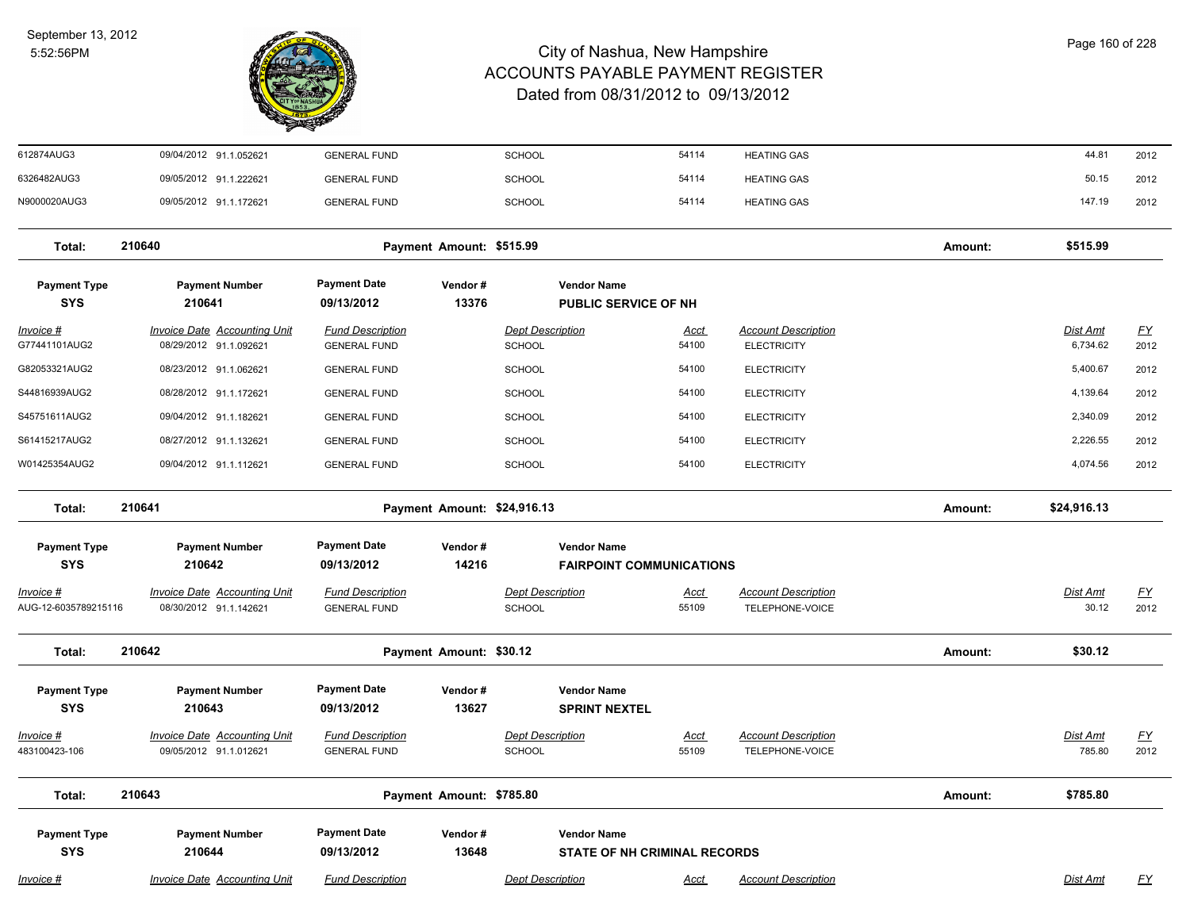

| 612874AUG3                          | 09/04/2012 91.1.052621                                        | <b>GENERAL FUND</b>                            |                             | SCHOOL                                                    | 54114                | <b>HEATING GAS</b>                               |         | 44.81                       | 2012                     |
|-------------------------------------|---------------------------------------------------------------|------------------------------------------------|-----------------------------|-----------------------------------------------------------|----------------------|--------------------------------------------------|---------|-----------------------------|--------------------------|
| 6326482AUG3                         | 09/05/2012 91.1.222621                                        | <b>GENERAL FUND</b>                            |                             | <b>SCHOOL</b>                                             | 54114                | <b>HEATING GAS</b>                               |         | 50.15                       | 2012                     |
| N9000020AUG3                        | 09/05/2012 91.1.172621                                        | <b>GENERAL FUND</b>                            |                             | <b>SCHOOL</b>                                             | 54114                | <b>HEATING GAS</b>                               |         | 147.19                      | 2012                     |
| Total:                              | 210640                                                        |                                                | Payment Amount: \$515.99    |                                                           |                      |                                                  | Amount: | \$515.99                    |                          |
| <b>Payment Type</b><br><b>SYS</b>   | <b>Payment Number</b><br>210641                               | <b>Payment Date</b><br>09/13/2012              | Vendor#<br>13376            | <b>Vendor Name</b><br><b>PUBLIC SERVICE OF NH</b>         |                      |                                                  |         |                             |                          |
| Invoice #<br>G77441101AUG2          | Invoice Date Accounting Unit<br>08/29/2012 91.1.092621        | <b>Fund Description</b><br><b>GENERAL FUND</b> |                             | <b>Dept Description</b><br><b>SCHOOL</b>                  | <u>Acct</u><br>54100 | <b>Account Description</b><br><b>ELECTRICITY</b> |         | <u>Dist Amt</u><br>6,734.62 | $\underline{FY}$<br>2012 |
| G82053321AUG2                       | 08/23/2012 91.1.062621                                        | <b>GENERAL FUND</b>                            |                             | <b>SCHOOL</b>                                             | 54100                | <b>ELECTRICITY</b>                               |         | 5,400.67                    | 2012                     |
| S44816939AUG2                       | 08/28/2012 91.1.172621                                        | <b>GENERAL FUND</b>                            |                             | <b>SCHOOL</b>                                             | 54100                | <b>ELECTRICITY</b>                               |         | 4,139.64                    | 2012                     |
| S45751611AUG2                       | 09/04/2012 91.1.182621                                        | <b>GENERAL FUND</b>                            |                             | SCHOOL                                                    | 54100                | <b>ELECTRICITY</b>                               |         | 2,340.09                    | 2012                     |
| S61415217AUG2                       | 08/27/2012 91.1.132621                                        | <b>GENERAL FUND</b>                            |                             | <b>SCHOOL</b>                                             | 54100                | <b>ELECTRICITY</b>                               |         | 2,226.55                    | 2012                     |
| W01425354AUG2                       | 09/04/2012 91.1.112621                                        | <b>GENERAL FUND</b>                            |                             | <b>SCHOOL</b>                                             | 54100                | <b>ELECTRICITY</b>                               |         | 4,074.56                    | 2012                     |
| Total:                              | 210641                                                        |                                                | Payment Amount: \$24,916.13 |                                                           |                      |                                                  | Amount: | \$24,916.13                 |                          |
| <b>Payment Type</b><br><b>SYS</b>   | <b>Payment Number</b><br>210642                               | <b>Payment Date</b><br>09/13/2012              | Vendor#<br>14216            | <b>Vendor Name</b><br><b>FAIRPOINT COMMUNICATIONS</b>     |                      |                                                  |         |                             |                          |
| $Invoice$ #<br>AUG-12-6035789215116 | <b>Invoice Date Accounting Unit</b><br>08/30/2012 91.1.142621 | <b>Fund Description</b><br><b>GENERAL FUND</b> |                             | <b>Dept Description</b><br><b>SCHOOL</b>                  | <b>Acct</b><br>55109 | <b>Account Description</b><br>TELEPHONE-VOICE    |         | <b>Dist Amt</b><br>30.12    | <u>FY</u><br>2012        |
| Total:                              | 210642                                                        |                                                | Payment Amount: \$30.12     |                                                           |                      |                                                  | Amount: | \$30.12                     |                          |
| <b>Payment Type</b><br><b>SYS</b>   | <b>Payment Number</b><br>210643                               | <b>Payment Date</b><br>09/13/2012              | Vendor#<br>13627            | <b>Vendor Name</b><br><b>SPRINT NEXTEL</b>                |                      |                                                  |         |                             |                          |
| Invoice #<br>483100423-106          | <b>Invoice Date Accounting Unit</b><br>09/05/2012 91.1.012621 | <b>Fund Description</b><br><b>GENERAL FUND</b> |                             | <b>Dept Description</b><br><b>SCHOOL</b>                  | <u>Acct</u><br>55109 | <b>Account Description</b><br>TELEPHONE-VOICE    |         | <b>Dist Amt</b><br>785.80   | $\underline{FY}$<br>2012 |
| Total:                              | 210643                                                        |                                                | Payment Amount: \$785.80    |                                                           |                      |                                                  | Amount: | \$785.80                    |                          |
| <b>Payment Type</b><br><b>SYS</b>   | <b>Payment Number</b><br>210644                               | <b>Payment Date</b><br>09/13/2012              | Vendor#<br>13648            | <b>Vendor Name</b><br><b>STATE OF NH CRIMINAL RECORDS</b> |                      |                                                  |         |                             |                          |
| Invoice #                           | <b>Invoice Date Accounting Unit</b>                           | <b>Fund Description</b>                        |                             | <b>Dept Description</b>                                   | <u>Acct</u>          | <b>Account Description</b>                       |         | Dist Amt                    | <u>FY</u>                |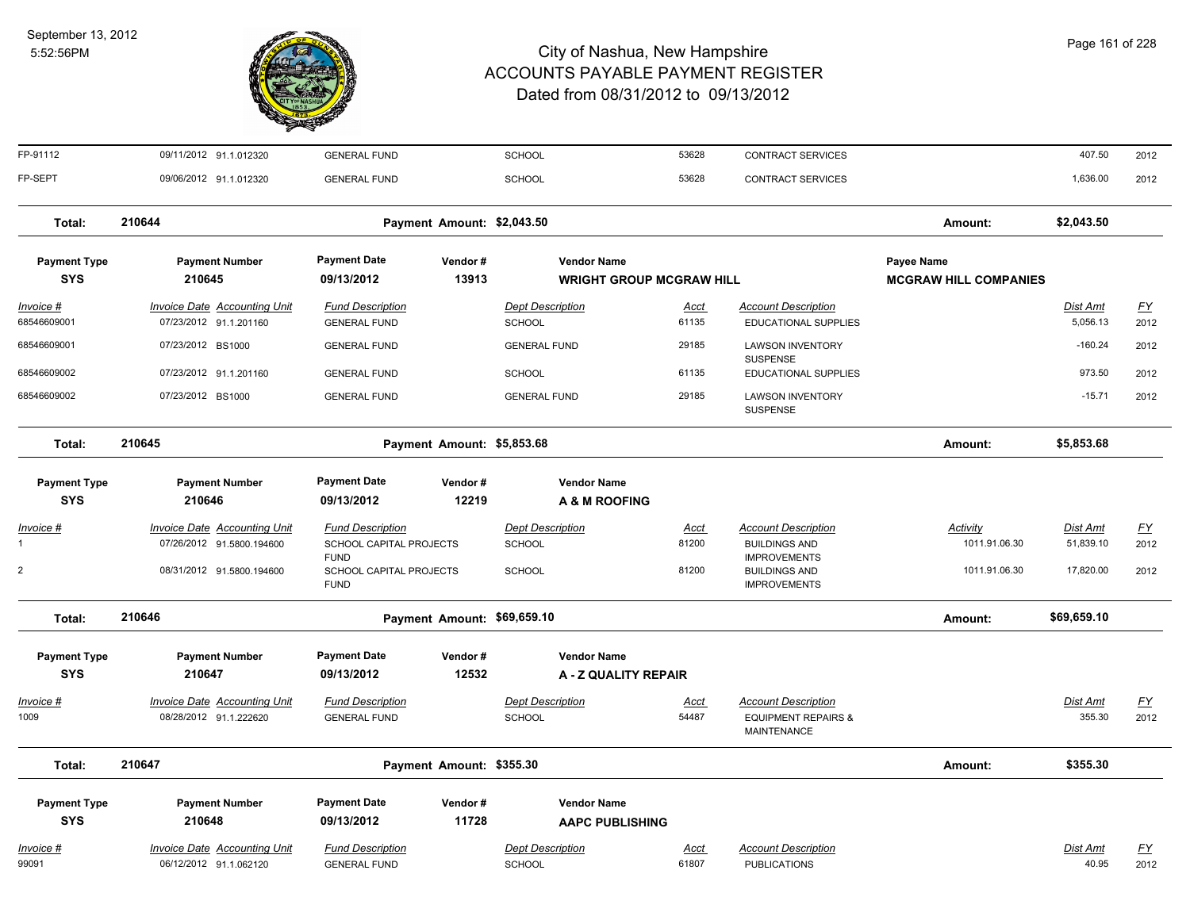

| FP-91112            | 09/11/2012 91.1.012320              | <b>GENERAL FUND</b>                    |                             | SCHOOL                      | 53628                           | CONTRACT SERVICES                                    |                              | 407.50          | 2012      |
|---------------------|-------------------------------------|----------------------------------------|-----------------------------|-----------------------------|---------------------------------|------------------------------------------------------|------------------------------|-----------------|-----------|
| FP-SEPT             | 09/06/2012 91.1.012320              | <b>GENERAL FUND</b>                    |                             | <b>SCHOOL</b>               | 53628                           | CONTRACT SERVICES                                    |                              | 1,636.00        | 2012      |
| Total:              | 210644                              |                                        | Payment Amount: \$2,043.50  |                             |                                 |                                                      | Amount:                      | \$2,043.50      |           |
| <b>Payment Type</b> | <b>Payment Number</b>               | <b>Payment Date</b>                    | Vendor#                     | <b>Vendor Name</b>          |                                 |                                                      | Payee Name                   |                 |           |
| <b>SYS</b>          | 210645                              | 09/13/2012                             | 13913                       |                             | <b>WRIGHT GROUP MCGRAW HILL</b> |                                                      | <b>MCGRAW HILL COMPANIES</b> |                 |           |
| Invoice #           | <b>Invoice Date Accounting Unit</b> | <b>Fund Description</b>                |                             | <b>Dept Description</b>     | Acct                            | <b>Account Description</b>                           |                              | Dist Amt        | <u>FY</u> |
| 68546609001         | 07/23/2012 91.1.201160              | <b>GENERAL FUND</b>                    |                             | SCHOOL                      | 61135                           | EDUCATIONAL SUPPLIES                                 |                              | 5,056.13        | 2012      |
| 68546609001         | 07/23/2012 BS1000                   | <b>GENERAL FUND</b>                    |                             | <b>GENERAL FUND</b>         | 29185                           | <b>LAWSON INVENTORY</b><br><b>SUSPENSE</b>           |                              | $-160.24$       | 2012      |
| 68546609002         | 07/23/2012 91.1.201160              | <b>GENERAL FUND</b>                    |                             | <b>SCHOOL</b>               | 61135                           | EDUCATIONAL SUPPLIES                                 |                              | 973.50          | 2012      |
| 68546609002         | 07/23/2012 BS1000                   | <b>GENERAL FUND</b>                    |                             | <b>GENERAL FUND</b>         | 29185                           | <b>LAWSON INVENTORY</b><br><b>SUSPENSE</b>           |                              | $-15.71$        | 2012      |
| Total:              | 210645                              |                                        | Payment Amount: \$5,853.68  |                             |                                 |                                                      | Amount:                      | \$5,853.68      |           |
| <b>Payment Type</b> | <b>Payment Number</b>               | <b>Payment Date</b>                    | Vendor#                     | <b>Vendor Name</b>          |                                 |                                                      |                              |                 |           |
| <b>SYS</b>          | 210646                              | 09/13/2012                             | 12219                       | <b>A &amp; M ROOFING</b>    |                                 |                                                      |                              |                 |           |
| <b>Invoice #</b>    | <b>Invoice Date Accounting Unit</b> | <b>Fund Description</b>                |                             | <b>Dept Description</b>     | <u>Acct</u>                     | <b>Account Description</b>                           | Activity                     | <b>Dist Amt</b> | <u>FY</u> |
| 1                   | 07/26/2012 91.5800.194600           | SCHOOL CAPITAL PROJECTS<br><b>FUND</b> |                             | SCHOOL                      | 81200                           | <b>BUILDINGS AND</b><br><b>IMPROVEMENTS</b>          | 1011.91.06.30                | 51,839.10       | 2012      |
| 2                   | 08/31/2012 91.5800.194600           | SCHOOL CAPITAL PROJECTS<br><b>FUND</b> |                             | <b>SCHOOL</b>               | 81200                           | <b>BUILDINGS AND</b><br><b>IMPROVEMENTS</b>          | 1011.91.06.30                | 17,820.00       | 2012      |
| Total:              | 210646                              |                                        | Payment Amount: \$69,659.10 |                             |                                 |                                                      | Amount:                      | \$69,659.10     |           |
| <b>Payment Type</b> | <b>Payment Number</b>               | <b>Payment Date</b>                    | Vendor#                     | <b>Vendor Name</b>          |                                 |                                                      |                              |                 |           |
| <b>SYS</b>          | 210647                              | 09/13/2012                             | 12532                       | <b>A - Z QUALITY REPAIR</b> |                                 |                                                      |                              |                 |           |
| Invoice #           | <b>Invoice Date Accounting Unit</b> | <b>Fund Description</b>                |                             | <b>Dept Description</b>     | Acct                            | <b>Account Description</b>                           |                              | <b>Dist Amt</b> | <u>FY</u> |
| 1009                | 08/28/2012 91.1.222620              | <b>GENERAL FUND</b>                    |                             | <b>SCHOOL</b>               | 54487                           | <b>EQUIPMENT REPAIRS &amp;</b><br><b>MAINTENANCE</b> |                              | 355.30          | 2012      |
| Total:              | 210647                              |                                        | Payment Amount: \$355.30    |                             |                                 |                                                      | Amount:                      | \$355.30        |           |
| <b>Payment Type</b> | <b>Payment Number</b>               | <b>Payment Date</b>                    | Vendor#                     | <b>Vendor Name</b>          |                                 |                                                      |                              |                 |           |
| <b>SYS</b>          | 210648                              | 09/13/2012                             | 11728                       | <b>AAPC PUBLISHING</b>      |                                 |                                                      |                              |                 |           |
| Invoice #           | Invoice Date Accounting Unit        | <b>Fund Description</b>                |                             | <b>Dept Description</b>     | Acct                            | <b>Account Description</b>                           |                              | <b>Dist Amt</b> | <u>FY</u> |
| 99091               | 06/12/2012 91.1.062120              | <b>GENERAL FUND</b>                    |                             | <b>SCHOOL</b>               | 61807                           | <b>PUBLICATIONS</b>                                  |                              | 40.95           | 2012      |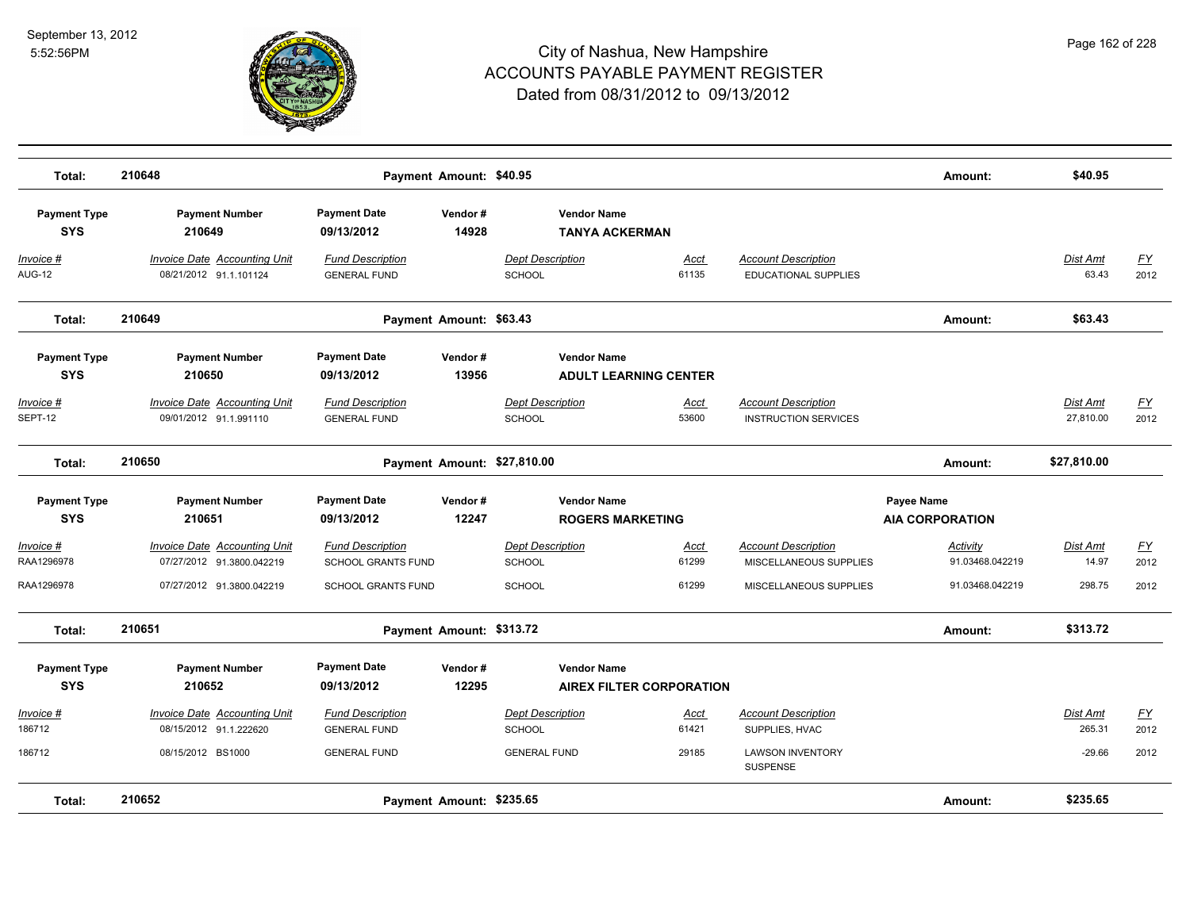

| Total:                            | 210648                                                        | Payment Amount: \$40.95                        |                  |                                          |                                 |                                                           | Amount:                              | \$40.95                      |                   |
|-----------------------------------|---------------------------------------------------------------|------------------------------------------------|------------------|------------------------------------------|---------------------------------|-----------------------------------------------------------|--------------------------------------|------------------------------|-------------------|
| <b>Payment Type</b><br><b>SYS</b> | <b>Payment Number</b><br>210649                               | <b>Payment Date</b><br>09/13/2012              | Vendor#<br>14928 | <b>Vendor Name</b>                       | <b>TANYA ACKERMAN</b>           |                                                           |                                      |                              |                   |
| Invoice #<br>AUG-12               | Invoice Date Accounting Unit<br>08/21/2012 91.1.101124        | <b>Fund Description</b><br><b>GENERAL FUND</b> |                  | <b>Dept Description</b><br>SCHOOL        | Acct<br>61135                   | <b>Account Description</b><br><b>EDUCATIONAL SUPPLIES</b> |                                      | Dist Amt<br>63.43            | FY<br>2012        |
| Total:                            | 210649                                                        | Payment Amount: \$63.43                        |                  |                                          |                                 |                                                           | Amount:                              | \$63.43                      |                   |
| <b>Payment Type</b><br><b>SYS</b> | <b>Payment Number</b><br>210650                               | <b>Payment Date</b><br>09/13/2012              | Vendor#<br>13956 | <b>Vendor Name</b>                       | <b>ADULT LEARNING CENTER</b>    |                                                           |                                      |                              |                   |
| <u> Invoice #</u><br>SEPT-12      | <b>Invoice Date Accounting Unit</b><br>09/01/2012 91.1.991110 | <b>Fund Description</b><br><b>GENERAL FUND</b> |                  | <b>Dept Description</b><br><b>SCHOOL</b> | <b>Acct</b><br>53600            | <b>Account Description</b><br><b>INSTRUCTION SERVICES</b> |                                      | <b>Dist Amt</b><br>27,810.00 | <u>FY</u><br>2012 |
| Total:                            | 210650                                                        |                                                |                  | Payment Amount: \$27,810.00              |                                 |                                                           | Amount:                              | \$27,810.00                  |                   |
| <b>Payment Type</b><br><b>SYS</b> | <b>Payment Number</b><br>210651                               | <b>Payment Date</b><br>09/13/2012              | Vendor#<br>12247 | <b>Vendor Name</b>                       | <b>ROGERS MARKETING</b>         |                                                           | Payee Name<br><b>AIA CORPORATION</b> |                              |                   |
| Invoice #<br>RAA1296978           | Invoice Date Accounting Unit<br>07/27/2012 91.3800.042219     | <b>Fund Description</b><br>SCHOOL GRANTS FUND  |                  | <b>Dept Description</b><br><b>SCHOOL</b> | Acct<br>61299                   | <b>Account Description</b><br>MISCELLANEOUS SUPPLIES      | Activity<br>91.03468.042219          | Dist Amt<br>14.97            | <u>FY</u><br>2012 |
| RAA1296978                        | 07/27/2012 91.3800.042219                                     | <b>SCHOOL GRANTS FUND</b>                      |                  | <b>SCHOOL</b>                            | 61299                           | MISCELLANEOUS SUPPLIES                                    | 91.03468.042219                      | 298.75                       | 2012              |
| Total:                            | 210651                                                        | Payment Amount: \$313.72                       |                  |                                          |                                 |                                                           | Amount:                              | \$313.72                     |                   |
| <b>Payment Type</b><br><b>SYS</b> | <b>Payment Number</b><br>210652                               | <b>Payment Date</b><br>09/13/2012              | Vendor#<br>12295 | <b>Vendor Name</b>                       | <b>AIREX FILTER CORPORATION</b> |                                                           |                                      |                              |                   |
| Invoice #<br>186712               | <b>Invoice Date Accounting Unit</b><br>08/15/2012 91.1.222620 | <b>Fund Description</b><br><b>GENERAL FUND</b> |                  | <b>Dept Description</b><br><b>SCHOOL</b> | Acct<br>61421                   | <b>Account Description</b><br>SUPPLIES, HVAC              |                                      | Dist Amt<br>265.31           | FY<br>2012        |
| 186712                            | 08/15/2012 BS1000                                             | <b>GENERAL FUND</b>                            |                  | <b>GENERAL FUND</b>                      | 29185                           | <b>LAWSON INVENTORY</b><br><b>SUSPENSE</b>                |                                      | $-29.66$                     | 2012              |
| Total:                            | 210652                                                        | Payment Amount: \$235.65                       |                  |                                          |                                 |                                                           | Amount:                              | \$235.65                     |                   |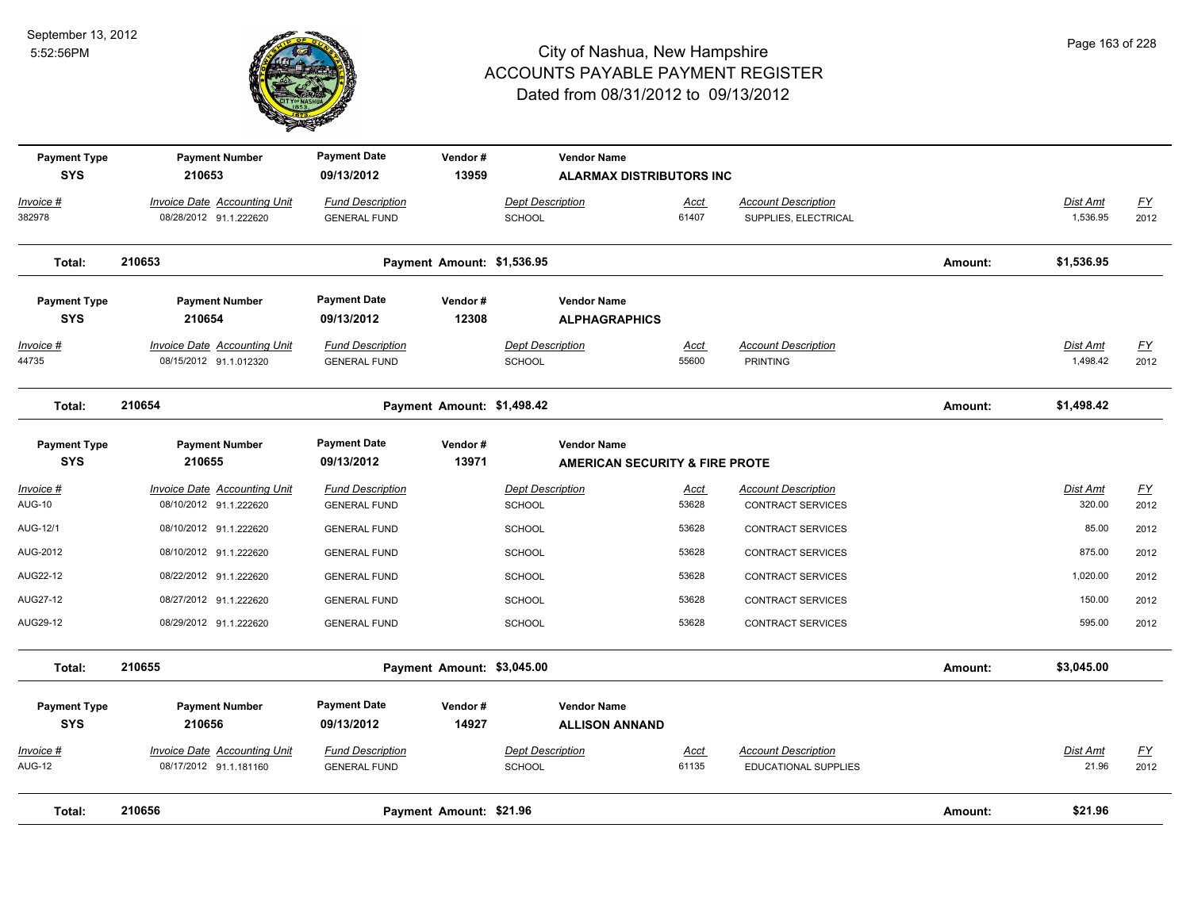

| <b>Payment Type</b><br><b>SYS</b>  | <b>Payment Number</b><br>210653                               | <b>Payment Date</b><br>09/13/2012              | Vendor#<br>13959           |                                          | <b>Vendor Name</b><br><b>ALARMAX DISTRIBUTORS INC</b>           |                      |                                                        |         |                           |                          |
|------------------------------------|---------------------------------------------------------------|------------------------------------------------|----------------------------|------------------------------------------|-----------------------------------------------------------------|----------------------|--------------------------------------------------------|---------|---------------------------|--------------------------|
| Invoice #<br>382978                | Invoice Date Accounting Unit<br>08/28/2012 91.1.222620        | <b>Fund Description</b><br><b>GENERAL FUND</b> |                            | <b>Dept Description</b><br>SCHOOL        |                                                                 | Acct<br>61407        | <b>Account Description</b><br>SUPPLIES, ELECTRICAL     |         | Dist Amt<br>1,536.95      | EY<br>2012               |
| Total:                             | 210653                                                        |                                                | Payment Amount: \$1,536.95 |                                          |                                                                 |                      |                                                        | Amount: | \$1,536.95                |                          |
| <b>Payment Type</b><br><b>SYS</b>  | <b>Payment Number</b><br>210654                               | <b>Payment Date</b><br>09/13/2012              | Vendor#<br>12308           |                                          | <b>Vendor Name</b><br><b>ALPHAGRAPHICS</b>                      |                      |                                                        |         |                           |                          |
| Invoice #<br>44735                 | <b>Invoice Date Accounting Unit</b><br>08/15/2012 91.1.012320 | <b>Fund Description</b><br><b>GENERAL FUND</b> |                            | <b>Dept Description</b><br><b>SCHOOL</b> |                                                                 | Acct<br>55600        | <b>Account Description</b><br><b>PRINTING</b>          |         | Dist Amt<br>1,498.42      | <u>FY</u><br>2012        |
| Total:                             | 210654                                                        |                                                | Payment Amount: \$1,498.42 |                                          |                                                                 |                      |                                                        | Amount: | \$1,498.42                |                          |
| <b>Payment Type</b><br><b>SYS</b>  | <b>Payment Number</b><br>210655                               | <b>Payment Date</b><br>09/13/2012              | Vendor#<br>13971           |                                          | <b>Vendor Name</b><br><b>AMERICAN SECURITY &amp; FIRE PROTE</b> |                      |                                                        |         |                           |                          |
| <u> Invoice #</u><br><b>AUG-10</b> | <b>Invoice Date Accounting Unit</b><br>08/10/2012 91.1.222620 | <b>Fund Description</b><br><b>GENERAL FUND</b> |                            | <b>Dept Description</b><br><b>SCHOOL</b> |                                                                 | <u>Acct</u><br>53628 | <b>Account Description</b><br><b>CONTRACT SERVICES</b> |         | <b>Dist Amt</b><br>320.00 | EY<br>2012               |
| AUG-12/1                           | 08/10/2012 91.1.222620                                        | <b>GENERAL FUND</b>                            |                            | <b>SCHOOL</b>                            |                                                                 | 53628                | CONTRACT SERVICES                                      |         | 85.00                     | 2012                     |
| AUG-2012                           | 08/10/2012 91.1.222620                                        | <b>GENERAL FUND</b>                            |                            | <b>SCHOOL</b>                            |                                                                 | 53628                | CONTRACT SERVICES                                      |         | 875.00                    | 2012                     |
| AUG22-12                           | 08/22/2012 91.1.222620                                        | <b>GENERAL FUND</b>                            |                            | <b>SCHOOL</b>                            |                                                                 | 53628                | CONTRACT SERVICES                                      |         | 1,020.00                  | 2012                     |
| AUG27-12                           | 08/27/2012 91.1.222620                                        | <b>GENERAL FUND</b>                            |                            | <b>SCHOOL</b>                            |                                                                 | 53628                | <b>CONTRACT SERVICES</b>                               |         | 150.00                    | 2012                     |
| AUG29-12                           | 08/29/2012 91.1.222620                                        | <b>GENERAL FUND</b>                            |                            | SCHOOL                                   |                                                                 | 53628                | <b>CONTRACT SERVICES</b>                               |         | 595.00                    | 2012                     |
| Total:                             | 210655                                                        |                                                | Payment Amount: \$3,045.00 |                                          |                                                                 |                      |                                                        | Amount: | \$3,045.00                |                          |
| <b>Payment Type</b><br><b>SYS</b>  | <b>Payment Number</b><br>210656                               | <b>Payment Date</b><br>09/13/2012              | Vendor#<br>14927           |                                          | <b>Vendor Name</b><br><b>ALLISON ANNAND</b>                     |                      |                                                        |         |                           |                          |
| Invoice #<br><b>AUG-12</b>         | Invoice Date Accounting Unit<br>08/17/2012 91.1.181160        | <b>Fund Description</b><br><b>GENERAL FUND</b> |                            | <b>Dept Description</b><br><b>SCHOOL</b> |                                                                 | <u>Acct</u><br>61135 | <b>Account Description</b><br>EDUCATIONAL SUPPLIES     |         | Dist Amt<br>21.96         | $\underline{FY}$<br>2012 |
| Total:                             | 210656                                                        |                                                | Payment Amount: \$21.96    |                                          |                                                                 |                      |                                                        | Amount: | \$21.96                   |                          |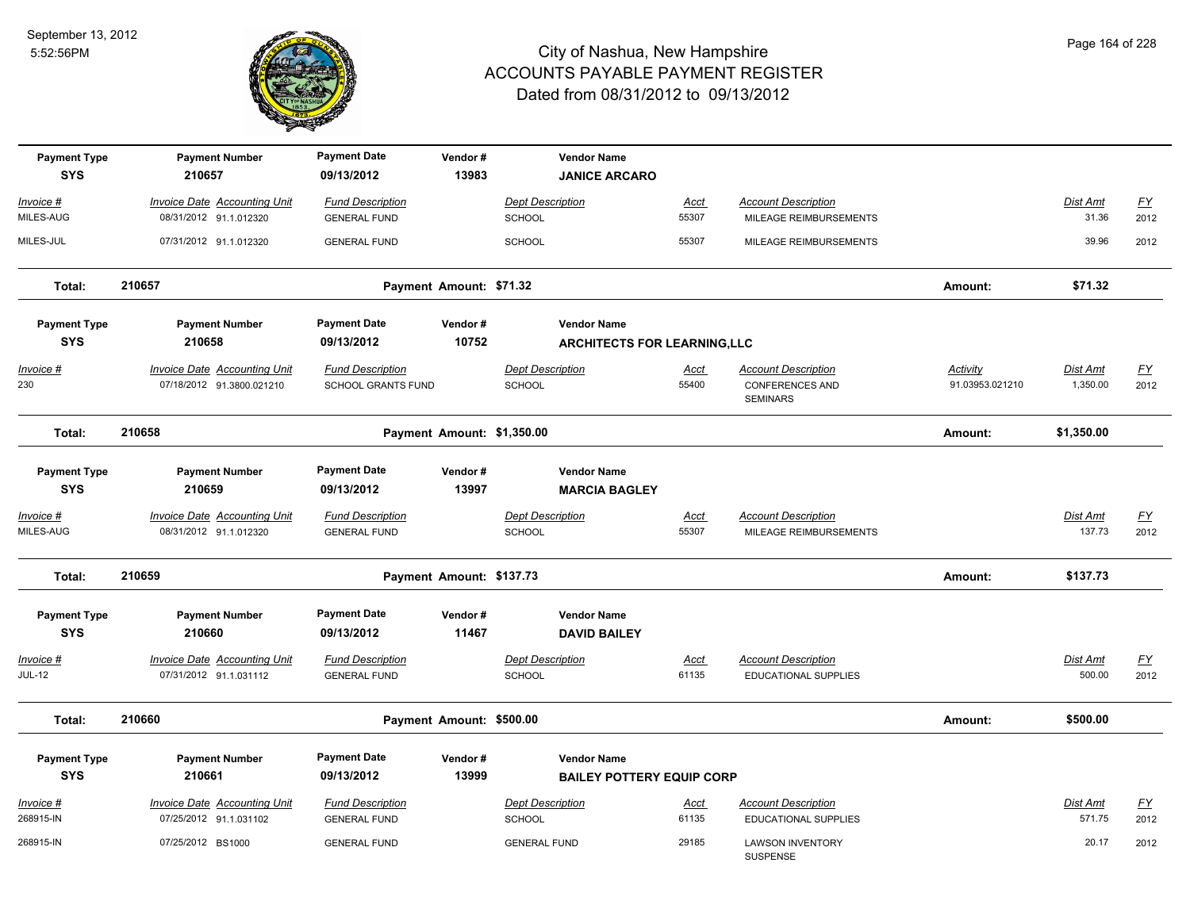

| <b>Payment Type</b><br><b>SYS</b>  | <b>Payment Number</b><br>210657                                  | <b>Payment Date</b><br>09/13/2012              | Vendor#<br>13983         |                                   | <b>Vendor Name</b><br><b>JANICE ARCARO</b>             |                      |                                                                         |                                    |                           |                   |
|------------------------------------|------------------------------------------------------------------|------------------------------------------------|--------------------------|-----------------------------------|--------------------------------------------------------|----------------------|-------------------------------------------------------------------------|------------------------------------|---------------------------|-------------------|
| Invoice #                          | <b>Invoice Date Accounting Unit</b>                              | <b>Fund Description</b>                        |                          | Dept Description                  |                                                        | Acct                 | <b>Account Description</b>                                              |                                    | Dist Amt                  | <u>FY</u>         |
| MILES-AUG                          | 08/31/2012 91.1.012320                                           | <b>GENERAL FUND</b>                            |                          | SCHOOL                            |                                                        | 55307                | MILEAGE REIMBURSEMENTS                                                  |                                    | 31.36                     | 2012              |
| MILES-JUL                          | 07/31/2012 91.1.012320                                           | <b>GENERAL FUND</b>                            |                          | <b>SCHOOL</b>                     |                                                        | 55307                | MILEAGE REIMBURSEMENTS                                                  |                                    | 39.96                     | 2012              |
| Total:                             | 210657                                                           |                                                | Payment Amount: \$71.32  |                                   |                                                        |                      |                                                                         | Amount:                            | \$71.32                   |                   |
| <b>Payment Type</b>                | <b>Payment Number</b>                                            | <b>Payment Date</b>                            | Vendor#                  |                                   | <b>Vendor Name</b>                                     |                      |                                                                         |                                    |                           |                   |
| <b>SYS</b>                         | 210658                                                           | 09/13/2012                                     | 10752                    |                                   | <b>ARCHITECTS FOR LEARNING,LLC</b>                     |                      |                                                                         |                                    |                           |                   |
| <u> Invoice #</u><br>230           | <b>Invoice Date Accounting Unit</b><br>07/18/2012 91.3800.021210 | <b>Fund Description</b><br>SCHOOL GRANTS FUND  |                          | <b>Dept Description</b><br>SCHOOL |                                                        | <u>Acct</u><br>55400 | <b>Account Description</b><br><b>CONFERENCES AND</b><br><b>SEMINARS</b> | <b>Activity</b><br>91.03953.021210 | Dist Amt<br>1,350.00      | <u>FY</u><br>2012 |
| Total:                             | 210658                                                           |                                                |                          | Payment Amount: \$1,350.00        |                                                        |                      |                                                                         | Amount:                            | \$1,350.00                |                   |
| <b>Payment Type</b><br><b>SYS</b>  | <b>Payment Number</b><br>210659                                  | <b>Payment Date</b><br>09/13/2012              | Vendor#<br>13997         |                                   | <b>Vendor Name</b><br><b>MARCIA BAGLEY</b>             |                      |                                                                         |                                    |                           |                   |
| <u> Invoice #</u><br>MILES-AUG     | <b>Invoice Date Accounting Unit</b><br>08/31/2012 91.1.012320    | <b>Fund Description</b><br><b>GENERAL FUND</b> |                          | <b>Dept Description</b><br>SCHOOL |                                                        | <u>Acct</u><br>55307 | <b>Account Description</b><br>MILEAGE REIMBURSEMENTS                    |                                    | <b>Dist Amt</b><br>137.73 | <u>FY</u><br>2012 |
| Total:                             | 210659                                                           |                                                | Payment Amount: \$137.73 |                                   |                                                        |                      |                                                                         | Amount:                            | \$137.73                  |                   |
| <b>Payment Type</b>                | <b>Payment Number</b>                                            | <b>Payment Date</b>                            | Vendor#                  |                                   | <b>Vendor Name</b>                                     |                      |                                                                         |                                    |                           |                   |
| <b>SYS</b>                         | 210660                                                           | 09/13/2012                                     | 11467                    |                                   | <b>DAVID BAILEY</b>                                    |                      |                                                                         |                                    |                           |                   |
| <u> Invoice #</u><br><b>JUL-12</b> | <b>Invoice Date Accounting Unit</b><br>07/31/2012 91.1.031112    | <b>Fund Description</b><br><b>GENERAL FUND</b> |                          | <b>Dept Description</b><br>SCHOOL |                                                        | <u>Acct</u><br>61135 | <b>Account Description</b><br><b>EDUCATIONAL SUPPLIES</b>               |                                    | <b>Dist Amt</b><br>500.00 | <u>FY</u><br>2012 |
| Total:                             | 210660                                                           |                                                | Payment Amount: \$500.00 |                                   |                                                        |                      |                                                                         | Amount:                            | \$500.00                  |                   |
| <b>Payment Type</b><br><b>SYS</b>  | <b>Payment Number</b><br>210661                                  | <b>Payment Date</b><br>09/13/2012              | Vendor#<br>13999         |                                   | <b>Vendor Name</b><br><b>BAILEY POTTERY EQUIP CORP</b> |                      |                                                                         |                                    |                           |                   |
| Invoice #<br>268915-IN             | <b>Invoice Date Accounting Unit</b><br>07/25/2012 91.1.031102    | <b>Fund Description</b><br><b>GENERAL FUND</b> |                          | <b>Dept Description</b><br>SCHOOL |                                                        | <u>Acct</u><br>61135 | <b>Account Description</b><br>EDUCATIONAL SUPPLIES                      |                                    | Dist Amt<br>571.75        | <u>FY</u><br>2012 |
| 268915-IN                          | 07/25/2012 BS1000                                                | <b>GENERAL FUND</b>                            |                          | <b>GENERAL FUND</b>               |                                                        | 29185                | <b>LAWSON INVENTORY</b><br><b>SUSPENSE</b>                              |                                    | 20.17                     | 2012              |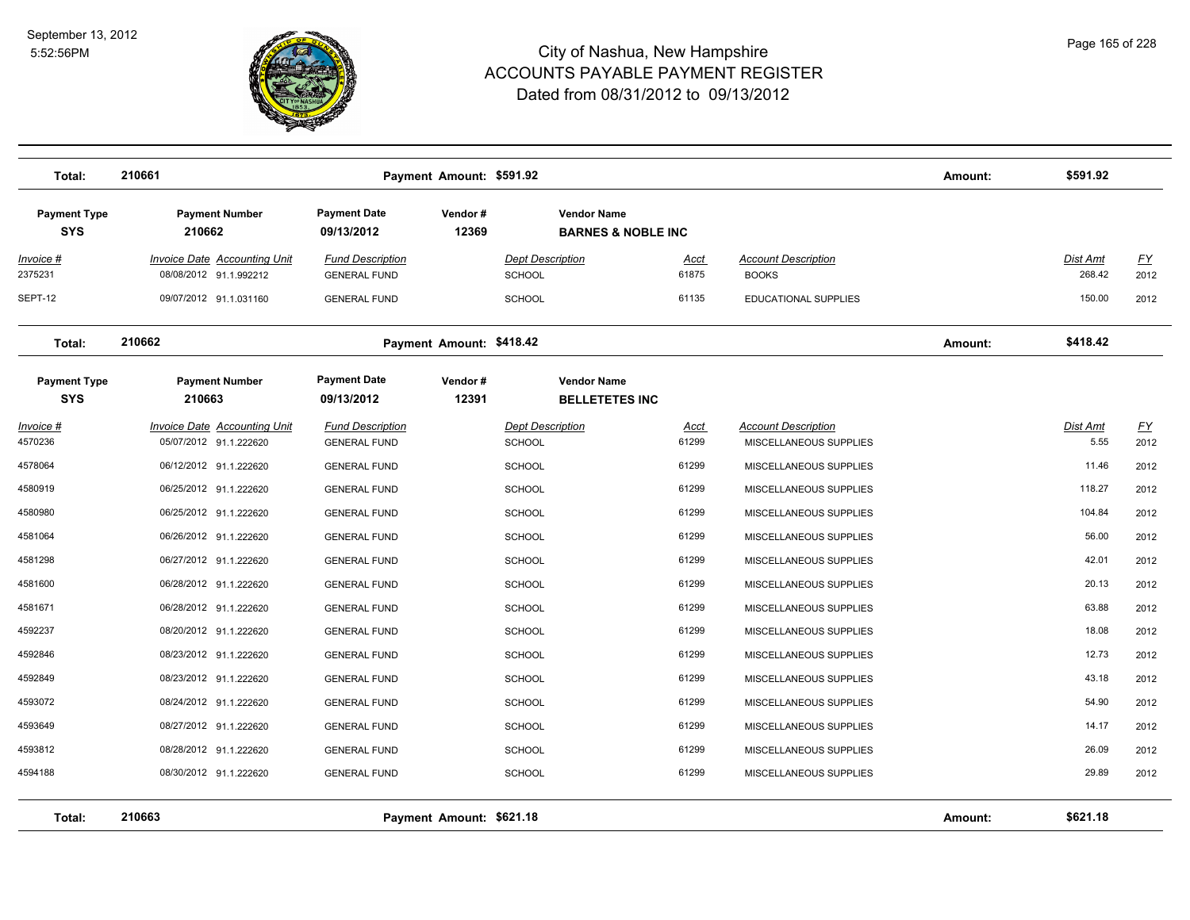

| Total:                            | 210661                                                        | Payment Amount: \$591.92                              |                                          |                                                     |                      |                                                      | Amount: | \$591.92           |                   |
|-----------------------------------|---------------------------------------------------------------|-------------------------------------------------------|------------------------------------------|-----------------------------------------------------|----------------------|------------------------------------------------------|---------|--------------------|-------------------|
| <b>Payment Type</b><br><b>SYS</b> | <b>Payment Number</b><br>210662                               | <b>Payment Date</b><br>Vendor#<br>12369<br>09/13/2012 |                                          | <b>Vendor Name</b><br><b>BARNES &amp; NOBLE INC</b> |                      |                                                      |         |                    |                   |
| Invoice #<br>2375231              | Invoice Date Accounting Unit<br>08/08/2012 91.1.992212        | <b>Fund Description</b><br><b>GENERAL FUND</b>        | <b>Dept Description</b><br><b>SCHOOL</b> |                                                     | Acct<br>61875        | <b>Account Description</b><br><b>BOOKS</b>           |         | Dist Amt<br>268.42 | <u>FY</u><br>2012 |
| SEPT-12                           | 09/07/2012 91.1.031160                                        | <b>GENERAL FUND</b>                                   | <b>SCHOOL</b>                            |                                                     | 61135                | <b>EDUCATIONAL SUPPLIES</b>                          |         | 150.00             | 2012              |
| Total:                            | 210662                                                        | Payment Amount: \$418.42                              |                                          |                                                     |                      |                                                      | Amount: | \$418.42           |                   |
| <b>Payment Type</b><br><b>SYS</b> | <b>Payment Number</b><br>210663                               | <b>Payment Date</b><br>Vendor#<br>09/13/2012<br>12391 |                                          | <b>Vendor Name</b><br><b>BELLETETES INC</b>         |                      |                                                      |         |                    |                   |
| <u> Invoice #</u><br>4570236      | <b>Invoice Date Accounting Unit</b><br>05/07/2012 91.1.222620 | <b>Fund Description</b><br><b>GENERAL FUND</b>        | <b>Dept Description</b><br><b>SCHOOL</b> |                                                     | <u>Acct</u><br>61299 | <b>Account Description</b><br>MISCELLANEOUS SUPPLIES |         | Dist Amt<br>5.55   | <u>FY</u><br>2012 |
| 4578064                           | 06/12/2012 91.1.222620                                        | <b>GENERAL FUND</b>                                   | <b>SCHOOL</b>                            |                                                     | 61299                | MISCELLANEOUS SUPPLIES                               |         | 11.46              | 2012              |
| 4580919                           | 06/25/2012 91.1.222620                                        | <b>GENERAL FUND</b>                                   | <b>SCHOOL</b>                            |                                                     | 61299                | MISCELLANEOUS SUPPLIES                               |         | 118.27             | 2012              |
| 4580980                           | 06/25/2012 91.1.222620                                        | <b>GENERAL FUND</b>                                   | <b>SCHOOL</b>                            |                                                     | 61299                | MISCELLANEOUS SUPPLIES                               |         | 104.84             | 2012              |
| 4581064                           | 06/26/2012 91.1.222620                                        | <b>GENERAL FUND</b>                                   | <b>SCHOOL</b>                            |                                                     | 61299                | MISCELLANEOUS SUPPLIES                               |         | 56.00              | 2012              |
| 4581298                           | 06/27/2012 91.1.222620                                        | <b>GENERAL FUND</b>                                   | <b>SCHOOL</b>                            |                                                     | 61299                | MISCELLANEOUS SUPPLIES                               |         | 42.01              | 2012              |
| 4581600                           | 06/28/2012 91.1.222620                                        | <b>GENERAL FUND</b>                                   | <b>SCHOOL</b>                            |                                                     | 61299                | MISCELLANEOUS SUPPLIES                               |         | 20.13              | 2012              |
| 4581671                           | 06/28/2012 91.1.222620                                        | <b>GENERAL FUND</b>                                   | <b>SCHOOL</b>                            |                                                     | 61299                | MISCELLANEOUS SUPPLIES                               |         | 63.88              | 2012              |
| 4592237                           | 08/20/2012 91.1.222620                                        | <b>GENERAL FUND</b>                                   | <b>SCHOOL</b>                            |                                                     | 61299                | MISCELLANEOUS SUPPLIES                               |         | 18.08              | 2012              |
| 4592846                           | 08/23/2012 91.1.222620                                        | <b>GENERAL FUND</b>                                   | <b>SCHOOL</b>                            |                                                     | 61299                | MISCELLANEOUS SUPPLIES                               |         | 12.73              | 2012              |
| 4592849                           | 08/23/2012 91.1.222620                                        | <b>GENERAL FUND</b>                                   | <b>SCHOOL</b>                            |                                                     | 61299                | MISCELLANEOUS SUPPLIES                               |         | 43.18              | 2012              |
| 4593072                           | 08/24/2012 91.1.222620                                        | <b>GENERAL FUND</b>                                   | <b>SCHOOL</b>                            |                                                     | 61299                | MISCELLANEOUS SUPPLIES                               |         | 54.90              | 2012              |
| 4593649                           | 08/27/2012 91.1.222620                                        | <b>GENERAL FUND</b>                                   | <b>SCHOOL</b>                            |                                                     | 61299                | MISCELLANEOUS SUPPLIES                               |         | 14.17              | 2012              |
| 4593812                           | 08/28/2012 91.1.222620                                        | <b>GENERAL FUND</b>                                   | <b>SCHOOL</b>                            |                                                     | 61299                | MISCELLANEOUS SUPPLIES                               |         | 26.09              | 2012              |
| 4594188                           | 08/30/2012 91.1.222620                                        | <b>GENERAL FUND</b>                                   | <b>SCHOOL</b>                            |                                                     | 61299                | MISCELLANEOUS SUPPLIES                               |         | 29.89              | 2012              |
| Total:                            | 210663                                                        | Payment Amount: \$621.18                              |                                          |                                                     |                      |                                                      | Amount: | \$621.18           |                   |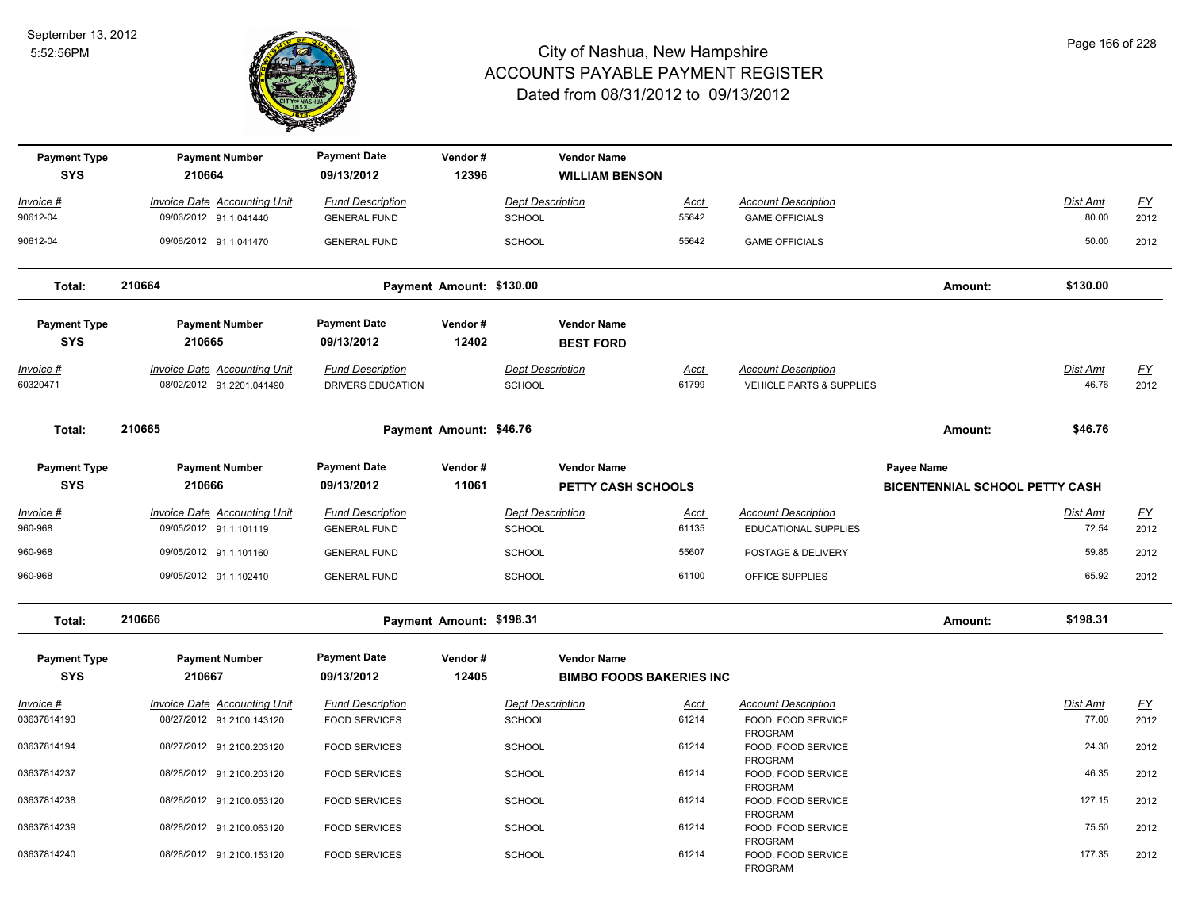

| <b>Payment Type</b><br><b>SYS</b> | <b>Payment Number</b><br>210664     | <b>Payment Date</b><br>09/13/2012 | Vendor#<br>12396         |                         | <b>Vendor Name</b>              |             |                                      |                                       |                 |           |
|-----------------------------------|-------------------------------------|-----------------------------------|--------------------------|-------------------------|---------------------------------|-------------|--------------------------------------|---------------------------------------|-----------------|-----------|
|                                   |                                     |                                   |                          |                         | <b>WILLIAM BENSON</b>           |             |                                      |                                       |                 |           |
| Invoice #                         | Invoice Date Accounting Unit        | <b>Fund Description</b>           |                          | <b>Dept Description</b> |                                 | Acct        | <b>Account Description</b>           |                                       | Dist Amt        | <u>FY</u> |
| 90612-04                          | 09/06/2012 91.1.041440              | <b>GENERAL FUND</b>               |                          | SCHOOL                  |                                 | 55642       | <b>GAME OFFICIALS</b>                |                                       | 80.00           | 2012      |
| 90612-04                          | 09/06/2012 91.1.041470              | <b>GENERAL FUND</b>               |                          | <b>SCHOOL</b>           |                                 | 55642       | <b>GAME OFFICIALS</b>                |                                       | 50.00           | 2012      |
| Total:                            | 210664                              |                                   | Payment Amount: \$130.00 |                         |                                 |             |                                      | Amount:                               | \$130.00        |           |
| <b>Payment Type</b>               | <b>Payment Number</b>               | <b>Payment Date</b>               | Vendor#                  |                         | <b>Vendor Name</b>              |             |                                      |                                       |                 |           |
| <b>SYS</b>                        | 210665                              | 09/13/2012                        | 12402                    |                         | <b>BEST FORD</b>                |             |                                      |                                       |                 |           |
| Invoice #                         | <b>Invoice Date Accounting Unit</b> | <b>Fund Description</b>           |                          | <b>Dept Description</b> |                                 | Acct        | <b>Account Description</b>           |                                       | Dist Amt        | <u>FY</u> |
| 60320471                          | 08/02/2012 91.2201.041490           | DRIVERS EDUCATION                 |                          | <b>SCHOOL</b>           |                                 | 61799       | VEHICLE PARTS & SUPPLIES             |                                       | 46.76           | 2012      |
| Total:                            | 210665                              |                                   | Payment Amount: \$46.76  |                         |                                 |             |                                      | Amount:                               | \$46.76         |           |
| <b>Payment Type</b>               | <b>Payment Number</b>               | <b>Payment Date</b>               | Vendor#                  |                         | <b>Vendor Name</b>              |             |                                      | Payee Name                            |                 |           |
| <b>SYS</b>                        | 210666                              | 09/13/2012                        | 11061                    |                         | <b>PETTY CASH SCHOOLS</b>       |             |                                      | <b>BICENTENNIAL SCHOOL PETTY CASH</b> |                 |           |
| <u>Invoice #</u>                  | <b>Invoice Date Accounting Unit</b> | <b>Fund Description</b>           |                          | <b>Dept Description</b> |                                 | <u>Acct</u> | <b>Account Description</b>           |                                       | <u>Dist Amt</u> | <u>FY</u> |
| 960-968                           | 09/05/2012 91.1.101119              | <b>GENERAL FUND</b>               |                          | SCHOOL                  |                                 | 61135       | EDUCATIONAL SUPPLIES                 |                                       | 72.54           | 2012      |
| 960-968                           | 09/05/2012 91.1.101160              | <b>GENERAL FUND</b>               |                          | <b>SCHOOL</b>           |                                 | 55607       | POSTAGE & DELIVERY                   |                                       | 59.85           | 2012      |
| 960-968                           | 09/05/2012 91.1.102410              | <b>GENERAL FUND</b>               |                          | <b>SCHOOL</b>           |                                 | 61100       | OFFICE SUPPLIES                      |                                       | 65.92           | 2012      |
| Total:                            | 210666                              |                                   | Payment Amount: \$198.31 |                         |                                 |             |                                      | Amount:                               | \$198.31        |           |
| <b>Payment Type</b>               | <b>Payment Number</b>               | <b>Payment Date</b>               | Vendor#                  |                         | <b>Vendor Name</b>              |             |                                      |                                       |                 |           |
| <b>SYS</b>                        | 210667                              | 09/13/2012                        | 12405                    |                         | <b>BIMBO FOODS BAKERIES INC</b> |             |                                      |                                       |                 |           |
| Invoice #                         | <b>Invoice Date Accounting Unit</b> | <b>Fund Description</b>           |                          | <b>Dept Description</b> |                                 | <u>Acct</u> | <b>Account Description</b>           |                                       | Dist Amt        | <u>FY</u> |
| 03637814193                       | 08/27/2012 91.2100.143120           | <b>FOOD SERVICES</b>              |                          | <b>SCHOOL</b>           |                                 | 61214       | FOOD, FOOD SERVICE<br>PROGRAM        |                                       | 77.00           | 2012      |
| 03637814194                       | 08/27/2012 91.2100.203120           | <b>FOOD SERVICES</b>              |                          | <b>SCHOOL</b>           |                                 | 61214       | FOOD, FOOD SERVICE<br>PROGRAM        |                                       | 24.30           | 2012      |
| 03637814237                       | 08/28/2012 91.2100.203120           | <b>FOOD SERVICES</b>              |                          | <b>SCHOOL</b>           |                                 | 61214       | FOOD, FOOD SERVICE<br>PROGRAM        |                                       | 46.35           | 2012      |
| 03637814238                       | 08/28/2012 91.2100.053120           | <b>FOOD SERVICES</b>              |                          | <b>SCHOOL</b>           |                                 | 61214       | FOOD, FOOD SERVICE<br>PROGRAM        |                                       | 127.15          | 2012      |
| 03637814239                       | 08/28/2012 91.2100.063120           | <b>FOOD SERVICES</b>              |                          | <b>SCHOOL</b>           |                                 | 61214       | FOOD, FOOD SERVICE<br>PROGRAM        |                                       | 75.50           | 2012      |
| 03637814240                       | 08/28/2012 91.2100.153120           | <b>FOOD SERVICES</b>              |                          | <b>SCHOOL</b>           |                                 | 61214       | FOOD, FOOD SERVICE<br><b>PROGRAM</b> |                                       | 177.35          | 2012      |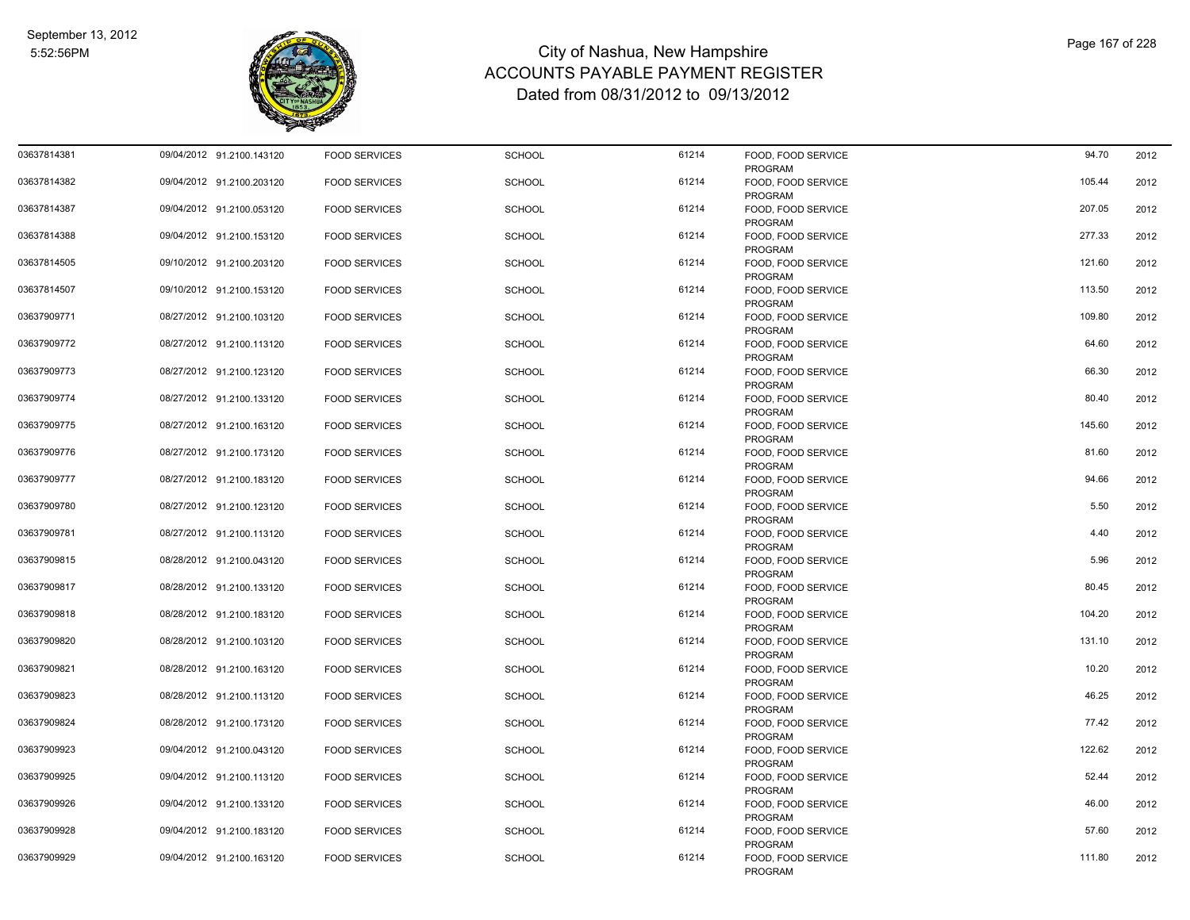

| 03637814381 | 09/04/2012 91.2100.143120 | <b>FOOD SERVICES</b> | <b>SCHOOL</b> | 61214 | FOOD, FOOD SERVICE<br>PROGRAM        | 94.70  | 2012 |
|-------------|---------------------------|----------------------|---------------|-------|--------------------------------------|--------|------|
| 03637814382 | 09/04/2012 91.2100.203120 | <b>FOOD SERVICES</b> | <b>SCHOOL</b> | 61214 | FOOD, FOOD SERVICE<br>PROGRAM        | 105.44 | 2012 |
| 03637814387 | 09/04/2012 91.2100.053120 | <b>FOOD SERVICES</b> | <b>SCHOOL</b> | 61214 | FOOD, FOOD SERVICE<br>PROGRAM        | 207.05 | 2012 |
| 03637814388 | 09/04/2012 91.2100.153120 | <b>FOOD SERVICES</b> | <b>SCHOOL</b> | 61214 | FOOD, FOOD SERVICE<br>PROGRAM        | 277.33 | 2012 |
| 03637814505 | 09/10/2012 91.2100.203120 | <b>FOOD SERVICES</b> | <b>SCHOOL</b> | 61214 | FOOD, FOOD SERVICE<br>PROGRAM        | 121.60 | 2012 |
| 03637814507 | 09/10/2012 91.2100.153120 | <b>FOOD SERVICES</b> | <b>SCHOOL</b> | 61214 | FOOD, FOOD SERVICE<br><b>PROGRAM</b> | 113.50 | 2012 |
| 03637909771 | 08/27/2012 91.2100.103120 | <b>FOOD SERVICES</b> | <b>SCHOOL</b> | 61214 | FOOD, FOOD SERVICE<br><b>PROGRAM</b> | 109.80 | 2012 |
| 03637909772 | 08/27/2012 91.2100.113120 | <b>FOOD SERVICES</b> | <b>SCHOOL</b> | 61214 | FOOD, FOOD SERVICE<br>PROGRAM        | 64.60  | 2012 |
| 03637909773 | 08/27/2012 91.2100.123120 | <b>FOOD SERVICES</b> | <b>SCHOOL</b> | 61214 | FOOD, FOOD SERVICE<br>PROGRAM        | 66.30  | 2012 |
| 03637909774 | 08/27/2012 91.2100.133120 | <b>FOOD SERVICES</b> | <b>SCHOOL</b> | 61214 | FOOD, FOOD SERVICE<br>PROGRAM        | 80.40  | 2012 |
| 03637909775 | 08/27/2012 91.2100.163120 | <b>FOOD SERVICES</b> | <b>SCHOOL</b> | 61214 | FOOD, FOOD SERVICE<br>PROGRAM        | 145.60 | 2012 |
| 03637909776 | 08/27/2012 91.2100.173120 | <b>FOOD SERVICES</b> | <b>SCHOOL</b> | 61214 | FOOD, FOOD SERVICE<br>PROGRAM        | 81.60  | 2012 |
| 03637909777 | 08/27/2012 91.2100.183120 | <b>FOOD SERVICES</b> | <b>SCHOOL</b> | 61214 | FOOD, FOOD SERVICE<br>PROGRAM        | 94.66  | 2012 |
| 03637909780 | 08/27/2012 91.2100.123120 | <b>FOOD SERVICES</b> | <b>SCHOOL</b> | 61214 | FOOD, FOOD SERVICE<br>PROGRAM        | 5.50   | 2012 |
| 03637909781 | 08/27/2012 91.2100.113120 | <b>FOOD SERVICES</b> | <b>SCHOOL</b> | 61214 | FOOD, FOOD SERVICE<br><b>PROGRAM</b> | 4.40   | 2012 |
| 03637909815 | 08/28/2012 91.2100.043120 | <b>FOOD SERVICES</b> | <b>SCHOOL</b> | 61214 | FOOD, FOOD SERVICE<br>PROGRAM        | 5.96   | 2012 |
| 03637909817 | 08/28/2012 91.2100.133120 | <b>FOOD SERVICES</b> | <b>SCHOOL</b> | 61214 | FOOD, FOOD SERVICE<br>PROGRAM        | 80.45  | 2012 |
| 03637909818 | 08/28/2012 91.2100.183120 | <b>FOOD SERVICES</b> | <b>SCHOOL</b> | 61214 | FOOD, FOOD SERVICE<br><b>PROGRAM</b> | 104.20 | 2012 |
| 03637909820 | 08/28/2012 91.2100.103120 | <b>FOOD SERVICES</b> | <b>SCHOOL</b> | 61214 | FOOD, FOOD SERVICE<br><b>PROGRAM</b> | 131.10 | 2012 |
| 03637909821 | 08/28/2012 91.2100.163120 | <b>FOOD SERVICES</b> | <b>SCHOOL</b> | 61214 | FOOD, FOOD SERVICE<br>PROGRAM        | 10.20  | 2012 |
| 03637909823 | 08/28/2012 91.2100.113120 | <b>FOOD SERVICES</b> | <b>SCHOOL</b> | 61214 | FOOD, FOOD SERVICE<br><b>PROGRAM</b> | 46.25  | 2012 |
| 03637909824 | 08/28/2012 91.2100.173120 | <b>FOOD SERVICES</b> | <b>SCHOOL</b> | 61214 | FOOD, FOOD SERVICE<br>PROGRAM        | 77.42  | 2012 |
| 03637909923 | 09/04/2012 91.2100.043120 | <b>FOOD SERVICES</b> | <b>SCHOOL</b> | 61214 | FOOD, FOOD SERVICE<br>PROGRAM        | 122.62 | 2012 |
| 03637909925 | 09/04/2012 91.2100.113120 | <b>FOOD SERVICES</b> | <b>SCHOOL</b> | 61214 | FOOD, FOOD SERVICE<br>PROGRAM        | 52.44  | 2012 |
| 03637909926 | 09/04/2012 91.2100.133120 | <b>FOOD SERVICES</b> | <b>SCHOOL</b> | 61214 | FOOD, FOOD SERVICE<br>PROGRAM        | 46.00  | 2012 |
| 03637909928 | 09/04/2012 91.2100.183120 | <b>FOOD SERVICES</b> | <b>SCHOOL</b> | 61214 | FOOD, FOOD SERVICE<br>PROGRAM        | 57.60  | 2012 |
| 03637909929 | 09/04/2012 91.2100.163120 | <b>FOOD SERVICES</b> | <b>SCHOOL</b> | 61214 | FOOD, FOOD SERVICE<br>PROGRAM        | 111.80 | 2012 |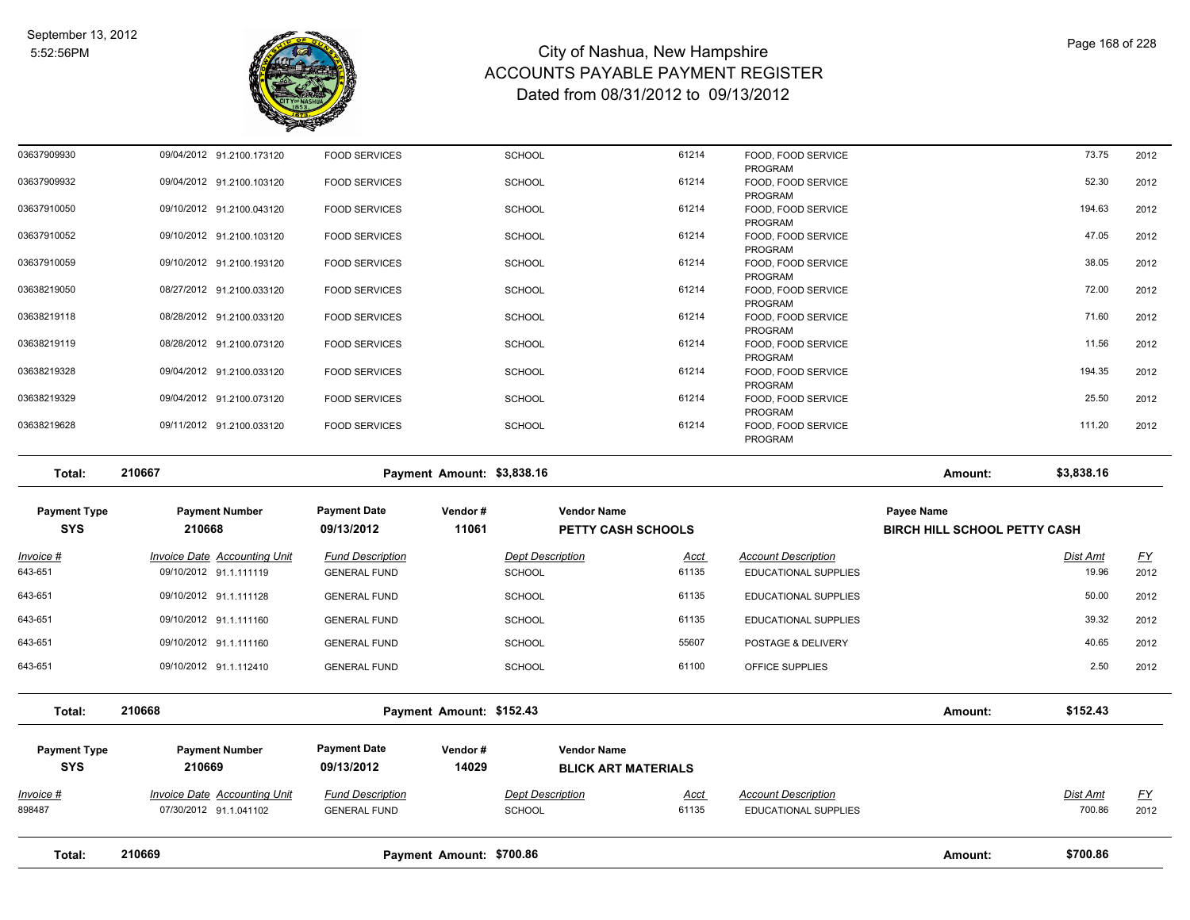

| 03637909930 | 09/04/2012 91.2100.173120 | <b>FOOD SERVICES</b> | <b>SCHOOL</b> | 61214 | FOOD, FOOD SERVICE                       | 73.75  | 2012 |
|-------------|---------------------------|----------------------|---------------|-------|------------------------------------------|--------|------|
| 03637909932 | 09/04/2012 91.2100.103120 | <b>FOOD SERVICES</b> | <b>SCHOOL</b> | 61214 | PROGRAM<br>FOOD, FOOD SERVICE<br>PROGRAM | 52.30  | 2012 |
| 03637910050 | 09/10/2012 91.2100.043120 | <b>FOOD SERVICES</b> | <b>SCHOOL</b> | 61214 | FOOD, FOOD SERVICE<br>PROGRAM            | 194.63 | 2012 |
| 03637910052 | 09/10/2012 91.2100.103120 | <b>FOOD SERVICES</b> | <b>SCHOOL</b> | 61214 | FOOD, FOOD SERVICE<br>PROGRAM            | 47.05  | 2012 |
| 03637910059 | 09/10/2012 91.2100.193120 | <b>FOOD SERVICES</b> | <b>SCHOOL</b> | 61214 | FOOD, FOOD SERVICE<br>PROGRAM            | 38.05  | 2012 |
| 03638219050 | 08/27/2012 91.2100.033120 | <b>FOOD SERVICES</b> | <b>SCHOOL</b> | 61214 | FOOD, FOOD SERVICE<br>PROGRAM            | 72.00  | 2012 |
| 03638219118 | 08/28/2012 91.2100.033120 | <b>FOOD SERVICES</b> | <b>SCHOOL</b> | 61214 | FOOD, FOOD SERVICE<br>PROGRAM            | 71.60  | 2012 |
| 03638219119 | 08/28/2012 91.2100.073120 | <b>FOOD SERVICES</b> | <b>SCHOOL</b> | 61214 | FOOD, FOOD SERVICE<br>PROGRAM            | 11.56  | 2012 |
| 03638219328 | 09/04/2012 91.2100.033120 | <b>FOOD SERVICES</b> | <b>SCHOOL</b> | 61214 | FOOD, FOOD SERVICE<br>PROGRAM            | 194.35 | 2012 |
| 03638219329 | 09/04/2012 91.2100.073120 | <b>FOOD SERVICES</b> | <b>SCHOOL</b> | 61214 | FOOD, FOOD SERVICE<br>PROGRAM            | 25.50  | 2012 |
| 03638219628 | 09/11/2012 91.2100.033120 | <b>FOOD SERVICES</b> | <b>SCHOOL</b> | 61214 | FOOD, FOOD SERVICE<br>PROGRAM            | 111.20 | 2012 |

**Total: 210667 Payment Amount: \$3,838.16 Amount: \$3,838.16 Payment Type Payment Number Payment Date Vendor # Vendor Name Payee Name SYS 09/13/2012** *Invoice # Invoice Date Accounting Unit Fund Description Dept Description Acct Account Description Dist Amt FY*  **210668 11061 PETTY CASH SCHOOLS BIRCH HILL SCHOOL PETTY CASH** 643-651 09/10/2012 91.1.111119 GENERAL FUND SCHOOL 61135 EDUCATIONAL SUPPLIES 19.96 2012 643-651 09/10/2012 91.1.111128 GENERAL FUND SCHOOL 61135 EDUCATIONAL SUPPLIES 50.00 2012 643-651 09/10/2012 91.1.111160 GENERAL FUND SCHOOL 61135 EDUCATIONAL SUPPLIES 39.32 2012 643-651 09/10/2012 91.1.111160 GENERAL FUND SCHOOL 55607 POSTAGE & DELIVERY 40.65 2012 643-651 09/10/2012 91.1.112410 GENERAL FUND SCHOOL 61100 OFFICE SUPPLIES 2.50 2012 **Total: 210668 Payment Amount: \$152.43 Amount: \$152.43**

| Total:                            | 210669                                                        |                                                | Payment Amount: \$700.86 |                                                  |                                                                                   |  | Amount: | \$700.86                  |                   |
|-----------------------------------|---------------------------------------------------------------|------------------------------------------------|--------------------------|--------------------------------------------------|-----------------------------------------------------------------------------------|--|---------|---------------------------|-------------------|
| Invoice #<br>898487               | <b>Invoice Date Accounting Unit</b><br>07/30/2012 91.1.041102 | <b>Fund Description</b><br><b>GENERAL FUND</b> |                          | <b>Dept Description</b><br><b>SCHOOL</b>         | <b>Account Description</b><br><u>Acct</u><br>61135<br><b>EDUCATIONAL SUPPLIES</b> |  |         | <u>Dist Amt</u><br>700.86 | <u>FY</u><br>2012 |
| <b>Payment Type</b><br><b>SYS</b> | <b>Payment Number</b><br>210669                               | <b>Payment Date</b><br>09/13/2012              | Vendor#<br>14029         | <b>Vendor Name</b><br><b>BLICK ART MATERIALS</b> |                                                                                   |  |         |                           |                   |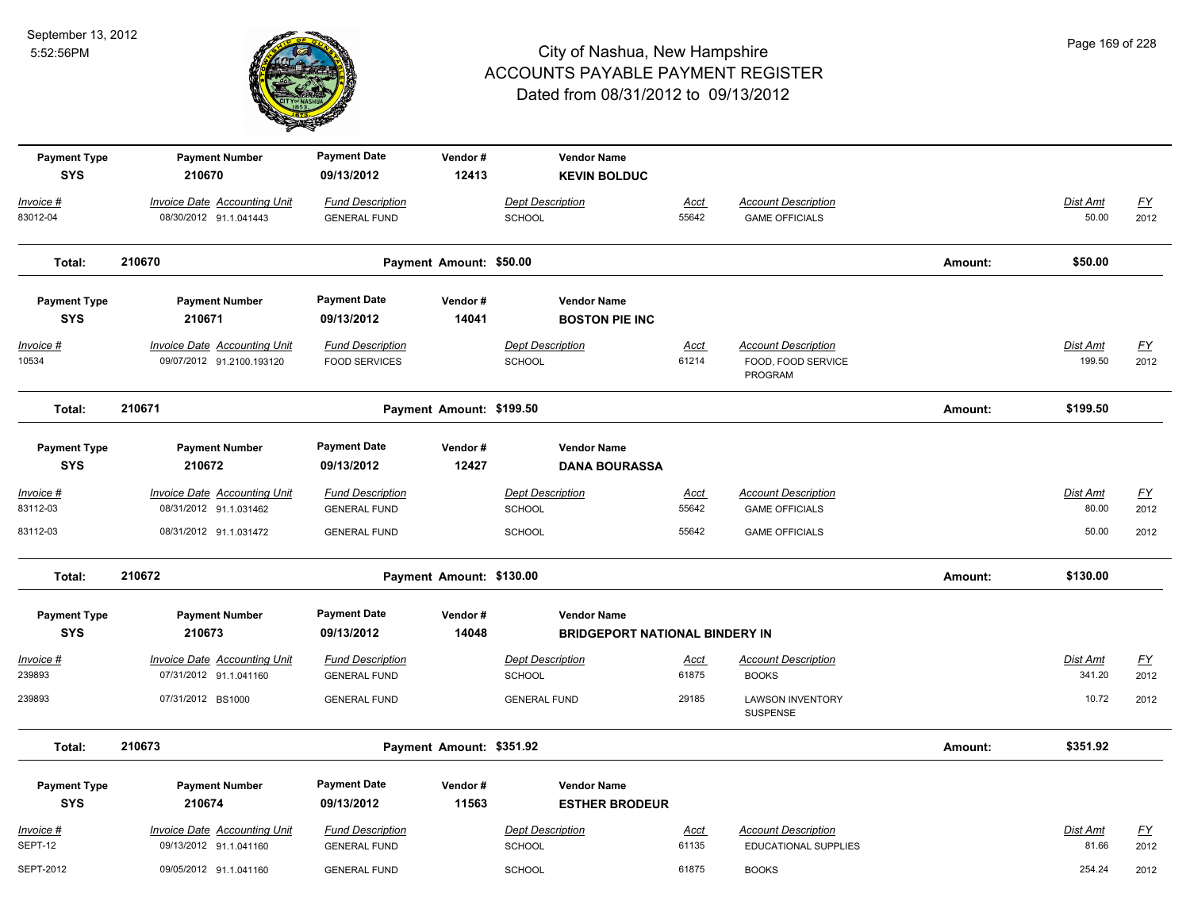

| <b>Payment Type</b><br><b>SYS</b> | <b>Payment Number</b><br>210670                                  | <b>Payment Date</b><br>09/13/2012               | Vendor#<br>12413         | <b>Vendor Name</b>                    |                      |                                                             |         |                          |                                   |
|-----------------------------------|------------------------------------------------------------------|-------------------------------------------------|--------------------------|---------------------------------------|----------------------|-------------------------------------------------------------|---------|--------------------------|-----------------------------------|
|                                   |                                                                  |                                                 |                          | <b>KEVIN BOLDUC</b>                   |                      |                                                             |         |                          |                                   |
| Invoice #                         | <b>Invoice Date Accounting Unit</b>                              | <b>Fund Description</b>                         |                          | <b>Dept Description</b>               | Acct                 | <b>Account Description</b>                                  |         | Dist Amt                 | <u>FY</u>                         |
| 83012-04                          | 08/30/2012 91.1.041443                                           | <b>GENERAL FUND</b>                             |                          | SCHOOL                                | 55642                | <b>GAME OFFICIALS</b>                                       |         | 50.00                    | 2012                              |
| Total:                            | 210670                                                           |                                                 | Payment Amount: \$50.00  |                                       |                      |                                                             | Amount: | \$50.00                  |                                   |
| <b>Payment Type</b>               | <b>Payment Number</b>                                            | <b>Payment Date</b>                             | Vendor#                  | <b>Vendor Name</b>                    |                      |                                                             |         |                          |                                   |
| <b>SYS</b>                        | 210671                                                           | 09/13/2012                                      | 14041                    | <b>BOSTON PIE INC</b>                 |                      |                                                             |         |                          |                                   |
| Invoice #<br>10534                | <b>Invoice Date Accounting Unit</b><br>09/07/2012 91.2100.193120 | <b>Fund Description</b><br><b>FOOD SERVICES</b> |                          | <b>Dept Description</b><br>SCHOOL     | Acct<br>61214        | <b>Account Description</b><br>FOOD, FOOD SERVICE<br>PROGRAM |         | Dist Amt<br>199.50       | $\underline{\mathsf{FY}}$<br>2012 |
| Total:                            | 210671                                                           |                                                 | Payment Amount: \$199.50 |                                       |                      |                                                             | Amount: | \$199.50                 |                                   |
| <b>Payment Type</b>               | <b>Payment Number</b>                                            | <b>Payment Date</b>                             | Vendor#                  | <b>Vendor Name</b>                    |                      |                                                             |         |                          |                                   |
| <b>SYS</b>                        | 210672                                                           | 09/13/2012                                      | 12427                    | <b>DANA BOURASSA</b>                  |                      |                                                             |         |                          |                                   |
| <u> Invoice #</u><br>83112-03     | <b>Invoice Date Accounting Unit</b><br>08/31/2012 91.1.031462    | <b>Fund Description</b><br><b>GENERAL FUND</b>  |                          | <b>Dept Description</b><br>SCHOOL     | <u>Acct</u><br>55642 | <b>Account Description</b><br><b>GAME OFFICIALS</b>         |         | <b>Dist Amt</b><br>80.00 | <u>FY</u><br>2012                 |
| 83112-03                          | 08/31/2012 91.1.031472                                           | <b>GENERAL FUND</b>                             |                          | <b>SCHOOL</b>                         | 55642                | <b>GAME OFFICIALS</b>                                       |         | 50.00                    | 2012                              |
| Total:                            | 210672                                                           |                                                 | Payment Amount: \$130.00 |                                       |                      |                                                             | Amount: | \$130.00                 |                                   |
| <b>Payment Type</b>               | <b>Payment Number</b>                                            | <b>Payment Date</b>                             | Vendor#                  | <b>Vendor Name</b>                    |                      |                                                             |         |                          |                                   |
| <b>SYS</b>                        | 210673                                                           | 09/13/2012                                      | 14048                    | <b>BRIDGEPORT NATIONAL BINDERY IN</b> |                      |                                                             |         |                          |                                   |
| Invoice #                         | <b>Invoice Date Accounting Unit</b>                              | <b>Fund Description</b>                         |                          | <b>Dept Description</b>               | <u>Acct</u>          | <b>Account Description</b>                                  |         | Dist Amt                 | $\underline{FY}$                  |
| 239893                            | 07/31/2012 91.1.041160                                           | <b>GENERAL FUND</b>                             |                          | <b>SCHOOL</b>                         | 61875                | <b>BOOKS</b>                                                |         | 341.20                   | 2012                              |
| 239893                            | 07/31/2012 BS1000                                                | <b>GENERAL FUND</b>                             |                          | <b>GENERAL FUND</b>                   | 29185                | <b>LAWSON INVENTORY</b><br>SUSPENSE                         |         | 10.72                    | 2012                              |
| Total:                            | 210673                                                           |                                                 | Payment Amount: \$351.92 |                                       |                      |                                                             | Amount: | \$351.92                 |                                   |
| <b>Payment Type</b>               | <b>Payment Number</b>                                            | <b>Payment Date</b>                             | Vendor#                  | <b>Vendor Name</b>                    |                      |                                                             |         |                          |                                   |
| <b>SYS</b>                        | 210674                                                           | 09/13/2012                                      | 11563                    | <b>ESTHER BRODEUR</b>                 |                      |                                                             |         |                          |                                   |
| Invoice #                         | <b>Invoice Date Accounting Unit</b>                              | <b>Fund Description</b>                         |                          | <b>Dept Description</b>               | Acct                 | <b>Account Description</b>                                  |         | Dist Amt                 | <u>FY</u>                         |
| SEPT-12                           | 09/13/2012 91.1.041160                                           | <b>GENERAL FUND</b>                             |                          | SCHOOL                                | 61135                | EDUCATIONAL SUPPLIES                                        |         | 81.66                    | 2012                              |
| SEPT-2012                         | 09/05/2012 91.1.041160                                           | <b>GENERAL FUND</b>                             |                          | <b>SCHOOL</b>                         | 61875                | <b>BOOKS</b>                                                |         | 254.24                   | 2012                              |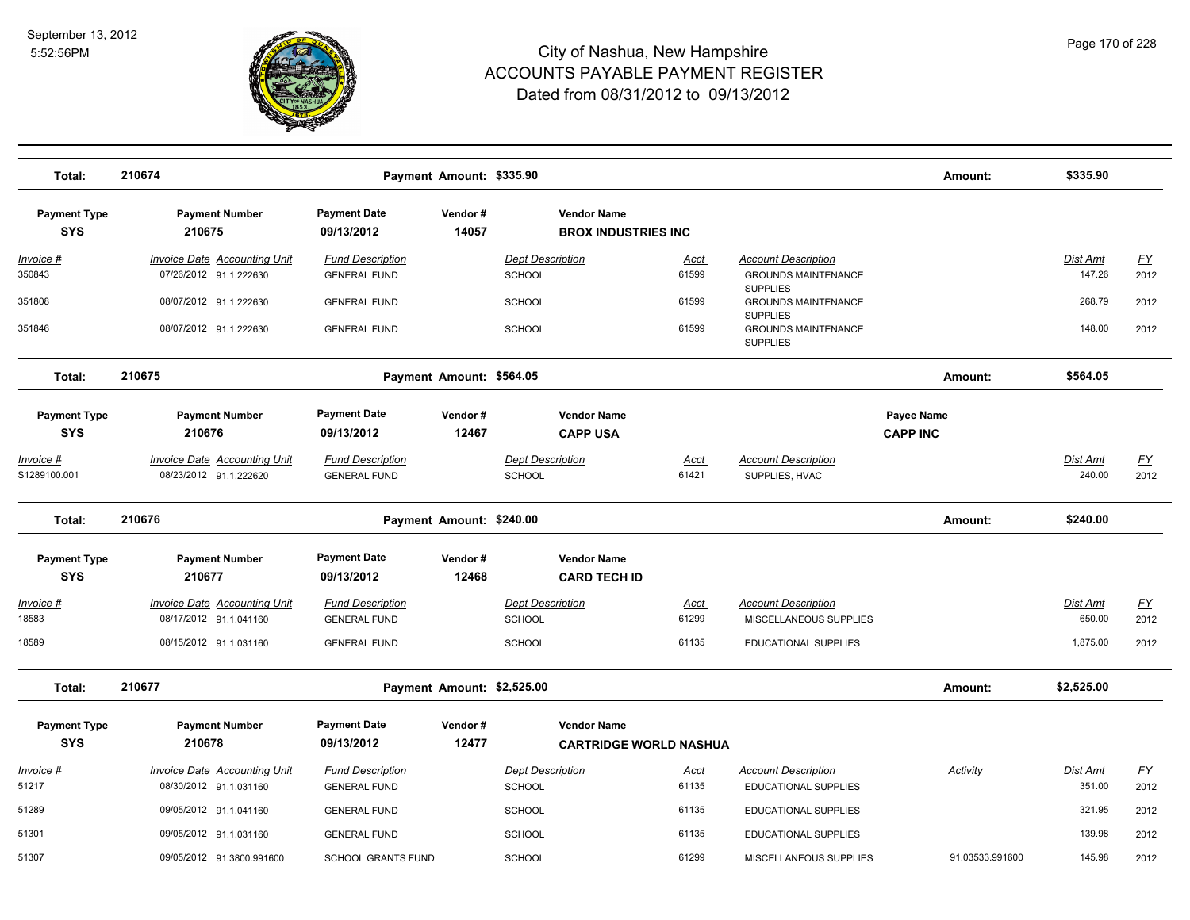

| Total:                            | 210674                                                        |                                                | Payment Amount: \$335.90   |                                          |                                                     |                      |                                                                  | Amount:                       | \$335.90                  |                   |
|-----------------------------------|---------------------------------------------------------------|------------------------------------------------|----------------------------|------------------------------------------|-----------------------------------------------------|----------------------|------------------------------------------------------------------|-------------------------------|---------------------------|-------------------|
| <b>Payment Type</b><br><b>SYS</b> | <b>Payment Number</b><br>210675                               | <b>Payment Date</b><br>09/13/2012              | Vendor#<br>14057           |                                          | <b>Vendor Name</b><br><b>BROX INDUSTRIES INC</b>    |                      |                                                                  |                               |                           |                   |
| Invoice #<br>350843               | <b>Invoice Date Accounting Unit</b><br>07/26/2012 91.1.222630 | <b>Fund Description</b><br><b>GENERAL FUND</b> |                            | <b>Dept Description</b><br><b>SCHOOL</b> |                                                     | <u>Acct</u><br>61599 | <b>Account Description</b><br><b>GROUNDS MAINTENANCE</b>         |                               | Dist Amt<br>147.26        | EY<br>2012        |
| 351808                            | 08/07/2012 91.1.222630                                        | <b>GENERAL FUND</b>                            |                            | SCHOOL                                   |                                                     | 61599                | <b>SUPPLIES</b><br><b>GROUNDS MAINTENANCE</b>                    |                               | 268.79                    | 2012              |
| 351846                            | 08/07/2012 91.1.222630                                        | <b>GENERAL FUND</b>                            |                            | SCHOOL                                   |                                                     | 61599                | <b>SUPPLIES</b><br><b>GROUNDS MAINTENANCE</b><br><b>SUPPLIES</b> |                               | 148.00                    | 2012              |
| Total:                            | 210675                                                        |                                                | Payment Amount: \$564.05   |                                          |                                                     |                      |                                                                  | Amount:                       | \$564.05                  |                   |
| <b>Payment Type</b><br><b>SYS</b> | <b>Payment Number</b><br>210676                               | <b>Payment Date</b><br>09/13/2012              | Vendor#<br>12467           |                                          | <b>Vendor Name</b><br><b>CAPP USA</b>               |                      |                                                                  | Payee Name<br><b>CAPP INC</b> |                           |                   |
| <u>Invoice #</u><br>S1289100.001  | <b>Invoice Date Accounting Unit</b><br>08/23/2012 91.1.222620 | <b>Fund Description</b><br><b>GENERAL FUND</b> |                            | <b>Dept Description</b><br><b>SCHOOL</b> |                                                     | <b>Acct</b><br>61421 | <b>Account Description</b><br>SUPPLIES, HVAC                     |                               | <b>Dist Amt</b><br>240.00 | <u>FY</u><br>2012 |
| Total:                            | 210676                                                        |                                                | Payment Amount: \$240.00   |                                          |                                                     |                      |                                                                  | Amount:                       | \$240.00                  |                   |
| <b>Payment Type</b><br><b>SYS</b> | <b>Payment Number</b><br>210677                               | <b>Payment Date</b><br>09/13/2012              | Vendor#<br>12468           |                                          | <b>Vendor Name</b><br><b>CARD TECH ID</b>           |                      |                                                                  |                               |                           |                   |
| Invoice #<br>18583                | <b>Invoice Date Accounting Unit</b><br>08/17/2012 91.1.041160 | <b>Fund Description</b><br><b>GENERAL FUND</b> |                            | <b>Dept Description</b><br>SCHOOL        |                                                     | <u>Acct</u><br>61299 | <b>Account Description</b><br>MISCELLANEOUS SUPPLIES             |                               | Dist Amt<br>650.00        | EY<br>2012        |
| 18589                             | 08/15/2012 91.1.031160                                        | <b>GENERAL FUND</b>                            |                            | <b>SCHOOL</b>                            |                                                     | 61135                | <b>EDUCATIONAL SUPPLIES</b>                                      |                               | 1,875.00                  | 2012              |
| Total:                            | 210677                                                        |                                                | Payment Amount: \$2,525.00 |                                          |                                                     |                      |                                                                  | Amount:                       | \$2,525.00                |                   |
| <b>Payment Type</b><br><b>SYS</b> | <b>Payment Number</b><br>210678                               | <b>Payment Date</b><br>09/13/2012              | Vendor#<br>12477           |                                          | <b>Vendor Name</b><br><b>CARTRIDGE WORLD NASHUA</b> |                      |                                                                  |                               |                           |                   |
| Invoice #<br>51217                | <b>Invoice Date Accounting Unit</b><br>08/30/2012 91.1.031160 | <b>Fund Description</b><br><b>GENERAL FUND</b> |                            | <b>Dept Description</b><br>SCHOOL        |                                                     | <u>Acct</u><br>61135 | <b>Account Description</b><br><b>EDUCATIONAL SUPPLIES</b>        | Activity                      | Dist Amt<br>351.00        | <u>FY</u><br>2012 |
| 51289                             | 09/05/2012 91.1.041160                                        | <b>GENERAL FUND</b>                            |                            | <b>SCHOOL</b>                            |                                                     | 61135                | <b>EDUCATIONAL SUPPLIES</b>                                      |                               | 321.95                    | 2012              |
| 51301                             | 09/05/2012 91.1.031160                                        | <b>GENERAL FUND</b>                            |                            | <b>SCHOOL</b>                            |                                                     | 61135                | EDUCATIONAL SUPPLIES                                             |                               | 139.98                    | 2012              |
| 51307                             | 09/05/2012 91.3800.991600                                     | <b>SCHOOL GRANTS FUND</b>                      |                            | SCHOOL                                   |                                                     | 61299                | MISCELLANEOUS SUPPLIES                                           | 91.03533.991600               | 145.98                    | 2012              |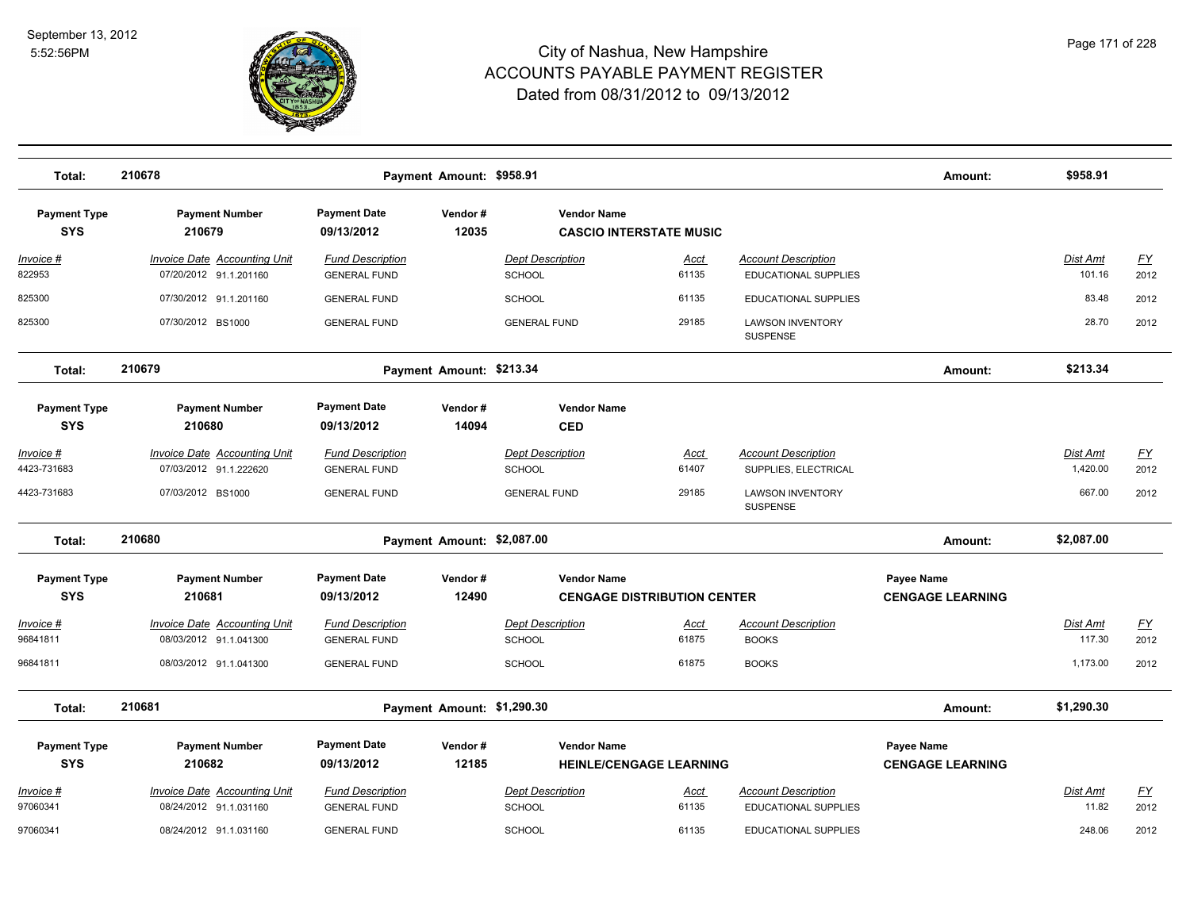

| Total:                            | 210678                                                        |                                                | Payment Amount: \$958.91   |                                          |                                    |                                                           | Amount:                                      | \$958.91                    |                          |
|-----------------------------------|---------------------------------------------------------------|------------------------------------------------|----------------------------|------------------------------------------|------------------------------------|-----------------------------------------------------------|----------------------------------------------|-----------------------------|--------------------------|
| <b>Payment Type</b><br><b>SYS</b> | <b>Payment Number</b><br>210679                               | <b>Payment Date</b><br>09/13/2012              | Vendor#<br>12035           | <b>Vendor Name</b>                       | <b>CASCIO INTERSTATE MUSIC</b>     |                                                           |                                              |                             |                          |
| Invoice #<br>822953               | <b>Invoice Date Accounting Unit</b><br>07/20/2012 91.1.201160 | <b>Fund Description</b><br><b>GENERAL FUND</b> |                            | <b>Dept Description</b><br>SCHOOL        | <u>Acct</u><br>61135               | <b>Account Description</b><br><b>EDUCATIONAL SUPPLIES</b> |                                              | Dist Amt<br>101.16          | $\underline{FY}$<br>2012 |
| 825300                            | 07/30/2012 91.1.201160                                        | <b>GENERAL FUND</b>                            |                            | <b>SCHOOL</b>                            | 61135                              | <b>EDUCATIONAL SUPPLIES</b>                               |                                              | 83.48                       | 2012                     |
| 825300                            | 07/30/2012 BS1000                                             | <b>GENERAL FUND</b>                            |                            | <b>GENERAL FUND</b>                      | 29185                              | <b>LAWSON INVENTORY</b><br><b>SUSPENSE</b>                |                                              | 28.70                       | 2012                     |
| Total:                            | 210679                                                        |                                                | Payment Amount: \$213.34   |                                          |                                    |                                                           | Amount:                                      | \$213.34                    |                          |
| <b>Payment Type</b><br><b>SYS</b> | <b>Payment Number</b><br>210680                               | <b>Payment Date</b><br>09/13/2012              | Vendor#<br>14094           | <b>Vendor Name</b><br><b>CED</b>         |                                    |                                                           |                                              |                             |                          |
| <u>Invoice #</u><br>4423-731683   | <b>Invoice Date Accounting Unit</b><br>07/03/2012 91.1.222620 | <b>Fund Description</b><br><b>GENERAL FUND</b> |                            | <b>Dept Description</b><br><b>SCHOOL</b> | <u>Acct</u><br>61407               | <b>Account Description</b><br>SUPPLIES, ELECTRICAL        |                                              | <b>Dist Amt</b><br>1,420.00 | <u>FY</u><br>2012        |
| 4423-731683                       | 07/03/2012 BS1000                                             | <b>GENERAL FUND</b>                            |                            | <b>GENERAL FUND</b>                      | 29185                              | <b>LAWSON INVENTORY</b><br>SUSPENSE                       |                                              | 667.00                      | 2012                     |
| Total:                            | 210680                                                        |                                                | Payment Amount: \$2,087.00 |                                          |                                    |                                                           | Amount:                                      | \$2,087.00                  |                          |
| <b>Payment Type</b><br><b>SYS</b> | <b>Payment Number</b><br>210681                               | <b>Payment Date</b><br>09/13/2012              | Vendor#<br>12490           | <b>Vendor Name</b>                       | <b>CENGAGE DISTRIBUTION CENTER</b> |                                                           | <b>Payee Name</b><br><b>CENGAGE LEARNING</b> |                             |                          |
| Invoice #<br>96841811             | <b>Invoice Date Accounting Unit</b><br>08/03/2012 91.1.041300 | <b>Fund Description</b><br><b>GENERAL FUND</b> |                            | <b>Dept Description</b><br><b>SCHOOL</b> | <u>Acct</u><br>61875               | <b>Account Description</b><br><b>BOOKS</b>                |                                              | <b>Dist Amt</b><br>117.30   | <u>FY</u><br>2012        |
| 96841811                          | 08/03/2012 91.1.041300                                        | <b>GENERAL FUND</b>                            |                            | <b>SCHOOL</b>                            | 61875                              | <b>BOOKS</b>                                              |                                              | 1,173.00                    | 2012                     |
| Total:                            | 210681                                                        |                                                | Payment Amount: \$1,290.30 |                                          |                                    |                                                           | Amount:                                      | \$1,290.30                  |                          |
| <b>Payment Type</b><br><b>SYS</b> | <b>Payment Number</b><br>210682                               | <b>Payment Date</b><br>09/13/2012              | Vendor#<br>12185           | <b>Vendor Name</b>                       | <b>HEINLE/CENGAGE LEARNING</b>     |                                                           | Payee Name<br><b>CENGAGE LEARNING</b>        |                             |                          |
| Invoice #<br>97060341             | <b>Invoice Date Accounting Unit</b><br>08/24/2012 91.1.031160 | <b>Fund Description</b><br><b>GENERAL FUND</b> |                            | <b>Dept Description</b><br><b>SCHOOL</b> | <u>Acct</u><br>61135               | <b>Account Description</b><br>EDUCATIONAL SUPPLIES        |                                              | Dist Amt<br>11.82           | <u>FY</u><br>2012        |
| 97060341                          | 08/24/2012 91.1.031160                                        | <b>GENERAL FUND</b>                            |                            | <b>SCHOOL</b>                            | 61135                              | EDUCATIONAL SUPPLIES                                      |                                              | 248.06                      | 2012                     |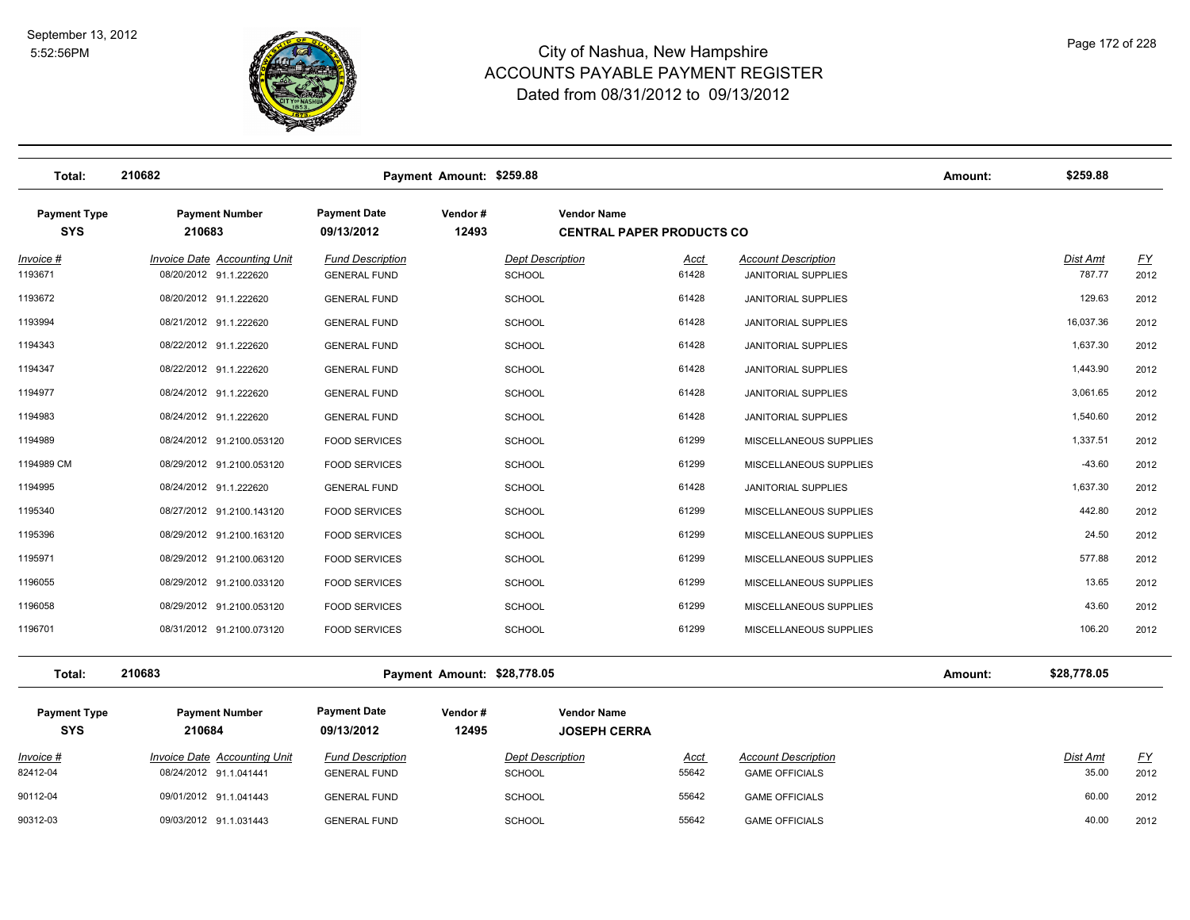

| Total:                            | 210682                                                        |                                                | Payment Amount: \$259.88    |                                                        |                      |                                                          | Amount: | \$259.88           |                   |
|-----------------------------------|---------------------------------------------------------------|------------------------------------------------|-----------------------------|--------------------------------------------------------|----------------------|----------------------------------------------------------|---------|--------------------|-------------------|
| <b>Payment Type</b><br><b>SYS</b> | <b>Payment Number</b><br>210683                               | <b>Payment Date</b><br>09/13/2012              | Vendor#<br>12493            | <b>Vendor Name</b><br><b>CENTRAL PAPER PRODUCTS CO</b> |                      |                                                          |         |                    |                   |
| Invoice #<br>1193671              | Invoice Date Accounting Unit<br>08/20/2012 91.1.222620        | <b>Fund Description</b><br><b>GENERAL FUND</b> |                             | <b>Dept Description</b><br><b>SCHOOL</b>               | Acct<br>61428        | <b>Account Description</b><br><b>JANITORIAL SUPPLIES</b> |         | Dist Amt<br>787.77 | <u>FY</u><br>2012 |
| 1193672                           | 08/20/2012 91.1.222620                                        | <b>GENERAL FUND</b>                            |                             | <b>SCHOOL</b>                                          | 61428                | <b>JANITORIAL SUPPLIES</b>                               |         | 129.63             | 2012              |
| 1193994                           | 08/21/2012 91.1.222620                                        | <b>GENERAL FUND</b>                            |                             | <b>SCHOOL</b>                                          | 61428                | <b>JANITORIAL SUPPLIES</b>                               |         | 16,037.36          | 2012              |
| 1194343                           | 08/22/2012 91.1.222620                                        | <b>GENERAL FUND</b>                            |                             | <b>SCHOOL</b>                                          | 61428                | JANITORIAL SUPPLIES                                      |         | 1,637.30           | 2012              |
| 1194347                           | 08/22/2012 91.1.222620                                        | <b>GENERAL FUND</b>                            |                             | <b>SCHOOL</b>                                          | 61428                | <b>JANITORIAL SUPPLIES</b>                               |         | 1,443.90           | 2012              |
| 1194977                           | 08/24/2012 91.1.222620                                        | <b>GENERAL FUND</b>                            |                             | <b>SCHOOL</b>                                          | 61428                | <b>JANITORIAL SUPPLIES</b>                               |         | 3,061.65           | 2012              |
| 1194983                           | 08/24/2012 91.1.222620                                        | <b>GENERAL FUND</b>                            |                             | <b>SCHOOL</b>                                          | 61428                | <b>JANITORIAL SUPPLIES</b>                               |         | 1,540.60           | 2012              |
| 1194989                           | 08/24/2012 91.2100.053120                                     | <b>FOOD SERVICES</b>                           |                             | <b>SCHOOL</b>                                          | 61299                | MISCELLANEOUS SUPPLIES                                   |         | 1,337.51           | 2012              |
| 1194989 CM                        | 08/29/2012 91.2100.053120                                     | <b>FOOD SERVICES</b>                           |                             | <b>SCHOOL</b>                                          | 61299                | MISCELLANEOUS SUPPLIES                                   |         | $-43.60$           | 2012              |
| 1194995                           | 08/24/2012 91.1.222620                                        | <b>GENERAL FUND</b>                            |                             | <b>SCHOOL</b>                                          | 61428                | <b>JANITORIAL SUPPLIES</b>                               |         | 1,637.30           | 2012              |
| 1195340                           | 08/27/2012 91.2100.143120                                     | <b>FOOD SERVICES</b>                           |                             | <b>SCHOOL</b>                                          | 61299                | MISCELLANEOUS SUPPLIES                                   |         | 442.80             | 2012              |
| 1195396                           | 08/29/2012 91.2100.163120                                     | <b>FOOD SERVICES</b>                           |                             | <b>SCHOOL</b>                                          | 61299                | MISCELLANEOUS SUPPLIES                                   |         | 24.50              | 2012              |
| 1195971                           | 08/29/2012 91.2100.063120                                     | <b>FOOD SERVICES</b>                           |                             | <b>SCHOOL</b>                                          | 61299                | MISCELLANEOUS SUPPLIES                                   |         | 577.88             | 2012              |
| 1196055                           | 08/29/2012 91.2100.033120                                     | <b>FOOD SERVICES</b>                           |                             | <b>SCHOOL</b>                                          | 61299                | MISCELLANEOUS SUPPLIES                                   |         | 13.65              | 2012              |
| 1196058                           | 08/29/2012 91.2100.053120                                     | <b>FOOD SERVICES</b>                           |                             | <b>SCHOOL</b>                                          | 61299                | MISCELLANEOUS SUPPLIES                                   |         | 43.60              | 2012              |
| 1196701                           | 08/31/2012 91.2100.073120                                     | <b>FOOD SERVICES</b>                           |                             | <b>SCHOOL</b>                                          | 61299                | MISCELLANEOUS SUPPLIES                                   |         | 106.20             | 2012              |
| Total:                            | 210683                                                        |                                                | Payment Amount: \$28,778.05 |                                                        |                      |                                                          | Amount: | \$28,778.05        |                   |
| <b>Payment Type</b><br><b>SYS</b> | <b>Payment Number</b><br>210684                               | <b>Payment Date</b><br>09/13/2012              | Vendor#<br>12495            | <b>Vendor Name</b><br><b>JOSEPH CERRA</b>              |                      |                                                          |         |                    |                   |
| Invoice #<br>82412-04             | <b>Invoice Date Accounting Unit</b><br>08/24/2012 91.1.041441 | <b>Fund Description</b><br><b>GENERAL FUND</b> |                             | <b>Dept Description</b><br><b>SCHOOL</b>               | <u>Acct</u><br>55642 | <b>Account Description</b><br><b>GAME OFFICIALS</b>      |         | Dist Amt<br>35.00  | <u>FY</u><br>2012 |
| 90112-04                          | 09/01/2012 91.1.041443                                        | <b>GENERAL FUND</b>                            |                             | <b>SCHOOL</b>                                          | 55642                | <b>GAME OFFICIALS</b>                                    |         | 60.00              | 2012              |
| 90312-03                          | 09/03/2012 91.1.031443                                        | <b>GENERAL FUND</b>                            |                             | <b>SCHOOL</b>                                          | 55642                | <b>GAME OFFICIALS</b>                                    |         | 40.00              | 2012              |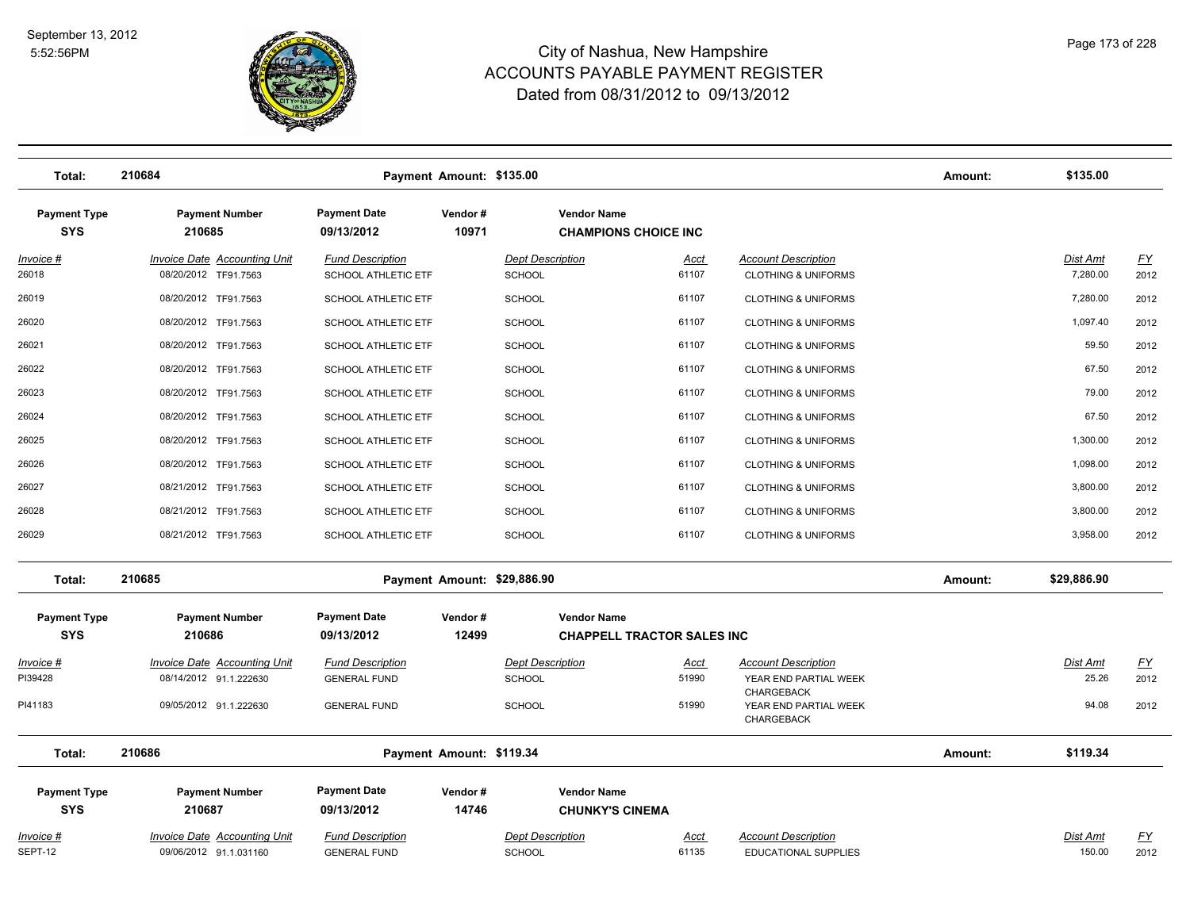

| Total:                            | 210684                                                        |                                                       | Payment Amount: \$135.00    |                                                   |                                   |                                                                   | Amount: | \$135.00             |                          |
|-----------------------------------|---------------------------------------------------------------|-------------------------------------------------------|-----------------------------|---------------------------------------------------|-----------------------------------|-------------------------------------------------------------------|---------|----------------------|--------------------------|
| <b>Payment Type</b><br><b>SYS</b> | <b>Payment Number</b><br>210685                               | <b>Payment Date</b><br>09/13/2012                     | Vendor#<br>10971            | <b>Vendor Name</b><br><b>CHAMPIONS CHOICE INC</b> |                                   |                                                                   |         |                      |                          |
| Invoice #<br>26018                | <b>Invoice Date Accounting Unit</b><br>08/20/2012 TF91.7563   | <b>Fund Description</b><br><b>SCHOOL ATHLETIC ETF</b> |                             | <b>Dept Description</b><br>SCHOOL                 | <u>Acct</u><br>61107              | <b>Account Description</b><br><b>CLOTHING &amp; UNIFORMS</b>      |         | Dist Amt<br>7,280.00 | $\underline{FY}$<br>2012 |
| 26019                             | 08/20/2012 TF91.7563                                          | <b>SCHOOL ATHLETIC ETF</b>                            |                             | <b>SCHOOL</b>                                     | 61107                             | <b>CLOTHING &amp; UNIFORMS</b>                                    |         | 7,280.00             | 2012                     |
| 26020                             | 08/20/2012 TF91.7563                                          | <b>SCHOOL ATHLETIC ETF</b>                            |                             | <b>SCHOOL</b>                                     | 61107                             | <b>CLOTHING &amp; UNIFORMS</b>                                    |         | 1,097.40             | 2012                     |
| 26021                             | 08/20/2012 TF91.7563                                          | SCHOOL ATHLETIC ETF                                   |                             | <b>SCHOOL</b>                                     | 61107                             | <b>CLOTHING &amp; UNIFORMS</b>                                    |         | 59.50                | 2012                     |
| 26022                             | 08/20/2012 TF91.7563                                          | <b>SCHOOL ATHLETIC ETF</b>                            |                             | <b>SCHOOL</b>                                     | 61107                             | <b>CLOTHING &amp; UNIFORMS</b>                                    |         | 67.50                | 2012                     |
| 26023                             | 08/20/2012 TF91.7563                                          | <b>SCHOOL ATHLETIC ETF</b>                            |                             | <b>SCHOOL</b>                                     | 61107                             | <b>CLOTHING &amp; UNIFORMS</b>                                    |         | 79.00                | 2012                     |
| 26024                             | 08/20/2012 TF91.7563                                          | SCHOOL ATHLETIC ETF                                   |                             | <b>SCHOOL</b>                                     | 61107                             | <b>CLOTHING &amp; UNIFORMS</b>                                    |         | 67.50                | 2012                     |
| 26025                             | 08/20/2012 TF91.7563                                          | SCHOOL ATHLETIC ETF                                   |                             | <b>SCHOOL</b>                                     | 61107                             | <b>CLOTHING &amp; UNIFORMS</b>                                    |         | 1,300.00             | 2012                     |
| 26026                             | 08/20/2012 TF91.7563                                          | <b>SCHOOL ATHLETIC ETF</b>                            |                             | <b>SCHOOL</b>                                     | 61107                             | <b>CLOTHING &amp; UNIFORMS</b>                                    |         | 1,098.00             | 2012                     |
| 26027                             | 08/21/2012 TF91.7563                                          | SCHOOL ATHLETIC ETF                                   |                             | <b>SCHOOL</b>                                     | 61107                             | <b>CLOTHING &amp; UNIFORMS</b>                                    |         | 3,800.00             | 2012                     |
| 26028                             | 08/21/2012 TF91.7563                                          | SCHOOL ATHLETIC ETF                                   |                             | <b>SCHOOL</b>                                     | 61107                             | <b>CLOTHING &amp; UNIFORMS</b>                                    |         | 3,800.00             | 2012                     |
| 26029                             | 08/21/2012 TF91.7563                                          | SCHOOL ATHLETIC ETF                                   |                             | <b>SCHOOL</b>                                     | 61107                             | <b>CLOTHING &amp; UNIFORMS</b>                                    |         | 3,958.00             | 2012                     |
| Total:                            | 210685                                                        |                                                       | Payment Amount: \$29,886.90 |                                                   |                                   |                                                                   | Amount: | \$29,886.90          |                          |
| <b>Payment Type</b>               | <b>Payment Number</b>                                         | <b>Payment Date</b>                                   | Vendor#                     | <b>Vendor Name</b>                                |                                   |                                                                   |         |                      |                          |
| <b>SYS</b>                        | 210686                                                        | 09/13/2012                                            | 12499                       |                                                   | <b>CHAPPELL TRACTOR SALES INC</b> |                                                                   |         |                      |                          |
| Invoice #<br>PI39428              | <b>Invoice Date Accounting Unit</b><br>08/14/2012 91.1.222630 | <b>Fund Description</b><br><b>GENERAL FUND</b>        |                             | <b>Dept Description</b><br><b>SCHOOL</b>          | <u>Acct</u><br>51990              | <b>Account Description</b><br>YEAR END PARTIAL WEEK<br>CHARGEBACK |         | Dist Amt<br>25.26    | EY<br>2012               |
| PI41183                           | 09/05/2012 91.1.222630                                        | <b>GENERAL FUND</b>                                   |                             | <b>SCHOOL</b>                                     | 51990                             | YEAR END PARTIAL WEEK<br>CHARGEBACK                               |         | 94.08                | 2012                     |
| Total:                            | 210686                                                        |                                                       | Payment Amount: \$119.34    |                                                   |                                   |                                                                   | Amount: | \$119.34             |                          |
| <b>Payment Type</b><br><b>SYS</b> | <b>Payment Number</b><br>210687                               | <b>Payment Date</b><br>09/13/2012                     | Vendor#<br>14746            | <b>Vendor Name</b><br><b>CHUNKY'S CINEMA</b>      |                                   |                                                                   |         |                      |                          |
| Invoice #<br>SEPT-12              | <b>Invoice Date Accounting Unit</b><br>09/06/2012 91.1.031160 | <b>Fund Description</b><br><b>GENERAL FUND</b>        |                             | <b>Dept Description</b><br><b>SCHOOL</b>          | <u>Acct</u><br>61135              | <b>Account Description</b><br>EDUCATIONAL SUPPLIES                |         | Dist Amt<br>150.00   | <u>FY</u><br>2012        |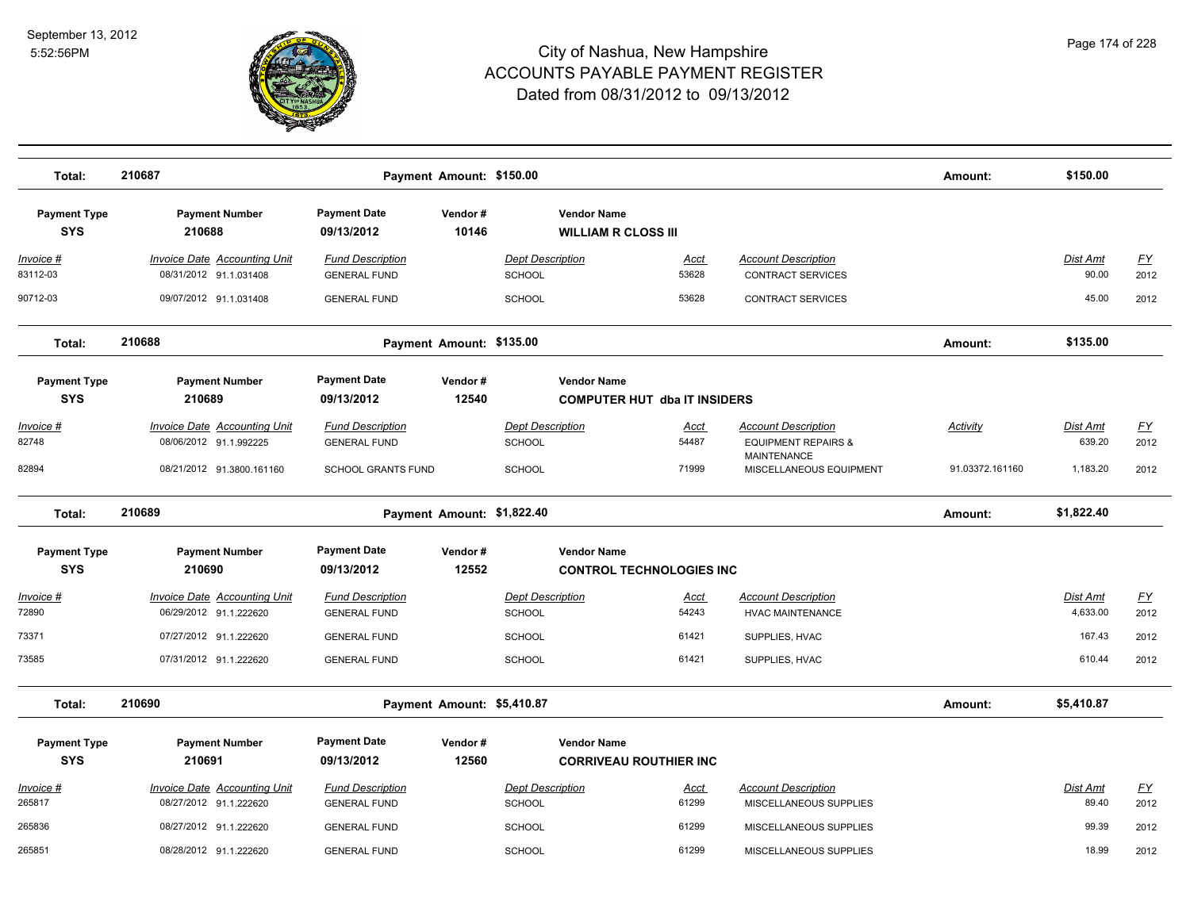

| Total:                            | 210687                                                        |                                                | Payment Amount: \$150.00   |                                          |                                                           |                      |                                                                                    | Amount:         | \$150.00                  |                   |
|-----------------------------------|---------------------------------------------------------------|------------------------------------------------|----------------------------|------------------------------------------|-----------------------------------------------------------|----------------------|------------------------------------------------------------------------------------|-----------------|---------------------------|-------------------|
| <b>Payment Type</b><br><b>SYS</b> | <b>Payment Number</b><br>210688                               | <b>Payment Date</b><br>09/13/2012              | Vendor#<br>10146           |                                          | <b>Vendor Name</b><br><b>WILLIAM R CLOSS III</b>          |                      |                                                                                    |                 |                           |                   |
| Invoice #<br>83112-03             | <b>Invoice Date Accounting Unit</b><br>08/31/2012 91.1.031408 | <b>Fund Description</b><br><b>GENERAL FUND</b> |                            | <b>Dept Description</b><br><b>SCHOOL</b> |                                                           | <u>Acct</u><br>53628 | <b>Account Description</b><br><b>CONTRACT SERVICES</b>                             |                 | <u>Dist Amt</u><br>90.00  | <u>FY</u><br>2012 |
| 90712-03                          | 09/07/2012 91.1.031408                                        | <b>GENERAL FUND</b>                            |                            | <b>SCHOOL</b>                            |                                                           | 53628                | <b>CONTRACT SERVICES</b>                                                           |                 | 45.00                     | 2012              |
| Total:                            | 210688                                                        |                                                | Payment Amount: \$135.00   |                                          |                                                           |                      |                                                                                    | Amount:         | \$135.00                  |                   |
| <b>Payment Type</b><br><b>SYS</b> | <b>Payment Number</b><br>210689                               | <b>Payment Date</b><br>09/13/2012              | Vendor#<br>12540           |                                          | <b>Vendor Name</b><br><b>COMPUTER HUT dba IT INSIDERS</b> |                      |                                                                                    |                 |                           |                   |
| <u>Invoice #</u><br>82748         | <b>Invoice Date Accounting Unit</b><br>08/06/2012 91.1.992225 | <b>Fund Description</b><br><b>GENERAL FUND</b> |                            | <b>Dept Description</b><br>SCHOOL        |                                                           | <u>Acct</u><br>54487 | <b>Account Description</b><br><b>EQUIPMENT REPAIRS &amp;</b><br><b>MAINTENANCE</b> | <b>Activity</b> | <u>Dist Amt</u><br>639.20 | <u>FY</u><br>2012 |
| 82894                             | 08/21/2012 91.3800.161160                                     | <b>SCHOOL GRANTS FUND</b>                      |                            | <b>SCHOOL</b>                            |                                                           | 71999                | MISCELLANEOUS EQUIPMENT                                                            | 91.03372.161160 | 1,183.20                  | 2012              |
| Total:                            | 210689                                                        |                                                | Payment Amount: \$1,822.40 |                                          |                                                           |                      |                                                                                    | Amount:         | \$1,822.40                |                   |
| <b>Payment Type</b><br><b>SYS</b> | <b>Payment Number</b><br>210690                               | <b>Payment Date</b><br>09/13/2012              | Vendor#<br>12552           |                                          | <b>Vendor Name</b><br><b>CONTROL TECHNOLOGIES INC</b>     |                      |                                                                                    |                 |                           |                   |
| Invoice #<br>72890                | <b>Invoice Date Accounting Unit</b><br>06/29/2012 91.1.222620 | <b>Fund Description</b><br><b>GENERAL FUND</b> |                            | <b>Dept Description</b><br><b>SCHOOL</b> |                                                           | <u>Acct</u><br>54243 | <b>Account Description</b><br><b>HVAC MAINTENANCE</b>                              |                 | Dist Amt<br>4,633.00      | <u>FY</u><br>2012 |
| 73371                             | 07/27/2012 91.1.222620                                        | <b>GENERAL FUND</b>                            |                            | <b>SCHOOL</b>                            |                                                           | 61421                | SUPPLIES, HVAC                                                                     |                 | 167.43                    | 2012              |
| 73585                             | 07/31/2012 91.1.222620                                        | <b>GENERAL FUND</b>                            |                            | SCHOOL                                   |                                                           | 61421                | SUPPLIES, HVAC                                                                     |                 | 610.44                    | 2012              |
| Total:                            | 210690                                                        |                                                | Payment Amount: \$5,410.87 |                                          |                                                           |                      |                                                                                    | Amount:         | \$5,410.87                |                   |
| <b>Payment Type</b><br><b>SYS</b> | <b>Payment Number</b><br>210691                               | <b>Payment Date</b><br>09/13/2012              | Vendor#<br>12560           |                                          | <b>Vendor Name</b><br><b>CORRIVEAU ROUTHIER INC</b>       |                      |                                                                                    |                 |                           |                   |
| <u> Invoice #</u><br>265817       | <b>Invoice Date Accounting Unit</b><br>08/27/2012 91.1.222620 | <b>Fund Description</b><br><b>GENERAL FUND</b> |                            | <b>Dept Description</b><br>SCHOOL        |                                                           | <u>Acct</u><br>61299 | <b>Account Description</b><br>MISCELLANEOUS SUPPLIES                               |                 | Dist Amt<br>89.40         | <u>FY</u><br>2012 |
| 265836                            | 08/27/2012 91.1.222620                                        | <b>GENERAL FUND</b>                            |                            | SCHOOL                                   |                                                           | 61299                | MISCELLANEOUS SUPPLIES                                                             |                 | 99.39                     | 2012              |
| 265851                            | 08/28/2012 91.1.222620                                        | <b>GENERAL FUND</b>                            |                            | SCHOOL                                   |                                                           | 61299                | MISCELLANEOUS SUPPLIES                                                             |                 | 18.99                     | 2012              |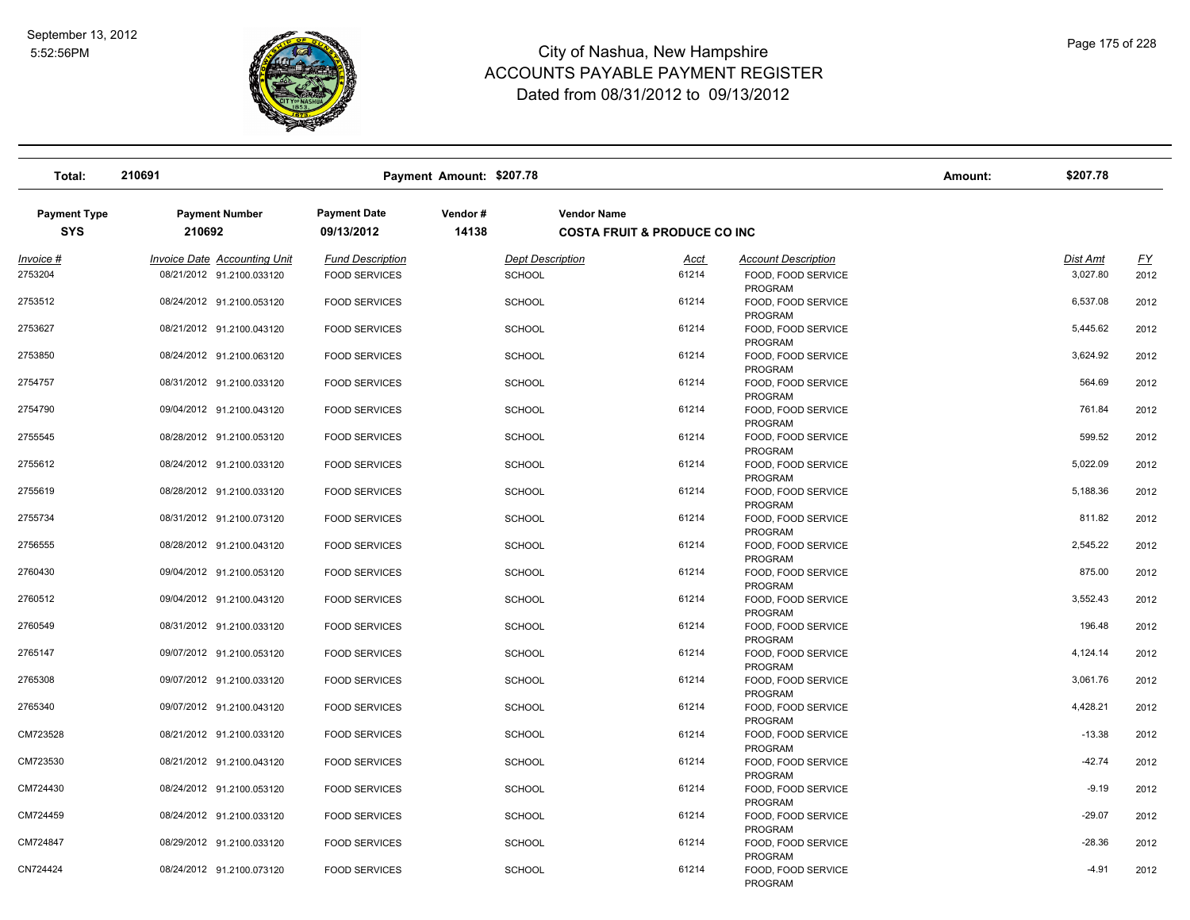

| Total:                            | 210691                          |                                   | Payment Amount: \$207.78 |                                                               |                                      | Amount: | \$207.78 |           |
|-----------------------------------|---------------------------------|-----------------------------------|--------------------------|---------------------------------------------------------------|--------------------------------------|---------|----------|-----------|
| <b>Payment Type</b><br><b>SYS</b> | <b>Payment Number</b><br>210692 | <b>Payment Date</b><br>09/13/2012 | Vendor#<br>14138         | <b>Vendor Name</b><br><b>COSTA FRUIT &amp; PRODUCE CO INC</b> |                                      |         |          |           |
| Invoice #                         | Invoice Date Accounting Unit    | <b>Fund Description</b>           |                          | <b>Dept Description</b><br>Acct                               | <b>Account Description</b>           |         | Dist Amt | <u>FY</u> |
| 2753204                           | 08/21/2012 91.2100.033120       | <b>FOOD SERVICES</b>              | <b>SCHOOL</b>            | 61214                                                         | FOOD, FOOD SERVICE<br><b>PROGRAM</b> |         | 3,027.80 | 2012      |
| 2753512                           | 08/24/2012 91.2100.053120       | <b>FOOD SERVICES</b>              | SCHOOL                   | 61214                                                         | FOOD, FOOD SERVICE<br><b>PROGRAM</b> |         | 6,537.08 | 2012      |
| 2753627                           | 08/21/2012 91.2100.043120       | <b>FOOD SERVICES</b>              | <b>SCHOOL</b>            | 61214                                                         | FOOD, FOOD SERVICE<br><b>PROGRAM</b> |         | 5,445.62 | 2012      |
| 2753850                           | 08/24/2012 91.2100.063120       | <b>FOOD SERVICES</b>              | <b>SCHOOL</b>            | 61214                                                         | FOOD, FOOD SERVICE<br>PROGRAM        |         | 3,624.92 | 2012      |
| 2754757                           | 08/31/2012 91.2100.033120       | <b>FOOD SERVICES</b>              | <b>SCHOOL</b>            | 61214                                                         | FOOD, FOOD SERVICE<br><b>PROGRAM</b> |         | 564.69   | 2012      |
| 2754790                           | 09/04/2012 91.2100.043120       | <b>FOOD SERVICES</b>              | <b>SCHOOL</b>            | 61214                                                         | FOOD, FOOD SERVICE<br>PROGRAM        |         | 761.84   | 2012      |
| 2755545                           | 08/28/2012 91.2100.053120       | <b>FOOD SERVICES</b>              | <b>SCHOOL</b>            | 61214                                                         | FOOD, FOOD SERVICE<br>PROGRAM        |         | 599.52   | 2012      |
| 2755612                           | 08/24/2012 91.2100.033120       | <b>FOOD SERVICES</b>              | <b>SCHOOL</b>            | 61214                                                         | FOOD, FOOD SERVICE<br>PROGRAM        |         | 5,022.09 | 2012      |
| 2755619                           | 08/28/2012 91.2100.033120       | <b>FOOD SERVICES</b>              | <b>SCHOOL</b>            | 61214                                                         | FOOD, FOOD SERVICE<br>PROGRAM        |         | 5,188.36 | 2012      |
| 2755734                           | 08/31/2012 91.2100.073120       | <b>FOOD SERVICES</b>              | <b>SCHOOL</b>            | 61214                                                         | FOOD, FOOD SERVICE<br><b>PROGRAM</b> |         | 811.82   | 2012      |
| 2756555                           | 08/28/2012 91.2100.043120       | <b>FOOD SERVICES</b>              | <b>SCHOOL</b>            | 61214                                                         | FOOD, FOOD SERVICE<br><b>PROGRAM</b> |         | 2,545.22 | 2012      |
| 2760430                           | 09/04/2012 91.2100.053120       | <b>FOOD SERVICES</b>              | <b>SCHOOL</b>            | 61214                                                         | FOOD, FOOD SERVICE<br><b>PROGRAM</b> |         | 875.00   | 2012      |
| 2760512                           | 09/04/2012 91.2100.043120       | <b>FOOD SERVICES</b>              | <b>SCHOOL</b>            | 61214                                                         | FOOD, FOOD SERVICE<br>PROGRAM        |         | 3,552.43 | 2012      |
| 2760549                           | 08/31/2012 91.2100.033120       | <b>FOOD SERVICES</b>              | <b>SCHOOL</b>            | 61214                                                         | FOOD, FOOD SERVICE<br>PROGRAM        |         | 196.48   | 2012      |
| 2765147                           | 09/07/2012 91.2100.053120       | <b>FOOD SERVICES</b>              | <b>SCHOOL</b>            | 61214                                                         | FOOD, FOOD SERVICE<br>PROGRAM        |         | 4,124.14 | 2012      |
| 2765308                           | 09/07/2012 91.2100.033120       | <b>FOOD SERVICES</b>              | <b>SCHOOL</b>            | 61214                                                         | FOOD, FOOD SERVICE<br>PROGRAM        |         | 3,061.76 | 2012      |
| 2765340                           | 09/07/2012 91.2100.043120       | <b>FOOD SERVICES</b>              | <b>SCHOOL</b>            | 61214                                                         | FOOD, FOOD SERVICE<br>PROGRAM        |         | 4,428.21 | 2012      |
| CM723528                          | 08/21/2012 91.2100.033120       | <b>FOOD SERVICES</b>              | <b>SCHOOL</b>            | 61214                                                         | FOOD, FOOD SERVICE<br><b>PROGRAM</b> |         | $-13.38$ | 2012      |
| CM723530                          | 08/21/2012 91.2100.043120       | <b>FOOD SERVICES</b>              | <b>SCHOOL</b>            | 61214                                                         | FOOD, FOOD SERVICE<br><b>PROGRAM</b> |         | $-42.74$ | 2012      |
| CM724430                          | 08/24/2012 91.2100.053120       | <b>FOOD SERVICES</b>              | <b>SCHOOL</b>            | 61214                                                         | FOOD, FOOD SERVICE<br><b>PROGRAM</b> |         | $-9.19$  | 2012      |
| CM724459                          | 08/24/2012 91.2100.033120       | <b>FOOD SERVICES</b>              | SCHOOL                   | 61214                                                         | FOOD, FOOD SERVICE<br>PROGRAM        |         | $-29.07$ | 2012      |
| CM724847                          | 08/29/2012 91.2100.033120       | <b>FOOD SERVICES</b>              | <b>SCHOOL</b>            | 61214                                                         | FOOD, FOOD SERVICE<br>PROGRAM        |         | $-28.36$ | 2012      |
| CN724424                          | 08/24/2012 91.2100.073120       | <b>FOOD SERVICES</b>              | <b>SCHOOL</b>            | 61214                                                         | FOOD, FOOD SERVICE<br>PROGRAM        |         | $-4.91$  | 2012      |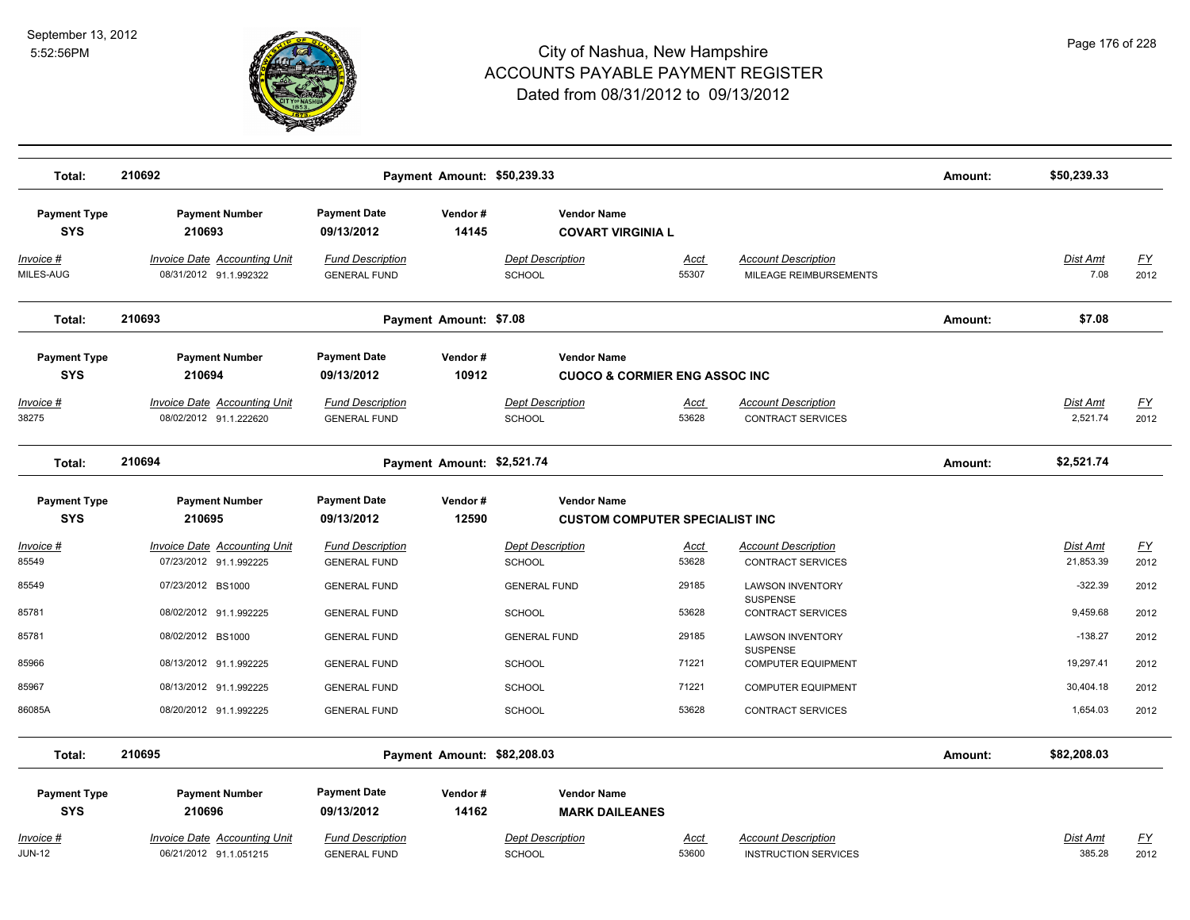

| Total:                            | 210692                                                        |                                                | Payment Amount: \$50,239.33 |                                                                |                      |                                                           | Amount: | \$50,239.33                 |                          |
|-----------------------------------|---------------------------------------------------------------|------------------------------------------------|-----------------------------|----------------------------------------------------------------|----------------------|-----------------------------------------------------------|---------|-----------------------------|--------------------------|
| <b>Payment Type</b><br><b>SYS</b> | <b>Payment Number</b><br>210693                               | <b>Payment Date</b><br>09/13/2012              | Vendor#<br>14145            | <b>Vendor Name</b><br><b>COVART VIRGINIA L</b>                 |                      |                                                           |         |                             |                          |
| Invoice #<br>MILES-AUG            | Invoice Date Accounting Unit<br>08/31/2012 91.1.992322        | <b>Fund Description</b><br><b>GENERAL FUND</b> |                             | <b>Dept Description</b><br><b>SCHOOL</b>                       | <u>Acct</u><br>55307 | <b>Account Description</b><br>MILEAGE REIMBURSEMENTS      |         | Dist Amt<br>7.08            | <u>FY</u><br>2012        |
| Total:                            | 210693                                                        |                                                | Payment Amount: \$7.08      |                                                                |                      |                                                           | Amount: | \$7.08                      |                          |
| <b>Payment Type</b><br><b>SYS</b> | <b>Payment Number</b><br>210694                               | <b>Payment Date</b><br>09/13/2012              | Vendor#<br>10912            | <b>Vendor Name</b><br><b>CUOCO &amp; CORMIER ENG ASSOC INC</b> |                      |                                                           |         |                             |                          |
| <u>Invoice #</u><br>38275         | <b>Invoice Date Accounting Unit</b><br>08/02/2012 91.1.222620 | <b>Fund Description</b><br><b>GENERAL FUND</b> |                             | <b>Dept Description</b><br><b>SCHOOL</b>                       | <u>Acct</u><br>53628 | <b>Account Description</b><br><b>CONTRACT SERVICES</b>    |         | <b>Dist Amt</b><br>2,521.74 | <u>FY</u><br>2012        |
| Total:                            | 210694                                                        |                                                | Payment Amount: \$2,521.74  |                                                                |                      |                                                           | Amount: | \$2,521.74                  |                          |
| <b>Payment Type</b><br><b>SYS</b> | <b>Payment Number</b><br>210695                               | <b>Payment Date</b><br>09/13/2012              | Vendor#<br>12590            | <b>Vendor Name</b><br><b>CUSTOM COMPUTER SPECIALIST INC</b>    |                      |                                                           |         |                             |                          |
| Invoice #<br>85549                | <b>Invoice Date Accounting Unit</b><br>07/23/2012 91.1.992225 | <b>Fund Description</b><br><b>GENERAL FUND</b> |                             | <b>Dept Description</b><br><b>SCHOOL</b>                       | <u>Acct</u><br>53628 | <b>Account Description</b><br><b>CONTRACT SERVICES</b>    |         | Dist Amt<br>21,853.39       | $\underline{FY}$<br>2012 |
| 85549                             | 07/23/2012 BS1000                                             | <b>GENERAL FUND</b>                            |                             | <b>GENERAL FUND</b>                                            | 29185                | <b>LAWSON INVENTORY</b><br><b>SUSPENSE</b>                |         | $-322.39$                   | 2012                     |
| 85781                             | 08/02/2012 91.1.992225                                        | <b>GENERAL FUND</b>                            |                             | <b>SCHOOL</b>                                                  | 53628                | <b>CONTRACT SERVICES</b>                                  |         | 9,459.68                    | 2012                     |
| 85781                             | 08/02/2012 BS1000                                             | <b>GENERAL FUND</b>                            |                             | <b>GENERAL FUND</b>                                            | 29185                | <b>LAWSON INVENTORY</b><br>SUSPENSE                       |         | $-138.27$                   | 2012                     |
| 85966                             | 08/13/2012 91.1.992225                                        | <b>GENERAL FUND</b>                            |                             | <b>SCHOOL</b>                                                  | 71221                | <b>COMPUTER EQUIPMENT</b>                                 |         | 19,297.41                   | 2012                     |
| 85967                             | 08/13/2012 91.1.992225                                        | <b>GENERAL FUND</b>                            |                             | <b>SCHOOL</b>                                                  | 71221                | <b>COMPUTER EQUIPMENT</b>                                 |         | 30,404.18                   | 2012                     |
| 86085A                            | 08/20/2012 91.1.992225                                        | <b>GENERAL FUND</b>                            |                             | <b>SCHOOL</b>                                                  | 53628                | <b>CONTRACT SERVICES</b>                                  |         | 1,654.03                    | 2012                     |
| Total:                            | 210695                                                        |                                                | Payment Amount: \$82,208.03 |                                                                |                      |                                                           | Amount: | \$82,208.03                 |                          |
| <b>Payment Type</b><br><b>SYS</b> | <b>Payment Number</b><br>210696                               | <b>Payment Date</b><br>09/13/2012              | Vendor#<br>14162            | <b>Vendor Name</b><br><b>MARK DAILEANES</b>                    |                      |                                                           |         |                             |                          |
| Invoice #<br><b>JUN-12</b>        | <b>Invoice Date Accounting Unit</b><br>06/21/2012 91.1.051215 | <b>Fund Description</b><br><b>GENERAL FUND</b> |                             | <b>Dept Description</b><br><b>SCHOOL</b>                       | Acct<br>53600        | <b>Account Description</b><br><b>INSTRUCTION SERVICES</b> |         | <b>Dist Amt</b><br>385.28   | <u>FY</u><br>2012        |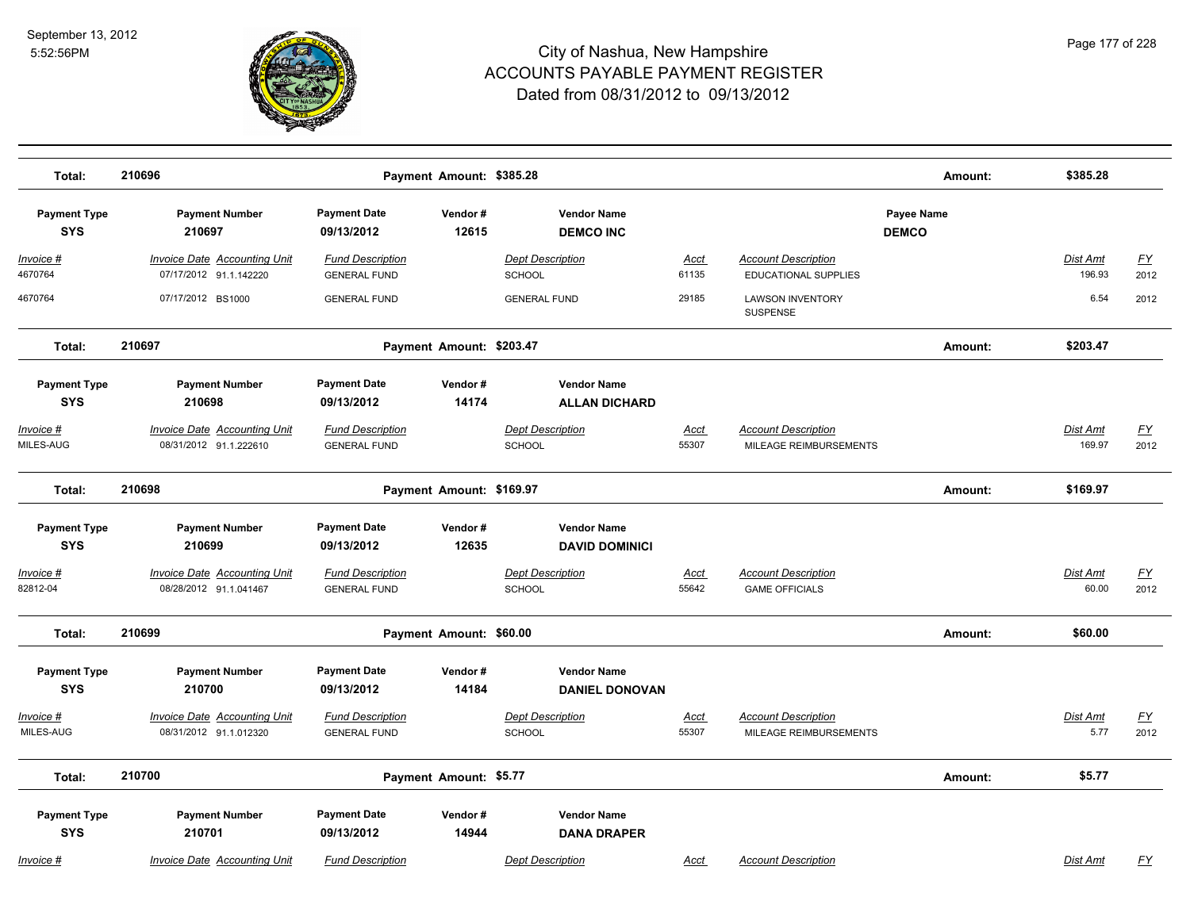

| Total:                            | 210696                                                        |                                                | Payment Amount: \$385.28 |                                             |                      |                                                           | Amount:                    | \$385.28                  |                          |
|-----------------------------------|---------------------------------------------------------------|------------------------------------------------|--------------------------|---------------------------------------------|----------------------|-----------------------------------------------------------|----------------------------|---------------------------|--------------------------|
| <b>Payment Type</b><br><b>SYS</b> | <b>Payment Number</b><br>210697                               | <b>Payment Date</b><br>09/13/2012              | Vendor#<br>12615         | <b>Vendor Name</b><br><b>DEMCO INC</b>      |                      |                                                           | Payee Name<br><b>DEMCO</b> |                           |                          |
| Invoice #<br>4670764              | <b>Invoice Date Accounting Unit</b><br>07/17/2012 91.1.142220 | <b>Fund Description</b><br><b>GENERAL FUND</b> |                          | <b>Dept Description</b><br><b>SCHOOL</b>    | Acct<br>61135        | <b>Account Description</b><br><b>EDUCATIONAL SUPPLIES</b> |                            | Dist Amt<br>196.93        | $\underline{FY}$<br>2012 |
| 4670764                           | 07/17/2012 BS1000                                             | <b>GENERAL FUND</b>                            |                          | <b>GENERAL FUND</b>                         | 29185                | <b>LAWSON INVENTORY</b><br><b>SUSPENSE</b>                |                            | 6.54                      | 2012                     |
| Total:                            | 210697                                                        |                                                | Payment Amount: \$203.47 |                                             |                      |                                                           | Amount:                    | \$203.47                  |                          |
| <b>Payment Type</b><br><b>SYS</b> | <b>Payment Number</b><br>210698                               | <b>Payment Date</b><br>09/13/2012              | Vendor#<br>14174         | <b>Vendor Name</b><br><b>ALLAN DICHARD</b>  |                      |                                                           |                            |                           |                          |
| $Invoice$ #<br>MILES-AUG          | <b>Invoice Date Accounting Unit</b><br>08/31/2012 91.1.222610 | <b>Fund Description</b><br><b>GENERAL FUND</b> |                          | <b>Dept Description</b><br><b>SCHOOL</b>    | <b>Acct</b><br>55307 | <b>Account Description</b><br>MILEAGE REIMBURSEMENTS      |                            | <b>Dist Amt</b><br>169.97 | <u>FY</u><br>2012        |
| Total:                            | 210698                                                        |                                                | Payment Amount: \$169.97 |                                             |                      |                                                           | Amount:                    | \$169.97                  |                          |
| <b>Payment Type</b><br><b>SYS</b> | <b>Payment Number</b><br>210699                               | <b>Payment Date</b><br>09/13/2012              | Vendor#<br>12635         | <b>Vendor Name</b><br><b>DAVID DOMINICI</b> |                      |                                                           |                            |                           |                          |
| Invoice #<br>82812-04             | <b>Invoice Date Accounting Unit</b><br>08/28/2012 91.1.041467 | <b>Fund Description</b><br><b>GENERAL FUND</b> |                          | <b>Dept Description</b><br><b>SCHOOL</b>    | <b>Acct</b><br>55642 | <b>Account Description</b><br><b>GAME OFFICIALS</b>       |                            | Dist Amt<br>60.00         | $\underline{FY}$<br>2012 |
| Total:                            | 210699                                                        |                                                | Payment Amount: \$60.00  |                                             |                      |                                                           | Amount:                    | \$60.00                   |                          |
| <b>Payment Type</b><br><b>SYS</b> | <b>Payment Number</b><br>210700                               | <b>Payment Date</b><br>09/13/2012              | Vendor#<br>14184         | <b>Vendor Name</b><br><b>DANIEL DONOVAN</b> |                      |                                                           |                            |                           |                          |
| Invoice #<br>MILES-AUG            | <b>Invoice Date Accounting Unit</b><br>08/31/2012 91.1.012320 | <b>Fund Description</b><br><b>GENERAL FUND</b> |                          | <b>Dept Description</b><br>SCHOOL           | <u>Acct</u><br>55307 | <b>Account Description</b><br>MILEAGE REIMBURSEMENTS      |                            | <b>Dist Amt</b><br>5.77   | $\underline{FY}$<br>2012 |
| Total:                            | 210700                                                        |                                                | Payment Amount: \$5.77   |                                             |                      |                                                           | Amount:                    | \$5.77                    |                          |
| <b>Payment Type</b><br><b>SYS</b> | <b>Payment Number</b><br>210701                               | <b>Payment Date</b><br>09/13/2012              | Vendor#<br>14944         | <b>Vendor Name</b><br><b>DANA DRAPER</b>    |                      |                                                           |                            |                           |                          |
| Invoice #                         | Invoice Date Accounting Unit                                  | <b>Fund Description</b>                        |                          | <b>Dept Description</b>                     | Acct                 | <b>Account Description</b>                                |                            | <b>Dist Amt</b>           | FY                       |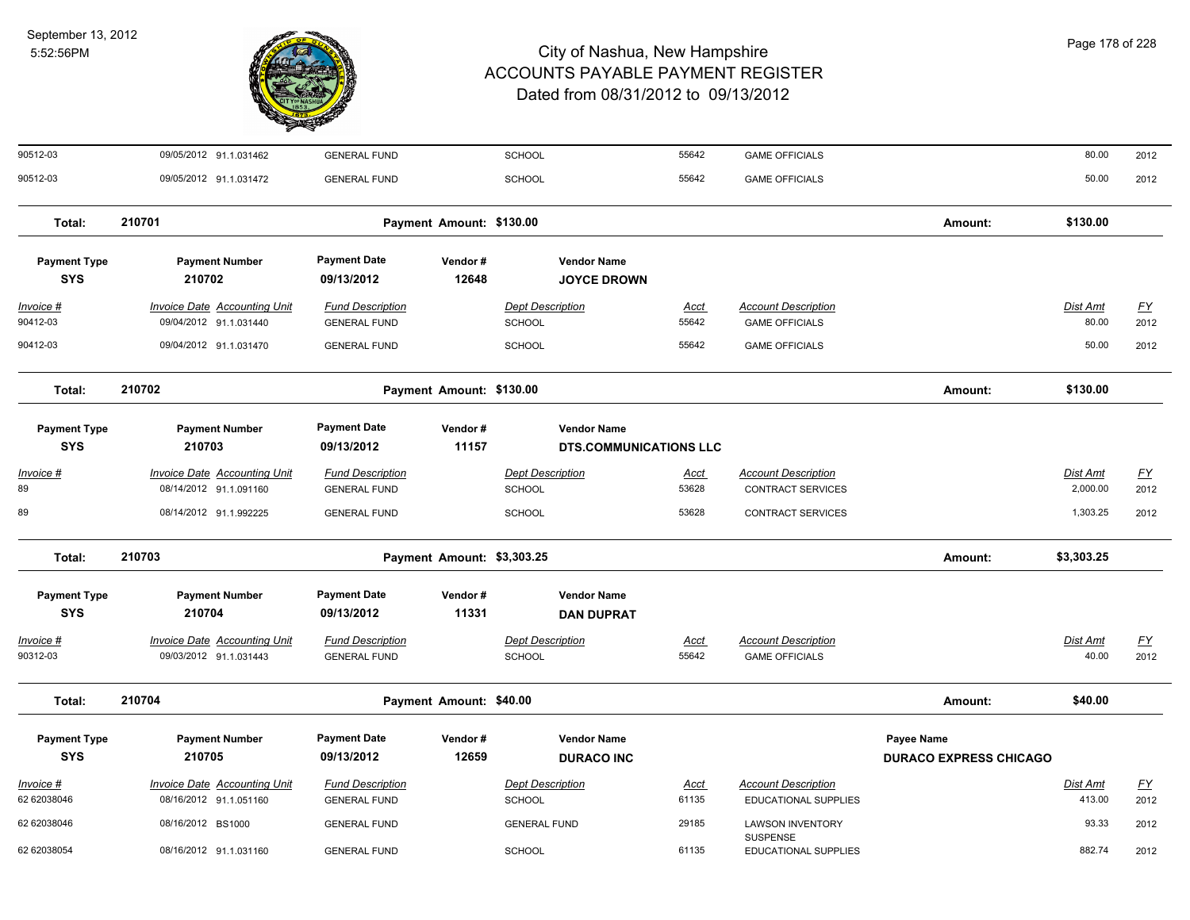

| 90512-03                          | 09/05/2012 91.1.031462                                        | <b>GENERAL FUND</b>                                                                                   |                          | SCHOOL                                   | 55642                | <b>GAME OFFICIALS</b>                                  |                                             | 80.00                       | 2012                              |
|-----------------------------------|---------------------------------------------------------------|-------------------------------------------------------------------------------------------------------|--------------------------|------------------------------------------|----------------------|--------------------------------------------------------|---------------------------------------------|-----------------------------|-----------------------------------|
| 90512-03                          | 09/05/2012 91.1.031472                                        | <b>GENERAL FUND</b>                                                                                   |                          | <b>SCHOOL</b>                            | 55642                | <b>GAME OFFICIALS</b>                                  |                                             | 50.00                       | 2012                              |
| Total:                            | 210701                                                        | Amount:                                                                                               | \$130.00                 |                                          |                      |                                                        |                                             |                             |                                   |
| <b>Payment Type</b><br><b>SYS</b> | <b>Payment Number</b><br>210702                               | <b>Payment Date</b><br>09/13/2012                                                                     | Vendor#<br>12648         | <b>Vendor Name</b><br><b>JOYCE DROWN</b> |                      |                                                        |                                             |                             |                                   |
| Invoice #<br>90412-03             | <b>Invoice Date Accounting Unit</b><br>09/04/2012 91.1.031440 | <b>Fund Description</b><br><b>GENERAL FUND</b>                                                        |                          | <b>Dept Description</b><br>SCHOOL        | Acct<br>55642        | <b>Account Description</b><br><b>GAME OFFICIALS</b>    |                                             | <b>Dist Amt</b><br>80.00    | $\underline{\mathsf{FY}}$<br>2012 |
| 90412-03                          | 09/04/2012 91.1.031470                                        | <b>GENERAL FUND</b>                                                                                   |                          | <b>SCHOOL</b>                            | 55642                | <b>GAME OFFICIALS</b>                                  |                                             | 50.00                       | 2012                              |
| Total:                            | 210702                                                        |                                                                                                       | Payment Amount: \$130.00 |                                          |                      |                                                        | Amount:                                     | \$130.00                    |                                   |
| <b>Payment Type</b><br><b>SYS</b> | <b>Payment Number</b><br>210703                               | <b>Payment Date</b><br>Vendor#<br><b>Vendor Name</b><br>11157<br>09/13/2012<br>DTS.COMMUNICATIONS LLC |                          |                                          |                      |                                                        |                                             |                             |                                   |
| $Invoice$ #<br>89                 | <b>Invoice Date Accounting Unit</b><br>08/14/2012 91.1.091160 | <b>Fund Description</b><br><b>GENERAL FUND</b>                                                        |                          | <b>Dept Description</b><br><b>SCHOOL</b> | <u>Acct</u><br>53628 | <b>Account Description</b><br><b>CONTRACT SERVICES</b> |                                             | <b>Dist Amt</b><br>2,000.00 | <u>FY</u><br>2012                 |
| 89                                | 08/14/2012 91.1.992225                                        | <b>GENERAL FUND</b>                                                                                   |                          | SCHOOL                                   | 53628                | <b>CONTRACT SERVICES</b>                               |                                             | 1,303.25                    | 2012                              |
| Total:                            | 210703<br>Payment Amount: \$3,303.25                          |                                                                                                       |                          |                                          |                      |                                                        | Amount:                                     | \$3,303.25                  |                                   |
| <b>Payment Type</b><br><b>SYS</b> | <b>Payment Number</b><br>210704                               | <b>Payment Date</b><br>09/13/2012                                                                     | Vendor#<br>11331         | <b>Vendor Name</b><br><b>DAN DUPRAT</b>  |                      |                                                        |                                             |                             |                                   |
| Invoice #<br>90312-03             | <b>Invoice Date Accounting Unit</b><br>09/03/2012 91.1.031443 | <b>Fund Description</b><br><b>GENERAL FUND</b>                                                        |                          | <b>Dept Description</b><br>SCHOOL        | Acct<br>55642        | <b>Account Description</b><br><b>GAME OFFICIALS</b>    |                                             | Dist Amt<br>40.00           | <u>FY</u><br>2012                 |
| Total:                            | 210704                                                        | Payment Amount: \$40.00                                                                               |                          |                                          |                      |                                                        |                                             | \$40.00                     |                                   |
| <b>Payment Type</b><br><b>SYS</b> | <b>Payment Number</b><br>210705                               | <b>Payment Date</b><br>09/13/2012                                                                     | Vendor#<br>12659         | <b>Vendor Name</b><br><b>DURACO INC</b>  |                      |                                                        | Payee Name<br><b>DURACO EXPRESS CHICAGO</b> |                             |                                   |
| Invoice #<br>62 62038046          | Invoice Date Accounting Unit<br>08/16/2012 91.1.051160        | <b>Fund Description</b><br><b>GENERAL FUND</b>                                                        |                          | <b>Dept Description</b><br>SCHOOL        | Acct<br>61135        | <b>Account Description</b><br>EDUCATIONAL SUPPLIES     |                                             | Dist Amt<br>413.00          | <u>FY</u><br>2012                 |
| 62 62038046                       | 08/16/2012 BS1000                                             | <b>GENERAL FUND</b>                                                                                   |                          | <b>GENERAL FUND</b>                      | 29185                | <b>LAWSON INVENTORY</b><br><b>SUSPENSE</b>             |                                             | 93.33                       | 2012                              |
| 62 62038054                       | 08/16/2012 91.1.031160                                        | <b>GENERAL FUND</b>                                                                                   |                          | SCHOOL                                   | 61135                | <b>EDUCATIONAL SUPPLIES</b>                            |                                             | 882.74                      | 2012                              |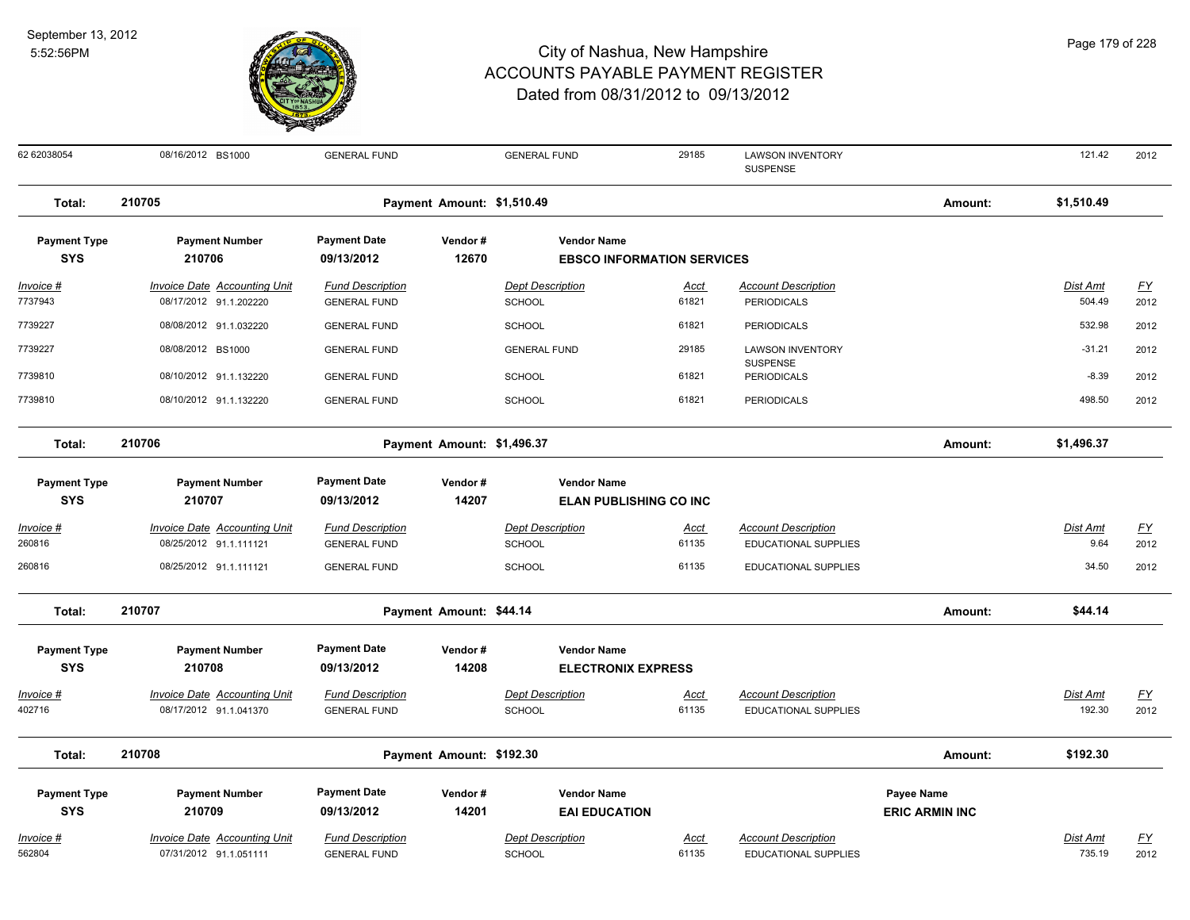

08/16/2012 BS1000 GENERAL FUND GENERAL FUND 29185 LAWSON INVENTORY 121.42 2012 SUSPENSE 62 62038054 121.42 **Total: 210705 Payment Amount: \$1,510.49 Amount: \$1,510.49 Payment Type Payment Number Payment Date Vendor # Vendor Name SYS 09/13/2012** *Invoice # Invoice Date Accounting Unit Fund Description Dept Description Acct Account Description Dist Amt FY*  **210706 12670 EBSCO INFORMATION SERVICES** 7737943 08/17/2012 91.1.202220 GENERAL FUND SCHOOL 61821 PERIODICALS 504.49 2012 7739227 08/08/2012 91.1.032220 GENERAL FUND SCHOOL 61821 PERIODICALS 532.98 2012 08/08/2012 BS1000 GENERAL FUND GENERAL FUND 29185 LAWSON INVENTORY 2012 **SUSPENSE** 7739227 08/08/2012 BS1000 GENERAL FUND 29185 LAWSON INVENTORY -31.21 7739810 08/10/2012 91.1.132220 GENERAL FUND SCHOOL 61821 PERIODICALS -8.39 2012 7739810 08/10/2012 91.1.132220 GENERAL FUND SCHOOL 61821 PERIODICALS 498.50 2012 **Total: 210706 Payment Amount: \$1,496.37 Amount: \$1,496.37 Payment Type Payment Number Payment Date Vendor # Vendor Name SYS 09/13/2012** *Invoice # Invoice Date Accounting Unit Fund Description Dept Description Acct Account Description Dist Amt FY*  **210707 14207 ELAN PUBLISHING CO INC** 260816 08/25/2012 91.1.111121 GENERAL FUND SCHOOL 61135 EDUCATIONAL SUPPLIES 9.64 2012 260816 08/25/2012 91.1.111121 GENERAL FUND SCHOOL 61135 EDUCATIONAL SUPPLIES 34.50 2012 **Total: 210707 Payment Amount: \$44.14 Amount: \$44.14 Payment Type Payment Number Payment Date Vendor # Vendor Name SYS 09/13/2012** *Invoice # Invoice Date Accounting Unit Fund Description Dept Description Acct Account Description Dist Amt FY*  **210708 14208 ELECTRONIX EXPRESS** 402716 08/17/2012 91.1.041370 GENERAL FUND SCHOOL 61135 EDUCATIONAL SUPPLIES 192.30 2012 **Total: 210708 Payment Amount: \$192.30 Amount: \$192.30 Payment Type Payment Number Payment Date Vendor # Vendor Name Payee Name SYS 09/13/2012** *Invoice # Invoice Date Accounting Unit Fund Description Dept Description Acct Account Description Dist Amt FY*  **210709 14201 EAI EDUCATION ERIC ARMIN INC** 562804 07/31/2012 91.1.051111 GENERAL FUND SCHOOL 61135 EDUCATIONAL SUPPLIES 735.19 2012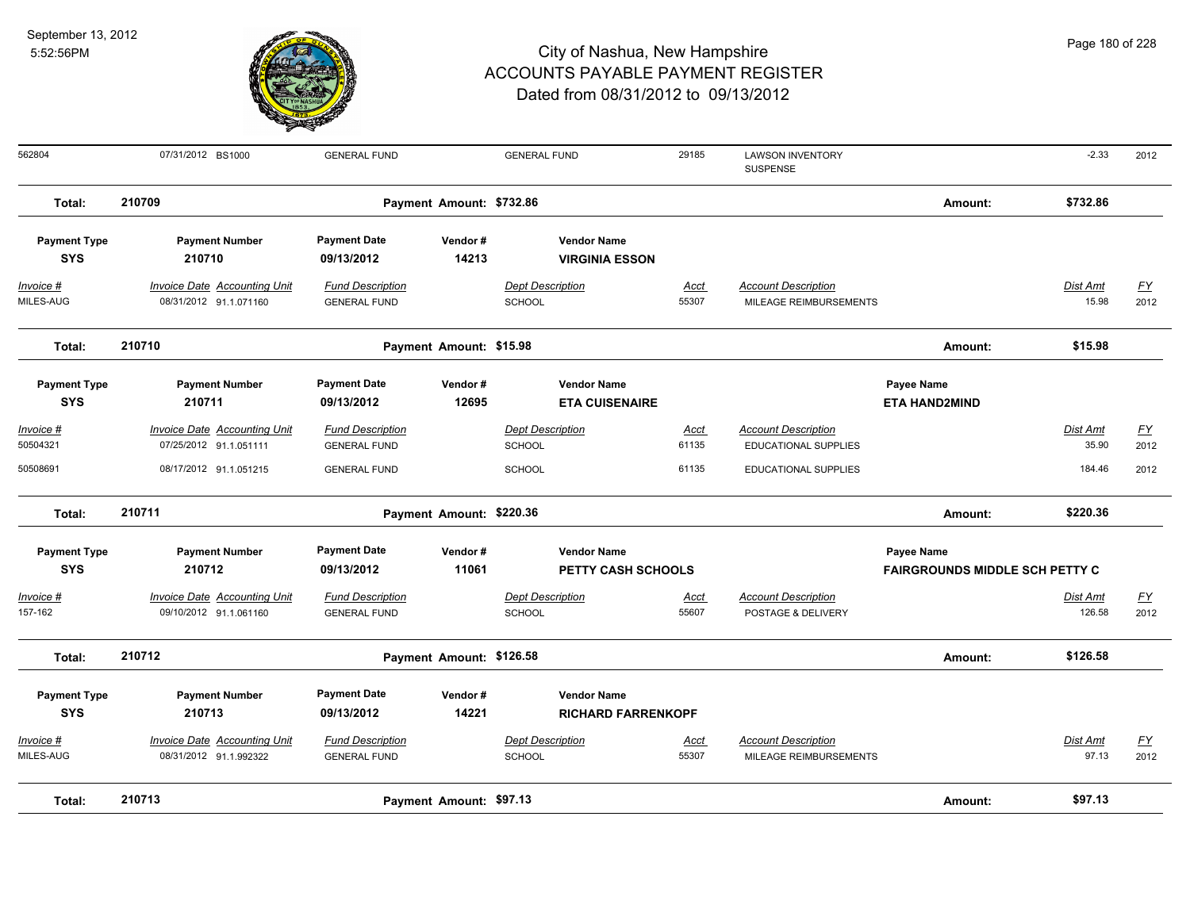

| 562804                      | 07/31/2012 BS1000                                             | <b>GENERAL FUND</b>                            |         | <b>GENERAL FUND</b>                      | 29185                | <b>LAWSON INVENTORY</b><br>SUSPENSE                  |                                       | $-2.33$            | 2012                     |
|-----------------------------|---------------------------------------------------------------|------------------------------------------------|---------|------------------------------------------|----------------------|------------------------------------------------------|---------------------------------------|--------------------|--------------------------|
| Total:                      | 210709<br>Payment Amount: \$732.86                            |                                                |         |                                          |                      |                                                      | Amount:                               | \$732.86           |                          |
| <b>Payment Type</b>         | <b>Payment Number</b>                                         | <b>Payment Date</b>                            | Vendor# | <b>Vendor Name</b>                       |                      |                                                      |                                       |                    |                          |
| <b>SYS</b>                  | 210710                                                        | 09/13/2012                                     | 14213   | <b>VIRGINIA ESSON</b>                    |                      |                                                      |                                       |                    |                          |
| Invoice #<br>MILES-AUG      | <b>Invoice Date Accounting Unit</b><br>08/31/2012 91.1.071160 | <b>Fund Description</b><br><b>GENERAL FUND</b> |         | <b>Dept Description</b><br><b>SCHOOL</b> | <u>Acct</u><br>55307 | <b>Account Description</b><br>MILEAGE REIMBURSEMENTS |                                       | Dist Amt<br>15.98  | $\underline{FY}$<br>2012 |
| Total:                      | 210710                                                        | Payment Amount: \$15.98                        |         |                                          |                      |                                                      | Amount:                               | \$15.98            |                          |
| <b>Payment Type</b>         | <b>Payment Number</b>                                         | <b>Payment Date</b>                            | Vendor# | <b>Vendor Name</b>                       |                      |                                                      | Payee Name                            |                    |                          |
| <b>SYS</b>                  | 210711                                                        | 09/13/2012                                     | 12695   | <b>ETA CUISENAIRE</b>                    |                      |                                                      | <b>ETA HAND2MIND</b>                  |                    |                          |
| <u> Invoice #</u>           | <b>Invoice Date Accounting Unit</b>                           | <b>Fund Description</b>                        |         | <b>Dept Description</b>                  | <b>Acct</b>          | <b>Account Description</b>                           |                                       | Dist Amt           | <u>FY</u>                |
| 50504321                    | 07/25/2012 91.1.051111                                        | <b>GENERAL FUND</b>                            |         | <b>SCHOOL</b>                            | 61135                | EDUCATIONAL SUPPLIES                                 |                                       | 35.90              | 2012                     |
| 50508691                    | 08/17/2012 91.1.051215                                        | <b>GENERAL FUND</b>                            |         | <b>SCHOOL</b>                            | 61135                | EDUCATIONAL SUPPLIES                                 |                                       | 184.46             | 2012                     |
| Total:                      | 210711<br>Payment Amount: \$220.36                            |                                                |         |                                          |                      |                                                      | Amount:                               | \$220.36           |                          |
| <b>Payment Type</b>         | <b>Payment Number</b>                                         | <b>Payment Date</b>                            | Vendor# | <b>Vendor Name</b>                       |                      |                                                      | Payee Name                            |                    |                          |
| <b>SYS</b>                  | 210712                                                        | 09/13/2012                                     | 11061   | <b>PETTY CASH SCHOOLS</b>                |                      |                                                      | <b>FAIRGROUNDS MIDDLE SCH PETTY C</b> |                    |                          |
| <u>Invoice #</u><br>157-162 | <b>Invoice Date Accounting Unit</b><br>09/10/2012 91.1.061160 | <b>Fund Description</b><br><b>GENERAL FUND</b> |         | <b>Dept Description</b><br><b>SCHOOL</b> | <u>Acct</u><br>55607 | <b>Account Description</b><br>POSTAGE & DELIVERY     |                                       | Dist Amt<br>126.58 | $\underline{FY}$<br>2012 |
| Total:                      | 210712                                                        | Payment Amount: \$126.58                       |         |                                          |                      |                                                      | Amount:                               | \$126.58           |                          |
| <b>Payment Type</b>         | <b>Payment Number</b>                                         | <b>Payment Date</b>                            | Vendor# | <b>Vendor Name</b>                       |                      |                                                      |                                       |                    |                          |
| <b>SYS</b>                  | 210713                                                        | 09/13/2012                                     | 14221   | <b>RICHARD FARRENKOPF</b>                |                      |                                                      |                                       |                    |                          |
| Invoice #<br>MILES-AUG      | <b>Invoice Date Accounting Unit</b><br>08/31/2012 91.1.992322 | <b>Fund Description</b><br><b>GENERAL FUND</b> |         | <b>Dept Description</b><br><b>SCHOOL</b> | <u>Acct</u><br>55307 | <b>Account Description</b><br>MILEAGE REIMBURSEMENTS |                                       | Dist Amt<br>97.13  | <u>FY</u><br>2012        |
| Total:                      | 210713<br>Payment Amount: \$97.13                             |                                                |         |                                          |                      |                                                      |                                       | \$97.13            |                          |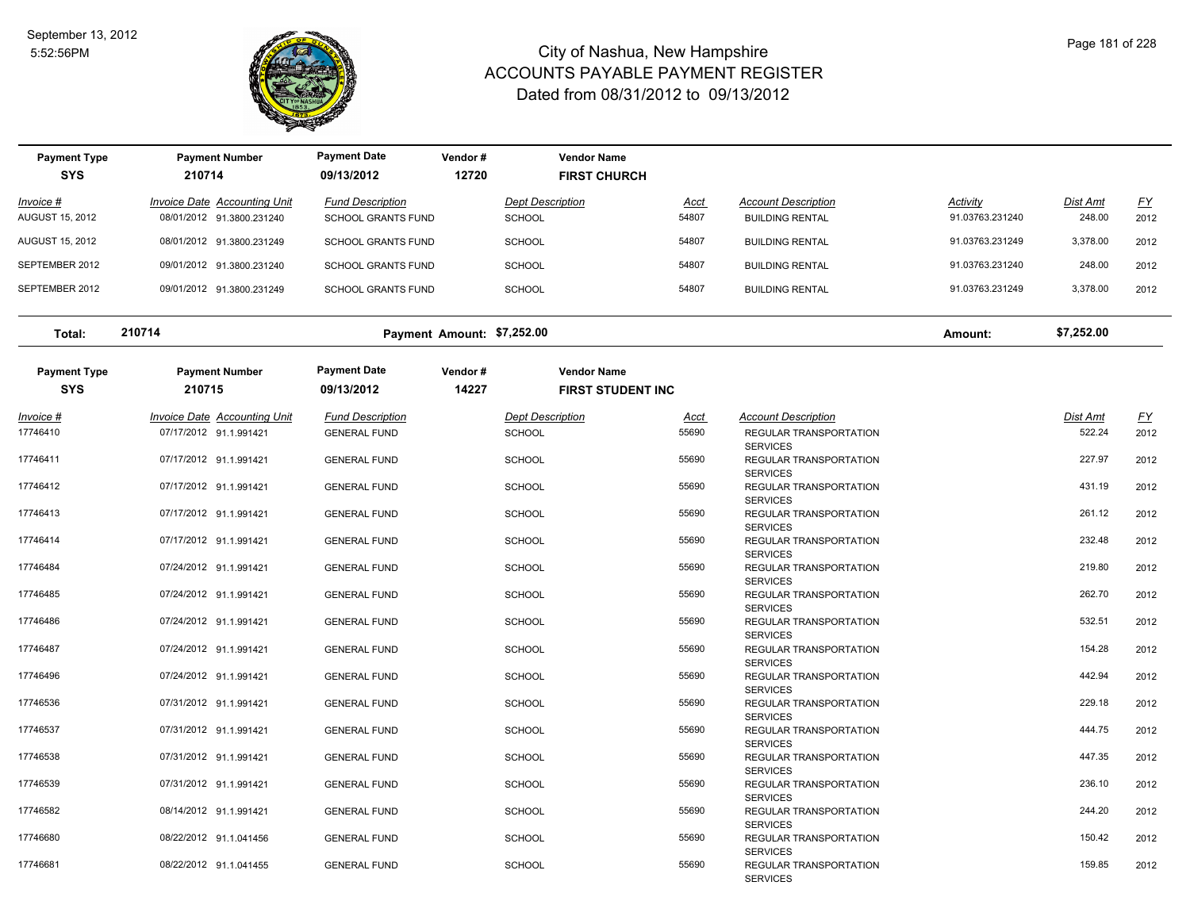

**SYS 09/13/2012**

**Payment Type Payment Number Payment Date Vendor # Vendor Name**

### City of Nashua, New Hampshire ACCOUNTS PAYABLE PAYMENT REGISTER Dated from 08/31/2012 to 09/13/2012

| Invoice #<br><b>AUGUST 15, 2012</b> | <b>Invoice Date Accounting Unit</b><br>08/01/2012 91.3800.231240 | <b>Fund Description</b><br><b>SCHOOL GRANTS FUND</b> | <b>SCHOOL</b>              | <b>Dept Description</b><br>Acct<br>54807       | <b>Account Description</b><br><b>BUILDING RENTAL</b> | Activity<br>91.03763.231240 | <b>Dist Amt</b><br>248.00 | <u>FY</u><br>2012 |
|-------------------------------------|------------------------------------------------------------------|------------------------------------------------------|----------------------------|------------------------------------------------|------------------------------------------------------|-----------------------------|---------------------------|-------------------|
| <b>AUGUST 15, 2012</b>              | 08/01/2012 91.3800.231249                                        | <b>SCHOOL GRANTS FUND</b>                            | <b>SCHOOL</b>              | 54807                                          | <b>BUILDING RENTAL</b>                               | 91.03763.231249             | 3,378.00                  | 2012              |
| SEPTEMBER 2012                      | 09/01/2012 91.3800.231240                                        | <b>SCHOOL GRANTS FUND</b>                            | <b>SCHOOL</b>              | 54807                                          | <b>BUILDING RENTAL</b>                               | 91.03763.231240             | 248.00                    | 2012              |
| SEPTEMBER 2012                      | 09/01/2012 91.3800.231249                                        | <b>SCHOOL GRANTS FUND</b>                            | <b>SCHOOL</b>              | 54807                                          | <b>BUILDING RENTAL</b>                               | 91.03763.231249             | 3,378.00                  | 2012              |
| Total:                              | 210714                                                           |                                                      | Payment Amount: \$7,252.00 |                                                |                                                      | Amount:                     | \$7,252.00                |                   |
| <b>Payment Type</b><br><b>SYS</b>   | <b>Payment Number</b><br>210715                                  | <b>Payment Date</b><br>09/13/2012                    | Vendor#<br>14227           | <b>Vendor Name</b><br><b>FIRST STUDENT INC</b> |                                                      |                             |                           |                   |
| Invoice #                           | Invoice Date Accounting Unit                                     | <b>Fund Description</b>                              |                            | <b>Dept Description</b><br>Acct                | <b>Account Description</b>                           |                             | Dist Amt                  | <u>FY</u>         |
| 17746410                            | 07/17/2012 91.1.991421                                           | <b>GENERAL FUND</b>                                  | <b>SCHOOL</b>              | 55690                                          | REGULAR TRANSPORTATION<br><b>SERVICES</b>            |                             | 522.24                    | 2012              |
| 17746411                            | 07/17/2012 91.1.991421                                           | <b>GENERAL FUND</b>                                  | <b>SCHOOL</b>              | 55690                                          | REGULAR TRANSPORTATION<br><b>SERVICES</b>            |                             | 227.97                    | 2012              |
| 17746412                            | 07/17/2012 91.1.991421                                           | <b>GENERAL FUND</b>                                  | <b>SCHOOL</b>              | 55690                                          | REGULAR TRANSPORTATION<br><b>SERVICES</b>            |                             | 431.19                    | 2012              |
| 17746413                            | 07/17/2012 91.1.991421                                           | <b>GENERAL FUND</b>                                  | <b>SCHOOL</b>              | 55690                                          | REGULAR TRANSPORTATION<br><b>SERVICES</b>            |                             | 261.12                    | 2012              |
| 17746414                            | 07/17/2012 91.1.991421                                           | <b>GENERAL FUND</b>                                  | <b>SCHOOL</b>              | 55690                                          | REGULAR TRANSPORTATION<br><b>SERVICES</b>            |                             | 232.48                    | 2012              |
| 17746484                            | 07/24/2012 91.1.991421                                           | <b>GENERAL FUND</b>                                  | <b>SCHOOL</b>              | 55690                                          | REGULAR TRANSPORTATION<br><b>SERVICES</b>            |                             | 219.80                    | 2012              |
| 17746485                            | 07/24/2012 91.1.991421                                           | <b>GENERAL FUND</b>                                  | <b>SCHOOL</b>              | 55690                                          | REGULAR TRANSPORTATION<br><b>SERVICES</b>            |                             | 262.70                    | 2012              |
| 17746486                            | 07/24/2012 91.1.991421                                           | <b>GENERAL FUND</b>                                  | <b>SCHOOL</b>              | 55690                                          | REGULAR TRANSPORTATION<br><b>SERVICES</b>            |                             | 532.51                    | 2012              |
| 17746487                            | 07/24/2012 91.1.991421                                           | <b>GENERAL FUND</b>                                  | <b>SCHOOL</b>              | 55690                                          | REGULAR TRANSPORTATION<br><b>SERVICES</b>            |                             | 154.28                    | 2012              |
| 17746496                            | 07/24/2012 91.1.991421                                           | <b>GENERAL FUND</b>                                  | <b>SCHOOL</b>              | 55690                                          | REGULAR TRANSPORTATION<br><b>SERVICES</b>            |                             | 442.94                    | 2012              |
| 17746536                            | 07/31/2012 91.1.991421                                           | <b>GENERAL FUND</b>                                  | <b>SCHOOL</b>              | 55690                                          | REGULAR TRANSPORTATION<br><b>SERVICES</b>            |                             | 229.18                    | 2012              |
| 17746537                            | 07/31/2012 91.1.991421                                           | <b>GENERAL FUND</b>                                  | <b>SCHOOL</b>              | 55690                                          | REGULAR TRANSPORTATION<br><b>SERVICES</b>            |                             | 444.75                    | 2012              |
| 17746538                            | 07/31/2012 91.1.991421                                           | <b>GENERAL FUND</b>                                  | <b>SCHOOL</b>              | 55690                                          | REGULAR TRANSPORTATION<br><b>SERVICES</b>            |                             | 447.35                    | 2012              |
| 17746539                            | 07/31/2012 91.1.991421                                           | <b>GENERAL FUND</b>                                  | <b>SCHOOL</b>              | 55690                                          | REGULAR TRANSPORTATION<br><b>SERVICES</b>            |                             | 236.10                    | 2012              |
| 17746582                            | 08/14/2012 91.1.991421                                           | <b>GENERAL FUND</b>                                  | <b>SCHOOL</b>              | 55690                                          | REGULAR TRANSPORTATION<br><b>SERVICES</b>            |                             | 244.20                    | 2012              |
| 17746680                            | 08/22/2012 91.1.041456                                           | <b>GENERAL FUND</b>                                  | <b>SCHOOL</b>              | 55690                                          | REGULAR TRANSPORTATION<br><b>SERVICES</b>            |                             | 150.42                    | 2012              |
| 17746681                            | 08/22/2012 91.1.041455                                           | <b>GENERAL FUND</b>                                  | <b>SCHOOL</b>              | 55690                                          | REGULAR TRANSPORTATION<br><b>SERVICES</b>            |                             | 159.85                    | 2012              |
|                                     |                                                                  |                                                      |                            |                                                |                                                      |                             |                           |                   |

 **210714 12720 FIRST CHURCH**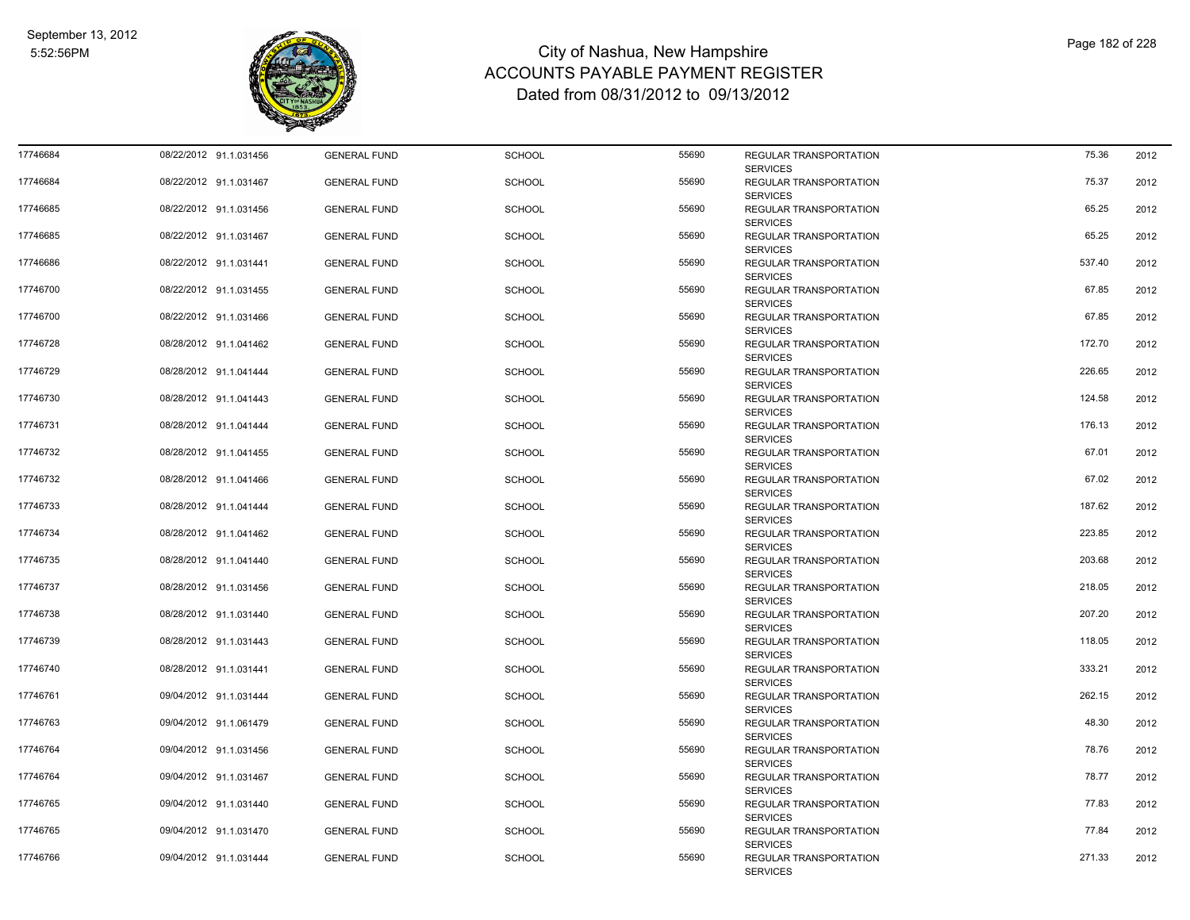

| 17746684 | 08/22/2012 91.1.031456 | <b>GENERAL FUND</b> | <b>SCHOOL</b> | 55690 | REGULAR TRANSPORTATION<br><b>SERVICES</b> | 75.36  | 2012 |
|----------|------------------------|---------------------|---------------|-------|-------------------------------------------|--------|------|
| 17746684 | 08/22/2012 91.1.031467 | <b>GENERAL FUND</b> | <b>SCHOOL</b> | 55690 | REGULAR TRANSPORTATION<br><b>SERVICES</b> | 75.37  | 2012 |
| 17746685 | 08/22/2012 91.1.031456 | <b>GENERAL FUND</b> | <b>SCHOOL</b> | 55690 | REGULAR TRANSPORTATION<br><b>SERVICES</b> | 65.25  | 2012 |
| 17746685 | 08/22/2012 91.1.031467 | <b>GENERAL FUND</b> | <b>SCHOOL</b> | 55690 | REGULAR TRANSPORTATION<br><b>SERVICES</b> | 65.25  | 2012 |
| 17746686 | 08/22/2012 91.1.031441 | <b>GENERAL FUND</b> | <b>SCHOOL</b> | 55690 | REGULAR TRANSPORTATION<br><b>SERVICES</b> | 537.40 | 2012 |
| 17746700 | 08/22/2012 91.1.031455 | <b>GENERAL FUND</b> | <b>SCHOOL</b> | 55690 | REGULAR TRANSPORTATION<br><b>SERVICES</b> | 67.85  | 2012 |
| 17746700 | 08/22/2012 91.1.031466 | <b>GENERAL FUND</b> | SCHOOL        | 55690 | REGULAR TRANSPORTATION<br><b>SERVICES</b> | 67.85  | 2012 |
| 17746728 | 08/28/2012 91.1.041462 | <b>GENERAL FUND</b> | <b>SCHOOL</b> | 55690 | REGULAR TRANSPORTATION<br><b>SERVICES</b> | 172.70 | 2012 |
| 17746729 | 08/28/2012 91.1.041444 | <b>GENERAL FUND</b> | <b>SCHOOL</b> | 55690 | REGULAR TRANSPORTATION<br><b>SERVICES</b> | 226.65 | 2012 |
| 17746730 | 08/28/2012 91.1.041443 | <b>GENERAL FUND</b> | <b>SCHOOL</b> | 55690 | REGULAR TRANSPORTATION<br><b>SERVICES</b> | 124.58 | 2012 |
| 17746731 | 08/28/2012 91.1.041444 | <b>GENERAL FUND</b> | <b>SCHOOL</b> | 55690 | REGULAR TRANSPORTATION<br><b>SERVICES</b> | 176.13 | 2012 |
| 17746732 | 08/28/2012 91.1.041455 | <b>GENERAL FUND</b> | <b>SCHOOL</b> | 55690 | REGULAR TRANSPORTATION<br><b>SERVICES</b> | 67.01  | 2012 |
| 17746732 | 08/28/2012 91.1.041466 | <b>GENERAL FUND</b> | <b>SCHOOL</b> | 55690 | REGULAR TRANSPORTATION<br><b>SERVICES</b> | 67.02  | 2012 |
| 17746733 | 08/28/2012 91.1.041444 | <b>GENERAL FUND</b> | <b>SCHOOL</b> | 55690 | REGULAR TRANSPORTATION<br><b>SERVICES</b> | 187.62 | 2012 |
| 17746734 | 08/28/2012 91.1.041462 | <b>GENERAL FUND</b> | <b>SCHOOL</b> | 55690 | REGULAR TRANSPORTATION<br><b>SERVICES</b> | 223.85 | 2012 |
| 17746735 | 08/28/2012 91.1.041440 | <b>GENERAL FUND</b> | <b>SCHOOL</b> | 55690 | REGULAR TRANSPORTATION<br><b>SERVICES</b> | 203.68 | 2012 |
| 17746737 | 08/28/2012 91.1.031456 | <b>GENERAL FUND</b> | <b>SCHOOL</b> | 55690 | REGULAR TRANSPORTATION<br><b>SERVICES</b> | 218.05 | 2012 |
| 17746738 | 08/28/2012 91.1.031440 | <b>GENERAL FUND</b> | <b>SCHOOL</b> | 55690 | REGULAR TRANSPORTATION<br><b>SERVICES</b> | 207.20 | 2012 |
| 17746739 | 08/28/2012 91.1.031443 | <b>GENERAL FUND</b> | <b>SCHOOL</b> | 55690 | REGULAR TRANSPORTATION<br><b>SERVICES</b> | 118.05 | 2012 |
| 17746740 | 08/28/2012 91.1.031441 | <b>GENERAL FUND</b> | <b>SCHOOL</b> | 55690 | REGULAR TRANSPORTATION<br><b>SERVICES</b> | 333.21 | 2012 |
| 17746761 | 09/04/2012 91.1.031444 | <b>GENERAL FUND</b> | <b>SCHOOL</b> | 55690 | REGULAR TRANSPORTATION<br><b>SERVICES</b> | 262.15 | 2012 |
| 17746763 | 09/04/2012 91.1.061479 | <b>GENERAL FUND</b> | <b>SCHOOL</b> | 55690 | REGULAR TRANSPORTATION<br><b>SERVICES</b> | 48.30  | 2012 |
| 17746764 | 09/04/2012 91.1.031456 | <b>GENERAL FUND</b> | <b>SCHOOL</b> | 55690 | REGULAR TRANSPORTATION<br><b>SERVICES</b> | 78.76  | 2012 |
| 17746764 | 09/04/2012 91.1.031467 | <b>GENERAL FUND</b> | <b>SCHOOL</b> | 55690 | REGULAR TRANSPORTATION<br><b>SERVICES</b> | 78.77  | 2012 |
| 17746765 | 09/04/2012 91.1.031440 | <b>GENERAL FUND</b> | <b>SCHOOL</b> | 55690 | REGULAR TRANSPORTATION<br><b>SERVICES</b> | 77.83  | 2012 |
| 17746765 | 09/04/2012 91.1.031470 | <b>GENERAL FUND</b> | <b>SCHOOL</b> | 55690 | REGULAR TRANSPORTATION<br><b>SERVICES</b> | 77.84  | 2012 |
| 17746766 | 09/04/2012 91.1.031444 | <b>GENERAL FUND</b> | <b>SCHOOL</b> | 55690 | REGULAR TRANSPORTATION<br><b>SERVICES</b> | 271.33 | 2012 |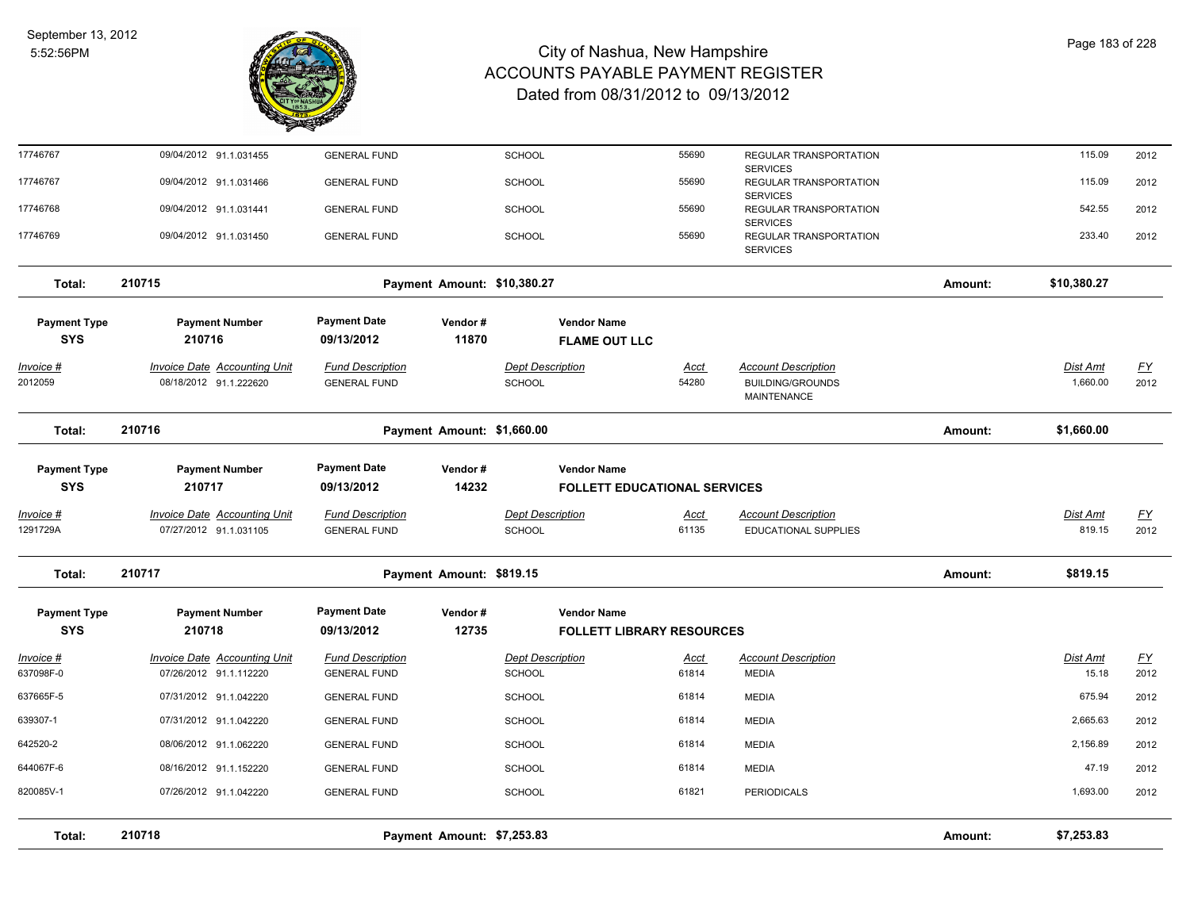

| Total:                            | 210718                                                        |                                                | Payment Amount: \$7,253.83  |                                          |                                                           |                      |                                                                             | Amount: | \$7,253.83                |                   |
|-----------------------------------|---------------------------------------------------------------|------------------------------------------------|-----------------------------|------------------------------------------|-----------------------------------------------------------|----------------------|-----------------------------------------------------------------------------|---------|---------------------------|-------------------|
|                                   |                                                               |                                                |                             |                                          |                                                           |                      |                                                                             |         |                           |                   |
| 820085V-1                         | 07/26/2012 91.1.042220                                        | <b>GENERAL FUND</b>                            |                             | SCHOOL                                   |                                                           | 61821                | <b>PERIODICALS</b>                                                          |         | 1,693.00                  | 2012              |
| 644067F-6                         | 08/16/2012 91.1.152220                                        | <b>GENERAL FUND</b>                            |                             | <b>SCHOOL</b>                            |                                                           | 61814                | <b>MEDIA</b>                                                                |         | 47.19                     | 2012              |
| 642520-2                          | 08/06/2012 91.1.062220                                        | <b>GENERAL FUND</b>                            |                             | <b>SCHOOL</b>                            |                                                           | 61814                | <b>MEDIA</b>                                                                |         | 2,156.89                  | 2012              |
| 639307-1                          | 07/31/2012 91.1.042220                                        | <b>GENERAL FUND</b>                            |                             | <b>SCHOOL</b>                            |                                                           | 61814                | <b>MEDIA</b>                                                                |         | 2,665.63                  | 2012              |
| 637665F-5                         | 07/31/2012 91.1.042220                                        | <b>GENERAL FUND</b>                            |                             | <b>SCHOOL</b>                            |                                                           | 61814                | <b>MEDIA</b>                                                                |         | 675.94                    | 2012              |
| <u> Invoice #</u><br>637098F-0    | <b>Invoice Date Accounting Unit</b><br>07/26/2012 91.1.112220 | <b>Fund Description</b><br><b>GENERAL FUND</b> |                             | <b>Dept Description</b><br>SCHOOL        |                                                           | <b>Acct</b><br>61814 | <b>Account Description</b><br><b>MEDIA</b>                                  |         | Dist Amt<br>15.18         | <u>FY</u><br>2012 |
| <b>Payment Type</b><br><b>SYS</b> | <b>Payment Number</b><br>210718                               | <b>Payment Date</b><br>09/13/2012              | Vendor#<br>12735            |                                          | <b>Vendor Name</b><br><b>FOLLETT LIBRARY RESOURCES</b>    |                      |                                                                             |         |                           |                   |
| Total:                            | 210717                                                        |                                                | Payment Amount: \$819.15    |                                          |                                                           |                      |                                                                             | Amount: | \$819.15                  |                   |
| <u> Invoice #</u><br>1291729A     | <b>Invoice Date Accounting Unit</b><br>07/27/2012 91.1.031105 | <b>Fund Description</b><br><b>GENERAL FUND</b> |                             | <b>Dept Description</b><br>SCHOOL        |                                                           | <b>Acct</b><br>61135 | <b>Account Description</b><br><b>EDUCATIONAL SUPPLIES</b>                   |         | <b>Dist Amt</b><br>819.15 | <u>FY</u><br>2012 |
| <b>Payment Type</b><br><b>SYS</b> | <b>Payment Number</b><br>210717                               | <b>Payment Date</b><br>09/13/2012              | Vendor#<br>14232            |                                          | <b>Vendor Name</b><br><b>FOLLETT EDUCATIONAL SERVICES</b> |                      |                                                                             |         |                           |                   |
| Total:                            | 210716                                                        |                                                | Payment Amount: \$1,660.00  |                                          |                                                           |                      |                                                                             | Amount: | \$1,660.00                |                   |
| <u> Invoice #</u><br>2012059      | <b>Invoice Date Accounting Unit</b><br>08/18/2012 91.1.222620 | <b>Fund Description</b><br><b>GENERAL FUND</b> |                             | <b>Dept Description</b><br><b>SCHOOL</b> |                                                           | <b>Acct</b><br>54280 | <b>Account Description</b><br><b>BUILDING/GROUNDS</b><br><b>MAINTENANCE</b> |         | Dist Amt<br>1,660.00      | <u>FY</u><br>2012 |
| <b>Payment Type</b><br><b>SYS</b> | <b>Payment Number</b><br>210716                               | <b>Payment Date</b><br>09/13/2012              | Vendor#<br>11870            |                                          | <b>Vendor Name</b><br><b>FLAME OUT LLC</b>                |                      |                                                                             |         |                           |                   |
| Total:                            | 210715                                                        |                                                | Payment Amount: \$10,380.27 |                                          |                                                           |                      |                                                                             | Amount: | \$10,380.27               |                   |
| 17746769                          | 09/04/2012 91.1.031450                                        | <b>GENERAL FUND</b>                            |                             | <b>SCHOOL</b>                            |                                                           | 55690                | <b>SERVICES</b><br>REGULAR TRANSPORTATION<br><b>SERVICES</b>                |         | 233.40                    | 2012              |
| 17746768                          | 09/04/2012 91.1.031441                                        | <b>GENERAL FUND</b>                            |                             | SCHOOL                                   |                                                           | 55690                | <b>SERVICES</b><br>REGULAR TRANSPORTATION                                   |         | 542.55                    | 2012              |
| 17746767                          | 09/04/2012 91.1.031466                                        | <b>GENERAL FUND</b>                            |                             | SCHOOL                                   |                                                           | 55690                | <b>SERVICES</b><br>REGULAR TRANSPORTATION                                   |         | 115.09                    | 2012              |
| 17746767                          | 09/04/2012 91.1.031455                                        | <b>GENERAL FUND</b>                            |                             | SCHOOL                                   |                                                           | 55690                | REGULAR TRANSPORTATION                                                      |         | 115.09                    | 2012              |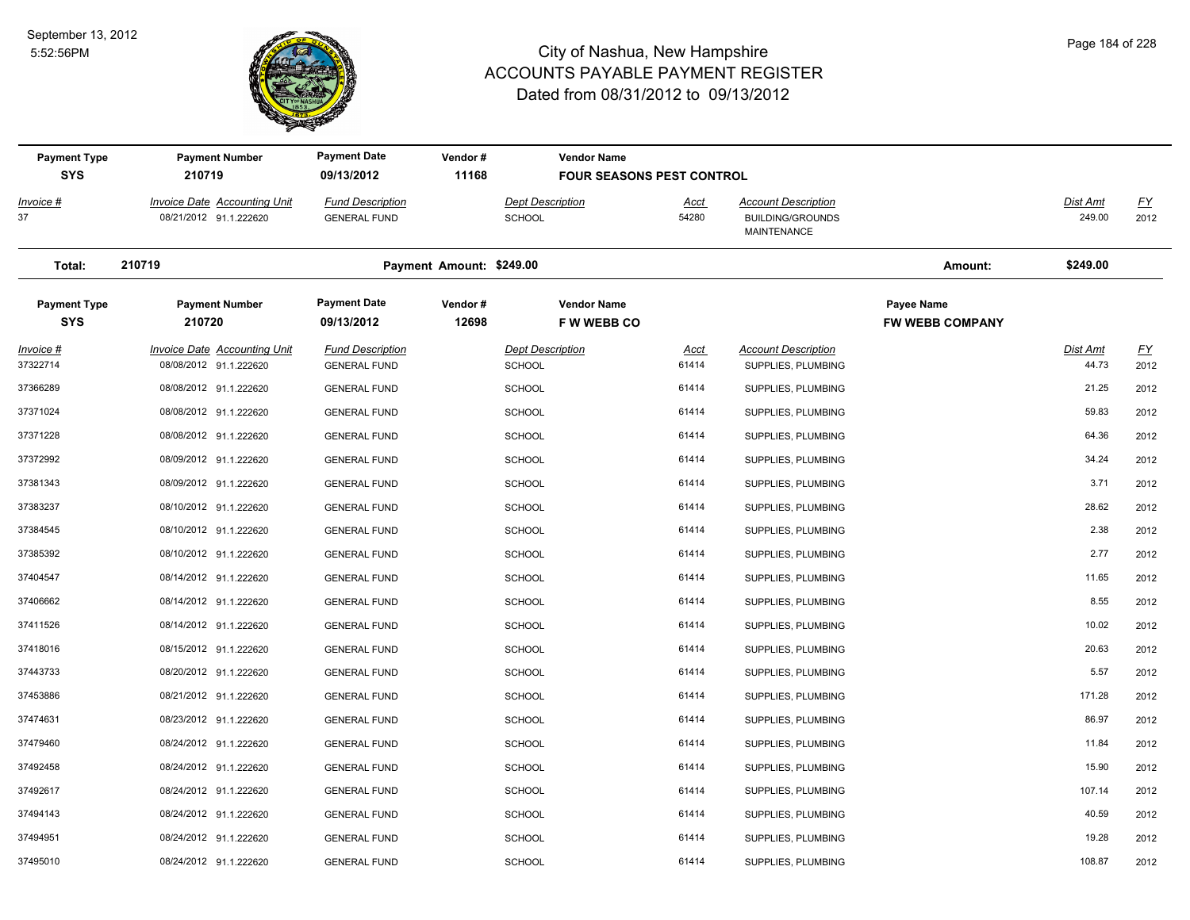

| <b>Payment Type</b>               | <b>Payment Number</b>                                         | <b>Payment Date</b>                            | Vendor#                  | <b>Vendor Name</b>                       |                                  |                                                                      |                                             |                           |                          |
|-----------------------------------|---------------------------------------------------------------|------------------------------------------------|--------------------------|------------------------------------------|----------------------------------|----------------------------------------------------------------------|---------------------------------------------|---------------------------|--------------------------|
| <b>SYS</b>                        | 210719                                                        | 09/13/2012                                     | 11168                    |                                          | <b>FOUR SEASONS PEST CONTROL</b> |                                                                      |                                             |                           |                          |
| <b>Invoice #</b><br>37            | <b>Invoice Date Accounting Unit</b><br>08/21/2012 91.1.222620 | <b>Fund Description</b><br><b>GENERAL FUND</b> |                          | <b>Dept Description</b><br><b>SCHOOL</b> | <u>Acct</u><br>54280             | <b>Account Description</b><br><b>BUILDING/GROUNDS</b><br>MAINTENANCE |                                             | <b>Dist Amt</b><br>249.00 | $\underline{FY}$<br>2012 |
| Total:                            | 210719                                                        |                                                | Payment Amount: \$249.00 |                                          |                                  |                                                                      | Amount:                                     | \$249.00                  |                          |
| <b>Payment Type</b><br><b>SYS</b> | <b>Payment Number</b><br>210720                               | <b>Payment Date</b><br>09/13/2012              | Vendor#<br>12698         | <b>Vendor Name</b><br><b>FWWEBBCO</b>    |                                  |                                                                      | <b>Payee Name</b><br><b>FW WEBB COMPANY</b> |                           |                          |
| Invoice #                         | <b>Invoice Date Accounting Unit</b>                           | <b>Fund Description</b>                        |                          | <b>Dept Description</b>                  | <u>Acct</u>                      | <b>Account Description</b>                                           |                                             | <b>Dist Amt</b>           | $\underline{FY}$         |
| 37322714                          | 08/08/2012 91.1.222620                                        | <b>GENERAL FUND</b>                            |                          | <b>SCHOOL</b>                            | 61414                            | SUPPLIES, PLUMBING                                                   |                                             | 44.73                     | 2012                     |
| 37366289                          | 08/08/2012 91.1.222620                                        | <b>GENERAL FUND</b>                            |                          | <b>SCHOOL</b>                            | 61414                            | SUPPLIES, PLUMBING                                                   |                                             | 21.25                     | 2012                     |
| 37371024                          | 08/08/2012 91.1.222620                                        | <b>GENERAL FUND</b>                            |                          | <b>SCHOOL</b>                            | 61414                            | SUPPLIES, PLUMBING                                                   |                                             | 59.83                     | 2012                     |
| 37371228                          | 08/08/2012 91.1.222620                                        | <b>GENERAL FUND</b>                            |                          | <b>SCHOOL</b>                            | 61414                            | SUPPLIES, PLUMBING                                                   |                                             | 64.36                     | 2012                     |
| 37372992                          | 08/09/2012 91.1.222620                                        | <b>GENERAL FUND</b>                            |                          | <b>SCHOOL</b>                            | 61414                            | SUPPLIES, PLUMBING                                                   |                                             | 34.24                     | 2012                     |
| 37381343                          | 08/09/2012 91.1.222620                                        | <b>GENERAL FUND</b>                            |                          | <b>SCHOOL</b>                            | 61414                            | SUPPLIES, PLUMBING                                                   |                                             | 3.71                      | 2012                     |
| 37383237                          | 08/10/2012 91.1.222620                                        | <b>GENERAL FUND</b>                            |                          | SCHOOL                                   | 61414                            | SUPPLIES, PLUMBING                                                   |                                             | 28.62                     | 2012                     |
| 37384545                          | 08/10/2012 91.1.222620                                        | <b>GENERAL FUND</b>                            |                          | <b>SCHOOL</b>                            | 61414                            | SUPPLIES, PLUMBING                                                   |                                             | 2.38                      | 2012                     |
| 37385392                          | 08/10/2012 91.1.222620                                        | <b>GENERAL FUND</b>                            |                          | SCHOOL                                   | 61414                            | SUPPLIES, PLUMBING                                                   |                                             | 2.77                      | 2012                     |
| 37404547                          | 08/14/2012 91.1.222620                                        | <b>GENERAL FUND</b>                            |                          | <b>SCHOOL</b>                            | 61414                            | SUPPLIES, PLUMBING                                                   |                                             | 11.65                     | 2012                     |
| 37406662                          | 08/14/2012 91.1.222620                                        | <b>GENERAL FUND</b>                            |                          | <b>SCHOOL</b>                            | 61414                            | SUPPLIES, PLUMBING                                                   |                                             | 8.55                      | 2012                     |
| 37411526                          | 08/14/2012 91.1.222620                                        | <b>GENERAL FUND</b>                            |                          | <b>SCHOOL</b>                            | 61414                            | SUPPLIES, PLUMBING                                                   |                                             | 10.02                     | 2012                     |
| 37418016                          | 08/15/2012 91.1.222620                                        | <b>GENERAL FUND</b>                            |                          | <b>SCHOOL</b>                            | 61414                            | SUPPLIES, PLUMBING                                                   |                                             | 20.63                     | 2012                     |
| 37443733                          | 08/20/2012 91.1.222620                                        | <b>GENERAL FUND</b>                            |                          | <b>SCHOOL</b>                            | 61414                            | SUPPLIES, PLUMBING                                                   |                                             | 5.57                      | 2012                     |
| 37453886                          | 08/21/2012 91.1.222620                                        | <b>GENERAL FUND</b>                            |                          | <b>SCHOOL</b>                            | 61414                            | SUPPLIES, PLUMBING                                                   |                                             | 171.28                    | 2012                     |
| 37474631                          | 08/23/2012 91.1.222620                                        | <b>GENERAL FUND</b>                            |                          | <b>SCHOOL</b>                            | 61414                            | SUPPLIES, PLUMBING                                                   |                                             | 86.97                     | 2012                     |
| 37479460                          | 08/24/2012 91.1.222620                                        | <b>GENERAL FUND</b>                            |                          | <b>SCHOOL</b>                            | 61414                            | SUPPLIES, PLUMBING                                                   |                                             | 11.84                     | 2012                     |
| 37492458                          | 08/24/2012 91.1.222620                                        | <b>GENERAL FUND</b>                            |                          | <b>SCHOOL</b>                            | 61414                            | SUPPLIES, PLUMBING                                                   |                                             | 15.90                     | 2012                     |
| 37492617                          | 08/24/2012 91.1.222620                                        | <b>GENERAL FUND</b>                            |                          | <b>SCHOOL</b>                            | 61414                            | SUPPLIES, PLUMBING                                                   |                                             | 107.14                    | 2012                     |
| 37494143                          | 08/24/2012 91.1.222620                                        | <b>GENERAL FUND</b>                            |                          | <b>SCHOOL</b>                            | 61414                            | SUPPLIES, PLUMBING                                                   |                                             | 40.59                     | 2012                     |
| 37494951                          | 08/24/2012 91.1.222620                                        | <b>GENERAL FUND</b>                            |                          | <b>SCHOOL</b>                            | 61414                            | SUPPLIES, PLUMBING                                                   |                                             | 19.28                     | 2012                     |
| 37495010                          | 08/24/2012 91.1.222620                                        | <b>GENERAL FUND</b>                            |                          | SCHOOL                                   | 61414                            | SUPPLIES, PLUMBING                                                   |                                             | 108.87                    | 2012                     |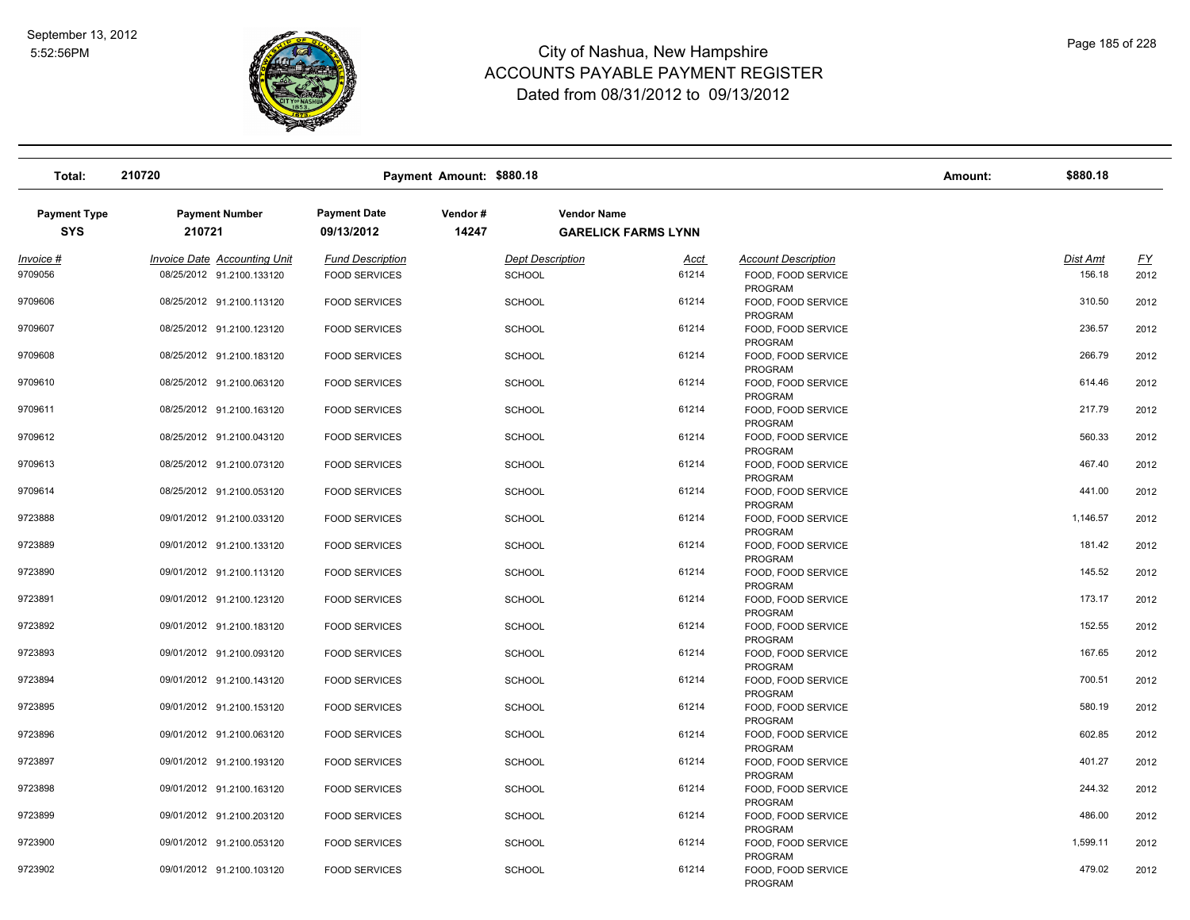

| Total:                            | 210720                          |                                   | Payment Amount: \$880.18 |                                                  |       |                                      | Amount: | \$880.18 |           |
|-----------------------------------|---------------------------------|-----------------------------------|--------------------------|--------------------------------------------------|-------|--------------------------------------|---------|----------|-----------|
| <b>Payment Type</b><br><b>SYS</b> | <b>Payment Number</b><br>210721 | <b>Payment Date</b><br>09/13/2012 | Vendor#<br>14247         | <b>Vendor Name</b><br><b>GARELICK FARMS LYNN</b> |       |                                      |         |          |           |
| Invoice #                         | Invoice Date Accounting Unit    | <b>Fund Description</b>           |                          | <b>Dept Description</b>                          | Acct  | <b>Account Description</b>           |         | Dist Amt | <u>FY</u> |
| 9709056                           | 08/25/2012 91.2100.133120       | <b>FOOD SERVICES</b>              |                          | <b>SCHOOL</b>                                    | 61214 | FOOD, FOOD SERVICE<br>PROGRAM        |         | 156.18   | 2012      |
| 9709606                           | 08/25/2012 91.2100.113120       | <b>FOOD SERVICES</b>              |                          | <b>SCHOOL</b>                                    | 61214 | FOOD, FOOD SERVICE<br>PROGRAM        |         | 310.50   | 2012      |
| 9709607                           | 08/25/2012 91.2100.123120       | <b>FOOD SERVICES</b>              |                          | <b>SCHOOL</b>                                    | 61214 | FOOD, FOOD SERVICE<br>PROGRAM        |         | 236.57   | 2012      |
| 9709608                           | 08/25/2012 91.2100.183120       | <b>FOOD SERVICES</b>              |                          | <b>SCHOOL</b>                                    | 61214 | FOOD, FOOD SERVICE<br>PROGRAM        |         | 266.79   | 2012      |
| 9709610                           | 08/25/2012 91.2100.063120       | <b>FOOD SERVICES</b>              |                          | <b>SCHOOL</b>                                    | 61214 | FOOD, FOOD SERVICE<br>PROGRAM        |         | 614.46   | 2012      |
| 9709611                           | 08/25/2012 91.2100.163120       | <b>FOOD SERVICES</b>              |                          | <b>SCHOOL</b>                                    | 61214 | FOOD, FOOD SERVICE<br>PROGRAM        |         | 217.79   | 2012      |
| 9709612                           | 08/25/2012 91.2100.043120       | <b>FOOD SERVICES</b>              |                          | <b>SCHOOL</b>                                    | 61214 | FOOD, FOOD SERVICE<br><b>PROGRAM</b> |         | 560.33   | 2012      |
| 9709613                           | 08/25/2012 91.2100.073120       | <b>FOOD SERVICES</b>              |                          | <b>SCHOOL</b>                                    | 61214 | FOOD, FOOD SERVICE<br><b>PROGRAM</b> |         | 467.40   | 2012      |
| 9709614                           | 08/25/2012 91.2100.053120       | <b>FOOD SERVICES</b>              |                          | <b>SCHOOL</b>                                    | 61214 | FOOD, FOOD SERVICE<br><b>PROGRAM</b> |         | 441.00   | 2012      |
| 9723888                           | 09/01/2012 91.2100.033120       | <b>FOOD SERVICES</b>              |                          | <b>SCHOOL</b>                                    | 61214 | FOOD, FOOD SERVICE<br>PROGRAM        |         | 1,146.57 | 2012      |
| 9723889                           | 09/01/2012 91.2100.133120       | <b>FOOD SERVICES</b>              |                          | <b>SCHOOL</b>                                    | 61214 | FOOD, FOOD SERVICE<br>PROGRAM        |         | 181.42   | 2012      |
| 9723890                           | 09/01/2012 91.2100.113120       | <b>FOOD SERVICES</b>              |                          | <b>SCHOOL</b>                                    | 61214 | FOOD, FOOD SERVICE<br>PROGRAM        |         | 145.52   | 2012      |
| 9723891                           | 09/01/2012 91.2100.123120       | <b>FOOD SERVICES</b>              |                          | <b>SCHOOL</b>                                    | 61214 | FOOD, FOOD SERVICE<br>PROGRAM        |         | 173.17   | 2012      |
| 9723892                           | 09/01/2012 91.2100.183120       | <b>FOOD SERVICES</b>              |                          | <b>SCHOOL</b>                                    | 61214 | FOOD, FOOD SERVICE<br>PROGRAM        |         | 152.55   | 2012      |
| 9723893                           | 09/01/2012 91.2100.093120       | <b>FOOD SERVICES</b>              |                          | <b>SCHOOL</b>                                    | 61214 | FOOD, FOOD SERVICE<br>PROGRAM        |         | 167.65   | 2012      |
| 9723894                           | 09/01/2012 91.2100.143120       | <b>FOOD SERVICES</b>              |                          | <b>SCHOOL</b>                                    | 61214 | FOOD, FOOD SERVICE<br>PROGRAM        |         | 700.51   | 2012      |
| 9723895                           | 09/01/2012 91.2100.153120       | <b>FOOD SERVICES</b>              |                          | <b>SCHOOL</b>                                    | 61214 | FOOD, FOOD SERVICE<br><b>PROGRAM</b> |         | 580.19   | 2012      |
| 9723896                           | 09/01/2012 91.2100.063120       | <b>FOOD SERVICES</b>              |                          | <b>SCHOOL</b>                                    | 61214 | FOOD, FOOD SERVICE<br><b>PROGRAM</b> |         | 602.85   | 2012      |
| 9723897                           | 09/01/2012 91.2100.193120       | <b>FOOD SERVICES</b>              |                          | <b>SCHOOL</b>                                    | 61214 | FOOD, FOOD SERVICE<br>PROGRAM        |         | 401.27   | 2012      |
| 9723898                           | 09/01/2012 91.2100.163120       | <b>FOOD SERVICES</b>              |                          | <b>SCHOOL</b>                                    | 61214 | FOOD, FOOD SERVICE<br>PROGRAM        |         | 244.32   | 2012      |
| 9723899                           | 09/01/2012 91.2100.203120       | <b>FOOD SERVICES</b>              |                          | <b>SCHOOL</b>                                    | 61214 | FOOD, FOOD SERVICE<br>PROGRAM        |         | 486.00   | 2012      |
| 9723900                           | 09/01/2012 91.2100.053120       | <b>FOOD SERVICES</b>              |                          | <b>SCHOOL</b>                                    | 61214 | FOOD, FOOD SERVICE<br>PROGRAM        |         | 1,599.11 | 2012      |
| 9723902                           | 09/01/2012 91.2100.103120       | <b>FOOD SERVICES</b>              |                          | <b>SCHOOL</b>                                    | 61214 | FOOD, FOOD SERVICE<br>PROGRAM        |         | 479.02   | 2012      |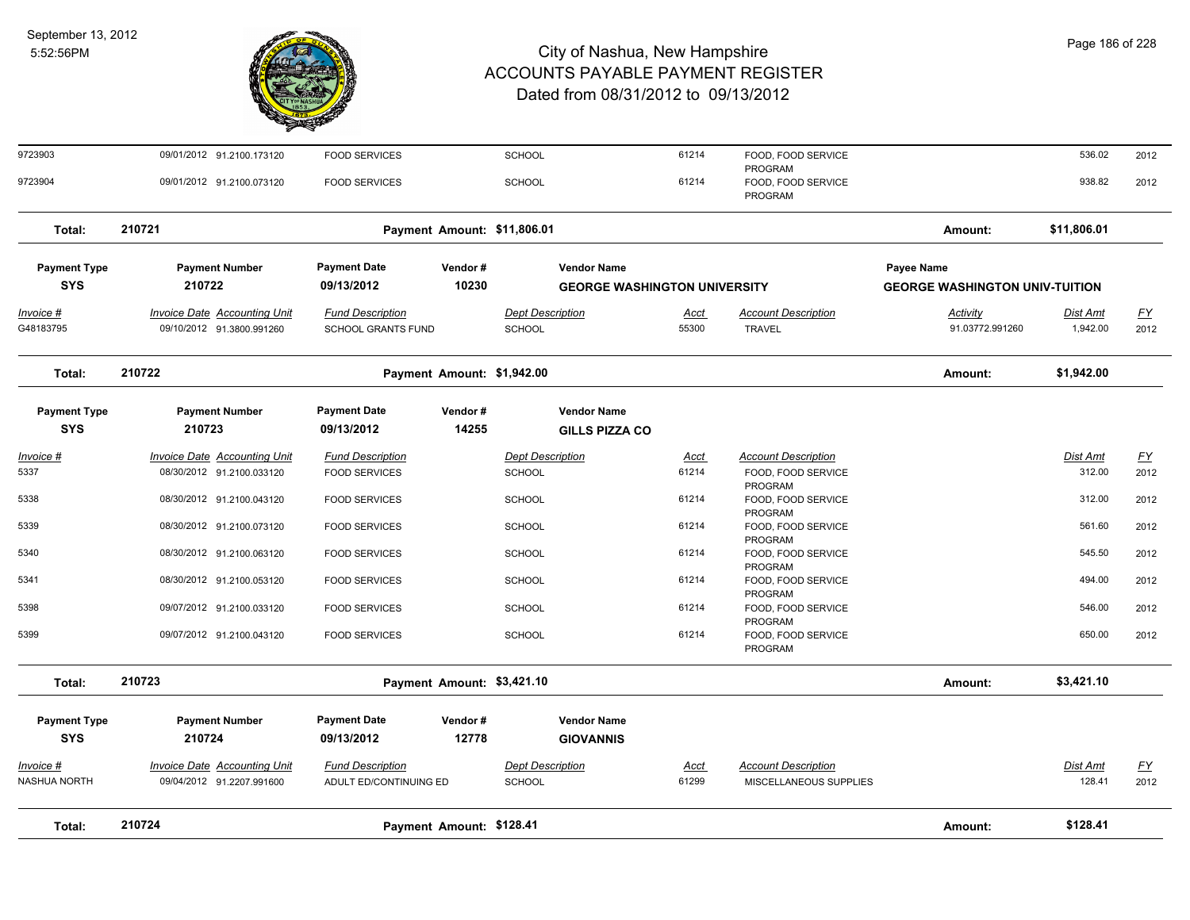

| 9723903                           | 09/01/2012 91.2100.173120                                        | <b>FOOD SERVICES</b>                                 |                             | SCHOOL                            | 61214                                                     | FOOD, FOOD SERVICE<br>PROGRAM                        |                                                     | 536.02                      | 2012              |
|-----------------------------------|------------------------------------------------------------------|------------------------------------------------------|-----------------------------|-----------------------------------|-----------------------------------------------------------|------------------------------------------------------|-----------------------------------------------------|-----------------------------|-------------------|
| 9723904                           | 09/01/2012 91.2100.073120                                        | <b>FOOD SERVICES</b>                                 |                             | SCHOOL                            | 61214                                                     | FOOD, FOOD SERVICE<br>PROGRAM                        |                                                     | 938.82                      | 2012              |
| Total:                            | 210721                                                           |                                                      | Payment Amount: \$11,806.01 |                                   |                                                           |                                                      | Amount:                                             | \$11,806.01                 |                   |
| <b>Payment Type</b><br><b>SYS</b> | <b>Payment Number</b><br>210722                                  | <b>Payment Date</b><br>09/13/2012                    | Vendor#<br>10230            |                                   | <b>Vendor Name</b><br><b>GEORGE WASHINGTON UNIVERSITY</b> |                                                      | Payee Name<br><b>GEORGE WASHINGTON UNIV-TUITION</b> |                             |                   |
| Invoice #<br>G48183795            | Invoice Date Accounting Unit<br>09/10/2012 91.3800.991260        | <b>Fund Description</b><br><b>SCHOOL GRANTS FUND</b> |                             | <b>Dept Description</b><br>SCHOOL | Acct<br>55300                                             | <b>Account Description</b><br><b>TRAVEL</b>          | Activity<br>91.03772.991260                         | <b>Dist Amt</b><br>1,942.00 | <u>FY</u><br>2012 |
| Total:                            | 210722                                                           |                                                      | Payment Amount: \$1,942.00  |                                   |                                                           |                                                      | Amount:                                             | \$1,942.00                  |                   |
| <b>Payment Type</b><br><b>SYS</b> | <b>Payment Number</b><br>210723                                  | <b>Payment Date</b><br>09/13/2012                    | Vendor#<br>14255            |                                   | <b>Vendor Name</b><br><b>GILLS PIZZA CO</b>               |                                                      |                                                     |                             |                   |
| $Invoice$ #                       | <b>Invoice Date Accounting Unit</b>                              | <b>Fund Description</b>                              |                             | <b>Dept Description</b>           | <u>Acct</u>                                               | <b>Account Description</b>                           |                                                     | Dist Amt                    | <u>FY</u>         |
| 5337                              | 08/30/2012 91.2100.033120                                        | <b>FOOD SERVICES</b>                                 |                             | SCHOOL                            | 61214                                                     | FOOD, FOOD SERVICE<br>PROGRAM                        |                                                     | 312.00                      | 2012              |
| 5338                              | 08/30/2012 91.2100.043120                                        | <b>FOOD SERVICES</b>                                 |                             | <b>SCHOOL</b>                     | 61214                                                     | FOOD, FOOD SERVICE<br>PROGRAM                        |                                                     | 312.00                      | 2012              |
| 5339                              | 08/30/2012 91.2100.073120                                        | <b>FOOD SERVICES</b>                                 |                             | <b>SCHOOL</b>                     | 61214                                                     | FOOD, FOOD SERVICE<br>PROGRAM                        |                                                     | 561.60                      | 2012              |
| 5340                              | 08/30/2012 91.2100.063120                                        | <b>FOOD SERVICES</b>                                 |                             | <b>SCHOOL</b>                     | 61214                                                     | FOOD, FOOD SERVICE<br>PROGRAM                        |                                                     | 545.50                      | 2012              |
| 5341                              | 08/30/2012 91.2100.053120                                        | <b>FOOD SERVICES</b>                                 |                             | <b>SCHOOL</b>                     | 61214                                                     | FOOD, FOOD SERVICE<br>PROGRAM                        |                                                     | 494.00                      | 2012              |
| 5398                              | 09/07/2012 91.2100.033120                                        | <b>FOOD SERVICES</b>                                 |                             | <b>SCHOOL</b>                     | 61214                                                     | FOOD, FOOD SERVICE<br>PROGRAM                        |                                                     | 546.00                      | 2012              |
| 5399                              | 09/07/2012 91.2100.043120                                        | <b>FOOD SERVICES</b>                                 |                             | <b>SCHOOL</b>                     | 61214                                                     | FOOD, FOOD SERVICE<br>PROGRAM                        |                                                     | 650.00                      | 2012              |
| Total:                            | 210723                                                           |                                                      | Payment Amount: \$3,421.10  |                                   |                                                           |                                                      | Amount:                                             | \$3,421.10                  |                   |
| <b>Payment Type</b><br><b>SYS</b> | <b>Payment Number</b><br>210724                                  | <b>Payment Date</b><br>09/13/2012                    | Vendor#<br>12778            |                                   | <b>Vendor Name</b><br><b>GIOVANNIS</b>                    |                                                      |                                                     |                             |                   |
| Invoice #<br>NASHUA NORTH         | <b>Invoice Date Accounting Unit</b><br>09/04/2012 91.2207.991600 | <b>Fund Description</b><br>ADULT ED/CONTINUING ED    |                             | <b>Dept Description</b><br>SCHOOL | Acct<br>61299                                             | <b>Account Description</b><br>MISCELLANEOUS SUPPLIES |                                                     | Dist Amt<br>128.41          | <u>FY</u><br>2012 |
| Total:                            | 210724                                                           |                                                      | Payment Amount: \$128.41    |                                   |                                                           |                                                      | Amount:                                             | \$128.41                    |                   |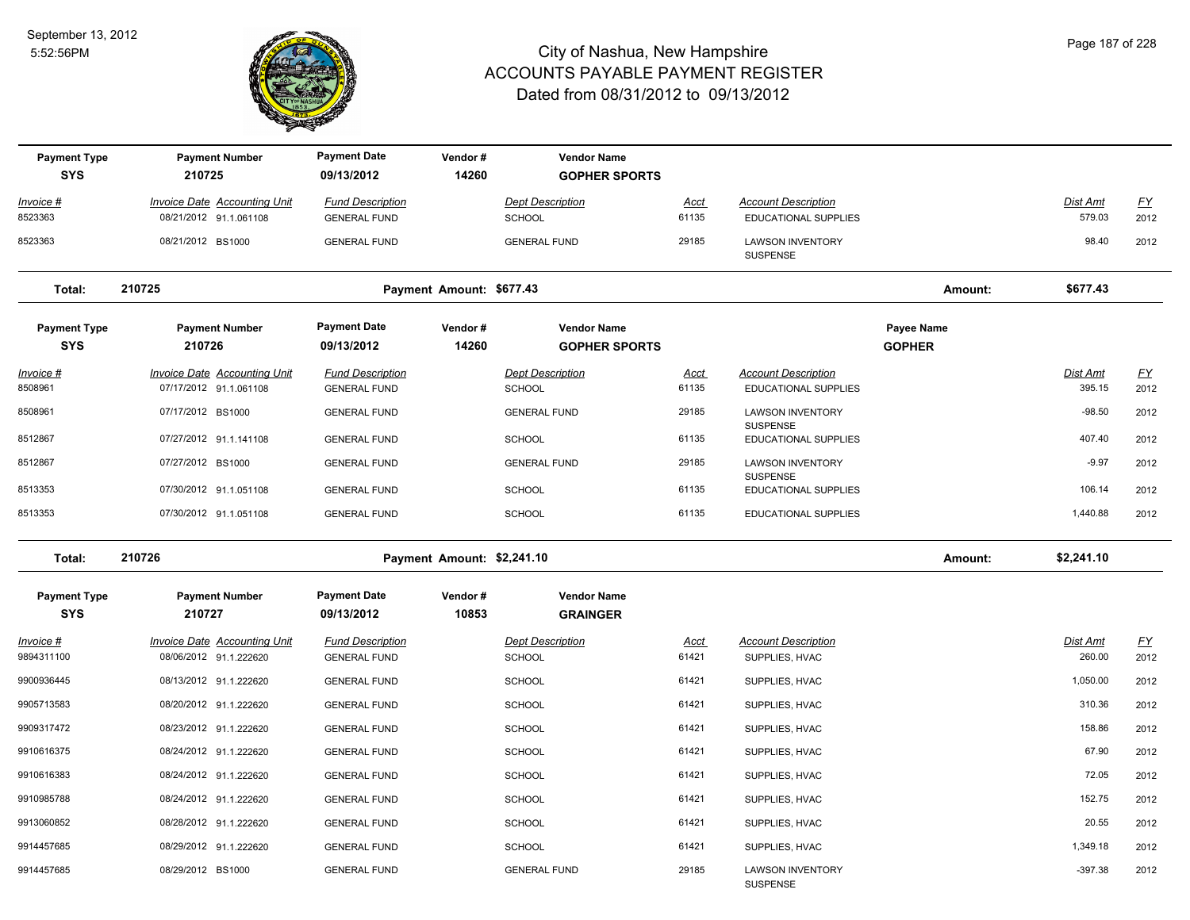

| <b>Payment Type</b><br><b>SYS</b> | <b>Payment Number</b><br>210725                               | <b>Payment Date</b><br>09/13/2012              | Vendor#<br>14260           | <b>Vendor Name</b><br><b>GOPHER SPORTS</b> |                      |                                                    |                             |                           |                   |
|-----------------------------------|---------------------------------------------------------------|------------------------------------------------|----------------------------|--------------------------------------------|----------------------|----------------------------------------------------|-----------------------------|---------------------------|-------------------|
| <u>Invoice #</u>                  | <b>Invoice Date Accounting Unit</b>                           | <b>Fund Description</b>                        |                            | <b>Dept Description</b>                    | <u>Acct</u>          | <b>Account Description</b>                         |                             | Dist Amt                  | EY                |
| 8523363                           | 08/21/2012 91.1.061108                                        | <b>GENERAL FUND</b>                            |                            | <b>SCHOOL</b>                              | 61135                | EDUCATIONAL SUPPLIES                               |                             | 579.03                    | 2012              |
| 8523363                           | 08/21/2012 BS1000                                             | <b>GENERAL FUND</b>                            |                            | <b>GENERAL FUND</b>                        | 29185                | <b>LAWSON INVENTORY</b><br>SUSPENSE                |                             | 98.40                     | 2012              |
| Total:                            | 210725                                                        |                                                | Payment Amount: \$677.43   |                                            |                      |                                                    | Amount:                     | \$677.43                  |                   |
| <b>Payment Type</b><br><b>SYS</b> | <b>Payment Number</b><br>210726                               | <b>Payment Date</b><br>09/13/2012              | Vendor#<br>14260           | <b>Vendor Name</b><br><b>GOPHER SPORTS</b> |                      |                                                    | Payee Name<br><b>GOPHER</b> |                           |                   |
| Invoice #<br>8508961              | <b>Invoice Date Accounting Unit</b><br>07/17/2012 91.1.061108 | <b>Fund Description</b><br><b>GENERAL FUND</b> |                            | <b>Dept Description</b><br><b>SCHOOL</b>   | <b>Acct</b><br>61135 | <b>Account Description</b><br>EDUCATIONAL SUPPLIES |                             | Dist Amt<br>395.15        | EY<br>2012        |
| 8508961                           | 07/17/2012 BS1000                                             | <b>GENERAL FUND</b>                            |                            | <b>GENERAL FUND</b>                        | 29185                | <b>LAWSON INVENTORY</b>                            |                             | $-98.50$                  | 2012              |
| 8512867                           | 07/27/2012 91.1.141108                                        | <b>GENERAL FUND</b>                            |                            | SCHOOL                                     | 61135                | SUSPENSE<br>EDUCATIONAL SUPPLIES                   |                             | 407.40                    | 2012              |
| 8512867                           | 07/27/2012 BS1000                                             | <b>GENERAL FUND</b>                            |                            | <b>GENERAL FUND</b>                        | 29185                | <b>LAWSON INVENTORY</b>                            |                             | $-9.97$                   | 2012              |
| 8513353                           | 07/30/2012 91.1.051108                                        | <b>GENERAL FUND</b>                            |                            | <b>SCHOOL</b>                              | 61135                | <b>SUSPENSE</b><br>EDUCATIONAL SUPPLIES            |                             | 106.14                    | 2012              |
| 8513353                           | 07/30/2012 91.1.051108                                        | <b>GENERAL FUND</b>                            |                            | <b>SCHOOL</b>                              | 61135                | <b>EDUCATIONAL SUPPLIES</b>                        |                             | 1,440.88                  | 2012              |
| Total:                            | 210726                                                        |                                                | Payment Amount: \$2,241.10 |                                            |                      |                                                    | Amount:                     | \$2,241.10                |                   |
| <b>Payment Type</b><br><b>SYS</b> | <b>Payment Number</b><br>210727                               | <b>Payment Date</b><br>09/13/2012              | Vendor#<br>10853           | <b>Vendor Name</b><br><b>GRAINGER</b>      |                      |                                                    |                             |                           |                   |
| <u>Invoice #</u><br>9894311100    | <b>Invoice Date Accounting Unit</b><br>08/06/2012 91.1.222620 | <b>Fund Description</b><br><b>GENERAL FUND</b> |                            | <b>Dept Description</b><br>SCHOOL          | <b>Acct</b><br>61421 | <b>Account Description</b><br>SUPPLIES, HVAC       |                             | <b>Dist Amt</b><br>260.00 | <u>FY</u><br>2012 |
| 9900936445                        | 08/13/2012 91.1.222620                                        | <b>GENERAL FUND</b>                            |                            | <b>SCHOOL</b>                              | 61421                | SUPPLIES, HVAC                                     |                             | 1,050.00                  | 2012              |
| 9905713583                        | 08/20/2012 91.1.222620                                        | <b>GENERAL FUND</b>                            |                            | <b>SCHOOL</b>                              | 61421                | SUPPLIES, HVAC                                     |                             | 310.36                    | 2012              |
| 9909317472                        | 08/23/2012 91.1.222620                                        | <b>GENERAL FUND</b>                            |                            | <b>SCHOOL</b>                              | 61421                | SUPPLIES, HVAC                                     |                             | 158.86                    | 2012              |
| 9910616375                        | 08/24/2012 91.1.222620                                        | <b>GENERAL FUND</b>                            |                            | <b>SCHOOL</b>                              | 61421                | SUPPLIES, HVAC                                     |                             | 67.90                     | 2012              |
| 9910616383                        | 08/24/2012 91.1.222620                                        | <b>GENERAL FUND</b>                            |                            | <b>SCHOOL</b>                              | 61421                | SUPPLIES, HVAC                                     |                             | 72.05                     | 2012              |
| 9910985788                        | 08/24/2012 91.1.222620                                        | <b>GENERAL FUND</b>                            |                            | <b>SCHOOL</b>                              | 61421                | SUPPLIES, HVAC                                     |                             | 152.75                    | 2012              |
| 9913060852                        | 08/28/2012 91.1.222620                                        | <b>GENERAL FUND</b>                            |                            | <b>SCHOOL</b>                              | 61421                | SUPPLIES, HVAC                                     |                             | 20.55                     | 2012              |
| 9914457685                        | 08/29/2012 91.1.222620                                        | <b>GENERAL FUND</b>                            |                            | SCHOOL                                     | 61421                | SUPPLIES, HVAC                                     |                             | 1,349.18                  | 2012              |
| 9914457685                        | 08/29/2012 BS1000                                             | <b>GENERAL FUND</b>                            |                            | <b>GENERAL FUND</b>                        | 29185                | <b>LAWSON INVENTORY</b><br><b>SUSPENSE</b>         |                             | $-397.38$                 | 2012              |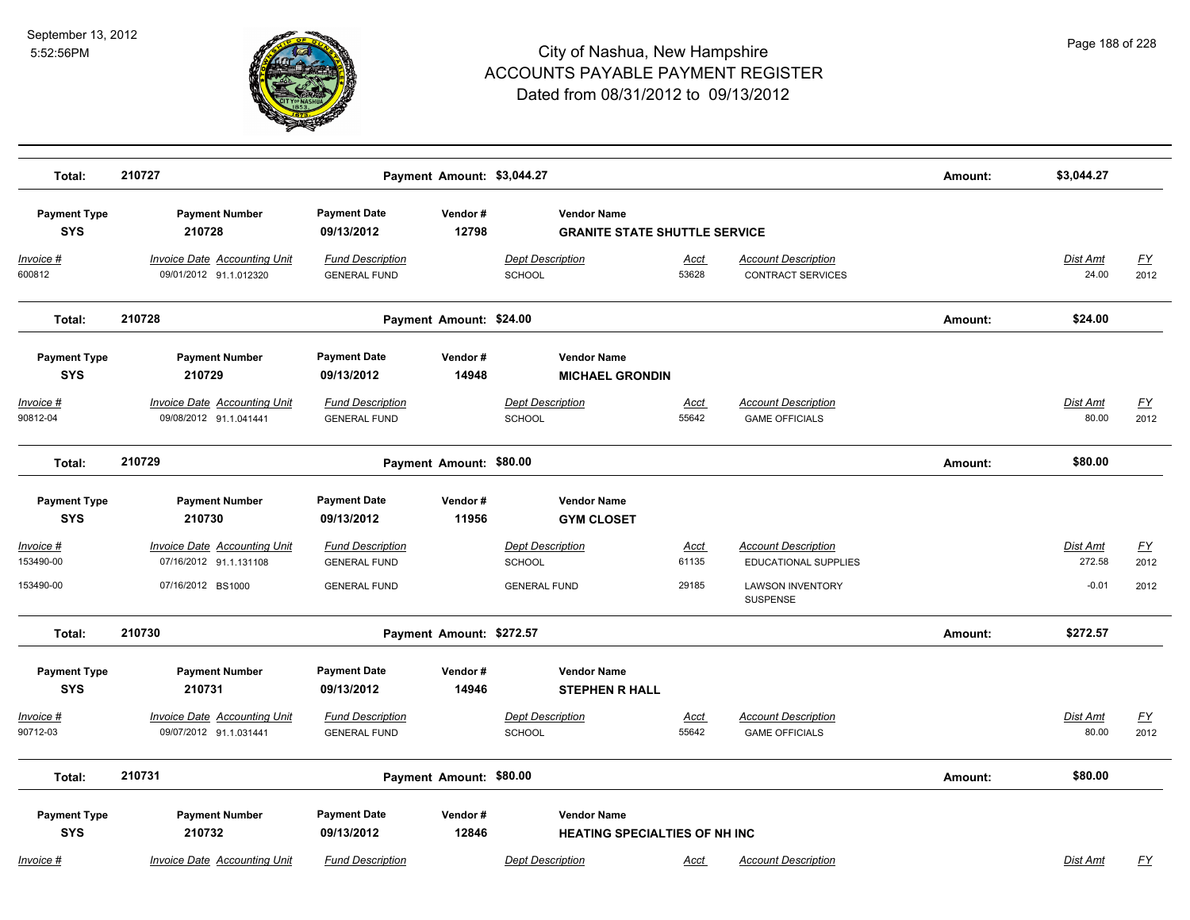

| Total:                            | 210727                                                        |                                                | Payment Amount: \$3,044.27 |                                                            |                      |                                                        | Amount: | \$3,044.27                |                          |
|-----------------------------------|---------------------------------------------------------------|------------------------------------------------|----------------------------|------------------------------------------------------------|----------------------|--------------------------------------------------------|---------|---------------------------|--------------------------|
| <b>Payment Type</b><br><b>SYS</b> | <b>Payment Number</b><br>210728                               | <b>Payment Date</b><br>09/13/2012              | Vendor#<br>12798           | <b>Vendor Name</b><br><b>GRANITE STATE SHUTTLE SERVICE</b> |                      |                                                        |         |                           |                          |
| Invoice #<br>600812               | Invoice Date Accounting Unit<br>09/01/2012 91.1.012320        | <b>Fund Description</b><br><b>GENERAL FUND</b> |                            | <b>Dept Description</b><br><b>SCHOOL</b>                   | Acct<br>53628        | <b>Account Description</b><br><b>CONTRACT SERVICES</b> |         | Dist Amt<br>24.00         | <u>FY</u><br>2012        |
| Total:                            | 210728                                                        |                                                | Payment Amount: \$24.00    |                                                            |                      |                                                        | Amount: | \$24.00                   |                          |
| <b>Payment Type</b><br><b>SYS</b> | <b>Payment Number</b><br>210729                               | <b>Payment Date</b><br>09/13/2012              | Vendor#<br>14948           | <b>Vendor Name</b><br><b>MICHAEL GRONDIN</b>               |                      |                                                        |         |                           |                          |
| <u>Invoice #</u><br>90812-04      | <b>Invoice Date Accounting Unit</b><br>09/08/2012 91.1.041441 | <b>Fund Description</b><br><b>GENERAL FUND</b> |                            | <b>Dept Description</b><br>SCHOOL                          | <b>Acct</b><br>55642 | <b>Account Description</b><br><b>GAME OFFICIALS</b>    |         | <b>Dist Amt</b><br>80.00  | <u>FY</u><br>2012        |
| Total:                            | 210729                                                        |                                                | Payment Amount: \$80.00    |                                                            |                      |                                                        | Amount: | \$80.00                   |                          |
| <b>Payment Type</b><br><b>SYS</b> | <b>Payment Number</b><br>210730                               | <b>Payment Date</b><br>09/13/2012              | Vendor#<br>11956           | <b>Vendor Name</b><br><b>GYM CLOSET</b>                    |                      |                                                        |         |                           |                          |
| Invoice #<br>153490-00            | <b>Invoice Date Accounting Unit</b><br>07/16/2012 91.1.131108 | <b>Fund Description</b><br><b>GENERAL FUND</b> |                            | <b>Dept Description</b><br>SCHOOL                          | <u>Acct</u><br>61135 | <b>Account Description</b><br>EDUCATIONAL SUPPLIES     |         | <b>Dist Amt</b><br>272.58 | $\underline{FY}$<br>2012 |
| 153490-00                         | 07/16/2012 BS1000                                             | <b>GENERAL FUND</b>                            |                            | <b>GENERAL FUND</b>                                        | 29185                | <b>LAWSON INVENTORY</b><br>SUSPENSE                    |         | $-0.01$                   | 2012                     |
| Total:                            | 210730                                                        |                                                | Payment Amount: \$272.57   |                                                            |                      |                                                        | Amount: | \$272.57                  |                          |
| <b>Payment Type</b><br><b>SYS</b> | <b>Payment Number</b><br>210731                               | <b>Payment Date</b><br>09/13/2012              | Vendor#<br>14946           | <b>Vendor Name</b><br><b>STEPHEN R HALL</b>                |                      |                                                        |         |                           |                          |
| Invoice #<br>90712-03             | <b>Invoice Date Accounting Unit</b><br>09/07/2012 91.1.031441 | <b>Fund Description</b><br><b>GENERAL FUND</b> |                            | <b>Dept Description</b><br>SCHOOL                          | Acct<br>55642        | <b>Account Description</b><br><b>GAME OFFICIALS</b>    |         | <b>Dist Amt</b><br>80.00  | $\underline{FY}$<br>2012 |
| Total:                            | 210731                                                        |                                                | Payment Amount: \$80.00    |                                                            |                      |                                                        | Amount: | \$80.00                   |                          |
| <b>Payment Type</b><br><b>SYS</b> | <b>Payment Number</b><br>210732                               | <b>Payment Date</b><br>09/13/2012              | Vendor#<br>12846           | <b>Vendor Name</b><br><b>HEATING SPECIALTIES OF NH INC</b> |                      |                                                        |         |                           |                          |
| Invoice #                         | Invoice Date Accounting Unit                                  | <b>Fund Description</b>                        |                            | <b>Dept Description</b>                                    | Acct                 | <b>Account Description</b>                             |         | Dist Amt                  | FY                       |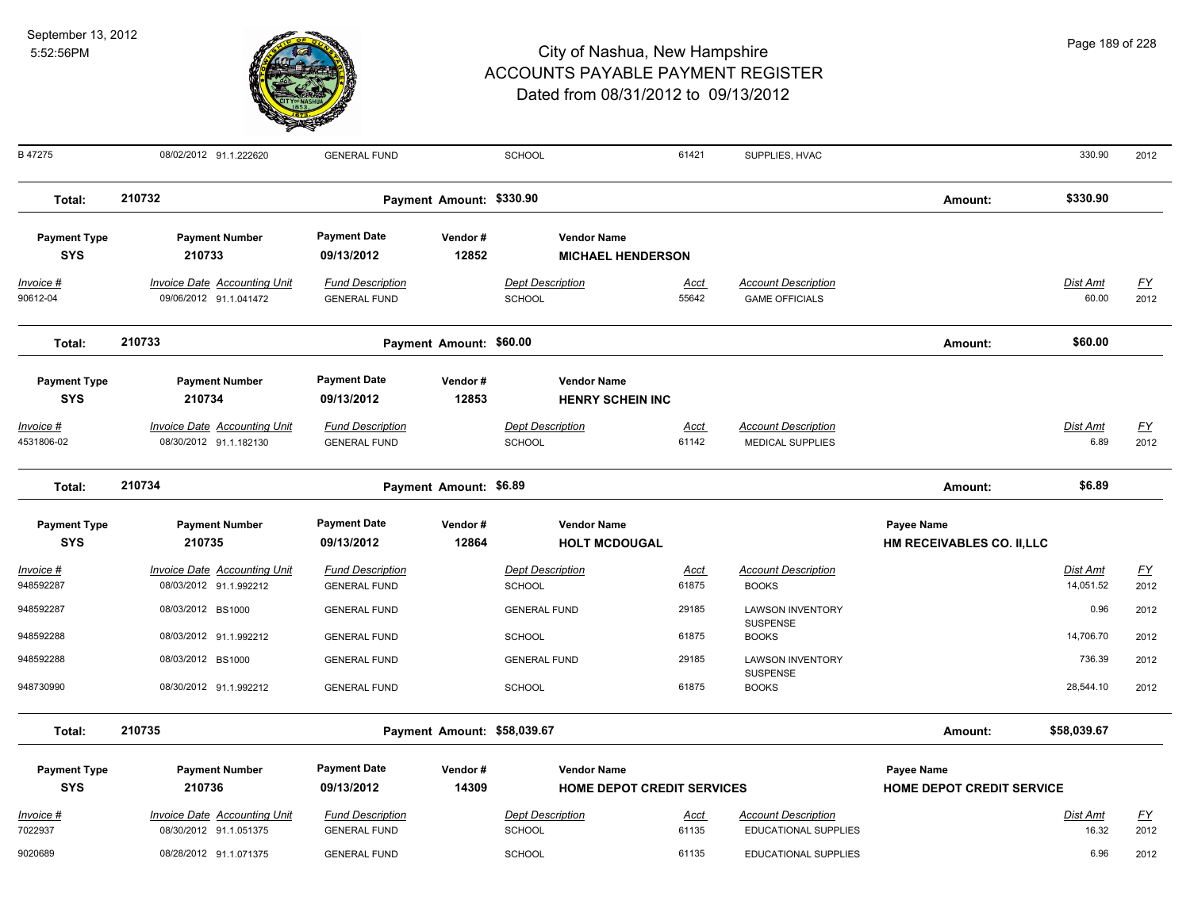

| B 47275             | 08/02/2012 91.1.222620              | <b>GENERAL FUND</b>     |                             | <b>SCHOOL</b>           | 61421                             | SUPPLIES, HVAC                  |                                  | 330.90          | 2012             |
|---------------------|-------------------------------------|-------------------------|-----------------------------|-------------------------|-----------------------------------|---------------------------------|----------------------------------|-----------------|------------------|
| Total:              | 210732                              |                         | Payment Amount: \$330.90    |                         |                                   |                                 | Amount:                          | \$330.90        |                  |
| <b>Payment Type</b> | <b>Payment Number</b>               | <b>Payment Date</b>     | Vendor#                     | <b>Vendor Name</b>      |                                   |                                 |                                  |                 |                  |
| <b>SYS</b>          | 210733                              | 09/13/2012              | 12852                       |                         | <b>MICHAEL HENDERSON</b>          |                                 |                                  |                 |                  |
| Invoice #           | <b>Invoice Date Accounting Unit</b> | <b>Fund Description</b> |                             | <b>Dept Description</b> | <u>Acct</u>                       | <b>Account Description</b>      |                                  | Dist Amt        | $\underline{FY}$ |
| 90612-04            | 09/06/2012 91.1.041472              | <b>GENERAL FUND</b>     |                             | <b>SCHOOL</b>           | 55642                             | <b>GAME OFFICIALS</b>           |                                  | 60.00           | 2012             |
| Total:              | 210733                              |                         | Payment Amount: \$60.00     |                         |                                   |                                 | Amount:                          | \$60.00         |                  |
| <b>Payment Type</b> | <b>Payment Number</b>               | <b>Payment Date</b>     | Vendor#                     | <b>Vendor Name</b>      |                                   |                                 |                                  |                 |                  |
| <b>SYS</b>          | 210734                              | 09/13/2012              | 12853                       | <b>HENRY SCHEIN INC</b> |                                   |                                 |                                  |                 |                  |
| <u> Invoice #</u>   | <b>Invoice Date Accounting Unit</b> | <b>Fund Description</b> |                             | <b>Dept Description</b> | <u>Acct</u>                       | <b>Account Description</b>      |                                  | <u>Dist Amt</u> | <u>FY</u>        |
| 4531806-02          | 08/30/2012 91.1.182130              | <b>GENERAL FUND</b>     |                             | <b>SCHOOL</b>           | 61142                             | <b>MEDICAL SUPPLIES</b>         |                                  | 6.89            | 2012             |
| Total:              | 210734                              |                         | Payment Amount: \$6.89      |                         |                                   |                                 | Amount:                          | \$6.89          |                  |
| <b>Payment Type</b> | <b>Payment Number</b>               | <b>Payment Date</b>     | Vendor#                     | <b>Vendor Name</b>      |                                   |                                 | <b>Payee Name</b>                |                 |                  |
| <b>SYS</b>          | 210735                              | 09/13/2012              | 12864                       | <b>HOLT MCDOUGAL</b>    |                                   |                                 | HM RECEIVABLES CO. II,LLC        |                 |                  |
| Invoice #           | <b>Invoice Date Accounting Unit</b> | <b>Fund Description</b> |                             | <b>Dept Description</b> | <u>Acct</u>                       | <b>Account Description</b>      |                                  | Dist Amt        | <u>FY</u>        |
| 948592287           | 08/03/2012 91.1.992212              | <b>GENERAL FUND</b>     |                             | <b>SCHOOL</b>           | 61875                             | <b>BOOKS</b>                    |                                  | 14,051.52       | 2012             |
| 948592287           | 08/03/2012 BS1000                   | <b>GENERAL FUND</b>     |                             | <b>GENERAL FUND</b>     | 29185                             | <b>LAWSON INVENTORY</b>         |                                  | 0.96            | 2012             |
| 948592288           | 08/03/2012 91.1.992212              | <b>GENERAL FUND</b>     |                             | <b>SCHOOL</b>           | 61875                             | <b>SUSPENSE</b><br><b>BOOKS</b> |                                  | 14,706.70       | 2012             |
| 948592288           | 08/03/2012 BS1000                   | <b>GENERAL FUND</b>     |                             | <b>GENERAL FUND</b>     | 29185                             | <b>LAWSON INVENTORY</b>         |                                  | 736.39          | 2012             |
| 948730990           | 08/30/2012 91.1.992212              | <b>GENERAL FUND</b>     |                             | <b>SCHOOL</b>           | 61875                             | SUSPENSE<br><b>BOOKS</b>        |                                  | 28,544.10       | 2012             |
| Total:              | 210735                              |                         | Payment Amount: \$58,039.67 |                         |                                   |                                 | Amount:                          | \$58,039.67     |                  |
| <b>Payment Type</b> | <b>Payment Number</b>               | <b>Payment Date</b>     | Vendor#                     | <b>Vendor Name</b>      |                                   |                                 | <b>Payee Name</b>                |                 |                  |
| <b>SYS</b>          | 210736                              | 09/13/2012              | 14309                       |                         | <b>HOME DEPOT CREDIT SERVICES</b> |                                 | <b>HOME DEPOT CREDIT SERVICE</b> |                 |                  |
| Invoice #           | <b>Invoice Date Accounting Unit</b> | <b>Fund Description</b> |                             | <b>Dept Description</b> | Acct                              | <b>Account Description</b>      |                                  | Dist Amt        | <u>FY</u>        |
| 7022937             | 08/30/2012 91.1.051375              | <b>GENERAL FUND</b>     |                             | SCHOOL                  | 61135                             | <b>EDUCATIONAL SUPPLIES</b>     |                                  | 16.32           | 2012             |
| 9020689             | 08/28/2012 91.1.071375              | <b>GENERAL FUND</b>     |                             | <b>SCHOOL</b>           | 61135                             | <b>EDUCATIONAL SUPPLIES</b>     |                                  | 6.96            | 2012             |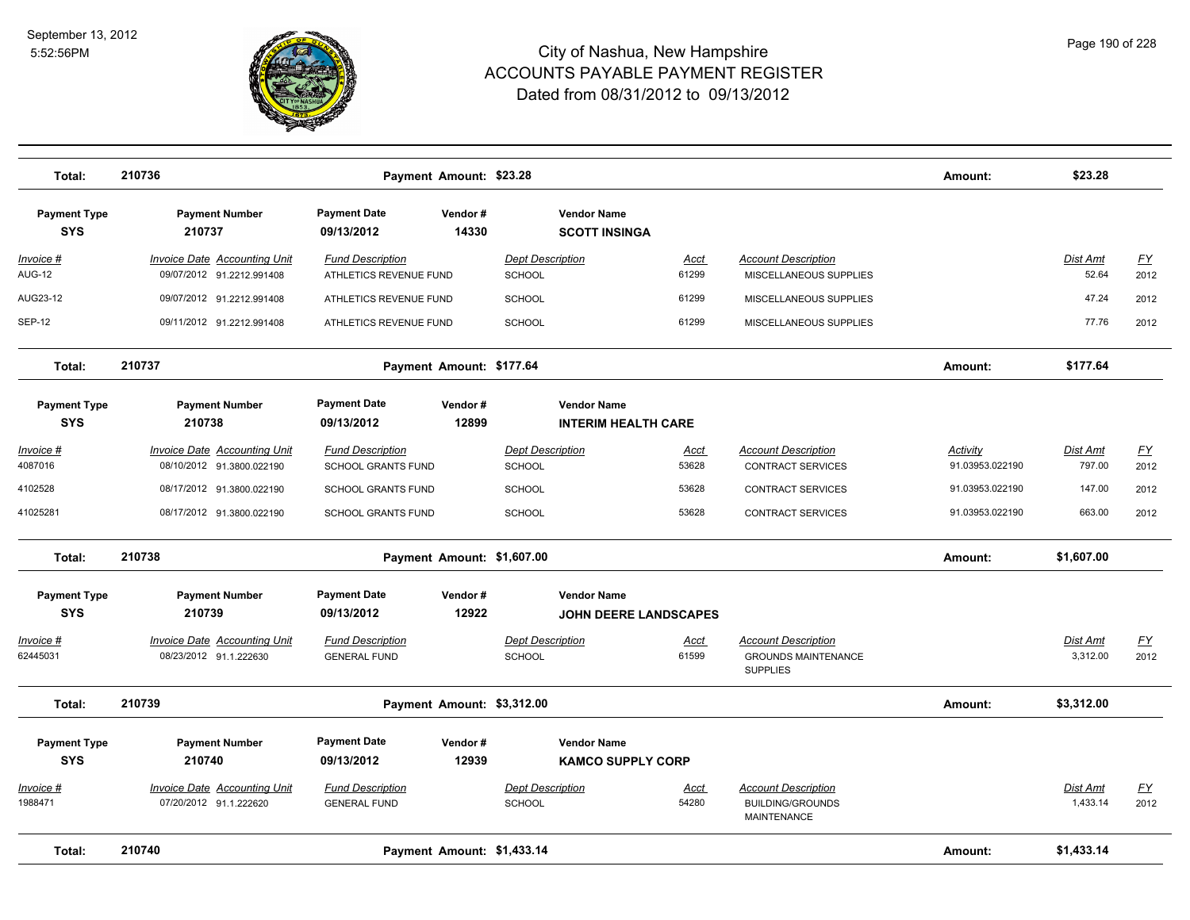

| Total:                            | 210736                                                           |                                                      | Payment Amount: \$23.28    |                                                    |                      |                                                                             | Amount:                            | \$23.28              |                                   |
|-----------------------------------|------------------------------------------------------------------|------------------------------------------------------|----------------------------|----------------------------------------------------|----------------------|-----------------------------------------------------------------------------|------------------------------------|----------------------|-----------------------------------|
| <b>Payment Type</b><br><b>SYS</b> | <b>Payment Number</b><br>210737                                  | <b>Payment Date</b><br>09/13/2012                    | Vendor#<br>14330           | <b>Vendor Name</b><br><b>SCOTT INSINGA</b>         |                      |                                                                             |                                    |                      |                                   |
| Invoice #<br><b>AUG-12</b>        | <b>Invoice Date Accounting Unit</b><br>09/07/2012 91.2212.991408 | <b>Fund Description</b><br>ATHLETICS REVENUE FUND    |                            | <b>Dept Description</b><br>SCHOOL                  | Acct<br>61299        | <b>Account Description</b><br>MISCELLANEOUS SUPPLIES                        |                                    | Dist Amt<br>52.64    | $\underline{FY}$<br>2012          |
| AUG23-12                          | 09/07/2012 91.2212.991408                                        | ATHLETICS REVENUE FUND                               |                            | SCHOOL                                             | 61299                | MISCELLANEOUS SUPPLIES                                                      |                                    | 47.24                | 2012                              |
| <b>SEP-12</b>                     | 09/11/2012 91.2212.991408                                        | ATHLETICS REVENUE FUND                               |                            | SCHOOL                                             | 61299                | MISCELLANEOUS SUPPLIES                                                      |                                    | 77.76                | 2012                              |
| Total:                            | 210737                                                           |                                                      | Payment Amount: \$177.64   |                                                    |                      |                                                                             | Amount:                            | \$177.64             |                                   |
| <b>Payment Type</b><br><b>SYS</b> | <b>Payment Number</b><br>210738                                  | <b>Payment Date</b><br>09/13/2012                    | Vendor#<br>12899           | <b>Vendor Name</b><br><b>INTERIM HEALTH CARE</b>   |                      |                                                                             |                                    |                      |                                   |
| Invoice #<br>4087016              | <b>Invoice Date Accounting Unit</b><br>08/10/2012 91.3800.022190 | <b>Fund Description</b><br><b>SCHOOL GRANTS FUND</b> |                            | <b>Dept Description</b><br>SCHOOL                  | <u>Acct</u><br>53628 | <b>Account Description</b><br><b>CONTRACT SERVICES</b>                      | <b>Activity</b><br>91.03953.022190 | Dist Amt<br>797.00   | $\underline{\mathsf{FY}}$<br>2012 |
| 4102528                           | 08/17/2012 91.3800.022190                                        | <b>SCHOOL GRANTS FUND</b>                            |                            | <b>SCHOOL</b>                                      | 53628                | <b>CONTRACT SERVICES</b>                                                    | 91.03953.022190                    | 147.00               | 2012                              |
| 41025281                          | 08/17/2012 91.3800.022190                                        | <b>SCHOOL GRANTS FUND</b>                            |                            | SCHOOL                                             | 53628                | <b>CONTRACT SERVICES</b>                                                    | 91.03953.022190                    | 663.00               | 2012                              |
| Total:                            | 210738                                                           |                                                      | Payment Amount: \$1,607.00 |                                                    |                      |                                                                             | Amount:                            | \$1,607.00           |                                   |
| <b>Payment Type</b><br><b>SYS</b> | <b>Payment Number</b><br>210739                                  | <b>Payment Date</b><br>09/13/2012                    | Vendor#<br>12922           | <b>Vendor Name</b><br><b>JOHN DEERE LANDSCAPES</b> |                      |                                                                             |                                    |                      |                                   |
| Invoice #<br>62445031             | Invoice Date Accounting Unit<br>08/23/2012 91.1.222630           | <b>Fund Description</b><br><b>GENERAL FUND</b>       |                            | <b>Dept Description</b><br><b>SCHOOL</b>           | Acct<br>61599        | <b>Account Description</b><br><b>GROUNDS MAINTENANCE</b><br><b>SUPPLIES</b> |                                    | Dist Amt<br>3,312.00 | <u>FY</u><br>2012                 |
| Total:                            | 210739                                                           |                                                      | Payment Amount: \$3,312.00 |                                                    |                      |                                                                             | Amount:                            | \$3,312.00           |                                   |
| <b>Payment Type</b><br><b>SYS</b> | <b>Payment Number</b><br>210740                                  | <b>Payment Date</b><br>09/13/2012                    | Vendor#<br>12939           | <b>Vendor Name</b><br><b>KAMCO SUPPLY CORP</b>     |                      |                                                                             |                                    |                      |                                   |
| Invoice #<br>1988471              | Invoice Date Accounting Unit<br>07/20/2012 91.1.222620           | <b>Fund Description</b><br><b>GENERAL FUND</b>       |                            | <b>Dept Description</b><br><b>SCHOOL</b>           | Acct<br>54280        | <b>Account Description</b><br><b>BUILDING/GROUNDS</b><br><b>MAINTENANCE</b> |                                    | Dist Amt<br>1,433.14 | <u>FY</u><br>2012                 |
| Total:                            | 210740                                                           |                                                      | Payment Amount: \$1,433.14 |                                                    |                      |                                                                             | Amount:                            | \$1,433.14           |                                   |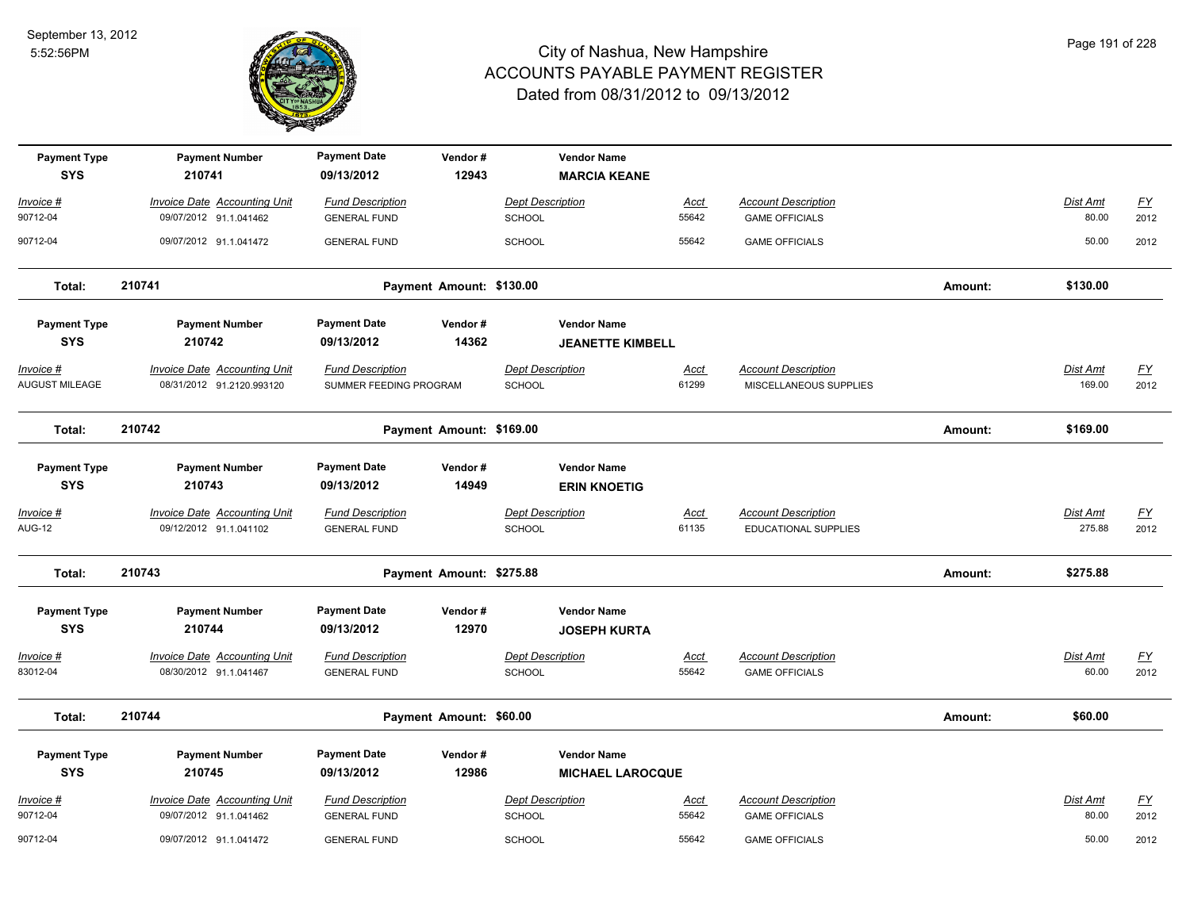

| <b>Payment Type</b><br><b>SYS</b> | <b>Payment Number</b><br>210741                                  | <b>Payment Date</b><br>09/13/2012                 | Vendor#<br>12943         | <b>Vendor Name</b><br><b>MARCIA KEANE</b>     |                      |                                                      |         |                           |                          |
|-----------------------------------|------------------------------------------------------------------|---------------------------------------------------|--------------------------|-----------------------------------------------|----------------------|------------------------------------------------------|---------|---------------------------|--------------------------|
| Invoice #                         | <b>Invoice Date Accounting Unit</b>                              | <b>Fund Description</b>                           |                          | <b>Dept Description</b>                       | <b>Acct</b>          | <b>Account Description</b>                           |         | Dist Amt                  | $\underline{FY}$         |
| 90712-04                          | 09/07/2012 91.1.041462                                           | <b>GENERAL FUND</b>                               |                          | SCHOOL                                        | 55642                | <b>GAME OFFICIALS</b>                                |         | 80.00                     | 2012                     |
| 90712-04                          | 09/07/2012 91.1.041472                                           | <b>GENERAL FUND</b>                               |                          | SCHOOL                                        | 55642                | <b>GAME OFFICIALS</b>                                |         | 50.00                     | 2012                     |
| Total:                            | 210741                                                           |                                                   | Payment Amount: \$130.00 |                                               |                      |                                                      | Amount: | \$130.00                  |                          |
| <b>Payment Type</b>               | <b>Payment Number</b>                                            | <b>Payment Date</b>                               | Vendor#                  | <b>Vendor Name</b>                            |                      |                                                      |         |                           |                          |
| <b>SYS</b>                        | 210742                                                           | 09/13/2012                                        | 14362                    | <b>JEANETTE KIMBELL</b>                       |                      |                                                      |         |                           |                          |
| Invoice #<br>AUGUST MILEAGE       | <b>Invoice Date Accounting Unit</b><br>08/31/2012 91.2120.993120 | <b>Fund Description</b><br>SUMMER FEEDING PROGRAM |                          | <b>Dept Description</b><br>SCHOOL             | <b>Acct</b><br>61299 | <b>Account Description</b><br>MISCELLANEOUS SUPPLIES |         | Dist Amt<br>169.00        | $\underline{FY}$<br>2012 |
| Total:                            | 210742                                                           |                                                   | Payment Amount: \$169.00 |                                               |                      |                                                      | Amount: | \$169.00                  |                          |
| <b>Payment Type</b><br><b>SYS</b> | <b>Payment Number</b><br>210743                                  | <b>Payment Date</b><br>09/13/2012                 | Vendor#<br>14949         | <b>Vendor Name</b><br><b>ERIN KNOETIG</b>     |                      |                                                      |         |                           |                          |
| <u>Invoice #</u><br><b>AUG-12</b> | <b>Invoice Date Accounting Unit</b><br>09/12/2012 91.1.041102    | <b>Fund Description</b><br><b>GENERAL FUND</b>    |                          | <b>Dept Description</b><br><b>SCHOOL</b>      | <u>Acct</u><br>61135 | <b>Account Description</b><br>EDUCATIONAL SUPPLIES   |         | <b>Dist Amt</b><br>275.88 | <u>FY</u><br>2012        |
| Total:                            | 210743                                                           |                                                   | Payment Amount: \$275.88 |                                               |                      |                                                      | Amount: | \$275.88                  |                          |
| <b>Payment Type</b><br><b>SYS</b> | <b>Payment Number</b><br>210744                                  | <b>Payment Date</b><br>09/13/2012                 | Vendor#<br>12970         | <b>Vendor Name</b><br><b>JOSEPH KURTA</b>     |                      |                                                      |         |                           |                          |
| Invoice #<br>83012-04             | <b>Invoice Date Accounting Unit</b><br>08/30/2012 91.1.041467    | <b>Fund Description</b><br><b>GENERAL FUND</b>    |                          | <b>Dept Description</b><br><b>SCHOOL</b>      | <b>Acct</b><br>55642 | <b>Account Description</b><br><b>GAME OFFICIALS</b>  |         | <b>Dist Amt</b><br>60.00  | <u>FY</u><br>2012        |
| Total:                            | 210744                                                           |                                                   | Payment Amount: \$60.00  |                                               |                      |                                                      | Amount: | \$60.00                   |                          |
| <b>Payment Type</b><br><b>SYS</b> | <b>Payment Number</b><br>210745                                  | <b>Payment Date</b><br>09/13/2012                 | Vendor#<br>12986         | <b>Vendor Name</b><br><b>MICHAEL LAROCQUE</b> |                      |                                                      |         |                           |                          |
| Invoice #                         | <b>Invoice Date Accounting Unit</b>                              | <b>Fund Description</b>                           |                          | <b>Dept Description</b>                       | Acct                 | <b>Account Description</b>                           |         | Dist Amt                  | EY                       |
| 90712-04                          | 09/07/2012 91.1.041462                                           | <b>GENERAL FUND</b>                               |                          | SCHOOL                                        | 55642                | <b>GAME OFFICIALS</b>                                |         | 80.00                     | 2012                     |
| 90712-04                          | 09/07/2012 91.1.041472                                           | <b>GENERAL FUND</b>                               |                          | SCHOOL                                        | 55642                | <b>GAME OFFICIALS</b>                                |         | 50.00                     | 2012                     |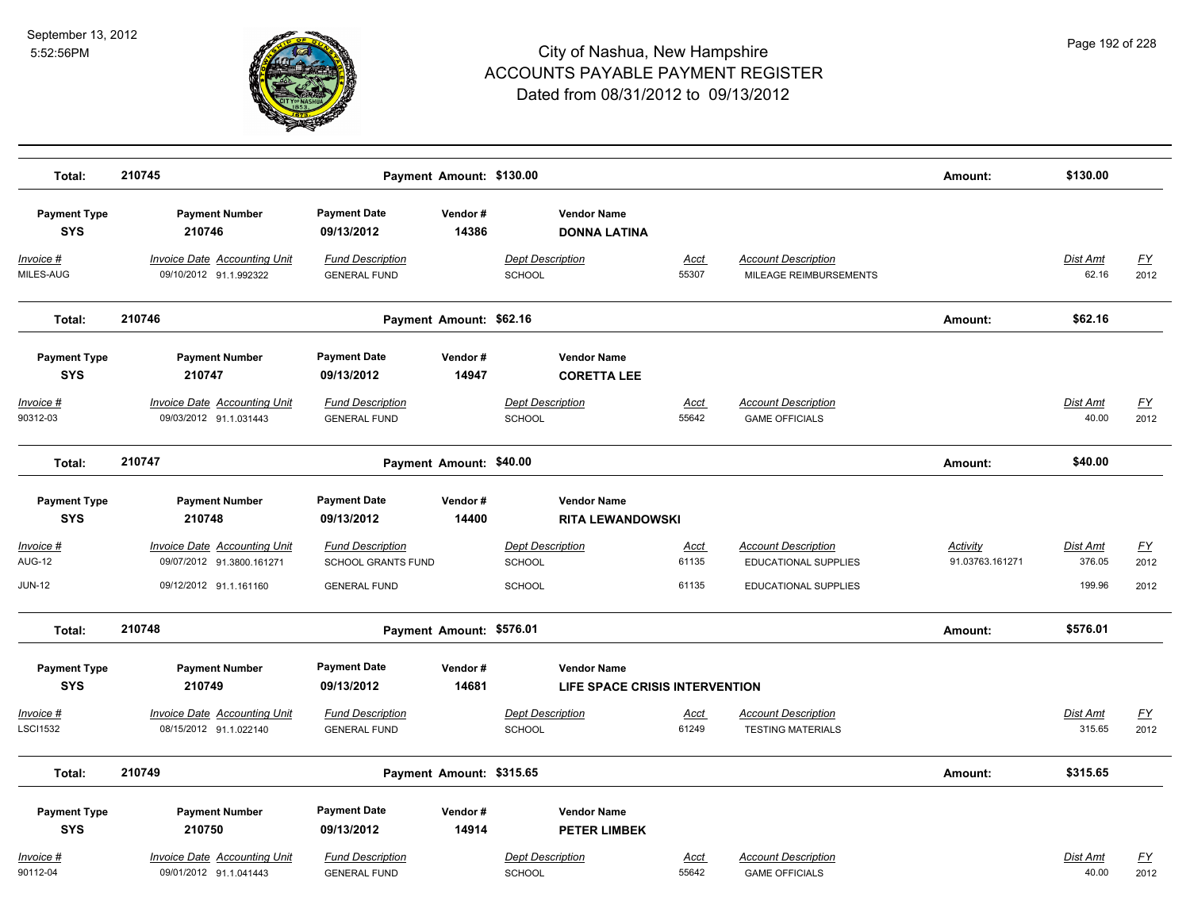

| Total:                               | 210745                                                           | Payment Amount: \$130.00                                     |                          |                                                          |                      |                                                           | Amount:                     | \$130.00                 |                                   |
|--------------------------------------|------------------------------------------------------------------|--------------------------------------------------------------|--------------------------|----------------------------------------------------------|----------------------|-----------------------------------------------------------|-----------------------------|--------------------------|-----------------------------------|
| <b>Payment Type</b><br><b>SYS</b>    | <b>Payment Number</b><br>210746                                  | <b>Payment Date</b><br>09/13/2012                            | Vendor#<br>14386         | <b>Vendor Name</b><br><b>DONNA LATINA</b>                |                      |                                                           |                             |                          |                                   |
| Invoice #<br>MILES-AUG               | Invoice Date Accounting Unit<br>09/10/2012 91.1.992322           | <b>Fund Description</b><br><b>GENERAL FUND</b>               |                          | Dept Description<br><b>SCHOOL</b>                        | <b>Acct</b><br>55307 | <b>Account Description</b><br>MILEAGE REIMBURSEMENTS      |                             | Dist Amt<br>62.16        | <u>FY</u><br>2012                 |
| Total:                               | 210746                                                           | Payment Amount: \$62.16                                      |                          |                                                          |                      |                                                           | Amount:                     | \$62.16                  |                                   |
| <b>Payment Type</b><br><b>SYS</b>    | <b>Payment Number</b><br>210747                                  | <b>Payment Date</b><br>09/13/2012                            | Vendor#<br>14947         | <b>Vendor Name</b><br><b>CORETTA LEE</b>                 |                      |                                                           |                             |                          |                                   |
| $Invoice$ #<br>90312-03              | <b>Invoice Date Accounting Unit</b><br>09/03/2012 91.1.031443    | <b>Fund Description</b><br><b>GENERAL FUND</b>               |                          | <b>Dept Description</b><br>SCHOOL                        | <b>Acct</b><br>55642 | <b>Account Description</b><br><b>GAME OFFICIALS</b>       |                             | <b>Dist Amt</b><br>40.00 | <u>FY</u><br>2012                 |
| Total:                               | 210747                                                           |                                                              | Payment Amount: \$40.00  |                                                          |                      |                                                           | Amount:                     | \$40.00                  |                                   |
| <b>Payment Type</b><br><b>SYS</b>    | <b>Payment Number</b><br>210748                                  | <b>Payment Date</b><br>09/13/2012                            | Vendor#<br>14400         | <b>Vendor Name</b><br><b>RITA LEWANDOWSKI</b>            |                      |                                                           |                             |                          |                                   |
| Invoice #<br><b>AUG-12</b>           | <b>Invoice Date Accounting Unit</b><br>09/07/2012 91.3800.161271 | <b>Fund Description</b><br>SCHOOL GRANTS FUND                |                          | <b>Dept Description</b><br><b>SCHOOL</b>                 | <b>Acct</b><br>61135 | <b>Account Description</b><br><b>EDUCATIONAL SUPPLIES</b> | Activity<br>91.03763.161271 | Dist Amt<br>376.05       | <u>FY</u><br>2012                 |
| <b>JUN-12</b>                        | 09/12/2012 91.1.161160                                           | <b>GENERAL FUND</b>                                          |                          | SCHOOL                                                   | 61135                | <b>EDUCATIONAL SUPPLIES</b>                               |                             | 199.96                   | 2012                              |
| Total:                               | 210748                                                           |                                                              | Payment Amount: \$576.01 |                                                          |                      |                                                           | Amount:                     | \$576.01                 |                                   |
| <b>Payment Type</b><br><b>SYS</b>    | <b>Payment Number</b><br>210749                                  | <b>Payment Date</b><br>09/13/2012                            | Vendor#<br>14681         | <b>Vendor Name</b><br>LIFE SPACE CRISIS INTERVENTION     |                      |                                                           |                             |                          |                                   |
| <u> Invoice #</u><br><b>LSCI1532</b> | <b>Invoice Date Accounting Unit</b><br>08/15/2012 91.1.022140    | <b>Fund Description</b><br><b>GENERAL FUND</b>               |                          | <b>Dept Description</b><br>SCHOOL                        | <u>Acct</u><br>61249 | <b>Account Description</b><br><b>TESTING MATERIALS</b>    |                             | Dist Amt<br>315.65       | <u>FY</u><br>2012                 |
| Total:                               | 210749                                                           |                                                              | Payment Amount: \$315.65 |                                                          |                      |                                                           | Amount:                     | \$315.65                 |                                   |
| <b>Payment Type</b>                  | <b>Payment Number</b>                                            | <b>Payment Date</b>                                          | Vendor#                  | <b>Vendor Name</b>                                       |                      |                                                           |                             |                          |                                   |
| <b>SYS</b><br>Invoice #<br>90112-04  | 210750<br>Invoice Date Accounting Unit<br>09/01/2012 91.1.041443 | 09/13/2012<br><b>Fund Description</b><br><b>GENERAL FUND</b> | 14914                    | <b>PETER LIMBEK</b><br><b>Dept Description</b><br>SCHOOL | <b>Acct</b><br>55642 | <b>Account Description</b><br><b>GAME OFFICIALS</b>       |                             | <b>Dist Amt</b><br>40.00 | $\underline{\mathsf{FY}}$<br>2012 |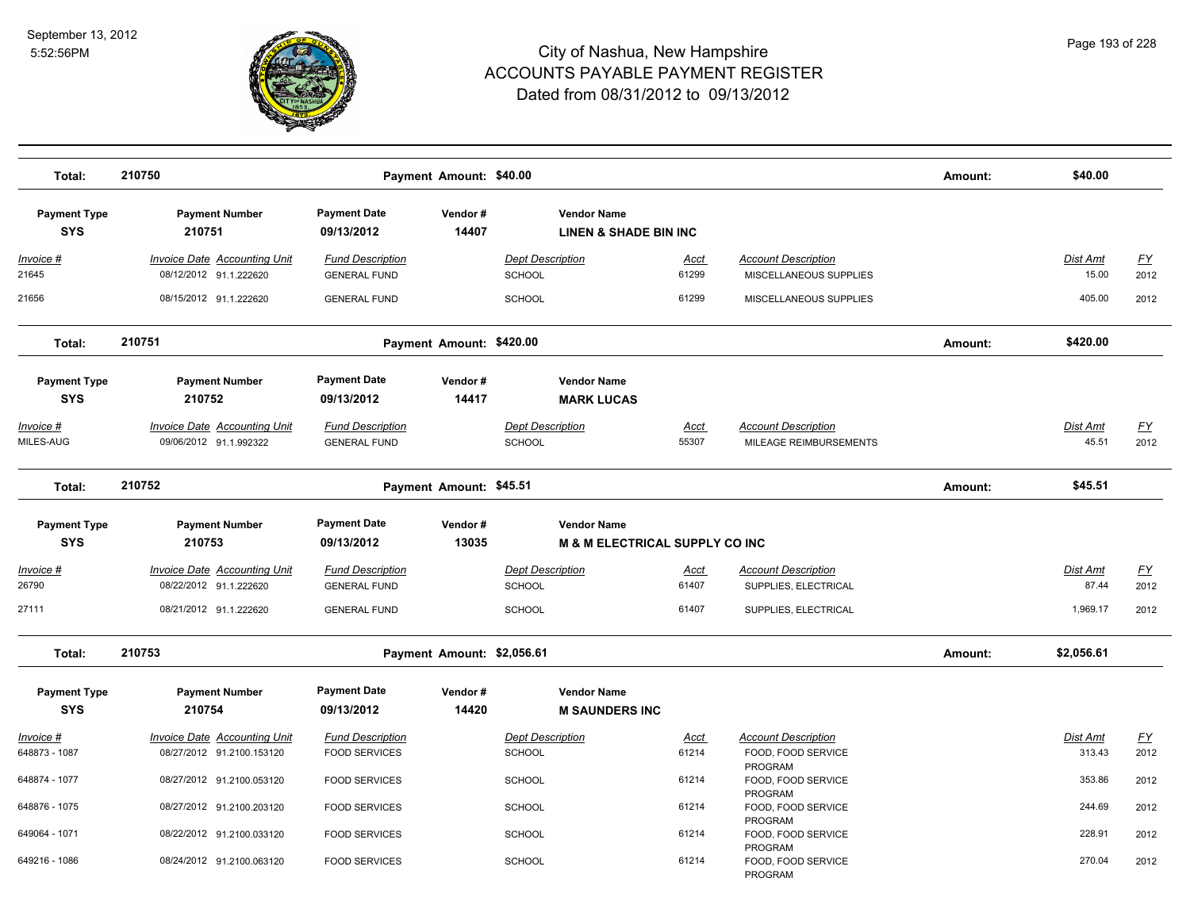

| Total:                                         | 210750                                                                 |                                                              | Payment Amount: \$40.00    |                                   |                                                                 |                |                                                      | Amount: | \$40.00            |                                   |
|------------------------------------------------|------------------------------------------------------------------------|--------------------------------------------------------------|----------------------------|-----------------------------------|-----------------------------------------------------------------|----------------|------------------------------------------------------|---------|--------------------|-----------------------------------|
| <b>Payment Type</b><br><b>SYS</b>              | <b>Payment Number</b><br>210751                                        | <b>Payment Date</b><br>09/13/2012                            | Vendor#<br>14407           |                                   | <b>Vendor Name</b><br><b>LINEN &amp; SHADE BIN INC</b>          |                |                                                      |         |                    |                                   |
| Invoice #<br>21645                             | <b>Invoice Date Accounting Unit</b><br>08/12/2012 91.1.222620          | <b>Fund Description</b><br><b>GENERAL FUND</b>               |                            | Dept Description<br>SCHOOL        |                                                                 | Acct<br>61299  | <b>Account Description</b><br>MISCELLANEOUS SUPPLIES |         | Dist Amt<br>15.00  | <u>FY</u><br>2012                 |
| 21656                                          | 08/15/2012 91.1.222620                                                 | <b>GENERAL FUND</b>                                          |                            | <b>SCHOOL</b>                     |                                                                 | 61299          | MISCELLANEOUS SUPPLIES                               |         | 405.00             | 2012                              |
| Total:                                         | 210751                                                                 |                                                              | Payment Amount: \$420.00   |                                   |                                                                 |                |                                                      | Amount: | \$420.00           |                                   |
| <b>Payment Type</b><br><b>SYS</b><br>Invoice # | <b>Payment Number</b><br>210752<br><b>Invoice Date Accounting Unit</b> | <b>Payment Date</b><br>09/13/2012<br><b>Fund Description</b> | Vendor#<br>14417           | <b>Dept Description</b>           | <b>Vendor Name</b><br><b>MARK LUCAS</b>                         | <u>Acct</u>    | <b>Account Description</b>                           |         | <b>Dist Amt</b>    | <u>FY</u>                         |
| MILES-AUG<br>Total:                            | 09/06/2012 91.1.992322<br>210752                                       | <b>GENERAL FUND</b>                                          | Payment Amount: \$45.51    | SCHOOL                            |                                                                 | 55307          | MILEAGE REIMBURSEMENTS                               | Amount: | 45.51<br>\$45.51   | 2012                              |
| <b>Payment Type</b><br><b>SYS</b>              | <b>Payment Number</b><br>210753                                        | <b>Payment Date</b><br>09/13/2012                            | Vendor#<br>13035           |                                   | <b>Vendor Name</b><br><b>M &amp; M ELECTRICAL SUPPLY CO INC</b> |                |                                                      |         |                    |                                   |
| Invoice #                                      | Invoice Date Accounting Unit                                           | <b>Fund Description</b>                                      |                            | <b>Dept Description</b>           |                                                                 | <u>Acct</u>    | <b>Account Description</b>                           |         | Dist Amt           | <u>FY</u>                         |
| 26790<br>27111                                 | 08/22/2012 91.1.222620<br>08/21/2012 91.1.222620                       | <b>GENERAL FUND</b><br><b>GENERAL FUND</b>                   |                            | SCHOOL<br><b>SCHOOL</b>           |                                                                 | 61407<br>61407 | SUPPLIES, ELECTRICAL<br>SUPPLIES, ELECTRICAL         |         | 87.44<br>1,969.17  | 2012<br>2012                      |
| Total:                                         | 210753                                                                 |                                                              | Payment Amount: \$2,056.61 |                                   |                                                                 |                |                                                      | Amount: | \$2,056.61         |                                   |
| <b>Payment Type</b><br><b>SYS</b>              | <b>Payment Number</b><br>210754                                        | <b>Payment Date</b><br>09/13/2012                            | Vendor#<br>14420           |                                   | <b>Vendor Name</b><br><b>M SAUNDERS INC</b>                     |                |                                                      |         |                    |                                   |
| <u> Invoice #</u><br>648873 - 1087             | <b>Invoice Date Accounting Unit</b><br>08/27/2012 91.2100.153120       | <b>Fund Description</b><br><b>FOOD SERVICES</b>              |                            | <b>Dept Description</b><br>SCHOOL |                                                                 | Acct<br>61214  | <b>Account Description</b><br>FOOD, FOOD SERVICE     |         | Dist Amt<br>313.43 | $\underline{\mathsf{FY}}$<br>2012 |
| 648874 - 1077                                  | 08/27/2012 91.2100.053120                                              | <b>FOOD SERVICES</b>                                         |                            | <b>SCHOOL</b>                     |                                                                 | 61214          | PROGRAM<br>FOOD, FOOD SERVICE                        |         | 353.86             | 2012                              |
| 648876 - 1075                                  | 08/27/2012 91.2100.203120                                              | <b>FOOD SERVICES</b>                                         |                            | SCHOOL                            |                                                                 | 61214          | PROGRAM<br>FOOD, FOOD SERVICE                        |         | 244.69             | 2012                              |
| 649064 - 1071                                  | 08/22/2012 91.2100.033120                                              | <b>FOOD SERVICES</b>                                         |                            | <b>SCHOOL</b>                     |                                                                 | 61214          | PROGRAM<br>FOOD, FOOD SERVICE<br>PROGRAM             |         | 228.91             | 2012                              |
| 649216 - 1086                                  | 08/24/2012 91.2100.063120                                              | <b>FOOD SERVICES</b>                                         |                            | <b>SCHOOL</b>                     |                                                                 | 61214          | FOOD, FOOD SERVICE<br>PROGRAM                        |         | 270.04             | 2012                              |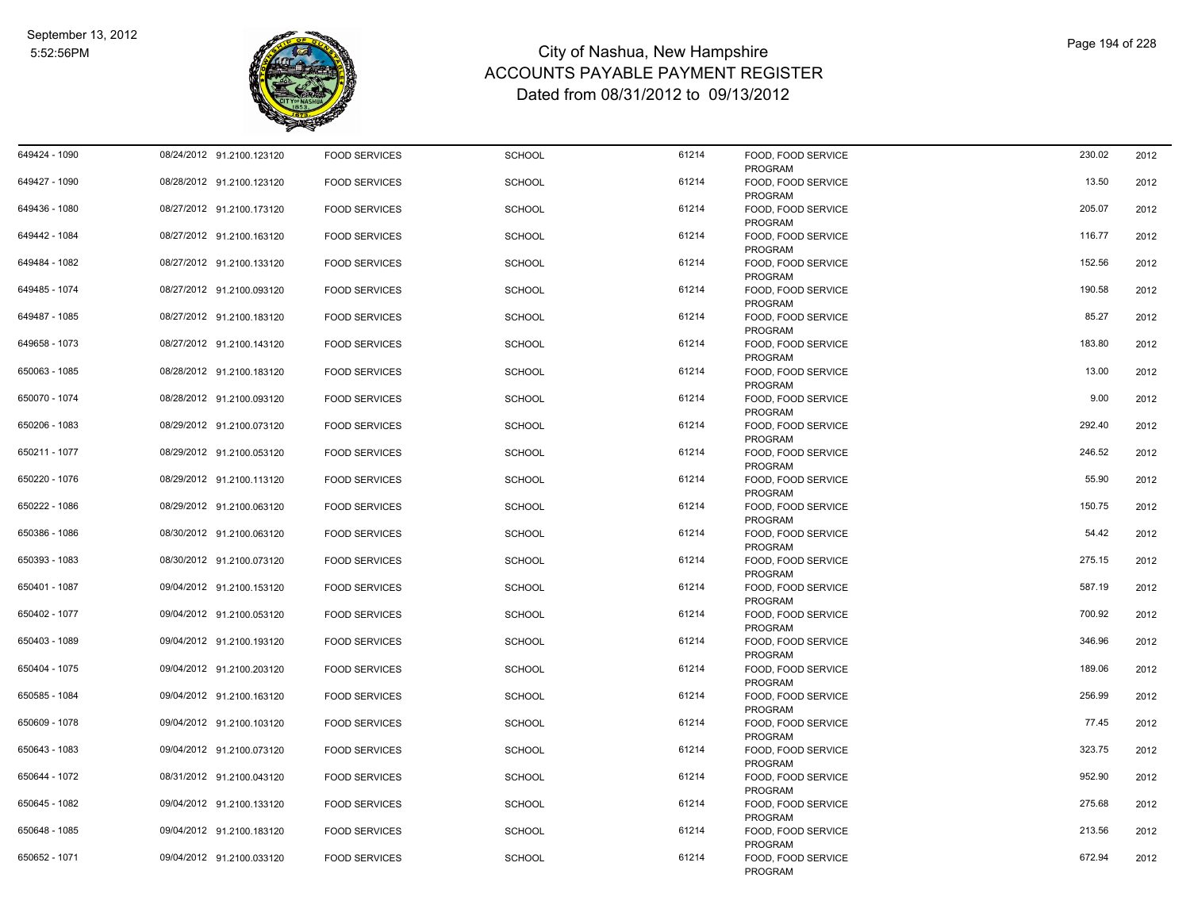

| 649424 - 1090 | 08/24/2012 91.2100.123120 | <b>FOOD SERVICES</b> | <b>SCHOOL</b> | 61214 | FOOD, FOOD SERVICE<br>PROGRAM        | 230.02 | 2012 |
|---------------|---------------------------|----------------------|---------------|-------|--------------------------------------|--------|------|
| 649427 - 1090 | 08/28/2012 91.2100.123120 | <b>FOOD SERVICES</b> | <b>SCHOOL</b> | 61214 | FOOD, FOOD SERVICE<br>PROGRAM        | 13.50  | 2012 |
| 649436 - 1080 | 08/27/2012 91.2100.173120 | <b>FOOD SERVICES</b> | <b>SCHOOL</b> | 61214 | FOOD, FOOD SERVICE<br>PROGRAM        | 205.07 | 2012 |
| 649442 - 1084 | 08/27/2012 91.2100.163120 | <b>FOOD SERVICES</b> | <b>SCHOOL</b> | 61214 | FOOD, FOOD SERVICE<br>PROGRAM        | 116.77 | 2012 |
| 649484 - 1082 | 08/27/2012 91.2100.133120 | <b>FOOD SERVICES</b> | <b>SCHOOL</b> | 61214 | FOOD, FOOD SERVICE<br>PROGRAM        | 152.56 | 2012 |
| 649485 - 1074 | 08/27/2012 91.2100.093120 | <b>FOOD SERVICES</b> | <b>SCHOOL</b> | 61214 | FOOD, FOOD SERVICE<br>PROGRAM        | 190.58 | 2012 |
| 649487 - 1085 | 08/27/2012 91.2100.183120 | <b>FOOD SERVICES</b> | <b>SCHOOL</b> | 61214 | FOOD, FOOD SERVICE<br>PROGRAM        | 85.27  | 2012 |
| 649658 - 1073 | 08/27/2012 91.2100.143120 | <b>FOOD SERVICES</b> | <b>SCHOOL</b> | 61214 | FOOD, FOOD SERVICE<br>PROGRAM        | 183.80 | 2012 |
| 650063 - 1085 | 08/28/2012 91.2100.183120 | <b>FOOD SERVICES</b> | <b>SCHOOL</b> | 61214 | FOOD, FOOD SERVICE<br>PROGRAM        | 13.00  | 2012 |
| 650070 - 1074 | 08/28/2012 91.2100.093120 | <b>FOOD SERVICES</b> | <b>SCHOOL</b> | 61214 | FOOD, FOOD SERVICE<br>PROGRAM        | 9.00   | 2012 |
| 650206 - 1083 | 08/29/2012 91.2100.073120 | <b>FOOD SERVICES</b> | <b>SCHOOL</b> | 61214 | FOOD, FOOD SERVICE<br>PROGRAM        | 292.40 | 2012 |
| 650211 - 1077 | 08/29/2012 91.2100.053120 | <b>FOOD SERVICES</b> | <b>SCHOOL</b> | 61214 | FOOD, FOOD SERVICE<br>PROGRAM        | 246.52 | 2012 |
| 650220 - 1076 | 08/29/2012 91.2100.113120 | <b>FOOD SERVICES</b> | <b>SCHOOL</b> | 61214 | FOOD, FOOD SERVICE<br>PROGRAM        | 55.90  | 2012 |
| 650222 - 1086 | 08/29/2012 91.2100.063120 | <b>FOOD SERVICES</b> | <b>SCHOOL</b> | 61214 | FOOD, FOOD SERVICE<br>PROGRAM        | 150.75 | 2012 |
| 650386 - 1086 | 08/30/2012 91.2100.063120 | <b>FOOD SERVICES</b> | <b>SCHOOL</b> | 61214 | FOOD, FOOD SERVICE<br><b>PROGRAM</b> | 54.42  | 2012 |
| 650393 - 1083 | 08/30/2012 91.2100.073120 | <b>FOOD SERVICES</b> | <b>SCHOOL</b> | 61214 | FOOD, FOOD SERVICE<br>PROGRAM        | 275.15 | 2012 |
| 650401 - 1087 | 09/04/2012 91.2100.153120 | <b>FOOD SERVICES</b> | <b>SCHOOL</b> | 61214 | FOOD, FOOD SERVICE<br>PROGRAM        | 587.19 | 2012 |
| 650402 - 1077 | 09/04/2012 91.2100.053120 | <b>FOOD SERVICES</b> | <b>SCHOOL</b> | 61214 | FOOD, FOOD SERVICE<br>PROGRAM        | 700.92 | 2012 |
| 650403 - 1089 | 09/04/2012 91.2100.193120 | <b>FOOD SERVICES</b> | <b>SCHOOL</b> | 61214 | FOOD, FOOD SERVICE<br>PROGRAM        | 346.96 | 2012 |
| 650404 - 1075 | 09/04/2012 91.2100.203120 | <b>FOOD SERVICES</b> | <b>SCHOOL</b> | 61214 | FOOD, FOOD SERVICE<br>PROGRAM        | 189.06 | 2012 |
| 650585 - 1084 | 09/04/2012 91.2100.163120 | <b>FOOD SERVICES</b> | <b>SCHOOL</b> | 61214 | FOOD, FOOD SERVICE<br>PROGRAM        | 256.99 | 2012 |
| 650609 - 1078 | 09/04/2012 91.2100.103120 | <b>FOOD SERVICES</b> | <b>SCHOOL</b> | 61214 | FOOD, FOOD SERVICE<br>PROGRAM        | 77.45  | 2012 |
| 650643 - 1083 | 09/04/2012 91.2100.073120 | <b>FOOD SERVICES</b> | <b>SCHOOL</b> | 61214 | FOOD, FOOD SERVICE<br>PROGRAM        | 323.75 | 2012 |
| 650644 - 1072 | 08/31/2012 91.2100.043120 | <b>FOOD SERVICES</b> | <b>SCHOOL</b> | 61214 | FOOD, FOOD SERVICE<br>PROGRAM        | 952.90 | 2012 |
| 650645 - 1082 | 09/04/2012 91.2100.133120 | <b>FOOD SERVICES</b> | <b>SCHOOL</b> | 61214 | FOOD, FOOD SERVICE<br>PROGRAM        | 275.68 | 2012 |
| 650648 - 1085 | 09/04/2012 91.2100.183120 | <b>FOOD SERVICES</b> | <b>SCHOOL</b> | 61214 | FOOD, FOOD SERVICE<br>PROGRAM        | 213.56 | 2012 |
| 650652 - 1071 | 09/04/2012 91.2100.033120 | <b>FOOD SERVICES</b> | <b>SCHOOL</b> | 61214 | FOOD, FOOD SERVICE<br>PROGRAM        | 672.94 | 2012 |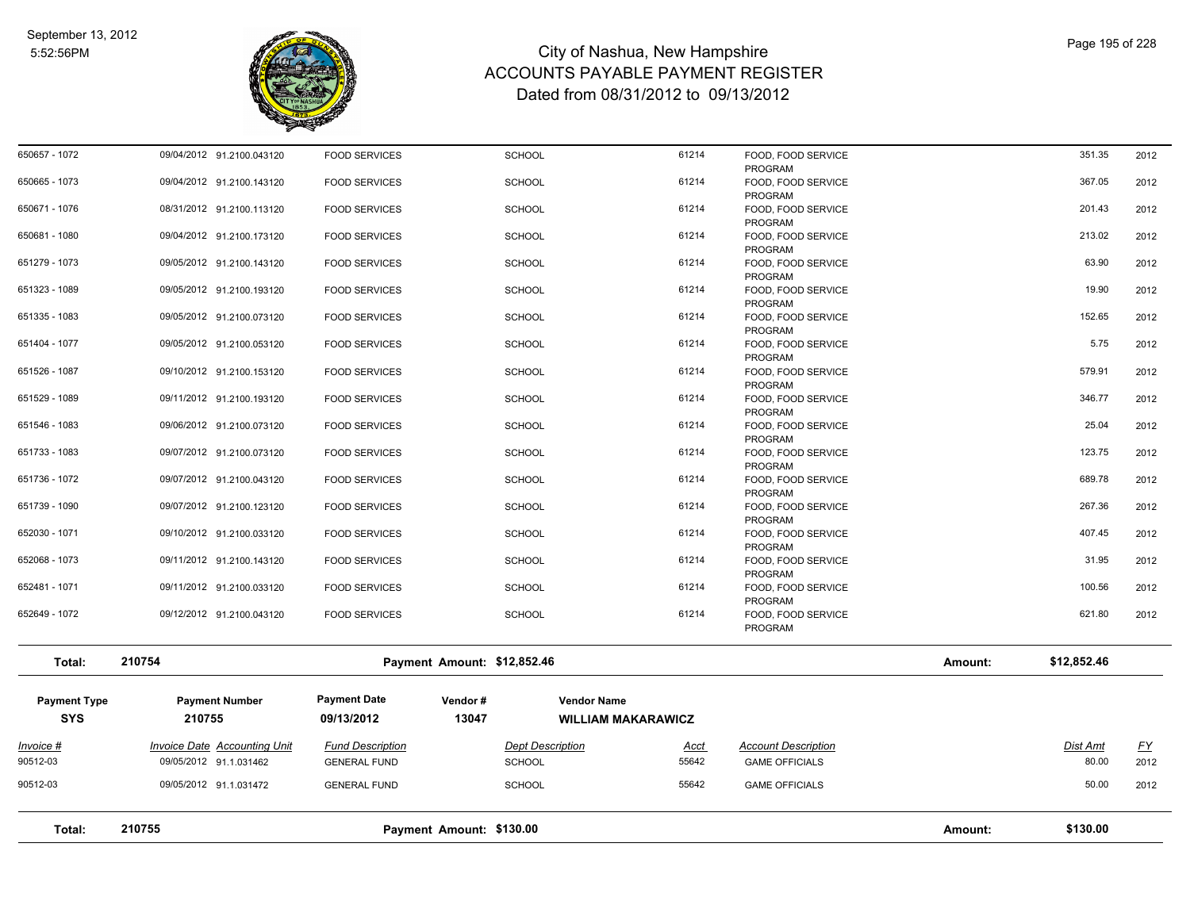

| Total:              | 210755<br>Payment Amount: \$130.00  |                         |                             |                           |                               |         | \$130.00    |           |
|---------------------|-------------------------------------|-------------------------|-----------------------------|---------------------------|-------------------------------|---------|-------------|-----------|
| 90512-03            | 09/05/2012 91.1.031472              | <b>GENERAL FUND</b>     | <b>SCHOOL</b>               | 55642                     | <b>GAME OFFICIALS</b>         |         | 50.00       | 2012      |
| 90512-03            | 09/05/2012 91.1.031462              | <b>GENERAL FUND</b>     | <b>SCHOOL</b>               | 55642                     | <b>GAME OFFICIALS</b>         |         | 80.00       | 2012      |
| Invoice #           | <b>Invoice Date Accounting Unit</b> | <b>Fund Description</b> | <b>Dept Description</b>     | Acct                      | <b>Account Description</b>    |         | Dist Amt    | <u>FY</u> |
| <b>SYS</b>          | 210755                              | 09/13/2012              | 13047                       | <b>WILLIAM MAKARAWICZ</b> |                               |         |             |           |
| <b>Payment Type</b> | <b>Payment Number</b>               | <b>Payment Date</b>     | Vendor#                     | <b>Vendor Name</b>        |                               |         |             |           |
|                     |                                     |                         |                             |                           |                               |         |             |           |
| Total:              | 210754                              |                         | Payment Amount: \$12,852.46 |                           |                               | Amount: | \$12,852.46 |           |
|                     |                                     |                         |                             |                           | PROGRAM                       |         |             |           |
| 652649 - 1072       | 09/12/2012 91.2100.043120           | <b>FOOD SERVICES</b>    | <b>SCHOOL</b>               | 61214                     | FOOD, FOOD SERVICE            |         | 621.80      | 2012      |
| 652481 - 1071       | 09/11/2012 91.2100.033120           | <b>FOOD SERVICES</b>    | <b>SCHOOL</b>               | 61214                     | FOOD, FOOD SERVICE<br>PROGRAM |         | 100.56      | 2012      |
|                     |                                     |                         |                             |                           | PROGRAM                       |         |             |           |
| 652068 - 1073       | 09/11/2012 91.2100.143120           | <b>FOOD SERVICES</b>    | <b>SCHOOL</b>               | 61214                     | PROGRAM<br>FOOD, FOOD SERVICE |         | 31.95       | 2012      |
| 652030 - 1071       | 09/10/2012 91.2100.033120           | <b>FOOD SERVICES</b>    | <b>SCHOOL</b>               | 61214                     | FOOD, FOOD SERVICE            |         | 407.45      | 2012      |
| 651739 - 1090       | 09/07/2012 91.2100.123120           | <b>FOOD SERVICES</b>    | <b>SCHOOL</b>               | 61214                     | FOOD, FOOD SERVICE<br>PROGRAM |         | 267.36      | 2012      |
|                     |                                     |                         |                             |                           | PROGRAM                       |         |             |           |
| 651736 - 1072       | 09/07/2012 91.2100.043120           | <b>FOOD SERVICES</b>    | <b>SCHOOL</b>               | 61214                     | FOOD, FOOD SERVICE            |         | 689.78      | 2012      |
| 651733 - 1083       | 09/07/2012 91.2100.073120           | <b>FOOD SERVICES</b>    | <b>SCHOOL</b>               | 61214                     | FOOD, FOOD SERVICE<br>PROGRAM |         | 123.75      | 2012      |
|                     |                                     |                         |                             |                           | PROGRAM                       |         |             |           |
| 651546 - 1083       | 09/06/2012 91.2100.073120           | <b>FOOD SERVICES</b>    | <b>SCHOOL</b>               | 61214                     | PROGRAM<br>FOOD, FOOD SERVICE |         | 25.04       | 2012      |
| 651529 - 1089       | 09/11/2012 91.2100.193120           | <b>FOOD SERVICES</b>    | <b>SCHOOL</b>               | 61214                     | FOOD, FOOD SERVICE            |         | 346.77      | 2012      |
|                     |                                     |                         |                             |                           | PROGRAM                       |         |             |           |
| 651526 - 1087       | 09/10/2012 91.2100.153120           | <b>FOOD SERVICES</b>    | <b>SCHOOL</b>               | 61214                     | PROGRAM<br>FOOD, FOOD SERVICE |         | 579.91      | 2012      |
| 651404 - 1077       | 09/05/2012 91.2100.053120           | <b>FOOD SERVICES</b>    | <b>SCHOOL</b>               | 61214                     | FOOD, FOOD SERVICE            |         | 5.75        | 2012      |
| 651335 - 1083       | 09/05/2012 91.2100.073120           | <b>FOOD SERVICES</b>    | <b>SCHOOL</b>               | 61214                     | FOOD, FOOD SERVICE<br>PROGRAM |         | 152.65      | 2012      |
|                     |                                     |                         |                             |                           | PROGRAM                       |         |             |           |
| 651323 - 1089       | 09/05/2012 91.2100.193120           | <b>FOOD SERVICES</b>    | <b>SCHOOL</b>               | 61214                     | FOOD, FOOD SERVICE            |         | 19.90       | 2012      |
| 651279 - 1073       | 09/05/2012 91.2100.143120           | <b>FOOD SERVICES</b>    | <b>SCHOOL</b>               | 61214                     | FOOD, FOOD SERVICE<br>PROGRAM |         | 63.90       | 2012      |
|                     |                                     |                         |                             |                           | PROGRAM                       |         |             |           |
| 650681 - 1080       | 09/04/2012 91.2100.173120           | <b>FOOD SERVICES</b>    | <b>SCHOOL</b>               | 61214                     | FOOD, FOOD SERVICE            |         | 213.02      | 2012      |
| 650671 - 1076       | 08/31/2012 91.2100.113120           | <b>FOOD SERVICES</b>    | <b>SCHOOL</b>               | 61214                     | FOOD, FOOD SERVICE<br>PROGRAM |         | 201.43      | 2012      |
|                     |                                     |                         |                             |                           | PROGRAM                       |         |             |           |
| 650665 - 1073       | 09/04/2012 91.2100.143120           | <b>FOOD SERVICES</b>    | <b>SCHOOL</b>               | 61214                     | FOOD, FOOD SERVICE            |         | 367.05      | 2012      |
| 650657 - 1072       | 09/04/2012 91.2100.043120           | <b>FOOD SERVICES</b>    | SCHOOL                      | 61214                     | FOOD, FOOD SERVICE<br>PROGRAM |         | 351.35      | 2012      |
|                     |                                     |                         |                             |                           |                               |         |             |           |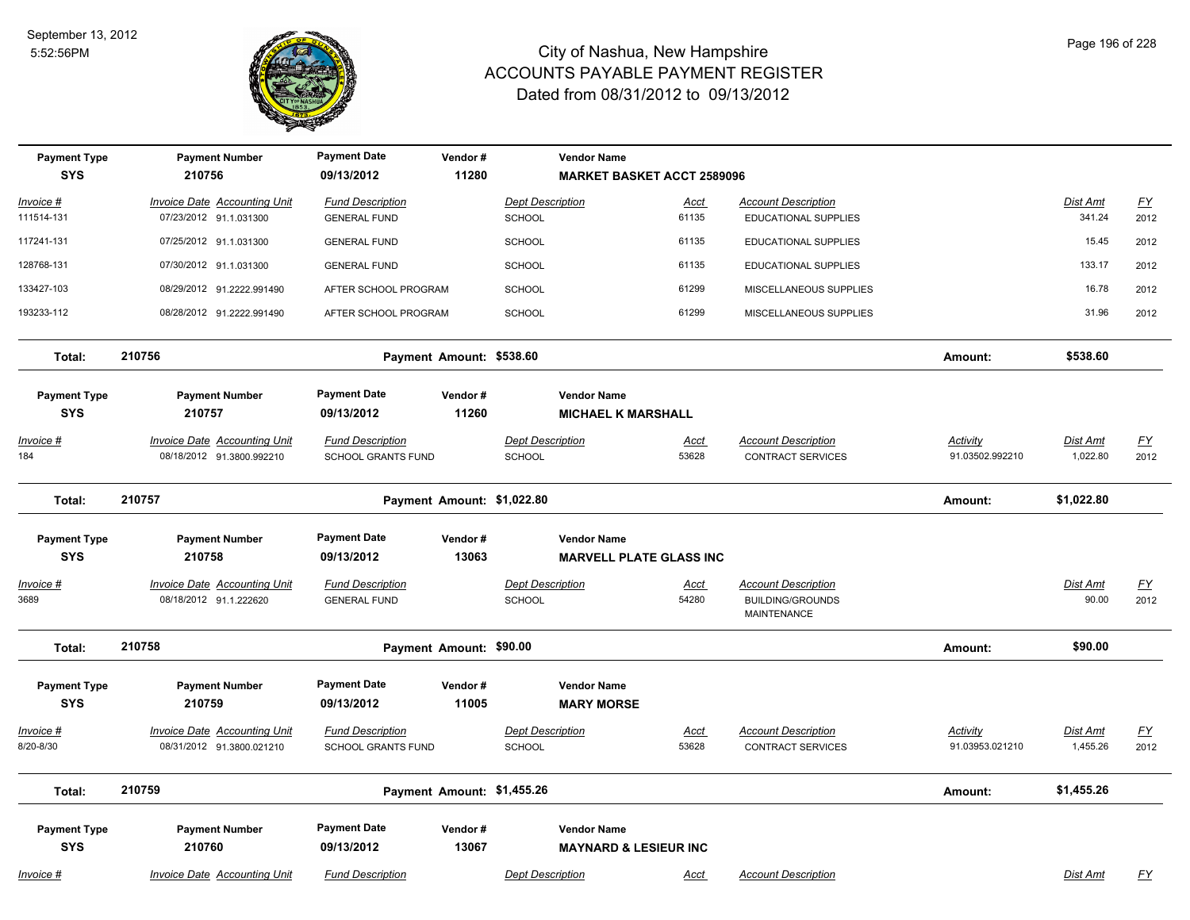

| <b>Payment Type</b><br><b>SYS</b> | <b>Payment Number</b><br>210756                                  | <b>Payment Date</b><br>09/13/2012                    | Vendor#<br>11280 | <b>Vendor Name</b>                                     | <b>MARKET BASKET ACCT 2589096</b> |                                                                      |                                    |                             |                          |
|-----------------------------------|------------------------------------------------------------------|------------------------------------------------------|------------------|--------------------------------------------------------|-----------------------------------|----------------------------------------------------------------------|------------------------------------|-----------------------------|--------------------------|
| Invoice #                         | Invoice Date Accounting Unit                                     | <b>Fund Description</b>                              |                  | <b>Dept Description</b>                                | Acct                              | <b>Account Description</b>                                           |                                    | Dist Amt                    | $\underline{FY}$         |
| 111514-131                        | 07/23/2012 91.1.031300                                           | <b>GENERAL FUND</b>                                  |                  | <b>SCHOOL</b>                                          | 61135                             | EDUCATIONAL SUPPLIES                                                 |                                    | 341.24                      | 2012                     |
| 117241-131                        | 07/25/2012 91.1.031300                                           | <b>GENERAL FUND</b>                                  |                  | <b>SCHOOL</b>                                          | 61135                             | EDUCATIONAL SUPPLIES                                                 |                                    | 15.45                       | 2012                     |
| 128768-131                        | 07/30/2012 91.1.031300                                           | <b>GENERAL FUND</b>                                  |                  | <b>SCHOOL</b>                                          | 61135                             | EDUCATIONAL SUPPLIES                                                 |                                    | 133.17                      | 2012                     |
| 133427-103                        | 08/29/2012 91.2222.991490                                        | AFTER SCHOOL PROGRAM                                 |                  | <b>SCHOOL</b>                                          | 61299                             | MISCELLANEOUS SUPPLIES                                               |                                    | 16.78                       | 2012                     |
| 193233-112                        | 08/28/2012 91.2222.991490                                        | AFTER SCHOOL PROGRAM                                 |                  | <b>SCHOOL</b>                                          | 61299                             | MISCELLANEOUS SUPPLIES                                               |                                    | 31.96                       | 2012                     |
| Total:                            | 210756                                                           | Payment Amount: \$538.60                             |                  |                                                        |                                   |                                                                      | Amount:                            | \$538.60                    |                          |
| <b>Payment Type</b><br><b>SYS</b> | <b>Payment Number</b><br>210757                                  | <b>Payment Date</b><br>09/13/2012                    | Vendor#<br>11260 | <b>Vendor Name</b><br><b>MICHAEL K MARSHALL</b>        |                                   |                                                                      |                                    |                             |                          |
| Invoice #<br>184                  | <b>Invoice Date Accounting Unit</b><br>08/18/2012 91.3800.992210 | <b>Fund Description</b><br><b>SCHOOL GRANTS FUND</b> |                  | <b>Dept Description</b><br><b>SCHOOL</b>               | <u>Acct</u><br>53628              | <b>Account Description</b><br><b>CONTRACT SERVICES</b>               | <b>Activity</b><br>91.03502.992210 | <b>Dist Amt</b><br>1,022.80 | $\underline{FY}$<br>2012 |
| Total:                            | 210757                                                           | Payment Amount: \$1,022.80                           |                  |                                                        |                                   |                                                                      | Amount:                            | \$1,022.80                  |                          |
| <b>Payment Type</b>               | <b>Payment Number</b>                                            | <b>Payment Date</b>                                  | Vendor#          | <b>Vendor Name</b>                                     |                                   |                                                                      |                                    |                             |                          |
| <b>SYS</b>                        | 210758                                                           | 09/13/2012                                           | 13063            |                                                        | <b>MARVELL PLATE GLASS INC</b>    |                                                                      |                                    |                             |                          |
| <u> Invoice #</u><br>3689         | <b>Invoice Date Accounting Unit</b><br>08/18/2012 91.1.222620    | <b>Fund Description</b><br><b>GENERAL FUND</b>       |                  | <b>Dept Description</b><br>SCHOOL                      | <u>Acct</u><br>54280              | <b>Account Description</b><br><b>BUILDING/GROUNDS</b><br>MAINTENANCE |                                    | <b>Dist Amt</b><br>90.00    | <u>FY</u><br>2012        |
| Total:                            | 210758                                                           | Payment Amount: \$90.00                              |                  |                                                        |                                   |                                                                      | Amount:                            | \$90.00                     |                          |
| <b>Payment Type</b><br><b>SYS</b> | <b>Payment Number</b><br>210759                                  | <b>Payment Date</b><br>09/13/2012                    | Vendor#<br>11005 | <b>Vendor Name</b><br><b>MARY MORSE</b>                |                                   |                                                                      |                                    |                             |                          |
| <u> Invoice #</u><br>8/20-8/30    | <b>Invoice Date Accounting Unit</b><br>08/31/2012 91.3800.021210 | <b>Fund Description</b><br>SCHOOL GRANTS FUND        |                  | <b>Dept Description</b><br><b>SCHOOL</b>               | <u>Acct</u><br>53628              | <b>Account Description</b><br><b>CONTRACT SERVICES</b>               | <b>Activity</b><br>91.03953.021210 | <b>Dist Amt</b><br>1,455.26 | <u>FY</u><br>2012        |
| Total:                            | 210759                                                           | Payment Amount: \$1,455.26                           |                  |                                                        |                                   |                                                                      | Amount:                            | \$1,455.26                  |                          |
| <b>Payment Type</b><br><b>SYS</b> | <b>Payment Number</b><br>210760                                  | <b>Payment Date</b><br>09/13/2012                    | Vendor#<br>13067 | <b>Vendor Name</b><br><b>MAYNARD &amp; LESIEUR INC</b> |                                   |                                                                      |                                    |                             |                          |
| <u> Invoice #</u>                 | <b>Invoice Date Accounting Unit</b>                              | <b>Fund Description</b>                              |                  | <b>Dept Description</b>                                | Acct                              | <b>Account Description</b>                                           |                                    | <b>Dist Amt</b>             | $\underline{FY}$         |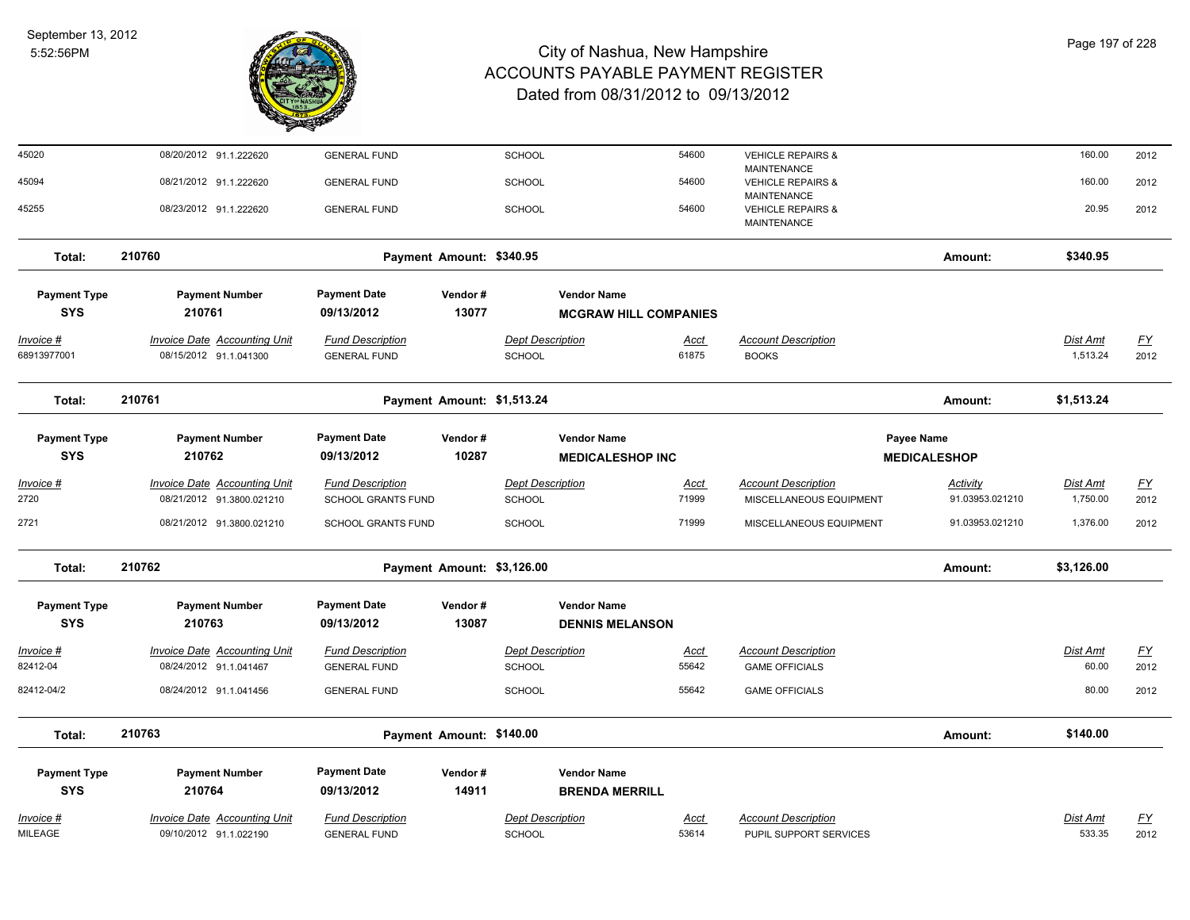

| 45020               | 08/20/2012 91.1.222620              | <b>GENERAL FUND</b>       |         | <b>SCHOOL</b>              |                              | 54600       | <b>VEHICLE REPAIRS &amp;</b><br><b>MAINTENANCE</b> |                     | 160.00          | 2012      |
|---------------------|-------------------------------------|---------------------------|---------|----------------------------|------------------------------|-------------|----------------------------------------------------|---------------------|-----------------|-----------|
| 45094               | 08/21/2012 91.1.222620              | <b>GENERAL FUND</b>       |         | <b>SCHOOL</b>              |                              | 54600       | <b>VEHICLE REPAIRS &amp;</b>                       |                     | 160.00          | 2012      |
| 45255               | 08/23/2012 91.1.222620              | <b>GENERAL FUND</b>       |         | <b>SCHOOL</b>              |                              | 54600       | <b>MAINTENANCE</b><br><b>VEHICLE REPAIRS &amp;</b> |                     | 20.95           | 2012      |
|                     |                                     |                           |         |                            |                              |             | <b>MAINTENANCE</b>                                 |                     |                 |           |
| Total:              | 210760                              | Payment Amount: \$340.95  |         |                            |                              |             |                                                    | Amount:             | \$340.95        |           |
| <b>Payment Type</b> | <b>Payment Number</b>               | <b>Payment Date</b>       | Vendor# |                            | <b>Vendor Name</b>           |             |                                                    |                     |                 |           |
| <b>SYS</b>          | 210761                              | 09/13/2012                | 13077   |                            | <b>MCGRAW HILL COMPANIES</b> |             |                                                    |                     |                 |           |
|                     |                                     |                           |         |                            |                              |             |                                                    |                     |                 |           |
| Invoice #           | <b>Invoice Date Accounting Unit</b> | <b>Fund Description</b>   |         | <b>Dept Description</b>    |                              | <u>Acct</u> | <b>Account Description</b>                         |                     | Dist Amt        | <u>FY</u> |
| 68913977001         | 08/15/2012 91.1.041300              | <b>GENERAL FUND</b>       |         | SCHOOL                     |                              | 61875       | <b>BOOKS</b>                                       |                     | 1,513.24        | 2012      |
| Total:              | 210761                              |                           |         | Payment Amount: \$1,513.24 |                              |             |                                                    | Amount:             | \$1,513.24      |           |
| <b>Payment Type</b> | <b>Payment Number</b>               | <b>Payment Date</b>       | Vendor# |                            | <b>Vendor Name</b>           |             |                                                    | Payee Name          |                 |           |
| <b>SYS</b>          | 210762                              | 09/13/2012                | 10287   |                            | <b>MEDICALESHOP INC</b>      |             |                                                    | <b>MEDICALESHOP</b> |                 |           |
| <u>Invoice #</u>    | <b>Invoice Date Accounting Unit</b> | <b>Fund Description</b>   |         | <b>Dept Description</b>    |                              | Acct        | <b>Account Description</b>                         | <b>Activity</b>     | <u>Dist Amt</u> | <u>FY</u> |
| 2720                | 08/21/2012 91.3800.021210           | <b>SCHOOL GRANTS FUND</b> |         | <b>SCHOOL</b>              |                              | 71999       | MISCELLANEOUS EQUIPMENT                            | 91.03953.021210     | 1,750.00        | 2012      |
| 2721                | 08/21/2012 91.3800.021210           | <b>SCHOOL GRANTS FUND</b> |         | <b>SCHOOL</b>              |                              | 71999       | MISCELLANEOUS EQUIPMENT                            | 91.03953.021210     | 1,376.00        | 2012      |
| Total:              | 210762                              |                           |         | Payment Amount: \$3,126.00 |                              |             |                                                    | Amount:             | \$3,126.00      |           |
| <b>Payment Type</b> | <b>Payment Number</b>               | <b>Payment Date</b>       | Vendor# |                            | <b>Vendor Name</b>           |             |                                                    |                     |                 |           |
| <b>SYS</b>          | 210763                              | 09/13/2012                | 13087   |                            | <b>DENNIS MELANSON</b>       |             |                                                    |                     |                 |           |
| Invoice #           | <b>Invoice Date Accounting Unit</b> | <b>Fund Description</b>   |         | <b>Dept Description</b>    |                              | <u>Acct</u> | <b>Account Description</b>                         |                     | Dist Amt        | <u>FY</u> |
| 82412-04            | 08/24/2012 91.1.041467              | <b>GENERAL FUND</b>       |         | SCHOOL                     |                              | 55642       | <b>GAME OFFICIALS</b>                              |                     | 60.00           | 2012      |
| 82412-04/2          | 08/24/2012 91.1.041456              | <b>GENERAL FUND</b>       |         | <b>SCHOOL</b>              |                              | 55642       | <b>GAME OFFICIALS</b>                              |                     | 80.00           | 2012      |
| Total:              | 210763                              | Payment Amount: \$140.00  |         |                            |                              |             |                                                    | Amount:             | \$140.00        |           |
|                     |                                     |                           |         |                            |                              |             |                                                    |                     |                 |           |
| <b>Payment Type</b> | <b>Payment Number</b>               | <b>Payment Date</b>       | Vendor# |                            | <b>Vendor Name</b>           |             |                                                    |                     |                 |           |
| <b>SYS</b>          | 210764                              | 09/13/2012                | 14911   |                            | <b>BRENDA MERRILL</b>        |             |                                                    |                     |                 |           |
| Invoice #           | <b>Invoice Date Accounting Unit</b> | <b>Fund Description</b>   |         | <b>Dept Description</b>    |                              | <b>Acct</b> | <b>Account Description</b>                         |                     | Dist Amt        | <u>FY</u> |
| MILEAGE             | 09/10/2012 91.1.022190              | <b>GENERAL FUND</b>       |         | SCHOOL                     |                              | 53614       | PUPIL SUPPORT SERVICES                             |                     | 533.35          | 2012      |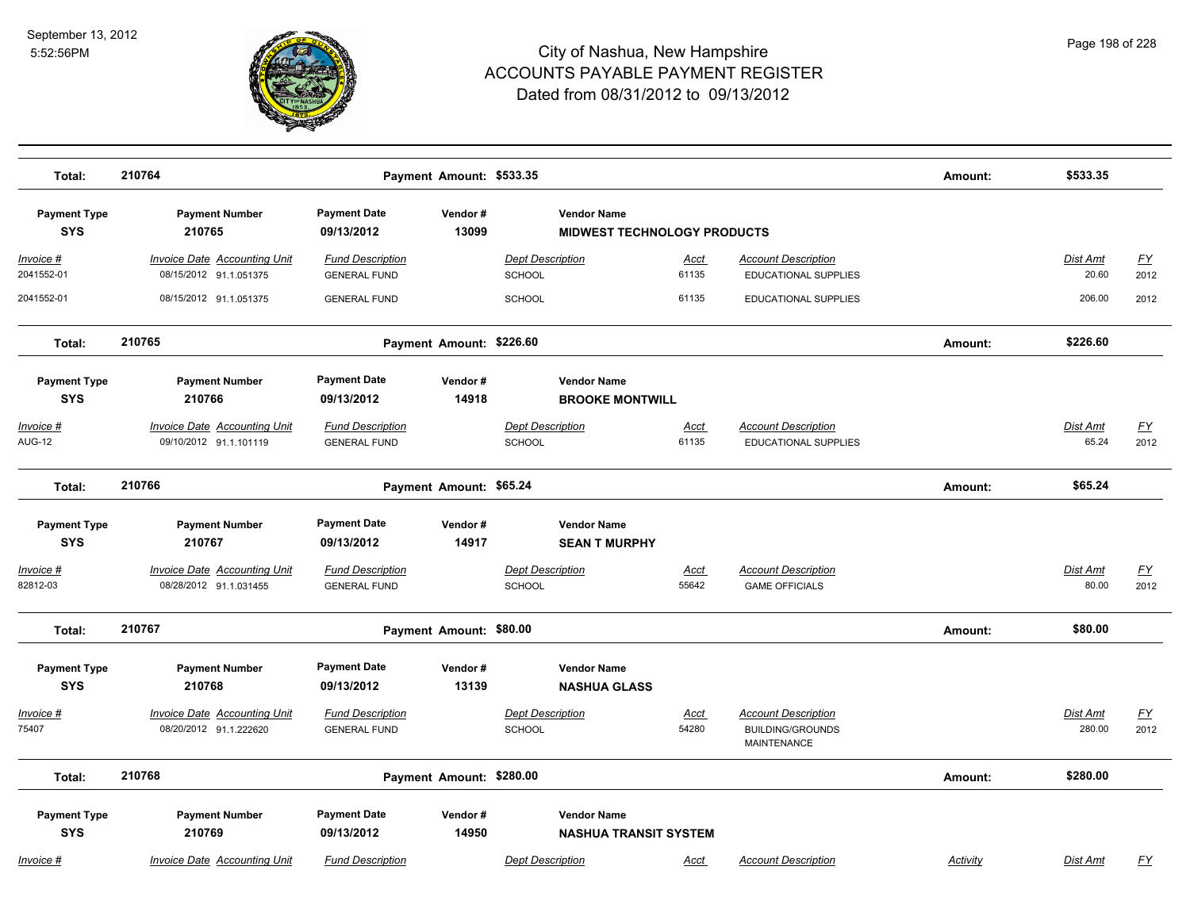

| Total:                                                          | 210764                                                                                           | Payment Amount: \$533.35                                                            |                  |                                                                                          |                      |                                                                             | Amount:  | \$533.35                 |                   |
|-----------------------------------------------------------------|--------------------------------------------------------------------------------------------------|-------------------------------------------------------------------------------------|------------------|------------------------------------------------------------------------------------------|----------------------|-----------------------------------------------------------------------------|----------|--------------------------|-------------------|
| <b>Payment Type</b><br><b>SYS</b>                               | <b>Payment Number</b><br>210765                                                                  | <b>Payment Date</b><br>Vendor#<br>13099<br>09/13/2012                               |                  | <b>Vendor Name</b><br><b>MIDWEST TECHNOLOGY PRODUCTS</b>                                 |                      |                                                                             |          |                          |                   |
| Invoice #<br>2041552-01                                         | <b>Invoice Date Accounting Unit</b><br>08/15/2012 91.1.051375                                    | <b>Fund Description</b><br><b>GENERAL FUND</b>                                      |                  | Dept Description<br><b>SCHOOL</b>                                                        | <u>Acct</u><br>61135 | <b>Account Description</b><br>EDUCATIONAL SUPPLIES                          |          | Dist Amt<br>20.60        | <u>FY</u><br>2012 |
| 2041552-01                                                      | 08/15/2012 91.1.051375                                                                           | <b>GENERAL FUND</b>                                                                 |                  | <b>SCHOOL</b>                                                                            | 61135                | EDUCATIONAL SUPPLIES                                                        |          | 206.00                   | 2012              |
| Total:                                                          | 210765                                                                                           | Payment Amount: \$226.60                                                            |                  |                                                                                          |                      |                                                                             | Amount:  | \$226.60                 |                   |
| <b>Payment Type</b><br><b>SYS</b><br>Invoice #<br><b>AUG-12</b> | <b>Payment Number</b><br>210766<br><b>Invoice Date Accounting Unit</b><br>09/10/2012 91.1.101119 | <b>Payment Date</b><br>09/13/2012<br><b>Fund Description</b><br><b>GENERAL FUND</b> | Vendor#<br>14918 | <b>Vendor Name</b><br><b>BROOKE MONTWILL</b><br><b>Dept Description</b><br><b>SCHOOL</b> | <u>Acct</u><br>61135 | <b>Account Description</b><br>EDUCATIONAL SUPPLIES                          |          | <b>Dist Amt</b><br>65.24 | <u>FY</u><br>2012 |
| Total:                                                          | 210766                                                                                           | Payment Amount: \$65.24                                                             |                  |                                                                                          |                      |                                                                             | Amount:  | \$65.24                  |                   |
| <b>Payment Type</b><br><b>SYS</b><br>Invoice #                  | <b>Payment Number</b><br>210767<br><b>Invoice Date Accounting Unit</b>                           | <b>Payment Date</b><br>09/13/2012<br><b>Fund Description</b>                        | Vendor#<br>14917 | <b>Vendor Name</b><br><b>SEAN T MURPHY</b><br>Dept Description                           | <u>Acct</u>          | <b>Account Description</b>                                                  |          | Dist Amt                 | <u>FY</u>         |
| 82812-03<br>Total:                                              | 08/28/2012 91.1.031455<br>210767                                                                 | <b>GENERAL FUND</b><br>Payment Amount: \$80.00                                      |                  | <b>SCHOOL</b>                                                                            | 55642                | <b>GAME OFFICIALS</b>                                                       | Amount:  | 80.00<br>\$80.00         | 2012              |
| <b>Payment Type</b><br><b>SYS</b>                               | <b>Payment Number</b><br>210768                                                                  | <b>Payment Date</b><br>09/13/2012                                                   | Vendor#<br>13139 | <b>Vendor Name</b><br><b>NASHUA GLASS</b>                                                |                      |                                                                             |          |                          |                   |
| Invoice #<br>75407                                              | <b>Invoice Date Accounting Unit</b><br>08/20/2012 91.1.222620                                    | <b>Fund Description</b><br><b>GENERAL FUND</b>                                      |                  | <b>Dept Description</b><br><b>SCHOOL</b>                                                 | <b>Acct</b><br>54280 | <b>Account Description</b><br><b>BUILDING/GROUNDS</b><br><b>MAINTENANCE</b> |          | Dist Amt<br>280.00       | <u>FY</u><br>2012 |
| Total:                                                          | 210768                                                                                           | Payment Amount: \$280.00                                                            |                  |                                                                                          |                      |                                                                             | Amount:  | \$280.00                 |                   |
| <b>Payment Type</b><br><b>SYS</b>                               | <b>Payment Number</b><br>210769                                                                  | <b>Payment Date</b><br>09/13/2012                                                   | Vendor#<br>14950 | <b>Vendor Name</b><br><b>NASHUA TRANSIT SYSTEM</b>                                       |                      |                                                                             |          |                          |                   |
| Invoice #                                                       | <b>Invoice Date Accounting Unit</b>                                                              | <b>Fund Description</b>                                                             |                  | <b>Dept Description</b>                                                                  | Acct                 | <b>Account Description</b>                                                  | Activity | Dist Amt                 | FY                |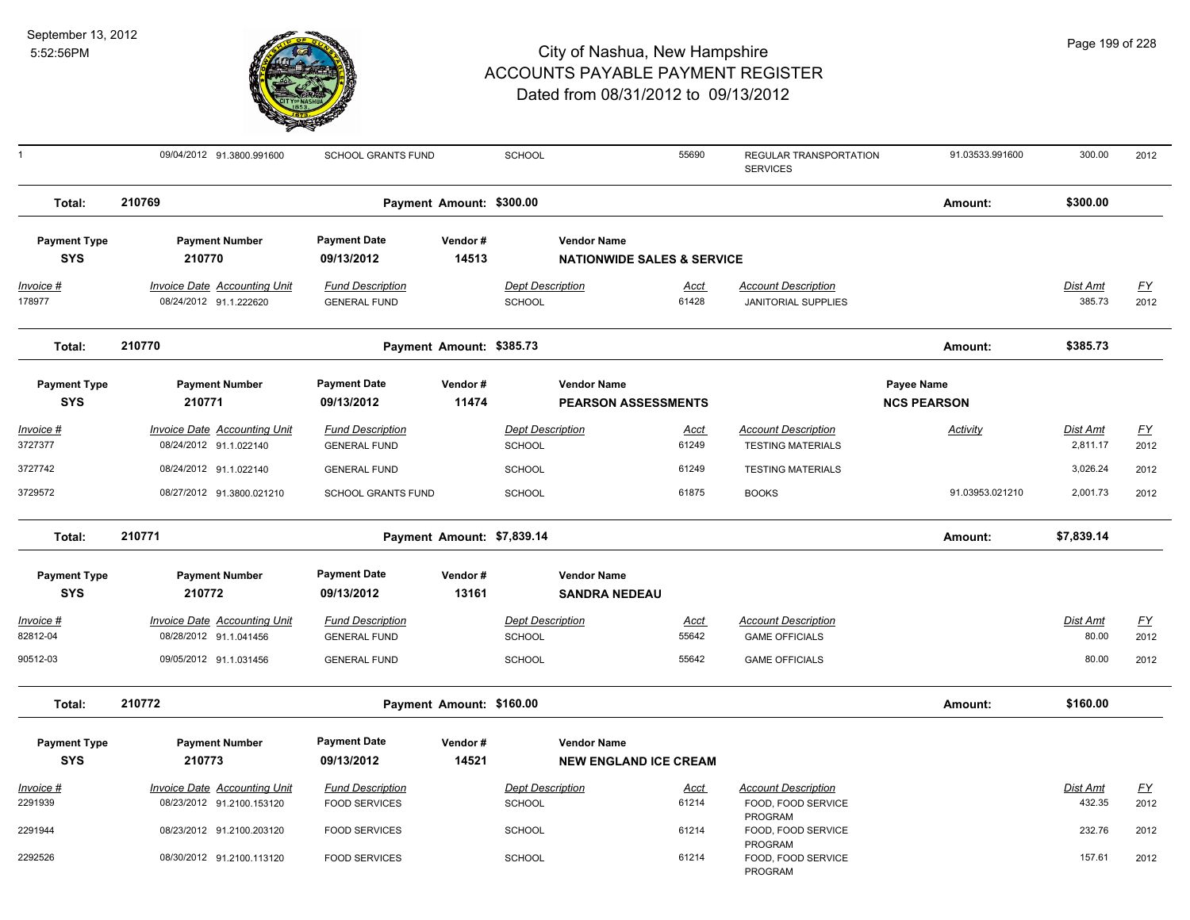

| $\mathbf{1}$                      | 09/04/2012 91.3800.991600                                        | SCHOOL GRANTS FUND                              |                            | SCHOOL                                   |                                                             | 55690                | REGULAR TRANSPORTATION<br><b>SERVICES</b>                | 91.03533.991600                  | 300.00               | 2012              |
|-----------------------------------|------------------------------------------------------------------|-------------------------------------------------|----------------------------|------------------------------------------|-------------------------------------------------------------|----------------------|----------------------------------------------------------|----------------------------------|----------------------|-------------------|
| Total:                            | 210769                                                           |                                                 | Payment Amount: \$300.00   |                                          |                                                             |                      |                                                          | Amount:                          | \$300.00             |                   |
| <b>Payment Type</b><br><b>SYS</b> | <b>Payment Number</b><br>210770                                  | <b>Payment Date</b><br>09/13/2012               | Vendor#<br>14513           |                                          | <b>Vendor Name</b><br><b>NATIONWIDE SALES &amp; SERVICE</b> |                      |                                                          |                                  |                      |                   |
| Invoice #<br>178977               | Invoice Date Accounting Unit<br>08/24/2012 91.1.222620           | <b>Fund Description</b><br><b>GENERAL FUND</b>  |                            | <b>Dept Description</b><br>SCHOOL        |                                                             | <u>Acct</u><br>61428 | <b>Account Description</b><br><b>JANITORIAL SUPPLIES</b> |                                  | Dist Amt<br>385.73   | <u>FY</u><br>2012 |
| Total:                            | 210770                                                           |                                                 | Payment Amount: \$385.73   |                                          |                                                             |                      |                                                          | Amount:                          | \$385.73             |                   |
| <b>Payment Type</b><br><b>SYS</b> | <b>Payment Number</b><br>210771                                  | <b>Payment Date</b><br>09/13/2012               | Vendor#<br>11474           |                                          | <b>Vendor Name</b><br><b>PEARSON ASSESSMENTS</b>            |                      |                                                          | Payee Name<br><b>NCS PEARSON</b> |                      |                   |
| <u>Invoice #</u><br>3727377       | <b>Invoice Date Accounting Unit</b><br>08/24/2012 91.1.022140    | <b>Fund Description</b><br><b>GENERAL FUND</b>  |                            | <b>Dept Description</b><br>SCHOOL        |                                                             | <u>Acct</u><br>61249 | <b>Account Description</b><br><b>TESTING MATERIALS</b>   | <b>Activity</b>                  | Dist Amt<br>2,811.17 | <u>FY</u><br>2012 |
| 3727742                           | 08/24/2012 91.1.022140                                           | <b>GENERAL FUND</b>                             |                            | SCHOOL                                   |                                                             | 61249                | <b>TESTING MATERIALS</b>                                 |                                  | 3,026.24             | 2012              |
| 3729572                           | 08/27/2012 91.3800.021210                                        | <b>SCHOOL GRANTS FUND</b>                       |                            | SCHOOL                                   |                                                             | 61875                | <b>BOOKS</b>                                             | 91.03953.021210                  | 2,001.73             | 2012              |
| Total:                            | 210771                                                           |                                                 | Payment Amount: \$7,839.14 |                                          |                                                             |                      |                                                          | Amount:                          | \$7,839.14           |                   |
| <b>Payment Type</b><br><b>SYS</b> | <b>Payment Number</b><br>210772                                  | <b>Payment Date</b><br>09/13/2012               | Vendor#<br>13161           |                                          | <b>Vendor Name</b><br><b>SANDRA NEDEAU</b>                  |                      |                                                          |                                  |                      |                   |
| Invoice #<br>82812-04             | Invoice Date Accounting Unit<br>08/28/2012 91.1.041456           | <b>Fund Description</b><br><b>GENERAL FUND</b>  |                            | <b>Dept Description</b><br><b>SCHOOL</b> |                                                             | Acct<br>55642        | <b>Account Description</b><br><b>GAME OFFICIALS</b>      |                                  | Dist Amt<br>80.00    | <u>FY</u><br>2012 |
| 90512-03                          | 09/05/2012 91.1.031456                                           | <b>GENERAL FUND</b>                             |                            | <b>SCHOOL</b>                            |                                                             | 55642                | <b>GAME OFFICIALS</b>                                    |                                  | 80.00                | 2012              |
| Total:                            | 210772                                                           |                                                 | Payment Amount: \$160.00   |                                          |                                                             |                      |                                                          | Amount:                          | \$160.00             |                   |
| <b>Payment Type</b><br><b>SYS</b> | <b>Payment Number</b><br>210773                                  | <b>Payment Date</b><br>09/13/2012               | Vendor#<br>14521           |                                          | <b>Vendor Name</b><br><b>NEW ENGLAND ICE CREAM</b>          |                      |                                                          |                                  |                      |                   |
| Invoice #<br>2291939              | <b>Invoice Date Accounting Unit</b><br>08/23/2012 91.2100.153120 | <b>Fund Description</b><br><b>FOOD SERVICES</b> |                            | <b>Dept Description</b><br>SCHOOL        |                                                             | <b>Acct</b><br>61214 | <b>Account Description</b><br>FOOD, FOOD SERVICE         |                                  | Dist Amt<br>432.35   | <u>FY</u><br>2012 |
| 2291944                           | 08/23/2012 91.2100.203120                                        | <b>FOOD SERVICES</b>                            |                            | <b>SCHOOL</b>                            |                                                             | 61214                | PROGRAM<br>FOOD, FOOD SERVICE                            |                                  | 232.76               | 2012              |
| 2292526                           | 08/30/2012 91.2100.113120                                        | <b>FOOD SERVICES</b>                            |                            | <b>SCHOOL</b>                            |                                                             | 61214                | PROGRAM<br>FOOD, FOOD SERVICE<br>PROGRAM                 |                                  | 157.61               | 2012              |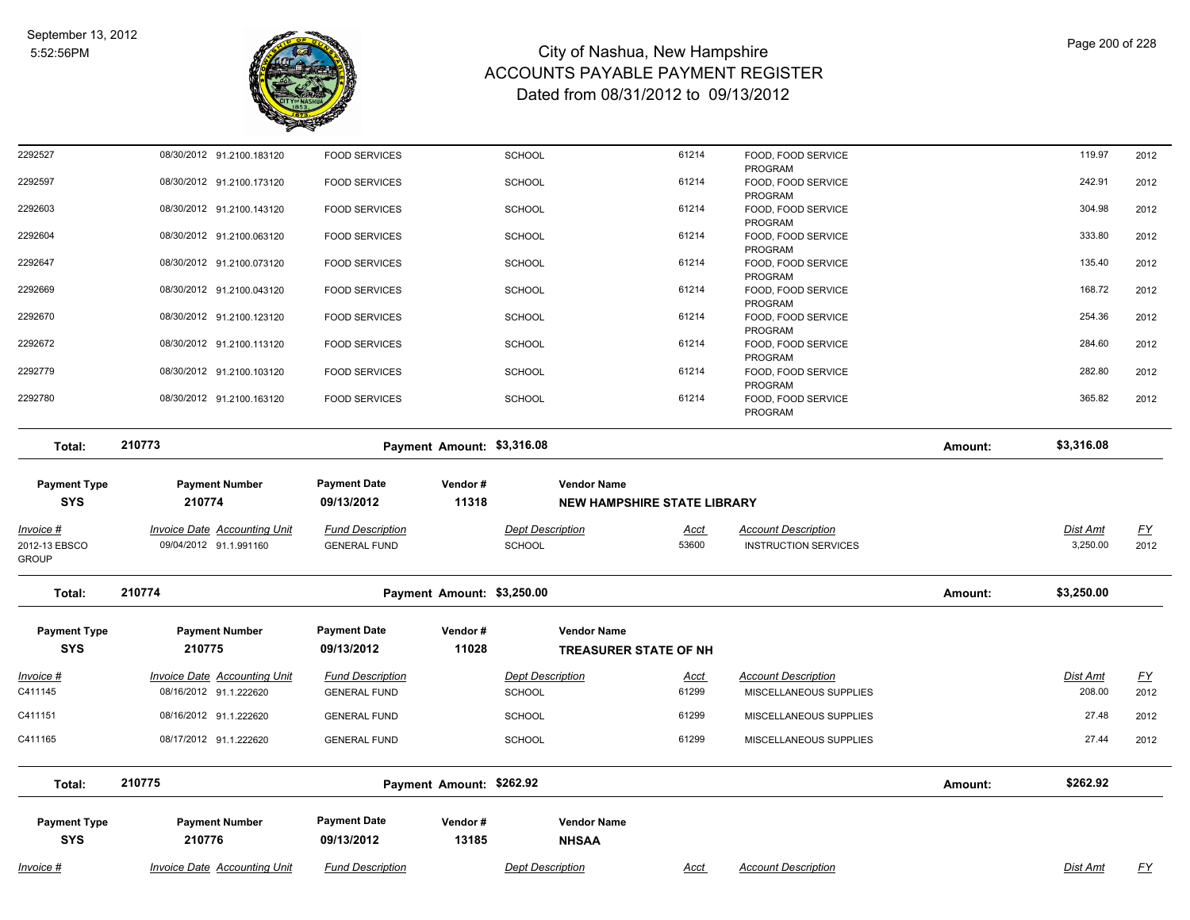

| 2292527                                            | 08/30/2012 91.2100.183120                                     | <b>FOOD SERVICES</b>                           |                            | SCHOOL                     | 61214                                                    | FOOD, FOOD SERVICE                                        |         | 119.97               | 2012              |
|----------------------------------------------------|---------------------------------------------------------------|------------------------------------------------|----------------------------|----------------------------|----------------------------------------------------------|-----------------------------------------------------------|---------|----------------------|-------------------|
| 2292597                                            | 08/30/2012 91.2100.173120                                     | <b>FOOD SERVICES</b>                           |                            | SCHOOL                     | 61214                                                    | PROGRAM<br>FOOD, FOOD SERVICE<br>PROGRAM                  |         | 242.91               | 2012              |
| 2292603                                            | 08/30/2012 91.2100.143120                                     | <b>FOOD SERVICES</b>                           |                            | SCHOOL                     | 61214                                                    | FOOD, FOOD SERVICE<br>PROGRAM                             |         | 304.98               | 2012              |
| 2292604                                            | 08/30/2012 91.2100.063120                                     | <b>FOOD SERVICES</b>                           |                            | SCHOOL                     | 61214                                                    | FOOD, FOOD SERVICE<br>PROGRAM                             |         | 333.80               | 2012              |
| 2292647                                            | 08/30/2012 91.2100.073120                                     | <b>FOOD SERVICES</b>                           |                            | SCHOOL                     | 61214                                                    | FOOD, FOOD SERVICE<br>PROGRAM                             |         | 135.40               | 2012              |
| 2292669                                            | 08/30/2012 91.2100.043120                                     | <b>FOOD SERVICES</b>                           |                            | SCHOOL                     | 61214                                                    | FOOD, FOOD SERVICE<br>PROGRAM                             |         | 168.72               | 2012              |
| 2292670                                            | 08/30/2012 91.2100.123120                                     | <b>FOOD SERVICES</b>                           |                            | SCHOOL                     | 61214                                                    | FOOD, FOOD SERVICE<br>PROGRAM                             |         | 254.36               | 2012              |
| 2292672                                            | 08/30/2012 91.2100.113120                                     | <b>FOOD SERVICES</b>                           |                            | SCHOOL                     | 61214                                                    | FOOD, FOOD SERVICE<br>PROGRAM                             |         | 284.60               | 2012              |
| 2292779                                            | 08/30/2012 91.2100.103120                                     | <b>FOOD SERVICES</b>                           |                            | <b>SCHOOL</b>              | 61214                                                    | FOOD, FOOD SERVICE<br>PROGRAM                             |         | 282.80               | 2012              |
| 2292780                                            | 08/30/2012 91.2100.163120                                     | <b>FOOD SERVICES</b>                           |                            | <b>SCHOOL</b>              | 61214                                                    | FOOD, FOOD SERVICE<br>PROGRAM                             |         | 365.82               | 2012              |
| Total:                                             | 210773                                                        |                                                | Payment Amount: \$3,316.08 |                            |                                                          |                                                           | Amount: | \$3,316.08           |                   |
| <b>Payment Type</b><br><b>SYS</b>                  | <b>Payment Number</b><br>210774                               | <b>Payment Date</b><br>09/13/2012              | Vendor#<br>11318           |                            | <b>Vendor Name</b><br><b>NEW HAMPSHIRE STATE LIBRARY</b> |                                                           |         |                      |                   |
|                                                    |                                                               |                                                |                            |                            |                                                          |                                                           |         |                      |                   |
| <u> Invoice #</u><br>2012-13 EBSCO<br><b>GROUP</b> | <b>Invoice Date Accounting Unit</b><br>09/04/2012 91.1.991160 | <b>Fund Description</b><br><b>GENERAL FUND</b> |                            | Dept Description<br>SCHOOL | <u>Acct</u><br>53600                                     | <b>Account Description</b><br><b>INSTRUCTION SERVICES</b> |         | Dist Amt<br>3,250.00 | <u>FY</u><br>2012 |
| Total:                                             | 210774                                                        |                                                | Payment Amount: \$3,250.00 |                            |                                                          |                                                           | Amount: | \$3,250.00           |                   |
| <b>Payment Type</b><br><b>SYS</b>                  | <b>Payment Number</b><br>210775                               | <b>Payment Date</b><br>09/13/2012              | Vendor#<br>11028           |                            | <b>Vendor Name</b><br>TREASURER STATE OF NH              |                                                           |         |                      |                   |
| <u>Invoice #</u>                                   | <b>Invoice Date Accounting Unit</b>                           | <b>Fund Description</b>                        |                            | <b>Dept Description</b>    | Acct                                                     | <b>Account Description</b>                                |         | Dist Amt             | <u>FY</u>         |
| C411145                                            | 08/16/2012 91.1.222620                                        | <b>GENERAL FUND</b>                            |                            | <b>SCHOOL</b>              | 61299                                                    | MISCELLANEOUS SUPPLIES                                    |         | 208.00               | 2012              |
| C411151                                            | 08/16/2012 91.1.222620                                        | <b>GENERAL FUND</b>                            |                            | <b>SCHOOL</b>              | 61299                                                    | MISCELLANEOUS SUPPLIES                                    |         | 27.48                | 2012              |
| C411165                                            | 08/17/2012 91.1.222620                                        | <b>GENERAL FUND</b>                            |                            | SCHOOL                     | 61299                                                    | MISCELLANEOUS SUPPLIES                                    |         | 27.44                | 2012              |
| Total:                                             | 210775                                                        |                                                | Payment Amount: \$262.92   |                            |                                                          |                                                           | Amount: | \$262.92             |                   |
| <b>Payment Type</b><br><b>SYS</b>                  | <b>Payment Number</b><br>210776                               | <b>Payment Date</b><br>09/13/2012              | Vendor#<br>13185           |                            | <b>Vendor Name</b>                                       |                                                           |         |                      |                   |
|                                                    |                                                               |                                                |                            |                            | <b>NHSAA</b>                                             |                                                           |         |                      |                   |
| Invoice #                                          | <b>Invoice Date Accounting Unit</b>                           | <b>Fund Description</b>                        |                            | <b>Dept Description</b>    | <b>Acct</b>                                              | <b>Account Description</b>                                |         | Dist Amt             | <u>FY</u>         |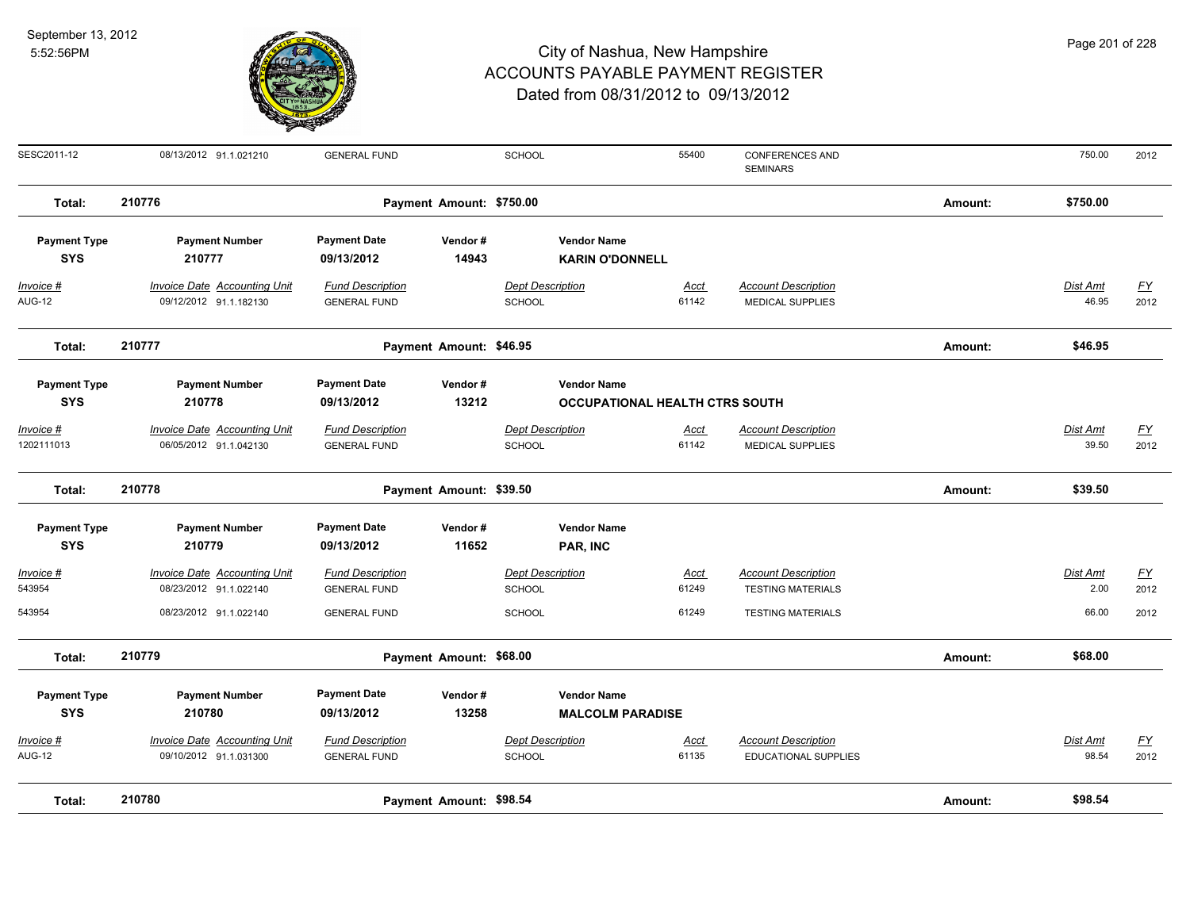

|  |  | Page 201 of 228 |
|--|--|-----------------|
|--|--|-----------------|

| SESC2011-12                       | 08/13/2012 91.1.021210                                        | <b>GENERAL FUND</b>                            |                          | <b>SCHOOL</b>                            | 55400                                 | <b>CONFERENCES AND</b><br><b>SEMINARS</b>                 |         | 750.00                   | 2012              |
|-----------------------------------|---------------------------------------------------------------|------------------------------------------------|--------------------------|------------------------------------------|---------------------------------------|-----------------------------------------------------------|---------|--------------------------|-------------------|
| Total:                            | 210776                                                        |                                                | Payment Amount: \$750.00 |                                          |                                       |                                                           | Amount: | \$750.00                 |                   |
| <b>Payment Type</b><br><b>SYS</b> | <b>Payment Number</b><br>210777                               | <b>Payment Date</b><br>09/13/2012              | Vendor#<br>14943         | <b>Vendor Name</b>                       | <b>KARIN O'DONNELL</b>                |                                                           |         |                          |                   |
| Invoice #<br><b>AUG-12</b>        | <b>Invoice Date Accounting Unit</b><br>09/12/2012 91.1.182130 | <b>Fund Description</b><br><b>GENERAL FUND</b> |                          | <b>Dept Description</b><br><b>SCHOOL</b> | <u>Acct</u><br>61142                  | <b>Account Description</b><br><b>MEDICAL SUPPLIES</b>     |         | Dist Amt<br>46.95        | <u>FY</u><br>2012 |
| Total:                            | 210777                                                        |                                                | Payment Amount: \$46.95  |                                          |                                       |                                                           | Amount: | \$46.95                  |                   |
| <b>Payment Type</b><br><b>SYS</b> | <b>Payment Number</b><br>210778                               | <b>Payment Date</b><br>09/13/2012              | Vendor#<br>13212         | <b>Vendor Name</b>                       | <b>OCCUPATIONAL HEALTH CTRS SOUTH</b> |                                                           |         |                          |                   |
| $Invoice$ #<br>1202111013         | <b>Invoice Date Accounting Unit</b><br>06/05/2012 91.1.042130 | <b>Fund Description</b><br><b>GENERAL FUND</b> |                          | <b>Dept Description</b><br><b>SCHOOL</b> | Acct<br>61142                         | <b>Account Description</b><br><b>MEDICAL SUPPLIES</b>     |         | <b>Dist Amt</b><br>39.50 | <u>FY</u><br>2012 |
| Total:                            | 210778                                                        |                                                | Payment Amount: \$39.50  |                                          |                                       |                                                           | Amount: | \$39.50                  |                   |
| <b>Payment Type</b><br><b>SYS</b> | <b>Payment Number</b><br>210779                               | <b>Payment Date</b><br>09/13/2012              | Vendor#<br>11652         | <b>Vendor Name</b><br>PAR, INC           |                                       |                                                           |         |                          |                   |
| Invoice #<br>543954               | <b>Invoice Date Accounting Unit</b><br>08/23/2012 91.1.022140 | <b>Fund Description</b><br><b>GENERAL FUND</b> |                          | <b>Dept Description</b><br><b>SCHOOL</b> | <u>Acct</u><br>61249                  | <b>Account Description</b><br><b>TESTING MATERIALS</b>    |         | Dist Amt<br>2.00         | <u>FY</u><br>2012 |
| 543954                            | 08/23/2012 91.1.022140                                        | <b>GENERAL FUND</b>                            |                          | <b>SCHOOL</b>                            | 61249                                 | <b>TESTING MATERIALS</b>                                  |         | 66.00                    | 2012              |
| Total:                            | 210779                                                        |                                                | Payment Amount: \$68.00  |                                          |                                       |                                                           | Amount: | \$68.00                  |                   |
| <b>Payment Type</b><br><b>SYS</b> | <b>Payment Number</b><br>210780                               | <b>Payment Date</b><br>09/13/2012              | Vendor#<br>13258         | <b>Vendor Name</b>                       | <b>MALCOLM PARADISE</b>               |                                                           |         |                          |                   |
| Invoice #<br><b>AUG-12</b>        | <b>Invoice Date Accounting Unit</b><br>09/10/2012 91.1.031300 | <b>Fund Description</b><br><b>GENERAL FUND</b> |                          | <b>Dept Description</b><br>SCHOOL        | Acct<br>61135                         | <b>Account Description</b><br><b>EDUCATIONAL SUPPLIES</b> |         | Dist Amt<br>98.54        | <u>FY</u><br>2012 |
| Total:                            | 210780                                                        |                                                | Payment Amount: \$98.54  |                                          |                                       |                                                           | Amount: | \$98.54                  |                   |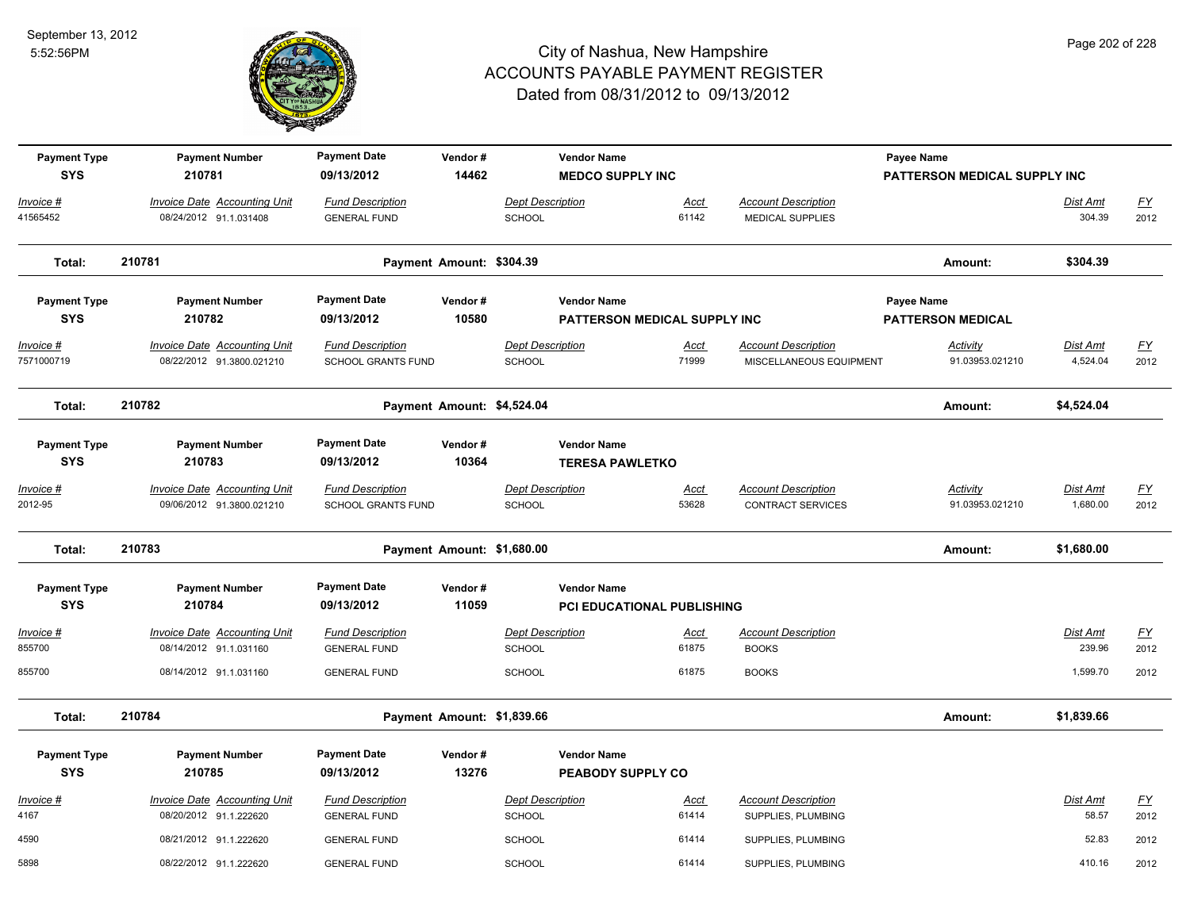

| <b>Payment Type</b>     | <b>Payment Number</b>                                            | <b>Payment Date</b>                                  | Vendor#                    |                                          | <b>Vendor Name</b>           |                      |                                                        | Payee Name                         |                             |                   |
|-------------------------|------------------------------------------------------------------|------------------------------------------------------|----------------------------|------------------------------------------|------------------------------|----------------------|--------------------------------------------------------|------------------------------------|-----------------------------|-------------------|
| <b>SYS</b>              | 210781                                                           | 09/13/2012                                           | 14462                      |                                          | <b>MEDCO SUPPLY INC</b>      |                      |                                                        | PATTERSON MEDICAL SUPPLY INC       |                             |                   |
| Invoice #               | <b>Invoice Date Accounting Unit</b>                              | <b>Fund Description</b>                              |                            | <b>Dept Description</b>                  |                              | Acct                 | <b>Account Description</b>                             |                                    | Dist Amt                    | <u>FY</u>         |
| 41565452                | 08/24/2012 91.1.031408                                           | <b>GENERAL FUND</b>                                  |                            | <b>SCHOOL</b>                            |                              | 61142                | <b>MEDICAL SUPPLIES</b>                                |                                    | 304.39                      | 2012              |
| Total:                  | 210781                                                           |                                                      | Payment Amount: \$304.39   |                                          |                              |                      |                                                        | Amount:                            | \$304.39                    |                   |
| <b>Payment Type</b>     | <b>Payment Number</b>                                            | <b>Payment Date</b>                                  | Vendor#                    |                                          | <b>Vendor Name</b>           |                      |                                                        | Payee Name                         |                             |                   |
| <b>SYS</b>              | 210782                                                           | 09/13/2012                                           | 10580                      |                                          | PATTERSON MEDICAL SUPPLY INC |                      |                                                        | <b>PATTERSON MEDICAL</b>           |                             |                   |
| Invoice #<br>7571000719 | <b>Invoice Date Accounting Unit</b><br>08/22/2012 91.3800.021210 | <b>Fund Description</b><br><b>SCHOOL GRANTS FUND</b> |                            | <b>Dept Description</b><br>SCHOOL        |                              | Acct<br>71999        | <b>Account Description</b><br>MISCELLANEOUS EQUIPMENT  | <b>Activity</b><br>91.03953.021210 | <u>Dist Amt</u><br>4,524.04 | <u>FY</u><br>2012 |
| Total:                  | 210782                                                           |                                                      | Payment Amount: \$4,524.04 |                                          |                              |                      |                                                        | Amount:                            | \$4,524.04                  |                   |
| <b>Payment Type</b>     | <b>Payment Number</b>                                            | <b>Payment Date</b>                                  | Vendor#                    |                                          | <b>Vendor Name</b>           |                      |                                                        |                                    |                             |                   |
| <b>SYS</b>              | 210783                                                           | 09/13/2012                                           | 10364                      |                                          | <b>TERESA PAWLETKO</b>       |                      |                                                        |                                    |                             |                   |
| Invoice #<br>2012-95    | <b>Invoice Date Accounting Unit</b><br>09/06/2012 91.3800.021210 | <b>Fund Description</b><br>SCHOOL GRANTS FUND        |                            | <b>Dept Description</b><br><b>SCHOOL</b> |                              | Acct<br>53628        | <b>Account Description</b><br><b>CONTRACT SERVICES</b> | Activity<br>91.03953.021210        | Dist Amt<br>1,680.00        | <u>FY</u><br>2012 |
| Total:                  | 210783                                                           |                                                      | Payment Amount: \$1,680.00 |                                          |                              |                      |                                                        | Amount:                            | \$1,680.00                  |                   |
| <b>Payment Type</b>     | <b>Payment Number</b>                                            | <b>Payment Date</b>                                  | Vendor#                    |                                          | <b>Vendor Name</b>           |                      |                                                        |                                    |                             |                   |
| <b>SYS</b>              | 210784                                                           | 09/13/2012                                           | 11059                      |                                          | PCI EDUCATIONAL PUBLISHING   |                      |                                                        |                                    |                             |                   |
| Invoice #<br>855700     | <b>Invoice Date Accounting Unit</b><br>08/14/2012 91.1.031160    | <b>Fund Description</b><br><b>GENERAL FUND</b>       |                            | <b>Dept Description</b><br>SCHOOL        |                              | Acct<br>61875        | <b>Account Description</b><br><b>BOOKS</b>             |                                    | <b>Dist Amt</b><br>239.96   | <u>FY</u><br>2012 |
| 855700                  | 08/14/2012 91.1.031160                                           | <b>GENERAL FUND</b>                                  |                            | <b>SCHOOL</b>                            |                              | 61875                | <b>BOOKS</b>                                           |                                    | 1,599.70                    | 2012              |
| Total:                  | 210784                                                           |                                                      | Payment Amount: \$1,839.66 |                                          |                              |                      |                                                        | Amount:                            | \$1,839.66                  |                   |
| <b>Payment Type</b>     | <b>Payment Number</b>                                            | <b>Payment Date</b>                                  | Vendor#                    |                                          | <b>Vendor Name</b>           |                      |                                                        |                                    |                             |                   |
| <b>SYS</b>              | 210785                                                           | 09/13/2012                                           | 13276                      |                                          | PEABODY SUPPLY CO            |                      |                                                        |                                    |                             |                   |
| Invoice #<br>4167       | <b>Invoice Date Accounting Unit</b><br>08/20/2012 91.1.222620    | <b>Fund Description</b><br><b>GENERAL FUND</b>       |                            | Dept Description<br>SCHOOL               |                              | <u>Acct</u><br>61414 | <b>Account Description</b><br>SUPPLIES, PLUMBING       |                                    | Dist Amt<br>58.57           | <u>FY</u><br>2012 |
| 4590                    | 08/21/2012 91.1.222620                                           | <b>GENERAL FUND</b>                                  |                            | <b>SCHOOL</b>                            |                              | 61414                | SUPPLIES, PLUMBING                                     |                                    | 52.83                       | 2012              |
| 5898                    | 08/22/2012 91.1.222620                                           | <b>GENERAL FUND</b>                                  |                            | <b>SCHOOL</b>                            |                              | 61414                | SUPPLIES, PLUMBING                                     |                                    | 410.16                      | 2012              |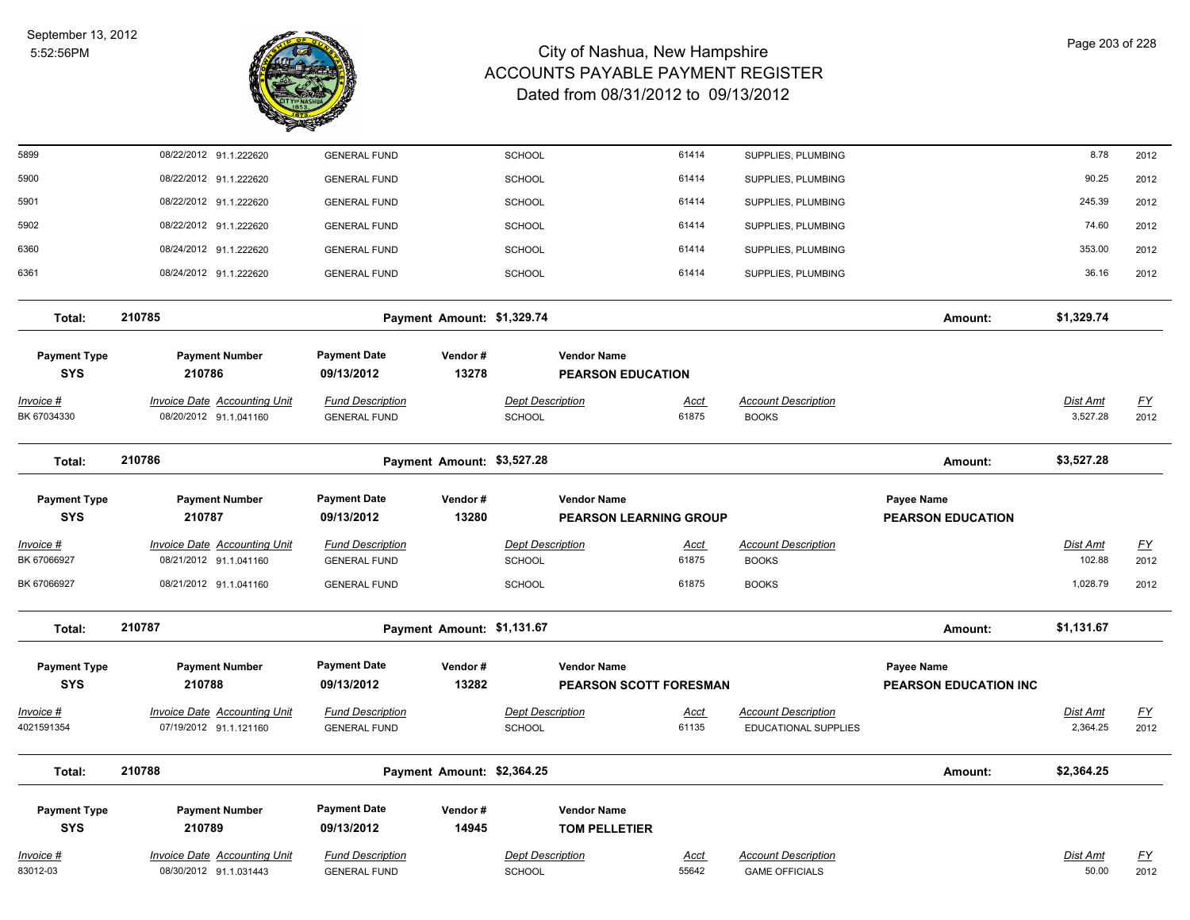

| 5899                              | 08/22/2012 91.1.222620                                        | <b>GENERAL FUND</b>                            |                            | <b>SCHOOL</b>                                       | 61414                | SUPPLIES, PLUMBING                                 |                                            | 8.78                 | 2012                     |
|-----------------------------------|---------------------------------------------------------------|------------------------------------------------|----------------------------|-----------------------------------------------------|----------------------|----------------------------------------------------|--------------------------------------------|----------------------|--------------------------|
| 5900                              | 08/22/2012 91.1.222620                                        | <b>GENERAL FUND</b>                            |                            | <b>SCHOOL</b>                                       | 61414                | SUPPLIES, PLUMBING                                 |                                            | 90.25                | 2012                     |
| 5901                              | 08/22/2012 91.1.222620                                        | <b>GENERAL FUND</b>                            |                            | <b>SCHOOL</b>                                       | 61414                | SUPPLIES, PLUMBING                                 |                                            | 245.39               | 2012                     |
| 5902                              | 08/22/2012 91.1.222620                                        | <b>GENERAL FUND</b>                            |                            | <b>SCHOOL</b>                                       | 61414                | SUPPLIES, PLUMBING                                 |                                            | 74.60                | 2012                     |
| 6360                              | 08/24/2012 91.1.222620                                        | <b>GENERAL FUND</b>                            |                            | <b>SCHOOL</b>                                       | 61414                | SUPPLIES, PLUMBING                                 |                                            | 353.00               | 2012                     |
| 6361                              | 08/24/2012 91.1.222620                                        | <b>GENERAL FUND</b>                            |                            | SCHOOL                                              | 61414                | SUPPLIES, PLUMBING                                 |                                            | 36.16                | 2012                     |
| Total:                            | 210785                                                        |                                                | Payment Amount: \$1,329.74 |                                                     |                      |                                                    | Amount:                                    | \$1,329.74           |                          |
| <b>Payment Type</b><br><b>SYS</b> | <b>Payment Number</b><br>210786                               | <b>Payment Date</b><br>09/13/2012              | Vendor#<br>13278           | <b>Vendor Name</b><br><b>PEARSON EDUCATION</b>      |                      |                                                    |                                            |                      |                          |
| Invoice #<br>BK 67034330          | <b>Invoice Date Accounting Unit</b><br>08/20/2012 91.1.041160 | <b>Fund Description</b><br><b>GENERAL FUND</b> |                            | <b>Dept Description</b><br>SCHOOL                   | <u>Acct</u><br>61875 | <b>Account Description</b><br><b>BOOKS</b>         |                                            | Dist Amt<br>3,527.28 | <u>FY</u><br>2012        |
| Total:                            | 210786                                                        |                                                | Payment Amount: \$3,527.28 |                                                     |                      |                                                    | Amount:                                    | \$3,527.28           |                          |
| <b>Payment Type</b>               | <b>Payment Number</b>                                         | <b>Payment Date</b>                            | Vendor#                    | <b>Vendor Name</b>                                  |                      |                                                    | Payee Name                                 |                      |                          |
| <b>SYS</b>                        | 210787                                                        | 09/13/2012                                     | 13280                      | <b>PEARSON LEARNING GROUP</b>                       |                      |                                                    | <b>PEARSON EDUCATION</b>                   |                      |                          |
| <u> Invoice #</u><br>BK 67066927  | <b>Invoice Date Accounting Unit</b><br>08/21/2012 91.1.041160 | <b>Fund Description</b><br><b>GENERAL FUND</b> |                            | <b>Dept Description</b><br><b>SCHOOL</b>            | <u>Acct</u><br>61875 | <b>Account Description</b><br><b>BOOKS</b>         |                                            | Dist Amt<br>102.88   | <u>FY</u><br>2012        |
| BK 67066927                       | 08/21/2012 91.1.041160                                        | <b>GENERAL FUND</b>                            |                            | <b>SCHOOL</b>                                       | 61875                | <b>BOOKS</b>                                       |                                            | 1,028.79             | 2012                     |
| Total:                            | 210787                                                        |                                                | Payment Amount: \$1,131.67 |                                                     |                      |                                                    | Amount:                                    | \$1,131.67           |                          |
| <b>Payment Type</b><br><b>SYS</b> | <b>Payment Number</b><br>210788                               | <b>Payment Date</b><br>09/13/2012              | Vendor#<br>13282           | <b>Vendor Name</b><br><b>PEARSON SCOTT FORESMAN</b> |                      |                                                    | Payee Name<br><b>PEARSON EDUCATION INC</b> |                      |                          |
| Invoice #<br>4021591354           | <b>Invoice Date Accounting Unit</b><br>07/19/2012 91.1.121160 | <b>Fund Description</b><br><b>GENERAL FUND</b> |                            | <b>Dept Description</b><br><b>SCHOOL</b>            | Acct<br>61135        | <b>Account Description</b><br>EDUCATIONAL SUPPLIES |                                            | Dist Amt<br>2,364.25 | $\underline{FY}$<br>2012 |
| Total:                            | 210788                                                        |                                                | Payment Amount: \$2,364.25 |                                                     |                      |                                                    | Amount:                                    | \$2,364.25           |                          |
| <b>Payment Type</b><br><b>SYS</b> | <b>Payment Number</b><br>210789                               | <b>Payment Date</b><br>09/13/2012              | Vendor#<br>14945           | <b>Vendor Name</b><br><b>TOM PELLETIER</b>          |                      |                                                    |                                            |                      |                          |
| Invoice #                         | <b>Invoice Date Accounting Unit</b>                           | <b>Fund Description</b>                        |                            | <b>Dept Description</b>                             | Acct                 | <b>Account Description</b>                         |                                            | <b>Dist Amt</b>      | <u>FY</u>                |
| 83012-03                          | 08/30/2012 91.1.031443                                        | <b>GENERAL FUND</b>                            |                            | SCHOOL                                              | 55642                | <b>GAME OFFICIALS</b>                              |                                            | 50.00                | 2012                     |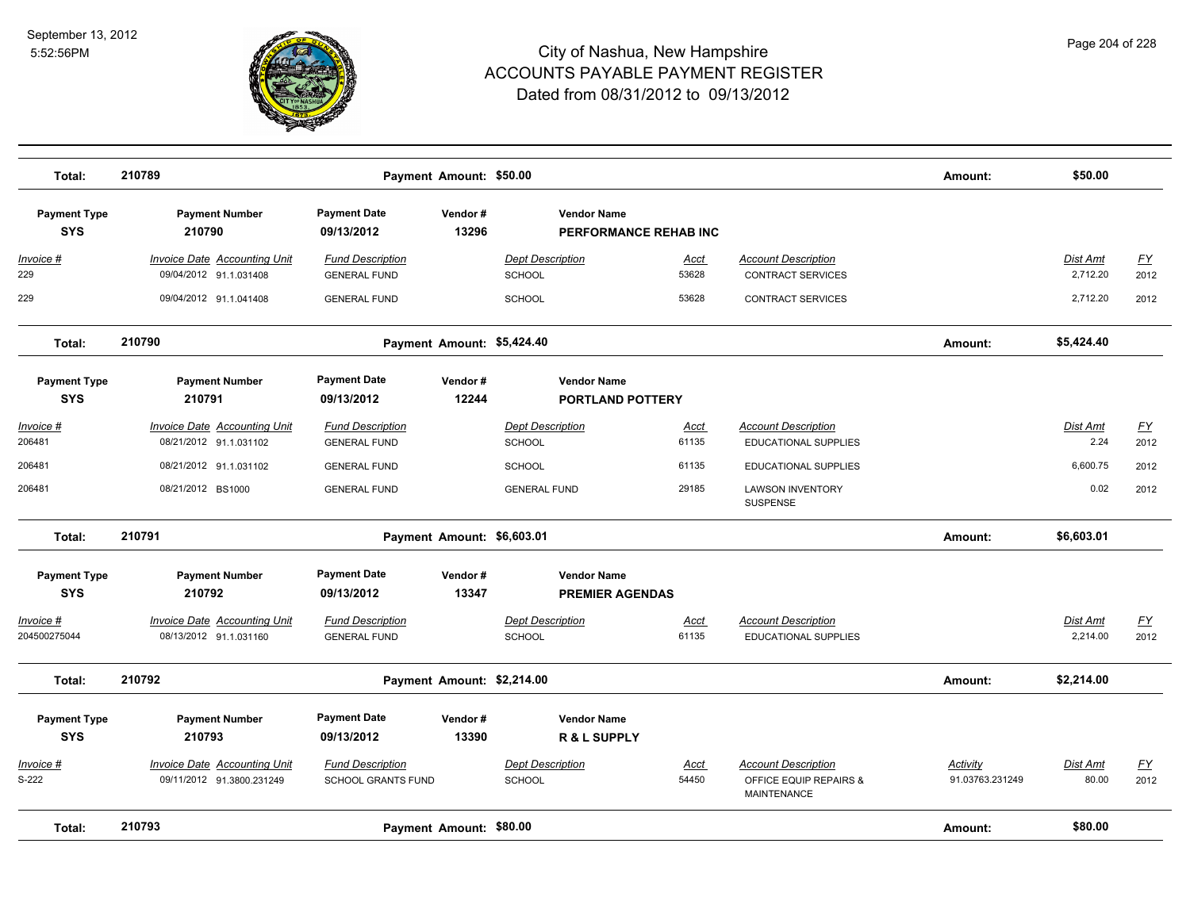

| Total:                            | 210789                                                           |                                                      | Payment Amount: \$50.00    |                                               |                      |                                                                            | Amount:                     | \$50.00              |                          |
|-----------------------------------|------------------------------------------------------------------|------------------------------------------------------|----------------------------|-----------------------------------------------|----------------------|----------------------------------------------------------------------------|-----------------------------|----------------------|--------------------------|
| <b>Payment Type</b><br><b>SYS</b> | <b>Payment Number</b><br>210790                                  | <b>Payment Date</b><br>09/13/2012                    | Vendor#<br>13296           | <b>Vendor Name</b><br>PERFORMANCE REHAB INC   |                      |                                                                            |                             |                      |                          |
| Invoice #<br>229                  | Invoice Date Accounting Unit<br>09/04/2012 91.1.031408           | <b>Fund Description</b><br><b>GENERAL FUND</b>       |                            | <b>Dept Description</b><br>SCHOOL             | Acct<br>53628        | <b>Account Description</b><br><b>CONTRACT SERVICES</b>                     |                             | Dist Amt<br>2,712.20 | $\underline{FY}$<br>2012 |
| 229                               | 09/04/2012 91.1.041408                                           | <b>GENERAL FUND</b>                                  |                            | <b>SCHOOL</b>                                 | 53628                | CONTRACT SERVICES                                                          |                             | 2,712.20             | 2012                     |
| Total:                            | 210790                                                           |                                                      | Payment Amount: \$5,424.40 |                                               |                      |                                                                            | Amount:                     | \$5,424.40           |                          |
| <b>Payment Type</b><br><b>SYS</b> | <b>Payment Number</b><br>210791                                  | <b>Payment Date</b><br>09/13/2012                    | Vendor#<br>12244           | <b>Vendor Name</b><br><b>PORTLAND POTTERY</b> |                      |                                                                            |                             |                      |                          |
| <u> Invoice #</u><br>206481       | <b>Invoice Date Accounting Unit</b><br>08/21/2012 91.1.031102    | <b>Fund Description</b><br><b>GENERAL FUND</b>       |                            | <b>Dept Description</b><br><b>SCHOOL</b>      | Acct<br>61135        | <b>Account Description</b><br>EDUCATIONAL SUPPLIES                         |                             | Dist Amt<br>2.24     | <u>FY</u><br>2012        |
| 206481                            | 08/21/2012 91.1.031102                                           | <b>GENERAL FUND</b>                                  |                            | <b>SCHOOL</b>                                 | 61135                | <b>EDUCATIONAL SUPPLIES</b>                                                |                             | 6,600.75             | 2012                     |
| 206481                            | 08/21/2012 BS1000                                                | <b>GENERAL FUND</b>                                  |                            | <b>GENERAL FUND</b>                           | 29185                | <b>LAWSON INVENTORY</b><br>SUSPENSE                                        |                             | 0.02                 | 2012                     |
| Total:                            | 210791                                                           |                                                      | Payment Amount: \$6,603.01 |                                               |                      |                                                                            | Amount:                     | \$6,603.01           |                          |
| <b>Payment Type</b><br><b>SYS</b> | <b>Payment Number</b><br>210792                                  | <b>Payment Date</b><br>09/13/2012                    | Vendor#<br>13347           | <b>Vendor Name</b><br><b>PREMIER AGENDAS</b>  |                      |                                                                            |                             |                      |                          |
| Invoice #<br>204500275044         | Invoice Date Accounting Unit<br>08/13/2012 91.1.031160           | <b>Fund Description</b><br><b>GENERAL FUND</b>       |                            | <b>Dept Description</b><br><b>SCHOOL</b>      | Acct<br>61135        | <b>Account Description</b><br><b>EDUCATIONAL SUPPLIES</b>                  |                             | Dist Amt<br>2,214.00 | EY<br>2012               |
| Total:                            | 210792                                                           |                                                      | Payment Amount: \$2,214.00 |                                               |                      |                                                                            | Amount:                     | \$2,214.00           |                          |
| <b>Payment Type</b><br><b>SYS</b> | <b>Payment Number</b><br>210793                                  | <b>Payment Date</b><br>09/13/2012                    | Vendor#<br>13390           | <b>Vendor Name</b><br>R & L SUPPLY            |                      |                                                                            |                             |                      |                          |
| Invoice #<br>S-222                | <b>Invoice Date Accounting Unit</b><br>09/11/2012 91.3800.231249 | <b>Fund Description</b><br><b>SCHOOL GRANTS FUND</b> |                            | <b>Dept Description</b><br>SCHOOL             | <u>Acct</u><br>54450 | <b>Account Description</b><br>OFFICE EQUIP REPAIRS &<br><b>MAINTENANCE</b> | Activity<br>91.03763.231249 | Dist Amt<br>80.00    | $\underline{FY}$<br>2012 |
| Total:                            | 210793                                                           |                                                      | Payment Amount: \$80.00    |                                               |                      |                                                                            | Amount:                     | \$80.00              |                          |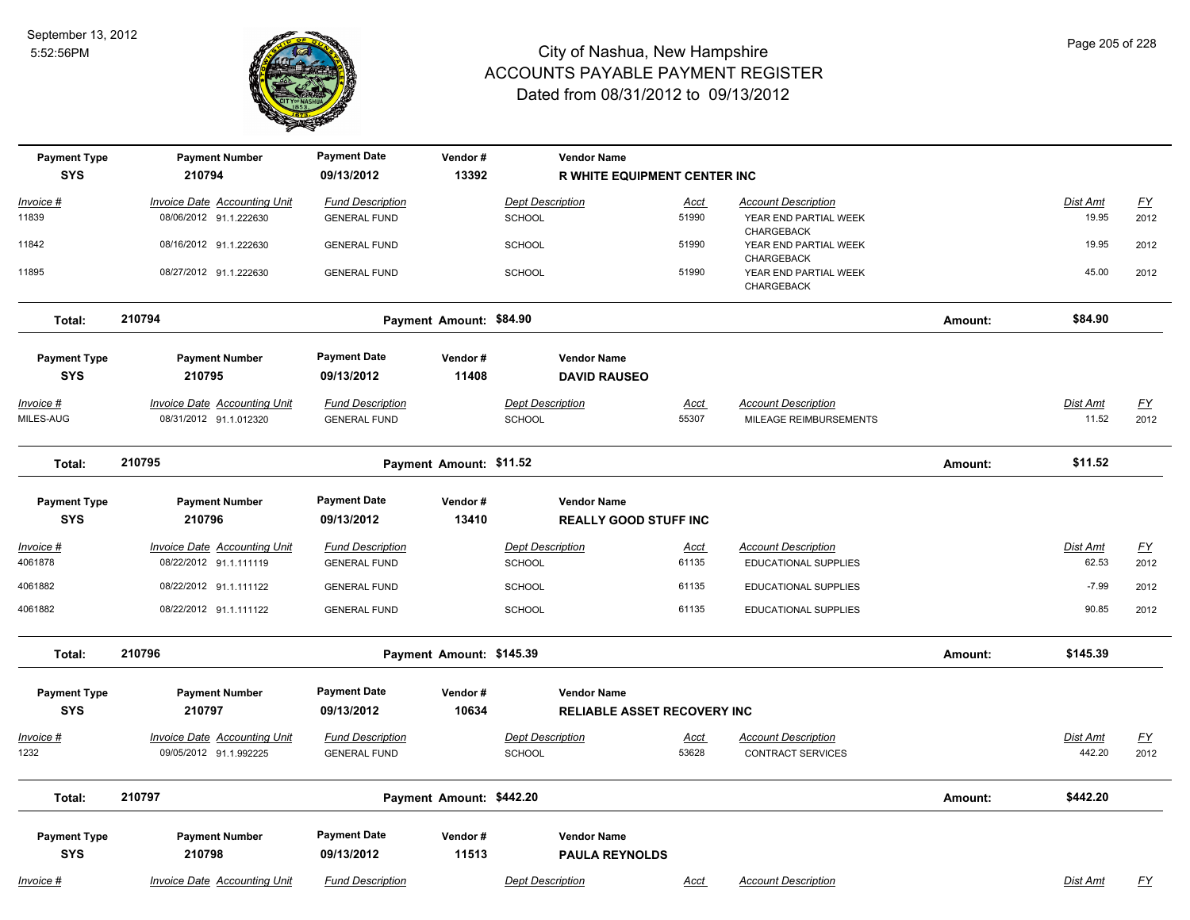

| <b>Payment Type</b>               | <b>Payment Number</b>                                         | <b>Payment Date</b>                            | Vendor#                  |                                          | <b>Vendor Name</b>                 |                      |                                                        |         |                    |                           |
|-----------------------------------|---------------------------------------------------------------|------------------------------------------------|--------------------------|------------------------------------------|------------------------------------|----------------------|--------------------------------------------------------|---------|--------------------|---------------------------|
| <b>SYS</b>                        | 210794                                                        | 09/13/2012                                     | 13392                    |                                          | R WHITE EQUIPMENT CENTER INC       |                      |                                                        |         |                    |                           |
| Invoice #                         | <b>Invoice Date Accounting Unit</b>                           | <b>Fund Description</b>                        |                          | <b>Dept Description</b>                  |                                    | Acct                 | <b>Account Description</b>                             |         | Dist Amt           | $\underline{\mathsf{FY}}$ |
| 11839                             | 08/06/2012 91.1.222630                                        | <b>GENERAL FUND</b>                            |                          | SCHOOL                                   |                                    | 51990                | YEAR END PARTIAL WEEK<br>CHARGEBACK                    |         | 19.95              | 2012                      |
| 11842                             | 08/16/2012 91.1.222630                                        | <b>GENERAL FUND</b>                            |                          | <b>SCHOOL</b>                            |                                    | 51990                | YEAR END PARTIAL WEEK<br>CHARGEBACK                    |         | 19.95              | 2012                      |
| 11895                             | 08/27/2012 91.1.222630                                        | <b>GENERAL FUND</b>                            |                          | <b>SCHOOL</b>                            |                                    | 51990                | YEAR END PARTIAL WEEK<br>CHARGEBACK                    |         | 45.00              | 2012                      |
| Total:                            | 210794                                                        |                                                | Payment Amount: \$84.90  |                                          |                                    |                      |                                                        | Amount: | \$84.90            |                           |
| <b>Payment Type</b>               | <b>Payment Number</b>                                         | <b>Payment Date</b>                            | Vendor#                  |                                          | <b>Vendor Name</b>                 |                      |                                                        |         |                    |                           |
| <b>SYS</b>                        | 210795                                                        | 09/13/2012                                     | 11408                    |                                          | <b>DAVID RAUSEO</b>                |                      |                                                        |         |                    |                           |
| Invoice #                         | <b>Invoice Date Accounting Unit</b>                           | <b>Fund Description</b>                        |                          | <b>Dept Description</b>                  |                                    | Acct                 | <b>Account Description</b>                             |         | Dist Amt           | <u>FY</u>                 |
| MILES-AUG                         | 08/31/2012 91.1.012320                                        | <b>GENERAL FUND</b>                            |                          | <b>SCHOOL</b>                            |                                    | 55307                | MILEAGE REIMBURSEMENTS                                 |         | 11.52              | 2012                      |
| Total:                            | 210795                                                        |                                                | Payment Amount: \$11.52  |                                          |                                    |                      |                                                        | Amount: | \$11.52            |                           |
| <b>Payment Type</b>               | <b>Payment Number</b>                                         | <b>Payment Date</b>                            | Vendor#                  |                                          | <b>Vendor Name</b>                 |                      |                                                        |         |                    |                           |
| <b>SYS</b>                        | 210796                                                        | 09/13/2012                                     | 13410                    |                                          | <b>REALLY GOOD STUFF INC</b>       |                      |                                                        |         |                    |                           |
| <u>Invoice #</u>                  | <b>Invoice Date Accounting Unit</b>                           | <b>Fund Description</b>                        |                          | <b>Dept Description</b>                  |                                    | Acct                 | <b>Account Description</b>                             |         | <b>Dist Amt</b>    | EY                        |
| 4061878                           | 08/22/2012 91.1.111119                                        | <b>GENERAL FUND</b>                            |                          | <b>SCHOOL</b>                            |                                    | 61135                | EDUCATIONAL SUPPLIES                                   |         | 62.53              | 2012                      |
| 4061882                           | 08/22/2012 91.1.111122                                        | <b>GENERAL FUND</b>                            |                          | SCHOOL                                   |                                    | 61135                | EDUCATIONAL SUPPLIES                                   |         | $-7.99$            | 2012                      |
| 4061882                           | 08/22/2012 91.1.111122                                        | <b>GENERAL FUND</b>                            |                          | <b>SCHOOL</b>                            |                                    | 61135                | <b>EDUCATIONAL SUPPLIES</b>                            |         | 90.85              | 2012                      |
| Total:                            | 210796                                                        |                                                | Payment Amount: \$145.39 |                                          |                                    |                      |                                                        | Amount: | \$145.39           |                           |
| <b>Payment Type</b>               | <b>Payment Number</b>                                         | <b>Payment Date</b>                            | Vendor#                  |                                          | <b>Vendor Name</b>                 |                      |                                                        |         |                    |                           |
| <b>SYS</b>                        | 210797                                                        | 09/13/2012                                     | 10634                    |                                          | <b>RELIABLE ASSET RECOVERY INC</b> |                      |                                                        |         |                    |                           |
| Invoice #<br>1232                 | <b>Invoice Date Accounting Unit</b><br>09/05/2012 91.1.992225 | <b>Fund Description</b><br><b>GENERAL FUND</b> |                          | <b>Dept Description</b><br><b>SCHOOL</b> |                                    | <u>Acct</u><br>53628 | <b>Account Description</b><br><b>CONTRACT SERVICES</b> |         | Dist Amt<br>442.20 | $\underline{FY}$<br>2012  |
| Total:                            | 210797                                                        |                                                | Payment Amount: \$442.20 |                                          |                                    |                      |                                                        | Amount: | \$442.20           |                           |
|                                   |                                                               | <b>Payment Date</b>                            | Vendor#                  |                                          | <b>Vendor Name</b>                 |                      |                                                        |         |                    |                           |
| <b>Payment Type</b><br><b>SYS</b> | <b>Payment Number</b><br>210798                               | 09/13/2012                                     | 11513                    |                                          | <b>PAULA REYNOLDS</b>              |                      |                                                        |         |                    |                           |
|                                   |                                                               |                                                |                          |                                          |                                    |                      |                                                        |         |                    |                           |
| Invoice #                         | <b>Invoice Date Accounting Unit</b>                           | <b>Fund Description</b>                        |                          | <b>Dept Description</b>                  |                                    | Acct                 | <b>Account Description</b>                             |         | Dist Amt           | EY                        |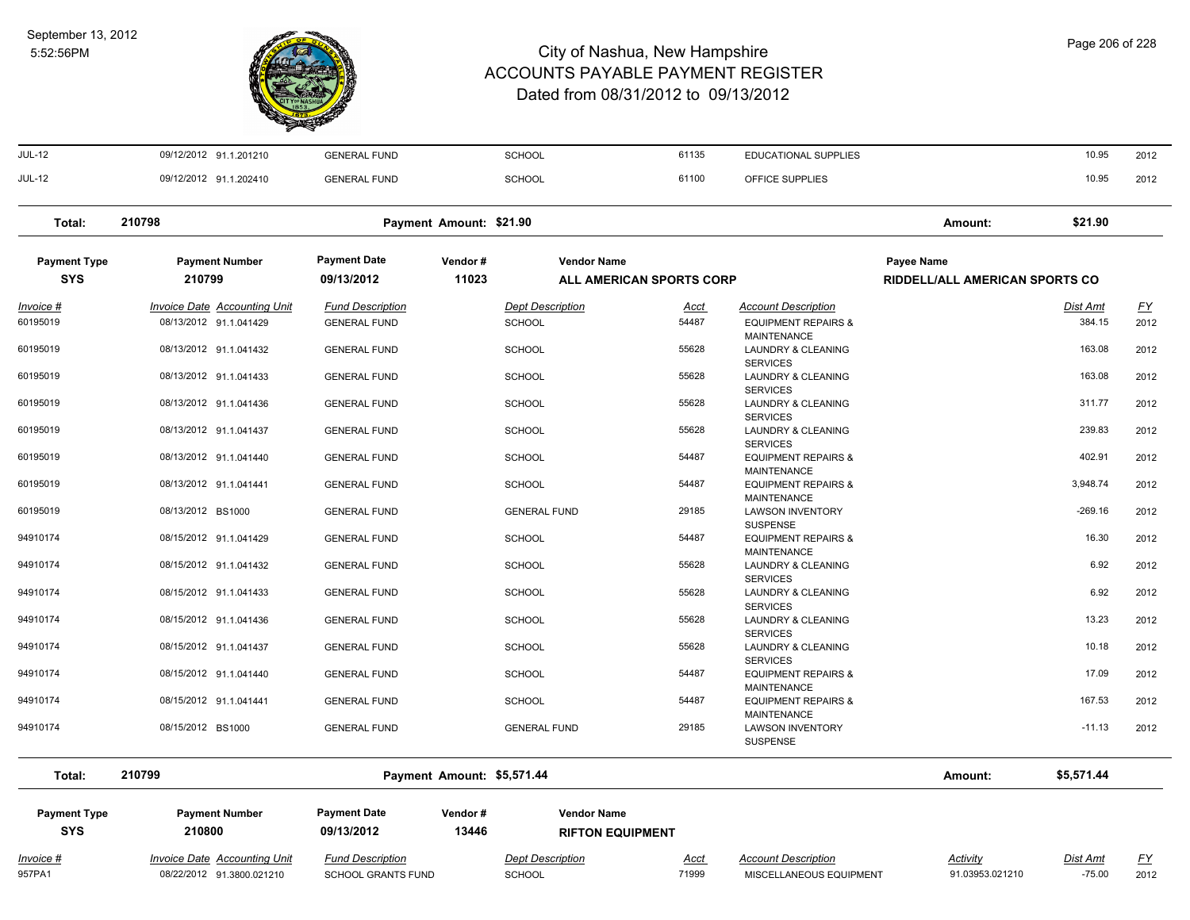

| <b>JUL-12</b>              | 09/12/2012 91.1.201210              | <b>GENERAL FUND</b>       |                            | <b>SCHOOL</b>            | 61135                | <b>EDUCATIONAL SUPPLIES</b>                                      |                                    | 10.95                       | 2012      |
|----------------------------|-------------------------------------|---------------------------|----------------------------|--------------------------|----------------------|------------------------------------------------------------------|------------------------------------|-----------------------------|-----------|
| <b>JUL-12</b>              | 09/12/2012 91.1.202410              | <b>GENERAL FUND</b>       |                            | SCHOOL                   | 61100                | OFFICE SUPPLIES                                                  |                                    | 10.95                       | 2012      |
| Total:                     | 210798                              |                           | Payment Amount: \$21.90    |                          |                      |                                                                  | Amount:                            | \$21.90                     |           |
| <b>Payment Type</b>        | <b>Payment Number</b>               | <b>Payment Date</b>       | Vendor#                    | <b>Vendor Name</b>       |                      |                                                                  | <b>Payee Name</b>                  |                             |           |
| <b>SYS</b>                 | 210799                              | 09/13/2012                | 11023                      | ALL AMERICAN SPORTS CORP |                      |                                                                  | RIDDELL/ALL AMERICAN SPORTS CO     |                             |           |
| $Invoice$ #                | <b>Invoice Date Accounting Unit</b> | <b>Fund Description</b>   |                            | <b>Dept Description</b>  | <u>Acct</u>          | <b>Account Description</b>                                       |                                    | <u>Dist Amt</u>             | <u>FY</u> |
| 60195019                   | 08/13/2012 91.1.041429              | <b>GENERAL FUND</b>       |                            | <b>SCHOOL</b>            | 54487                | <b>EQUIPMENT REPAIRS &amp;</b><br>MAINTENANCE                    |                                    | 384.15                      | 2012      |
| 60195019                   | 08/13/2012 91.1.041432              | <b>GENERAL FUND</b>       |                            | <b>SCHOOL</b>            | 55628                | LAUNDRY & CLEANING<br><b>SERVICES</b>                            |                                    | 163.08                      | 2012      |
| 60195019                   | 08/13/2012 91.1.041433              | <b>GENERAL FUND</b>       |                            | SCHOOL                   | 55628                | LAUNDRY & CLEANING<br><b>SERVICES</b>                            |                                    | 163.08                      | 2012      |
| 60195019                   | 08/13/2012 91.1.041436              | <b>GENERAL FUND</b>       |                            | <b>SCHOOL</b>            | 55628                | LAUNDRY & CLEANING<br><b>SERVICES</b>                            |                                    | 311.77                      | 2012      |
| 60195019                   | 08/13/2012 91.1.041437              | <b>GENERAL FUND</b>       |                            | <b>SCHOOL</b>            | 55628                | LAUNDRY & CLEANING<br><b>SERVICES</b>                            |                                    | 239.83                      | 2012      |
| 60195019                   | 08/13/2012 91.1.041440              | <b>GENERAL FUND</b>       |                            | <b>SCHOOL</b>            | 54487                | <b>EQUIPMENT REPAIRS &amp;</b><br>MAINTENANCE                    |                                    | 402.91                      | 2012      |
| 60195019                   | 08/13/2012 91.1.041441              | <b>GENERAL FUND</b>       |                            | <b>SCHOOL</b>            | 54487                | <b>EQUIPMENT REPAIRS &amp;</b><br><b>MAINTENANCE</b>             |                                    | 3,948.74                    | 2012      |
| 60195019                   | 08/13/2012 BS1000                   | <b>GENERAL FUND</b>       |                            | <b>GENERAL FUND</b>      | 29185                | <b>LAWSON INVENTORY</b><br><b>SUSPENSE</b>                       |                                    | $-269.16$                   | 2012      |
| 94910174                   | 08/15/2012 91.1.041429              | <b>GENERAL FUND</b>       |                            | <b>SCHOOL</b>            | 54487                | <b>EQUIPMENT REPAIRS &amp;</b>                                   |                                    | 16.30                       | 2012      |
| 94910174                   | 08/15/2012 91.1.041432              | <b>GENERAL FUND</b>       |                            | SCHOOL                   | 55628                | <b>MAINTENANCE</b><br>LAUNDRY & CLEANING                         |                                    | 6.92                        | 2012      |
| 94910174                   | 08/15/2012 91.1.041433              | <b>GENERAL FUND</b>       |                            | <b>SCHOOL</b>            | 55628                | <b>SERVICES</b><br>LAUNDRY & CLEANING                            |                                    | 6.92                        | 2012      |
| 94910174                   | 08/15/2012 91.1.041436              | <b>GENERAL FUND</b>       |                            | <b>SCHOOL</b>            | 55628                | <b>SERVICES</b><br><b>LAUNDRY &amp; CLEANING</b>                 |                                    | 13.23                       | 2012      |
| 94910174                   | 08/15/2012 91.1.041437              | <b>GENERAL FUND</b>       |                            | <b>SCHOOL</b>            | 55628                | <b>SERVICES</b><br>LAUNDRY & CLEANING                            |                                    | 10.18                       | 2012      |
| 94910174                   | 08/15/2012 91.1.041440              | <b>GENERAL FUND</b>       |                            | SCHOOL                   | 54487                | <b>SERVICES</b><br><b>EQUIPMENT REPAIRS &amp;</b>                |                                    | 17.09                       | 2012      |
| 94910174                   | 08/15/2012 91.1.041441              | <b>GENERAL FUND</b>       |                            | <b>SCHOOL</b>            | 54487                | MAINTENANCE<br><b>EQUIPMENT REPAIRS &amp;</b>                    |                                    | 167.53                      | 2012      |
| 94910174                   | 08/15/2012 BS1000                   | <b>GENERAL FUND</b>       |                            | <b>GENERAL FUND</b>      | 29185                | <b>MAINTENANCE</b><br><b>LAWSON INVENTORY</b><br><b>SUSPENSE</b> |                                    | $-11.13$                    | 2012      |
| Total:                     | 210799                              |                           | Payment Amount: \$5,571.44 |                          |                      |                                                                  | Amount:                            | \$5,571.44                  |           |
| <b>Payment Type</b>        | <b>Payment Number</b>               | <b>Payment Date</b>       | Vendor#                    | <b>Vendor Name</b>       |                      |                                                                  |                                    |                             |           |
| <b>SYS</b>                 | 210800                              | 09/13/2012                | 13446                      | <b>RIFTON EQUIPMENT</b>  |                      |                                                                  |                                    |                             |           |
| <u>Invoice #</u><br>957PA1 | <b>Invoice Date Accounting Unit</b> | <b>Fund Description</b>   |                            | <b>Dept Description</b>  | <u>Acct</u><br>71999 | <b>Account Description</b>                                       | <b>Activity</b><br>91.03953.021210 | <b>Dist Amt</b><br>$-75.00$ | <u>FY</u> |
|                            | 08/22/2012 91.3800.021210           | <b>SCHOOL GRANTS FUND</b> |                            | SCHOOL                   |                      | MISCELLANEOUS EQUIPMENT                                          |                                    |                             | 2012      |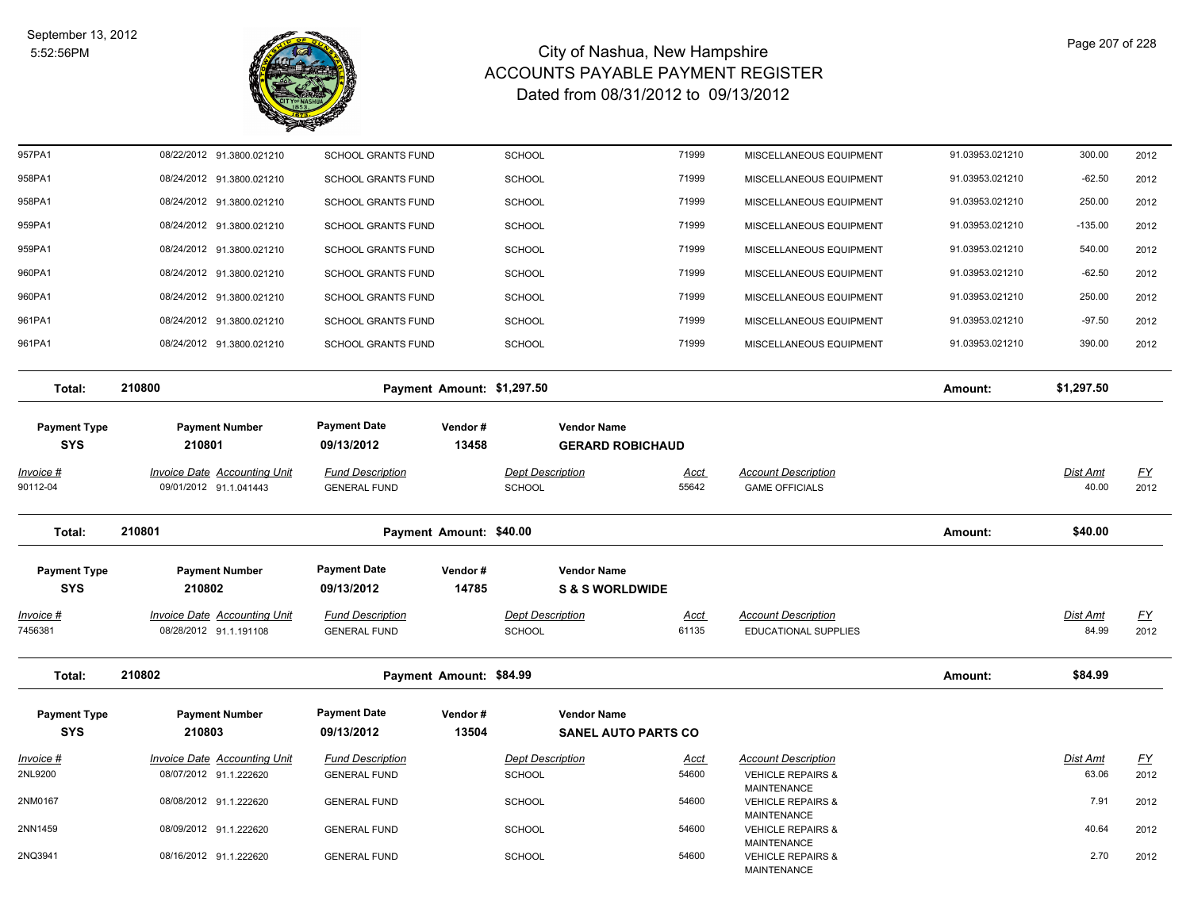

| 957PA1                            | 08/22/2012 91.3800.021210                                     | <b>SCHOOL GRANTS FUND</b>                      |                            | <b>SCHOOL</b>                            |                                               | 71999                | MISCELLANEOUS EQUIPMENT                                   | 91.03953.021210 | 300.00            | 2012              |
|-----------------------------------|---------------------------------------------------------------|------------------------------------------------|----------------------------|------------------------------------------|-----------------------------------------------|----------------------|-----------------------------------------------------------|-----------------|-------------------|-------------------|
| 958PA1                            | 08/24/2012 91.3800.021210                                     | <b>SCHOOL GRANTS FUND</b>                      |                            | <b>SCHOOL</b>                            |                                               | 71999                | MISCELLANEOUS EQUIPMENT                                   | 91.03953.021210 | $-62.50$          | 2012              |
| 958PA1                            | 08/24/2012 91.3800.021210                                     | <b>SCHOOL GRANTS FUND</b>                      |                            | <b>SCHOOL</b>                            |                                               | 71999                | MISCELLANEOUS EQUIPMENT                                   | 91.03953.021210 | 250.00            | 2012              |
| 959PA1                            | 08/24/2012 91.3800.021210                                     | <b>SCHOOL GRANTS FUND</b>                      |                            | <b>SCHOOL</b>                            | 71999                                         |                      | MISCELLANEOUS EQUIPMENT                                   | 91.03953.021210 | $-135.00$         | 2012              |
| 959PA1                            | 08/24/2012 91.3800.021210                                     | <b>SCHOOL GRANTS FUND</b>                      |                            | <b>SCHOOL</b>                            | 71999                                         |                      | MISCELLANEOUS EQUIPMENT                                   | 91.03953.021210 | 540.00            | 2012              |
| 960PA1                            | 08/24/2012 91.3800.021210                                     | <b>SCHOOL GRANTS FUND</b>                      |                            | <b>SCHOOL</b>                            | 71999                                         |                      | MISCELLANEOUS EQUIPMENT                                   | 91.03953.021210 | $-62.50$          | 2012              |
| 960PA1                            | 08/24/2012 91.3800.021210                                     | <b>SCHOOL GRANTS FUND</b>                      |                            | <b>SCHOOL</b>                            | 71999                                         |                      | MISCELLANEOUS EQUIPMENT                                   | 91.03953.021210 | 250.00            | 2012              |
| 961PA1                            | 08/24/2012 91.3800.021210                                     | <b>SCHOOL GRANTS FUND</b>                      |                            | <b>SCHOOL</b>                            |                                               | 71999                | MISCELLANEOUS EQUIPMENT                                   | 91.03953.021210 | $-97.50$          | 2012              |
| 961PA1                            | 08/24/2012 91.3800.021210                                     | <b>SCHOOL GRANTS FUND</b>                      |                            | <b>SCHOOL</b>                            |                                               | 71999                | MISCELLANEOUS EQUIPMENT                                   | 91.03953.021210 | 390.00            | 2012              |
| Total:                            | 210800                                                        |                                                | Payment Amount: \$1,297.50 |                                          |                                               |                      |                                                           | Amount:         | \$1,297.50        |                   |
| <b>Payment Type</b><br><b>SYS</b> | <b>Payment Number</b><br>210801                               | <b>Payment Date</b><br>09/13/2012              | Vendor#<br>13458           |                                          | <b>Vendor Name</b><br><b>GERARD ROBICHAUD</b> |                      |                                                           |                 |                   |                   |
| Invoice #                         | Invoice Date Accounting Unit                                  | <b>Fund Description</b>                        |                            | <b>Dept Description</b>                  |                                               | Acct                 | <b>Account Description</b>                                |                 | Dist Amt          | <u>FY</u>         |
| 90112-04                          | 09/01/2012 91.1.041443                                        | <b>GENERAL FUND</b>                            |                            | <b>SCHOOL</b>                            |                                               | 55642                | <b>GAME OFFICIALS</b>                                     |                 | 40.00             | 2012              |
|                                   |                                                               |                                                |                            |                                          |                                               |                      |                                                           |                 |                   |                   |
| Total:                            | 210801                                                        |                                                | Payment Amount: \$40.00    |                                          |                                               |                      |                                                           | Amount:         | \$40.00           |                   |
| <b>Payment Type</b>               | <b>Payment Number</b>                                         | <b>Payment Date</b>                            | Vendor#                    |                                          | <b>Vendor Name</b>                            |                      |                                                           |                 |                   |                   |
| <b>SYS</b>                        | 210802                                                        | 09/13/2012                                     | 14785                      |                                          | <b>S &amp; S WORLDWIDE</b>                    |                      |                                                           |                 |                   |                   |
| <u> Invoice #</u><br>7456381      | <b>Invoice Date Accounting Unit</b><br>08/28/2012 91.1.191108 | <b>Fund Description</b><br><b>GENERAL FUND</b> |                            | <b>Dept Description</b><br><b>SCHOOL</b> |                                               | <b>Acct</b><br>61135 | <b>Account Description</b><br><b>EDUCATIONAL SUPPLIES</b> |                 | Dist Amt<br>84.99 | <u>FY</u><br>2012 |
| Total:                            | 210802                                                        |                                                | Payment Amount: \$84.99    |                                          |                                               |                      |                                                           | Amount:         | \$84.99           |                   |
| <b>Payment Type</b>               | <b>Payment Number</b>                                         | <b>Payment Date</b>                            | Vendor#                    |                                          | <b>Vendor Name</b>                            |                      |                                                           |                 |                   |                   |
| <b>SYS</b>                        | 210803                                                        | 09/13/2012                                     | 13504                      |                                          | <b>SANEL AUTO PARTS CO</b>                    |                      |                                                           |                 |                   |                   |
| Invoice #                         | <b>Invoice Date Accounting Unit</b>                           | <b>Fund Description</b>                        |                            | <b>Dept Description</b>                  |                                               | Acct                 | <b>Account Description</b>                                |                 | Dist Amt          | <u>FY</u>         |
| 2NL9200                           | 08/07/2012 91.1.222620                                        | <b>GENERAL FUND</b>                            |                            | <b>SCHOOL</b>                            |                                               | 54600                | <b>VEHICLE REPAIRS &amp;</b><br><b>MAINTENANCE</b>        |                 | 63.06             | 2012              |
| 2NM0167                           | 08/08/2012 91.1.222620                                        | <b>GENERAL FUND</b>                            |                            | <b>SCHOOL</b>                            |                                               | 54600                | <b>VEHICLE REPAIRS &amp;</b><br><b>MAINTENANCE</b>        |                 | 7.91              | 2012              |
| 2NN1459                           | 08/09/2012 91.1.222620                                        | <b>GENERAL FUND</b>                            |                            | <b>SCHOOL</b>                            | 54600                                         |                      | <b>VEHICLE REPAIRS &amp;</b><br><b>MAINTENANCE</b>        |                 | 40.64             | 2012              |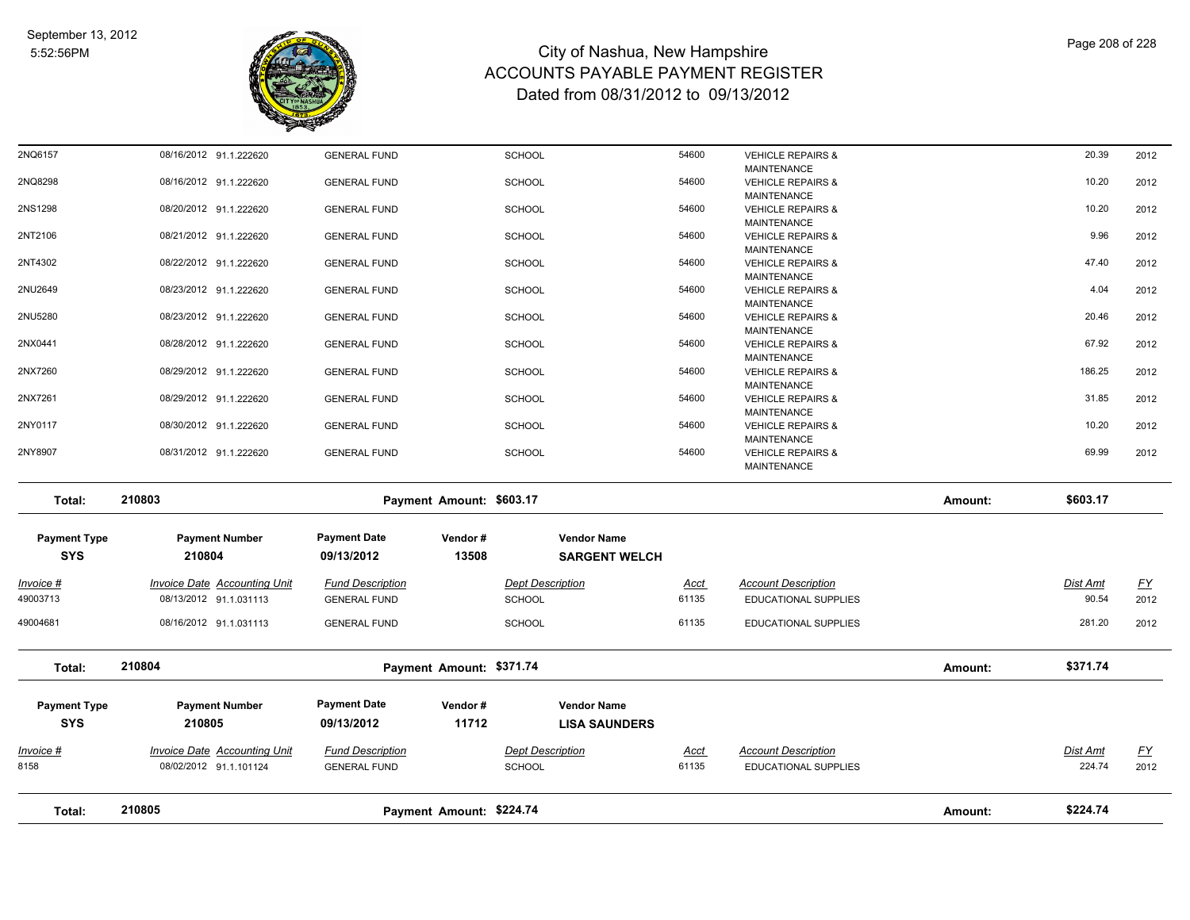

| Total:<br><b>Payment Type</b><br><b>SYS</b> | 08/16/2012 91.1.031113<br>210804<br><b>Payment Number</b><br>210805<br><b>Invoice Date Accounting Unit</b><br>08/02/2012 91.1.101124 | <b>GENERAL FUND</b><br><b>Payment Date</b><br>09/13/2012<br><b>Fund Description</b><br><b>GENERAL FUND</b> | Payment Amount: \$371.74<br>Vendor#<br>11712 | <b>Vendor Name</b><br><b>LISA SAUNDERS</b><br><b>Dept Description</b><br><b>SCHOOL</b> | <u>Acct</u><br>61135 | <b>Account Description</b><br><b>EDUCATIONAL SUPPLIES</b> | Amount: | \$371.74<br>Dist Amt<br>224.74 | <u>FY</u><br>2012 |
|---------------------------------------------|--------------------------------------------------------------------------------------------------------------------------------------|------------------------------------------------------------------------------------------------------------|----------------------------------------------|----------------------------------------------------------------------------------------|----------------------|-----------------------------------------------------------|---------|--------------------------------|-------------------|
| 49004681<br><u> Invoice #</u><br>8158       |                                                                                                                                      |                                                                                                            |                                              |                                                                                        |                      |                                                           |         |                                |                   |
|                                             |                                                                                                                                      |                                                                                                            |                                              |                                                                                        |                      |                                                           |         |                                |                   |
|                                             |                                                                                                                                      |                                                                                                            |                                              |                                                                                        |                      |                                                           |         |                                |                   |
|                                             |                                                                                                                                      |                                                                                                            |                                              |                                                                                        |                      |                                                           |         |                                |                   |
|                                             |                                                                                                                                      |                                                                                                            |                                              |                                                                                        |                      |                                                           |         |                                |                   |
|                                             |                                                                                                                                      |                                                                                                            |                                              | <b>SCHOOL</b>                                                                          | 61135                | EDUCATIONAL SUPPLIES                                      |         | 281.20                         | 2012              |
| Invoice #<br>49003713                       | Invoice Date Accounting Unit<br>08/13/2012 91.1.031113                                                                               | <b>Fund Description</b><br><b>GENERAL FUND</b>                                                             |                                              | <b>Dept Description</b><br>SCHOOL                                                      | Acct<br>61135        | <b>Account Description</b><br><b>EDUCATIONAL SUPPLIES</b> |         | Dist Amt<br>90.54              | EY<br>2012        |
| <b>Payment Type</b><br><b>SYS</b>           | <b>Payment Number</b><br>210804                                                                                                      | <b>Payment Date</b><br>09/13/2012                                                                          | Vendor#<br>13508                             | <b>Vendor Name</b><br><b>SARGENT WELCH</b>                                             |                      |                                                           |         |                                |                   |
|                                             |                                                                                                                                      |                                                                                                            |                                              |                                                                                        |                      |                                                           |         |                                |                   |
| Total:                                      | 210803                                                                                                                               |                                                                                                            | Payment Amount: \$603.17                     |                                                                                        |                      |                                                           | Amount: | \$603.17                       |                   |
| 2NY8907                                     | 08/31/2012 91.1.222620                                                                                                               | <b>GENERAL FUND</b>                                                                                        |                                              | <b>SCHOOL</b>                                                                          | 54600                | <b>VEHICLE REPAIRS &amp;</b><br><b>MAINTENANCE</b>        |         | 69.99                          | 2012              |
|                                             | 08/30/2012 91.1.222620                                                                                                               | <b>GENERAL FUND</b>                                                                                        |                                              | <b>SCHOOL</b>                                                                          |                      | <b>VEHICLE REPAIRS &amp;</b><br><b>MAINTENANCE</b>        |         |                                | 2012              |
| 2NY0117                                     |                                                                                                                                      |                                                                                                            |                                              |                                                                                        | 54600                | <b>MAINTENANCE</b>                                        |         | 10.20                          |                   |
| 2NX7261                                     | 08/29/2012 91.1.222620                                                                                                               | <b>GENERAL FUND</b>                                                                                        |                                              | <b>SCHOOL</b>                                                                          | 54600                | <b>MAINTENANCE</b><br><b>VEHICLE REPAIRS &amp;</b>        |         | 31.85                          | 2012              |
| 2NX7260                                     | 08/29/2012 91.1.222620                                                                                                               | <b>GENERAL FUND</b>                                                                                        |                                              | <b>SCHOOL</b>                                                                          | 54600                | <b>MAINTENANCE</b><br><b>VEHICLE REPAIRS &amp;</b>        |         | 186.25                         | 2012              |
| 2NX0441                                     | 08/28/2012 91.1.222620                                                                                                               | <b>GENERAL FUND</b>                                                                                        |                                              | <b>SCHOOL</b>                                                                          | 54600                | <b>MAINTENANCE</b><br><b>VEHICLE REPAIRS &amp;</b>        |         | 67.92                          | 2012              |
| 2NU5280                                     | 08/23/2012 91.1.222620                                                                                                               | <b>GENERAL FUND</b>                                                                                        |                                              | <b>SCHOOL</b>                                                                          | 54600                | MAINTENANCE<br><b>VEHICLE REPAIRS &amp;</b>               |         | 20.46                          | 2012              |
| 2NU2649                                     | 08/23/2012 91.1.222620                                                                                                               | <b>GENERAL FUND</b>                                                                                        |                                              | <b>SCHOOL</b>                                                                          | 54600                | <b>VEHICLE REPAIRS &amp;</b>                              |         | 4.04                           | 2012              |
| 2NT4302                                     | 08/22/2012 91.1.222620                                                                                                               | <b>GENERAL FUND</b>                                                                                        |                                              | <b>SCHOOL</b>                                                                          | 54600                | <b>VEHICLE REPAIRS &amp;</b><br><b>MAINTENANCE</b>        |         | 47.40                          | 2012              |
| 2NT2106                                     | 08/21/2012 91.1.222620                                                                                                               | <b>GENERAL FUND</b>                                                                                        |                                              | <b>SCHOOL</b>                                                                          | 54600                | <b>VEHICLE REPAIRS &amp;</b><br><b>MAINTENANCE</b>        |         | 9.96                           | 2012              |
| 2NS1298                                     | 08/20/2012 91.1.222620                                                                                                               | <b>GENERAL FUND</b>                                                                                        |                                              | <b>SCHOOL</b>                                                                          | 54600                | <b>VEHICLE REPAIRS &amp;</b><br><b>MAINTENANCE</b>        |         | 10.20                          | 2012              |
|                                             | 08/16/2012 91.1.222620                                                                                                               | <b>GENERAL FUND</b>                                                                                        |                                              | <b>SCHOOL</b>                                                                          |                      | <b>VEHICLE REPAIRS &amp;</b><br><b>MAINTENANCE</b>        |         |                                | 2012              |
|                                             |                                                                                                                                      |                                                                                                            |                                              |                                                                                        | 54600                | <b>MAINTENANCE</b>                                        |         | 10.20                          |                   |
| 2NQ8298                                     |                                                                                                                                      |                                                                                                            |                                              | <b>SCHOOL</b>                                                                          | 54600                | <b>VEHICLE REPAIRS &amp;</b>                              |         | 20.39                          |                   |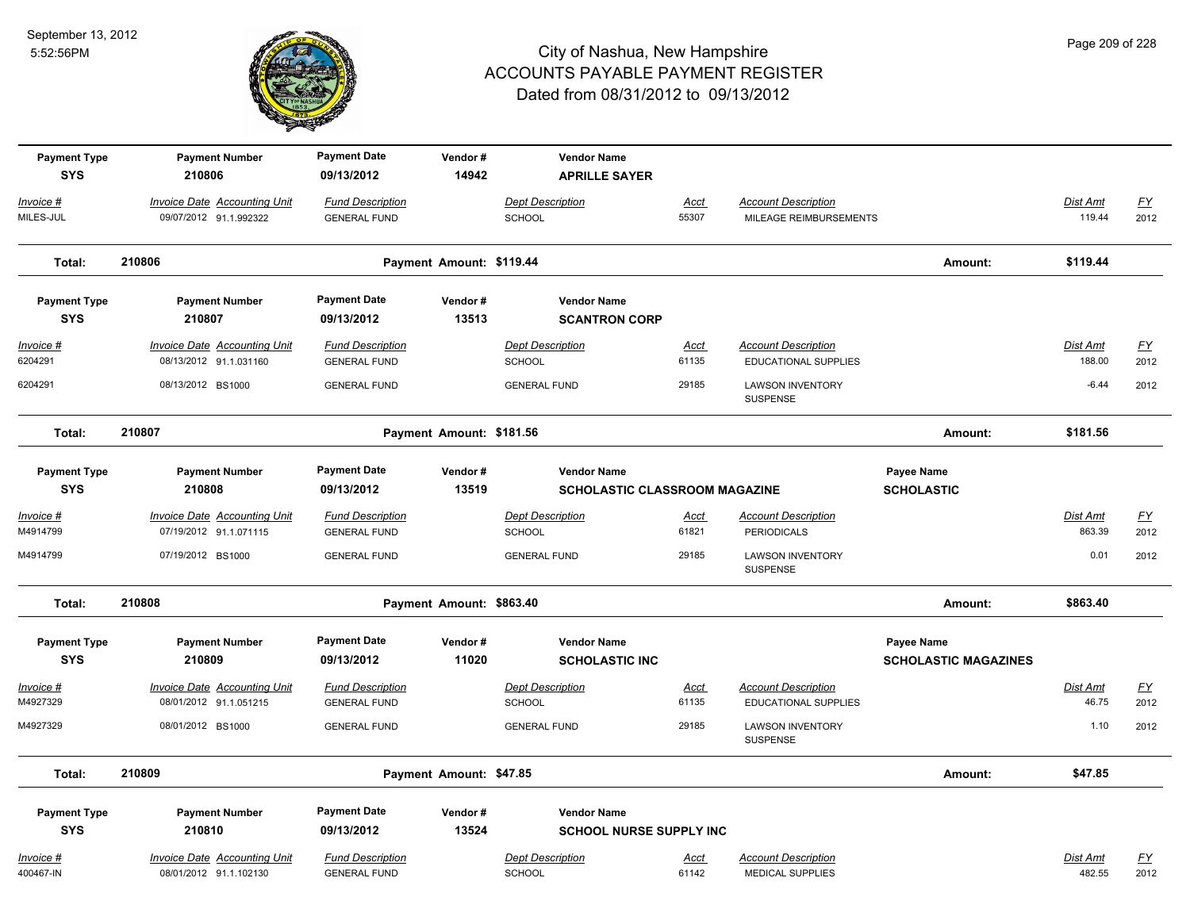

| <b>Payment Type</b><br><b>SYS</b> | <b>Payment Number</b><br>210806                               | <b>Payment Date</b><br>09/13/2012              | Vendor#<br>14942         | <b>Vendor Name</b><br><b>APRILLE SAYER</b>                 |                      |                                                           |                                           |                    |                                   |
|-----------------------------------|---------------------------------------------------------------|------------------------------------------------|--------------------------|------------------------------------------------------------|----------------------|-----------------------------------------------------------|-------------------------------------------|--------------------|-----------------------------------|
| Invoice #<br>MILES-JUL            | Invoice Date Accounting Unit<br>09/07/2012 91.1.992322        | <b>Fund Description</b><br><b>GENERAL FUND</b> |                          | <b>Dept Description</b><br><b>SCHOOL</b>                   | Acct<br>55307        | <b>Account Description</b><br>MILEAGE REIMBURSEMENTS      |                                           | Dist Amt<br>119.44 | EY<br>2012                        |
| Total:                            | 210806                                                        |                                                | Payment Amount: \$119.44 |                                                            |                      |                                                           | Amount:                                   | \$119.44           |                                   |
| <b>Payment Type</b><br><b>SYS</b> | <b>Payment Number</b><br>210807                               | <b>Payment Date</b><br>09/13/2012              | Vendor#<br>13513         | <b>Vendor Name</b><br><b>SCANTRON CORP</b>                 |                      |                                                           |                                           |                    |                                   |
| Invoice #<br>6204291              | <b>Invoice Date Accounting Unit</b><br>08/13/2012 91.1.031160 | <b>Fund Description</b><br><b>GENERAL FUND</b> |                          | <b>Dept Description</b><br><b>SCHOOL</b>                   | <u>Acct</u><br>61135 | <b>Account Description</b><br><b>EDUCATIONAL SUPPLIES</b> |                                           | Dist Amt<br>188.00 | $\underline{FY}$<br>2012          |
| 6204291                           | 08/13/2012 BS1000                                             | <b>GENERAL FUND</b>                            |                          | <b>GENERAL FUND</b>                                        | 29185                | <b>LAWSON INVENTORY</b><br>SUSPENSE                       |                                           | $-6.44$            | 2012                              |
| Total:                            | 210807                                                        |                                                | Payment Amount: \$181.56 |                                                            |                      |                                                           | Amount:                                   | \$181.56           |                                   |
| <b>Payment Type</b><br><b>SYS</b> | <b>Payment Number</b><br>210808                               | <b>Payment Date</b><br>09/13/2012              | Vendor#<br>13519         | <b>Vendor Name</b><br><b>SCHOLASTIC CLASSROOM MAGAZINE</b> |                      |                                                           | Payee Name<br><b>SCHOLASTIC</b>           |                    |                                   |
| Invoice #<br>M4914799             | <b>Invoice Date Accounting Unit</b><br>07/19/2012 91.1.071115 | <b>Fund Description</b><br><b>GENERAL FUND</b> |                          | <b>Dept Description</b><br><b>SCHOOL</b>                   | Acct<br>61821        | <b>Account Description</b><br>PERIODICALS                 |                                           | Dist Amt<br>863.39 | <u>FY</u><br>2012                 |
| M4914799                          | 07/19/2012 BS1000                                             | <b>GENERAL FUND</b>                            |                          | <b>GENERAL FUND</b>                                        | 29185                | <b>LAWSON INVENTORY</b><br>SUSPENSE                       |                                           | 0.01               | 2012                              |
| Total:                            | 210808                                                        |                                                | Payment Amount: \$863.40 |                                                            |                      |                                                           | Amount:                                   | \$863.40           |                                   |
| <b>Payment Type</b><br><b>SYS</b> | <b>Payment Number</b><br>210809                               | <b>Payment Date</b><br>09/13/2012              | Vendor#<br>11020         | <b>Vendor Name</b><br><b>SCHOLASTIC INC</b>                |                      |                                                           | Payee Name<br><b>SCHOLASTIC MAGAZINES</b> |                    |                                   |
| Invoice #<br>M4927329             | Invoice Date Accounting Unit<br>08/01/2012 91.1.051215        | <b>Fund Description</b><br><b>GENERAL FUND</b> |                          | <b>Dept Description</b><br><b>SCHOOL</b>                   | <u>Acct</u><br>61135 | <b>Account Description</b><br><b>EDUCATIONAL SUPPLIES</b> |                                           | Dist Amt<br>46.75  | $\underline{\mathsf{FY}}$<br>2012 |
| M4927329                          | 08/01/2012 BS1000                                             | <b>GENERAL FUND</b>                            |                          | <b>GENERAL FUND</b>                                        | 29185                | <b>LAWSON INVENTORY</b><br>SUSPENSE                       |                                           | 1.10               | 2012                              |
| Total:                            | 210809                                                        |                                                | Payment Amount: \$47.85  |                                                            |                      |                                                           | Amount:                                   | \$47.85            |                                   |
| <b>Payment Type</b><br><b>SYS</b> | <b>Payment Number</b><br>210810                               | <b>Payment Date</b><br>09/13/2012              | Vendor#<br>13524         | <b>Vendor Name</b><br><b>SCHOOL NURSE SUPPLY INC</b>       |                      |                                                           |                                           |                    |                                   |
| Invoice #<br>400467-IN            | <b>Invoice Date Accounting Unit</b><br>08/01/2012 91.1.102130 | <b>Fund Description</b><br><b>GENERAL FUND</b> |                          | <b>Dept Description</b><br><b>SCHOOL</b>                   | Acct<br>61142        | <b>Account Description</b><br><b>MEDICAL SUPPLIES</b>     |                                           | Dist Amt<br>482.55 | $\underline{FY}$<br>2012          |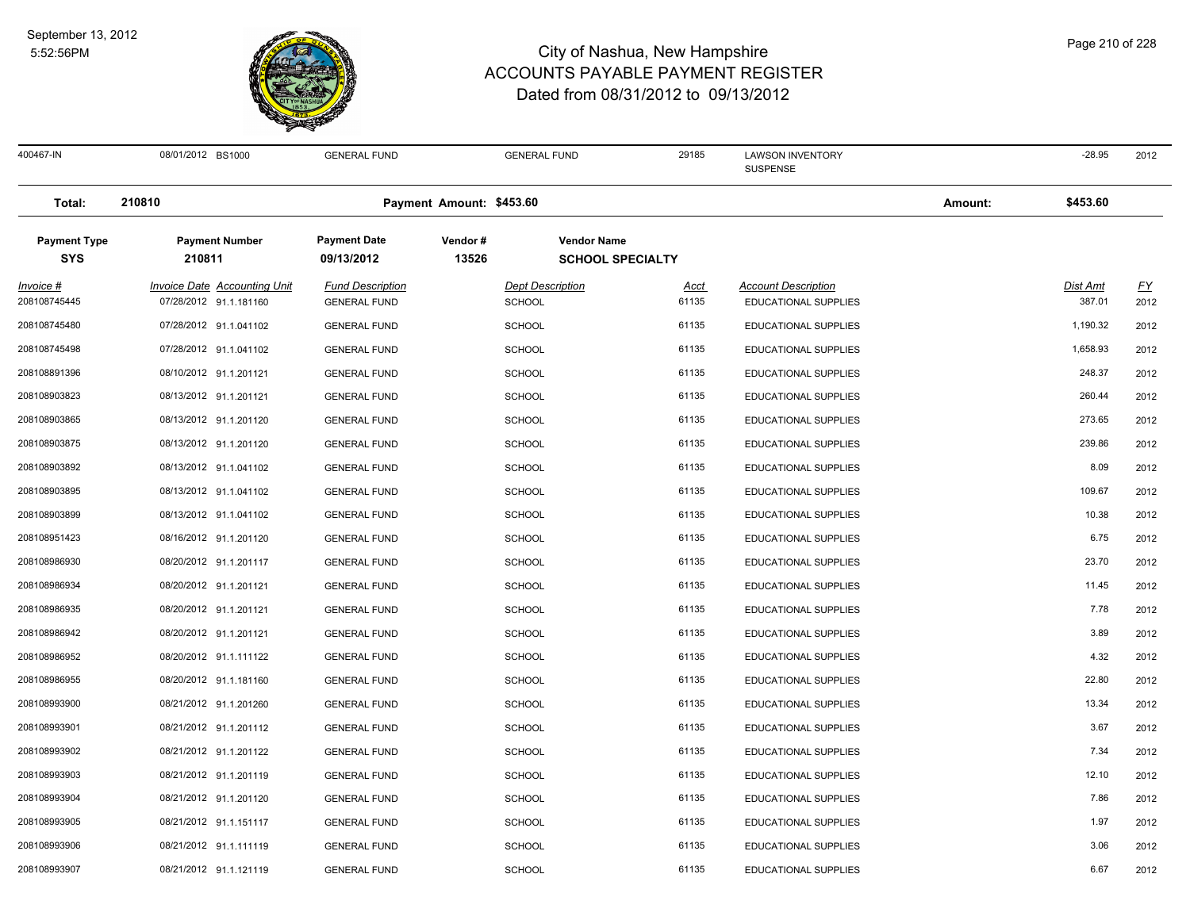

08/01/2012 BS1000 GENERAL FUND GENERAL FUND 29185 LAWSON INVENTORY -28.95 2012 SUSPENSE 400467-IN 08/01/2012 BS1000 GENERAL FUND 29185 LAWSON INVENTORY -28.95 **Total: 210810 Payment Amount: \$453.60 Amount: \$453.60 Payment Type Payment Number Payment Date Vendor # Vendor Name SYS 09/13/2012** *Invoice # Invoice Date Accounting Unit Fund Description Dept Description Acct Account Description Dist Amt FY*  **210811 13526 SCHOOL SPECIALTY** 07/28/2012 91.1.181160 GENERAL FUND SCHOOL 61135 EDUCATIONAL SUPPLIES 387.01 2012 07/28/2012 91.1.041102 GENERAL FUND SCHOOL 61135 EDUCATIONAL SUPPLIES 1,190.32 2012 07/28/2012 91.1.041102 GENERAL FUND SCHOOL 61135 EDUCATIONAL SUPPLIES 1,658.93 2012 08/10/2012 91.1.201121 GENERAL FUND SCHOOL 61135 EDUCATIONAL SUPPLIES 248.37 2012 08/13/2012 91.1.201121 GENERAL FUND SCHOOL 61135 EDUCATIONAL SUPPLIES 260.44 2012 08/13/2012 91.1.201120 GENERAL FUND SCHOOL 61135 EDUCATIONAL SUPPLIES 273.65 2012 08/13/2012 91.1.201120 GENERAL FUND SCHOOL 61135 EDUCATIONAL SUPPLIES 239.86 2012 08/13/2012 91.1.041102 GENERAL FUND SCHOOL 61135 EDUCATIONAL SUPPLIES 8.09 2012 08/13/2012 91.1.041102 GENERAL FUND SCHOOL 61135 EDUCATIONAL SUPPLIES 109.67 2012 08/13/2012 91.1.041102 GENERAL FUND SCHOOL 61135 EDUCATIONAL SUPPLIES 10.38 2012 08/16/2012 91.1.201120 GENERAL FUND SCHOOL 61135 EDUCATIONAL SUPPLIES 6.75 2012 08/20/2012 91.1.201117 GENERAL FUND SCHOOL 61135 EDUCATIONAL SUPPLIES 23.70 2012 08/20/2012 91.1.201121 GENERAL FUND SCHOOL 61135 EDUCATIONAL SUPPLIES 11.45 2012 08/20/2012 91.1.201121 GENERAL FUND SCHOOL 61135 EDUCATIONAL SUPPLIES 7.78 2012 08/20/2012 91.1.201121 GENERAL FUND SCHOOL 61135 EDUCATIONAL SUPPLIES 3.89 2012 08/20/2012 91.1.111122 GENERAL FUND SCHOOL 61135 EDUCATIONAL SUPPLIES 4.32 2012 08/20/2012 91.1.181160 GENERAL FUND SCHOOL 61135 EDUCATIONAL SUPPLIES 22.80 2012 08/21/2012 91.1.201260 GENERAL FUND SCHOOL 61135 EDUCATIONAL SUPPLIES 13.34 2012 08/21/2012 91.1.201112 GENERAL FUND SCHOOL 61135 EDUCATIONAL SUPPLIES 3.67 2012 08/21/2012 91.1.201122 GENERAL FUND SCHOOL 61135 EDUCATIONAL SUPPLIES 7.34 2012 08/21/2012 91.1.201119 GENERAL FUND SCHOOL 61135 EDUCATIONAL SUPPLIES 12.10 2012 08/21/2012 91.1.201120 GENERAL FUND SCHOOL 61135 EDUCATIONAL SUPPLIES 7.86 2012 08/21/2012 91.1.151117 GENERAL FUND SCHOOL 61135 EDUCATIONAL SUPPLIES 1.97 2012 08/21/2012 91.1.111119 GENERAL FUND SCHOOL 61135 EDUCATIONAL SUPPLIES 3.06 2012 08/21/2012 91.1.121119 GENERAL FUND SCHOOL 61135 EDUCATIONAL SUPPLIES 6.67 2012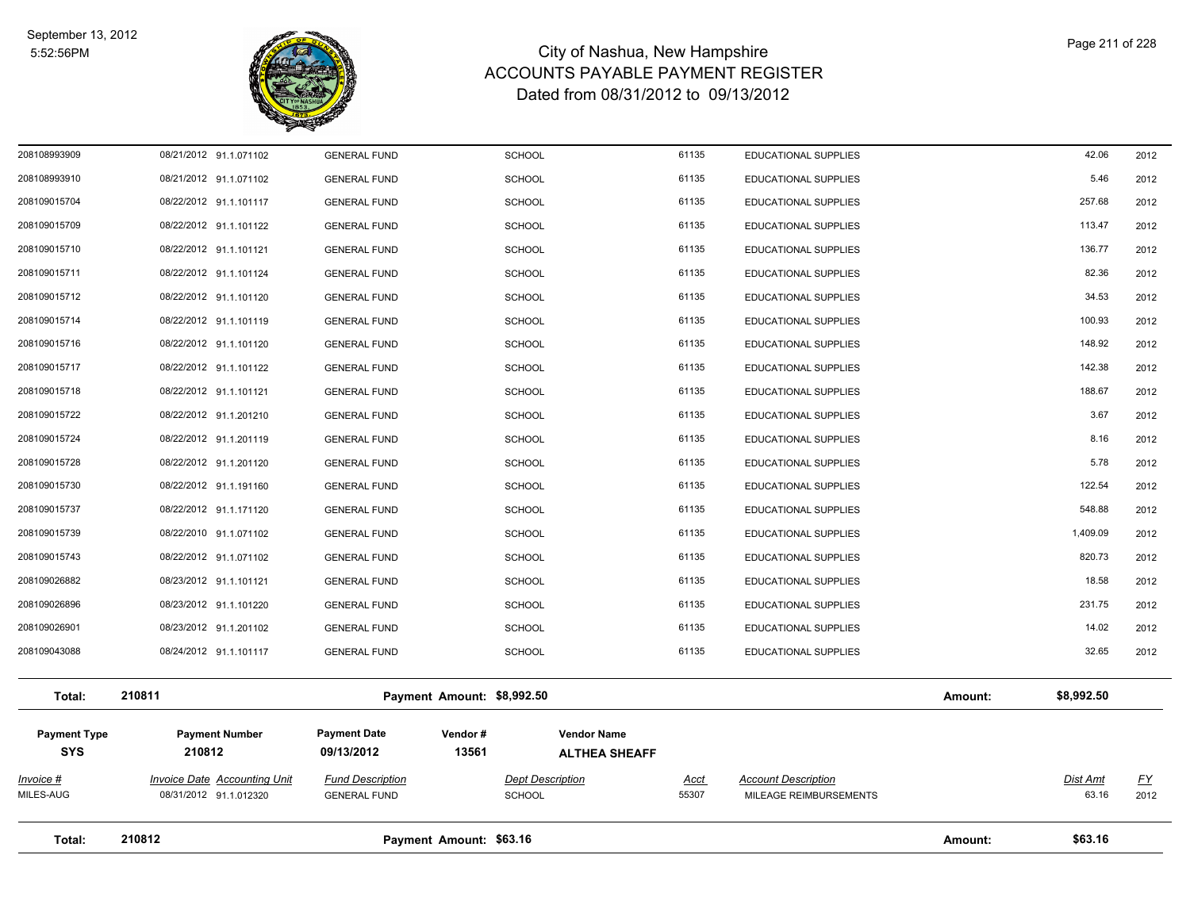

| Total:                            | 210812                                                        |                                                | Payment Amount: \$63.16                  |                                            |                                                      | Amount: | \$63.16           |                   |
|-----------------------------------|---------------------------------------------------------------|------------------------------------------------|------------------------------------------|--------------------------------------------|------------------------------------------------------|---------|-------------------|-------------------|
| Invoice #<br>MILES-AUG            | <b>Invoice Date Accounting Unit</b><br>08/31/2012 91.1.012320 | <b>Fund Description</b><br><b>GENERAL FUND</b> | <b>Dept Description</b><br><b>SCHOOL</b> | <u>Acct</u><br>55307                       | <b>Account Description</b><br>MILEAGE REIMBURSEMENTS |         | Dist Amt<br>63.16 | <u>FY</u><br>2012 |
| <b>Payment Type</b><br><b>SYS</b> | <b>Payment Number</b><br>210812                               | <b>Payment Date</b><br>09/13/2012              | Vendor#<br>13561                         | <b>Vendor Name</b><br><b>ALTHEA SHEAFF</b> |                                                      |         |                   |                   |
| Total:                            | 210811                                                        |                                                | Payment Amount: \$8,992.50               |                                            |                                                      | Amount: | \$8,992.50        |                   |
| 208109043088                      | 08/24/2012 91.1.101117                                        | <b>GENERAL FUND</b>                            | <b>SCHOOL</b>                            | 61135                                      | EDUCATIONAL SUPPLIES                                 |         | 32.65             | 2012              |
| 208109026901                      | 08/23/2012 91.1.201102                                        | <b>GENERAL FUND</b>                            | <b>SCHOOL</b>                            | 61135                                      | EDUCATIONAL SUPPLIES                                 |         | 14.02             | 2012              |
| 208109026896                      | 08/23/2012 91.1.101220                                        | <b>GENERAL FUND</b>                            | <b>SCHOOL</b>                            | 61135                                      | EDUCATIONAL SUPPLIES                                 |         | 231.75            | 2012              |
| 208109026882                      | 08/23/2012 91.1.101121                                        | <b>GENERAL FUND</b>                            | <b>SCHOOL</b>                            | 61135                                      | EDUCATIONAL SUPPLIES                                 |         | 18.58             | 2012              |
| 208109015743                      | 08/22/2012 91.1.071102                                        | <b>GENERAL FUND</b>                            | <b>SCHOOL</b>                            | 61135                                      | EDUCATIONAL SUPPLIES                                 |         | 820.73            | 2012              |
| 208109015739                      | 08/22/2010 91.1.071102                                        | <b>GENERAL FUND</b>                            | <b>SCHOOL</b>                            | 61135                                      | EDUCATIONAL SUPPLIES                                 |         | 1,409.09          | 2012              |
| 208109015737                      | 08/22/2012 91.1.171120                                        | <b>GENERAL FUND</b>                            | <b>SCHOOL</b>                            | 61135                                      | EDUCATIONAL SUPPLIES                                 |         | 548.88            | 2012              |
| 208109015730                      | 08/22/2012 91.1.191160                                        | <b>GENERAL FUND</b>                            | <b>SCHOOL</b>                            | 61135                                      | EDUCATIONAL SUPPLIES                                 |         | 122.54            | 2012              |
| 208109015728                      | 08/22/2012 91.1.201120                                        | <b>GENERAL FUND</b>                            | <b>SCHOOL</b>                            | 61135                                      | EDUCATIONAL SUPPLIES                                 |         | 5.78              | 2012              |
| 208109015724                      | 08/22/2012 91.1.201119                                        | <b>GENERAL FUND</b>                            | <b>SCHOOL</b>                            | 61135                                      | EDUCATIONAL SUPPLIES                                 |         | 8.16              | 2012              |
| 208109015722                      | 08/22/2012 91.1.201210                                        | <b>GENERAL FUND</b>                            | <b>SCHOOL</b>                            | 61135                                      | <b>EDUCATIONAL SUPPLIES</b>                          |         | 3.67              | 2012              |
| 208109015718                      | 08/22/2012 91.1.101121                                        | <b>GENERAL FUND</b>                            | <b>SCHOOL</b>                            | 61135                                      | EDUCATIONAL SUPPLIES                                 |         | 188.67            | 2012              |
| 208109015717                      | 08/22/2012 91.1.101122                                        | <b>GENERAL FUND</b>                            | <b>SCHOOL</b>                            | 61135                                      | EDUCATIONAL SUPPLIES                                 |         | 142.38            | 2012              |
| 208109015716                      | 08/22/2012 91.1.101120                                        | <b>GENERAL FUND</b>                            | <b>SCHOOL</b>                            | 61135                                      | EDUCATIONAL SUPPLIES                                 |         | 148.92            | 2012              |
| 208109015714                      | 08/22/2012 91.1.101119                                        | <b>GENERAL FUND</b>                            | <b>SCHOOL</b>                            | 61135                                      | EDUCATIONAL SUPPLIES                                 |         | 100.93            | 2012              |
| 208109015712                      | 08/22/2012 91.1.101120                                        | <b>GENERAL FUND</b>                            | <b>SCHOOL</b>                            | 61135                                      | EDUCATIONAL SUPPLIES                                 |         | 34.53             | 2012              |
| 208109015711                      | 08/22/2012 91.1.101124                                        | <b>GENERAL FUND</b>                            | <b>SCHOOL</b>                            | 61135                                      | EDUCATIONAL SUPPLIES                                 |         | 82.36             | 2012              |
| 208109015710                      | 08/22/2012 91.1.101121                                        | <b>GENERAL FUND</b>                            | <b>SCHOOL</b>                            | 61135                                      | EDUCATIONAL SUPPLIES                                 |         | 136.77            | 2012              |
| 208109015709                      | 08/22/2012 91.1.101122                                        | <b>GENERAL FUND</b>                            | <b>SCHOOL</b>                            | 61135                                      | EDUCATIONAL SUPPLIES                                 |         | 113.47            | 2012              |
| 208109015704                      | 08/22/2012 91.1.101117                                        | <b>GENERAL FUND</b>                            | <b>SCHOOL</b>                            | 61135                                      | EDUCATIONAL SUPPLIES                                 |         | 257.68            | 2012              |
| 208108993910                      | 08/21/2012 91.1.071102                                        | <b>GENERAL FUND</b>                            | <b>SCHOOL</b>                            | 61135                                      | EDUCATIONAL SUPPLIES                                 |         | 5.46              | 2012              |
| 208108993909                      | 08/21/2012 91.1.071102                                        | <b>GENERAL FUND</b>                            | <b>SCHOOL</b>                            | 61135                                      | EDUCATIONAL SUPPLIES                                 |         | 42.06             | 2012              |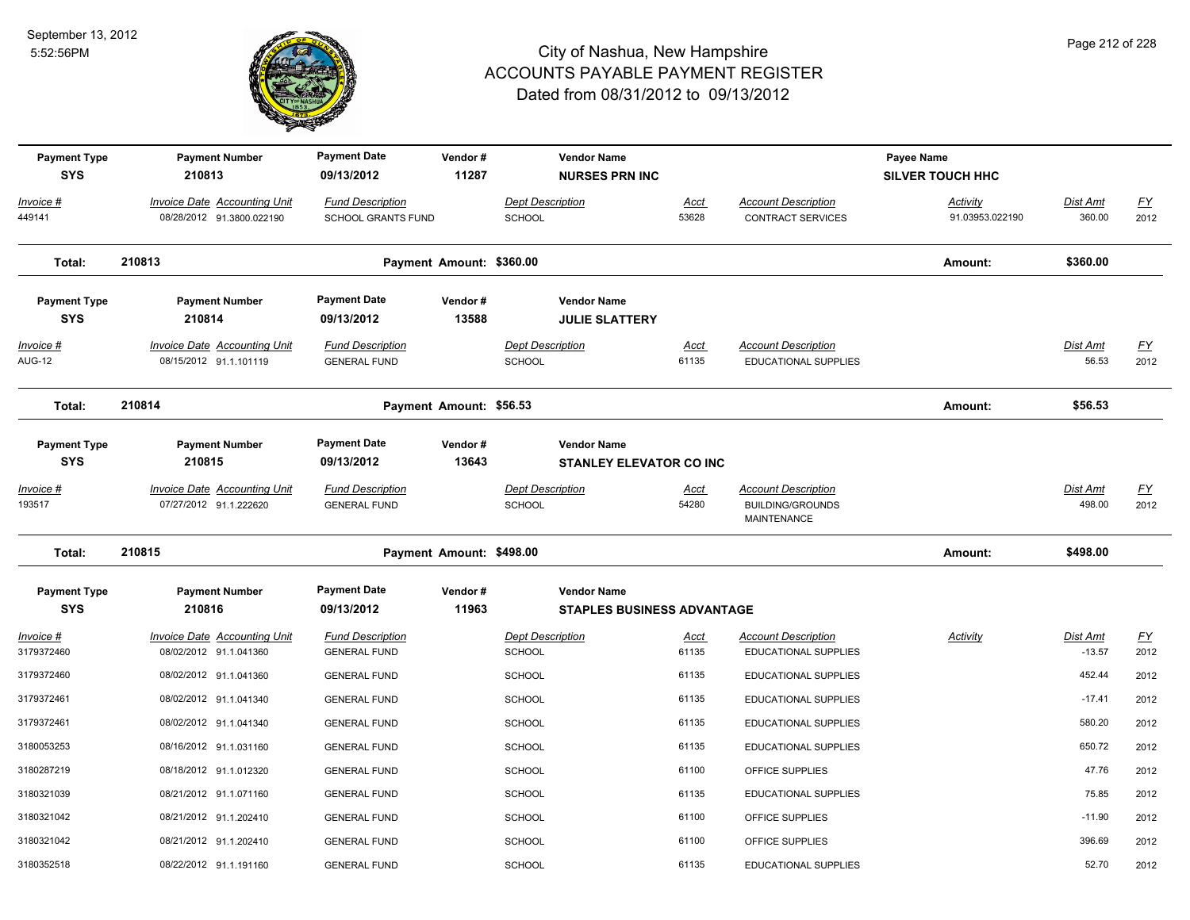

| <b>Payment Type</b><br><b>SYS</b> | <b>Payment Number</b><br>210813                               | <b>Payment Date</b><br>09/13/2012                    | Vendor#<br>11287         | <b>Vendor Name</b><br><b>NURSES PRN INC</b>          |                      |                                                                      | Payee Name<br><b>SILVER TOUCH HHC</b> |                           |                                   |
|-----------------------------------|---------------------------------------------------------------|------------------------------------------------------|--------------------------|------------------------------------------------------|----------------------|----------------------------------------------------------------------|---------------------------------------|---------------------------|-----------------------------------|
| Invoice #<br>449141               | Invoice Date Accounting Unit<br>08/28/2012 91.3800.022190     | <b>Fund Description</b><br><b>SCHOOL GRANTS FUND</b> |                          | <b>Dept Description</b><br><b>SCHOOL</b>             | Acct<br>53628        | <b>Account Description</b><br><b>CONTRACT SERVICES</b>               | Activity<br>91.03953.022190           | Dist Amt<br>360.00        | $\underline{FY}$<br>2012          |
| Total:                            | 210813                                                        |                                                      | Payment Amount: \$360.00 |                                                      |                      |                                                                      | Amount:                               | \$360.00                  |                                   |
| <b>Payment Type</b><br><b>SYS</b> | <b>Payment Number</b><br>210814                               | <b>Payment Date</b><br>09/13/2012                    | Vendor#<br>13588         | <b>Vendor Name</b><br><b>JULIE SLATTERY</b>          |                      |                                                                      |                                       |                           |                                   |
| Invoice #<br><b>AUG-12</b>        | <b>Invoice Date Accounting Unit</b><br>08/15/2012 91.1.101119 | <b>Fund Description</b><br><b>GENERAL FUND</b>       |                          | <b>Dept Description</b><br><b>SCHOOL</b>             | <b>Acct</b><br>61135 | <b>Account Description</b><br><b>EDUCATIONAL SUPPLIES</b>            |                                       | Dist Amt<br>56.53         | $\underline{FY}$<br>2012          |
| Total:                            | 210814                                                        |                                                      | Payment Amount: \$56.53  |                                                      |                      |                                                                      | Amount:                               | \$56.53                   |                                   |
| <b>Payment Type</b><br><b>SYS</b> | <b>Payment Number</b><br>210815                               | <b>Payment Date</b><br>09/13/2012                    | Vendor#<br>13643         | <b>Vendor Name</b><br><b>STANLEY ELEVATOR CO INC</b> |                      |                                                                      |                                       |                           |                                   |
| Invoice #<br>193517               | <b>Invoice Date Accounting Unit</b><br>07/27/2012 91.1.222620 | <b>Fund Description</b><br><b>GENERAL FUND</b>       |                          | <b>Dept Description</b><br><b>SCHOOL</b>             | <u>Acct</u><br>54280 | <b>Account Description</b><br><b>BUILDING/GROUNDS</b><br>MAINTENANCE |                                       | <b>Dist Amt</b><br>498.00 | <u>FY</u><br>2012                 |
| Total:                            | 210815                                                        |                                                      | Payment Amount: \$498.00 |                                                      |                      |                                                                      | Amount:                               | \$498.00                  |                                   |
| <b>Payment Type</b><br><b>SYS</b> | <b>Payment Number</b><br>210816                               | <b>Payment Date</b><br>09/13/2012                    | Vendor#<br>11963         | <b>Vendor Name</b><br>STAPLES BUSINESS ADVANTAGE     |                      |                                                                      |                                       |                           |                                   |
| Invoice #<br>3179372460           | <b>Invoice Date Accounting Unit</b><br>08/02/2012 91.1.041360 | <b>Fund Description</b><br><b>GENERAL FUND</b>       |                          | <b>Dept Description</b><br><b>SCHOOL</b>             | <u>Acct</u><br>61135 | <b>Account Description</b><br>EDUCATIONAL SUPPLIES                   | <b>Activity</b>                       | Dist Amt<br>$-13.57$      | $\underline{\mathsf{FY}}$<br>2012 |
| 3179372460                        | 08/02/2012 91.1.041360                                        | <b>GENERAL FUND</b>                                  |                          | <b>SCHOOL</b>                                        | 61135                | EDUCATIONAL SUPPLIES                                                 |                                       | 452.44                    | 2012                              |
| 3179372461                        | 08/02/2012 91.1.041340                                        | <b>GENERAL FUND</b>                                  |                          | <b>SCHOOL</b>                                        | 61135                | EDUCATIONAL SUPPLIES                                                 |                                       | $-17.41$                  | 2012                              |
| 3179372461                        | 08/02/2012 91.1.041340                                        | <b>GENERAL FUND</b>                                  |                          | <b>SCHOOL</b>                                        | 61135                | EDUCATIONAL SUPPLIES                                                 |                                       | 580.20                    | 2012                              |
| 3180053253                        | 08/16/2012 91.1.031160                                        | <b>GENERAL FUND</b>                                  |                          | <b>SCHOOL</b>                                        | 61135                | EDUCATIONAL SUPPLIES                                                 |                                       | 650.72                    | 2012                              |
| 3180287219                        | 08/18/2012 91.1.012320                                        | <b>GENERAL FUND</b>                                  |                          | <b>SCHOOL</b>                                        | 61100                | OFFICE SUPPLIES                                                      |                                       | 47.76                     | 2012                              |
| 3180321039                        | 08/21/2012 91.1.071160                                        | <b>GENERAL FUND</b>                                  |                          | <b>SCHOOL</b>                                        | 61135                | <b>EDUCATIONAL SUPPLIES</b>                                          |                                       | 75.85                     | 2012                              |
| 3180321042                        | 08/21/2012 91.1.202410                                        | <b>GENERAL FUND</b>                                  |                          | <b>SCHOOL</b>                                        | 61100                | OFFICE SUPPLIES                                                      |                                       | $-11.90$                  | 2012                              |
| 3180321042                        | 08/21/2012 91.1.202410                                        | <b>GENERAL FUND</b>                                  |                          | <b>SCHOOL</b>                                        | 61100                | OFFICE SUPPLIES                                                      |                                       | 396.69                    | 2012                              |
| 3180352518                        | 08/22/2012 91.1.191160                                        | <b>GENERAL FUND</b>                                  |                          | <b>SCHOOL</b>                                        | 61135                | <b>EDUCATIONAL SUPPLIES</b>                                          |                                       | 52.70                     | 2012                              |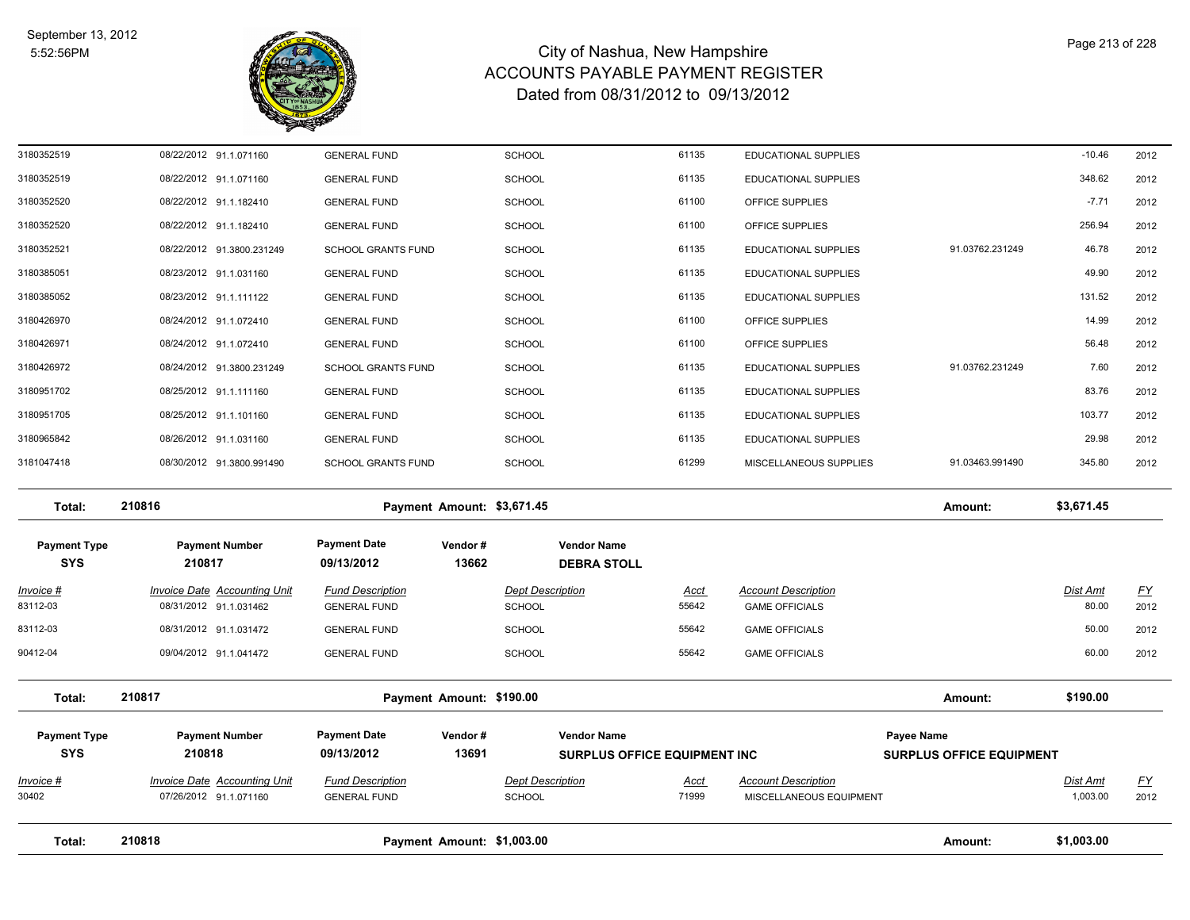

| Total:                            | 210818                                                        | Payment Amount: \$1,003.00                     |                          |                                          |                                                           |                      |                                                       | Amount:                                       | \$1,003.00           |                          |
|-----------------------------------|---------------------------------------------------------------|------------------------------------------------|--------------------------|------------------------------------------|-----------------------------------------------------------|----------------------|-------------------------------------------------------|-----------------------------------------------|----------------------|--------------------------|
|                                   |                                                               |                                                |                          |                                          |                                                           |                      |                                                       |                                               |                      |                          |
| <u>Invoice #</u><br>30402         | <b>Invoice Date Accounting Unit</b><br>07/26/2012 91.1.071160 | <b>Fund Description</b><br><b>GENERAL FUND</b> |                          | <b>Dept Description</b><br><b>SCHOOL</b> |                                                           | <u>Acct</u><br>71999 | <b>Account Description</b><br>MISCELLANEOUS EQUIPMENT |                                               | Dist Amt<br>1,003.00 | <u>FY</u><br>2012        |
| <b>Payment Type</b><br><b>SYS</b> | <b>Payment Number</b><br>210818                               | <b>Payment Date</b><br>09/13/2012              | Vendor#<br>13691         |                                          | <b>Vendor Name</b><br><b>SURPLUS OFFICE EQUIPMENT INC</b> |                      |                                                       | Payee Name<br><b>SURPLUS OFFICE EQUIPMENT</b> |                      |                          |
| Total:                            | 210817                                                        |                                                | Payment Amount: \$190.00 |                                          |                                                           |                      |                                                       | Amount:                                       | \$190.00             |                          |
| 90412-04                          | 09/04/2012 91.1.041472                                        | <b>GENERAL FUND</b>                            |                          | <b>SCHOOL</b>                            |                                                           | 55642                | <b>GAME OFFICIALS</b>                                 |                                               | 60.00                | 2012                     |
| 83112-03                          | 08/31/2012 91.1.031472                                        | <b>GENERAL FUND</b>                            |                          | <b>SCHOOL</b>                            |                                                           | 55642                | <b>GAME OFFICIALS</b>                                 |                                               | 50.00                | 2012                     |
| <u>Invoice #</u><br>83112-03      | <b>Invoice Date Accounting Unit</b><br>08/31/2012 91.1.031462 | <b>Fund Description</b><br><b>GENERAL FUND</b> |                          | <b>Dept Description</b><br>SCHOOL        |                                                           | <u>Acct</u><br>55642 | <b>Account Description</b><br><b>GAME OFFICIALS</b>   |                                               | Dist Amt<br>80.00    | $\underline{FY}$<br>2012 |
| <b>Payment Type</b><br><b>SYS</b> | <b>Payment Number</b><br>210817                               | <b>Payment Date</b><br>09/13/2012              | Vendor#<br>13662         |                                          | <b>Vendor Name</b><br><b>DEBRA STOLL</b>                  |                      |                                                       |                                               |                      |                          |
| Total:                            | 210816                                                        | Payment Amount: \$3,671.45                     |                          |                                          |                                                           |                      |                                                       | Amount:                                       | \$3,671.45           |                          |
| 3181047418                        | 08/30/2012 91.3800.991490                                     | <b>SCHOOL GRANTS FUND</b>                      |                          | <b>SCHOOL</b>                            |                                                           | 61299                | MISCELLANEOUS SUPPLIES                                | 91.03463.991490                               | 345.80               | 2012                     |
| 3180965842                        | 08/26/2012 91.1.031160                                        | <b>GENERAL FUND</b>                            |                          | <b>SCHOOL</b>                            |                                                           | 61135                | EDUCATIONAL SUPPLIES                                  |                                               | 29.98                | 2012                     |
| 3180951705                        | 08/25/2012 91.1.101160                                        | <b>GENERAL FUND</b>                            |                          | <b>SCHOOL</b>                            |                                                           | 61135                | <b>EDUCATIONAL SUPPLIES</b>                           |                                               | 103.77               | 2012                     |
| 3180951702                        | 08/25/2012 91.1.111160                                        | <b>GENERAL FUND</b>                            |                          | <b>SCHOOL</b>                            |                                                           | 61135                | EDUCATIONAL SUPPLIES                                  |                                               | 83.76                | 2012                     |
| 3180426972                        | 08/24/2012 91.3800.231249                                     | <b>SCHOOL GRANTS FUND</b>                      |                          | <b>SCHOOL</b>                            |                                                           | 61135                | EDUCATIONAL SUPPLIES                                  | 91.03762.231249                               | 7.60                 | 2012                     |
| 3180426971                        | 08/24/2012 91.1.072410                                        | <b>GENERAL FUND</b>                            |                          | <b>SCHOOL</b>                            |                                                           | 61100                | OFFICE SUPPLIES                                       |                                               | 56.48                | 2012                     |
| 3180426970                        | 08/24/2012 91.1.072410                                        | <b>GENERAL FUND</b>                            |                          | <b>SCHOOL</b>                            |                                                           | 61100                | OFFICE SUPPLIES                                       |                                               | 14.99                | 2012                     |
| 3180385052                        | 08/23/2012 91.1.111122                                        | <b>GENERAL FUND</b>                            |                          | <b>SCHOOL</b>                            |                                                           | 61135                | EDUCATIONAL SUPPLIES                                  |                                               | 131.52               | 2012                     |
| 3180385051                        | 08/23/2012 91.1.031160                                        | <b>GENERAL FUND</b>                            |                          | SCHOOL                                   |                                                           | 61135                | EDUCATIONAL SUPPLIES                                  |                                               | 49.90                | 2012                     |
| 3180352521                        | 08/22/2012 91.3800.231249                                     | <b>SCHOOL GRANTS FUND</b>                      |                          | <b>SCHOOL</b>                            |                                                           | 61135                | EDUCATIONAL SUPPLIES                                  | 91.03762.231249                               | 46.78                | 2012                     |
| 3180352520                        | 08/22/2012 91.1.182410                                        | <b>GENERAL FUND</b>                            |                          | <b>SCHOOL</b>                            |                                                           | 61100                | OFFICE SUPPLIES                                       |                                               | 256.94               | 2012                     |
| 3180352520                        | 08/22/2012 91.1.182410                                        | <b>GENERAL FUND</b>                            |                          | <b>SCHOOL</b>                            |                                                           | 61100                | OFFICE SUPPLIES                                       |                                               | $-7.71$              | 2012                     |
| 3180352519                        | 08/22/2012 91.1.071160                                        | <b>GENERAL FUND</b>                            |                          | SCHOOL                                   |                                                           | 61135                | <b>EDUCATIONAL SUPPLIES</b>                           |                                               | 348.62               | 2012                     |
| 3180352519                        | 08/22/2012 91.1.071160                                        | <b>GENERAL FUND</b>                            |                          | <b>SCHOOL</b>                            |                                                           | 61135                | EDUCATIONAL SUPPLIES                                  |                                               | $-10.46$             | 2012                     |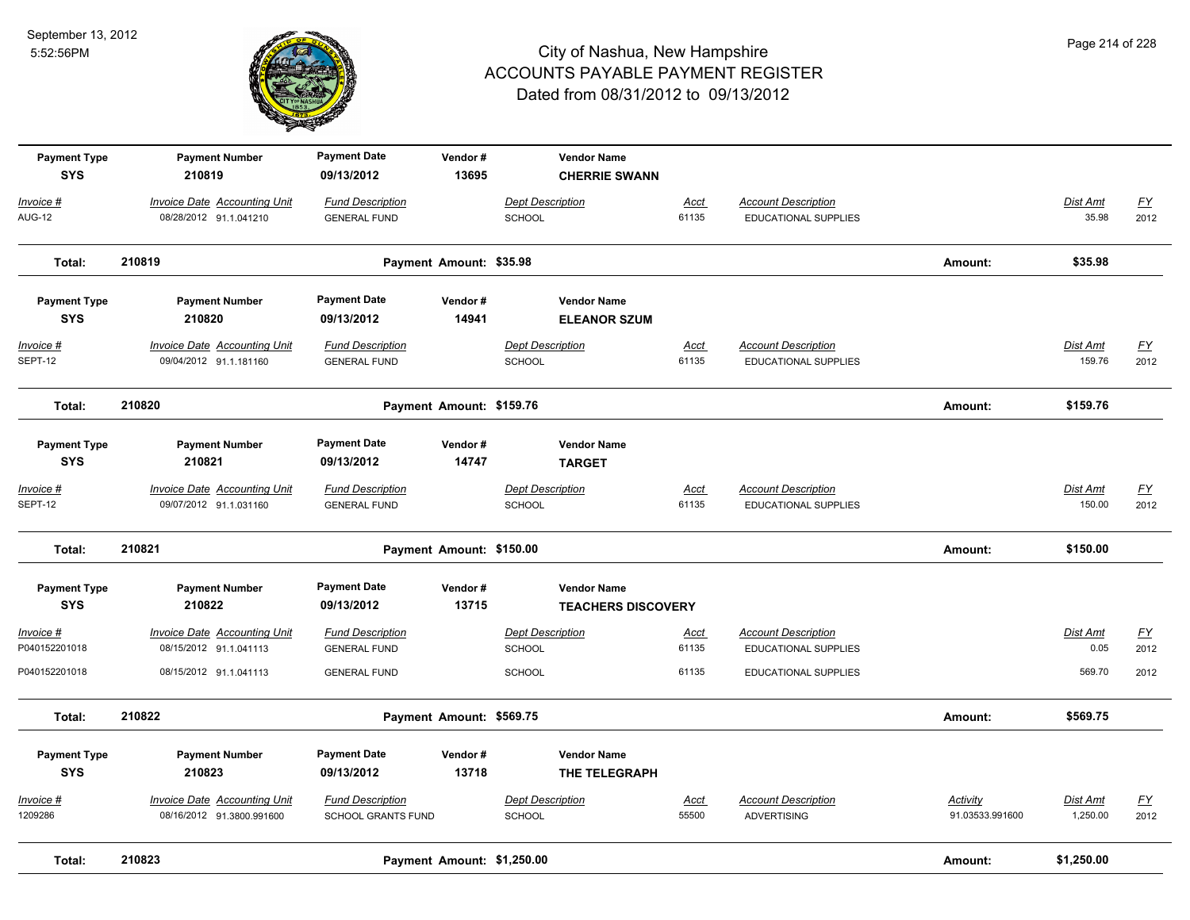

| <b>Payment Type</b><br><b>SYS</b> | <b>Payment Number</b><br>210819                                  | <b>Payment Date</b><br>09/13/2012                    | Vendor#<br>13695           | <b>Vendor Name</b><br><b>CHERRIE SWANN</b>      |                      |                                                           |                                    |                      |                                   |
|-----------------------------------|------------------------------------------------------------------|------------------------------------------------------|----------------------------|-------------------------------------------------|----------------------|-----------------------------------------------------------|------------------------------------|----------------------|-----------------------------------|
| Invoice #<br><b>AUG-12</b>        | <b>Invoice Date Accounting Unit</b><br>08/28/2012 91.1.041210    | <b>Fund Description</b><br><b>GENERAL FUND</b>       |                            | <b>Dept Description</b><br>SCHOOL               | Acct<br>61135        | <b>Account Description</b><br>EDUCATIONAL SUPPLIES        |                                    | Dist Amt<br>35.98    | <u>FY</u><br>2012                 |
| Total:                            | 210819                                                           |                                                      | Payment Amount: \$35.98    |                                                 |                      |                                                           | Amount:                            | \$35.98              |                                   |
| <b>Payment Type</b><br><b>SYS</b> | <b>Payment Number</b><br>210820                                  | <b>Payment Date</b><br>09/13/2012                    | Vendor#<br>14941           | <b>Vendor Name</b><br><b>ELEANOR SZUM</b>       |                      |                                                           |                                    |                      |                                   |
| <u> Invoice #</u><br>SEPT-12      | <b>Invoice Date Accounting Unit</b><br>09/04/2012 91.1.181160    | <b>Fund Description</b><br><b>GENERAL FUND</b>       |                            | <b>Dept Description</b><br><b>SCHOOL</b>        | Acct<br>61135        | <b>Account Description</b><br><b>EDUCATIONAL SUPPLIES</b> |                                    | Dist Amt<br>159.76   | $\underline{FY}$<br>2012          |
| Total:                            | 210820                                                           |                                                      | Payment Amount: \$159.76   |                                                 |                      |                                                           | Amount:                            | \$159.76             |                                   |
| <b>Payment Type</b><br><b>SYS</b> | <b>Payment Number</b><br>210821                                  | <b>Payment Date</b><br>09/13/2012                    | Vendor#<br>14747           | <b>Vendor Name</b><br><b>TARGET</b>             |                      |                                                           |                                    |                      |                                   |
| <u>Invoice #</u><br>SEPT-12       | <b>Invoice Date Accounting Unit</b><br>09/07/2012 91.1.031160    | <b>Fund Description</b><br><b>GENERAL FUND</b>       |                            | <b>Dept Description</b><br><b>SCHOOL</b>        | <u>Acct</u><br>61135 | <b>Account Description</b><br><b>EDUCATIONAL SUPPLIES</b> |                                    | Dist Amt<br>150.00   | $\underline{\mathsf{FY}}$<br>2012 |
| Total:                            | 210821                                                           |                                                      | Payment Amount: \$150.00   |                                                 |                      |                                                           | Amount:                            | \$150.00             |                                   |
| <b>Payment Type</b><br><b>SYS</b> | <b>Payment Number</b><br>210822                                  | <b>Payment Date</b><br>09/13/2012                    | Vendor#<br>13715           | <b>Vendor Name</b><br><b>TEACHERS DISCOVERY</b> |                      |                                                           |                                    |                      |                                   |
| Invoice #<br>P040152201018        | Invoice Date Accounting Unit<br>08/15/2012 91.1.041113           | <b>Fund Description</b><br><b>GENERAL FUND</b>       |                            | <b>Dept Description</b><br><b>SCHOOL</b>        | Acct<br>61135        | <b>Account Description</b><br><b>EDUCATIONAL SUPPLIES</b> |                                    | Dist Amt<br>0.05     | $\underline{\mathsf{FY}}$<br>2012 |
| P040152201018                     | 08/15/2012 91.1.041113                                           | <b>GENERAL FUND</b>                                  |                            | <b>SCHOOL</b>                                   | 61135                | <b>EDUCATIONAL SUPPLIES</b>                               |                                    | 569.70               | 2012                              |
| Total:                            | 210822                                                           |                                                      | Payment Amount: \$569.75   |                                                 |                      |                                                           | Amount:                            | \$569.75             |                                   |
| <b>Payment Type</b><br><b>SYS</b> | <b>Payment Number</b><br>210823                                  | <b>Payment Date</b><br>09/13/2012                    | Vendor#<br>13718           | <b>Vendor Name</b><br>THE TELEGRAPH             |                      |                                                           |                                    |                      |                                   |
| <u> Invoice #</u><br>1209286      | <b>Invoice Date Accounting Unit</b><br>08/16/2012 91.3800.991600 | <b>Fund Description</b><br><b>SCHOOL GRANTS FUND</b> |                            | <b>Dept Description</b><br>SCHOOL               | Acct<br>55500        | <b>Account Description</b><br><b>ADVERTISING</b>          | <b>Activity</b><br>91.03533.991600 | Dist Amt<br>1,250.00 | <u>FY</u><br>2012                 |
| Total:                            | 210823                                                           |                                                      | Payment Amount: \$1,250.00 |                                                 |                      |                                                           | Amount:                            | \$1,250.00           |                                   |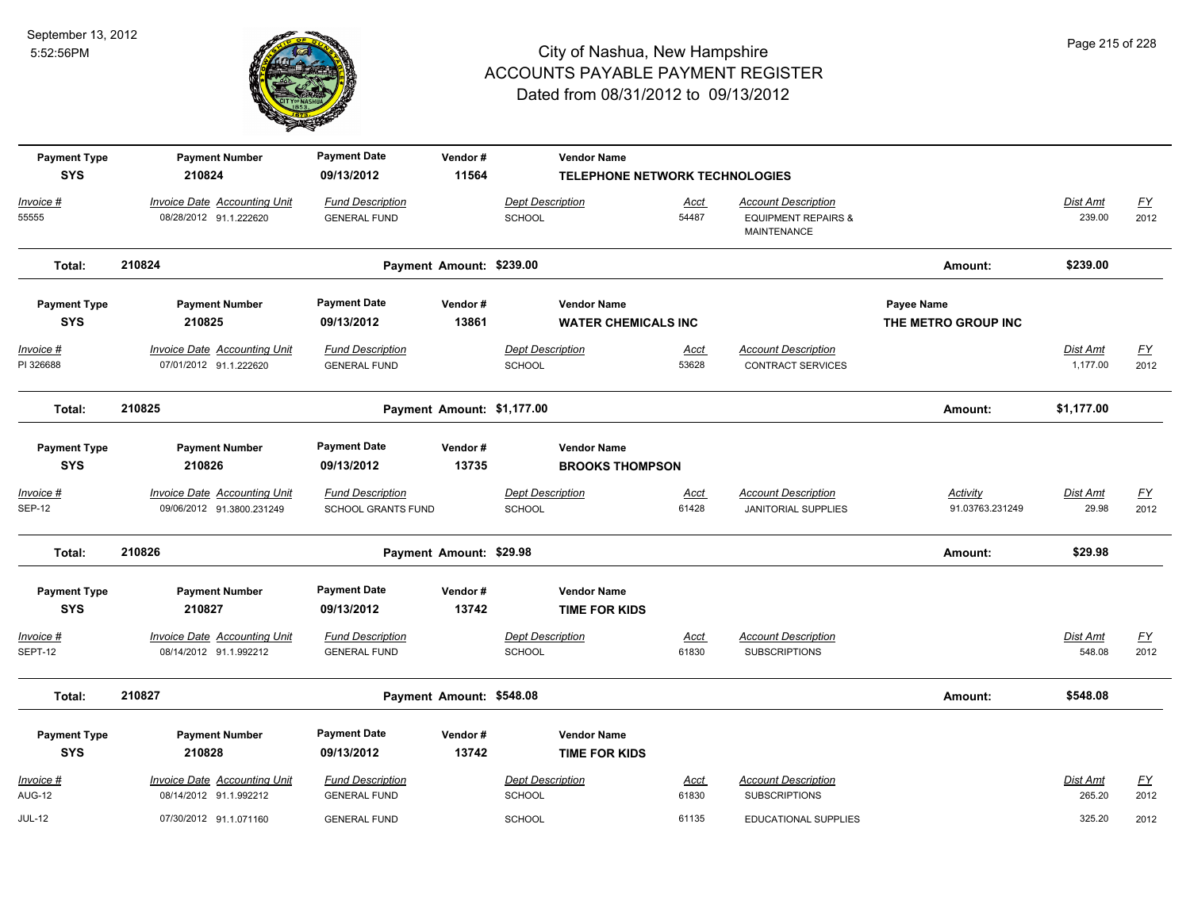

| <b>Payment Type</b>    | <b>Payment Number</b>                                         | <b>Payment Date</b>                            | Vendor#                    | <b>Vendor Name</b>                       |                                |                                                 |                     |                      |                          |
|------------------------|---------------------------------------------------------------|------------------------------------------------|----------------------------|------------------------------------------|--------------------------------|-------------------------------------------------|---------------------|----------------------|--------------------------|
| <b>SYS</b>             | 210824                                                        | 09/13/2012                                     | 11564                      |                                          | TELEPHONE NETWORK TECHNOLOGIES |                                                 |                     |                      |                          |
| Invoice #              | <b>Invoice Date Accounting Unit</b>                           | <b>Fund Description</b>                        |                            | <b>Dept Description</b>                  | <u>Acct</u>                    | <b>Account Description</b>                      |                     | Dist Amt             | $\underline{FY}$         |
| 55555                  | 08/28/2012 91.1.222620                                        | <b>GENERAL FUND</b>                            |                            | <b>SCHOOL</b>                            | 54487                          | <b>EQUIPMENT REPAIRS &amp;</b><br>MAINTENANCE   |                     | 239.00               | 2012                     |
| Total:                 | 210824                                                        |                                                | Payment Amount: \$239.00   |                                          |                                |                                                 | Amount:             | \$239.00             |                          |
| <b>Payment Type</b>    | <b>Payment Number</b>                                         | <b>Payment Date</b>                            | Vendor#                    | <b>Vendor Name</b>                       |                                |                                                 | Payee Name          |                      |                          |
| <b>SYS</b>             | 210825                                                        | 09/13/2012                                     | 13861                      | <b>WATER CHEMICALS INC</b>               |                                |                                                 | THE METRO GROUP INC |                      |                          |
| Invoice #<br>PI 326688 | <b>Invoice Date Accounting Unit</b><br>07/01/2012 91.1.222620 | <b>Fund Description</b><br><b>GENERAL FUND</b> |                            | <b>Dept Description</b><br><b>SCHOOL</b> | <u>Acct</u><br>53628           | <b>Account Description</b><br>CONTRACT SERVICES |                     | Dist Amt<br>1,177.00 | $\underline{FY}$<br>2012 |
| Total:                 | 210825                                                        |                                                | Payment Amount: \$1,177.00 |                                          |                                |                                                 | Amount:             | \$1,177.00           |                          |
| <b>Payment Type</b>    | <b>Payment Number</b>                                         | <b>Payment Date</b>                            | Vendor#                    | <b>Vendor Name</b>                       |                                |                                                 |                     |                      |                          |
| <b>SYS</b>             | 210826                                                        | 09/13/2012                                     | 13735                      | <b>BROOKS THOMPSON</b>                   |                                |                                                 |                     |                      |                          |
| $Invoice$ #            | <b>Invoice Date Accounting Unit</b>                           | <b>Fund Description</b>                        |                            | <b>Dept Description</b>                  | <u>Acct</u>                    | <b>Account Description</b>                      | <b>Activity</b>     | <b>Dist Amt</b>      | <u>FY</u>                |
| <b>SEP-12</b>          | 09/06/2012 91.3800.231249                                     | <b>SCHOOL GRANTS FUND</b>                      |                            | SCHOOL                                   | 61428                          | <b>JANITORIAL SUPPLIES</b>                      | 91.03763.231249     | 29.98                | 2012                     |
| Total:                 | 210826                                                        |                                                | Payment Amount: \$29.98    |                                          |                                |                                                 | Amount:             | \$29.98              |                          |
| <b>Payment Type</b>    | <b>Payment Number</b>                                         | <b>Payment Date</b>                            | Vendor#                    | <b>Vendor Name</b>                       |                                |                                                 |                     |                      |                          |
| <b>SYS</b>             | 210827                                                        | 09/13/2012                                     | 13742                      | <b>TIME FOR KIDS</b>                     |                                |                                                 |                     |                      |                          |
| Invoice #              | Invoice Date Accounting Unit                                  | <b>Fund Description</b>                        |                            | <b>Dept Description</b>                  | Acct                           | <b>Account Description</b>                      |                     | Dist Amt             | <u>FY</u>                |
| SEPT-12                | 08/14/2012 91.1.992212                                        | <b>GENERAL FUND</b>                            |                            | <b>SCHOOL</b>                            | 61830                          | <b>SUBSCRIPTIONS</b>                            |                     | 548.08               | 2012                     |
| Total:                 | 210827                                                        |                                                | Payment Amount: \$548.08   |                                          |                                |                                                 | Amount:             | \$548.08             |                          |
| <b>Payment Type</b>    | <b>Payment Number</b>                                         | <b>Payment Date</b>                            | Vendor#                    | <b>Vendor Name</b>                       |                                |                                                 |                     |                      |                          |
| <b>SYS</b>             | 210828                                                        | 09/13/2012                                     | 13742                      | <b>TIME FOR KIDS</b>                     |                                |                                                 |                     |                      |                          |
| Invoice #              | Invoice Date Accounting Unit                                  | <b>Fund Description</b>                        |                            | <b>Dept Description</b>                  | Acct                           | <b>Account Description</b>                      |                     | Dist Amt             | $\underline{FY}$         |
| <b>AUG-12</b>          | 08/14/2012 91.1.992212                                        | <b>GENERAL FUND</b>                            |                            | <b>SCHOOL</b>                            | 61830                          | <b>SUBSCRIPTIONS</b>                            |                     | 265.20               | 2012                     |
| <b>JUL-12</b>          | 07/30/2012 91.1.071160                                        | <b>GENERAL FUND</b>                            |                            | <b>SCHOOL</b>                            | 61135                          | <b>EDUCATIONAL SUPPLIES</b>                     |                     | 325.20               | 2012                     |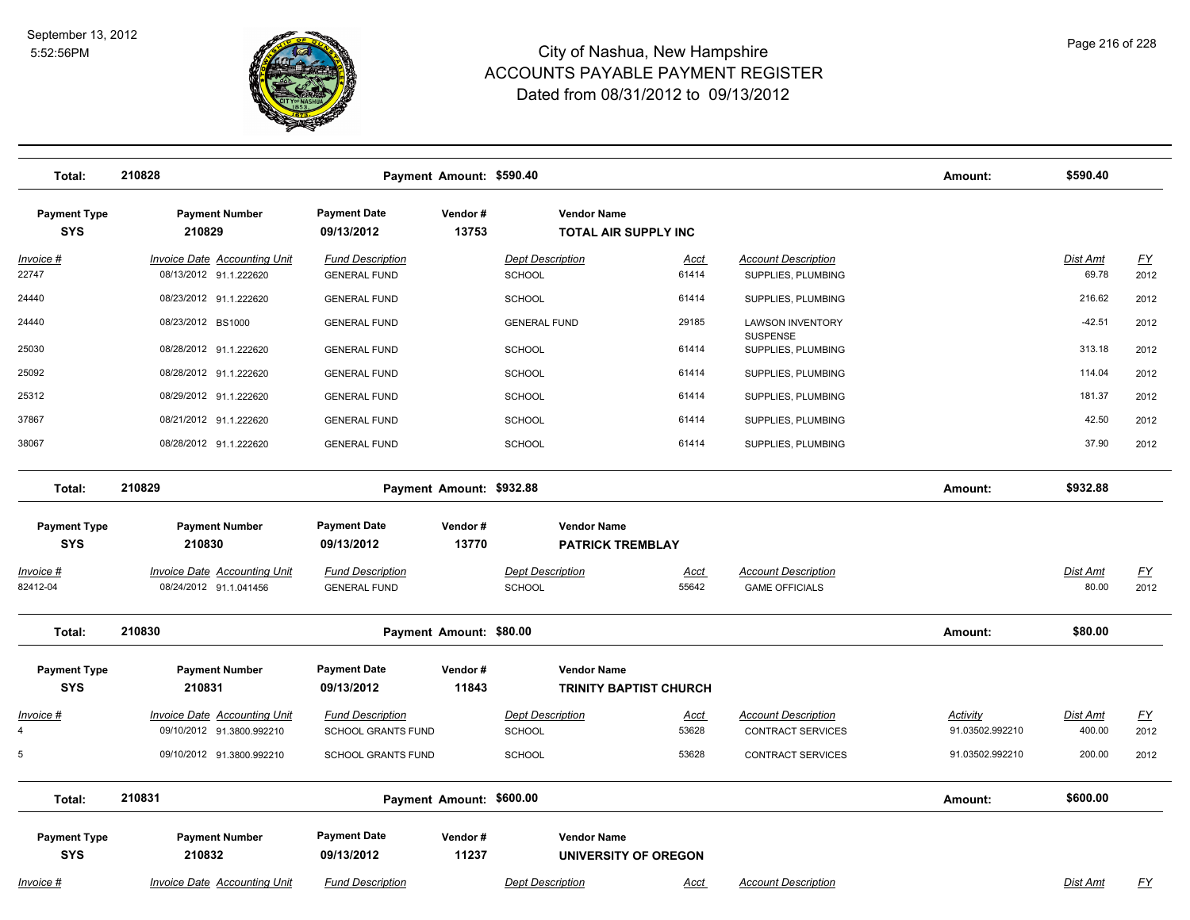

| Total:                            | 210828                                                           |                                                | Payment Amount: \$590.40 |                                               |                               |                                                     | Amount:                     | \$590.40                 |                   |
|-----------------------------------|------------------------------------------------------------------|------------------------------------------------|--------------------------|-----------------------------------------------|-------------------------------|-----------------------------------------------------|-----------------------------|--------------------------|-------------------|
| <b>Payment Type</b><br><b>SYS</b> | <b>Payment Number</b><br>210829                                  | <b>Payment Date</b><br>09/13/2012              | Vendor#<br>13753         | <b>Vendor Name</b>                            | <b>TOTAL AIR SUPPLY INC</b>   |                                                     |                             |                          |                   |
| Invoice #                         | <b>Invoice Date Accounting Unit</b>                              | <b>Fund Description</b>                        |                          | <b>Dept Description</b>                       | Acct                          | <b>Account Description</b>                          |                             | <b>Dist Amt</b>          | <u>FY</u>         |
| 22747                             | 08/13/2012 91.1.222620                                           | <b>GENERAL FUND</b>                            |                          | <b>SCHOOL</b>                                 | 61414                         | SUPPLIES, PLUMBING                                  |                             | 69.78                    | 2012              |
| 24440                             | 08/23/2012 91.1.222620                                           | <b>GENERAL FUND</b>                            |                          | <b>SCHOOL</b>                                 | 61414                         | SUPPLIES, PLUMBING                                  |                             | 216.62                   | 2012              |
| 24440                             | 08/23/2012 BS1000                                                | <b>GENERAL FUND</b>                            |                          | <b>GENERAL FUND</b>                           | 29185                         | <b>LAWSON INVENTORY</b>                             |                             | $-42.51$                 | 2012              |
| 25030                             | 08/28/2012 91.1.222620                                           | <b>GENERAL FUND</b>                            |                          | <b>SCHOOL</b>                                 | 61414                         | <b>SUSPENSE</b><br>SUPPLIES, PLUMBING               |                             | 313.18                   | 2012              |
| 25092                             | 08/28/2012 91.1.222620                                           | <b>GENERAL FUND</b>                            |                          | <b>SCHOOL</b>                                 | 61414                         | SUPPLIES, PLUMBING                                  |                             | 114.04                   | 2012              |
| 25312                             | 08/29/2012 91.1.222620                                           | <b>GENERAL FUND</b>                            |                          | <b>SCHOOL</b>                                 | 61414                         | SUPPLIES, PLUMBING                                  |                             | 181.37                   | 2012              |
| 37867                             | 08/21/2012 91.1.222620                                           | <b>GENERAL FUND</b>                            |                          | SCHOOL                                        | 61414                         | SUPPLIES, PLUMBING                                  |                             | 42.50                    | 2012              |
| 38067                             | 08/28/2012 91.1.222620                                           | <b>GENERAL FUND</b>                            |                          | <b>SCHOOL</b>                                 | 61414                         | SUPPLIES, PLUMBING                                  |                             | 37.90                    | 2012              |
| Total:                            | 210829                                                           |                                                | Payment Amount: \$932.88 |                                               |                               |                                                     | Amount:                     | \$932.88                 |                   |
| <b>Payment Type</b><br><b>SYS</b> | <b>Payment Number</b><br>210830                                  | <b>Payment Date</b><br>09/13/2012              | Vendor#<br>13770         | <b>Vendor Name</b><br><b>PATRICK TREMBLAY</b> |                               |                                                     |                             |                          |                   |
| Invoice #<br>82412-04             | <b>Invoice Date Accounting Unit</b><br>08/24/2012 91.1.041456    | <b>Fund Description</b><br><b>GENERAL FUND</b> |                          | <b>Dept Description</b><br><b>SCHOOL</b>      | <u>Acct</u><br>55642          | <b>Account Description</b><br><b>GAME OFFICIALS</b> |                             | <b>Dist Amt</b><br>80.00 | <u>FY</u><br>2012 |
| Total:                            | 210830                                                           |                                                | Payment Amount: \$80.00  |                                               |                               |                                                     | Amount:                     | \$80.00                  |                   |
| <b>Payment Type</b><br><b>SYS</b> | <b>Payment Number</b><br>210831                                  | <b>Payment Date</b><br>09/13/2012              | Vendor#<br>11843         | <b>Vendor Name</b>                            | <b>TRINITY BAPTIST CHURCH</b> |                                                     |                             |                          |                   |
| Invoice #<br>$\overline{4}$       | <b>Invoice Date Accounting Unit</b><br>09/10/2012 91.3800.992210 | <b>Fund Description</b><br>SCHOOL GRANTS FUND  |                          | <b>Dept Description</b><br><b>SCHOOL</b>      | <u>Acct</u><br>53628          | <b>Account Description</b><br>CONTRACT SERVICES     | Activity<br>91.03502.992210 | Dist Amt<br>400.00       | <u>FY</u><br>2012 |
| 5                                 | 09/10/2012 91.3800.992210                                        | <b>SCHOOL GRANTS FUND</b>                      |                          | <b>SCHOOL</b>                                 | 53628                         | CONTRACT SERVICES                                   | 91.03502.992210             | 200.00                   | 2012              |
| Total:                            | 210831                                                           |                                                | Payment Amount: \$600.00 |                                               |                               |                                                     | Amount:                     | \$600.00                 |                   |
| <b>Payment Type</b><br><b>SYS</b> | <b>Payment Number</b><br>210832                                  | <b>Payment Date</b><br>09/13/2012              | Vendor#<br>11237         | <b>Vendor Name</b>                            | UNIVERSITY OF OREGON          |                                                     |                             |                          |                   |
| Invoice #                         | <b>Invoice Date Accounting Unit</b>                              | <b>Fund Description</b>                        |                          | <b>Dept Description</b>                       | Acct                          | <b>Account Description</b>                          |                             | Dist Amt                 | <u>FY</u>         |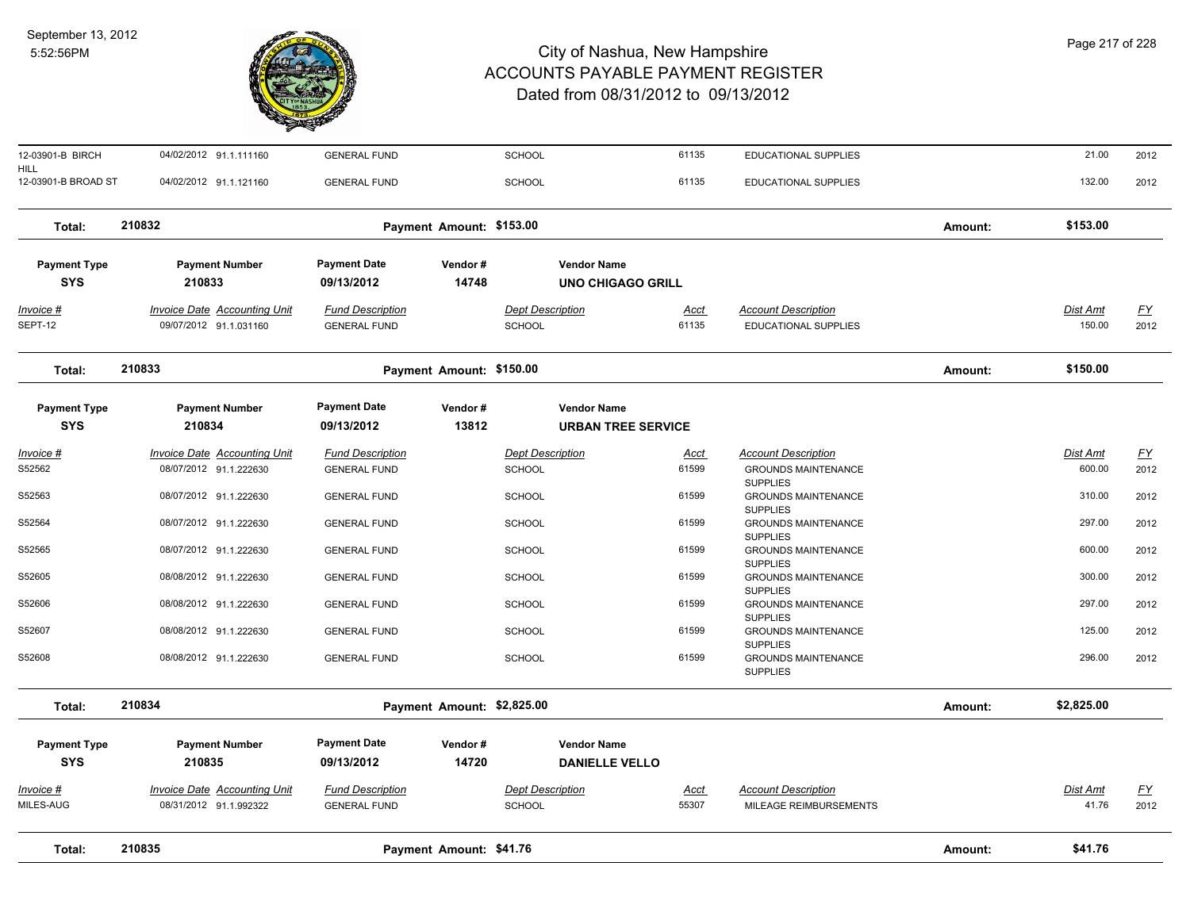

| 12-03901-B BIRCH                  | 04/02/2012 91.1.111160                                        | <b>GENERAL FUND</b>                            |                            | SCHOOL                                          | 61135                | <b>EDUCATIONAL SUPPLIES</b>                                      |         | 21.00                     | 2012              |
|-----------------------------------|---------------------------------------------------------------|------------------------------------------------|----------------------------|-------------------------------------------------|----------------------|------------------------------------------------------------------|---------|---------------------------|-------------------|
| HILL<br>12-03901-B BROAD ST       | 04/02/2012 91.1.121160                                        | <b>GENERAL FUND</b>                            |                            | <b>SCHOOL</b>                                   | 61135                | <b>EDUCATIONAL SUPPLIES</b>                                      |         | 132.00                    | 2012              |
| Total:                            | 210832                                                        |                                                | Payment Amount: \$153.00   |                                                 |                      |                                                                  | Amount: | \$153.00                  |                   |
| <b>Payment Type</b><br><b>SYS</b> | <b>Payment Number</b><br>210833                               | <b>Payment Date</b><br>09/13/2012              | Vendor#<br>14748           | <b>Vendor Name</b><br><b>UNO CHIGAGO GRILL</b>  |                      |                                                                  |         |                           |                   |
| $Invoice$ #<br>SEPT-12            | <b>Invoice Date Accounting Unit</b><br>09/07/2012 91.1.031160 | <b>Fund Description</b><br><b>GENERAL FUND</b> |                            | <b>Dept Description</b><br>SCHOOL               | Acct<br>61135        | <b>Account Description</b><br>EDUCATIONAL SUPPLIES               |         | Dist Amt<br>150.00        | <u>FY</u><br>2012 |
| Total:                            | 210833                                                        |                                                | Payment Amount: \$150.00   |                                                 |                      |                                                                  | Amount: | \$150.00                  |                   |
| <b>Payment Type</b><br><b>SYS</b> | <b>Payment Number</b><br>210834                               | <b>Payment Date</b><br>09/13/2012              | Vendor#<br>13812           | <b>Vendor Name</b><br><b>URBAN TREE SERVICE</b> |                      |                                                                  |         |                           |                   |
| $Invoice$ #<br>S52562             | <b>Invoice Date Accounting Unit</b><br>08/07/2012 91.1.222630 | <b>Fund Description</b><br><b>GENERAL FUND</b> |                            | <b>Dept Description</b><br>SCHOOL               | <u>Acct</u><br>61599 | <b>Account Description</b><br><b>GROUNDS MAINTENANCE</b>         |         | <b>Dist Amt</b><br>600.00 | <u>FY</u><br>2012 |
| S52563                            | 08/07/2012 91.1.222630                                        | <b>GENERAL FUND</b>                            |                            | SCHOOL                                          | 61599                | <b>SUPPLIES</b><br><b>GROUNDS MAINTENANCE</b><br><b>SUPPLIES</b> |         | 310.00                    | 2012              |
| S52564                            | 08/07/2012 91.1.222630                                        | <b>GENERAL FUND</b>                            |                            | <b>SCHOOL</b>                                   | 61599                | <b>GROUNDS MAINTENANCE</b><br><b>SUPPLIES</b>                    |         | 297.00                    | 2012              |
| S52565                            | 08/07/2012 91.1.222630                                        | <b>GENERAL FUND</b>                            |                            | SCHOOL                                          | 61599                | <b>GROUNDS MAINTENANCE</b><br><b>SUPPLIES</b>                    |         | 600.00                    | 2012              |
| S52605                            | 08/08/2012 91.1.222630                                        | <b>GENERAL FUND</b>                            |                            | <b>SCHOOL</b>                                   | 61599                | <b>GROUNDS MAINTENANCE</b><br><b>SUPPLIES</b>                    |         | 300.00                    | 2012              |
| S52606                            | 08/08/2012 91.1.222630                                        | <b>GENERAL FUND</b>                            |                            | <b>SCHOOL</b>                                   | 61599                | <b>GROUNDS MAINTENANCE</b><br><b>SUPPLIES</b>                    |         | 297.00                    | 2012              |
| S52607                            | 08/08/2012 91.1.222630                                        | <b>GENERAL FUND</b>                            |                            | <b>SCHOOL</b>                                   | 61599                | <b>GROUNDS MAINTENANCE</b><br><b>SUPPLIES</b>                    |         | 125.00                    | 2012              |
| S52608                            | 08/08/2012 91.1.222630                                        | <b>GENERAL FUND</b>                            |                            | SCHOOL                                          | 61599                | GROUNDS MAINTENANCE<br><b>SUPPLIES</b>                           |         | 296.00                    | 2012              |
| Total:                            | 210834                                                        |                                                | Payment Amount: \$2,825.00 |                                                 |                      |                                                                  | Amount: | \$2,825.00                |                   |
| <b>Payment Type</b>               | <b>Payment Number</b>                                         | <b>Payment Date</b>                            | Vendor#                    | <b>Vendor Name</b>                              |                      |                                                                  |         |                           |                   |
| <b>SYS</b>                        | 210835                                                        | 09/13/2012                                     | 14720                      | <b>DANIELLE VELLO</b>                           |                      |                                                                  |         |                           |                   |
| $Invoice$ #<br>MILES-AUG          | <b>Invoice Date Accounting Unit</b><br>08/31/2012 91.1.992322 | <b>Fund Description</b><br><b>GENERAL FUND</b> |                            | <b>Dept Description</b><br>SCHOOL               | <b>Acct</b><br>55307 | <b>Account Description</b><br>MILEAGE REIMBURSEMENTS             |         | Dist Amt<br>41.76         | <u>FY</u><br>2012 |
| Total:                            | 210835                                                        |                                                | Payment Amount: \$41.76    |                                                 |                      |                                                                  | Amount: | \$41.76                   |                   |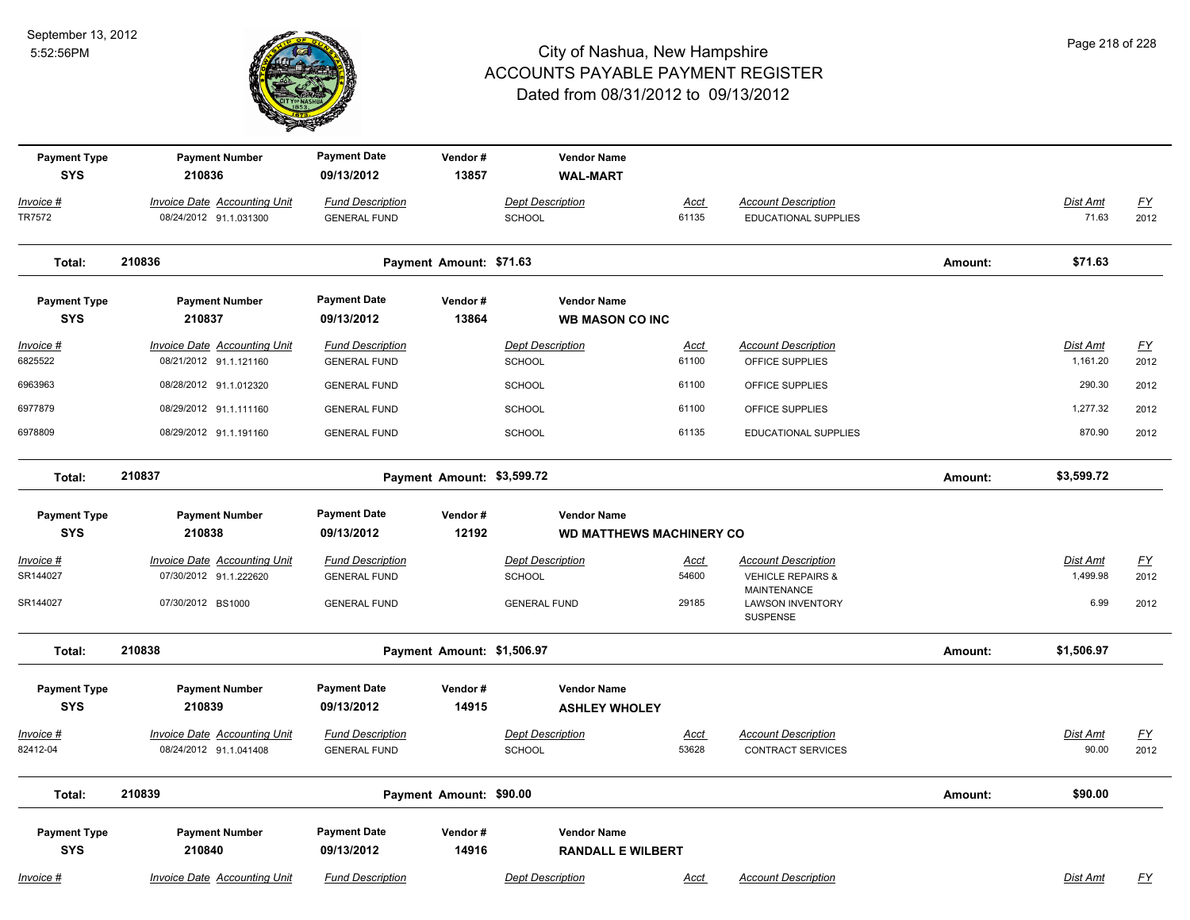

| Page 218 of 228 |  |  |
|-----------------|--|--|
|                 |  |  |

| <b>Payment Type</b><br><b>SYS</b>   | <b>Payment Number</b><br>210836                                                    | <b>Payment Date</b><br>09/13/2012                                     | Vendor#<br>13857           | <b>Vendor Name</b><br><b>WAL-MART</b>                           |                               |                                                                                                             |         |                                     |                           |
|-------------------------------------|------------------------------------------------------------------------------------|-----------------------------------------------------------------------|----------------------------|-----------------------------------------------------------------|-------------------------------|-------------------------------------------------------------------------------------------------------------|---------|-------------------------------------|---------------------------|
| Invoice #<br>TR7572                 | Invoice Date Accounting Unit<br>08/24/2012 91.1.031300                             | <b>Fund Description</b><br><b>GENERAL FUND</b>                        |                            | <b>Dept Description</b><br><b>SCHOOL</b>                        | Acct<br>61135                 | <b>Account Description</b><br>EDUCATIONAL SUPPLIES                                                          |         | Dist Amt<br>71.63                   | <u>FY</u><br>2012         |
| Total:                              | 210836                                                                             |                                                                       | Payment Amount: \$71.63    |                                                                 |                               |                                                                                                             | Amount: | \$71.63                             |                           |
| <b>Payment Type</b><br><b>SYS</b>   | <b>Payment Number</b><br>210837                                                    | <b>Payment Date</b><br>09/13/2012                                     | Vendor#<br>13864           | <b>Vendor Name</b><br><b>WB MASON CO INC</b>                    |                               |                                                                                                             |         |                                     |                           |
| Invoice #<br>6825522                | <b>Invoice Date Accounting Unit</b><br>08/21/2012 91.1.121160                      | <b>Fund Description</b><br><b>GENERAL FUND</b>                        |                            | <b>Dept Description</b><br><b>SCHOOL</b>                        | Acct<br>61100                 | <b>Account Description</b><br>OFFICE SUPPLIES                                                               |         | Dist Amt<br>1,161.20                | <u>FY</u><br>2012         |
| 6963963                             | 08/28/2012 91.1.012320                                                             | <b>GENERAL FUND</b>                                                   |                            | <b>SCHOOL</b>                                                   | 61100                         | OFFICE SUPPLIES                                                                                             |         | 290.30                              | 2012                      |
| 6977879                             | 08/29/2012 91.1.111160                                                             | <b>GENERAL FUND</b>                                                   |                            | <b>SCHOOL</b>                                                   | 61100                         | OFFICE SUPPLIES                                                                                             |         | 1,277.32                            | 2012                      |
| 6978809                             | 08/29/2012 91.1.191160                                                             | <b>GENERAL FUND</b>                                                   |                            | <b>SCHOOL</b>                                                   | 61135                         | EDUCATIONAL SUPPLIES                                                                                        |         | 870.90                              | 2012                      |
| Total:                              | 210837                                                                             |                                                                       | Payment Amount: \$3,599.72 |                                                                 |                               |                                                                                                             | Amount: | \$3,599.72                          |                           |
| <b>Payment Type</b><br><b>SYS</b>   | <b>Payment Number</b><br>210838                                                    | <b>Payment Date</b><br>09/13/2012                                     | Vendor#<br>12192           | <b>Vendor Name</b><br><b>WD MATTHEWS MACHINERY CO</b>           |                               |                                                                                                             |         |                                     |                           |
| $Invoice$ #<br>SR144027<br>SR144027 | <b>Invoice Date Accounting Unit</b><br>07/30/2012 91.1.222620<br>07/30/2012 BS1000 | <b>Fund Description</b><br><b>GENERAL FUND</b><br><b>GENERAL FUND</b> |                            | <b>Dept Description</b><br><b>SCHOOL</b><br><b>GENERAL FUND</b> | <u>Acct</u><br>54600<br>29185 | <b>Account Description</b><br><b>VEHICLE REPAIRS &amp;</b><br><b>MAINTENANCE</b><br><b>LAWSON INVENTORY</b> |         | <b>Dist Amt</b><br>1,499.98<br>6.99 | <u>FY</u><br>2012<br>2012 |
|                                     |                                                                                    |                                                                       |                            |                                                                 |                               | SUSPENSE                                                                                                    |         |                                     |                           |
| Total:                              | 210838                                                                             |                                                                       | Payment Amount: \$1,506.97 |                                                                 |                               |                                                                                                             | Amount: | \$1,506.97                          |                           |
| <b>Payment Type</b><br><b>SYS</b>   | <b>Payment Number</b><br>210839                                                    | <b>Payment Date</b><br>09/13/2012                                     | Vendor#<br>14915           | <b>Vendor Name</b><br><b>ASHLEY WHOLEY</b>                      |                               |                                                                                                             |         |                                     |                           |
| Invoice #<br>82412-04               | <b>Invoice Date Accounting Unit</b><br>08/24/2012 91.1.041408                      | <b>Fund Description</b><br><b>GENERAL FUND</b>                        |                            | <b>Dept Description</b><br>SCHOOL                               | Acct<br>53628                 | <b>Account Description</b><br><b>CONTRACT SERVICES</b>                                                      |         | Dist Amt<br>90.00                   | <u>FY</u><br>2012         |
| Total:                              | 210839                                                                             |                                                                       | Payment Amount: \$90.00    |                                                                 |                               |                                                                                                             | Amount: | \$90.00                             |                           |
| <b>Payment Type</b><br><b>SYS</b>   | <b>Payment Number</b><br>210840                                                    | <b>Payment Date</b><br>09/13/2012                                     | Vendor#<br>14916           | <b>Vendor Name</b><br><b>RANDALL E WILBERT</b>                  |                               |                                                                                                             |         |                                     |                           |
| Invoice #                           | <b>Invoice Date Accounting Unit</b>                                                | <b>Fund Description</b>                                               |                            | <b>Dept Description</b>                                         | <b>Acct</b>                   | <b>Account Description</b>                                                                                  |         | Dist Amt                            | <u>FY</u>                 |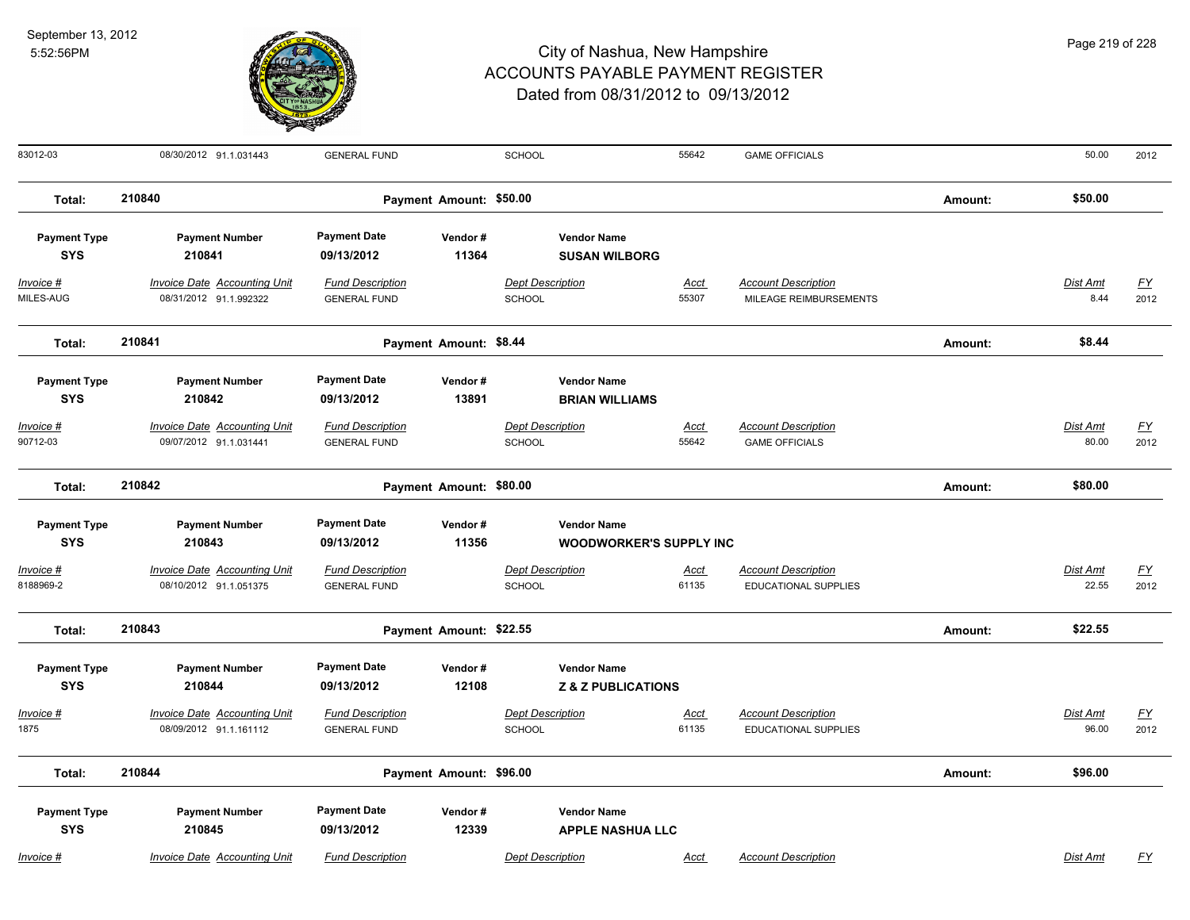

| 83012-03                          | 08/30/2012 91.1.031443                                        | <b>GENERAL FUND</b>                            |                         | SCHOOL                            |                                                      | 55642                | <b>GAME OFFICIALS</b>                                     |         | 50.00                    | 2012                              |
|-----------------------------------|---------------------------------------------------------------|------------------------------------------------|-------------------------|-----------------------------------|------------------------------------------------------|----------------------|-----------------------------------------------------------|---------|--------------------------|-----------------------------------|
| Total:                            | 210840                                                        |                                                | Payment Amount: \$50.00 |                                   |                                                      |                      |                                                           | Amount: | \$50.00                  |                                   |
| <b>Payment Type</b><br><b>SYS</b> | <b>Payment Number</b><br>210841                               | <b>Payment Date</b><br>09/13/2012              | Vendor#<br>11364        |                                   | <b>Vendor Name</b><br><b>SUSAN WILBORG</b>           |                      |                                                           |         |                          |                                   |
| Invoice #<br>MILES-AUG            | Invoice Date Accounting Unit<br>08/31/2012 91.1.992322        | <b>Fund Description</b><br><b>GENERAL FUND</b> |                         | <b>Dept Description</b><br>SCHOOL |                                                      | Acct<br>55307        | <b>Account Description</b><br>MILEAGE REIMBURSEMENTS      |         | Dist Amt<br>8.44         | <u>FY</u><br>2012                 |
| Total:                            | 210841                                                        |                                                | Payment Amount: \$8.44  |                                   |                                                      |                      |                                                           | Amount: | \$8.44                   |                                   |
| <b>Payment Type</b><br><b>SYS</b> | <b>Payment Number</b><br>210842                               | <b>Payment Date</b><br>09/13/2012              | Vendor#<br>13891        |                                   | <b>Vendor Name</b><br><b>BRIAN WILLIAMS</b>          |                      |                                                           |         |                          |                                   |
| Invoice #<br>90712-03             | <b>Invoice Date Accounting Unit</b><br>09/07/2012 91.1.031441 | <b>Fund Description</b><br><b>GENERAL FUND</b> |                         | <b>Dept Description</b><br>SCHOOL |                                                      | <u>Acct</u><br>55642 | <b>Account Description</b><br><b>GAME OFFICIALS</b>       |         | <b>Dist Amt</b><br>80.00 | <u>FY</u><br>2012                 |
| Total:                            | 210842                                                        |                                                | Payment Amount: \$80.00 |                                   |                                                      |                      |                                                           | Amount: | \$80.00                  |                                   |
| <b>Payment Type</b><br><b>SYS</b> | <b>Payment Number</b><br>210843                               | <b>Payment Date</b><br>09/13/2012              | Vendor#<br>11356        |                                   | <b>Vendor Name</b><br><b>WOODWORKER'S SUPPLY INC</b> |                      |                                                           |         |                          |                                   |
| Invoice #<br>8188969-2            | Invoice Date Accounting Unit<br>08/10/2012 91.1.051375        | <b>Fund Description</b><br><b>GENERAL FUND</b> |                         | <b>Dept Description</b><br>SCHOOL |                                                      | Acct<br>61135        | <b>Account Description</b><br><b>EDUCATIONAL SUPPLIES</b> |         | Dist Amt<br>22.55        | <u>FY</u><br>2012                 |
| Total:                            | 210843                                                        |                                                | Payment Amount: \$22.55 |                                   |                                                      |                      |                                                           | Amount: | \$22.55                  |                                   |
| <b>Payment Type</b><br><b>SYS</b> | <b>Payment Number</b><br>210844                               | <b>Payment Date</b><br>09/13/2012              | Vendor#<br>12108        |                                   | <b>Vendor Name</b><br><b>Z &amp; Z PUBLICATIONS</b>  |                      |                                                           |         |                          |                                   |
| Invoice #<br>1875                 | Invoice Date Accounting Unit<br>08/09/2012 91.1.161112        | <b>Fund Description</b><br><b>GENERAL FUND</b> |                         | <b>Dept Description</b><br>SCHOOL |                                                      | Acct<br>61135        | <b>Account Description</b><br><b>EDUCATIONAL SUPPLIES</b> |         | Dist Amt<br>96.00        | $\underline{\mathsf{FY}}$<br>2012 |
| Total:                            | 210844                                                        |                                                | Payment Amount: \$96.00 |                                   |                                                      |                      |                                                           | Amount: | \$96.00                  |                                   |
| <b>Payment Type</b><br><b>SYS</b> | <b>Payment Number</b><br>210845                               | <b>Payment Date</b><br>09/13/2012              | Vendor#<br>12339        |                                   | <b>Vendor Name</b><br><b>APPLE NASHUA LLC</b>        |                      |                                                           |         |                          |                                   |
| $Invoice$ #                       | <b>Invoice Date Accounting Unit</b>                           | <b>Fund Description</b>                        |                         | <b>Dept Description</b>           |                                                      | Acct                 | <b>Account Description</b>                                |         | Dist Amt                 | $\underline{FY}$                  |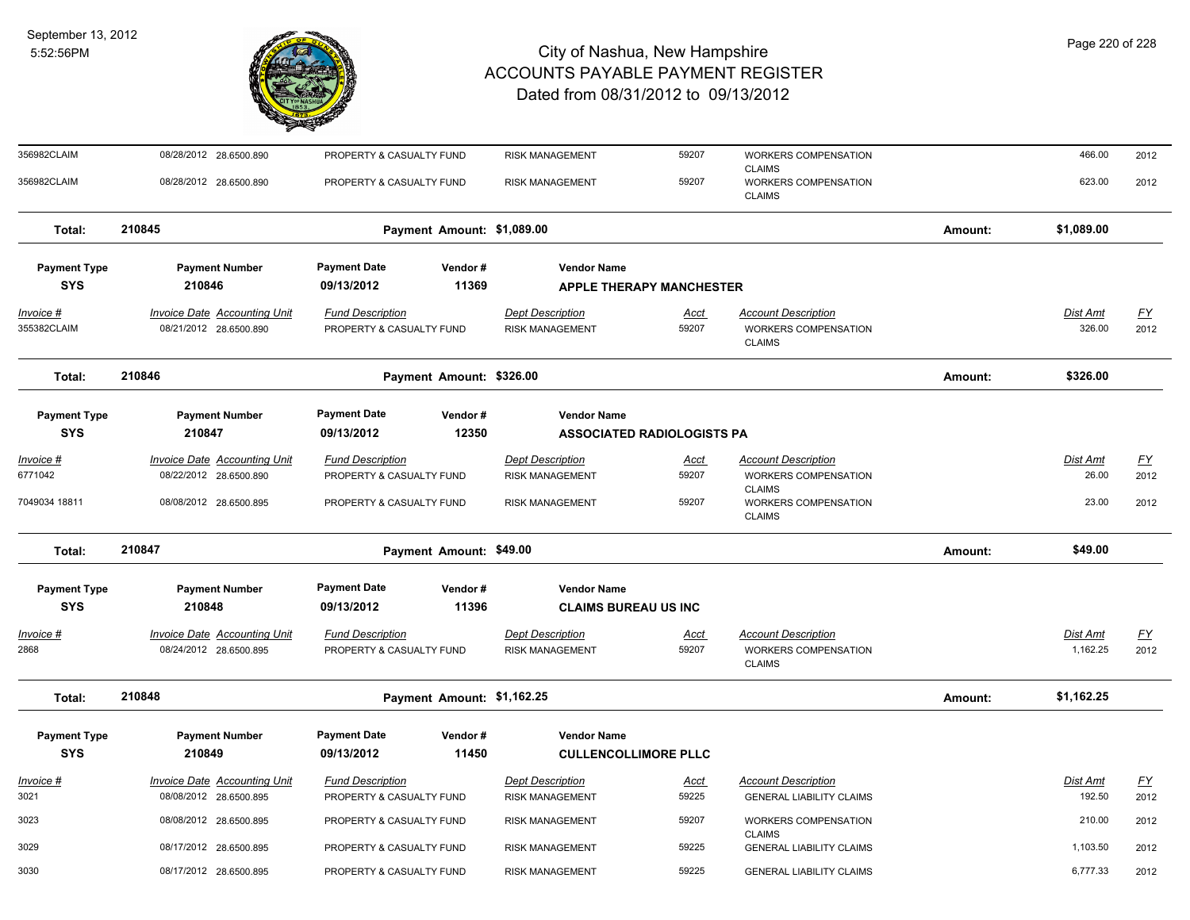

| 356982CLAIM              | 08/28/2012 28.6500.890                                        | PROPERTY & CASUALTY FUND                            | <b>RISK MANAGEMENT</b>                            | 59207                             | WORKERS COMPENSATION<br><b>CLAIMS</b>                               |         | 466.00             | 2012                     |
|--------------------------|---------------------------------------------------------------|-----------------------------------------------------|---------------------------------------------------|-----------------------------------|---------------------------------------------------------------------|---------|--------------------|--------------------------|
| 356982CLAIM              | 08/28/2012 28.6500.890                                        | PROPERTY & CASUALTY FUND                            | <b>RISK MANAGEMENT</b>                            | 59207                             | WORKERS COMPENSATION<br><b>CLAIMS</b>                               |         | 623.00             | 2012                     |
| Total:                   | 210845                                                        | Payment Amount: \$1,089.00                          |                                                   |                                   |                                                                     | Amount: | \$1,089.00         |                          |
| <b>Payment Type</b>      | <b>Payment Number</b>                                         | <b>Payment Date</b><br>Vendor#                      | <b>Vendor Name</b>                                |                                   |                                                                     |         |                    |                          |
| <b>SYS</b>               | 210846                                                        | 09/13/2012<br>11369                                 |                                                   | <b>APPLE THERAPY MANCHESTER</b>   |                                                                     |         |                    |                          |
| Invoice #<br>355382CLAIM | <b>Invoice Date Accounting Unit</b><br>08/21/2012 28.6500.890 | <b>Fund Description</b><br>PROPERTY & CASUALTY FUND | <b>Dept Description</b><br><b>RISK MANAGEMENT</b> | Acct<br>59207                     | <b>Account Description</b><br>WORKERS COMPENSATION<br><b>CLAIMS</b> |         | Dist Amt<br>326.00 | $\underline{FY}$<br>2012 |
| Total:                   | 210846                                                        | Payment Amount: \$326.00                            |                                                   |                                   |                                                                     | Amount: | \$326.00           |                          |
| <b>Payment Type</b>      | <b>Payment Number</b>                                         | <b>Payment Date</b><br>Vendor#                      | <b>Vendor Name</b>                                |                                   |                                                                     |         |                    |                          |
| <b>SYS</b>               | 210847                                                        | 12350<br>09/13/2012                                 |                                                   | <b>ASSOCIATED RADIOLOGISTS PA</b> |                                                                     |         |                    |                          |
| Invoice #                | <b>Invoice Date Accounting Unit</b>                           | <b>Fund Description</b>                             | <b>Dept Description</b>                           | <u>Acct</u>                       | <b>Account Description</b>                                          |         | <b>Dist Amt</b>    | <u>FY</u>                |
| 6771042                  | 08/22/2012 28.6500.890                                        | PROPERTY & CASUALTY FUND                            | <b>RISK MANAGEMENT</b>                            | 59207                             | WORKERS COMPENSATION                                                |         | 26.00              | 2012                     |
| 7049034 18811            | 08/08/2012 28.6500.895                                        | PROPERTY & CASUALTY FUND                            | <b>RISK MANAGEMENT</b>                            | 59207                             | <b>CLAIMS</b><br>WORKERS COMPENSATION<br><b>CLAIMS</b>              |         | 23.00              | 2012                     |
| Total:                   | 210847                                                        | Payment Amount: \$49.00                             |                                                   |                                   |                                                                     | Amount: | \$49.00            |                          |
| <b>Payment Type</b>      | <b>Payment Number</b>                                         | <b>Payment Date</b><br>Vendor#                      | <b>Vendor Name</b>                                |                                   |                                                                     |         |                    |                          |
| <b>SYS</b>               | 210848                                                        | 11396<br>09/13/2012                                 | <b>CLAIMS BUREAU US INC</b>                       |                                   |                                                                     |         |                    |                          |
| Invoice #                | <b>Invoice Date Accounting Unit</b>                           | <b>Fund Description</b>                             | <b>Dept Description</b>                           | <u>Acct</u>                       | <b>Account Description</b>                                          |         | Dist Amt           | $\underline{FY}$         |
| 2868                     | 08/24/2012 28.6500.895                                        | PROPERTY & CASUALTY FUND                            | <b>RISK MANAGEMENT</b>                            | 59207                             | WORKERS COMPENSATION<br><b>CLAIMS</b>                               |         | 1,162.25           | 2012                     |
| Total:                   | 210848                                                        | Payment Amount: \$1,162.25                          |                                                   |                                   |                                                                     | Amount: | \$1,162.25         |                          |
| <b>Payment Type</b>      | <b>Payment Number</b>                                         | <b>Payment Date</b><br>Vendor#                      | <b>Vendor Name</b>                                |                                   |                                                                     |         |                    |                          |
| <b>SYS</b>               | 210849                                                        | 09/13/2012<br>11450                                 | <b>CULLENCOLLIMORE PLLC</b>                       |                                   |                                                                     |         |                    |                          |
| Invoice #                | <b>Invoice Date Accounting Unit</b>                           | <b>Fund Description</b>                             | <b>Dept Description</b>                           | <u>Acct</u>                       | <b>Account Description</b>                                          |         | Dist Amt           | <u>FY</u>                |
| 3021                     | 08/08/2012 28.6500.895                                        | PROPERTY & CASUALTY FUND                            | <b>RISK MANAGEMENT</b>                            | 59225                             | <b>GENERAL LIABILITY CLAIMS</b>                                     |         | 192.50             | 2012                     |
| 3023                     | 08/08/2012 28.6500.895                                        | PROPERTY & CASUALTY FUND                            | <b>RISK MANAGEMENT</b>                            | 59207                             | <b>WORKERS COMPENSATION</b><br><b>CLAIMS</b>                        |         | 210.00             | 2012                     |
| 3029                     | 08/17/2012 28.6500.895                                        | PROPERTY & CASUALTY FUND                            | <b>RISK MANAGEMENT</b>                            | 59225                             | <b>GENERAL LIABILITY CLAIMS</b>                                     |         | 1,103.50           | 2012                     |
| 3030                     | 08/17/2012 28.6500.895                                        | PROPERTY & CASUALTY FUND                            | <b>RISK MANAGEMENT</b>                            | 59225                             | <b>GENERAL LIABILITY CLAIMS</b>                                     |         | 6,777.33           | 2012                     |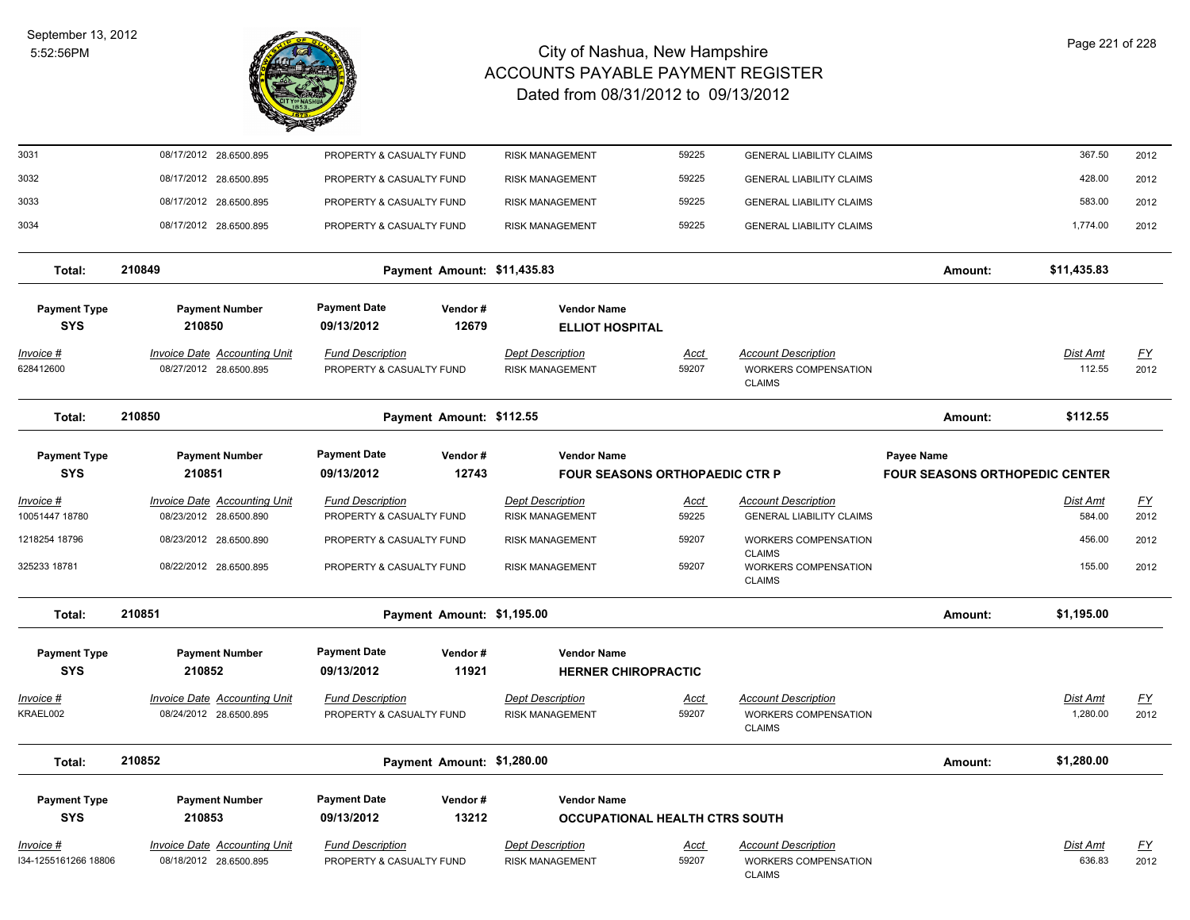

| 3031                              | 08/17/2012 28.6500.895                                        | PROPERTY & CASUALTY FUND                            |                             | <b>RISK MANAGEMENT</b>                            | 59225                                 | <b>GENERAL LIABILITY CLAIMS</b>                                            |                                                     | 367.50                      | 2012              |
|-----------------------------------|---------------------------------------------------------------|-----------------------------------------------------|-----------------------------|---------------------------------------------------|---------------------------------------|----------------------------------------------------------------------------|-----------------------------------------------------|-----------------------------|-------------------|
| 3032                              | 08/17/2012 28.6500.895                                        | PROPERTY & CASUALTY FUND                            |                             | <b>RISK MANAGEMENT</b>                            | 59225                                 | <b>GENERAL LIABILITY CLAIMS</b>                                            |                                                     | 428.00                      | 2012              |
| 3033                              | 08/17/2012 28.6500.895                                        | PROPERTY & CASUALTY FUND                            |                             | <b>RISK MANAGEMENT</b>                            | 59225                                 | <b>GENERAL LIABILITY CLAIMS</b>                                            |                                                     | 583.00                      | 2012              |
| 3034                              | 08/17/2012 28.6500.895                                        | PROPERTY & CASUALTY FUND                            |                             | <b>RISK MANAGEMENT</b>                            | 59225                                 | <b>GENERAL LIABILITY CLAIMS</b>                                            |                                                     | 1,774.00                    | 2012              |
| Total:                            | 210849                                                        |                                                     | Payment Amount: \$11,435.83 |                                                   |                                       |                                                                            | Amount:                                             | \$11,435.83                 |                   |
| <b>Payment Type</b><br><b>SYS</b> | <b>Payment Number</b><br>210850                               | <b>Payment Date</b><br>09/13/2012                   | Vendor#<br>12679            | <b>Vendor Name</b><br><b>ELLIOT HOSPITAL</b>      |                                       |                                                                            |                                                     |                             |                   |
| Invoice #<br>628412600            | Invoice Date Accounting Unit<br>08/27/2012 28.6500.895        | <b>Fund Description</b><br>PROPERTY & CASUALTY FUND |                             | <b>Dept Description</b><br><b>RISK MANAGEMENT</b> | Acct<br>59207                         | <b>Account Description</b><br>WORKERS COMPENSATION<br><b>CLAIMS</b>        |                                                     | Dist Amt<br>112.55          | <u>FY</u><br>2012 |
| Total:                            | 210850                                                        |                                                     | Payment Amount: \$112.55    |                                                   |                                       |                                                                            | Amount:                                             | \$112.55                    |                   |
| <b>Payment Type</b><br><b>SYS</b> | <b>Payment Number</b><br>210851                               | <b>Payment Date</b><br>09/13/2012                   | Vendor#<br>12743            | <b>Vendor Name</b>                                | <b>FOUR SEASONS ORTHOPAEDIC CTR P</b> |                                                                            | Payee Name<br><b>FOUR SEASONS ORTHOPEDIC CENTER</b> |                             |                   |
| <u> Invoice #</u>                 | <b>Invoice Date Accounting Unit</b>                           | <b>Fund Description</b>                             |                             | <b>Dept Description</b>                           | Acct                                  | <b>Account Description</b>                                                 |                                                     | Dist Amt                    | <u>FY</u>         |
| 10051447 18780                    | 08/23/2012 28.6500.890                                        | PROPERTY & CASUALTY FUND                            |                             | <b>RISK MANAGEMENT</b>                            | 59225                                 | <b>GENERAL LIABILITY CLAIMS</b>                                            |                                                     | 584.00                      | 2012              |
| 1218254 18796                     | 08/23/2012 28.6500.890                                        | PROPERTY & CASUALTY FUND                            |                             | <b>RISK MANAGEMENT</b>                            | 59207                                 | WORKERS COMPENSATION<br><b>CLAIMS</b>                                      |                                                     | 456.00                      | 2012              |
| 325233 18781                      | 08/22/2012 28.6500.895                                        | PROPERTY & CASUALTY FUND                            |                             | <b>RISK MANAGEMENT</b>                            | 59207                                 | WORKERS COMPENSATION<br><b>CLAIMS</b>                                      |                                                     | 155.00                      | 2012              |
| Total:                            | 210851                                                        |                                                     | Payment Amount: \$1,195.00  |                                                   |                                       |                                                                            | Amount:                                             | \$1,195.00                  |                   |
| <b>Payment Type</b><br><b>SYS</b> | <b>Payment Number</b><br>210852                               | <b>Payment Date</b><br>09/13/2012                   | Vendor#<br>11921            | <b>Vendor Name</b><br><b>HERNER CHIROPRACTIC</b>  |                                       |                                                                            |                                                     |                             |                   |
| Invoice #<br>KRAEL002             | <b>Invoice Date Accounting Unit</b><br>08/24/2012 28.6500.895 | <b>Fund Description</b><br>PROPERTY & CASUALTY FUND |                             | <b>Dept Description</b><br><b>RISK MANAGEMENT</b> | Acct<br>59207                         | <b>Account Description</b><br>WORKERS COMPENSATION<br><b>CLAIMS</b>        |                                                     | <u>Dist Amt</u><br>1,280.00 | <u>FY</u><br>2012 |
| Total:                            | 210852                                                        |                                                     | Payment Amount: \$1,280.00  |                                                   |                                       |                                                                            | Amount:                                             | \$1,280.00                  |                   |
| <b>Payment Type</b><br><b>SYS</b> | <b>Payment Number</b><br>210853                               | <b>Payment Date</b><br>09/13/2012                   | Vendor#<br>13212            | <b>Vendor Name</b>                                | <b>OCCUPATIONAL HEALTH CTRS SOUTH</b> |                                                                            |                                                     |                             |                   |
| Invoice #<br>I34-1255161266 18806 | <b>Invoice Date Accounting Unit</b><br>08/18/2012 28.6500.895 | <b>Fund Description</b><br>PROPERTY & CASUALTY FUND |                             | <b>Dept Description</b><br><b>RISK MANAGEMENT</b> | <u>Acct</u><br>59207                  | <b>Account Description</b><br><b>WORKERS COMPENSATION</b><br><b>CLAIMS</b> |                                                     | Dist Amt<br>636.83          | <u>FY</u><br>2012 |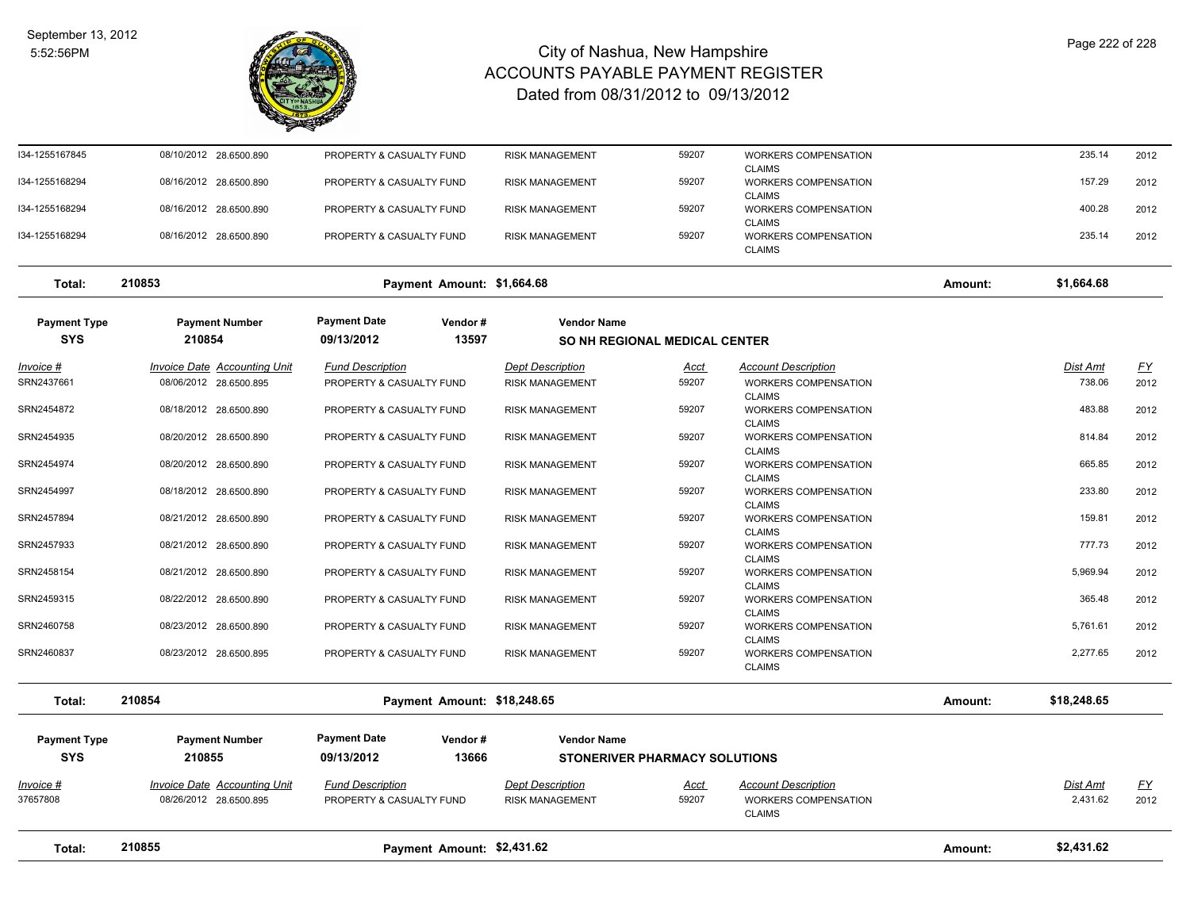

| Total:                            | 210855                                                        | Payment Amount: \$2,431.62                            |                                                   |                                      |                                                                     | Amount: | \$2,431.62           |                   |
|-----------------------------------|---------------------------------------------------------------|-------------------------------------------------------|---------------------------------------------------|--------------------------------------|---------------------------------------------------------------------|---------|----------------------|-------------------|
| <u>Invoice #</u><br>37657808      | <b>Invoice Date Accounting Unit</b><br>08/26/2012 28.6500.895 | <b>Fund Description</b><br>PROPERTY & CASUALTY FUND   | <b>Dept Description</b><br><b>RISK MANAGEMENT</b> | <u>Acct</u><br>59207                 | <b>Account Description</b><br>WORKERS COMPENSATION<br><b>CLAIMS</b> |         | Dist Amt<br>2,431.62 | <u>FY</u><br>2012 |
| <b>Payment Type</b><br><b>SYS</b> | <b>Payment Number</b><br>210855                               | <b>Payment Date</b><br>Vendor#<br>13666<br>09/13/2012 | <b>Vendor Name</b>                                | <b>STONERIVER PHARMACY SOLUTIONS</b> |                                                                     |         |                      |                   |
| Total:                            | 210854                                                        | Payment Amount: \$18,248.65                           |                                                   |                                      |                                                                     | Amount: | \$18,248.65          |                   |
| SRN2460837                        | 08/23/2012 28.6500.895                                        | PROPERTY & CASUALTY FUND                              | <b>RISK MANAGEMENT</b>                            | 59207                                | <b>WORKERS COMPENSATION</b><br><b>CLAIMS</b>                        |         | 2,277.65             | 2012              |
| SRN2460758                        | 08/23/2012 28.6500.890                                        | PROPERTY & CASUALTY FUND                              | <b>RISK MANAGEMENT</b>                            | 59207                                | WORKERS COMPENSATION<br><b>CLAIMS</b>                               |         | 5,761.61             | 2012              |
| SRN2459315                        | 08/22/2012 28.6500.890                                        | PROPERTY & CASUALTY FUND                              | <b>RISK MANAGEMENT</b>                            | 59207                                | <b>CLAIMS</b><br>WORKERS COMPENSATION<br><b>CLAIMS</b>              |         | 365.48               | 2012              |
| SRN2458154                        | 08/21/2012 28.6500.890                                        | PROPERTY & CASUALTY FUND                              | <b>RISK MANAGEMENT</b>                            | 59207                                | <b>CLAIMS</b><br>WORKERS COMPENSATION                               |         | 5,969.94             | 2012              |
| SRN2457933                        | 08/21/2012 28.6500.890                                        | PROPERTY & CASUALTY FUND                              | <b>RISK MANAGEMENT</b>                            | 59207                                | <b>CLAIMS</b><br>WORKERS COMPENSATION                               |         | 777.73               | 2012              |
| SRN2457894                        | 08/21/2012 28.6500.890                                        | PROPERTY & CASUALTY FUND                              | <b>RISK MANAGEMENT</b>                            | 59207                                | <b>CLAIMS</b><br>WORKERS COMPENSATION                               |         | 159.81               | 2012              |
| SRN2454997                        | 08/18/2012 28.6500.890                                        | PROPERTY & CASUALTY FUND                              | <b>RISK MANAGEMENT</b>                            | 59207                                | <b>CLAIMS</b><br>WORKERS COMPENSATION                               |         | 233.80               | 2012              |
| SRN2454974                        | 08/20/2012 28.6500.890                                        | PROPERTY & CASUALTY FUND                              | <b>RISK MANAGEMENT</b>                            | 59207                                | <b>CLAIMS</b><br>WORKERS COMPENSATION                               |         | 665.85               | 2012              |
| SRN2454935                        | 08/20/2012 28.6500.890                                        | PROPERTY & CASUALTY FUND                              | <b>RISK MANAGEMENT</b>                            | 59207                                | <b>CLAIMS</b><br>WORKERS COMPENSATION                               |         | 814.84               | 2012              |
| SRN2454872                        | 08/18/2012 28.6500.890                                        | PROPERTY & CASUALTY FUND                              | <b>RISK MANAGEMENT</b>                            | 59207                                | <b>CLAIMS</b><br>WORKERS COMPENSATION                               |         | 483.88               | 2012              |
| Invoice #<br>SRN2437661           | Invoice Date Accounting Unit<br>08/06/2012 28.6500.895        | <b>Fund Description</b><br>PROPERTY & CASUALTY FUND   | <b>Dept Description</b><br><b>RISK MANAGEMENT</b> | Acct<br>59207                        | <b>Account Description</b><br><b>WORKERS COMPENSATION</b>           |         | Dist Amt<br>738.06   | <u>FY</u><br>2012 |
| <b>SYS</b>                        | 210854                                                        | 09/13/2012<br>13597                                   |                                                   | <b>SO NH REGIONAL MEDICAL CENTER</b> |                                                                     |         |                      |                   |
| <b>Payment Type</b>               | <b>Payment Number</b>                                         | <b>Payment Date</b><br>Vendor#                        | <b>Vendor Name</b>                                |                                      |                                                                     |         |                      |                   |
| Total:                            | 210853                                                        | Payment Amount: \$1,664.68                            |                                                   |                                      |                                                                     | Amount: | \$1,664.68           |                   |
| I34-1255168294                    | 08/16/2012 28.6500.890                                        | PROPERTY & CASUALTY FUND                              | <b>RISK MANAGEMENT</b>                            | 59207                                | WORKERS COMPENSATION<br><b>CLAIMS</b>                               |         | 235.14               | 2012              |
| I34-1255168294                    | 08/16/2012 28.6500.890                                        | PROPERTY & CASUALTY FUND                              | <b>RISK MANAGEMENT</b>                            | 59207                                | <b>WORKERS COMPENSATION</b><br><b>CLAIMS</b>                        |         | 400.28               | 2012              |
| I34-1255168294                    | 08/16/2012 28.6500.890                                        | PROPERTY & CASUALTY FUND                              | <b>RISK MANAGEMENT</b>                            | 59207                                | WORKERS COMPENSATION<br><b>CLAIMS</b>                               |         | 157.29               | 2012              |
| I34-1255167845                    | 08/10/2012 28.6500.890                                        | PROPERTY & CASUALTY FUND                              | <b>RISK MANAGEMENT</b>                            | 59207                                | <b>WORKERS COMPENSATION</b><br><b>CLAIMS</b>                        |         | 235.14               | 2012              |
|                                   |                                                               |                                                       |                                                   |                                      |                                                                     |         |                      |                   |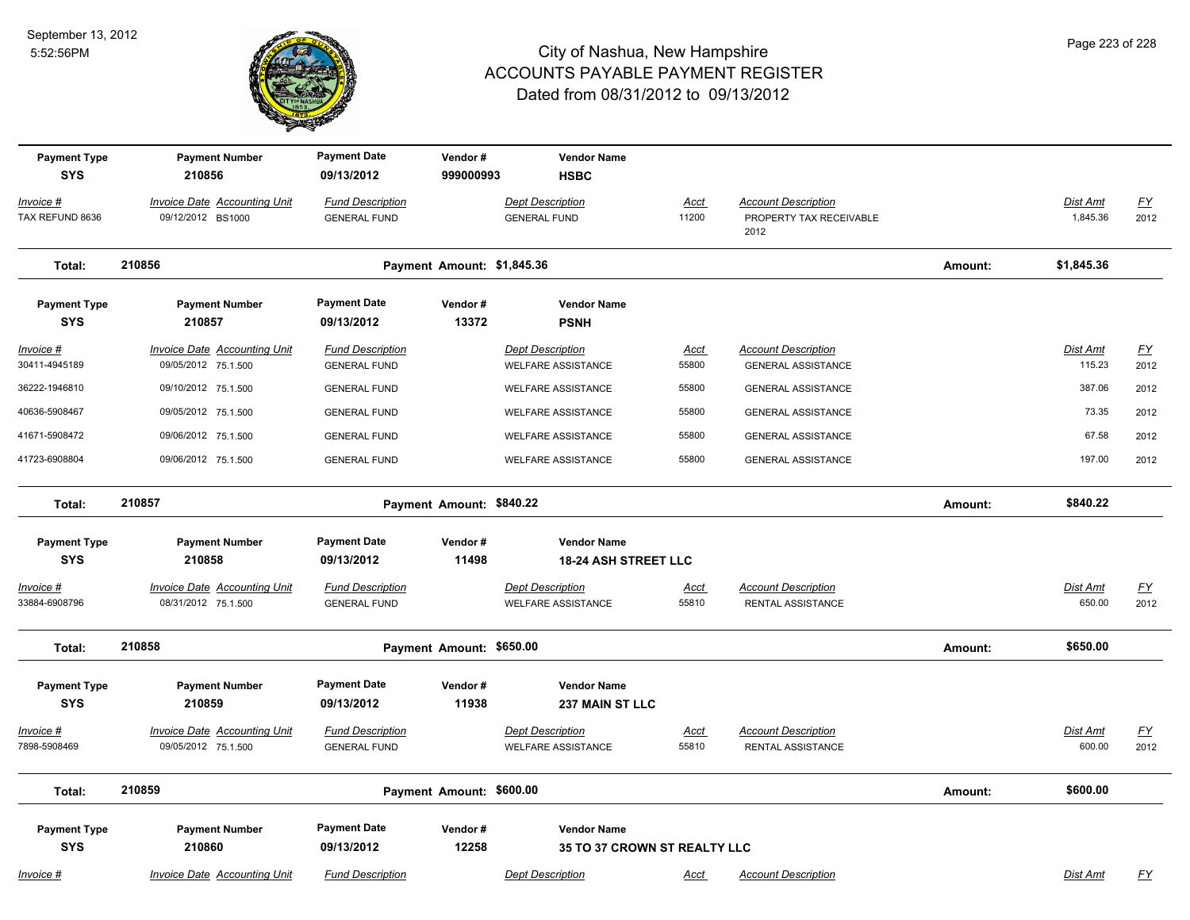

| Page 223 of 228 |  |  |
|-----------------|--|--|
|                 |  |  |

| <b>Payment Type</b><br><b>SYS</b> | <b>Payment Number</b><br>210856                            | <b>Payment Date</b><br>09/13/2012              | Vendor#<br>999000993       | <b>Vendor Name</b><br><b>HSBC</b>                         |                      |                                                               |         |                           |                   |
|-----------------------------------|------------------------------------------------------------|------------------------------------------------|----------------------------|-----------------------------------------------------------|----------------------|---------------------------------------------------------------|---------|---------------------------|-------------------|
| Invoice #<br>TAX REFUND 8636      | <b>Invoice Date Accounting Unit</b><br>09/12/2012 BS1000   | <b>Fund Description</b><br><b>GENERAL FUND</b> |                            | <b>Dept Description</b><br><b>GENERAL FUND</b>            | <u>Acct</u><br>11200 | <b>Account Description</b><br>PROPERTY TAX RECEIVABLE<br>2012 |         | Dist Amt<br>1,845.36      | <u>FY</u><br>2012 |
| Total:                            | 210856                                                     |                                                | Payment Amount: \$1,845.36 |                                                           |                      |                                                               | Amount: | \$1,845.36                |                   |
| <b>Payment Type</b><br><b>SYS</b> | <b>Payment Number</b><br>210857                            | <b>Payment Date</b><br>09/13/2012              | Vendor#<br>13372           | <b>Vendor Name</b><br><b>PSNH</b>                         |                      |                                                               |         |                           |                   |
| Invoice #<br>30411-4945189        | <b>Invoice Date Accounting Unit</b><br>09/05/2012 75.1.500 | <b>Fund Description</b><br><b>GENERAL FUND</b> |                            | <b>Dept Description</b><br><b>WELFARE ASSISTANCE</b>      | Acct<br>55800        | <b>Account Description</b><br><b>GENERAL ASSISTANCE</b>       |         | Dist Amt<br>115.23        | FY<br>2012        |
| 36222-1946810                     | 09/10/2012 75.1.500                                        | <b>GENERAL FUND</b>                            |                            | <b>WELFARE ASSISTANCE</b>                                 | 55800                | <b>GENERAL ASSISTANCE</b>                                     |         | 387.06                    | 2012              |
| 40636-5908467                     | 09/05/2012 75.1.500                                        | <b>GENERAL FUND</b>                            |                            | <b>WELFARE ASSISTANCE</b>                                 | 55800                | <b>GENERAL ASSISTANCE</b>                                     |         | 73.35                     | 2012              |
| 41671-5908472                     | 09/06/2012 75.1.500                                        | <b>GENERAL FUND</b>                            |                            | <b>WELFARE ASSISTANCE</b>                                 | 55800                | <b>GENERAL ASSISTANCE</b>                                     |         | 67.58                     | 2012              |
| 41723-6908804                     | 09/06/2012 75.1.500                                        | <b>GENERAL FUND</b>                            |                            | <b>WELFARE ASSISTANCE</b>                                 | 55800                | <b>GENERAL ASSISTANCE</b>                                     |         | 197.00                    | 2012              |
| Total:                            | 210857                                                     |                                                | Payment Amount: \$840.22   |                                                           |                      |                                                               | Amount: | \$840.22                  |                   |
| <b>Payment Type</b>               | <b>Payment Number</b>                                      | <b>Payment Date</b>                            | Vendor#                    | <b>Vendor Name</b>                                        |                      |                                                               |         |                           |                   |
| <b>SYS</b>                        | 210858                                                     | 09/13/2012                                     | 11498                      | <b>18-24 ASH STREET LLC</b>                               |                      |                                                               |         |                           |                   |
| Invoice #<br>33884-6908796        | <b>Invoice Date Accounting Unit</b><br>08/31/2012 75.1.500 | <b>Fund Description</b><br><b>GENERAL FUND</b> |                            | <b>Dept Description</b><br><b>WELFARE ASSISTANCE</b>      | <u>Acct</u><br>55810 | <b>Account Description</b><br>RENTAL ASSISTANCE               |         | <b>Dist Amt</b><br>650.00 | <u>FY</u><br>2012 |
| Total:                            | 210858                                                     |                                                | Payment Amount: \$650.00   |                                                           |                      |                                                               | Amount: | \$650.00                  |                   |
| <b>Payment Type</b><br><b>SYS</b> | <b>Payment Number</b><br>210859                            | <b>Payment Date</b><br>09/13/2012              | Vendor#<br>11938           | <b>Vendor Name</b><br><b>237 MAIN ST LLC</b>              |                      |                                                               |         |                           |                   |
| Invoice #<br>7898-5908469         | <b>Invoice Date Accounting Unit</b><br>09/05/2012 75.1.500 | <b>Fund Description</b><br><b>GENERAL FUND</b> |                            | <b>Dept Description</b><br><b>WELFARE ASSISTANCE</b>      | Acct<br>55810        | <b>Account Description</b><br>RENTAL ASSISTANCE               |         | <b>Dist Amt</b><br>600.00 | <u>FY</u><br>2012 |
| Total:                            | 210859                                                     |                                                | Payment Amount: \$600.00   |                                                           |                      |                                                               | Amount: | \$600.00                  |                   |
| <b>Payment Type</b><br><b>SYS</b> | <b>Payment Number</b><br>210860                            | <b>Payment Date</b><br>09/13/2012              | Vendor#<br>12258           | <b>Vendor Name</b><br><b>35 TO 37 CROWN ST REALTY LLC</b> |                      |                                                               |         |                           |                   |
| Invoice #                         | <b>Invoice Date Accounting Unit</b>                        | <b>Fund Description</b>                        |                            | <b>Dept Description</b>                                   | <u>Acct</u>          | <b>Account Description</b>                                    |         | Dist Amt                  | <u>FY</u>         |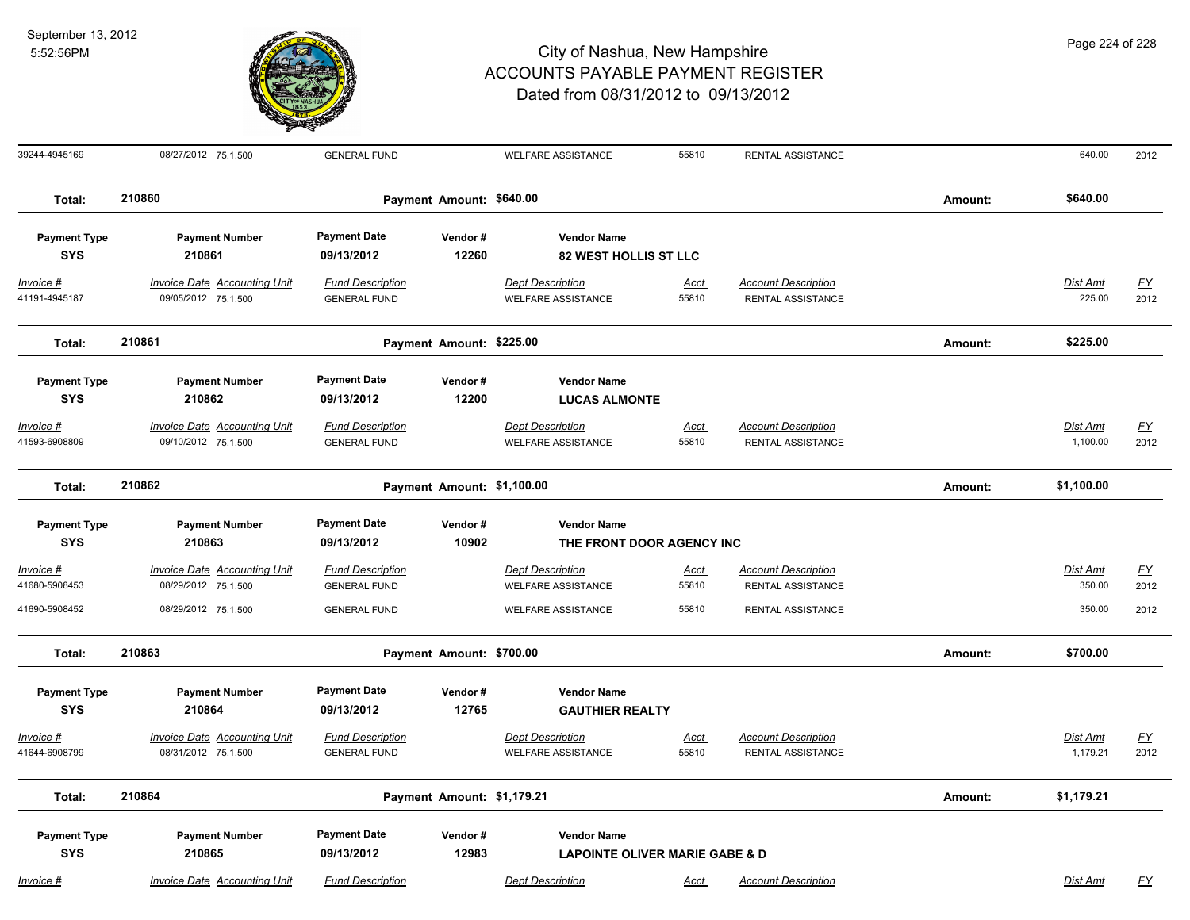

39244-4945169 08/27/2012 75.1.500 GENERAL FUND WELFARE ASSISTANCE 55810 RENTAL ASSISTANCE 640.00 2012 **Total: 210860 Payment Amount: \$640.00 Amount: \$640.00 Payment Type Payment Number Payment Date Vendor # Vendor Name SYS 09/13/2012** *Invoice # Invoice Date Accounting Unit Fund Description Dept Description Acct Account Description Dist Amt FY*  **210861 12260 82 WEST HOLLIS ST LLC** 41191-4945187 09/05/2012 75.1.500 GENERAL FUND WELFARE ASSISTANCE 55810 RENTAL ASSISTANCE 225.00 2012 **Total: 210861 Payment Amount: \$225.00 Amount: \$225.00 Payment Type Payment Number Payment Date Vendor # Vendor Name SYS 09/13/2012** *Invoice # Invoice Date Accounting Unit Fund Description Dept Description Acct Account Description Dist Amt FY*  **210862 12200 LUCAS ALMONTE** 41593-6908809 09/10/2012 75.1.500 GENERAL FUND WELFARE ASSISTANCE 55810 RENTAL ASSISTANCE 1,100.00 2012 **Total: 210862 Payment Amount: \$1,100.00 Amount: \$1,100.00 Payment Type Payment Number Payment Date Vendor # Vendor Name SYS 09/13/2012** *Invoice # Invoice Date Accounting Unit Fund Description Dept Description Acct Account Description Dist Amt FY*  **210863 10902 THE FRONT DOOR AGENCY INC** 41680-5908453 08/29/2012 75.1.500 GENERAL FUND WELFARE ASSISTANCE 55810 RENTAL ASSISTANCE 350.00 2012 41690-5908452 08/29/2012 75.1.500 GENERAL FUND WELFARE ASSISTANCE 55810 RENTAL ASSISTANCE 350.00 2012 **Total: 210863 Payment Amount: \$700.00 Amount: \$700.00 Payment Type Payment Number Payment Date Vendor # Vendor Name SYS 09/13/2012** *Invoice # Invoice Date Accounting Unit Fund Description Dept Description Acct Account Description Dist Amt FY*  **210864 12765 GAUTHIER REALTY** 41644-6908799 08/31/2012 75.1.500 GENERAL FUND WELFARE ASSISTANCE 55810 RENTAL ASSISTANCE 1,179.21 2012 **Total: 210864 Payment Amount: \$1,179.21 Amount: \$1,179.21 Payment Type Payment Number Payment Date Vendor # Vendor Name SYS 09/13/2012** *Invoice # Invoice Date Accounting Unit Fund Description Dept Description Acct Account Description Dist Amt FY*  **210865 12983 LAPOINTE OLIVER MARIE GABE & D**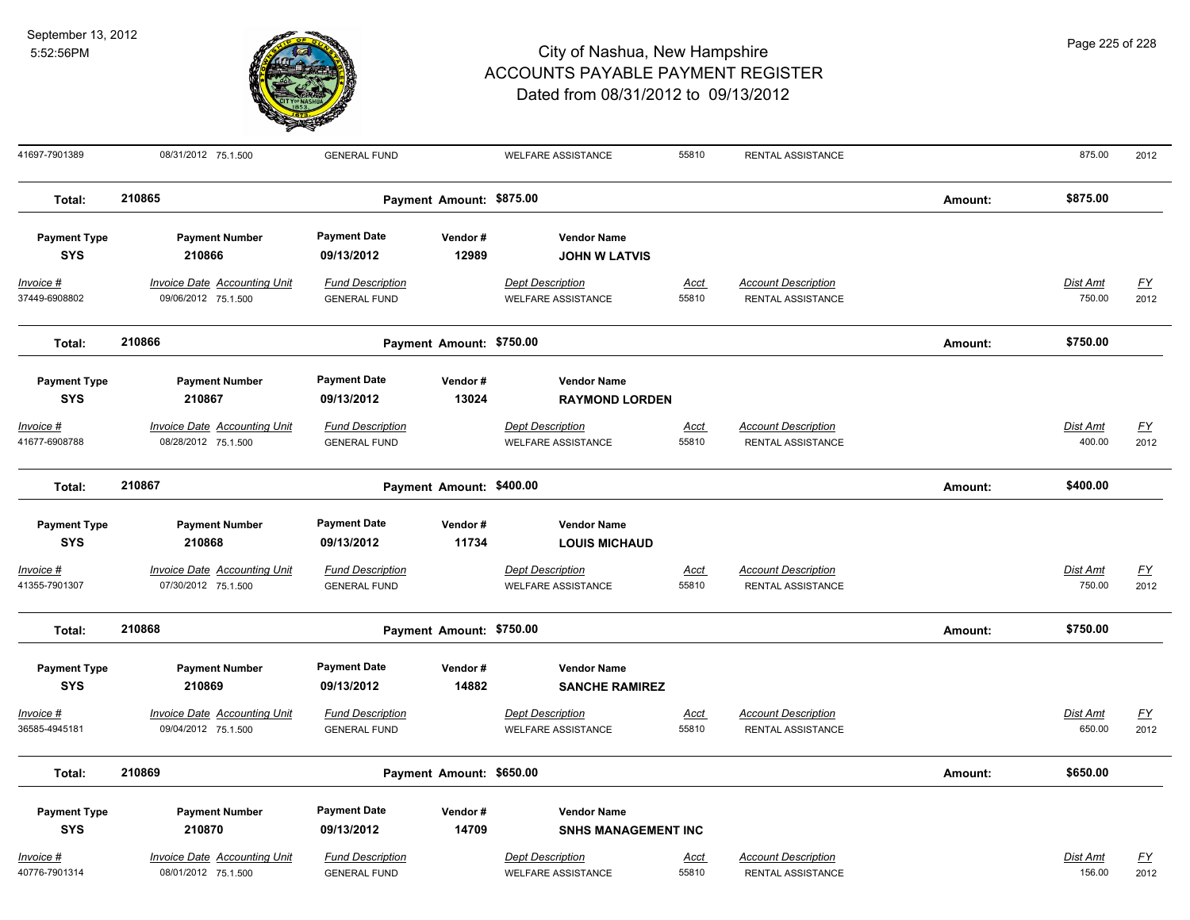

| Page 225 of 228 |  |  |  |
|-----------------|--|--|--|
|-----------------|--|--|--|

| 41697-7901389                                                     | 08/31/2012 75.1.500                                                                           | <b>GENERAL FUND</b>                                                                 |                          | <b>WELFARE ASSISTANCE</b>                                                                           | 55810                | RENTAL ASSISTANCE                                      |         | 875.00                    | 2012              |
|-------------------------------------------------------------------|-----------------------------------------------------------------------------------------------|-------------------------------------------------------------------------------------|--------------------------|-----------------------------------------------------------------------------------------------------|----------------------|--------------------------------------------------------|---------|---------------------------|-------------------|
| Total:                                                            | 210865                                                                                        |                                                                                     | Payment Amount: \$875.00 |                                                                                                     |                      |                                                        | Amount: | \$875.00                  |                   |
| <b>Payment Type</b><br><b>SYS</b>                                 | <b>Payment Number</b><br>210866                                                               | <b>Payment Date</b><br>09/13/2012                                                   | Vendor#<br>12989         | <b>Vendor Name</b><br><b>JOHN W LATVIS</b>                                                          |                      |                                                        |         |                           |                   |
| <b>Invoice #</b><br>37449-6908802                                 | <b>Invoice Date Accounting Unit</b><br>09/06/2012 75.1.500                                    | <b>Fund Description</b><br><b>GENERAL FUND</b>                                      |                          | <b>Dept Description</b><br><b>WELFARE ASSISTANCE</b>                                                | <u>Acct</u><br>55810 | <b>Account Description</b><br><b>RENTAL ASSISTANCE</b> |         | <b>Dist Amt</b><br>750.00 | <u>FY</u><br>2012 |
| Total:                                                            | 210866                                                                                        |                                                                                     | Payment Amount: \$750.00 |                                                                                                     |                      |                                                        | Amount: | \$750.00                  |                   |
| <b>Payment Type</b><br><b>SYS</b><br>$Invoice$ #<br>41677-6908788 | <b>Payment Number</b><br>210867<br><b>Invoice Date Accounting Unit</b><br>08/28/2012 75.1.500 | <b>Payment Date</b><br>09/13/2012<br><b>Fund Description</b><br><b>GENERAL FUND</b> | Vendor#<br>13024         | <b>Vendor Name</b><br><b>RAYMOND LORDEN</b><br><b>Dept Description</b><br><b>WELFARE ASSISTANCE</b> | <b>Acct</b><br>55810 | <b>Account Description</b><br>RENTAL ASSISTANCE        |         | <b>Dist Amt</b><br>400.00 | <u>FY</u><br>2012 |
| Total:                                                            | 210867                                                                                        | Payment Amount: \$400.00                                                            |                          |                                                                                                     |                      |                                                        |         | \$400.00                  |                   |
| <b>Payment Type</b><br><b>SYS</b>                                 | <b>Payment Number</b><br>210868                                                               | <b>Payment Date</b><br>09/13/2012                                                   | Vendor#<br>11734         | <b>Vendor Name</b><br><b>LOUIS MICHAUD</b>                                                          |                      |                                                        |         |                           |                   |
| Invoice #<br>41355-7901307                                        | <b>Invoice Date Accounting Unit</b><br>07/30/2012 75.1.500                                    | <b>Fund Description</b><br><b>GENERAL FUND</b>                                      |                          | <b>Dept Description</b><br><b>WELFARE ASSISTANCE</b>                                                | <u>Acct</u><br>55810 | <b>Account Description</b><br>RENTAL ASSISTANCE        |         | Dist Amt<br>750.00        | <u>FY</u><br>2012 |
| Total:                                                            | 210868                                                                                        |                                                                                     | Payment Amount: \$750.00 |                                                                                                     |                      |                                                        | Amount: | \$750.00                  |                   |
| <b>Payment Type</b><br><b>SYS</b>                                 | <b>Payment Number</b><br>210869                                                               | <b>Payment Date</b><br>09/13/2012                                                   | Vendor#<br>14882         | <b>Vendor Name</b><br><b>SANCHE RAMIREZ</b>                                                         |                      |                                                        |         |                           |                   |
| Invoice #<br>36585-4945181                                        | Invoice Date Accounting Unit<br>09/04/2012 75.1.500                                           | <b>Fund Description</b><br><b>GENERAL FUND</b>                                      |                          | <b>Dept Description</b><br><b>WELFARE ASSISTANCE</b>                                                | <u>Acct</u><br>55810 | <b>Account Description</b><br>RENTAL ASSISTANCE        |         | Dist Amt<br>650.00        | <u>FY</u><br>2012 |
| Total:                                                            | 210869                                                                                        |                                                                                     | Payment Amount: \$650.00 |                                                                                                     |                      |                                                        | Amount: | \$650.00                  |                   |
| <b>Payment Type</b><br><b>SYS</b>                                 | <b>Payment Number</b><br>210870                                                               | <b>Payment Date</b><br>09/13/2012                                                   | Vendor#<br>14709         | <b>Vendor Name</b><br><b>SNHS MANAGEMENT INC</b>                                                    |                      |                                                        |         |                           |                   |
| Invoice #<br>40776-7901314                                        | <b>Invoice Date Accounting Unit</b><br>08/01/2012 75.1.500                                    | <b>Fund Description</b><br><b>GENERAL FUND</b>                                      |                          | <b>Dept Description</b><br><b>WELFARE ASSISTANCE</b>                                                | <u>Acct</u><br>55810 | <b>Account Description</b><br>RENTAL ASSISTANCE        |         | Dist Amt<br>156.00        | <u>FY</u><br>2012 |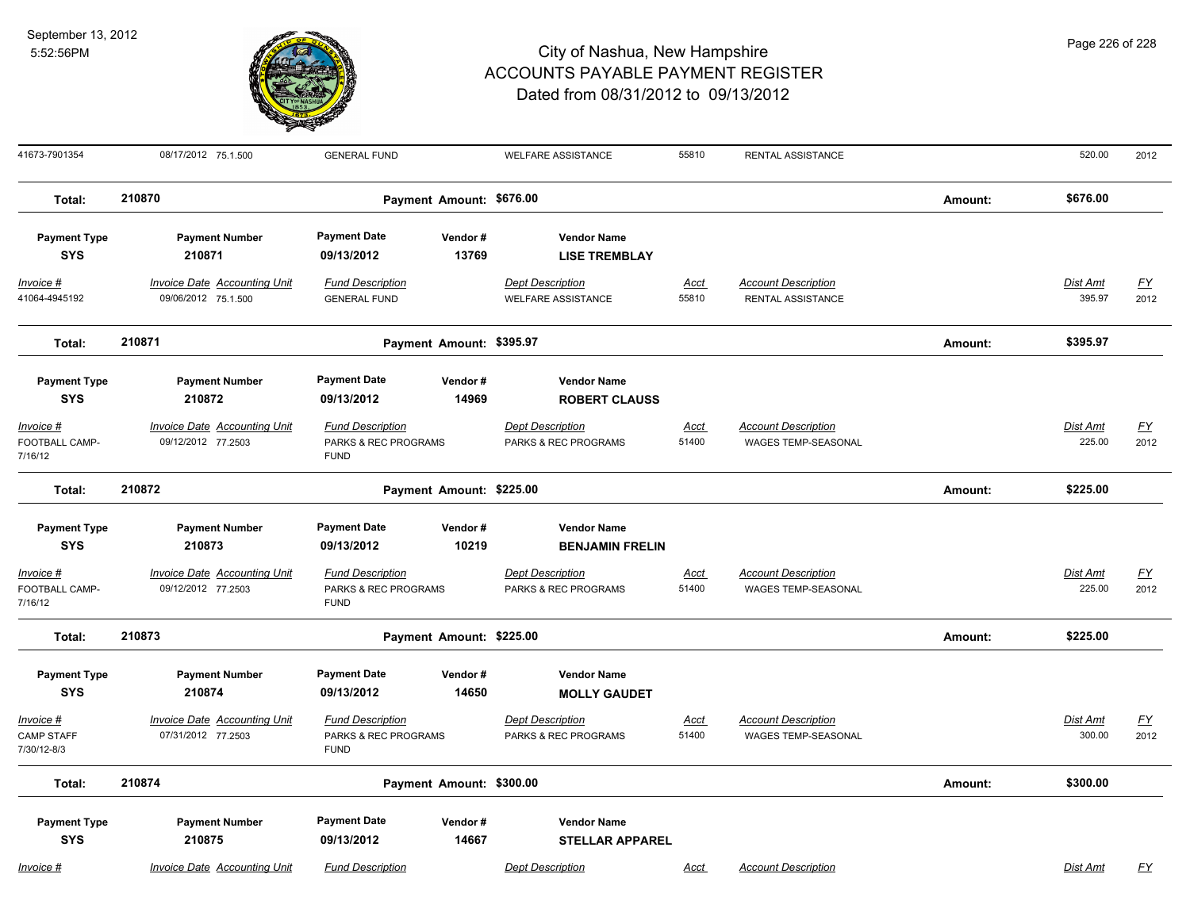

Page 226 of 228

| 41673-7901354                                 | 08/17/2012 75.1.500                                        | <b>GENERAL FUND</b>                                            |                          | <b>WELFARE ASSISTANCE</b>                            | 55810                | RENTAL ASSISTANCE                                        |         | 520.00                    | 2012                     |
|-----------------------------------------------|------------------------------------------------------------|----------------------------------------------------------------|--------------------------|------------------------------------------------------|----------------------|----------------------------------------------------------|---------|---------------------------|--------------------------|
| Total:                                        | 210870                                                     | Payment Amount: \$676.00                                       |                          |                                                      |                      |                                                          |         | \$676.00                  |                          |
| <b>Payment Type</b><br><b>SYS</b>             | <b>Payment Number</b><br>210871                            | <b>Payment Date</b><br>09/13/2012                              | Vendor#<br>13769         | <b>Vendor Name</b><br><b>LISE TREMBLAY</b>           |                      |                                                          |         |                           |                          |
| Invoice #<br>41064-4945192                    | <b>Invoice Date Accounting Unit</b><br>09/06/2012 75.1.500 | <b>Fund Description</b><br><b>GENERAL FUND</b>                 |                          | <b>Dept Description</b><br><b>WELFARE ASSISTANCE</b> | <u>Acct</u><br>55810 | <b>Account Description</b><br>RENTAL ASSISTANCE          |         | Dist Amt<br>395.97        | <u>FY</u><br>2012        |
| Total:                                        | 210871                                                     | Payment Amount: \$395.97                                       |                          |                                                      |                      |                                                          | Amount: | \$395.97                  |                          |
| <b>Payment Type</b><br><b>SYS</b>             | <b>Payment Number</b><br>210872                            | <b>Payment Date</b><br>09/13/2012                              | Vendor#<br>14969         | <b>Vendor Name</b><br><b>ROBERT CLAUSS</b>           |                      |                                                          |         |                           |                          |
| $Invoice$ #<br>FOOTBALL CAMP-<br>7/16/12      | <b>Invoice Date Accounting Unit</b><br>09/12/2012 77.2503  | <b>Fund Description</b><br>PARKS & REC PROGRAMS<br><b>FUND</b> |                          | <b>Dept Description</b><br>PARKS & REC PROGRAMS      | Acct<br>51400        | <b>Account Description</b><br><b>WAGES TEMP-SEASONAL</b> |         | <b>Dist Amt</b><br>225.00 | <u>FY</u><br>2012        |
| Total:                                        | 210872                                                     | Payment Amount: \$225.00                                       |                          |                                                      |                      |                                                          | Amount: | \$225.00                  |                          |
| <b>Payment Type</b><br><b>SYS</b>             | <b>Payment Number</b><br>210873                            | <b>Payment Date</b><br>09/13/2012                              | Vendor#<br>10219         | <b>Vendor Name</b><br><b>BENJAMIN FRELIN</b>         |                      |                                                          |         |                           |                          |
| Invoice #<br>FOOTBALL CAMP-<br>7/16/12        | <b>Invoice Date Accounting Unit</b><br>09/12/2012 77.2503  | <b>Fund Description</b><br>PARKS & REC PROGRAMS<br><b>FUND</b> |                          | <b>Dept Description</b><br>PARKS & REC PROGRAMS      | <u>Acct</u><br>51400 | <b>Account Description</b><br><b>WAGES TEMP-SEASONAL</b> |         | Dist Amt<br>225.00        | <u>FY</u><br>2012        |
| Total:                                        | 210873                                                     |                                                                | Payment Amount: \$225.00 |                                                      |                      |                                                          | Amount: | \$225.00                  |                          |
| <b>Payment Type</b><br><b>SYS</b>             | <b>Payment Number</b><br>210874                            | <b>Payment Date</b><br>09/13/2012                              | Vendor#<br>14650         | <b>Vendor Name</b><br><b>MOLLY GAUDET</b>            |                      |                                                          |         |                           |                          |
| Invoice #<br><b>CAMP STAFF</b><br>7/30/12-8/3 | <b>Invoice Date Accounting Unit</b><br>07/31/2012 77.2503  | <b>Fund Description</b><br>PARKS & REC PROGRAMS<br><b>FUND</b> |                          | <b>Dept Description</b><br>PARKS & REC PROGRAMS      | <u>Acct</u><br>51400 | <b>Account Description</b><br>WAGES TEMP-SEASONAL        |         | <b>Dist Amt</b><br>300.00 | $\underline{FY}$<br>2012 |
| Total:                                        | 210874                                                     | Payment Amount: \$300.00                                       |                          |                                                      |                      |                                                          | Amount: | \$300.00                  |                          |
| <b>Payment Type</b><br><b>SYS</b>             | <b>Payment Number</b><br>210875                            | <b>Payment Date</b><br>09/13/2012                              | Vendor#<br>14667         | <b>Vendor Name</b><br><b>STELLAR APPAREL</b>         |                      |                                                          |         |                           |                          |
| Invoice #                                     | <b>Invoice Date Accounting Unit</b>                        | <b>Fund Description</b>                                        |                          | <b>Dept Description</b>                              | Acct                 | <b>Account Description</b>                               |         | Dist Amt                  | <u>FY</u>                |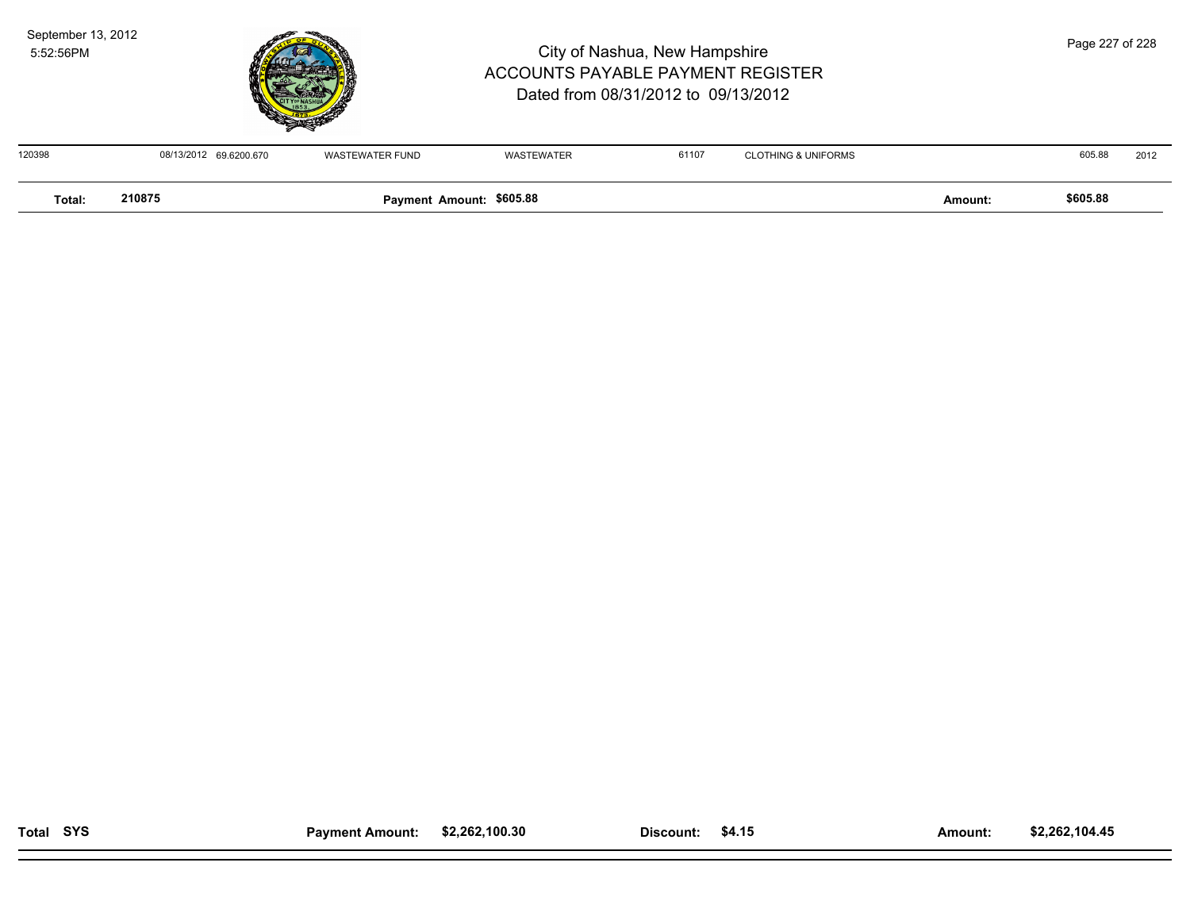